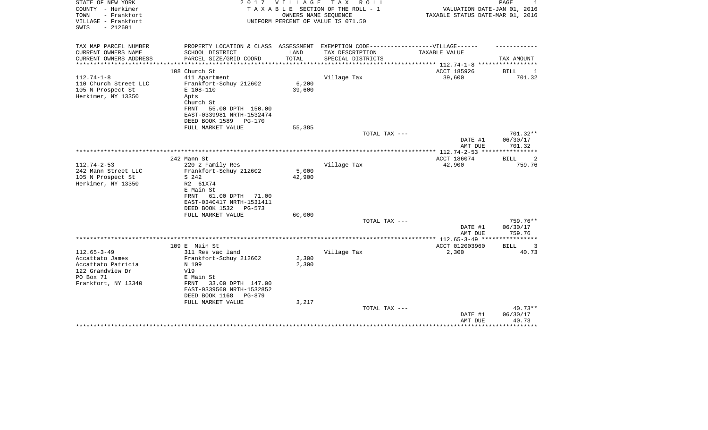| STATE OF NEW YORK<br>COUNTY - Herkimer<br>- Frankfort<br>TOWN<br>VILLAGE - Frankfort<br>$-212601$<br>SWIS | 2 0 1 7                                                                                                                                                                | <b>VILLAGE</b>                  | T A X<br>R O L L<br>TAXABLE SECTION OF THE ROLL - 1<br>OWNERS NAME SEQUENCE<br>UNIFORM PERCENT OF VALUE IS 071.50 | VALUATION DATE-JAN 01, 2016<br>TAXABLE STATUS DATE-MAR 01, 2016  | PAGE                           |
|-----------------------------------------------------------------------------------------------------------|------------------------------------------------------------------------------------------------------------------------------------------------------------------------|---------------------------------|-------------------------------------------------------------------------------------------------------------------|------------------------------------------------------------------|--------------------------------|
| TAX MAP PARCEL NUMBER                                                                                     | PROPERTY LOCATION & CLASS ASSESSMENT                                                                                                                                   |                                 | EXEMPTION CODE------------------VILLAGE------                                                                     |                                                                  |                                |
| CURRENT OWNERS NAME<br>CURRENT OWNERS ADDRESS<br>*********************                                    | SCHOOL DISTRICT<br>PARCEL SIZE/GRID COORD<br>****************************                                                                                              | LAND<br>TOTAL<br>************** | TAX DESCRIPTION<br>SPECIAL DISTRICTS                                                                              | TAXABLE VALUE<br>***************** 112.74-1-8 ****************** | TAX AMOUNT                     |
|                                                                                                           | 108 Church St                                                                                                                                                          |                                 |                                                                                                                   | ACCT 185926                                                      | BILL<br>ı                      |
| $112.74 - 1 - 8$<br>110 Church Street LLC<br>105 N Prospect St<br>Herkimer, NY 13350                      | 411 Apartment<br>Frankfort-Schuy 212602<br>E 108-110<br>Apts<br>Church St<br>FRNT<br>55.00 DPTH 150.00<br>EAST-0339981 NRTH-1532474<br>DEED BOOK 1589<br><b>PG-170</b> | 6,200<br>39,600                 | Village Tax                                                                                                       | 39,600                                                           | 701.32                         |
|                                                                                                           | FULL MARKET VALUE                                                                                                                                                      | 55,385                          |                                                                                                                   |                                                                  |                                |
|                                                                                                           |                                                                                                                                                                        |                                 | TOTAL TAX ---                                                                                                     | DATE #1<br>AMT DUE                                               | 701.32**<br>06/30/17<br>701.32 |
|                                                                                                           |                                                                                                                                                                        |                                 |                                                                                                                   | ****************** 112.74-2-53 *****************                 |                                |
| $112.74 - 2 - 53$                                                                                         | 242 Mann St<br>220 2 Family Res                                                                                                                                        |                                 | Village Tax                                                                                                       | ACCT 186074<br>42,900                                            | <b>BILL</b><br>2<br>759.76     |
| 242 Mann Street LLC<br>105 N Prospect St<br>Herkimer, NY 13350                                            | Frankfort-Schuy 212602<br>S 242<br>R2 61X74<br>E Main St<br>61.00 DPTH<br>71.00<br>FRNT<br>EAST-0340417 NRTH-1531411<br>DEED BOOK 1532<br>PG-573                       | 5,000<br>42,900                 |                                                                                                                   |                                                                  |                                |
|                                                                                                           | FULL MARKET VALUE                                                                                                                                                      | 60,000                          |                                                                                                                   |                                                                  | 759.76**                       |
|                                                                                                           |                                                                                                                                                                        |                                 | TOTAL TAX ---                                                                                                     | DATE #1<br>AMT DUE                                               | 06/30/17<br>759.76             |
|                                                                                                           |                                                                                                                                                                        |                                 |                                                                                                                   | ************ 112.65-3-49 *****************                       |                                |
| $112.65 - 3 - 49$                                                                                         | 109 E Main St<br>311 Res vac land                                                                                                                                      |                                 | Village Tax                                                                                                       | ACCT 012003960<br>2,300                                          | <b>BILL</b><br>3<br>40.73      |
| Accattato James<br>Accattato Patricia<br>122 Grandview Dr<br>PO Box 71<br>Frankfort, NY 13340             | Frankfort-Schuy 212602<br>N 109<br>Vl9<br>E Main St<br>33.00 DPTH 147.00<br>FRNT<br>EAST-0339560 NRTH-1532852<br>DEED BOOK 1168<br>PG-879<br>FULL MARKET VALUE         | 2,300<br>2,300<br>3,217         |                                                                                                                   |                                                                  |                                |
|                                                                                                           |                                                                                                                                                                        |                                 | TOTAL TAX ---                                                                                                     | DATE #1<br>AMT DUE                                               | $40.73**$<br>06/30/17<br>40.73 |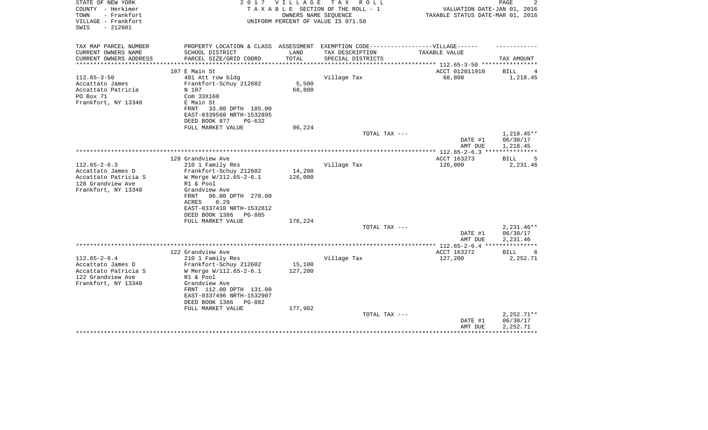| STATE OF NEW YORK<br>COUNTY - Herkimer<br>- Frankfort<br>TOWN<br>VILLAGE - Frankfort<br>$-212601$<br>SWIS | 2017                                       | <b>VILLAGE</b> | T A X<br>R O L L<br>TAXABLE SECTION OF THE ROLL - 1<br>OWNERS NAME SEOUENCE<br>UNIFORM PERCENT OF VALUE IS 071.50 | VALUATION DATE-JAN 01, 2016<br>TAXABLE STATUS DATE-MAR 01, 2016 | PAGE             |
|-----------------------------------------------------------------------------------------------------------|--------------------------------------------|----------------|-------------------------------------------------------------------------------------------------------------------|-----------------------------------------------------------------|------------------|
| TAX MAP PARCEL NUMBER                                                                                     | PROPERTY LOCATION & CLASS ASSESSMENT       |                | EXEMPTION CODE-------------------VILLAGE------                                                                    |                                                                 |                  |
| CURRENT OWNERS NAME<br>CURRENT OWNERS ADDRESS<br>**********************                                   | SCHOOL DISTRICT<br>PARCEL SIZE/GRID COORD  | LAND<br>TOTAL  | TAX DESCRIPTION<br>SPECIAL DISTRICTS                                                                              | TAXABLE VALUE                                                   | TAX AMOUNT       |
|                                                                                                           | 107 E Main St                              |                |                                                                                                                   | ACCT 012011910                                                  | <b>BILL</b><br>4 |
| $112.65 - 3 - 50$                                                                                         | 481 Att row bldg                           |                | Village Tax                                                                                                       | 68,800                                                          | 1,218.45         |
| Accattato James                                                                                           | Frankfort-Schuy 212602                     | 5,500          |                                                                                                                   |                                                                 |                  |
| Accattato Patricia                                                                                        | N 107                                      | 68,800         |                                                                                                                   |                                                                 |                  |
| PO Box 71                                                                                                 | Com 33X160                                 |                |                                                                                                                   |                                                                 |                  |
| Frankfort, NY 13340                                                                                       | E Main St                                  |                |                                                                                                                   |                                                                 |                  |
|                                                                                                           | FRNT<br>33.00 DPTH 185.00                  |                |                                                                                                                   |                                                                 |                  |
|                                                                                                           | EAST-0339560 NRTH-1532895                  |                |                                                                                                                   |                                                                 |                  |
|                                                                                                           | DEED BOOK 877<br>$PG-632$                  |                |                                                                                                                   |                                                                 |                  |
|                                                                                                           | FULL MARKET VALUE                          | 96,224         |                                                                                                                   |                                                                 | $1,218.45**$     |
|                                                                                                           |                                            |                | TOTAL TAX ---                                                                                                     | DATE #1                                                         | 06/30/17         |
|                                                                                                           |                                            |                |                                                                                                                   | AMT DUE                                                         | 1,218.45         |
|                                                                                                           |                                            |                |                                                                                                                   |                                                                 |                  |
|                                                                                                           | 128 Grandview Ave                          |                |                                                                                                                   | ACCT 163273                                                     | 5<br>BILL        |
| $112.65 - 2 - 6.3$                                                                                        | 210 1 Family Res                           |                | Village Tax                                                                                                       | 126,000                                                         | 2,231.46         |
| Accattato James D                                                                                         | Frankfort-Schuy 212602                     | 14,200         |                                                                                                                   |                                                                 |                  |
| Accattato Patricia S                                                                                      | W Merge W/112.65-2-6.1                     | 126,000        |                                                                                                                   |                                                                 |                  |
| 128 Grandview Ave                                                                                         | R1 & Pool                                  |                |                                                                                                                   |                                                                 |                  |
| Frankfort, NY 13340                                                                                       | Grandview Ave                              |                |                                                                                                                   |                                                                 |                  |
|                                                                                                           | FRNT<br>96.00 DPTH 270.00<br>0.29<br>ACRES |                |                                                                                                                   |                                                                 |                  |
|                                                                                                           | EAST-0337410 NRTH-1532812                  |                |                                                                                                                   |                                                                 |                  |
|                                                                                                           | DEED BOOK 1386<br>$PG-885$                 |                |                                                                                                                   |                                                                 |                  |
|                                                                                                           | FULL MARKET VALUE                          | 176,224        |                                                                                                                   |                                                                 |                  |
|                                                                                                           |                                            |                | TOTAL TAX ---                                                                                                     |                                                                 | $2,231.46**$     |
|                                                                                                           |                                            |                |                                                                                                                   | DATE #1                                                         | 06/30/17         |
|                                                                                                           |                                            |                |                                                                                                                   | AMT DUE                                                         | 2,231.46         |
|                                                                                                           |                                            |                |                                                                                                                   | ************ 112.65-2-6.4 ***                                   |                  |
|                                                                                                           | 122 Grandview Ave                          |                |                                                                                                                   | ACCT 163272                                                     | BILL<br>6        |
| $112.65 - 2 - 6.4$                                                                                        | 210 1 Family Res                           |                | Village Tax                                                                                                       | 127,200                                                         | 2,252.71         |
| Accattato James D                                                                                         | Frankfort-Schuy 212602                     | 15,100         |                                                                                                                   |                                                                 |                  |
| Accattato Patricia S<br>122 Grandview Ave                                                                 | W Merge W/112.65-2-6.1<br>R1 & Pool        | 127,200        |                                                                                                                   |                                                                 |                  |
| Frankfort, NY 13340                                                                                       | Grandview Ave                              |                |                                                                                                                   |                                                                 |                  |
|                                                                                                           | FRNT 112.00 DPTH 131.00                    |                |                                                                                                                   |                                                                 |                  |
|                                                                                                           | EAST-0337496 NRTH-1532907                  |                |                                                                                                                   |                                                                 |                  |
|                                                                                                           | DEED BOOK 1386<br>PG-882                   |                |                                                                                                                   |                                                                 |                  |
|                                                                                                           | FULL MARKET VALUE                          | 177,902        |                                                                                                                   |                                                                 |                  |
|                                                                                                           |                                            |                | TOTAL TAX ---                                                                                                     |                                                                 | $2,252.71**$     |
|                                                                                                           |                                            |                |                                                                                                                   | DATE #1                                                         | 06/30/17         |
|                                                                                                           |                                            |                |                                                                                                                   | AMT DUE                                                         | 2,252.71         |
|                                                                                                           |                                            |                |                                                                                                                   |                                                                 |                  |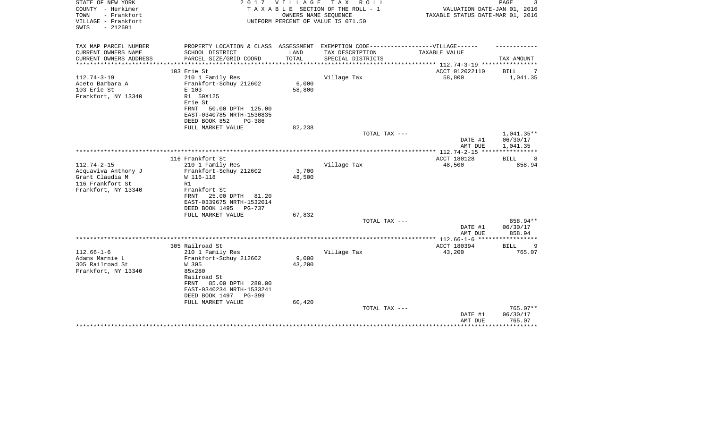| STATE OF NEW YORK<br>COUNTY - Herkimer<br>TOWN<br>- Frankfort<br>VILLAGE - Frankfort<br>$-212601$<br>SWIS | 2 0 1 7                                     | VILLAGE | T A X<br>ROLL<br>TAXABLE SECTION OF THE ROLL - 1<br>OWNERS NAME SEQUENCE<br>UNIFORM PERCENT OF VALUE IS 071.50 | VALUATION DATE-JAN 01, 2016<br>TAXABLE STATUS DATE-MAR 01, 2016 | PAGE               |
|-----------------------------------------------------------------------------------------------------------|---------------------------------------------|---------|----------------------------------------------------------------------------------------------------------------|-----------------------------------------------------------------|--------------------|
| TAX MAP PARCEL NUMBER                                                                                     | PROPERTY LOCATION & CLASS ASSESSMENT        |         | EXEMPTION CODE------------------VILLAGE------                                                                  |                                                                 |                    |
| CURRENT OWNERS NAME                                                                                       | SCHOOL DISTRICT                             | LAND    | TAX DESCRIPTION                                                                                                | TAXABLE VALUE                                                   |                    |
| CURRENT OWNERS ADDRESS<br>*********************                                                           | PARCEL SIZE/GRID COORD                      | TOTAL   | SPECIAL DISTRICTS                                                                                              | ******************************** 112.74-3-19 ***********        | TAX AMOUNT         |
|                                                                                                           | 103 Erie St                                 |         |                                                                                                                | ACCT 012022110                                                  | BILL               |
| $112.74 - 3 - 19$                                                                                         | 210 1 Family Res                            |         | Village Tax                                                                                                    | 58,800                                                          | 1,041.35           |
| Aceto Barbara A                                                                                           | Frankfort-Schuy 212602                      | 6,000   |                                                                                                                |                                                                 |                    |
| 103 Erie St                                                                                               | E 103                                       | 58,800  |                                                                                                                |                                                                 |                    |
| Frankfort, NY 13340                                                                                       | R1 50X125                                   |         |                                                                                                                |                                                                 |                    |
|                                                                                                           | Erie St<br>50.00 DPTH 125.00<br>FRNT        |         |                                                                                                                |                                                                 |                    |
|                                                                                                           | EAST-0340785 NRTH-1530835                   |         |                                                                                                                |                                                                 |                    |
|                                                                                                           | DEED BOOK 852<br><b>PG-386</b>              |         |                                                                                                                |                                                                 |                    |
|                                                                                                           | FULL MARKET VALUE                           | 82,238  |                                                                                                                |                                                                 |                    |
|                                                                                                           |                                             |         | TOTAL TAX ---                                                                                                  |                                                                 | $1,041.35**$       |
|                                                                                                           |                                             |         |                                                                                                                | DATE #1                                                         | 06/30/17           |
|                                                                                                           |                                             |         |                                                                                                                | AMT DUE<br>****************** 112.74-2-15 **********            | 1,041.35           |
|                                                                                                           | 116 Frankfort St                            |         |                                                                                                                | ACCT 180128                                                     | <b>BILL</b><br>8   |
| $112.74 - 2 - 15$                                                                                         | 210 1 Family Res                            |         | Village Tax                                                                                                    | 48,500                                                          | 858.94             |
| Acquaviva Anthony J                                                                                       | Frankfort-Schuy 212602                      | 3,700   |                                                                                                                |                                                                 |                    |
| Grant Claudia M                                                                                           | W 116-118                                   | 48,500  |                                                                                                                |                                                                 |                    |
| 116 Frankfort St                                                                                          | R1                                          |         |                                                                                                                |                                                                 |                    |
| Frankfort, NY 13340                                                                                       | Frankfort St<br>25.00 DPTH<br>FRNT<br>81.20 |         |                                                                                                                |                                                                 |                    |
|                                                                                                           | EAST-0339675 NRTH-1532014                   |         |                                                                                                                |                                                                 |                    |
|                                                                                                           | DEED BOOK 1495<br>PG-737                    |         |                                                                                                                |                                                                 |                    |
|                                                                                                           | FULL MARKET VALUE                           | 67,832  |                                                                                                                |                                                                 |                    |
|                                                                                                           |                                             |         | TOTAL TAX ---                                                                                                  |                                                                 | 858.94**           |
|                                                                                                           |                                             |         |                                                                                                                | DATE #1<br>AMT DUE                                              | 06/30/17<br>858.94 |
|                                                                                                           |                                             |         |                                                                                                                | ************ 112.66-1-6<br>*****                                |                    |
|                                                                                                           | 305 Railroad St                             |         |                                                                                                                | ACCT 180394                                                     | BILL<br>9          |
| $112.66 - 1 - 6$                                                                                          | 210 1 Family Res                            |         | Village Tax                                                                                                    | 43,200                                                          | 765.07             |
| Adams Marnie L                                                                                            | Frankfort-Schuy 212602                      | 9,000   |                                                                                                                |                                                                 |                    |
| 305 Railroad St                                                                                           | W 305                                       | 43,200  |                                                                                                                |                                                                 |                    |
| Frankfort, NY 13340                                                                                       | 85x280<br>Railroad St                       |         |                                                                                                                |                                                                 |                    |
|                                                                                                           | FRNT<br>85.00 DPTH 280.00                   |         |                                                                                                                |                                                                 |                    |
|                                                                                                           | EAST-0340234 NRTH-1533241                   |         |                                                                                                                |                                                                 |                    |
|                                                                                                           | DEED BOOK 1497<br>PG-399                    |         |                                                                                                                |                                                                 |                    |
|                                                                                                           | FULL MARKET VALUE                           | 60,420  |                                                                                                                |                                                                 |                    |
|                                                                                                           |                                             |         | TOTAL TAX ---                                                                                                  |                                                                 | 765.07**           |
|                                                                                                           |                                             |         |                                                                                                                | DATE #1<br>AMT DUE                                              | 06/30/17<br>765.07 |
|                                                                                                           |                                             |         |                                                                                                                |                                                                 |                    |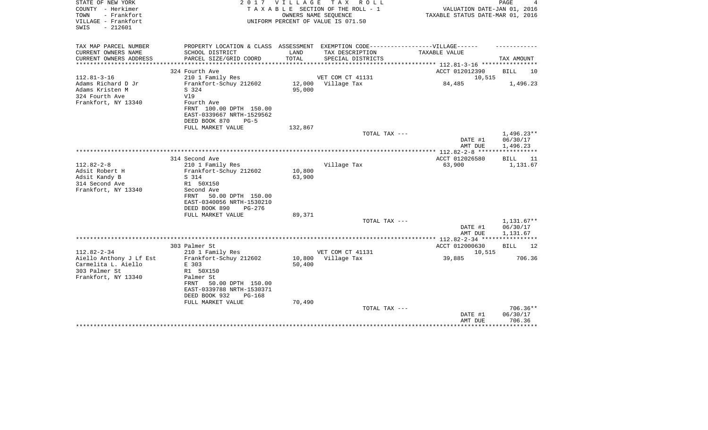| STATE OF NEW YORK<br>COUNTY - Herkimer<br>TOWN<br>- Frankfort<br>VILLAGE - Frankfort<br>$-212601$<br>SWIS   | 2 0 1 7                                                                                                                                                                                 | VILLAGE TAX      | R O L L<br>TAXABLE SECTION OF THE ROLL - 1<br>OWNERS NAME SEQUENCE<br>UNIFORM PERCENT OF VALUE IS 071.50 | VALUATION DATE-JAN 01, 2016<br>TAXABLE STATUS DATE-MAR 01, 2016 | PAGE                                 |
|-------------------------------------------------------------------------------------------------------------|-----------------------------------------------------------------------------------------------------------------------------------------------------------------------------------------|------------------|----------------------------------------------------------------------------------------------------------|-----------------------------------------------------------------|--------------------------------------|
| TAX MAP PARCEL NUMBER<br>CURRENT OWNERS NAME<br>CURRENT OWNERS ADDRESS                                      | PROPERTY LOCATION & CLASS ASSESSMENT<br>SCHOOL DISTRICT<br>PARCEL SIZE/GRID COORD                                                                                                       | LAND<br>TOTAL    | TAX DESCRIPTION<br>SPECIAL DISTRICTS                                                                     | EXEMPTION CODE------------------VILLAGE------<br>TAXABLE VALUE  | TAX AMOUNT                           |
|                                                                                                             | ***********************                                                                                                                                                                 |                  |                                                                                                          | **************** 112.81-3-16 **********                         |                                      |
| $112.81 - 3 - 16$<br>Adams Richard D Jr<br>Adams Kristen M<br>324 Fourth Ave<br>Frankfort, NY 13340         | 324 Fourth Ave<br>210 1 Family Res<br>Frankfort-Schuy 212602<br>S 324<br>V19<br>Fourth Ave<br>FRNT 100.00 DPTH 150.00<br>EAST-0339667 NRTH-1529562<br>DEED BOOK 870<br>$PG-5$           | 12,000<br>95,000 | VET COM CT 41131<br>Village Tax                                                                          | ACCT 012012390<br>10,515<br>84,485                              | BILL<br>10<br>1,496.23               |
|                                                                                                             | FULL MARKET VALUE                                                                                                                                                                       | 132,867          |                                                                                                          |                                                                 |                                      |
|                                                                                                             |                                                                                                                                                                                         |                  | TOTAL TAX ---                                                                                            | DATE #1<br>AMT DUE                                              | $1,496.23**$<br>06/30/17<br>1,496.23 |
|                                                                                                             |                                                                                                                                                                                         |                  |                                                                                                          | *************** 112.82-2-8 ******************                   |                                      |
| $112.82 - 2 - 8$<br>Adsit Robert H<br>Adsit Kandy B<br>314 Second Ave<br>Frankfort, NY 13340                | 314 Second Ave<br>210 1 Family Res<br>Frankfort-Schuy 212602<br>S 314<br>R1 50X150<br>Second Ave<br>50.00 DPTH 150.00<br>FRNT<br>EAST-0340056 NRTH-1530210<br>DEED BOOK 890<br>$PG-276$ | 10,800<br>63,900 | Village Tax                                                                                              | ACCT 012026580<br>63,900                                        | <b>BILL</b><br>11<br>1,131.67        |
|                                                                                                             | FULL MARKET VALUE                                                                                                                                                                       | 89,371           | TOTAL TAX ---                                                                                            |                                                                 | $1,131.67**$                         |
|                                                                                                             |                                                                                                                                                                                         |                  |                                                                                                          | DATE #1<br>AMT DUE                                              | 06/30/17<br>1,131.67                 |
|                                                                                                             |                                                                                                                                                                                         |                  |                                                                                                          | *************** 112.82-2-34 ***********                         |                                      |
| $112.82 - 2 - 34$<br>Aiello Anthony J Lf Est<br>Carmelita L. Aiello<br>303 Palmer St<br>Frankfort, NY 13340 | 303 Palmer St<br>210 1 Family Res<br>Frankfort-Schuy 212602<br>E 303<br>R1 50X150<br>Palmer St<br>50.00 DPTH 150.00<br>FRNT<br>EAST-0339788 NRTH-1530371<br>DEED BOOK 932<br>$PG-168$   | 10,800<br>50,400 | VET COM CT 41131<br>Village Tax                                                                          | ACCT 012000630<br>10,515<br>39,885                              | <b>BILL</b><br>12<br>706.36          |
|                                                                                                             | FULL MARKET VALUE                                                                                                                                                                       | 70,490           | TOTAL TAX ---                                                                                            | DATE #1<br>AMT DUE                                              | $706.36**$<br>06/30/17<br>706.36     |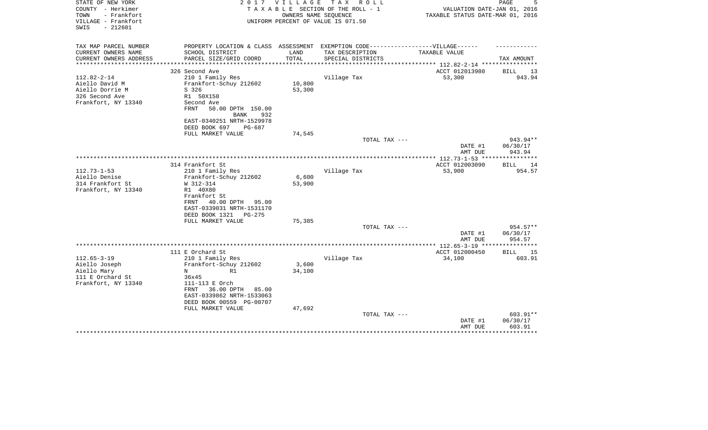| STATE OF NEW YORK<br>COUNTY - Herkimer<br>- Frankfort<br>TOWN<br>VILLAGE - Frankfort<br>$-212601$<br>SWIS | 2 0 1 7                                                                          | VILLAGE       | T A X<br>R O L L<br>TAXABLE SECTION OF THE ROLL - 1<br>OWNERS NAME SEOUENCE<br>UNIFORM PERCENT OF VALUE IS 071.50 | VALUATION DATE-JAN 01, 2016<br>TAXABLE STATUS DATE-MAR 01, 2016 | PAGE<br>5          |
|-----------------------------------------------------------------------------------------------------------|----------------------------------------------------------------------------------|---------------|-------------------------------------------------------------------------------------------------------------------|-----------------------------------------------------------------|--------------------|
| TAX MAP PARCEL NUMBER                                                                                     | PROPERTY LOCATION & CLASS ASSESSMENT EXEMPTION CODE----------------VILLAGE------ |               |                                                                                                                   |                                                                 |                    |
| CURRENT OWNERS NAME<br>CURRENT OWNERS ADDRESS                                                             | SCHOOL DISTRICT<br>PARCEL SIZE/GRID COORD                                        | LAND<br>TOTAL | TAX DESCRIPTION<br>SPECIAL DISTRICTS                                                                              | TAXABLE VALUE<br>*********** 112.82-2-14 ****                   | TAX AMOUNT         |
|                                                                                                           | 326 Second Ave                                                                   |               |                                                                                                                   | ACCT 012013980                                                  | <b>BILL</b><br>13  |
| $112.82 - 2 - 14$                                                                                         | 210 1 Family Res                                                                 |               | Village Tax                                                                                                       | 53,300                                                          | 943.94             |
| Aiello David M                                                                                            | Frankfort-Schuy 212602                                                           | 10,800        |                                                                                                                   |                                                                 |                    |
| Aiello Dorrie M                                                                                           | S 326                                                                            | 53,300        |                                                                                                                   |                                                                 |                    |
| 326 Second Ave                                                                                            | R1 50X150                                                                        |               |                                                                                                                   |                                                                 |                    |
| Frankfort, NY 13340                                                                                       | Second Ave                                                                       |               |                                                                                                                   |                                                                 |                    |
|                                                                                                           | <b>FRNT</b><br>50.00 DPTH 150.00                                                 |               |                                                                                                                   |                                                                 |                    |
|                                                                                                           | <b>BANK</b><br>932                                                               |               |                                                                                                                   |                                                                 |                    |
|                                                                                                           | EAST-0340251 NRTH-1529978                                                        |               |                                                                                                                   |                                                                 |                    |
|                                                                                                           | DEED BOOK 697<br>PG-687                                                          |               |                                                                                                                   |                                                                 |                    |
|                                                                                                           | FULL MARKET VALUE                                                                | 74,545        |                                                                                                                   |                                                                 |                    |
|                                                                                                           |                                                                                  |               | TOTAL TAX ---                                                                                                     |                                                                 | 943.94**           |
|                                                                                                           |                                                                                  |               |                                                                                                                   | DATE #1<br>AMT DUE                                              | 06/30/17<br>943.94 |
|                                                                                                           |                                                                                  |               |                                                                                                                   |                                                                 |                    |
|                                                                                                           | 314 Frankfort St                                                                 |               |                                                                                                                   | ACCT 012003090                                                  | 14<br><b>BILL</b>  |
| $112.73 - 1 - 53$                                                                                         | 210 1 Family Res                                                                 |               | Village Tax                                                                                                       | 53,900                                                          | 954.57             |
| Aiello Denise                                                                                             | Frankfort-Schuy 212602                                                           | 6,600         |                                                                                                                   |                                                                 |                    |
| 314 Frankfort St                                                                                          | W 312-314                                                                        | 53,900        |                                                                                                                   |                                                                 |                    |
| Frankfort, NY 13340                                                                                       | R1 40X80                                                                         |               |                                                                                                                   |                                                                 |                    |
|                                                                                                           | Frankfort St                                                                     |               |                                                                                                                   |                                                                 |                    |
|                                                                                                           | 40.00 DPTH 95.00<br>FRNT                                                         |               |                                                                                                                   |                                                                 |                    |
|                                                                                                           | EAST-0339031 NRTH-1531170                                                        |               |                                                                                                                   |                                                                 |                    |
|                                                                                                           | DEED BOOK 1321<br>PG-275                                                         |               |                                                                                                                   |                                                                 |                    |
|                                                                                                           | FULL MARKET VALUE                                                                | 75,385        |                                                                                                                   |                                                                 |                    |
|                                                                                                           |                                                                                  |               | TOTAL TAX ---                                                                                                     |                                                                 | 954.57**           |
|                                                                                                           |                                                                                  |               |                                                                                                                   | DATE #1                                                         | 06/30/17           |
|                                                                                                           |                                                                                  |               |                                                                                                                   | AMT DUE                                                         | 954.57             |
|                                                                                                           | 111 E Orchard St                                                                 |               |                                                                                                                   | ACCT 012000450                                                  | 15<br>BILL         |
| $112.65 - 3 - 19$                                                                                         | 210 1 Family Res                                                                 |               | Village Tax                                                                                                       | 34,100                                                          | 603.91             |
| Aiello Joseph                                                                                             | Frankfort-Schuy 212602                                                           | 3,600         |                                                                                                                   |                                                                 |                    |
| Aiello Mary                                                                                               | N<br>R1                                                                          | 34,100        |                                                                                                                   |                                                                 |                    |
| 111 E Orchard St                                                                                          | 36x45                                                                            |               |                                                                                                                   |                                                                 |                    |
| Frankfort, NY 13340                                                                                       | 111-113 E Orch                                                                   |               |                                                                                                                   |                                                                 |                    |
|                                                                                                           | 36.00 DPTH<br>FRNT<br>85.00                                                      |               |                                                                                                                   |                                                                 |                    |
|                                                                                                           | EAST-0339862 NRTH-1533063                                                        |               |                                                                                                                   |                                                                 |                    |
|                                                                                                           | DEED BOOK 00559 PG-00707                                                         |               |                                                                                                                   |                                                                 |                    |
|                                                                                                           | FULL MARKET VALUE                                                                | 47,692        |                                                                                                                   |                                                                 |                    |
|                                                                                                           |                                                                                  |               | TOTAL TAX ---                                                                                                     |                                                                 | 603.91**           |
|                                                                                                           |                                                                                  |               |                                                                                                                   | DATE #1                                                         | 06/30/17           |
|                                                                                                           |                                                                                  |               |                                                                                                                   | AMT DUE                                                         | 603.91             |
|                                                                                                           |                                                                                  |               |                                                                                                                   |                                                                 |                    |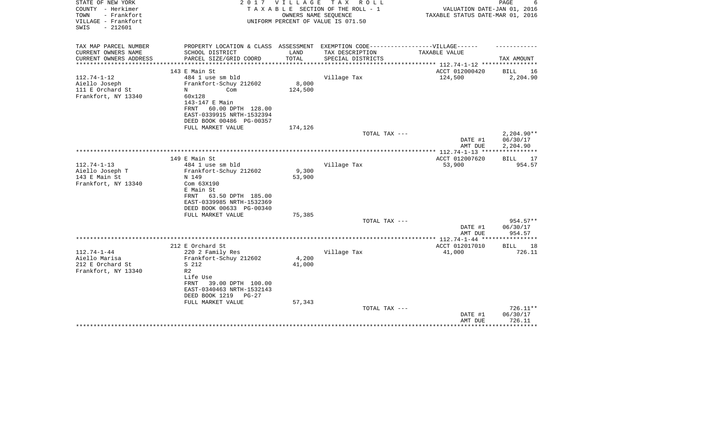| STATE OF NEW YORK<br>COUNTY - Herkimer<br>- Frankfort<br>TOWN<br>VILLAGE - Frankfort<br>$-212601$<br>SWIS | 2 0 1 7                                               | VILLAGE         | TAX ROLL<br>TAXABLE SECTION OF THE ROLL - 1<br>OWNERS NAME SEQUENCE<br>UNIFORM PERCENT OF VALUE IS 071.50 | VALUATION DATE-JAN 01, 2016<br>TAXABLE STATUS DATE-MAR 01, 2016 | PAGE<br>6          |
|-----------------------------------------------------------------------------------------------------------|-------------------------------------------------------|-----------------|-----------------------------------------------------------------------------------------------------------|-----------------------------------------------------------------|--------------------|
| TAX MAP PARCEL NUMBER                                                                                     |                                                       |                 | PROPERTY LOCATION & CLASS ASSESSMENT EXEMPTION CODE-----------------VILLAGE------                         |                                                                 |                    |
| CURRENT OWNERS NAME<br>CURRENT OWNERS ADDRESS                                                             | SCHOOL DISTRICT<br>PARCEL SIZE/GRID COORD             | LAND<br>TOTAL   | TAX DESCRIPTION<br>SPECIAL DISTRICTS                                                                      | TAXABLE VALUE                                                   | TAX AMOUNT         |
| **********************                                                                                    |                                                       |                 |                                                                                                           |                                                                 |                    |
|                                                                                                           | 143 E Main St                                         |                 |                                                                                                           | ACCT 012000420                                                  | BILL<br>16         |
| $112.74 - 1 - 12$                                                                                         | 484 1 use sm bld                                      |                 | Village Tax                                                                                               | 124,500                                                         | 2,204.90           |
| Aiello Joseph                                                                                             | Frankfort-Schuy 212602                                | 8,000           |                                                                                                           |                                                                 |                    |
| 111 E Orchard St<br>N<br>Frankfort, NY 13340                                                              | Com<br>60x128                                         | 124,500         |                                                                                                           |                                                                 |                    |
|                                                                                                           | 143-147 E Main                                        |                 |                                                                                                           |                                                                 |                    |
|                                                                                                           | 60.00 DPTH 128.00<br>FRNT                             |                 |                                                                                                           |                                                                 |                    |
|                                                                                                           | EAST-0339915 NRTH-1532394                             |                 |                                                                                                           |                                                                 |                    |
|                                                                                                           | DEED BOOK 00486 PG-00357                              |                 |                                                                                                           |                                                                 |                    |
|                                                                                                           | FULL MARKET VALUE                                     | 174,126         |                                                                                                           |                                                                 |                    |
|                                                                                                           |                                                       |                 | TOTAL TAX ---                                                                                             |                                                                 | $2,204.90**$       |
|                                                                                                           |                                                       |                 |                                                                                                           | DATE #1                                                         | 06/30/17           |
|                                                                                                           |                                                       |                 |                                                                                                           | AMT DUE                                                         | 2,204.90           |
|                                                                                                           | 149 E Main St                                         |                 |                                                                                                           | ACCT 012007620                                                  | BILL<br>17         |
| $112.74 - 1 - 13$                                                                                         | 484 1 use sm bld                                      |                 | Village Tax                                                                                               | 53,900                                                          | 954.57             |
| Aiello Joseph T                                                                                           | Frankfort-Schuy 212602                                | 9,300           |                                                                                                           |                                                                 |                    |
| 143 E Main St                                                                                             | N 149                                                 | 53,900          |                                                                                                           |                                                                 |                    |
| Frankfort, NY 13340                                                                                       | Com 63X190                                            |                 |                                                                                                           |                                                                 |                    |
|                                                                                                           | E Main St                                             |                 |                                                                                                           |                                                                 |                    |
|                                                                                                           | 63.50 DPTH 185.00<br>FRNT                             |                 |                                                                                                           |                                                                 |                    |
|                                                                                                           | EAST-0339985 NRTH-1532369<br>DEED BOOK 00633 PG-00340 |                 |                                                                                                           |                                                                 |                    |
|                                                                                                           | FULL MARKET VALUE                                     | 75,385          |                                                                                                           |                                                                 |                    |
|                                                                                                           |                                                       |                 | TOTAL TAX ---                                                                                             |                                                                 | 954.57**           |
|                                                                                                           |                                                       |                 |                                                                                                           | DATE #1                                                         | 06/30/17           |
|                                                                                                           |                                                       |                 |                                                                                                           | AMT DUE                                                         | 954.57             |
|                                                                                                           |                                                       |                 |                                                                                                           |                                                                 |                    |
|                                                                                                           | 212 E Orchard St                                      |                 |                                                                                                           | ACCT 012017010                                                  | <b>BILL</b><br>18  |
| $112.74 - 1 - 44$                                                                                         | 220 2 Family Res                                      |                 | Village Tax                                                                                               | 41,000                                                          | 726.11             |
| Aiello Marisa                                                                                             | Frankfort-Schuy 212602                                | 4,200<br>41,000 |                                                                                                           |                                                                 |                    |
| 212 E Orchard St<br>Frankfort, NY 13340<br>R <sub>2</sub>                                                 | S 212                                                 |                 |                                                                                                           |                                                                 |                    |
|                                                                                                           | Life Use                                              |                 |                                                                                                           |                                                                 |                    |
|                                                                                                           | FRNT<br>39.00 DPTH 100.00                             |                 |                                                                                                           |                                                                 |                    |
|                                                                                                           | EAST-0340463 NRTH-1532143                             |                 |                                                                                                           |                                                                 |                    |
|                                                                                                           | DEED BOOK 1219<br>$PG-27$                             |                 |                                                                                                           |                                                                 |                    |
|                                                                                                           | FULL MARKET VALUE                                     | 57,343          |                                                                                                           |                                                                 |                    |
|                                                                                                           |                                                       |                 | TOTAL TAX ---                                                                                             |                                                                 | $726.11**$         |
|                                                                                                           |                                                       |                 |                                                                                                           | DATE #1                                                         | 06/30/17<br>726.11 |
|                                                                                                           |                                                       |                 |                                                                                                           | AMT DUE                                                         | * * * * * * * * *  |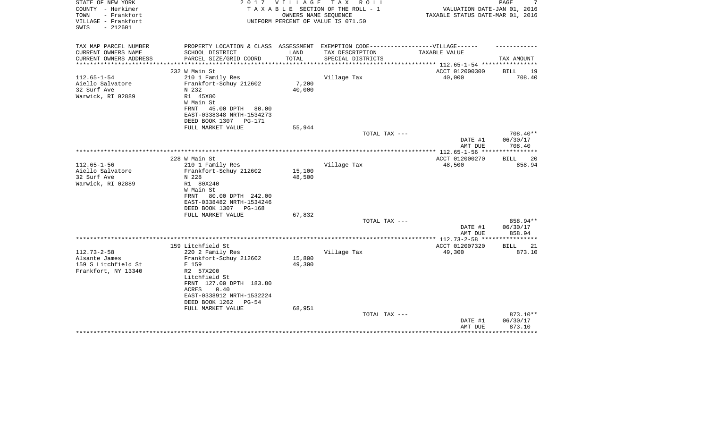| STATE OF NEW YORK<br>COUNTY - Herkimer                          | 2 0 1 7                                                                          | V I L L A G E    | T A X<br>R O L L<br>TAXABLE SECTION OF THE ROLL - 1        | VALUATION DATE-JAN 01, 2016                               | PAGE                        |
|-----------------------------------------------------------------|----------------------------------------------------------------------------------|------------------|------------------------------------------------------------|-----------------------------------------------------------|-----------------------------|
| TOWN<br>- Frankfort<br>VILLAGE - Frankfort<br>$-212601$<br>SWIS |                                                                                  |                  | OWNERS NAME SEQUENCE<br>UNIFORM PERCENT OF VALUE IS 071.50 | TAXABLE STATUS DATE-MAR 01, 2016                          |                             |
| TAX MAP PARCEL NUMBER                                           | PROPERTY LOCATION & CLASS ASSESSMENT EXEMPTION CODE----------------VILLAGE------ |                  |                                                            |                                                           |                             |
| CURRENT OWNERS NAME                                             | SCHOOL DISTRICT                                                                  | LAND             | TAX DESCRIPTION                                            | TAXABLE VALUE                                             |                             |
| CURRENT OWNERS ADDRESS                                          | PARCEL SIZE/GRID COORD                                                           | TOTAL            | SPECIAL DISTRICTS                                          |                                                           | TAX AMOUNT                  |
|                                                                 | 232 W Main St                                                                    |                  |                                                            | ***************** 112.65-1-54 *********<br>ACCT 012000300 | <b>BILL</b><br>19           |
| $112.65 - 1 - 54$                                               | 210 1 Family Res                                                                 |                  | Village Tax                                                | 40,000                                                    | 708.40                      |
| Aiello Salvatore                                                | Frankfort-Schuy 212602                                                           | 7,200            |                                                            |                                                           |                             |
| 32 Surf Ave                                                     | N 232                                                                            | 40,000           |                                                            |                                                           |                             |
| Warwick, RI 02889                                               | R1 45X80                                                                         |                  |                                                            |                                                           |                             |
|                                                                 | W Main St                                                                        |                  |                                                            |                                                           |                             |
|                                                                 | FRNT<br>45.00 DPTH 80.00                                                         |                  |                                                            |                                                           |                             |
|                                                                 | EAST-0338348 NRTH-1534273<br>DEED BOOK 1307 PG-171                               |                  |                                                            |                                                           |                             |
|                                                                 | FULL MARKET VALUE                                                                | 55,944           |                                                            |                                                           |                             |
|                                                                 |                                                                                  |                  | TOTAL TAX ---                                              |                                                           | 708.40**                    |
|                                                                 |                                                                                  |                  |                                                            | DATE #1                                                   | 06/30/17                    |
|                                                                 |                                                                                  |                  |                                                            | AMT DUE                                                   | 708.40                      |
|                                                                 |                                                                                  |                  |                                                            | ************** 112.65-1-56 ****                           |                             |
| $112.65 - 1 - 56$                                               | 228 W Main St<br>210 1 Family Res                                                |                  | Village Tax                                                | ACCT 012000270<br>48,500                                  | 20<br><b>BILL</b><br>858.94 |
| Aiello Salvatore                                                | Frankfort-Schuy 212602                                                           | 15,100           |                                                            |                                                           |                             |
| 32 Surf Ave                                                     | N 228                                                                            | 48,500           |                                                            |                                                           |                             |
| Warwick, RI 02889                                               | R1 80X240                                                                        |                  |                                                            |                                                           |                             |
|                                                                 | W Main St                                                                        |                  |                                                            |                                                           |                             |
|                                                                 | 80.00 DPTH 242.00<br>FRNT                                                        |                  |                                                            |                                                           |                             |
|                                                                 | EAST-0338482 NRTH-1534246                                                        |                  |                                                            |                                                           |                             |
|                                                                 | DEED BOOK 1307 PG-168                                                            | 67,832           |                                                            |                                                           |                             |
|                                                                 | FULL MARKET VALUE                                                                |                  | TOTAL TAX ---                                              |                                                           | 858.94**                    |
|                                                                 |                                                                                  |                  |                                                            | DATE #1                                                   | 06/30/17                    |
|                                                                 |                                                                                  |                  |                                                            | AMT DUE                                                   | 858.94                      |
|                                                                 |                                                                                  |                  |                                                            | **************** 112.73-2-58 ***                          |                             |
|                                                                 | 159 Litchfield St                                                                |                  |                                                            | ACCT 012007320                                            | <b>BILL</b><br>21           |
| $112.73 - 2 - 58$                                               | 220 2 Family Res                                                                 |                  | Village Tax                                                | 49,300                                                    | 873.10                      |
| Alsante James<br>159 S Litchfield St                            | Frankfort-Schuy 212602<br>E 159                                                  | 15,800<br>49,300 |                                                            |                                                           |                             |
| Frankfort, NY 13340                                             | R2 57X200                                                                        |                  |                                                            |                                                           |                             |
|                                                                 | Litchfield St                                                                    |                  |                                                            |                                                           |                             |
|                                                                 | FRNT 127.00 DPTH 183.80                                                          |                  |                                                            |                                                           |                             |
|                                                                 | 0.40<br>ACRES                                                                    |                  |                                                            |                                                           |                             |
|                                                                 | EAST-0338912 NRTH-1532224                                                        |                  |                                                            |                                                           |                             |
|                                                                 | DEED BOOK 1262<br>PG-54                                                          |                  |                                                            |                                                           |                             |
|                                                                 | FULL MARKET VALUE                                                                | 68,951           | TOTAL TAX ---                                              |                                                           | 873.10**                    |
|                                                                 |                                                                                  |                  |                                                            | DATE #1                                                   | 06/30/17                    |
|                                                                 |                                                                                  |                  |                                                            | AMT DUE                                                   | 873.10                      |
|                                                                 |                                                                                  |                  |                                                            |                                                           |                             |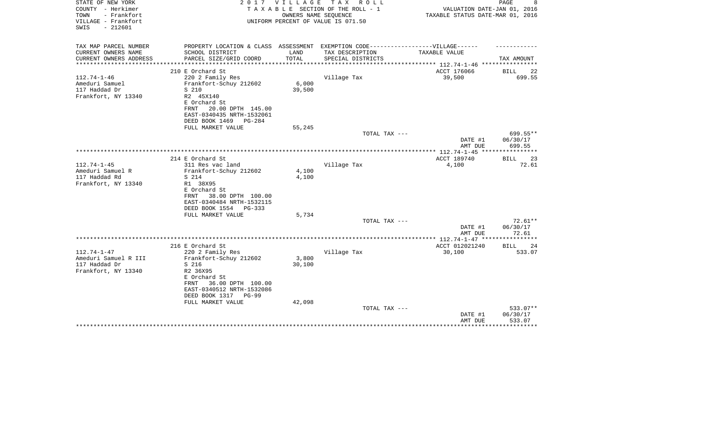| STATE OF NEW YORK<br>COUNTY - Herkimer        | 2017                                                                              | V I L L A G E          | TAX ROLL<br>TAXABLE SECTION OF THE ROLL - 1                | VALUATION DATE-JAN 01, 2016                     | PAGE                       |
|-----------------------------------------------|-----------------------------------------------------------------------------------|------------------------|------------------------------------------------------------|-------------------------------------------------|----------------------------|
| TOWN<br>- Frankfort<br>VILLAGE - Frankfort    |                                                                                   |                        | OWNERS NAME SEQUENCE<br>UNIFORM PERCENT OF VALUE IS 071.50 | TAXABLE STATUS DATE-MAR 01, 2016                |                            |
| $-212601$<br>SWIS                             |                                                                                   |                        |                                                            |                                                 |                            |
| TAX MAP PARCEL NUMBER                         | PROPERTY LOCATION & CLASS ASSESSMENT EXEMPTION CODE-----------------VILLAGE------ |                        |                                                            |                                                 |                            |
| CURRENT OWNERS NAME                           | SCHOOL DISTRICT                                                                   | LAND                   | TAX DESCRIPTION                                            | TAXABLE VALUE                                   |                            |
| CURRENT OWNERS ADDRESS<br>******************* | PARCEL SIZE/GRID COORD<br>**************************                              | TOTAL<br>************* | SPECIAL DISTRICTS                                          | ***************** 112.74-1-46 ***************** | TAX AMOUNT                 |
|                                               | 210 E Orchard St                                                                  |                        |                                                            | ACCT 176066                                     | BILL<br>22                 |
| $112.74 - 1 - 46$                             | 220 2 Family Res                                                                  |                        | Village Tax                                                | 39,500                                          | 699.55                     |
| Ameduri Samuel                                | Frankfort-Schuy 212602                                                            | 6,000                  |                                                            |                                                 |                            |
| 117 Haddad Dr                                 | S 210                                                                             | 39,500                 |                                                            |                                                 |                            |
| Frankfort, NY 13340                           | R2 45X140                                                                         |                        |                                                            |                                                 |                            |
|                                               | E Orchard St                                                                      |                        |                                                            |                                                 |                            |
|                                               | 20.00 DPTH 145.00<br>FRNT                                                         |                        |                                                            |                                                 |                            |
|                                               | EAST-0340435 NRTH-1532061                                                         |                        |                                                            |                                                 |                            |
|                                               | DEED BOOK 1469<br>PG-284                                                          |                        |                                                            |                                                 |                            |
|                                               | FULL MARKET VALUE                                                                 | 55,245                 |                                                            |                                                 |                            |
|                                               |                                                                                   |                        | TOTAL TAX ---                                              |                                                 | 699.55**                   |
|                                               |                                                                                   |                        |                                                            | DATE #1                                         | 06/30/17                   |
|                                               |                                                                                   |                        |                                                            | AMT DUE                                         | 699.55                     |
|                                               |                                                                                   |                        |                                                            |                                                 |                            |
| $112.74 - 1 - 45$                             | 214 E Orchard St                                                                  |                        |                                                            | ACCT 189740                                     | <b>BILL</b><br>23<br>72.61 |
| Ameduri Samuel R                              | 311 Res vac land<br>Frankfort-Schuy 212602                                        | 4,100                  | Village Tax                                                | 4,100                                           |                            |
| 117 Haddad Rd                                 | S 214                                                                             | 4,100                  |                                                            |                                                 |                            |
| Frankfort, NY 13340                           | R1 38X95                                                                          |                        |                                                            |                                                 |                            |
|                                               | E Orchard St                                                                      |                        |                                                            |                                                 |                            |
|                                               | 38.00 DPTH 100.00<br>FRNT                                                         |                        |                                                            |                                                 |                            |
|                                               | EAST-0340484 NRTH-1532115                                                         |                        |                                                            |                                                 |                            |
|                                               | DEED BOOK 1554<br>$PG-333$                                                        |                        |                                                            |                                                 |                            |
|                                               | FULL MARKET VALUE                                                                 | 5,734                  |                                                            |                                                 |                            |
|                                               |                                                                                   |                        | TOTAL TAX ---                                              |                                                 | $72.61**$                  |
|                                               |                                                                                   |                        |                                                            | DATE #1                                         | 06/30/17                   |
|                                               |                                                                                   |                        |                                                            | AMT DUE                                         | 72.61                      |
|                                               |                                                                                   |                        |                                                            |                                                 |                            |
|                                               | 216 E Orchard St                                                                  |                        |                                                            | ACCT 012021240                                  | 24<br>BILL                 |
| $112.74 - 1 - 47$                             | 220 2 Family Res                                                                  |                        | Village Tax                                                | 30,100                                          | 533.07                     |
| Ameduri Samuel R III                          | Frankfort-Schuy 212602                                                            | 3,800                  |                                                            |                                                 |                            |
| 117 Haddad Dr                                 | S 216                                                                             | 30,100                 |                                                            |                                                 |                            |
| Frankfort, NY 13340                           | R2 36X95                                                                          |                        |                                                            |                                                 |                            |
|                                               | E Orchard St<br>36.00 DPTH 100.00<br>FRNT                                         |                        |                                                            |                                                 |                            |
|                                               | EAST-0340512 NRTH-1532086                                                         |                        |                                                            |                                                 |                            |
|                                               | DEED BOOK 1317<br>PG-99                                                           |                        |                                                            |                                                 |                            |
|                                               | FULL MARKET VALUE                                                                 | 42,098                 |                                                            |                                                 |                            |
|                                               |                                                                                   |                        | TOTAL TAX ---                                              |                                                 | 533.07**                   |
|                                               |                                                                                   |                        |                                                            | DATE #1                                         | 06/30/17                   |
|                                               |                                                                                   |                        |                                                            | AMT DUE                                         | 533.07                     |
|                                               |                                                                                   |                        |                                                            |                                                 | *********                  |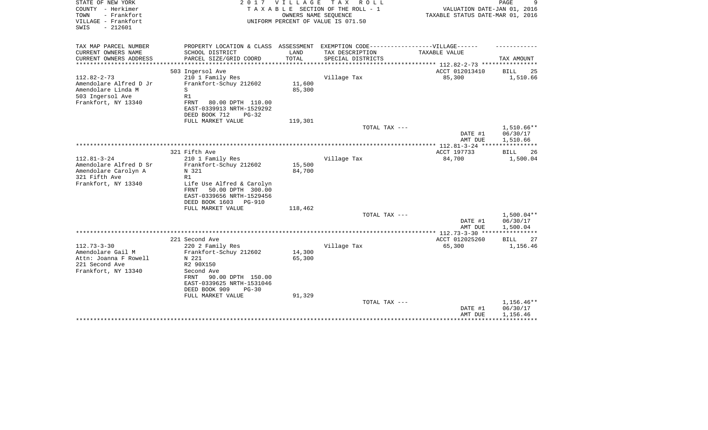| STATE OF NEW YORK<br>COUNTY - Herkimer<br>- Frankfort<br>TOWN<br>VILLAGE - Frankfort<br>$-212601$<br>SWIS    | 2017                                                                                                                                                                                        | <b>VILLAGE</b><br>OWNERS NAME SEQUENCE | T A X<br>R O L L<br>TAXABLE SECTION OF THE ROLL - 1<br>UNIFORM PERCENT OF VALUE IS 071.50 | VALUATION DATE-JAN 01, 2016<br>TAXABLE STATUS DATE-MAR 01, 2016 | 9<br>PAGE                          |
|--------------------------------------------------------------------------------------------------------------|---------------------------------------------------------------------------------------------------------------------------------------------------------------------------------------------|----------------------------------------|-------------------------------------------------------------------------------------------|-----------------------------------------------------------------|------------------------------------|
| TAX MAP PARCEL NUMBER                                                                                        |                                                                                                                                                                                             |                                        | PROPERTY LOCATION & CLASS ASSESSMENT EXEMPTION CODE-----------------VILLAGE------         |                                                                 |                                    |
| CURRENT OWNERS NAME<br>CURRENT OWNERS ADDRESS                                                                | SCHOOL DISTRICT<br>PARCEL SIZE/GRID COORD                                                                                                                                                   | LAND<br>TOTAL                          | TAX DESCRIPTION<br>SPECIAL DISTRICTS                                                      | TAXABLE VALUE                                                   | TAX AMOUNT                         |
|                                                                                                              | ********************                                                                                                                                                                        |                                        |                                                                                           | *********** 112.82-2-73 ***********                             |                                    |
|                                                                                                              | 503 Ingersol Ave                                                                                                                                                                            |                                        |                                                                                           | ACCT 012013410                                                  | <b>BILL</b><br>25                  |
| $112.82 - 2 - 73$<br>Amendolare Alfred D Jr<br>Amendolare Linda M<br>503 Ingersol Ave<br>Frankfort, NY 13340 | 210 1 Family Res<br>Frankfort-Schuy 212602<br>S<br>R1<br>FRNT<br>80.00 DPTH 110.00<br>EAST-0339913 NRTH-1529292                                                                             | 11,600<br>85,300                       | Village Tax                                                                               | 85,300                                                          | 1,510.66                           |
|                                                                                                              | DEED BOOK 712<br>$PG-32$                                                                                                                                                                    |                                        |                                                                                           |                                                                 |                                    |
|                                                                                                              | FULL MARKET VALUE                                                                                                                                                                           | 119,301                                | TOTAL TAX ---                                                                             |                                                                 | $1,510.66**$                       |
|                                                                                                              |                                                                                                                                                                                             |                                        |                                                                                           | DATE #1<br>AMT DUE                                              | 06/30/17<br>1,510.66               |
|                                                                                                              | 321 Fifth Ave                                                                                                                                                                               |                                        |                                                                                           | ACCT 197733                                                     |                                    |
| $112.81 - 3 - 24$                                                                                            | 210 1 Family Res                                                                                                                                                                            |                                        | Village Tax                                                                               | 84,700                                                          | 26<br><b>BILL</b><br>1,500.04      |
| Amendolare Alfred D Sr<br>Amendolare Carolyn A<br>321 Fifth Ave<br>Frankfort, NY 13340                       | Frankfort-Schuy 212602<br>N 321<br>R1<br>Life Use Alfred & Carolyn<br><b>FRNT</b><br>50.00 DPTH 300.00<br>EAST-0339656 NRTH-1529456<br>DEED BOOK 1603<br><b>PG-910</b><br>FULL MARKET VALUE | 15,500<br>84,700<br>118,462            |                                                                                           |                                                                 |                                    |
|                                                                                                              |                                                                                                                                                                                             |                                        | TOTAL TAX ---                                                                             |                                                                 | $1,500.04**$                       |
|                                                                                                              |                                                                                                                                                                                             |                                        |                                                                                           | DATE #1<br>AMT DUE                                              | 06/30/17<br>1,500.04               |
|                                                                                                              |                                                                                                                                                                                             |                                        |                                                                                           |                                                                 | * * * * * * * * * * *              |
|                                                                                                              | 221 Second Ave                                                                                                                                                                              |                                        |                                                                                           | ACCT 012025260                                                  | <b>BILL</b><br>27                  |
| $112.73 - 3 - 30$<br>Amendolare Gail M                                                                       | 220 2 Family Res<br>Frankfort-Schuy 212602                                                                                                                                                  | 14,300                                 | Village Tax                                                                               | 65,300                                                          | 1,156.46                           |
| Attn: Joanna F Rowell<br>221 Second Ave<br>Frankfort, NY 13340                                               | N 221<br>R2 90X150<br>Second Ave<br>90.00 DPTH 150.00<br>FRNT<br>EAST-0339625 NRTH-1531046<br>DEED BOOK 909<br>$PG-30$<br>FULL MARKET VALUE                                                 | 65,300<br>91,329                       |                                                                                           |                                                                 |                                    |
|                                                                                                              |                                                                                                                                                                                             |                                        | TOTAL TAX ---                                                                             | DATE #1<br>AMT DUE                                              | 1,156.46**<br>06/30/17<br>1,156.46 |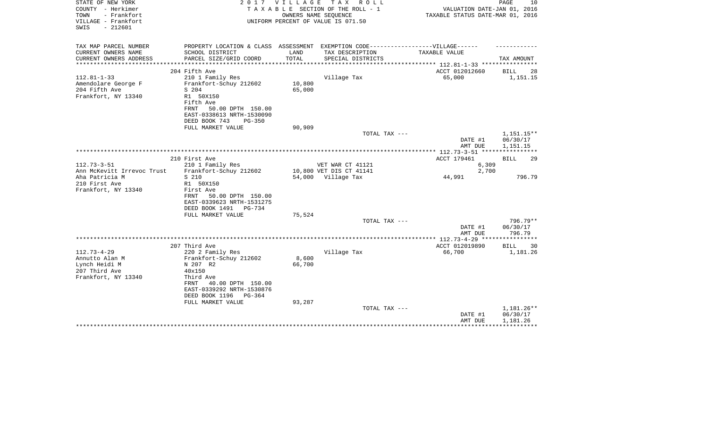| STATE OF NEW YORK<br>COUNTY - Herkimer<br>TOWN<br>- Frankfort<br>VILLAGE - Frankfort<br>$-212601$<br>SWIS | 2017                                                                                                                                                                 | V I L L A G E    | TAX ROLL<br>TAXABLE SECTION OF THE ROLL - 1<br>OWNERS NAME SEQUENCE<br>UNIFORM PERCENT OF VALUE IS 071.50 | VALUATION DATE-JAN 01, 2016<br>TAXABLE STATUS DATE-MAR 01, 2016 | PAGE<br>10                         |
|-----------------------------------------------------------------------------------------------------------|----------------------------------------------------------------------------------------------------------------------------------------------------------------------|------------------|-----------------------------------------------------------------------------------------------------------|-----------------------------------------------------------------|------------------------------------|
| TAX MAP PARCEL NUMBER                                                                                     |                                                                                                                                                                      |                  | PROPERTY LOCATION & CLASS ASSESSMENT EXEMPTION CODE-----------------VILLAGE------                         |                                                                 |                                    |
| CURRENT OWNERS NAME<br>CURRENT OWNERS ADDRESS                                                             | SCHOOL DISTRICT<br>PARCEL SIZE/GRID COORD                                                                                                                            | LAND<br>TOTAL    | TAX DESCRIPTION<br>SPECIAL DISTRICTS                                                                      | TAXABLE VALUE                                                   | TAX AMOUNT                         |
| *********************                                                                                     |                                                                                                                                                                      |                  |                                                                                                           | **************************** 112.81-1-33 ****************       |                                    |
|                                                                                                           | 204 Fifth Ave                                                                                                                                                        |                  |                                                                                                           | ACCT 012012660                                                  | BILL<br>28                         |
| $112.81 - 1 - 33$<br>Amendolare George F<br>204 Fifth Ave<br>Frankfort, NY 13340                          | 210 1 Family Res<br>Frankfort-Schuy 212602<br>S 204<br>R1 50X150<br>Fifth Ave<br>50.00 DPTH 150.00<br>FRNT<br>EAST-0338613 NRTH-1530090<br>DEED BOOK 743<br>$PG-350$ | 10,800<br>65,000 | Village Tax                                                                                               | 65,000                                                          | 1,151.15                           |
|                                                                                                           | FULL MARKET VALUE                                                                                                                                                    | 90,909           |                                                                                                           |                                                                 |                                    |
|                                                                                                           |                                                                                                                                                                      |                  | TOTAL TAX ---                                                                                             | DATE #1                                                         | 1,151.15**<br>06/30/17             |
|                                                                                                           |                                                                                                                                                                      |                  |                                                                                                           | AMT DUE                                                         | 1,151.15                           |
|                                                                                                           | 210 First Ave                                                                                                                                                        |                  |                                                                                                           | ACCT 179461                                                     | BILL<br>29                         |
| $112.73 - 3 - 51$                                                                                         | 210 1 Family Res                                                                                                                                                     |                  | VET WAR CT 41121                                                                                          | 6,309                                                           |                                    |
| Ann McKevitt Irrevoc Trust                                                                                | Frankfort-Schuy 212602                                                                                                                                               |                  | 10,800 VET DIS CT 41141                                                                                   | 2,700                                                           |                                    |
| Aha Patricia M                                                                                            | S 210                                                                                                                                                                |                  | 54,000 Village Tax                                                                                        | 44,991                                                          | 796.79                             |
| 210 First Ave<br>Frankfort, NY 13340                                                                      | R1 50X150<br>First Ave<br>50.00 DPTH 150.00<br>FRNT                                                                                                                  |                  |                                                                                                           |                                                                 |                                    |
|                                                                                                           | EAST-0339623 NRTH-1531275<br>DEED BOOK 1491<br>PG-734                                                                                                                |                  |                                                                                                           |                                                                 |                                    |
|                                                                                                           | FULL MARKET VALUE                                                                                                                                                    | 75,524           | TOTAL TAX ---                                                                                             |                                                                 | $796.79**$                         |
|                                                                                                           |                                                                                                                                                                      |                  |                                                                                                           | DATE #1<br>AMT DUE                                              | 06/30/17<br>796.79                 |
|                                                                                                           |                                                                                                                                                                      |                  |                                                                                                           | ***************** 112.73-4-29 *****************                 |                                    |
|                                                                                                           | 207 Third Ave                                                                                                                                                        |                  |                                                                                                           | ACCT 012019890                                                  | <b>BILL</b><br>30                  |
| $112.73 - 4 - 29$<br>Annutto Alan M<br>Lynch Heidi M                                                      | 220 2 Family Res<br>Frankfort-Schuy 212602<br>N 207 R2                                                                                                               | 8,600<br>66,700  | Village Tax                                                                                               | 66,700                                                          | 1,181.26                           |
| 207 Third Ave<br>Frankfort, NY 13340                                                                      | 40x150<br>Third Ave                                                                                                                                                  |                  |                                                                                                           |                                                                 |                                    |
|                                                                                                           | 40.00 DPTH 150.00<br>FRNT<br>EAST-0339292 NRTH-1530876<br>DEED BOOK 1196<br>PG-364                                                                                   |                  |                                                                                                           |                                                                 |                                    |
|                                                                                                           | FULL MARKET VALUE                                                                                                                                                    | 93,287           |                                                                                                           |                                                                 |                                    |
|                                                                                                           |                                                                                                                                                                      |                  | TOTAL TAX ---                                                                                             | DATE #1<br>AMT DUE                                              | 1,181.26**<br>06/30/17<br>1,181.26 |
|                                                                                                           |                                                                                                                                                                      |                  |                                                                                                           |                                                                 |                                    |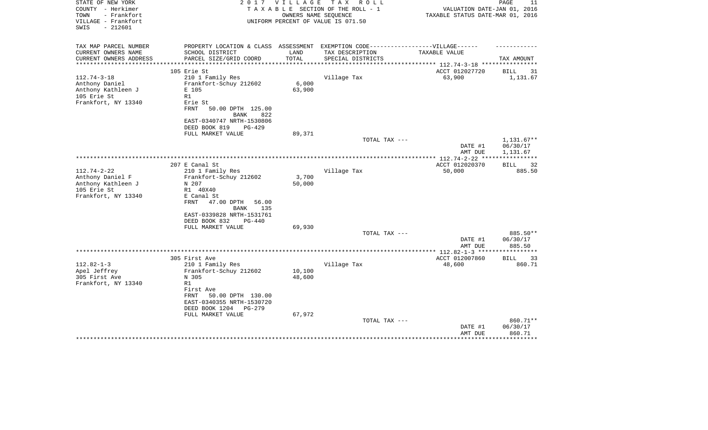| STATE OF NEW YORK<br>COUNTY - Herkimer<br>TOWN<br>- Frankfort<br>VILLAGE - Frankfort<br>SWIS<br>$-212601$ | 2 0 1 7                                                                                              | <b>VILLAGE</b><br>OWNERS NAME SEOUENCE | T A X<br>R O L L<br>TAXABLE SECTION OF THE ROLL - 1<br>UNIFORM PERCENT OF VALUE IS 071.50 | VALUATION DATE-JAN 01, 2016<br>TAXABLE STATUS DATE-MAR 01, 2016 | PAGE<br>11        |
|-----------------------------------------------------------------------------------------------------------|------------------------------------------------------------------------------------------------------|----------------------------------------|-------------------------------------------------------------------------------------------|-----------------------------------------------------------------|-------------------|
| TAX MAP PARCEL NUMBER<br>CURRENT OWNERS NAME                                                              | PROPERTY LOCATION & CLASS ASSESSMENT EXEMPTION CODE-----------------VILLAGE------<br>SCHOOL DISTRICT | LAND                                   | TAX DESCRIPTION                                                                           | TAXABLE VALUE                                                   |                   |
| CURRENT OWNERS ADDRESS                                                                                    | PARCEL SIZE/GRID COORD                                                                               | TOTAL                                  | SPECIAL DISTRICTS                                                                         |                                                                 | TAX AMOUNT        |
| **********************                                                                                    |                                                                                                      |                                        |                                                                                           |                                                                 |                   |
| 105 Erie St                                                                                               |                                                                                                      |                                        |                                                                                           | ACCT 012027720                                                  | BILL<br>31        |
| $112.74 - 3 - 18$                                                                                         | 210 1 Family Res                                                                                     |                                        | Village Tax                                                                               | 63,900                                                          | 1,131.67          |
| Anthony Daniel                                                                                            | Frankfort-Schuy 212602                                                                               | 6,000                                  |                                                                                           |                                                                 |                   |
| Anthony Kathleen J                                                                                        | E 105                                                                                                | 63,900                                 |                                                                                           |                                                                 |                   |
| 105 Erie St<br>R1                                                                                         |                                                                                                      |                                        |                                                                                           |                                                                 |                   |
| Frankfort, NY 13340                                                                                       | Erie St                                                                                              |                                        |                                                                                           |                                                                 |                   |
| <b>FRNT</b>                                                                                               | 50.00 DPTH 125.00                                                                                    |                                        |                                                                                           |                                                                 |                   |
|                                                                                                           | BANK<br>822                                                                                          |                                        |                                                                                           |                                                                 |                   |
|                                                                                                           | EAST-0340747 NRTH-1530806                                                                            |                                        |                                                                                           |                                                                 |                   |
|                                                                                                           | DEED BOOK 819<br>$PG-429$                                                                            |                                        |                                                                                           |                                                                 |                   |
|                                                                                                           | FULL MARKET VALUE                                                                                    | 89,371                                 |                                                                                           |                                                                 |                   |
|                                                                                                           |                                                                                                      |                                        | TOTAL TAX ---                                                                             |                                                                 | $1,131.67**$      |
|                                                                                                           |                                                                                                      |                                        |                                                                                           | DATE #1                                                         | 06/30/17          |
|                                                                                                           |                                                                                                      |                                        |                                                                                           | AMT DUE<br>**************** 112.74-2-22 ***********             | 1,131.67          |
|                                                                                                           | 207 E Canal St                                                                                       |                                        |                                                                                           | ACCT 012020370                                                  | <b>BILL</b><br>32 |
| $112.74 - 2 - 22$                                                                                         | 210 1 Family Res                                                                                     |                                        | Village Tax                                                                               | 50,000                                                          | 885.50            |
| Anthony Daniel F                                                                                          | Frankfort-Schuy 212602                                                                               | 3,700                                  |                                                                                           |                                                                 |                   |
| Anthony Kathleen J                                                                                        | N 207                                                                                                | 50,000                                 |                                                                                           |                                                                 |                   |
| 105 Erie St                                                                                               | R1 40X40                                                                                             |                                        |                                                                                           |                                                                 |                   |
| Frankfort, NY 13340                                                                                       | E Canal St                                                                                           |                                        |                                                                                           |                                                                 |                   |
| FRNT                                                                                                      | 47.00 DPTH<br>56.00                                                                                  |                                        |                                                                                           |                                                                 |                   |
|                                                                                                           | <b>BANK</b><br>135                                                                                   |                                        |                                                                                           |                                                                 |                   |
|                                                                                                           | EAST-0339828 NRTH-1531761                                                                            |                                        |                                                                                           |                                                                 |                   |
|                                                                                                           | DEED BOOK 832<br><b>PG-440</b>                                                                       |                                        |                                                                                           |                                                                 |                   |
|                                                                                                           | FULL MARKET VALUE                                                                                    | 69,930                                 |                                                                                           |                                                                 |                   |
|                                                                                                           |                                                                                                      |                                        | TOTAL TAX ---                                                                             |                                                                 | 885.50**          |
|                                                                                                           |                                                                                                      |                                        |                                                                                           | DATE #1                                                         | 06/30/17          |
|                                                                                                           |                                                                                                      |                                        |                                                                                           | AMT DUE                                                         | 885.50            |
|                                                                                                           |                                                                                                      |                                        |                                                                                           | **************** 112.82-1-3 *****                               | *********         |
|                                                                                                           | 305 First Ave                                                                                        |                                        |                                                                                           | ACCT 012007860                                                  | <b>BILL</b><br>33 |
| $112.82 - 1 - 3$                                                                                          | 210 1 Family Res                                                                                     |                                        | Village Tax                                                                               | 48,600                                                          | 860.71            |
| Apel Jeffrey                                                                                              | Frankfort-Schuy 212602                                                                               | 10,100                                 |                                                                                           |                                                                 |                   |
| 305 First Ave                                                                                             | N 305                                                                                                | 48,600                                 |                                                                                           |                                                                 |                   |
| Frankfort, NY 13340<br>R1                                                                                 |                                                                                                      |                                        |                                                                                           |                                                                 |                   |
|                                                                                                           | First Ave                                                                                            |                                        |                                                                                           |                                                                 |                   |
| FRNT                                                                                                      | 50.00 DPTH 130.00<br>EAST-0340355 NRTH-1530720                                                       |                                        |                                                                                           |                                                                 |                   |
|                                                                                                           | DEED BOOK 1204<br>PG-279                                                                             |                                        |                                                                                           |                                                                 |                   |
|                                                                                                           |                                                                                                      | 67,972                                 |                                                                                           |                                                                 |                   |
|                                                                                                           | FULL MARKET VALUE                                                                                    |                                        | TOTAL TAX ---                                                                             |                                                                 | 860.71**          |
|                                                                                                           |                                                                                                      |                                        |                                                                                           | DATE #1                                                         | 06/30/17          |
|                                                                                                           |                                                                                                      |                                        |                                                                                           | AMT DUE                                                         | 860.71            |
|                                                                                                           |                                                                                                      |                                        |                                                                                           |                                                                 | ************      |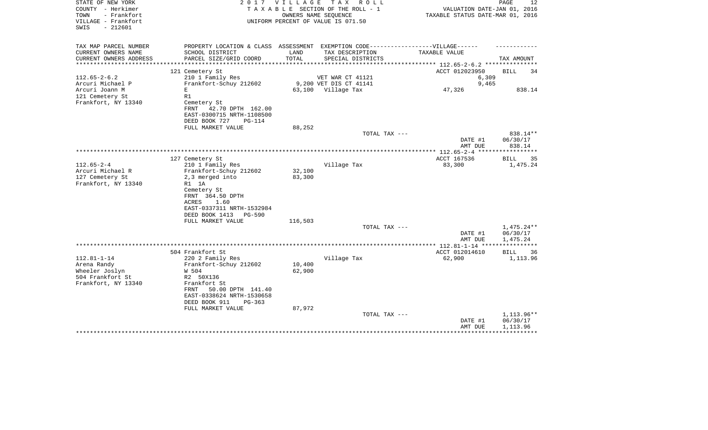| STATE OF NEW YORK<br>COUNTY - Herkimer<br>- Frankfort<br>TOWN<br>VILLAGE - Frankfort | 2 0 1 7                                                               | <b>VILLAGE</b> | T A X<br>R O L L<br>TAXABLE SECTION OF THE ROLL - 1<br>OWNERS NAME SEQUENCE<br>UNIFORM PERCENT OF VALUE IS 071.50 | VALUATION DATE-JAN 01, 2016<br>TAXABLE STATUS DATE-MAR 01, 2016 | PAGE<br>12             |
|--------------------------------------------------------------------------------------|-----------------------------------------------------------------------|----------------|-------------------------------------------------------------------------------------------------------------------|-----------------------------------------------------------------|------------------------|
| $-212601$<br>SWIS                                                                    |                                                                       |                |                                                                                                                   |                                                                 |                        |
| TAX MAP PARCEL NUMBER                                                                | PROPERTY LOCATION & CLASS ASSESSMENT                                  |                | EXEMPTION CODE------------------VILLAGE------                                                                     |                                                                 |                        |
| CURRENT OWNERS NAME<br>CURRENT OWNERS ADDRESS<br>*********************               | SCHOOL DISTRICT<br>PARCEL SIZE/GRID COORD                             | LAND<br>TOTAL  | TAX DESCRIPTION<br>SPECIAL DISTRICTS                                                                              | TAXABLE VALUE                                                   | TAX AMOUNT             |
|                                                                                      | 121 Cemetery St                                                       |                |                                                                                                                   | ACCT 012023950                                                  | BILL<br>34             |
| $112.65 - 2 - 6.2$                                                                   | 210 1 Family Res                                                      |                | VET WAR CT 41121                                                                                                  | 6,309                                                           |                        |
| Arcuri Michael P                                                                     | Frankfort-Schuy 212602                                                |                | 9,200 VET DIS CT 41141                                                                                            | 9,465                                                           |                        |
| Arcuri Joann M                                                                       | $\mathbf E$                                                           | 63,100         | Village Tax                                                                                                       | 47,326                                                          | 838.14                 |
| 121 Cemetery St                                                                      | R1                                                                    |                |                                                                                                                   |                                                                 |                        |
| Frankfort, NY 13340                                                                  | Cemetery St<br>FRNT<br>42.70 DPTH 162.00<br>EAST-0300715 NRTH-1108500 |                |                                                                                                                   |                                                                 |                        |
|                                                                                      | DEED BOOK 727<br><b>PG-114</b>                                        |                |                                                                                                                   |                                                                 |                        |
|                                                                                      | FULL MARKET VALUE                                                     | 88,252         |                                                                                                                   |                                                                 |                        |
|                                                                                      |                                                                       |                | TOTAL TAX ---                                                                                                     | DATE #1                                                         | 838.14**<br>06/30/17   |
|                                                                                      |                                                                       |                |                                                                                                                   | AMT DUE                                                         | 838.14                 |
|                                                                                      |                                                                       |                |                                                                                                                   |                                                                 |                        |
| $112.65 - 2 - 4$                                                                     | 127 Cemetery St<br>210 1 Family Res                                   |                | Village Tax                                                                                                       | ACCT 167536<br>83,300                                           | 35<br>BILL<br>1,475.24 |
| Arcuri Michael R                                                                     | Frankfort-Schuy 212602                                                | 32,100         |                                                                                                                   |                                                                 |                        |
| 127 Cemetery St                                                                      | 2,3 merged into                                                       | 83,300         |                                                                                                                   |                                                                 |                        |
| Frankfort, NY 13340                                                                  | R1 1A                                                                 |                |                                                                                                                   |                                                                 |                        |
|                                                                                      | Cemetery St                                                           |                |                                                                                                                   |                                                                 |                        |
|                                                                                      | FRNT 364.50 DPTH                                                      |                |                                                                                                                   |                                                                 |                        |
|                                                                                      | ACRES<br>1.60<br>EAST-0337311 NRTH-1532984                            |                |                                                                                                                   |                                                                 |                        |
|                                                                                      | DEED BOOK 1413<br><b>PG-590</b>                                       |                |                                                                                                                   |                                                                 |                        |
|                                                                                      | FULL MARKET VALUE                                                     | 116,503        |                                                                                                                   |                                                                 |                        |
|                                                                                      |                                                                       |                | TOTAL TAX ---                                                                                                     |                                                                 | $1,475.24**$           |
|                                                                                      |                                                                       |                |                                                                                                                   | DATE #1<br>AMT DUE                                              | 06/30/17<br>1,475.24   |
|                                                                                      |                                                                       |                |                                                                                                                   |                                                                 |                        |
|                                                                                      | 504 Frankfort St                                                      |                |                                                                                                                   | ACCT 012014610                                                  | <b>BILL</b><br>36      |
| $112.81 - 1 - 14$                                                                    | 220 2 Family Res                                                      |                | Village Tax                                                                                                       | 62,900                                                          | 1,113.96               |
| Arena Randy                                                                          | Frankfort-Schuy 212602                                                | 10,400         |                                                                                                                   |                                                                 |                        |
| Wheeler Joslyn<br>504 Frankfort St                                                   | W 504<br>R2 50X136                                                    | 62,900         |                                                                                                                   |                                                                 |                        |
| Frankfort, NY 13340                                                                  | Frankfort St                                                          |                |                                                                                                                   |                                                                 |                        |
|                                                                                      | 50.00 DPTH 141.40<br>FRNT                                             |                |                                                                                                                   |                                                                 |                        |
|                                                                                      | EAST-0338624 NRTH-1530658                                             |                |                                                                                                                   |                                                                 |                        |
|                                                                                      | DEED BOOK 911<br>$PG-363$                                             |                |                                                                                                                   |                                                                 |                        |
|                                                                                      | FULL MARKET VALUE                                                     | 87,972         |                                                                                                                   |                                                                 |                        |
|                                                                                      |                                                                       |                | TOTAL TAX ---                                                                                                     |                                                                 | $1,113.96**$           |
|                                                                                      |                                                                       |                |                                                                                                                   | DATE #1<br>AMT DUE                                              | 06/30/17<br>1,113.96   |
|                                                                                      |                                                                       |                |                                                                                                                   |                                                                 |                        |
|                                                                                      |                                                                       |                |                                                                                                                   |                                                                 |                        |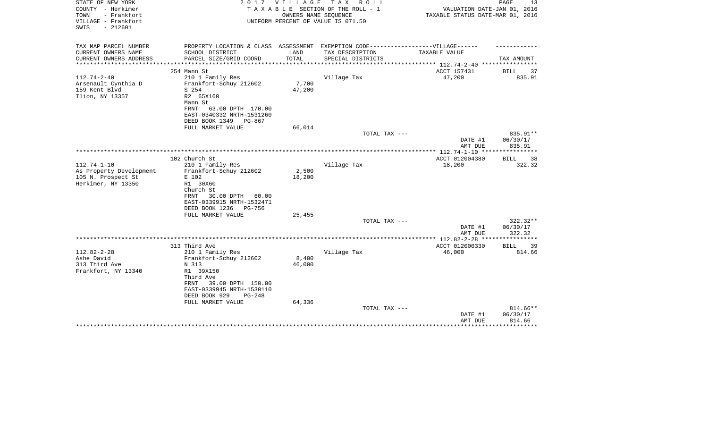| STATE OF NEW YORK<br>COUNTY - Herkimer                          | 2 0 1 7                                                                           | <b>VILLAGE</b>  | T A X<br>R O L L<br>TAXABLE SECTION OF THE ROLL - 1        | VALUATION DATE-JAN 01, 2016                               | PAGE<br>13                  |
|-----------------------------------------------------------------|-----------------------------------------------------------------------------------|-----------------|------------------------------------------------------------|-----------------------------------------------------------|-----------------------------|
| TOWN<br>- Frankfort<br>VILLAGE - Frankfort<br>$-212601$<br>SWIS |                                                                                   |                 | OWNERS NAME SEQUENCE<br>UNIFORM PERCENT OF VALUE IS 071.50 | TAXABLE STATUS DATE-MAR 01, 2016                          |                             |
| TAX MAP PARCEL NUMBER                                           | PROPERTY LOCATION & CLASS ASSESSMENT EXEMPTION CODE-----------------VILLAGE------ |                 |                                                            |                                                           |                             |
| CURRENT OWNERS NAME                                             | SCHOOL DISTRICT                                                                   | LAND            | TAX DESCRIPTION                                            | TAXABLE VALUE                                             |                             |
| CURRENT OWNERS ADDRESS                                          | PARCEL SIZE/GRID COORD                                                            | TOTAL           | SPECIAL DISTRICTS                                          |                                                           | TAX AMOUNT                  |
| *********************                                           |                                                                                   |                 |                                                            | *************************** 112.74-2-40 ***************** |                             |
|                                                                 | 254 Mann St                                                                       |                 |                                                            | ACCT 157431                                               | <b>BILL</b><br>37           |
| $112.74 - 2 - 40$                                               | 210 1 Family Res                                                                  |                 | Village Tax                                                | 47,200                                                    | 835.91                      |
| Arsenault Cynthia D<br>159 Kent Blvd                            | Frankfort-Schuy 212602<br>S 254                                                   | 7,700<br>47,200 |                                                            |                                                           |                             |
| Ilion, NY 13357                                                 | R2 65X160                                                                         |                 |                                                            |                                                           |                             |
|                                                                 | Mann St                                                                           |                 |                                                            |                                                           |                             |
|                                                                 | 63.00 DPTH 170.00<br>FRNT                                                         |                 |                                                            |                                                           |                             |
|                                                                 | EAST-0340332 NRTH-1531260                                                         |                 |                                                            |                                                           |                             |
|                                                                 | DEED BOOK 1349<br>PG-867                                                          |                 |                                                            |                                                           |                             |
|                                                                 | FULL MARKET VALUE                                                                 | 66,014          |                                                            |                                                           |                             |
|                                                                 |                                                                                   |                 | TOTAL TAX ---                                              |                                                           | 835.91**                    |
|                                                                 |                                                                                   |                 |                                                            | DATE #1                                                   | 06/30/17                    |
|                                                                 |                                                                                   |                 |                                                            | AMT DUE                                                   | 835.91                      |
|                                                                 |                                                                                   |                 |                                                            | **************** 112.74-1-10 *****************            |                             |
| $112.74 - 1 - 10$                                               | 102 Church St                                                                     |                 |                                                            | ACCT 012004380                                            | <b>BILL</b><br>38<br>322.32 |
| As Property Development                                         | 210 1 Family Res<br>Frankfort-Schuy 212602                                        | 2,500           | Village Tax                                                | 18,200                                                    |                             |
| 105 N. Prospect St                                              | E 102                                                                             | 18,200          |                                                            |                                                           |                             |
| Herkimer, NY 13350                                              | R1 30X60                                                                          |                 |                                                            |                                                           |                             |
|                                                                 | Church St                                                                         |                 |                                                            |                                                           |                             |
|                                                                 | 30.00 DPTH<br>FRNT<br>60.00                                                       |                 |                                                            |                                                           |                             |
|                                                                 | EAST-0339915 NRTH-1532471                                                         |                 |                                                            |                                                           |                             |
|                                                                 | DEED BOOK 1236<br>PG-756                                                          |                 |                                                            |                                                           |                             |
|                                                                 | FULL MARKET VALUE                                                                 | 25,455          |                                                            |                                                           |                             |
|                                                                 |                                                                                   |                 | TOTAL TAX ---                                              |                                                           | 322.32**                    |
|                                                                 |                                                                                   |                 |                                                            | DATE #1                                                   | 06/30/17                    |
|                                                                 |                                                                                   |                 |                                                            | AMT DUE                                                   | 322.32                      |
|                                                                 |                                                                                   |                 |                                                            |                                                           | ************                |
| $112.82 - 2 - 28$                                               | 313 Third Ave<br>210 1 Family Res                                                 |                 | Village Tax                                                | ACCT 012000330<br>46,000                                  | <b>BILL</b><br>39<br>814.66 |
| Ashe David                                                      | Frankfort-Schuy 212602                                                            | 8,400           |                                                            |                                                           |                             |
| 313 Third Ave                                                   | N 313                                                                             | 46,000          |                                                            |                                                           |                             |
| Frankfort, NY 13340                                             | R1 39X150                                                                         |                 |                                                            |                                                           |                             |
|                                                                 | Third Ave                                                                         |                 |                                                            |                                                           |                             |
|                                                                 | FRNT<br>39.00 DPTH 150.00                                                         |                 |                                                            |                                                           |                             |
|                                                                 | EAST-0339945 NRTH-1530110                                                         |                 |                                                            |                                                           |                             |
|                                                                 | DEED BOOK 929<br>$PG-248$                                                         |                 |                                                            |                                                           |                             |
|                                                                 | FULL MARKET VALUE                                                                 | 64,336          |                                                            |                                                           |                             |
|                                                                 |                                                                                   |                 | TOTAL TAX ---                                              |                                                           | 814.66**                    |
|                                                                 |                                                                                   |                 |                                                            | DATE #1                                                   | 06/30/17                    |
|                                                                 |                                                                                   |                 |                                                            | AMT DUE                                                   | 814.66<br>********          |
|                                                                 |                                                                                   |                 |                                                            |                                                           |                             |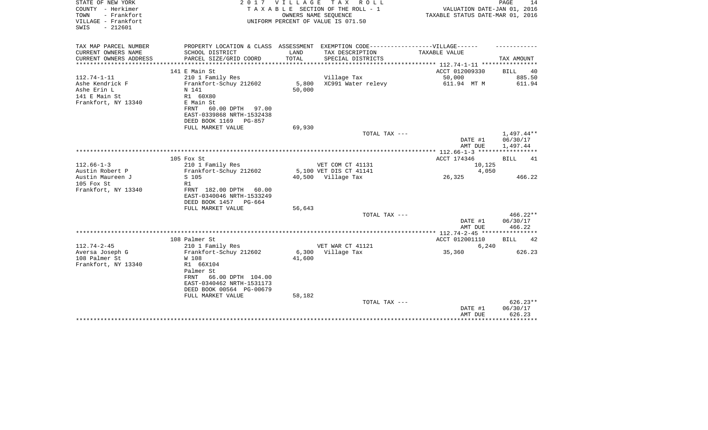| STATE OF NEW YORK<br>COUNTY - Herkimer<br>- Frankfort<br>TOWN<br>VILLAGE - Frankfort<br>$-212601$<br>SWIS | 2017                                                                                                                              | VILLAGE<br>OWNERS NAME SEQUENCE | TAX ROLL<br>TAXABLE SECTION OF THE ROLL - 1<br>UNIFORM PERCENT OF VALUE IS 071.50 | VALUATION DATE-JAN 01, 2016<br>TAXABLE STATUS DATE-MAR 01, 2016 | PAGE<br>14                         |
|-----------------------------------------------------------------------------------------------------------|-----------------------------------------------------------------------------------------------------------------------------------|---------------------------------|-----------------------------------------------------------------------------------|-----------------------------------------------------------------|------------------------------------|
| TAX MAP PARCEL NUMBER                                                                                     | PROPERTY LOCATION & CLASS ASSESSMENT EXEMPTION CODE-----------------VILLAGE------                                                 |                                 |                                                                                   |                                                                 |                                    |
| CURRENT OWNERS NAME<br>CURRENT OWNERS ADDRESS                                                             | SCHOOL DISTRICT<br>PARCEL SIZE/GRID COORD                                                                                         | LAND<br>TOTAL                   | TAX DESCRIPTION<br>SPECIAL DISTRICTS                                              | TAXABLE VALUE                                                   | TAX AMOUNT                         |
|                                                                                                           | *******************                                                                                                               | ************                    | ********************                                                              | ************* 112.74-1-11 *****************                     |                                    |
|                                                                                                           | 141 E Main St                                                                                                                     |                                 |                                                                                   | ACCT 012009330                                                  | BILL<br>40                         |
| $112.74 - 1 - 11$                                                                                         | 210 1 Family Res                                                                                                                  |                                 | Village Tax                                                                       | 50,000                                                          | 885.50                             |
| Ashe Kendrick F<br>Ashe Erin L<br>141 E Main St<br>Frankfort, NY 13340                                    | Frankfort-Schuy 212602<br>N 141<br>R1 60X80<br>E Main St<br>FRNT<br>60.00 DPTH 97.00<br>EAST-0339868 NRTH-1532438                 | 5,800<br>50,000                 | XC991 Water relevy                                                                | 611.94 MT M                                                     | 611.94                             |
|                                                                                                           | DEED BOOK 1169<br><b>PG-857</b><br>FULL MARKET VALUE                                                                              | 69,930                          |                                                                                   |                                                                 |                                    |
|                                                                                                           |                                                                                                                                   |                                 | TOTAL TAX ---                                                                     | DATE #1<br>AMT DUE                                              | 1,497.44**<br>06/30/17<br>1,497.44 |
|                                                                                                           |                                                                                                                                   |                                 |                                                                                   |                                                                 |                                    |
|                                                                                                           | 105 Fox St                                                                                                                        |                                 |                                                                                   | ACCT 174346                                                     | <b>BILL</b><br>41                  |
| $112.66 - 1 - 3$                                                                                          | 210 1 Family Res                                                                                                                  |                                 | VET COM CT 41131                                                                  | 10,125                                                          |                                    |
| Austin Robert P                                                                                           | Frankfort-Schuy 212602                                                                                                            |                                 | 5,100 VET DIS CT 41141                                                            | 4,050                                                           |                                    |
| Austin Maureen J<br>105 Fox St                                                                            | S 105<br>R1                                                                                                                       |                                 | 40,500 Village Tax                                                                | 26,325                                                          | 466.22                             |
| Frankfort, NY 13340                                                                                       | FRNT 182.00 DPTH 60.00<br>EAST-0340046 NRTH-1533249<br>DEED BOOK 1457<br>PG-664                                                   |                                 |                                                                                   |                                                                 |                                    |
|                                                                                                           | FULL MARKET VALUE                                                                                                                 | 56,643                          | TOTAL TAX ---                                                                     |                                                                 | $466.22**$                         |
|                                                                                                           |                                                                                                                                   |                                 |                                                                                   | DATE #1<br>AMT DUE                                              | 06/30/17<br>466.22                 |
|                                                                                                           |                                                                                                                                   |                                 |                                                                                   |                                                                 |                                    |
|                                                                                                           | 108 Palmer St                                                                                                                     |                                 |                                                                                   | ACCT 012001110                                                  | 42<br>BILL                         |
| $112.74 - 2 - 45$<br>Aversa Joseph G                                                                      | 210 1 Family Res<br>Frankfort-Schuy 212602                                                                                        | 6,300                           | VET WAR CT 41121<br>Village Tax                                                   | 6,240<br>35,360                                                 | 626.23                             |
| 108 Palmer St                                                                                             | W 108                                                                                                                             | 41,600                          |                                                                                   |                                                                 |                                    |
| Frankfort, NY 13340                                                                                       | R1 66X104<br>Palmer St<br>66.00 DPTH 104.00<br>FRNT<br>EAST-0340462 NRTH-1531173<br>DEED BOOK 00564 PG-00679<br>FULL MARKET VALUE | 58,182                          |                                                                                   |                                                                 |                                    |
|                                                                                                           |                                                                                                                                   |                                 | TOTAL TAX ---                                                                     | DATE #1<br>AMT DUE                                              | $626.23**$<br>06/30/17<br>626.23   |
|                                                                                                           |                                                                                                                                   |                                 |                                                                                   |                                                                 |                                    |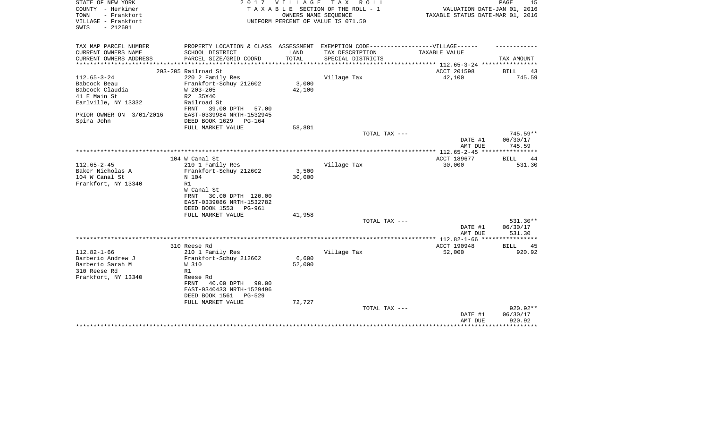| STATE OF NEW YORK<br>COUNTY - Herkimer                          | 2017                                    | V I L L A G E | T A X<br>R O L L<br>TAXABLE SECTION OF THE ROLL - 1        | VALUATION DATE-JAN 01, 2016                                               | PAGE<br>15           |
|-----------------------------------------------------------------|-----------------------------------------|---------------|------------------------------------------------------------|---------------------------------------------------------------------------|----------------------|
| - Frankfort<br>TOWN<br>VILLAGE - Frankfort<br>SWIS<br>$-212601$ |                                         |               | OWNERS NAME SEQUENCE<br>UNIFORM PERCENT OF VALUE IS 071.50 | TAXABLE STATUS DATE-MAR 01, 2016                                          |                      |
|                                                                 |                                         |               |                                                            |                                                                           |                      |
| TAX MAP PARCEL NUMBER                                           | PROPERTY LOCATION & CLASS ASSESSMENT    |               | EXEMPTION CODE------------------VILLAGE------              |                                                                           |                      |
| CURRENT OWNERS NAME                                             | SCHOOL DISTRICT                         | LAND          | TAX DESCRIPTION                                            | TAXABLE VALUE                                                             |                      |
| CURRENT OWNERS ADDRESS<br>*********************                 | PARCEL SIZE/GRID COORD                  | TOTAL         | SPECIAL DISTRICTS                                          |                                                                           | TAX AMOUNT           |
|                                                                 | 203-205 Railroad St                     |               |                                                            | ***************************** 112.65-3-24 ****************<br>ACCT 201598 |                      |
| $112.65 - 3 - 24$                                               | 220 2 Family Res                        |               | Village Tax                                                | 42,100                                                                    | BILL<br>43<br>745.59 |
| Babcock Beau                                                    | Frankfort-Schuy 212602                  | 3,000         |                                                            |                                                                           |                      |
| Babcock Claudia                                                 | W 203-205                               | 42,100        |                                                            |                                                                           |                      |
| 41 E Main St                                                    | R2 35X40                                |               |                                                            |                                                                           |                      |
| Earlville, NY 13332                                             | Railroad St                             |               |                                                            |                                                                           |                      |
|                                                                 | 39.00 DPTH<br>FRNT<br>57.00             |               |                                                            |                                                                           |                      |
| PRIOR OWNER ON 3/01/2016                                        | EAST-0339984 NRTH-1532945               |               |                                                            |                                                                           |                      |
| Spina John                                                      | DEED BOOK 1629<br>$PG-164$              |               |                                                            |                                                                           |                      |
|                                                                 | FULL MARKET VALUE                       | 58,881        |                                                            |                                                                           |                      |
|                                                                 |                                         |               | TOTAL TAX ---                                              |                                                                           | $745.59**$           |
|                                                                 |                                         |               |                                                            | DATE #1                                                                   | 06/30/17             |
|                                                                 |                                         |               |                                                            | AMT DUE                                                                   | 745.59               |
|                                                                 |                                         |               |                                                            |                                                                           |                      |
|                                                                 | 104 W Canal St                          |               |                                                            | ACCT 189677                                                               | BILL<br>44           |
| $112.65 - 2 - 45$                                               | 210 1 Family Res                        |               | Village Tax                                                | 30,000                                                                    | 531.30               |
| Baker Nicholas A                                                | Frankfort-Schuy 212602                  | 3,500         |                                                            |                                                                           |                      |
| 104 W Canal St                                                  | N 104                                   | 30,000        |                                                            |                                                                           |                      |
| Frankfort, NY 13340                                             | R1                                      |               |                                                            |                                                                           |                      |
|                                                                 | W Canal St<br>30.00 DPTH 120.00<br>FRNT |               |                                                            |                                                                           |                      |
|                                                                 | EAST-0339086 NRTH-1532782               |               |                                                            |                                                                           |                      |
|                                                                 | DEED BOOK 1553<br>PG-961                |               |                                                            |                                                                           |                      |
|                                                                 | FULL MARKET VALUE                       | 41,958        |                                                            |                                                                           |                      |
|                                                                 |                                         |               | TOTAL TAX ---                                              |                                                                           | 531.30**             |
|                                                                 |                                         |               |                                                            | DATE #1                                                                   | 06/30/17             |
|                                                                 |                                         |               |                                                            | AMT DUE                                                                   | 531.30               |
|                                                                 |                                         |               |                                                            |                                                                           |                      |
|                                                                 | 310 Reese Rd                            |               |                                                            | ACCT 190948                                                               | <b>BILL</b><br>45    |
| $112.82 - 1 - 66$                                               | 210 1 Family Res                        |               | Village Tax                                                | 52,000                                                                    | 920.92               |
| Barberio Andrew J                                               | Frankfort-Schuy 212602                  | 6,600         |                                                            |                                                                           |                      |
| Barberio Sarah M                                                | W 310                                   | 52,000        |                                                            |                                                                           |                      |
| 310 Reese Rd                                                    | R1                                      |               |                                                            |                                                                           |                      |
| Frankfort, NY 13340                                             | Reese Rd                                |               |                                                            |                                                                           |                      |
|                                                                 | 40.00 DPTH<br>90.00<br>FRNT             |               |                                                            |                                                                           |                      |
|                                                                 | EAST-0340433 NRTH-1529496               |               |                                                            |                                                                           |                      |
|                                                                 | DEED BOOK 1561<br>$PG-529$              |               |                                                            |                                                                           |                      |
|                                                                 | FULL MARKET VALUE                       | 72,727        |                                                            |                                                                           |                      |
|                                                                 |                                         |               | TOTAL TAX ---                                              |                                                                           | 920.92**             |
|                                                                 |                                         |               |                                                            | DATE #1<br>AMT DUE                                                        | 06/30/17<br>920.92   |
|                                                                 |                                         |               |                                                            |                                                                           | ***********          |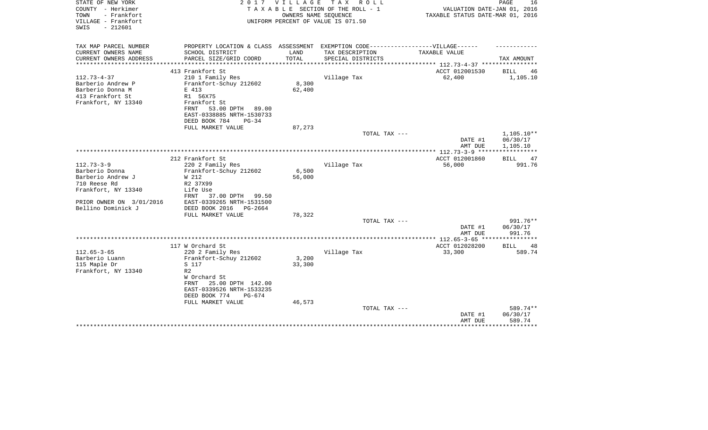| STATE OF NEW YORK<br>COUNTY - Herkimer                          | 2017                                                                              | <b>VILLAGE</b> | TAX ROLL<br>TAXABLE SECTION OF THE ROLL - 1                | VALUATION DATE-JAN 01, 2016                     | PAGE<br>16           |
|-----------------------------------------------------------------|-----------------------------------------------------------------------------------|----------------|------------------------------------------------------------|-------------------------------------------------|----------------------|
| TOWN<br>- Frankfort<br>VILLAGE - Frankfort<br>$-212601$<br>SWIS |                                                                                   |                | OWNERS NAME SEQUENCE<br>UNIFORM PERCENT OF VALUE IS 071.50 | TAXABLE STATUS DATE-MAR 01, 2016                |                      |
| TAX MAP PARCEL NUMBER                                           | PROPERTY LOCATION & CLASS ASSESSMENT EXEMPTION CODE-----------------VILLAGE------ |                |                                                            |                                                 |                      |
| CURRENT OWNERS NAME                                             | SCHOOL DISTRICT                                                                   | LAND           | TAX DESCRIPTION                                            | TAXABLE VALUE                                   |                      |
| CURRENT OWNERS ADDRESS                                          | PARCEL SIZE/GRID COORD                                                            | TOTAL          | SPECIAL DISTRICTS                                          |                                                 | TAX AMOUNT           |
| ********************                                            |                                                                                   |                |                                                            | ***************** 112.73-4-37 ***************** |                      |
| $112.73 - 4 - 37$                                               | 413 Frankfort St<br>210 1 Family Res                                              |                | Village Tax                                                | ACCT 012001530<br>62,400                        | BILL<br>46           |
| Barberio Andrew P                                               | Frankfort-Schuy 212602                                                            | 8,300          |                                                            |                                                 | 1,105.10             |
| Barberio Donna M                                                | E 413                                                                             | 62,400         |                                                            |                                                 |                      |
| 413 Frankfort St                                                | R1 56X75                                                                          |                |                                                            |                                                 |                      |
| Frankfort, NY 13340                                             | Frankfort St                                                                      |                |                                                            |                                                 |                      |
|                                                                 | 53.00 DPTH<br>FRNT<br>89.00                                                       |                |                                                            |                                                 |                      |
|                                                                 | EAST-0338885 NRTH-1530733                                                         |                |                                                            |                                                 |                      |
|                                                                 | DEED BOOK 784<br>$PG-34$                                                          |                |                                                            |                                                 |                      |
|                                                                 | FULL MARKET VALUE                                                                 | 87,273         |                                                            |                                                 |                      |
|                                                                 |                                                                                   |                | TOTAL TAX ---                                              |                                                 | 1,105.10**           |
|                                                                 |                                                                                   |                |                                                            | DATE #1                                         | 06/30/17             |
|                                                                 |                                                                                   |                |                                                            | AMT DUE                                         | 1,105.10             |
|                                                                 | 212 Frankfort St                                                                  |                |                                                            | ACCT 012001860                                  | BILL<br>47           |
| $112.73 - 3 - 9$                                                | 220 2 Family Res                                                                  |                | Village Tax                                                | 56,000                                          | 991.76               |
| Barberio Donna                                                  | Frankfort-Schuy 212602                                                            | 6,500          |                                                            |                                                 |                      |
| Barberio Andrew J                                               | W 212                                                                             | 56,000         |                                                            |                                                 |                      |
| 710 Reese Rd                                                    | R2 37X99                                                                          |                |                                                            |                                                 |                      |
| Frankfort, NY 13340                                             | Life Use                                                                          |                |                                                            |                                                 |                      |
|                                                                 | FRNT<br>37.00 DPTH<br>99.50                                                       |                |                                                            |                                                 |                      |
| PRIOR OWNER ON 3/01/2016                                        | EAST-0339265 NRTH-1531500                                                         |                |                                                            |                                                 |                      |
| Bellino Dominick J                                              | DEED BOOK 2016<br>PG-2664                                                         |                |                                                            |                                                 |                      |
|                                                                 | FULL MARKET VALUE                                                                 | 78,322         |                                                            |                                                 |                      |
|                                                                 |                                                                                   |                | TOTAL TAX ---                                              |                                                 | 991.76**<br>06/30/17 |
|                                                                 |                                                                                   |                |                                                            | DATE #1<br>AMT DUE                              | 991.76               |
|                                                                 |                                                                                   |                |                                                            |                                                 |                      |
|                                                                 | 117 W Orchard St                                                                  |                |                                                            | ACCT 012028200                                  | BILL<br>-48          |
| $112.65 - 3 - 65$                                               | 220 2 Family Res                                                                  |                | Village Tax                                                | 33,300                                          | 589.74               |
| Barberio Luann                                                  | Frankfort-Schuy 212602                                                            | 3,200          |                                                            |                                                 |                      |
| 115 Maple Dr                                                    | S 117                                                                             | 33,300         |                                                            |                                                 |                      |
| Frankfort, NY 13340                                             | R <sub>2</sub>                                                                    |                |                                                            |                                                 |                      |
|                                                                 | W Orchard St                                                                      |                |                                                            |                                                 |                      |
|                                                                 | 25.00 DPTH 142.00<br>FRNT                                                         |                |                                                            |                                                 |                      |
|                                                                 | EAST-0339526 NRTH-1533235                                                         |                |                                                            |                                                 |                      |
|                                                                 | DEED BOOK 774<br>$PG-674$<br>FULL MARKET VALUE                                    | 46,573         |                                                            |                                                 |                      |
|                                                                 |                                                                                   |                | TOTAL TAX ---                                              |                                                 | 589.74**             |
|                                                                 |                                                                                   |                |                                                            | DATE #1                                         | 06/30/17             |
|                                                                 |                                                                                   |                |                                                            | AMT DUE                                         | 589.74               |
|                                                                 |                                                                                   |                |                                                            |                                                 | ********             |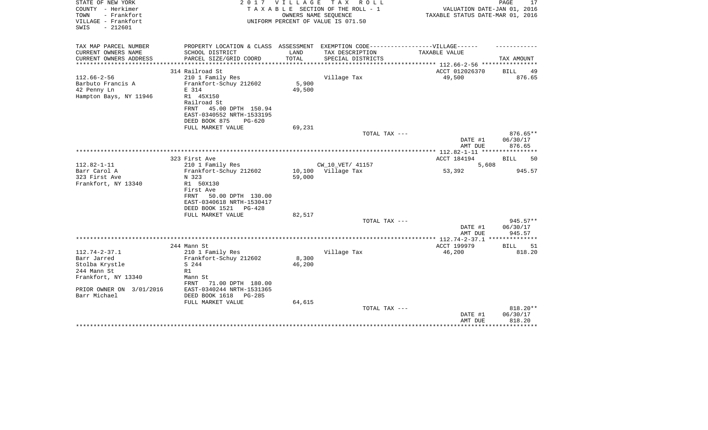| STATE OF NEW YORK<br>COUNTY - Herkimer<br>TOWN<br>- Frankfort<br>VILLAGE - Frankfort | 2017                                                                              | VILLAGE | T A X<br>R O L L<br>TAXABLE SECTION OF THE ROLL - 1<br>OWNERS NAME SEQUENCE<br>UNIFORM PERCENT OF VALUE IS 071.50 | VALUATION DATE-JAN 01, 2016<br>TAXABLE STATUS DATE-MAR 01, 2016 | 17<br>PAGE         |
|--------------------------------------------------------------------------------------|-----------------------------------------------------------------------------------|---------|-------------------------------------------------------------------------------------------------------------------|-----------------------------------------------------------------|--------------------|
| $-212601$<br>SWIS                                                                    |                                                                                   |         |                                                                                                                   |                                                                 |                    |
| TAX MAP PARCEL NUMBER                                                                | PROPERTY LOCATION & CLASS ASSESSMENT EXEMPTION CODE-----------------VILLAGE------ |         |                                                                                                                   |                                                                 |                    |
| CURRENT OWNERS NAME                                                                  | SCHOOL DISTRICT                                                                   | LAND    | TAX DESCRIPTION                                                                                                   | TAXABLE VALUE                                                   |                    |
| CURRENT OWNERS ADDRESS                                                               | PARCEL SIZE/GRID COORD                                                            | TOTAL   | SPECIAL DISTRICTS                                                                                                 |                                                                 | TAX AMOUNT         |
|                                                                                      | 314 Railroad St                                                                   |         |                                                                                                                   | ACCT 012026370                                                  | BILL<br>49         |
| $112.66 - 2 - 56$                                                                    | 210 1 Family Res                                                                  |         | Village Tax                                                                                                       | 49,500                                                          | 876.65             |
| Barbuto Francis A                                                                    | Frankfort-Schuy 212602                                                            | 5,900   |                                                                                                                   |                                                                 |                    |
| 42 Penny Ln                                                                          | E 314                                                                             | 49,500  |                                                                                                                   |                                                                 |                    |
| Hampton Bays, NY 11946                                                               | R1 45X150<br>Railroad St                                                          |         |                                                                                                                   |                                                                 |                    |
|                                                                                      | 45.00 DPTH 150.94<br>FRNT                                                         |         |                                                                                                                   |                                                                 |                    |
|                                                                                      | EAST-0340552 NRTH-1533195                                                         |         |                                                                                                                   |                                                                 |                    |
|                                                                                      | DEED BOOK 875<br>$PG-620$                                                         |         |                                                                                                                   |                                                                 |                    |
|                                                                                      | FULL MARKET VALUE                                                                 | 69,231  |                                                                                                                   |                                                                 |                    |
|                                                                                      |                                                                                   |         | TOTAL TAX ---                                                                                                     |                                                                 | $876.65**$         |
|                                                                                      |                                                                                   |         |                                                                                                                   | DATE #1<br>AMT DUE                                              | 06/30/17<br>876.65 |
|                                                                                      |                                                                                   |         |                                                                                                                   |                                                                 | ****************   |
|                                                                                      | 323 First Ave                                                                     |         |                                                                                                                   | ACCT 184194                                                     | 50<br>BILL         |
| $112.82 - 1 - 11$                                                                    | 210 1 Family Res                                                                  |         | CW_10_VET/ 41157                                                                                                  | 5,608                                                           |                    |
| Barr Carol A                                                                         | Frankfort-Schuy 212602                                                            | 10,100  | Village Tax                                                                                                       | 53,392                                                          | 945.57             |
| 323 First Ave                                                                        | N 323                                                                             | 59,000  |                                                                                                                   |                                                                 |                    |
| Frankfort, NY 13340                                                                  | R1 50X130<br>First Ave                                                            |         |                                                                                                                   |                                                                 |                    |
|                                                                                      | FRNT<br>50.00 DPTH 130.00                                                         |         |                                                                                                                   |                                                                 |                    |
|                                                                                      | EAST-0340618 NRTH-1530417                                                         |         |                                                                                                                   |                                                                 |                    |
|                                                                                      | DEED BOOK 1521<br>$PG-428$                                                        |         |                                                                                                                   |                                                                 |                    |
|                                                                                      | FULL MARKET VALUE                                                                 | 82,517  |                                                                                                                   |                                                                 |                    |
|                                                                                      |                                                                                   |         | TOTAL TAX ---                                                                                                     |                                                                 | 945.57**           |
|                                                                                      |                                                                                   |         |                                                                                                                   | DATE #1<br>AMT DUE                                              | 06/30/17<br>945.57 |
|                                                                                      |                                                                                   |         |                                                                                                                   |                                                                 |                    |
|                                                                                      | 244 Mann St                                                                       |         |                                                                                                                   | ACCT 199979                                                     | <b>BILL</b><br>51  |
| $112.74 - 2 - 37.1$                                                                  | 210 1 Family Res                                                                  |         | Village Tax                                                                                                       | 46,200                                                          | 818.20             |
| Barr Jarred                                                                          | Frankfort-Schuy 212602                                                            | 8,300   |                                                                                                                   |                                                                 |                    |
| Stolba Krystle<br>244 Mann St                                                        | S 244<br>R1                                                                       | 46,200  |                                                                                                                   |                                                                 |                    |
| Frankfort, NY 13340                                                                  | Mann St                                                                           |         |                                                                                                                   |                                                                 |                    |
|                                                                                      | 71.00 DPTH 180.00<br>FRNT                                                         |         |                                                                                                                   |                                                                 |                    |
| PRIOR OWNER ON 3/01/2016                                                             | EAST-0340244 NRTH-1531365                                                         |         |                                                                                                                   |                                                                 |                    |
| Barr Michael                                                                         | DEED BOOK 1618<br>$PG-285$                                                        |         |                                                                                                                   |                                                                 |                    |
|                                                                                      | FULL MARKET VALUE                                                                 | 64,615  |                                                                                                                   |                                                                 |                    |
|                                                                                      |                                                                                   |         | TOTAL TAX ---                                                                                                     |                                                                 | $818.20**$         |
|                                                                                      |                                                                                   |         |                                                                                                                   | DATE #1<br>AMT DUE                                              | 06/30/17<br>818.20 |
|                                                                                      |                                                                                   |         |                                                                                                                   |                                                                 |                    |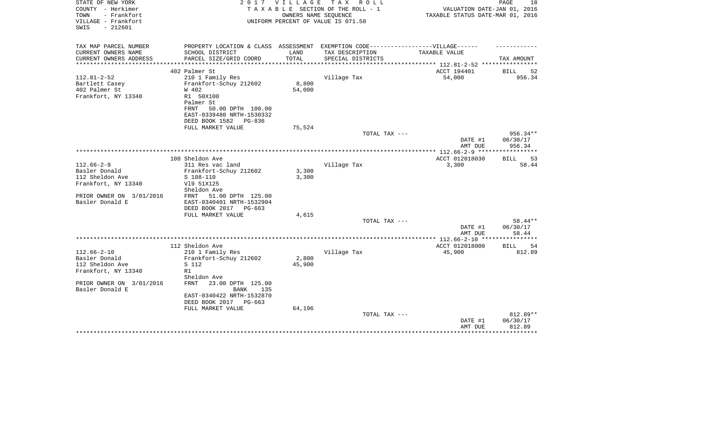| STATE OF NEW YORK<br>COUNTY - Herkimer<br>TOWN<br>- Frankfort<br>VILLAGE - Frankfort<br>$-212601$<br>SWIS | 2 0 1 7                                               | OWNERS NAME SEQUENCE   | VILLAGE TAX ROLL<br>TAXABLE SECTION OF THE ROLL - 1<br>UNIFORM PERCENT OF VALUE IS 071.50 | VALUATION DATE-JAN 01, 2016<br>TAXABLE STATUS DATE-MAR 01, 2016 | PAGE<br>18                  |
|-----------------------------------------------------------------------------------------------------------|-------------------------------------------------------|------------------------|-------------------------------------------------------------------------------------------|-----------------------------------------------------------------|-----------------------------|
| TAX MAP PARCEL NUMBER                                                                                     | PROPERTY LOCATION & CLASS ASSESSMENT                  |                        | EXEMPTION CODE------------------VILLAGE------                                             |                                                                 |                             |
| CURRENT OWNERS NAME                                                                                       | SCHOOL DISTRICT                                       | LAND                   | TAX DESCRIPTION                                                                           | TAXABLE VALUE                                                   |                             |
| CURRENT OWNERS ADDRESS<br>*********************                                                           | PARCEL SIZE/GRID COORD<br>***********************     | TOTAL<br>************* | SPECIAL DISTRICTS                                                                         |                                                                 | TAX AMOUNT                  |
|                                                                                                           | 402 Palmer St                                         |                        |                                                                                           | ACCT 194401                                                     | 52<br>BILL                  |
| $112.81 - 2 - 52$                                                                                         | 210 1 Family Res                                      |                        | Village Tax                                                                               | 54,000                                                          | 956.34                      |
| Bartlett Casey                                                                                            | Frankfort-Schuy 212602                                | 8,800                  |                                                                                           |                                                                 |                             |
| 402 Palmer St                                                                                             | W 402                                                 | 54,000                 |                                                                                           |                                                                 |                             |
| Frankfort, NY 13340                                                                                       | R1 50X100                                             |                        |                                                                                           |                                                                 |                             |
|                                                                                                           | Palmer St                                             |                        |                                                                                           |                                                                 |                             |
|                                                                                                           | FRNT<br>50.00 DPTH 100.00                             |                        |                                                                                           |                                                                 |                             |
|                                                                                                           | EAST-0339480 NRTH-1530332<br>DEED BOOK 1582<br>PG-836 |                        |                                                                                           |                                                                 |                             |
|                                                                                                           | FULL MARKET VALUE                                     | 75,524                 |                                                                                           |                                                                 |                             |
|                                                                                                           |                                                       |                        | TOTAL TAX ---                                                                             |                                                                 | 956.34**                    |
|                                                                                                           |                                                       |                        |                                                                                           | DATE #1                                                         | 06/30/17                    |
|                                                                                                           |                                                       |                        |                                                                                           | AMT DUE                                                         | 956.34                      |
|                                                                                                           | 108 Sheldon Ave                                       |                        |                                                                                           | ************* 112.66-2-9 ****                                   |                             |
| $112.66 - 2 - 9$                                                                                          | 311 Res vac land                                      |                        | Village Tax                                                                               | ACCT 012018030<br>3,300                                         | <b>BILL</b><br>53<br>58.44  |
| Basler Donald                                                                                             | Frankfort-Schuy 212602                                | 3,300                  |                                                                                           |                                                                 |                             |
| 112 Sheldon Ave                                                                                           | S 108-110                                             | 3,300                  |                                                                                           |                                                                 |                             |
| Frankfort, NY 13340                                                                                       | V19 51X125                                            |                        |                                                                                           |                                                                 |                             |
|                                                                                                           | Sheldon Ave                                           |                        |                                                                                           |                                                                 |                             |
| PRIOR OWNER ON 3/01/2016                                                                                  | 51.00 DPTH 125.00<br>FRNT                             |                        |                                                                                           |                                                                 |                             |
| Basler Donald E                                                                                           | EAST-0340401 NRTH-1532904<br>DEED BOOK 2017 PG-663    |                        |                                                                                           |                                                                 |                             |
|                                                                                                           | FULL MARKET VALUE                                     | 4,615                  |                                                                                           |                                                                 |                             |
|                                                                                                           |                                                       |                        | TOTAL TAX ---                                                                             |                                                                 | 58.44**                     |
|                                                                                                           |                                                       |                        |                                                                                           | DATE #1                                                         | 06/30/17                    |
|                                                                                                           |                                                       |                        |                                                                                           | AMT DUE                                                         | 58.44                       |
|                                                                                                           |                                                       |                        |                                                                                           | **** 112.66-2-10 ***                                            |                             |
| $112.66 - 2 - 10$                                                                                         | 112 Sheldon Ave<br>210 1 Family Res                   |                        | Village Tax                                                                               | ACCT 012018000<br>45,900                                        | <b>BILL</b><br>54<br>812.89 |
| Basler Donald                                                                                             | Frankfort-Schuy 212602                                | 2,800                  |                                                                                           |                                                                 |                             |
| 112 Sheldon Ave                                                                                           | S 112                                                 | 45,900                 |                                                                                           |                                                                 |                             |
| Frankfort, NY 13340                                                                                       | R1                                                    |                        |                                                                                           |                                                                 |                             |
|                                                                                                           | Sheldon Ave                                           |                        |                                                                                           |                                                                 |                             |
| PRIOR OWNER ON 3/01/2016                                                                                  | <b>FRNT</b><br>23.00 DPTH 125.00                      |                        |                                                                                           |                                                                 |                             |
| Basler Donald E                                                                                           | <b>BANK</b><br>135                                    |                        |                                                                                           |                                                                 |                             |
|                                                                                                           | EAST-0340422 NRTH-1532870<br>DEED BOOK 2017 PG-663    |                        |                                                                                           |                                                                 |                             |
|                                                                                                           | FULL MARKET VALUE                                     | 64,196                 |                                                                                           |                                                                 |                             |
|                                                                                                           |                                                       |                        | TOTAL TAX ---                                                                             |                                                                 | 812.89**                    |
|                                                                                                           |                                                       |                        |                                                                                           | DATE #1                                                         | 06/30/17                    |
|                                                                                                           |                                                       |                        |                                                                                           | AMT DUE                                                         | 812.89                      |
|                                                                                                           |                                                       |                        |                                                                                           |                                                                 |                             |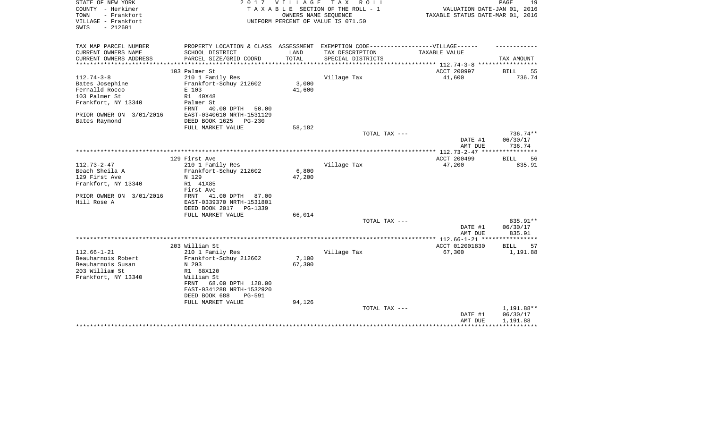| STATE OF NEW YORK<br>COUNTY - Herkimer          | 2017                                                                              | <b>VILLAGE</b> | T A X<br>ROLL ROLL<br>TAXABLE SECTION OF THE ROLL - 1 | VALUATION DATE-JAN 01, 2016                               | PAGE<br>19                    |
|-------------------------------------------------|-----------------------------------------------------------------------------------|----------------|-------------------------------------------------------|-----------------------------------------------------------|-------------------------------|
| - Frankfort<br>TOWN                             |                                                                                   |                | OWNERS NAME SEQUENCE                                  | TAXABLE STATUS DATE-MAR 01, 2016                          |                               |
| VILLAGE - Frankfort<br>$-212601$<br>SWIS        |                                                                                   |                | UNIFORM PERCENT OF VALUE IS 071.50                    |                                                           |                               |
| TAX MAP PARCEL NUMBER                           | PROPERTY LOCATION & CLASS ASSESSMENT EXEMPTION CODE-----------------VILLAGE------ |                |                                                       |                                                           |                               |
| CURRENT OWNERS NAME                             | SCHOOL DISTRICT                                                                   | LAND           | TAX DESCRIPTION                                       | TAXABLE VALUE                                             |                               |
| CURRENT OWNERS ADDRESS<br>********************* | PARCEL SIZE/GRID COORD                                                            | TOTAL          | SPECIAL DISTRICTS                                     | **************************** 112.74-3-8 ***************** | TAX AMOUNT                    |
|                                                 | 103 Palmer St                                                                     |                |                                                       | ACCT 200997                                               | BILL<br>55                    |
| $112.74 - 3 - 8$                                | 210 1 Family Res                                                                  |                | Village Tax                                           | 41,600                                                    | 736.74                        |
| Bates Josephine                                 | Frankfort-Schuy 212602                                                            | 3,000          |                                                       |                                                           |                               |
| Fernalld Rocco                                  | E 103                                                                             | 41,600         |                                                       |                                                           |                               |
| 103 Palmer St                                   | R1 40X48                                                                          |                |                                                       |                                                           |                               |
| Frankfort, NY 13340                             | Palmer St                                                                         |                |                                                       |                                                           |                               |
|                                                 | 40.00 DPTH<br>50.00<br>FRNT                                                       |                |                                                       |                                                           |                               |
| PRIOR OWNER ON 3/01/2016                        | EAST-0340610 NRTH-1531129                                                         |                |                                                       |                                                           |                               |
| Bates Raymond                                   | DEED BOOK 1625<br>$PG-230$                                                        |                |                                                       |                                                           |                               |
|                                                 | FULL MARKET VALUE                                                                 | 58,182         |                                                       |                                                           |                               |
|                                                 |                                                                                   |                | TOTAL TAX ---                                         |                                                           | 736.74**                      |
|                                                 |                                                                                   |                |                                                       | DATE #1                                                   | 06/30/17                      |
|                                                 |                                                                                   |                |                                                       | AMT DUE                                                   | 736.74                        |
|                                                 | 129 First Ave                                                                     |                |                                                       | ACCT 200499                                               | 56<br>BILL                    |
| $112.73 - 2 - 47$                               | 210 1 Family Res                                                                  |                | Village Tax                                           | 47,200                                                    | 835.91                        |
| Beach Sheila A                                  | Frankfort-Schuy 212602                                                            | 6,800          |                                                       |                                                           |                               |
| 129 First Ave                                   | N 129                                                                             | 47,200         |                                                       |                                                           |                               |
| Frankfort, NY 13340                             | R1 41X85                                                                          |                |                                                       |                                                           |                               |
|                                                 | First Ave                                                                         |                |                                                       |                                                           |                               |
| PRIOR OWNER ON 3/01/2016                        | 41.00 DPTH<br>FRNT<br>87.00                                                       |                |                                                       |                                                           |                               |
| Hill Rose A                                     | EAST-0339370 NRTH-1531801                                                         |                |                                                       |                                                           |                               |
|                                                 | DEED BOOK 2017<br>PG-1339                                                         |                |                                                       |                                                           |                               |
|                                                 | FULL MARKET VALUE                                                                 | 66,014         |                                                       |                                                           |                               |
|                                                 |                                                                                   |                | TOTAL TAX ---                                         |                                                           | 835.91**                      |
|                                                 |                                                                                   |                |                                                       | DATE #1                                                   | 06/30/17                      |
|                                                 |                                                                                   |                |                                                       | AMT DUE                                                   | 835.91                        |
|                                                 |                                                                                   |                |                                                       |                                                           |                               |
| $112.66 - 1 - 21$                               | 203 William St<br>210 1 Family Res                                                |                | Village Tax                                           | ACCT 012001830<br>67,300                                  | <b>BILL</b><br>57<br>1,191.88 |
| Beauharnois Robert                              | Frankfort-Schuy 212602                                                            | 7,100          |                                                       |                                                           |                               |
| Beauharnois Susan                               | N 203                                                                             | 67,300         |                                                       |                                                           |                               |
| 203 William St                                  | R1 68X120                                                                         |                |                                                       |                                                           |                               |
| Frankfort, NY 13340                             | William St                                                                        |                |                                                       |                                                           |                               |
|                                                 | 68.00 DPTH 128.00<br>FRNT                                                         |                |                                                       |                                                           |                               |
|                                                 | EAST-0341288 NRTH-1532920                                                         |                |                                                       |                                                           |                               |
|                                                 | DEED BOOK 688<br><b>PG-591</b>                                                    |                |                                                       |                                                           |                               |
|                                                 | FULL MARKET VALUE                                                                 | 94,126         |                                                       |                                                           |                               |
|                                                 |                                                                                   |                | TOTAL TAX ---                                         |                                                           | 1,191.88**                    |
|                                                 |                                                                                   |                |                                                       | DATE #1                                                   | 06/30/17                      |
|                                                 |                                                                                   |                |                                                       | AMT DUE                                                   | 1,191.88                      |
|                                                 |                                                                                   |                |                                                       |                                                           |                               |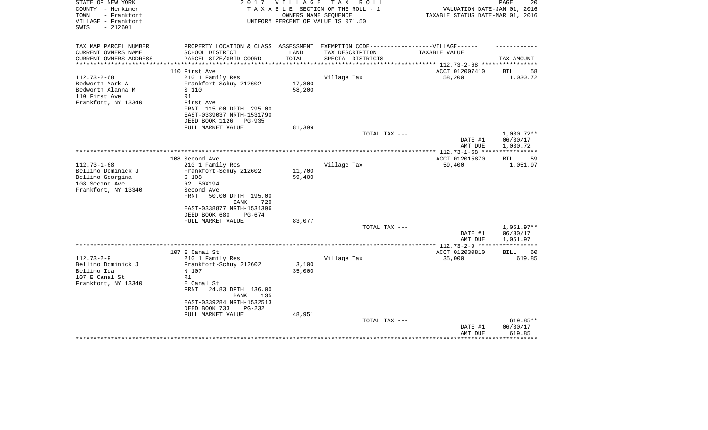| STATE OF NEW YORK<br>COUNTY - Herkimer<br>TOWN<br>- Frankfort<br>VILLAGE - Frankfort<br>$-212601$<br>SWIS | 2017                                                                              | <b>VILLAGE</b> | T A X<br>R O L L<br>TAXABLE SECTION OF THE ROLL - 1<br>OWNERS NAME SEOUENCE<br>UNIFORM PERCENT OF VALUE IS 071.50 | VALUATION DATE-JAN 01, 2016<br>TAXABLE STATUS DATE-MAR 01, 2016 | PAGE<br>20        |
|-----------------------------------------------------------------------------------------------------------|-----------------------------------------------------------------------------------|----------------|-------------------------------------------------------------------------------------------------------------------|-----------------------------------------------------------------|-------------------|
| TAX MAP PARCEL NUMBER                                                                                     | PROPERTY LOCATION & CLASS ASSESSMENT EXEMPTION CODE-----------------VILLAGE------ |                |                                                                                                                   |                                                                 |                   |
| CURRENT OWNERS NAME                                                                                       | SCHOOL DISTRICT                                                                   | LAND           | TAX DESCRIPTION                                                                                                   | TAXABLE VALUE                                                   |                   |
| CURRENT OWNERS ADDRESS<br>**********************                                                          | PARCEL SIZE/GRID COORD                                                            | TOTAL          | SPECIAL DISTRICTS                                                                                                 |                                                                 | TAX AMOUNT        |
|                                                                                                           | 110 First Ave                                                                     |                |                                                                                                                   | ACCT 012007410                                                  | BILL<br>58        |
| $112.73 - 2 - 68$                                                                                         | 210 1 Family Res                                                                  |                | Village Tax                                                                                                       | 58,200                                                          | 1,030.72          |
| Bedworth Mark A                                                                                           | Frankfort-Schuy 212602                                                            | 17,800         |                                                                                                                   |                                                                 |                   |
| Bedworth Alanna M                                                                                         | S 110                                                                             | 58,200         |                                                                                                                   |                                                                 |                   |
| 110 First Ave                                                                                             | R1                                                                                |                |                                                                                                                   |                                                                 |                   |
| Frankfort, NY 13340                                                                                       | First Ave                                                                         |                |                                                                                                                   |                                                                 |                   |
|                                                                                                           | FRNT 115.00 DPTH 295.00                                                           |                |                                                                                                                   |                                                                 |                   |
|                                                                                                           | EAST-0339037 NRTH-1531790                                                         |                |                                                                                                                   |                                                                 |                   |
|                                                                                                           | DEED BOOK 1126<br>PG-935                                                          |                |                                                                                                                   |                                                                 |                   |
|                                                                                                           | FULL MARKET VALUE                                                                 | 81,399         | TOTAL TAX ---                                                                                                     |                                                                 | 1,030.72**        |
|                                                                                                           |                                                                                   |                |                                                                                                                   | DATE #1                                                         | 06/30/17          |
|                                                                                                           |                                                                                   |                |                                                                                                                   | AMT DUE                                                         | 1,030.72          |
|                                                                                                           | * * * * * * * * * * * * * * *                                                     |                |                                                                                                                   | *************** 112.73-1-68 ****                                | ***********       |
|                                                                                                           | 108 Second Ave                                                                    |                |                                                                                                                   | ACCT 012015870                                                  | <b>BILL</b><br>59 |
| $112.73 - 1 - 68$                                                                                         | 210 1 Family Res                                                                  |                | Village Tax                                                                                                       | 59,400                                                          | 1,051.97          |
| Bellino Dominick J                                                                                        | Frankfort-Schuy 212602                                                            | 11,700         |                                                                                                                   |                                                                 |                   |
| Bellino Georgina                                                                                          | S 108                                                                             | 59,400         |                                                                                                                   |                                                                 |                   |
| 108 Second Ave                                                                                            | R2 50X194                                                                         |                |                                                                                                                   |                                                                 |                   |
| Frankfort, NY 13340                                                                                       | Second Ave<br>50.00 DPTH 195.00<br>FRNT                                           |                |                                                                                                                   |                                                                 |                   |
|                                                                                                           | BANK<br>720                                                                       |                |                                                                                                                   |                                                                 |                   |
|                                                                                                           | EAST-0338877 NRTH-1531396                                                         |                |                                                                                                                   |                                                                 |                   |
|                                                                                                           | DEED BOOK 680<br>PG-674                                                           |                |                                                                                                                   |                                                                 |                   |
|                                                                                                           | FULL MARKET VALUE                                                                 | 83,077         |                                                                                                                   |                                                                 |                   |
|                                                                                                           |                                                                                   |                | TOTAL TAX ---                                                                                                     |                                                                 | 1,051.97**        |
|                                                                                                           |                                                                                   |                |                                                                                                                   | DATE #1                                                         | 06/30/17          |
|                                                                                                           |                                                                                   |                |                                                                                                                   | AMT DUE<br>*** $112.73 - 2 - 9$ ***                             | 1,051.97          |
|                                                                                                           | 107 E Canal St                                                                    |                |                                                                                                                   | ACCT 012030810                                                  | 60<br>BILL        |
| $112.73 - 2 - 9$                                                                                          | 210 1 Family Res                                                                  |                | Village Tax                                                                                                       | 35,000                                                          | 619.85            |
| Bellino Dominick J                                                                                        | Frankfort-Schuy 212602                                                            | 3,100          |                                                                                                                   |                                                                 |                   |
| Bellino Ida                                                                                               | N 107                                                                             | 35,000         |                                                                                                                   |                                                                 |                   |
| 107 E Canal St                                                                                            | R1                                                                                |                |                                                                                                                   |                                                                 |                   |
| Frankfort, NY 13340                                                                                       | E Canal St                                                                        |                |                                                                                                                   |                                                                 |                   |
|                                                                                                           | <b>FRNT</b><br>24.83 DPTH 136.00                                                  |                |                                                                                                                   |                                                                 |                   |
|                                                                                                           | BANK<br>135                                                                       |                |                                                                                                                   |                                                                 |                   |
|                                                                                                           | EAST-0339284 NRTH-1532513<br>DEED BOOK 733<br>PG-232                              |                |                                                                                                                   |                                                                 |                   |
|                                                                                                           | FULL MARKET VALUE                                                                 | 48,951         |                                                                                                                   |                                                                 |                   |
|                                                                                                           |                                                                                   |                | TOTAL TAX ---                                                                                                     |                                                                 | 619.85**          |
|                                                                                                           |                                                                                   |                |                                                                                                                   | DATE #1                                                         | 06/30/17          |
|                                                                                                           |                                                                                   |                |                                                                                                                   | AMT DUE                                                         | 619.85            |
|                                                                                                           |                                                                                   |                |                                                                                                                   |                                                                 |                   |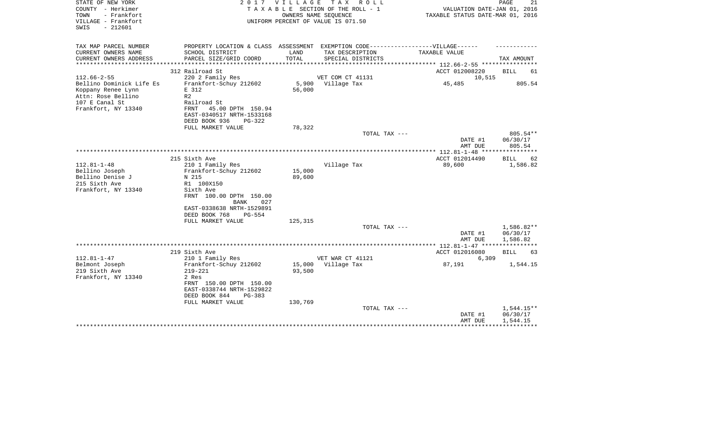| STATE OF NEW YORK<br>COUNTY - Herkimer<br>- Frankfort<br>TOWN<br>VILLAGE - Frankfort<br>SWIS<br>$-212601$     |                                                                                                                                                                         | 2017 VILLAGE                | TAX ROLL<br>TAXABLE SECTION OF THE ROLL - 1<br>OWNERS NAME SEOUENCE<br>UNIFORM PERCENT OF VALUE IS 071.50 | VALUATION DATE-JAN 01, 2016<br>TAXABLE STATUS DATE-MAR 01, 2016 | PAGE<br>21                         |
|---------------------------------------------------------------------------------------------------------------|-------------------------------------------------------------------------------------------------------------------------------------------------------------------------|-----------------------------|-----------------------------------------------------------------------------------------------------------|-----------------------------------------------------------------|------------------------------------|
| TAX MAP PARCEL NUMBER<br>CURRENT OWNERS NAME                                                                  | PROPERTY LOCATION & CLASS ASSESSMENT EXEMPTION CODE----------------VILLAGE------<br>SCHOOL DISTRICT                                                                     | LAND                        | TAX DESCRIPTION                                                                                           | TAXABLE VALUE                                                   |                                    |
| CURRENT OWNERS ADDRESS                                                                                        | PARCEL SIZE/GRID COORD                                                                                                                                                  | TOTAL                       | SPECIAL DISTRICTS                                                                                         |                                                                 | TAX AMOUNT                         |
| ***********                                                                                                   |                                                                                                                                                                         |                             |                                                                                                           | *************** 112.66-2-55 ***********                         |                                    |
| $112.66 - 2 - 55$                                                                                             | 312 Railroad St<br>220 2 Family Res                                                                                                                                     |                             | VET COM CT 41131                                                                                          | ACCT 012008220<br>10,515                                        | <b>BILL</b><br>61                  |
| Bellino Dominick Life Es<br>Koppany Renee Lynn<br>Attn: Rose Bellino<br>107 E Canal St<br>Frankfort, NY 13340 | Frankfort-Schuy 212602<br>E 312<br>R <sub>2</sub><br>Railroad St<br>FRNT<br>45.00 DPTH 150.94<br>EAST-0340517 NRTH-1533168<br>DEED BOOK 936<br>$PG-322$                 | 5,900<br>56,000             | Village Tax                                                                                               | 45,485                                                          | 805.54                             |
|                                                                                                               | FULL MARKET VALUE                                                                                                                                                       | 78,322                      |                                                                                                           |                                                                 |                                    |
|                                                                                                               |                                                                                                                                                                         |                             | TOTAL TAX ---                                                                                             | DATE #1<br>AMT DUE                                              | $805.54**$<br>06/30/17<br>805.54   |
|                                                                                                               |                                                                                                                                                                         |                             |                                                                                                           |                                                                 |                                    |
| $112.81 - 1 - 48$                                                                                             | 215 Sixth Ave<br>210 1 Family Res                                                                                                                                       |                             | Village Tax                                                                                               | ACCT 012014490<br>89,600                                        | 62<br><b>BILL</b><br>1,586.82      |
| Bellino Joseph<br>Bellino Denise J<br>215 Sixth Ave<br>Frankfort, NY 13340                                    | Frankfort-Schuy 212602<br>N 215<br>R1 100X150<br>Sixth Ave<br>FRNT 100.00 DPTH 150.00<br><b>BANK</b><br>027<br>EAST-0338638 NRTH-1529891<br>DEED BOOK 768<br>$PG - 554$ | 15,000<br>89,600            |                                                                                                           |                                                                 |                                    |
|                                                                                                               | FULL MARKET VALUE                                                                                                                                                       | 125,315                     | TOTAL TAX ---                                                                                             | DATE #1                                                         | 1,586.82**<br>06/30/17             |
|                                                                                                               |                                                                                                                                                                         |                             |                                                                                                           | AMT DUE                                                         | 1,586.82                           |
|                                                                                                               | 219 Sixth Ave                                                                                                                                                           |                             |                                                                                                           | ACCT 012016080                                                  | <b>BILL</b><br>63                  |
| $112.81 - 1 - 47$                                                                                             | 210 1 Family Res                                                                                                                                                        |                             | VET WAR CT 41121                                                                                          | 6,309                                                           |                                    |
| Belmont Joseph<br>219 Sixth Ave<br>Frankfort, NY 13340                                                        | Frankfort-Schuy 212602<br>$219 - 221$<br>2 Res<br>FRNT 150.00 DPTH 150.00<br>EAST-0338744 NRTH-1529822<br>DEED BOOK 844<br>$PG-383$<br>FULL MARKET VALUE                | 15,000<br>93,500<br>130,769 | Village Tax                                                                                               | 87,191                                                          | 1,544.15                           |
|                                                                                                               |                                                                                                                                                                         |                             | TOTAL TAX ---                                                                                             | DATE #1<br>AMT DUE                                              | 1,544.15**<br>06/30/17<br>1,544.15 |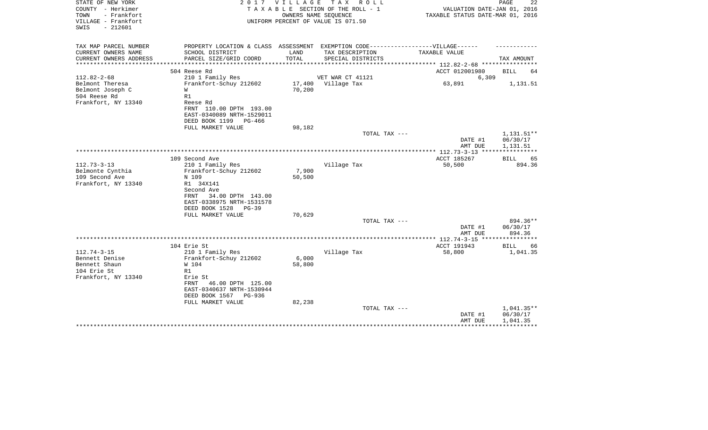| STATE OF NEW YORK<br>COUNTY - Herkimer<br>TOWN<br>- Frankfort<br>VILLAGE - Frankfort<br>SWIS<br>$-212601$ | 2017                                                    | VILLAGE TAX | R O L L<br>TAXABLE SECTION OF THE ROLL - 1<br>OWNERS NAME SEQUENCE<br>UNIFORM PERCENT OF VALUE IS 071.50 | VALUATION DATE-JAN 01, 2016<br>TAXABLE STATUS DATE-MAR 01, 2016 | PAGE<br>22        |
|-----------------------------------------------------------------------------------------------------------|---------------------------------------------------------|-------------|----------------------------------------------------------------------------------------------------------|-----------------------------------------------------------------|-------------------|
| TAX MAP PARCEL NUMBER<br>CURRENT OWNERS NAME                                                              | PROPERTY LOCATION & CLASS ASSESSMENT<br>SCHOOL DISTRICT | LAND        | EXEMPTION CODE------------------VILLAGE------<br>TAX DESCRIPTION                                         | TAXABLE VALUE                                                   |                   |
| CURRENT OWNERS ADDRESS<br>**************                                                                  | PARCEL SIZE/GRID COORD                                  | TOTAL       | SPECIAL DISTRICTS                                                                                        | **************** 112.82-2-68 **********                         | TAX AMOUNT        |
|                                                                                                           | 504 Reese Rd                                            |             |                                                                                                          | ACCT 012001980                                                  | BILL<br>64        |
| $112.82 - 2 - 68$                                                                                         | 210 1 Family Res                                        |             | VET WAR CT 41121                                                                                         | 6,309                                                           |                   |
| Belmont Theresa                                                                                           | Frankfort-Schuy 212602                                  |             | 17,400 Village Tax                                                                                       | 63,891                                                          | 1,131.51          |
| Belmont Joseph C<br>504 Reese Rd                                                                          | W<br>R1                                                 | 70,200      |                                                                                                          |                                                                 |                   |
| Frankfort, NY 13340                                                                                       | Reese Rd                                                |             |                                                                                                          |                                                                 |                   |
|                                                                                                           | FRNT 110.00 DPTH 193.00<br>EAST-0340089 NRTH-1529011    |             |                                                                                                          |                                                                 |                   |
|                                                                                                           | DEED BOOK 1199 PG-466                                   |             |                                                                                                          |                                                                 |                   |
|                                                                                                           | FULL MARKET VALUE                                       | 98,182      |                                                                                                          |                                                                 |                   |
|                                                                                                           |                                                         |             | TOTAL TAX ---                                                                                            |                                                                 | $1,131.51**$      |
|                                                                                                           |                                                         |             |                                                                                                          | DATE #1                                                         | 06/30/17          |
|                                                                                                           |                                                         |             |                                                                                                          | AMT DUE                                                         | 1,131.51          |
|                                                                                                           | 109 Second Ave                                          |             |                                                                                                          | ACCT 185267                                                     | 65<br>BILL        |
| $112.73 - 3 - 13$                                                                                         | 210 1 Family Res                                        |             | Village Tax                                                                                              | 50,500                                                          | 894.36            |
| Belmonte Cynthia                                                                                          | Frankfort-Schuy 212602                                  | 7,900       |                                                                                                          |                                                                 |                   |
| 109 Second Ave                                                                                            | N 109                                                   | 50,500      |                                                                                                          |                                                                 |                   |
| Frankfort, NY 13340                                                                                       | R1 34X141                                               |             |                                                                                                          |                                                                 |                   |
|                                                                                                           | Second Ave                                              |             |                                                                                                          |                                                                 |                   |
|                                                                                                           | 34.00 DPTH 143.00<br>FRNT                               |             |                                                                                                          |                                                                 |                   |
|                                                                                                           | EAST-0338975 NRTH-1531578                               |             |                                                                                                          |                                                                 |                   |
|                                                                                                           | DEED BOOK 1528<br>$PG-39$<br>FULL MARKET VALUE          | 70,629      |                                                                                                          |                                                                 |                   |
|                                                                                                           |                                                         |             | TOTAL TAX ---                                                                                            |                                                                 | 894.36**          |
|                                                                                                           |                                                         |             |                                                                                                          | DATE #1                                                         | 06/30/17          |
|                                                                                                           |                                                         |             |                                                                                                          | AMT DUE                                                         | 894.36            |
|                                                                                                           |                                                         |             |                                                                                                          | *************** 112.74-3-15 ***********                         |                   |
|                                                                                                           | 104 Erie St                                             |             |                                                                                                          | ACCT 191943                                                     | <b>BILL</b><br>66 |
| $112.74 - 3 - 15$                                                                                         | 210 1 Family Res                                        |             | Village Tax                                                                                              | 58,800                                                          | 1,041.35          |
| Bennett Denise                                                                                            | Frankfort-Schuy 212602                                  | 6,000       |                                                                                                          |                                                                 |                   |
| Bennett Shaun                                                                                             | W 104                                                   | 58,800      |                                                                                                          |                                                                 |                   |
| 104 Erie St<br>Frankfort, NY 13340                                                                        | R1<br>Erie St                                           |             |                                                                                                          |                                                                 |                   |
|                                                                                                           | 46.00 DPTH 125.00<br>FRNT                               |             |                                                                                                          |                                                                 |                   |
|                                                                                                           | EAST-0340637 NRTH-1530944                               |             |                                                                                                          |                                                                 |                   |
|                                                                                                           | DEED BOOK 1567<br>PG-936                                |             |                                                                                                          |                                                                 |                   |
|                                                                                                           | FULL MARKET VALUE                                       | 82,238      |                                                                                                          |                                                                 |                   |
|                                                                                                           |                                                         |             | TOTAL TAX ---                                                                                            |                                                                 | 1,041.35**        |
|                                                                                                           |                                                         |             |                                                                                                          | DATE #1                                                         | 06/30/17          |
|                                                                                                           |                                                         |             |                                                                                                          | AMT DUE                                                         | 1,041.35          |
|                                                                                                           |                                                         |             |                                                                                                          |                                                                 |                   |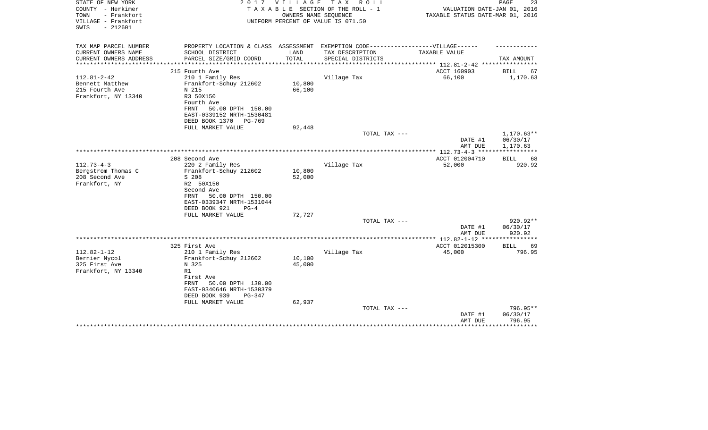| STATE OF NEW YORK<br>COUNTY - Herkimer                          | 2017                                                                                                 | <b>VILLAGE</b> | T A X<br>R O L L<br>TAXABLE SECTION OF THE ROLL - 1        | VALUATION DATE-JAN 01, 2016                | PAGE<br>23        |
|-----------------------------------------------------------------|------------------------------------------------------------------------------------------------------|----------------|------------------------------------------------------------|--------------------------------------------|-------------------|
| TOWN<br>- Frankfort<br>VILLAGE - Frankfort<br>$-212601$<br>SWIS |                                                                                                      |                | OWNERS NAME SEQUENCE<br>UNIFORM PERCENT OF VALUE IS 071.50 | TAXABLE STATUS DATE-MAR 01, 2016           |                   |
|                                                                 |                                                                                                      |                |                                                            |                                            |                   |
| TAX MAP PARCEL NUMBER<br>CURRENT OWNERS NAME                    | PROPERTY LOCATION & CLASS ASSESSMENT EXEMPTION CODE-----------------VILLAGE------<br>SCHOOL DISTRICT | LAND           | TAX DESCRIPTION                                            | TAXABLE VALUE                              |                   |
| CURRENT OWNERS ADDRESS                                          | PARCEL SIZE/GRID COORD                                                                               | TOTAL          | SPECIAL DISTRICTS                                          |                                            | TAX AMOUNT        |
| *******************                                             | **************************                                                                           | ************   |                                                            | ***************** 112.81-2-42 ************ |                   |
|                                                                 | 215 Fourth Ave                                                                                       |                |                                                            | ACCT 160903                                | <b>BILL</b><br>67 |
| $112.81 - 2 - 42$                                               | 210 1 Family Res                                                                                     |                | Village Tax                                                | 66,100                                     | 1,170.63          |
| Bennett Matthew                                                 | Frankfort-Schuy 212602                                                                               | 10,800         |                                                            |                                            |                   |
| 215 Fourth Ave                                                  | N 215                                                                                                | 66,100         |                                                            |                                            |                   |
| Frankfort, NY 13340                                             | R3 50X150<br>Fourth Ave                                                                              |                |                                                            |                                            |                   |
|                                                                 | 50.00 DPTH 150.00<br>FRNT                                                                            |                |                                                            |                                            |                   |
|                                                                 | EAST-0339152 NRTH-1530481                                                                            |                |                                                            |                                            |                   |
|                                                                 | DEED BOOK 1370<br>PG-769                                                                             |                |                                                            |                                            |                   |
|                                                                 | FULL MARKET VALUE                                                                                    | 92,448         |                                                            |                                            |                   |
|                                                                 |                                                                                                      |                | TOTAL TAX ---                                              |                                            | $1,170.63**$      |
|                                                                 |                                                                                                      |                |                                                            | DATE #1                                    | 06/30/17          |
|                                                                 |                                                                                                      |                |                                                            | AMT DUE                                    | 1,170.63          |
|                                                                 | 208 Second Ave                                                                                       |                |                                                            | ACCT 012004710                             | BILL<br>68        |
| $112.73 - 4 - 3$                                                | 220 2 Family Res                                                                                     |                | Village Tax                                                | 52,000                                     | 920.92            |
| Bergstrom Thomas C                                              | Frankfort-Schuy 212602                                                                               | 10,800         |                                                            |                                            |                   |
| 208 Second Ave                                                  | S 208                                                                                                | 52,000         |                                                            |                                            |                   |
| Frankfort, NY                                                   | R2 50X150                                                                                            |                |                                                            |                                            |                   |
|                                                                 | Second Ave                                                                                           |                |                                                            |                                            |                   |
|                                                                 | FRNT<br>50.00 DPTH 150.00                                                                            |                |                                                            |                                            |                   |
|                                                                 | EAST-0339347 NRTH-1531044                                                                            |                |                                                            |                                            |                   |
|                                                                 | DEED BOOK 921<br>$PG-4$                                                                              |                |                                                            |                                            |                   |
|                                                                 | FULL MARKET VALUE                                                                                    | 72,727         |                                                            |                                            | 920.92**          |
|                                                                 |                                                                                                      |                | TOTAL TAX ---                                              | DATE #1                                    | 06/30/17          |
|                                                                 |                                                                                                      |                |                                                            | AMT DUE                                    | 920.92            |
|                                                                 |                                                                                                      |                |                                                            |                                            |                   |
|                                                                 | 325 First Ave                                                                                        |                |                                                            | ACCT 012015300                             | 69<br>BILL        |
| $112.82 - 1 - 12$                                               | 210 1 Family Res                                                                                     |                | Village Tax                                                | 45,000                                     | 796.95            |
| Bernier Nycol                                                   | Frankfort-Schuy 212602                                                                               | 10,100         |                                                            |                                            |                   |
| 325 First Ave                                                   | N 325                                                                                                | 45,000         |                                                            |                                            |                   |
| Frankfort, NY 13340                                             | R1                                                                                                   |                |                                                            |                                            |                   |
|                                                                 | First Ave<br>FRNT<br>50.00 DPTH 130.00                                                               |                |                                                            |                                            |                   |
|                                                                 | EAST-0340646 NRTH-1530379                                                                            |                |                                                            |                                            |                   |
|                                                                 | DEED BOOK 939<br>$PG-347$                                                                            |                |                                                            |                                            |                   |
|                                                                 | FULL MARKET VALUE                                                                                    | 62,937         |                                                            |                                            |                   |
|                                                                 |                                                                                                      |                | TOTAL TAX ---                                              |                                            | 796.95**          |
|                                                                 |                                                                                                      |                |                                                            | DATE #1                                    | 06/30/17          |
|                                                                 |                                                                                                      |                |                                                            | AMT DUE                                    | 796.95            |
|                                                                 |                                                                                                      |                |                                                            |                                            | *********         |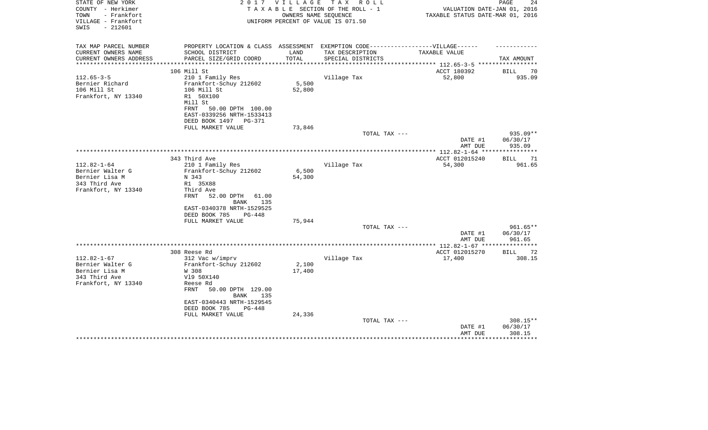| STATE OF NEW YORK<br>COUNTY - Herkimer<br>TOWN<br>- Frankfort<br>VILLAGE - Frankfort<br>$-212601$<br>SWIS | 2017                                                                              | V I L L A G E | T A X<br>R O L L<br>TAXABLE SECTION OF THE ROLL - 1<br>OWNERS NAME SEOUENCE<br>UNIFORM PERCENT OF VALUE IS 071.50 | VALUATION DATE-JAN 01, 2016<br>TAXABLE STATUS DATE-MAR 01, 2016 | PAGE<br>24                     |
|-----------------------------------------------------------------------------------------------------------|-----------------------------------------------------------------------------------|---------------|-------------------------------------------------------------------------------------------------------------------|-----------------------------------------------------------------|--------------------------------|
| TAX MAP PARCEL NUMBER                                                                                     | PROPERTY LOCATION & CLASS ASSESSMENT EXEMPTION CODE-----------------VILLAGE------ |               |                                                                                                                   |                                                                 |                                |
| CURRENT OWNERS NAME                                                                                       | SCHOOL DISTRICT                                                                   | LAND          | TAX DESCRIPTION                                                                                                   | TAXABLE VALUE                                                   |                                |
| CURRENT OWNERS ADDRESS                                                                                    | PARCEL SIZE/GRID COORD                                                            | TOTAL         | SPECIAL DISTRICTS                                                                                                 |                                                                 | TAX AMOUNT                     |
| **********************                                                                                    |                                                                                   |               |                                                                                                                   |                                                                 |                                |
|                                                                                                           | 106 Mill St                                                                       |               |                                                                                                                   | ACCT 180392                                                     | BILL<br>70                     |
| $112.65 - 3 - 5$                                                                                          | 210 1 Family Res                                                                  |               | Village Tax                                                                                                       | 52,800                                                          | 935.09                         |
| Bernier Richard                                                                                           | Frankfort-Schuy 212602                                                            | 5,500         |                                                                                                                   |                                                                 |                                |
| 106 Mill St<br>Frankfort, NY 13340                                                                        | 106 Mill St<br>R1 50X100<br>Mill St                                               | 52,800        |                                                                                                                   |                                                                 |                                |
|                                                                                                           | FRNT<br>50.00 DPTH 100.00<br>EAST-0339256 NRTH-1533413                            |               |                                                                                                                   |                                                                 |                                |
|                                                                                                           | DEED BOOK 1497 PG-371                                                             |               |                                                                                                                   |                                                                 |                                |
|                                                                                                           | FULL MARKET VALUE                                                                 | 73,846        | TOTAL TAX ---                                                                                                     |                                                                 | $935.09**$                     |
|                                                                                                           |                                                                                   |               |                                                                                                                   | DATE #1                                                         | 06/30/17                       |
|                                                                                                           |                                                                                   |               |                                                                                                                   | AMT DUE                                                         | 935.09                         |
|                                                                                                           |                                                                                   |               |                                                                                                                   |                                                                 |                                |
|                                                                                                           | 343 Third Ave                                                                     |               |                                                                                                                   | ACCT 012015240                                                  | <b>BILL</b><br>71              |
| $112.82 - 1 - 64$                                                                                         | 210 1 Family Res                                                                  |               | Village Tax                                                                                                       | 54,300                                                          | 961.65                         |
| Bernier Walter G                                                                                          | Frankfort-Schuy 212602                                                            | 6,500         |                                                                                                                   |                                                                 |                                |
| Bernier Lisa M                                                                                            | N 343                                                                             | 54,300        |                                                                                                                   |                                                                 |                                |
| 343 Third Ave                                                                                             | R1 35X88                                                                          |               |                                                                                                                   |                                                                 |                                |
| Frankfort, NY 13340                                                                                       | Third Ave                                                                         |               |                                                                                                                   |                                                                 |                                |
|                                                                                                           | FRNT<br>52.00 DPTH<br>61.00                                                       |               |                                                                                                                   |                                                                 |                                |
|                                                                                                           | 135<br>BANK                                                                       |               |                                                                                                                   |                                                                 |                                |
|                                                                                                           | EAST-0340378 NRTH-1529525<br>DEED BOOK 785<br>$PG-448$                            |               |                                                                                                                   |                                                                 |                                |
|                                                                                                           | FULL MARKET VALUE                                                                 | 75,944        |                                                                                                                   |                                                                 |                                |
|                                                                                                           |                                                                                   |               | TOTAL TAX ---                                                                                                     |                                                                 | $961.65**$                     |
|                                                                                                           |                                                                                   |               |                                                                                                                   | DATE #1<br>AMT DUE                                              | 06/30/17<br>961.65             |
|                                                                                                           |                                                                                   |               |                                                                                                                   |                                                                 | **********                     |
|                                                                                                           | 308 Reese Rd                                                                      |               |                                                                                                                   | ACCT 012015270                                                  | 72<br>BILL                     |
| $112.82 - 1 - 67$                                                                                         | 312 Vac w/imprv                                                                   |               | Village Tax                                                                                                       | 17,400                                                          | 308.15                         |
| Bernier Walter G                                                                                          | Frankfort-Schuy 212602                                                            | 2,100         |                                                                                                                   |                                                                 |                                |
| Bernier Lisa M                                                                                            | W 308                                                                             | 17,400        |                                                                                                                   |                                                                 |                                |
| 343 Third Ave<br>Frankfort, NY 13340                                                                      | V19 50X140<br>Reese Rd                                                            |               |                                                                                                                   |                                                                 |                                |
|                                                                                                           | <b>FRNT</b><br>50.00 DPTH 129.00<br>BANK<br>135                                   |               |                                                                                                                   |                                                                 |                                |
|                                                                                                           | EAST-0340443 NRTH-1529545                                                         |               |                                                                                                                   |                                                                 |                                |
|                                                                                                           | DEED BOOK 785<br>PG-448                                                           |               |                                                                                                                   |                                                                 |                                |
|                                                                                                           | FULL MARKET VALUE                                                                 | 24,336        |                                                                                                                   |                                                                 |                                |
|                                                                                                           |                                                                                   |               | TOTAL TAX ---                                                                                                     | DATE #1<br>AMT DUE                                              | 308.15**<br>06/30/17<br>308.15 |
|                                                                                                           |                                                                                   |               |                                                                                                                   |                                                                 |                                |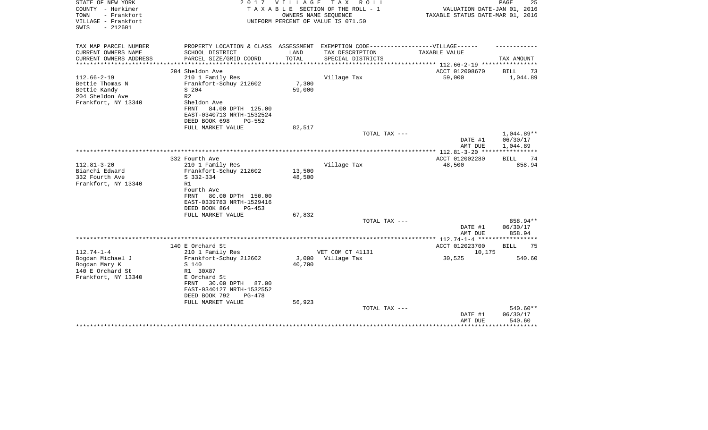| STATE OF NEW YORK<br>COUNTY - Herkimer<br>- Frankfort<br>TOWN<br>VILLAGE - Frankfort<br>$-212601$<br>SWIS | 2 0 1 7                                        | VILLAGE         | T A X<br>R O L L<br>TAXABLE SECTION OF THE ROLL - 1<br>OWNERS NAME SEQUENCE<br>UNIFORM PERCENT OF VALUE IS 071.50 | VALUATION DATE-JAN 01, 2016<br>TAXABLE STATUS DATE-MAR 01, 2016 | 25<br>PAGE         |
|-----------------------------------------------------------------------------------------------------------|------------------------------------------------|-----------------|-------------------------------------------------------------------------------------------------------------------|-----------------------------------------------------------------|--------------------|
| TAX MAP PARCEL NUMBER                                                                                     | PROPERTY LOCATION & CLASS ASSESSMENT           |                 | EXEMPTION CODE------------------VILLAGE------                                                                     |                                                                 |                    |
| CURRENT OWNERS NAME<br>CURRENT OWNERS ADDRESS<br>****************                                         | SCHOOL DISTRICT<br>PARCEL SIZE/GRID COORD      | LAND<br>TOTAL   | TAX DESCRIPTION<br>SPECIAL DISTRICTS                                                                              | TAXABLE VALUE                                                   | TAX AMOUNT         |
|                                                                                                           | 204 Sheldon Ave                                |                 |                                                                                                                   | ACCT 012008670                                                  | BILL<br>73         |
| $112.66 - 2 - 19$                                                                                         | 210 1 Family Res                               |                 | Village Tax                                                                                                       | 59,000                                                          | 1,044.89           |
| Bettie Thomas N                                                                                           | Frankfort-Schuy 212602                         | 7,300           |                                                                                                                   |                                                                 |                    |
| Bettie Kandy                                                                                              | S 204                                          | 59,000          |                                                                                                                   |                                                                 |                    |
| 204 Sheldon Ave                                                                                           | R <sub>2</sub>                                 |                 |                                                                                                                   |                                                                 |                    |
| Frankfort, NY 13340                                                                                       | Sheldon Ave                                    |                 |                                                                                                                   |                                                                 |                    |
|                                                                                                           | 84.00 DPTH 125.00<br>FRNT                      |                 |                                                                                                                   |                                                                 |                    |
|                                                                                                           | EAST-0340713 NRTH-1532524                      |                 |                                                                                                                   |                                                                 |                    |
|                                                                                                           | DEED BOOK 698<br>$PG-552$<br>FULL MARKET VALUE | 82,517          |                                                                                                                   |                                                                 |                    |
|                                                                                                           |                                                |                 | TOTAL TAX ---                                                                                                     |                                                                 | 1,044.89**         |
|                                                                                                           |                                                |                 |                                                                                                                   | DATE #1                                                         | 06/30/17           |
|                                                                                                           |                                                |                 |                                                                                                                   | AMT DUE                                                         | 1,044.89           |
|                                                                                                           |                                                |                 |                                                                                                                   | ************* 112.81-3-20 ****                                  |                    |
|                                                                                                           | 332 Fourth Ave                                 |                 |                                                                                                                   | ACCT 012002280                                                  | BILL<br>74         |
| $112.81 - 3 - 20$                                                                                         | 210 1 Family Res                               |                 | Village Tax                                                                                                       | 48,500                                                          | 858.94             |
| Bianchi Edward                                                                                            | Frankfort-Schuy 212602                         | 13,500          |                                                                                                                   |                                                                 |                    |
| 332 Fourth Ave                                                                                            | $S$ 332-334                                    | 48,500          |                                                                                                                   |                                                                 |                    |
| Frankfort, NY 13340                                                                                       | R1                                             |                 |                                                                                                                   |                                                                 |                    |
|                                                                                                           | Fourth Ave<br>80.00 DPTH 150.00<br>FRNT        |                 |                                                                                                                   |                                                                 |                    |
|                                                                                                           | EAST-0339783 NRTH-1529416                      |                 |                                                                                                                   |                                                                 |                    |
|                                                                                                           | DEED BOOK 864<br>$PG-453$                      |                 |                                                                                                                   |                                                                 |                    |
|                                                                                                           | FULL MARKET VALUE                              | 67,832          |                                                                                                                   |                                                                 |                    |
|                                                                                                           |                                                |                 | TOTAL TAX ---                                                                                                     |                                                                 | 858.94**           |
|                                                                                                           |                                                |                 |                                                                                                                   | DATE #1                                                         | 06/30/17           |
|                                                                                                           |                                                |                 |                                                                                                                   | AMT DUE                                                         | 858.94             |
|                                                                                                           |                                                |                 |                                                                                                                   |                                                                 |                    |
|                                                                                                           | 140 E Orchard St                               |                 |                                                                                                                   | ACCT 012023700                                                  | <b>BILL</b><br>75  |
| $112.74 - 1 - 4$                                                                                          | 210 1 Family Res                               |                 | VET COM CT 41131                                                                                                  | 10,175                                                          |                    |
| Bogdan Michael J<br>Bogdan Mary K                                                                         | Frankfort-Schuy 212602<br>S 140                | 3,000<br>40,700 | Village Tax                                                                                                       | 30,525                                                          | 540.60             |
| 140 E Orchard St                                                                                          | R1 30X87                                       |                 |                                                                                                                   |                                                                 |                    |
| Frankfort, NY 13340                                                                                       | E Orchard St                                   |                 |                                                                                                                   |                                                                 |                    |
|                                                                                                           | 30.00 DPTH<br>87.00<br>FRNT                    |                 |                                                                                                                   |                                                                 |                    |
|                                                                                                           | EAST-0340127 NRTH-1532552                      |                 |                                                                                                                   |                                                                 |                    |
|                                                                                                           | DEED BOOK 792<br>$PG-478$                      |                 |                                                                                                                   |                                                                 |                    |
|                                                                                                           | FULL MARKET VALUE                              | 56,923          |                                                                                                                   |                                                                 |                    |
|                                                                                                           |                                                |                 | TOTAL TAX ---                                                                                                     |                                                                 | 540.60**           |
|                                                                                                           |                                                |                 |                                                                                                                   | DATE #1                                                         | 06/30/17           |
|                                                                                                           |                                                |                 |                                                                                                                   | AMT DUE                                                         | 540.60<br>******** |
|                                                                                                           |                                                |                 |                                                                                                                   |                                                                 |                    |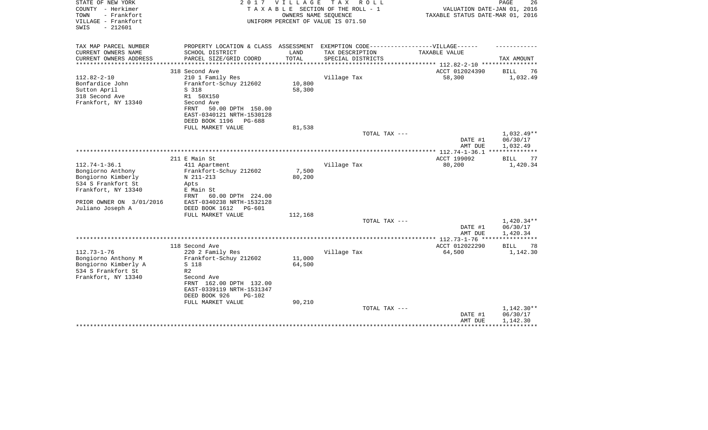| STATE OF NEW YORK<br>COUNTY - Herkimer<br>- Frankfort<br>TOWN<br>VILLAGE - Frankfort | 2017                                                  | V I L L A G E | T A X<br>R O L L<br>TAXABLE SECTION OF THE ROLL - 1<br>OWNERS NAME SEQUENCE<br>UNIFORM PERCENT OF VALUE IS 071.50 | VALUATION DATE-JAN 01, 2016<br>TAXABLE STATUS DATE-MAR 01, 2016 | PAGE<br>26           |
|--------------------------------------------------------------------------------------|-------------------------------------------------------|---------------|-------------------------------------------------------------------------------------------------------------------|-----------------------------------------------------------------|----------------------|
| $-212601$<br>SWIS                                                                    |                                                       |               |                                                                                                                   |                                                                 |                      |
| TAX MAP PARCEL NUMBER                                                                | PROPERTY LOCATION & CLASS ASSESSMENT                  |               | EXEMPTION CODE------------------VILLAGE------                                                                     |                                                                 |                      |
| CURRENT OWNERS NAME                                                                  | SCHOOL DISTRICT                                       | LAND          | TAX DESCRIPTION                                                                                                   | TAXABLE VALUE                                                   |                      |
| CURRENT OWNERS ADDRESS<br>****************                                           | PARCEL SIZE/GRID COORD                                | TOTAL         | SPECIAL DISTRICTS                                                                                                 | ************************** 112.82-2-10 ****************         | TAX AMOUNT           |
|                                                                                      | 318 Second Ave                                        |               |                                                                                                                   | ACCT 012024390                                                  | BILL<br>76           |
| $112.82 - 2 - 10$                                                                    | 210 1 Family Res                                      |               | Village Tax                                                                                                       | 58,300                                                          | 1,032.49             |
| Bonfardice John                                                                      | Frankfort-Schuy 212602                                | 10,800        |                                                                                                                   |                                                                 |                      |
| Sutton April                                                                         | S 318                                                 | 58,300        |                                                                                                                   |                                                                 |                      |
| 318 Second Ave                                                                       | R1 50X150                                             |               |                                                                                                                   |                                                                 |                      |
| Frankfort, NY 13340                                                                  | Second Ave                                            |               |                                                                                                                   |                                                                 |                      |
|                                                                                      | 50.00 DPTH 150.00<br>FRNT                             |               |                                                                                                                   |                                                                 |                      |
|                                                                                      | EAST-0340121 NRTH-1530128<br>DEED BOOK 1196<br>PG-688 |               |                                                                                                                   |                                                                 |                      |
|                                                                                      | FULL MARKET VALUE                                     | 81,538        |                                                                                                                   |                                                                 |                      |
|                                                                                      |                                                       |               | TOTAL TAX ---                                                                                                     |                                                                 | 1,032.49**           |
|                                                                                      |                                                       |               |                                                                                                                   | DATE #1                                                         | 06/30/17             |
|                                                                                      |                                                       |               |                                                                                                                   | AMT DUE                                                         | 1,032.49             |
|                                                                                      |                                                       |               |                                                                                                                   | **************** 112.74-1-36.1 ***************                  |                      |
|                                                                                      | 211 E Main St                                         |               |                                                                                                                   | ACCT 199092                                                     | <b>BILL</b><br>77    |
| $112.74 - 1 - 36.1$<br>Bongiorno Anthony                                             | 411 Apartment<br>Frankfort-Schuy 212602               | 7,500         | Village Tax                                                                                                       | 80,200                                                          | 1,420.34             |
| Bongiorno Kimberly                                                                   | N 211-213                                             | 80,200        |                                                                                                                   |                                                                 |                      |
| 534 S Frankfort St                                                                   | Apts                                                  |               |                                                                                                                   |                                                                 |                      |
| Frankfort, NY 13340                                                                  | E Main St                                             |               |                                                                                                                   |                                                                 |                      |
|                                                                                      | 60.00 DPTH 224.00<br>FRNT                             |               |                                                                                                                   |                                                                 |                      |
| PRIOR OWNER ON 3/01/2016                                                             | EAST-0340238 NRTH-1532128                             |               |                                                                                                                   |                                                                 |                      |
| Juliano Joseph A                                                                     | DEED BOOK 1612<br><b>PG-601</b>                       |               |                                                                                                                   |                                                                 |                      |
|                                                                                      | FULL MARKET VALUE                                     | 112,168       |                                                                                                                   |                                                                 |                      |
|                                                                                      |                                                       |               | TOTAL TAX ---                                                                                                     |                                                                 | 1,420.34**           |
|                                                                                      |                                                       |               |                                                                                                                   | DATE #1<br>AMT DUE                                              | 06/30/17<br>1,420.34 |
|                                                                                      |                                                       |               |                                                                                                                   | *************** 112.73-1-76 ****                                |                      |
|                                                                                      | 118 Second Ave                                        |               |                                                                                                                   | ACCT 012022290                                                  | <b>BILL</b><br>78    |
| $112.73 - 1 - 76$                                                                    | 220 2 Family Res                                      |               | Village Tax                                                                                                       | 64,500                                                          | 1,142.30             |
| Bongiorno Anthony M                                                                  | Frankfort-Schuy 212602                                | 11,000        |                                                                                                                   |                                                                 |                      |
| Bongiorno Kimberly A                                                                 | S 118                                                 | 64,500        |                                                                                                                   |                                                                 |                      |
| 534 S Frankfort St                                                                   | R <sub>2</sub>                                        |               |                                                                                                                   |                                                                 |                      |
| Frankfort, NY 13340                                                                  | Second Ave                                            |               |                                                                                                                   |                                                                 |                      |
|                                                                                      | FRNT 162.00 DPTH 132.00<br>EAST-0339119 NRTH-1531347  |               |                                                                                                                   |                                                                 |                      |
|                                                                                      | DEED BOOK 926<br>$PG-102$                             |               |                                                                                                                   |                                                                 |                      |
|                                                                                      | FULL MARKET VALUE                                     | 90,210        |                                                                                                                   |                                                                 |                      |
|                                                                                      |                                                       |               | TOTAL TAX ---                                                                                                     |                                                                 | 1,142.30**           |
|                                                                                      |                                                       |               |                                                                                                                   | DATE #1                                                         | 06/30/17             |
|                                                                                      |                                                       |               |                                                                                                                   | AMT DUE                                                         | 1,142.30             |
|                                                                                      |                                                       |               |                                                                                                                   |                                                                 |                      |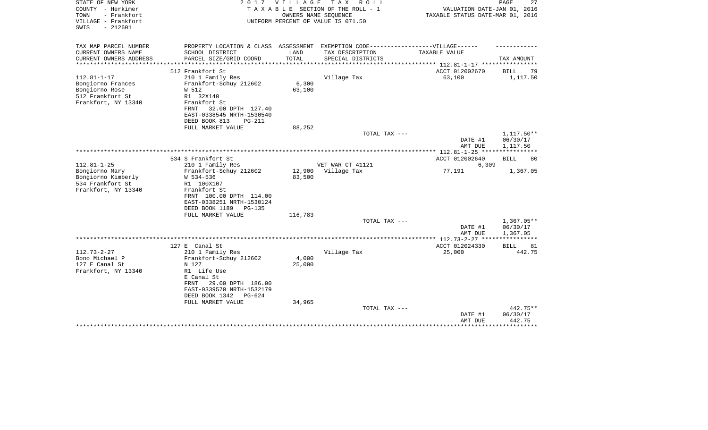| STATE OF NEW YORK<br>COUNTY - Herkimer<br>TOWN<br>- Frankfort<br>VILLAGE - Frankfort<br>$-212601$<br>SWIS | 2 0 1 7                                                                           | <b>VILLAGE</b>  | T A X<br>R O L L<br>TAXABLE SECTION OF THE ROLL - 1<br>OWNERS NAME SEQUENCE<br>UNIFORM PERCENT OF VALUE IS 071.50 | VALUATION DATE-JAN 01, 2016<br>TAXABLE STATUS DATE-MAR 01, 2016 | PAGE<br>27               |
|-----------------------------------------------------------------------------------------------------------|-----------------------------------------------------------------------------------|-----------------|-------------------------------------------------------------------------------------------------------------------|-----------------------------------------------------------------|--------------------------|
| TAX MAP PARCEL NUMBER                                                                                     | PROPERTY LOCATION & CLASS ASSESSMENT EXEMPTION CODE-----------------VILLAGE------ |                 |                                                                                                                   |                                                                 |                          |
| CURRENT OWNERS NAME                                                                                       | SCHOOL DISTRICT                                                                   | LAND            | TAX DESCRIPTION                                                                                                   | TAXABLE VALUE                                                   |                          |
| CURRENT OWNERS ADDRESS<br>**********************                                                          | PARCEL SIZE/GRID COORD                                                            | TOTAL           | SPECIAL DISTRICTS                                                                                                 |                                                                 | TAX AMOUNT               |
|                                                                                                           | 512 Frankfort St                                                                  |                 |                                                                                                                   | ACCT 012002670                                                  | BILL<br>79               |
| $112.81 - 1 - 17$                                                                                         | 210 1 Family Res                                                                  |                 | Village Tax                                                                                                       | 63,100                                                          | 1,117.50                 |
| Bongiorno Frances                                                                                         | Frankfort-Schuy 212602                                                            | 6,300           |                                                                                                                   |                                                                 |                          |
| Bongiorno Rose                                                                                            | W 512                                                                             | 63,100          |                                                                                                                   |                                                                 |                          |
| 512 Frankfort St                                                                                          | R1 32X140                                                                         |                 |                                                                                                                   |                                                                 |                          |
| Frankfort, NY 13340                                                                                       | Frankfort St<br>32.00 DPTH 127.40<br>FRNT                                         |                 |                                                                                                                   |                                                                 |                          |
|                                                                                                           | EAST-0338545 NRTH-1530540                                                         |                 |                                                                                                                   |                                                                 |                          |
|                                                                                                           | DEED BOOK 813<br>$PG-211$                                                         |                 |                                                                                                                   |                                                                 |                          |
|                                                                                                           | FULL MARKET VALUE                                                                 | 88,252          |                                                                                                                   |                                                                 |                          |
|                                                                                                           |                                                                                   |                 | TOTAL TAX ---                                                                                                     |                                                                 | 1,117.50**               |
|                                                                                                           |                                                                                   |                 |                                                                                                                   | DATE #1<br>AMT DUE                                              | 06/30/17<br>1,117.50     |
|                                                                                                           |                                                                                   |                 |                                                                                                                   |                                                                 |                          |
|                                                                                                           | 534 S Frankfort St                                                                |                 |                                                                                                                   | ACCT 012002640                                                  | <b>BILL</b><br>80        |
| $112.81 - 1 - 25$                                                                                         | 210 1 Family Res                                                                  |                 | VET WAR CT 41121                                                                                                  | 6,309                                                           |                          |
| Bongiorno Mary                                                                                            | Frankfort-Schuy 212602                                                            | 12,900          | Village Tax                                                                                                       | 77,191                                                          | 1,367.05                 |
| Bongiorno Kimberly<br>534 Frankfort St                                                                    | W 534-536<br>R1 100X107                                                           | 83,500          |                                                                                                                   |                                                                 |                          |
| Frankfort, NY 13340                                                                                       | Frankfort St                                                                      |                 |                                                                                                                   |                                                                 |                          |
|                                                                                                           | FRNT 100.00 DPTH 114.00                                                           |                 |                                                                                                                   |                                                                 |                          |
|                                                                                                           | EAST-0338251 NRTH-1530124                                                         |                 |                                                                                                                   |                                                                 |                          |
|                                                                                                           | DEED BOOK 1189<br><b>PG-135</b>                                                   |                 |                                                                                                                   |                                                                 |                          |
|                                                                                                           | FULL MARKET VALUE                                                                 | 116,783         |                                                                                                                   |                                                                 |                          |
|                                                                                                           |                                                                                   |                 | TOTAL TAX ---                                                                                                     | DATE #1                                                         | $1,367.05**$<br>06/30/17 |
|                                                                                                           |                                                                                   |                 |                                                                                                                   | AMT DUE                                                         | 1,367.05                 |
|                                                                                                           |                                                                                   |                 |                                                                                                                   | ************ 112.73-2-27 ****                                   |                          |
|                                                                                                           | 127 E Canal St                                                                    |                 |                                                                                                                   | ACCT 012024330                                                  | <b>BILL</b><br>81        |
| $112.73 - 2 - 27$                                                                                         | 210 1 Family Res                                                                  |                 | Village Tax                                                                                                       | 25,000                                                          | 442.75                   |
| Bono Michael P<br>127 E Canal St                                                                          | Frankfort-Schuy 212602                                                            | 4,000<br>25,000 |                                                                                                                   |                                                                 |                          |
| Frankfort, NY 13340                                                                                       | N 127<br>R1 Life Use                                                              |                 |                                                                                                                   |                                                                 |                          |
|                                                                                                           | E Canal St                                                                        |                 |                                                                                                                   |                                                                 |                          |
|                                                                                                           | 29.00 DPTH 186.00<br>FRNT                                                         |                 |                                                                                                                   |                                                                 |                          |
|                                                                                                           | EAST-0339570 NRTH-1532179                                                         |                 |                                                                                                                   |                                                                 |                          |
|                                                                                                           | DEED BOOK 1342<br>$PG-624$                                                        |                 |                                                                                                                   |                                                                 |                          |
|                                                                                                           | FULL MARKET VALUE                                                                 | 34,965          | TOTAL TAX ---                                                                                                     |                                                                 | 442.75**                 |
|                                                                                                           |                                                                                   |                 |                                                                                                                   | DATE #1                                                         | 06/30/17                 |
|                                                                                                           |                                                                                   |                 |                                                                                                                   | AMT DUE                                                         | 442.75                   |
|                                                                                                           |                                                                                   |                 |                                                                                                                   |                                                                 | * * * * * * * * *        |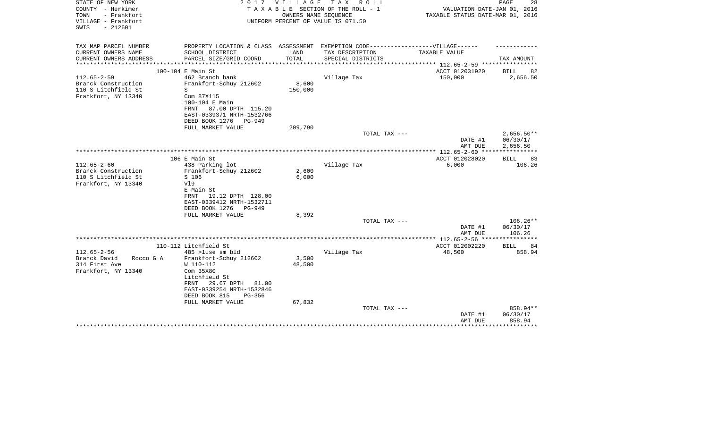| STATE OF NEW YORK<br>COUNTY - Herkimer<br>- Frankfort<br>TOWN<br>VILLAGE - Frankfort<br>SWIS<br>$-212601$ |                                                                                                                                                                              | 2017 VILLAGE<br>OWNERS NAME SEOUENCE | TAX ROLL<br>TAXABLE SECTION OF THE ROLL - 1<br>UNIFORM PERCENT OF VALUE IS 071.50 | VALUATION DATE-JAN 01, 2016<br>TAXABLE STATUS DATE-MAR 01, 2016 | PAGE<br>28                           |
|-----------------------------------------------------------------------------------------------------------|------------------------------------------------------------------------------------------------------------------------------------------------------------------------------|--------------------------------------|-----------------------------------------------------------------------------------|-----------------------------------------------------------------|--------------------------------------|
| TAX MAP PARCEL NUMBER                                                                                     | PROPERTY LOCATION & CLASS ASSESSMENT EXEMPTION CODE-----------------VILLAGE------                                                                                            |                                      |                                                                                   |                                                                 |                                      |
| CURRENT OWNERS NAME<br>CURRENT OWNERS ADDRESS                                                             | SCHOOL DISTRICT<br>PARCEL SIZE/GRID COORD                                                                                                                                    | LAND<br>TOTAL                        | TAX DESCRIPTION<br>SPECIAL DISTRICTS                                              | TAXABLE VALUE                                                   | TAX AMOUNT                           |
|                                                                                                           |                                                                                                                                                                              |                                      |                                                                                   | ********** 112.65-2-59 ********                                 |                                      |
|                                                                                                           | 100-104 E Main St                                                                                                                                                            |                                      |                                                                                   | ACCT 012031920                                                  | 82<br>BILL                           |
| $112.65 - 2 - 59$<br>Branck Construction<br>110 S Litchfield St<br>Frankfort, NY 13340                    | 462 Branch bank<br>Frankfort-Schuy 212602<br>S<br>Com 87X115<br>100-104 E Main<br>87.00 DPTH 115.20<br>FRNT<br>EAST-0339371 NRTH-1532766<br>DEED BOOK 1276<br><b>PG-949</b>  | 8,600<br>150,000                     | Village Tax                                                                       | 150,000                                                         | 2,656.50                             |
|                                                                                                           | FULL MARKET VALUE                                                                                                                                                            | 209,790                              |                                                                                   |                                                                 |                                      |
|                                                                                                           |                                                                                                                                                                              |                                      | TOTAL TAX ---                                                                     | DATE #1<br>AMT DUE                                              | $2,656.50**$<br>06/30/17<br>2,656.50 |
|                                                                                                           |                                                                                                                                                                              |                                      |                                                                                   |                                                                 |                                      |
|                                                                                                           | 106 E Main St                                                                                                                                                                |                                      |                                                                                   | ACCT 012028020                                                  | 83<br>BILL                           |
| $112.65 - 2 - 60$<br>Branck Construction<br>110 S Litchfield St<br>Frankfort, NY 13340                    | 438 Parking lot<br>Frankfort-Schuy 212602<br>S 106<br>V19<br>E Main St<br>19.12 DPTH 128.00<br>FRNT<br>EAST-0339412 NRTH-1532711<br>DEED BOOK 1276<br>PG-949                 | 2,600<br>6,000                       | Village Tax                                                                       | 6,000                                                           | 106.26                               |
|                                                                                                           | FULL MARKET VALUE                                                                                                                                                            | 8,392                                | TOTAL TAX ---                                                                     |                                                                 | 106.26**                             |
|                                                                                                           |                                                                                                                                                                              |                                      |                                                                                   | DATE #1<br>AMT DUE                                              | 06/30/17<br>106.26                   |
|                                                                                                           |                                                                                                                                                                              |                                      |                                                                                   |                                                                 | * * * * * * * * * * * *              |
|                                                                                                           | 110-112 Litchfield St                                                                                                                                                        |                                      |                                                                                   | ACCT 012002220                                                  | <b>BILL</b><br>84                    |
| $112.65 - 2 - 56$<br>Branck David<br>Rocco G A<br>314 First Ave<br>Frankfort, NY 13340                    | 485 >luse sm bld<br>Frankfort-Schuy 212602<br>W 110-112<br>Com 35X80<br>Litchfield St<br>29.67 DPTH<br>81.00<br>FRNT<br>EAST-0339254 NRTH-1532846<br>DEED BOOK 815<br>PG-356 | 3,500<br>48,500                      | Village Tax                                                                       | 48,500                                                          | 858.94                               |
|                                                                                                           | FULL MARKET VALUE                                                                                                                                                            | 67,832                               | TOTAL TAX ---                                                                     | DATE #1<br>AMT DUE                                              | 858.94**<br>06/30/17<br>858.94       |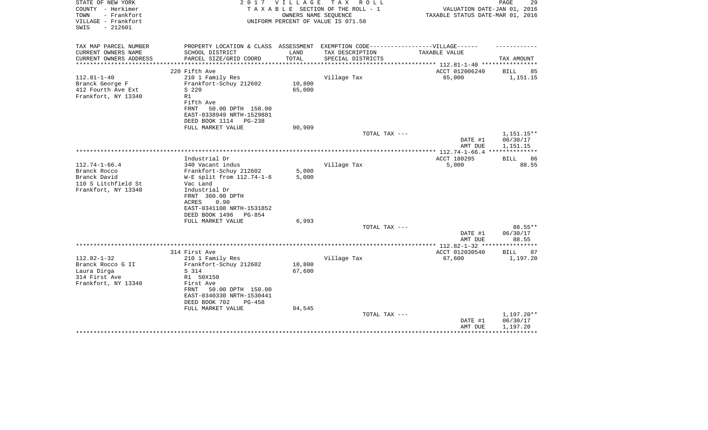| STATE OF NEW YORK<br>COUNTY - Herkimer<br>TOWN<br>- Frankfort<br>VILLAGE - Frankfort<br>$-212601$<br>SWIS | 2 0 1 7                                                                           | V I L L A G E<br>OWNERS NAME SEOUENCE | T A X<br>R O L L<br>TAXABLE SECTION OF THE ROLL - 1<br>UNIFORM PERCENT OF VALUE IS 071.50 | VALUATION DATE-JAN 01, 2016<br>TAXABLE STATUS DATE-MAR 01, 2016 | PAGE<br>29             |
|-----------------------------------------------------------------------------------------------------------|-----------------------------------------------------------------------------------|---------------------------------------|-------------------------------------------------------------------------------------------|-----------------------------------------------------------------|------------------------|
| TAX MAP PARCEL NUMBER                                                                                     | PROPERTY LOCATION & CLASS ASSESSMENT EXEMPTION CODE-----------------VILLAGE------ |                                       |                                                                                           |                                                                 |                        |
| CURRENT OWNERS NAME<br>CURRENT OWNERS ADDRESS<br>**********************                                   | SCHOOL DISTRICT<br>PARCEL SIZE/GRID COORD                                         | LAND<br>TOTAL                         | TAX DESCRIPTION<br>SPECIAL DISTRICTS                                                      | TAXABLE VALUE                                                   | TAX AMOUNT             |
|                                                                                                           | 220 Fifth Ave                                                                     |                                       |                                                                                           | ACCT 012006240                                                  | BILL<br>85             |
| $112.81 - 1 - 40$                                                                                         | 210 1 Family Res                                                                  |                                       | Village Tax                                                                               | 65,000                                                          | 1,151.15               |
| Branck George F                                                                                           | Frankfort-Schuy 212602                                                            | 10,800                                |                                                                                           |                                                                 |                        |
| 412 Fourth Ave Ext                                                                                        | S 220                                                                             | 65,000                                |                                                                                           |                                                                 |                        |
| Frankfort, NY 13340                                                                                       | R1                                                                                |                                       |                                                                                           |                                                                 |                        |
|                                                                                                           | Fifth Ave<br>FRNT<br>50.00 DPTH 150.00                                            |                                       |                                                                                           |                                                                 |                        |
|                                                                                                           | EAST-0338949 NRTH-1529881                                                         |                                       |                                                                                           |                                                                 |                        |
|                                                                                                           | DEED BOOK 1114<br>PG-238                                                          |                                       |                                                                                           |                                                                 |                        |
|                                                                                                           | FULL MARKET VALUE                                                                 | 90,909                                |                                                                                           |                                                                 |                        |
|                                                                                                           |                                                                                   |                                       | TOTAL TAX ---                                                                             |                                                                 | 1,151.15**             |
|                                                                                                           |                                                                                   |                                       |                                                                                           | DATE #1                                                         | 06/30/17               |
|                                                                                                           |                                                                                   |                                       |                                                                                           | AMT DUE                                                         | 1,151.15               |
|                                                                                                           | Industrial Dr                                                                     |                                       |                                                                                           | ACCT 180295                                                     | 86<br>BILL             |
| $112.74 - 1 - 66.4$                                                                                       | 340 Vacant indus                                                                  |                                       | Village Tax                                                                               | 5,000                                                           | 88.55                  |
| Branck Rocco                                                                                              | Frankfort-Schuy 212602                                                            | 5,000                                 |                                                                                           |                                                                 |                        |
| Branck David                                                                                              | W-E split from 112.74-1-6                                                         | 5,000                                 |                                                                                           |                                                                 |                        |
| 110 S Litchfield St                                                                                       | Vac Land                                                                          |                                       |                                                                                           |                                                                 |                        |
| Frankfort, NY 13340                                                                                       | Industrial Dr                                                                     |                                       |                                                                                           |                                                                 |                        |
|                                                                                                           | FRNT 360.00 DPTH                                                                  |                                       |                                                                                           |                                                                 |                        |
|                                                                                                           | 0.90<br>ACRES                                                                     |                                       |                                                                                           |                                                                 |                        |
|                                                                                                           | EAST-0341108 NRTH-1531852<br>DEED BOOK 1496<br>$PG-854$                           |                                       |                                                                                           |                                                                 |                        |
|                                                                                                           | FULL MARKET VALUE                                                                 | 6,993                                 |                                                                                           |                                                                 |                        |
|                                                                                                           |                                                                                   |                                       | TOTAL TAX ---                                                                             |                                                                 | 88.55**                |
|                                                                                                           |                                                                                   |                                       |                                                                                           | DATE #1                                                         | 06/30/17               |
|                                                                                                           |                                                                                   |                                       |                                                                                           | AMT DUE                                                         | 88.55                  |
|                                                                                                           |                                                                                   |                                       |                                                                                           | *************** 112.82-1-32 ***                                 | ***********            |
|                                                                                                           | 314 First Ave                                                                     |                                       |                                                                                           | ACCT 012030540                                                  | BILL<br>87             |
| $112.82 - 1 - 32$<br>Branck Rocco G II                                                                    | 210 1 Family Res<br>Frankfort-Schuy 212602                                        | 10,800                                | Village Tax                                                                               | 67,600                                                          | 1,197.20               |
| Laura Dirga                                                                                               | S 314                                                                             | 67,600                                |                                                                                           |                                                                 |                        |
| 314 First Ave                                                                                             | R1 50X150                                                                         |                                       |                                                                                           |                                                                 |                        |
| Frankfort, NY 13340                                                                                       | First Ave                                                                         |                                       |                                                                                           |                                                                 |                        |
|                                                                                                           | 50.00 DPTH 150.00<br>FRNT                                                         |                                       |                                                                                           |                                                                 |                        |
|                                                                                                           | EAST-0340330 NRTH-1530441                                                         |                                       |                                                                                           |                                                                 |                        |
|                                                                                                           | DEED BOOK 702<br><b>PG-458</b>                                                    |                                       |                                                                                           |                                                                 |                        |
|                                                                                                           | FULL MARKET VALUE                                                                 | 94,545                                |                                                                                           |                                                                 |                        |
|                                                                                                           |                                                                                   |                                       | TOTAL TAX ---                                                                             | DATE #1                                                         | 1,197.20**<br>06/30/17 |
|                                                                                                           |                                                                                   |                                       |                                                                                           | AMT DUE                                                         | 1,197.20               |
|                                                                                                           |                                                                                   |                                       |                                                                                           |                                                                 |                        |
|                                                                                                           |                                                                                   |                                       |                                                                                           |                                                                 |                        |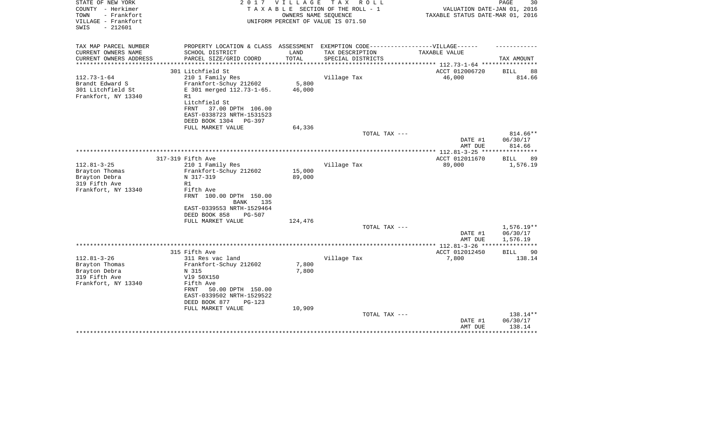| STATE OF NEW YORK<br>COUNTY - Herkimer<br>- Frankfort<br>TOWN<br>VILLAGE - Frankfort<br>$-212601$<br>SWIS | 2017                                                                                                                                                                                 | VILLAGE          | TAX ROLL<br>TAXABLE SECTION OF THE ROLL - 1<br>OWNERS NAME SEQUENCE<br>UNIFORM PERCENT OF VALUE IS 071.50 | VALUATION DATE-JAN 01, 2016<br>TAXABLE STATUS DATE-MAR 01, 2016 | $\mathop{\mathtt{PAGE}}$<br>30 |
|-----------------------------------------------------------------------------------------------------------|--------------------------------------------------------------------------------------------------------------------------------------------------------------------------------------|------------------|-----------------------------------------------------------------------------------------------------------|-----------------------------------------------------------------|--------------------------------|
| TAX MAP PARCEL NUMBER<br>CURRENT OWNERS NAME                                                              | PROPERTY LOCATION & CLASS ASSESSMENT EXEMPTION CODE-----------------VILLAGE------<br>SCHOOL DISTRICT                                                                                 | LAND             | TAX DESCRIPTION                                                                                           | TAXABLE VALUE                                                   |                                |
| CURRENT OWNERS ADDRESS<br>* * * * * * * * * * * * * *                                                     | PARCEL SIZE/GRID COORD                                                                                                                                                               | TOTAL            | SPECIAL DISTRICTS                                                                                         | ******************** 112.73-1-64 ************                   | TAX AMOUNT                     |
|                                                                                                           | 301 Litchfield St                                                                                                                                                                    |                  |                                                                                                           | ACCT 012006720                                                  | BILL<br>88                     |
| $112.73 - 1 - 64$<br>Brandt Edward S<br>301 Litchfield St<br>Frankfort, NY 13340                          | 210 1 Family Res<br>Frankfort-Schuy 212602<br>E 301 merged 112.73-1-65.<br>R1<br>Litchfield St<br>FRNT<br>37.00 DPTH 106.00<br>EAST-0338723 NRTH-1531523<br>DEED BOOK 1304<br>PG-397 | 5,800<br>46,000  | Village Tax                                                                                               | 46,000                                                          | 814.66                         |
|                                                                                                           | FULL MARKET VALUE                                                                                                                                                                    | 64,336           |                                                                                                           |                                                                 |                                |
|                                                                                                           |                                                                                                                                                                                      |                  | TOTAL TAX ---                                                                                             | DATE #1<br>AMT DUE                                              | 814.66**<br>06/30/17<br>814.66 |
|                                                                                                           |                                                                                                                                                                                      |                  |                                                                                                           | ***** 112.81-3-25 **                                            |                                |
|                                                                                                           | 317-319 Fifth Ave                                                                                                                                                                    |                  |                                                                                                           | ACCT 012011670                                                  | 89<br>BILL                     |
| $112.81 - 3 - 25$                                                                                         | 210 1 Family Res                                                                                                                                                                     |                  | Village Tax                                                                                               | 89,000                                                          | 1,576.19                       |
| Brayton Thomas<br>Brayton Debra<br>319 Fifth Ave                                                          | Frankfort-Schuy 212602<br>N 317-319<br>R1                                                                                                                                            | 15,000<br>89,000 |                                                                                                           |                                                                 |                                |
| Frankfort, NY 13340                                                                                       | Fifth Ave<br>FRNT 100.00 DPTH 150.00<br>BANK<br>135<br>EAST-0339553 NRTH-1529464<br>DEED BOOK 858<br>$PG-507$                                                                        |                  |                                                                                                           |                                                                 |                                |
|                                                                                                           | FULL MARKET VALUE                                                                                                                                                                    | 124,476          |                                                                                                           |                                                                 |                                |
|                                                                                                           |                                                                                                                                                                                      |                  | TOTAL TAX ---                                                                                             | DATE #1                                                         | $1,576.19**$<br>06/30/17       |
|                                                                                                           |                                                                                                                                                                                      |                  |                                                                                                           | AMT DUE<br>**************** 112.81-3-26 ****                    | 1,576.19<br>************       |
|                                                                                                           | 315 Fifth Ave                                                                                                                                                                        |                  |                                                                                                           | ACCT 012012450                                                  | BILL<br>90                     |
| $112.81 - 3 - 26$                                                                                         | 311 Res vac land                                                                                                                                                                     |                  | Village Tax                                                                                               | 7,800                                                           | 138.14                         |
| Brayton Thomas                                                                                            | Frankfort-Schuy 212602                                                                                                                                                               | 7,800            |                                                                                                           |                                                                 |                                |
| Brayton Debra                                                                                             | N 315                                                                                                                                                                                | 7,800            |                                                                                                           |                                                                 |                                |
| 319 Fifth Ave                                                                                             | V19 50X150                                                                                                                                                                           |                  |                                                                                                           |                                                                 |                                |
| Frankfort, NY 13340                                                                                       | Fifth Ave<br>FRNT<br>50.00 DPTH 150.00<br>EAST-0339502 NRTH-1529522<br>DEED BOOK 877<br>$PG-123$                                                                                     |                  |                                                                                                           |                                                                 |                                |
|                                                                                                           | FULL MARKET VALUE                                                                                                                                                                    | 10,909           |                                                                                                           |                                                                 |                                |
|                                                                                                           |                                                                                                                                                                                      |                  | TOTAL TAX ---                                                                                             | DATE #1<br>AMT DUE                                              | 138.14**<br>06/30/17<br>138.14 |
|                                                                                                           |                                                                                                                                                                                      |                  |                                                                                                           |                                                                 |                                |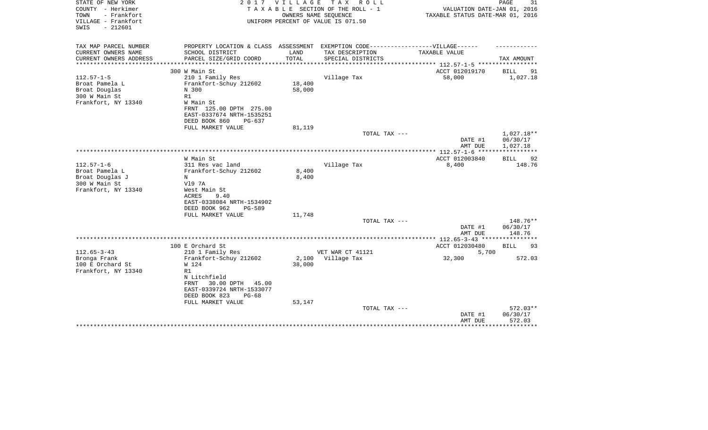| STATE OF NEW YORK<br>COUNTY - Herkimer<br>TOWN<br>- Frankfort<br>VILLAGE - Frankfort | 2017                                                                              | V I L L A G E              | T A X<br>R O L L<br>TAXABLE SECTION OF THE ROLL - 1<br>OWNERS NAME SEQUENCE<br>UNIFORM PERCENT OF VALUE IS 071.50 | VALUATION DATE-JAN 01, 2016<br>TAXABLE STATUS DATE-MAR 01, 2016 | PAGE<br>31             |
|--------------------------------------------------------------------------------------|-----------------------------------------------------------------------------------|----------------------------|-------------------------------------------------------------------------------------------------------------------|-----------------------------------------------------------------|------------------------|
| $-212601$<br>SWIS                                                                    |                                                                                   |                            |                                                                                                                   |                                                                 |                        |
| TAX MAP PARCEL NUMBER                                                                | PROPERTY LOCATION & CLASS ASSESSMENT EXEMPTION CODE-----------------VILLAGE------ |                            |                                                                                                                   |                                                                 |                        |
| CURRENT OWNERS NAME                                                                  | SCHOOL DISTRICT                                                                   | LAND                       | TAX DESCRIPTION                                                                                                   | TAXABLE VALUE                                                   |                        |
| CURRENT OWNERS ADDRESS<br>********************                                       | PARCEL SIZE/GRID COORD<br>****************************                            | TOTAL<br>***************** | SPECIAL DISTRICTS                                                                                                 | ***************** 112.57-1-5 ************                       | TAX AMOUNT             |
|                                                                                      | 300 W Main St                                                                     |                            |                                                                                                                   | ACCT 012019170                                                  | BILL<br>91             |
| $112.57 - 1 - 5$                                                                     | 210 1 Family Res                                                                  |                            | Village Tax                                                                                                       | 58,000                                                          | 1,027.18               |
| Broat Pamela L                                                                       | Frankfort-Schuy 212602                                                            | 18,400                     |                                                                                                                   |                                                                 |                        |
| Broat Douglas                                                                        | N 300                                                                             | 58,000                     |                                                                                                                   |                                                                 |                        |
| 300 W Main St                                                                        | R1                                                                                |                            |                                                                                                                   |                                                                 |                        |
| Frankfort, NY 13340                                                                  | W Main St                                                                         |                            |                                                                                                                   |                                                                 |                        |
|                                                                                      | FRNT 125.00 DPTH 275.00                                                           |                            |                                                                                                                   |                                                                 |                        |
|                                                                                      | EAST-0337674 NRTH-1535251                                                         |                            |                                                                                                                   |                                                                 |                        |
|                                                                                      | DEED BOOK 860<br>$PG-637$                                                         |                            |                                                                                                                   |                                                                 |                        |
|                                                                                      | FULL MARKET VALUE                                                                 | 81,119                     |                                                                                                                   |                                                                 |                        |
|                                                                                      |                                                                                   |                            | TOTAL TAX ---                                                                                                     | DATE #1                                                         | 1,027.18**<br>06/30/17 |
|                                                                                      |                                                                                   |                            |                                                                                                                   | AMT DUE                                                         | 1,027.18               |
|                                                                                      |                                                                                   |                            |                                                                                                                   |                                                                 |                        |
|                                                                                      | W Main St                                                                         |                            |                                                                                                                   | ACCT 012003840                                                  | BILL<br>92             |
| $112.57 - 1 - 6$                                                                     | 311 Res vac land                                                                  |                            | Village Tax                                                                                                       | 8,400                                                           | 148.76                 |
| Broat Pamela L                                                                       | Frankfort-Schuy 212602                                                            | 8,400                      |                                                                                                                   |                                                                 |                        |
| Broat Douglas J                                                                      | N                                                                                 | 8,400                      |                                                                                                                   |                                                                 |                        |
| 300 W Main St                                                                        | V19 7A                                                                            |                            |                                                                                                                   |                                                                 |                        |
| Frankfort, NY 13340                                                                  | West Main St                                                                      |                            |                                                                                                                   |                                                                 |                        |
|                                                                                      | 9.40<br>ACRES                                                                     |                            |                                                                                                                   |                                                                 |                        |
|                                                                                      | EAST-0338084 NRTH-1534902                                                         |                            |                                                                                                                   |                                                                 |                        |
|                                                                                      | DEED BOOK 962<br><b>PG-589</b><br>FULL MARKET VALUE                               | 11,748                     |                                                                                                                   |                                                                 |                        |
|                                                                                      |                                                                                   |                            | TOTAL TAX ---                                                                                                     |                                                                 | 148.76**               |
|                                                                                      |                                                                                   |                            |                                                                                                                   | DATE #1                                                         | 06/30/17               |
|                                                                                      |                                                                                   |                            |                                                                                                                   | AMT DUE                                                         | 148.76                 |
|                                                                                      |                                                                                   |                            |                                                                                                                   |                                                                 |                        |
|                                                                                      | 100 E Orchard St                                                                  |                            |                                                                                                                   | ACCT 012030480                                                  | 93<br>BILL             |
| $112.65 - 3 - 43$                                                                    | 210 1 Family Res                                                                  |                            | VET WAR CT 41121                                                                                                  | 5,700                                                           |                        |
| Bronga Frank                                                                         | Frankfort-Schuy 212602                                                            | 2,100                      | Village Tax                                                                                                       | 32,300                                                          | 572.03                 |
| 100 E Orchard St                                                                     | W 124                                                                             | 38,000                     |                                                                                                                   |                                                                 |                        |
| Frankfort, NY 13340                                                                  | R1<br>N Litchfield                                                                |                            |                                                                                                                   |                                                                 |                        |
|                                                                                      | 30.00 DPTH<br>FRNT<br>45.00                                                       |                            |                                                                                                                   |                                                                 |                        |
|                                                                                      | EAST-0339724 NRTH-1533077                                                         |                            |                                                                                                                   |                                                                 |                        |
|                                                                                      | DEED BOOK 823<br>$PG-68$                                                          |                            |                                                                                                                   |                                                                 |                        |
|                                                                                      | FULL MARKET VALUE                                                                 | 53,147                     |                                                                                                                   |                                                                 |                        |
|                                                                                      |                                                                                   |                            | TOTAL TAX ---                                                                                                     |                                                                 | 572.03**               |
|                                                                                      |                                                                                   |                            |                                                                                                                   | DATE #1                                                         | 06/30/17               |
|                                                                                      |                                                                                   |                            |                                                                                                                   | AMT DUE                                                         | 572.03                 |
|                                                                                      |                                                                                   |                            |                                                                                                                   |                                                                 | *********              |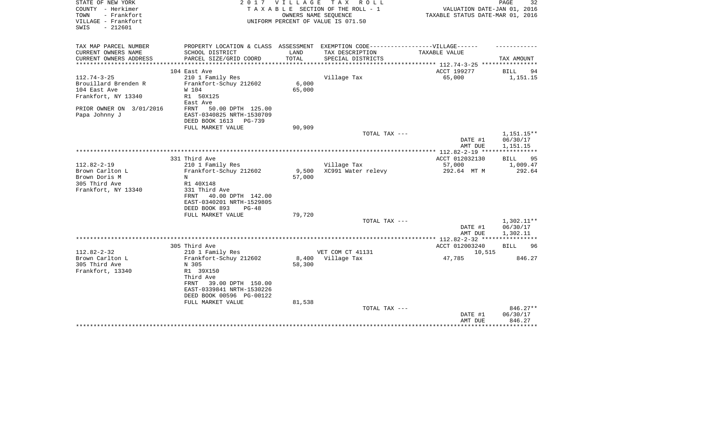| STATE OF NEW YORK<br>COUNTY - Herkimer<br>TOWN<br>- Frankfort | 2 0 1 7                                                                           | V I L L A G E   | TAX ROLL<br>TAXABLE SECTION OF THE ROLL - 1<br>OWNERS NAME SEQUENCE | VALUATION DATE-JAN 01, 2016<br>TAXABLE STATUS DATE-MAR 01, 2016 | PAGE<br>32             |
|---------------------------------------------------------------|-----------------------------------------------------------------------------------|-----------------|---------------------------------------------------------------------|-----------------------------------------------------------------|------------------------|
| VILLAGE - Frankfort<br>$-212601$<br>SWIS                      |                                                                                   |                 | UNIFORM PERCENT OF VALUE IS 071.50                                  |                                                                 |                        |
| TAX MAP PARCEL NUMBER                                         | PROPERTY LOCATION & CLASS ASSESSMENT EXEMPTION CODE-----------------VILLAGE------ |                 |                                                                     |                                                                 |                        |
| CURRENT OWNERS NAME                                           | SCHOOL DISTRICT                                                                   | LAND            | TAX DESCRIPTION                                                     | TAXABLE VALUE                                                   |                        |
| CURRENT OWNERS ADDRESS<br>*********************               | PARCEL SIZE/GRID COORD                                                            | TOTAL           | SPECIAL DISTRICTS                                                   |                                                                 | TAX AMOUNT             |
|                                                               | 104 East Ave                                                                      |                 |                                                                     | ***************** 112.74-3-25 ***********<br>ACCT 199277        | <b>BILL</b><br>94      |
| $112.74 - 3 - 25$                                             | 210 1 Family Res                                                                  |                 | Village Tax                                                         | 65,000                                                          | 1,151.15               |
| Brouillard Brenden R                                          | Frankfort-Schuy 212602                                                            | 6.000           |                                                                     |                                                                 |                        |
| 104 East Ave                                                  | W 104                                                                             | 65,000          |                                                                     |                                                                 |                        |
| Frankfort, NY 13340                                           | R1 50X125                                                                         |                 |                                                                     |                                                                 |                        |
|                                                               | East Ave                                                                          |                 |                                                                     |                                                                 |                        |
| PRIOR OWNER ON 3/01/2016                                      | 50.00 DPTH 125.00<br>FRNT                                                         |                 |                                                                     |                                                                 |                        |
| Papa Johnny J                                                 | EAST-0340825 NRTH-1530709                                                         |                 |                                                                     |                                                                 |                        |
|                                                               | DEED BOOK 1613<br>PG-739                                                          |                 |                                                                     |                                                                 |                        |
|                                                               | FULL MARKET VALUE                                                                 | 90,909          |                                                                     |                                                                 |                        |
|                                                               |                                                                                   |                 | TOTAL TAX ---                                                       | DATE #1                                                         | 1,151.15**<br>06/30/17 |
|                                                               |                                                                                   |                 |                                                                     | AMT DUE                                                         | 1,151.15               |
|                                                               |                                                                                   |                 |                                                                     |                                                                 |                        |
|                                                               | 331 Third Ave                                                                     |                 |                                                                     | ACCT 012032130                                                  | BILL<br>95             |
| $112.82 - 2 - 19$                                             | 210 1 Family Res                                                                  |                 | Village Tax                                                         | 57,000                                                          | 1,009.47               |
| Brown Carlton L                                               | Frankfort-Schuy 212602                                                            | 9,500           | XC991 Water relevy                                                  | 292.64 MT M                                                     | 292.64                 |
| Brown Doris M                                                 | N                                                                                 | 57,000          |                                                                     |                                                                 |                        |
| 305 Third Ave                                                 | R1 40X148                                                                         |                 |                                                                     |                                                                 |                        |
| Frankfort, NY 13340                                           | 331 Third Ave                                                                     |                 |                                                                     |                                                                 |                        |
|                                                               | 40.00 DPTH 142.00<br>FRNT<br>EAST-0340201 NRTH-1529805                            |                 |                                                                     |                                                                 |                        |
|                                                               | DEED BOOK 893<br>$PG-48$                                                          |                 |                                                                     |                                                                 |                        |
|                                                               | FULL MARKET VALUE                                                                 | 79,720          |                                                                     |                                                                 |                        |
|                                                               |                                                                                   |                 | TOTAL TAX ---                                                       |                                                                 | $1,302.11**$           |
|                                                               |                                                                                   |                 |                                                                     | DATE #1                                                         | 06/30/17               |
|                                                               |                                                                                   |                 |                                                                     | AMT DUE                                                         | 1,302.11               |
|                                                               |                                                                                   |                 |                                                                     |                                                                 |                        |
|                                                               | 305 Third Ave                                                                     |                 |                                                                     | ACCT 012003240                                                  | BILL<br>96             |
| $112.82 - 2 - 32$                                             | 210 1 Family Res                                                                  |                 | VET COM CT 41131                                                    | 10,515                                                          |                        |
| Brown Carlton L<br>305 Third Ave                              | Frankfort-Schuy 212602                                                            | 8,400<br>58,300 | Village Tax                                                         | 47,785                                                          | 846.27                 |
| Frankfort, 13340                                              | N 305<br>R1 39X150                                                                |                 |                                                                     |                                                                 |                        |
|                                                               | Third Ave                                                                         |                 |                                                                     |                                                                 |                        |
|                                                               | FRNT<br>39.00 DPTH 150.00                                                         |                 |                                                                     |                                                                 |                        |
|                                                               | EAST-0339841 NRTH-1530226                                                         |                 |                                                                     |                                                                 |                        |
|                                                               | DEED BOOK 00596 PG-00122                                                          |                 |                                                                     |                                                                 |                        |
|                                                               | FULL MARKET VALUE                                                                 | 81,538          |                                                                     |                                                                 |                        |
|                                                               |                                                                                   |                 | TOTAL TAX ---                                                       |                                                                 | 846.27**               |
|                                                               |                                                                                   |                 |                                                                     | DATE #1                                                         | 06/30/17               |
|                                                               |                                                                                   |                 |                                                                     | AMT DUE                                                         | 846.27<br>*********    |
|                                                               |                                                                                   |                 |                                                                     |                                                                 |                        |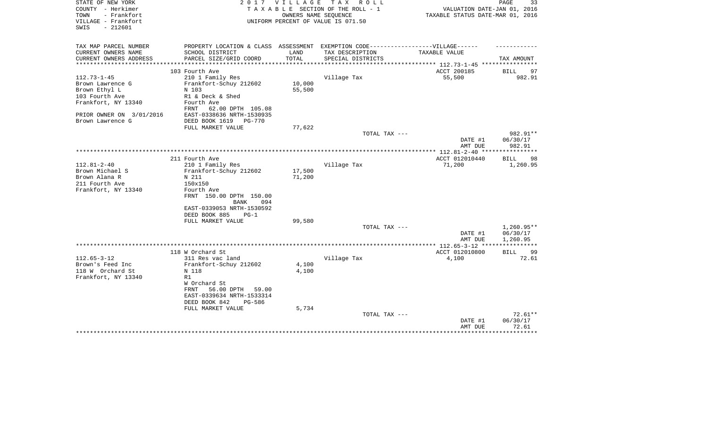| STATE OF NEW YORK<br>COUNTY - Herkimer<br>- Frankfort<br>TOWN<br>VILLAGE - Frankfort<br>$-212601$<br>SWIS | 2017                                                                              | V I L L A G E    | T A X<br>R O L L<br>TAXABLE SECTION OF THE ROLL - 1<br>OWNERS NAME SEOUENCE<br>UNIFORM PERCENT OF VALUE IS 071.50 | VALUATION DATE-JAN 01, 2016<br>TAXABLE STATUS DATE-MAR 01, 2016 | PAGE<br>33                     |
|-----------------------------------------------------------------------------------------------------------|-----------------------------------------------------------------------------------|------------------|-------------------------------------------------------------------------------------------------------------------|-----------------------------------------------------------------|--------------------------------|
| TAX MAP PARCEL NUMBER                                                                                     | PROPERTY LOCATION & CLASS ASSESSMENT EXEMPTION CODE-----------------VILLAGE------ |                  |                                                                                                                   |                                                                 |                                |
| CURRENT OWNERS NAME                                                                                       | SCHOOL DISTRICT                                                                   | LAND<br>TOTAL    | TAX DESCRIPTION                                                                                                   | TAXABLE VALUE                                                   |                                |
| CURRENT OWNERS ADDRESS<br>*********************                                                           | PARCEL SIZE/GRID COORD<br>***************************                             |                  | SPECIAL DISTRICTS                                                                                                 |                                                                 | TAX AMOUNT                     |
|                                                                                                           | 103 Fourth Ave                                                                    |                  |                                                                                                                   | ACCT 200185                                                     | 97<br><b>BILL</b>              |
| $112.73 - 1 - 45$                                                                                         | 210 1 Family Res                                                                  |                  | Village Tax                                                                                                       | 55,500                                                          | 982.91                         |
| Brown Lawrence G                                                                                          | Frankfort-Schuy 212602                                                            | 10,000           |                                                                                                                   |                                                                 |                                |
| Brown Ethyl L                                                                                             | N 103                                                                             | 55,500           |                                                                                                                   |                                                                 |                                |
| 103 Fourth Ave                                                                                            | R1 & Deck & Shed                                                                  |                  |                                                                                                                   |                                                                 |                                |
| Frankfort, NY 13340                                                                                       | Fourth Ave<br>62.00 DPTH 105.08<br>FRNT                                           |                  |                                                                                                                   |                                                                 |                                |
| PRIOR OWNER ON 3/01/2016                                                                                  | EAST-0338636 NRTH-1530935                                                         |                  |                                                                                                                   |                                                                 |                                |
| Brown Lawrence G                                                                                          | DEED BOOK 1619 PG-770                                                             |                  |                                                                                                                   |                                                                 |                                |
|                                                                                                           | FULL MARKET VALUE                                                                 | 77,622           |                                                                                                                   |                                                                 |                                |
|                                                                                                           |                                                                                   |                  | TOTAL TAX ---                                                                                                     | DATE #1<br>AMT DUE                                              | 982.91**<br>06/30/17<br>982.91 |
|                                                                                                           |                                                                                   |                  |                                                                                                                   |                                                                 |                                |
|                                                                                                           | 211 Fourth Ave                                                                    |                  |                                                                                                                   | ACCT 012010440                                                  | 98<br>BILL                     |
| $112.81 - 2 - 40$                                                                                         | 210 1 Family Res                                                                  |                  | Village Tax                                                                                                       | 71,200                                                          | 1,260.95                       |
| Brown Michael S<br>Brown Alana R                                                                          | Frankfort-Schuy 212602<br>N 211                                                   | 17,500<br>71,200 |                                                                                                                   |                                                                 |                                |
| 211 Fourth Ave                                                                                            | 150x150                                                                           |                  |                                                                                                                   |                                                                 |                                |
| Frankfort, NY 13340                                                                                       | Fourth Ave                                                                        |                  |                                                                                                                   |                                                                 |                                |
|                                                                                                           | FRNT 150.00 DPTH 150.00<br>BANK<br>094                                            |                  |                                                                                                                   |                                                                 |                                |
|                                                                                                           | EAST-0339053 NRTH-1530592                                                         |                  |                                                                                                                   |                                                                 |                                |
|                                                                                                           | DEED BOOK 885<br>$PG-1$                                                           |                  |                                                                                                                   |                                                                 |                                |
|                                                                                                           | FULL MARKET VALUE                                                                 | 99,580           |                                                                                                                   |                                                                 |                                |
|                                                                                                           |                                                                                   |                  | TOTAL TAX ---                                                                                                     | DATE #1                                                         | $1,260.95**$<br>06/30/17       |
|                                                                                                           |                                                                                   |                  |                                                                                                                   | AMT DUE                                                         | 1,260.95                       |
|                                                                                                           |                                                                                   |                  |                                                                                                                   |                                                                 |                                |
|                                                                                                           | 118 W Orchard St                                                                  |                  |                                                                                                                   | ACCT 012010800                                                  | BILL<br>99                     |
| $112.65 - 3 - 12$                                                                                         | 311 Res vac land                                                                  |                  | Village Tax                                                                                                       | 4,100                                                           | 72.61                          |
| Brown's Feed Inc                                                                                          | Frankfort-Schuy 212602                                                            | 4,100            |                                                                                                                   |                                                                 |                                |
| 118 W Orchard St                                                                                          | N 118<br>R1                                                                       | 4,100            |                                                                                                                   |                                                                 |                                |
| Frankfort, NY 13340                                                                                       | W Orchard St                                                                      |                  |                                                                                                                   |                                                                 |                                |
|                                                                                                           | FRNT<br>56.00 DPTH<br>59.00                                                       |                  |                                                                                                                   |                                                                 |                                |
|                                                                                                           | EAST-0339634 NRTH-1533314                                                         |                  |                                                                                                                   |                                                                 |                                |
|                                                                                                           | DEED BOOK 842<br><b>PG-586</b>                                                    |                  |                                                                                                                   |                                                                 |                                |
|                                                                                                           | FULL MARKET VALUE                                                                 | 5,734            |                                                                                                                   |                                                                 |                                |
|                                                                                                           |                                                                                   |                  | TOTAL TAX ---                                                                                                     |                                                                 | $72.61**$                      |
|                                                                                                           |                                                                                   |                  |                                                                                                                   | DATE #1<br>AMT DUE                                              | 06/30/17<br>72.61              |
|                                                                                                           |                                                                                   |                  |                                                                                                                   |                                                                 | ***********                    |
|                                                                                                           |                                                                                   |                  |                                                                                                                   |                                                                 |                                |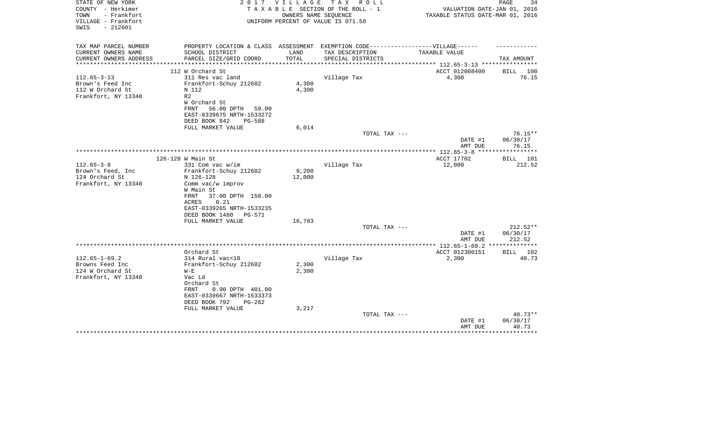| STATE OF NEW YORK<br>COUNTY - Herkimer<br>TOWN<br>- Frankfort<br>VILLAGE - Frankfort<br>$-212601$<br>SWIS | 2 0 1 7                                                                           | V I L L A G E | T A X<br>R O L L<br>TAXABLE SECTION OF THE ROLL - 1<br>OWNERS NAME SEOUENCE<br>UNIFORM PERCENT OF VALUE IS 071.50 | VALUATION DATE-JAN 01, 2016<br>TAXABLE STATUS DATE-MAR 01, 2016 | PAGE<br>34                             |
|-----------------------------------------------------------------------------------------------------------|-----------------------------------------------------------------------------------|---------------|-------------------------------------------------------------------------------------------------------------------|-----------------------------------------------------------------|----------------------------------------|
| TAX MAP PARCEL NUMBER                                                                                     | PROPERTY LOCATION & CLASS ASSESSMENT EXEMPTION CODE-----------------VILLAGE------ |               |                                                                                                                   |                                                                 |                                        |
| CURRENT OWNERS NAME<br>CURRENT OWNERS ADDRESS<br>**********************                                   | SCHOOL DISTRICT<br>PARCEL SIZE/GRID COORD                                         | LAND<br>TOTAL | TAX DESCRIPTION<br>SPECIAL DISTRICTS                                                                              | TAXABLE VALUE                                                   | TAX AMOUNT                             |
|                                                                                                           | 112 W Orchard St                                                                  |               |                                                                                                                   | ACCT 012008400                                                  | BILL 100                               |
| $112.65 - 3 - 13$<br>Brown's Feed Inc                                                                     | 311 Res vac land<br>Frankfort-Schuy 212602                                        | 4,300         | Village Tax                                                                                                       | 4,300                                                           | 76.15                                  |
| 112 W Orchard St                                                                                          | N 112                                                                             | 4,300         |                                                                                                                   |                                                                 |                                        |
| Frankfort, NY 13340                                                                                       | R <sub>2</sub>                                                                    |               |                                                                                                                   |                                                                 |                                        |
|                                                                                                           | W Orchard St<br>FRNT<br>56.00 DPTH<br>59.00                                       |               |                                                                                                                   |                                                                 |                                        |
|                                                                                                           | EAST-0339675 NRTH-1533272                                                         |               |                                                                                                                   |                                                                 |                                        |
|                                                                                                           | DEED BOOK 842<br><b>PG-588</b>                                                    |               |                                                                                                                   |                                                                 |                                        |
|                                                                                                           | FULL MARKET VALUE                                                                 | 6,014         | TOTAL TAX ---                                                                                                     |                                                                 | $76.15**$                              |
|                                                                                                           |                                                                                   |               |                                                                                                                   | DATE #1<br>AMT DUE                                              | 06/30/17<br>76.15                      |
|                                                                                                           |                                                                                   |               |                                                                                                                   |                                                                 | ***********                            |
|                                                                                                           | 126-128 W Main St                                                                 |               |                                                                                                                   | ACCT 17702                                                      | BILL 101                               |
| $112.65 - 3 - 8$<br>Brown's Feed, Inc.                                                                    | 331 Com vac w/im<br>Frankfort-Schuy 212602                                        | 9,200         | Village Tax                                                                                                       | 12,000                                                          | 212.52                                 |
| 124 Orchard St                                                                                            | N 126-128                                                                         | 12,000        |                                                                                                                   |                                                                 |                                        |
| Frankfort, NY 13340                                                                                       | Comm vac/w improv                                                                 |               |                                                                                                                   |                                                                 |                                        |
|                                                                                                           | W Main St<br>37.00 DPTH 150.00<br>FRNT                                            |               |                                                                                                                   |                                                                 |                                        |
|                                                                                                           | 0.21<br>ACRES                                                                     |               |                                                                                                                   |                                                                 |                                        |
|                                                                                                           | EAST-0339265 NRTH-1533235                                                         |               |                                                                                                                   |                                                                 |                                        |
|                                                                                                           | DEED BOOK 1480<br><b>PG-571</b>                                                   |               |                                                                                                                   |                                                                 |                                        |
|                                                                                                           | FULL MARKET VALUE                                                                 | 16,783        | TOTAL TAX ---                                                                                                     |                                                                 | 212.52**                               |
|                                                                                                           |                                                                                   |               |                                                                                                                   | DATE #1                                                         | 06/30/17                               |
|                                                                                                           |                                                                                   |               |                                                                                                                   | AMT DUE                                                         | 212.52                                 |
|                                                                                                           | Orchard St                                                                        |               |                                                                                                                   | *************** 112.65-1-69.2<br>ACCT 012300151                 | * * * * * * * * * * * *<br>102<br>BILL |
| $112.65 - 1 - 69.2$                                                                                       | 314 Rural vac<10                                                                  |               | Village Tax                                                                                                       | 2,300                                                           | 40.73                                  |
| Browns Feed Inc                                                                                           | Frankfort-Schuy 212602                                                            | 2,300         |                                                                                                                   |                                                                 |                                        |
| 124 W Orchard St                                                                                          | $W - E$                                                                           | 2,300         |                                                                                                                   |                                                                 |                                        |
| Frankfort, NY 13340                                                                                       | Vac Ld<br>Orchard St                                                              |               |                                                                                                                   |                                                                 |                                        |
|                                                                                                           | 0.90 DPTH 401.00<br>FRNT                                                          |               |                                                                                                                   |                                                                 |                                        |
|                                                                                                           | EAST-0339667 NRTH-1533373                                                         |               |                                                                                                                   |                                                                 |                                        |
|                                                                                                           | DEED BOOK 792<br>PG-282                                                           |               |                                                                                                                   |                                                                 |                                        |
|                                                                                                           | FULL MARKET VALUE                                                                 | 3,217         |                                                                                                                   |                                                                 |                                        |
|                                                                                                           |                                                                                   |               | TOTAL TAX ---                                                                                                     | DATE #1                                                         | $40.73**$<br>06/30/17                  |
|                                                                                                           |                                                                                   |               |                                                                                                                   | AMT DUE                                                         | 40.73                                  |
|                                                                                                           |                                                                                   |               |                                                                                                                   |                                                                 |                                        |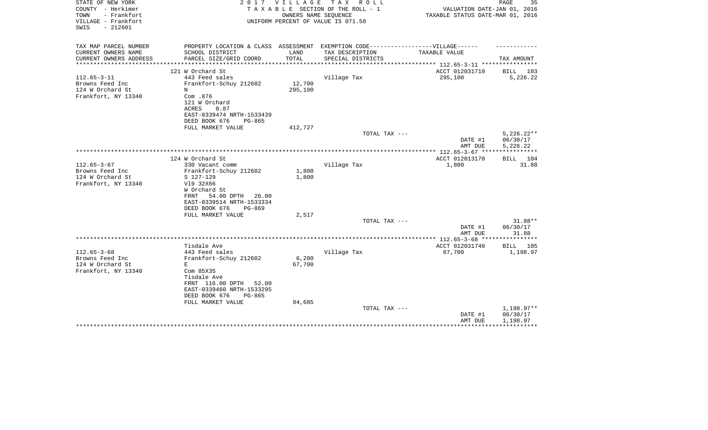| STATE OF NEW YORK<br>COUNTY - Herkimer<br>TOWN<br>- Frankfort | 2017                                                                              | V I L L A G E    | TAX ROLL<br>TAXABLE SECTION OF THE ROLL - 1<br>OWNERS NAME SEQUENCE | VALUATION DATE-JAN 01, 2016<br>TAXABLE STATUS DATE-MAR 01, 2016     | PAGE<br>35          |
|---------------------------------------------------------------|-----------------------------------------------------------------------------------|------------------|---------------------------------------------------------------------|---------------------------------------------------------------------|---------------------|
| VILLAGE - Frankfort<br>$-212601$<br>SWIS                      |                                                                                   |                  | UNIFORM PERCENT OF VALUE IS 071.50                                  |                                                                     |                     |
| TAX MAP PARCEL NUMBER                                         | PROPERTY LOCATION & CLASS ASSESSMENT EXEMPTION CODE-----------------VILLAGE------ |                  |                                                                     |                                                                     |                     |
| CURRENT OWNERS NAME                                           | SCHOOL DISTRICT                                                                   | LAND             | TAX DESCRIPTION                                                     | TAXABLE VALUE                                                       |                     |
| CURRENT OWNERS ADDRESS                                        | PARCEL SIZE/GRID COORD                                                            | TOTAL            | SPECIAL DISTRICTS                                                   |                                                                     | TAX AMOUNT          |
|                                                               | ***************************<br>121 W Orchard St                                   | **************** |                                                                     | ******************* 112.65-3-11 *****************<br>ACCT 012031710 | BILL 103            |
| $112.65 - 3 - 11$                                             | 443 Feed sales                                                                    |                  | Village Tax                                                         | 295,100                                                             | 5,226.22            |
| Browns Feed Inc                                               | Frankfort-Schuy 212602                                                            | 12,700           |                                                                     |                                                                     |                     |
| 124 W Orchard St                                              | N                                                                                 | 295,100          |                                                                     |                                                                     |                     |
| Frankfort, NY 13340                                           | Com .876                                                                          |                  |                                                                     |                                                                     |                     |
|                                                               | 121 W Orchard                                                                     |                  |                                                                     |                                                                     |                     |
|                                                               | ACRES<br>0.87                                                                     |                  |                                                                     |                                                                     |                     |
|                                                               | EAST-0339474 NRTH-1533439                                                         |                  |                                                                     |                                                                     |                     |
|                                                               | DEED BOOK 676<br>PG-865                                                           |                  |                                                                     |                                                                     |                     |
|                                                               | FULL MARKET VALUE                                                                 | 412,727          |                                                                     |                                                                     |                     |
|                                                               |                                                                                   |                  | TOTAL TAX ---                                                       |                                                                     | $5,226.22**$        |
|                                                               |                                                                                   |                  |                                                                     | DATE #1                                                             | 06/30/17            |
|                                                               |                                                                                   |                  |                                                                     | AMT DUE                                                             | 5,226.22            |
|                                                               | 124 W Orchard St                                                                  |                  |                                                                     | ACCT 012013170                                                      | BILL 104            |
| $112.65 - 3 - 67$                                             | 330 Vacant comm                                                                   |                  | Village Tax                                                         | 1,800                                                               | 31.88               |
| Browns Feed Inc                                               | Frankfort-Schuy 212602                                                            | 1,800            |                                                                     |                                                                     |                     |
| 124 W Orchard St                                              | S 127-129                                                                         | 1,800            |                                                                     |                                                                     |                     |
| Frankfort, NY 13340                                           | V19 32X66                                                                         |                  |                                                                     |                                                                     |                     |
|                                                               | W Orchard St                                                                      |                  |                                                                     |                                                                     |                     |
|                                                               | 54.00 DPTH 26.00<br>FRNT                                                          |                  |                                                                     |                                                                     |                     |
|                                                               | EAST-0339514 NRTH-1533334                                                         |                  |                                                                     |                                                                     |                     |
|                                                               | DEED BOOK 676<br>PG-869                                                           |                  |                                                                     |                                                                     |                     |
|                                                               | FULL MARKET VALUE                                                                 | 2,517            |                                                                     |                                                                     |                     |
|                                                               |                                                                                   |                  | TOTAL TAX ---                                                       |                                                                     | 31.88**<br>06/30/17 |
|                                                               |                                                                                   |                  |                                                                     | DATE #1<br>AMT DUE                                                  | 31.88               |
|                                                               |                                                                                   |                  |                                                                     |                                                                     |                     |
|                                                               | Tisdale Ave                                                                       |                  |                                                                     | ACCT 012031740                                                      | BILL 105            |
| $112.65 - 3 - 68$                                             | 443 Feed sales                                                                    |                  | Village Tax                                                         | 67,700                                                              | 1,198.97            |
| Browns Feed Inc                                               | Frankfort-Schuy 212602                                                            | 6,200            |                                                                     |                                                                     |                     |
| 124 W Orchard St                                              | Е                                                                                 | 67,700           |                                                                     |                                                                     |                     |
| Frankfort, NY 13340                                           | Com 85X35                                                                         |                  |                                                                     |                                                                     |                     |
|                                                               | Tisdale Ave                                                                       |                  |                                                                     |                                                                     |                     |
|                                                               | FRNT 116.00 DPTH<br>52.00                                                         |                  |                                                                     |                                                                     |                     |
|                                                               | EAST-0339460 NRTH-1533295                                                         |                  |                                                                     |                                                                     |                     |
|                                                               | DEED BOOK 676<br>PG-865                                                           |                  |                                                                     |                                                                     |                     |
|                                                               | FULL MARKET VALUE                                                                 | 94,685           | TOTAL TAX ---                                                       |                                                                     | 1,198.97**          |
|                                                               |                                                                                   |                  |                                                                     | DATE #1                                                             | 06/30/17            |
|                                                               |                                                                                   |                  |                                                                     | AMT DUE                                                             | 1,198.97            |
|                                                               |                                                                                   |                  |                                                                     |                                                                     |                     |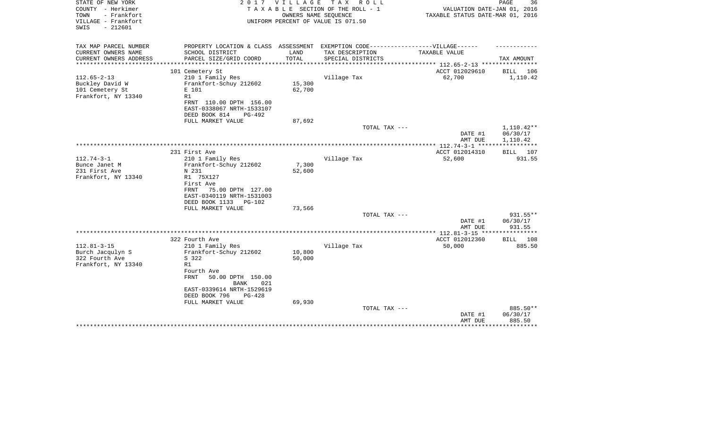| STATE OF NEW YORK<br>COUNTY - Herkimer<br>- Frankfort<br>TOWN<br>VILLAGE - Frankfort<br>$-212601$<br>SWIS | 2017                                                                                                                                                                                        | <b>VILLAGE</b><br>OWNERS NAME SEQUENCE | TAX ROLL<br>TAXABLE SECTION OF THE ROLL - 1<br>UNIFORM PERCENT OF VALUE IS 071.50 | VALUATION DATE-JAN 01, 2016<br>TAXABLE STATUS DATE-MAR 01, 2016 | PAGE<br>36                                 |
|-----------------------------------------------------------------------------------------------------------|---------------------------------------------------------------------------------------------------------------------------------------------------------------------------------------------|----------------------------------------|-----------------------------------------------------------------------------------|-----------------------------------------------------------------|--------------------------------------------|
| TAX MAP PARCEL NUMBER<br>CURRENT OWNERS NAME                                                              | PROPERTY LOCATION & CLASS ASSESSMENT EXEMPTION CODE-----------------VILLAGE------<br>SCHOOL DISTRICT                                                                                        | LAND                                   | TAX DESCRIPTION                                                                   | TAXABLE VALUE                                                   |                                            |
| CURRENT OWNERS ADDRESS                                                                                    | PARCEL SIZE/GRID COORD                                                                                                                                                                      | TOTAL                                  | SPECIAL DISTRICTS                                                                 |                                                                 | TAX AMOUNT                                 |
| *******************                                                                                       | **********************                                                                                                                                                                      | *****************                      |                                                                                   | ************** 112.65-2-13 *****************                    |                                            |
|                                                                                                           | 101 Cemetery St                                                                                                                                                                             |                                        |                                                                                   | ACCT 012029610                                                  | BILL 106                                   |
| $112.65 - 2 - 13$<br>Buckley David W<br>101 Cemetery St<br>Frankfort, NY 13340                            | 210 1 Family Res<br>Frankfort-Schuy 212602<br>E 101<br>R1<br>FRNT 110.00 DPTH 156.00                                                                                                        | 15,300<br>62,700                       | Village Tax                                                                       | 62,700                                                          | 1,110.42                                   |
|                                                                                                           | EAST-0338067 NRTH-1533107                                                                                                                                                                   |                                        |                                                                                   |                                                                 |                                            |
|                                                                                                           | DEED BOOK 814<br>PG-492                                                                                                                                                                     |                                        |                                                                                   |                                                                 |                                            |
|                                                                                                           | FULL MARKET VALUE                                                                                                                                                                           | 87,692                                 | TOTAL TAX ---                                                                     |                                                                 | $1,110.42**$                               |
|                                                                                                           |                                                                                                                                                                                             |                                        |                                                                                   | DATE #1<br>AMT DUE                                              | 06/30/17<br>1,110.42                       |
|                                                                                                           |                                                                                                                                                                                             |                                        |                                                                                   | *********** 112.74-3-1 ****                                     | * * * * * * * * * * *                      |
| $112.74 - 3 - 1$                                                                                          | 231 First Ave<br>210 1 Family Res                                                                                                                                                           |                                        | Village Tax                                                                       | ACCT 012014310<br>52,600                                        | BILL 107<br>931.55                         |
| Bunce Janet M<br>231 First Ave<br>Frankfort, NY 13340                                                     | Frankfort-Schuy 212602<br>N 231<br>R1 75X127<br>First Ave<br>FRNT<br>75.00 DPTH 127.00<br>EAST-0340119 NRTH-1531003                                                                         | 7,300<br>52,600                        |                                                                                   |                                                                 |                                            |
|                                                                                                           | DEED BOOK 1133<br>$PG-102$                                                                                                                                                                  |                                        |                                                                                   |                                                                 |                                            |
|                                                                                                           | FULL MARKET VALUE                                                                                                                                                                           | 73,566                                 |                                                                                   |                                                                 |                                            |
|                                                                                                           |                                                                                                                                                                                             |                                        | TOTAL TAX ---                                                                     | DATE #1<br>AMT DUE                                              | $931.55**$<br>06/30/17<br>931.55           |
|                                                                                                           |                                                                                                                                                                                             |                                        |                                                                                   |                                                                 |                                            |
|                                                                                                           | 322 Fourth Ave                                                                                                                                                                              |                                        |                                                                                   | ACCT 012012360                                                  | <b>BILL</b><br>108                         |
| $112.81 - 3 - 15$<br>Burch Jacqulyn S<br>322 Fourth Ave<br>Frankfort, NY 13340                            | 210 1 Family Res<br>Frankfort-Schuy 212602<br>S 322<br>R1<br>Fourth Ave<br><b>FRNT</b><br>50.00 DPTH 150.00<br><b>BANK</b><br>021<br>EAST-0339614 NRTH-1529619<br>DEED BOOK 796<br>$PG-428$ | 10,800<br>50,000                       | Village Tax                                                                       | 50,000                                                          | 885.50                                     |
|                                                                                                           | FULL MARKET VALUE                                                                                                                                                                           | 69,930                                 |                                                                                   |                                                                 |                                            |
|                                                                                                           |                                                                                                                                                                                             |                                        | TOTAL TAX ---                                                                     | DATE #1<br>AMT DUE                                              | 885.50**<br>06/30/17<br>885.50<br>******** |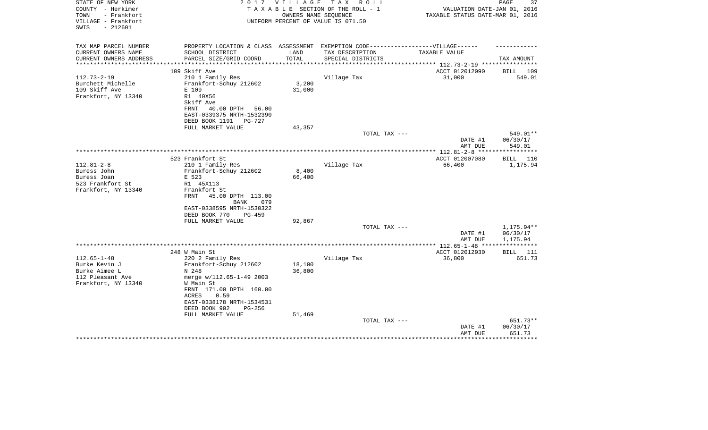| STATE OF NEW YORK<br>COUNTY - Herkimer<br>- Frankfort<br>TOWN<br>VILLAGE - Frankfort<br>$-212601$<br>SWIS | 2 0 1 7                                                                           | V I L L A G E | T A X<br>R O L L<br>TAXABLE SECTION OF THE ROLL - 1<br>OWNERS NAME SEQUENCE<br>UNIFORM PERCENT OF VALUE IS 071.50 | VALUATION DATE-JAN 01, 2016<br>TAXABLE STATUS DATE-MAR 01, 2016 | 37<br>PAGE         |
|-----------------------------------------------------------------------------------------------------------|-----------------------------------------------------------------------------------|---------------|-------------------------------------------------------------------------------------------------------------------|-----------------------------------------------------------------|--------------------|
| TAX MAP PARCEL NUMBER                                                                                     | PROPERTY LOCATION & CLASS ASSESSMENT EXEMPTION CODE-----------------VILLAGE------ |               |                                                                                                                   |                                                                 |                    |
| CURRENT OWNERS NAME                                                                                       | SCHOOL DISTRICT                                                                   | LAND          | TAX DESCRIPTION                                                                                                   | TAXABLE VALUE                                                   |                    |
| CURRENT OWNERS ADDRESS                                                                                    | PARCEL SIZE/GRID COORD<br>*****************************                           | TOTAL         | SPECIAL DISTRICTS                                                                                                 |                                                                 | TAX AMOUNT         |
| **********************                                                                                    |                                                                                   |               |                                                                                                                   |                                                                 |                    |
| $112.73 - 2 - 19$                                                                                         | 109 Skiff Ave<br>210 1 Family Res                                                 |               | Village Tax                                                                                                       | ACCT 012012090<br>31,000                                        | BILL 109<br>549.01 |
| Burchett Michelle                                                                                         | Frankfort-Schuy 212602                                                            | 3,200         |                                                                                                                   |                                                                 |                    |
| 109 Skiff Ave                                                                                             | E 109                                                                             | 31,000        |                                                                                                                   |                                                                 |                    |
| Frankfort, NY 13340                                                                                       | R1 40X56                                                                          |               |                                                                                                                   |                                                                 |                    |
|                                                                                                           | Skiff Ave                                                                         |               |                                                                                                                   |                                                                 |                    |
|                                                                                                           | 40.00 DPTH<br>56.00<br>FRNT                                                       |               |                                                                                                                   |                                                                 |                    |
|                                                                                                           | EAST-0339375 NRTH-1532390                                                         |               |                                                                                                                   |                                                                 |                    |
|                                                                                                           | DEED BOOK 1191<br>PG-727                                                          |               |                                                                                                                   |                                                                 |                    |
|                                                                                                           | FULL MARKET VALUE                                                                 | 43,357        |                                                                                                                   |                                                                 |                    |
|                                                                                                           |                                                                                   |               | TOTAL TAX ---                                                                                                     |                                                                 | 549.01**           |
|                                                                                                           |                                                                                   |               |                                                                                                                   | DATE #1<br>AMT DUE                                              | 06/30/17<br>549.01 |
|                                                                                                           |                                                                                   |               |                                                                                                                   | ****************** 112.81-2-8 *****                             | *********          |
|                                                                                                           | 523 Frankfort St                                                                  |               |                                                                                                                   | ACCT 012007080                                                  | BILL<br>110        |
| $112.81 - 2 - 8$                                                                                          | 210 1 Family Res                                                                  |               | Village Tax                                                                                                       | 66,400                                                          | 1,175.94           |
| Buress John                                                                                               | Frankfort-Schuy 212602                                                            | 8,400         |                                                                                                                   |                                                                 |                    |
| Buress Joan                                                                                               | E 523                                                                             | 66,400        |                                                                                                                   |                                                                 |                    |
| 523 Frankfort St                                                                                          | R1 45X113                                                                         |               |                                                                                                                   |                                                                 |                    |
| Frankfort, NY 13340                                                                                       | Frankfort St                                                                      |               |                                                                                                                   |                                                                 |                    |
|                                                                                                           | FRNT<br>45.00 DPTH 113.00                                                         |               |                                                                                                                   |                                                                 |                    |
|                                                                                                           | 079<br>BANK<br>EAST-0338595 NRTH-1530322                                          |               |                                                                                                                   |                                                                 |                    |
|                                                                                                           | DEED BOOK 770<br>$PG-459$                                                         |               |                                                                                                                   |                                                                 |                    |
|                                                                                                           | FULL MARKET VALUE                                                                 | 92,867        |                                                                                                                   |                                                                 |                    |
|                                                                                                           |                                                                                   |               | TOTAL TAX ---                                                                                                     |                                                                 | 1,175.94**         |
|                                                                                                           |                                                                                   |               |                                                                                                                   | DATE #1                                                         | 06/30/17           |
|                                                                                                           |                                                                                   |               |                                                                                                                   | AMT DUE                                                         | 1,175.94           |
|                                                                                                           |                                                                                   |               |                                                                                                                   |                                                                 |                    |
|                                                                                                           | 248 W Main St                                                                     |               |                                                                                                                   | ACCT 012012930                                                  | BILL 111           |
| $112.65 - 1 - 48$                                                                                         | 220 2 Family Res                                                                  |               | Village Tax                                                                                                       | 36,800                                                          | 651.73             |
| Burke Kevin J                                                                                             | Frankfort-Schuy 212602                                                            | 18,100        |                                                                                                                   |                                                                 |                    |
| Burke Aimee L                                                                                             | N 248                                                                             | 36,800        |                                                                                                                   |                                                                 |                    |
| 112 Pleasant Ave<br>Frankfort, NY 13340                                                                   | merge w/112.65-1-49 2003<br>W Main St                                             |               |                                                                                                                   |                                                                 |                    |
|                                                                                                           | FRNT 171.00 DPTH 160.00                                                           |               |                                                                                                                   |                                                                 |                    |
|                                                                                                           | <b>ACRES</b><br>0.59                                                              |               |                                                                                                                   |                                                                 |                    |
|                                                                                                           | EAST-0338178 NRTH-1534531                                                         |               |                                                                                                                   |                                                                 |                    |
|                                                                                                           | DEED BOOK 902<br>$PG-256$                                                         |               |                                                                                                                   |                                                                 |                    |
|                                                                                                           | FULL MARKET VALUE                                                                 | 51,469        |                                                                                                                   |                                                                 |                    |
|                                                                                                           |                                                                                   |               | TOTAL TAX ---                                                                                                     |                                                                 | 651.73**           |
|                                                                                                           |                                                                                   |               |                                                                                                                   | DATE #1                                                         | 06/30/17           |
|                                                                                                           |                                                                                   |               |                                                                                                                   | AMT DUE                                                         | 651.73             |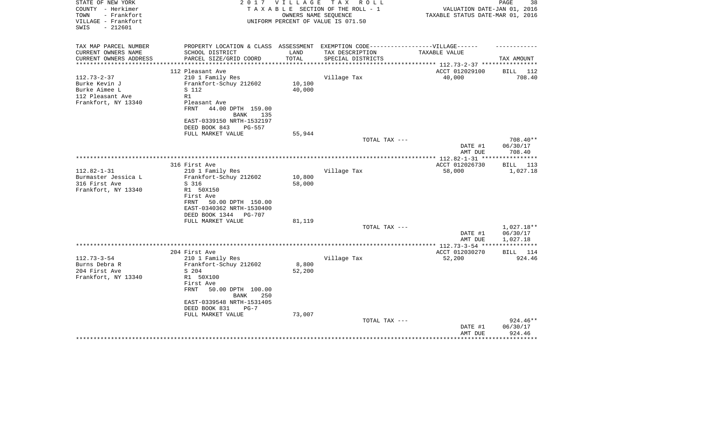| TAXABLE STATUS DATE-MAR 01, 2016<br>VILLAGE - Frankfort<br>UNIFORM PERCENT OF VALUE IS 071.50<br>$-212601$<br>SWIS |                     |
|--------------------------------------------------------------------------------------------------------------------|---------------------|
| TAX MAP PARCEL NUMBER<br>PROPERTY LOCATION & CLASS ASSESSMENT EXEMPTION CODE-----------------VILLAGE------         |                     |
| CURRENT OWNERS NAME<br>SCHOOL DISTRICT<br>LAND<br>TAX DESCRIPTION<br>TAXABLE VALUE                                 |                     |
| TOTAL<br>CURRENT OWNERS ADDRESS<br>PARCEL SIZE/GRID COORD<br>SPECIAL DISTRICTS                                     | TAX AMOUNT          |
| **********************                                                                                             |                     |
| ACCT 012029100<br>112 Pleasant Ave                                                                                 | BILL 112            |
| $112.73 - 2 - 37$<br>Village Tax<br>40,000<br>210 1 Family Res<br>Burke Kevin J                                    | 708.40              |
| 10,100<br>Frankfort-Schuy 212602<br>Burke Aimee L<br>S 112<br>40,000                                               |                     |
| 112 Pleasant Ave<br>R1                                                                                             |                     |
| Frankfort, NY 13340<br>Pleasant Ave                                                                                |                     |
| <b>FRNT</b><br>44.00 DPTH 159.00                                                                                   |                     |
| <b>BANK</b><br>135                                                                                                 |                     |
| EAST-0339150 NRTH-1532197                                                                                          |                     |
| DEED BOOK 843<br>PG-557                                                                                            |                     |
| FULL MARKET VALUE<br>55,944                                                                                        |                     |
| TOTAL TAX ---                                                                                                      | 708.40**            |
| DATE #1                                                                                                            | 06/30/17            |
| AMT DUE                                                                                                            | 708.40              |
| ACCT 012026730<br>316 First Ave                                                                                    | BILL<br>113         |
| $112.82 - 1 - 31$<br>210 1 Family Res<br>Village Tax<br>58,000                                                     | 1,027.18            |
| Burmaster Jessica L<br>Frankfort-Schuy 212602<br>10,800                                                            |                     |
| 316 First Ave<br>S 316<br>58,000                                                                                   |                     |
| Frankfort, NY 13340<br>R1 50X150                                                                                   |                     |
| First Ave                                                                                                          |                     |
| FRNT<br>50.00 DPTH 150.00                                                                                          |                     |
| EAST-0340362 NRTH-1530400                                                                                          |                     |
| DEED BOOK 1344<br><b>PG-707</b><br>81,119<br>FULL MARKET VALUE                                                     |                     |
| TOTAL TAX ---                                                                                                      | 1,027.18**          |
| DATE #1                                                                                                            | 06/30/17            |
| AMT DUE                                                                                                            | 1,027.18            |
| *************** 112.73-3-54 **                                                                                     | * * * * * * * * * * |
| 204 First Ave<br>ACCT 012030270                                                                                    | BILL 114            |
| $112.73 - 3 - 54$<br>52,200<br>210 1 Family Res<br>Village Tax                                                     | 924.46              |
| 8,800<br>Burns Debra R<br>Frankfort-Schuy 212602                                                                   |                     |
| 204 First Ave<br>52,200<br>S 204                                                                                   |                     |
| Frankfort, NY 13340<br>R1 50X100<br>First Ave                                                                      |                     |
| <b>FRNT</b><br>50.00 DPTH 100.00                                                                                   |                     |
| <b>BANK</b><br>250                                                                                                 |                     |
| EAST-0339548 NRTH-1531405                                                                                          |                     |
| DEED BOOK 831<br>$PG-7$                                                                                            |                     |
| FULL MARKET VALUE<br>73,007                                                                                        |                     |
| TOTAL TAX ---                                                                                                      | 924.46**            |
| DATE #1                                                                                                            | 06/30/17            |
| AMT DUE                                                                                                            | 924.46              |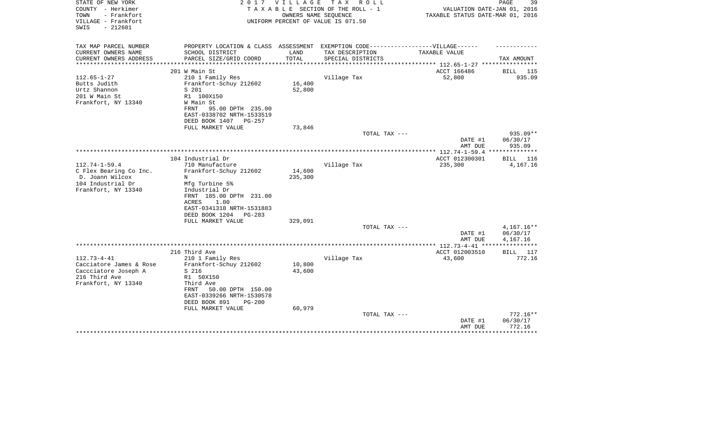| STATE OF NEW YORK<br>COUNTY - Herkimer<br>- Frankfort<br>TOWN<br>VILLAGE - Frankfort<br>$-212601$<br>SWIS    | 2017                                                                                                                                                                                      | VILLAGE                    | TAX ROLL<br>TAXABLE SECTION OF THE ROLL - 1<br>OWNERS NAME SEQUENCE<br>UNIFORM PERCENT OF VALUE IS 071.50 | VALUATION DATE-JAN 01, 2016<br>TAXABLE STATUS DATE-MAR 01, 2016 | 39<br>PAGE                       |
|--------------------------------------------------------------------------------------------------------------|-------------------------------------------------------------------------------------------------------------------------------------------------------------------------------------------|----------------------------|-----------------------------------------------------------------------------------------------------------|-----------------------------------------------------------------|----------------------------------|
| TAX MAP PARCEL NUMBER                                                                                        | PROPERTY LOCATION & CLASS ASSESSMENT EXEMPTION CODE-----------------VILLAGE------                                                                                                         |                            |                                                                                                           |                                                                 |                                  |
| CURRENT OWNERS NAME<br>CURRENT OWNERS ADDRESS                                                                | SCHOOL DISTRICT<br>PARCEL SIZE/GRID COORD                                                                                                                                                 | LAND<br>TOTAL              | TAX DESCRIPTION<br>SPECIAL DISTRICTS                                                                      | TAXABLE VALUE                                                   | TAX AMOUNT                       |
|                                                                                                              |                                                                                                                                                                                           |                            |                                                                                                           | ******************* 112.65-1-27 *****************               |                                  |
| $112.65 - 1 - 27$<br>Butts Judith<br>Urtz Shannon<br>201 W Main St<br>Frankfort, NY 13340                    | 201 W Main St<br>210 1 Family Res<br>Frankfort-Schuy 212602<br>S 201<br>R1 100X150<br>W Main St<br>95.00 DPTH 235.00<br>FRNT<br>EAST-0338702 NRTH-1533519<br>DEED BOOK 1407 PG-257        | 16,400<br>52,800           | Village Tax                                                                                               | ACCT 166486<br>52,800                                           | BILL 115<br>935.09               |
|                                                                                                              | FULL MARKET VALUE                                                                                                                                                                         | 73,846                     |                                                                                                           |                                                                 |                                  |
|                                                                                                              |                                                                                                                                                                                           |                            | TOTAL TAX ---                                                                                             | DATE #1<br>AMT DUE                                              | 935.09**<br>06/30/17<br>935.09   |
|                                                                                                              |                                                                                                                                                                                           |                            | **********************                                                                                    | *** 112.74-1-59.4 **                                            | * * * * * * * * * * *            |
| $112.74 - 1 - 59.4$<br>C Flex Bearing Co Inc.<br>D. Joann Wilcox<br>104 Industrial Dr<br>Frankfort, NY 13340 | 104 Industrial Dr<br>710 Manufacture<br>Frankfort-Schuy 212602<br>N<br>Mfg Turbine 5%<br>Industrial Dr<br>FRNT 185.00 DPTH 231.00<br>ACRES<br>1.00<br>EAST-0341318 NRTH-1531883           | 14,600<br>235,300          | Village Tax                                                                                               | ACCT 012300301<br>235,300                                       | BILL 116<br>4,167.16             |
|                                                                                                              | DEED BOOK 1204<br>$PG-283$                                                                                                                                                                |                            |                                                                                                           |                                                                 |                                  |
|                                                                                                              | FULL MARKET VALUE                                                                                                                                                                         | 329,091                    | TOTAL TAX ---                                                                                             |                                                                 | $4,167.16**$                     |
|                                                                                                              |                                                                                                                                                                                           |                            |                                                                                                           | DATE #1<br>AMT DUE                                              | 06/30/17<br>4,167.16             |
|                                                                                                              |                                                                                                                                                                                           |                            |                                                                                                           | **************** 112.73-4-41 *****************                  |                                  |
|                                                                                                              | 216 Third Ave                                                                                                                                                                             |                            |                                                                                                           | ACCT 012003510                                                  | BILL 117                         |
| $112.73 - 4 - 41$<br>Cacciatore James & Rose<br>Caccciatore Joseph A<br>216 Third Ave<br>Frankfort, NY 13340 | 210 1 Family Res<br>Frankfort-Schuy 212602<br>S 216<br>R1 50X150<br>Third Ave<br>50.00 DPTH 150.00<br>FRNT<br>EAST-0339266 NRTH-1530578<br>DEED BOOK 891<br>$PG-200$<br>FULL MARKET VALUE | 10,800<br>43,600<br>60,979 | Village Tax                                                                                               | 43,600                                                          | 772.16                           |
|                                                                                                              |                                                                                                                                                                                           |                            | TOTAL TAX ---                                                                                             | DATE #1<br>AMT DUE                                              | $772.16**$<br>06/30/17<br>772.16 |
|                                                                                                              |                                                                                                                                                                                           |                            |                                                                                                           | ***************                                                 | *********                        |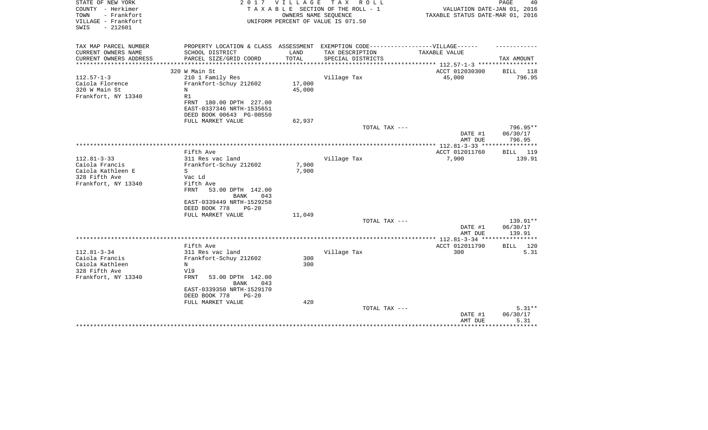| STATE OF NEW YORK<br>COUNTY - Herkimer<br>- Frankfort<br>TOWN<br>VILLAGE - Frankfort<br>$-212601$<br>SWIS |                                                                                                      | 2017 VILLAGE     | TAX ROLL<br>TAXABLE SECTION OF THE ROLL - 1<br>OWNERS NAME SEQUENCE<br>UNIFORM PERCENT OF VALUE IS 071.50 | VALUATION DATE-JAN 01, 2016<br>TAXABLE STATUS DATE-MAR 01, 2016 | PAGE<br>40                   |
|-----------------------------------------------------------------------------------------------------------|------------------------------------------------------------------------------------------------------|------------------|-----------------------------------------------------------------------------------------------------------|-----------------------------------------------------------------|------------------------------|
| TAX MAP PARCEL NUMBER<br>CURRENT OWNERS NAME                                                              | PROPERTY LOCATION & CLASS ASSESSMENT EXEMPTION CODE-----------------VILLAGE------<br>SCHOOL DISTRICT | LAND             | TAX DESCRIPTION                                                                                           | TAXABLE VALUE                                                   |                              |
| CURRENT OWNERS ADDRESS                                                                                    | PARCEL SIZE/GRID COORD                                                                               | TOTAL            | SPECIAL DISTRICTS                                                                                         |                                                                 | TAX AMOUNT                   |
|                                                                                                           |                                                                                                      |                  |                                                                                                           | *********** 112.57-1-3 **************                           |                              |
|                                                                                                           | 320 W Main St                                                                                        |                  |                                                                                                           | ACCT 012030300                                                  | BILL 118                     |
| $112.57 - 1 - 3$                                                                                          | 210 1 Family Res                                                                                     |                  | Village Tax                                                                                               | 45,000                                                          | 796.95                       |
| Caiola Florence<br>320 W Main St                                                                          | Frankfort-Schuy 212602<br>N                                                                          | 17,000<br>45,000 |                                                                                                           |                                                                 |                              |
| Frankfort, NY 13340                                                                                       | R1                                                                                                   |                  |                                                                                                           |                                                                 |                              |
|                                                                                                           | FRNT 180.00 DPTH 227.00                                                                              |                  |                                                                                                           |                                                                 |                              |
|                                                                                                           | EAST-0337346 NRTH-1535651                                                                            |                  |                                                                                                           |                                                                 |                              |
|                                                                                                           | DEED BOOK 00643 PG-00550                                                                             |                  |                                                                                                           |                                                                 |                              |
|                                                                                                           | FULL MARKET VALUE                                                                                    | 62,937           |                                                                                                           |                                                                 |                              |
|                                                                                                           |                                                                                                      |                  | TOTAL TAX ---                                                                                             |                                                                 | 796.95**                     |
|                                                                                                           |                                                                                                      |                  |                                                                                                           | DATE #1<br>AMT DUE                                              | 06/30/17<br>796.95           |
|                                                                                                           |                                                                                                      |                  |                                                                                                           | ** 112.81-3-33 **                                               | ********                     |
|                                                                                                           | Fifth Ave                                                                                            |                  |                                                                                                           | ACCT 012011760                                                  | <b>BILL</b><br>119           |
| $112.81 - 3 - 33$                                                                                         | 311 Res vac land                                                                                     |                  | Village Tax                                                                                               | 7,900                                                           | 139.91                       |
| Caiola Francis                                                                                            | Frankfort-Schuy 212602                                                                               | 7,900            |                                                                                                           |                                                                 |                              |
| Caiola Kathleen E<br>328 Fifth Ave                                                                        | S<br>Vac Ld                                                                                          | 7,900            |                                                                                                           |                                                                 |                              |
| Frankfort, NY 13340                                                                                       | Fifth Ave                                                                                            |                  |                                                                                                           |                                                                 |                              |
|                                                                                                           | FRNT<br>53.00 DPTH 142.00                                                                            |                  |                                                                                                           |                                                                 |                              |
|                                                                                                           | BANK<br>043                                                                                          |                  |                                                                                                           |                                                                 |                              |
|                                                                                                           | EAST-0339449 NRTH-1529258                                                                            |                  |                                                                                                           |                                                                 |                              |
|                                                                                                           | DEED BOOK 778<br>$PG-20$                                                                             |                  |                                                                                                           |                                                                 |                              |
|                                                                                                           | FULL MARKET VALUE                                                                                    | 11,049           | TOTAL TAX ---                                                                                             |                                                                 | $139.91**$                   |
|                                                                                                           |                                                                                                      |                  |                                                                                                           | DATE #1                                                         | 06/30/17                     |
|                                                                                                           |                                                                                                      |                  |                                                                                                           | AMT DUE                                                         | 139.91                       |
|                                                                                                           |                                                                                                      |                  |                                                                                                           |                                                                 |                              |
|                                                                                                           | Fifth Ave                                                                                            |                  |                                                                                                           | ACCT 012011790                                                  | 120<br>BILL                  |
| $112.81 - 3 - 34$                                                                                         | 311 Res vac land                                                                                     |                  | Village Tax                                                                                               | 300                                                             | 5.31                         |
| Caiola Francis<br>Caiola Kathleen                                                                         | Frankfort-Schuy 212602<br>N                                                                          | 300<br>300       |                                                                                                           |                                                                 |                              |
| 328 Fifth Ave                                                                                             | V19                                                                                                  |                  |                                                                                                           |                                                                 |                              |
| Frankfort, NY 13340                                                                                       | <b>FRNT</b><br>53.00 DPTH 142.00<br>BANK<br>043                                                      |                  |                                                                                                           |                                                                 |                              |
|                                                                                                           | EAST-0339350 NRTH-1529170                                                                            |                  |                                                                                                           |                                                                 |                              |
|                                                                                                           | DEED BOOK 778<br>$PG-20$                                                                             |                  |                                                                                                           |                                                                 |                              |
|                                                                                                           | FULL MARKET VALUE                                                                                    | 420              |                                                                                                           |                                                                 |                              |
|                                                                                                           |                                                                                                      |                  | TOTAL TAX ---                                                                                             | DATE #1<br>AMT DUE                                              | $5.31**$<br>06/30/17<br>5.31 |
|                                                                                                           |                                                                                                      |                  |                                                                                                           |                                                                 |                              |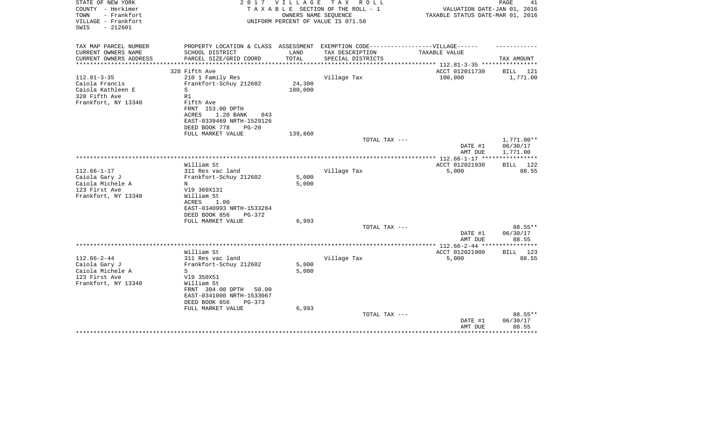| STATE OF NEW YORK<br>COUNTY - Herkimer<br>TOWN<br>- Frankfort<br>VILLAGE - Frankfort<br>$-212601$<br>SWIS | 2 0 1 7                                                                                                                                                                        | V I L L A G E<br>OWNERS NAME SEOUENCE | T A X<br>R O L L<br>TAXABLE SECTION OF THE ROLL - 1<br>UNIFORM PERCENT OF VALUE IS 071.50 | VALUATION DATE-JAN 01, 2016<br>TAXABLE STATUS DATE-MAR 01, 2016 | PAGE<br>41                         |
|-----------------------------------------------------------------------------------------------------------|--------------------------------------------------------------------------------------------------------------------------------------------------------------------------------|---------------------------------------|-------------------------------------------------------------------------------------------|-----------------------------------------------------------------|------------------------------------|
| TAX MAP PARCEL NUMBER<br>CURRENT OWNERS NAME<br>CURRENT OWNERS ADDRESS                                    | PROPERTY LOCATION & CLASS ASSESSMENT EXEMPTION CODE-----------------VILLAGE------<br>SCHOOL DISTRICT<br>PARCEL SIZE/GRID COORD                                                 | LAND<br>TOTAL                         | TAX DESCRIPTION<br>SPECIAL DISTRICTS                                                      | TAXABLE VALUE                                                   | TAX AMOUNT                         |
| **********************                                                                                    |                                                                                                                                                                                |                                       |                                                                                           |                                                                 |                                    |
| $112.81 - 3 - 35$<br>Caiola Francis<br>Caiola Kathleen E<br>328 Fifth Ave<br>Frankfort, NY 13340          | 328 Fifth Ave<br>210 1 Family Res<br>Frankfort-Schuy 212602<br>S<br>R1<br>Fifth Ave<br>FRNT 153.00 DPTH<br>1.20 BANK<br>ACRES<br>043<br>EAST-0339469 NRTH-1529126              | 24,300<br>100,000                     | Village Tax                                                                               | ACCT 012011730<br>100,000                                       | BILL 121<br>1,771.00               |
|                                                                                                           | DEED BOOK 778<br>$PG-20$<br>FULL MARKET VALUE                                                                                                                                  | 139,860                               |                                                                                           |                                                                 |                                    |
|                                                                                                           |                                                                                                                                                                                |                                       | TOTAL TAX ---                                                                             | DATE #1<br>AMT DUE                                              | 1,771.00**<br>06/30/17<br>1,771.00 |
|                                                                                                           |                                                                                                                                                                                |                                       |                                                                                           |                                                                 |                                    |
| $112.66 - 1 - 17$<br>Caiola Gary J<br>Caiola Michele A<br>123 First Ave<br>Frankfort, NY 13340            | William St<br>311 Res vac land<br>Frankfort-Schuy 212602<br>N<br>V19 360X131<br>William St<br>ACRES<br>1.00<br>EAST-0340993 NRTH-1533284<br>DEED BOOK 856<br>PG-372            | 5,000<br>5,000                        | Village Tax                                                                               | ACCT 012021930<br>5,000                                         | <b>BILL</b><br>122<br>88.55        |
|                                                                                                           | FULL MARKET VALUE                                                                                                                                                              | 6,993                                 |                                                                                           |                                                                 |                                    |
|                                                                                                           |                                                                                                                                                                                |                                       | TOTAL TAX ---                                                                             | DATE #1<br>AMT DUE                                              | 88.55**<br>06/30/17<br>88.55       |
|                                                                                                           |                                                                                                                                                                                |                                       |                                                                                           |                                                                 |                                    |
| $112.66 - 2 - 44$<br>Caiola Gary J<br>Caiola Michele A<br>123 First Ave<br>Frankfort, NY 13340            | William St<br>311 Res vac land<br>Frankfort-Schuy 212602<br>S<br>V19 350X51<br>William St<br>FRNT 304.00 DPTH<br>50.00<br>EAST-0341000 NRTH-1533067<br>DEED BOOK 856<br>PG-373 | 5,000<br>5,000                        | Village Tax                                                                               | ACCT 012021900<br>5,000                                         | 123<br><b>BILL</b><br>88.55        |
|                                                                                                           | FULL MARKET VALUE                                                                                                                                                              | 6,993                                 | TOTAL TAX ---                                                                             |                                                                 | 88.55**                            |
|                                                                                                           |                                                                                                                                                                                |                                       |                                                                                           | DATE #1<br>AMT DUE                                              | 06/30/17<br>88.55<br>********      |
|                                                                                                           |                                                                                                                                                                                |                                       |                                                                                           |                                                                 |                                    |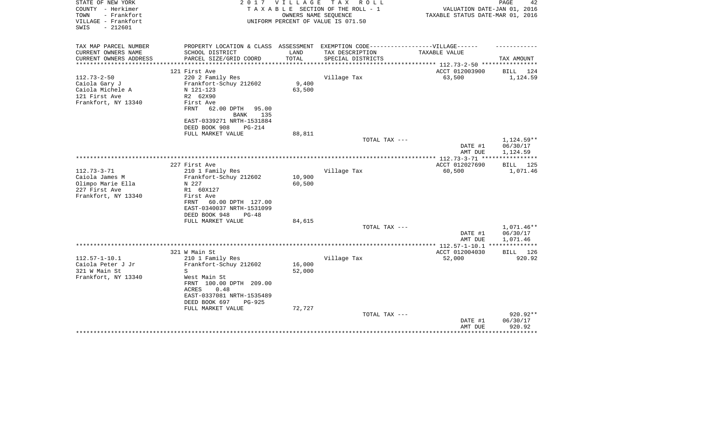| STATE OF NEW YORK<br>COUNTY - Herkimer     | 2017                                                                              | VILLAGE | TAX ROLL<br>TAXABLE SECTION OF THE ROLL - 1                | VALUATION DATE-JAN 01, 2016             | PAGE<br>42              |
|--------------------------------------------|-----------------------------------------------------------------------------------|---------|------------------------------------------------------------|-----------------------------------------|-------------------------|
| - Frankfort<br>TOWN<br>VILLAGE - Frankfort |                                                                                   |         | OWNERS NAME SEQUENCE<br>UNIFORM PERCENT OF VALUE IS 071.50 | TAXABLE STATUS DATE-MAR 01, 2016        |                         |
| SWIS<br>$-212601$                          |                                                                                   |         |                                                            |                                         |                         |
| TAX MAP PARCEL NUMBER                      | PROPERTY LOCATION & CLASS ASSESSMENT EXEMPTION CODE-----------------VILLAGE------ |         |                                                            |                                         |                         |
| CURRENT OWNERS NAME                        | SCHOOL DISTRICT                                                                   | LAND    | TAX DESCRIPTION                                            | TAXABLE VALUE                           |                         |
| CURRENT OWNERS ADDRESS                     | PARCEL SIZE/GRID COORD                                                            | TOTAL   | SPECIAL DISTRICTS                                          |                                         | TAX AMOUNT              |
|                                            |                                                                                   |         |                                                            | ***************** 112.73-2-50 ********* |                         |
| $112.73 - 2 - 50$                          | 121 First Ave<br>220 2 Family Res                                                 |         |                                                            | ACCT 012003900<br>63,500                | BILL<br>124<br>1,124.59 |
|                                            |                                                                                   | 9,400   | Village Tax                                                |                                         |                         |
| Caiola Gary J<br>Caiola Michele A          | Frankfort-Schuy 212602<br>N 121-123                                               | 63,500  |                                                            |                                         |                         |
|                                            |                                                                                   |         |                                                            |                                         |                         |
| 121 First Ave                              | R2 62X90                                                                          |         |                                                            |                                         |                         |
| Frankfort, NY 13340                        | First Ave                                                                         |         |                                                            |                                         |                         |
|                                            | FRNT<br>62.00 DPTH<br>95.00                                                       |         |                                                            |                                         |                         |
|                                            | 135<br>BANK                                                                       |         |                                                            |                                         |                         |
|                                            | EAST-0339271 NRTH-1531884                                                         |         |                                                            |                                         |                         |
|                                            | DEED BOOK 908<br><b>PG-214</b>                                                    |         |                                                            |                                         |                         |
|                                            | FULL MARKET VALUE                                                                 | 88,811  |                                                            |                                         |                         |
|                                            |                                                                                   |         | TOTAL TAX ---                                              |                                         | 1,124.59**              |
|                                            |                                                                                   |         |                                                            | DATE #1                                 | 06/30/17                |
|                                            |                                                                                   |         |                                                            | AMT DUE                                 | 1,124.59                |
|                                            |                                                                                   |         |                                                            |                                         | 125                     |
|                                            | 227 First Ave                                                                     |         |                                                            | ACCT 012027690                          | BILL                    |
| $112.73 - 3 - 71$                          | 210 1 Family Res                                                                  |         | Village Tax                                                | 60,500                                  | 1,071.46                |
| Caiola James M                             | Frankfort-Schuy 212602                                                            | 10,900  |                                                            |                                         |                         |
| Olimpo Marie Ella                          | N 227                                                                             | 60,500  |                                                            |                                         |                         |
| 227 First Ave                              | R1 60X127                                                                         |         |                                                            |                                         |                         |
| Frankfort, NY 13340                        | First Ave                                                                         |         |                                                            |                                         |                         |
|                                            | 60.00 DPTH 127.00<br>FRNT                                                         |         |                                                            |                                         |                         |
|                                            | EAST-0340037 NRTH-1531099                                                         |         |                                                            |                                         |                         |
|                                            | DEED BOOK 948<br>$PG-48$                                                          |         |                                                            |                                         |                         |
|                                            | FULL MARKET VALUE                                                                 | 84,615  |                                                            |                                         |                         |
|                                            |                                                                                   |         | TOTAL TAX ---                                              |                                         | $1,071.46**$            |
|                                            |                                                                                   |         |                                                            | DATE #1                                 | 06/30/17                |
|                                            |                                                                                   |         |                                                            | AMT DUE                                 | 1,071.46                |
|                                            |                                                                                   |         |                                                            |                                         |                         |
| $112.57 - 1 - 10.1$                        | 321 W Main St                                                                     |         |                                                            | ACCT 012004030                          | BILL 126                |
|                                            | 210 1 Family Res                                                                  |         | Village Tax                                                | 52,000                                  | 920.92                  |
| Caiola Peter J Jr                          | Frankfort-Schuy 212602<br>S                                                       | 16,000  |                                                            |                                         |                         |
| 321 W Main St                              |                                                                                   | 52,000  |                                                            |                                         |                         |
| Frankfort, NY 13340                        | West Main St                                                                      |         |                                                            |                                         |                         |
|                                            | FRNT 100.00 DPTH 209.00                                                           |         |                                                            |                                         |                         |
|                                            | 0.48<br>ACRES                                                                     |         |                                                            |                                         |                         |
|                                            | EAST-0337081 NRTH-1535489                                                         |         |                                                            |                                         |                         |
|                                            | DEED BOOK 697<br><b>PG-925</b>                                                    |         |                                                            |                                         |                         |
|                                            | FULL MARKET VALUE                                                                 | 72,727  |                                                            |                                         |                         |
|                                            |                                                                                   |         | TOTAL TAX ---                                              |                                         | $920.92**$              |
|                                            |                                                                                   |         |                                                            | DATE #1                                 | 06/30/17                |
|                                            |                                                                                   |         |                                                            | AMT DUE                                 | 920.92                  |
|                                            |                                                                                   |         |                                                            |                                         |                         |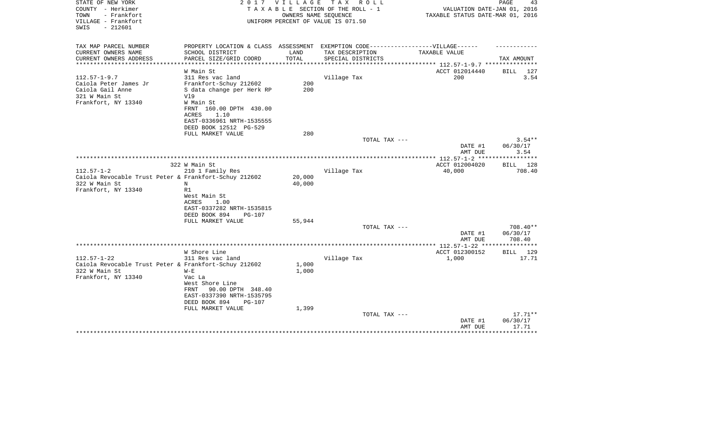| STATE OF NEW YORK<br>COUNTY - Herkimer<br>TOWN<br>- Frankfort<br>VILLAGE - Frankfort<br>$-212601$<br>SWIS |                                                                                                      | 2017 VILLAGE<br>OWNERS NAME SEOUENCE | T A X<br>R O L L<br>TAXABLE SECTION OF THE ROLL - 1<br>UNIFORM PERCENT OF VALUE IS 071.50 | VALUATION DATE-JAN 01, 2016<br>TAXABLE STATUS DATE-MAR 01, 2016 | PAGE<br>43         |
|-----------------------------------------------------------------------------------------------------------|------------------------------------------------------------------------------------------------------|--------------------------------------|-------------------------------------------------------------------------------------------|-----------------------------------------------------------------|--------------------|
| TAX MAP PARCEL NUMBER<br>CURRENT OWNERS NAME                                                              | PROPERTY LOCATION & CLASS ASSESSMENT EXEMPTION CODE-----------------VILLAGE------<br>SCHOOL DISTRICT | LAND                                 | TAX DESCRIPTION                                                                           | TAXABLE VALUE                                                   |                    |
| CURRENT OWNERS ADDRESS                                                                                    | PARCEL SIZE/GRID COORD                                                                               | TOTAL                                | SPECIAL DISTRICTS                                                                         | ********** 112.57-1-9.7 ***                                     | TAX AMOUNT         |
|                                                                                                           | W Main St                                                                                            |                                      |                                                                                           | ACCT 012014440                                                  | BILL<br>127        |
| $112.57 - 1 - 9.7$                                                                                        | 311 Res vac land                                                                                     |                                      | Village Tax                                                                               | 200                                                             | 3.54               |
| Caiola Peter James Jr                                                                                     | Frankfort-Schuy 212602                                                                               | 200                                  |                                                                                           |                                                                 |                    |
| Caiola Gail Anne<br>321 W Main St                                                                         | S data change per Herk RP<br>V19                                                                     | 200                                  |                                                                                           |                                                                 |                    |
| Frankfort, NY 13340                                                                                       | W Main St<br>FRNT 160.00 DPTH 430.00                                                                 |                                      |                                                                                           |                                                                 |                    |
|                                                                                                           | ACRES<br>1.10<br>EAST-0336961 NRTH-1535555                                                           |                                      |                                                                                           |                                                                 |                    |
|                                                                                                           | DEED BOOK 12512 PG-529<br>FULL MARKET VALUE                                                          | 280                                  |                                                                                           |                                                                 |                    |
|                                                                                                           |                                                                                                      |                                      | TOTAL TAX ---                                                                             |                                                                 | $3.54**$           |
|                                                                                                           |                                                                                                      |                                      |                                                                                           | DATE #1<br>AMT DUE                                              | 06/30/17<br>3.54   |
|                                                                                                           |                                                                                                      |                                      |                                                                                           |                                                                 | **********         |
|                                                                                                           | 322 W Main St                                                                                        |                                      |                                                                                           | ACCT 012004020                                                  | <b>BILL</b><br>128 |
| $112.57 - 1 - 2$                                                                                          | 210 1 Family Res                                                                                     |                                      | Village Tax                                                                               | 40,000                                                          | 708.40             |
| Caiola Revocable Trust Peter & Frankfort-Schuy 212602                                                     |                                                                                                      | 20,000                               |                                                                                           |                                                                 |                    |
| 322 W Main St<br>Frankfort, NY 13340                                                                      | N<br>R1                                                                                              | 40,000                               |                                                                                           |                                                                 |                    |
|                                                                                                           | West Main St                                                                                         |                                      |                                                                                           |                                                                 |                    |
|                                                                                                           | 1.00<br>ACRES                                                                                        |                                      |                                                                                           |                                                                 |                    |
|                                                                                                           | EAST-0337282 NRTH-1535815                                                                            |                                      |                                                                                           |                                                                 |                    |
|                                                                                                           | DEED BOOK 894<br>PG-107                                                                              |                                      |                                                                                           |                                                                 |                    |
|                                                                                                           | FULL MARKET VALUE                                                                                    | 55,944                               |                                                                                           |                                                                 |                    |
|                                                                                                           |                                                                                                      |                                      | TOTAL TAX ---                                                                             |                                                                 | 708.40**           |
|                                                                                                           |                                                                                                      |                                      |                                                                                           | DATE #1                                                         | 06/30/17           |
|                                                                                                           |                                                                                                      |                                      |                                                                                           | AMT DUE                                                         | 708.40             |
|                                                                                                           | W Shore Line                                                                                         |                                      |                                                                                           | ACCT 012300152                                                  | BILL 129           |
| $112.57 - 1 - 22$                                                                                         | 311 Res vac land                                                                                     |                                      | Village Tax                                                                               | 1,000                                                           | 17.71              |
| Caiola Revocable Trust Peter & Frankfort-Schuy 212602                                                     |                                                                                                      | 1,000                                |                                                                                           |                                                                 |                    |
| 322 W Main St                                                                                             | $W - E$                                                                                              | 1,000                                |                                                                                           |                                                                 |                    |
| Frankfort, NY 13340                                                                                       | Vac La                                                                                               |                                      |                                                                                           |                                                                 |                    |
|                                                                                                           | West Shore Line                                                                                      |                                      |                                                                                           |                                                                 |                    |
|                                                                                                           | 90.00 DPTH 348.40<br>FRNT                                                                            |                                      |                                                                                           |                                                                 |                    |
|                                                                                                           | EAST-0337390 NRTH-1535795                                                                            |                                      |                                                                                           |                                                                 |                    |
|                                                                                                           | DEED BOOK 894<br>PG-107<br>FULL MARKET VALUE                                                         | 1,399                                |                                                                                           |                                                                 |                    |
|                                                                                                           |                                                                                                      |                                      | TOTAL TAX ---                                                                             |                                                                 | $17.71**$          |
|                                                                                                           |                                                                                                      |                                      |                                                                                           | DATE #1                                                         | 06/30/17           |
|                                                                                                           |                                                                                                      |                                      |                                                                                           | AMT DUE                                                         | 17.71              |
|                                                                                                           |                                                                                                      |                                      |                                                                                           |                                                                 |                    |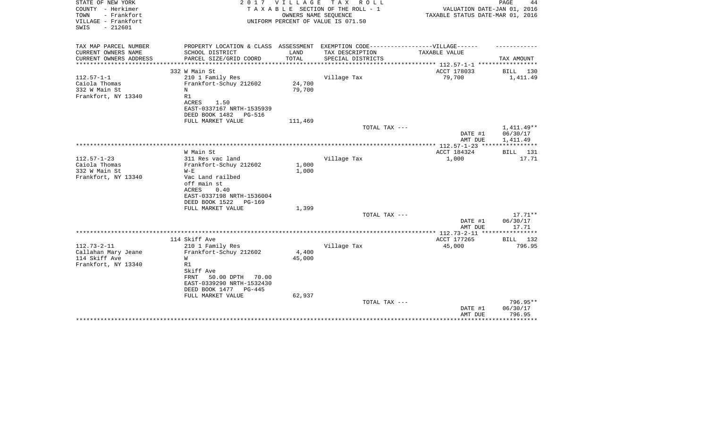| STATE OF NEW YORK<br>COUNTY - Herkimer<br>- Frankfort<br>TOWN<br>VILLAGE - Frankfort<br>$-212601$<br>SWIS | 2 0 1 7                                                                                              | V I L L A G E | TAX ROLL<br>TAXABLE SECTION OF THE ROLL - 1<br>OWNERS NAME SEQUENCE<br>UNIFORM PERCENT OF VALUE IS 071.50 | VALUATION DATE-JAN 01, 2016<br>TAXABLE STATUS DATE-MAR 01, 2016 | PAGE<br>44            |
|-----------------------------------------------------------------------------------------------------------|------------------------------------------------------------------------------------------------------|---------------|-----------------------------------------------------------------------------------------------------------|-----------------------------------------------------------------|-----------------------|
| TAX MAP PARCEL NUMBER<br>CURRENT OWNERS NAME                                                              | PROPERTY LOCATION & CLASS ASSESSMENT EXEMPTION CODE-----------------VILLAGE------<br>SCHOOL DISTRICT | LAND          | TAX DESCRIPTION                                                                                           | TAXABLE VALUE                                                   |                       |
| CURRENT OWNERS ADDRESS                                                                                    | PARCEL SIZE/GRID COORD                                                                               | TOTAL         | SPECIAL DISTRICTS                                                                                         |                                                                 | TAX AMOUNT            |
|                                                                                                           |                                                                                                      |               |                                                                                                           | **************** 112.57-1-1 ******************                  |                       |
|                                                                                                           | 332 W Main St                                                                                        |               |                                                                                                           | ACCT 178033                                                     | BILL 130              |
| $112.57 - 1 - 1$<br>Caiola Thomas                                                                         | 210 1 Family Res<br>Frankfort-Schuy 212602                                                           | 24,700        | Village Tax                                                                                               | 79,700                                                          | 1,411.49              |
| 332 W Main St                                                                                             | N                                                                                                    | 79,700        |                                                                                                           |                                                                 |                       |
| Frankfort, NY 13340                                                                                       | R1                                                                                                   |               |                                                                                                           |                                                                 |                       |
|                                                                                                           | ACRES<br>1.50                                                                                        |               |                                                                                                           |                                                                 |                       |
|                                                                                                           | EAST-0337167 NRTH-1535939                                                                            |               |                                                                                                           |                                                                 |                       |
|                                                                                                           | DEED BOOK 1482<br>PG-516                                                                             |               |                                                                                                           |                                                                 |                       |
|                                                                                                           | FULL MARKET VALUE                                                                                    | 111,469       | TOTAL TAX ---                                                                                             |                                                                 | 1,411.49**            |
|                                                                                                           |                                                                                                      |               |                                                                                                           | DATE #1                                                         | 06/30/17              |
|                                                                                                           |                                                                                                      |               |                                                                                                           | AMT DUE                                                         | 1,411.49              |
|                                                                                                           |                                                                                                      |               |                                                                                                           |                                                                 | * * * * * * * * * * * |
|                                                                                                           | W Main St                                                                                            |               |                                                                                                           | ACCT 184324                                                     | BILL 131              |
| $112.57 - 1 - 23$                                                                                         | 311 Res vac land                                                                                     |               | Village Tax                                                                                               | 1,000                                                           | 17.71                 |
| Caiola Thomas                                                                                             | Frankfort-Schuy 212602                                                                               | 1,000         |                                                                                                           |                                                                 |                       |
| 332 W Main St<br>Frankfort, NY 13340                                                                      | $W - E$<br>Vac Land railbed                                                                          | 1,000         |                                                                                                           |                                                                 |                       |
|                                                                                                           | off main st                                                                                          |               |                                                                                                           |                                                                 |                       |
|                                                                                                           | ACRES<br>0.40                                                                                        |               |                                                                                                           |                                                                 |                       |
|                                                                                                           | EAST-0337198 NRTH-1536004                                                                            |               |                                                                                                           |                                                                 |                       |
|                                                                                                           | DEED BOOK 1522<br>PG-169                                                                             |               |                                                                                                           |                                                                 |                       |
|                                                                                                           | FULL MARKET VALUE                                                                                    | 1,399         |                                                                                                           |                                                                 |                       |
|                                                                                                           |                                                                                                      |               | TOTAL TAX ---                                                                                             | DATE #1                                                         | $17.71**$<br>06/30/17 |
|                                                                                                           |                                                                                                      |               |                                                                                                           | AMT DUE                                                         | 17.71                 |
|                                                                                                           |                                                                                                      |               |                                                                                                           |                                                                 |                       |
|                                                                                                           | 114 Skiff Ave                                                                                        |               |                                                                                                           | ACCT 177265                                                     | BILL 132              |
| $112.73 - 2 - 11$                                                                                         | 210 1 Family Res                                                                                     |               | Village Tax                                                                                               | 45,000                                                          | 796.95                |
| Callahan Mary Jeane                                                                                       | Frankfort-Schuy 212602                                                                               | 4,400         |                                                                                                           |                                                                 |                       |
| 114 Skiff Ave                                                                                             | W                                                                                                    | 45,000        |                                                                                                           |                                                                 |                       |
| Frankfort, NY 13340                                                                                       | R1<br>Skiff Ave                                                                                      |               |                                                                                                           |                                                                 |                       |
|                                                                                                           | 50.00 DPTH<br>FRNT<br>70.00                                                                          |               |                                                                                                           |                                                                 |                       |
|                                                                                                           | EAST-0339290 NRTH-1532430                                                                            |               |                                                                                                           |                                                                 |                       |
|                                                                                                           | DEED BOOK 1477<br>PG-445                                                                             |               |                                                                                                           |                                                                 |                       |
|                                                                                                           | FULL MARKET VALUE                                                                                    | 62,937        |                                                                                                           |                                                                 |                       |
|                                                                                                           |                                                                                                      |               | TOTAL TAX ---                                                                                             |                                                                 | 796.95**              |
|                                                                                                           |                                                                                                      |               |                                                                                                           | DATE #1<br>AMT DUE                                              | 06/30/17<br>796.95    |
|                                                                                                           |                                                                                                      |               |                                                                                                           |                                                                 | * * * * * * * * *     |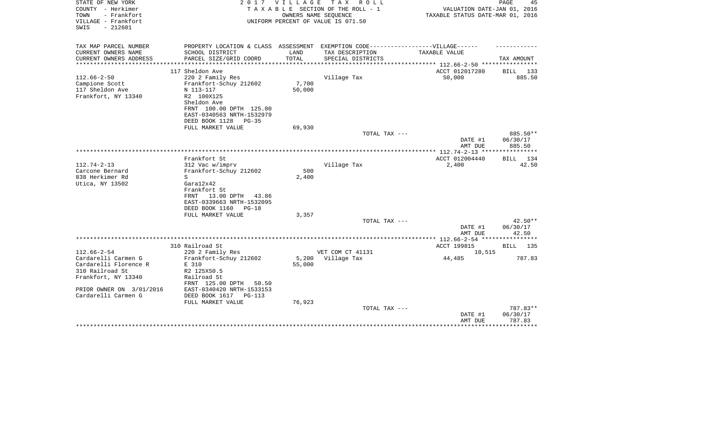| STATE OF NEW YORK<br>COUNTY - Herkimer<br>- Frankfort<br>TOWN<br>VILLAGE - Frankfort<br>$-212601$<br>SWIS | 2017                                                                                                 | VILLAGE | TAX ROLL<br>TAXABLE SECTION OF THE ROLL - 1<br>OWNERS NAME SEOUENCE<br>UNIFORM PERCENT OF VALUE IS 071.50 | VALUATION DATE-JAN 01, 2016<br>TAXABLE STATUS DATE-MAR 01, 2016 | PAGE<br>45         |
|-----------------------------------------------------------------------------------------------------------|------------------------------------------------------------------------------------------------------|---------|-----------------------------------------------------------------------------------------------------------|-----------------------------------------------------------------|--------------------|
| TAX MAP PARCEL NUMBER<br>CURRENT OWNERS NAME                                                              | PROPERTY LOCATION & CLASS ASSESSMENT EXEMPTION CODE-----------------VILLAGE------<br>SCHOOL DISTRICT | LAND    | TAX DESCRIPTION                                                                                           | TAXABLE VALUE                                                   |                    |
| CURRENT OWNERS ADDRESS                                                                                    | PARCEL SIZE/GRID COORD                                                                               | TOTAL   | SPECIAL DISTRICTS                                                                                         |                                                                 | TAX AMOUNT         |
|                                                                                                           |                                                                                                      |         |                                                                                                           | ********* 112.66-2-50 ***********                               |                    |
|                                                                                                           | 117 Sheldon Ave                                                                                      |         |                                                                                                           | ACCT 012017280                                                  | BILL 133           |
| $112.66 - 2 - 50$                                                                                         | 220 2 Family Res                                                                                     |         | Village Tax                                                                                               | 50,000                                                          | 885.50             |
| Campione Scott                                                                                            | Frankfort-Schuy 212602                                                                               | 7,700   |                                                                                                           |                                                                 |                    |
| 117 Sheldon Ave                                                                                           | N 113-117<br>R2 100X125                                                                              | 50,000  |                                                                                                           |                                                                 |                    |
| Frankfort, NY 13340                                                                                       | Sheldon Ave                                                                                          |         |                                                                                                           |                                                                 |                    |
|                                                                                                           | FRNT 100.00 DPTH 125.00                                                                              |         |                                                                                                           |                                                                 |                    |
|                                                                                                           | EAST-0340563 NRTH-1532979                                                                            |         |                                                                                                           |                                                                 |                    |
|                                                                                                           | DEED BOOK 1128<br>$PG-35$                                                                            |         |                                                                                                           |                                                                 |                    |
|                                                                                                           | FULL MARKET VALUE                                                                                    | 69,930  |                                                                                                           |                                                                 |                    |
|                                                                                                           |                                                                                                      |         | TOTAL TAX ---                                                                                             |                                                                 | 885.50**           |
|                                                                                                           |                                                                                                      |         |                                                                                                           | DATE #1<br>AMT DUE                                              | 06/30/17<br>885.50 |
|                                                                                                           |                                                                                                      |         |                                                                                                           |                                                                 |                    |
|                                                                                                           | Frankfort St                                                                                         |         |                                                                                                           | ACCT 012004440                                                  | BILL 134           |
| $112.74 - 2 - 13$                                                                                         | 312 Vac w/imprv                                                                                      |         | Village Tax                                                                                               | 2,400                                                           | 42.50              |
| Carcone Bernard                                                                                           | Frankfort-Schuy 212602                                                                               | 500     |                                                                                                           |                                                                 |                    |
| 838 Herkimer Rd<br>Utica, NY 13502                                                                        | S<br>Gara12x42                                                                                       | 2,400   |                                                                                                           |                                                                 |                    |
|                                                                                                           | Frankfort St                                                                                         |         |                                                                                                           |                                                                 |                    |
|                                                                                                           | 13.00 DPTH<br>FRNT<br>43.86                                                                          |         |                                                                                                           |                                                                 |                    |
|                                                                                                           | EAST-0339663 NRTH-1532095                                                                            |         |                                                                                                           |                                                                 |                    |
|                                                                                                           | DEED BOOK 1160<br>$PG-18$                                                                            |         |                                                                                                           |                                                                 |                    |
|                                                                                                           | FULL MARKET VALUE                                                                                    | 3,357   |                                                                                                           |                                                                 |                    |
|                                                                                                           |                                                                                                      |         | TOTAL TAX ---                                                                                             |                                                                 | $42.50**$          |
|                                                                                                           |                                                                                                      |         |                                                                                                           | DATE #1                                                         | 06/30/17           |
|                                                                                                           |                                                                                                      |         |                                                                                                           | AMT DUE                                                         | 42.50              |
|                                                                                                           |                                                                                                      |         |                                                                                                           | *********** 112.66-2-54 ****                                    |                    |
| $112.66 - 2 - 54$                                                                                         | 310 Railroad St                                                                                      |         | VET COM CT 41131                                                                                          | ACCT 199815                                                     | BILL<br>135        |
| Cardarelli Carmen G                                                                                       | 220 2 Family Res<br>Frankfort-Schuy 212602                                                           | 5,200   | Village Tax                                                                                               | 10,515<br>44,485                                                | 787.83             |
| Cardarelli Florence R                                                                                     | E 310                                                                                                | 55,000  |                                                                                                           |                                                                 |                    |
| 310 Railroad St                                                                                           | R2 125X50.5                                                                                          |         |                                                                                                           |                                                                 |                    |
| Frankfort, NY 13340                                                                                       | Railroad St                                                                                          |         |                                                                                                           |                                                                 |                    |
|                                                                                                           | FRNT 125.00 DPTH<br>50.50                                                                            |         |                                                                                                           |                                                                 |                    |
| PRIOR OWNER ON 3/01/2016                                                                                  | EAST-0340420 NRTH-1533153                                                                            |         |                                                                                                           |                                                                 |                    |
| Cardarelli Carmen G                                                                                       | DEED BOOK 1617<br>$PG-113$                                                                           |         |                                                                                                           |                                                                 |                    |
|                                                                                                           | FULL MARKET VALUE                                                                                    | 76,923  |                                                                                                           |                                                                 |                    |
|                                                                                                           |                                                                                                      |         | TOTAL TAX ---                                                                                             |                                                                 | 787.83**           |
|                                                                                                           |                                                                                                      |         |                                                                                                           | DATE #1<br>AMT DUE                                              | 06/30/17<br>787.83 |
|                                                                                                           |                                                                                                      |         |                                                                                                           |                                                                 | * * * * * * * * *  |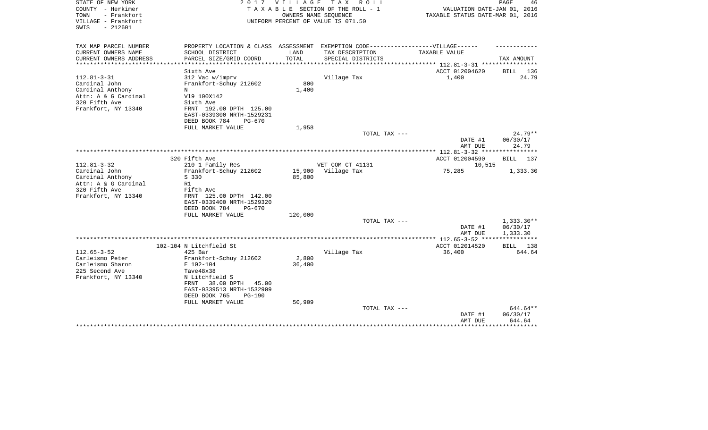| STATE OF NEW YORK<br>COUNTY - Herkimer<br>TOWN<br>- Frankfort<br>VILLAGE - Frankfort<br>$-212601$<br>SWIS | 2017                                                                              | <b>VILLAGE</b> | T A X<br>R O L L<br>TAXABLE SECTION OF THE ROLL - 1<br>OWNERS NAME SEQUENCE<br>UNIFORM PERCENT OF VALUE IS 071.50 | VALUATION DATE-JAN 01, 2016<br>TAXABLE STATUS DATE-MAR 01, 2016  | PAGE<br>46                          |
|-----------------------------------------------------------------------------------------------------------|-----------------------------------------------------------------------------------|----------------|-------------------------------------------------------------------------------------------------------------------|------------------------------------------------------------------|-------------------------------------|
| TAX MAP PARCEL NUMBER                                                                                     | PROPERTY LOCATION & CLASS ASSESSMENT EXEMPTION CODE-----------------VILLAGE------ |                |                                                                                                                   |                                                                  |                                     |
| CURRENT OWNERS NAME                                                                                       | SCHOOL DISTRICT                                                                   | LAND           | TAX DESCRIPTION                                                                                                   | TAXABLE VALUE                                                    |                                     |
| CURRENT OWNERS ADDRESS<br>*********************                                                           | PARCEL SIZE/GRID COORD                                                            | TOTAL          | SPECIAL DISTRICTS                                                                                                 | ************************** 112.81-3-31 ****************          | TAX AMOUNT                          |
|                                                                                                           | Sixth Ave                                                                         |                |                                                                                                                   | ACCT 012004620                                                   | BILL 136                            |
| $112.81 - 3 - 31$                                                                                         | 312 Vac w/imprv                                                                   |                | Village Tax                                                                                                       | 1,400                                                            | 24.79                               |
| Cardinal John                                                                                             | Frankfort-Schuy 212602                                                            | 800            |                                                                                                                   |                                                                  |                                     |
| Cardinal Anthony                                                                                          | N                                                                                 | 1,400          |                                                                                                                   |                                                                  |                                     |
| Attn: A & G Cardinal                                                                                      | V19 100X142                                                                       |                |                                                                                                                   |                                                                  |                                     |
| 320 Fifth Ave                                                                                             | Sixth Ave                                                                         |                |                                                                                                                   |                                                                  |                                     |
| Frankfort, NY 13340                                                                                       | FRNT 192.00 DPTH 125.00                                                           |                |                                                                                                                   |                                                                  |                                     |
|                                                                                                           | EAST-0339300 NRTH-1529231                                                         |                |                                                                                                                   |                                                                  |                                     |
|                                                                                                           | DEED BOOK 784<br>PG-670                                                           |                |                                                                                                                   |                                                                  |                                     |
|                                                                                                           | FULL MARKET VALUE                                                                 | 1,958          |                                                                                                                   |                                                                  |                                     |
|                                                                                                           |                                                                                   |                | TOTAL TAX ---                                                                                                     |                                                                  | $24.79**$                           |
|                                                                                                           |                                                                                   |                |                                                                                                                   | DATE #1                                                          | 06/30/17                            |
|                                                                                                           |                                                                                   |                |                                                                                                                   | AMT DUE                                                          | 24.79                               |
|                                                                                                           | 320 Fifth Ave                                                                     |                |                                                                                                                   | **************** 112.81-3-32 *****************<br>ACCT 012004590 |                                     |
| $112.81 - 3 - 32$                                                                                         | 210 1 Family Res                                                                  |                | VET COM CT 41131                                                                                                  | 10,515                                                           | BILL 137                            |
| Cardinal John                                                                                             | Frankfort-Schuy 212602                                                            | 15,900         | Village Tax                                                                                                       | 75,285                                                           | 1,333.30                            |
| Cardinal Anthony                                                                                          | S 330                                                                             | 85,800         |                                                                                                                   |                                                                  |                                     |
| Attn: A & G Cardinal                                                                                      | R1                                                                                |                |                                                                                                                   |                                                                  |                                     |
| 320 Fifth Ave                                                                                             | Fifth Ave                                                                         |                |                                                                                                                   |                                                                  |                                     |
| Frankfort, NY 13340                                                                                       | FRNT 125.00 DPTH 142.00                                                           |                |                                                                                                                   |                                                                  |                                     |
|                                                                                                           | EAST-0339400 NRTH-1529320                                                         |                |                                                                                                                   |                                                                  |                                     |
|                                                                                                           | DEED BOOK 784<br>$PG-670$                                                         |                |                                                                                                                   |                                                                  |                                     |
|                                                                                                           | FULL MARKET VALUE                                                                 | 120,000        |                                                                                                                   |                                                                  |                                     |
|                                                                                                           |                                                                                   |                | TOTAL TAX ---                                                                                                     |                                                                  | $1,333.30**$                        |
|                                                                                                           |                                                                                   |                |                                                                                                                   | DATE #1                                                          | 06/30/17                            |
|                                                                                                           |                                                                                   |                |                                                                                                                   | AMT DUE                                                          | 1,333.30<br>* * * * * * * * * * * * |
|                                                                                                           |                                                                                   |                |                                                                                                                   | ACCT 012014520                                                   |                                     |
| $112.65 - 3 - 52$                                                                                         | 102-104 N Litchfield St<br>$425$ Bar                                              |                | Village Tax                                                                                                       | 36,400                                                           | BILL 138<br>644.64                  |
| Carleismo Peter                                                                                           | Frankfort-Schuy 212602                                                            | 2,800          |                                                                                                                   |                                                                  |                                     |
| Carleismo Sharon                                                                                          | E 102-104                                                                         | 36,400         |                                                                                                                   |                                                                  |                                     |
| 225 Second Ave                                                                                            | Tave48x38                                                                         |                |                                                                                                                   |                                                                  |                                     |
| Frankfort, NY 13340                                                                                       | N Litchfield S                                                                    |                |                                                                                                                   |                                                                  |                                     |
|                                                                                                           | 38.00 DPTH<br>45.00<br>FRNT                                                       |                |                                                                                                                   |                                                                  |                                     |
|                                                                                                           | EAST-0339513 NRTH-1532909                                                         |                |                                                                                                                   |                                                                  |                                     |
|                                                                                                           | DEED BOOK 765<br>$PG-190$                                                         |                |                                                                                                                   |                                                                  |                                     |
|                                                                                                           | FULL MARKET VALUE                                                                 | 50,909         |                                                                                                                   |                                                                  |                                     |
|                                                                                                           |                                                                                   |                | TOTAL TAX ---                                                                                                     |                                                                  | 644.64**                            |
|                                                                                                           |                                                                                   |                |                                                                                                                   | DATE #1                                                          | 06/30/17                            |
|                                                                                                           |                                                                                   |                |                                                                                                                   | AMT DUE                                                          | 644.64                              |
|                                                                                                           |                                                                                   |                |                                                                                                                   |                                                                  |                                     |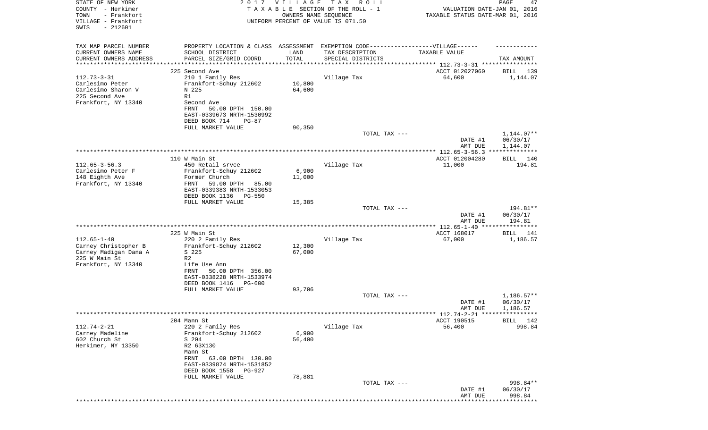| COUNTY - Herkimer                             |                                               |        |                                                                                  |                                                          |                             |
|-----------------------------------------------|-----------------------------------------------|--------|----------------------------------------------------------------------------------|----------------------------------------------------------|-----------------------------|
|                                               |                                               |        | TAXABLE SECTION OF THE ROLL - 1                                                  |                                                          | VALUATION DATE-JAN 01, 2016 |
| TOWN<br>- Frankfort                           |                                               |        | OWNERS NAME SEQUENCE                                                             | TAXABLE STATUS DATE-MAR 01, 2016                         |                             |
| VILLAGE - Frankfort<br>$-212601$<br>SWIS      |                                               |        | UNIFORM PERCENT OF VALUE IS 071.50                                               |                                                          |                             |
|                                               |                                               |        |                                                                                  |                                                          |                             |
|                                               |                                               |        |                                                                                  |                                                          |                             |
| TAX MAP PARCEL NUMBER                         |                                               |        | PROPERTY LOCATION & CLASS ASSESSMENT EXEMPTION CODE----------------VILLAGE------ |                                                          |                             |
| CURRENT OWNERS NAME                           | SCHOOL DISTRICT                               | LAND   | TAX DESCRIPTION                                                                  | TAXABLE VALUE                                            |                             |
| CURRENT OWNERS ADDRESS<br>******************* | PARCEL SIZE/GRID COORD                        | TOTAL  | SPECIAL DISTRICTS                                                                | *************************** 112.73-3-31 **************** | TAX AMOUNT                  |
|                                               | 225 Second Ave                                |        |                                                                                  | ACCT 012027060                                           | BILL<br>139                 |
| $112.73 - 3 - 31$                             | 210 1 Family Res                              |        | Village Tax                                                                      | 64,600                                                   | 1,144.07                    |
| Carlesimo Peter                               | Frankfort-Schuy 212602                        | 10,800 |                                                                                  |                                                          |                             |
| Carlesimo Sharon V                            | N 225                                         | 64,600 |                                                                                  |                                                          |                             |
| 225 Second Ave<br>R1                          |                                               |        |                                                                                  |                                                          |                             |
| Frankfort, NY 13340                           | Second Ave                                    |        |                                                                                  |                                                          |                             |
|                                               | FRNT<br>50.00 DPTH 150.00                     |        |                                                                                  |                                                          |                             |
|                                               | EAST-0339673 NRTH-1530992                     |        |                                                                                  |                                                          |                             |
|                                               | DEED BOOK 714<br>$PG-87$                      |        |                                                                                  |                                                          |                             |
|                                               | FULL MARKET VALUE                             | 90,350 |                                                                                  |                                                          |                             |
|                                               |                                               |        | TOTAL TAX ---                                                                    |                                                          | 1,144.07**                  |
|                                               |                                               |        |                                                                                  | DATE #1                                                  | 06/30/17                    |
|                                               |                                               |        |                                                                                  | AMT DUE                                                  | 1,144.07                    |
|                                               |                                               |        |                                                                                  |                                                          |                             |
|                                               | 110 W Main St                                 |        |                                                                                  | ACCT 012004280                                           | BILL 140                    |
| $112.65 - 3 - 56.3$                           | 450 Retail srvce                              |        | Village Tax                                                                      | 11,000                                                   | 194.81                      |
| Carlesimo Peter F                             | Frankfort-Schuy 212602                        | 6,900  |                                                                                  |                                                          |                             |
| 148 Eighth Ave<br>Frankfort, NY 13340         | Former Church<br>FRNT<br>59.00 DPTH           | 11,000 |                                                                                  |                                                          |                             |
|                                               | 85.00<br>EAST-0339383 NRTH-1533053            |        |                                                                                  |                                                          |                             |
|                                               | DEED BOOK 1136<br><b>PG-550</b>               |        |                                                                                  |                                                          |                             |
|                                               | FULL MARKET VALUE                             | 15,385 |                                                                                  |                                                          |                             |
|                                               |                                               |        | TOTAL TAX ---                                                                    |                                                          | 194.81**                    |
|                                               |                                               |        |                                                                                  | DATE #1                                                  | 06/30/17                    |
|                                               |                                               |        |                                                                                  | AMT DUE                                                  | 194.81                      |
|                                               |                                               |        |                                                                                  |                                                          |                             |
|                                               | 225 W Main St                                 |        |                                                                                  | ACCT 168017                                              | BILL 141                    |
| $112.65 - 1 - 40$                             | 220 2 Family Res                              |        | Village Tax                                                                      | 67,000                                                   | 1,186.57                    |
| Carney Christopher B                          | Frankfort-Schuy 212602                        | 12,300 |                                                                                  |                                                          |                             |
| Carney Madigan Dana A                         | S 225                                         | 67,000 |                                                                                  |                                                          |                             |
| 225 W Main St<br>R <sub>2</sub>               |                                               |        |                                                                                  |                                                          |                             |
| Frankfort, NY 13340                           | Life Use Ann                                  |        |                                                                                  |                                                          |                             |
|                                               | FRNT<br>50.00 DPTH 356.00                     |        |                                                                                  |                                                          |                             |
|                                               | EAST-0338228 NRTH-1533974                     |        |                                                                                  |                                                          |                             |
|                                               | DEED BOOK 1416<br>PG-600<br>FULL MARKET VALUE | 93,706 |                                                                                  |                                                          |                             |
|                                               |                                               |        | TOTAL TAX ---                                                                    |                                                          | $1,186.57**$                |
|                                               |                                               |        |                                                                                  | DATE #1                                                  | 06/30/17                    |
|                                               |                                               |        |                                                                                  | AMT DUE                                                  | 1,186.57                    |
|                                               |                                               |        |                                                                                  | ***** 112.74-2-21 *****************                      |                             |
| 204 Mann St                                   |                                               |        |                                                                                  | ACCT 190515                                              | BILL 142                    |
| $112.74 - 2 - 21$                             | 220 2 Family Res                              |        | Village Tax                                                                      | 56,400                                                   | 998.84                      |
| Carney Madeline                               | Frankfort-Schuy 212602                        | 6,900  |                                                                                  |                                                          |                             |
| 602 Church St                                 | S 204                                         | 56,400 |                                                                                  |                                                          |                             |
| Herkimer, NY 13350                            | R2 63X130                                     |        |                                                                                  |                                                          |                             |
|                                               | Mann St                                       |        |                                                                                  |                                                          |                             |
|                                               | FRNT<br>63.00 DPTH 130.00                     |        |                                                                                  |                                                          |                             |
|                                               | EAST-0339874 NRTH-1531852                     |        |                                                                                  |                                                          |                             |
|                                               | DEED BOOK 1558<br><b>PG-927</b>               |        |                                                                                  |                                                          |                             |
|                                               | FULL MARKET VALUE                             | 78,881 |                                                                                  |                                                          |                             |
|                                               |                                               |        | TOTAL TAX ---                                                                    |                                                          | 998.84**<br>06/30/17        |
|                                               |                                               |        |                                                                                  | DATE #1<br>AMT DUE                                       | 998.84                      |
|                                               |                                               |        |                                                                                  |                                                          |                             |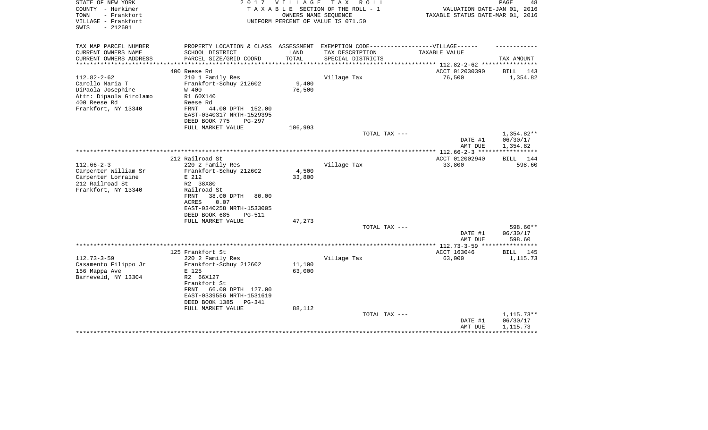| TAX MAP PARCEL NUMBER                                                                                                                                                                                                                              | PROPERTY LOCATION & CLASS ASSESSMENT                |                            | EXEMPTION CODE------------------VILLAGE------ |                                                    |                                      |
|----------------------------------------------------------------------------------------------------------------------------------------------------------------------------------------------------------------------------------------------------|-----------------------------------------------------|----------------------------|-----------------------------------------------|----------------------------------------------------|--------------------------------------|
| CURRENT OWNERS NAME<br>SCHOOL DISTRICT<br>CURRENT OWNERS ADDRESS<br>PARCEL SIZE/GRID COORD                                                                                                                                                         |                                                     | LAND<br>TOTAL              | TAX DESCRIPTION<br>SPECIAL DISTRICTS          | TAXABLE VALUE                                      | TAX AMOUNT                           |
| ********************                                                                                                                                                                                                                               |                                                     | ************               |                                               | ********************************* 112.82-2-62 **** |                                      |
| 400 Reese Rd<br>$112.82 - 2 - 62$<br>210 1 Family Res<br>Frankfort-Schuy 212602<br>Carollo Maria T<br>DiPaola Josephine<br>W 400<br>Attn: Dipaola Girolamo<br>R1 60X140<br>400 Reese Rd<br>Reese Rd<br>Frankfort, NY 13340<br>FRNT                 | 44.00 DPTH 152.00<br>EAST-0340317 NRTH-1529395      | 9,400<br>76,500            | Village Tax                                   | ACCT 012030390<br>76,500                           | <b>BILL</b><br>143<br>1,354.82       |
| DEED BOOK 775                                                                                                                                                                                                                                      | $PG-297$                                            |                            |                                               |                                                    |                                      |
| FULL MARKET VALUE                                                                                                                                                                                                                                  |                                                     | 106,993                    | TOTAL TAX ---                                 |                                                    | $1,354.82**$                         |
|                                                                                                                                                                                                                                                    |                                                     |                            |                                               | DATE #1<br>AMT DUE                                 | 06/30/17<br>1,354.82                 |
| 212 Railroad St                                                                                                                                                                                                                                    |                                                     |                            |                                               | ACCT 012002940                                     | 144                                  |
| $112.66 - 2 - 3$<br>220 2 Family Res<br>Carpenter William Sr<br>Frankfort-Schuy 212602<br>Carpenter Lorraine<br>E 212<br>212 Railroad St<br>R2 38X80<br>Frankfort, NY 13340<br>Railroad St<br>FRNT<br>38.00 DPTH<br>ACRES<br>0.07<br>DEED BOOK 685 | 80.00<br>EAST-0340258 NRTH-1533005<br><b>PG-511</b> | 4,500<br>33,800            | Village Tax                                   | 33,800                                             | BILL<br>598.60                       |
| FULL MARKET VALUE                                                                                                                                                                                                                                  |                                                     | 47,273                     |                                               |                                                    |                                      |
|                                                                                                                                                                                                                                                    |                                                     |                            | TOTAL TAX ---                                 | DATE #1<br>AMT DUE                                 | 598.60**<br>06/30/17<br>598.60       |
|                                                                                                                                                                                                                                                    |                                                     |                            |                                               |                                                    |                                      |
| 125 Frankfort St                                                                                                                                                                                                                                   |                                                     |                            |                                               | ACCT 163046                                        | <b>BILL</b><br>145                   |
| $112.73 - 3 - 59$<br>220 2 Family Res<br>Casamento Filippo Jr<br>Frankfort-Schuy 212602<br>156 Mappa Ave<br>E 125<br>Barneveld, NY 13304<br>R2 66X127<br>Frankfort St<br>FRNT<br>EAST-0339556 NRTH-1531619<br>DEED BOOK 1385<br>FULL MARKET VALUE  | 66.00 DPTH 127.00<br>PG-341                         | 11,100<br>63,000<br>88,112 | Village Tax                                   | 63,000                                             | 1,115.73                             |
|                                                                                                                                                                                                                                                    |                                                     |                            | TOTAL TAX ---                                 | DATE #1<br>AMT DUE                                 | $1,115.73**$<br>06/30/17<br>1,115.73 |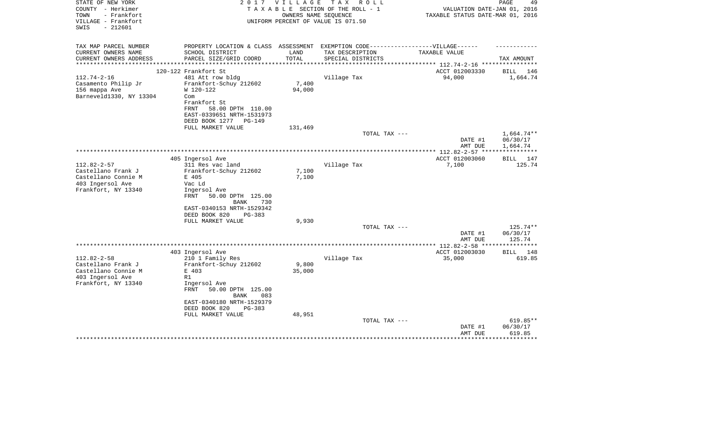| STATE OF NEW YORK<br>COUNTY - Herkimer<br>TOWN<br>- Frankfort<br>VILLAGE - Frankfort<br>SWIS<br>$-212601$ | 2017                                                                              | <b>VILLAGE</b> | T A X<br>R O L L<br>TAXABLE SECTION OF THE ROLL - 1<br>OWNERS NAME SEOUENCE<br>UNIFORM PERCENT OF VALUE IS 071.50 | VALUATION DATE-JAN 01, 2016<br>TAXABLE STATUS DATE-MAR 01, 2016 | PAGE<br>49                     |
|-----------------------------------------------------------------------------------------------------------|-----------------------------------------------------------------------------------|----------------|-------------------------------------------------------------------------------------------------------------------|-----------------------------------------------------------------|--------------------------------|
| TAX MAP PARCEL NUMBER                                                                                     | PROPERTY LOCATION & CLASS ASSESSMENT EXEMPTION CODE-----------------VILLAGE------ |                |                                                                                                                   |                                                                 |                                |
| CURRENT OWNERS NAME                                                                                       | SCHOOL DISTRICT                                                                   | LAND           | TAX DESCRIPTION                                                                                                   | TAXABLE VALUE                                                   |                                |
| CURRENT OWNERS ADDRESS<br>*********************                                                           | PARCEL SIZE/GRID COORD                                                            | TOTAL          | SPECIAL DISTRICTS                                                                                                 |                                                                 | TAX AMOUNT                     |
|                                                                                                           | 120-122 Frankfort St                                                              |                |                                                                                                                   | ACCT 012003330                                                  | BILL<br>146                    |
| $112.74 - 2 - 16$                                                                                         | 481 Att row bldg                                                                  |                | Village Tax                                                                                                       | 94,000                                                          | 1,664.74                       |
| Casamento Philip Jr                                                                                       | Frankfort-Schuy 212602                                                            | 7,400          |                                                                                                                   |                                                                 |                                |
| 156 mappa Ave                                                                                             | W 120-122                                                                         | 94,000         |                                                                                                                   |                                                                 |                                |
| Barneveld1330, NY 13304                                                                                   | Com                                                                               |                |                                                                                                                   |                                                                 |                                |
|                                                                                                           | Frankfort St                                                                      |                |                                                                                                                   |                                                                 |                                |
|                                                                                                           | 58.00 DPTH 110.00<br>FRNT                                                         |                |                                                                                                                   |                                                                 |                                |
|                                                                                                           | EAST-0339651 NRTH-1531973<br>DEED BOOK 1277 PG-149                                |                |                                                                                                                   |                                                                 |                                |
|                                                                                                           | FULL MARKET VALUE                                                                 | 131,469        |                                                                                                                   |                                                                 |                                |
|                                                                                                           |                                                                                   |                | TOTAL TAX ---                                                                                                     |                                                                 | $1,664.74**$                   |
|                                                                                                           |                                                                                   |                |                                                                                                                   | DATE #1                                                         | 06/30/17                       |
|                                                                                                           |                                                                                   |                |                                                                                                                   | AMT DUE                                                         | 1,664.74                       |
|                                                                                                           |                                                                                   |                |                                                                                                                   |                                                                 | ************                   |
|                                                                                                           | 405 Ingersol Ave                                                                  |                |                                                                                                                   | ACCT 012003060                                                  | 147<br>BILL                    |
| $112.82 - 2 - 57$                                                                                         | 311 Res vac land                                                                  |                | Village Tax                                                                                                       | 7,100                                                           | 125.74                         |
| Castellano Frank J                                                                                        | Frankfort-Schuy 212602                                                            | 7,100          |                                                                                                                   |                                                                 |                                |
| Castellano Connie M<br>403 Ingersol Ave                                                                   | E 405<br>Vac Ld                                                                   | 7,100          |                                                                                                                   |                                                                 |                                |
| Frankfort, NY 13340                                                                                       | Ingersol Ave                                                                      |                |                                                                                                                   |                                                                 |                                |
|                                                                                                           | 50.00 DPTH 125.00<br>FRNT<br>730<br>BANK                                          |                |                                                                                                                   |                                                                 |                                |
|                                                                                                           | EAST-0340153 NRTH-1529342                                                         |                |                                                                                                                   |                                                                 |                                |
|                                                                                                           | DEED BOOK 820<br>$PG-383$                                                         |                |                                                                                                                   |                                                                 |                                |
|                                                                                                           | FULL MARKET VALUE                                                                 | 9,930          |                                                                                                                   |                                                                 |                                |
|                                                                                                           |                                                                                   |                | TOTAL TAX ---                                                                                                     |                                                                 | 125.74**                       |
|                                                                                                           |                                                                                   |                |                                                                                                                   | DATE #1<br>AMT DUE                                              | 06/30/17<br>125.74             |
|                                                                                                           |                                                                                   |                |                                                                                                                   | ****** 112.82-2-58 **                                           | * * * * * * * * *              |
| $112.82 - 2 - 58$                                                                                         | 403 Ingersol Ave<br>210 1 Family Res                                              |                | Village Tax                                                                                                       | ACCT 012003030<br>35,000                                        | BILL 148<br>619.85             |
| Castellano Frank J                                                                                        | Frankfort-Schuy 212602                                                            | 9,800          |                                                                                                                   |                                                                 |                                |
| Castellano Connie M                                                                                       | E 403                                                                             | 35,000         |                                                                                                                   |                                                                 |                                |
| 403 Ingersol Ave                                                                                          | R1                                                                                |                |                                                                                                                   |                                                                 |                                |
| Frankfort, NY 13340                                                                                       | Ingersol Ave                                                                      |                |                                                                                                                   |                                                                 |                                |
|                                                                                                           | <b>FRNT</b><br>50.00 DPTH 125.00<br><b>BANK</b><br>083                            |                |                                                                                                                   |                                                                 |                                |
|                                                                                                           | EAST-0340180 NRTH-1529379                                                         |                |                                                                                                                   |                                                                 |                                |
|                                                                                                           | DEED BOOK 820<br>PG-383                                                           |                |                                                                                                                   |                                                                 |                                |
|                                                                                                           | FULL MARKET VALUE                                                                 | 48,951         |                                                                                                                   |                                                                 |                                |
|                                                                                                           |                                                                                   |                | TOTAL TAX ---                                                                                                     | DATE #1<br>AMT DUE                                              | 619.85**<br>06/30/17<br>619.85 |
|                                                                                                           |                                                                                   |                |                                                                                                                   |                                                                 |                                |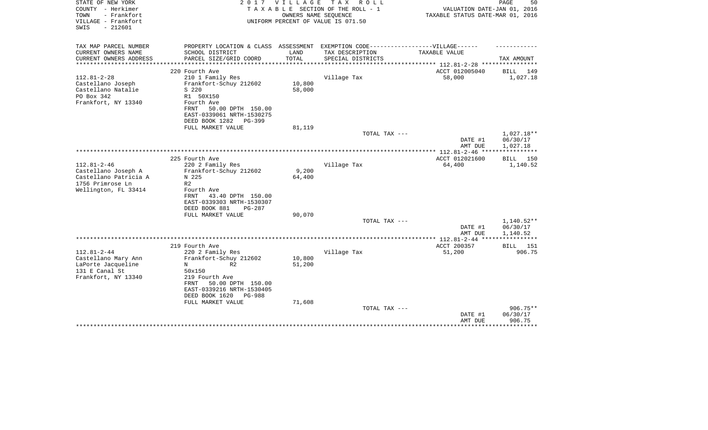| TAX MAP PARCEL NUMBER<br>PROPERTY LOCATION & CLASS ASSESSMENT EXEMPTION CODE-----------------VILLAGE------     |                          |
|----------------------------------------------------------------------------------------------------------------|--------------------------|
|                                                                                                                |                          |
| CURRENT OWNERS NAME<br>SCHOOL DISTRICT<br>LAND<br>TAX DESCRIPTION<br>TAXABLE VALUE                             |                          |
| PARCEL SIZE/GRID COORD<br>TOTAL<br>CURRENT OWNERS ADDRESS<br>SPECIAL DISTRICTS<br>**********************       | TAX AMOUNT               |
| ACCT 012005040<br>220 Fourth Ave                                                                               | BILL<br>149              |
| $112.81 - 2 - 28$<br>58,000<br>210 1 Family Res<br>Village Tax                                                 | 1,027.18                 |
| Castellano Joseph<br>Frankfort-Schuy 212602<br>10,800                                                          |                          |
| Castellano Natalie<br>S 220<br>58,000                                                                          |                          |
| PO Box 342<br>R1 50X150<br>Frankfort, NY 13340<br>Fourth Ave                                                   |                          |
| 50.00 DPTH 150.00<br>FRNT                                                                                      |                          |
| EAST-0339061 NRTH-1530275                                                                                      |                          |
| DEED BOOK 1282<br>$PG-399$                                                                                     |                          |
| FULL MARKET VALUE<br>81,119                                                                                    |                          |
| TOTAL TAX ---                                                                                                  | $1,027.18**$             |
| DATE #1<br>AMT DUE                                                                                             | 06/30/17<br>1,027.18     |
|                                                                                                                |                          |
| ACCT 012021600<br>225 Fourth Ave                                                                               | 150<br>BILL              |
| $112.81 - 2 - 46$<br>220 2 Family Res<br>Village Tax<br>64,400                                                 | 1,140.52                 |
| Castellano Joseph A<br>Frankfort-Schuy 212602<br>9,200                                                         |                          |
| Castellano Patricia A<br>N 225<br>64,400<br>1756 Primrose Ln<br>R <sub>2</sub>                                 |                          |
| Wellington, FL 33414<br>Fourth Ave                                                                             |                          |
| 43.40 DPTH 150.00<br>FRNT                                                                                      |                          |
| EAST-0339303 NRTH-1530307                                                                                      |                          |
| DEED BOOK 881<br>PG-287                                                                                        |                          |
| FULL MARKET VALUE<br>90,070                                                                                    |                          |
| TOTAL TAX ---<br>DATE #1                                                                                       | $1,140.52**$<br>06/30/17 |
| AMT DUE                                                                                                        | 1,140.52                 |
|                                                                                                                | ***********              |
| ACCT 200357<br>219 Fourth Ave                                                                                  | 151<br>BILL              |
| $112.81 - 2 - 44$<br>220 2 Family Res<br>Village Tax<br>51,200                                                 | 906.75                   |
| Castellano Mary Ann<br>Frankfort-Schuy 212602<br>10,800<br>LaPorte Jacqueline<br>51,200<br>R <sub>2</sub><br>N |                          |
| 131 E Canal St<br>50x150                                                                                       |                          |
| Frankfort, NY 13340<br>219 Fourth Ave                                                                          |                          |
| FRNT<br>50.00 DPTH 150.00                                                                                      |                          |
| EAST-0339216 NRTH-1530405                                                                                      |                          |
| DEED BOOK 1620<br>PG-988                                                                                       |                          |
| FULL MARKET VALUE<br>71,608<br>TOTAL TAX ---                                                                   | $906.75**$               |
| DATE #1                                                                                                        | 06/30/17                 |
| AMT DUE                                                                                                        | 906.75                   |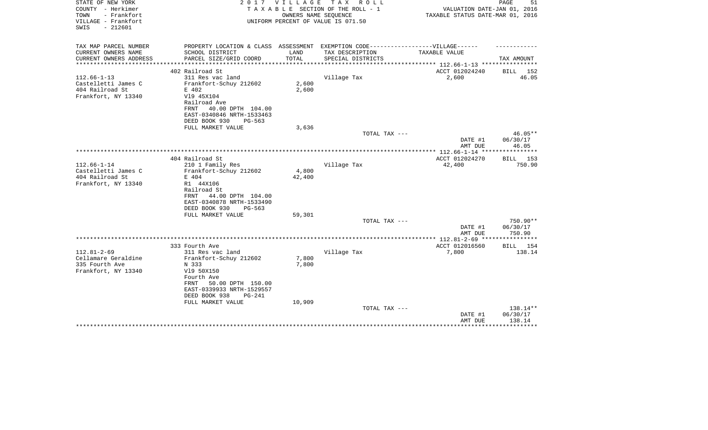| STATE OF NEW YORK<br>COUNTY - Herkimer<br>TOWN<br>- Frankfort | 2017                                                                              | V I L L A G E           | TAX ROLL<br>TAXABLE SECTION OF THE ROLL - 1<br>OWNERS NAME SEQUENCE | VALUATION DATE-JAN 01, 2016<br>TAXABLE STATUS DATE-MAR 01, 2016 | PAGE<br>51                       |
|---------------------------------------------------------------|-----------------------------------------------------------------------------------|-------------------------|---------------------------------------------------------------------|-----------------------------------------------------------------|----------------------------------|
| VILLAGE - Frankfort<br>$-212601$<br>SWIS                      |                                                                                   |                         | UNIFORM PERCENT OF VALUE IS 071.50                                  |                                                                 |                                  |
| TAX MAP PARCEL NUMBER                                         | PROPERTY LOCATION & CLASS ASSESSMENT EXEMPTION CODE-----------------VILLAGE------ |                         |                                                                     |                                                                 |                                  |
| CURRENT OWNERS NAME                                           | SCHOOL DISTRICT                                                                   | LAND                    | TAX DESCRIPTION                                                     | TAXABLE VALUE                                                   |                                  |
| CURRENT OWNERS ADDRESS<br>********************                | PARCEL SIZE/GRID COORD<br>****************************                            | TOTAL<br>************** | SPECIAL DISTRICTS                                                   | ***************** 112.66-1-13 *****************                 | TAX AMOUNT                       |
|                                                               | 402 Railroad St                                                                   |                         |                                                                     | ACCT 012024240                                                  | BILL 152                         |
| $112.66 - 1 - 13$                                             | 311 Res vac land                                                                  |                         | Village Tax                                                         | 2,600                                                           | 46.05                            |
| Castelletti James C                                           | Frankfort-Schuy 212602                                                            | 2,600                   |                                                                     |                                                                 |                                  |
| 404 Railroad St                                               | E 402                                                                             | 2,600                   |                                                                     |                                                                 |                                  |
| Frankfort, NY 13340                                           | V19 45X104                                                                        |                         |                                                                     |                                                                 |                                  |
|                                                               | Railroad Ave                                                                      |                         |                                                                     |                                                                 |                                  |
|                                                               | 40.00 DPTH 104.00<br>FRNT                                                         |                         |                                                                     |                                                                 |                                  |
|                                                               | EAST-0340846 NRTH-1533463                                                         |                         |                                                                     |                                                                 |                                  |
|                                                               | DEED BOOK 930<br>PG-563                                                           |                         |                                                                     |                                                                 |                                  |
|                                                               | FULL MARKET VALUE                                                                 | 3,636                   |                                                                     |                                                                 |                                  |
|                                                               |                                                                                   |                         | TOTAL TAX ---                                                       |                                                                 | $46.05**$                        |
|                                                               |                                                                                   |                         |                                                                     | DATE #1                                                         | 06/30/17                         |
|                                                               |                                                                                   |                         |                                                                     | AMT DUE<br>*************** 112.66-1-14 ****                     | 46.05<br>* * * * * * * * * * * * |
|                                                               | 404 Railroad St                                                                   |                         |                                                                     | ACCT 012024270                                                  | <b>BILL</b> 153                  |
| $112.66 - 1 - 14$                                             | 210 1 Family Res                                                                  |                         | Village Tax                                                         | 42,400                                                          | 750.90                           |
| Castelletti James C                                           | Frankfort-Schuy 212602                                                            | 4,800                   |                                                                     |                                                                 |                                  |
| 404 Railroad St                                               | E 404                                                                             | 42,400                  |                                                                     |                                                                 |                                  |
| Frankfort, NY 13340                                           | R1 44X106                                                                         |                         |                                                                     |                                                                 |                                  |
|                                                               | Railroad St                                                                       |                         |                                                                     |                                                                 |                                  |
|                                                               | 44.00 DPTH 104.00<br>FRNT                                                         |                         |                                                                     |                                                                 |                                  |
|                                                               | EAST-0340878 NRTH-1533490                                                         |                         |                                                                     |                                                                 |                                  |
|                                                               | DEED BOOK 930<br>$PG-563$                                                         |                         |                                                                     |                                                                 |                                  |
|                                                               | FULL MARKET VALUE                                                                 | 59,301                  |                                                                     |                                                                 |                                  |
|                                                               |                                                                                   |                         | TOTAL TAX ---                                                       |                                                                 | 750.90**                         |
|                                                               |                                                                                   |                         |                                                                     | DATE #1                                                         | 06/30/17                         |
|                                                               |                                                                                   |                         |                                                                     | AMT DUE                                                         | 750.90                           |
|                                                               | 333 Fourth Ave                                                                    |                         |                                                                     | ACCT 012016560                                                  | BILL 154                         |
| $112.81 - 2 - 69$                                             | 311 Res vac land                                                                  |                         | Village Tax                                                         | 7,800                                                           | 138.14                           |
| Cellamare Geraldine                                           | Frankfort-Schuy 212602                                                            | 7,800                   |                                                                     |                                                                 |                                  |
| 335 Fourth Ave                                                | N 333                                                                             | 7,800                   |                                                                     |                                                                 |                                  |
| Frankfort, NY 13340                                           | V19 50X150                                                                        |                         |                                                                     |                                                                 |                                  |
|                                                               | Fourth Ave                                                                        |                         |                                                                     |                                                                 |                                  |
|                                                               | 50.00 DPTH 150.00<br>FRNT                                                         |                         |                                                                     |                                                                 |                                  |
|                                                               | EAST-0339933 NRTH-1529557                                                         |                         |                                                                     |                                                                 |                                  |
|                                                               | DEED BOOK 938<br>$PG-241$                                                         |                         |                                                                     |                                                                 |                                  |
|                                                               | FULL MARKET VALUE                                                                 | 10,909                  |                                                                     |                                                                 |                                  |
|                                                               |                                                                                   |                         |                                                                     |                                                                 |                                  |
|                                                               |                                                                                   |                         |                                                                     |                                                                 |                                  |
|                                                               |                                                                                   |                         |                                                                     |                                                                 | * * * * * * * * *                |
|                                                               |                                                                                   |                         | TOTAL TAX ---                                                       | DATE #1<br>AMT DUE                                              | 138.14**<br>06/30/17<br>138.14   |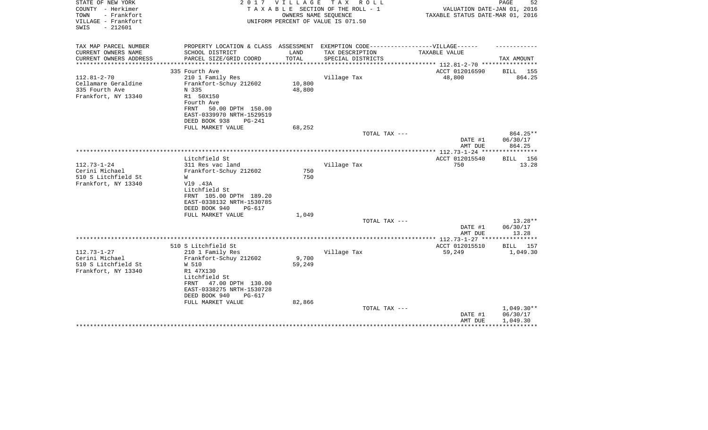| STATE OF NEW YORK<br>COUNTY - Herkimer<br>TOWN<br>- Frankfort | 2 0 1 7                                                                           | V I L L A G E        | T A X<br>R O L L<br>TAXABLE SECTION OF THE ROLL - 1<br>OWNERS NAME SEQUENCE | VALUATION DATE-JAN 01, 2016<br>TAXABLE STATUS DATE-MAR 01, 2016 | PAGE<br>52               |
|---------------------------------------------------------------|-----------------------------------------------------------------------------------|----------------------|-----------------------------------------------------------------------------|-----------------------------------------------------------------|--------------------------|
| VILLAGE - Frankfort<br>$-212601$<br>SWIS                      |                                                                                   |                      | UNIFORM PERCENT OF VALUE IS 071.50                                          |                                                                 |                          |
| TAX MAP PARCEL NUMBER                                         | PROPERTY LOCATION & CLASS ASSESSMENT EXEMPTION CODE-----------------VILLAGE------ |                      |                                                                             |                                                                 |                          |
| CURRENT OWNERS NAME                                           | SCHOOL DISTRICT                                                                   | LAND                 | TAX DESCRIPTION                                                             | TAXABLE VALUE                                                   |                          |
| CURRENT OWNERS ADDRESS                                        | PARCEL SIZE/GRID COORD<br>**************                                          | TOTAL<br>*********** | SPECIAL DISTRICTS                                                           | .***************** 112.81-2-70 *****************                | TAX AMOUNT               |
|                                                               | 335 Fourth Ave                                                                    |                      |                                                                             | ACCT 012016590                                                  | BILL 155                 |
| $112.81 - 2 - 70$                                             | 210 1 Family Res                                                                  |                      | Village Tax                                                                 | 48,800                                                          | 864.25                   |
| Cellamare Geraldine                                           | Frankfort-Schuy 212602                                                            | 10,800               |                                                                             |                                                                 |                          |
| 335 Fourth Ave                                                | N 335                                                                             | 48,800               |                                                                             |                                                                 |                          |
| Frankfort, NY 13340                                           | R1 50X150                                                                         |                      |                                                                             |                                                                 |                          |
|                                                               | Fourth Ave                                                                        |                      |                                                                             |                                                                 |                          |
|                                                               | 50.00 DPTH 150.00<br>FRNT                                                         |                      |                                                                             |                                                                 |                          |
|                                                               | EAST-0339970 NRTH-1529519                                                         |                      |                                                                             |                                                                 |                          |
|                                                               | DEED BOOK 938<br>$PG-241$<br>FULL MARKET VALUE                                    | 68,252               |                                                                             |                                                                 |                          |
|                                                               |                                                                                   |                      | TOTAL TAX ---                                                               |                                                                 | 864.25**                 |
|                                                               |                                                                                   |                      |                                                                             | DATE #1                                                         | 06/30/17                 |
|                                                               |                                                                                   |                      |                                                                             | AMT DUE                                                         | 864.25                   |
|                                                               |                                                                                   |                      |                                                                             |                                                                 |                          |
| $112.73 - 1 - 24$                                             | Litchfield St<br>311 Res vac land                                                 |                      | Village Tax                                                                 | ACCT 012015540<br>750                                           | <b>BILL</b> 156<br>13.28 |
| Cerini Michael                                                | Frankfort-Schuy 212602                                                            | 750                  |                                                                             |                                                                 |                          |
| 510 S Litchfield St                                           | W                                                                                 | 750                  |                                                                             |                                                                 |                          |
| Frankfort, NY 13340                                           | V19 .43A                                                                          |                      |                                                                             |                                                                 |                          |
|                                                               | Litchfield St                                                                     |                      |                                                                             |                                                                 |                          |
|                                                               | FRNT 105.00 DPTH 189.20                                                           |                      |                                                                             |                                                                 |                          |
|                                                               | EAST-0338132 NRTH-1530785                                                         |                      |                                                                             |                                                                 |                          |
|                                                               | DEED BOOK 940<br>PG-617                                                           |                      |                                                                             |                                                                 |                          |
|                                                               | FULL MARKET VALUE                                                                 | 1,049                |                                                                             |                                                                 |                          |
|                                                               |                                                                                   |                      | TOTAL TAX ---                                                               |                                                                 | 13.28**                  |
|                                                               |                                                                                   |                      |                                                                             | DATE #1<br>AMT DUE                                              | 06/30/17<br>13.28        |
|                                                               |                                                                                   |                      |                                                                             |                                                                 |                          |
|                                                               | 510 S Litchfield St                                                               |                      |                                                                             | ACCT 012015510                                                  | BILL 157                 |
| $112.73 - 1 - 27$                                             | 210 1 Family Res                                                                  |                      | Village Tax                                                                 | 59,249                                                          | 1,049.30                 |
| Cerini Michael                                                | Frankfort-Schuy 212602                                                            | 9,700                |                                                                             |                                                                 |                          |
| 510 S Litchfield St                                           | W 510                                                                             | 59,249               |                                                                             |                                                                 |                          |
| Frankfort, NY 13340                                           | R1 47X130                                                                         |                      |                                                                             |                                                                 |                          |
|                                                               | Litchfield St                                                                     |                      |                                                                             |                                                                 |                          |
|                                                               | 47.00 DPTH 130.00<br>FRNT                                                         |                      |                                                                             |                                                                 |                          |
|                                                               | EAST-0338275 NRTH-1530728                                                         |                      |                                                                             |                                                                 |                          |
|                                                               | DEED BOOK 940<br>PG-617<br>FULL MARKET VALUE                                      | 82,866               |                                                                             |                                                                 |                          |
|                                                               |                                                                                   |                      | TOTAL TAX ---                                                               |                                                                 | $1,049.30**$             |
|                                                               |                                                                                   |                      |                                                                             | DATE #1                                                         | 06/30/17                 |
|                                                               |                                                                                   |                      |                                                                             | AMT DUE                                                         | 1,049.30                 |
|                                                               |                                                                                   |                      |                                                                             |                                                                 |                          |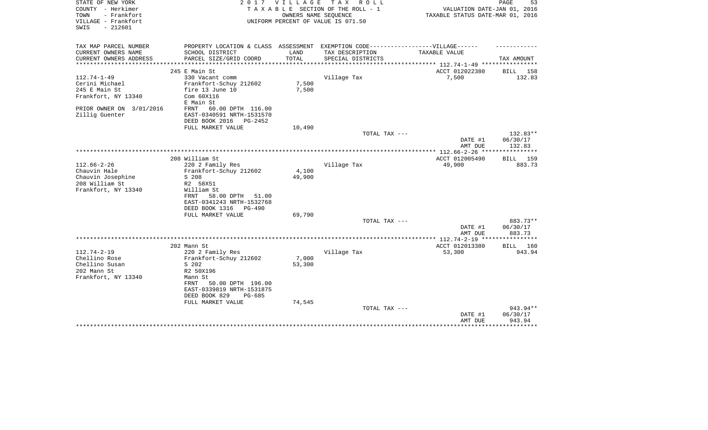| STATE OF NEW YORK<br>COUNTY - Herkimer<br>TOWN<br>- Frankfort<br>VILLAGE - Frankfort<br>$-212601$<br>SWIS | 2017                                                                              | VILLAGE | T A X<br>R O L L<br>TAXABLE SECTION OF THE ROLL - 1<br>OWNERS NAME SEQUENCE<br>UNIFORM PERCENT OF VALUE IS 071.50 | VALUATION DATE-JAN 01, 2016<br>TAXABLE STATUS DATE-MAR 01, 2016 | PAGE<br>53  |
|-----------------------------------------------------------------------------------------------------------|-----------------------------------------------------------------------------------|---------|-------------------------------------------------------------------------------------------------------------------|-----------------------------------------------------------------|-------------|
| TAX MAP PARCEL NUMBER                                                                                     | PROPERTY LOCATION & CLASS ASSESSMENT EXEMPTION CODE-----------------VILLAGE------ |         |                                                                                                                   |                                                                 |             |
| CURRENT OWNERS NAME                                                                                       | SCHOOL DISTRICT                                                                   | LAND    | TAX DESCRIPTION                                                                                                   | TAXABLE VALUE                                                   |             |
| CURRENT OWNERS ADDRESS<br>**********************                                                          | PARCEL SIZE/GRID COORD                                                            | TOTAL   | SPECIAL DISTRICTS                                                                                                 |                                                                 | TAX AMOUNT  |
|                                                                                                           | 245 E Main St                                                                     |         |                                                                                                                   | ACCT 012022380                                                  | 158<br>BILL |
| $112.74 - 1 - 49$                                                                                         | 330 Vacant comm                                                                   |         | Village Tax                                                                                                       | 7,500                                                           | 132.83      |
| Cerini Michael                                                                                            | Frankfort-Schuy 212602                                                            | 7,500   |                                                                                                                   |                                                                 |             |
| 245 E Main St                                                                                             | fire 13 June 10                                                                   | 7,500   |                                                                                                                   |                                                                 |             |
| Frankfort, NY 13340                                                                                       | Com 60X116                                                                        |         |                                                                                                                   |                                                                 |             |
|                                                                                                           | E Main St                                                                         |         |                                                                                                                   |                                                                 |             |
| PRIOR OWNER ON 3/01/2016                                                                                  | 60.00 DPTH 116.00<br>FRNT                                                         |         |                                                                                                                   |                                                                 |             |
| Zillig Guenter                                                                                            | EAST-0340591 NRTH-1531570                                                         |         |                                                                                                                   |                                                                 |             |
|                                                                                                           | DEED BOOK 2016<br>PG-2452                                                         |         |                                                                                                                   |                                                                 |             |
|                                                                                                           | FULL MARKET VALUE                                                                 | 10,490  | TOTAL TAX ---                                                                                                     |                                                                 | 132.83**    |
|                                                                                                           |                                                                                   |         |                                                                                                                   | DATE #1                                                         | 06/30/17    |
|                                                                                                           |                                                                                   |         |                                                                                                                   | AMT DUE                                                         | 132.83      |
|                                                                                                           |                                                                                   |         |                                                                                                                   |                                                                 |             |
|                                                                                                           | 208 William St                                                                    |         |                                                                                                                   | ACCT 012005490                                                  | 159<br>BILL |
| $112.66 - 2 - 26$                                                                                         | 220 2 Family Res                                                                  |         | Village Tax                                                                                                       | 49,900                                                          | 883.73      |
| Chauvin Hale                                                                                              | Frankfort-Schuy 212602                                                            | 4,100   |                                                                                                                   |                                                                 |             |
| Chauvin Josephine                                                                                         | S 208                                                                             | 49,900  |                                                                                                                   |                                                                 |             |
| 208 William St                                                                                            | R2 58X51                                                                          |         |                                                                                                                   |                                                                 |             |
| Frankfort, NY 13340                                                                                       | William St                                                                        |         |                                                                                                                   |                                                                 |             |
|                                                                                                           | 58.00 DPTH<br>FRNT<br>51.00<br>EAST-0341243 NRTH-1532768                          |         |                                                                                                                   |                                                                 |             |
|                                                                                                           | DEED BOOK 1316<br>$PG-490$                                                        |         |                                                                                                                   |                                                                 |             |
|                                                                                                           | FULL MARKET VALUE                                                                 | 69,790  |                                                                                                                   |                                                                 |             |
|                                                                                                           |                                                                                   |         | TOTAL TAX ---                                                                                                     |                                                                 | 883.73**    |
|                                                                                                           |                                                                                   |         |                                                                                                                   | DATE #1                                                         | 06/30/17    |
|                                                                                                           |                                                                                   |         |                                                                                                                   | AMT DUE                                                         | 883.73      |
|                                                                                                           |                                                                                   |         |                                                                                                                   |                                                                 |             |
|                                                                                                           | 202 Mann St                                                                       |         |                                                                                                                   | ACCT 012013380                                                  | 160<br>BILL |
| $112.74 - 2 - 19$                                                                                         | 220 2 Family Res                                                                  |         | Village Tax                                                                                                       | 53,300                                                          | 943.94      |
| Chellino Rose                                                                                             | Frankfort-Schuy 212602                                                            | 7,000   |                                                                                                                   |                                                                 |             |
| Chellino Susan                                                                                            | S 202                                                                             | 53,300  |                                                                                                                   |                                                                 |             |
| 202 Mann St                                                                                               | R2 50X196                                                                         |         |                                                                                                                   |                                                                 |             |
| Frankfort, NY 13340                                                                                       | Mann St<br>50.00 DPTH 196.00<br>FRNT                                              |         |                                                                                                                   |                                                                 |             |
|                                                                                                           | EAST-0339819 NRTH-1531875                                                         |         |                                                                                                                   |                                                                 |             |
|                                                                                                           | DEED BOOK 829<br>PG-685                                                           |         |                                                                                                                   |                                                                 |             |
|                                                                                                           | FULL MARKET VALUE                                                                 | 74,545  |                                                                                                                   |                                                                 |             |
|                                                                                                           |                                                                                   |         | TOTAL TAX ---                                                                                                     |                                                                 | 943.94**    |
|                                                                                                           |                                                                                   |         |                                                                                                                   | DATE #1                                                         | 06/30/17    |
|                                                                                                           |                                                                                   |         |                                                                                                                   | AMT DUE                                                         | 943.94      |
|                                                                                                           |                                                                                   |         |                                                                                                                   |                                                                 | .           |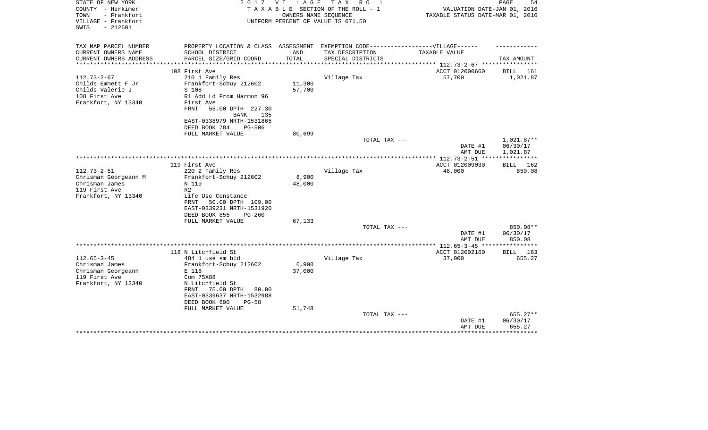| STATE OF NEW YORK<br>COUNTY - Herkimer<br>- Frankfort<br>TOWN | 2 0 1 7                                                                           | VILLAGE<br>OWNERS NAME SEQUENCE | T A X<br>R O L L<br>TAXABLE SECTION OF THE ROLL - 1 | VALUATION DATE-JAN 01, 2016<br>TAXABLE STATUS DATE-MAR 01, 2016 | 54<br>PAGE  |
|---------------------------------------------------------------|-----------------------------------------------------------------------------------|---------------------------------|-----------------------------------------------------|-----------------------------------------------------------------|-------------|
| VILLAGE - Frankfort<br>SWIS<br>$-212601$                      |                                                                                   |                                 | UNIFORM PERCENT OF VALUE IS 071.50                  |                                                                 |             |
| TAX MAP PARCEL NUMBER                                         | PROPERTY LOCATION & CLASS ASSESSMENT EXEMPTION CODE-----------------VILLAGE------ |                                 |                                                     |                                                                 |             |
| CURRENT OWNERS NAME                                           | SCHOOL DISTRICT                                                                   | LAND                            | TAX DESCRIPTION                                     | TAXABLE VALUE                                                   |             |
| CURRENT OWNERS ADDRESS                                        | PARCEL SIZE/GRID COORD                                                            | TOTAL                           | SPECIAL DISTRICTS                                   | ********* 112.73-2-67 ****                                      | TAX AMOUNT  |
|                                                               | 108 First Ave                                                                     |                                 |                                                     | ACCT 012000660                                                  | BILL<br>161 |
| $112.73 - 2 - 67$                                             | 210 1 Family Res                                                                  |                                 | Village Tax                                         | 57,700                                                          | 1,021.87    |
| Childs Emmett F Jr                                            | Frankfort-Schuy 212602                                                            | 11,300                          |                                                     |                                                                 |             |
| Childs Valerie J                                              | S 108                                                                             | 57,700                          |                                                     |                                                                 |             |
| 108 First Ave                                                 | R1 Add Ld From Harmon 96                                                          |                                 |                                                     |                                                                 |             |
| Frankfort, NY 13340                                           | First Ave                                                                         |                                 |                                                     |                                                                 |             |
|                                                               | FRNT<br>55.00 DPTH 227.30                                                         |                                 |                                                     |                                                                 |             |
|                                                               | <b>BANK</b><br>135                                                                |                                 |                                                     |                                                                 |             |
|                                                               | EAST-0338979 NRTH-1531865                                                         |                                 |                                                     |                                                                 |             |
|                                                               | DEED BOOK 784<br><b>PG-506</b>                                                    |                                 |                                                     |                                                                 |             |
|                                                               | FULL MARKET VALUE                                                                 | 80,699                          | TOTAL TAX ---                                       |                                                                 | 1,021.87**  |
|                                                               |                                                                                   |                                 |                                                     | DATE #1                                                         | 06/30/17    |
|                                                               |                                                                                   |                                 |                                                     | AMT DUE                                                         | 1,021.87    |
|                                                               |                                                                                   |                                 |                                                     |                                                                 |             |
|                                                               | 119 First Ave                                                                     |                                 |                                                     | ACCT 012009030                                                  | BILL<br>162 |
| $112.73 - 2 - 51$                                             | 220 2 Family Res                                                                  |                                 | Village Tax                                         | 48,000                                                          | 850.08      |
| Chrisman Georgeann M                                          | Frankfort-Schuy 212602                                                            | 8,900                           |                                                     |                                                                 |             |
| Chrisman James                                                | N 119                                                                             | 48,000                          |                                                     |                                                                 |             |
| 119 First Ave                                                 | R <sub>2</sub>                                                                    |                                 |                                                     |                                                                 |             |
| Frankfort, NY 13340                                           | Life Use Constance<br>FRNT<br>50.00 DPTH 109.00                                   |                                 |                                                     |                                                                 |             |
|                                                               | EAST-0339231 NRTH-1531920                                                         |                                 |                                                     |                                                                 |             |
|                                                               | DEED BOOK 855<br>$PG-260$                                                         |                                 |                                                     |                                                                 |             |
|                                                               | FULL MARKET VALUE                                                                 | 67,133                          |                                                     |                                                                 |             |
|                                                               |                                                                                   |                                 | TOTAL TAX ---                                       |                                                                 | 850.08**    |
|                                                               |                                                                                   |                                 |                                                     | DATE #1                                                         | 06/30/17    |
|                                                               |                                                                                   |                                 |                                                     | AMT DUE                                                         | 850.08      |
|                                                               |                                                                                   |                                 |                                                     | ************** 112.65-3-45 *****************                    |             |
|                                                               | 118 N Litchfield St                                                               |                                 |                                                     | ACCT 012002160                                                  | BILL<br>163 |
| $112.65 - 3 - 45$<br>Chrisman James                           | 484 1 use sm bld<br>Frankfort-Schuy 212602                                        | 6,900                           | Village Tax                                         | 37,000                                                          | 655.27      |
| Chrisman Georgeann                                            | E 118                                                                             | 37,000                          |                                                     |                                                                 |             |
| 119 First Ave                                                 | Com 75X88                                                                         |                                 |                                                     |                                                                 |             |
| Frankfort, NY 13340                                           | N Litchfield St                                                                   |                                 |                                                     |                                                                 |             |
|                                                               | 75.00 DPTH<br>FRNT<br>80.00                                                       |                                 |                                                     |                                                                 |             |
|                                                               | EAST-0339637 NRTH-1532988                                                         |                                 |                                                     |                                                                 |             |
|                                                               | DEED BOOK 690<br>$PG-58$                                                          |                                 |                                                     |                                                                 |             |
|                                                               | FULL MARKET VALUE                                                                 | 51,748                          |                                                     |                                                                 |             |
|                                                               |                                                                                   |                                 | TOTAL TAX ---                                       |                                                                 | 655.27**    |
|                                                               |                                                                                   |                                 |                                                     | DATE #1                                                         | 06/30/17    |
|                                                               |                                                                                   |                                 |                                                     | AMT DUE                                                         | 655.27      |
|                                                               |                                                                                   |                                 |                                                     |                                                                 |             |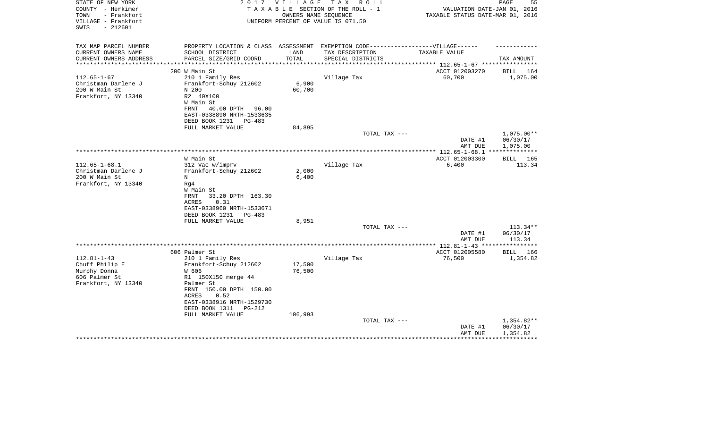| STATE OF NEW YORK<br>COUNTY - Herkimer<br>- Frankfort<br>TOWN<br>VILLAGE - Frankfort<br>$-212601$<br>SWIS |                                                                                   | 2017 VILLAGE | T A X<br>R O L L<br>TAXABLE SECTION OF THE ROLL - 1<br>OWNERS NAME SEQUENCE<br>UNIFORM PERCENT OF VALUE IS 071.50 | VALUATION DATE-JAN 01, 2016<br>TAXABLE STATUS DATE-MAR 01, 2016 | 55<br>PAGE            |
|-----------------------------------------------------------------------------------------------------------|-----------------------------------------------------------------------------------|--------------|-------------------------------------------------------------------------------------------------------------------|-----------------------------------------------------------------|-----------------------|
| TAX MAP PARCEL NUMBER                                                                                     | PROPERTY LOCATION & CLASS ASSESSMENT EXEMPTION CODE-----------------VILLAGE------ |              |                                                                                                                   |                                                                 |                       |
| CURRENT OWNERS NAME                                                                                       | SCHOOL DISTRICT                                                                   | LAND         | TAX DESCRIPTION                                                                                                   | TAXABLE VALUE                                                   |                       |
| CURRENT OWNERS ADDRESS                                                                                    | PARCEL SIZE/GRID COORD                                                            | TOTAL        | SPECIAL DISTRICTS                                                                                                 |                                                                 | TAX AMOUNT            |
| **********************                                                                                    |                                                                                   |              |                                                                                                                   |                                                                 |                       |
| $112.65 - 1 - 67$                                                                                         | 200 W Main St<br>210 1 Family Res                                                 |              | Village Tax                                                                                                       | ACCT 012003270<br>60,700                                        | BILL 164<br>1,075.00  |
| Christman Darlene J                                                                                       | Frankfort-Schuy 212602                                                            | 6,900        |                                                                                                                   |                                                                 |                       |
| 200 W Main St                                                                                             | N 200                                                                             | 60,700       |                                                                                                                   |                                                                 |                       |
| Frankfort, NY 13340                                                                                       | R2 40X100                                                                         |              |                                                                                                                   |                                                                 |                       |
|                                                                                                           | W Main St                                                                         |              |                                                                                                                   |                                                                 |                       |
|                                                                                                           | FRNT<br>40.00 DPTH 96.00                                                          |              |                                                                                                                   |                                                                 |                       |
|                                                                                                           | EAST-0338890 NRTH-1533635                                                         |              |                                                                                                                   |                                                                 |                       |
|                                                                                                           | DEED BOOK 1231<br>PG-483                                                          |              |                                                                                                                   |                                                                 |                       |
|                                                                                                           | FULL MARKET VALUE                                                                 | 84,895       |                                                                                                                   |                                                                 |                       |
|                                                                                                           |                                                                                   |              | TOTAL TAX ---                                                                                                     |                                                                 | $1,075.00**$          |
|                                                                                                           |                                                                                   |              |                                                                                                                   | DATE #1<br>AMT DUE                                              | 06/30/17<br>1,075.00  |
|                                                                                                           |                                                                                   |              |                                                                                                                   |                                                                 |                       |
|                                                                                                           | W Main St                                                                         |              |                                                                                                                   | ACCT 012003300                                                  | BILL 165              |
| $112.65 - 1 - 68.1$                                                                                       | 312 Vac w/imprv                                                                   |              | Village Tax                                                                                                       | 6,400                                                           | 113.34                |
| Christman Darlene J                                                                                       | Frankfort-Schuy 212602                                                            | 2,000        |                                                                                                                   |                                                                 |                       |
| 200 W Main St                                                                                             | N                                                                                 | 6,400        |                                                                                                                   |                                                                 |                       |
| Frankfort, NY 13340                                                                                       | Rq4                                                                               |              |                                                                                                                   |                                                                 |                       |
|                                                                                                           | W Main St                                                                         |              |                                                                                                                   |                                                                 |                       |
|                                                                                                           | 33.20 DPTH 163.30<br>FRNT<br>ACRES<br>0.31                                        |              |                                                                                                                   |                                                                 |                       |
|                                                                                                           | EAST-0338960 NRTH-1533671                                                         |              |                                                                                                                   |                                                                 |                       |
|                                                                                                           | DEED BOOK 1231<br>PG-483                                                          |              |                                                                                                                   |                                                                 |                       |
|                                                                                                           | FULL MARKET VALUE                                                                 | 8,951        |                                                                                                                   |                                                                 |                       |
|                                                                                                           |                                                                                   |              | TOTAL TAX ---                                                                                                     |                                                                 | $113.34**$            |
|                                                                                                           |                                                                                   |              |                                                                                                                   | DATE #1                                                         | 06/30/17              |
|                                                                                                           |                                                                                   |              |                                                                                                                   | AMT DUE                                                         | 113.34                |
|                                                                                                           |                                                                                   |              |                                                                                                                   | ****** 112.81-1-43 ****                                         | * * * * * * * * * * * |
| $112.81 - 1 - 43$                                                                                         | 606 Palmer St                                                                     |              |                                                                                                                   | ACCT 012005580                                                  | BILL 166              |
| Chuff Philip E                                                                                            | 210 1 Family Res<br>Frankfort-Schuy 212602                                        | 17,500       | Village Tax                                                                                                       | 76,500                                                          | 1,354.82              |
| Murphy Donna                                                                                              | W 606                                                                             | 76,500       |                                                                                                                   |                                                                 |                       |
| 606 Palmer St                                                                                             | R1 150X150 merge 44                                                               |              |                                                                                                                   |                                                                 |                       |
| Frankfort, NY 13340                                                                                       | Palmer St                                                                         |              |                                                                                                                   |                                                                 |                       |
|                                                                                                           | FRNT 150.00 DPTH 150.00                                                           |              |                                                                                                                   |                                                                 |                       |
|                                                                                                           | ACRES<br>0.52                                                                     |              |                                                                                                                   |                                                                 |                       |
|                                                                                                           | EAST-0338916 NRTH-1529730                                                         |              |                                                                                                                   |                                                                 |                       |
|                                                                                                           | DEED BOOK 1311<br>PG-212                                                          |              |                                                                                                                   |                                                                 |                       |
|                                                                                                           | FULL MARKET VALUE                                                                 | 106,993      |                                                                                                                   |                                                                 | 1,354.82**            |
|                                                                                                           |                                                                                   |              | TOTAL TAX ---                                                                                                     | DATE #1                                                         | 06/30/17              |
|                                                                                                           |                                                                                   |              |                                                                                                                   | AMT DUE                                                         | 1,354.82              |
|                                                                                                           |                                                                                   |              |                                                                                                                   |                                                                 |                       |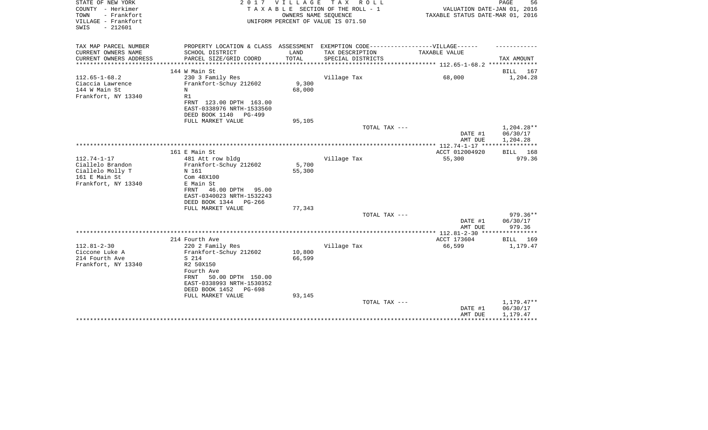| STATE OF NEW YORK<br>COUNTY - Herkimer<br>- Frankfort<br>TOWN<br>VILLAGE - Frankfort<br>$-212601$<br>SWIS | 2 0 1 7                                                                                                                                                              | V I L L A G E    | TAX ROLL<br>TAXABLE SECTION OF THE ROLL - 1<br>OWNERS NAME SEQUENCE<br>UNIFORM PERCENT OF VALUE IS 071.50 | VALUATION DATE-JAN 01, 2016<br>TAXABLE STATUS DATE-MAR 01, 2016 | 56<br>PAGE                           |
|-----------------------------------------------------------------------------------------------------------|----------------------------------------------------------------------------------------------------------------------------------------------------------------------|------------------|-----------------------------------------------------------------------------------------------------------|-----------------------------------------------------------------|--------------------------------------|
| TAX MAP PARCEL NUMBER<br>CURRENT OWNERS NAME                                                              | PROPERTY LOCATION & CLASS ASSESSMENT EXEMPTION CODE-----------------VILLAGE------<br>SCHOOL DISTRICT                                                                 | LAND             | TAX DESCRIPTION                                                                                           | TAXABLE VALUE                                                   |                                      |
| CURRENT OWNERS ADDRESS                                                                                    | PARCEL SIZE/GRID COORD                                                                                                                                               | TOTAL            | SPECIAL DISTRICTS                                                                                         |                                                                 | TAX AMOUNT                           |
|                                                                                                           |                                                                                                                                                                      |                  |                                                                                                           |                                                                 |                                      |
|                                                                                                           | 144 W Main St                                                                                                                                                        |                  |                                                                                                           |                                                                 | BILL 167                             |
| $112.65 - 1 - 68.2$<br>Ciaccia Lawrence<br>144 W Main St<br>Frankfort, NY 13340                           | 230 3 Family Res<br>Frankfort-Schuy 212602<br>N<br>R1<br>FRNT 123.00 DPTH 163.00<br>EAST-0338976 NRTH-1533560                                                        | 9,300<br>68,000  | Village Tax                                                                                               | 68,000                                                          | 1,204.28                             |
|                                                                                                           | DEED BOOK 1140<br>$PG-499$                                                                                                                                           |                  |                                                                                                           |                                                                 |                                      |
|                                                                                                           | FULL MARKET VALUE                                                                                                                                                    | 95,105           | TOTAL TAX ---                                                                                             |                                                                 | 1,204.28**                           |
|                                                                                                           |                                                                                                                                                                      |                  |                                                                                                           | DATE #1<br>AMT DUE                                              | 06/30/17<br>1,204.28<br>***********  |
|                                                                                                           | 161 E Main St                                                                                                                                                        |                  |                                                                                                           |                                                                 |                                      |
| $112.74 - 1 - 17$<br>Ciallelo Brandon<br>Ciallelo Molly T<br>161 E Main St<br>Frankfort, NY 13340         | 481 Att row bldg<br>Frankfort-Schuy 212602<br>N 161<br>Com 48X100<br>E Main St<br>FRNT<br>46.00 DPTH 95.00<br>EAST-0340023 NRTH-1532243<br>DEED BOOK 1344<br>PG-266  | 5,700<br>55,300  | Village Tax                                                                                               | ACCT 012004920<br>55,300                                        | BILL 168<br>979.36                   |
|                                                                                                           | FULL MARKET VALUE                                                                                                                                                    | 77,343           | TOTAL TAX ---                                                                                             |                                                                 | 979.36**                             |
|                                                                                                           |                                                                                                                                                                      |                  |                                                                                                           | DATE #1<br>AMT DUE                                              | 06/30/17<br>979.36                   |
|                                                                                                           |                                                                                                                                                                      |                  |                                                                                                           |                                                                 |                                      |
|                                                                                                           | 214 Fourth Ave                                                                                                                                                       |                  |                                                                                                           | ACCT 173604                                                     | BILL 169                             |
| $112.81 - 2 - 30$<br>Ciccone Luke A<br>214 Fourth Ave<br>Frankfort, NY 13340                              | 220 2 Family Res<br>Frankfort-Schuy 212602<br>S 214<br>R2 50X150<br>Fourth Ave<br>FRNT<br>50.00 DPTH 150.00<br>EAST-0338993 NRTH-1530352<br>DEED BOOK 1452<br>PG-698 | 10,800<br>66,599 | Village Tax                                                                                               | 66,599                                                          | 1,179.47                             |
|                                                                                                           | FULL MARKET VALUE                                                                                                                                                    | 93,145           | TOTAL TAX ---                                                                                             | DATE #1<br>AMT DUE                                              | $1,179.47**$<br>06/30/17<br>1,179.47 |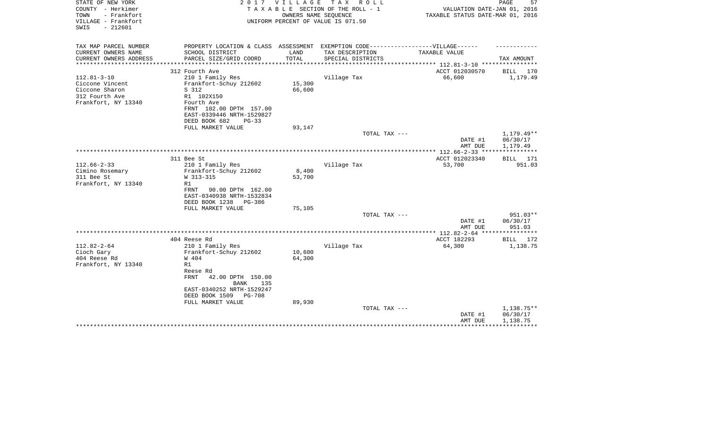| STATE OF NEW YORK<br>COUNTY - Herkimer<br>- Frankfort<br>TOWN<br>VILLAGE - Frankfort<br>$-212601$<br>SWIS | 2 0 1 7                                                                           | VILLAGE | T A X<br>R O L L<br>TAXABLE SECTION OF THE ROLL - 1<br>OWNERS NAME SEQUENCE<br>UNIFORM PERCENT OF VALUE IS 071.50 | VALUATION DATE-JAN 01, 2016<br>TAXABLE STATUS DATE-MAR 01, 2016 | 57<br>PAGE             |
|-----------------------------------------------------------------------------------------------------------|-----------------------------------------------------------------------------------|---------|-------------------------------------------------------------------------------------------------------------------|-----------------------------------------------------------------|------------------------|
| TAX MAP PARCEL NUMBER                                                                                     | PROPERTY LOCATION & CLASS ASSESSMENT EXEMPTION CODE-----------------VILLAGE------ |         |                                                                                                                   |                                                                 |                        |
| CURRENT OWNERS NAME                                                                                       | SCHOOL DISTRICT                                                                   | LAND    | TAX DESCRIPTION                                                                                                   | TAXABLE VALUE                                                   |                        |
| CURRENT OWNERS ADDRESS<br>********************                                                            | PARCEL SIZE/GRID COORD                                                            | TOTAL   | SPECIAL DISTRICTS                                                                                                 |                                                                 | TAX AMOUNT             |
|                                                                                                           | 312 Fourth Ave                                                                    |         |                                                                                                                   | ACCT 012030570                                                  | BILL 170               |
| $112.81 - 3 - 10$                                                                                         | 210 1 Family Res                                                                  |         | Village Tax                                                                                                       | 66,600                                                          | 1,179.49               |
| Ciccone Vincent                                                                                           | Frankfort-Schuy 212602                                                            | 15,300  |                                                                                                                   |                                                                 |                        |
| Ciccone Sharon                                                                                            | S 312                                                                             | 66,600  |                                                                                                                   |                                                                 |                        |
| 312 Fourth Ave                                                                                            | R1 102X150                                                                        |         |                                                                                                                   |                                                                 |                        |
| Frankfort, NY 13340                                                                                       | Fourth Ave                                                                        |         |                                                                                                                   |                                                                 |                        |
|                                                                                                           | FRNT 102.00 DPTH 157.00                                                           |         |                                                                                                                   |                                                                 |                        |
|                                                                                                           | EAST-0339446 NRTH-1529827                                                         |         |                                                                                                                   |                                                                 |                        |
|                                                                                                           | DEED BOOK 682<br>$PG-33$                                                          |         |                                                                                                                   |                                                                 |                        |
|                                                                                                           | FULL MARKET VALUE                                                                 | 93,147  | TOTAL TAX ---                                                                                                     |                                                                 |                        |
|                                                                                                           |                                                                                   |         |                                                                                                                   | DATE #1                                                         | 1,179.49**<br>06/30/17 |
|                                                                                                           |                                                                                   |         |                                                                                                                   | AMT DUE                                                         | 1,179.49               |
|                                                                                                           |                                                                                   |         |                                                                                                                   |                                                                 |                        |
|                                                                                                           | 311 Bee St                                                                        |         |                                                                                                                   | ACCT 012023340                                                  | <b>BILL</b> 171        |
| $112.66 - 2 - 33$                                                                                         | 210 1 Family Res                                                                  |         | Village Tax                                                                                                       | 53,700                                                          | 951.03                 |
| Cimino Rosemary                                                                                           | Frankfort-Schuy 212602                                                            | 8,400   |                                                                                                                   |                                                                 |                        |
| 311 Bee St                                                                                                | W 313-315                                                                         | 53,700  |                                                                                                                   |                                                                 |                        |
| Frankfort, NY 13340                                                                                       | R1                                                                                |         |                                                                                                                   |                                                                 |                        |
|                                                                                                           | FRNT<br>90.00 DPTH 162.00                                                         |         |                                                                                                                   |                                                                 |                        |
|                                                                                                           | EAST-0340938 NRTH-1532834                                                         |         |                                                                                                                   |                                                                 |                        |
|                                                                                                           | DEED BOOK 1238<br>PG-386<br>FULL MARKET VALUE                                     | 75,105  |                                                                                                                   |                                                                 |                        |
|                                                                                                           |                                                                                   |         | TOTAL TAX ---                                                                                                     |                                                                 | 951.03**               |
|                                                                                                           |                                                                                   |         |                                                                                                                   | DATE #1                                                         | 06/30/17               |
|                                                                                                           |                                                                                   |         |                                                                                                                   | AMT DUE                                                         | 951.03                 |
|                                                                                                           |                                                                                   |         |                                                                                                                   |                                                                 |                        |
|                                                                                                           | 404 Reese Rd                                                                      |         |                                                                                                                   | ACCT 182293                                                     | BILL 172               |
| $112.82 - 2 - 64$                                                                                         | 210 1 Family Res                                                                  |         | Village Tax                                                                                                       | 64,300                                                          | 1,138.75               |
| Cioch Gary                                                                                                | Frankfort-Schuy 212602                                                            | 10,600  |                                                                                                                   |                                                                 |                        |
| 404 Reese Rd                                                                                              | W 404                                                                             | 64,300  |                                                                                                                   |                                                                 |                        |
| Frankfort, NY 13340                                                                                       | R1                                                                                |         |                                                                                                                   |                                                                 |                        |
|                                                                                                           | Reese Rd<br><b>FRNT</b><br>42.00 DPTH 150.00                                      |         |                                                                                                                   |                                                                 |                        |
|                                                                                                           | <b>BANK</b><br>135                                                                |         |                                                                                                                   |                                                                 |                        |
|                                                                                                           | EAST-0340252 NRTH-1529247                                                         |         |                                                                                                                   |                                                                 |                        |
|                                                                                                           | DEED BOOK 1509<br>PG-708                                                          |         |                                                                                                                   |                                                                 |                        |
|                                                                                                           | FULL MARKET VALUE                                                                 | 89,930  |                                                                                                                   |                                                                 |                        |
|                                                                                                           |                                                                                   |         | TOTAL TAX ---                                                                                                     |                                                                 | 1,138.75**             |
|                                                                                                           |                                                                                   |         |                                                                                                                   | DATE #1                                                         | 06/30/17               |
|                                                                                                           |                                                                                   |         |                                                                                                                   | AMT DUE                                                         | 1,138.75               |
|                                                                                                           |                                                                                   |         |                                                                                                                   |                                                                 |                        |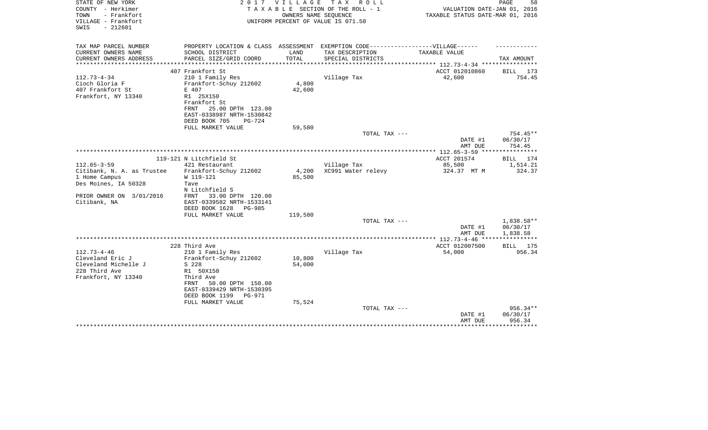| STATE OF NEW YORK<br>COUNTY - Herkimer<br>- Frankfort<br>TOWN<br>VILLAGE - Frankfort<br>SWIS<br>$-212601$ | 2017                                                                                                                                                                    | <b>VILLAGE</b>   | TAX ROLL<br>TAXABLE SECTION OF THE ROLL - 1<br>OWNERS NAME SEOUENCE<br>UNIFORM PERCENT OF VALUE IS 071.50 | VALUATION DATE-JAN 01, 2016<br>TAXABLE STATUS DATE-MAR 01, 2016 | PAGE<br>58                       |
|-----------------------------------------------------------------------------------------------------------|-------------------------------------------------------------------------------------------------------------------------------------------------------------------------|------------------|-----------------------------------------------------------------------------------------------------------|-----------------------------------------------------------------|----------------------------------|
| TAX MAP PARCEL NUMBER<br>CURRENT OWNERS NAME                                                              | PROPERTY LOCATION & CLASS ASSESSMENT EXEMPTION CODE-----------------VILLAGE------<br>SCHOOL DISTRICT                                                                    | LAND             | TAX DESCRIPTION                                                                                           | TAXABLE VALUE                                                   |                                  |
| CURRENT OWNERS ADDRESS                                                                                    | PARCEL SIZE/GRID COORD                                                                                                                                                  | TOTAL            | SPECIAL DISTRICTS                                                                                         |                                                                 | TAX AMOUNT                       |
|                                                                                                           |                                                                                                                                                                         |                  |                                                                                                           | ************** 112.73-4-34 *****************                    |                                  |
|                                                                                                           | 407 Frankfort St                                                                                                                                                        |                  |                                                                                                           | ACCT 012010860                                                  | BILL 173                         |
| $112.73 - 4 - 34$<br>Cioch Gloria F<br>407 Frankfort St<br>Frankfort, NY 13340                            | 210 1 Family Res<br>Frankfort-Schuy 212602<br>E 407<br>R1 25X150<br>Frankfort St<br>FRNT<br>25.00 DPTH 123.00<br>EAST-0338987 NRTH-1530842<br>DEED BOOK 705<br>$PG-724$ | 4,800<br>42,600  | Village Tax                                                                                               | 42,600                                                          | 754.45                           |
|                                                                                                           | FULL MARKET VALUE                                                                                                                                                       | 59,580           |                                                                                                           |                                                                 |                                  |
|                                                                                                           |                                                                                                                                                                         |                  | TOTAL TAX ---                                                                                             | DATE #1<br>AMT DUE                                              | $754.45**$<br>06/30/17<br>754.45 |
|                                                                                                           |                                                                                                                                                                         |                  |                                                                                                           |                                                                 |                                  |
|                                                                                                           | 119-121 N Litchfield St                                                                                                                                                 |                  |                                                                                                           | ACCT 201574                                                     | BILL 174                         |
| $112.65 - 3 - 59$<br>Citibank, N. A. as Trustee<br>1 Home Campus<br>Des Moines, IA 50328                  | 421 Restaurant<br>Frankfort-Schuy 212602<br>W 119-121<br>Tave<br>N Litchfield S                                                                                         | 4,200<br>85,500  | Village Tax<br>XC991 Water relevy                                                                         | 85,500<br>324.37 MT M                                           | 1,514.21<br>324.37               |
| PRIOR OWNER ON 3/01/2016<br>Citibank, NA                                                                  | 33.00 DPTH 120.00<br>FRNT<br>EAST-0339582 NRTH-1533141<br>DEED BOOK 1628<br>PG-985<br>FULL MARKET VALUE                                                                 | 119,580          |                                                                                                           |                                                                 |                                  |
|                                                                                                           |                                                                                                                                                                         |                  | TOTAL TAX ---                                                                                             |                                                                 | 1,838.58**                       |
|                                                                                                           |                                                                                                                                                                         |                  |                                                                                                           | DATE #1<br>AMT DUE                                              | 06/30/17<br>1,838.58             |
|                                                                                                           |                                                                                                                                                                         |                  |                                                                                                           | *************** 112.73-4-46 ****                                | ***********                      |
|                                                                                                           | 228 Third Ave                                                                                                                                                           |                  |                                                                                                           | ACCT 012007500                                                  | BILL 175                         |
| $112.73 - 4 - 46$<br>Cleveland Eric J<br>Cleveland Michelle J<br>228 Third Ave<br>Frankfort, NY 13340     | 210 1 Family Res<br>Frankfort-Schuy 212602<br>S 228<br>R1 50X150<br>Third Ave<br>50.00 DPTH 150.00<br>FRNT<br>EAST-0339429 NRTH-1530395                                 | 10,800<br>54,000 | Village Tax                                                                                               | 54,000                                                          | 956.34                           |
|                                                                                                           | DEED BOOK 1199<br>PG-971                                                                                                                                                | 75,524           |                                                                                                           |                                                                 |                                  |
|                                                                                                           | FULL MARKET VALUE                                                                                                                                                       |                  | TOTAL TAX ---                                                                                             | DATE #1<br>AMT DUE                                              | $956.34**$<br>06/30/17<br>956.34 |
|                                                                                                           |                                                                                                                                                                         |                  |                                                                                                           |                                                                 | ********                         |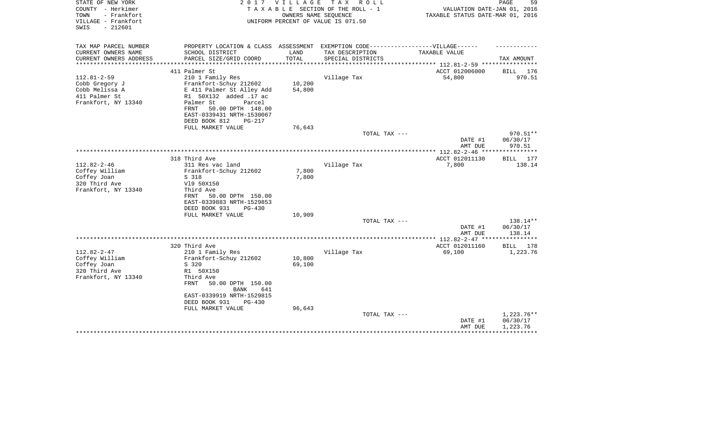| STATE OF NEW YORK<br>COUNTY - Herkimer<br>- Frankfort<br>TOWN<br>VILLAGE - Frankfort<br>$-212601$<br>SWIS | 2017                                                                              | <b>VILLAGE</b> | T A X<br>R O L L<br>TAXABLE SECTION OF THE ROLL - 1<br>OWNERS NAME SEOUENCE<br>UNIFORM PERCENT OF VALUE IS 071.50 | VALUATION DATE-JAN 01, 2016<br>TAXABLE STATUS DATE-MAR 01, 2016 | PAGE<br>59           |
|-----------------------------------------------------------------------------------------------------------|-----------------------------------------------------------------------------------|----------------|-------------------------------------------------------------------------------------------------------------------|-----------------------------------------------------------------|----------------------|
| TAX MAP PARCEL NUMBER                                                                                     | PROPERTY LOCATION & CLASS ASSESSMENT EXEMPTION CODE-----------------VILLAGE------ |                |                                                                                                                   |                                                                 |                      |
| CURRENT OWNERS NAME<br>CURRENT OWNERS ADDRESS                                                             | SCHOOL DISTRICT<br>PARCEL SIZE/GRID COORD                                         | LAND<br>TOTAL  | TAX DESCRIPTION<br>SPECIAL DISTRICTS                                                                              | TAXABLE VALUE                                                   | TAX AMOUNT           |
| **********************                                                                                    |                                                                                   |                |                                                                                                                   |                                                                 |                      |
|                                                                                                           | 411 Palmer St                                                                     |                |                                                                                                                   | ACCT 012006000                                                  | BILL 176             |
| $112.81 - 2 - 59$<br>Cobb Gregory J                                                                       | 210 1 Family Res<br>Frankfort-Schuy 212602                                        | 10,200         | Village Tax                                                                                                       | 54,800                                                          | 970.51               |
| Cobb Melissa A                                                                                            | E 411 Palmer St Alley Add                                                         | 54,800         |                                                                                                                   |                                                                 |                      |
| 411 Palmer St                                                                                             | R1 50X132 added .17 ac                                                            |                |                                                                                                                   |                                                                 |                      |
| Frankfort, NY 13340                                                                                       | Palmer St<br>Parcel                                                               |                |                                                                                                                   |                                                                 |                      |
|                                                                                                           | FRNT<br>50.00 DPTH 148.00                                                         |                |                                                                                                                   |                                                                 |                      |
|                                                                                                           | EAST-0339431 NRTH-1530067                                                         |                |                                                                                                                   |                                                                 |                      |
|                                                                                                           | DEED BOOK 812<br>PG-217                                                           |                |                                                                                                                   |                                                                 |                      |
|                                                                                                           | FULL MARKET VALUE                                                                 | 76,643         |                                                                                                                   |                                                                 |                      |
|                                                                                                           |                                                                                   |                | TOTAL TAX ---                                                                                                     | DATE #1                                                         | 970.51**<br>06/30/17 |
|                                                                                                           |                                                                                   |                |                                                                                                                   | AMT DUE                                                         | 970.51               |
|                                                                                                           |                                                                                   |                |                                                                                                                   |                                                                 | ***********          |
|                                                                                                           | 318 Third Ave                                                                     |                |                                                                                                                   | ACCT 012011130                                                  | BILL 177             |
| $112.82 - 2 - 46$                                                                                         | 311 Res vac land                                                                  |                | Village Tax                                                                                                       | 7,800                                                           | 138.14               |
| Coffey William                                                                                            | Frankfort-Schuy 212602                                                            | 7,800          |                                                                                                                   |                                                                 |                      |
| Coffey Joan<br>320 Third Ave                                                                              | S 318                                                                             | 7,800          |                                                                                                                   |                                                                 |                      |
| Frankfort, NY 13340                                                                                       | V19 50X150<br>Third Ave                                                           |                |                                                                                                                   |                                                                 |                      |
|                                                                                                           | FRNT<br>50.00 DPTH 150.00                                                         |                |                                                                                                                   |                                                                 |                      |
|                                                                                                           | EAST-0339883 NRTH-1529853                                                         |                |                                                                                                                   |                                                                 |                      |
|                                                                                                           | DEED BOOK 931<br>PG-430                                                           |                |                                                                                                                   |                                                                 |                      |
|                                                                                                           | FULL MARKET VALUE                                                                 | 10,909         |                                                                                                                   |                                                                 |                      |
|                                                                                                           |                                                                                   |                | TOTAL TAX ---                                                                                                     |                                                                 | 138.14**             |
|                                                                                                           |                                                                                   |                |                                                                                                                   | DATE #1                                                         | 06/30/17             |
|                                                                                                           |                                                                                   |                |                                                                                                                   | AMT DUE                                                         | 138.14               |
|                                                                                                           | 320 Third Ave                                                                     |                |                                                                                                                   | ACCT 012011160                                                  | BILL<br>178          |
| $112.82 - 2 - 47$                                                                                         | 210 1 Family Res                                                                  |                | Village Tax                                                                                                       | 69,100                                                          | 1,223.76             |
| Coffey William                                                                                            | Frankfort-Schuy 212602                                                            | 10,800         |                                                                                                                   |                                                                 |                      |
| Coffey Joan                                                                                               | S 320                                                                             | 69,100         |                                                                                                                   |                                                                 |                      |
| 320 Third Ave                                                                                             | R1 50X150                                                                         |                |                                                                                                                   |                                                                 |                      |
| Frankfort, NY 13340                                                                                       | Third Ave                                                                         |                |                                                                                                                   |                                                                 |                      |
|                                                                                                           | FRNT<br>50.00 DPTH 150.00                                                         |                |                                                                                                                   |                                                                 |                      |
|                                                                                                           | <b>BANK</b><br>641<br>EAST-0339919 NRTH-1529815                                   |                |                                                                                                                   |                                                                 |                      |
|                                                                                                           | DEED BOOK 931<br>PG-430                                                           |                |                                                                                                                   |                                                                 |                      |
|                                                                                                           | FULL MARKET VALUE                                                                 | 96,643         |                                                                                                                   |                                                                 |                      |
|                                                                                                           |                                                                                   |                | TOTAL TAX ---                                                                                                     |                                                                 | 1,223.76**           |
|                                                                                                           |                                                                                   |                |                                                                                                                   | DATE #1                                                         | 06/30/17             |
|                                                                                                           |                                                                                   |                |                                                                                                                   | AMT DUE                                                         | 1,223.76             |
|                                                                                                           |                                                                                   |                |                                                                                                                   |                                                                 |                      |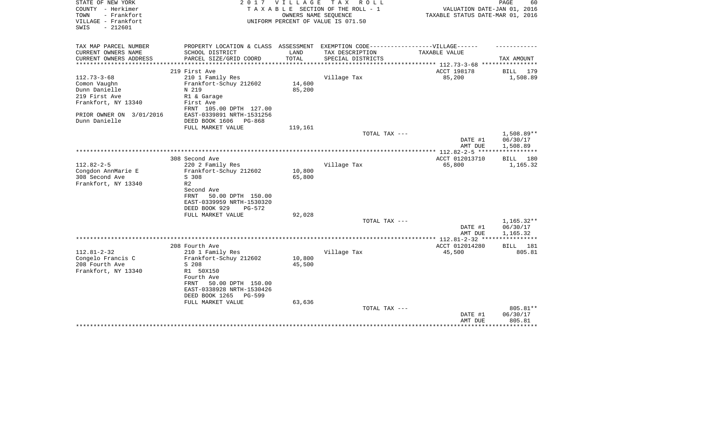| STATE OF NEW YORK<br>COUNTY - Herkimer<br>TOWN<br>- Frankfort<br>VILLAGE - Frankfort<br>$-212601$<br>SWIS | 2017                                                    | VILLAGE | T A X<br>R O L L<br>TAXABLE SECTION OF THE ROLL - 1<br>OWNERS NAME SEQUENCE<br>UNIFORM PERCENT OF VALUE IS 071.50 | VALUATION DATE-JAN 01, 2016<br>TAXABLE STATUS DATE-MAR 01, 2016 | PAGE<br>60               |
|-----------------------------------------------------------------------------------------------------------|---------------------------------------------------------|---------|-------------------------------------------------------------------------------------------------------------------|-----------------------------------------------------------------|--------------------------|
| TAX MAP PARCEL NUMBER                                                                                     |                                                         |         | PROPERTY LOCATION & CLASS ASSESSMENT EXEMPTION CODE-----------------VILLAGE------                                 |                                                                 |                          |
| CURRENT OWNERS NAME                                                                                       | SCHOOL DISTRICT                                         | LAND    | TAX DESCRIPTION                                                                                                   | TAXABLE VALUE                                                   |                          |
| CURRENT OWNERS ADDRESS<br>****************                                                                | PARCEL SIZE/GRID COORD                                  | TOTAL   | SPECIAL DISTRICTS                                                                                                 | *************************** 112.73-3-68 ****************        | TAX AMOUNT               |
|                                                                                                           | 219 First Ave                                           |         |                                                                                                                   | ACCT 198178                                                     | BILL<br>179              |
| $112.73 - 3 - 68$                                                                                         | 210 1 Family Res                                        |         | Village Tax                                                                                                       | 85,200                                                          | 1,508.89                 |
| Comon Vaughn                                                                                              | Frankfort-Schuy 212602                                  | 14,600  |                                                                                                                   |                                                                 |                          |
| Dunn Danielle                                                                                             | N 219                                                   | 85,200  |                                                                                                                   |                                                                 |                          |
| 219 First Ave                                                                                             | R1 & Garage                                             |         |                                                                                                                   |                                                                 |                          |
| Frankfort, NY 13340                                                                                       | First Ave                                               |         |                                                                                                                   |                                                                 |                          |
|                                                                                                           | FRNT 105.00 DPTH 127.00                                 |         |                                                                                                                   |                                                                 |                          |
| PRIOR OWNER ON 3/01/2016<br>Dunn Danielle                                                                 | EAST-0339891 NRTH-1531256<br>DEED BOOK 1606<br>$PG-868$ |         |                                                                                                                   |                                                                 |                          |
|                                                                                                           | FULL MARKET VALUE                                       | 119,161 |                                                                                                                   |                                                                 |                          |
|                                                                                                           |                                                         |         | TOTAL TAX ---                                                                                                     |                                                                 | 1,508.89**               |
|                                                                                                           |                                                         |         |                                                                                                                   | DATE #1                                                         | 06/30/17                 |
|                                                                                                           |                                                         |         |                                                                                                                   | AMT DUE                                                         | 1,508.89                 |
|                                                                                                           |                                                         |         |                                                                                                                   |                                                                 |                          |
| $112.82 - 2 - 5$                                                                                          | 308 Second Ave<br>220 2 Family Res                      |         | Village Tax                                                                                                       | ACCT 012013710<br>65,800                                        | BILL 180<br>1,165.32     |
| Congdon AnnMarie E                                                                                        | Frankfort-Schuy 212602                                  | 10,800  |                                                                                                                   |                                                                 |                          |
| 308 Second Ave                                                                                            | S 308                                                   | 65,800  |                                                                                                                   |                                                                 |                          |
| Frankfort, NY 13340                                                                                       | R <sub>2</sub>                                          |         |                                                                                                                   |                                                                 |                          |
|                                                                                                           | Second Ave                                              |         |                                                                                                                   |                                                                 |                          |
|                                                                                                           | 50.00 DPTH 150.00<br><b>FRNT</b>                        |         |                                                                                                                   |                                                                 |                          |
|                                                                                                           | EAST-0339959 NRTH-1530320                               |         |                                                                                                                   |                                                                 |                          |
|                                                                                                           | DEED BOOK 929<br>$PG-572$                               |         |                                                                                                                   |                                                                 |                          |
|                                                                                                           | FULL MARKET VALUE                                       | 92,028  |                                                                                                                   |                                                                 |                          |
|                                                                                                           |                                                         |         | TOTAL TAX ---                                                                                                     | DATE #1                                                         | $1,165.32**$<br>06/30/17 |
|                                                                                                           |                                                         |         |                                                                                                                   | AMT DUE                                                         | 1,165.32                 |
|                                                                                                           |                                                         |         |                                                                                                                   |                                                                 | **********               |
|                                                                                                           | 208 Fourth Ave                                          |         |                                                                                                                   | ACCT 012014280                                                  | 181<br>BILL              |
| $112.81 - 2 - 32$                                                                                         | 210 1 Family Res                                        |         | Village Tax                                                                                                       | 45,500                                                          | 805.81                   |
| Congelo Francis C                                                                                         | Frankfort-Schuy 212602                                  | 10,800  |                                                                                                                   |                                                                 |                          |
| 208 Fourth Ave                                                                                            | S 208                                                   | 45,500  |                                                                                                                   |                                                                 |                          |
| Frankfort, NY 13340                                                                                       | R1 50X150<br>Fourth Ave                                 |         |                                                                                                                   |                                                                 |                          |
|                                                                                                           | 50.00 DPTH 150.00<br>FRNT                               |         |                                                                                                                   |                                                                 |                          |
|                                                                                                           | EAST-0338928 NRTH-1530426                               |         |                                                                                                                   |                                                                 |                          |
|                                                                                                           | DEED BOOK 1265<br><b>PG-599</b>                         |         |                                                                                                                   |                                                                 |                          |
|                                                                                                           | FULL MARKET VALUE                                       | 63,636  |                                                                                                                   |                                                                 |                          |
|                                                                                                           |                                                         |         | TOTAL TAX ---                                                                                                     |                                                                 | 805.81**                 |
|                                                                                                           |                                                         |         |                                                                                                                   | DATE #1                                                         | 06/30/17                 |
|                                                                                                           |                                                         |         |                                                                                                                   | AMT DUE                                                         | 805.81<br>***********    |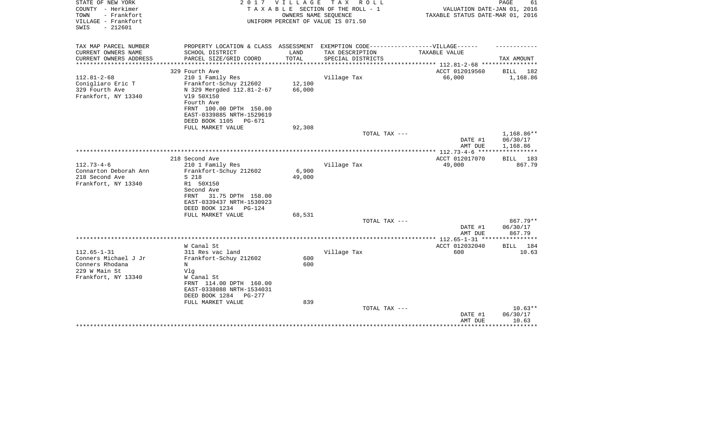| STATE OF NEW YORK<br>COUNTY - Herkimer<br>- Frankfort<br>TOWN<br>VILLAGE - Frankfort | 2 0 1 7                                               | <b>VILLAGE</b> | T A X<br>R O L L<br>TAXABLE SECTION OF THE ROLL - 1<br>OWNERS NAME SEQUENCE<br>UNIFORM PERCENT OF VALUE IS 071.50 | VALUATION DATE-JAN 01, 2016<br>TAXABLE STATUS DATE-MAR 01, 2016 | PAGE<br>61         |
|--------------------------------------------------------------------------------------|-------------------------------------------------------|----------------|-------------------------------------------------------------------------------------------------------------------|-----------------------------------------------------------------|--------------------|
| $-212601$<br>SWIS                                                                    |                                                       |                |                                                                                                                   |                                                                 |                    |
| TAX MAP PARCEL NUMBER                                                                | PROPERTY LOCATION & CLASS ASSESSMENT                  |                | EXEMPTION CODE------------------VILLAGE------                                                                     |                                                                 |                    |
| CURRENT OWNERS NAME                                                                  | SCHOOL DISTRICT                                       | LAND           | TAX DESCRIPTION                                                                                                   | TAXABLE VALUE                                                   |                    |
| CURRENT OWNERS ADDRESS<br>********************                                       | PARCEL SIZE/GRID COORD                                | TOTAL          | SPECIAL DISTRICTS                                                                                                 | *************************** 112.81-2-68 ****************        | TAX AMOUNT         |
|                                                                                      | 329 Fourth Ave                                        |                |                                                                                                                   | ACCT 012019560                                                  | BILL<br>182        |
| $112.81 - 2 - 68$                                                                    | 210 1 Family Res                                      |                | Village Tax                                                                                                       | 66,000                                                          | 1,168.86           |
| Conigliaro Eric T                                                                    | Frankfort-Schuy 212602                                | 12,100         |                                                                                                                   |                                                                 |                    |
| 329 Fourth Ave                                                                       | N 329 Mergded 112.81-2-67                             | 66,000         |                                                                                                                   |                                                                 |                    |
| Frankfort, NY 13340                                                                  | V19 50X150                                            |                |                                                                                                                   |                                                                 |                    |
|                                                                                      | Fourth Ave                                            |                |                                                                                                                   |                                                                 |                    |
|                                                                                      | FRNT 100.00 DPTH 150.00                               |                |                                                                                                                   |                                                                 |                    |
|                                                                                      | EAST-0339885 NRTH-1529619<br>DEED BOOK 1105<br>PG-671 |                |                                                                                                                   |                                                                 |                    |
|                                                                                      | FULL MARKET VALUE                                     | 92,308         |                                                                                                                   |                                                                 |                    |
|                                                                                      |                                                       |                | TOTAL TAX ---                                                                                                     |                                                                 | 1,168.86**         |
|                                                                                      |                                                       |                |                                                                                                                   | DATE #1                                                         | 06/30/17           |
|                                                                                      |                                                       |                |                                                                                                                   | AMT DUE                                                         | 1,168.86           |
|                                                                                      |                                                       |                |                                                                                                                   |                                                                 |                    |
|                                                                                      | 218 Second Ave                                        |                |                                                                                                                   | ACCT 012017070                                                  | BILL 183           |
| $112.73 - 4 - 6$                                                                     | 210 1 Family Res                                      |                | Village Tax                                                                                                       | 49,000                                                          | 867.79             |
| Connarton Deborah Ann                                                                | Frankfort-Schuy 212602                                | 6,900          |                                                                                                                   |                                                                 |                    |
| 218 Second Ave                                                                       | S 218                                                 | 49,000         |                                                                                                                   |                                                                 |                    |
| Frankfort, NY 13340                                                                  | R1 50X150<br>Second Ave                               |                |                                                                                                                   |                                                                 |                    |
|                                                                                      | 31.75 DPTH 158.00<br>FRNT                             |                |                                                                                                                   |                                                                 |                    |
|                                                                                      | EAST-0339437 NRTH-1530923                             |                |                                                                                                                   |                                                                 |                    |
|                                                                                      | DEED BOOK 1234<br>PG-124                              |                |                                                                                                                   |                                                                 |                    |
|                                                                                      | FULL MARKET VALUE                                     | 68,531         |                                                                                                                   |                                                                 |                    |
|                                                                                      |                                                       |                | TOTAL TAX ---                                                                                                     |                                                                 | 867.79**           |
|                                                                                      |                                                       |                |                                                                                                                   | DATE #1                                                         | 06/30/17           |
|                                                                                      |                                                       |                |                                                                                                                   | AMT DUE                                                         | 867.79             |
|                                                                                      |                                                       |                |                                                                                                                   | ************* 112.65-1-31 *****************                     |                    |
|                                                                                      | W Canal St                                            |                |                                                                                                                   | ACCT 012032040                                                  | 184<br><b>BILL</b> |
| $112.65 - 1 - 31$<br>Conners Michael J Jr                                            | 311 Res vac land<br>Frankfort-Schuy 212602            | 600            | Village Tax                                                                                                       | 600                                                             | 10.63              |
| Conners Rhodana                                                                      | N                                                     | 600            |                                                                                                                   |                                                                 |                    |
| 229 W Main St                                                                        | Vlg                                                   |                |                                                                                                                   |                                                                 |                    |
| Frankfort, NY 13340                                                                  | W Canal St                                            |                |                                                                                                                   |                                                                 |                    |
|                                                                                      | FRNT 114.00 DPTH 160.00                               |                |                                                                                                                   |                                                                 |                    |
|                                                                                      | EAST-0338088 NRTH-1534031                             |                |                                                                                                                   |                                                                 |                    |
|                                                                                      | DEED BOOK 1284<br>PG-277                              |                |                                                                                                                   |                                                                 |                    |
|                                                                                      | FULL MARKET VALUE                                     | 839            |                                                                                                                   |                                                                 |                    |
|                                                                                      |                                                       |                | TOTAL TAX ---                                                                                                     |                                                                 | $10.63**$          |
|                                                                                      |                                                       |                |                                                                                                                   | DATE #1                                                         | 06/30/17           |
|                                                                                      |                                                       |                |                                                                                                                   | AMT DUE                                                         | 10.63              |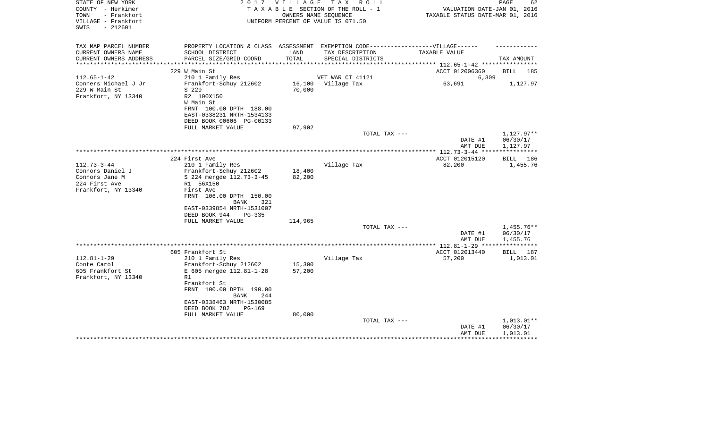| COUNTY - Herkimer<br>TAXABLE SECTION OF THE ROLL - 1<br>VALUATION DATE-JAN 01, 2016<br>TOWN<br>- Frankfort<br>OWNERS NAME SEQUENCE<br>TAXABLE STATUS DATE-MAR 01, 2016<br>VILLAGE - Frankfort<br>UNIFORM PERCENT OF VALUE IS 071.50<br>$-212601$<br>SWIS<br>PROPERTY LOCATION & CLASS ASSESSMENT EXEMPTION CODE-----------------VILLAGE------<br>TAX MAP PARCEL NUMBER<br>CURRENT OWNERS NAME<br>SCHOOL DISTRICT<br>LAND<br>TAX DESCRIPTION<br>TAXABLE VALUE<br>TOTAL<br>CURRENT OWNERS ADDRESS<br>PARCEL SIZE/GRID COORD<br>SPECIAL DISTRICTS<br>TAX AMOUNT | 185 |
|--------------------------------------------------------------------------------------------------------------------------------------------------------------------------------------------------------------------------------------------------------------------------------------------------------------------------------------------------------------------------------------------------------------------------------------------------------------------------------------------------------------------------------------------------------------|-----|
|                                                                                                                                                                                                                                                                                                                                                                                                                                                                                                                                                              |     |
|                                                                                                                                                                                                                                                                                                                                                                                                                                                                                                                                                              |     |
|                                                                                                                                                                                                                                                                                                                                                                                                                                                                                                                                                              |     |
|                                                                                                                                                                                                                                                                                                                                                                                                                                                                                                                                                              |     |
|                                                                                                                                                                                                                                                                                                                                                                                                                                                                                                                                                              |     |
|                                                                                                                                                                                                                                                                                                                                                                                                                                                                                                                                                              |     |
| ***********************                                                                                                                                                                                                                                                                                                                                                                                                                                                                                                                                      |     |
| ACCT 012006360<br>229 W Main St<br><b>BILL</b>                                                                                                                                                                                                                                                                                                                                                                                                                                                                                                               |     |
| $112.65 - 1 - 42$<br>210 1 Family Res<br>VET WAR CT 41121<br>6,309                                                                                                                                                                                                                                                                                                                                                                                                                                                                                           |     |
| Conners Michael J Jr<br>Frankfort-Schuy 212602<br>16,100<br>Village Tax<br>63,691<br>1,127.97                                                                                                                                                                                                                                                                                                                                                                                                                                                                |     |
| 229 W Main St<br>70,000<br>S 229                                                                                                                                                                                                                                                                                                                                                                                                                                                                                                                             |     |
| Frankfort, NY 13340<br>R2 100X150                                                                                                                                                                                                                                                                                                                                                                                                                                                                                                                            |     |
| W Main St                                                                                                                                                                                                                                                                                                                                                                                                                                                                                                                                                    |     |
| FRNT 100.00 DPTH 188.00                                                                                                                                                                                                                                                                                                                                                                                                                                                                                                                                      |     |
| EAST-0338231 NRTH-1534133                                                                                                                                                                                                                                                                                                                                                                                                                                                                                                                                    |     |
| DEED BOOK 00606 PG-00133<br>97,902<br>FULL MARKET VALUE                                                                                                                                                                                                                                                                                                                                                                                                                                                                                                      |     |
| 1,127.97**<br>TOTAL TAX ---                                                                                                                                                                                                                                                                                                                                                                                                                                                                                                                                  |     |
| 06/30/17<br>DATE #1                                                                                                                                                                                                                                                                                                                                                                                                                                                                                                                                          |     |
| AMT DUE<br>1,127.97                                                                                                                                                                                                                                                                                                                                                                                                                                                                                                                                          |     |
|                                                                                                                                                                                                                                                                                                                                                                                                                                                                                                                                                              |     |
| 224 First Ave<br>ACCT 012015120<br>BILL                                                                                                                                                                                                                                                                                                                                                                                                                                                                                                                      | 186 |
| $112.73 - 3 - 44$<br>210 1 Family Res<br>Village Tax<br>82,200<br>1,455.76                                                                                                                                                                                                                                                                                                                                                                                                                                                                                   |     |
| Connors Daniel J<br>Frankfort-Schuy 212602<br>18,400                                                                                                                                                                                                                                                                                                                                                                                                                                                                                                         |     |
| Connors Jane M<br>82,200<br>S 224 mergde 112.73-3-45<br>224 First Ave<br>R1 56X150                                                                                                                                                                                                                                                                                                                                                                                                                                                                           |     |
| Frankfort, NY 13340<br>First Ave                                                                                                                                                                                                                                                                                                                                                                                                                                                                                                                             |     |
| FRNT 106.00 DPTH 150.00                                                                                                                                                                                                                                                                                                                                                                                                                                                                                                                                      |     |
| 321<br>BANK                                                                                                                                                                                                                                                                                                                                                                                                                                                                                                                                                  |     |
| EAST-0339854 NRTH-1531007                                                                                                                                                                                                                                                                                                                                                                                                                                                                                                                                    |     |
| DEED BOOK 944<br>$PG-335$                                                                                                                                                                                                                                                                                                                                                                                                                                                                                                                                    |     |
| FULL MARKET VALUE<br>114,965                                                                                                                                                                                                                                                                                                                                                                                                                                                                                                                                 |     |
| TOTAL TAX ---<br>$1,455.76**$                                                                                                                                                                                                                                                                                                                                                                                                                                                                                                                                |     |
| 06/30/17<br>DATE #1<br>1,455.76<br>AMT DUE                                                                                                                                                                                                                                                                                                                                                                                                                                                                                                                   |     |
| ***********                                                                                                                                                                                                                                                                                                                                                                                                                                                                                                                                                  |     |
| 605 Frankfort St<br>ACCT 012013440<br>BILL 187                                                                                                                                                                                                                                                                                                                                                                                                                                                                                                               |     |
| $112.81 - 1 - 29$<br>57,200<br>1,013.01<br>210 1 Family Res<br>Village Tax                                                                                                                                                                                                                                                                                                                                                                                                                                                                                   |     |
| Conte Carol<br>Frankfort-Schuy 212602<br>15,300                                                                                                                                                                                                                                                                                                                                                                                                                                                                                                              |     |
| 605 Frankfort St<br>E 605 mergde 112.81-1-28<br>57,200<br>R1                                                                                                                                                                                                                                                                                                                                                                                                                                                                                                 |     |
| Frankfort, NY 13340<br>Frankfort St                                                                                                                                                                                                                                                                                                                                                                                                                                                                                                                          |     |
| FRNT 100.00 DPTH 190.00                                                                                                                                                                                                                                                                                                                                                                                                                                                                                                                                      |     |
| <b>BANK</b><br>244                                                                                                                                                                                                                                                                                                                                                                                                                                                                                                                                           |     |
| EAST-0338463 NRTH-1530085                                                                                                                                                                                                                                                                                                                                                                                                                                                                                                                                    |     |
| DEED BOOK 782<br>$PG-169$                                                                                                                                                                                                                                                                                                                                                                                                                                                                                                                                    |     |
| FULL MARKET VALUE<br>80,000                                                                                                                                                                                                                                                                                                                                                                                                                                                                                                                                  |     |
| TOTAL TAX ---<br>$1,013.01**$                                                                                                                                                                                                                                                                                                                                                                                                                                                                                                                                |     |
| 06/30/17<br>DATE #1                                                                                                                                                                                                                                                                                                                                                                                                                                                                                                                                          |     |
| 1,013.01<br>AMT DUE                                                                                                                                                                                                                                                                                                                                                                                                                                                                                                                                          |     |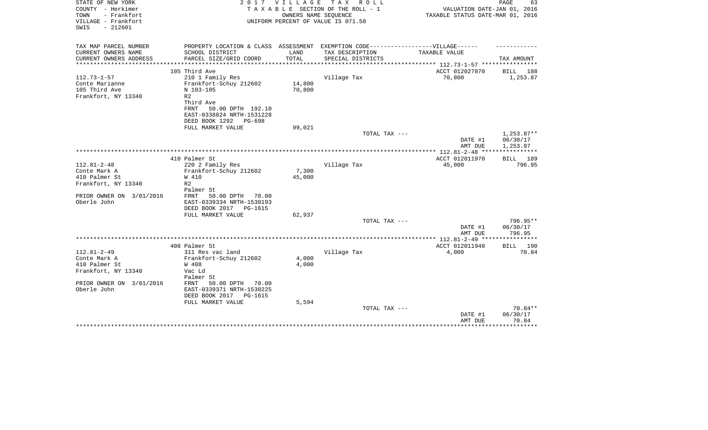| STATE OF NEW YORK<br>COUNTY - Herkimer<br>TOWN<br>- Frankfort<br>VILLAGE - Frankfort<br>$-212601$<br>SWIS | 2 0 1 7                                                  | <b>VILLAGE</b>   | T A X<br>R O L L<br>TAXABLE SECTION OF THE ROLL - 1<br>OWNERS NAME SEQUENCE<br>UNIFORM PERCENT OF VALUE IS 071.50 | VALUATION DATE-JAN 01, 2016<br>TAXABLE STATUS DATE-MAR 01, 2016 | PAGE<br>63            |
|-----------------------------------------------------------------------------------------------------------|----------------------------------------------------------|------------------|-------------------------------------------------------------------------------------------------------------------|-----------------------------------------------------------------|-----------------------|
|                                                                                                           |                                                          |                  |                                                                                                                   |                                                                 |                       |
| TAX MAP PARCEL NUMBER<br>CURRENT OWNERS NAME                                                              | PROPERTY LOCATION & CLASS ASSESSMENT<br>SCHOOL DISTRICT  | LAND             | EXEMPTION CODE------------------VILLAGE------<br>TAX DESCRIPTION                                                  | TAXABLE VALUE                                                   |                       |
| CURRENT OWNERS ADDRESS                                                                                    | PARCEL SIZE/GRID COORD                                   | TOTAL            | SPECIAL DISTRICTS                                                                                                 |                                                                 | TAX AMOUNT            |
| *********************                                                                                     |                                                          |                  |                                                                                                                   | **************** 112.73-1-57 *****************                  |                       |
|                                                                                                           | 105 Third Ave                                            |                  |                                                                                                                   | ACCT 012027870                                                  | 188<br>BILL           |
| $112.73 - 1 - 57$                                                                                         | 210 1 Family Res                                         |                  | Village Tax                                                                                                       | 70,800                                                          | 1,253.87              |
| Conte Marianne<br>105 Third Ave                                                                           | Frankfort-Schuy 212602<br>N 103-105                      | 14,800<br>70,800 |                                                                                                                   |                                                                 |                       |
| Frankfort, NY 13340                                                                                       | R <sub>2</sub>                                           |                  |                                                                                                                   |                                                                 |                       |
|                                                                                                           | Third Ave                                                |                  |                                                                                                                   |                                                                 |                       |
|                                                                                                           | 50.00 DPTH 192.10<br>FRNT                                |                  |                                                                                                                   |                                                                 |                       |
|                                                                                                           | EAST-0338824 NRTH-1531228                                |                  |                                                                                                                   |                                                                 |                       |
|                                                                                                           | DEED BOOK 1292<br>PG-698<br>FULL MARKET VALUE            | 99,021           |                                                                                                                   |                                                                 |                       |
|                                                                                                           |                                                          |                  | TOTAL TAX ---                                                                                                     |                                                                 | $1,253.87**$          |
|                                                                                                           |                                                          |                  |                                                                                                                   | DATE #1                                                         | 06/30/17              |
|                                                                                                           |                                                          |                  |                                                                                                                   | AMT DUE                                                         | 1,253.87              |
|                                                                                                           |                                                          |                  |                                                                                                                   |                                                                 |                       |
| $112.81 - 2 - 48$                                                                                         | 410 Palmer St<br>220 2 Family Res                        |                  | Village Tax                                                                                                       | ACCT 012011970<br>45,000                                        | BILL 189<br>796.95    |
| Conte Mark A                                                                                              | Frankfort-Schuy 212602                                   | 7,300            |                                                                                                                   |                                                                 |                       |
| 410 Palmer St                                                                                             | W 410                                                    | 45,000           |                                                                                                                   |                                                                 |                       |
| Frankfort, NY 13340                                                                                       | R <sub>2</sub>                                           |                  |                                                                                                                   |                                                                 |                       |
|                                                                                                           | Palmer St                                                |                  |                                                                                                                   |                                                                 |                       |
| PRIOR OWNER ON 3/01/2016<br>Oberle John                                                                   | 50.00 DPTH<br>FRNT<br>70.00<br>EAST-0339334 NRTH-1530193 |                  |                                                                                                                   |                                                                 |                       |
|                                                                                                           | DEED BOOK 2017<br>PG-1615                                |                  |                                                                                                                   |                                                                 |                       |
|                                                                                                           | FULL MARKET VALUE                                        | 62,937           |                                                                                                                   |                                                                 |                       |
|                                                                                                           |                                                          |                  | TOTAL TAX ---                                                                                                     |                                                                 | 796.95**              |
|                                                                                                           |                                                          |                  |                                                                                                                   | DATE #1                                                         | 06/30/17              |
|                                                                                                           |                                                          |                  |                                                                                                                   | AMT DUE                                                         | 796.95                |
|                                                                                                           | 408 Palmer St                                            |                  |                                                                                                                   | ACCT 012011940                                                  | 190<br><b>BILL</b>    |
| $112.81 - 2 - 49$                                                                                         | 311 Res vac land                                         |                  | Village Tax                                                                                                       | 4,000                                                           | 70.84                 |
| Conte Mark A                                                                                              | Frankfort-Schuy 212602                                   | 4,000            |                                                                                                                   |                                                                 |                       |
| 410 Palmer St                                                                                             | W 408                                                    | 4,000            |                                                                                                                   |                                                                 |                       |
| Frankfort, NY 13340                                                                                       | Vac Ld<br>Palmer St                                      |                  |                                                                                                                   |                                                                 |                       |
| PRIOR OWNER ON 3/01/2016                                                                                  | FRNT<br>50.00 DPTH<br>70.00                              |                  |                                                                                                                   |                                                                 |                       |
| Oberle John                                                                                               | EAST-0339371 NRTH-1530225                                |                  |                                                                                                                   |                                                                 |                       |
|                                                                                                           | DEED BOOK 2017<br>PG-1615                                |                  |                                                                                                                   |                                                                 |                       |
|                                                                                                           | FULL MARKET VALUE                                        | 5,594            |                                                                                                                   |                                                                 |                       |
|                                                                                                           |                                                          |                  | TOTAL TAX ---                                                                                                     | DATE #1                                                         | $70.84**$<br>06/30/17 |
|                                                                                                           |                                                          |                  |                                                                                                                   | AMT DUE                                                         | 70.84                 |
|                                                                                                           |                                                          |                  |                                                                                                                   |                                                                 |                       |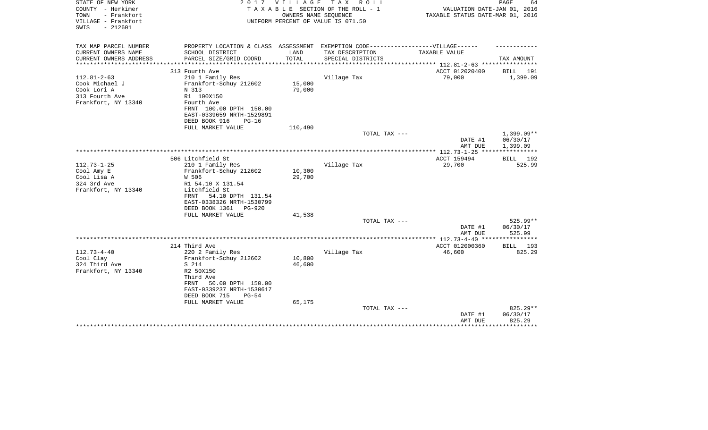| STATE OF NEW YORK<br>COUNTY - Herkimer<br>TOWN<br>- Frankfort<br>VILLAGE - Frankfort<br>$-212601$<br>SWIS | 2 0 1 7                                                                           | VILLAGE | T A X<br>R O L L<br>TAXABLE SECTION OF THE ROLL - 1<br>OWNERS NAME SEQUENCE<br>UNIFORM PERCENT OF VALUE IS 071.50 | VALUATION DATE-JAN 01, 2016<br>TAXABLE STATUS DATE-MAR 01, 2016 | PAGE<br>64                   |
|-----------------------------------------------------------------------------------------------------------|-----------------------------------------------------------------------------------|---------|-------------------------------------------------------------------------------------------------------------------|-----------------------------------------------------------------|------------------------------|
| TAX MAP PARCEL NUMBER                                                                                     | PROPERTY LOCATION & CLASS ASSESSMENT EXEMPTION CODE-----------------VILLAGE------ |         |                                                                                                                   |                                                                 |                              |
| CURRENT OWNERS NAME                                                                                       | SCHOOL DISTRICT                                                                   | LAND    | TAX DESCRIPTION                                                                                                   | TAXABLE VALUE                                                   |                              |
| CURRENT OWNERS ADDRESS<br>***************                                                                 | PARCEL SIZE/GRID COORD                                                            | TOTAL   | SPECIAL DISTRICTS                                                                                                 |                                                                 | TAX AMOUNT                   |
|                                                                                                           | 313 Fourth Ave                                                                    |         |                                                                                                                   | ACCT 012020400                                                  | BILL<br>191                  |
| $112.81 - 2 - 63$                                                                                         | 210 1 Family Res                                                                  |         | Village Tax                                                                                                       | 79,000                                                          | 1,399.09                     |
| Cook Michael J                                                                                            | Frankfort-Schuy 212602                                                            | 15,000  |                                                                                                                   |                                                                 |                              |
| Cook Lori A                                                                                               | N 313                                                                             | 79,000  |                                                                                                                   |                                                                 |                              |
| 313 Fourth Ave                                                                                            | R1 100X150                                                                        |         |                                                                                                                   |                                                                 |                              |
| Frankfort, NY 13340                                                                                       | Fourth Ave                                                                        |         |                                                                                                                   |                                                                 |                              |
|                                                                                                           | FRNT 100.00 DPTH 150.00                                                           |         |                                                                                                                   |                                                                 |                              |
|                                                                                                           | EAST-0339659 NRTH-1529891                                                         |         |                                                                                                                   |                                                                 |                              |
|                                                                                                           | DEED BOOK 916<br>$PG-16$                                                          |         |                                                                                                                   |                                                                 |                              |
|                                                                                                           | FULL MARKET VALUE                                                                 | 110,490 | TOTAL TAX ---                                                                                                     |                                                                 | $1,399.09**$                 |
|                                                                                                           |                                                                                   |         |                                                                                                                   | DATE #1                                                         | 06/30/17                     |
|                                                                                                           |                                                                                   |         |                                                                                                                   | AMT DUE                                                         | 1,399.09                     |
|                                                                                                           |                                                                                   |         |                                                                                                                   |                                                                 |                              |
|                                                                                                           | 506 Litchfield St                                                                 |         |                                                                                                                   | ACCT 159494                                                     | BILL 192                     |
| $112.73 - 1 - 25$                                                                                         | 210 1 Family Res                                                                  |         | Village Tax                                                                                                       | 29,700                                                          | 525.99                       |
| Cool Amy E                                                                                                | Frankfort-Schuy 212602                                                            | 10,300  |                                                                                                                   |                                                                 |                              |
| Cool Lisa A                                                                                               | W 506                                                                             | 29,700  |                                                                                                                   |                                                                 |                              |
| 324 3rd Ave                                                                                               | R1 54.10 X 131.54                                                                 |         |                                                                                                                   |                                                                 |                              |
| Frankfort, NY 13340                                                                                       | Litchfield St<br>54.10 DPTH 131.54<br>FRNT                                        |         |                                                                                                                   |                                                                 |                              |
|                                                                                                           | EAST-0338326 NRTH-1530799                                                         |         |                                                                                                                   |                                                                 |                              |
|                                                                                                           | DEED BOOK 1361<br><b>PG-920</b>                                                   |         |                                                                                                                   |                                                                 |                              |
|                                                                                                           | FULL MARKET VALUE                                                                 | 41,538  |                                                                                                                   |                                                                 |                              |
|                                                                                                           |                                                                                   |         | TOTAL TAX ---                                                                                                     |                                                                 | 525.99**                     |
|                                                                                                           |                                                                                   |         |                                                                                                                   | DATE #1                                                         | 06/30/17                     |
|                                                                                                           |                                                                                   |         |                                                                                                                   | AMT DUE                                                         | 525.99                       |
|                                                                                                           |                                                                                   |         |                                                                                                                   |                                                                 | * * * * * * * * *            |
| $112.73 - 4 - 40$                                                                                         | 214 Third Ave                                                                     |         |                                                                                                                   | ACCT 012000360                                                  | 193<br><b>BILL</b><br>825.29 |
| Cool Clay                                                                                                 | 220 2 Family Res<br>Frankfort-Schuy 212602                                        | 10,800  | Village Tax                                                                                                       | 46,600                                                          |                              |
| 324 Third Ave                                                                                             | S 214                                                                             | 46,600  |                                                                                                                   |                                                                 |                              |
| Frankfort, NY 13340                                                                                       | R2 50X150                                                                         |         |                                                                                                                   |                                                                 |                              |
|                                                                                                           | Third Ave                                                                         |         |                                                                                                                   |                                                                 |                              |
|                                                                                                           | 50.00 DPTH 150.00<br>FRNT                                                         |         |                                                                                                                   |                                                                 |                              |
|                                                                                                           | EAST-0339237 NRTH-1530617                                                         |         |                                                                                                                   |                                                                 |                              |
|                                                                                                           | DEED BOOK 715<br>$PG-54$                                                          |         |                                                                                                                   |                                                                 |                              |
|                                                                                                           | FULL MARKET VALUE                                                                 | 65,175  |                                                                                                                   |                                                                 |                              |
|                                                                                                           |                                                                                   |         | TOTAL TAX ---                                                                                                     |                                                                 | 825.29**                     |
|                                                                                                           |                                                                                   |         |                                                                                                                   | DATE #1<br>AMT DUE                                              | 06/30/17<br>825.29           |
|                                                                                                           |                                                                                   |         |                                                                                                                   |                                                                 | * * * * * * * * *            |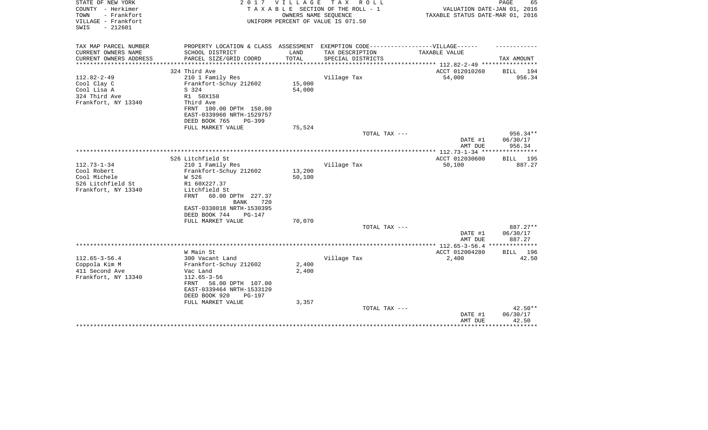| STATE OF NEW YORK<br>COUNTY - Herkimer<br>TOWN<br>- Frankfort<br>VILLAGE - Frankfort<br>$-212601$<br>SWIS | 2 0 1 7                                                                           | VILLAGE          | T A X<br>R O L L<br>TAXABLE SECTION OF THE ROLL - 1<br>OWNERS NAME SEQUENCE<br>UNIFORM PERCENT OF VALUE IS 071.50 | VALUATION DATE-JAN 01, 2016<br>TAXABLE STATUS DATE-MAR 01, 2016 | PAGE<br>65           |
|-----------------------------------------------------------------------------------------------------------|-----------------------------------------------------------------------------------|------------------|-------------------------------------------------------------------------------------------------------------------|-----------------------------------------------------------------|----------------------|
| TAX MAP PARCEL NUMBER                                                                                     | PROPERTY LOCATION & CLASS ASSESSMENT EXEMPTION CODE-----------------VILLAGE------ |                  |                                                                                                                   |                                                                 |                      |
| CURRENT OWNERS NAME                                                                                       | SCHOOL DISTRICT                                                                   | LAND             | TAX DESCRIPTION                                                                                                   | TAXABLE VALUE                                                   |                      |
| CURRENT OWNERS ADDRESS<br>***************                                                                 | PARCEL SIZE/GRID COORD                                                            | TOTAL            | SPECIAL DISTRICTS                                                                                                 | *************************** 112.82-2-49 ****************        | TAX AMOUNT           |
|                                                                                                           | 324 Third Ave                                                                     |                  |                                                                                                                   | ACCT 012010260                                                  | BILL<br>194          |
| $112.82 - 2 - 49$                                                                                         | 210 1 Family Res                                                                  |                  | Village Tax                                                                                                       | 54,000                                                          | 956.34               |
| Cool Clay C                                                                                               | Frankfort-Schuy 212602                                                            | 15,000           |                                                                                                                   |                                                                 |                      |
| Cool Lisa A                                                                                               | S 324                                                                             | 54,000           |                                                                                                                   |                                                                 |                      |
| 324 Third Ave                                                                                             | R1 50X150                                                                         |                  |                                                                                                                   |                                                                 |                      |
| Frankfort, NY 13340                                                                                       | Third Ave                                                                         |                  |                                                                                                                   |                                                                 |                      |
|                                                                                                           | FRNT 100.00 DPTH 150.00                                                           |                  |                                                                                                                   |                                                                 |                      |
|                                                                                                           | EAST-0339960 NRTH-1529757                                                         |                  |                                                                                                                   |                                                                 |                      |
|                                                                                                           | DEED BOOK 765<br>PG-399<br>FULL MARKET VALUE                                      | 75,524           |                                                                                                                   |                                                                 |                      |
|                                                                                                           |                                                                                   |                  | TOTAL TAX ---                                                                                                     |                                                                 | 956.34**             |
|                                                                                                           |                                                                                   |                  |                                                                                                                   | DATE #1                                                         | 06/30/17             |
|                                                                                                           |                                                                                   |                  |                                                                                                                   | AMT DUE                                                         | 956.34               |
|                                                                                                           |                                                                                   |                  |                                                                                                                   |                                                                 |                      |
|                                                                                                           | 526 Litchfield St                                                                 |                  |                                                                                                                   | ACCT 012030600                                                  | BILL<br>195          |
| $112.73 - 1 - 34$                                                                                         | 210 1 Family Res                                                                  |                  | Village Tax                                                                                                       | 50,100                                                          | 887.27               |
| Cool Robert<br>Cool Michele                                                                               | Frankfort-Schuy 212602<br>W 526                                                   | 13,200<br>50,100 |                                                                                                                   |                                                                 |                      |
| 526 Litchfield St                                                                                         | R1 60X227.37                                                                      |                  |                                                                                                                   |                                                                 |                      |
| Frankfort, NY 13340                                                                                       | Litchfield St                                                                     |                  |                                                                                                                   |                                                                 |                      |
|                                                                                                           | 60.00 DPTH 227.37<br>FRNT                                                         |                  |                                                                                                                   |                                                                 |                      |
|                                                                                                           | <b>BANK</b><br>720                                                                |                  |                                                                                                                   |                                                                 |                      |
|                                                                                                           | EAST-0338018 NRTH-1530395                                                         |                  |                                                                                                                   |                                                                 |                      |
|                                                                                                           | DEED BOOK 744<br>$PG-147$                                                         |                  |                                                                                                                   |                                                                 |                      |
|                                                                                                           | FULL MARKET VALUE                                                                 | 70,070           |                                                                                                                   |                                                                 |                      |
|                                                                                                           |                                                                                   |                  | TOTAL TAX ---                                                                                                     | DATE #1                                                         | 887.27**<br>06/30/17 |
|                                                                                                           |                                                                                   |                  |                                                                                                                   | AMT DUE                                                         | 887.27               |
|                                                                                                           |                                                                                   |                  |                                                                                                                   |                                                                 |                      |
|                                                                                                           | W Main St                                                                         |                  |                                                                                                                   | ACCT 012004280                                                  | BILL<br>196          |
| $112.65 - 3 - 56.4$                                                                                       | 300 Vacant Land                                                                   |                  | Village Tax                                                                                                       | 2,400                                                           | 42.50                |
| Coppola Kim M                                                                                             | Frankfort-Schuy 212602                                                            | 2,400            |                                                                                                                   |                                                                 |                      |
| 411 Second Ave                                                                                            | Vac Land                                                                          | 2,400            |                                                                                                                   |                                                                 |                      |
| Frankfort, NY 13340                                                                                       | $112.65 - 3 - 56$                                                                 |                  |                                                                                                                   |                                                                 |                      |
|                                                                                                           | 56.00 DPTH 107.00<br>FRNT                                                         |                  |                                                                                                                   |                                                                 |                      |
|                                                                                                           | EAST-0339464 NRTH-1533120<br>DEED BOOK 920<br><b>PG-197</b>                       |                  |                                                                                                                   |                                                                 |                      |
|                                                                                                           | FULL MARKET VALUE                                                                 | 3,357            |                                                                                                                   |                                                                 |                      |
|                                                                                                           |                                                                                   |                  | TOTAL TAX ---                                                                                                     |                                                                 | $42.50**$            |
|                                                                                                           |                                                                                   |                  |                                                                                                                   | DATE #1                                                         | 06/30/17             |
|                                                                                                           |                                                                                   |                  |                                                                                                                   | AMT DUE                                                         | 42.50                |
|                                                                                                           |                                                                                   |                  |                                                                                                                   |                                                                 | ********             |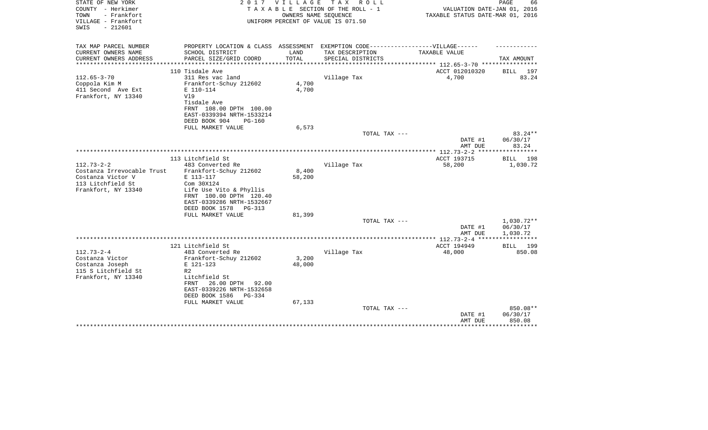| STATE OF NEW YORK<br>COUNTY - Herkimer<br>TOWN<br>- Frankfort<br>VILLAGE - Frankfort<br>$-212601$<br>SWIS | 2017                                                                              | <b>VILLAGE</b>        | T A X<br>R O L L<br>TAXABLE SECTION OF THE ROLL - 1<br>OWNERS NAME SEQUENCE<br>UNIFORM PERCENT OF VALUE IS 071.50 | VALUATION DATE-JAN 01, 2016<br>TAXABLE STATUS DATE-MAR 01, 2016 | PAGE<br>66           |
|-----------------------------------------------------------------------------------------------------------|-----------------------------------------------------------------------------------|-----------------------|-------------------------------------------------------------------------------------------------------------------|-----------------------------------------------------------------|----------------------|
|                                                                                                           |                                                                                   |                       |                                                                                                                   |                                                                 |                      |
| TAX MAP PARCEL NUMBER                                                                                     | PROPERTY LOCATION & CLASS ASSESSMENT EXEMPTION CODE-----------------VILLAGE------ |                       |                                                                                                                   |                                                                 |                      |
| CURRENT OWNERS NAME<br>CURRENT OWNERS ADDRESS                                                             | SCHOOL DISTRICT<br>PARCEL SIZE/GRID COORD                                         | LAND<br>TOTAL         | TAX DESCRIPTION<br>SPECIAL DISTRICTS                                                                              | <b>TAXABLE VALUE</b>                                            | TAX AMOUNT           |
| **********************                                                                                    |                                                                                   | ********************* |                                                                                                                   |                                                                 |                      |
|                                                                                                           | 110 Tisdale Ave                                                                   |                       |                                                                                                                   | ACCT 012010320                                                  | 197<br>BILL          |
| $112.65 - 3 - 70$                                                                                         | 311 Res vac land                                                                  |                       | Village Tax                                                                                                       | 4,700                                                           | 83.24                |
| Coppola Kim M                                                                                             | Frankfort-Schuy 212602                                                            | 4,700                 |                                                                                                                   |                                                                 |                      |
| 411 Second Ave Ext                                                                                        | E 110-114                                                                         | 4,700                 |                                                                                                                   |                                                                 |                      |
| Frankfort, NY 13340                                                                                       | V19<br>Tisdale Ave                                                                |                       |                                                                                                                   |                                                                 |                      |
|                                                                                                           | FRNT 108.00 DPTH 100.00                                                           |                       |                                                                                                                   |                                                                 |                      |
|                                                                                                           | EAST-0339394 NRTH-1533214                                                         |                       |                                                                                                                   |                                                                 |                      |
|                                                                                                           | DEED BOOK 904<br>$PG-160$                                                         |                       |                                                                                                                   |                                                                 |                      |
|                                                                                                           | FULL MARKET VALUE                                                                 | 6,573                 |                                                                                                                   |                                                                 |                      |
|                                                                                                           |                                                                                   |                       | TOTAL TAX ---                                                                                                     |                                                                 | $83.24**$            |
|                                                                                                           |                                                                                   |                       |                                                                                                                   | DATE #1<br>AMT DUE                                              | 06/30/17<br>83.24    |
|                                                                                                           |                                                                                   |                       |                                                                                                                   |                                                                 |                      |
|                                                                                                           | 113 Litchfield St                                                                 |                       |                                                                                                                   | ACCT 193715                                                     | BILL 198             |
| $112.73 - 2 - 2$                                                                                          | 483 Converted Re                                                                  |                       | Village Tax                                                                                                       | 58,200                                                          | 1,030.72             |
| Costanza Irrevocable Trust                                                                                | Frankfort-Schuy 212602                                                            | 8,400                 |                                                                                                                   |                                                                 |                      |
| Costanza Victor V                                                                                         | E 113-117                                                                         | 58,200                |                                                                                                                   |                                                                 |                      |
| 113 Litchfield St<br>Frankfort, NY 13340                                                                  | Com 30X124                                                                        |                       |                                                                                                                   |                                                                 |                      |
|                                                                                                           | Life Use Vito & Phyllis<br>FRNT 100.00 DPTH 120.40                                |                       |                                                                                                                   |                                                                 |                      |
|                                                                                                           | EAST-0339286 NRTH-1532667                                                         |                       |                                                                                                                   |                                                                 |                      |
|                                                                                                           | DEED BOOK 1578<br>PG-313                                                          |                       |                                                                                                                   |                                                                 |                      |
|                                                                                                           | FULL MARKET VALUE                                                                 | 81,399                |                                                                                                                   |                                                                 |                      |
|                                                                                                           |                                                                                   |                       | TOTAL TAX ---                                                                                                     |                                                                 | 1,030.72**           |
|                                                                                                           |                                                                                   |                       |                                                                                                                   | DATE #1<br>AMT DUE                                              | 06/30/17<br>1,030.72 |
|                                                                                                           |                                                                                   |                       |                                                                                                                   | **************** 112.73-2-4 *****                               | ***********          |
|                                                                                                           | 121 Litchfield St                                                                 |                       |                                                                                                                   | ACCT 194949                                                     | <b>BILL</b> 199      |
| $112.73 - 2 - 4$                                                                                          | 483 Converted Re                                                                  |                       | Village Tax                                                                                                       | 48,000                                                          | 850.08               |
| Costanza Victor                                                                                           | Frankfort-Schuy 212602                                                            | 3,200                 |                                                                                                                   |                                                                 |                      |
| Costanza Joseph                                                                                           | E 121-123                                                                         | 48,000                |                                                                                                                   |                                                                 |                      |
| 115 S Litchfield St<br>Frankfort, NY 13340                                                                | R <sub>2</sub><br>Litchfield St                                                   |                       |                                                                                                                   |                                                                 |                      |
|                                                                                                           | 26.00 DPTH<br>FRNT<br>92.00                                                       |                       |                                                                                                                   |                                                                 |                      |
|                                                                                                           | EAST-0339226 NRTH-1532658                                                         |                       |                                                                                                                   |                                                                 |                      |
|                                                                                                           | DEED BOOK 1586<br>$PG-334$                                                        |                       |                                                                                                                   |                                                                 |                      |
|                                                                                                           | FULL MARKET VALUE                                                                 | 67,133                |                                                                                                                   |                                                                 |                      |
|                                                                                                           |                                                                                   |                       | TOTAL TAX ---                                                                                                     |                                                                 | 850.08**             |
|                                                                                                           |                                                                                   |                       |                                                                                                                   | DATE #1<br>AMT DUE                                              | 06/30/17<br>850.08   |
|                                                                                                           |                                                                                   |                       |                                                                                                                   |                                                                 |                      |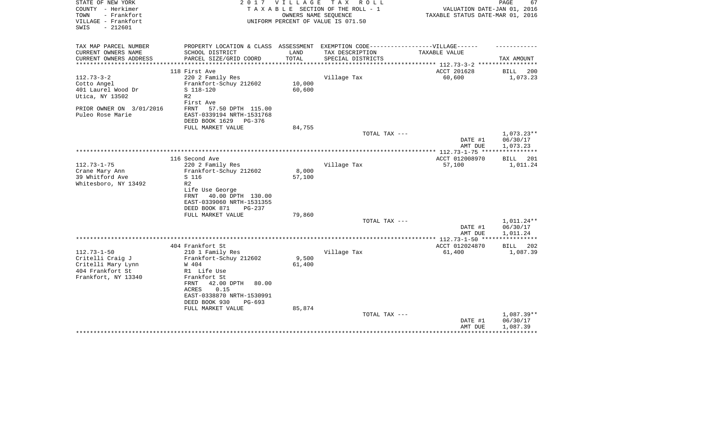| STATE OF NEW YORK        | 2 0 1 7                                                                          | VILLAGE | T A X<br>R O L L                   |                                  | 67<br>PAGE               |
|--------------------------|----------------------------------------------------------------------------------|---------|------------------------------------|----------------------------------|--------------------------|
| COUNTY - Herkimer        |                                                                                  |         | TAXABLE SECTION OF THE ROLL - 1    | VALUATION DATE-JAN 01, 2016      |                          |
| TOWN<br>- Frankfort      |                                                                                  |         | OWNERS NAME SEQUENCE               | TAXABLE STATUS DATE-MAR 01, 2016 |                          |
| VILLAGE - Frankfort      |                                                                                  |         | UNIFORM PERCENT OF VALUE IS 071.50 |                                  |                          |
| $-212601$<br>SWIS        |                                                                                  |         |                                    |                                  |                          |
|                          |                                                                                  |         |                                    |                                  |                          |
|                          |                                                                                  |         |                                    |                                  |                          |
| TAX MAP PARCEL NUMBER    | PROPERTY LOCATION & CLASS ASSESSMENT EXEMPTION CODE----------------VILLAGE------ |         |                                    |                                  |                          |
| CURRENT OWNERS NAME      | SCHOOL DISTRICT                                                                  | LAND    | TAX DESCRIPTION                    | TAXABLE VALUE                    |                          |
| CURRENT OWNERS ADDRESS   | PARCEL SIZE/GRID COORD                                                           | TOTAL   | SPECIAL DISTRICTS                  | *********** 112.73-3-2 ****      | TAX AMOUNT               |
|                          | 118 First Ave                                                                    |         |                                    | ACCT 201628                      | <b>BILL</b><br>200       |
| $112.73 - 3 - 2$         |                                                                                  |         |                                    |                                  |                          |
|                          | 220 2 Family Res                                                                 |         | Village Tax                        | 60,600                           | 1,073.23                 |
| Cotto Angel              | Frankfort-Schuy 212602                                                           | 10,000  |                                    |                                  |                          |
| 401 Laurel Wood Dr       | S 118-120                                                                        | 60,600  |                                    |                                  |                          |
| Utica, NY 13502          | R <sub>2</sub>                                                                   |         |                                    |                                  |                          |
|                          | First Ave                                                                        |         |                                    |                                  |                          |
| PRIOR OWNER ON 3/01/2016 | FRNT<br>57.50 DPTH 115.00                                                        |         |                                    |                                  |                          |
| Puleo Rose Marie         | EAST-0339194 NRTH-1531768                                                        |         |                                    |                                  |                          |
|                          | DEED BOOK 1629<br>PG-376                                                         |         |                                    |                                  |                          |
|                          | FULL MARKET VALUE                                                                | 84,755  |                                    |                                  |                          |
|                          |                                                                                  |         | TOTAL TAX ---                      |                                  | $1,073.23**$             |
|                          |                                                                                  |         |                                    | DATE #1                          | 06/30/17                 |
|                          |                                                                                  |         |                                    | AMT DUE                          | 1,073.23                 |
|                          |                                                                                  |         |                                    | ************** 112.73-1-75 ***   |                          |
|                          | 116 Second Ave                                                                   |         |                                    | ACCT 012008970                   | 201<br><b>BILL</b>       |
| $112.73 - 1 - 75$        | 220 2 Family Res                                                                 |         | Village Tax                        | 57,100                           | 1,011.24                 |
| Crane Mary Ann           | Frankfort-Schuy 212602                                                           | 8,000   |                                    |                                  |                          |
| 39 Whitford Ave          | S 116                                                                            | 57,100  |                                    |                                  |                          |
| Whitesboro, NY 13492     | R <sub>2</sub>                                                                   |         |                                    |                                  |                          |
|                          | Life Use George                                                                  |         |                                    |                                  |                          |
|                          | 40.00 DPTH 130.00<br>FRNT                                                        |         |                                    |                                  |                          |
|                          | EAST-0339060 NRTH-1531355                                                        |         |                                    |                                  |                          |
|                          |                                                                                  |         |                                    |                                  |                          |
|                          | DEED BOOK 871<br>PG-237                                                          |         |                                    |                                  |                          |
|                          | FULL MARKET VALUE                                                                | 79,860  |                                    |                                  |                          |
|                          |                                                                                  |         | TOTAL TAX ---                      |                                  | 1,011.24**               |
|                          |                                                                                  |         |                                    | DATE #1                          | 06/30/17                 |
|                          |                                                                                  |         |                                    | AMT DUE                          | 1,011.24<br>************ |
|                          |                                                                                  |         |                                    | *** 112.73-1-50 ****             |                          |
|                          | 404 Frankfort St                                                                 |         |                                    | ACCT 012024870                   | 202<br>BILL              |
| $112.73 - 1 - 50$        | 210 1 Family Res                                                                 |         | Village Tax                        | 61,400                           | 1,087.39                 |
| Critelli Craig J         | Frankfort-Schuy 212602                                                           | 9,500   |                                    |                                  |                          |
| Critelli Mary Lynn       | W 404                                                                            | 61,400  |                                    |                                  |                          |
| 404 Frankfort St         | R1 Life Use                                                                      |         |                                    |                                  |                          |
| Frankfort, NY 13340      | Frankfort St                                                                     |         |                                    |                                  |                          |
|                          | 42.00 DPTH<br>FRNT<br>80.00                                                      |         |                                    |                                  |                          |
|                          | 0.15<br>ACRES                                                                    |         |                                    |                                  |                          |
|                          | EAST-0338870 NRTH-1530991                                                        |         |                                    |                                  |                          |
|                          | DEED BOOK 930<br>PG-693                                                          |         |                                    |                                  |                          |
|                          | FULL MARKET VALUE                                                                | 85,874  |                                    |                                  |                          |
|                          |                                                                                  |         | TOTAL TAX ---                      |                                  | 1,087.39**               |
|                          |                                                                                  |         |                                    | DATE #1                          | 06/30/17                 |
|                          |                                                                                  |         |                                    | AMT DUE                          | 1,087.39                 |
|                          |                                                                                  |         |                                    |                                  |                          |
|                          |                                                                                  |         |                                    |                                  |                          |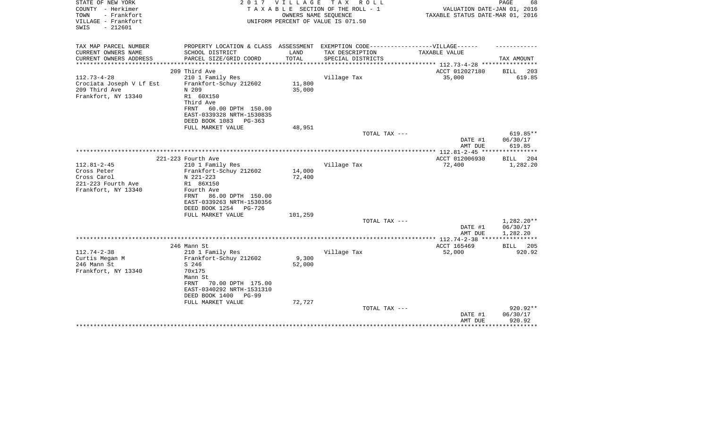| STATE OF NEW YORK<br>COUNTY - Herkimer<br>- Frankfort<br>TOWN<br>VILLAGE - Frankfort<br>$-212601$<br>SWIS | 2 0 1 7                                                                           | VILLAGE | TAX ROLL<br>TAXABLE SECTION OF THE ROLL - 1<br>OWNERS NAME SEQUENCE<br>UNIFORM PERCENT OF VALUE IS 071.50 | VALUATION DATE-JAN 01, 2016<br>TAXABLE STATUS DATE-MAR 01, 2016 | PAGE<br>68               |
|-----------------------------------------------------------------------------------------------------------|-----------------------------------------------------------------------------------|---------|-----------------------------------------------------------------------------------------------------------|-----------------------------------------------------------------|--------------------------|
| TAX MAP PARCEL NUMBER                                                                                     | PROPERTY LOCATION & CLASS ASSESSMENT EXEMPTION CODE-----------------VILLAGE------ |         |                                                                                                           |                                                                 |                          |
| CURRENT OWNERS NAME                                                                                       | SCHOOL DISTRICT                                                                   | LAND    | TAX DESCRIPTION                                                                                           | TAXABLE VALUE                                                   |                          |
| CURRENT OWNERS ADDRESS<br>**********************                                                          | PARCEL SIZE/GRID COORD                                                            | TOTAL   | SPECIAL DISTRICTS                                                                                         |                                                                 | TAX AMOUNT               |
|                                                                                                           | 209 Third Ave                                                                     |         |                                                                                                           | ACCT 012027180                                                  | 203<br>BILL              |
| $112.73 - 4 - 28$                                                                                         | 210 1 Family Res                                                                  |         | Village Tax                                                                                               | 35,000                                                          | 619.85                   |
| Crociata Joseph V Lf Est                                                                                  | Frankfort-Schuy 212602                                                            | 11,800  |                                                                                                           |                                                                 |                          |
| 209 Third Ave                                                                                             | N 209                                                                             | 35,000  |                                                                                                           |                                                                 |                          |
| Frankfort, NY 13340                                                                                       | R1 60X150                                                                         |         |                                                                                                           |                                                                 |                          |
|                                                                                                           | Third Ave                                                                         |         |                                                                                                           |                                                                 |                          |
|                                                                                                           | 60.00 DPTH 150.00<br>FRNT<br>EAST-0339328 NRTH-1530835                            |         |                                                                                                           |                                                                 |                          |
|                                                                                                           | DEED BOOK 1083<br>$PG-363$                                                        |         |                                                                                                           |                                                                 |                          |
|                                                                                                           | FULL MARKET VALUE                                                                 | 48,951  |                                                                                                           |                                                                 |                          |
|                                                                                                           |                                                                                   |         | TOTAL TAX ---                                                                                             |                                                                 | 619.85**                 |
|                                                                                                           |                                                                                   |         |                                                                                                           | DATE #1                                                         | 06/30/17                 |
|                                                                                                           |                                                                                   |         |                                                                                                           | AMT DUE                                                         | 619.85                   |
|                                                                                                           | 221-223 Fourth Ave                                                                |         |                                                                                                           | ACCT 012006930                                                  | 204<br>BILL              |
| $112.81 - 2 - 45$                                                                                         | 210 1 Family Res                                                                  |         | Village Tax                                                                                               | 72,400                                                          | 1,282.20                 |
| Cross Peter                                                                                               | Frankfort-Schuy 212602                                                            | 14,000  |                                                                                                           |                                                                 |                          |
| Cross Carol                                                                                               | N 221-223                                                                         | 72,400  |                                                                                                           |                                                                 |                          |
| 221-223 Fourth Ave                                                                                        | R1 86X150                                                                         |         |                                                                                                           |                                                                 |                          |
| Frankfort, NY 13340                                                                                       | Fourth Ave                                                                        |         |                                                                                                           |                                                                 |                          |
|                                                                                                           | 86.00 DPTH 150.00<br>FRNT<br>EAST-0339263 NRTH-1530356                            |         |                                                                                                           |                                                                 |                          |
|                                                                                                           | DEED BOOK 1254<br>PG-726                                                          |         |                                                                                                           |                                                                 |                          |
|                                                                                                           | FULL MARKET VALUE                                                                 | 101,259 |                                                                                                           |                                                                 |                          |
|                                                                                                           |                                                                                   |         | TOTAL TAX ---                                                                                             |                                                                 | $1,282.20**$             |
|                                                                                                           |                                                                                   |         |                                                                                                           | DATE #1                                                         | 06/30/17                 |
|                                                                                                           |                                                                                   |         |                                                                                                           | AMT DUE                                                         | 1,282.20<br>************ |
|                                                                                                           | 246 Mann St                                                                       |         |                                                                                                           | ACCT 165469                                                     | BILL<br>205              |
| $112.74 - 2 - 38$                                                                                         | 210 1 Family Res                                                                  |         | Village Tax                                                                                               | 52,000                                                          | 920.92                   |
| Curtis Megan M                                                                                            | Frankfort-Schuy 212602                                                            | 9,300   |                                                                                                           |                                                                 |                          |
| 246 Mann St                                                                                               | S 246                                                                             | 52,000  |                                                                                                           |                                                                 |                          |
| Frankfort, NY 13340                                                                                       | 70x175                                                                            |         |                                                                                                           |                                                                 |                          |
|                                                                                                           | Mann St                                                                           |         |                                                                                                           |                                                                 |                          |
|                                                                                                           | 70.00 DPTH 175.00<br>FRNT                                                         |         |                                                                                                           |                                                                 |                          |
|                                                                                                           | EAST-0340292 NRTH-1531310<br>DEED BOOK 1400<br>PG-99                              |         |                                                                                                           |                                                                 |                          |
|                                                                                                           | FULL MARKET VALUE                                                                 | 72,727  |                                                                                                           |                                                                 |                          |
|                                                                                                           |                                                                                   |         | TOTAL TAX ---                                                                                             |                                                                 | 920.92**                 |
|                                                                                                           |                                                                                   |         |                                                                                                           | DATE #1                                                         | 06/30/17                 |
|                                                                                                           |                                                                                   |         |                                                                                                           | AMT DUE                                                         | 920.92                   |
|                                                                                                           |                                                                                   |         |                                                                                                           |                                                                 | *******                  |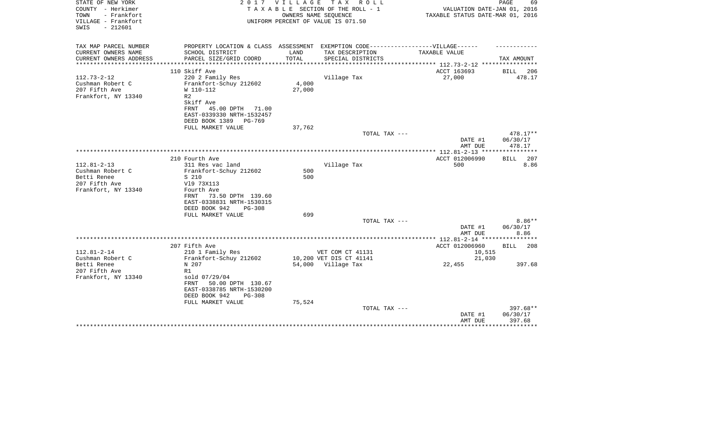| STATE OF NEW YORK<br>COUNTY - Herkimer<br>TOWN<br>- Frankfort<br>VILLAGE - Frankfort<br>$-212601$<br>SWIS | 2017                                                                                                                                               | <b>VILLAGE</b><br>OWNERS NAME SEQUENCE | T A X<br>R O L L<br>TAXABLE SECTION OF THE ROLL - 1<br>UNIFORM PERCENT OF VALUE IS 071.50 | VALUATION DATE-JAN 01, 2016<br>TAXABLE STATUS DATE-MAR 01, 2016 | PAGE<br>69                   |
|-----------------------------------------------------------------------------------------------------------|----------------------------------------------------------------------------------------------------------------------------------------------------|----------------------------------------|-------------------------------------------------------------------------------------------|-----------------------------------------------------------------|------------------------------|
| TAX MAP PARCEL NUMBER                                                                                     | PROPERTY LOCATION & CLASS ASSESSMENT EXEMPTION CODE-----------------VILLAGE------                                                                  |                                        |                                                                                           |                                                                 |                              |
| CURRENT OWNERS NAME<br>CURRENT OWNERS ADDRESS                                                             | SCHOOL DISTRICT<br>PARCEL SIZE/GRID COORD                                                                                                          | LAND<br>TOTAL                          | TAX DESCRIPTION<br>SPECIAL DISTRICTS                                                      | TAXABLE VALUE                                                   | TAX AMOUNT                   |
|                                                                                                           |                                                                                                                                                    |                                        |                                                                                           |                                                                 |                              |
|                                                                                                           | 110 Skiff Ave                                                                                                                                      |                                        |                                                                                           | ACCT 163693                                                     | 206<br>BILL                  |
| $112.73 - 2 - 12$<br>Cushman Robert C<br>207 Fifth Ave<br>Frankfort, NY 13340                             | 220 2 Family Res<br>Frankfort-Schuy 212602<br>W 110-112<br>R <sub>2</sub><br>Skiff Ave<br>FRNT<br>45.00 DPTH<br>71.00<br>EAST-0339330 NRTH-1532457 | 4,000<br>27,000                        | Village Tax                                                                               | 27,000                                                          | 478.17                       |
|                                                                                                           | DEED BOOK 1389<br>PG-769<br>FULL MARKET VALUE                                                                                                      | 37,762                                 |                                                                                           |                                                                 |                              |
|                                                                                                           |                                                                                                                                                    |                                        | TOTAL TAX ---                                                                             |                                                                 | 478.17**                     |
|                                                                                                           |                                                                                                                                                    |                                        |                                                                                           | DATE #1<br>AMT DUE                                              | 06/30/17<br>478.17           |
|                                                                                                           |                                                                                                                                                    |                                        |                                                                                           |                                                                 |                              |
| $112.81 - 2 - 13$                                                                                         | 210 Fourth Ave<br>311 Res vac land                                                                                                                 |                                        | Village Tax                                                                               | ACCT 012006990<br>500                                           | 207<br>BILL<br>8.86          |
| Cushman Robert C<br>Betti Renee<br>207 Fifth Ave<br>Frankfort, NY 13340                                   | Frankfort-Schuy 212602<br>S 210<br>V19 73X113<br>Fourth Ave<br>73.50 DPTH 139.60<br>FRNT<br>EAST-0338831 NRTH-1530315                              | 500<br>500                             |                                                                                           |                                                                 |                              |
|                                                                                                           | DEED BOOK 942<br>$PG-308$                                                                                                                          |                                        |                                                                                           |                                                                 |                              |
|                                                                                                           | FULL MARKET VALUE                                                                                                                                  | 699                                    |                                                                                           |                                                                 |                              |
|                                                                                                           |                                                                                                                                                    |                                        | TOTAL TAX ---                                                                             | DATE #1<br>AMT DUE                                              | $8.86**$<br>06/30/17<br>8.86 |
|                                                                                                           |                                                                                                                                                    |                                        |                                                                                           | ************ 112.81-2-14 *****************                      |                              |
|                                                                                                           | 207 Fifth Ave                                                                                                                                      |                                        |                                                                                           | ACCT 012006960                                                  | BILL<br>208                  |
| $112.81 - 2 - 14$                                                                                         | 210 1 Family Res                                                                                                                                   |                                        | VET COM CT 41131                                                                          | 10,515                                                          |                              |
| Cushman Robert C<br>Betti Renee                                                                           | Frankfort-Schuy 212602<br>N 207                                                                                                                    |                                        | 10,200 VET DIS CT 41141<br>54,000 Village Tax                                             | 21,030<br>22,455                                                | 397.68                       |
| 207 Fifth Ave<br>Frankfort, NY 13340                                                                      | R1<br>sold 07/29/04<br>50.00 DPTH 130.67<br>FRNT<br>EAST-0338785 NRTH-1530200<br>DEED BOOK 942<br>$PG-308$                                         |                                        |                                                                                           |                                                                 |                              |
|                                                                                                           | FULL MARKET VALUE                                                                                                                                  | 75,524                                 | TOTAL TAX ---                                                                             |                                                                 | 397.68**                     |
|                                                                                                           |                                                                                                                                                    |                                        |                                                                                           | DATE #1<br>AMT DUE                                              | 06/30/17<br>397.68           |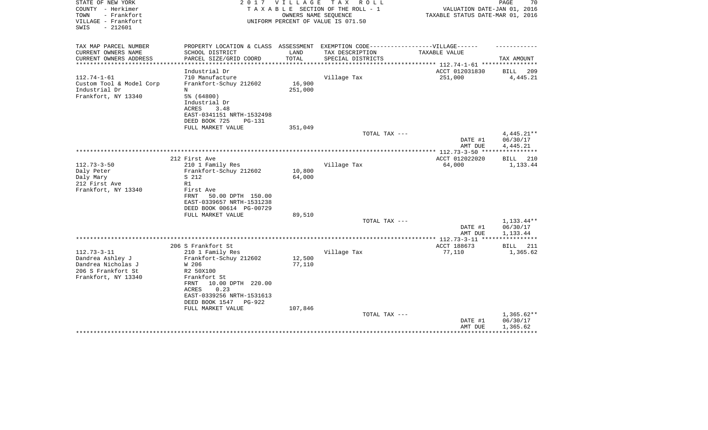| STATE OF NEW YORK<br>COUNTY - Herkimer<br>TOWN<br>- Frankfort<br>VILLAGE - Frankfort<br>$-212601$<br>SWIS | 2017                                                                                                                                  | VILLAGE            | TAX ROLL<br>TAXABLE SECTION OF THE ROLL - 1<br>OWNERS NAME SEQUENCE<br>UNIFORM PERCENT OF VALUE IS 071.50 | VALUATION DATE-JAN 01, 2016<br>TAXABLE STATUS DATE-MAR 01, 2016 | PAGE<br>70                           |
|-----------------------------------------------------------------------------------------------------------|---------------------------------------------------------------------------------------------------------------------------------------|--------------------|-----------------------------------------------------------------------------------------------------------|-----------------------------------------------------------------|--------------------------------------|
| TAX MAP PARCEL NUMBER                                                                                     | PROPERTY LOCATION & CLASS ASSESSMENT EXEMPTION CODE-----------------VILLAGE------                                                     |                    |                                                                                                           |                                                                 |                                      |
| CURRENT OWNERS NAME<br>CURRENT OWNERS ADDRESS                                                             | SCHOOL DISTRICT<br>PARCEL SIZE/GRID COORD                                                                                             | LAND<br>TOTAL      | TAX DESCRIPTION<br>SPECIAL DISTRICTS                                                                      | TAXABLE VALUE                                                   | TAX AMOUNT                           |
| **********************                                                                                    |                                                                                                                                       |                    |                                                                                                           |                                                                 |                                      |
| $112.74 - 1 - 61$<br>Custom Tool & Model Corp                                                             | Industrial Dr<br>710 Manufacture<br>Frankfort-Schuy 212602                                                                            | 16,900             | Village Tax                                                                                               | ACCT 012031830<br>251,000                                       | 209<br>BILL<br>4,445.21              |
| Industrial Dr<br>Frankfort, NY 13340                                                                      | N<br>5% (64800)<br>Industrial Dr<br>ACRES<br>3.48<br>EAST-0341151 NRTH-1532498<br>DEED BOOK 725<br><b>PG-131</b><br>FULL MARKET VALUE | 251,000<br>351,049 |                                                                                                           |                                                                 |                                      |
|                                                                                                           |                                                                                                                                       |                    | TOTAL TAX ---                                                                                             |                                                                 | $4,445.21**$                         |
|                                                                                                           |                                                                                                                                       |                    |                                                                                                           | DATE #1<br>AMT DUE                                              | 06/30/17<br>4,445.21                 |
|                                                                                                           |                                                                                                                                       |                    |                                                                                                           |                                                                 |                                      |
| $112.73 - 3 - 50$                                                                                         | 212 First Ave<br>210 1 Family Res                                                                                                     |                    | Village Tax                                                                                               | ACCT 012022020<br>64,000                                        | 210<br>BILL<br>1,133.44              |
| Daly Peter                                                                                                | Frankfort-Schuy 212602                                                                                                                | 10,800             |                                                                                                           |                                                                 |                                      |
| Daly Mary                                                                                                 | S 212                                                                                                                                 | 64,000             |                                                                                                           |                                                                 |                                      |
| 212 First Ave                                                                                             | R1                                                                                                                                    |                    |                                                                                                           |                                                                 |                                      |
| Frankfort, NY 13340                                                                                       | First Ave<br>FRNT<br>50.00 DPTH 150.00<br>EAST-0339657 NRTH-1531238<br>DEED BOOK 00614 PG-00729<br>FULL MARKET VALUE                  | 89,510             |                                                                                                           |                                                                 |                                      |
|                                                                                                           |                                                                                                                                       |                    | TOTAL TAX ---                                                                                             |                                                                 | $1,133.44**$                         |
|                                                                                                           |                                                                                                                                       |                    |                                                                                                           | DATE #1<br>AMT DUE                                              | 06/30/17<br>1,133.44                 |
|                                                                                                           |                                                                                                                                       |                    |                                                                                                           | **************** 112.73-3-11 ***                                |                                      |
|                                                                                                           | 206 S Frankfort St                                                                                                                    |                    |                                                                                                           | ACCT 188673                                                     | BILL<br>211                          |
| $112.73 - 3 - 11$                                                                                         | 210 1 Family Res                                                                                                                      |                    | Village Tax                                                                                               | 77,110                                                          | 1,365.62                             |
| Dandrea Ashley J<br>Dandrea Nicholas J                                                                    | Frankfort-Schuy 212602<br>W 206                                                                                                       | 12,500<br>77,110   |                                                                                                           |                                                                 |                                      |
| 206 S Frankfort St                                                                                        | R2 50X100                                                                                                                             |                    |                                                                                                           |                                                                 |                                      |
| Frankfort, NY 13340                                                                                       | Frankfort St<br>10.00 DPTH 220.00<br>FRNT<br>0.23<br>ACRES                                                                            |                    |                                                                                                           |                                                                 |                                      |
|                                                                                                           | EAST-0339256 NRTH-1531613<br>DEED BOOK 1547<br>PG-922<br>FULL MARKET VALUE                                                            | 107,846            |                                                                                                           |                                                                 |                                      |
|                                                                                                           |                                                                                                                                       |                    | TOTAL TAX ---                                                                                             | DATE #1<br>AMT DUE                                              | $1,365.62**$<br>06/30/17<br>1,365.62 |
|                                                                                                           |                                                                                                                                       |                    |                                                                                                           |                                                                 |                                      |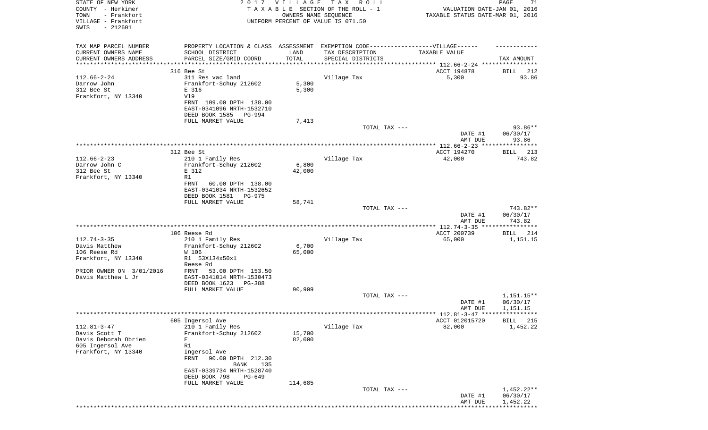| STATE OF NEW YORK<br>COUNTY - Herkimer                          |                                                                                   | 2017 VILLAGE         | TAX ROLL<br>TAXABLE SECTION OF THE ROLL - 1 | VALUATION DATE-JAN 01, 2016                                     | PAGE<br>71               |
|-----------------------------------------------------------------|-----------------------------------------------------------------------------------|----------------------|---------------------------------------------|-----------------------------------------------------------------|--------------------------|
| TOWN<br>- Frankfort<br>VILLAGE - Frankfort<br>SWIS<br>$-212601$ |                                                                                   | OWNERS NAME SEQUENCE | UNIFORM PERCENT OF VALUE IS 071.50          | TAXABLE STATUS DATE-MAR 01, 2016                                |                          |
| TAX MAP PARCEL NUMBER                                           | PROPERTY LOCATION & CLASS ASSESSMENT EXEMPTION CODE-----------------VILLAGE------ |                      |                                             |                                                                 |                          |
| CURRENT OWNERS NAME                                             | SCHOOL DISTRICT                                                                   | LAND                 | TAX DESCRIPTION                             | TAXABLE VALUE                                                   |                          |
| CURRENT OWNERS ADDRESS                                          | PARCEL SIZE/GRID COORD                                                            | TOTAL                | SPECIAL DISTRICTS                           |                                                                 | TAX AMOUNT               |
| *******************                                             |                                                                                   |                      |                                             | ********************************* 112.66-2-24 ***************** |                          |
|                                                                 | 316 Bee St                                                                        |                      |                                             | ACCT 194878                                                     | BILL<br>212              |
| $112.66 - 2 - 24$                                               | 311 Res vac land                                                                  |                      | Village Tax                                 | 5,300                                                           | 93.86                    |
| Darrow John<br>312 Bee St                                       | Frankfort-Schuy 212602<br>E 316                                                   | 5,300                |                                             |                                                                 |                          |
| Frankfort, NY 13340                                             | V19                                                                               | 5,300                |                                             |                                                                 |                          |
|                                                                 | FRNT 109.00 DPTH 138.00                                                           |                      |                                             |                                                                 |                          |
|                                                                 | EAST-0341096 NRTH-1532710                                                         |                      |                                             |                                                                 |                          |
|                                                                 | DEED BOOK 1585<br>PG-994                                                          |                      |                                             |                                                                 |                          |
|                                                                 | FULL MARKET VALUE                                                                 | 7,413                |                                             |                                                                 |                          |
|                                                                 |                                                                                   |                      | TOTAL TAX ---                               |                                                                 | 93.86**                  |
|                                                                 |                                                                                   |                      |                                             | DATE #1<br>AMT DUE                                              | 06/30/17<br>93.86        |
|                                                                 |                                                                                   |                      |                                             | ACCT 194270                                                     |                          |
| $112.66 - 2 - 23$                                               | 312 Bee St<br>210 1 Family Res                                                    |                      | Village Tax                                 | 42,000                                                          | BILL 213<br>743.82       |
| Darrow John C                                                   | Frankfort-Schuy 212602                                                            | 6,800                |                                             |                                                                 |                          |
| 312 Bee St                                                      | E 312                                                                             | 42,000               |                                             |                                                                 |                          |
| Frankfort, NY 13340                                             | R1                                                                                |                      |                                             |                                                                 |                          |
|                                                                 | 60.00 DPTH 138.00<br>FRNT                                                         |                      |                                             |                                                                 |                          |
|                                                                 | EAST-0341034 NRTH-1532652                                                         |                      |                                             |                                                                 |                          |
|                                                                 | DEED BOOK 1581<br>PG-975                                                          |                      |                                             |                                                                 |                          |
|                                                                 | FULL MARKET VALUE                                                                 | 58,741               |                                             |                                                                 |                          |
|                                                                 |                                                                                   |                      | TOTAL TAX ---                               | DATE #1                                                         | 743.82**<br>06/30/17     |
|                                                                 |                                                                                   |                      |                                             | AMT DUE                                                         | 743.82                   |
|                                                                 |                                                                                   |                      |                                             |                                                                 |                          |
|                                                                 | 106 Reese Rd                                                                      |                      |                                             | ACCT 200739                                                     | BILL<br>214              |
| $112.74 - 3 - 35$                                               | 210 1 Family Res                                                                  |                      | Village Tax                                 | 65,000                                                          | 1,151.15                 |
| Davis Matthew                                                   | Frankfort-Schuy 212602                                                            | 6,700                |                                             |                                                                 |                          |
| 106 Reese Rd                                                    | W 106                                                                             | 65,000               |                                             |                                                                 |                          |
| Frankfort, NY 13340                                             | R1 53X134x50x1                                                                    |                      |                                             |                                                                 |                          |
|                                                                 | Reese Rd                                                                          |                      |                                             |                                                                 |                          |
| PRIOR OWNER ON 3/01/2016<br>Davis Matthew L Jr                  | 53.00 DPTH 153.50<br>FRNT<br>EAST-0341014 NRTH-1530473                            |                      |                                             |                                                                 |                          |
|                                                                 | DEED BOOK 1623<br>PG-388                                                          |                      |                                             |                                                                 |                          |
|                                                                 | FULL MARKET VALUE                                                                 | 90,909               |                                             |                                                                 |                          |
|                                                                 |                                                                                   |                      | TOTAL TAX ---                               |                                                                 | 1,151.15**               |
|                                                                 |                                                                                   |                      |                                             | DATE #1                                                         | 06/30/17                 |
|                                                                 |                                                                                   |                      |                                             | AMT DUE                                                         | 1,151.15                 |
|                                                                 |                                                                                   |                      |                                             | ****** 112.81-3-47 *****************                            |                          |
|                                                                 | 605 Ingersol Ave                                                                  |                      |                                             | ACCT 012015720                                                  | 215<br><b>BILL</b>       |
| $112.81 - 3 - 47$<br>Davis Scott T                              | 210 1 Family Res                                                                  | 15,700               | Village Tax                                 | 82,000                                                          | 1,452.22                 |
| Davis Deborah Obrien                                            | Frankfort-Schuy 212602<br>Е                                                       | 82,000               |                                             |                                                                 |                          |
| 605 Ingersol Ave                                                | R1                                                                                |                      |                                             |                                                                 |                          |
| Frankfort, NY 13340                                             | Ingersol Ave                                                                      |                      |                                             |                                                                 |                          |
|                                                                 | FRNT<br>90.00 DPTH 212.30                                                         |                      |                                             |                                                                 |                          |
|                                                                 | 135<br>BANK                                                                       |                      |                                             |                                                                 |                          |
|                                                                 | EAST-0339734 NRTH-1528740                                                         |                      |                                             |                                                                 |                          |
|                                                                 | DEED BOOK 798<br>PG-649                                                           |                      |                                             |                                                                 |                          |
|                                                                 | FULL MARKET VALUE                                                                 | 114,685              |                                             |                                                                 |                          |
|                                                                 |                                                                                   |                      | TOTAL TAX ---                               |                                                                 | $1,452.22**$<br>06/30/17 |
|                                                                 |                                                                                   |                      |                                             | DATE #1<br>AMT DUE                                              | 1,452.22                 |
|                                                                 |                                                                                   |                      |                                             |                                                                 |                          |
|                                                                 |                                                                                   |                      |                                             |                                                                 |                          |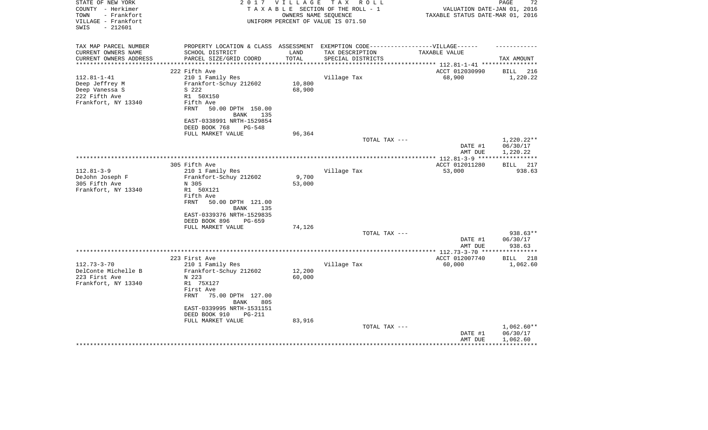| STATE OF NEW YORK<br>COUNTY - Herkimer<br>- Frankfort<br>TOWN<br>VILLAGE - Frankfort<br>$-212601$<br>SWIS | 2 0 1 7<br><b>VILLAGE</b><br>T A X<br>R O L L<br>TAXABLE SECTION OF THE ROLL - 1<br>OWNERS NAME SEQUENCE<br>UNIFORM PERCENT OF VALUE IS 071.50                                                  |                  |                                      | PAGE<br>72<br>VALUATION DATE-JAN 01, 2016<br>TAXABLE STATUS DATE-MAR 01, 2016 |                                                             |  |
|-----------------------------------------------------------------------------------------------------------|-------------------------------------------------------------------------------------------------------------------------------------------------------------------------------------------------|------------------|--------------------------------------|-------------------------------------------------------------------------------|-------------------------------------------------------------|--|
| TAX MAP PARCEL NUMBER<br>CURRENT OWNERS NAME<br>CURRENT OWNERS ADDRESS                                    | PROPERTY LOCATION & CLASS ASSESSMENT EXEMPTION CODE-----------------VILLAGE------<br>SCHOOL DISTRICT<br>PARCEL SIZE/GRID COORD                                                                  | LAND<br>TOTAL    | TAX DESCRIPTION<br>SPECIAL DISTRICTS | TAXABLE VALUE                                                                 | TAX AMOUNT                                                  |  |
| *******************                                                                                       | ******************************                                                                                                                                                                  | ************     |                                      |                                                                               |                                                             |  |
| $112.81 - 1 - 41$<br>Deep Jeffrey M<br>Deep Vanessa S<br>222 Fifth Ave<br>Frankfort, NY 13340             | 222 Fifth Ave<br>210 1 Family Res<br>Frankfort-Schuy 212602<br>S 222<br>R1 50X150<br>Fifth Ave                                                                                                  | 10,800<br>68,900 | Village Tax                          | ACCT 012030990<br>68,900                                                      | BILL<br>216<br>1,220.22                                     |  |
|                                                                                                           | <b>FRNT</b><br>50.00 DPTH 150.00<br><b>BANK</b><br>135<br>EAST-0338991 NRTH-1529854<br>DEED BOOK 768<br>PG-548<br>FULL MARKET VALUE                                                             | 96,364           |                                      |                                                                               |                                                             |  |
|                                                                                                           |                                                                                                                                                                                                 |                  | TOTAL TAX ---                        | DATE #1<br>AMT DUE                                                            | 1,220.22**<br>06/30/17<br>1,220.22<br>* * * * * * * * * * * |  |
|                                                                                                           | 305 Fifth Ave                                                                                                                                                                                   |                  |                                      | ACCT 012011280                                                                | 217<br>BILL                                                 |  |
| $112.81 - 3 - 9$<br>DeJohn Joseph F<br>305 Fifth Ave<br>Frankfort, NY 13340                               | 210 1 Family Res<br>Frankfort-Schuy 212602<br>N 305<br>R1 50X121<br>Fifth Ave<br><b>FRNT</b><br>50.00 DPTH 121.00<br><b>BANK</b><br>135<br>EAST-0339376 NRTH-1529835<br>DEED BOOK 896<br>PG-659 | 9,700<br>53,000  | Village Tax                          | 53,000                                                                        | 938.63                                                      |  |
|                                                                                                           | FULL MARKET VALUE                                                                                                                                                                               | 74,126           | TOTAL TAX ---                        |                                                                               | 938.63**                                                    |  |
|                                                                                                           |                                                                                                                                                                                                 |                  |                                      | DATE #1<br>AMT DUE                                                            | 06/30/17<br>938.63                                          |  |
|                                                                                                           |                                                                                                                                                                                                 |                  |                                      |                                                                               | ********                                                    |  |
| $112.73 - 3 - 70$<br>DelConte Michelle B<br>223 First Ave<br>Frankfort, NY 13340                          | 223 First Ave<br>210 1 Family Res<br>Frankfort-Schuy 212602<br>N 223<br>R1 75X127<br>First Ave<br><b>FRNT</b><br>75.00 DPTH 127.00<br><b>BANK</b><br>805                                        | 12,200<br>60,000 | Village Tax                          | ACCT 012007740<br>60,000                                                      | <b>BILL</b><br>218<br>1,062.60                              |  |
|                                                                                                           | EAST-0339995 NRTH-1531151<br>DEED BOOK 910<br><b>PG-211</b><br>FULL MARKET VALUE                                                                                                                | 83,916           | TOTAL TAX ---                        | DATE #1<br>AMT DUE                                                            | $1,062.60**$<br>06/30/17<br>1,062.60                        |  |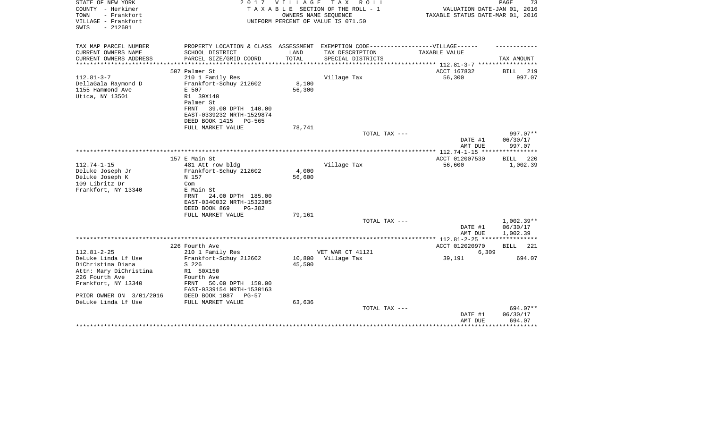| STATE OF NEW YORK<br>COUNTY - Herkimer<br>- Frankfort<br>TOWN<br>VILLAGE - Frankfort<br>$-212601$<br>SWIS | 2017                                                                                                                                                                       | <b>VILLAGE</b>   | T A X<br>R O L L<br>TAXABLE SECTION OF THE ROLL - 1<br>OWNERS NAME SEQUENCE<br>UNIFORM PERCENT OF VALUE IS 071.50 | VALUATION DATE-JAN 01, 2016<br>TAXABLE STATUS DATE-MAR 01, 2016 | PAGE<br>73                           |
|-----------------------------------------------------------------------------------------------------------|----------------------------------------------------------------------------------------------------------------------------------------------------------------------------|------------------|-------------------------------------------------------------------------------------------------------------------|-----------------------------------------------------------------|--------------------------------------|
| TAX MAP PARCEL NUMBER<br>CURRENT OWNERS NAME                                                              | PROPERTY LOCATION & CLASS ASSESSMENT EXEMPTION CODE-----------------VILLAGE------                                                                                          | LAND             |                                                                                                                   | TAXABLE VALUE                                                   |                                      |
| CURRENT OWNERS ADDRESS<br>*********************                                                           | SCHOOL DISTRICT<br>PARCEL SIZE/GRID COORD                                                                                                                                  | TOTAL            | TAX DESCRIPTION<br>SPECIAL DISTRICTS                                                                              | ***************************** 112.81-3-7 *****************      | TAX AMOUNT                           |
|                                                                                                           | 507 Palmer St                                                                                                                                                              |                  |                                                                                                                   | ACCT 167832                                                     | BILL<br>219                          |
| $112.81 - 3 - 7$<br>DellaGala Raymond D<br>1155 Hammond Ave<br>Utica, NY 13501                            | 210 1 Family Res<br>Frankfort-Schuy 212602<br>E 507<br>R1 39X140<br>Palmer St<br>39.00 DPTH 140.00<br>FRNT<br>EAST-0339232 NRTH-1529874<br>DEED BOOK 1415<br><b>PG-565</b> | 8,100<br>56,300  | Village Tax                                                                                                       | 56,300                                                          | 997.07                               |
|                                                                                                           | FULL MARKET VALUE                                                                                                                                                          | 78,741           |                                                                                                                   |                                                                 |                                      |
|                                                                                                           |                                                                                                                                                                            |                  | TOTAL TAX ---                                                                                                     |                                                                 | 997.07**                             |
|                                                                                                           |                                                                                                                                                                            |                  |                                                                                                                   | DATE #1<br>AMT DUE                                              | 06/30/17<br>997.07                   |
|                                                                                                           |                                                                                                                                                                            |                  |                                                                                                                   |                                                                 |                                      |
| $112.74 - 1 - 15$<br>Deluke Joseph Jr                                                                     | 157 E Main St<br>481 Att row bldg<br>Frankfort-Schuy 212602                                                                                                                | 4,000            | Village Tax                                                                                                       | ACCT 012007530<br>56,600                                        | BILL<br>220<br>1,002.39              |
| Deluke Joseph K<br>109 Libritz Dr<br>Frankfort, NY 13340                                                  | N 157<br>Com<br>E Main St<br>24.00 DPTH 185.00<br>FRNT<br>EAST-0340032 NRTH-1532305<br>DEED BOOK 869<br>$PG-382$                                                           | 56,600           |                                                                                                                   |                                                                 |                                      |
|                                                                                                           | FULL MARKET VALUE                                                                                                                                                          | 79,161           |                                                                                                                   |                                                                 |                                      |
|                                                                                                           |                                                                                                                                                                            |                  | TOTAL TAX ---                                                                                                     | DATE #1<br>AMT DUE                                              | $1,002.39**$<br>06/30/17<br>1,002.39 |
|                                                                                                           |                                                                                                                                                                            |                  |                                                                                                                   |                                                                 |                                      |
|                                                                                                           | 226 Fourth Ave                                                                                                                                                             |                  |                                                                                                                   | ACCT 012020970                                                  | 221<br>BILL                          |
| $112.81 - 2 - 25$<br>DeLuke Linda Lf Use<br>DiChristina Diana                                             | 210 1 Family Res<br>Frankfort-Schuy 212602<br>S 226                                                                                                                        | 10,800<br>45,500 | VET WAR CT 41121<br>Village Tax                                                                                   | 6,309<br>39,191                                                 | 694.07                               |
| Attn: Mary DiChristina<br>226 Fourth Ave<br>Frankfort, NY 13340<br>PRIOR OWNER ON 3/01/2016               | R1 50X150<br>Fourth Ave<br>FRNT<br>50.00 DPTH 150.00<br>EAST-0339154 NRTH-1530163<br>DEED BOOK 1087<br>$PG-57$                                                             |                  |                                                                                                                   |                                                                 |                                      |
| DeLuke Linda Lf Use                                                                                       | FULL MARKET VALUE                                                                                                                                                          | 63,636           |                                                                                                                   |                                                                 |                                      |
|                                                                                                           |                                                                                                                                                                            |                  | TOTAL TAX ---                                                                                                     | DATE #1<br>AMT DUE                                              | 694.07**<br>06/30/17<br>694.07       |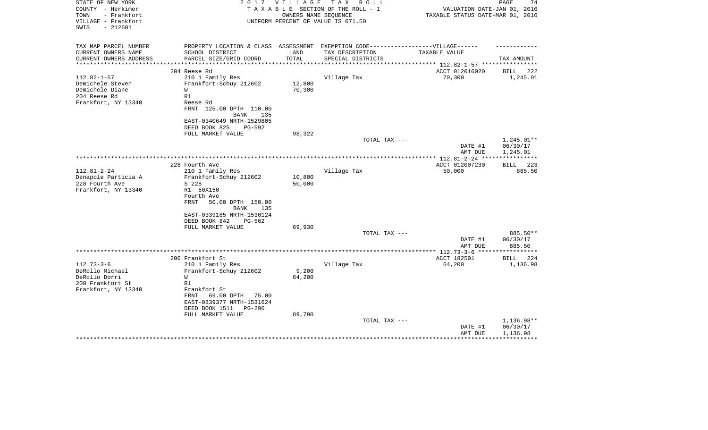| STATE OF NEW YORK<br>COUNTY - Herkimer<br>- Frankfort<br>TOWN<br>VILLAGE - Frankfort<br>$-212601$<br>SWIS | 2 0 1 7                                                                                                                        | VILLAGE       | TAX ROLL<br>TAXABLE SECTION OF THE ROLL - 1<br>OWNERS NAME SEOUENCE<br>UNIFORM PERCENT OF VALUE IS 071.50 | VALUATION DATE-JAN 01, 2016<br>TAXABLE STATUS DATE-MAR 01, 2016 | PAGE<br>74                         |
|-----------------------------------------------------------------------------------------------------------|--------------------------------------------------------------------------------------------------------------------------------|---------------|-----------------------------------------------------------------------------------------------------------|-----------------------------------------------------------------|------------------------------------|
| TAX MAP PARCEL NUMBER<br>CURRENT OWNERS NAME<br>CURRENT OWNERS ADDRESS                                    | PROPERTY LOCATION & CLASS ASSESSMENT EXEMPTION CODE-----------------VILLAGE------<br>SCHOOL DISTRICT<br>PARCEL SIZE/GRID COORD | LAND<br>TOTAL | TAX DESCRIPTION<br>SPECIAL DISTRICTS                                                                      | TAXABLE VALUE                                                   | TAX AMOUNT                         |
| **********************                                                                                    |                                                                                                                                |               |                                                                                                           |                                                                 |                                    |
|                                                                                                           | 204 Reese Rd                                                                                                                   |               |                                                                                                           | ACCT 012016020                                                  | BILL 222                           |
| $112.82 - 1 - 57$                                                                                         | 210 1 Family Res                                                                                                               |               | Village Tax                                                                                               | 70,300                                                          | 1,245.01                           |
| Demichele Steven                                                                                          | Frankfort-Schuy 212602                                                                                                         | 12,800        |                                                                                                           |                                                                 |                                    |
| Demichele Diane<br>204 Reese Rd                                                                           | W<br>R1                                                                                                                        | 70,300        |                                                                                                           |                                                                 |                                    |
| Frankfort, NY 13340                                                                                       | Reese Rd<br>FRNT 125.00 DPTH 110.00<br><b>BANK</b><br>135<br>EAST-0340649 NRTH-1529805                                         |               |                                                                                                           |                                                                 |                                    |
|                                                                                                           | DEED BOOK 825<br>PG-592                                                                                                        |               |                                                                                                           |                                                                 |                                    |
|                                                                                                           | FULL MARKET VALUE                                                                                                              | 98,322        |                                                                                                           |                                                                 |                                    |
|                                                                                                           |                                                                                                                                |               | TOTAL TAX ---                                                                                             |                                                                 | $1,245.01**$                       |
|                                                                                                           |                                                                                                                                |               |                                                                                                           | DATE #1<br>AMT DUE                                              | 06/30/17<br>1,245.01               |
|                                                                                                           |                                                                                                                                |               |                                                                                                           |                                                                 |                                    |
|                                                                                                           | 228 Fourth Ave                                                                                                                 |               |                                                                                                           | ACCT 012007230                                                  | 223<br>BILL                        |
| $112.81 - 2 - 24$                                                                                         | 210 1 Family Res                                                                                                               |               | Village Tax                                                                                               | 50,000                                                          | 885.50                             |
| Denapole Particia A                                                                                       | Frankfort-Schuy 212602                                                                                                         | 10,800        |                                                                                                           |                                                                 |                                    |
| 228 Fourth Ave                                                                                            | S 228                                                                                                                          | 50,000        |                                                                                                           |                                                                 |                                    |
| Frankfort, NY 13340                                                                                       | R1 50X150<br>Fourth Ave                                                                                                        |               |                                                                                                           |                                                                 |                                    |
|                                                                                                           | FRNT<br>50.00 DPTH 150.00                                                                                                      |               |                                                                                                           |                                                                 |                                    |
|                                                                                                           | <b>BANK</b><br>135                                                                                                             |               |                                                                                                           |                                                                 |                                    |
|                                                                                                           | EAST-0339185 NRTH-1530124                                                                                                      |               |                                                                                                           |                                                                 |                                    |
|                                                                                                           | DEED BOOK 842<br>PG-562                                                                                                        |               |                                                                                                           |                                                                 |                                    |
|                                                                                                           | FULL MARKET VALUE                                                                                                              | 69,930        |                                                                                                           |                                                                 |                                    |
|                                                                                                           |                                                                                                                                |               | TOTAL TAX ---                                                                                             | DATE #1                                                         | 885.50**                           |
|                                                                                                           |                                                                                                                                |               |                                                                                                           | AMT DUE                                                         | 06/30/17<br>885.50                 |
|                                                                                                           |                                                                                                                                |               |                                                                                                           |                                                                 |                                    |
|                                                                                                           | 200 Frankfort St                                                                                                               |               |                                                                                                           | ACCT 182501                                                     | <b>BILL</b><br>224                 |
| $112.73 - 3 - 6$                                                                                          | 210 1 Family Res                                                                                                               |               | Village Tax                                                                                               | 64,200                                                          | 1,136.98                           |
| DeRollo Michael                                                                                           | Frankfort-Schuy 212602                                                                                                         | 9,200         |                                                                                                           |                                                                 |                                    |
| DeRollo Dorri                                                                                             | W                                                                                                                              | 64,200        |                                                                                                           |                                                                 |                                    |
| 200 Frankfort St<br>Frankfort, NY 13340                                                                   | R1<br>Frankfort St                                                                                                             |               |                                                                                                           |                                                                 |                                    |
|                                                                                                           | 69.00 DPTH<br>FRNT<br>75.00                                                                                                    |               |                                                                                                           |                                                                 |                                    |
|                                                                                                           | EAST-0339377 NRTH-1531624                                                                                                      |               |                                                                                                           |                                                                 |                                    |
|                                                                                                           | DEED BOOK 1511<br>PG-296                                                                                                       |               |                                                                                                           |                                                                 |                                    |
|                                                                                                           | FULL MARKET VALUE                                                                                                              | 89,790        |                                                                                                           |                                                                 |                                    |
|                                                                                                           |                                                                                                                                |               | TOTAL TAX ---                                                                                             | DATE #1<br>AMT DUE                                              | 1,136.98**<br>06/30/17<br>1,136.98 |
|                                                                                                           |                                                                                                                                |               |                                                                                                           |                                                                 |                                    |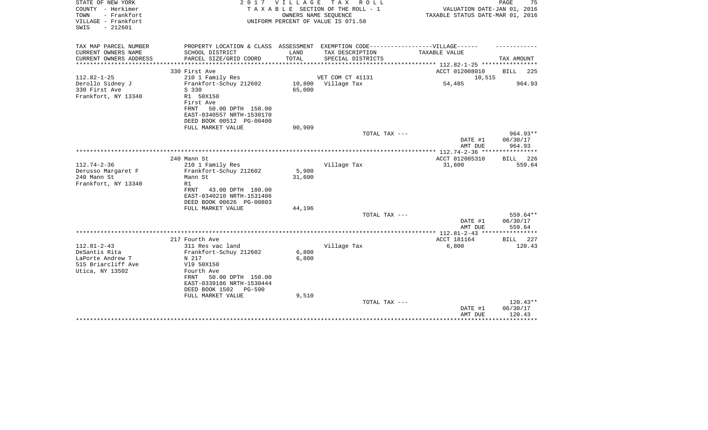| STATE OF NEW YORK<br>COUNTY - Herkimer<br>- Frankfort<br>TOWN<br>VILLAGE - Frankfort<br>$-212601$<br>SWIS |                                                                                                                                                 | 2017 VILLAGE                                 | TAX ROLL<br>T A X A B L E SECTION OF THE ROLL - 1<br>OWNERS NAME SEQUENCE<br>UNIFORM PERCENT OF VALUE IS 071.50 | VALUATION DATE-JAN 01, 2016<br>TAXABLE STATUS DATE-MAR 01, 2016             | PAGE<br>75                       |
|-----------------------------------------------------------------------------------------------------------|-------------------------------------------------------------------------------------------------------------------------------------------------|----------------------------------------------|-----------------------------------------------------------------------------------------------------------------|-----------------------------------------------------------------------------|----------------------------------|
| TAX MAP PARCEL NUMBER                                                                                     | PROPERTY LOCATION & CLASS ASSESSMENT EXEMPTION CODE-----------------VILLAGE------                                                               |                                              |                                                                                                                 |                                                                             |                                  |
| CURRENT OWNERS NAME<br>CURRENT OWNERS ADDRESS<br>********************                                     | SCHOOL DISTRICT<br>PARCEL SIZE/GRID COORD<br>***********************                                                                            | LAND<br>TOTAL<br>* * * * * * * * * * * * * * | TAX DESCRIPTION<br>SPECIAL DISTRICTS                                                                            | TAXABLE VALUE<br>********************************* 112.82-1-25 ************ | TAX AMOUNT                       |
|                                                                                                           | 330 First Ave                                                                                                                                   |                                              |                                                                                                                 | ACCT 012008010                                                              | <b>BILL</b><br>225               |
| $112.82 - 1 - 25$                                                                                         | 210 1 Family Res                                                                                                                                |                                              | VET COM CT 41131                                                                                                | 10,515                                                                      |                                  |
| Derollo Sidney J<br>330 First Ave<br>Frankfort, NY 13340                                                  | Frankfort-Schuy 212602<br>S 330<br>R1 50X150<br>First Ave<br>50.00 DPTH 150.00<br>FRNT<br>EAST-0340557 NRTH-1530170<br>DEED BOOK 00512 PG-00400 | 10,800<br>65,000                             | Village Tax                                                                                                     | 54,485                                                                      | 964.93                           |
|                                                                                                           | FULL MARKET VALUE                                                                                                                               | 90,909                                       |                                                                                                                 |                                                                             |                                  |
|                                                                                                           |                                                                                                                                                 |                                              | TOTAL TAX ---                                                                                                   | DATE #1<br>AMT DUE                                                          | $964.93**$<br>06/30/17<br>964.93 |
|                                                                                                           |                                                                                                                                                 |                                              |                                                                                                                 | ** $112.74 - 2 - 36$ ***                                                    |                                  |
|                                                                                                           | 240 Mann St                                                                                                                                     |                                              |                                                                                                                 | ACCT 012005310                                                              | <b>BILL</b><br>226               |
| $112.74 - 2 - 36$                                                                                         | 210 1 Family Res                                                                                                                                |                                              | Village Tax                                                                                                     | 31,600                                                                      | 559.64                           |
| Derusso Margaret F                                                                                        | Frankfort-Schuy 212602                                                                                                                          | 5,900                                        |                                                                                                                 |                                                                             |                                  |
| 240 Mann St<br>Frankfort, NY 13340                                                                        | Mann St<br>R1                                                                                                                                   | 31,600                                       |                                                                                                                 |                                                                             |                                  |
|                                                                                                           | 43.00 DPTH 180.00<br>FRNT<br>EAST-0340210 NRTH-1531406<br>DEED BOOK 00626 PG-00803                                                              |                                              |                                                                                                                 |                                                                             |                                  |
|                                                                                                           | FULL MARKET VALUE                                                                                                                               | 44,196                                       |                                                                                                                 |                                                                             |                                  |
|                                                                                                           |                                                                                                                                                 |                                              | TOTAL TAX ---                                                                                                   | DATE #1<br>AMT DUE                                                          | 559.64**<br>06/30/17<br>559.64   |
|                                                                                                           |                                                                                                                                                 |                                              |                                                                                                                 |                                                                             |                                  |
|                                                                                                           | 217 Fourth Ave                                                                                                                                  |                                              |                                                                                                                 | ACCT 181164                                                                 | <b>BILL</b><br>227               |
| $112.81 - 2 - 43$                                                                                         | 311 Res vac land                                                                                                                                |                                              | Village Tax                                                                                                     | 6,800                                                                       | 120.43                           |
| DeSantis Rita                                                                                             | Frankfort-Schuy 212602                                                                                                                          | 6,800                                        |                                                                                                                 |                                                                             |                                  |
| LaPorte Andrew T                                                                                          | N 217                                                                                                                                           | 6,800                                        |                                                                                                                 |                                                                             |                                  |
| 515 Briarcliff Ave<br>Utica, NY 13502                                                                     | V19 50X150<br>Fourth Ave<br>FRNT<br>50.00 DPTH 150.00<br>EAST-0339186 NRTH-1530444<br>DEED BOOK 1502<br>PG-590                                  |                                              |                                                                                                                 |                                                                             |                                  |
|                                                                                                           | FULL MARKET VALUE                                                                                                                               | 9,510                                        | TOTAL TAX ---                                                                                                   |                                                                             | $120.43**$                       |
|                                                                                                           |                                                                                                                                                 |                                              |                                                                                                                 | DATE #1<br>AMT DUE                                                          | 06/30/17<br>120.43               |
|                                                                                                           |                                                                                                                                                 |                                              |                                                                                                                 |                                                                             |                                  |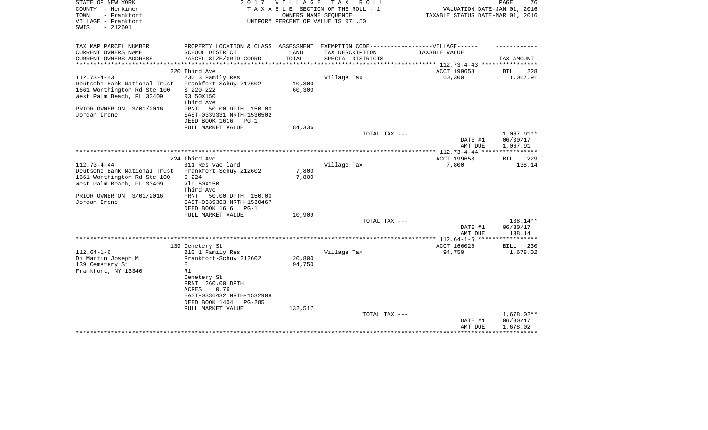| STATE OF NEW YORK<br>COUNTY - Herkimer<br>- Frankfort<br>TOWN<br>VILLAGE - Frankfort | 2 0 1 7                                                                          |         | VILLAGE TAX ROLL<br>TAXABLE SECTION OF THE ROLL - 1<br>OWNERS NAME SEQUENCE<br>UNIFORM PERCENT OF VALUE IS 071.50 | VALUATION DATE-JAN 01, 2016<br>TAXABLE STATUS DATE-MAR 01, 2016 | PAGE<br>76                   |
|--------------------------------------------------------------------------------------|----------------------------------------------------------------------------------|---------|-------------------------------------------------------------------------------------------------------------------|-----------------------------------------------------------------|------------------------------|
| $-212601$<br>SWIS                                                                    |                                                                                  |         |                                                                                                                   |                                                                 |                              |
| TAX MAP PARCEL NUMBER                                                                | PROPERTY LOCATION & CLASS ASSESSMENT EXEMPTION CODE----------------VILLAGE------ |         |                                                                                                                   |                                                                 |                              |
| CURRENT OWNERS NAME                                                                  | SCHOOL DISTRICT                                                                  | LAND    | TAX DESCRIPTION                                                                                                   | TAXABLE VALUE                                                   |                              |
| CURRENT OWNERS ADDRESS<br>**********************                                     | PARCEL SIZE/GRID COORD                                                           | TOTAL   | SPECIAL DISTRICTS                                                                                                 |                                                                 | TAX AMOUNT                   |
|                                                                                      | 220 Third Ave                                                                    |         |                                                                                                                   | ACCT 199658                                                     | BILL<br>228                  |
| $112.73 - 4 - 43$                                                                    | 230 3 Family Res                                                                 |         | Village Tax                                                                                                       | 60,300                                                          | 1,067.91                     |
| Deutsche Bank National Trust                                                         | Frankfort-Schuy 212602                                                           | 10,800  |                                                                                                                   |                                                                 |                              |
| 1661 Worthington Rd Ste 100                                                          | $S$ 220-222                                                                      | 60,300  |                                                                                                                   |                                                                 |                              |
| West Palm Beach, FL 33409                                                            | R3 50X150                                                                        |         |                                                                                                                   |                                                                 |                              |
|                                                                                      | Third Ave                                                                        |         |                                                                                                                   |                                                                 |                              |
| PRIOR OWNER ON 3/01/2016                                                             | FRNT<br>50.00 DPTH 150.00                                                        |         |                                                                                                                   |                                                                 |                              |
| Jordan Irene                                                                         | EAST-0339331 NRTH-1530502<br>DEED BOOK 1616<br>$PG-1$                            |         |                                                                                                                   |                                                                 |                              |
|                                                                                      | FULL MARKET VALUE                                                                | 84,336  |                                                                                                                   |                                                                 |                              |
|                                                                                      |                                                                                  |         | TOTAL TAX ---                                                                                                     |                                                                 | 1,067.91**                   |
|                                                                                      |                                                                                  |         |                                                                                                                   | DATE #1                                                         | 06/30/17                     |
|                                                                                      |                                                                                  |         |                                                                                                                   | AMT DUE                                                         | 1,067.91                     |
|                                                                                      |                                                                                  |         |                                                                                                                   |                                                                 | ************                 |
| $112.73 - 4 - 44$                                                                    | 224 Third Ave<br>311 Res vac land                                                |         | Village Tax                                                                                                       | ACCT 199658<br>7,800                                            | <b>BILL</b><br>229<br>138.14 |
| Deutsche Bank National Trust                                                         | Frankfort-Schuy 212602                                                           | 7,800   |                                                                                                                   |                                                                 |                              |
| 1661 Worthington Rd Ste 100                                                          | S 224                                                                            | 7,800   |                                                                                                                   |                                                                 |                              |
| West Palm Beach, FL 33409                                                            | V19 50X150                                                                       |         |                                                                                                                   |                                                                 |                              |
|                                                                                      | Third Ave                                                                        |         |                                                                                                                   |                                                                 |                              |
| PRIOR OWNER ON 3/01/2016                                                             | 50.00 DPTH 150.00<br>FRNT                                                        |         |                                                                                                                   |                                                                 |                              |
| Jordan Irene                                                                         | EAST-0339363 NRTH-1530467                                                        |         |                                                                                                                   |                                                                 |                              |
|                                                                                      | DEED BOOK 1616 PG-1<br>FULL MARKET VALUE                                         | 10,909  |                                                                                                                   |                                                                 |                              |
|                                                                                      |                                                                                  |         | TOTAL TAX ---                                                                                                     |                                                                 | 138.14**                     |
|                                                                                      |                                                                                  |         |                                                                                                                   | DATE #1                                                         | 06/30/17                     |
|                                                                                      |                                                                                  |         |                                                                                                                   | AMT DUE                                                         | 138.14                       |
|                                                                                      |                                                                                  |         |                                                                                                                   | ******* 112.64-1-6 ***                                          |                              |
|                                                                                      | 139 Cemetery St                                                                  |         |                                                                                                                   | ACCT 166026                                                     | <b>BILL</b><br>230           |
| $112.64 - 1 - 6$<br>Di Martin Joseph M                                               | 210 1 Family Res<br>Frankfort-Schuy 212602                                       | 20,800  | Village Tax                                                                                                       | 94,750                                                          | 1,678.02                     |
| 139 Cemetery St                                                                      | E                                                                                | 94,750  |                                                                                                                   |                                                                 |                              |
| Frankfort, NY 13340                                                                  | R1                                                                               |         |                                                                                                                   |                                                                 |                              |
|                                                                                      | Cemetery St                                                                      |         |                                                                                                                   |                                                                 |                              |
|                                                                                      | FRNT 260.00 DPTH                                                                 |         |                                                                                                                   |                                                                 |                              |
|                                                                                      | 0.76<br>ACRES                                                                    |         |                                                                                                                   |                                                                 |                              |
|                                                                                      | EAST-0336432 NRTH-1532908                                                        |         |                                                                                                                   |                                                                 |                              |
|                                                                                      | DEED BOOK 1404<br><b>PG-285</b><br>FULL MARKET VALUE                             | 132,517 |                                                                                                                   |                                                                 |                              |
|                                                                                      |                                                                                  |         | TOTAL TAX ---                                                                                                     |                                                                 | $1,678.02**$                 |
|                                                                                      |                                                                                  |         |                                                                                                                   | DATE #1                                                         | 06/30/17                     |
|                                                                                      |                                                                                  |         |                                                                                                                   | AMT DUE                                                         | 1,678.02                     |
|                                                                                      |                                                                                  |         |                                                                                                                   |                                                                 |                              |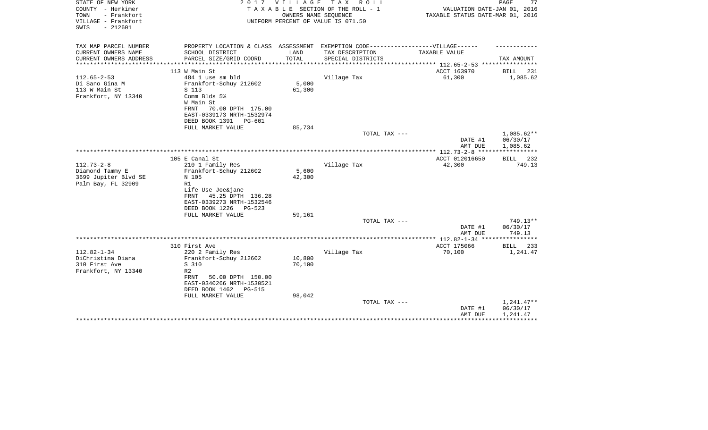| STATE OF NEW YORK<br>COUNTY - Herkimer<br>- Frankfort<br>TOWN<br>VILLAGE - Frankfort<br>SWIS<br>$-212601$ | 2017                                                                                                 | VILLAGE | TAX ROLL<br>TAXABLE SECTION OF THE ROLL - 1<br>OWNERS NAME SEQUENCE<br>UNIFORM PERCENT OF VALUE IS 071.50 | VALUATION DATE-JAN 01, 2016<br>TAXABLE STATUS DATE-MAR 01, 2016 | PAGE<br>77             |
|-----------------------------------------------------------------------------------------------------------|------------------------------------------------------------------------------------------------------|---------|-----------------------------------------------------------------------------------------------------------|-----------------------------------------------------------------|------------------------|
| TAX MAP PARCEL NUMBER<br>CURRENT OWNERS NAME                                                              | PROPERTY LOCATION & CLASS ASSESSMENT EXEMPTION CODE-----------------VILLAGE------<br>SCHOOL DISTRICT | LAND    | TAX DESCRIPTION                                                                                           | TAXABLE VALUE                                                   |                        |
| CURRENT OWNERS ADDRESS                                                                                    | PARCEL SIZE/GRID COORD                                                                               | TOTAL   | SPECIAL DISTRICTS                                                                                         |                                                                 | TAX AMOUNT             |
| ********************                                                                                      | **************************                                                                           |         |                                                                                                           |                                                                 |                        |
|                                                                                                           | 113 W Main St                                                                                        |         |                                                                                                           | ACCT 163970                                                     | <b>BILL</b><br>231     |
| $112.65 - 2 - 53$                                                                                         | 484 1 use sm bld                                                                                     |         | Village Tax                                                                                               | 61,300                                                          | 1,085.62               |
| Di Sano Gina M                                                                                            | Frankfort-Schuy 212602                                                                               | 5,000   |                                                                                                           |                                                                 |                        |
| 113 W Main St<br>Frankfort, NY 13340                                                                      | S 113<br>Comm Blds 5%                                                                                | 61,300  |                                                                                                           |                                                                 |                        |
|                                                                                                           | W Main St                                                                                            |         |                                                                                                           |                                                                 |                        |
|                                                                                                           | FRNT<br>70.00 DPTH 175.00                                                                            |         |                                                                                                           |                                                                 |                        |
|                                                                                                           | EAST-0339173 NRTH-1532974                                                                            |         |                                                                                                           |                                                                 |                        |
|                                                                                                           | DEED BOOK 1391<br>PG-601                                                                             |         |                                                                                                           |                                                                 |                        |
|                                                                                                           | FULL MARKET VALUE                                                                                    | 85,734  |                                                                                                           |                                                                 |                        |
|                                                                                                           |                                                                                                      |         | TOTAL TAX ---                                                                                             |                                                                 | 1,085.62**<br>06/30/17 |
|                                                                                                           |                                                                                                      |         |                                                                                                           | DATE #1<br>AMT DUE                                              | 1,085.62               |
|                                                                                                           |                                                                                                      |         |                                                                                                           | **************** 112.73-2-8 *****                               | ***********            |
|                                                                                                           | 105 E Canal St                                                                                       |         |                                                                                                           | ACCT 012016650                                                  | 232<br>BILL            |
| $112.73 - 2 - 8$                                                                                          | 210 1 Family Res                                                                                     |         | Village Tax                                                                                               | 42,300                                                          | 749.13                 |
| Diamond Tammy E                                                                                           | Frankfort-Schuy 212602                                                                               | 5,600   |                                                                                                           |                                                                 |                        |
| 3699 Jupiter Blvd SE                                                                                      | N 105                                                                                                | 42,300  |                                                                                                           |                                                                 |                        |
| Palm Bay, FL 32909                                                                                        | R1                                                                                                   |         |                                                                                                           |                                                                 |                        |
|                                                                                                           | Life Use Joe&jane<br>45.25 DPTH 136.28<br>FRNT                                                       |         |                                                                                                           |                                                                 |                        |
|                                                                                                           | EAST-0339273 NRTH-1532546                                                                            |         |                                                                                                           |                                                                 |                        |
|                                                                                                           | DEED BOOK 1226<br>PG-523                                                                             |         |                                                                                                           |                                                                 |                        |
|                                                                                                           | FULL MARKET VALUE                                                                                    | 59,161  |                                                                                                           |                                                                 |                        |
|                                                                                                           |                                                                                                      |         | TOTAL TAX ---                                                                                             |                                                                 | 749.13**               |
|                                                                                                           |                                                                                                      |         |                                                                                                           | DATE #1                                                         | 06/30/17               |
|                                                                                                           |                                                                                                      |         |                                                                                                           | AMT DUE                                                         | 749.13<br>********     |
|                                                                                                           | 310 First Ave                                                                                        |         |                                                                                                           | ACCT 175066                                                     | BILL<br>233            |
| $112.82 - 1 - 34$                                                                                         | 220 2 Family Res                                                                                     |         | Village Tax                                                                                               | 70,100                                                          | 1,241.47               |
| DiChristina Diana                                                                                         | Frankfort-Schuy 212602                                                                               | 10,800  |                                                                                                           |                                                                 |                        |
| 310 First Ave                                                                                             | S 310                                                                                                | 70,100  |                                                                                                           |                                                                 |                        |
| Frankfort, NY 13340                                                                                       | R <sub>2</sub>                                                                                       |         |                                                                                                           |                                                                 |                        |
|                                                                                                           | FRNT<br>50.00 DPTH 150.00<br>EAST-0340266 NRTH-1530521                                               |         |                                                                                                           |                                                                 |                        |
|                                                                                                           | DEED BOOK 1462<br>PG-515                                                                             |         |                                                                                                           |                                                                 |                        |
|                                                                                                           | FULL MARKET VALUE                                                                                    | 98,042  |                                                                                                           |                                                                 |                        |
|                                                                                                           |                                                                                                      |         | TOTAL TAX ---                                                                                             |                                                                 | $1,241.47**$           |
|                                                                                                           |                                                                                                      |         |                                                                                                           | DATE #1                                                         | 06/30/17               |
|                                                                                                           |                                                                                                      |         |                                                                                                           | AMT DUE                                                         | 1,241.47               |
|                                                                                                           |                                                                                                      |         |                                                                                                           |                                                                 |                        |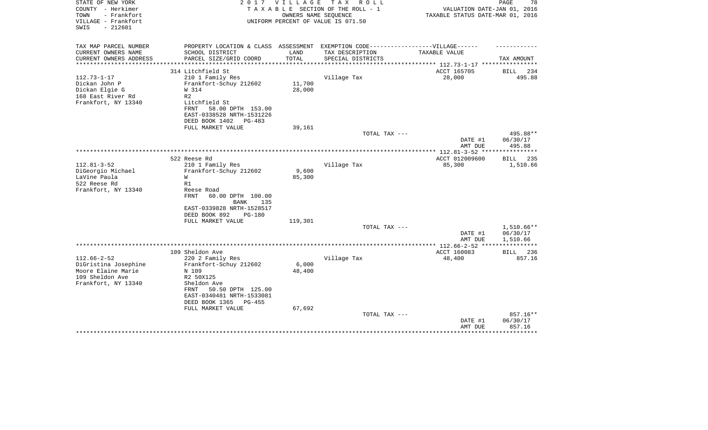| STATE OF NEW YORK<br>COUNTY - Herkimer<br>TOWN<br>- Frankfort<br>VILLAGE - Frankfort<br>$-212601$<br>SWIS | 2017                                                                 | <b>VILLAGE</b> | T A X<br>R O L L<br>TAXABLE SECTION OF THE ROLL - 1<br>OWNERS NAME SEOUENCE<br>UNIFORM PERCENT OF VALUE IS 071.50 | VALUATION DATE-JAN 01, 2016<br>TAXABLE STATUS DATE-MAR 01, 2016 | PAGE<br>78                     |
|-----------------------------------------------------------------------------------------------------------|----------------------------------------------------------------------|----------------|-------------------------------------------------------------------------------------------------------------------|-----------------------------------------------------------------|--------------------------------|
| TAX MAP PARCEL NUMBER                                                                                     | PROPERTY LOCATION & CLASS ASSESSMENT                                 |                | EXEMPTION CODE------------------VILLAGE------                                                                     |                                                                 |                                |
| CURRENT OWNERS NAME<br>CURRENT OWNERS ADDRESS<br>*********************                                    | SCHOOL DISTRICT<br>PARCEL SIZE/GRID COORD                            | LAND<br>TOTAL  | TAX DESCRIPTION<br>SPECIAL DISTRICTS                                                                              | TAXABLE VALUE                                                   | TAX AMOUNT                     |
|                                                                                                           | 314 Litchfield St                                                    |                |                                                                                                                   | ACCT 165705                                                     | 234<br>BILL                    |
| $112.73 - 1 - 17$                                                                                         | 210 1 Family Res                                                     |                | Village Tax                                                                                                       | 28,000                                                          | 495.88                         |
| Dickan John P                                                                                             | Frankfort-Schuy 212602                                               | 11,700         |                                                                                                                   |                                                                 |                                |
| Dickan Elgie G                                                                                            | W 314                                                                | 28,000         |                                                                                                                   |                                                                 |                                |
| 168 East River Rd<br>Frankfort, NY 13340                                                                  | R <sub>2</sub><br>Litchfield St                                      |                |                                                                                                                   |                                                                 |                                |
|                                                                                                           | FRNT<br>58.00 DPTH 153.00                                            |                |                                                                                                                   |                                                                 |                                |
|                                                                                                           | EAST-0338528 NRTH-1531226                                            |                |                                                                                                                   |                                                                 |                                |
|                                                                                                           | DEED BOOK 1402<br>PG-483                                             |                |                                                                                                                   |                                                                 |                                |
|                                                                                                           | FULL MARKET VALUE                                                    | 39,161         |                                                                                                                   |                                                                 |                                |
|                                                                                                           |                                                                      |                | TOTAL TAX ---                                                                                                     | DATE #1<br>AMT DUE                                              | 495.88**<br>06/30/17<br>495.88 |
|                                                                                                           |                                                                      |                |                                                                                                                   |                                                                 | * * * * * * * * * * *          |
|                                                                                                           | 522 Reese Rd                                                         |                |                                                                                                                   | ACCT 012009600                                                  | 235<br>BILL                    |
| $112.81 - 3 - 52$                                                                                         | 210 1 Family Res                                                     |                | Village Tax                                                                                                       | 85,300                                                          | 1,510.66                       |
| DiGeorgio Michael                                                                                         | Frankfort-Schuy 212602                                               | 9,600          |                                                                                                                   |                                                                 |                                |
| LaVine Paula                                                                                              | W                                                                    | 85,300         |                                                                                                                   |                                                                 |                                |
| 522 Reese Rd                                                                                              | R1                                                                   |                |                                                                                                                   |                                                                 |                                |
| Frankfort, NY 13340                                                                                       | Reese Road<br><b>FRNT</b><br>60.00 DPTH 100.00<br><b>BANK</b><br>135 |                |                                                                                                                   |                                                                 |                                |
|                                                                                                           | EAST-0339828 NRTH-1528517                                            |                |                                                                                                                   |                                                                 |                                |
|                                                                                                           | DEED BOOK 892<br>$PG-180$                                            |                |                                                                                                                   |                                                                 |                                |
|                                                                                                           | FULL MARKET VALUE                                                    | 119,301        |                                                                                                                   |                                                                 |                                |
|                                                                                                           |                                                                      |                | TOTAL TAX ---                                                                                                     |                                                                 | $1,510.66**$                   |
|                                                                                                           |                                                                      |                |                                                                                                                   | DATE #1<br>AMT DUE                                              | 06/30/17<br>1,510.66           |
|                                                                                                           |                                                                      |                |                                                                                                                   | *********** 112.66-2-52 ****                                    | * * * * * * * * * * *          |
|                                                                                                           | 109 Sheldon Ave                                                      |                |                                                                                                                   | ACCT 160083                                                     | BILL<br>236                    |
| $112.66 - 2 - 52$                                                                                         | 220 2 Family Res                                                     |                | Village Tax                                                                                                       | 48,400                                                          | 857.16                         |
| DiGristina Josephine                                                                                      | Frankfort-Schuy 212602                                               | 6,000          |                                                                                                                   |                                                                 |                                |
| Moore Elaine Marie                                                                                        | N 109                                                                | 48,400         |                                                                                                                   |                                                                 |                                |
| 109 Sheldon Ave                                                                                           | R2 50X125                                                            |                |                                                                                                                   |                                                                 |                                |
| Frankfort, NY 13340                                                                                       | Sheldon Ave                                                          |                |                                                                                                                   |                                                                 |                                |
|                                                                                                           | 50.50 DPTH 125.00<br>FRNT                                            |                |                                                                                                                   |                                                                 |                                |
|                                                                                                           | EAST-0340481 NRTH-1533081<br>DEED BOOK 1365<br>PG-455                |                |                                                                                                                   |                                                                 |                                |
|                                                                                                           | FULL MARKET VALUE                                                    | 67,692         |                                                                                                                   |                                                                 |                                |
|                                                                                                           |                                                                      |                | TOTAL TAX ---                                                                                                     |                                                                 | 857.16**                       |
|                                                                                                           |                                                                      |                |                                                                                                                   | DATE #1                                                         | 06/30/17                       |
|                                                                                                           |                                                                      |                |                                                                                                                   | AMT DUE                                                         | 857.16                         |
|                                                                                                           |                                                                      |                |                                                                                                                   |                                                                 |                                |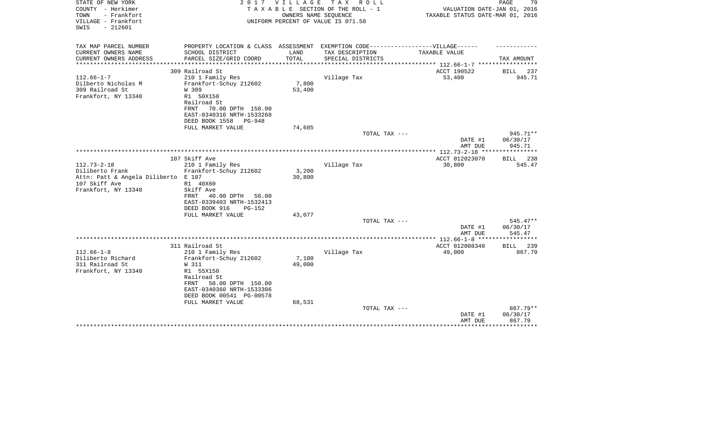| STATE OF NEW YORK<br>COUNTY - Herkimer<br>TOWN<br>- Frankfort<br>VILLAGE - Frankfort<br>$-212601$<br>SWIS | 2017                                                                              | VILLAGE | T A X<br>R O L L<br>TAXABLE SECTION OF THE ROLL - 1<br>OWNERS NAME SEQUENCE<br>UNIFORM PERCENT OF VALUE IS 071.50 | VALUATION DATE-JAN 01, 2016<br>TAXABLE STATUS DATE-MAR 01, 2016 | PAGE<br>79             |
|-----------------------------------------------------------------------------------------------------------|-----------------------------------------------------------------------------------|---------|-------------------------------------------------------------------------------------------------------------------|-----------------------------------------------------------------|------------------------|
| TAX MAP PARCEL NUMBER                                                                                     | PROPERTY LOCATION & CLASS ASSESSMENT EXEMPTION CODE-----------------VILLAGE------ |         |                                                                                                                   |                                                                 |                        |
| CURRENT OWNERS NAME                                                                                       | SCHOOL DISTRICT                                                                   | LAND    | TAX DESCRIPTION                                                                                                   | TAXABLE VALUE                                                   |                        |
| CURRENT OWNERS ADDRESS<br>********************                                                            | PARCEL SIZE/GRID COORD                                                            | TOTAL   | SPECIAL DISTRICTS                                                                                                 | ***************** 112.66-1-7 ******************                 | TAX AMOUNT             |
|                                                                                                           | 309 Railroad St                                                                   |         |                                                                                                                   | ACCT 190522                                                     | <b>BILL</b><br>237     |
| $112.66 - 1 - 7$                                                                                          | 210 1 Family Res                                                                  |         | Village Tax                                                                                                       | 53,400                                                          | 945.71                 |
| Dilberto Nicholas M                                                                                       | Frankfort-Schuy 212602                                                            | 7,800   |                                                                                                                   |                                                                 |                        |
| 309 Railroad St                                                                                           | W 309                                                                             | 53,400  |                                                                                                                   |                                                                 |                        |
| Frankfort, NY 13340                                                                                       | R1 50X150                                                                         |         |                                                                                                                   |                                                                 |                        |
|                                                                                                           | Railroad St<br>70.00 DPTH 150.00<br>FRNT                                          |         |                                                                                                                   |                                                                 |                        |
|                                                                                                           | EAST-0340316 NRTH-1533268                                                         |         |                                                                                                                   |                                                                 |                        |
|                                                                                                           | DEED BOOK 1558<br>PG-948                                                          |         |                                                                                                                   |                                                                 |                        |
|                                                                                                           | FULL MARKET VALUE                                                                 | 74,685  |                                                                                                                   |                                                                 |                        |
|                                                                                                           |                                                                                   |         | TOTAL TAX ---                                                                                                     |                                                                 | 945.71**               |
|                                                                                                           |                                                                                   |         |                                                                                                                   | DATE #1                                                         | 06/30/17               |
|                                                                                                           |                                                                                   |         |                                                                                                                   | AMT DUE<br>*************** 112.73-2-18 ****                     | 945.71                 |
|                                                                                                           | 107 Skiff Ave                                                                     |         |                                                                                                                   | ACCT 012023070                                                  | 238<br>BILL            |
| $112.73 - 2 - 18$                                                                                         | 210 1 Family Res                                                                  |         | Village Tax                                                                                                       | 30,800                                                          | 545.47                 |
| Diliberto Frank                                                                                           | Frankfort-Schuy 212602                                                            | 3,200   |                                                                                                                   |                                                                 |                        |
| Attn: Patt & Angela Diliberto E 107                                                                       |                                                                                   | 30,800  |                                                                                                                   |                                                                 |                        |
| 107 Skiff Ave                                                                                             | R1 40X60                                                                          |         |                                                                                                                   |                                                                 |                        |
| Frankfort, NY 13340                                                                                       | Skiff Ave<br>40.00 DPTH<br>56.00<br>FRNT                                          |         |                                                                                                                   |                                                                 |                        |
|                                                                                                           | EAST-0339403 NRTH-1532413                                                         |         |                                                                                                                   |                                                                 |                        |
|                                                                                                           | DEED BOOK 916<br>$PG-152$                                                         |         |                                                                                                                   |                                                                 |                        |
|                                                                                                           | FULL MARKET VALUE                                                                 | 43,077  |                                                                                                                   |                                                                 |                        |
|                                                                                                           |                                                                                   |         | TOTAL TAX ---                                                                                                     |                                                                 | 545.47**               |
|                                                                                                           |                                                                                   |         |                                                                                                                   | DATE #1                                                         | 06/30/17               |
|                                                                                                           |                                                                                   |         |                                                                                                                   | AMT DUE                                                         | 545.47<br>************ |
|                                                                                                           | 311 Railroad St                                                                   |         |                                                                                                                   | ACCT 012008340                                                  | BILL<br>239            |
| $112.66 - 1 - 8$                                                                                          | 210 1 Family Res                                                                  |         | Village Tax                                                                                                       | 49,000                                                          | 867.79                 |
| Diliberto Richard                                                                                         | Frankfort-Schuy 212602                                                            | 7,100   |                                                                                                                   |                                                                 |                        |
| 311 Railroad St                                                                                           | W 311                                                                             | 49,000  |                                                                                                                   |                                                                 |                        |
| Frankfort, NY 13340                                                                                       | R1 55X150                                                                         |         |                                                                                                                   |                                                                 |                        |
|                                                                                                           | Railroad St<br>FRNT<br>50.00 DPTH 150.00                                          |         |                                                                                                                   |                                                                 |                        |
|                                                                                                           | EAST-0340360 NRTH-1533306                                                         |         |                                                                                                                   |                                                                 |                        |
|                                                                                                           | DEED BOOK 00541 PG-00578                                                          |         |                                                                                                                   |                                                                 |                        |
|                                                                                                           | FULL MARKET VALUE                                                                 | 68,531  |                                                                                                                   |                                                                 |                        |
|                                                                                                           |                                                                                   |         | TOTAL TAX ---                                                                                                     |                                                                 | 867.79**               |
|                                                                                                           |                                                                                   |         |                                                                                                                   | DATE #1<br>AMT DUE                                              | 06/30/17<br>867.79     |
|                                                                                                           |                                                                                   |         |                                                                                                                   |                                                                 | ***********            |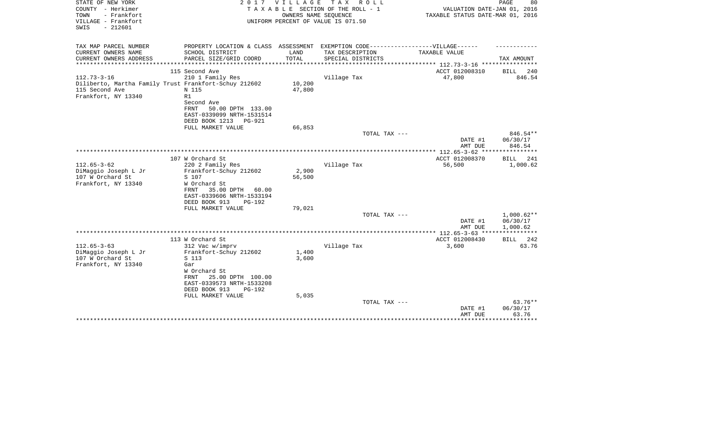| STATE OF NEW YORK<br>COUNTY - Herkimer<br>- Frankfort<br>TOWN<br>VILLAGE - Frankfort<br>$-212601$<br>SWIS | 2 0 1 7                                                                          | VILLAGE         | T A X<br>R O L L<br>TAXABLE SECTION OF THE ROLL - 1<br>OWNERS NAME SEQUENCE<br>UNIFORM PERCENT OF VALUE IS 071.50 | VALUATION DATE-JAN 01, 2016<br>TAXABLE STATUS DATE-MAR 01, 2016 | 80<br>PAGE               |
|-----------------------------------------------------------------------------------------------------------|----------------------------------------------------------------------------------|-----------------|-------------------------------------------------------------------------------------------------------------------|-----------------------------------------------------------------|--------------------------|
| TAX MAP PARCEL NUMBER                                                                                     | PROPERTY LOCATION & CLASS ASSESSMENT EXEMPTION CODE----------------VILLAGE------ |                 |                                                                                                                   |                                                                 |                          |
| CURRENT OWNERS NAME                                                                                       | SCHOOL DISTRICT                                                                  | LAND            | TAX DESCRIPTION                                                                                                   | TAXABLE VALUE                                                   |                          |
| CURRENT OWNERS ADDRESS<br>****************                                                                | PARCEL SIZE/GRID COORD<br>**************************                             | TOTAL           | SPECIAL DISTRICTS                                                                                                 |                                                                 | TAX AMOUNT               |
|                                                                                                           | 115 Second Ave                                                                   |                 |                                                                                                                   | ACCT 012008310                                                  | <b>BILL</b><br>240       |
| $112.73 - 3 - 16$                                                                                         | 210 1 Family Res                                                                 |                 | Village Tax                                                                                                       | 47,800                                                          | 846.54                   |
| Diliberto, Martha Family Trust Frankfort-Schuy 212602                                                     |                                                                                  | 10,200          |                                                                                                                   |                                                                 |                          |
| 115 Second Ave                                                                                            | N 115                                                                            | 47,800          |                                                                                                                   |                                                                 |                          |
| Frankfort, NY 13340                                                                                       | R1                                                                               |                 |                                                                                                                   |                                                                 |                          |
|                                                                                                           | Second Ave                                                                       |                 |                                                                                                                   |                                                                 |                          |
|                                                                                                           | 50.00 DPTH 133.00<br>FRNT<br>EAST-0339099 NRTH-1531514                           |                 |                                                                                                                   |                                                                 |                          |
|                                                                                                           | DEED BOOK 1213<br>PG-921                                                         |                 |                                                                                                                   |                                                                 |                          |
|                                                                                                           | FULL MARKET VALUE                                                                | 66,853          |                                                                                                                   |                                                                 |                          |
|                                                                                                           |                                                                                  |                 | TOTAL TAX ---                                                                                                     |                                                                 | 846.54**                 |
|                                                                                                           |                                                                                  |                 |                                                                                                                   | DATE #1<br>AMT DUE                                              | 06/30/17<br>846.54       |
|                                                                                                           | ****************                                                                 |                 |                                                                                                                   |                                                                 | *********                |
|                                                                                                           | 107 W Orchard St                                                                 |                 |                                                                                                                   | ACCT 012008370                                                  | BILL<br>241              |
| $112.65 - 3 - 62$                                                                                         | 220 2 Family Res                                                                 |                 | Village Tax                                                                                                       | 56,500                                                          | 1,000.62                 |
| DiMaggio Joseph L Jr<br>107 W Orchard St                                                                  | Frankfort-Schuy 212602<br>S 107                                                  | 2,900<br>56,500 |                                                                                                                   |                                                                 |                          |
| Frankfort, NY 13340                                                                                       | W Orchard St                                                                     |                 |                                                                                                                   |                                                                 |                          |
|                                                                                                           | FRNT<br>35.00 DPTH<br>60.00                                                      |                 |                                                                                                                   |                                                                 |                          |
|                                                                                                           | EAST-0339606 NRTH-1533194                                                        |                 |                                                                                                                   |                                                                 |                          |
|                                                                                                           | DEED BOOK 913<br>PG-192                                                          |                 |                                                                                                                   |                                                                 |                          |
|                                                                                                           | FULL MARKET VALUE                                                                | 79,021          |                                                                                                                   |                                                                 |                          |
|                                                                                                           |                                                                                  |                 | TOTAL TAX ---                                                                                                     | DATE #1                                                         | $1,000.62**$<br>06/30/17 |
|                                                                                                           |                                                                                  |                 |                                                                                                                   | AMT DUE                                                         | 1,000.62                 |
|                                                                                                           |                                                                                  |                 |                                                                                                                   |                                                                 | ***********              |
|                                                                                                           | 113 W Orchard St                                                                 |                 |                                                                                                                   | ACCT 012008430                                                  | 242<br><b>BILL</b>       |
| $112.65 - 3 - 63$                                                                                         | 312 Vac w/imprv                                                                  |                 | Village Tax                                                                                                       | 3,600                                                           | 63.76                    |
| DiMaggio Joseph L Jr                                                                                      | Frankfort-Schuy 212602                                                           | 1,400           |                                                                                                                   |                                                                 |                          |
| 107 W Orchard St                                                                                          | S 113                                                                            | 3,600           |                                                                                                                   |                                                                 |                          |
| Frankfort, NY 13340                                                                                       | Gar                                                                              |                 |                                                                                                                   |                                                                 |                          |
|                                                                                                           | W Orchard St<br>25.00 DPTH 100.00<br>FRNT                                        |                 |                                                                                                                   |                                                                 |                          |
|                                                                                                           | EAST-0339573 NRTH-1533208                                                        |                 |                                                                                                                   |                                                                 |                          |
|                                                                                                           | DEED BOOK 913<br>PG-192                                                          |                 |                                                                                                                   |                                                                 |                          |
|                                                                                                           | FULL MARKET VALUE                                                                | 5,035           |                                                                                                                   |                                                                 |                          |
|                                                                                                           |                                                                                  |                 | TOTAL TAX ---                                                                                                     |                                                                 | $63.76**$                |
|                                                                                                           |                                                                                  |                 |                                                                                                                   | DATE #1                                                         | 06/30/17                 |
|                                                                                                           |                                                                                  |                 |                                                                                                                   | AMT DUE                                                         | 63.76<br>* * * * * * * * |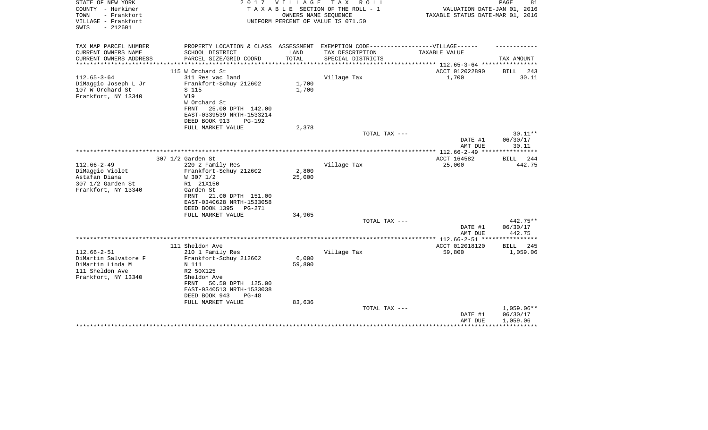| STATE OF NEW YORK<br>COUNTY - Herkimer<br>TOWN<br>- Frankfort<br>VILLAGE - Frankfort<br>$-212601$<br>SWIS | 2017                                                                              | V I L L A G E | TAX ROLL<br>TAXABLE SECTION OF THE ROLL - 1<br>OWNERS NAME SEQUENCE<br>UNIFORM PERCENT OF VALUE IS 071.50 | VALUATION DATE-JAN 01, 2016<br>TAXABLE STATUS DATE-MAR 01, 2016 | PAGE<br>81   |
|-----------------------------------------------------------------------------------------------------------|-----------------------------------------------------------------------------------|---------------|-----------------------------------------------------------------------------------------------------------|-----------------------------------------------------------------|--------------|
| TAX MAP PARCEL NUMBER                                                                                     | PROPERTY LOCATION & CLASS ASSESSMENT EXEMPTION CODE-----------------VILLAGE------ |               |                                                                                                           |                                                                 |              |
| CURRENT OWNERS NAME                                                                                       | SCHOOL DISTRICT                                                                   | LAND          | TAX DESCRIPTION                                                                                           | TAXABLE VALUE                                                   |              |
| CURRENT OWNERS ADDRESS                                                                                    | PARCEL SIZE/GRID COORD                                                            | TOTAL         | SPECIAL DISTRICTS                                                                                         |                                                                 | TAX AMOUNT   |
| *********************                                                                                     |                                                                                   |               |                                                                                                           | ************************** 112.65-3-64 *****************        |              |
|                                                                                                           | 115 W Orchard St                                                                  |               |                                                                                                           | ACCT 012022890                                                  | BILL<br>243  |
| $112.65 - 3 - 64$<br>DiMaggio Joseph L Jr                                                                 | 311 Res vac land<br>Frankfort-Schuy 212602                                        | 1,700         | Village Tax                                                                                               | 1,700                                                           | 30.11        |
| 107 W Orchard St                                                                                          | S 115                                                                             | 1,700         |                                                                                                           |                                                                 |              |
| Frankfort, NY 13340                                                                                       | V19                                                                               |               |                                                                                                           |                                                                 |              |
|                                                                                                           | W Orchard St                                                                      |               |                                                                                                           |                                                                 |              |
|                                                                                                           | 25.00 DPTH 142.00<br>FRNT                                                         |               |                                                                                                           |                                                                 |              |
|                                                                                                           | EAST-0339539 NRTH-1533214                                                         |               |                                                                                                           |                                                                 |              |
|                                                                                                           | DEED BOOK 913<br>PG-192                                                           |               |                                                                                                           |                                                                 |              |
|                                                                                                           | FULL MARKET VALUE                                                                 | 2,378         |                                                                                                           |                                                                 |              |
|                                                                                                           |                                                                                   |               | TOTAL TAX ---                                                                                             |                                                                 | $30.11**$    |
|                                                                                                           |                                                                                   |               |                                                                                                           | DATE #1                                                         | 06/30/17     |
|                                                                                                           |                                                                                   |               |                                                                                                           | AMT DUE<br>*************** 112.66-2-49 ***                      | 30.11        |
|                                                                                                           | 307 1/2 Garden St                                                                 |               |                                                                                                           | ACCT 164582                                                     | 244<br>BILL  |
| $112.66 - 2 - 49$                                                                                         | 220 2 Family Res                                                                  |               | Village Tax                                                                                               | 25,000                                                          | 442.75       |
| DiMaggio Violet                                                                                           | Frankfort-Schuy 212602                                                            | 2,800         |                                                                                                           |                                                                 |              |
| Astafan Diana                                                                                             | W 307 1/2                                                                         | 25,000        |                                                                                                           |                                                                 |              |
| 307 1/2 Garden St                                                                                         | R1 21X150                                                                         |               |                                                                                                           |                                                                 |              |
| Frankfort, NY 13340                                                                                       | Garden St                                                                         |               |                                                                                                           |                                                                 |              |
|                                                                                                           | 21.00 DPTH 151.00<br>FRNT                                                         |               |                                                                                                           |                                                                 |              |
|                                                                                                           | EAST-0340628 NRTH-1533058                                                         |               |                                                                                                           |                                                                 |              |
|                                                                                                           | DEED BOOK 1395<br>PG-271                                                          |               |                                                                                                           |                                                                 |              |
|                                                                                                           | FULL MARKET VALUE                                                                 | 34,965        | TOTAL TAX ---                                                                                             |                                                                 | 442.75**     |
|                                                                                                           |                                                                                   |               |                                                                                                           | DATE #1                                                         | 06/30/17     |
|                                                                                                           |                                                                                   |               |                                                                                                           | AMT DUE                                                         | 442.75       |
|                                                                                                           |                                                                                   |               |                                                                                                           |                                                                 |              |
|                                                                                                           | 111 Sheldon Ave                                                                   |               |                                                                                                           | ACCT 012018120                                                  | BILL<br>245  |
| $112.66 - 2 - 51$                                                                                         | 210 1 Family Res                                                                  |               | Village Tax                                                                                               | 59,800                                                          | 1,059.06     |
| DiMartin Salvatore F                                                                                      | Frankfort-Schuy 212602                                                            | 6,000         |                                                                                                           |                                                                 |              |
| DiMartin Linda M                                                                                          | N 111                                                                             | 59,800        |                                                                                                           |                                                                 |              |
| 111 Sheldon Ave                                                                                           | R2 50X125                                                                         |               |                                                                                                           |                                                                 |              |
| Frankfort, NY 13340                                                                                       | Sheldon Ave                                                                       |               |                                                                                                           |                                                                 |              |
|                                                                                                           | 50.50 DPTH 125.00<br>FRNT                                                         |               |                                                                                                           |                                                                 |              |
|                                                                                                           | EAST-0340513 NRTH-1533038                                                         |               |                                                                                                           |                                                                 |              |
|                                                                                                           | DEED BOOK 943<br>$PG-48$<br>FULL MARKET VALUE                                     | 83,636        |                                                                                                           |                                                                 |              |
|                                                                                                           |                                                                                   |               | TOTAL TAX ---                                                                                             |                                                                 | $1,059.06**$ |
|                                                                                                           |                                                                                   |               |                                                                                                           | DATE #1                                                         | 06/30/17     |
|                                                                                                           |                                                                                   |               |                                                                                                           | AMT DUE                                                         | 1,059.06     |
|                                                                                                           |                                                                                   |               |                                                                                                           |                                                                 |              |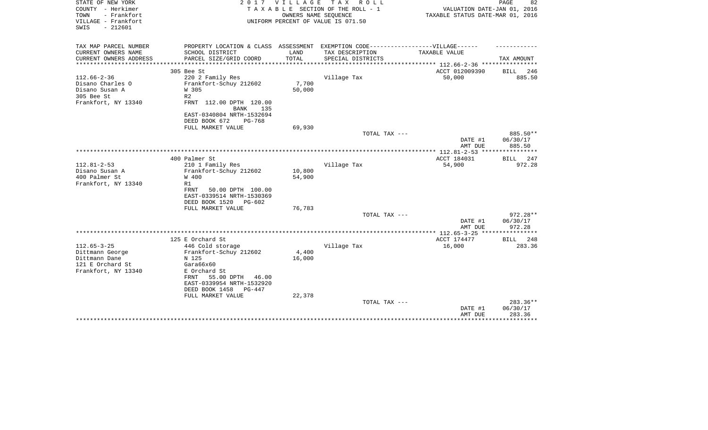| STATE OF NEW YORK<br>COUNTY - Herkimer<br>- Frankfort<br>TOWN<br>VILLAGE - Frankfort<br>$-212601$<br>SWIS | 2017                                                                                                 | <b>VILLAGE</b> | T A X<br>R O L L<br>TAXABLE SECTION OF THE ROLL - 1<br>OWNERS NAME SEQUENCE<br>UNIFORM PERCENT OF VALUE IS 071.50 | VALUATION DATE-JAN 01, 2016<br>TAXABLE STATUS DATE-MAR 01, 2016 | PAGE<br>82         |
|-----------------------------------------------------------------------------------------------------------|------------------------------------------------------------------------------------------------------|----------------|-------------------------------------------------------------------------------------------------------------------|-----------------------------------------------------------------|--------------------|
| TAX MAP PARCEL NUMBER<br>CURRENT OWNERS NAME                                                              | PROPERTY LOCATION & CLASS ASSESSMENT EXEMPTION CODE-----------------VILLAGE------<br>SCHOOL DISTRICT | LAND           | TAX DESCRIPTION                                                                                                   | TAXABLE VALUE                                                   |                    |
| CURRENT OWNERS ADDRESS                                                                                    | PARCEL SIZE/GRID COORD                                                                               | TOTAL          | SPECIAL DISTRICTS                                                                                                 |                                                                 | TAX AMOUNT         |
|                                                                                                           |                                                                                                      |                |                                                                                                                   | ************* 112.66-2-36 *****************                     |                    |
|                                                                                                           | 305 Bee St                                                                                           |                |                                                                                                                   | ACCT 012009390                                                  | <b>BILL</b><br>246 |
| $112.66 - 2 - 36$                                                                                         | 220 2 Family Res                                                                                     |                | Village Tax                                                                                                       | 50,000                                                          | 885.50             |
| Disano Charles O                                                                                          | Frankfort-Schuy 212602                                                                               | 7,700          |                                                                                                                   |                                                                 |                    |
| Disano Susan A<br>305 Bee St                                                                              | W 305<br>R <sub>2</sub>                                                                              | 50,000         |                                                                                                                   |                                                                 |                    |
| Frankfort, NY 13340                                                                                       | FRNT 112.00 DPTH 120.00<br><b>BANK</b><br>135                                                        |                |                                                                                                                   |                                                                 |                    |
|                                                                                                           | EAST-0340804 NRTH-1532694<br>DEED BOOK 672<br>PG-768                                                 |                |                                                                                                                   |                                                                 |                    |
|                                                                                                           | FULL MARKET VALUE                                                                                    | 69,930         |                                                                                                                   |                                                                 |                    |
|                                                                                                           |                                                                                                      |                | TOTAL TAX ---                                                                                                     |                                                                 | 885.50**           |
|                                                                                                           |                                                                                                      |                |                                                                                                                   | DATE #1<br>AMT DUE                                              | 06/30/17<br>885.50 |
|                                                                                                           |                                                                                                      |                |                                                                                                                   |                                                                 |                    |
| $112.81 - 2 - 53$                                                                                         | 400 Palmer St                                                                                        |                |                                                                                                                   | ACCT 184031                                                     | <b>BILL</b><br>247 |
| Disano Susan A                                                                                            | 210 1 Family Res<br>Frankfort-Schuy 212602                                                           | 10,800         | Village Tax                                                                                                       | 54,900                                                          | 972.28             |
| 400 Palmer St                                                                                             | W 400                                                                                                | 54,900         |                                                                                                                   |                                                                 |                    |
| Frankfort, NY 13340                                                                                       | R1                                                                                                   |                |                                                                                                                   |                                                                 |                    |
|                                                                                                           | FRNT<br>50.00 DPTH 100.00                                                                            |                |                                                                                                                   |                                                                 |                    |
|                                                                                                           | EAST-0339514 NRTH-1530369<br>DEED BOOK 1520<br>PG-602                                                |                |                                                                                                                   |                                                                 |                    |
|                                                                                                           | FULL MARKET VALUE                                                                                    | 76,783         |                                                                                                                   |                                                                 |                    |
|                                                                                                           |                                                                                                      |                | TOTAL TAX ---                                                                                                     |                                                                 | 972.28**           |
|                                                                                                           |                                                                                                      |                |                                                                                                                   | DATE #1<br>AMT DUE                                              | 06/30/17<br>972.28 |
|                                                                                                           |                                                                                                      |                |                                                                                                                   |                                                                 | ***********        |
|                                                                                                           | 125 E Orchard St                                                                                     |                |                                                                                                                   | ACCT 174477                                                     | BILL 248           |
| $112.65 - 3 - 25$<br>Dittmann George                                                                      | 446 Cold storage<br>Frankfort-Schuy 212602                                                           | 4,400          | Village Tax                                                                                                       | 16,000                                                          | 283.36             |
| Dittmann Dane                                                                                             | N 125                                                                                                | 16,000         |                                                                                                                   |                                                                 |                    |
| 121 E Orchard St                                                                                          | Gara66x60                                                                                            |                |                                                                                                                   |                                                                 |                    |
| Frankfort, NY 13340                                                                                       | E Orchard St                                                                                         |                |                                                                                                                   |                                                                 |                    |
|                                                                                                           | 55.00 DPTH<br>FRNT<br>46.00<br>EAST-0339954 NRTH-1532920                                             |                |                                                                                                                   |                                                                 |                    |
|                                                                                                           | DEED BOOK 1458<br>PG-447                                                                             |                |                                                                                                                   |                                                                 |                    |
|                                                                                                           | FULL MARKET VALUE                                                                                    | 22,378         | TOTAL TAX ---                                                                                                     |                                                                 | 283.36**           |
|                                                                                                           |                                                                                                      |                |                                                                                                                   | DATE #1<br>AMT DUE                                              | 06/30/17<br>283.36 |
|                                                                                                           |                                                                                                      |                |                                                                                                                   |                                                                 | ********           |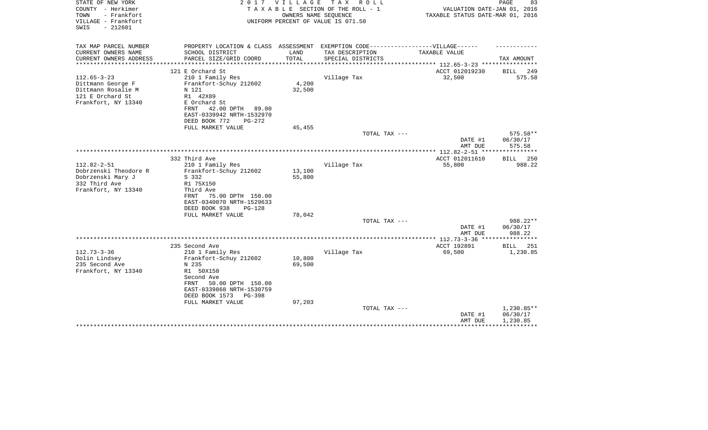| STATE OF NEW YORK<br>COUNTY - Herkimer<br>TOWN<br>- Frankfort<br>VILLAGE - Frankfort<br>$-212601$<br>SWIS | 2017                                                                              | <b>VILLAGE</b>   | T A X<br>R O L L<br>TAXABLE SECTION OF THE ROLL - 1<br>OWNERS NAME SEQUENCE<br>UNIFORM PERCENT OF VALUE IS 071.50 | VALUATION DATE-JAN 01, 2016<br>TAXABLE STATUS DATE-MAR 01, 2016 | PAGE<br>83         |
|-----------------------------------------------------------------------------------------------------------|-----------------------------------------------------------------------------------|------------------|-------------------------------------------------------------------------------------------------------------------|-----------------------------------------------------------------|--------------------|
| TAX MAP PARCEL NUMBER                                                                                     | PROPERTY LOCATION & CLASS ASSESSMENT EXEMPTION CODE-----------------VILLAGE------ |                  |                                                                                                                   |                                                                 |                    |
| CURRENT OWNERS NAME                                                                                       | SCHOOL DISTRICT                                                                   | LAND             | TAX DESCRIPTION                                                                                                   | TAXABLE VALUE                                                   |                    |
| CURRENT OWNERS ADDRESS<br>**********************                                                          | PARCEL SIZE/GRID COORD                                                            | TOTAL            | SPECIAL DISTRICTS                                                                                                 |                                                                 | TAX AMOUNT         |
|                                                                                                           | 121 E Orchard St                                                                  |                  |                                                                                                                   | ACCT 012019230                                                  | <b>BILL</b><br>249 |
| $112.65 - 3 - 23$                                                                                         | 210 1 Family Res                                                                  |                  | Village Tax                                                                                                       | 32,500                                                          | 575.58             |
| Dittmann George F                                                                                         | Frankfort-Schuy 212602                                                            | 4,200            |                                                                                                                   |                                                                 |                    |
| Dittmann Rosalie M                                                                                        | N 121                                                                             | 32,500           |                                                                                                                   |                                                                 |                    |
| 121 E Orchard St                                                                                          | R1 42X89                                                                          |                  |                                                                                                                   |                                                                 |                    |
| Frankfort, NY 13340                                                                                       | E Orchard St                                                                      |                  |                                                                                                                   |                                                                 |                    |
|                                                                                                           | 42.00 DPTH<br>FRNT<br>89.00                                                       |                  |                                                                                                                   |                                                                 |                    |
|                                                                                                           | EAST-0339942 NRTH-1532970                                                         |                  |                                                                                                                   |                                                                 |                    |
|                                                                                                           | DEED BOOK 772<br>PG-272<br>FULL MARKET VALUE                                      | 45,455           |                                                                                                                   |                                                                 |                    |
|                                                                                                           |                                                                                   |                  | TOTAL TAX ---                                                                                                     |                                                                 | 575.58**           |
|                                                                                                           |                                                                                   |                  |                                                                                                                   | DATE #1                                                         | 06/30/17           |
|                                                                                                           |                                                                                   |                  |                                                                                                                   | AMT DUE                                                         | 575.58             |
|                                                                                                           |                                                                                   |                  |                                                                                                                   |                                                                 |                    |
|                                                                                                           | 332 Third Ave                                                                     |                  |                                                                                                                   | ACCT 012011610                                                  | 250<br>BILL        |
| $112.82 - 2 - 51$                                                                                         | 210 1 Family Res                                                                  |                  | Village Tax                                                                                                       | 55,800                                                          | 988.22             |
| Dobrzenski Theodore R<br>Dobrzenski Mary J                                                                | Frankfort-Schuy 212602<br>S 332                                                   | 13,100<br>55,800 |                                                                                                                   |                                                                 |                    |
| 332 Third Ave                                                                                             | R1 75X150                                                                         |                  |                                                                                                                   |                                                                 |                    |
| Frankfort, NY 13340                                                                                       | Third Ave                                                                         |                  |                                                                                                                   |                                                                 |                    |
|                                                                                                           | 75.00 DPTH 150.00<br>FRNT                                                         |                  |                                                                                                                   |                                                                 |                    |
|                                                                                                           | EAST-0340070 NRTH-1529633                                                         |                  |                                                                                                                   |                                                                 |                    |
|                                                                                                           | DEED BOOK 938<br>$PG-128$                                                         |                  |                                                                                                                   |                                                                 |                    |
|                                                                                                           | FULL MARKET VALUE                                                                 | 78,042           |                                                                                                                   |                                                                 |                    |
|                                                                                                           |                                                                                   |                  | TOTAL TAX ---                                                                                                     |                                                                 | 988.22**           |
|                                                                                                           |                                                                                   |                  |                                                                                                                   | DATE #1<br>AMT DUE                                              | 06/30/17<br>988.22 |
|                                                                                                           |                                                                                   |                  |                                                                                                                   |                                                                 |                    |
|                                                                                                           | 235 Second Ave                                                                    |                  |                                                                                                                   | ACCT 192891                                                     | BILL<br>251        |
| $112.73 - 3 - 36$                                                                                         | 210 1 Family Res                                                                  |                  | Village Tax                                                                                                       | 69,500                                                          | 1,230.85           |
| Dolin Lindsey                                                                                             | Frankfort-Schuy 212602                                                            | 10,800           |                                                                                                                   |                                                                 |                    |
| 235 Second Ave                                                                                            | N 235                                                                             | 69,500           |                                                                                                                   |                                                                 |                    |
| Frankfort, NY 13340                                                                                       | R1 50X150                                                                         |                  |                                                                                                                   |                                                                 |                    |
|                                                                                                           | Second Ave                                                                        |                  |                                                                                                                   |                                                                 |                    |
|                                                                                                           | 50.00 DPTH 150.00<br>FRNT<br>EAST-0339868 NRTH-1530759                            |                  |                                                                                                                   |                                                                 |                    |
|                                                                                                           | DEED BOOK 1573<br>$PG-398$                                                        |                  |                                                                                                                   |                                                                 |                    |
|                                                                                                           | FULL MARKET VALUE                                                                 | 97,203           |                                                                                                                   |                                                                 |                    |
|                                                                                                           |                                                                                   |                  | TOTAL TAX ---                                                                                                     |                                                                 | 1,230.85**         |
|                                                                                                           |                                                                                   |                  |                                                                                                                   | DATE #1                                                         | 06/30/17           |
|                                                                                                           |                                                                                   |                  |                                                                                                                   | AMT DUE                                                         | 1,230.85           |
|                                                                                                           |                                                                                   |                  |                                                                                                                   |                                                                 |                    |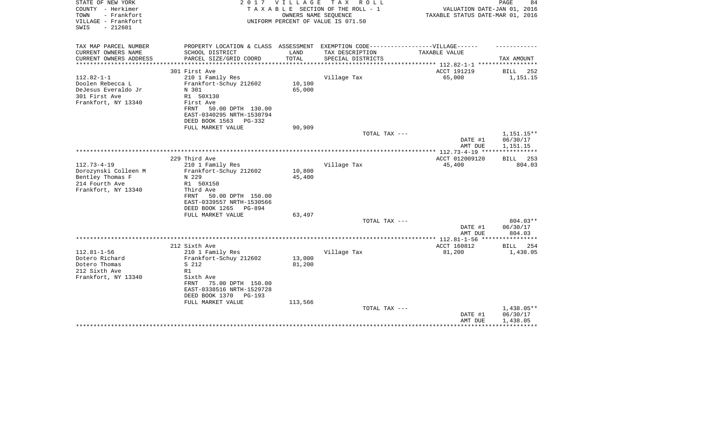| STATE OF NEW YORK<br>COUNTY - Herkimer<br>TOWN<br>- Frankfort<br>VILLAGE - Frankfort<br>$-212601$<br>SWIS | 2 0 1 7                                                                           | VILLAGE | T A X<br>R O L L<br>TAXABLE SECTION OF THE ROLL - 1<br>OWNERS NAME SEQUENCE<br>UNIFORM PERCENT OF VALUE IS 071.50 | VALUATION DATE-JAN 01, 2016<br>TAXABLE STATUS DATE-MAR 01, 2016 | PAGE<br>84             |
|-----------------------------------------------------------------------------------------------------------|-----------------------------------------------------------------------------------|---------|-------------------------------------------------------------------------------------------------------------------|-----------------------------------------------------------------|------------------------|
| TAX MAP PARCEL NUMBER                                                                                     | PROPERTY LOCATION & CLASS ASSESSMENT EXEMPTION CODE-----------------VILLAGE------ |         |                                                                                                                   |                                                                 |                        |
| CURRENT OWNERS NAME                                                                                       | SCHOOL DISTRICT                                                                   | LAND    | TAX DESCRIPTION                                                                                                   | TAXABLE VALUE                                                   |                        |
| CURRENT OWNERS ADDRESS<br>**********************                                                          | PARCEL SIZE/GRID COORD                                                            | TOTAL   | SPECIAL DISTRICTS                                                                                                 |                                                                 | TAX AMOUNT             |
|                                                                                                           | 301 First Ave                                                                     |         |                                                                                                                   | ACCT 191219                                                     | <b>BILL</b><br>252     |
| $112.82 - 1 - 1$                                                                                          | 210 1 Family Res                                                                  |         | Village Tax                                                                                                       | 65,000                                                          | 1,151.15               |
| Doolen Rebecca L                                                                                          | Frankfort-Schuy 212602                                                            | 10,100  |                                                                                                                   |                                                                 |                        |
| DeJesus Everaldo Jr                                                                                       | N 301                                                                             | 65,000  |                                                                                                                   |                                                                 |                        |
| 301 First Ave                                                                                             | R1 50X130                                                                         |         |                                                                                                                   |                                                                 |                        |
| Frankfort, NY 13340                                                                                       | First Ave                                                                         |         |                                                                                                                   |                                                                 |                        |
|                                                                                                           | 50.00 DPTH 130.00<br>FRNT                                                         |         |                                                                                                                   |                                                                 |                        |
|                                                                                                           | EAST-0340295 NRTH-1530794                                                         |         |                                                                                                                   |                                                                 |                        |
|                                                                                                           | DEED BOOK 1563<br>PG-332                                                          |         |                                                                                                                   |                                                                 |                        |
|                                                                                                           | FULL MARKET VALUE                                                                 | 90,909  |                                                                                                                   |                                                                 |                        |
|                                                                                                           |                                                                                   |         | TOTAL TAX ---                                                                                                     | DATE #1                                                         | 1,151.15**<br>06/30/17 |
|                                                                                                           |                                                                                   |         |                                                                                                                   | AMT DUE                                                         | 1,151.15               |
|                                                                                                           |                                                                                   |         |                                                                                                                   |                                                                 |                        |
|                                                                                                           | 229 Third Ave                                                                     |         |                                                                                                                   | ACCT 012009120                                                  | 253<br>BILL            |
| $112.73 - 4 - 19$                                                                                         | 210 1 Family Res                                                                  |         | Village Tax                                                                                                       | 45,400                                                          | 804.03                 |
| Dorozynski Colleen M                                                                                      | Frankfort-Schuy 212602                                                            | 10,800  |                                                                                                                   |                                                                 |                        |
| Bentley Thomas F                                                                                          | N 229                                                                             | 45,400  |                                                                                                                   |                                                                 |                        |
| 214 Fourth Ave                                                                                            | R1 50X150                                                                         |         |                                                                                                                   |                                                                 |                        |
| Frankfort, NY 13340                                                                                       | Third Ave                                                                         |         |                                                                                                                   |                                                                 |                        |
|                                                                                                           | 50.00 DPTH 150.00<br>FRNT                                                         |         |                                                                                                                   |                                                                 |                        |
|                                                                                                           | EAST-0339557 NRTH-1530566                                                         |         |                                                                                                                   |                                                                 |                        |
|                                                                                                           | DEED BOOK 1265<br>PG-894                                                          |         |                                                                                                                   |                                                                 |                        |
|                                                                                                           | FULL MARKET VALUE                                                                 | 63,497  |                                                                                                                   |                                                                 |                        |
|                                                                                                           |                                                                                   |         | TOTAL TAX ---                                                                                                     |                                                                 | 804.03**               |
|                                                                                                           |                                                                                   |         |                                                                                                                   | DATE #1<br>AMT DUE                                              | 06/30/17<br>804.03     |
|                                                                                                           |                                                                                   |         |                                                                                                                   |                                                                 | ************           |
|                                                                                                           | 212 Sixth Ave                                                                     |         |                                                                                                                   | ACCT 160812                                                     | <b>BILL</b><br>254     |
| $112.81 - 1 - 56$                                                                                         | 210 1 Family Res                                                                  |         | Village Tax                                                                                                       | 81,200                                                          | 1,438.05               |
| Dotero Richard                                                                                            | Frankfort-Schuy 212602                                                            | 13,000  |                                                                                                                   |                                                                 |                        |
| Dotero Thomas                                                                                             | S 212                                                                             | 81,200  |                                                                                                                   |                                                                 |                        |
| 212 Sixth Ave                                                                                             | R1                                                                                |         |                                                                                                                   |                                                                 |                        |
| Frankfort, NY 13340                                                                                       | Sixth Ave                                                                         |         |                                                                                                                   |                                                                 |                        |
|                                                                                                           | 75.00 DPTH 150.00<br>FRNT                                                         |         |                                                                                                                   |                                                                 |                        |
|                                                                                                           | EAST-0338516 NRTH-1529728                                                         |         |                                                                                                                   |                                                                 |                        |
|                                                                                                           | DEED BOOK 1370<br>$PG-193$                                                        |         |                                                                                                                   |                                                                 |                        |
|                                                                                                           | FULL MARKET VALUE                                                                 | 113,566 |                                                                                                                   |                                                                 |                        |
|                                                                                                           |                                                                                   |         | TOTAL TAX ---                                                                                                     |                                                                 | 1,438.05**             |
|                                                                                                           |                                                                                   |         |                                                                                                                   | DATE #1                                                         | 06/30/17               |
|                                                                                                           |                                                                                   |         |                                                                                                                   | AMT DUE                                                         | 1,438.05               |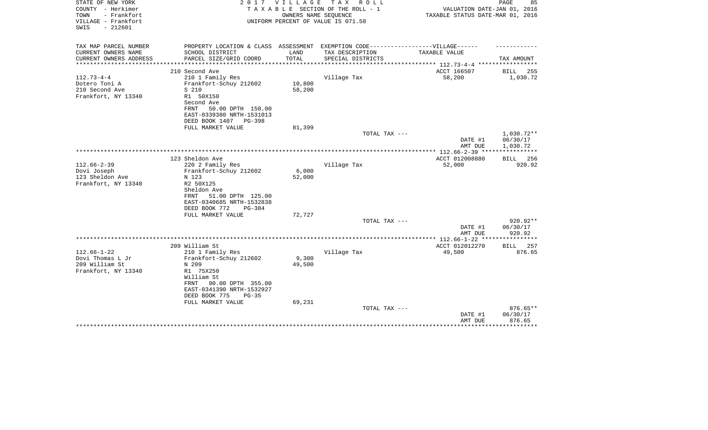| STATE OF NEW YORK<br>COUNTY - Herkimer<br>TOWN<br>- Frankfort<br>VILLAGE - Frankfort<br>$-212601$<br>SWIS | 2 0 1 7                                                                           | V I L L A G E | T A X<br>R O L L<br>TAXABLE SECTION OF THE ROLL - 1<br>OWNERS NAME SEQUENCE<br>UNIFORM PERCENT OF VALUE IS 071.50 | VALUATION DATE-JAN 01, 2016<br>TAXABLE STATUS DATE-MAR 01, 2016 | 85<br>PAGE                          |
|-----------------------------------------------------------------------------------------------------------|-----------------------------------------------------------------------------------|---------------|-------------------------------------------------------------------------------------------------------------------|-----------------------------------------------------------------|-------------------------------------|
| TAX MAP PARCEL NUMBER                                                                                     | PROPERTY LOCATION & CLASS ASSESSMENT EXEMPTION CODE-----------------VILLAGE------ |               |                                                                                                                   |                                                                 |                                     |
| CURRENT OWNERS NAME                                                                                       | SCHOOL DISTRICT                                                                   | LAND          | TAX DESCRIPTION                                                                                                   | TAXABLE VALUE                                                   |                                     |
| CURRENT OWNERS ADDRESS<br>*********************                                                           | PARCEL SIZE/GRID COORD                                                            | TOTAL         | SPECIAL DISTRICTS                                                                                                 |                                                                 | TAX AMOUNT                          |
|                                                                                                           | 210 Second Ave                                                                    |               |                                                                                                                   | ACCT 166507                                                     | <b>BILL</b><br>255                  |
| $112.73 - 4 - 4$                                                                                          | 210 1 Family Res                                                                  |               | Village Tax                                                                                                       | 58,200                                                          | 1,030.72                            |
| Dotero Toni A                                                                                             | Frankfort-Schuy 212602                                                            | 10,800        |                                                                                                                   |                                                                 |                                     |
| 210 Second Ave                                                                                            | S 210                                                                             | 58,200        |                                                                                                                   |                                                                 |                                     |
| Frankfort, NY 13340                                                                                       | R1 50X150                                                                         |               |                                                                                                                   |                                                                 |                                     |
|                                                                                                           | Second Ave<br>50.00 DPTH 150.00<br>FRNT                                           |               |                                                                                                                   |                                                                 |                                     |
|                                                                                                           | EAST-0339380 NRTH-1531013                                                         |               |                                                                                                                   |                                                                 |                                     |
|                                                                                                           | DEED BOOK 1407<br>PG-398                                                          |               |                                                                                                                   |                                                                 |                                     |
|                                                                                                           | FULL MARKET VALUE                                                                 | 81,399        |                                                                                                                   |                                                                 |                                     |
|                                                                                                           |                                                                                   |               | TOTAL TAX ---                                                                                                     |                                                                 | 1,030.72**                          |
|                                                                                                           |                                                                                   |               |                                                                                                                   | DATE #1                                                         | 06/30/17                            |
|                                                                                                           |                                                                                   |               |                                                                                                                   | AMT DUE<br>*************** 112.66-2-39 ****                     | 1,030.72<br>* * * * * * * * * * * * |
|                                                                                                           | 123 Sheldon Ave                                                                   |               |                                                                                                                   | ACCT 012008880                                                  | BILL 256                            |
| $112.66 - 2 - 39$                                                                                         | 220 2 Family Res                                                                  |               | Village Tax                                                                                                       | 52,000                                                          | 920.92                              |
| Dovi Joseph                                                                                               | Frankfort-Schuy 212602                                                            | 6,000         |                                                                                                                   |                                                                 |                                     |
| 123 Sheldon Ave                                                                                           | N 123                                                                             | 52,000        |                                                                                                                   |                                                                 |                                     |
| Frankfort, NY 13340                                                                                       | R2 50X125<br>Sheldon Ave                                                          |               |                                                                                                                   |                                                                 |                                     |
|                                                                                                           | 51.00 DPTH 125.00<br>FRNT                                                         |               |                                                                                                                   |                                                                 |                                     |
|                                                                                                           | EAST-0340685 NRTH-1532838                                                         |               |                                                                                                                   |                                                                 |                                     |
|                                                                                                           | DEED BOOK 772<br>PG-384                                                           |               |                                                                                                                   |                                                                 |                                     |
|                                                                                                           | FULL MARKET VALUE                                                                 | 72,727        |                                                                                                                   |                                                                 |                                     |
|                                                                                                           |                                                                                   |               | TOTAL TAX ---                                                                                                     |                                                                 | 920.92**                            |
|                                                                                                           |                                                                                   |               |                                                                                                                   | DATE #1<br>AMT DUE                                              | 06/30/17<br>920.92                  |
|                                                                                                           |                                                                                   |               |                                                                                                                   |                                                                 | ********                            |
|                                                                                                           | 209 William St                                                                    |               |                                                                                                                   | ACCT 012012270                                                  | 257<br><b>BILL</b>                  |
| $112.66 - 1 - 22$                                                                                         | 210 1 Family Res                                                                  |               | Village Tax                                                                                                       | 49,500                                                          | 876.65                              |
| Dovi Thomas L Jr                                                                                          | Frankfort-Schuy 212602                                                            | 9,300         |                                                                                                                   |                                                                 |                                     |
| 209 William St                                                                                            | N 209<br>R1 75X250                                                                | 49,500        |                                                                                                                   |                                                                 |                                     |
| Frankfort, NY 13340                                                                                       | William St                                                                        |               |                                                                                                                   |                                                                 |                                     |
|                                                                                                           | 90.00 DPTH 355.00<br>FRNT                                                         |               |                                                                                                                   |                                                                 |                                     |
|                                                                                                           | EAST-0341390 NRTH-1532927                                                         |               |                                                                                                                   |                                                                 |                                     |
|                                                                                                           | DEED BOOK 775<br>$PG-35$                                                          |               |                                                                                                                   |                                                                 |                                     |
|                                                                                                           | FULL MARKET VALUE                                                                 | 69,231        |                                                                                                                   |                                                                 |                                     |
|                                                                                                           |                                                                                   |               | TOTAL TAX ---                                                                                                     | DATE #1                                                         | 876.65**<br>06/30/17                |
|                                                                                                           |                                                                                   |               |                                                                                                                   | AMT DUE                                                         | 876.65                              |
|                                                                                                           |                                                                                   |               |                                                                                                                   |                                                                 | **********                          |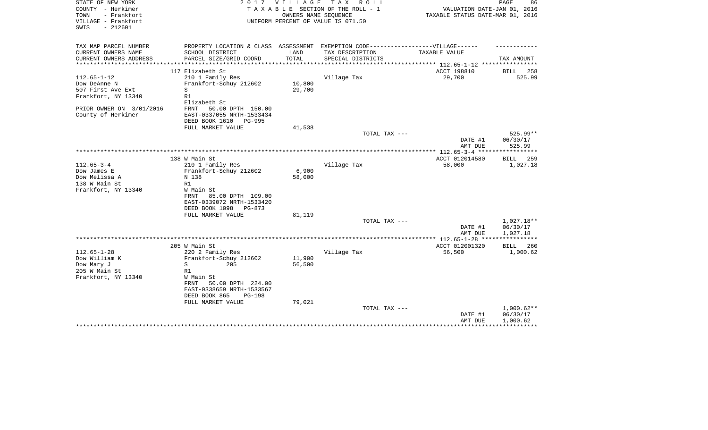| STATE OF NEW YORK<br>COUNTY - Herkimer<br>- Frankfort<br>TOWN<br>VILLAGE - Frankfort<br>$-212601$<br>SWIS | 2 0 1 7                                                                           | VILLAGE | T A X<br>R O L L<br>TAXABLE SECTION OF THE ROLL - 1<br>OWNERS NAME SEQUENCE<br>UNIFORM PERCENT OF VALUE IS 071.50 | VALUATION DATE-JAN 01, 2016<br>TAXABLE STATUS DATE-MAR 01, 2016 | PAGE<br>86   |
|-----------------------------------------------------------------------------------------------------------|-----------------------------------------------------------------------------------|---------|-------------------------------------------------------------------------------------------------------------------|-----------------------------------------------------------------|--------------|
|                                                                                                           |                                                                                   |         |                                                                                                                   |                                                                 |              |
| TAX MAP PARCEL NUMBER                                                                                     | PROPERTY LOCATION & CLASS ASSESSMENT EXEMPTION CODE-----------------VILLAGE------ |         |                                                                                                                   |                                                                 |              |
| CURRENT OWNERS NAME                                                                                       | SCHOOL DISTRICT                                                                   | LAND    | TAX DESCRIPTION                                                                                                   | TAXABLE VALUE                                                   |              |
| CURRENT OWNERS ADDRESS<br>**********************                                                          | PARCEL SIZE/GRID COORD                                                            | TOTAL   | SPECIAL DISTRICTS                                                                                                 | ***************************** 112.65-1-12 ****************      | TAX AMOUNT   |
|                                                                                                           | 117 Elizabeth St                                                                  |         |                                                                                                                   | ACCT 198810                                                     | BILL<br>258  |
| $112.65 - 1 - 12$                                                                                         | 210 1 Family Res                                                                  |         | Village Tax                                                                                                       | 29,700                                                          | 525.99       |
| Dow DeAnne N                                                                                              | Frankfort-Schuy 212602                                                            | 10,800  |                                                                                                                   |                                                                 |              |
| 507 First Ave Ext                                                                                         | S                                                                                 | 29,700  |                                                                                                                   |                                                                 |              |
| Frankfort, NY 13340                                                                                       | R1                                                                                |         |                                                                                                                   |                                                                 |              |
|                                                                                                           | Elizabeth St                                                                      |         |                                                                                                                   |                                                                 |              |
| PRIOR OWNER ON 3/01/2016                                                                                  | 50.00 DPTH 150.00<br>FRNT                                                         |         |                                                                                                                   |                                                                 |              |
| County of Herkimer                                                                                        | EAST-0337055 NRTH-1533434                                                         |         |                                                                                                                   |                                                                 |              |
|                                                                                                           | DEED BOOK 1610<br>PG-995                                                          |         |                                                                                                                   |                                                                 |              |
|                                                                                                           | FULL MARKET VALUE                                                                 | 41,538  |                                                                                                                   |                                                                 | $525.99**$   |
|                                                                                                           |                                                                                   |         | TOTAL TAX ---                                                                                                     | DATE #1                                                         | 06/30/17     |
|                                                                                                           |                                                                                   |         |                                                                                                                   | AMT DUE                                                         | 525.99       |
|                                                                                                           |                                                                                   |         |                                                                                                                   |                                                                 |              |
|                                                                                                           | 138 W Main St                                                                     |         |                                                                                                                   | ACCT 012014580                                                  | 259<br>BILL  |
| $112.65 - 3 - 4$                                                                                          | 210 1 Family Res                                                                  |         | Village Tax                                                                                                       | 58,000                                                          | 1,027.18     |
| Dow James E                                                                                               | Frankfort-Schuy 212602                                                            | 6,900   |                                                                                                                   |                                                                 |              |
| Dow Melissa A                                                                                             | N 138                                                                             | 58,000  |                                                                                                                   |                                                                 |              |
| 138 W Main St                                                                                             | R1                                                                                |         |                                                                                                                   |                                                                 |              |
| Frankfort, NY 13340                                                                                       | W Main St                                                                         |         |                                                                                                                   |                                                                 |              |
|                                                                                                           | 85.00 DPTH 109.00<br>FRNT                                                         |         |                                                                                                                   |                                                                 |              |
|                                                                                                           | EAST-0339072 NRTH-1533420                                                         |         |                                                                                                                   |                                                                 |              |
|                                                                                                           | DEED BOOK 1098<br>PG-873<br>FULL MARKET VALUE                                     |         |                                                                                                                   |                                                                 |              |
|                                                                                                           |                                                                                   | 81,119  | TOTAL TAX ---                                                                                                     |                                                                 | 1,027.18**   |
|                                                                                                           |                                                                                   |         |                                                                                                                   | DATE #1                                                         | 06/30/17     |
|                                                                                                           |                                                                                   |         |                                                                                                                   | AMT DUE                                                         | 1,027.18     |
|                                                                                                           |                                                                                   |         |                                                                                                                   | ********** 112.65-1-28 *****                                    |              |
|                                                                                                           | 205 W Main St                                                                     |         |                                                                                                                   | ACCT 012001320                                                  | BILL<br>260  |
| $112.65 - 1 - 28$                                                                                         | 220 2 Family Res                                                                  |         | Village Tax                                                                                                       | 56,500                                                          | 1,000.62     |
| Dow William K                                                                                             | Frankfort-Schuy 212602                                                            | 11,900  |                                                                                                                   |                                                                 |              |
| Dow Mary J                                                                                                | 205<br>S                                                                          | 56,500  |                                                                                                                   |                                                                 |              |
| 205 W Main St                                                                                             | R1                                                                                |         |                                                                                                                   |                                                                 |              |
| Frankfort, NY 13340                                                                                       | W Main St                                                                         |         |                                                                                                                   |                                                                 |              |
|                                                                                                           | FRNT<br>50.00 DPTH 224.00                                                         |         |                                                                                                                   |                                                                 |              |
|                                                                                                           | EAST-0338659 NRTH-1533567                                                         |         |                                                                                                                   |                                                                 |              |
|                                                                                                           | DEED BOOK 865<br><b>PG-198</b><br>FULL MARKET VALUE                               | 79,021  |                                                                                                                   |                                                                 |              |
|                                                                                                           |                                                                                   |         | TOTAL TAX ---                                                                                                     |                                                                 | $1,000.62**$ |
|                                                                                                           |                                                                                   |         |                                                                                                                   | DATE #1                                                         | 06/30/17     |
|                                                                                                           |                                                                                   |         |                                                                                                                   | AMT DUE                                                         | 1,000.62     |
|                                                                                                           |                                                                                   |         |                                                                                                                   |                                                                 |              |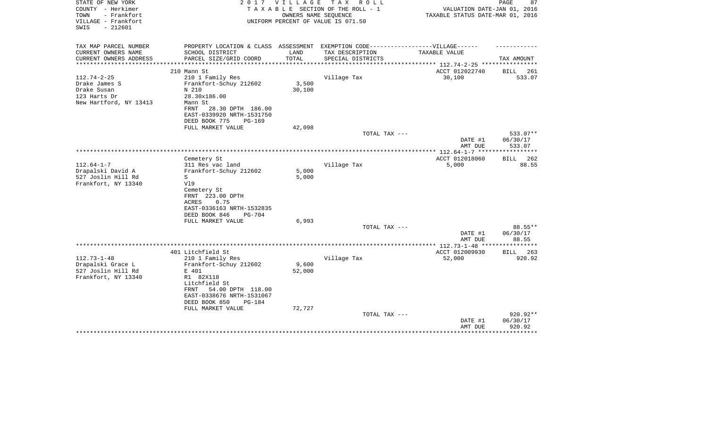| STATE OF NEW YORK<br>COUNTY - Herkimer<br>- Frankfort<br>TOWN<br>VILLAGE - Frankfort<br>$-212601$<br>SWIS | 2 0 1 7                                                                                                                                  | VILLAGE             | TAX ROLL<br>TAXABLE SECTION OF THE ROLL - 1<br>OWNERS NAME SEQUENCE<br>UNIFORM PERCENT OF VALUE IS 071.50 | VALUATION DATE-JAN 01, 2016<br>TAXABLE STATUS DATE-MAR 01, 2016 | 87<br>PAGE           |
|-----------------------------------------------------------------------------------------------------------|------------------------------------------------------------------------------------------------------------------------------------------|---------------------|-----------------------------------------------------------------------------------------------------------|-----------------------------------------------------------------|----------------------|
| TAX MAP PARCEL NUMBER<br>CURRENT OWNERS NAME                                                              | PROPERTY LOCATION & CLASS ASSESSMENT<br>SCHOOL DISTRICT                                                                                  | LAND                | EXEMPTION CODE------------------VILLAGE------<br>TAX DESCRIPTION                                          | TAXABLE VALUE                                                   |                      |
| CURRENT OWNERS ADDRESS<br>****************                                                                | PARCEL SIZE/GRID COORD                                                                                                                   | TOTAL<br>********** | SPECIAL DISTRICTS                                                                                         | ******************* 112.74-2-25 *************                   | TAX AMOUNT           |
|                                                                                                           | 210 Mann St                                                                                                                              |                     |                                                                                                           | ACCT 012022740                                                  | 261<br>BILL          |
| $112.74 - 2 - 25$<br>Drake James S<br>Drake Susan<br>123 Harts Dr<br>New Hartford, NY 13413               | 210 1 Family Res<br>Frankfort-Schuy 212602<br>N 210<br>28.30x186.00<br>Mann St<br>28.30 DPTH 186.00<br>FRNT<br>EAST-0339920 NRTH-1531750 | 3,500<br>30,100     | Village Tax                                                                                               | 30,100                                                          | 533.07               |
|                                                                                                           | DEED BOOK 775<br>PG-169                                                                                                                  |                     |                                                                                                           |                                                                 |                      |
|                                                                                                           | FULL MARKET VALUE                                                                                                                        | 42,098              | TOTAL TAX ---                                                                                             |                                                                 | 533.07**             |
|                                                                                                           |                                                                                                                                          |                     |                                                                                                           | DATE #1<br>AMT DUE                                              | 06/30/17<br>533.07   |
|                                                                                                           |                                                                                                                                          |                     |                                                                                                           |                                                                 | ***********          |
| $112.64 - 1 - 7$<br>Drapalski David A<br>527 Joslin Hill Rd                                               | Cemetery St<br>311 Res vac land<br>Frankfort-Schuy 212602<br>S                                                                           | 5,000<br>5,000      | Village Tax                                                                                               | ACCT 012018060<br>5,000                                         | 262<br>BILL<br>88.55 |
| Frankfort, NY 13340                                                                                       | V19<br>Cemetery St<br>FRNT 223.00 DPTH<br>ACRES<br>0.75<br>EAST-0336163 NRTH-1532835<br>DEED BOOK 846<br>$PG-704$                        |                     |                                                                                                           |                                                                 |                      |
|                                                                                                           | FULL MARKET VALUE                                                                                                                        | 6,993               | TOTAL TAX ---                                                                                             |                                                                 | $88.55**$            |
|                                                                                                           |                                                                                                                                          |                     |                                                                                                           | DATE #1<br>AMT DUE                                              | 06/30/17<br>88.55    |
|                                                                                                           |                                                                                                                                          |                     |                                                                                                           | **************** 112.73-1-48 ***                                | ************         |
|                                                                                                           | 401 Litchfield St                                                                                                                        |                     |                                                                                                           | ACCT 012009930                                                  | BILL 263             |
| $112.73 - 1 - 48$                                                                                         | 210 1 Family Res                                                                                                                         |                     | Village Tax                                                                                               | 52,000                                                          | 920.92               |
| Drapalski Grace L<br>527 Joslin Hill Rd                                                                   | Frankfort-Schuy 212602<br>E 401                                                                                                          | 9,600<br>52,000     |                                                                                                           |                                                                 |                      |
| Frankfort, NY 13340                                                                                       | R1 82X118                                                                                                                                |                     |                                                                                                           |                                                                 |                      |
|                                                                                                           | Litchfield St<br>54.00 DPTH 118.00<br>FRNT<br>EAST-0338676 NRTH-1531067<br>DEED BOOK 850<br>PG-184                                       |                     |                                                                                                           |                                                                 |                      |
|                                                                                                           | FULL MARKET VALUE                                                                                                                        | 72,727              |                                                                                                           |                                                                 |                      |
|                                                                                                           |                                                                                                                                          |                     | TOTAL TAX ---                                                                                             | DATE #1                                                         | 920.92**<br>06/30/17 |
|                                                                                                           |                                                                                                                                          |                     |                                                                                                           | AMT DUE                                                         | 920.92               |
|                                                                                                           |                                                                                                                                          |                     |                                                                                                           |                                                                 |                      |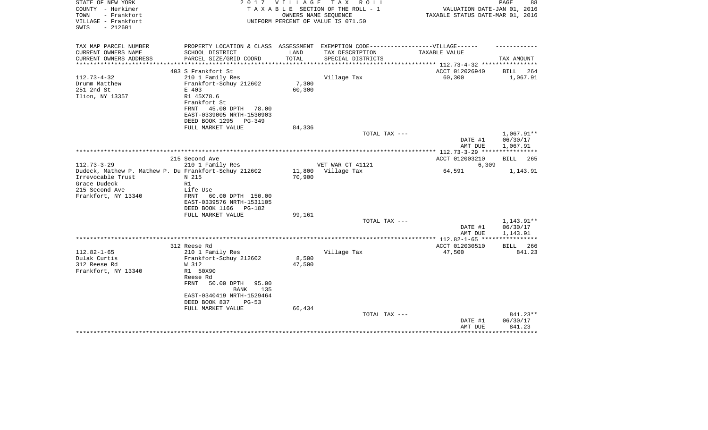| STATE OF NEW YORK<br>COUNTY - Herkimer<br>TOWN<br>- Frankfort<br>VILLAGE - Frankfort<br>$-212601$<br>SWIS | 2017                                                                                                               | V I L L A G E       | TAX ROLL<br>TAXABLE SECTION OF THE ROLL - 1<br>OWNERS NAME SEQUENCE<br>UNIFORM PERCENT OF VALUE IS 071.50 | VALUATION DATE-JAN 01, 2016<br>TAXABLE STATUS DATE-MAR 01, 2016 | PAGE<br>88                         |
|-----------------------------------------------------------------------------------------------------------|--------------------------------------------------------------------------------------------------------------------|---------------------|-----------------------------------------------------------------------------------------------------------|-----------------------------------------------------------------|------------------------------------|
| TAX MAP PARCEL NUMBER                                                                                     | PROPERTY LOCATION & CLASS ASSESSMENT EXEMPTION CODE-----------------VILLAGE------                                  |                     |                                                                                                           |                                                                 |                                    |
| CURRENT OWNERS NAME                                                                                       | SCHOOL DISTRICT                                                                                                    | LAND                | TAX DESCRIPTION                                                                                           | TAXABLE VALUE                                                   |                                    |
| CURRENT OWNERS ADDRESS                                                                                    | PARCEL SIZE/GRID COORD                                                                                             | TOTAL<br>********** | SPECIAL DISTRICTS                                                                                         | ******************** 112.73-4-32 **********                     | TAX AMOUNT                         |
|                                                                                                           | 403 S Frankfort St                                                                                                 |                     |                                                                                                           | ACCT 012026940                                                  | BILL<br>264                        |
| $112.73 - 4 - 32$                                                                                         | 210 1 Family Res                                                                                                   |                     | Village Tax                                                                                               | 60,300                                                          | 1,067.91                           |
| Drumm Matthew                                                                                             | Frankfort-Schuy 212602                                                                                             | 7,300               |                                                                                                           |                                                                 |                                    |
| 251 2nd St                                                                                                | E 403                                                                                                              | 60,300              |                                                                                                           |                                                                 |                                    |
| Ilion, NY 13357                                                                                           | R1 45X78.6<br>Frankfort St<br>FRNT<br>45.00 DPTH<br>78.00<br>EAST-0339005 NRTH-1530903<br>DEED BOOK 1295<br>PG-349 |                     |                                                                                                           |                                                                 |                                    |
|                                                                                                           | FULL MARKET VALUE                                                                                                  | 84,336              |                                                                                                           |                                                                 |                                    |
|                                                                                                           |                                                                                                                    |                     | TOTAL TAX ---                                                                                             | DATE #1<br>AMT DUE                                              | 1,067.91**<br>06/30/17<br>1,067.91 |
|                                                                                                           |                                                                                                                    |                     |                                                                                                           | ************ 112.73-3-29 ****                                   |                                    |
|                                                                                                           | 215 Second Ave                                                                                                     |                     |                                                                                                           | ACCT 012003210                                                  | <b>BILL</b><br>265                 |
| $112.73 - 3 - 29$<br>Dudeck, Mathew P. Mathew P. Du Frankfort-Schuy 212602                                | 210 1 Family Res                                                                                                   | 11,800              | VET WAR CT 41121<br>Village Tax                                                                           | 6,309<br>64,591                                                 | 1,143.91                           |
| Irrevocable Trust                                                                                         | N 215                                                                                                              | 70,900              |                                                                                                           |                                                                 |                                    |
| Grace Dudeck                                                                                              | R1                                                                                                                 |                     |                                                                                                           |                                                                 |                                    |
| 215 Second Ave                                                                                            | Life Use                                                                                                           |                     |                                                                                                           |                                                                 |                                    |
| Frankfort, NY 13340                                                                                       | <b>FRNT</b><br>60.00 DPTH 150.00<br>EAST-0339576 NRTH-1531105<br>DEED BOOK 1166<br>PG-182                          |                     |                                                                                                           |                                                                 |                                    |
|                                                                                                           | FULL MARKET VALUE                                                                                                  | 99,161              |                                                                                                           |                                                                 |                                    |
|                                                                                                           |                                                                                                                    |                     | TOTAL TAX ---                                                                                             |                                                                 | 1,143.91**                         |
|                                                                                                           |                                                                                                                    |                     |                                                                                                           | DATE #1<br>AMT DUE                                              | 06/30/17<br>1,143.91               |
|                                                                                                           |                                                                                                                    |                     |                                                                                                           | ****** 112.82-1-65 *****************                            |                                    |
|                                                                                                           | 312 Reese Rd                                                                                                       |                     |                                                                                                           | ACCT 012030510                                                  | BILL<br>266                        |
| $112.82 - 1 - 65$                                                                                         | 210 1 Family Res                                                                                                   |                     | Village Tax                                                                                               | 47,500                                                          | 841.23                             |
| Dulak Curtis                                                                                              | Frankfort-Schuy 212602                                                                                             | 8,500               |                                                                                                           |                                                                 |                                    |
| 312 Reese Rd<br>Frankfort, NY 13340                                                                       | W 312<br>R1 50X90                                                                                                  | 47,500              |                                                                                                           |                                                                 |                                    |
|                                                                                                           | Reese Rd                                                                                                           |                     |                                                                                                           |                                                                 |                                    |
|                                                                                                           | <b>FRNT</b><br>50.00 DPTH<br>95.00                                                                                 |                     |                                                                                                           |                                                                 |                                    |
|                                                                                                           | <b>BANK</b><br>135                                                                                                 |                     |                                                                                                           |                                                                 |                                    |
|                                                                                                           | EAST-0340419 NRTH-1529464                                                                                          |                     |                                                                                                           |                                                                 |                                    |
|                                                                                                           | DEED BOOK 837<br>$PG-53$                                                                                           |                     |                                                                                                           |                                                                 |                                    |
|                                                                                                           | FULL MARKET VALUE                                                                                                  | 66,434              | TOTAL TAX ---                                                                                             |                                                                 | 841.23**                           |
|                                                                                                           |                                                                                                                    |                     |                                                                                                           | DATE #1                                                         | 06/30/17                           |
|                                                                                                           |                                                                                                                    |                     |                                                                                                           | AMT DUE                                                         | 841.23                             |
|                                                                                                           |                                                                                                                    |                     |                                                                                                           |                                                                 |                                    |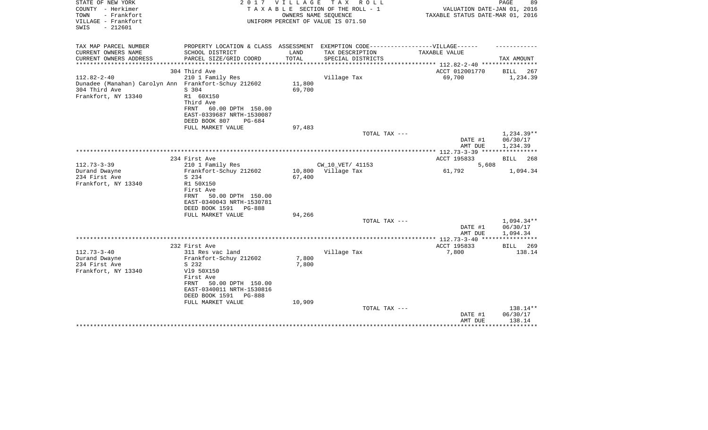| STATE OF NEW YORK<br>COUNTY - Herkimer<br>TOWN<br>- Frankfort<br>VILLAGE - Frankfort<br>$-212601$<br>SWIS         | 2017                                                                                                                                         | V I L L A G E    | TAX ROLL<br>TAXABLE SECTION OF THE ROLL - 1<br>OWNERS NAME SEQUENCE<br>UNIFORM PERCENT OF VALUE IS 071.50 | VALUATION DATE-JAN 01, 2016<br>TAXABLE STATUS DATE-MAR 01, 2016 | PAGE<br>89                         |
|-------------------------------------------------------------------------------------------------------------------|----------------------------------------------------------------------------------------------------------------------------------------------|------------------|-----------------------------------------------------------------------------------------------------------|-----------------------------------------------------------------|------------------------------------|
| TAX MAP PARCEL NUMBER<br>CURRENT OWNERS NAME                                                                      | PROPERTY LOCATION & CLASS ASSESSMENT EXEMPTION CODE-----------------VILLAGE------<br>SCHOOL DISTRICT                                         | LAND             | TAX DESCRIPTION                                                                                           | TAXABLE VALUE                                                   |                                    |
| CURRENT OWNERS ADDRESS<br>**********************                                                                  | PARCEL SIZE/GRID COORD                                                                                                                       | TOTAL            | SPECIAL DISTRICTS                                                                                         | **************************** 112.82-2-40 ****************       | TAX AMOUNT                         |
|                                                                                                                   | 304 Third Ave                                                                                                                                |                  |                                                                                                           | ACCT 012001770                                                  | BILL<br>267                        |
| $112.82 - 2 - 40$<br>Dunadee (Manahan) Carolyn Ann Frankfort-Schuy 212602<br>304 Third Ave<br>Frankfort, NY 13340 | 210 1 Family Res<br>S 304<br>R1 60X150<br>Third Ave<br>60.00 DPTH 150.00<br>FRNT<br>EAST-0339687 NRTH-1530087                                | 11,800<br>69,700 | Village Tax                                                                                               | 69,700                                                          | 1,234.39                           |
|                                                                                                                   | DEED BOOK 807<br>$PG-684$                                                                                                                    |                  |                                                                                                           |                                                                 |                                    |
|                                                                                                                   | FULL MARKET VALUE                                                                                                                            | 97,483           |                                                                                                           |                                                                 |                                    |
|                                                                                                                   |                                                                                                                                              |                  | TOTAL TAX ---                                                                                             | DATE #1<br>AMT DUE                                              | 1,234.39**<br>06/30/17<br>1,234.39 |
|                                                                                                                   |                                                                                                                                              |                  |                                                                                                           |                                                                 |                                    |
| $112.73 - 3 - 39$                                                                                                 | 234 First Ave<br>210 1 Family Res                                                                                                            |                  | CW_10_VET/ 41153                                                                                          | ACCT 195833<br>5,608                                            | <b>BILL</b><br>268                 |
| Durand Dwayne<br>234 First Ave<br>Frankfort, NY 13340                                                             | Frankfort-Schuy 212602<br>S 234<br>R1 50X150<br>First Ave<br>50.00 DPTH 150.00<br>FRNT<br>EAST-0340043 NRTH-1530781<br>DEED BOOK 1591 PG-888 | 67,400           | 10,800 Village Tax                                                                                        | 61,792                                                          | 1,094.34                           |
|                                                                                                                   | FULL MARKET VALUE                                                                                                                            | 94,266           |                                                                                                           |                                                                 |                                    |
|                                                                                                                   |                                                                                                                                              |                  | TOTAL TAX ---                                                                                             | DATE #1<br>AMT DUE                                              | 1,094.34**<br>06/30/17<br>1,094.34 |
|                                                                                                                   |                                                                                                                                              |                  |                                                                                                           | ***************** 112.73-3-40 ****                              |                                    |
| $112.73 - 3 - 40$<br>Durand Dwayne                                                                                | 232 First Ave<br>311 Res vac land<br>Frankfort-Schuy 212602                                                                                  | 7,800            | Village Tax                                                                                               | ACCT 195833<br>7,800                                            | BILL 269<br>138.14                 |
| 234 First Ave<br>Frankfort, NY 13340                                                                              | S 232<br>V19 50X150<br>First Ave<br>50.00 DPTH 150.00<br>FRNT<br>EAST-0340011 NRTH-1530816<br>DEED BOOK 1591<br>PG-888<br>FULL MARKET VALUE  | 7,800<br>10,909  |                                                                                                           |                                                                 |                                    |
|                                                                                                                   |                                                                                                                                              |                  | TOTAL TAX ---                                                                                             | DATE #1<br>AMT DUE                                              | 138.14**<br>06/30/17<br>138.14     |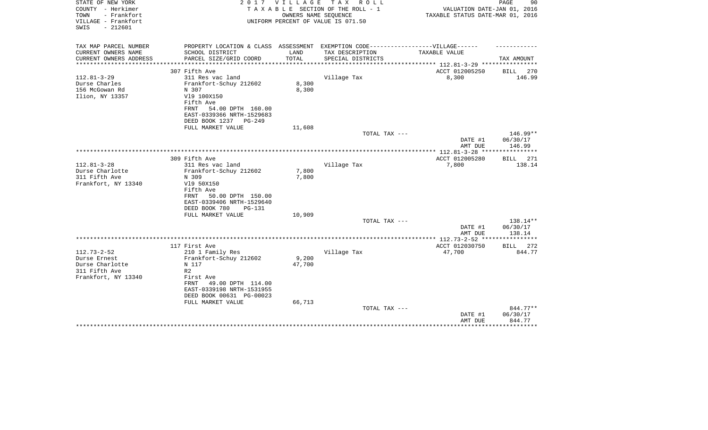| STATE OF NEW YORK<br>COUNTY - Herkimer<br>- Frankfort<br>TOWN<br>VILLAGE - Frankfort | 2 0 1 7                                                | VILLAGE               | T A X<br>R O L L<br>TAXABLE SECTION OF THE ROLL - 1<br>OWNERS NAME SEQUENCE<br>UNIFORM PERCENT OF VALUE IS 071.50 | VALUATION DATE-JAN 01, 2016<br>TAXABLE STATUS DATE-MAR 01, 2016 | PAGE<br>90         |
|--------------------------------------------------------------------------------------|--------------------------------------------------------|-----------------------|-------------------------------------------------------------------------------------------------------------------|-----------------------------------------------------------------|--------------------|
| $-212601$<br>SWIS                                                                    |                                                        |                       |                                                                                                                   |                                                                 |                    |
| TAX MAP PARCEL NUMBER                                                                | PROPERTY LOCATION & CLASS ASSESSMENT                   |                       | EXEMPTION CODE------------------VILLAGE------                                                                     |                                                                 |                    |
| CURRENT OWNERS NAME                                                                  | SCHOOL DISTRICT                                        | LAND                  | TAX DESCRIPTION                                                                                                   | TAXABLE VALUE                                                   |                    |
| CURRENT OWNERS ADDRESS<br>*******************                                        | PARCEL SIZE/GRID COORD                                 | TOTAL<br>************ | SPECIAL DISTRICTS                                                                                                 | ************************* 112.81-3-29 ****************          | TAX AMOUNT         |
|                                                                                      | 307 Fifth Ave                                          |                       |                                                                                                                   | ACCT 012005250                                                  | BILL<br>270        |
| $112.81 - 3 - 29$                                                                    | 311 Res vac land                                       |                       | Village Tax                                                                                                       | 8,300                                                           | 146.99             |
| Durse Charles                                                                        | Frankfort-Schuy 212602                                 | 8,300                 |                                                                                                                   |                                                                 |                    |
| 156 McGowan Rd                                                                       | N 307                                                  | 8,300                 |                                                                                                                   |                                                                 |                    |
| Ilion, NY 13357                                                                      | V19 100X150                                            |                       |                                                                                                                   |                                                                 |                    |
|                                                                                      | Fifth Ave                                              |                       |                                                                                                                   |                                                                 |                    |
|                                                                                      | 54.00 DPTH 160.00<br>FRNT<br>EAST-0339366 NRTH-1529683 |                       |                                                                                                                   |                                                                 |                    |
|                                                                                      | DEED BOOK 1237<br>PG-249                               |                       |                                                                                                                   |                                                                 |                    |
|                                                                                      | FULL MARKET VALUE                                      | 11,608                |                                                                                                                   |                                                                 |                    |
|                                                                                      |                                                        |                       | TOTAL TAX ---                                                                                                     |                                                                 | 146.99**           |
|                                                                                      |                                                        |                       |                                                                                                                   | DATE #1                                                         | 06/30/17           |
|                                                                                      |                                                        |                       |                                                                                                                   | AMT DUE                                                         | 146.99             |
|                                                                                      | 309 Fifth Ave                                          |                       |                                                                                                                   | ACCT 012005280                                                  | 271<br><b>BILL</b> |
| $112.81 - 3 - 28$                                                                    | 311 Res vac land                                       |                       | Village Tax                                                                                                       | 7,800                                                           | 138.14             |
| Durse Charlotte                                                                      | Frankfort-Schuy 212602                                 | 7,800                 |                                                                                                                   |                                                                 |                    |
| 311 Fifth Ave                                                                        | N 309                                                  | 7,800                 |                                                                                                                   |                                                                 |                    |
| Frankfort, NY 13340                                                                  | V19 50X150                                             |                       |                                                                                                                   |                                                                 |                    |
|                                                                                      | Fifth Ave<br>50.00 DPTH 150.00<br>FRNT                 |                       |                                                                                                                   |                                                                 |                    |
|                                                                                      | EAST-0339406 NRTH-1529640                              |                       |                                                                                                                   |                                                                 |                    |
|                                                                                      | DEED BOOK 780<br><b>PG-131</b>                         |                       |                                                                                                                   |                                                                 |                    |
|                                                                                      | FULL MARKET VALUE                                      | 10,909                |                                                                                                                   |                                                                 |                    |
|                                                                                      |                                                        |                       | TOTAL TAX ---                                                                                                     |                                                                 | 138.14**           |
|                                                                                      |                                                        |                       |                                                                                                                   | DATE #1                                                         | 06/30/17           |
|                                                                                      |                                                        |                       |                                                                                                                   | AMT DUE<br>*************** 112.73-2-52 *****************        | 138.14             |
|                                                                                      | 117 First Ave                                          |                       |                                                                                                                   | ACCT 012030750                                                  | <b>BILL</b><br>272 |
| $112.73 - 2 - 52$                                                                    | 210 1 Family Res                                       |                       | Village Tax                                                                                                       | 47,700                                                          | 844.77             |
| Durse Ernest                                                                         | Frankfort-Schuy 212602                                 | 9,200                 |                                                                                                                   |                                                                 |                    |
| Durse Charlotte                                                                      | N 117                                                  | 47,700                |                                                                                                                   |                                                                 |                    |
| 311 Fifth Ave                                                                        | R <sub>2</sub>                                         |                       |                                                                                                                   |                                                                 |                    |
| Frankfort, NY 13340                                                                  | First Ave                                              |                       |                                                                                                                   |                                                                 |                    |
|                                                                                      | 49.00 DPTH 114.00<br>FRNT<br>EAST-0339198 NRTH-1531955 |                       |                                                                                                                   |                                                                 |                    |
|                                                                                      | DEED BOOK 00631 PG-00023                               |                       |                                                                                                                   |                                                                 |                    |
|                                                                                      | FULL MARKET VALUE                                      | 66,713                |                                                                                                                   |                                                                 |                    |
|                                                                                      |                                                        |                       | TOTAL TAX ---                                                                                                     |                                                                 | 844.77**           |
|                                                                                      |                                                        |                       |                                                                                                                   | DATE #1                                                         | 06/30/17           |
|                                                                                      |                                                        |                       |                                                                                                                   | AMT DUE                                                         | 844.77             |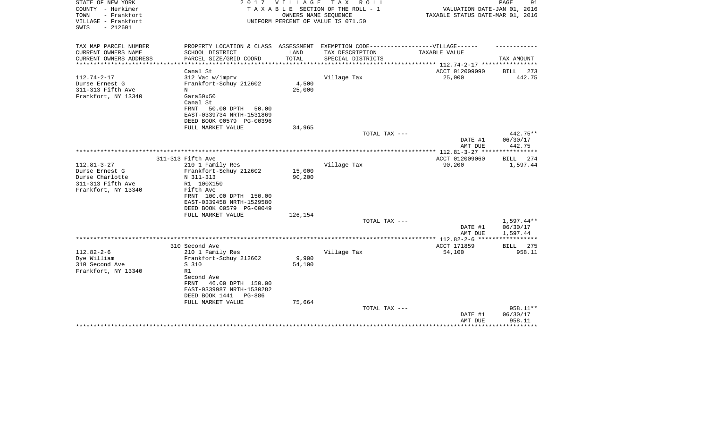| STATE OF NEW YORK<br>COUNTY - Herkimer<br>TOWN<br>- Frankfort<br>VILLAGE - Frankfort | 2 0 1 7                                                                           | VILLAGE                   | T A X<br>R O L L<br>TAXABLE SECTION OF THE ROLL - 1<br>OWNERS NAME SEQUENCE<br>UNIFORM PERCENT OF VALUE IS 071.50 | VALUATION DATE-JAN 01, 2016<br>TAXABLE STATUS DATE-MAR 01, 2016 | PAGE<br>91         |
|--------------------------------------------------------------------------------------|-----------------------------------------------------------------------------------|---------------------------|-------------------------------------------------------------------------------------------------------------------|-----------------------------------------------------------------|--------------------|
| $-212601$<br>SWIS                                                                    |                                                                                   |                           |                                                                                                                   |                                                                 |                    |
| TAX MAP PARCEL NUMBER                                                                | PROPERTY LOCATION & CLASS ASSESSMENT EXEMPTION CODE-----------------VILLAGE------ |                           |                                                                                                                   |                                                                 |                    |
| CURRENT OWNERS NAME                                                                  | SCHOOL DISTRICT                                                                   | LAND                      | TAX DESCRIPTION                                                                                                   | TAXABLE VALUE                                                   |                    |
| CURRENT OWNERS ADDRESS<br>********************                                       | PARCEL SIZE/GRID COORD                                                            | TOTAL<br>**************** | SPECIAL DISTRICTS                                                                                                 | ***************** 112.74-2-17 *****************                 | TAX AMOUNT         |
|                                                                                      | Canal St                                                                          |                           |                                                                                                                   | ACCT 012009090                                                  | <b>BILL</b><br>273 |
| $112.74 - 2 - 17$                                                                    | 312 Vac w/imprv                                                                   |                           | Village Tax                                                                                                       | 25,000                                                          | 442.75             |
| Durse Ernest G                                                                       | Frankfort-Schuy 212602                                                            | 4,500                     |                                                                                                                   |                                                                 |                    |
| 311-313 Fifth Ave                                                                    | N                                                                                 | 25,000                    |                                                                                                                   |                                                                 |                    |
| Frankfort, NY 13340                                                                  | Gara50x50                                                                         |                           |                                                                                                                   |                                                                 |                    |
|                                                                                      | Canal St                                                                          |                           |                                                                                                                   |                                                                 |                    |
|                                                                                      | 50.00 DPTH<br>FRNT<br>50.00                                                       |                           |                                                                                                                   |                                                                 |                    |
|                                                                                      | EAST-0339734 NRTH-1531869                                                         |                           |                                                                                                                   |                                                                 |                    |
|                                                                                      | DEED BOOK 00579 PG-00396                                                          |                           |                                                                                                                   |                                                                 |                    |
|                                                                                      | FULL MARKET VALUE                                                                 | 34,965                    |                                                                                                                   |                                                                 |                    |
|                                                                                      |                                                                                   |                           | TOTAL TAX ---                                                                                                     |                                                                 | 442.75**           |
|                                                                                      |                                                                                   |                           |                                                                                                                   | DATE #1<br>AMT DUE                                              | 06/30/17<br>442.75 |
|                                                                                      |                                                                                   |                           |                                                                                                                   | ***************** 112.81-3-27 *****************                 |                    |
|                                                                                      | 311-313 Fifth Ave                                                                 |                           |                                                                                                                   | ACCT 012009060                                                  | BILL<br>274        |
| $112.81 - 3 - 27$                                                                    | 210 1 Family Res                                                                  |                           | Village Tax                                                                                                       | 90,200                                                          | 1,597.44           |
| Durse Ernest G                                                                       | Frankfort-Schuy 212602                                                            | 15,000                    |                                                                                                                   |                                                                 |                    |
| Durse Charlotte                                                                      | N 311-313                                                                         | 90,200                    |                                                                                                                   |                                                                 |                    |
| 311-313 Fifth Ave                                                                    | R1 100X150                                                                        |                           |                                                                                                                   |                                                                 |                    |
| Frankfort, NY 13340                                                                  | Fifth Ave                                                                         |                           |                                                                                                                   |                                                                 |                    |
|                                                                                      | FRNT 100.00 DPTH 150.00                                                           |                           |                                                                                                                   |                                                                 |                    |
|                                                                                      | EAST-0339458 NRTH-1529580                                                         |                           |                                                                                                                   |                                                                 |                    |
|                                                                                      | DEED BOOK 00579 PG-00049                                                          |                           |                                                                                                                   |                                                                 |                    |
|                                                                                      | FULL MARKET VALUE                                                                 | 126,154                   | TOTAL TAX ---                                                                                                     |                                                                 | 1,597.44**         |
|                                                                                      |                                                                                   |                           |                                                                                                                   | DATE #1                                                         | 06/30/17           |
|                                                                                      |                                                                                   |                           |                                                                                                                   | AMT DUE                                                         | 1,597.44           |
|                                                                                      |                                                                                   |                           |                                                                                                                   |                                                                 | ***********        |
|                                                                                      | 310 Second Ave                                                                    |                           |                                                                                                                   | ACCT 171859                                                     | 275<br>BILL        |
| $112.82 - 2 - 6$                                                                     | 210 1 Family Res                                                                  |                           | Village Tax                                                                                                       | 54,100                                                          | 958.11             |
| Dye William                                                                          | Frankfort-Schuy 212602                                                            | 9,900                     |                                                                                                                   |                                                                 |                    |
| 310 Second Ave                                                                       | S 310                                                                             | 54,100                    |                                                                                                                   |                                                                 |                    |
| Frankfort, NY 13340                                                                  | R1                                                                                |                           |                                                                                                                   |                                                                 |                    |
|                                                                                      | Second Ave                                                                        |                           |                                                                                                                   |                                                                 |                    |
|                                                                                      | 46.00 DPTH 150.00<br>FRNT                                                         |                           |                                                                                                                   |                                                                 |                    |
|                                                                                      | EAST-0339987 NRTH-1530282<br>DEED BOOK 1441<br>PG-886                             |                           |                                                                                                                   |                                                                 |                    |
|                                                                                      | FULL MARKET VALUE                                                                 | 75,664                    |                                                                                                                   |                                                                 |                    |
|                                                                                      |                                                                                   |                           | TOTAL TAX ---                                                                                                     |                                                                 | 958.11**           |
|                                                                                      |                                                                                   |                           |                                                                                                                   | DATE #1                                                         | 06/30/17           |
|                                                                                      |                                                                                   |                           |                                                                                                                   | AMT DUE                                                         | 958.11             |
|                                                                                      |                                                                                   |                           |                                                                                                                   |                                                                 | ***********        |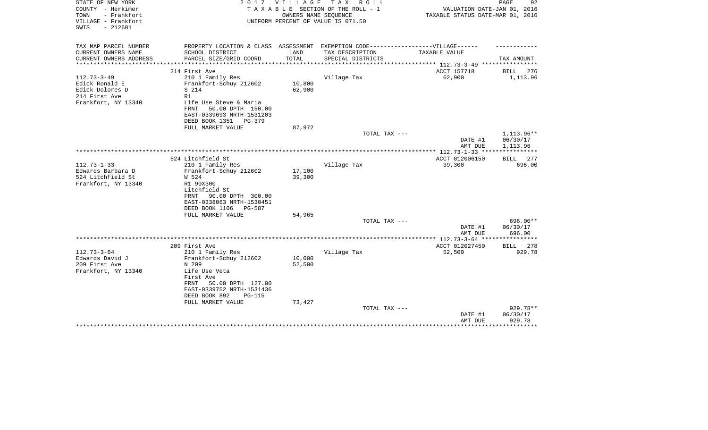| STATE OF NEW YORK<br>COUNTY - Herkimer<br>TOWN<br>- Frankfort | 2 0 1 7                                                                                                                                                                                           | <b>VILLAGE</b>                       | T A X<br>R O L L<br>TAXABLE SECTION OF THE ROLL - 1<br>OWNERS NAME SEQUENCE | VALUATION DATE-JAN 01, 2016<br>TAXABLE STATUS DATE-MAR 01, 2016 | PAGE<br>92                                                                          |
|---------------------------------------------------------------|---------------------------------------------------------------------------------------------------------------------------------------------------------------------------------------------------|--------------------------------------|-----------------------------------------------------------------------------|-----------------------------------------------------------------|-------------------------------------------------------------------------------------|
| VILLAGE - Frankfort<br>$-212601$<br>SWIS                      |                                                                                                                                                                                                   |                                      | UNIFORM PERCENT OF VALUE IS 071.50                                          |                                                                 |                                                                                     |
| TAX MAP PARCEL NUMBER                                         | PROPERTY LOCATION & CLASS ASSESSMENT EXEMPTION CODE-----------------VILLAGE------                                                                                                                 |                                      |                                                                             |                                                                 |                                                                                     |
| CURRENT OWNERS NAME                                           | SCHOOL DISTRICT                                                                                                                                                                                   | LAND                                 | TAX DESCRIPTION                                                             | <b>TAXABLE VALUE</b>                                            |                                                                                     |
| CURRENT OWNERS ADDRESS                                        | PARCEL SIZE/GRID COORD                                                                                                                                                                            | TOTAL                                | SPECIAL DISTRICTS                                                           |                                                                 | TAX AMOUNT                                                                          |
|                                                               | 214 First Ave                                                                                                                                                                                     |                                      |                                                                             | ACCT 157718                                                     | BILL<br>276                                                                         |
| $112.73 - 3 - 49$                                             | 210 1 Family Res                                                                                                                                                                                  |                                      | Village Tax                                                                 | 62,900                                                          | 1,113.96                                                                            |
| Edick Ronald E                                                | Frankfort-Schuy 212602                                                                                                                                                                            | 10,800                               |                                                                             |                                                                 |                                                                                     |
| Edick Dolores D                                               | S 214                                                                                                                                                                                             | 62,900                               |                                                                             |                                                                 |                                                                                     |
| 214 First Ave<br>Frankfort, NY 13340                          | R1<br>Life Use Steve & Maria                                                                                                                                                                      |                                      |                                                                             |                                                                 |                                                                                     |
|                                                               | 50.00 DPTH 150.00<br><b>FRNT</b>                                                                                                                                                                  |                                      |                                                                             |                                                                 |                                                                                     |
|                                                               | EAST-0339693 NRTH-1531203                                                                                                                                                                         |                                      |                                                                             |                                                                 |                                                                                     |
|                                                               | DEED BOOK 1351<br>$PG-379$                                                                                                                                                                        |                                      |                                                                             |                                                                 |                                                                                     |
|                                                               | FULL MARKET VALUE                                                                                                                                                                                 | 87,972                               |                                                                             |                                                                 |                                                                                     |
|                                                               |                                                                                                                                                                                                   |                                      | TOTAL TAX ---                                                               | DATE #1                                                         | 1,113.96**<br>06/30/17                                                              |
|                                                               |                                                                                                                                                                                                   |                                      |                                                                             | AMT DUE                                                         | 1,113.96                                                                            |
|                                                               |                                                                                                                                                                                                   |                                      |                                                                             | ***************** 112.73-1-33 ****************                  |                                                                                     |
|                                                               | 524 Litchfield St                                                                                                                                                                                 |                                      |                                                                             | ACCT 012006150                                                  | 277<br>BILL                                                                         |
| $112.73 - 1 - 33$                                             | 210 1 Family Res                                                                                                                                                                                  |                                      | Village Tax                                                                 | 39,300                                                          | 696.00                                                                              |
| Edwards Barbara D<br>524 Litchfield St                        | Frankfort-Schuy 212602<br>W 524                                                                                                                                                                   | 17,100                               |                                                                             |                                                                 |                                                                                     |
| Frankfort, NY 13340                                           | R1 90X300                                                                                                                                                                                         | 39,300                               |                                                                             |                                                                 |                                                                                     |
|                                                               | Litchfield St                                                                                                                                                                                     |                                      |                                                                             |                                                                 |                                                                                     |
|                                                               | 90.00 DPTH 300.00<br>FRNT                                                                                                                                                                         |                                      |                                                                             |                                                                 |                                                                                     |
|                                                               | EAST-0338063 NRTH-1530451                                                                                                                                                                         |                                      |                                                                             |                                                                 |                                                                                     |
|                                                               | DEED BOOK 1106<br>PG-587                                                                                                                                                                          |                                      |                                                                             |                                                                 |                                                                                     |
|                                                               |                                                                                                                                                                                                   |                                      |                                                                             |                                                                 |                                                                                     |
|                                                               |                                                                                                                                                                                                   |                                      |                                                                             |                                                                 |                                                                                     |
|                                                               |                                                                                                                                                                                                   |                                      |                                                                             | AMT DUE                                                         | 696.00                                                                              |
|                                                               |                                                                                                                                                                                                   |                                      |                                                                             | ************ 112.73-3-64 ***                                    | ******                                                                              |
|                                                               |                                                                                                                                                                                                   |                                      |                                                                             |                                                                 |                                                                                     |
|                                                               |                                                                                                                                                                                                   |                                      |                                                                             |                                                                 |                                                                                     |
|                                                               | N 209                                                                                                                                                                                             |                                      |                                                                             |                                                                 |                                                                                     |
| Frankfort, NY 13340                                           | Life Use Veta                                                                                                                                                                                     |                                      |                                                                             |                                                                 |                                                                                     |
|                                                               | First Ave                                                                                                                                                                                         |                                      |                                                                             |                                                                 |                                                                                     |
|                                                               |                                                                                                                                                                                                   |                                      |                                                                             |                                                                 |                                                                                     |
|                                                               |                                                                                                                                                                                                   |                                      |                                                                             |                                                                 |                                                                                     |
|                                                               |                                                                                                                                                                                                   |                                      |                                                                             |                                                                 |                                                                                     |
|                                                               |                                                                                                                                                                                                   |                                      | TOTAL TAX ---                                                               |                                                                 | 929.78**                                                                            |
|                                                               |                                                                                                                                                                                                   |                                      |                                                                             | DATE #1                                                         | 06/30/17                                                                            |
|                                                               |                                                                                                                                                                                                   |                                      |                                                                             |                                                                 |                                                                                     |
| $112.73 - 3 - 64$<br>Edwards David J<br>209 First Ave         | FULL MARKET VALUE<br>209 First Ave<br>210 1 Family Res<br>Frankfort-Schuy 212602<br>50.00 DPTH 127.00<br>FRNT<br>EAST-0339752 NRTH-1531436<br>DEED BOOK 892<br><b>PG-115</b><br>FULL MARKET VALUE | 54,965<br>10,000<br>52,500<br>73,427 | TOTAL TAX ---<br>Village Tax                                                | DATE #1<br>ACCT 012027450<br>52,500<br>AMT DUE                  | 696.00**<br>06/30/17<br>278<br><b>BILL</b><br>929.78<br>929.78<br>* * * * * * * * * |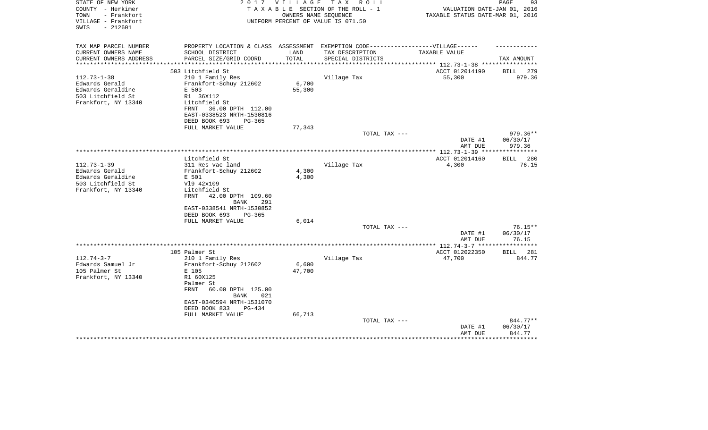| STATE OF NEW YORK<br>COUNTY - Herkimer<br>- Frankfort<br>TOWN<br>VILLAGE - Frankfort<br>$-212601$<br>SWIS | 2017                                                                              | V I L L A G E | T A X<br>R O L L<br>TAXABLE SECTION OF THE ROLL - 1<br>OWNERS NAME SEQUENCE<br>UNIFORM PERCENT OF VALUE IS 071.50 | VALUATION DATE-JAN 01, 2016<br>TAXABLE STATUS DATE-MAR 01, 2016 | 93<br>PAGE                    |
|-----------------------------------------------------------------------------------------------------------|-----------------------------------------------------------------------------------|---------------|-------------------------------------------------------------------------------------------------------------------|-----------------------------------------------------------------|-------------------------------|
| TAX MAP PARCEL NUMBER                                                                                     | PROPERTY LOCATION & CLASS ASSESSMENT EXEMPTION CODE-----------------VILLAGE------ |               |                                                                                                                   |                                                                 |                               |
| CURRENT OWNERS NAME                                                                                       | SCHOOL DISTRICT                                                                   | LAND          | TAX DESCRIPTION                                                                                                   | TAXABLE VALUE                                                   |                               |
| CURRENT OWNERS ADDRESS                                                                                    | PARCEL SIZE/GRID COORD                                                            | TOTAL         | SPECIAL DISTRICTS                                                                                                 |                                                                 | TAX AMOUNT                    |
| *********************                                                                                     | *************************                                                         |               |                                                                                                                   |                                                                 |                               |
|                                                                                                           | 503 Litchfield St                                                                 |               |                                                                                                                   | ACCT 012014190                                                  | BILL<br>279                   |
| $112.73 - 1 - 38$<br>Edwards Gerald                                                                       | 210 1 Family Res<br>Frankfort-Schuy 212602                                        | 6,700         | Village Tax                                                                                                       | 55,300                                                          | 979.36                        |
| Edwards Geraldine                                                                                         | E 503                                                                             | 55,300        |                                                                                                                   |                                                                 |                               |
| 503 Litchfield St                                                                                         | R1 36X112                                                                         |               |                                                                                                                   |                                                                 |                               |
| Frankfort, NY 13340                                                                                       | Litchfield St                                                                     |               |                                                                                                                   |                                                                 |                               |
|                                                                                                           | FRNT<br>36.00 DPTH 112.00                                                         |               |                                                                                                                   |                                                                 |                               |
|                                                                                                           | EAST-0338523 NRTH-1530816                                                         |               |                                                                                                                   |                                                                 |                               |
|                                                                                                           | DEED BOOK 693<br>PG-365                                                           |               |                                                                                                                   |                                                                 |                               |
|                                                                                                           | FULL MARKET VALUE                                                                 | 77,343        |                                                                                                                   |                                                                 |                               |
|                                                                                                           |                                                                                   |               | TOTAL TAX ---                                                                                                     |                                                                 | $979.36**$                    |
|                                                                                                           |                                                                                   |               |                                                                                                                   | DATE #1                                                         | 06/30/17                      |
|                                                                                                           |                                                                                   |               |                                                                                                                   | AMT DUE                                                         | 979.36                        |
|                                                                                                           |                                                                                   |               |                                                                                                                   |                                                                 | *********                     |
|                                                                                                           | Litchfield St                                                                     |               |                                                                                                                   | ACCT 012014160                                                  | <b>BILL</b><br>280            |
| $112.73 - 1 - 39$<br>Edwards Gerald                                                                       | 311 Res vac land<br>Frankfort-Schuy 212602                                        | 4,300         | Village Tax                                                                                                       | 4,300                                                           | 76.15                         |
| Edwards Geraldine                                                                                         | E 501                                                                             | 4,300         |                                                                                                                   |                                                                 |                               |
| 503 Litchfield St                                                                                         | V19 42x109                                                                        |               |                                                                                                                   |                                                                 |                               |
| Frankfort, NY 13340                                                                                       | Litchfield St                                                                     |               |                                                                                                                   |                                                                 |                               |
|                                                                                                           | 42.00 DPTH 109.60<br>FRNT<br>291<br>BANK                                          |               |                                                                                                                   |                                                                 |                               |
|                                                                                                           | EAST-0338541 NRTH-1530852                                                         |               |                                                                                                                   |                                                                 |                               |
|                                                                                                           | DEED BOOK 693<br>PG-365                                                           |               |                                                                                                                   |                                                                 |                               |
|                                                                                                           | FULL MARKET VALUE                                                                 | 6,014         |                                                                                                                   |                                                                 |                               |
|                                                                                                           |                                                                                   |               | TOTAL TAX ---                                                                                                     |                                                                 | $76.15**$                     |
|                                                                                                           |                                                                                   |               |                                                                                                                   | DATE #1<br>AMT DUE<br>***** 112.74-3-7 ****                     | 06/30/17<br>76.15<br>******** |
|                                                                                                           | 105 Palmer St                                                                     |               |                                                                                                                   | ACCT 012022350                                                  | BILL 281                      |
| $112.74 - 3 - 7$                                                                                          | 210 1 Family Res                                                                  |               | Village Tax                                                                                                       | 47,700                                                          | 844.77                        |
| Edwards Samuel Jr                                                                                         | Frankfort-Schuy 212602                                                            | 6,600         |                                                                                                                   |                                                                 |                               |
| 105 Palmer St                                                                                             | E 105                                                                             | 47,700        |                                                                                                                   |                                                                 |                               |
| Frankfort, NY 13340                                                                                       | R1 60X125                                                                         |               |                                                                                                                   |                                                                 |                               |
|                                                                                                           | Palmer St                                                                         |               |                                                                                                                   |                                                                 |                               |
|                                                                                                           | <b>FRNT</b><br>60.00 DPTH 125.00<br><b>BANK</b><br>021                            |               |                                                                                                                   |                                                                 |                               |
|                                                                                                           | EAST-0340594 NRTH-1531070                                                         |               |                                                                                                                   |                                                                 |                               |
|                                                                                                           | DEED BOOK 833<br>$PG-434$                                                         |               |                                                                                                                   |                                                                 |                               |
|                                                                                                           | FULL MARKET VALUE                                                                 | 66,713        |                                                                                                                   |                                                                 |                               |
|                                                                                                           |                                                                                   |               | TOTAL TAX ---                                                                                                     |                                                                 | 844.77**                      |
|                                                                                                           |                                                                                   |               |                                                                                                                   | DATE #1                                                         | 06/30/17                      |
|                                                                                                           |                                                                                   |               |                                                                                                                   | AMT DUE                                                         | 844.77                        |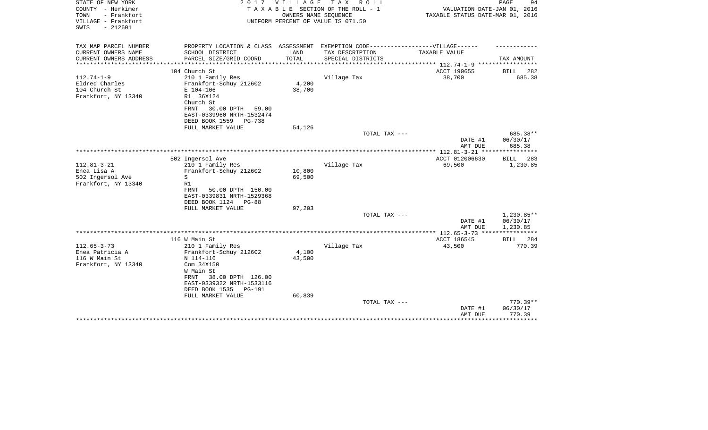| STATE OF NEW YORK<br>COUNTY - Herkimer<br>- Frankfort<br>TOWN<br>VILLAGE - Frankfort<br>$-212601$<br>SWIS | 2 0 1 7                                                                           | VILLAGE          | T A X<br>R O L L<br>TAXABLE SECTION OF THE ROLL - 1<br>OWNERS NAME SEQUENCE<br>UNIFORM PERCENT OF VALUE IS 071.50 | VALUATION DATE-JAN 01, 2016<br>TAXABLE STATUS DATE-MAR 01, 2016 | 94<br>PAGE         |
|-----------------------------------------------------------------------------------------------------------|-----------------------------------------------------------------------------------|------------------|-------------------------------------------------------------------------------------------------------------------|-----------------------------------------------------------------|--------------------|
| TAX MAP PARCEL NUMBER                                                                                     | PROPERTY LOCATION & CLASS ASSESSMENT EXEMPTION CODE-----------------VILLAGE------ |                  |                                                                                                                   |                                                                 |                    |
| CURRENT OWNERS NAME                                                                                       | SCHOOL DISTRICT                                                                   | LAND<br>TOTAL    | TAX DESCRIPTION                                                                                                   | TAXABLE VALUE                                                   |                    |
| CURRENT OWNERS ADDRESS<br>***************                                                                 | PARCEL SIZE/GRID COORD                                                            |                  | SPECIAL DISTRICTS                                                                                                 |                                                                 | TAX AMOUNT         |
|                                                                                                           | 104 Church St                                                                     |                  |                                                                                                                   | ACCT 190655                                                     | <b>BILL</b><br>282 |
| $112.74 - 1 - 9$                                                                                          | 210 1 Family Res                                                                  |                  | Village Tax                                                                                                       | 38,700                                                          | 685.38             |
| Eldred Charles                                                                                            | Frankfort-Schuy 212602                                                            | 4,200            |                                                                                                                   |                                                                 |                    |
| 104 Church St                                                                                             | E 104-106                                                                         | 38,700           |                                                                                                                   |                                                                 |                    |
| Frankfort, NY 13340                                                                                       | R1 36X124                                                                         |                  |                                                                                                                   |                                                                 |                    |
|                                                                                                           | Church St                                                                         |                  |                                                                                                                   |                                                                 |                    |
|                                                                                                           | 30.00 DPTH<br>FRNT<br>59.00                                                       |                  |                                                                                                                   |                                                                 |                    |
|                                                                                                           | EAST-0339960 NRTH-1532474<br>DEED BOOK 1559<br>PG-738                             |                  |                                                                                                                   |                                                                 |                    |
|                                                                                                           | FULL MARKET VALUE                                                                 | 54,126           |                                                                                                                   |                                                                 |                    |
|                                                                                                           |                                                                                   |                  | TOTAL TAX ---                                                                                                     |                                                                 | 685.38**           |
|                                                                                                           |                                                                                   |                  |                                                                                                                   | DATE #1<br>AMT DUE                                              | 06/30/17<br>685.38 |
|                                                                                                           |                                                                                   |                  |                                                                                                                   |                                                                 | **********         |
|                                                                                                           | 502 Ingersol Ave                                                                  |                  |                                                                                                                   | ACCT 012006630                                                  | <b>BILL</b><br>283 |
| $112.81 - 3 - 21$                                                                                         | 210 1 Family Res                                                                  |                  | Village Tax                                                                                                       | 69,500                                                          | 1,230.85           |
| Enea Lisa A<br>502 Ingersol Ave                                                                           | Frankfort-Schuy 212602<br>S                                                       | 10,800<br>69,500 |                                                                                                                   |                                                                 |                    |
| Frankfort, NY 13340                                                                                       | R1                                                                                |                  |                                                                                                                   |                                                                 |                    |
|                                                                                                           | FRNT<br>50.00 DPTH 150.00                                                         |                  |                                                                                                                   |                                                                 |                    |
|                                                                                                           | EAST-0339831 NRTH-1529368                                                         |                  |                                                                                                                   |                                                                 |                    |
|                                                                                                           | DEED BOOK 1124<br>PG-88                                                           |                  |                                                                                                                   |                                                                 |                    |
|                                                                                                           | FULL MARKET VALUE                                                                 | 97,203           |                                                                                                                   |                                                                 |                    |
|                                                                                                           |                                                                                   |                  | TOTAL TAX ---                                                                                                     |                                                                 | 1,230.85**         |
|                                                                                                           |                                                                                   |                  |                                                                                                                   | DATE #1                                                         | 06/30/17           |
|                                                                                                           |                                                                                   |                  |                                                                                                                   | AMT DUE                                                         | 1,230.85           |
|                                                                                                           | 116 W Main St                                                                     |                  |                                                                                                                   | ACCT 186545                                                     | 284<br>BILL        |
| $112.65 - 3 - 73$                                                                                         | 210 1 Family Res                                                                  |                  | Village Tax                                                                                                       | 43,500                                                          | 770.39             |
| Enea Patricia A                                                                                           | Frankfort-Schuy 212602                                                            | 4,100            |                                                                                                                   |                                                                 |                    |
| 116 W Main St                                                                                             | N 114-116                                                                         | 43,500           |                                                                                                                   |                                                                 |                    |
| Frankfort, NY 13340                                                                                       | Com 34X150                                                                        |                  |                                                                                                                   |                                                                 |                    |
|                                                                                                           | W Main St                                                                         |                  |                                                                                                                   |                                                                 |                    |
|                                                                                                           | 38.00 DPTH 126.00<br>FRNT                                                         |                  |                                                                                                                   |                                                                 |                    |
|                                                                                                           | EAST-0339322 NRTH-1533116                                                         |                  |                                                                                                                   |                                                                 |                    |
|                                                                                                           | DEED BOOK 1535<br><b>PG-191</b>                                                   | 60,839           |                                                                                                                   |                                                                 |                    |
|                                                                                                           | FULL MARKET VALUE                                                                 |                  | TOTAL TAX ---                                                                                                     |                                                                 | 770.39**           |
|                                                                                                           |                                                                                   |                  |                                                                                                                   | DATE #1                                                         | 06/30/17           |
|                                                                                                           |                                                                                   |                  |                                                                                                                   | AMT DUE                                                         | 770.39             |
|                                                                                                           |                                                                                   |                  |                                                                                                                   |                                                                 | ********           |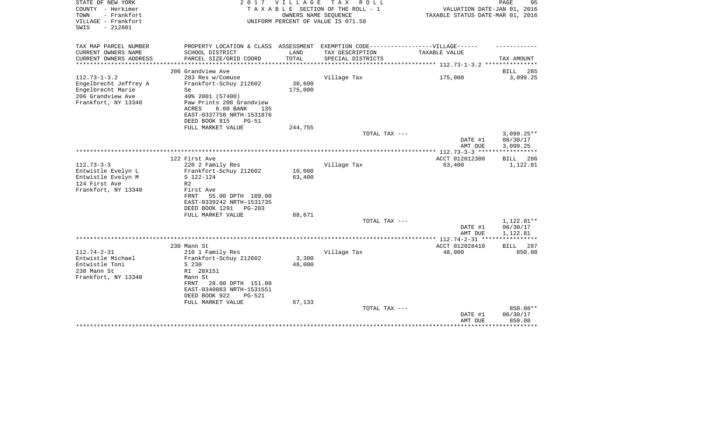| STATE OF NEW YORK<br>COUNTY - Herkimer<br>- Frankfort<br>TOWN<br>VILLAGE - Frankfort<br>$-212601$<br>SWIS    | 2017                                                                                                                                                                                           | V I L L A G E     | T A X<br>R O L L<br>TAXABLE SECTION OF THE ROLL - 1<br>OWNERS NAME SEQUENCE<br>UNIFORM PERCENT OF VALUE IS 071.50 | VALUATION DATE-JAN 01, 2016<br>TAXABLE STATUS DATE-MAR 01, 2016 | PAGE<br>95                                    |
|--------------------------------------------------------------------------------------------------------------|------------------------------------------------------------------------------------------------------------------------------------------------------------------------------------------------|-------------------|-------------------------------------------------------------------------------------------------------------------|-----------------------------------------------------------------|-----------------------------------------------|
| TAX MAP PARCEL NUMBER<br>CURRENT OWNERS NAME                                                                 | PROPERTY LOCATION & CLASS ASSESSMENT EXEMPTION CODE-----------------VILLAGE------<br>SCHOOL DISTRICT                                                                                           | LAND              | TAX DESCRIPTION                                                                                                   | TAXABLE VALUE                                                   |                                               |
| CURRENT OWNERS ADDRESS<br>*********************                                                              | PARCEL SIZE/GRID COORD                                                                                                                                                                         | TOTAL             | SPECIAL DISTRICTS                                                                                                 |                                                                 | TAX AMOUNT                                    |
|                                                                                                              | 206 Grandview Ave                                                                                                                                                                              |                   |                                                                                                                   |                                                                 | BILL<br>285                                   |
| $112.73 - 1 - 3.2$<br>Engelbrecht Jeffrey A<br>Engelbrecht Marie<br>206 Grandview Ave<br>Frankfort, NY 13340 | 283 Res w/Comuse<br>Frankfort-Schuy 212602<br>Se.<br>40% 2001 (57400)<br>Paw Prints 208 Grandview<br><b>ACRES</b><br>6.00 BANK<br>135<br>EAST-0337758 NRTH-1531876<br>DEED BOOK 815<br>$PG-51$ | 30,600<br>175,000 | Village Tax                                                                                                       | 175,000                                                         | 3,099.25                                      |
|                                                                                                              | FULL MARKET VALUE                                                                                                                                                                              | 244,755           |                                                                                                                   |                                                                 |                                               |
|                                                                                                              |                                                                                                                                                                                                |                   | TOTAL TAX ---                                                                                                     | DATE #1<br>AMT DUE                                              | $3,099.25**$<br>06/30/17<br>3,099.25          |
|                                                                                                              |                                                                                                                                                                                                |                   |                                                                                                                   |                                                                 |                                               |
| $112.73 - 3 - 3$<br>Entwistle Evelyn L<br>Entwistle Evelyn M<br>124 First Ave                                | 122 First Ave<br>220 2 Family Res<br>Frankfort-Schuy 212602<br>S 122-124<br>R <sub>2</sub>                                                                                                     | 10,000<br>63,400  | Village Tax                                                                                                       | ACCT 012012300<br>63,400                                        | BILL<br>286<br>1,122.81                       |
| Frankfort, NY 13340                                                                                          | First Ave<br>55.00 DPTH 109.00<br>FRNT<br>EAST-0339242 NRTH-1531735<br>DEED BOOK 1291<br>PG-203                                                                                                |                   |                                                                                                                   |                                                                 |                                               |
|                                                                                                              | FULL MARKET VALUE                                                                                                                                                                              | 88,671            | TOTAL TAX ---                                                                                                     |                                                                 | 1,122.81**                                    |
|                                                                                                              |                                                                                                                                                                                                |                   |                                                                                                                   | DATE #1<br>AMT DUE                                              | 06/30/17<br>1,122.81                          |
|                                                                                                              |                                                                                                                                                                                                |                   |                                                                                                                   |                                                                 |                                               |
|                                                                                                              | 230 Mann St                                                                                                                                                                                    |                   |                                                                                                                   | ACCT 012028410                                                  | <b>BILL</b><br>287                            |
| $112.74 - 2 - 31$<br>Entwistle Michael<br>Entwistle Toni<br>230 Mann St<br>Frankfort, NY 13340               | 210 1 Family Res<br>Frankfort-Schuy 212602<br>S 230<br>R1 28X151<br>Mann St<br>28.00 DPTH 151.00<br>FRNT<br>EAST-0340083 NRTH-1531551<br>DEED BOOK 922<br>$PG-521$                             | 3,300<br>48,000   | Village Tax                                                                                                       | 48,000                                                          | 850.08                                        |
|                                                                                                              | FULL MARKET VALUE                                                                                                                                                                              | 67,133            | TOTAL TAX ---                                                                                                     | DATE #1<br>AMT DUE                                              | 850.08**<br>06/30/17<br>850.08<br>*********** |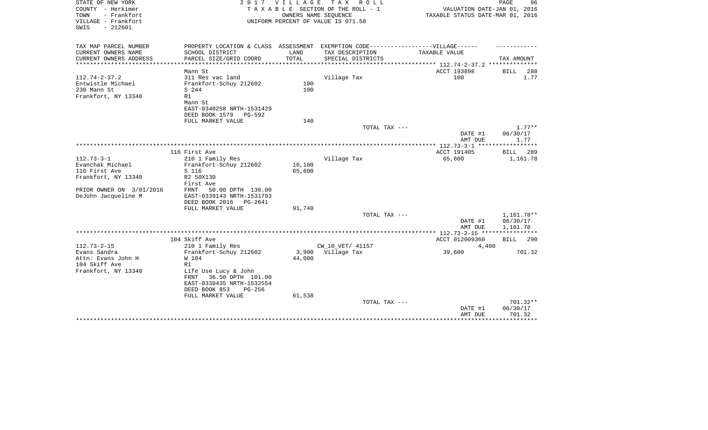| STATE OF NEW YORK<br>COUNTY - Herkimer<br>- Frankfort<br>TOWN<br>VILLAGE - Frankfort<br>SWIS<br>$-212601$ | 2017                                                                                                                                                 | <b>VILLAGE</b><br>OWNERS NAME SEQUENCE | T A X<br>R O L L<br>TAXABLE SECTION OF THE ROLL - 1<br>UNIFORM PERCENT OF VALUE IS 071.50            | VALUATION DATE-JAN 01, 2016<br>TAXABLE STATUS DATE-MAR 01, 2016 | PAGE<br>96                                         |
|-----------------------------------------------------------------------------------------------------------|------------------------------------------------------------------------------------------------------------------------------------------------------|----------------------------------------|------------------------------------------------------------------------------------------------------|-----------------------------------------------------------------|----------------------------------------------------|
| TAX MAP PARCEL NUMBER<br>CURRENT OWNERS NAME                                                              | SCHOOL DISTRICT                                                                                                                                      | LAND                                   | PROPERTY LOCATION & CLASS ASSESSMENT EXEMPTION CODE-----------------VILLAGE------<br>TAX DESCRIPTION | TAXABLE VALUE                                                   |                                                    |
| CURRENT OWNERS ADDRESS<br>*********************                                                           | PARCEL SIZE/GRID COORD<br>***********************                                                                                                    | TOTAL                                  | SPECIAL DISTRICTS                                                                                    |                                                                 | TAX AMOUNT                                         |
|                                                                                                           | Mann St                                                                                                                                              |                                        |                                                                                                      | ACCT 193898                                                     | 288<br><b>BILL</b>                                 |
| $112.74 - 2 - 37.2$<br>Entwistle Michael<br>230 Mann St<br>Frankfort, NY 13340                            | 311 Res vac land<br>Frankfort-Schuy 212602<br>S 244<br>R1<br>Mann St<br>EAST-0340258 NRTH-1531429                                                    | 100<br>100                             | Village Tax                                                                                          | 100                                                             | 1.77                                               |
|                                                                                                           | DEED BOOK 1579<br>PG-592                                                                                                                             |                                        |                                                                                                      |                                                                 |                                                    |
|                                                                                                           | FULL MARKET VALUE                                                                                                                                    | 140                                    |                                                                                                      |                                                                 |                                                    |
|                                                                                                           |                                                                                                                                                      |                                        | TOTAL TAX ---                                                                                        | DATE #1<br>AMT DUE                                              | $1.77**$<br>06/30/17<br>1.77                       |
|                                                                                                           |                                                                                                                                                      |                                        |                                                                                                      |                                                                 | ********                                           |
|                                                                                                           | 116 First Ave                                                                                                                                        |                                        |                                                                                                      | ACCT 191405                                                     | 289<br>BILL                                        |
| $112.73 - 3 - 1$<br>Evanchak Michael<br>116 First Ave<br>Frankfort, NY 13340                              | 210 1 Family Res<br>Frankfort-Schuy 212602<br>S 116<br>R2 50X130<br>First Ave                                                                        | 10,100<br>65,600                       | Village Tax                                                                                          | 65,600                                                          | 1,161.78                                           |
| PRIOR OWNER ON 3/01/2016<br>DeJohn Jacqueline M                                                           | FRNT<br>50.00 DPTH 130.00<br>EAST-0339143 NRTH-1531793<br>DEED BOOK 2016<br>PG-2641<br>FULL MARKET VALUE                                             | 91,748                                 |                                                                                                      |                                                                 |                                                    |
|                                                                                                           |                                                                                                                                                      |                                        | TOTAL TAX ---                                                                                        | DATE #1                                                         | 1,161.78**<br>06/30/17                             |
|                                                                                                           |                                                                                                                                                      |                                        |                                                                                                      | AMT DUE<br>*********** 112.73-2-15 *****************            | 1,161.78                                           |
|                                                                                                           | 104 Skiff Ave                                                                                                                                        |                                        |                                                                                                      | ACCT 012009360                                                  | <b>BILL</b><br>290                                 |
| $112.73 - 2 - 15$                                                                                         | 210 1 Family Res                                                                                                                                     |                                        | CW 10 VET/ 41157                                                                                     | 4,400                                                           |                                                    |
| Evans Sandra<br>Attn: Evans John H<br>104 Skiff Ave<br>Frankfort, NY 13340                                | Frankfort-Schuy 212602<br>W 104<br>R1<br>Life Use Lucy & John<br>36.50 DPTH 101.00<br>FRNT<br>EAST-0339435 NRTH-1532554<br>DEED BOOK 853<br>$PG-256$ | 3,900<br>44,000                        | Village Tax                                                                                          | 39,600                                                          | 701.32                                             |
|                                                                                                           | FULL MARKET VALUE                                                                                                                                    | 61,538                                 | TOTAL TAX ---                                                                                        | DATE #1<br>AMT DUE<br>*****************                         | $701.32**$<br>06/30/17<br>701.32<br>************** |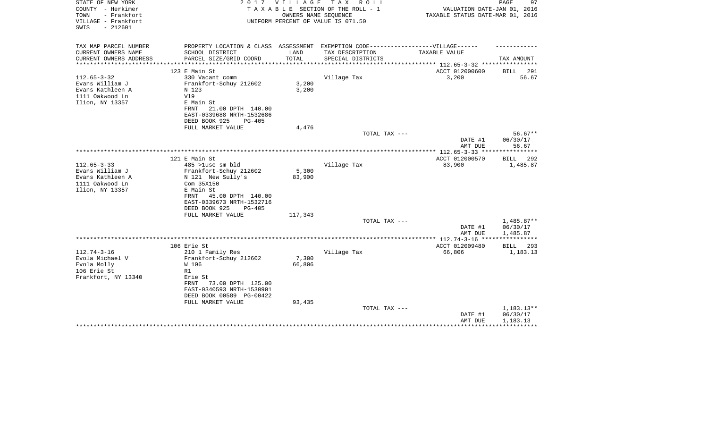| STATE OF NEW YORK<br>COUNTY - Herkimer<br>- Frankfort<br>TOWN<br>VILLAGE - Frankfort | 2 0 1 7                                                                           | VILLAGE | T A X<br>R O L L<br>TAXABLE SECTION OF THE ROLL - 1<br>OWNERS NAME SEQUENCE<br>UNIFORM PERCENT OF VALUE IS 071.50 | VALUATION DATE-JAN 01, 2016<br>TAXABLE STATUS DATE-MAR 01, 2016 | 97<br>PAGE              |
|--------------------------------------------------------------------------------------|-----------------------------------------------------------------------------------|---------|-------------------------------------------------------------------------------------------------------------------|-----------------------------------------------------------------|-------------------------|
| $-212601$<br>SWIS                                                                    |                                                                                   |         |                                                                                                                   |                                                                 |                         |
| TAX MAP PARCEL NUMBER                                                                | PROPERTY LOCATION & CLASS ASSESSMENT EXEMPTION CODE-----------------VILLAGE------ |         |                                                                                                                   |                                                                 |                         |
| CURRENT OWNERS NAME                                                                  | SCHOOL DISTRICT                                                                   | LAND    | TAX DESCRIPTION                                                                                                   | TAXABLE VALUE                                                   |                         |
| CURRENT OWNERS ADDRESS                                                               | PARCEL SIZE/GRID COORD                                                            | TOTAL   | SPECIAL DISTRICTS                                                                                                 |                                                                 | TAX AMOUNT              |
|                                                                                      | 123 E Main St                                                                     |         |                                                                                                                   | ACCT 012000600                                                  | BILL<br>291             |
| $112.65 - 3 - 32$                                                                    | 330 Vacant comm                                                                   |         | Village Tax                                                                                                       | 3,200                                                           | 56.67                   |
| Evans William J                                                                      | Frankfort-Schuy 212602                                                            | 3,200   |                                                                                                                   |                                                                 |                         |
| Evans Kathleen A                                                                     | N 123                                                                             | 3,200   |                                                                                                                   |                                                                 |                         |
| 1111 Oakwood Ln                                                                      | V19                                                                               |         |                                                                                                                   |                                                                 |                         |
| Ilion, NY 13357                                                                      | E Main St                                                                         |         |                                                                                                                   |                                                                 |                         |
|                                                                                      | 21.00 DPTH 140.00<br>FRNT                                                         |         |                                                                                                                   |                                                                 |                         |
|                                                                                      | EAST-0339688 NRTH-1532686<br>DEED BOOK 925<br>$PG-405$                            |         |                                                                                                                   |                                                                 |                         |
|                                                                                      | FULL MARKET VALUE                                                                 | 4,476   |                                                                                                                   |                                                                 |                         |
|                                                                                      |                                                                                   |         | TOTAL TAX ---                                                                                                     |                                                                 | $56.67**$               |
|                                                                                      |                                                                                   |         |                                                                                                                   | DATE #1                                                         | 06/30/17                |
|                                                                                      |                                                                                   |         |                                                                                                                   | AMT DUE                                                         | 56.67                   |
|                                                                                      |                                                                                   |         |                                                                                                                   |                                                                 |                         |
| $112.65 - 3 - 33$                                                                    | 121 E Main St<br>485 >luse sm bld                                                 |         | Village Tax                                                                                                       | ACCT 012000570<br>83,900                                        | 292<br>BILL<br>1,485.87 |
| Evans William J                                                                      | Frankfort-Schuy 212602                                                            | 5,300   |                                                                                                                   |                                                                 |                         |
| Evans Kathleen A                                                                     | N 121 New Sully's                                                                 | 83,900  |                                                                                                                   |                                                                 |                         |
| 1111 Oakwood Ln                                                                      | Com 35X150                                                                        |         |                                                                                                                   |                                                                 |                         |
| Ilion, NY 13357                                                                      | E Main St                                                                         |         |                                                                                                                   |                                                                 |                         |
|                                                                                      | FRNT<br>45.00 DPTH 140.00                                                         |         |                                                                                                                   |                                                                 |                         |
|                                                                                      | EAST-0339673 NRTH-1532716                                                         |         |                                                                                                                   |                                                                 |                         |
|                                                                                      | DEED BOOK 925<br>$PG-405$                                                         |         |                                                                                                                   |                                                                 |                         |
|                                                                                      | FULL MARKET VALUE                                                                 | 117,343 | TOTAL TAX ---                                                                                                     |                                                                 | 1,485.87**              |
|                                                                                      |                                                                                   |         |                                                                                                                   | DATE #1                                                         | 06/30/17                |
|                                                                                      |                                                                                   |         |                                                                                                                   | AMT DUE                                                         | 1,485.87                |
|                                                                                      |                                                                                   |         |                                                                                                                   |                                                                 |                         |
|                                                                                      | 106 Erie St                                                                       |         |                                                                                                                   | ACCT 012009480                                                  | 293<br><b>BILL</b>      |
| $112.74 - 3 - 16$                                                                    | 210 1 Family Res                                                                  |         | Village Tax                                                                                                       | 66,806                                                          | 1,183.13                |
| Evola Michael V                                                                      | Frankfort-Schuy 212602                                                            | 7,300   |                                                                                                                   |                                                                 |                         |
| Evola Molly<br>106 Erie St                                                           | W 106<br>R1                                                                       | 66,806  |                                                                                                                   |                                                                 |                         |
| Frankfort, NY 13340                                                                  | Erie St                                                                           |         |                                                                                                                   |                                                                 |                         |
|                                                                                      | 73.00 DPTH 125.00<br>FRNT                                                         |         |                                                                                                                   |                                                                 |                         |
|                                                                                      | EAST-0340593 NRTH-1530901                                                         |         |                                                                                                                   |                                                                 |                         |
|                                                                                      | DEED BOOK 00589 PG-00422                                                          |         |                                                                                                                   |                                                                 |                         |
|                                                                                      | FULL MARKET VALUE                                                                 | 93,435  |                                                                                                                   |                                                                 |                         |
|                                                                                      |                                                                                   |         | TOTAL TAX ---                                                                                                     |                                                                 | 1,183.13**              |
|                                                                                      |                                                                                   |         |                                                                                                                   | DATE #1                                                         | 06/30/17                |
|                                                                                      |                                                                                   |         |                                                                                                                   | AMT DUE<br>********************************                     | 1,183.13                |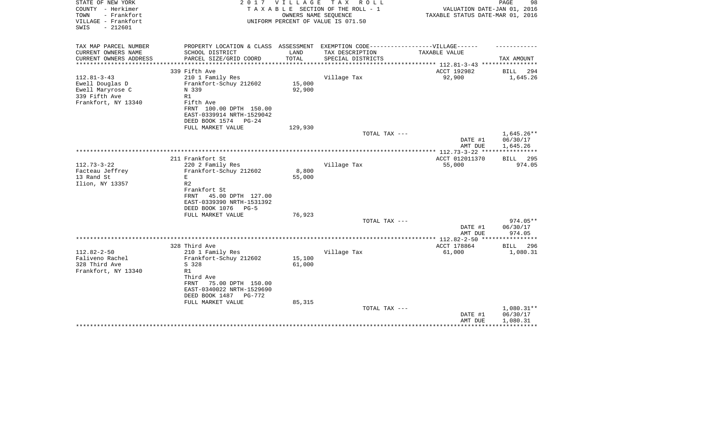| COUNTY - Herkimer<br>TAXABLE SECTION OF THE ROLL - 1<br>TOWN<br>- Frankfort<br>OWNERS NAME SEQUENCE<br>VILLAGE - Frankfort<br>UNIFORM PERCENT OF VALUE IS 071.50<br>$-212601$<br>SWIS                              | VALUATION DATE-JAN 01, 2016<br>TAXABLE STATUS DATE-MAR 01, 2016 |
|--------------------------------------------------------------------------------------------------------------------------------------------------------------------------------------------------------------------|-----------------------------------------------------------------|
| TAX MAP PARCEL NUMBER<br>PROPERTY LOCATION & CLASS ASSESSMENT EXEMPTION CODE-----------------VILLAGE------                                                                                                         |                                                                 |
| CURRENT OWNERS NAME<br>SCHOOL DISTRICT<br>LAND<br>TAX DESCRIPTION<br>TAXABLE VALUE                                                                                                                                 |                                                                 |
| TOTAL<br>CURRENT OWNERS ADDRESS<br>PARCEL SIZE/GRID COORD<br>SPECIAL DISTRICTS<br>***************<br>*************************** 112.81-3-43 ****************<br>***************************<br>****************** | TAX AMOUNT                                                      |
| ACCT 192982<br>339 Fifth Ave                                                                                                                                                                                       | BILL<br>294                                                     |
| 92,900<br>$112.81 - 3 - 43$<br>210 1 Family Res<br>Village Tax                                                                                                                                                     | 1,645.26                                                        |
| Frankfort-Schuy 212602<br>15,000<br>Ewell Douglas D                                                                                                                                                                |                                                                 |
| 92,900<br>Ewell Maryrose C<br>N 339                                                                                                                                                                                |                                                                 |
| 339 Fifth Ave<br>R1                                                                                                                                                                                                |                                                                 |
| Frankfort, NY 13340<br>Fifth Ave<br>FRNT 100.00 DPTH 150.00                                                                                                                                                        |                                                                 |
| EAST-0339914 NRTH-1529042                                                                                                                                                                                          |                                                                 |
| DEED BOOK 1574<br>$PG-24$                                                                                                                                                                                          |                                                                 |
| 129,930<br>FULL MARKET VALUE                                                                                                                                                                                       |                                                                 |
| TOTAL TAX ---                                                                                                                                                                                                      | 1,645.26**                                                      |
|                                                                                                                                                                                                                    | 06/30/17<br>DATE #1<br>AMT DUE<br>1,645.26                      |
|                                                                                                                                                                                                                    |                                                                 |
| 211 Frankfort St<br>ACCT 012011370                                                                                                                                                                                 | <b>BILL</b><br>295                                              |
| $112.73 - 3 - 22$<br>Village Tax<br>220 2 Family Res<br>55,000                                                                                                                                                     | 974.05                                                          |
| Facteau Jeffrey<br>Frankfort-Schuy 212602<br>8,800                                                                                                                                                                 |                                                                 |
| 13 Rand St<br>55,000<br>E<br>R <sub>2</sub>                                                                                                                                                                        |                                                                 |
| Ilion, NY 13357<br>Frankfort St                                                                                                                                                                                    |                                                                 |
| 45.00 DPTH 127.00<br>FRNT                                                                                                                                                                                          |                                                                 |
| EAST-0339390 NRTH-1531392                                                                                                                                                                                          |                                                                 |
| DEED BOOK 1076<br>$PG-5$                                                                                                                                                                                           |                                                                 |
| 76,923<br>FULL MARKET VALUE                                                                                                                                                                                        | $974.05**$                                                      |
| TOTAL TAX ---                                                                                                                                                                                                      | DATE #1<br>06/30/17                                             |
|                                                                                                                                                                                                                    | 974.05<br>AMT DUE                                               |
|                                                                                                                                                                                                                    | * * * * * * * * * * *                                           |
| ACCT 178864<br>328 Third Ave                                                                                                                                                                                       | <b>BILL</b><br>296                                              |
| $112.82 - 2 - 50$<br>210 1 Family Res<br>Village Tax<br>61,000                                                                                                                                                     | 1,080.31                                                        |
| 15,100<br>Faliveno Rachel<br>Frankfort-Schuy 212602<br>328 Third Ave<br>S 328<br>61,000                                                                                                                            |                                                                 |
| R1<br>Frankfort, NY 13340                                                                                                                                                                                          |                                                                 |
| Third Ave                                                                                                                                                                                                          |                                                                 |
| 75.00 DPTH 150.00<br>FRNT                                                                                                                                                                                          |                                                                 |
| EAST-0340022 NRTH-1529690                                                                                                                                                                                          |                                                                 |
| DEED BOOK 1487<br><b>PG-772</b><br>85,315<br>FULL MARKET VALUE                                                                                                                                                     |                                                                 |
| TOTAL TAX ---                                                                                                                                                                                                      | $1,080.31**$                                                    |
|                                                                                                                                                                                                                    | 06/30/17<br>DATE #1                                             |
|                                                                                                                                                                                                                    | AMT DUE<br>1,080.31                                             |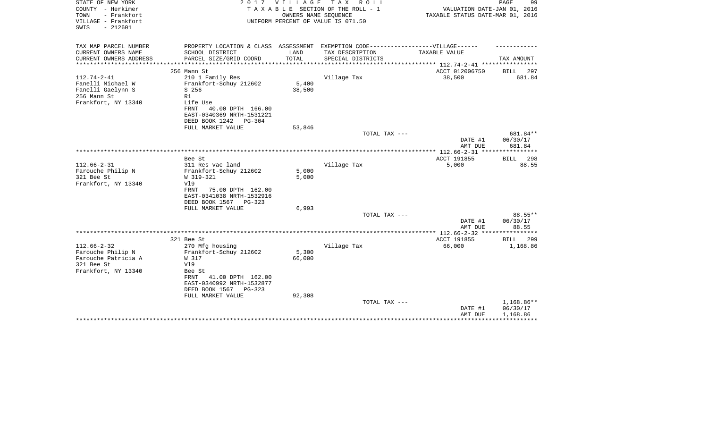| STATE OF NEW YORK<br>COUNTY - Herkimer<br>- Frankfort<br>TOWN<br>VILLAGE - Frankfort<br>$-212601$<br>SWIS | 2 0 1 7                                               | V I L L A G E       | TAX ROLL<br>TAXABLE SECTION OF THE ROLL - 1<br>OWNERS NAME SEQUENCE<br>UNIFORM PERCENT OF VALUE IS 071.50 | VALUATION DATE-JAN 01, 2016<br>TAXABLE STATUS DATE-MAR 01, 2016 | PAGE<br>99           |
|-----------------------------------------------------------------------------------------------------------|-------------------------------------------------------|---------------------|-----------------------------------------------------------------------------------------------------------|-----------------------------------------------------------------|----------------------|
| TAX MAP PARCEL NUMBER<br>CURRENT OWNERS NAME                                                              | SCHOOL DISTRICT                                       | LAND                | PROPERTY LOCATION & CLASS ASSESSMENT EXEMPTION CODE-----------------VILLAGE------<br>TAX DESCRIPTION      | TAXABLE VALUE                                                   |                      |
| CURRENT OWNERS ADDRESS                                                                                    | PARCEL SIZE/GRID COORD                                | TOTAL               | SPECIAL DISTRICTS                                                                                         |                                                                 | TAX AMOUNT           |
|                                                                                                           |                                                       | ******************* |                                                                                                           | **************************** 112.74-2-41 ****************       |                      |
|                                                                                                           | 256 Mann St                                           |                     |                                                                                                           | ACCT 012006750                                                  | BILL<br>297          |
| $112.74 - 2 - 41$                                                                                         | 210 1 Family Res                                      |                     | Village Tax                                                                                               | 38,500                                                          | 681.84               |
| Fanelli Michael W                                                                                         | Frankfort-Schuy 212602                                | 5,400               |                                                                                                           |                                                                 |                      |
| Fanelli Gaelynn S<br>256 Mann St                                                                          | $S$ 256<br>R1                                         | 38,500              |                                                                                                           |                                                                 |                      |
| Frankfort, NY 13340                                                                                       | Life Use                                              |                     |                                                                                                           |                                                                 |                      |
|                                                                                                           | FRNT<br>40.00 DPTH 166.00                             |                     |                                                                                                           |                                                                 |                      |
|                                                                                                           | EAST-0340369 NRTH-1531221                             |                     |                                                                                                           |                                                                 |                      |
|                                                                                                           | DEED BOOK 1242<br>PG-304                              |                     |                                                                                                           |                                                                 |                      |
|                                                                                                           | FULL MARKET VALUE                                     | 53,846              |                                                                                                           |                                                                 |                      |
|                                                                                                           |                                                       |                     | TOTAL TAX ---                                                                                             | DATE #1                                                         | 681.84**<br>06/30/17 |
|                                                                                                           |                                                       |                     |                                                                                                           | AMT DUE                                                         | 681.84               |
|                                                                                                           | Bee St                                                |                     |                                                                                                           | ACCT 191855                                                     | 298<br><b>BILL</b>   |
| $112.66 - 2 - 31$                                                                                         | 311 Res vac land                                      |                     | Village Tax                                                                                               | 5,000                                                           | 88.55                |
| Farouche Philip N                                                                                         | Frankfort-Schuy 212602                                | 5,000               |                                                                                                           |                                                                 |                      |
| 321 Bee St                                                                                                | W 319-321                                             | 5,000               |                                                                                                           |                                                                 |                      |
| Frankfort, NY 13340                                                                                       | Vl9                                                   |                     |                                                                                                           |                                                                 |                      |
|                                                                                                           | FRNT<br>75.00 DPTH 162.00                             |                     |                                                                                                           |                                                                 |                      |
|                                                                                                           | EAST-0341038 NRTH-1532916<br>DEED BOOK 1567<br>PG-323 |                     |                                                                                                           |                                                                 |                      |
|                                                                                                           | FULL MARKET VALUE                                     | 6,993               |                                                                                                           |                                                                 |                      |
|                                                                                                           |                                                       |                     | TOTAL TAX ---                                                                                             |                                                                 | 88.55**              |
|                                                                                                           |                                                       |                     |                                                                                                           | DATE #1<br>AMT DUE                                              | 06/30/17<br>88.55    |
|                                                                                                           |                                                       |                     |                                                                                                           |                                                                 |                      |
|                                                                                                           | 321 Bee St                                            |                     |                                                                                                           | ACCT 191855                                                     | BILL<br>299          |
| $112.66 - 2 - 32$                                                                                         | 270 Mfg housing                                       |                     | Village Tax                                                                                               | 66,000                                                          | 1,168.86             |
| Farouche Philip N<br>Farouche Patricia A                                                                  | Frankfort-Schuy 212602<br>W 317                       | 5,300<br>66,000     |                                                                                                           |                                                                 |                      |
| 321 Bee St                                                                                                | V19                                                   |                     |                                                                                                           |                                                                 |                      |
| Frankfort, NY 13340                                                                                       | Bee St                                                |                     |                                                                                                           |                                                                 |                      |
|                                                                                                           | 41.00 DPTH 162.00<br>FRNT                             |                     |                                                                                                           |                                                                 |                      |
|                                                                                                           | EAST-0340992 NRTH-1532877                             |                     |                                                                                                           |                                                                 |                      |
|                                                                                                           | DEED BOOK 1567<br>PG-323                              |                     |                                                                                                           |                                                                 |                      |
|                                                                                                           | FULL MARKET VALUE                                     | 92,308              |                                                                                                           |                                                                 |                      |
|                                                                                                           |                                                       |                     | TOTAL TAX ---                                                                                             |                                                                 | 1,168.86**           |
|                                                                                                           |                                                       |                     |                                                                                                           | DATE #1<br>AMT DUE                                              | 06/30/17<br>1,168.86 |
|                                                                                                           |                                                       |                     |                                                                                                           |                                                                 |                      |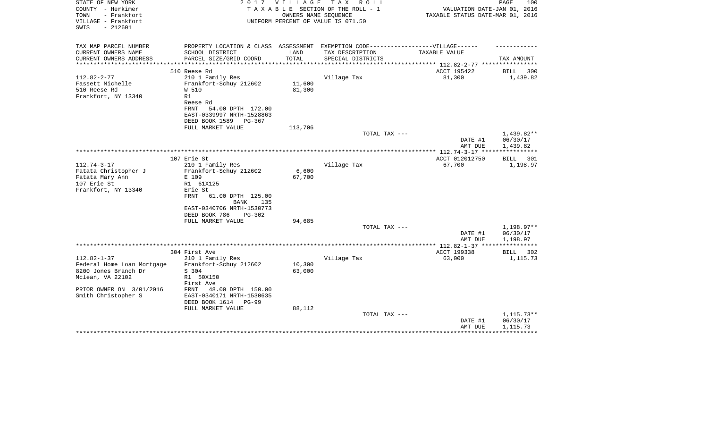| STATE OF NEW YORK<br>COUNTY - Herkimer<br>- Frankfort<br>TOWN<br>VILLAGE - Frankfort<br>$-212601$<br>SWIS | 2 0 1 7                                                                          | <b>VILLAGE</b><br>OWNERS NAME SEOUENCE | T A X<br>R O L L<br>TAXABLE SECTION OF THE ROLL - 1<br>UNIFORM PERCENT OF VALUE IS 071.50 | VALUATION DATE-JAN 01, 2016<br>TAXABLE STATUS DATE-MAR 01, 2016 | PAGE<br>100          |
|-----------------------------------------------------------------------------------------------------------|----------------------------------------------------------------------------------|----------------------------------------|-------------------------------------------------------------------------------------------|-----------------------------------------------------------------|----------------------|
| TAX MAP PARCEL NUMBER                                                                                     | PROPERTY LOCATION & CLASS ASSESSMENT EXEMPTION CODE----------------VILLAGE------ |                                        |                                                                                           |                                                                 |                      |
| CURRENT OWNERS NAME                                                                                       | SCHOOL DISTRICT                                                                  | LAND                                   | TAX DESCRIPTION                                                                           | TAXABLE VALUE                                                   |                      |
| CURRENT OWNERS ADDRESS<br>**********************                                                          | PARCEL SIZE/GRID COORD                                                           | TOTAL                                  | SPECIAL DISTRICTS                                                                         |                                                                 | TAX AMOUNT           |
|                                                                                                           | 510 Reese Rd                                                                     |                                        |                                                                                           | ACCT 195422                                                     | 300<br>BILL          |
| $112.82 - 2 - 77$                                                                                         | 210 1 Family Res                                                                 |                                        | Village Tax                                                                               | 81,300                                                          | 1,439.82             |
| Fassett Michelle                                                                                          | Frankfort-Schuy 212602                                                           | 11,600                                 |                                                                                           |                                                                 |                      |
| 510 Reese Rd                                                                                              | W 510                                                                            | 81,300                                 |                                                                                           |                                                                 |                      |
| Frankfort, NY 13340                                                                                       | R1                                                                               |                                        |                                                                                           |                                                                 |                      |
|                                                                                                           | Reese Rd                                                                         |                                        |                                                                                           |                                                                 |                      |
|                                                                                                           | FRNT<br>54.00 DPTH 172.00                                                        |                                        |                                                                                           |                                                                 |                      |
|                                                                                                           | EAST-0339997 NRTH-1528863<br>DEED BOOK 1589<br>PG-367                            |                                        |                                                                                           |                                                                 |                      |
|                                                                                                           | FULL MARKET VALUE                                                                | 113,706                                |                                                                                           |                                                                 |                      |
|                                                                                                           |                                                                                  |                                        | TOTAL TAX ---                                                                             |                                                                 | $1,439.82**$         |
|                                                                                                           |                                                                                  |                                        |                                                                                           | DATE #1                                                         | 06/30/17             |
|                                                                                                           |                                                                                  |                                        |                                                                                           | AMT DUE                                                         | 1,439.82             |
|                                                                                                           |                                                                                  |                                        |                                                                                           |                                                                 | ***********          |
| $112.74 - 3 - 17$                                                                                         | 107 Erie St                                                                      |                                        |                                                                                           | ACCT 012012750                                                  | 301<br>BILL          |
| Fatata Christopher J                                                                                      | 210 1 Family Res<br>Frankfort-Schuy 212602                                       | 6,600                                  | Village Tax                                                                               | 67,700                                                          | 1,198.97             |
| Fatata Mary Ann                                                                                           | E 109                                                                            | 67,700                                 |                                                                                           |                                                                 |                      |
| 107 Erie St                                                                                               | R1 61X125                                                                        |                                        |                                                                                           |                                                                 |                      |
| Frankfort, NY 13340                                                                                       | Erie St                                                                          |                                        |                                                                                           |                                                                 |                      |
|                                                                                                           | 61.00 DPTH 125.00<br>FRNT<br>BANK<br>135                                         |                                        |                                                                                           |                                                                 |                      |
|                                                                                                           | EAST-0340706 NRTH-1530773                                                        |                                        |                                                                                           |                                                                 |                      |
|                                                                                                           | DEED BOOK 786<br>$PG-302$                                                        |                                        |                                                                                           |                                                                 |                      |
|                                                                                                           | FULL MARKET VALUE                                                                | 94,685                                 |                                                                                           |                                                                 |                      |
|                                                                                                           |                                                                                  |                                        | TOTAL TAX ---                                                                             |                                                                 | 1,198.97**           |
|                                                                                                           |                                                                                  |                                        |                                                                                           | DATE #1<br>AMT DUE                                              | 06/30/17<br>1,198.97 |
|                                                                                                           |                                                                                  |                                        |                                                                                           |                                                                 |                      |
|                                                                                                           | 304 First Ave                                                                    |                                        |                                                                                           | ACCT 199338                                                     | BILL<br>302          |
| $112.82 - 1 - 37$                                                                                         | 210 1 Family Res                                                                 |                                        | Village Tax                                                                               | 63,000                                                          | 1,115.73             |
| Federal Home Loan Mortgage                                                                                | Frankfort-Schuy 212602                                                           | 10,300                                 |                                                                                           |                                                                 |                      |
| 8200 Jones Branch Dr                                                                                      | S 304                                                                            | 63,000                                 |                                                                                           |                                                                 |                      |
| Mclean, VA 22102                                                                                          | R1 50X150                                                                        |                                        |                                                                                           |                                                                 |                      |
| PRIOR OWNER ON 3/01/2016                                                                                  | First Ave<br>48.00 DPTH 150.00<br>FRNT                                           |                                        |                                                                                           |                                                                 |                      |
| Smith Christopher S                                                                                       | EAST-0340171 NRTH-1530635                                                        |                                        |                                                                                           |                                                                 |                      |
|                                                                                                           | DEED BOOK 1614<br>PG-99                                                          |                                        |                                                                                           |                                                                 |                      |
|                                                                                                           | FULL MARKET VALUE                                                                | 88,112                                 |                                                                                           |                                                                 |                      |
|                                                                                                           |                                                                                  |                                        | TOTAL TAX ---                                                                             |                                                                 | $1,115.73**$         |
|                                                                                                           |                                                                                  |                                        |                                                                                           | DATE #1                                                         | 06/30/17             |
|                                                                                                           |                                                                                  |                                        |                                                                                           | AMT DUE                                                         | 1,115.73             |
|                                                                                                           |                                                                                  |                                        |                                                                                           |                                                                 |                      |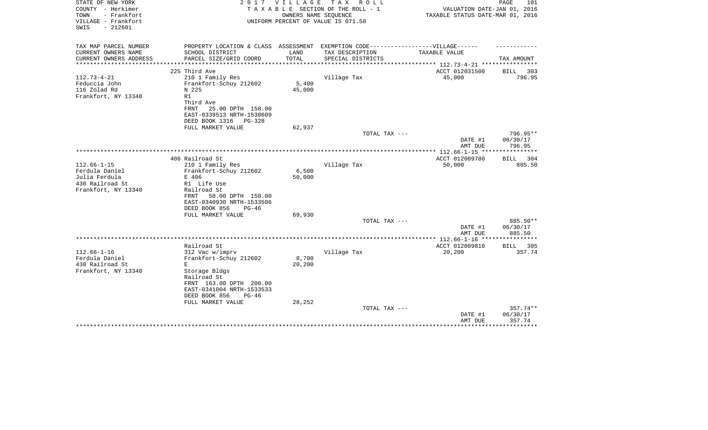| STATE OF NEW YORK<br>COUNTY - Herkimer<br>TOWN<br>- Frankfort<br>VILLAGE - Frankfort<br>$-212601$<br>SWIS | 2017                                                                              | <b>VILLAGE</b>          | T A X<br>R O L L<br>TAXABLE SECTION OF THE ROLL - 1<br>OWNERS NAME SEQUENCE<br>UNIFORM PERCENT OF VALUE IS 071.50 | VALUATION DATE-JAN 01, 2016<br>TAXABLE STATUS DATE-MAR 01, 2016   | PAGE<br>101                     |
|-----------------------------------------------------------------------------------------------------------|-----------------------------------------------------------------------------------|-------------------------|-------------------------------------------------------------------------------------------------------------------|-------------------------------------------------------------------|---------------------------------|
| TAX MAP PARCEL NUMBER                                                                                     | PROPERTY LOCATION & CLASS ASSESSMENT EXEMPTION CODE-----------------VILLAGE------ |                         |                                                                                                                   |                                                                   |                                 |
| CURRENT OWNERS NAME                                                                                       | SCHOOL DISTRICT                                                                   | LAND                    | TAX DESCRIPTION                                                                                                   | TAXABLE VALUE                                                     |                                 |
| CURRENT OWNERS ADDRESS<br>********************                                                            | PARCEL SIZE/GRID COORD<br>**************************                              | TOTAL<br>************** | SPECIAL DISTRICTS                                                                                                 |                                                                   | TAX AMOUNT                      |
|                                                                                                           | 225 Third Ave                                                                     |                         |                                                                                                                   | ***************** 112.73-4-21 *****************<br>ACCT 012031500 | <b>BILL</b><br>303              |
| $112.73 - 4 - 21$                                                                                         | 210 1 Family Res                                                                  |                         | Village Tax                                                                                                       | 45,000                                                            | 796.95                          |
| Feduccia John                                                                                             | Frankfort-Schuy 212602                                                            | 5,400                   |                                                                                                                   |                                                                   |                                 |
| 116 Zolad Rd                                                                                              | N 225                                                                             | 45,000                  |                                                                                                                   |                                                                   |                                 |
| Frankfort, NY 13340                                                                                       | R1                                                                                |                         |                                                                                                                   |                                                                   |                                 |
|                                                                                                           | Third Ave                                                                         |                         |                                                                                                                   |                                                                   |                                 |
|                                                                                                           | <b>FRNT</b><br>25.00 DPTH 150.00                                                  |                         |                                                                                                                   |                                                                   |                                 |
|                                                                                                           | EAST-0339513 NRTH-1530609                                                         |                         |                                                                                                                   |                                                                   |                                 |
|                                                                                                           | DEED BOOK 1316<br>$PG-328$<br>FULL MARKET VALUE                                   | 62,937                  |                                                                                                                   |                                                                   |                                 |
|                                                                                                           |                                                                                   |                         | TOTAL TAX ---                                                                                                     |                                                                   | 796.95**                        |
|                                                                                                           |                                                                                   |                         |                                                                                                                   | DATE #1                                                           | 06/30/17                        |
|                                                                                                           |                                                                                   |                         |                                                                                                                   | AMT DUE                                                           | 796.95                          |
|                                                                                                           |                                                                                   |                         |                                                                                                                   | *************** 112.66-1-15 ***                                   | ***********                     |
|                                                                                                           | 406 Railroad St                                                                   |                         |                                                                                                                   | ACCT 012009780                                                    | 304<br><b>BILL</b>              |
| $112.66 - 1 - 15$                                                                                         | 210 1 Family Res                                                                  |                         | Village Tax                                                                                                       | 50,000                                                            | 885.50                          |
| Ferdula Daniel                                                                                            | Frankfort-Schuy 212602                                                            | 6,500                   |                                                                                                                   |                                                                   |                                 |
| Julia Ferdula<br>430 Railroad St                                                                          | E 406<br>R1 Life Use                                                              | 50,000                  |                                                                                                                   |                                                                   |                                 |
| Frankfort, NY 13340                                                                                       | Railroad St                                                                       |                         |                                                                                                                   |                                                                   |                                 |
|                                                                                                           | 50.00 DPTH 150.00<br>FRNT                                                         |                         |                                                                                                                   |                                                                   |                                 |
|                                                                                                           | EAST-0340930 NRTH-1533506                                                         |                         |                                                                                                                   |                                                                   |                                 |
|                                                                                                           | DEED BOOK 856<br>$PG-46$                                                          |                         |                                                                                                                   |                                                                   |                                 |
|                                                                                                           | FULL MARKET VALUE                                                                 | 69,930                  |                                                                                                                   |                                                                   |                                 |
|                                                                                                           |                                                                                   |                         | TOTAL TAX ---                                                                                                     |                                                                   | 885.50**                        |
|                                                                                                           |                                                                                   |                         |                                                                                                                   | DATE #1                                                           | 06/30/17                        |
|                                                                                                           |                                                                                   |                         |                                                                                                                   | AMT DUE                                                           | 885.50<br>* * * * * * * * * * * |
|                                                                                                           | Railroad St                                                                       |                         |                                                                                                                   | ACCT 012009810                                                    | 305<br>BILL                     |
| $112.66 - 1 - 16$                                                                                         | 312 Vac w/imprv                                                                   |                         | Village Tax                                                                                                       | 20,200                                                            | 357.74                          |
| Ferdula Daniel                                                                                            | Frankfort-Schuy 212602                                                            | 8,700                   |                                                                                                                   |                                                                   |                                 |
| 430 Railroad St                                                                                           | Ε                                                                                 | 20,200                  |                                                                                                                   |                                                                   |                                 |
| Frankfort, NY 13340                                                                                       | Storage Bldgs                                                                     |                         |                                                                                                                   |                                                                   |                                 |
|                                                                                                           | Railroad St                                                                       |                         |                                                                                                                   |                                                                   |                                 |
|                                                                                                           | FRNT 163.00 DPTH 200.00                                                           |                         |                                                                                                                   |                                                                   |                                 |
|                                                                                                           | EAST-0341004 NRTH-1533533<br>DEED BOOK 856<br>$PG-46$                             |                         |                                                                                                                   |                                                                   |                                 |
|                                                                                                           | FULL MARKET VALUE                                                                 | 28,252                  |                                                                                                                   |                                                                   |                                 |
|                                                                                                           |                                                                                   |                         | TOTAL TAX ---                                                                                                     |                                                                   | $357.74**$                      |
|                                                                                                           |                                                                                   |                         |                                                                                                                   | DATE #1                                                           | 06/30/17                        |
|                                                                                                           |                                                                                   |                         |                                                                                                                   | AMT DUE                                                           | 357.74                          |
|                                                                                                           |                                                                                   |                         |                                                                                                                   |                                                                   | * * * * * * * * *               |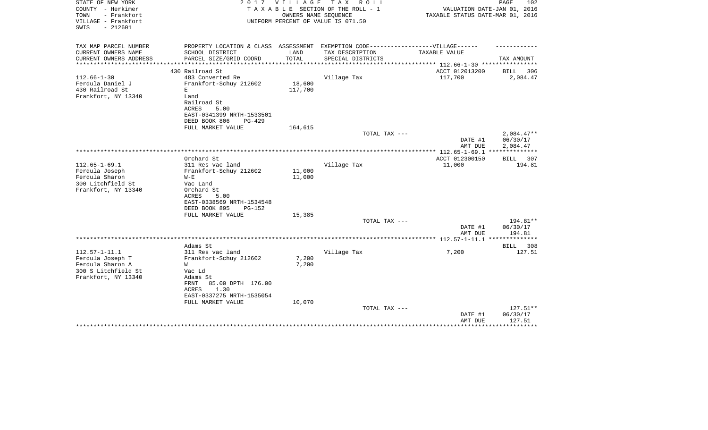| STATE OF NEW YORK<br>COUNTY - Herkimer<br>TOWN<br>- Frankfort<br>VILLAGE - Frankfort<br>$-212601$<br>SWIS | 2017                                                                              | V I L L A G E | TAX ROLL<br>TAXABLE SECTION OF THE ROLL - 1<br>OWNERS NAME SEQUENCE<br>UNIFORM PERCENT OF VALUE IS 071.50 | VALUATION DATE-JAN 01, 2016<br>TAXABLE STATUS DATE-MAR 01, 2016 | PAGE<br>102                  |
|-----------------------------------------------------------------------------------------------------------|-----------------------------------------------------------------------------------|---------------|-----------------------------------------------------------------------------------------------------------|-----------------------------------------------------------------|------------------------------|
| TAX MAP PARCEL NUMBER                                                                                     | PROPERTY LOCATION & CLASS ASSESSMENT EXEMPTION CODE-----------------VILLAGE------ |               |                                                                                                           |                                                                 |                              |
| CURRENT OWNERS NAME<br>CURRENT OWNERS ADDRESS                                                             | SCHOOL DISTRICT<br>PARCEL SIZE/GRID COORD                                         | LAND<br>TOTAL | TAX DESCRIPTION                                                                                           | TAXABLE VALUE                                                   | TAX AMOUNT                   |
| ********************                                                                                      | ****************************                                                      | ************* | SPECIAL DISTRICTS                                                                                         | ***************** 112.66-1-30 *****************                 |                              |
|                                                                                                           | 430 Railroad St                                                                   |               |                                                                                                           | ACCT 012013200                                                  | BILL<br>306                  |
| $112.66 - 1 - 30$                                                                                         | 483 Converted Re                                                                  |               | Village Tax                                                                                               | 117,700                                                         | 2,084.47                     |
| Ferdula Daniel J                                                                                          | Frankfort-Schuy 212602                                                            | 18,600        |                                                                                                           |                                                                 |                              |
| 430 Railroad St                                                                                           | Е                                                                                 | 117,700       |                                                                                                           |                                                                 |                              |
| Frankfort, NY 13340                                                                                       | Land                                                                              |               |                                                                                                           |                                                                 |                              |
|                                                                                                           | Railroad St<br><b>ACRES</b><br>5.00                                               |               |                                                                                                           |                                                                 |                              |
|                                                                                                           | EAST-0341399 NRTH-1533501                                                         |               |                                                                                                           |                                                                 |                              |
|                                                                                                           | DEED BOOK 806<br>PG-429                                                           |               |                                                                                                           |                                                                 |                              |
|                                                                                                           | FULL MARKET VALUE                                                                 | 164,615       |                                                                                                           |                                                                 |                              |
|                                                                                                           |                                                                                   |               | TOTAL TAX ---                                                                                             |                                                                 | $2,084.47**$                 |
|                                                                                                           |                                                                                   |               |                                                                                                           | DATE #1                                                         | 06/30/17                     |
|                                                                                                           |                                                                                   |               |                                                                                                           | AMT DUE                                                         | 2,084.47                     |
|                                                                                                           |                                                                                   |               |                                                                                                           | *************** 112.65-1-69.1 ***************                   |                              |
|                                                                                                           | Orchard St                                                                        |               |                                                                                                           | ACCT 012300150                                                  | BILL 307                     |
| $112.65 - 1 - 69.1$                                                                                       | 311 Res vac land                                                                  |               | Village Tax                                                                                               | 11,000                                                          | 194.81                       |
| Ferdula Joseph                                                                                            | Frankfort-Schuy 212602                                                            | 11,000        |                                                                                                           |                                                                 |                              |
| Ferdula Sharon<br>300 Litchfield St                                                                       | $W - E$<br>Vac Land                                                               | 11,000        |                                                                                                           |                                                                 |                              |
| Frankfort, NY 13340                                                                                       | Orchard St                                                                        |               |                                                                                                           |                                                                 |                              |
|                                                                                                           | ACRES<br>5.00                                                                     |               |                                                                                                           |                                                                 |                              |
|                                                                                                           | EAST-0338569 NRTH-1534548                                                         |               |                                                                                                           |                                                                 |                              |
|                                                                                                           | DEED BOOK 895<br>$PG-152$                                                         |               |                                                                                                           |                                                                 |                              |
|                                                                                                           | FULL MARKET VALUE                                                                 | 15,385        |                                                                                                           |                                                                 |                              |
|                                                                                                           |                                                                                   |               | TOTAL TAX ---                                                                                             |                                                                 | 194.81**                     |
|                                                                                                           |                                                                                   |               |                                                                                                           | DATE #1                                                         | 06/30/17                     |
|                                                                                                           |                                                                                   |               |                                                                                                           | AMT DUE                                                         | 194.81                       |
|                                                                                                           |                                                                                   |               |                                                                                                           |                                                                 | **************               |
| $112.57 - 1 - 11.1$                                                                                       | Adams St<br>311 Res vac land                                                      |               | Village Tax                                                                                               | 7,200                                                           | <b>BILL</b><br>308<br>127.51 |
| Ferdula Joseph T                                                                                          | Frankfort-Schuy 212602                                                            | 7,200         |                                                                                                           |                                                                 |                              |
| Ferdula Sharon A                                                                                          | W                                                                                 | 7,200         |                                                                                                           |                                                                 |                              |
| 300 S Litchfield St                                                                                       | Vac Ld                                                                            |               |                                                                                                           |                                                                 |                              |
| Frankfort, NY 13340                                                                                       | Adams St                                                                          |               |                                                                                                           |                                                                 |                              |
|                                                                                                           | 85.00 DPTH 176.00<br>FRNT                                                         |               |                                                                                                           |                                                                 |                              |
|                                                                                                           | 1.30<br>ACRES                                                                     |               |                                                                                                           |                                                                 |                              |
|                                                                                                           | EAST-0337275 NRTH-1535054                                                         |               |                                                                                                           |                                                                 |                              |
|                                                                                                           | FULL MARKET VALUE                                                                 | 10,070        |                                                                                                           |                                                                 |                              |
|                                                                                                           |                                                                                   |               | TOTAL TAX ---                                                                                             |                                                                 | 127.51**                     |
|                                                                                                           |                                                                                   |               |                                                                                                           | DATE #1<br>AMT DUE                                              | 06/30/17<br>127.51           |
|                                                                                                           |                                                                                   |               |                                                                                                           |                                                                 | * * * * * * * * *            |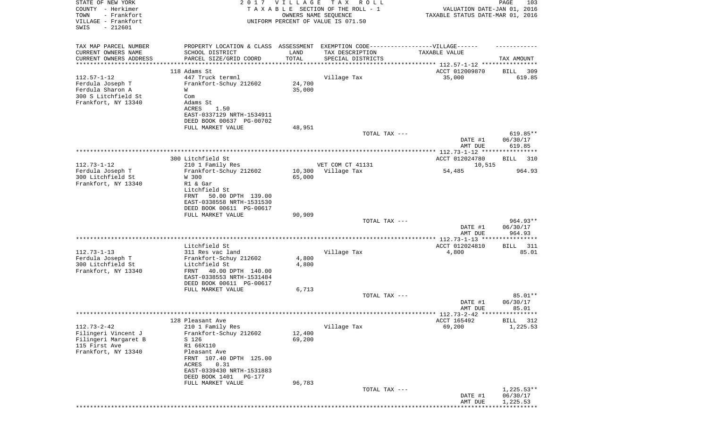| STATE OF NEW YORK<br>COUNTY - Herkimer<br>- Frankfort<br>TOWN<br>VILLAGE - Frankfort | 2017                                                                              |        | V I L L A G E<br>T A X<br>R O L L<br>TAXABLE SECTION OF THE ROLL - 1<br>OWNERS NAME SEQUENCE<br>UNIFORM PERCENT OF VALUE IS 071.50 | PAGE<br>103<br>VALUATION DATE-JAN 01, 2016<br>TAXABLE STATUS DATE-MAR 01, 2016 |                          |  |
|--------------------------------------------------------------------------------------|-----------------------------------------------------------------------------------|--------|------------------------------------------------------------------------------------------------------------------------------------|--------------------------------------------------------------------------------|--------------------------|--|
| SWIS<br>$-212601$                                                                    |                                                                                   |        |                                                                                                                                    |                                                                                |                          |  |
| TAX MAP PARCEL NUMBER                                                                | PROPERTY LOCATION & CLASS ASSESSMENT EXEMPTION CODE-----------------VILLAGE------ |        |                                                                                                                                    |                                                                                |                          |  |
| CURRENT OWNERS NAME                                                                  | SCHOOL DISTRICT                                                                   | LAND   | TAX DESCRIPTION                                                                                                                    | TAXABLE VALUE                                                                  |                          |  |
| CURRENT OWNERS ADDRESS<br>**********************                                     | PARCEL SIZE/GRID COORD                                                            | TOTAL  | SPECIAL DISTRICTS                                                                                                                  |                                                                                | TAX AMOUNT               |  |
|                                                                                      | 118 Adams St                                                                      |        |                                                                                                                                    | ACCT 012009870                                                                 | 309<br>BILL              |  |
| $112.57 - 1 - 12$                                                                    | 447 Truck termnl                                                                  |        | Village Tax                                                                                                                        | 35,000                                                                         | 619.85                   |  |
| Ferdula Joseph T                                                                     | Frankfort-Schuy 212602                                                            | 24,700 |                                                                                                                                    |                                                                                |                          |  |
| Ferdula Sharon A                                                                     | W                                                                                 | 35,000 |                                                                                                                                    |                                                                                |                          |  |
| 300 S Litchfield St                                                                  | Com                                                                               |        |                                                                                                                                    |                                                                                |                          |  |
| Frankfort, NY 13340                                                                  | Adams St<br>ACRES<br>1.50                                                         |        |                                                                                                                                    |                                                                                |                          |  |
|                                                                                      | EAST-0337129 NRTH-1534911                                                         |        |                                                                                                                                    |                                                                                |                          |  |
|                                                                                      | DEED BOOK 00637 PG-00702                                                          |        |                                                                                                                                    |                                                                                |                          |  |
|                                                                                      | FULL MARKET VALUE                                                                 | 48,951 |                                                                                                                                    |                                                                                |                          |  |
|                                                                                      |                                                                                   |        | TOTAL TAX ---                                                                                                                      |                                                                                | 619.85**                 |  |
|                                                                                      |                                                                                   |        |                                                                                                                                    | DATE #1<br>AMT DUE                                                             | 06/30/17                 |  |
|                                                                                      |                                                                                   |        |                                                                                                                                    | **************** 112.73-1-12 ****************                                  | 619.85                   |  |
|                                                                                      | 300 Litchfield St                                                                 |        |                                                                                                                                    | ACCT 012024780                                                                 | BILL<br>310              |  |
| $112.73 - 1 - 12$                                                                    | 210 1 Family Res                                                                  |        | VET COM CT 41131                                                                                                                   | 10,515                                                                         |                          |  |
| Ferdula Joseph T                                                                     | Frankfort-Schuy 212602                                                            | 10,300 | Village Tax                                                                                                                        | 54,485                                                                         | 964.93                   |  |
| 300 Litchfield St                                                                    | W 300                                                                             | 65,000 |                                                                                                                                    |                                                                                |                          |  |
| Frankfort, NY 13340                                                                  | R1 & Gar<br>Litchfield St                                                         |        |                                                                                                                                    |                                                                                |                          |  |
|                                                                                      | FRNT<br>50.00 DPTH 139.00                                                         |        |                                                                                                                                    |                                                                                |                          |  |
|                                                                                      | EAST-0338558 NRTH-1531530                                                         |        |                                                                                                                                    |                                                                                |                          |  |
|                                                                                      | DEED BOOK 00611 PG-00617                                                          |        |                                                                                                                                    |                                                                                |                          |  |
|                                                                                      | FULL MARKET VALUE                                                                 | 90,909 |                                                                                                                                    |                                                                                |                          |  |
|                                                                                      |                                                                                   |        | TOTAL TAX ---                                                                                                                      | DATE #1                                                                        | 964.93**<br>06/30/17     |  |
|                                                                                      |                                                                                   |        |                                                                                                                                    | AMT DUE                                                                        | 964.93                   |  |
|                                                                                      |                                                                                   |        |                                                                                                                                    | *********** 112.73-1-13 ****                                                   |                          |  |
|                                                                                      | Litchfield St                                                                     |        |                                                                                                                                    | ACCT 012024810                                                                 | BILL<br>311              |  |
| $112.73 - 1 - 13$                                                                    | 311 Res vac land                                                                  |        | Village Tax                                                                                                                        | 4,800                                                                          | 85.01                    |  |
| Ferdula Joseph T                                                                     | Frankfort-Schuy 212602                                                            | 4,800  |                                                                                                                                    |                                                                                |                          |  |
| 300 Litchfield St<br>Frankfort, NY 13340                                             | Litchfield St<br>FRNT<br>40.00 DPTH 140.00                                        | 4,800  |                                                                                                                                    |                                                                                |                          |  |
|                                                                                      | EAST-0338553 NRTH-1531484                                                         |        |                                                                                                                                    |                                                                                |                          |  |
|                                                                                      | DEED BOOK 00611 PG-00617                                                          |        |                                                                                                                                    |                                                                                |                          |  |
|                                                                                      | FULL MARKET VALUE                                                                 | 6,713  |                                                                                                                                    |                                                                                |                          |  |
|                                                                                      |                                                                                   |        | TOTAL TAX ---                                                                                                                      |                                                                                | 85.01**                  |  |
|                                                                                      |                                                                                   |        |                                                                                                                                    | DATE #1<br>AMT DUE                                                             | 06/30/17<br>85.01        |  |
|                                                                                      |                                                                                   |        |                                                                                                                                    | ************ 112.73-2-42 **                                                    | ***********              |  |
|                                                                                      | 128 Pleasant Ave                                                                  |        |                                                                                                                                    | ACCT 165492                                                                    | <b>BILL</b><br>312       |  |
| $112.73 - 2 - 42$                                                                    | 210 1 Family Res                                                                  |        | Village Tax                                                                                                                        | 69,200                                                                         | 1,225.53                 |  |
| Filingeri Vincent J                                                                  | Frankfort-Schuy 212602                                                            | 12,400 |                                                                                                                                    |                                                                                |                          |  |
| Filingeri Margaret B                                                                 | S 126                                                                             | 69,200 |                                                                                                                                    |                                                                                |                          |  |
| 115 First Ave<br>Frankfort, NY 13340                                                 | R1 66X110                                                                         |        |                                                                                                                                    |                                                                                |                          |  |
|                                                                                      | Pleasant Ave<br>FRNT 107.40 DPTH 125.00                                           |        |                                                                                                                                    |                                                                                |                          |  |
|                                                                                      | ACRES<br>0.31                                                                     |        |                                                                                                                                    |                                                                                |                          |  |
|                                                                                      | EAST-0339430 NRTH-1531883                                                         |        |                                                                                                                                    |                                                                                |                          |  |
|                                                                                      | DEED BOOK 1401<br>PG-177                                                          |        |                                                                                                                                    |                                                                                |                          |  |
|                                                                                      | FULL MARKET VALUE                                                                 | 96,783 |                                                                                                                                    |                                                                                |                          |  |
|                                                                                      |                                                                                   |        | TOTAL TAX ---                                                                                                                      | DATE #1                                                                        | $1,225.53**$<br>06/30/17 |  |
|                                                                                      |                                                                                   |        |                                                                                                                                    | AMT DUE                                                                        | 1,225.53                 |  |
|                                                                                      |                                                                                   |        |                                                                                                                                    |                                                                                |                          |  |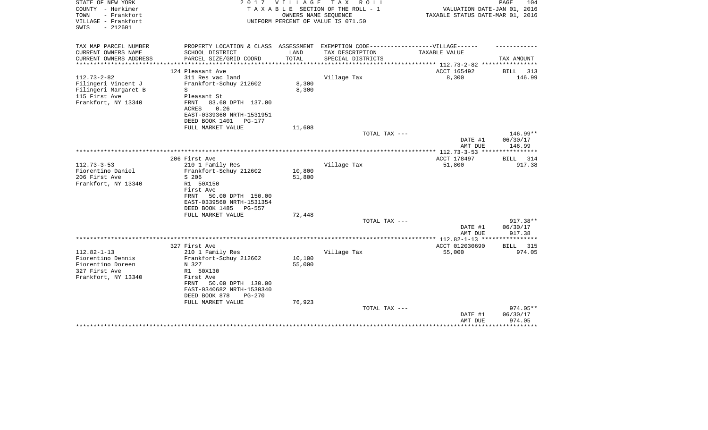| STATE OF NEW YORK<br>COUNTY - Herkimer<br>TOWN<br>- Frankfort<br>VILLAGE - Frankfort<br>$-212601$<br>SWIS | 2017                                                                              | <b>VILLAGE</b> | T A X<br>R O L L<br>TAXABLE SECTION OF THE ROLL - 1<br>OWNERS NAME SEQUENCE<br>UNIFORM PERCENT OF VALUE IS 071.50 | VALUATION DATE-JAN 01, 2016<br>TAXABLE STATUS DATE-MAR 01, 2016 | PAGE<br>104           |
|-----------------------------------------------------------------------------------------------------------|-----------------------------------------------------------------------------------|----------------|-------------------------------------------------------------------------------------------------------------------|-----------------------------------------------------------------|-----------------------|
| TAX MAP PARCEL NUMBER                                                                                     | PROPERTY LOCATION & CLASS ASSESSMENT EXEMPTION CODE-----------------VILLAGE------ |                |                                                                                                                   |                                                                 |                       |
| CURRENT OWNERS NAME                                                                                       | SCHOOL DISTRICT                                                                   | LAND           | TAX DESCRIPTION                                                                                                   | TAXABLE VALUE                                                   |                       |
| CURRENT OWNERS ADDRESS<br>*********************                                                           | PARCEL SIZE/GRID COORD                                                            | TOTAL          | SPECIAL DISTRICTS                                                                                                 | ***************** 112.73-2-82 *****************                 | TAX AMOUNT            |
|                                                                                                           | 124 Pleasant Ave                                                                  |                |                                                                                                                   | ACCT 165492                                                     | BILL<br>313           |
| $112.73 - 2 - 82$                                                                                         | 311 Res vac land                                                                  |                | Village Tax                                                                                                       | 8,300                                                           | 146.99                |
| Filingeri Vincent J                                                                                       | Frankfort-Schuy 212602                                                            | 8,300          |                                                                                                                   |                                                                 |                       |
| Filingeri Margaret B                                                                                      | S                                                                                 | 8,300          |                                                                                                                   |                                                                 |                       |
| 115 First Ave                                                                                             | Pleasant St                                                                       |                |                                                                                                                   |                                                                 |                       |
| Frankfort, NY 13340                                                                                       | <b>FRNT</b><br>83.60 DPTH 137.00                                                  |                |                                                                                                                   |                                                                 |                       |
|                                                                                                           | ACRES<br>0.26                                                                     |                |                                                                                                                   |                                                                 |                       |
|                                                                                                           | EAST-0339360 NRTH-1531951                                                         |                |                                                                                                                   |                                                                 |                       |
|                                                                                                           | DEED BOOK 1401<br>PG-177                                                          |                |                                                                                                                   |                                                                 |                       |
|                                                                                                           | FULL MARKET VALUE                                                                 | 11,608         | TOTAL TAX ---                                                                                                     |                                                                 | 146.99**              |
|                                                                                                           |                                                                                   |                |                                                                                                                   | DATE #1                                                         | 06/30/17              |
|                                                                                                           |                                                                                   |                |                                                                                                                   | AMT DUE                                                         | 146.99                |
|                                                                                                           |                                                                                   |                |                                                                                                                   | *************** 112.73-3-53 ****                                |                       |
|                                                                                                           | 206 First Ave                                                                     |                |                                                                                                                   | ACCT 178497                                                     | 314<br>BILL           |
| $112.73 - 3 - 53$                                                                                         | 210 1 Family Res                                                                  |                | Village Tax                                                                                                       | 51,800                                                          | 917.38                |
| Fiorentino Daniel                                                                                         | Frankfort-Schuy 212602                                                            | 10,800         |                                                                                                                   |                                                                 |                       |
| 206 First Ave                                                                                             | S 206                                                                             | 51,800         |                                                                                                                   |                                                                 |                       |
| Frankfort, NY 13340                                                                                       | R1 50X150                                                                         |                |                                                                                                                   |                                                                 |                       |
|                                                                                                           | First Ave<br>50.00 DPTH 150.00<br>FRNT                                            |                |                                                                                                                   |                                                                 |                       |
|                                                                                                           | EAST-0339560 NRTH-1531354                                                         |                |                                                                                                                   |                                                                 |                       |
|                                                                                                           | DEED BOOK 1485<br>PG-557                                                          |                |                                                                                                                   |                                                                 |                       |
|                                                                                                           | FULL MARKET VALUE                                                                 | 72,448         |                                                                                                                   |                                                                 |                       |
|                                                                                                           |                                                                                   |                | TOTAL TAX ---                                                                                                     |                                                                 | 917.38**              |
|                                                                                                           |                                                                                   |                |                                                                                                                   | DATE #1                                                         | 06/30/17              |
|                                                                                                           |                                                                                   |                |                                                                                                                   | AMT DUE                                                         | 917.38                |
|                                                                                                           |                                                                                   |                |                                                                                                                   |                                                                 |                       |
| $112.82 - 1 - 13$                                                                                         | 327 First Ave<br>210 1 Family Res                                                 |                | Village Tax                                                                                                       | ACCT 012030690                                                  | 315<br>BILL<br>974.05 |
| Fiorentino Dennis                                                                                         | Frankfort-Schuy 212602                                                            | 10,100         |                                                                                                                   | 55,000                                                          |                       |
| Fiorentino Doreen                                                                                         | N 327                                                                             | 55,000         |                                                                                                                   |                                                                 |                       |
| 327 First Ave                                                                                             | R1 50X130                                                                         |                |                                                                                                                   |                                                                 |                       |
| Frankfort, NY 13340                                                                                       | First Ave                                                                         |                |                                                                                                                   |                                                                 |                       |
|                                                                                                           | 50.00 DPTH 130.00<br>FRNT                                                         |                |                                                                                                                   |                                                                 |                       |
|                                                                                                           | EAST-0340682 NRTH-1530340                                                         |                |                                                                                                                   |                                                                 |                       |
|                                                                                                           | DEED BOOK 878<br>$PG-270$                                                         |                |                                                                                                                   |                                                                 |                       |
|                                                                                                           | FULL MARKET VALUE                                                                 | 76,923         |                                                                                                                   |                                                                 |                       |
|                                                                                                           |                                                                                   |                | TOTAL TAX ---                                                                                                     |                                                                 | $974.05**$            |
|                                                                                                           |                                                                                   |                |                                                                                                                   | DATE #1<br>AMT DUE                                              | 06/30/17<br>974.05    |
|                                                                                                           |                                                                                   |                |                                                                                                                   |                                                                 | * * * * * * * * *     |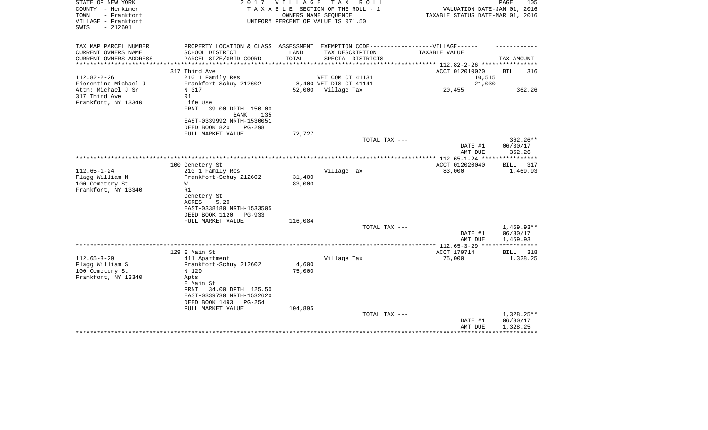| STATE OF NEW YORK<br>COUNTY - Herkimer<br>TOWN<br>- Frankfort<br>VILLAGE - Frankfort<br>$-212601$<br>SWIS | 2017                                                                                                                                  | V I L L A G E    | T A X<br>R O L L<br>TAXABLE SECTION OF THE ROLL - 1<br>OWNERS NAME SEOUENCE<br>UNIFORM PERCENT OF VALUE IS 071.50 | VALUATION DATE-JAN 01, 2016<br>TAXABLE STATUS DATE-MAR 01, 2016 | PAGE<br>105                          |
|-----------------------------------------------------------------------------------------------------------|---------------------------------------------------------------------------------------------------------------------------------------|------------------|-------------------------------------------------------------------------------------------------------------------|-----------------------------------------------------------------|--------------------------------------|
| TAX MAP PARCEL NUMBER<br>CURRENT OWNERS NAME<br>CURRENT OWNERS ADDRESS                                    | PROPERTY LOCATION & CLASS ASSESSMENT<br>SCHOOL DISTRICT<br>PARCEL SIZE/GRID COORD                                                     | LAND<br>TOTAL    | EXEMPTION CODE------------------VILLAGE------<br>TAX DESCRIPTION<br>SPECIAL DISTRICTS                             | TAXABLE VALUE                                                   | TAX AMOUNT                           |
| **********************                                                                                    |                                                                                                                                       |                  |                                                                                                                   |                                                                 |                                      |
| $112.82 - 2 - 26$<br>Fiorentino Michael J                                                                 | 317 Third Ave<br>210 1 Family Res<br>Frankfort-Schuy 212602                                                                           |                  | VET COM CT 41131<br>8,400 VET DIS CT 41141                                                                        | ACCT 012010020<br>10,515<br>21,030                              | <b>BILL</b><br>316                   |
| Attn: Michael J Sr<br>317 Third Ave<br>Frankfort, NY 13340                                                | N 317<br>R1<br>Life Use<br>FRNT<br>39.00 DPTH 150.00                                                                                  |                  | 52,000 Village Tax                                                                                                | 20,455                                                          | 362.26                               |
|                                                                                                           | BANK<br>135<br>EAST-0339992 NRTH-1530051<br>DEED BOOK 820<br>$PG-298$                                                                 |                  |                                                                                                                   |                                                                 |                                      |
|                                                                                                           | FULL MARKET VALUE                                                                                                                     | 72,727           |                                                                                                                   |                                                                 | $362.26**$                           |
|                                                                                                           |                                                                                                                                       |                  | TOTAL TAX ---                                                                                                     | DATE #1<br>AMT DUE                                              | 06/30/17<br>362.26                   |
|                                                                                                           |                                                                                                                                       |                  |                                                                                                                   |                                                                 |                                      |
| $112.65 - 1 - 24$<br>Flagg William M<br>100 Cemetery St<br>Frankfort, NY 13340                            | 100 Cemetery St<br>210 1 Family Res<br>Frankfort-Schuy 212602<br>W<br>R1<br>Cemetery St<br>ACRES<br>5.20<br>EAST-0338180 NRTH-1533505 | 31,400<br>83,000 | Village Tax                                                                                                       | ACCT 012020040<br>83,000                                        | <b>BILL</b><br>317<br>1,469.93       |
|                                                                                                           | DEED BOOK 1120<br>$PG-933$                                                                                                            |                  |                                                                                                                   |                                                                 |                                      |
|                                                                                                           | FULL MARKET VALUE                                                                                                                     | 116,084          | TOTAL TAX ---                                                                                                     | DATE #1<br>AMT DUE                                              | $1,469.93**$<br>06/30/17<br>1,469.93 |
|                                                                                                           |                                                                                                                                       |                  |                                                                                                                   | *********** 112.65-3-29 *********                               |                                      |
|                                                                                                           | 129 E Main St                                                                                                                         |                  |                                                                                                                   | ACCT 179714                                                     | BILL<br>318                          |
| $112.65 - 3 - 29$<br>Flagg William S<br>100 Cemetery St<br>Frankfort, NY 13340                            | 411 Apartment<br>Frankfort-Schuy 212602<br>N 129<br>Apts                                                                              | 4,600<br>75,000  | Village Tax                                                                                                       | 75,000                                                          | 1,328.25                             |
|                                                                                                           | E Main St<br>34.00 DPTH 125.50<br>FRNT<br>EAST-0339730 NRTH-1532620<br>DEED BOOK 1493<br><b>PG-254</b>                                |                  |                                                                                                                   |                                                                 |                                      |
|                                                                                                           | FULL MARKET VALUE                                                                                                                     | 104,895          |                                                                                                                   |                                                                 |                                      |
|                                                                                                           |                                                                                                                                       |                  | TOTAL TAX ---                                                                                                     | DATE #1<br>AMT DUE                                              | 1,328.25**<br>06/30/17<br>1,328.25   |
|                                                                                                           |                                                                                                                                       |                  |                                                                                                                   |                                                                 |                                      |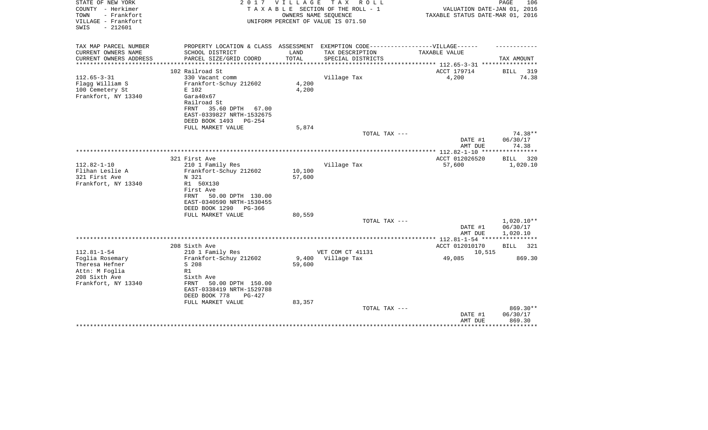| STATE OF NEW YORK<br>COUNTY - Herkimer                          | 2017                                                                              | V I L L A G E   | TAX ROLL<br>TAXABLE SECTION OF THE ROLL - 1                | VALUATION DATE-JAN 01, 2016                                    | PAGE<br>106         |
|-----------------------------------------------------------------|-----------------------------------------------------------------------------------|-----------------|------------------------------------------------------------|----------------------------------------------------------------|---------------------|
| TOWN<br>- Frankfort<br>VILLAGE - Frankfort<br>$-212601$<br>SWIS |                                                                                   |                 | OWNERS NAME SEQUENCE<br>UNIFORM PERCENT OF VALUE IS 071.50 | TAXABLE STATUS DATE-MAR 01, 2016                               |                     |
| TAX MAP PARCEL NUMBER                                           | PROPERTY LOCATION & CLASS ASSESSMENT EXEMPTION CODE-----------------VILLAGE------ |                 |                                                            |                                                                |                     |
| CURRENT OWNERS NAME                                             | SCHOOL DISTRICT                                                                   | LAND            | TAX DESCRIPTION                                            | TAXABLE VALUE                                                  |                     |
| CURRENT OWNERS ADDRESS<br>********************                  | PARCEL SIZE/GRID COORD                                                            | TOTAL           | SPECIAL DISTRICTS                                          |                                                                | TAX AMOUNT          |
|                                                                 | 102 Railroad St                                                                   |                 |                                                            | ***************** 112.65-3-31 *****************<br>ACCT 179714 | BILL<br>319         |
| $112.65 - 3 - 31$                                               | 330 Vacant comm                                                                   |                 | Village Tax                                                | 4,200                                                          | 74.38               |
| Flagg William S                                                 | Frankfort-Schuy 212602                                                            | 4,200           |                                                            |                                                                |                     |
| 100 Cemetery St                                                 | E 102                                                                             | 4,200           |                                                            |                                                                |                     |
| Frankfort, NY 13340                                             | Gara40x67                                                                         |                 |                                                            |                                                                |                     |
|                                                                 | Railroad St                                                                       |                 |                                                            |                                                                |                     |
|                                                                 | 35.60 DPTH 67.00<br>FRNT                                                          |                 |                                                            |                                                                |                     |
|                                                                 | EAST-0339827 NRTH-1532675                                                         |                 |                                                            |                                                                |                     |
|                                                                 | DEED BOOK 1493<br>PG-254                                                          |                 |                                                            |                                                                |                     |
|                                                                 | FULL MARKET VALUE                                                                 | 5,874           |                                                            |                                                                |                     |
|                                                                 |                                                                                   |                 | TOTAL TAX ---                                              | DATE #1                                                        | 74.38**<br>06/30/17 |
|                                                                 |                                                                                   |                 |                                                            | AMT DUE                                                        | 74.38               |
|                                                                 |                                                                                   |                 |                                                            |                                                                |                     |
|                                                                 | 321 First Ave                                                                     |                 |                                                            | ACCT 012026520                                                 | BILL 320            |
| $112.82 - 1 - 10$                                               | 210 1 Family Res                                                                  |                 | Village Tax                                                | 57,600                                                         | 1,020.10            |
| Flihan Leslie A                                                 | Frankfort-Schuy 212602                                                            | 10,100          |                                                            |                                                                |                     |
| 321 First Ave                                                   | N 321                                                                             | 57,600          |                                                            |                                                                |                     |
| Frankfort, NY 13340                                             | R1 50X130                                                                         |                 |                                                            |                                                                |                     |
|                                                                 | First Ave                                                                         |                 |                                                            |                                                                |                     |
|                                                                 | 50.00 DPTH 130.00<br>FRNT                                                         |                 |                                                            |                                                                |                     |
|                                                                 | EAST-0340590 NRTH-1530455<br>DEED BOOK 1290<br>PG-366                             |                 |                                                            |                                                                |                     |
|                                                                 | FULL MARKET VALUE                                                                 | 80,559          |                                                            |                                                                |                     |
|                                                                 |                                                                                   |                 | TOTAL TAX ---                                              |                                                                | $1,020.10**$        |
|                                                                 |                                                                                   |                 |                                                            | DATE #1                                                        | 06/30/17            |
|                                                                 |                                                                                   |                 |                                                            | AMT DUE                                                        | 1,020.10            |
|                                                                 |                                                                                   |                 |                                                            |                                                                |                     |
|                                                                 | 208 Sixth Ave                                                                     |                 |                                                            | ACCT 012010170                                                 | BILL 321            |
| $112.81 - 1 - 54$                                               | 210 1 Family Res                                                                  |                 | VET COM CT 41131                                           | 10,515                                                         |                     |
| Foglia Rosemary<br>Theresa Hefner                               | Frankfort-Schuy 212602<br>S 208                                                   | 9,400<br>59,600 | Village Tax                                                | 49,085                                                         | 869.30              |
| Attn: M Foglia                                                  | R1                                                                                |                 |                                                            |                                                                |                     |
| 208 Sixth Ave                                                   | Sixth Ave                                                                         |                 |                                                            |                                                                |                     |
| Frankfort, NY 13340                                             | FRNT<br>50.00 DPTH 150.00                                                         |                 |                                                            |                                                                |                     |
|                                                                 | EAST-0338419 NRTH-1529788                                                         |                 |                                                            |                                                                |                     |
|                                                                 | DEED BOOK 778<br>$PG-427$                                                         |                 |                                                            |                                                                |                     |
|                                                                 | FULL MARKET VALUE                                                                 | 83,357          |                                                            |                                                                |                     |
|                                                                 |                                                                                   |                 | TOTAL TAX ---                                              |                                                                | 869.30**            |
|                                                                 |                                                                                   |                 |                                                            | DATE #1                                                        | 06/30/17            |
|                                                                 |                                                                                   |                 |                                                            | AMT DUE                                                        | 869.30<br>********  |
|                                                                 |                                                                                   |                 |                                                            |                                                                |                     |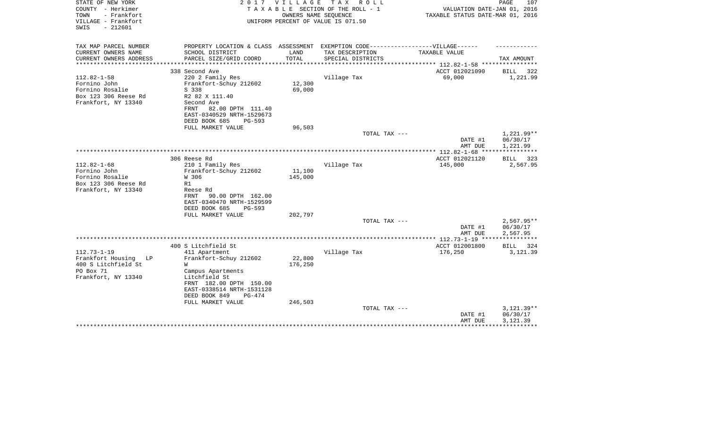| STATE OF NEW YORK<br>COUNTY - Herkimer<br>TOWN<br>- Frankfort<br>VILLAGE - Frankfort<br>$-212601$<br>SWIS | 2017                                                                              | V I L L A G E | TAX ROLL<br>TAXABLE SECTION OF THE ROLL - 1<br>OWNERS NAME SEQUENCE<br>UNIFORM PERCENT OF VALUE IS 071.50 | VALUATION DATE-JAN 01, 2016<br>TAXABLE STATUS DATE-MAR 01, 2016 | PAGE<br>107          |
|-----------------------------------------------------------------------------------------------------------|-----------------------------------------------------------------------------------|---------------|-----------------------------------------------------------------------------------------------------------|-----------------------------------------------------------------|----------------------|
| TAX MAP PARCEL NUMBER                                                                                     | PROPERTY LOCATION & CLASS ASSESSMENT EXEMPTION CODE-----------------VILLAGE------ |               |                                                                                                           |                                                                 |                      |
| CURRENT OWNERS NAME                                                                                       | SCHOOL DISTRICT                                                                   | LAND          | TAX DESCRIPTION                                                                                           | TAXABLE VALUE                                                   |                      |
| CURRENT OWNERS ADDRESS<br>**********************                                                          | PARCEL SIZE/GRID COORD                                                            | TOTAL         | SPECIAL DISTRICTS                                                                                         | **************************** 112.82-1-58 ****************       | TAX AMOUNT           |
|                                                                                                           | 338 Second Ave                                                                    |               |                                                                                                           | ACCT 012021090                                                  | <b>BILL</b><br>322   |
| $112.82 - 1 - 58$                                                                                         | 220 2 Family Res                                                                  |               | Village Tax                                                                                               | 69,000                                                          | 1,221.99             |
| Fornino John                                                                                              | Frankfort-Schuy 212602                                                            | 12,300        |                                                                                                           |                                                                 |                      |
| Fornino Rosalie                                                                                           | S 338                                                                             | 69,000        |                                                                                                           |                                                                 |                      |
| Box 123 306 Reese Rd                                                                                      | R2 82 X 111.40                                                                    |               |                                                                                                           |                                                                 |                      |
| Frankfort, NY 13340                                                                                       | Second Ave                                                                        |               |                                                                                                           |                                                                 |                      |
|                                                                                                           | 82.00 DPTH 111.40<br>FRNT<br>EAST-0340529 NRTH-1529673                            |               |                                                                                                           |                                                                 |                      |
|                                                                                                           | DEED BOOK 685<br>PG-593                                                           |               |                                                                                                           |                                                                 |                      |
|                                                                                                           | FULL MARKET VALUE                                                                 | 96,503        |                                                                                                           |                                                                 |                      |
|                                                                                                           |                                                                                   |               | TOTAL TAX ---                                                                                             |                                                                 | 1,221.99**           |
|                                                                                                           |                                                                                   |               |                                                                                                           | DATE #1                                                         | 06/30/17             |
|                                                                                                           |                                                                                   |               |                                                                                                           | AMT DUE                                                         | 1,221.99             |
|                                                                                                           |                                                                                   |               |                                                                                                           |                                                                 | ************         |
| $112.82 - 1 - 68$                                                                                         | 306 Reese Rd<br>210 1 Family Res                                                  |               | Village Tax                                                                                               | ACCT 012021120<br>145,000                                       | BILL 323<br>2,567.95 |
| Fornino John                                                                                              | Frankfort-Schuy 212602                                                            | 11,100        |                                                                                                           |                                                                 |                      |
| Fornino Rosalie                                                                                           | W 306                                                                             | 145,000       |                                                                                                           |                                                                 |                      |
| Box 123 306 Reese Rd                                                                                      | R1                                                                                |               |                                                                                                           |                                                                 |                      |
| Frankfort, NY 13340                                                                                       | Reese Rd                                                                          |               |                                                                                                           |                                                                 |                      |
|                                                                                                           | 90.00 DPTH 162.00<br>FRNT                                                         |               |                                                                                                           |                                                                 |                      |
|                                                                                                           | EAST-0340470 NRTH-1529599                                                         |               |                                                                                                           |                                                                 |                      |
|                                                                                                           | DEED BOOK 685<br>$PG-593$                                                         |               |                                                                                                           |                                                                 |                      |
|                                                                                                           | FULL MARKET VALUE                                                                 | 202,797       |                                                                                                           |                                                                 |                      |
|                                                                                                           |                                                                                   |               | TOTAL TAX ---                                                                                             |                                                                 | $2,567.95**$         |
|                                                                                                           |                                                                                   |               |                                                                                                           | DATE #1<br>AMT DUE                                              | 06/30/17<br>2,567.95 |
|                                                                                                           |                                                                                   |               |                                                                                                           |                                                                 | ************         |
|                                                                                                           | 400 S Litchfield St                                                               |               |                                                                                                           | ACCT 012001800                                                  | BILL<br>324          |
| $112.73 - 1 - 19$                                                                                         | 411 Apartment                                                                     |               | Village Tax                                                                                               | 176,250                                                         | 3,121.39             |
| Frankfort Housing LP                                                                                      | Frankfort-Schuy 212602                                                            | 22,800        |                                                                                                           |                                                                 |                      |
| 400 S Litchfield St                                                                                       | W                                                                                 | 176,250       |                                                                                                           |                                                                 |                      |
| PO Box 71                                                                                                 | Campus Apartments                                                                 |               |                                                                                                           |                                                                 |                      |
| Frankfort, NY 13340                                                                                       | Litchfield St                                                                     |               |                                                                                                           |                                                                 |                      |
|                                                                                                           | FRNT 182.00 DPTH 150.00<br>EAST-0338514 NRTH-1531128                              |               |                                                                                                           |                                                                 |                      |
|                                                                                                           | DEED BOOK 849<br>$PG-474$                                                         |               |                                                                                                           |                                                                 |                      |
|                                                                                                           | FULL MARKET VALUE                                                                 | 246,503       |                                                                                                           |                                                                 |                      |
|                                                                                                           |                                                                                   |               | TOTAL TAX ---                                                                                             |                                                                 | $3,121.39**$         |
|                                                                                                           |                                                                                   |               |                                                                                                           | DATE #1                                                         | 06/30/17             |
|                                                                                                           |                                                                                   |               |                                                                                                           | AMT DUE                                                         | 3,121.39             |
|                                                                                                           |                                                                                   |               |                                                                                                           |                                                                 |                      |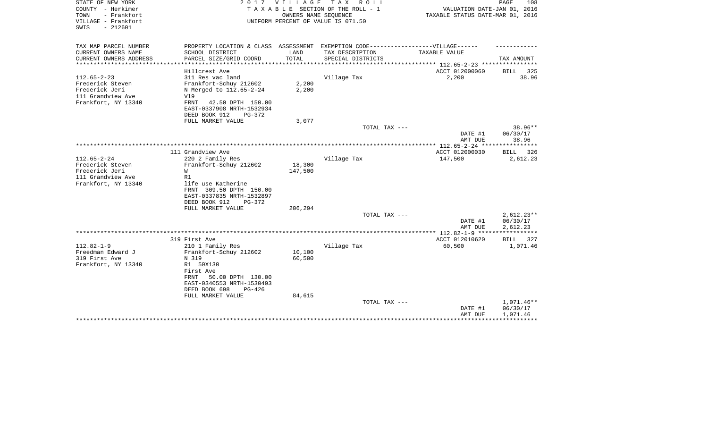| TAX MAP PARCEL NUMBER<br>PROPERTY LOCATION & CLASS ASSESSMENT EXEMPTION CODE-----------------VILLAGE------<br>CURRENT OWNERS NAME<br>SCHOOL DISTRICT<br>LAND<br>TAX DESCRIPTION<br>TAXABLE VALUE<br>TOTAL<br>CURRENT OWNERS ADDRESS<br>PARCEL SIZE/GRID COORD<br>SPECIAL DISTRICTS<br>TAX AMOUNT<br>*********** 112.65-2-23 ************<br>ACCT 012000060<br>Hillcrest Ave<br><b>BILL</b><br>$112.65 - 2 - 23$<br>311 Res vac land<br>Village Tax<br>2,200<br>Frederick Steven<br>Frankfort-Schuy 212602<br>2,200<br>Frederick Jeri<br>2,200<br>N Merged to 112.65-2-24<br>111 Grandview Ave<br>V19<br>Frankfort, NY 13340<br>FRNT<br>42.50 DPTH 150.00<br>EAST-0337908 NRTH-1532934<br>DEED BOOK 912<br>PG-372<br>3,077<br>FULL MARKET VALUE | 108<br>VALUATION DATE-JAN 01, 2016<br>TAXABLE STATUS DATE-MAR 01, 2016 |
|------------------------------------------------------------------------------------------------------------------------------------------------------------------------------------------------------------------------------------------------------------------------------------------------------------------------------------------------------------------------------------------------------------------------------------------------------------------------------------------------------------------------------------------------------------------------------------------------------------------------------------------------------------------------------------------------------------------------------------------------|------------------------------------------------------------------------|
|                                                                                                                                                                                                                                                                                                                                                                                                                                                                                                                                                                                                                                                                                                                                                |                                                                        |
|                                                                                                                                                                                                                                                                                                                                                                                                                                                                                                                                                                                                                                                                                                                                                |                                                                        |
|                                                                                                                                                                                                                                                                                                                                                                                                                                                                                                                                                                                                                                                                                                                                                |                                                                        |
|                                                                                                                                                                                                                                                                                                                                                                                                                                                                                                                                                                                                                                                                                                                                                | 325                                                                    |
|                                                                                                                                                                                                                                                                                                                                                                                                                                                                                                                                                                                                                                                                                                                                                | 38.96                                                                  |
|                                                                                                                                                                                                                                                                                                                                                                                                                                                                                                                                                                                                                                                                                                                                                |                                                                        |
|                                                                                                                                                                                                                                                                                                                                                                                                                                                                                                                                                                                                                                                                                                                                                |                                                                        |
|                                                                                                                                                                                                                                                                                                                                                                                                                                                                                                                                                                                                                                                                                                                                                |                                                                        |
|                                                                                                                                                                                                                                                                                                                                                                                                                                                                                                                                                                                                                                                                                                                                                |                                                                        |
|                                                                                                                                                                                                                                                                                                                                                                                                                                                                                                                                                                                                                                                                                                                                                |                                                                        |
|                                                                                                                                                                                                                                                                                                                                                                                                                                                                                                                                                                                                                                                                                                                                                |                                                                        |
| $38.96**$<br>TOTAL TAX ---                                                                                                                                                                                                                                                                                                                                                                                                                                                                                                                                                                                                                                                                                                                     |                                                                        |
| DATE #1<br>06/30/17                                                                                                                                                                                                                                                                                                                                                                                                                                                                                                                                                                                                                                                                                                                            |                                                                        |
| AMT DUE<br>38.96<br>***********                                                                                                                                                                                                                                                                                                                                                                                                                                                                                                                                                                                                                                                                                                                |                                                                        |
| 111 Grandview Ave<br>ACCT 012000030<br>326<br>BILL                                                                                                                                                                                                                                                                                                                                                                                                                                                                                                                                                                                                                                                                                             |                                                                        |
| $112.65 - 2 - 24$<br>Village Tax<br>147,500<br>2,612.23<br>220 2 Family Res                                                                                                                                                                                                                                                                                                                                                                                                                                                                                                                                                                                                                                                                    |                                                                        |
| Frederick Steven<br>18,300<br>Frankfort-Schuy 212602                                                                                                                                                                                                                                                                                                                                                                                                                                                                                                                                                                                                                                                                                           |                                                                        |
| Frederick Jeri<br>W<br>147,500                                                                                                                                                                                                                                                                                                                                                                                                                                                                                                                                                                                                                                                                                                                 |                                                                        |
| 111 Grandview Ave<br>R1                                                                                                                                                                                                                                                                                                                                                                                                                                                                                                                                                                                                                                                                                                                        |                                                                        |
| Frankfort, NY 13340<br>life use Katherine<br>FRNT 309.50 DPTH 150.00                                                                                                                                                                                                                                                                                                                                                                                                                                                                                                                                                                                                                                                                           |                                                                        |
| EAST-0337835 NRTH-1532897                                                                                                                                                                                                                                                                                                                                                                                                                                                                                                                                                                                                                                                                                                                      |                                                                        |
| DEED BOOK 912<br>PG-372                                                                                                                                                                                                                                                                                                                                                                                                                                                                                                                                                                                                                                                                                                                        |                                                                        |
| FULL MARKET VALUE<br>206,294                                                                                                                                                                                                                                                                                                                                                                                                                                                                                                                                                                                                                                                                                                                   |                                                                        |
| TOTAL TAX ---<br>$2,612.23**$                                                                                                                                                                                                                                                                                                                                                                                                                                                                                                                                                                                                                                                                                                                  |                                                                        |
| 06/30/17<br>DATE #1                                                                                                                                                                                                                                                                                                                                                                                                                                                                                                                                                                                                                                                                                                                            |                                                                        |
| 2,612.23<br>AMT DUE<br>* * * * * * * * * * *                                                                                                                                                                                                                                                                                                                                                                                                                                                                                                                                                                                                                                                                                                   |                                                                        |
| 319 First Ave<br>ACCT 012010620<br><b>BILL</b>                                                                                                                                                                                                                                                                                                                                                                                                                                                                                                                                                                                                                                                                                                 | 327                                                                    |
| $112.82 - 1 - 9$<br>Village Tax<br>60,500<br>1,071.46<br>210 1 Family Res                                                                                                                                                                                                                                                                                                                                                                                                                                                                                                                                                                                                                                                                      |                                                                        |
| Freedman Edward J<br>10,100<br>Frankfort-Schuy 212602                                                                                                                                                                                                                                                                                                                                                                                                                                                                                                                                                                                                                                                                                          |                                                                        |
| 319 First Ave<br>N 319<br>60,500                                                                                                                                                                                                                                                                                                                                                                                                                                                                                                                                                                                                                                                                                                               |                                                                        |
| Frankfort, NY 13340<br>R1 50X130                                                                                                                                                                                                                                                                                                                                                                                                                                                                                                                                                                                                                                                                                                               |                                                                        |
| First Ave<br>50.00 DPTH 130.00<br>FRNT                                                                                                                                                                                                                                                                                                                                                                                                                                                                                                                                                                                                                                                                                                         |                                                                        |
| EAST-0340553 NRTH-1530493                                                                                                                                                                                                                                                                                                                                                                                                                                                                                                                                                                                                                                                                                                                      |                                                                        |
| DEED BOOK 698<br>PG-426                                                                                                                                                                                                                                                                                                                                                                                                                                                                                                                                                                                                                                                                                                                        |                                                                        |
| FULL MARKET VALUE<br>84,615                                                                                                                                                                                                                                                                                                                                                                                                                                                                                                                                                                                                                                                                                                                    |                                                                        |
| 1,071.46**<br>TOTAL TAX ---                                                                                                                                                                                                                                                                                                                                                                                                                                                                                                                                                                                                                                                                                                                    |                                                                        |
| 06/30/17<br>DATE #1                                                                                                                                                                                                                                                                                                                                                                                                                                                                                                                                                                                                                                                                                                                            |                                                                        |
| AMT DUE<br>1,071.46                                                                                                                                                                                                                                                                                                                                                                                                                                                                                                                                                                                                                                                                                                                            |                                                                        |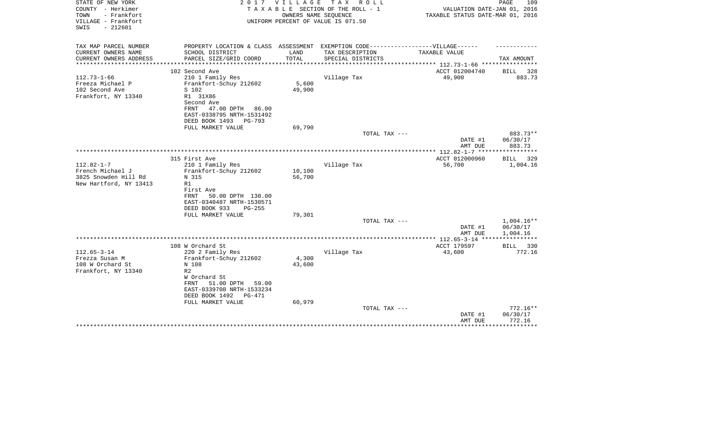| STATE OF NEW YORK<br>COUNTY - Herkimer<br>TOWN<br>- Frankfort<br>VILLAGE - Frankfort<br>$-212601$<br>SWIS | 2017                                                                                                                                                                                               | <b>VILLAGE</b>                 | T A X<br>R O L L<br>TAXABLE SECTION OF THE ROLL - 1<br>OWNERS NAME SEQUENCE<br>UNIFORM PERCENT OF VALUE IS 071.50 | VALUATION DATE-JAN 01, 2016<br>TAXABLE STATUS DATE-MAR 01, 2016 | PAGE<br>109                                           |
|-----------------------------------------------------------------------------------------------------------|----------------------------------------------------------------------------------------------------------------------------------------------------------------------------------------------------|--------------------------------|-------------------------------------------------------------------------------------------------------------------|-----------------------------------------------------------------|-------------------------------------------------------|
| TAX MAP PARCEL NUMBER                                                                                     | PROPERTY LOCATION & CLASS ASSESSMENT EXEMPTION CODE-----------------VILLAGE------                                                                                                                  |                                |                                                                                                                   |                                                                 |                                                       |
| CURRENT OWNERS NAME<br>CURRENT OWNERS ADDRESS<br>*******************                                      | SCHOOL DISTRICT<br>PARCEL SIZE/GRID COORD<br>***************************                                                                                                                           | LAND<br>TOTAL<br>************* | TAX DESCRIPTION<br>SPECIAL DISTRICTS                                                                              | TAXABLE VALUE<br>**************** 112.73-1-66 ***************** | TAX AMOUNT                                            |
|                                                                                                           | 102 Second Ave                                                                                                                                                                                     |                                |                                                                                                                   | ACCT 012004740                                                  | BILL<br>328                                           |
| $112.73 - 1 - 66$<br>Freeza Michael P<br>102 Second Ave<br>Frankfort, NY 13340                            | 210 1 Family Res<br>Frankfort-Schuy 212602<br>S 102<br>R1 31X86<br>Second Ave<br>47.00 DPTH 86.00<br>FRNT<br>EAST-0338795 NRTH-1531492                                                             | 5,600<br>49,900                | Village Tax                                                                                                       | 49,900                                                          | 883.73                                                |
|                                                                                                           | DEED BOOK 1493<br>PG-793<br>FULL MARKET VALUE                                                                                                                                                      | 69,790                         |                                                                                                                   |                                                                 |                                                       |
|                                                                                                           |                                                                                                                                                                                                    |                                | TOTAL TAX ---                                                                                                     |                                                                 | 883.73**                                              |
|                                                                                                           |                                                                                                                                                                                                    |                                |                                                                                                                   | DATE #1<br>AMT DUE                                              | 06/30/17<br>883.73                                    |
|                                                                                                           |                                                                                                                                                                                                    |                                |                                                                                                                   |                                                                 |                                                       |
| $112.82 - 1 - 7$<br>French Michael J<br>3825 Snowden Hill Rd<br>New Hartford, NY 13413                    | 315 First Ave<br>210 1 Family Res<br>Frankfort-Schuy 212602<br>N 315<br>R1<br>First Ave<br>FRNT<br>50.00 DPTH 130.00                                                                               | 10,100<br>56,700               | Village Tax                                                                                                       | ACCT 012000960<br>56,700                                        | 329<br>BILL<br>1,004.16                               |
|                                                                                                           | EAST-0340487 NRTH-1530571<br>DEED BOOK 933<br>$PG-255$<br>FULL MARKET VALUE                                                                                                                        | 79,301                         | TOTAL TAX ---                                                                                                     |                                                                 | 1,004.16**                                            |
|                                                                                                           |                                                                                                                                                                                                    |                                |                                                                                                                   | DATE #1<br>AMT DUE                                              | 06/30/17<br>1,004.16                                  |
|                                                                                                           |                                                                                                                                                                                                    |                                |                                                                                                                   |                                                                 | ************                                          |
|                                                                                                           | 108 W Orchard St                                                                                                                                                                                   |                                |                                                                                                                   | ACCT 179597                                                     | 330<br>BILL                                           |
| $112.65 - 3 - 14$<br>Frezza Susan M<br>108 W Orchard St<br>Frankfort, NY 13340                            | 220 2 Family Res<br>Frankfort-Schuy 212602<br>N 108<br>R <sub>2</sub><br>W Orchard St<br>51.00 DPTH<br>FRNT<br>59.00<br>EAST-0339708 NRTH-1533234<br>DEED BOOK 1492<br>PG-471<br>FULL MARKET VALUE | 4,300<br>43,600<br>60,979      | Village Tax                                                                                                       | 43,600                                                          | 772.16                                                |
|                                                                                                           |                                                                                                                                                                                                    |                                | TOTAL TAX ---                                                                                                     | DATE #1<br>AMT DUE                                              | $772.16**$<br>06/30/17<br>772.16<br>* * * * * * * * * |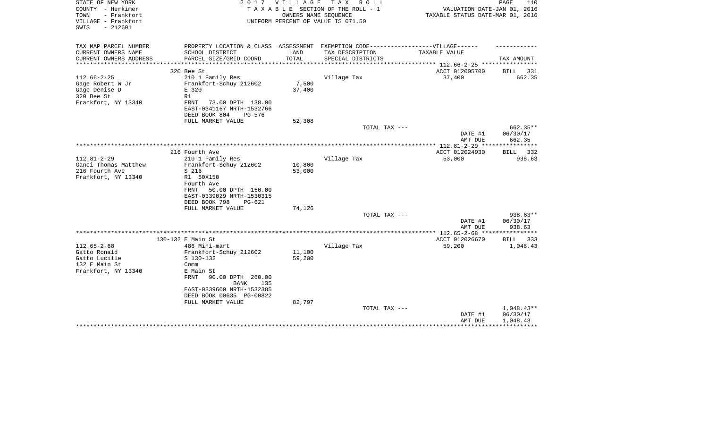| STATE OF NEW YORK<br>COUNTY - Herkimer<br>- Frankfort<br>TOWN<br>VILLAGE - Frankfort<br>$-212601$<br>SWIS |                                                                                                                                                                                                                            | 2017 VILLAGE<br>OWNERS NAME SEQUENCE | TAX ROLL<br>TAXABLE SECTION OF THE ROLL - 1<br>UNIFORM PERCENT OF VALUE IS 071.50 | VALUATION DATE-JAN 01, 2016<br>TAXABLE STATUS DATE-MAR 01, 2016 | PAGE<br>110                          |
|-----------------------------------------------------------------------------------------------------------|----------------------------------------------------------------------------------------------------------------------------------------------------------------------------------------------------------------------------|--------------------------------------|-----------------------------------------------------------------------------------|-----------------------------------------------------------------|--------------------------------------|
| TAX MAP PARCEL NUMBER<br>CURRENT OWNERS NAME                                                              | PROPERTY LOCATION & CLASS ASSESSMENT EXEMPTION CODE-----------------VILLAGE------<br>SCHOOL DISTRICT                                                                                                                       | LAND                                 | TAX DESCRIPTION                                                                   | TAXABLE VALUE                                                   |                                      |
| CURRENT OWNERS ADDRESS                                                                                    | PARCEL SIZE/GRID COORD                                                                                                                                                                                                     | TOTAL                                | SPECIAL DISTRICTS                                                                 |                                                                 | TAX AMOUNT                           |
| *******************                                                                                       |                                                                                                                                                                                                                            | *****************                    |                                                                                   | ************** 112.66-2-25 *****************                    |                                      |
|                                                                                                           | 320 Bee St                                                                                                                                                                                                                 |                                      |                                                                                   | ACCT 012005700                                                  | BILL 331                             |
| $112.66 - 2 - 25$<br>Gage Robert W Jr<br>Gage Denise D<br>320 Bee St<br>Frankfort, NY 13340               | 210 1 Family Res<br>Frankfort-Schuy 212602<br>E 320<br>R1<br>FRNT<br>73.00 DPTH 138.00<br>EAST-0341167 NRTH-1532766                                                                                                        | 7,500<br>37,400                      | Village Tax                                                                       | 37,400                                                          | 662.35                               |
|                                                                                                           | DEED BOOK 804<br>PG-576                                                                                                                                                                                                    |                                      |                                                                                   |                                                                 |                                      |
|                                                                                                           | FULL MARKET VALUE                                                                                                                                                                                                          | 52,308                               |                                                                                   |                                                                 |                                      |
|                                                                                                           |                                                                                                                                                                                                                            |                                      | TOTAL TAX ---                                                                     | DATE #1<br>AMT DUE                                              | 662.35**<br>06/30/17<br>662.35       |
|                                                                                                           |                                                                                                                                                                                                                            |                                      |                                                                                   | ********** 112.81-2-29 ****                                     | **********                           |
|                                                                                                           | 216 Fourth Ave                                                                                                                                                                                                             |                                      |                                                                                   | ACCT 012024930                                                  | 332<br>BILL                          |
| $112.81 - 2 - 29$<br>Ganci Thomas Matthew<br>216 Fourth Ave<br>Frankfort, NY 13340                        | 210 1 Family Res<br>Frankfort-Schuy 212602<br>S 216<br>R1 50X150<br>Fourth Ave<br>FRNT<br>50.00 DPTH 150.00<br>EAST-0339029 NRTH-1530315<br>DEED BOOK 798<br>PG-621<br>FULL MARKET VALUE                                   | 10,800<br>53,000<br>74,126           | Village Tax                                                                       | 53,000                                                          | 938.63                               |
|                                                                                                           |                                                                                                                                                                                                                            |                                      | TOTAL TAX ---                                                                     |                                                                 | $938.63**$                           |
|                                                                                                           |                                                                                                                                                                                                                            |                                      |                                                                                   | DATE #1<br>AMT DUE                                              | 06/30/17<br>938.63                   |
|                                                                                                           |                                                                                                                                                                                                                            |                                      |                                                                                   |                                                                 |                                      |
| $112.65 - 2 - 68$<br>Gatto Ronald<br>Gatto Lucille<br>132 E Main St<br>Frankfort, NY 13340                | 130-132 E Main St<br>486 Mini-mart<br>Frankfort-Schuy 212602<br>$S$ 130-132<br>Comm<br>E Main St<br>FRNT<br>90.00 DPTH 260.00<br>135<br>BANK<br>EAST-0339600 NRTH-1532385<br>DEED BOOK 00635 PG-00822<br>FULL MARKET VALUE | 11,100<br>59,200<br>82,797           | Village Tax                                                                       | ACCT 012026670<br>59,200                                        | BILL 333<br>1,048.43                 |
|                                                                                                           |                                                                                                                                                                                                                            |                                      | TOTAL TAX ---                                                                     | DATE #1<br>AMT DUE                                              | $1,048.43**$<br>06/30/17<br>1,048.43 |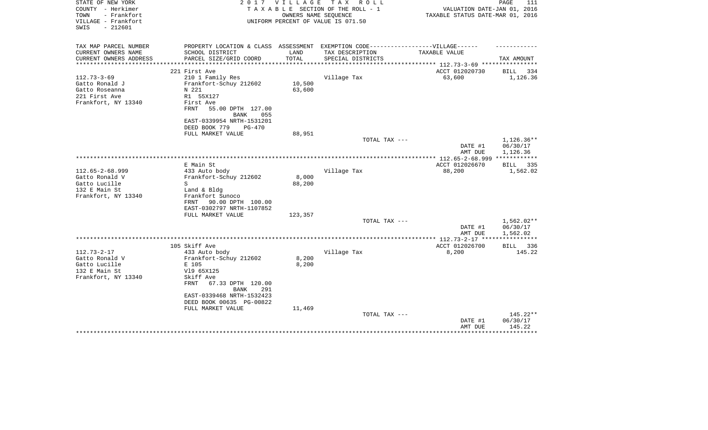| STATE OF NEW YORK                          | 2 0 1 7                                                                          | V I L L A G E | TAX ROLL                           |                                                            | PAGE<br>111          |
|--------------------------------------------|----------------------------------------------------------------------------------|---------------|------------------------------------|------------------------------------------------------------|----------------------|
| COUNTY - Herkimer                          |                                                                                  |               | TAXABLE SECTION OF THE ROLL - 1    | VALUATION DATE-JAN 01, 2016                                |                      |
| TOWN<br>- Frankfort<br>VILLAGE - Frankfort |                                                                                  |               | OWNERS NAME SEQUENCE               | TAXABLE STATUS DATE-MAR 01, 2016                           |                      |
| $-212601$<br>SWIS                          |                                                                                  |               | UNIFORM PERCENT OF VALUE IS 071.50 |                                                            |                      |
|                                            |                                                                                  |               |                                    |                                                            |                      |
|                                            |                                                                                  |               |                                    |                                                            |                      |
| TAX MAP PARCEL NUMBER                      | PROPERTY LOCATION & CLASS ASSESSMENT EXEMPTION CODE----------------VILLAGE------ |               |                                    |                                                            |                      |
| CURRENT OWNERS NAME                        | SCHOOL DISTRICT                                                                  | LAND          | TAX DESCRIPTION                    | TAXABLE VALUE                                              |                      |
| CURRENT OWNERS ADDRESS                     | PARCEL SIZE/GRID COORD                                                           | TOTAL         | SPECIAL DISTRICTS                  |                                                            | TAX AMOUNT           |
|                                            | 221 First Ave                                                                    |               |                                    | ***************** 112.73-3-69 **********<br>ACCT 012020730 | <b>BILL</b><br>-334  |
| $112.73 - 3 - 69$                          | 210 1 Family Res                                                                 |               | Village Tax                        | 63,600                                                     | 1,126.36             |
| Gatto Ronald J                             | Frankfort-Schuy 212602                                                           | 10,500        |                                    |                                                            |                      |
| Gatto Roseanna                             | N 221                                                                            | 63,600        |                                    |                                                            |                      |
| 221 First Ave                              | R1 55X127                                                                        |               |                                    |                                                            |                      |
| Frankfort, NY 13340                        | First Ave                                                                        |               |                                    |                                                            |                      |
|                                            | FRNT<br>55.00 DPTH 127.00                                                        |               |                                    |                                                            |                      |
|                                            | <b>BANK</b><br>055                                                               |               |                                    |                                                            |                      |
|                                            | EAST-0339954 NRTH-1531201                                                        |               |                                    |                                                            |                      |
|                                            | DEED BOOK 779<br>PG-470                                                          |               |                                    |                                                            |                      |
|                                            | FULL MARKET VALUE                                                                | 88,951        |                                    |                                                            |                      |
|                                            |                                                                                  |               | TOTAL TAX ---                      |                                                            | $1,126.36**$         |
|                                            |                                                                                  |               |                                    | DATE #1                                                    | 06/30/17             |
|                                            |                                                                                  |               |                                    | AMT DUE                                                    | 1,126.36             |
|                                            |                                                                                  |               |                                    | **************** 112.65-2-68.999 ************              |                      |
|                                            | E Main St                                                                        |               |                                    | ACCT 012026670                                             | BILL 335             |
| $112.65 - 2 - 68.999$                      | 433 Auto body                                                                    |               | Village Tax                        | 88,200                                                     | 1,562.02             |
| Gatto Ronald V                             | Frankfort-Schuy 212602                                                           | 8,000         |                                    |                                                            |                      |
| Gatto Lucille                              | S                                                                                | 88,200        |                                    |                                                            |                      |
| 132 E Main St                              | Land & Bldg                                                                      |               |                                    |                                                            |                      |
| Frankfort, NY 13340                        | Frankfort Sunoco                                                                 |               |                                    |                                                            |                      |
|                                            | FRNT 90.00 DPTH 100.00<br>EAST-0302797 NRTH-1107852                              |               |                                    |                                                            |                      |
|                                            | FULL MARKET VALUE                                                                | 123,357       |                                    |                                                            |                      |
|                                            |                                                                                  |               | TOTAL TAX ---                      |                                                            | 1,562.02**           |
|                                            |                                                                                  |               |                                    | DATE #1                                                    | 06/30/17             |
|                                            |                                                                                  |               |                                    | AMT DUE                                                    | 1,562.02             |
|                                            |                                                                                  |               |                                    | ****** 112.73-2-17 ****                                    | ***********          |
|                                            | 105 Skiff Ave                                                                    |               |                                    | ACCT 012026700                                             | BILL 336             |
| $112.73 - 2 - 17$                          | 433 Auto body                                                                    |               | Village Tax                        | 8,200                                                      | 145.22               |
| Gatto Ronald V                             | Frankfort-Schuy 212602                                                           | 8,200         |                                    |                                                            |                      |
| Gatto Lucille                              | E 105                                                                            | 8,200         |                                    |                                                            |                      |
| 132 E Main St                              | V19 65X125                                                                       |               |                                    |                                                            |                      |
| Frankfort, NY 13340                        | Skiff Ave                                                                        |               |                                    |                                                            |                      |
|                                            | 67.33 DPTH 120.00<br>FRNT                                                        |               |                                    |                                                            |                      |
|                                            | <b>BANK</b><br>291                                                               |               |                                    |                                                            |                      |
|                                            | EAST-0339468 NRTH-1532423                                                        |               |                                    |                                                            |                      |
|                                            | DEED BOOK 00635 PG-00822                                                         |               |                                    |                                                            |                      |
|                                            | FULL MARKET VALUE                                                                | 11,469        |                                    |                                                            |                      |
|                                            |                                                                                  |               | TOTAL TAX ---                      | DATE #1                                                    | 145.22**<br>06/30/17 |
|                                            |                                                                                  |               |                                    | AMT DUE                                                    | 145.22               |
|                                            |                                                                                  |               |                                    |                                                            |                      |
|                                            |                                                                                  |               |                                    |                                                            |                      |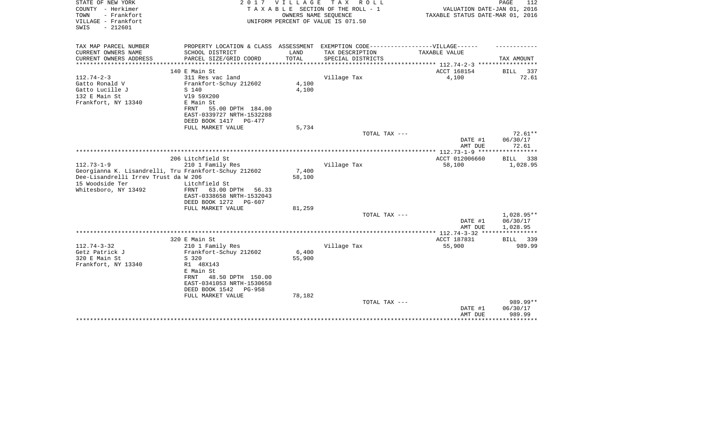| STATE OF NEW YORK<br>COUNTY - Herkimer<br>TOWN<br>- Frankfort<br>VILLAGE - Frankfort<br>$-212601$<br>SWIS | 2 0 1 7                                                                          | VILLAGE       | TAX ROLL<br>TAXABLE SECTION OF THE ROLL - 1<br>OWNERS NAME SEQUENCE<br>UNIFORM PERCENT OF VALUE IS 071.50 | VALUATION DATE-JAN 01, 2016<br>TAXABLE STATUS DATE-MAR 01, 2016 | 112<br>PAGE             |
|-----------------------------------------------------------------------------------------------------------|----------------------------------------------------------------------------------|---------------|-----------------------------------------------------------------------------------------------------------|-----------------------------------------------------------------|-------------------------|
| TAX MAP PARCEL NUMBER                                                                                     | PROPERTY LOCATION & CLASS ASSESSMENT EXEMPTION CODE----------------VILLAGE------ |               |                                                                                                           |                                                                 |                         |
| CURRENT OWNERS NAME                                                                                       | SCHOOL DISTRICT                                                                  | LAND<br>TOTAL | TAX DESCRIPTION                                                                                           | TAXABLE VALUE                                                   |                         |
| CURRENT OWNERS ADDRESS<br>********************                                                            | PARCEL SIZE/GRID COORD                                                           |               | SPECIAL DISTRICTS                                                                                         |                                                                 | TAX AMOUNT              |
|                                                                                                           | 140 E Main St                                                                    |               |                                                                                                           | ACCT 168154                                                     | 337<br>BILL             |
| $112.74 - 2 - 3$                                                                                          | 311 Res vac land                                                                 |               | Village Tax                                                                                               | 4,100                                                           | 72.61                   |
| Gatto Ronald V                                                                                            | Frankfort-Schuy 212602                                                           | 4,100         |                                                                                                           |                                                                 |                         |
| Gatto Lucille J                                                                                           | S 140                                                                            | 4,100         |                                                                                                           |                                                                 |                         |
| 132 E Main St                                                                                             | V19 59X200                                                                       |               |                                                                                                           |                                                                 |                         |
| Frankfort, NY 13340                                                                                       | E Main St                                                                        |               |                                                                                                           |                                                                 |                         |
|                                                                                                           | 55.00 DPTH 184.00<br>FRNT<br>EAST-0339727 NRTH-1532288                           |               |                                                                                                           |                                                                 |                         |
|                                                                                                           | DEED BOOK 1417<br>PG-477                                                         |               |                                                                                                           |                                                                 |                         |
|                                                                                                           | FULL MARKET VALUE                                                                | 5,734         |                                                                                                           |                                                                 |                         |
|                                                                                                           |                                                                                  |               | TOTAL TAX ---                                                                                             |                                                                 | $72.61**$               |
|                                                                                                           |                                                                                  |               |                                                                                                           | DATE #1<br>AMT DUE                                              | 06/30/17<br>72.61       |
|                                                                                                           |                                                                                  |               |                                                                                                           |                                                                 | **********              |
|                                                                                                           | 206 Litchfield St                                                                |               |                                                                                                           | ACCT 012006660                                                  | <b>BILL</b><br>338      |
| $112.73 - 1 - 9$                                                                                          | 210 1 Family Res                                                                 |               | Village Tax                                                                                               | 58,100                                                          | 1,028.95                |
| Georgianna K. Lisandrelli, Tru Frankfort-Schuy 212602<br>Dee-Lisandrelli Irrev Trust da W 206             |                                                                                  | 7,400         |                                                                                                           |                                                                 |                         |
| 15 Woodside Ter                                                                                           | Litchfield St                                                                    | 58,100        |                                                                                                           |                                                                 |                         |
| Whitesboro, NY 13492                                                                                      | FRNT<br>63.00 DPTH<br>56.33                                                      |               |                                                                                                           |                                                                 |                         |
|                                                                                                           | EAST-0338658 NRTH-1532043                                                        |               |                                                                                                           |                                                                 |                         |
|                                                                                                           | DEED BOOK 1272<br>PG-607                                                         |               |                                                                                                           |                                                                 |                         |
|                                                                                                           | FULL MARKET VALUE                                                                | 81,259        |                                                                                                           |                                                                 |                         |
|                                                                                                           |                                                                                  |               | TOTAL TAX ---                                                                                             |                                                                 | 1,028.95**              |
|                                                                                                           |                                                                                  |               |                                                                                                           | DATE #1                                                         | 06/30/17                |
|                                                                                                           |                                                                                  |               |                                                                                                           | AMT DUE                                                         | 1,028.95<br>*********** |
|                                                                                                           | 320 E Main St                                                                    |               |                                                                                                           | ACCT 187831                                                     | 339<br>BILL             |
| $112.74 - 3 - 32$                                                                                         | 210 1 Family Res                                                                 |               | Village Tax                                                                                               | 55,900                                                          | 989.99                  |
| Getz Patrick J                                                                                            | Frankfort-Schuy 212602                                                           | 6,400         |                                                                                                           |                                                                 |                         |
| 320 E Main St                                                                                             | S 320                                                                            | 55,900        |                                                                                                           |                                                                 |                         |
| Frankfort, NY 13340                                                                                       | R1 48X143                                                                        |               |                                                                                                           |                                                                 |                         |
|                                                                                                           | E Main St                                                                        |               |                                                                                                           |                                                                 |                         |
|                                                                                                           | 48.50 DPTH 150.00<br>FRNT                                                        |               |                                                                                                           |                                                                 |                         |
|                                                                                                           | EAST-0341053 NRTH-1530658<br>DEED BOOK 1542<br>PG-958                            |               |                                                                                                           |                                                                 |                         |
|                                                                                                           | FULL MARKET VALUE                                                                | 78,182        |                                                                                                           |                                                                 |                         |
|                                                                                                           |                                                                                  |               | TOTAL TAX ---                                                                                             |                                                                 | 989.99**                |
|                                                                                                           |                                                                                  |               |                                                                                                           | DATE #1                                                         | 06/30/17                |
|                                                                                                           |                                                                                  |               |                                                                                                           | AMT DUE                                                         | 989.99                  |
|                                                                                                           |                                                                                  |               |                                                                                                           |                                                                 |                         |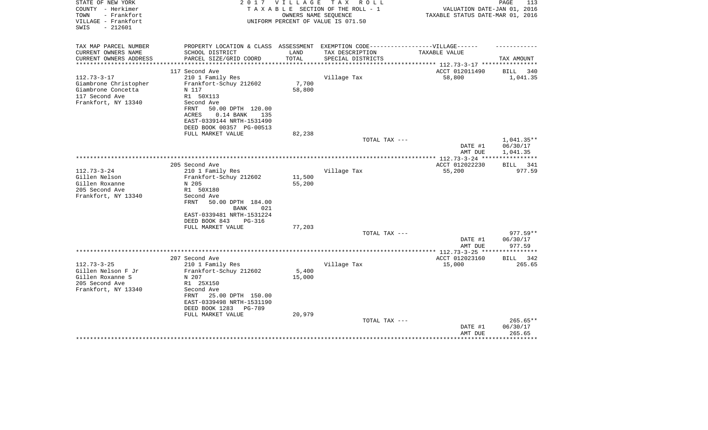| STATE OF NEW YORK<br>COUNTY - Herkimer<br>TOWN<br>- Frankfort<br>VILLAGE - Frankfort<br>SWIS<br>$-212601$ | 2017                                                                                                 | <b>VILLAGE</b> | T A X<br>R O L L<br>TAXABLE SECTION OF THE ROLL - 1<br>OWNERS NAME SEOUENCE<br>UNIFORM PERCENT OF VALUE IS 071.50 | VALUATION DATE-JAN 01, 2016<br>TAXABLE STATUS DATE-MAR 01, 2016 | PAGE<br>113           |
|-----------------------------------------------------------------------------------------------------------|------------------------------------------------------------------------------------------------------|----------------|-------------------------------------------------------------------------------------------------------------------|-----------------------------------------------------------------|-----------------------|
| TAX MAP PARCEL NUMBER<br>CURRENT OWNERS NAME                                                              | PROPERTY LOCATION & CLASS ASSESSMENT EXEMPTION CODE-----------------VILLAGE------<br>SCHOOL DISTRICT | LAND           | TAX DESCRIPTION                                                                                                   | TAXABLE VALUE                                                   |                       |
| CURRENT OWNERS ADDRESS                                                                                    | PARCEL SIZE/GRID COORD                                                                               | TOTAL          | SPECIAL DISTRICTS                                                                                                 |                                                                 | TAX AMOUNT            |
| **********************                                                                                    |                                                                                                      |                |                                                                                                                   |                                                                 |                       |
|                                                                                                           | 117 Second Ave                                                                                       |                |                                                                                                                   | ACCT 012011490                                                  | BILL<br>340           |
| $112.73 - 3 - 17$                                                                                         | 210 1 Family Res                                                                                     |                | Village Tax                                                                                                       | 58,800                                                          | 1,041.35              |
| Giambrone Christopher                                                                                     | Frankfort-Schuy 212602                                                                               | 7,700          |                                                                                                                   |                                                                 |                       |
| Giambrone Concetta                                                                                        | N 117                                                                                                | 58,800         |                                                                                                                   |                                                                 |                       |
| 117 Second Ave                                                                                            | R1 50X113                                                                                            |                |                                                                                                                   |                                                                 |                       |
| Frankfort, NY 13340                                                                                       | Second Ave<br>FRNT<br>50.00 DPTH 120.00                                                              |                |                                                                                                                   |                                                                 |                       |
|                                                                                                           | ACRES<br>$0.14$ BANK<br>135                                                                          |                |                                                                                                                   |                                                                 |                       |
|                                                                                                           | EAST-0339144 NRTH-1531490                                                                            |                |                                                                                                                   |                                                                 |                       |
|                                                                                                           | DEED BOOK 00357 PG-00513                                                                             |                |                                                                                                                   |                                                                 |                       |
|                                                                                                           | FULL MARKET VALUE                                                                                    | 82,238         |                                                                                                                   |                                                                 |                       |
|                                                                                                           |                                                                                                      |                | TOTAL TAX ---                                                                                                     |                                                                 | 1,041.35**            |
|                                                                                                           |                                                                                                      |                |                                                                                                                   | DATE #1                                                         | 06/30/17              |
|                                                                                                           |                                                                                                      |                |                                                                                                                   | AMT DUE                                                         | 1,041.35              |
|                                                                                                           |                                                                                                      |                |                                                                                                                   | **************** 112.73-3-24 *****************                  |                       |
| $112.73 - 3 - 24$                                                                                         | 205 Second Ave                                                                                       |                |                                                                                                                   | ACCT 012022230                                                  | BILL<br>341<br>977.59 |
| Gillen Nelson                                                                                             | 210 1 Family Res<br>Frankfort-Schuy 212602                                                           | 11,500         | Village Tax                                                                                                       | 55,200                                                          |                       |
| Gillen Roxanne                                                                                            | N 205                                                                                                | 55,200         |                                                                                                                   |                                                                 |                       |
| 205 Second Ave                                                                                            | R1 50X180                                                                                            |                |                                                                                                                   |                                                                 |                       |
| Frankfort, NY 13340                                                                                       | Second Ave                                                                                           |                |                                                                                                                   |                                                                 |                       |
|                                                                                                           | FRNT<br>50.00 DPTH 184.00                                                                            |                |                                                                                                                   |                                                                 |                       |
|                                                                                                           | <b>BANK</b><br>021                                                                                   |                |                                                                                                                   |                                                                 |                       |
|                                                                                                           | EAST-0339481 NRTH-1531224                                                                            |                |                                                                                                                   |                                                                 |                       |
|                                                                                                           | DEED BOOK 843<br><b>PG-316</b>                                                                       |                |                                                                                                                   |                                                                 |                       |
|                                                                                                           | FULL MARKET VALUE                                                                                    | 77,203         |                                                                                                                   |                                                                 |                       |
|                                                                                                           |                                                                                                      |                | TOTAL TAX ---                                                                                                     |                                                                 | $977.59**$            |
|                                                                                                           |                                                                                                      |                |                                                                                                                   | DATE #1<br>AMT DUE                                              | 06/30/17<br>977.59    |
|                                                                                                           |                                                                                                      |                |                                                                                                                   | **************** 112.73-3-25 ******                             | **********            |
|                                                                                                           | 207 Second Ave                                                                                       |                |                                                                                                                   | ACCT 012023160                                                  | BILL<br>342           |
| $112.73 - 3 - 25$                                                                                         | 210 1 Family Res                                                                                     |                | Village Tax                                                                                                       | 15,000                                                          | 265.65                |
| Gillen Nelson F Jr                                                                                        | Frankfort-Schuy 212602                                                                               | 5,400          |                                                                                                                   |                                                                 |                       |
| Gillen Roxanne S                                                                                          | N 207                                                                                                | 15,000         |                                                                                                                   |                                                                 |                       |
| 205 Second Ave                                                                                            | R1 25X150                                                                                            |                |                                                                                                                   |                                                                 |                       |
| Frankfort, NY 13340                                                                                       | Second Ave                                                                                           |                |                                                                                                                   |                                                                 |                       |
|                                                                                                           | 25.00 DPTH 150.00<br>FRNT                                                                            |                |                                                                                                                   |                                                                 |                       |
|                                                                                                           | EAST-0339498 NRTH-1531190                                                                            |                |                                                                                                                   |                                                                 |                       |
|                                                                                                           | DEED BOOK 1283<br><b>PG-789</b><br>FULL MARKET VALUE                                                 | 20,979         |                                                                                                                   |                                                                 |                       |
|                                                                                                           |                                                                                                      |                | TOTAL TAX ---                                                                                                     |                                                                 | $265.65**$            |
|                                                                                                           |                                                                                                      |                |                                                                                                                   | DATE #1                                                         | 06/30/17              |
|                                                                                                           |                                                                                                      |                |                                                                                                                   | AMT DUE                                                         | 265.65                |
|                                                                                                           |                                                                                                      |                |                                                                                                                   |                                                                 | ************          |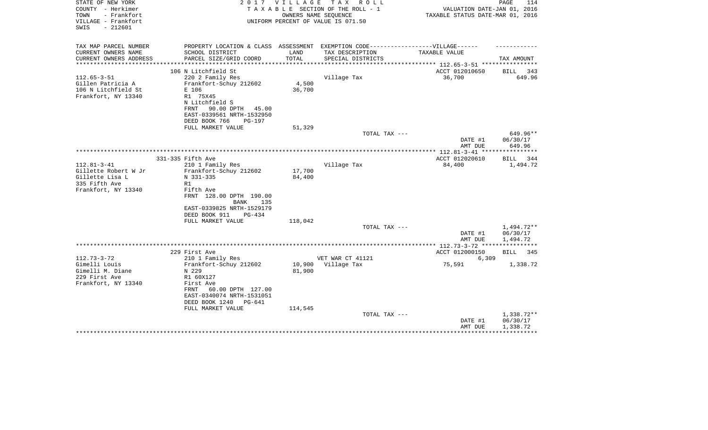| STATE OF NEW YORK<br>COUNTY - Herkimer<br>TOWN<br>- Frankfort<br>VILLAGE - Frankfort<br>$-212601$<br>SWIS | 2017                                                                              | V I L L A G E | T A X<br>R O L L<br>TAXABLE SECTION OF THE ROLL - 1<br>OWNERS NAME SEOUENCE<br>UNIFORM PERCENT OF VALUE IS 071.50 | VALUATION DATE-JAN 01, 2016<br>TAXABLE STATUS DATE-MAR 01, 2016 | PAGE<br>114          |
|-----------------------------------------------------------------------------------------------------------|-----------------------------------------------------------------------------------|---------------|-------------------------------------------------------------------------------------------------------------------|-----------------------------------------------------------------|----------------------|
| TAX MAP PARCEL NUMBER                                                                                     | PROPERTY LOCATION & CLASS ASSESSMENT EXEMPTION CODE-----------------VILLAGE------ |               |                                                                                                                   |                                                                 |                      |
| CURRENT OWNERS NAME<br>CURRENT OWNERS ADDRESS                                                             | SCHOOL DISTRICT<br>PARCEL SIZE/GRID COORD                                         | LAND<br>TOTAL | TAX DESCRIPTION<br>SPECIAL DISTRICTS                                                                              | TAXABLE VALUE                                                   | TAX AMOUNT           |
| **********************                                                                                    |                                                                                   |               |                                                                                                                   |                                                                 |                      |
|                                                                                                           | 106 N Litchfield St                                                               |               |                                                                                                                   | ACCT 012010650                                                  | BILL 343             |
| $112.65 - 3 - 51$<br>Gillen Patricia A                                                                    | 220 2 Family Res<br>Frankfort-Schuy 212602                                        | 4,500         | Village Tax                                                                                                       | 36,700                                                          | 649.96               |
| 106 N Litchfield St                                                                                       | E 106                                                                             | 36,700        |                                                                                                                   |                                                                 |                      |
| Frankfort, NY 13340                                                                                       | R1 75X45                                                                          |               |                                                                                                                   |                                                                 |                      |
|                                                                                                           | N Litchfield S                                                                    |               |                                                                                                                   |                                                                 |                      |
|                                                                                                           | FRNT<br>90.00 DPTH 45.00                                                          |               |                                                                                                                   |                                                                 |                      |
|                                                                                                           | EAST-0339561 NRTH-1532950                                                         |               |                                                                                                                   |                                                                 |                      |
|                                                                                                           | DEED BOOK 766<br>PG-197                                                           |               |                                                                                                                   |                                                                 |                      |
|                                                                                                           | FULL MARKET VALUE                                                                 | 51,329        | TOTAL TAX ---                                                                                                     |                                                                 | 649.96**             |
|                                                                                                           |                                                                                   |               |                                                                                                                   | DATE #1<br>AMT DUE                                              | 06/30/17<br>649.96   |
|                                                                                                           |                                                                                   |               |                                                                                                                   |                                                                 | ************         |
|                                                                                                           | 331-335 Fifth Ave                                                                 |               |                                                                                                                   | ACCT 012020610                                                  | 344<br>BILL          |
| $112.81 - 3 - 41$                                                                                         | 210 1 Family Res                                                                  |               | Village Tax                                                                                                       | 84,400                                                          | 1,494.72             |
| Gillette Robert W Jr                                                                                      | Frankfort-Schuy 212602                                                            | 17,700        |                                                                                                                   |                                                                 |                      |
| Gillette Lisa L                                                                                           | N 331-335                                                                         | 84,400        |                                                                                                                   |                                                                 |                      |
| 335 Fifth Ave<br>Frankfort, NY 13340                                                                      | R1<br>Fifth Ave                                                                   |               |                                                                                                                   |                                                                 |                      |
|                                                                                                           | FRNT 128.00 DPTH 190.00<br><b>BANK</b><br>135                                     |               |                                                                                                                   |                                                                 |                      |
|                                                                                                           | EAST-0339825 NRTH-1529179                                                         |               |                                                                                                                   |                                                                 |                      |
|                                                                                                           | DEED BOOK 911<br>$PG-434$                                                         |               |                                                                                                                   |                                                                 |                      |
|                                                                                                           | FULL MARKET VALUE                                                                 | 118,042       |                                                                                                                   |                                                                 |                      |
|                                                                                                           |                                                                                   |               | TOTAL TAX ---                                                                                                     |                                                                 | 1,494.72**           |
|                                                                                                           |                                                                                   |               |                                                                                                                   | DATE #1<br>AMT DUE                                              | 06/30/17<br>1,494.72 |
|                                                                                                           |                                                                                   |               |                                                                                                                   | **************** 112.73-3-72 *****************                  |                      |
|                                                                                                           | 229 First Ave                                                                     |               |                                                                                                                   | ACCT 012000150                                                  | BILL<br>345          |
| $112.73 - 3 - 72$                                                                                         | 210 1 Family Res                                                                  |               | VET WAR CT 41121                                                                                                  | 6,309                                                           |                      |
| Gimelli Louis                                                                                             | Frankfort-Schuy 212602                                                            | 10,900        | Village Tax                                                                                                       | 75,591                                                          | 1,338.72             |
| Gimelli M. Diane                                                                                          | N 229                                                                             | 81,900        |                                                                                                                   |                                                                 |                      |
| 229 First Ave                                                                                             | R1 60X127                                                                         |               |                                                                                                                   |                                                                 |                      |
| Frankfort, NY 13340                                                                                       | First Ave                                                                         |               |                                                                                                                   |                                                                 |                      |
|                                                                                                           | 60.00 DPTH 127.00<br>FRNT<br>EAST-0340074 NRTH-1531051                            |               |                                                                                                                   |                                                                 |                      |
|                                                                                                           | DEED BOOK 1240<br>PG-641                                                          |               |                                                                                                                   |                                                                 |                      |
|                                                                                                           | FULL MARKET VALUE                                                                 | 114,545       |                                                                                                                   |                                                                 |                      |
|                                                                                                           |                                                                                   |               | TOTAL TAX ---                                                                                                     |                                                                 | 1,338.72**           |
|                                                                                                           |                                                                                   |               |                                                                                                                   | DATE #1                                                         | 06/30/17             |
|                                                                                                           |                                                                                   |               |                                                                                                                   | AMT DUE                                                         | 1,338.72             |
|                                                                                                           |                                                                                   |               |                                                                                                                   |                                                                 |                      |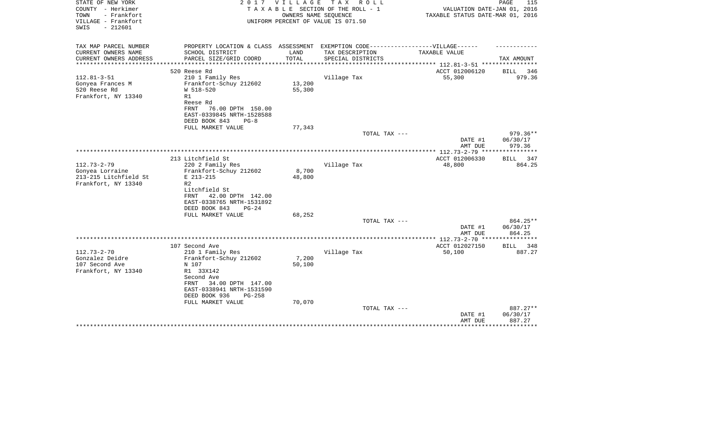| STATE OF NEW YORK<br>COUNTY - Herkimer<br>- Frankfort<br>TOWN<br>VILLAGE - Frankfort | 2017                                                                              | VILLAGE       | TAX ROLL<br>TAXABLE SECTION OF THE ROLL - 1<br>OWNERS NAME SEOUENCE | VALUATION DATE-JAN 01, 2016<br>TAXABLE STATUS DATE-MAR 01, 2016 | 115<br>PAGE          |
|--------------------------------------------------------------------------------------|-----------------------------------------------------------------------------------|---------------|---------------------------------------------------------------------|-----------------------------------------------------------------|----------------------|
| $-212601$<br>SWIS                                                                    |                                                                                   |               | UNIFORM PERCENT OF VALUE IS 071.50                                  |                                                                 |                      |
| TAX MAP PARCEL NUMBER                                                                | PROPERTY LOCATION & CLASS ASSESSMENT EXEMPTION CODE-----------------VILLAGE------ |               |                                                                     |                                                                 |                      |
| CURRENT OWNERS NAME<br>CURRENT OWNERS ADDRESS                                        | SCHOOL DISTRICT                                                                   | LAND<br>TOTAL | TAX DESCRIPTION                                                     | TAXABLE VALUE                                                   |                      |
| **********************                                                               | PARCEL SIZE/GRID COORD                                                            |               | SPECIAL DISTRICTS                                                   |                                                                 | TAX AMOUNT           |
|                                                                                      | 520 Reese Rd                                                                      |               |                                                                     | ACCT 012006120                                                  | BILL<br>346          |
| $112.81 - 3 - 51$                                                                    | 210 1 Family Res                                                                  |               | Village Tax                                                         | 55,300                                                          | 979.36               |
| Gonyea Frances M                                                                     | Frankfort-Schuy 212602                                                            | 13,200        |                                                                     |                                                                 |                      |
| 520 Reese Rd                                                                         | W 518-520                                                                         | 55,300        |                                                                     |                                                                 |                      |
| Frankfort, NY 13340                                                                  | R1<br>Reese Rd                                                                    |               |                                                                     |                                                                 |                      |
|                                                                                      | <b>FRNT</b><br>76.00 DPTH 150.00                                                  |               |                                                                     |                                                                 |                      |
|                                                                                      | EAST-0339845 NRTH-1528588                                                         |               |                                                                     |                                                                 |                      |
|                                                                                      | DEED BOOK 843<br>$PG-8$                                                           |               |                                                                     |                                                                 |                      |
|                                                                                      | FULL MARKET VALUE                                                                 | 77,343        |                                                                     |                                                                 |                      |
|                                                                                      |                                                                                   |               | TOTAL TAX ---                                                       |                                                                 | 979.36**             |
|                                                                                      |                                                                                   |               |                                                                     | DATE #1<br>AMT DUE                                              | 06/30/17<br>979.36   |
|                                                                                      |                                                                                   |               |                                                                     |                                                                 |                      |
|                                                                                      | 213 Litchfield St                                                                 |               |                                                                     | ACCT 012006330                                                  | BILL<br>347          |
| $112.73 - 2 - 79$                                                                    | 220 2 Family Res                                                                  |               | Village Tax                                                         | 48,800                                                          | 864.25               |
| Gonyea Lorraine                                                                      | Frankfort-Schuy 212602                                                            | 8,700         |                                                                     |                                                                 |                      |
| 213-215 Litchfield St                                                                | E 213-215                                                                         | 48,800        |                                                                     |                                                                 |                      |
| Frankfort, NY 13340                                                                  | R2<br>Litchfield St                                                               |               |                                                                     |                                                                 |                      |
|                                                                                      | 42.00 DPTH 142.00<br>FRNT                                                         |               |                                                                     |                                                                 |                      |
|                                                                                      | EAST-0338765 NRTH-1531892                                                         |               |                                                                     |                                                                 |                      |
|                                                                                      | DEED BOOK 843<br>$PG-24$                                                          |               |                                                                     |                                                                 |                      |
|                                                                                      | FULL MARKET VALUE                                                                 | 68,252        |                                                                     |                                                                 |                      |
|                                                                                      |                                                                                   |               | TOTAL TAX ---                                                       | DATE #1                                                         | 864.25**<br>06/30/17 |
|                                                                                      |                                                                                   |               |                                                                     | AMT DUE                                                         | 864.25               |
|                                                                                      |                                                                                   |               |                                                                     | *********** 112.73-2-70 ***                                     | * * * * * * * *      |
|                                                                                      | 107 Second Ave                                                                    |               |                                                                     | ACCT 012027150                                                  | <b>BILL</b><br>348   |
| $112.73 - 2 - 70$                                                                    | 210 1 Family Res                                                                  |               | Village Tax                                                         | 50,100                                                          | 887.27               |
| Gonzalez Deidre                                                                      | Frankfort-Schuy 212602                                                            | 7,200         |                                                                     |                                                                 |                      |
| 107 Second Ave<br>Frankfort, NY 13340                                                | N 107<br>R1 33X142                                                                | 50,100        |                                                                     |                                                                 |                      |
|                                                                                      | Second Ave                                                                        |               |                                                                     |                                                                 |                      |
|                                                                                      | 34.00 DPTH 147.00<br>FRNT                                                         |               |                                                                     |                                                                 |                      |
|                                                                                      | EAST-0338941 NRTH-1531590                                                         |               |                                                                     |                                                                 |                      |
|                                                                                      | DEED BOOK 936<br>$PG-258$                                                         |               |                                                                     |                                                                 |                      |
|                                                                                      | FULL MARKET VALUE                                                                 | 70,070        | TOTAL TAX ---                                                       |                                                                 | 887.27**             |
|                                                                                      |                                                                                   |               |                                                                     | DATE #1                                                         | 06/30/17             |
|                                                                                      |                                                                                   |               |                                                                     | AMT DUE                                                         | 887.27               |
|                                                                                      |                                                                                   |               |                                                                     |                                                                 | * * * * * * * * *    |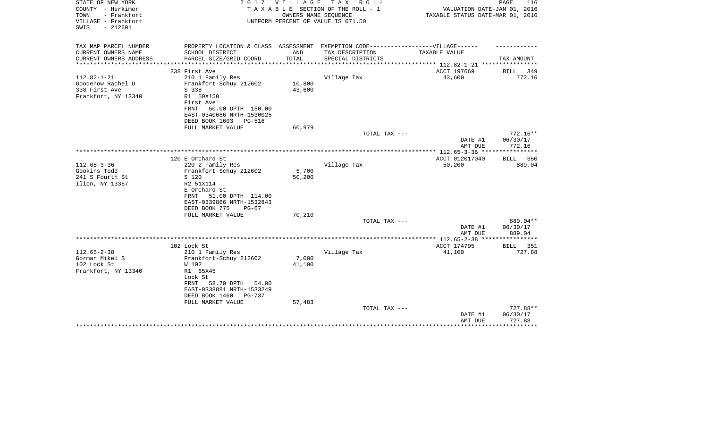| STATE OF NEW YORK<br>COUNTY - Herkimer<br>TOWN<br>- Frankfort<br>VILLAGE - Frankfort<br>$-212601$<br>SWIS | 2 0 1 7                                                                           | V I L L A G E   | TAX ROLL<br>TAXABLE SECTION OF THE ROLL - 1<br>OWNERS NAME SEQUENCE<br>UNIFORM PERCENT OF VALUE IS 071.50 | VALUATION DATE-JAN 01, 2016<br>TAXABLE STATUS DATE-MAR 01, 2016 | PAGE<br>116        |
|-----------------------------------------------------------------------------------------------------------|-----------------------------------------------------------------------------------|-----------------|-----------------------------------------------------------------------------------------------------------|-----------------------------------------------------------------|--------------------|
| TAX MAP PARCEL NUMBER                                                                                     | PROPERTY LOCATION & CLASS ASSESSMENT EXEMPTION CODE-----------------VILLAGE------ |                 |                                                                                                           |                                                                 |                    |
| CURRENT OWNERS NAME                                                                                       | SCHOOL DISTRICT                                                                   | LAND            | TAX DESCRIPTION                                                                                           | TAXABLE VALUE                                                   |                    |
| CURRENT OWNERS ADDRESS<br>****************                                                                | PARCEL SIZE/GRID COORD                                                            | TOTAL           | SPECIAL DISTRICTS                                                                                         | *************************** 112.82-1-21 ****************        | TAX AMOUNT         |
|                                                                                                           | 338 First Ave                                                                     |                 |                                                                                                           | ACCT 197669                                                     | BILL<br>349        |
| $112.82 - 1 - 21$                                                                                         | 210 1 Family Res                                                                  |                 | Village Tax                                                                                               | 43,600                                                          | 772.16             |
| Goodenow Rachel D                                                                                         | Frankfort-Schuy 212602                                                            | 10,800          |                                                                                                           |                                                                 |                    |
| 338 First Ave                                                                                             | S 338                                                                             | 43,600          |                                                                                                           |                                                                 |                    |
| Frankfort, NY 13340                                                                                       | R1 50X150                                                                         |                 |                                                                                                           |                                                                 |                    |
|                                                                                                           | First Ave                                                                         |                 |                                                                                                           |                                                                 |                    |
|                                                                                                           | FRNT<br>50.00 DPTH 150.00                                                         |                 |                                                                                                           |                                                                 |                    |
|                                                                                                           | EAST-0340686 NRTH-1530025                                                         |                 |                                                                                                           |                                                                 |                    |
|                                                                                                           | DEED BOOK 1603<br>PG-516<br>FULL MARKET VALUE                                     | 60,979          |                                                                                                           |                                                                 |                    |
|                                                                                                           |                                                                                   |                 | TOTAL TAX ---                                                                                             |                                                                 | $772.16**$         |
|                                                                                                           |                                                                                   |                 |                                                                                                           | DATE #1                                                         | 06/30/17           |
|                                                                                                           |                                                                                   |                 |                                                                                                           | AMT DUE                                                         | 772.16             |
|                                                                                                           |                                                                                   |                 |                                                                                                           | *************** 112.65-3-36 *****************                   |                    |
|                                                                                                           | 120 E Orchard St                                                                  |                 |                                                                                                           | ACCT 012017040                                                  | BILL<br>350        |
| $112.65 - 3 - 36$                                                                                         | 220 2 Family Res                                                                  |                 | Village Tax                                                                                               | 50,200                                                          | 889.04             |
| Gookins Todd                                                                                              | Frankfort-Schuy 212602                                                            | 5,700<br>50,200 |                                                                                                           |                                                                 |                    |
| 241 S Fourth St<br>Ilion, NY 13357                                                                        | S 120<br>R2 51X114                                                                |                 |                                                                                                           |                                                                 |                    |
|                                                                                                           | E Orchard St                                                                      |                 |                                                                                                           |                                                                 |                    |
|                                                                                                           | 51.00 DPTH 114.00<br>FRNT                                                         |                 |                                                                                                           |                                                                 |                    |
|                                                                                                           | EAST-0339866 NRTH-1532843                                                         |                 |                                                                                                           |                                                                 |                    |
|                                                                                                           | DEED BOOK 775<br>$PG-67$                                                          |                 |                                                                                                           |                                                                 |                    |
|                                                                                                           | FULL MARKET VALUE                                                                 | 70,210          |                                                                                                           |                                                                 |                    |
|                                                                                                           |                                                                                   |                 | TOTAL TAX ---                                                                                             |                                                                 | 889.04**           |
|                                                                                                           |                                                                                   |                 |                                                                                                           | DATE #1                                                         | 06/30/17           |
|                                                                                                           |                                                                                   |                 |                                                                                                           | AMT DUE                                                         | 889.04             |
|                                                                                                           | 102 Lock St                                                                       |                 |                                                                                                           | ACCT 174795                                                     | 351<br><b>BILL</b> |
| $112.65 - 2 - 38$                                                                                         | 210 1 Family Res                                                                  |                 | Village Tax                                                                                               | 41,100                                                          | 727.88             |
| Gorman Mikel S                                                                                            | Frankfort-Schuy 212602                                                            | 7,000           |                                                                                                           |                                                                 |                    |
| 102 Lock St                                                                                               | W 102                                                                             | 41,100          |                                                                                                           |                                                                 |                    |
| Frankfort, NY 13340                                                                                       | R1 65X45                                                                          |                 |                                                                                                           |                                                                 |                    |
|                                                                                                           | Lock St                                                                           |                 |                                                                                                           |                                                                 |                    |
|                                                                                                           | FRNT<br>58.70 DPTH<br>54.00                                                       |                 |                                                                                                           |                                                                 |                    |
|                                                                                                           | EAST-0338881 NRTH-1533249                                                         |                 |                                                                                                           |                                                                 |                    |
|                                                                                                           | DEED BOOK 1460<br>PG-737<br>FULL MARKET VALUE                                     | 57,483          |                                                                                                           |                                                                 |                    |
|                                                                                                           |                                                                                   |                 | TOTAL TAX ---                                                                                             |                                                                 | 727.88**           |
|                                                                                                           |                                                                                   |                 |                                                                                                           | DATE #1                                                         | 06/30/17           |
|                                                                                                           |                                                                                   |                 |                                                                                                           | AMT DUE                                                         | 727.88             |
|                                                                                                           |                                                                                   |                 |                                                                                                           |                                                                 | ********           |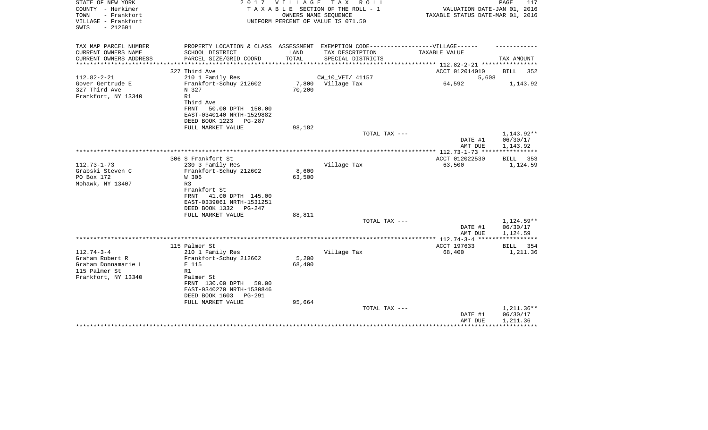| STATE OF NEW YORK<br>COUNTY - Herkimer<br>- Frankfort<br>TOWN<br>VILLAGE - Frankfort<br>SWIS<br>$-212601$ | 2017                                                                                                                                                                                                 | V I L L A G E<br>OWNERS NAME SEQUENCE | T A X<br>R O L L<br>TAXABLE SECTION OF THE ROLL - 1<br>UNIFORM PERCENT OF VALUE IS 071.50 | VALUATION DATE-JAN 01, 2016<br>TAXABLE STATUS DATE-MAR 01, 2016  | PAGE<br>117                        |
|-----------------------------------------------------------------------------------------------------------|------------------------------------------------------------------------------------------------------------------------------------------------------------------------------------------------------|---------------------------------------|-------------------------------------------------------------------------------------------|------------------------------------------------------------------|------------------------------------|
| TAX MAP PARCEL NUMBER<br>CURRENT OWNERS NAME<br>CURRENT OWNERS ADDRESS                                    | PROPERTY LOCATION & CLASS ASSESSMENT EXEMPTION CODE-----------------VILLAGE------<br>SCHOOL DISTRICT<br>PARCEL SIZE/GRID COORD                                                                       | LAND<br>TOTAL                         | TAX DESCRIPTION<br>SPECIAL DISTRICTS                                                      | TAXABLE VALUE                                                    | TAX AMOUNT                         |
|                                                                                                           | **************************<br>327 Third Ave                                                                                                                                                          |                                       |                                                                                           | **************** 112.82-2-21 *****************<br>ACCT 012014010 | BILL<br>352                        |
| $112.82 - 2 - 21$<br>Gover Gertrude E<br>327 Third Ave<br>Frankfort, NY 13340                             | 210 1 Family Res<br>Frankfort-Schuy 212602<br>N 327<br>R1<br>Third Ave<br><b>FRNT</b><br>50.00 DPTH 150.00<br>EAST-0340140 NRTH-1529882<br>DEED BOOK 1223<br>PG-287                                  | 70,200                                | CW_10_VET/ 41157<br>7,800 Village Tax                                                     | 5,608<br>64,592                                                  | 1,143.92                           |
|                                                                                                           | FULL MARKET VALUE                                                                                                                                                                                    | 98,182                                |                                                                                           |                                                                  |                                    |
|                                                                                                           |                                                                                                                                                                                                      |                                       | TOTAL TAX ---                                                                             | DATE #1<br>AMT DUE                                               | 1,143.92**<br>06/30/17<br>1,143.92 |
|                                                                                                           |                                                                                                                                                                                                      |                                       |                                                                                           |                                                                  |                                    |
| $112.73 - 1 - 73$<br>Grabski Steven C<br>PO Box 172<br>Mohawk, NY 13407                                   | 306 S Frankfort St<br>230 3 Family Res<br>Frankfort-Schuy 212602<br>W 306<br>R <sub>3</sub><br>Frankfort St<br>41.00 DPTH 145.00<br>FRNT<br>EAST-0339061 NRTH-1531251<br>DEED BOOK 1332<br>PG-247    | 8,600<br>63,500                       | Village Tax                                                                               | ACCT 012022530<br>63,500                                         | BILL 353<br>1,124.59               |
|                                                                                                           | FULL MARKET VALUE                                                                                                                                                                                    | 88,811                                | TOTAL TAX ---                                                                             |                                                                  | 1,124.59**                         |
|                                                                                                           |                                                                                                                                                                                                      |                                       |                                                                                           | DATE #1<br>AMT DUE                                               | 06/30/17<br>1,124.59               |
|                                                                                                           |                                                                                                                                                                                                      |                                       |                                                                                           | ************** 112.74-3-4 **********                             |                                    |
| $112.74 - 3 - 4$<br>Graham Robert R<br>Graham Donnamarie L<br>115 Palmer St<br>Frankfort, NY 13340        | 115 Palmer St<br>210 1 Family Res<br>Frankfort-Schuy 212602<br>E 115<br>R1<br>Palmer St<br>FRNT 130.00 DPTH<br>50.00<br>EAST-0340270 NRTH-1530846<br>DEED BOOK 1603<br>$PG-291$<br>FULL MARKET VALUE | 5,200<br>68,400<br>95,664             | Village Tax                                                                               | ACCT 197633<br>68,400                                            | BILL<br>354<br>1,211.36            |
|                                                                                                           |                                                                                                                                                                                                      |                                       | TOTAL TAX ---                                                                             | DATE #1<br>AMT DUE                                               | 1,211.36**<br>06/30/17<br>1,211.36 |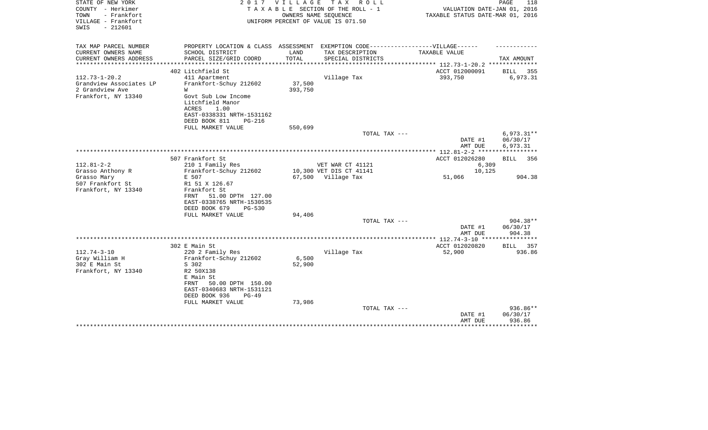| STATE OF NEW YORK<br>COUNTY - Herkimer<br>TOWN<br>- Frankfort<br>VILLAGE - Frankfort<br>$-212601$<br>SWIS | 2017                                                                              | <b>VILLAGE</b>       | T A X<br>R O L L<br>TAXABLE SECTION OF THE ROLL - 1<br>OWNERS NAME SEQUENCE<br>UNIFORM PERCENT OF VALUE IS 071.50 | VALUATION DATE-JAN 01, 2016<br>TAXABLE STATUS DATE-MAR 01, 2016 | PAGE<br>118           |
|-----------------------------------------------------------------------------------------------------------|-----------------------------------------------------------------------------------|----------------------|-------------------------------------------------------------------------------------------------------------------|-----------------------------------------------------------------|-----------------------|
| TAX MAP PARCEL NUMBER                                                                                     | PROPERTY LOCATION & CLASS ASSESSMENT EXEMPTION CODE-----------------VILLAGE------ |                      |                                                                                                                   |                                                                 |                       |
| CURRENT OWNERS NAME                                                                                       | SCHOOL DISTRICT                                                                   | LAND                 | TAX DESCRIPTION                                                                                                   | TAXABLE VALUE                                                   |                       |
| CURRENT OWNERS ADDRESS<br>********************                                                            | PARCEL SIZE/GRID COORD<br>************************                                | TOTAL<br>*********** | SPECIAL DISTRICTS                                                                                                 | **************** 112.73-1-20.2 **************                   | TAX AMOUNT            |
|                                                                                                           | 402 Litchfield St                                                                 |                      |                                                                                                                   | ACCT 012000091                                                  | BILL<br>355           |
| $112.73 - 1 - 20.2$                                                                                       | 411 Apartment                                                                     |                      | Village Tax                                                                                                       | 393,750                                                         | 6,973.31              |
| Grandview Associates LP                                                                                   | Frankfort-Schuy 212602                                                            | 37,500               |                                                                                                                   |                                                                 |                       |
| 2 Grandview Ave                                                                                           | W                                                                                 | 393,750              |                                                                                                                   |                                                                 |                       |
| Frankfort, NY 13340                                                                                       | Govt Sub Low Income                                                               |                      |                                                                                                                   |                                                                 |                       |
|                                                                                                           | Litchfield Manor<br>1.00<br>ACRES                                                 |                      |                                                                                                                   |                                                                 |                       |
|                                                                                                           | EAST-0338331 NRTH-1531162                                                         |                      |                                                                                                                   |                                                                 |                       |
|                                                                                                           | DEED BOOK 811<br>$PG-216$                                                         |                      |                                                                                                                   |                                                                 |                       |
|                                                                                                           | FULL MARKET VALUE                                                                 | 550,699              |                                                                                                                   |                                                                 |                       |
|                                                                                                           |                                                                                   |                      | TOTAL TAX ---                                                                                                     |                                                                 | $6,973.31**$          |
|                                                                                                           |                                                                                   |                      |                                                                                                                   | DATE #1                                                         | 06/30/17              |
|                                                                                                           |                                                                                   |                      |                                                                                                                   | AMT DUE                                                         | 6,973.31              |
|                                                                                                           | 507 Frankfort St                                                                  |                      |                                                                                                                   | ACCT 012026280                                                  | BILL 356              |
| $112.81 - 2 - 2$                                                                                          | 210 1 Family Res                                                                  |                      | VET WAR CT 41121                                                                                                  | 6,309                                                           |                       |
| Grasso Anthony R                                                                                          | Frankfort-Schuy 212602                                                            |                      | 10,300 VET DIS CT 41141                                                                                           | 10,125                                                          |                       |
| Grasso Mary                                                                                               | E 507                                                                             |                      | 67,500 Village Tax                                                                                                | 51,066                                                          | 904.38                |
| 507 Frankfort St                                                                                          | R1 51 X 126.67                                                                    |                      |                                                                                                                   |                                                                 |                       |
| Frankfort, NY 13340                                                                                       | Frankfort St                                                                      |                      |                                                                                                                   |                                                                 |                       |
|                                                                                                           | 51.00 DPTH 127.00<br>FRNT<br>EAST-0338765 NRTH-1530535                            |                      |                                                                                                                   |                                                                 |                       |
|                                                                                                           | DEED BOOK 679<br>$PG-530$                                                         |                      |                                                                                                                   |                                                                 |                       |
|                                                                                                           | FULL MARKET VALUE                                                                 | 94,406               |                                                                                                                   |                                                                 |                       |
|                                                                                                           |                                                                                   |                      | TOTAL TAX ---                                                                                                     |                                                                 | 904.38**              |
|                                                                                                           |                                                                                   |                      |                                                                                                                   | DATE #1                                                         | 06/30/17              |
|                                                                                                           |                                                                                   |                      |                                                                                                                   | AMT DUE                                                         | 904.38                |
|                                                                                                           |                                                                                   |                      |                                                                                                                   |                                                                 |                       |
| $112.74 - 3 - 10$                                                                                         | 302 E Main St<br>220 2 Family Res                                                 |                      | Village Tax                                                                                                       | ACCT 012020820<br>52,900                                        | 357<br>BILL<br>936.86 |
| Gray William H                                                                                            | Frankfort-Schuy 212602                                                            | 6,500                |                                                                                                                   |                                                                 |                       |
| 302 E Main St                                                                                             | S 302                                                                             | 52,900               |                                                                                                                   |                                                                 |                       |
| Frankfort, NY 13340                                                                                       | R2 50X138                                                                         |                      |                                                                                                                   |                                                                 |                       |
|                                                                                                           | E Main St                                                                         |                      |                                                                                                                   |                                                                 |                       |
|                                                                                                           | FRNT<br>50.00 DPTH 150.00                                                         |                      |                                                                                                                   |                                                                 |                       |
|                                                                                                           | EAST-0340683 NRTH-1531121                                                         |                      |                                                                                                                   |                                                                 |                       |
|                                                                                                           | DEED BOOK 936<br>$PG-49$<br>FULL MARKET VALUE                                     | 73,986               |                                                                                                                   |                                                                 |                       |
|                                                                                                           |                                                                                   |                      | TOTAL TAX ---                                                                                                     |                                                                 | 936.86**              |
|                                                                                                           |                                                                                   |                      |                                                                                                                   | DATE #1                                                         | 06/30/17              |
|                                                                                                           |                                                                                   |                      |                                                                                                                   | AMT DUE                                                         | 936.86                |
|                                                                                                           |                                                                                   |                      |                                                                                                                   |                                                                 |                       |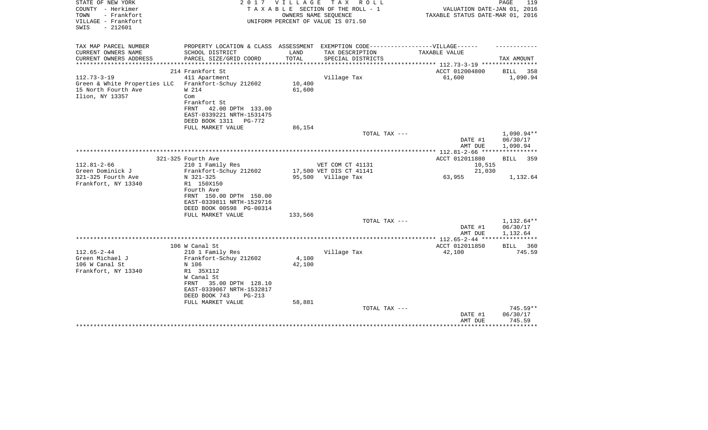| STATE OF NEW YORK            | 2 0 1 7                   | V I L L A G E | T A X<br>R O L L                                                                  |                                  | PAGE<br>119          |
|------------------------------|---------------------------|---------------|-----------------------------------------------------------------------------------|----------------------------------|----------------------|
| COUNTY - Herkimer            |                           |               | TAXABLE SECTION OF THE ROLL - 1                                                   | VALUATION DATE-JAN 01, 2016      |                      |
| TOWN<br>- Frankfort          |                           |               | OWNERS NAME SEQUENCE                                                              | TAXABLE STATUS DATE-MAR 01, 2016 |                      |
| VILLAGE - Frankfort          |                           |               | UNIFORM PERCENT OF VALUE IS 071.50                                                |                                  |                      |
| $-212601$<br>SWIS            |                           |               |                                                                                   |                                  |                      |
|                              |                           |               |                                                                                   |                                  |                      |
| TAX MAP PARCEL NUMBER        |                           |               | PROPERTY LOCATION & CLASS ASSESSMENT EXEMPTION CODE-----------------VILLAGE------ |                                  |                      |
| CURRENT OWNERS NAME          | SCHOOL DISTRICT           | LAND          | TAX DESCRIPTION                                                                   | TAXABLE VALUE                    |                      |
| CURRENT OWNERS ADDRESS       | PARCEL SIZE/GRID COORD    | TOTAL         | SPECIAL DISTRICTS                                                                 |                                  | TAX AMOUNT           |
| **********************       |                           |               |                                                                                   |                                  |                      |
|                              | 214 Frankfort St          |               |                                                                                   | ACCT 012004800                   | BILL<br>358          |
| $112.73 - 3 - 19$            | 411 Apartment             |               | Village Tax                                                                       | 61,600                           | 1,090.94             |
| Green & White Properties LLC | Frankfort-Schuy 212602    | 10,400        |                                                                                   |                                  |                      |
| 15 North Fourth Ave          | W 214                     | 61,600        |                                                                                   |                                  |                      |
| Ilion, NY 13357              | Com                       |               |                                                                                   |                                  |                      |
|                              | Frankfort St              |               |                                                                                   |                                  |                      |
|                              | FRNT<br>42.00 DPTH 133.00 |               |                                                                                   |                                  |                      |
|                              | EAST-0339221 NRTH-1531475 |               |                                                                                   |                                  |                      |
|                              | DEED BOOK 1311<br>PG-772  |               |                                                                                   |                                  |                      |
|                              | FULL MARKET VALUE         | 86,154        |                                                                                   |                                  |                      |
|                              |                           |               | TOTAL TAX ---                                                                     |                                  | 1,090.94**           |
|                              |                           |               |                                                                                   | DATE #1                          | 06/30/17             |
|                              |                           |               |                                                                                   | AMT DUE                          | 1,090.94             |
|                              |                           |               |                                                                                   |                                  |                      |
|                              | 321-325 Fourth Ave        |               |                                                                                   | ACCT 012011880                   | BILL<br>359          |
| $112.81 - 2 - 66$            | 210 1 Family Res          |               | VET COM CT 41131                                                                  | 10,515                           |                      |
| Green Dominick J             | Frankfort-Schuy 212602    |               | 17,500 VET DIS CT 41141                                                           | 21,030                           |                      |
| 321-325 Fourth Ave           | N 321-325                 |               | 95,500 Village Tax                                                                | 63,955                           | 1,132.64             |
| Frankfort, NY 13340          | R1 150X150                |               |                                                                                   |                                  |                      |
|                              | Fourth Ave                |               |                                                                                   |                                  |                      |
|                              | FRNT 150.00 DPTH 150.00   |               |                                                                                   |                                  |                      |
|                              | EAST-0339811 NRTH-1529716 |               |                                                                                   |                                  |                      |
|                              | DEED BOOK 00598 PG-00314  |               |                                                                                   |                                  |                      |
|                              | FULL MARKET VALUE         | 133,566       | TOTAL TAX ---                                                                     |                                  | 1,132.64**           |
|                              |                           |               |                                                                                   |                                  |                      |
|                              |                           |               |                                                                                   | DATE #1                          | 06/30/17<br>1,132.64 |
|                              |                           |               |                                                                                   | AMT DUE                          |                      |
|                              | 106 W Canal St            |               |                                                                                   | ACCT 012011850                   | 360<br>BILL          |
| $112.65 - 2 - 44$            | 210 1 Family Res          |               | Village Tax                                                                       | 42,100                           | 745.59               |
| Green Michael J              | Frankfort-Schuy 212602    | 4,100         |                                                                                   |                                  |                      |
| 106 W Canal St               | N 106                     | 42,100        |                                                                                   |                                  |                      |
| Frankfort, NY 13340          | R1 35X112                 |               |                                                                                   |                                  |                      |
|                              | W Canal St                |               |                                                                                   |                                  |                      |
|                              | 35.00 DPTH 128.10<br>FRNT |               |                                                                                   |                                  |                      |
|                              | EAST-0339067 NRTH-1532817 |               |                                                                                   |                                  |                      |
|                              | DEED BOOK 743<br>$PG-213$ |               |                                                                                   |                                  |                      |
|                              | FULL MARKET VALUE         | 58,881        |                                                                                   |                                  |                      |
|                              |                           |               | TOTAL TAX ---                                                                     |                                  | $745.59**$           |
|                              |                           |               |                                                                                   | DATE #1                          | 06/30/17             |
|                              |                           |               |                                                                                   | AMT DUE                          | 745.59               |
|                              |                           |               |                                                                                   |                                  | ***********          |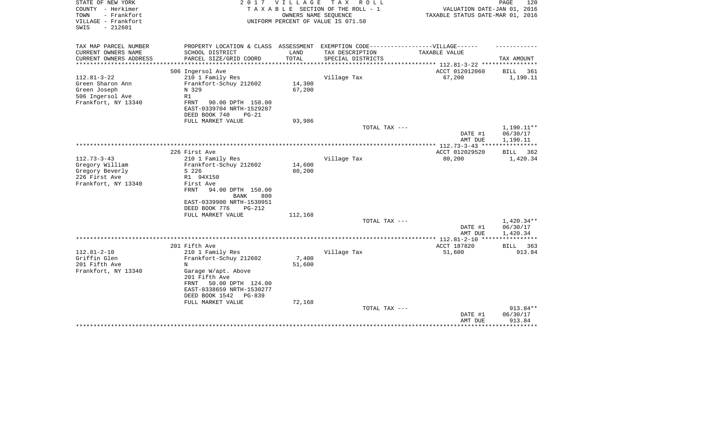| STATE OF NEW YORK<br>COUNTY - Herkimer<br>- Frankfort<br>TOWN<br>VILLAGE - Frankfort<br>$-212601$<br>SWIS | 2017                                                                                                                                                                          | <b>VILLAGE</b><br>OWNERS NAME SEQUENCE | T A X<br>R O L L<br>TAXABLE SECTION OF THE ROLL - 1<br>UNIFORM PERCENT OF VALUE IS 071.50 | VALUATION DATE-JAN 01, 2016<br>TAXABLE STATUS DATE-MAR 01, 2016 | PAGE<br>120                        |
|-----------------------------------------------------------------------------------------------------------|-------------------------------------------------------------------------------------------------------------------------------------------------------------------------------|----------------------------------------|-------------------------------------------------------------------------------------------|-----------------------------------------------------------------|------------------------------------|
| TAX MAP PARCEL NUMBER<br>CURRENT OWNERS NAME                                                              | PROPERTY LOCATION & CLASS ASSESSMENT EXEMPTION CODE-----------------VILLAGE------<br>SCHOOL DISTRICT                                                                          | LAND                                   | TAX DESCRIPTION                                                                           | TAXABLE VALUE                                                   |                                    |
| CURRENT OWNERS ADDRESS                                                                                    | PARCEL SIZE/GRID COORD                                                                                                                                                        | <b>TOTAL</b>                           | SPECIAL DISTRICTS                                                                         |                                                                 | TAX AMOUNT                         |
| **************                                                                                            | ***********************                                                                                                                                                       | *************                          |                                                                                           | ************* 112.81-3-22 *****************                     |                                    |
|                                                                                                           | 506 Ingersol Ave                                                                                                                                                              |                                        |                                                                                           | ACCT 012012060                                                  | BILL<br>361                        |
| $112.81 - 3 - 22$<br>Green Sharon Ann<br>Green Joseph<br>506 Ingersol Ave<br>Frankfort, NY 13340          | 210 1 Family Res<br>Frankfort-Schuy 212602<br>N 329<br>R1<br><b>FRNT</b><br>90.00 DPTH 150.00                                                                                 | 14,300<br>67,200                       | Village Tax                                                                               | 67,200                                                          | 1,190.11                           |
|                                                                                                           | EAST-0339704 NRTH-1529287<br>DEED BOOK 740<br>$PG-21$                                                                                                                         |                                        |                                                                                           |                                                                 |                                    |
|                                                                                                           | FULL MARKET VALUE                                                                                                                                                             | 93,986                                 |                                                                                           |                                                                 |                                    |
|                                                                                                           |                                                                                                                                                                               |                                        | TOTAL TAX ---                                                                             | DATE #1<br>AMT DUE                                              | 1,190.11**<br>06/30/17<br>1,190.11 |
|                                                                                                           |                                                                                                                                                                               |                                        |                                                                                           | ****** 112.73-3-43 ****                                         | * * * * * * * * * * *              |
|                                                                                                           | 226 First Ave                                                                                                                                                                 |                                        |                                                                                           | ACCT 012029520                                                  | BILL<br>362                        |
| $112.73 - 3 - 43$<br>Gregory William<br>Gregory Beverly<br>226 First Ave<br>Frankfort, NY 13340           | 210 1 Family Res<br>Frankfort-Schuy 212602<br>S 226<br>R1 94X150<br>First Ave<br>FRNT<br>94.00 DPTH 150.00<br>BANK<br>800<br>EAST-0339900 NRTH-1530951                        | 14,600<br>80,200                       | Village Tax                                                                               | 80,200                                                          | 1,420.34                           |
|                                                                                                           | DEED BOOK 776<br>$PG-212$<br>FULL MARKET VALUE                                                                                                                                | 112,168                                |                                                                                           |                                                                 |                                    |
|                                                                                                           |                                                                                                                                                                               |                                        | TOTAL TAX ---                                                                             | DATE #1<br>AMT DUE                                              | 1,420.34**<br>06/30/17<br>1,420.34 |
|                                                                                                           |                                                                                                                                                                               |                                        |                                                                                           |                                                                 |                                    |
|                                                                                                           | 201 Fifth Ave                                                                                                                                                                 |                                        |                                                                                           | ACCT 187820                                                     | 363<br><b>BILL</b>                 |
| $112.81 - 2 - 10$<br>Griffin Glen<br>201 Fifth Ave<br>Frankfort, NY 13340                                 | 210 1 Family Res<br>Frankfort-Schuy 212602<br>N<br>Garage W/apt. Above<br>201 Fifth Ave<br>50.00 DPTH 124.00<br>FRNT<br>EAST-0338659 NRTH-1530277<br>DEED BOOK 1542<br>PG-839 | 7,400<br>51,600                        | Village Tax                                                                               | 51,600                                                          | 913.84                             |
|                                                                                                           | FULL MARKET VALUE                                                                                                                                                             | 72,168                                 | TOTAL TAX ---                                                                             | DATE #1<br>AMT DUE                                              | 913.84**<br>06/30/17<br>913.84     |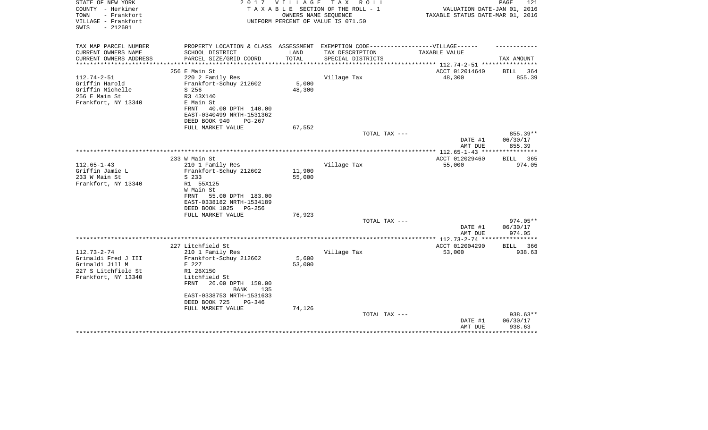| STATE OF NEW YORK<br>COUNTY - Herkimer<br>TOWN<br>- Frankfort<br>VILLAGE - Frankfort | 2 0 1 7                                                                          | VILLAGE         | T A X<br>R O L L<br>TAXABLE SECTION OF THE ROLL - 1<br>OWNERS NAME SEQUENCE<br>UNIFORM PERCENT OF VALUE IS 071.50 | VALUATION DATE-JAN 01, 2016<br>TAXABLE STATUS DATE-MAR 01, 2016 | PAGE<br>121                  |
|--------------------------------------------------------------------------------------|----------------------------------------------------------------------------------|-----------------|-------------------------------------------------------------------------------------------------------------------|-----------------------------------------------------------------|------------------------------|
| $-212601$<br>SWIS                                                                    |                                                                                  |                 |                                                                                                                   |                                                                 |                              |
| TAX MAP PARCEL NUMBER                                                                | PROPERTY LOCATION & CLASS ASSESSMENT EXEMPTION CODE----------------VILLAGE------ |                 |                                                                                                                   |                                                                 |                              |
| CURRENT OWNERS NAME                                                                  | SCHOOL DISTRICT                                                                  | LAND            | TAX DESCRIPTION                                                                                                   | TAXABLE VALUE                                                   |                              |
| CURRENT OWNERS ADDRESS                                                               | PARCEL SIZE/GRID COORD                                                           | TOTAL           | SPECIAL DISTRICTS                                                                                                 | ***************** 112.74-2-51 *********                         | TAX AMOUNT                   |
|                                                                                      | 256 E Main St                                                                    |                 |                                                                                                                   | ACCT 012014640                                                  | <b>BILL</b><br>364           |
| $112.74 - 2 - 51$                                                                    | 220 2 Family Res                                                                 |                 | Village Tax                                                                                                       | 48,300                                                          | 855.39                       |
| Griffin Harold                                                                       | Frankfort-Schuy 212602                                                           | 5,000           |                                                                                                                   |                                                                 |                              |
| Griffin Michelle                                                                     | S 256                                                                            | 48,300          |                                                                                                                   |                                                                 |                              |
| 256 E Main St                                                                        | R3 43X140                                                                        |                 |                                                                                                                   |                                                                 |                              |
| Frankfort, NY 13340                                                                  | E Main St                                                                        |                 |                                                                                                                   |                                                                 |                              |
|                                                                                      | FRNT<br>40.00 DPTH 140.00<br>EAST-0340499 NRTH-1531362                           |                 |                                                                                                                   |                                                                 |                              |
|                                                                                      | DEED BOOK 940<br>$PG-267$                                                        |                 |                                                                                                                   |                                                                 |                              |
|                                                                                      | FULL MARKET VALUE                                                                | 67,552          |                                                                                                                   |                                                                 |                              |
|                                                                                      |                                                                                  |                 | TOTAL TAX ---                                                                                                     |                                                                 | $855.39**$                   |
|                                                                                      |                                                                                  |                 |                                                                                                                   | DATE #1                                                         | 06/30/17                     |
|                                                                                      |                                                                                  |                 |                                                                                                                   | AMT DUE                                                         | 855.39                       |
|                                                                                      |                                                                                  |                 |                                                                                                                   | ************** 112.65-1-43 ***                                  |                              |
| $112.65 - 1 - 43$                                                                    | 233 W Main St<br>210 1 Family Res                                                |                 | Village Tax                                                                                                       | ACCT 012029460<br>55,000                                        | 365<br><b>BILL</b><br>974.05 |
| Griffin Jamie L                                                                      | Frankfort-Schuy 212602                                                           | 11,900          |                                                                                                                   |                                                                 |                              |
| 233 W Main St                                                                        | S 233                                                                            | 55,000          |                                                                                                                   |                                                                 |                              |
| Frankfort, NY 13340                                                                  | R1 55X125                                                                        |                 |                                                                                                                   |                                                                 |                              |
|                                                                                      | W Main St                                                                        |                 |                                                                                                                   |                                                                 |                              |
|                                                                                      | 55.00 DPTH 183.00<br>FRNT                                                        |                 |                                                                                                                   |                                                                 |                              |
|                                                                                      | EAST-0338182 NRTH-1534189                                                        |                 |                                                                                                                   |                                                                 |                              |
|                                                                                      | DEED BOOK 1025<br>PG-256                                                         |                 |                                                                                                                   |                                                                 |                              |
|                                                                                      | FULL MARKET VALUE                                                                | 76,923          | TOTAL TAX ---                                                                                                     |                                                                 | $974.05**$                   |
|                                                                                      |                                                                                  |                 |                                                                                                                   | DATE #1                                                         | 06/30/17                     |
|                                                                                      |                                                                                  |                 |                                                                                                                   | AMT DUE                                                         | 974.05                       |
|                                                                                      |                                                                                  |                 |                                                                                                                   | ***************** 112.73-2-74 **                                | **********                   |
|                                                                                      | 227 Litchfield St                                                                |                 |                                                                                                                   | ACCT 012004290                                                  | <b>BILL</b><br>366           |
| $112.73 - 2 - 74$                                                                    | 210 1 Family Res                                                                 |                 | Village Tax                                                                                                       | 53,000                                                          | 938.63                       |
| Grimaldi Fred J III<br>Grimaldi Jill M                                               | Frankfort-Schuy 212602<br>E 227                                                  | 5,600<br>53,000 |                                                                                                                   |                                                                 |                              |
| 227 S Litchfield St                                                                  | R1 26X150                                                                        |                 |                                                                                                                   |                                                                 |                              |
| Frankfort, NY 13340                                                                  | Litchfield St                                                                    |                 |                                                                                                                   |                                                                 |                              |
|                                                                                      | FRNT<br>26.00 DPTH 150.00                                                        |                 |                                                                                                                   |                                                                 |                              |
|                                                                                      | <b>BANK</b><br>135                                                               |                 |                                                                                                                   |                                                                 |                              |
|                                                                                      | EAST-0338753 NRTH-1531633                                                        |                 |                                                                                                                   |                                                                 |                              |
|                                                                                      | DEED BOOK 725<br>PG-346                                                          |                 |                                                                                                                   |                                                                 |                              |
|                                                                                      | FULL MARKET VALUE                                                                | 74,126          |                                                                                                                   |                                                                 |                              |
|                                                                                      |                                                                                  |                 | TOTAL TAX ---                                                                                                     | DATE #1                                                         | 938.63**<br>06/30/17         |
|                                                                                      |                                                                                  |                 |                                                                                                                   | AMT DUE                                                         | 938.63                       |
|                                                                                      |                                                                                  |                 |                                                                                                                   |                                                                 |                              |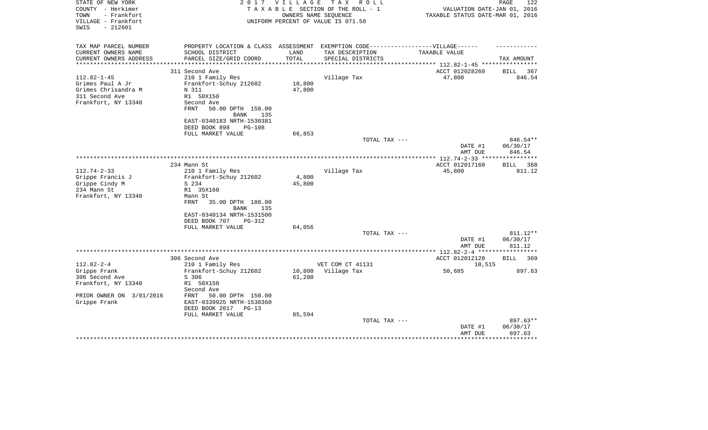| STATE OF NEW YORK<br>COUNTY - Herkimer<br>TOWN<br>- Frankfort<br>VILLAGE - Frankfort<br>SWIS<br>$-212601$                | 2 0 1 7                                                                                                                                                                                              | VILLAGE                    | TAX ROLL<br>TAXABLE SECTION OF THE ROLL - 1<br>OWNERS NAME SEQUENCE<br>UNIFORM PERCENT OF VALUE IS 071.50 | VALUATION DATE-JAN 01, 2016<br>TAXABLE STATUS DATE-MAR 01, 2016 | 122<br>PAGE                         |
|--------------------------------------------------------------------------------------------------------------------------|------------------------------------------------------------------------------------------------------------------------------------------------------------------------------------------------------|----------------------------|-----------------------------------------------------------------------------------------------------------|-----------------------------------------------------------------|-------------------------------------|
| TAX MAP PARCEL NUMBER<br>CURRENT OWNERS NAME<br>CURRENT OWNERS ADDRESS<br>*************************<br>$112.82 - 1 - 45$ | PROPERTY LOCATION & CLASS ASSESSMENT EXEMPTION CODE-----------------VILLAGE------<br>SCHOOL DISTRICT<br>PARCEL SIZE/GRID COORD<br>311 Second Ave<br>210 1 Family Res                                 | LAND<br>TOTAL              | TAX DESCRIPTION<br>SPECIAL DISTRICTS<br>Village Tax                                                       | TAXABLE VALUE<br>ACCT 012028260<br>47,800                       | TAX AMOUNT<br>367<br>BILL<br>846.54 |
| Grimes Paul A Jr<br>Grimes Chrisandra M<br>311 Second Ave<br>Frankfort, NY 13340                                         | Frankfort-Schuy 212602<br>N 311<br>R1 50X150<br>Second Ave<br>50.00 DPTH 150.00<br>FRNT<br>BANK<br>135<br>EAST-0340183 NRTH-1530381<br>DEED BOOK 898<br>PG-108<br>FULL MARKET VALUE                  | 10,800<br>47,800<br>66,853 |                                                                                                           |                                                                 |                                     |
|                                                                                                                          |                                                                                                                                                                                                      |                            | TOTAL TAX ---                                                                                             |                                                                 | 846.54**                            |
|                                                                                                                          |                                                                                                                                                                                                      |                            |                                                                                                           | DATE #1<br>AMT DUE                                              | 06/30/17<br>846.54                  |
|                                                                                                                          | 234 Mann St                                                                                                                                                                                          |                            |                                                                                                           | ACCT 012017160                                                  | 368<br>BILL                         |
| $112.74 - 2 - 33$<br>Grippe Francis J<br>Grippe Cindy M<br>234 Mann St<br>Frankfort, NY 13340                            | 210 1 Family Res<br>Frankfort-Schuy 212602<br>S 234<br>R1 35X160<br>Mann St<br>FRNT<br>35.00 DPTH 180.00<br>BANK<br>135<br>EAST-0340134 NRTH-1531500<br>DEED BOOK 707<br>PG-312<br>FULL MARKET VALUE | 4,800<br>45,800<br>64,056  | Village Tax                                                                                               | 45,800                                                          | 811.12                              |
|                                                                                                                          |                                                                                                                                                                                                      |                            | TOTAL TAX ---                                                                                             | DATE #1                                                         | 811.12**<br>06/30/17                |
|                                                                                                                          |                                                                                                                                                                                                      |                            |                                                                                                           | AMT DUE                                                         | 811.12                              |
| $112.82 - 2 - 4$<br>Grippe Frank<br>306 Second Ave<br>Frankfort, NY 13340                                                | 306 Second Ave<br>210 1 Family Res<br>Frankfort-Schuy 212602<br>S 306<br>R1 50X150                                                                                                                   | 10,800<br>61,200           | VET COM CT 41131<br>Village Tax                                                                           | ACCT 012012120<br>10,515<br>50,685                              | <b>BILL</b><br>369<br>897.63        |
| PRIOR OWNER ON 3/01/2016<br>Grippe Frank                                                                                 | Second Ave<br>FRNT<br>50.00 DPTH 150.00<br>EAST-0339925 NRTH-1530360<br>DEED BOOK 2017<br>$PG-13$<br>FULL MARKET VALUE                                                                               | 85,594                     | TOTAL TAX ---                                                                                             |                                                                 | 897.63**                            |
|                                                                                                                          |                                                                                                                                                                                                      |                            |                                                                                                           | DATE #1<br>AMT DUE                                              | 06/30/17<br>897.63                  |
|                                                                                                                          |                                                                                                                                                                                                      |                            |                                                                                                           |                                                                 |                                     |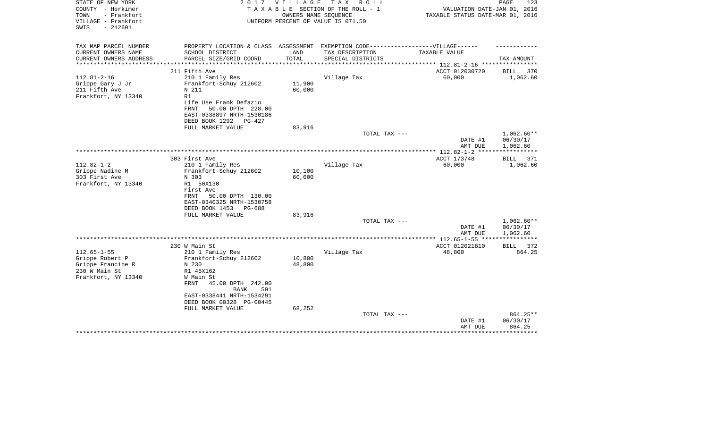| STATE OF NEW YORK<br>COUNTY - Herkimer<br>- Frankfort<br>TOWN<br>VILLAGE - Frankfort<br>$-212601$<br>SWIS | 2 0 1 7                                                                                                                                    | V I L L A G E<br>OWNERS NAME SEOUENCE | T A X<br>R O L L<br>TAXABLE SECTION OF THE ROLL - 1<br>UNIFORM PERCENT OF VALUE IS 071.50 | VALUATION DATE-JAN 01, 2016<br>TAXABLE STATUS DATE-MAR 01, 2016 | 123<br>PAGE                          |
|-----------------------------------------------------------------------------------------------------------|--------------------------------------------------------------------------------------------------------------------------------------------|---------------------------------------|-------------------------------------------------------------------------------------------|-----------------------------------------------------------------|--------------------------------------|
| TAX MAP PARCEL NUMBER<br>CURRENT OWNERS NAME                                                              | PROPERTY LOCATION & CLASS ASSESSMENT EXEMPTION CODE-----------------VILLAGE------<br>SCHOOL DISTRICT                                       | LAND                                  |                                                                                           | TAXABLE VALUE                                                   |                                      |
| CURRENT OWNERS ADDRESS                                                                                    | PARCEL SIZE/GRID COORD                                                                                                                     | TOTAL<br>**********                   | TAX DESCRIPTION<br>SPECIAL DISTRICTS                                                      | *********** 112.81-2-16 ****                                    | TAX AMOUNT                           |
|                                                                                                           | 211 Fifth Ave                                                                                                                              |                                       |                                                                                           | ACCT 012030720                                                  | <b>BILL</b><br>370                   |
| $112.81 - 2 - 16$<br>Grippe Gary J Jr<br>211 Fifth Ave<br>Frankfort, NY 13340                             | 210 1 Family Res<br>Frankfort-Schuy 212602<br>N 211<br>R1<br>Life Use Frank Defazio                                                        | 11,900<br>60,000                      | Village Tax                                                                               | 60,000                                                          | 1,062.60                             |
|                                                                                                           | FRNT<br>50.00 DPTH 228.00<br>EAST-0338897 NRTH-1530186<br>DEED BOOK 1292<br>PG-427<br>FULL MARKET VALUE                                    | 83,916                                |                                                                                           |                                                                 |                                      |
|                                                                                                           |                                                                                                                                            |                                       | TOTAL TAX ---                                                                             | DATE #1<br>AMT DUE                                              | 1,062.60**<br>06/30/17<br>1,062.60   |
|                                                                                                           |                                                                                                                                            |                                       |                                                                                           | ** 112.82-1-2                                                   |                                      |
|                                                                                                           | 303 First Ave                                                                                                                              |                                       |                                                                                           | ACCT 173748                                                     | BILL<br>371                          |
| $112.82 - 1 - 2$<br>Grippe Nadine M<br>303 First Ave<br>Frankfort, NY 13340                               | 210 1 Family Res<br>Frankfort-Schuy 212602<br>N 303<br>R1 50X130<br>First Ave<br>FRNT<br>50.00 DPTH 130.00<br>EAST-0340325 NRTH-1530758    | 10,100<br>60,000                      | Village Tax                                                                               | 60,000                                                          | 1,062.60                             |
|                                                                                                           | DEED BOOK 1453<br>PG-688<br>FULL MARKET VALUE                                                                                              | 83,916                                |                                                                                           |                                                                 |                                      |
|                                                                                                           |                                                                                                                                            |                                       | TOTAL TAX ---                                                                             | DATE #1<br>AMT DUE                                              | $1,062.60**$<br>06/30/17<br>1,062.60 |
|                                                                                                           |                                                                                                                                            |                                       |                                                                                           |                                                                 |                                      |
| $112.65 - 1 - 55$                                                                                         | 230 W Main St<br>210 1 Family Res                                                                                                          |                                       | Village Tax                                                                               | ACCT 012021810<br>48,800                                        | BILL<br>372<br>864.25                |
| Grippe Robert P<br>Grippe Francine R<br>230 W Main St                                                     | Frankfort-Schuy 212602<br>N 230<br>R1 45X162                                                                                               | 10,800<br>48,800                      |                                                                                           |                                                                 |                                      |
| Frankfort, NY 13340                                                                                       | W Main St<br>FRNT<br>45.00 DPTH 242.00<br>591<br><b>BANK</b><br>EAST-0338441 NRTH-1534291<br>DEED BOOK 00328 PG-00445<br>FULL MARKET VALUE | 68,252                                |                                                                                           |                                                                 |                                      |
|                                                                                                           |                                                                                                                                            |                                       | TOTAL TAX ---                                                                             | DATE #1<br>AMT DUE                                              | 864.25**<br>06/30/17<br>864.25       |
|                                                                                                           |                                                                                                                                            |                                       |                                                                                           |                                                                 |                                      |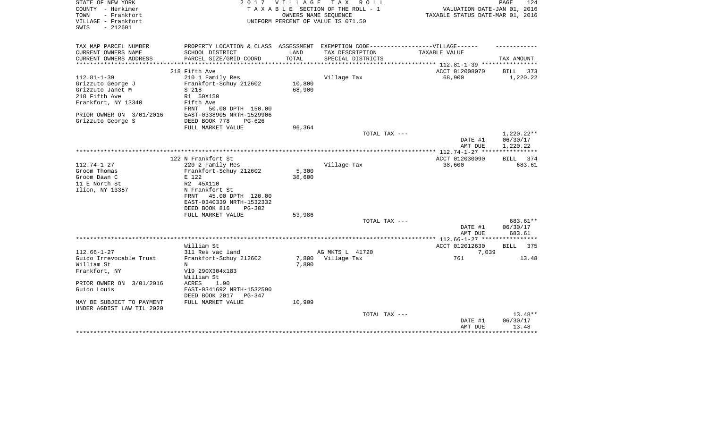| STATE OF NEW YORK<br>COUNTY - Herkimer<br>- Frankfort<br>TOWN |                                                                                  | 2017 VILLAGE  | TAX ROLL<br>TAXABLE SECTION OF THE ROLL - 1<br>OWNERS NAME SEQUENCE | VALUATION DATE-JAN 01, 2016<br>TAXABLE STATUS DATE-MAR 01, 2016 | 124<br>PAGE                    |
|---------------------------------------------------------------|----------------------------------------------------------------------------------|---------------|---------------------------------------------------------------------|-----------------------------------------------------------------|--------------------------------|
| VILLAGE - Frankfort<br>$-212601$<br>SWIS                      |                                                                                  |               | UNIFORM PERCENT OF VALUE IS 071.50                                  |                                                                 |                                |
| TAX MAP PARCEL NUMBER                                         | PROPERTY LOCATION & CLASS ASSESSMENT EXEMPTION CODE----------------VILLAGE------ |               |                                                                     |                                                                 |                                |
| CURRENT OWNERS NAME<br>CURRENT OWNERS ADDRESS                 | SCHOOL DISTRICT<br>PARCEL SIZE/GRID COORD                                        | LAND<br>TOTAL | TAX DESCRIPTION<br>SPECIAL DISTRICTS                                | TAXABLE VALUE                                                   | TAX AMOUNT                     |
| ***************                                               |                                                                                  | **********    |                                                                     | *********** 112.81-1-39 **********                              |                                |
| $112.81 - 1 - 39$                                             | 218 Fifth Ave<br>210 1 Family Res                                                |               | Village Tax                                                         | ACCT 012008070<br>68,900                                        | <b>BILL</b><br>373<br>1,220.22 |
| Grizzuto George J                                             | Frankfort-Schuy 212602                                                           | 10,800        |                                                                     |                                                                 |                                |
| Grizzuto Janet M                                              | S 218                                                                            | 68,900        |                                                                     |                                                                 |                                |
| 218 Fifth Ave                                                 | R1 50X150                                                                        |               |                                                                     |                                                                 |                                |
| Frankfort, NY 13340                                           | Fifth Ave<br>FRNT<br>50.00 DPTH 150.00                                           |               |                                                                     |                                                                 |                                |
| PRIOR OWNER ON 3/01/2016                                      | EAST-0338905 NRTH-1529906                                                        |               |                                                                     |                                                                 |                                |
| Grizzuto George S                                             | DEED BOOK 778<br>$PG-626$                                                        |               |                                                                     |                                                                 |                                |
|                                                               | FULL MARKET VALUE                                                                | 96,364        |                                                                     |                                                                 |                                |
|                                                               |                                                                                  |               | TOTAL TAX ---                                                       | DATE #1                                                         | $1,220.22**$<br>06/30/17       |
|                                                               |                                                                                  |               |                                                                     | AMT DUE<br>************** 112.74-1-27 ***                       | 1,220.22                       |
|                                                               | 122 N Frankfort St                                                               |               |                                                                     | ACCT 012030090                                                  | BILL 374                       |
| $112.74 - 1 - 27$                                             | 220 2 Family Res                                                                 |               | Village Tax                                                         | 38,600                                                          | 683.61                         |
| Groom Thomas                                                  | Frankfort-Schuy 212602                                                           | 5,300         |                                                                     |                                                                 |                                |
| Groom Dawn C                                                  | E 122                                                                            | 38,600        |                                                                     |                                                                 |                                |
| 11 E North St                                                 | R2 45X110                                                                        |               |                                                                     |                                                                 |                                |
| Ilion, NY 13357                                               | N Frankfort St                                                                   |               |                                                                     |                                                                 |                                |
|                                                               | 45.00 DPTH 120.00<br>FRNT                                                        |               |                                                                     |                                                                 |                                |
|                                                               | EAST-0340339 NRTH-1532332                                                        |               |                                                                     |                                                                 |                                |
|                                                               | DEED BOOK 816<br>$PG-302$                                                        |               |                                                                     |                                                                 |                                |
|                                                               | FULL MARKET VALUE                                                                | 53,986        | TOTAL TAX ---                                                       |                                                                 | 683.61**                       |
|                                                               |                                                                                  |               |                                                                     | DATE #1                                                         | 06/30/17                       |
|                                                               |                                                                                  |               |                                                                     | AMT DUE                                                         | 683.61                         |
|                                                               |                                                                                  |               |                                                                     | * $112.66 - 1 - 27$ *****                                       | **********                     |
|                                                               | William St                                                                       |               |                                                                     | ACCT 012012630                                                  | <b>BILL</b><br>375             |
| $112.66 - 1 - 27$                                             | 311 Res vac land                                                                 |               | AG MKTS L 41720                                                     | 7,039                                                           |                                |
| Guido Irrevocable Trust                                       | Frankfort-Schuy 212602                                                           |               | 7,800 Village Tax                                                   | 761                                                             | 13.48                          |
| William St                                                    | N                                                                                | 7,800         |                                                                     |                                                                 |                                |
| Frankfort, NY                                                 | V19 290X304x183                                                                  |               |                                                                     |                                                                 |                                |
| PRIOR OWNER ON 3/01/2016                                      | William St<br>ACRES<br>1.90                                                      |               |                                                                     |                                                                 |                                |
| Guido Louis                                                   | EAST-0341692 NRTH-1532590                                                        |               |                                                                     |                                                                 |                                |
|                                                               | DEED BOOK 2017<br>PG-347                                                         |               |                                                                     |                                                                 |                                |
| MAY BE SUBJECT TO PAYMENT                                     | FULL MARKET VALUE                                                                | 10,909        |                                                                     |                                                                 |                                |
| UNDER AGDIST LAW TIL 2020                                     |                                                                                  |               |                                                                     |                                                                 |                                |
|                                                               |                                                                                  |               | TOTAL TAX ---                                                       |                                                                 | $13.48**$                      |
|                                                               |                                                                                  |               |                                                                     | DATE #1                                                         | 06/30/17                       |
|                                                               |                                                                                  |               |                                                                     | AMT DUE                                                         | 13.48                          |
|                                                               |                                                                                  |               |                                                                     |                                                                 |                                |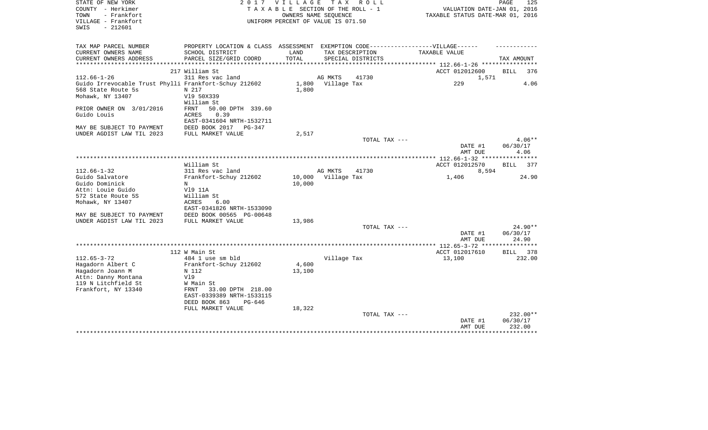| STATE OF NEW YORK                                     | 2017                                                                              | VILLAGE TAX | R O L L                            |                                  | PAGE<br>125        |
|-------------------------------------------------------|-----------------------------------------------------------------------------------|-------------|------------------------------------|----------------------------------|--------------------|
| COUNTY - Herkimer                                     |                                                                                   |             | TAXABLE SECTION OF THE ROLL - 1    | VALUATION DATE-JAN 01, 2016      |                    |
| - Frankfort<br>TOWN                                   |                                                                                   |             | OWNERS NAME SEOUENCE               | TAXABLE STATUS DATE-MAR 01, 2016 |                    |
| VILLAGE - Frankfort                                   |                                                                                   |             | UNIFORM PERCENT OF VALUE IS 071.50 |                                  |                    |
| $-212601$<br>SWIS                                     |                                                                                   |             |                                    |                                  |                    |
|                                                       |                                                                                   |             |                                    |                                  |                    |
|                                                       |                                                                                   |             |                                    |                                  |                    |
| TAX MAP PARCEL NUMBER                                 | PROPERTY LOCATION & CLASS ASSESSMENT EXEMPTION CODE-----------------VILLAGE------ |             |                                    |                                  |                    |
| CURRENT OWNERS NAME                                   | SCHOOL DISTRICT                                                                   | LAND        | TAX DESCRIPTION                    | TAXABLE VALUE                    |                    |
| CURRENT OWNERS ADDRESS<br>**********************      | PARCEL SIZE/GRID COORD                                                            | TOTAL       | SPECIAL DISTRICTS                  |                                  | TAX AMOUNT         |
|                                                       | 217 William St                                                                    |             |                                    | ACCT 012012600                   | 376<br>BILL        |
| $112.66 - 1 - 26$                                     | 311 Res vac land                                                                  |             | AG MKTS<br>41730                   | 1,571                            |                    |
| Guido Irrevocable Trust Phylli Frankfort-Schuy 212602 |                                                                                   | 1,800       | Village Tax                        | 229                              | 4.06               |
| 568 State Route 5s                                    | N 217                                                                             | 1,800       |                                    |                                  |                    |
|                                                       | V19 50X339                                                                        |             |                                    |                                  |                    |
| Mohawk, NY 13407                                      | William St                                                                        |             |                                    |                                  |                    |
| PRIOR OWNER ON 3/01/2016                              | 50.00 DPTH 339.60<br>FRNT                                                         |             |                                    |                                  |                    |
| Guido Louis                                           | 0.39<br>ACRES                                                                     |             |                                    |                                  |                    |
|                                                       | EAST-0341604 NRTH-1532711                                                         |             |                                    |                                  |                    |
| MAY BE SUBJECT TO PAYMENT                             | DEED BOOK 2017                                                                    |             |                                    |                                  |                    |
| UNDER AGDIST LAW TIL 2023                             | PG-347                                                                            | 2,517       |                                    |                                  |                    |
|                                                       | FULL MARKET VALUE                                                                 |             | TOTAL TAX ---                      |                                  | $4.06**$           |
|                                                       |                                                                                   |             |                                    | DATE #1                          | 06/30/17           |
|                                                       |                                                                                   |             |                                    | AMT DUE                          | 4.06               |
|                                                       |                                                                                   |             |                                    |                                  |                    |
|                                                       | William St                                                                        |             |                                    | ACCT 012012570                   | <b>BILL</b><br>377 |
| $112.66 - 1 - 32$                                     | 311 Res vac land                                                                  |             | AG MKTS<br>41730                   | 8,594                            |                    |
| Guido Salvatore                                       | Frankfort-Schuy 212602                                                            | 10,000      | Village Tax                        | 1,406                            | 24.90              |
| Guido Dominick                                        | N                                                                                 | 10,000      |                                    |                                  |                    |
| Attn: Louie Guido                                     | V19 11A                                                                           |             |                                    |                                  |                    |
| 572 State Route 5S                                    | William St                                                                        |             |                                    |                                  |                    |
| Mohawk, NY 13407                                      | ACRES<br>6.00                                                                     |             |                                    |                                  |                    |
|                                                       | EAST-0341826 NRTH-1533090                                                         |             |                                    |                                  |                    |
| MAY BE SUBJECT TO PAYMENT                             | DEED BOOK 00565 PG-00648                                                          |             |                                    |                                  |                    |
| UNDER AGDIST LAW TIL 2023                             | FULL MARKET VALUE                                                                 | 13,986      |                                    |                                  |                    |
|                                                       |                                                                                   |             | TOTAL TAX ---                      |                                  | $24.90**$          |
|                                                       |                                                                                   |             |                                    | DATE #1                          | 06/30/17           |
|                                                       |                                                                                   |             |                                    | AMT DUE                          | 24.90              |
|                                                       |                                                                                   |             |                                    |                                  |                    |
|                                                       | 112 W Main St                                                                     |             |                                    | ACCT 012017610                   | BILL<br>378        |
| $112.65 - 3 - 72$                                     | 484 1 use sm bld                                                                  |             | Village Tax                        | 13,100                           | 232.00             |
| Hagadorn Albert C                                     | Frankfort-Schuy 212602                                                            | 4,600       |                                    |                                  |                    |
| Hagadorn Joann M                                      | N 112                                                                             | 13,100      |                                    |                                  |                    |
| Attn: Danny Montana                                   | V19                                                                               |             |                                    |                                  |                    |
| 119 N Litchfield St                                   | W Main St                                                                         |             |                                    |                                  |                    |
| Frankfort, NY 13340                                   | 33.00 DPTH 218.00<br>FRNT                                                         |             |                                    |                                  |                    |
|                                                       | EAST-0339389 NRTH-1533115                                                         |             |                                    |                                  |                    |
|                                                       | DEED BOOK 863<br>PG-646                                                           |             |                                    |                                  |                    |
|                                                       | FULL MARKET VALUE                                                                 | 18,322      |                                    |                                  |                    |
|                                                       |                                                                                   |             | TOTAL TAX ---                      |                                  | 232.00**           |
|                                                       |                                                                                   |             |                                    | DATE #1                          | 06/30/17           |
|                                                       |                                                                                   |             |                                    | AMT DUE                          | 232.00             |
|                                                       |                                                                                   |             |                                    |                                  |                    |
|                                                       |                                                                                   |             |                                    |                                  |                    |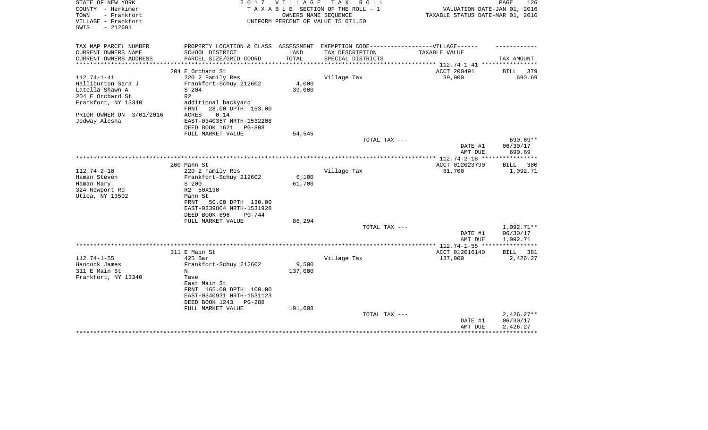| STATE OF NEW YORK<br>COUNTY - Herkimer<br>TOWN<br>- Frankfort | 2 0 1 7                                                                           | VILLAGE<br>OWNERS NAME SEQUENCE | T A X<br>R O L L<br>TAXABLE SECTION OF THE ROLL - 1 | VALUATION DATE-JAN 01, 2016<br>TAXABLE STATUS DATE-MAR 01, 2016 | PAGE<br>126                    |
|---------------------------------------------------------------|-----------------------------------------------------------------------------------|---------------------------------|-----------------------------------------------------|-----------------------------------------------------------------|--------------------------------|
| VILLAGE - Frankfort<br>$-212601$<br>SWIS                      |                                                                                   |                                 | UNIFORM PERCENT OF VALUE IS 071.50                  |                                                                 |                                |
| TAX MAP PARCEL NUMBER                                         | PROPERTY LOCATION & CLASS ASSESSMENT EXEMPTION CODE-----------------VILLAGE------ |                                 |                                                     |                                                                 |                                |
| CURRENT OWNERS NAME                                           | SCHOOL DISTRICT                                                                   | LAND                            | TAX DESCRIPTION                                     | TAXABLE VALUE                                                   |                                |
| CURRENT OWNERS ADDRESS                                        | PARCEL SIZE/GRID COORD                                                            | TOTAL                           | SPECIAL DISTRICTS                                   | *********** 112.74-1-41 ***                                     | TAX AMOUNT                     |
|                                                               | 204 E Orchard St                                                                  |                                 |                                                     | ACCT 200491                                                     | 379<br>BILL                    |
| $112.74 - 1 - 41$                                             | 220 2 Family Res                                                                  |                                 | Village Tax                                         | 39,000                                                          | 690.69                         |
| Halliburton Sara J                                            | Frankfort-Schuy 212602                                                            | 4,000                           |                                                     |                                                                 |                                |
| Latella Shawn A                                               | S 204                                                                             | 39,000                          |                                                     |                                                                 |                                |
| 204 E Orchard St                                              | R <sub>2</sub>                                                                    |                                 |                                                     |                                                                 |                                |
| Frankfort, NY 13340                                           | additional backyard<br>28.00 DPTH 153.00<br>FRNT                                  |                                 |                                                     |                                                                 |                                |
| PRIOR OWNER ON 3/01/2016<br>Jodway Alesha                     | 0.14<br>ACRES<br>EAST-0340357 NRTH-1532208                                        |                                 |                                                     |                                                                 |                                |
|                                                               | DEED BOOK 1621<br>PG-808                                                          |                                 |                                                     |                                                                 |                                |
|                                                               | FULL MARKET VALUE                                                                 | 54,545                          |                                                     |                                                                 |                                |
|                                                               |                                                                                   |                                 | TOTAL TAX ---                                       | DATE #1<br>AMT DUE                                              | 690.69**<br>06/30/17<br>690.69 |
|                                                               |                                                                                   |                                 |                                                     |                                                                 |                                |
|                                                               | 200 Mann St                                                                       |                                 |                                                     | ACCT 012023790                                                  | <b>BILL</b><br>380             |
| $112.74 - 2 - 18$                                             | 220 2 Family Res                                                                  |                                 | Village Tax                                         | 61,700                                                          | 1,092.71                       |
| Haman Steven                                                  | Frankfort-Schuy 212602                                                            | 6,100                           |                                                     |                                                                 |                                |
| Haman Mary                                                    | S 200                                                                             | 61,700                          |                                                     |                                                                 |                                |
| 324 Newport Rd                                                | R2 50X130                                                                         |                                 |                                                     |                                                                 |                                |
| Utica, NY 13502                                               | Mann St<br>50.00 DPTH 130.00<br>FRNT                                              |                                 |                                                     |                                                                 |                                |
|                                                               | EAST-0339804 NRTH-1531928                                                         |                                 |                                                     |                                                                 |                                |
|                                                               | DEED BOOK 696<br>$PG-744$                                                         |                                 |                                                     |                                                                 |                                |
|                                                               | FULL MARKET VALUE                                                                 | 86,294                          |                                                     |                                                                 |                                |
|                                                               |                                                                                   |                                 | TOTAL TAX ---                                       |                                                                 | 1,092.71**                     |
|                                                               |                                                                                   |                                 |                                                     | DATE #1                                                         | 06/30/17                       |
|                                                               |                                                                                   |                                 |                                                     | AMT DUE                                                         | 1,092.71                       |
|                                                               | 311 E Main St                                                                     |                                 |                                                     | ACCT 012016140                                                  | 381<br>BILL                    |
| $112.74 - 1 - 55$                                             | 425 Bar                                                                           |                                 | Village Tax                                         | 137,000                                                         | 2,426.27                       |
| Hancock James                                                 | Frankfort-Schuy 212602                                                            | 9,500                           |                                                     |                                                                 |                                |
| 311 E Main St                                                 | N                                                                                 | 137,000                         |                                                     |                                                                 |                                |
| Frankfort, NY 13340                                           | Tave                                                                              |                                 |                                                     |                                                                 |                                |
|                                                               | East Main St<br>FRNT 165.00 DPTH 100.00                                           |                                 |                                                     |                                                                 |                                |
|                                                               | EAST-0340931 NRTH-1531123                                                         |                                 |                                                     |                                                                 |                                |
|                                                               | DEED BOOK 1243<br>PG-288                                                          |                                 |                                                     |                                                                 |                                |
|                                                               | FULL MARKET VALUE                                                                 | 191,608                         |                                                     |                                                                 |                                |
|                                                               |                                                                                   |                                 | TOTAL TAX ---                                       |                                                                 | $2,426.27**$                   |
|                                                               |                                                                                   |                                 |                                                     | DATE #1                                                         | 06/30/17                       |
|                                                               |                                                                                   |                                 |                                                     | AMT DUE                                                         | 2,426.27                       |
|                                                               |                                                                                   |                                 |                                                     |                                                                 |                                |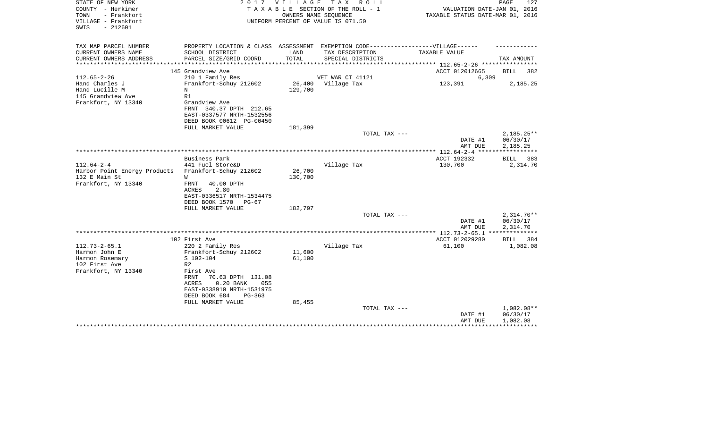| STATE OF NEW YORK<br>COUNTY - Herkimer<br>- Frankfort<br>TOWN<br>VILLAGE - Frankfort<br>SWIS<br>$-212601$ |                                                                                                     | 2017 VILLAGE        | TAX ROLL<br>TAXABLE SECTION OF THE ROLL - 1<br>OWNERS NAME SEOUENCE<br>UNIFORM PERCENT OF VALUE IS 071.50 | VALUATION DATE-JAN 01, 2016<br>TAXABLE STATUS DATE-MAR 01, 2016 | PAGE<br>127              |
|-----------------------------------------------------------------------------------------------------------|-----------------------------------------------------------------------------------------------------|---------------------|-----------------------------------------------------------------------------------------------------------|-----------------------------------------------------------------|--------------------------|
| TAX MAP PARCEL NUMBER<br>CURRENT OWNERS NAME                                                              | PROPERTY LOCATION & CLASS ASSESSMENT EXEMPTION CODE----------------VILLAGE------<br>SCHOOL DISTRICT | LAND                | TAX DESCRIPTION                                                                                           | TAXABLE VALUE                                                   |                          |
| CURRENT OWNERS ADDRESS                                                                                    | PARCEL SIZE/GRID COORD                                                                              | TOTAL               | SPECIAL DISTRICTS                                                                                         |                                                                 | TAX AMOUNT               |
|                                                                                                           | **************************                                                                          | ******************* |                                                                                                           | ************** 112.65-2-26 **********                           |                          |
|                                                                                                           | 145 Grandview Ave                                                                                   |                     |                                                                                                           | ACCT 012012665                                                  | 382<br>BILL              |
| $112.65 - 2 - 26$<br>Hand Charles J                                                                       | 210 1 Family Res<br>Frankfort-Schuy 212602                                                          | 26,400              | VET WAR CT 41121<br>Village Tax                                                                           | 6,309<br>123,391                                                | 2,185.25                 |
| Hand Lucille M                                                                                            | N                                                                                                   | 129,700             |                                                                                                           |                                                                 |                          |
| 145 Grandview Ave                                                                                         | R1                                                                                                  |                     |                                                                                                           |                                                                 |                          |
| Frankfort, NY 13340                                                                                       | Grandview Ave                                                                                       |                     |                                                                                                           |                                                                 |                          |
|                                                                                                           | FRNT 340.37 DPTH 212.65                                                                             |                     |                                                                                                           |                                                                 |                          |
|                                                                                                           | EAST-0337577 NRTH-1532556                                                                           |                     |                                                                                                           |                                                                 |                          |
|                                                                                                           | DEED BOOK 00612 PG-00450<br>FULL MARKET VALUE                                                       | 181,399             |                                                                                                           |                                                                 |                          |
|                                                                                                           |                                                                                                     |                     | TOTAL TAX ---                                                                                             |                                                                 | $2,185.25**$             |
|                                                                                                           |                                                                                                     |                     |                                                                                                           | DATE #1                                                         | 06/30/17                 |
|                                                                                                           |                                                                                                     |                     |                                                                                                           | AMT DUE                                                         | 2,185.25                 |
|                                                                                                           | Business Park                                                                                       |                     |                                                                                                           | ACCT 192332                                                     |                          |
| $112.64 - 2 - 4$                                                                                          | 441 Fuel Store&D                                                                                    |                     | Village Tax                                                                                               | 130,700                                                         | BILL<br>383<br>2,314.70  |
| Harbor Point Energy Products                                                                              | Frankfort-Schuy 212602                                                                              | 26,700              |                                                                                                           |                                                                 |                          |
| 132 E Main St                                                                                             | W                                                                                                   | 130,700             |                                                                                                           |                                                                 |                          |
| Frankfort, NY 13340                                                                                       | 40.00 DPTH<br>FRNT<br>2.80<br>ACRES                                                                 |                     |                                                                                                           |                                                                 |                          |
|                                                                                                           | EAST-0336517 NRTH-1534475<br>DEED BOOK 1570<br>$PG-67$                                              |                     |                                                                                                           |                                                                 |                          |
|                                                                                                           | FULL MARKET VALUE                                                                                   | 182,797             |                                                                                                           |                                                                 |                          |
|                                                                                                           |                                                                                                     |                     | TOTAL TAX ---                                                                                             | DATE #1                                                         | $2.314.70**$<br>06/30/17 |
|                                                                                                           |                                                                                                     |                     |                                                                                                           | AMT DUE                                                         | 2,314.70                 |
|                                                                                                           | 102 First Ave                                                                                       |                     |                                                                                                           | ACCT 012029280                                                  | 384<br>BILL              |
| $112.73 - 2 - 65.1$                                                                                       | 220 2 Family Res                                                                                    |                     | Village Tax                                                                                               | 61,100                                                          | 1,082.08                 |
| Harmon John E                                                                                             | Frankfort-Schuy 212602                                                                              | 11,600              |                                                                                                           |                                                                 |                          |
| Harmon Rosemary                                                                                           | $S$ 102-104                                                                                         | 61,100              |                                                                                                           |                                                                 |                          |
| 102 First Ave                                                                                             | R <sub>2</sub>                                                                                      |                     |                                                                                                           |                                                                 |                          |
| Frankfort, NY 13340                                                                                       | First Ave<br><b>FRNT</b><br>70.63 DPTH 131.08                                                       |                     |                                                                                                           |                                                                 |                          |
|                                                                                                           | 0.20 BANK<br>ACRES<br>055<br>EAST-0338910 NRTH-1531975                                              |                     |                                                                                                           |                                                                 |                          |
|                                                                                                           | DEED BOOK 684<br>$PG-363$                                                                           |                     |                                                                                                           |                                                                 |                          |
|                                                                                                           | FULL MARKET VALUE                                                                                   | 85,455              |                                                                                                           |                                                                 |                          |
|                                                                                                           |                                                                                                     |                     | TOTAL TAX ---                                                                                             |                                                                 | 1,082.08**               |
|                                                                                                           |                                                                                                     |                     |                                                                                                           | DATE #1                                                         | 06/30/17                 |
|                                                                                                           |                                                                                                     |                     |                                                                                                           | AMT DUE                                                         | 1,082.08                 |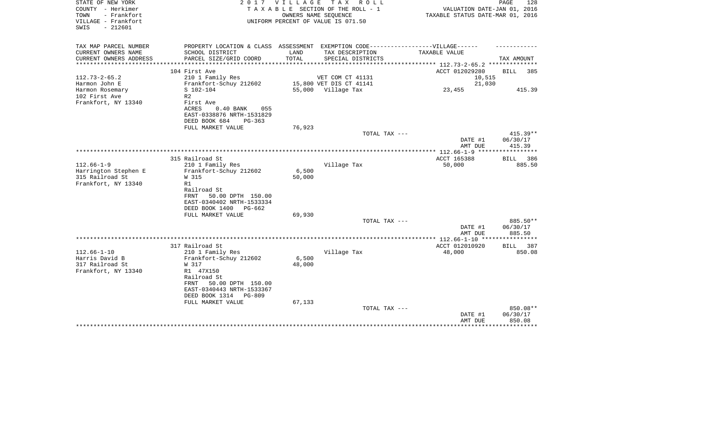| STATE OF NEW YORK<br>COUNTY - Herkimer<br>TOWN<br>- Frankfort<br>VILLAGE - Frankfort<br>SWIS<br>$-212601$ |                                                                                                                       | 2017 VILLAGE    | TAX ROLL<br>T A X A B L E SECTION OF THE ROLL - 1<br>OWNERS NAME SEOUENCE<br>UNIFORM PERCENT OF VALUE IS 071.50 | VALUATION DATE-JAN 01, 2016<br>TAXABLE STATUS DATE-MAR 01, 2016 | PAGE<br>128                      |
|-----------------------------------------------------------------------------------------------------------|-----------------------------------------------------------------------------------------------------------------------|-----------------|-----------------------------------------------------------------------------------------------------------------|-----------------------------------------------------------------|----------------------------------|
| TAX MAP PARCEL NUMBER<br>CURRENT OWNERS NAME                                                              | PROPERTY LOCATION & CLASS ASSESSMENT EXEMPTION CODE-----------------VILLAGE------<br>SCHOOL DISTRICT                  | LAND            | TAX DESCRIPTION                                                                                                 | TAXABLE VALUE                                                   |                                  |
| CURRENT OWNERS ADDRESS                                                                                    | PARCEL SIZE/GRID COORD                                                                                                | TOTAL           | SPECIAL DISTRICTS                                                                                               |                                                                 | TAX AMOUNT                       |
|                                                                                                           |                                                                                                                       |                 |                                                                                                                 | ********* 112.73-2-65.2 *******                                 |                                  |
|                                                                                                           | 104 First Ave                                                                                                         |                 |                                                                                                                 | ACCT 012029280                                                  | BILL<br>385                      |
| $112.73 - 2 - 65.2$                                                                                       | 210 1 Family Res                                                                                                      |                 | VET COM CT 41131                                                                                                | 10,515                                                          |                                  |
| Harmon John E<br>Harmon Rosemary                                                                          | Frankfort-Schuy 212602<br>S 102-104                                                                                   |                 | 15,800 VET DIS CT 41141<br>55,000 Village Tax                                                                   | 21,030<br>23,455                                                | 415.39                           |
| 102 First Ave<br>Frankfort, NY 13340                                                                      | R <sub>2</sub><br>First Ave<br>ACRES<br>$0.40$ BANK<br>055<br>EAST-0338876 NRTH-1531829                               |                 |                                                                                                                 |                                                                 |                                  |
|                                                                                                           | DEED BOOK 684<br>$PG-363$                                                                                             |                 |                                                                                                                 |                                                                 |                                  |
|                                                                                                           | FULL MARKET VALUE                                                                                                     | 76,923          |                                                                                                                 |                                                                 |                                  |
|                                                                                                           |                                                                                                                       |                 | TOTAL TAX ---                                                                                                   | DATE #1<br>AMT DUE                                              | $415.39**$<br>06/30/17<br>415.39 |
|                                                                                                           |                                                                                                                       |                 |                                                                                                                 |                                                                 | *****************                |
|                                                                                                           | 315 Railroad St                                                                                                       |                 |                                                                                                                 | ACCT 165388                                                     | BILL 386                         |
| $112.66 - 1 - 9$<br>Harrington Stephen E<br>315 Railroad St                                               | 210 1 Family Res<br>Frankfort-Schuy 212602<br>W 315                                                                   | 6,500<br>50,000 | Village Tax                                                                                                     | 50,000                                                          | 885.50                           |
| Frankfort, NY 13340                                                                                       | R1<br>Railroad St<br>50.00 DPTH 150.00<br>FRNT<br>EAST-0340402 NRTH-1533334<br>DEED BOOK 1400<br>$PG-662$             |                 |                                                                                                                 |                                                                 |                                  |
|                                                                                                           | FULL MARKET VALUE                                                                                                     | 69,930          | TOTAL TAX ---                                                                                                   |                                                                 | 885.50**                         |
|                                                                                                           |                                                                                                                       |                 |                                                                                                                 | DATE #1<br>AMT DUE                                              | 06/30/17<br>885.50               |
|                                                                                                           |                                                                                                                       |                 |                                                                                                                 | ******* 112.66-1-10 **                                          | **********                       |
|                                                                                                           | 317 Railroad St                                                                                                       |                 |                                                                                                                 | ACCT 012010920                                                  | BILL<br>387                      |
| $112.66 - 1 - 10$<br>Harris David B                                                                       | 210 1 Family Res<br>Frankfort-Schuy 212602                                                                            | 6,500           | Village Tax                                                                                                     | 48,000                                                          | 850.08                           |
| 317 Railroad St                                                                                           | W 317                                                                                                                 | 48,000          |                                                                                                                 |                                                                 |                                  |
| Frankfort, NY 13340                                                                                       | R1 47X150<br>Railroad St<br>50.00 DPTH 150.00<br>FRNT<br>EAST-0340443 NRTH-1533367<br>DEED BOOK 1314<br><b>PG-809</b> |                 |                                                                                                                 |                                                                 |                                  |
|                                                                                                           | FULL MARKET VALUE                                                                                                     | 67,133          |                                                                                                                 |                                                                 | 850.08**                         |
|                                                                                                           |                                                                                                                       |                 | TOTAL TAX ---                                                                                                   | DATE #1<br>AMT DUE                                              | 06/30/17<br>850.08               |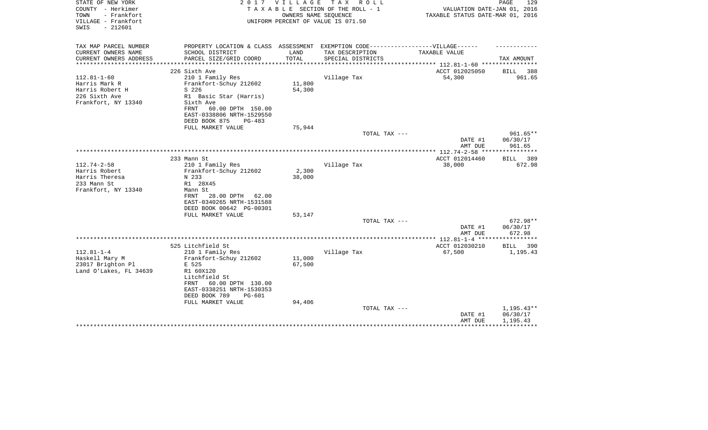| STATE OF NEW YORK<br>COUNTY - Herkimer<br>- Frankfort<br>TOWN<br>VILLAGE - Frankfort<br>$-212601$<br>SWIS | 2 0 1 7                                                                           | V I L L A G E | TAX ROLL<br>TAXABLE SECTION OF THE ROLL - 1<br>OWNERS NAME SEQUENCE<br>UNIFORM PERCENT OF VALUE IS 071.50 | VALUATION DATE-JAN 01, 2016<br>TAXABLE STATUS DATE-MAR 01, 2016 | PAGE<br>129              |
|-----------------------------------------------------------------------------------------------------------|-----------------------------------------------------------------------------------|---------------|-----------------------------------------------------------------------------------------------------------|-----------------------------------------------------------------|--------------------------|
| TAX MAP PARCEL NUMBER                                                                                     | PROPERTY LOCATION & CLASS ASSESSMENT EXEMPTION CODE-----------------VILLAGE------ |               |                                                                                                           |                                                                 |                          |
| CURRENT OWNERS NAME                                                                                       | SCHOOL DISTRICT                                                                   | LAND          | TAX DESCRIPTION                                                                                           | TAXABLE VALUE                                                   |                          |
| CURRENT OWNERS ADDRESS<br>**********************                                                          | PARCEL SIZE/GRID COORD                                                            | TOTAL         | SPECIAL DISTRICTS                                                                                         |                                                                 | TAX AMOUNT               |
|                                                                                                           | 226 Sixth Ave                                                                     |               |                                                                                                           | ACCT 012025050                                                  | <b>BILL</b><br>388       |
| $112.81 - 1 - 60$                                                                                         | 210 1 Family Res                                                                  |               | Village Tax                                                                                               | 54,300                                                          | 961.65                   |
| Harris Mark R                                                                                             | Frankfort-Schuy 212602                                                            | 11,800        |                                                                                                           |                                                                 |                          |
| Harris Robert H                                                                                           | S 226                                                                             | 54,300        |                                                                                                           |                                                                 |                          |
| 226 Sixth Ave                                                                                             | R1 Basic Star (Harris)                                                            |               |                                                                                                           |                                                                 |                          |
| Frankfort, NY 13340                                                                                       | Sixth Ave                                                                         |               |                                                                                                           |                                                                 |                          |
|                                                                                                           | 60.00 DPTH 150.00<br>FRNT                                                         |               |                                                                                                           |                                                                 |                          |
|                                                                                                           | EAST-0338806 NRTH-1529550                                                         |               |                                                                                                           |                                                                 |                          |
|                                                                                                           | DEED BOOK 875<br>$PG-483$<br>FULL MARKET VALUE                                    | 75,944        |                                                                                                           |                                                                 |                          |
|                                                                                                           |                                                                                   |               | TOTAL TAX ---                                                                                             |                                                                 | 961.65**                 |
|                                                                                                           |                                                                                   |               |                                                                                                           | DATE #1                                                         | 06/30/17                 |
|                                                                                                           |                                                                                   |               |                                                                                                           | AMT DUE                                                         | 961.65                   |
|                                                                                                           |                                                                                   |               |                                                                                                           |                                                                 |                          |
|                                                                                                           | 233 Mann St                                                                       |               |                                                                                                           | ACCT 012014460                                                  | BILL<br>389              |
| $112.74 - 2 - 58$                                                                                         | 210 1 Family Res                                                                  |               | Village Tax                                                                                               | 38,000                                                          | 672.98                   |
| Harris Robert                                                                                             | Frankfort-Schuy 212602                                                            | 2,300         |                                                                                                           |                                                                 |                          |
| Harris Theresa<br>233 Mann St                                                                             | N 233<br>R1 28X45                                                                 | 38,000        |                                                                                                           |                                                                 |                          |
| Frankfort, NY 13340                                                                                       | Mann St                                                                           |               |                                                                                                           |                                                                 |                          |
|                                                                                                           | 28.00 DPTH<br>FRNT<br>62.00                                                       |               |                                                                                                           |                                                                 |                          |
|                                                                                                           | EAST-0340265 NRTH-1531588                                                         |               |                                                                                                           |                                                                 |                          |
|                                                                                                           | DEED BOOK 00642 PG-00301                                                          |               |                                                                                                           |                                                                 |                          |
|                                                                                                           | FULL MARKET VALUE                                                                 | 53,147        |                                                                                                           |                                                                 |                          |
|                                                                                                           |                                                                                   |               | TOTAL TAX ---                                                                                             |                                                                 | 672.98**                 |
|                                                                                                           |                                                                                   |               |                                                                                                           | DATE #1                                                         | 06/30/17                 |
|                                                                                                           |                                                                                   |               |                                                                                                           | AMT DUE                                                         | 672.98                   |
|                                                                                                           | 525 Litchfield St                                                                 |               |                                                                                                           | ACCT 012030210                                                  | 390<br>BILL              |
| $112.81 - 1 - 4$                                                                                          | 210 1 Family Res                                                                  |               | Village Tax                                                                                               | 67,500                                                          | 1,195.43                 |
| Haskell Mary M                                                                                            | Frankfort-Schuy 212602                                                            | 11,000        |                                                                                                           |                                                                 |                          |
| 23017 Brighton Pl                                                                                         | E 525                                                                             | 67,500        |                                                                                                           |                                                                 |                          |
| Land O'Lakes, FL 34639                                                                                    | R1 60X120                                                                         |               |                                                                                                           |                                                                 |                          |
|                                                                                                           | Litchfield St                                                                     |               |                                                                                                           |                                                                 |                          |
|                                                                                                           | 60.00 DPTH 130.00<br>FRNT                                                         |               |                                                                                                           |                                                                 |                          |
|                                                                                                           | EAST-0338251 NRTH-1530353                                                         |               |                                                                                                           |                                                                 |                          |
|                                                                                                           | DEED BOOK 789<br>PG-601                                                           |               |                                                                                                           |                                                                 |                          |
|                                                                                                           | FULL MARKET VALUE                                                                 | 94,406        |                                                                                                           |                                                                 |                          |
|                                                                                                           |                                                                                   |               | TOTAL TAX ---                                                                                             | DATE #1                                                         | $1,195.43**$<br>06/30/17 |
|                                                                                                           |                                                                                   |               |                                                                                                           | AMT DUE                                                         | 1,195.43                 |
|                                                                                                           |                                                                                   |               |                                                                                                           |                                                                 |                          |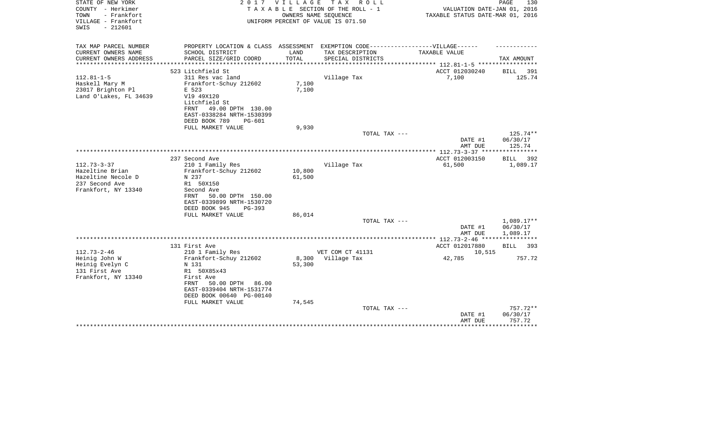| STATE OF NEW YORK<br>COUNTY - Herkimer<br>TOWN<br>- Frankfort<br>VILLAGE - Frankfort<br>$-212601$<br>SWIS | 2017                                                                                                                                                                                         | <b>VILLAGE</b>            | TAX ROLL<br>TAXABLE SECTION OF THE ROLL - 1<br>OWNERS NAME SEQUENCE<br>UNIFORM PERCENT OF VALUE IS 071.50 | VALUATION DATE-JAN 01, 2016<br>TAXABLE STATUS DATE-MAR 01, 2016 | PAGE<br>130                    |
|-----------------------------------------------------------------------------------------------------------|----------------------------------------------------------------------------------------------------------------------------------------------------------------------------------------------|---------------------------|-----------------------------------------------------------------------------------------------------------|-----------------------------------------------------------------|--------------------------------|
| TAX MAP PARCEL NUMBER<br>CURRENT OWNERS NAME                                                              | PROPERTY LOCATION & CLASS ASSESSMENT EXEMPTION CODE----------------VILLAGE------<br>SCHOOL DISTRICT                                                                                          | LAND                      | TAX DESCRIPTION                                                                                           | TAXABLE VALUE                                                   |                                |
| CURRENT OWNERS ADDRESS<br>*********************                                                           | PARCEL SIZE/GRID COORD                                                                                                                                                                       | TOTAL                     | SPECIAL DISTRICTS                                                                                         | *************************** 112.81-1-5 ******************       | TAX AMOUNT                     |
|                                                                                                           | 523 Litchfield St                                                                                                                                                                            |                           |                                                                                                           | ACCT 012030240                                                  | BILL<br>391                    |
| $112.81 - 1 - 5$<br>Haskell Mary M<br>23017 Brighton Pl<br>Land O'Lakes, FL 34639                         | 311 Res vac land<br>Frankfort-Schuy 212602<br>E 523<br>V19 49X120<br>Litchfield St<br>49.00 DPTH 130.00<br>FRNT<br>EAST-0338284 NRTH-1530399                                                 | 7,100<br>7,100            | Village Tax                                                                                               | 7,100                                                           | 125.74                         |
|                                                                                                           | DEED BOOK 789<br><b>PG-601</b><br>FULL MARKET VALUE                                                                                                                                          | 9,930                     |                                                                                                           |                                                                 |                                |
|                                                                                                           |                                                                                                                                                                                              |                           | TOTAL TAX ---                                                                                             |                                                                 | 125.74**                       |
|                                                                                                           |                                                                                                                                                                                              |                           |                                                                                                           | DATE #1<br>AMT DUE                                              | 06/30/17<br>125.74             |
|                                                                                                           |                                                                                                                                                                                              |                           |                                                                                                           |                                                                 |                                |
| $112.73 - 3 - 37$                                                                                         | 237 Second Ave<br>210 1 Family Res                                                                                                                                                           |                           | Village Tax                                                                                               | ACCT 012003150<br>61,500                                        | BILL<br>392<br>1,089.17        |
| Hazeltine Brian<br>Hazeltine Necole D<br>237 Second Ave<br>Frankfort, NY 13340                            | Frankfort-Schuy 212602<br>N 237<br>R1 50X150<br>Second Ave<br>50.00 DPTH 150.00<br>FRNT<br>EAST-0339899 NRTH-1530720<br>DEED BOOK 945<br>$PG-393$                                            | 10,800<br>61,500          |                                                                                                           |                                                                 |                                |
|                                                                                                           | FULL MARKET VALUE                                                                                                                                                                            | 86,014                    | TOTAL TAX ---                                                                                             |                                                                 | 1,089.17**                     |
|                                                                                                           |                                                                                                                                                                                              |                           |                                                                                                           | DATE #1<br>AMT DUE                                              | 06/30/17<br>1,089.17           |
|                                                                                                           |                                                                                                                                                                                              |                           |                                                                                                           |                                                                 |                                |
|                                                                                                           | 131 First Ave                                                                                                                                                                                |                           |                                                                                                           | ACCT 012017880                                                  | BILL<br>393                    |
| $112.73 - 2 - 46$<br>Heinig John W<br>Heinig Evelyn C<br>131 First Ave<br>Frankfort, NY 13340             | 210 1 Family Res<br>Frankfort-Schuy 212602<br>N 131<br>R1 50X85x43<br>First Ave<br>FRNT<br>50.00 DPTH<br>86.00<br>EAST-0339404 NRTH-1531774<br>DEED BOOK 00640 PG-00140<br>FULL MARKET VALUE | 8,300<br>53,300<br>74,545 | VET COM CT 41131<br>Village Tax                                                                           | 10,515<br>42,785                                                | 757.72                         |
|                                                                                                           |                                                                                                                                                                                              |                           | TOTAL TAX ---                                                                                             | DATE #1<br>AMT DUE                                              | 757.72**<br>06/30/17<br>757.72 |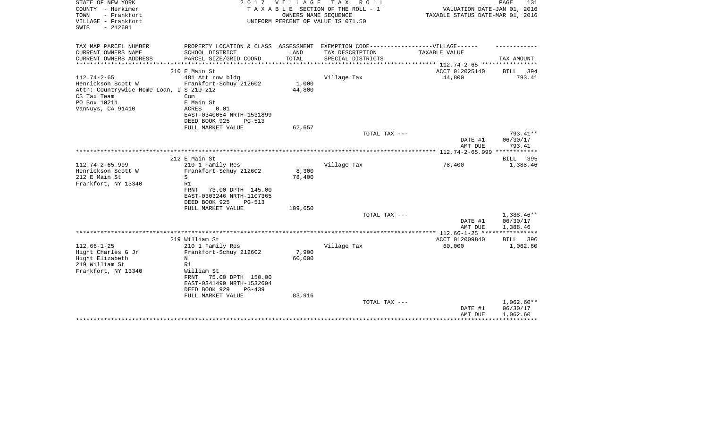| STATE OF NEW YORK<br>COUNTY - Herkimer<br>- Frankfort<br>TOWN<br>VILLAGE - Frankfort<br>$-212601$<br>SWIS | 2 0 1 7                                    | <b>VILLAGE</b><br>OWNERS NAME SEQUENCE | TAX ROLL<br>TAXABLE SECTION OF THE ROLL - 1<br>UNIFORM PERCENT OF VALUE IS 071.50 | VALUATION DATE-JAN 01, 2016<br>TAXABLE STATUS DATE-MAR 01, 2016 | PAGE<br>131          |
|-----------------------------------------------------------------------------------------------------------|--------------------------------------------|----------------------------------------|-----------------------------------------------------------------------------------|-----------------------------------------------------------------|----------------------|
| TAX MAP PARCEL NUMBER                                                                                     |                                            |                                        | PROPERTY LOCATION & CLASS ASSESSMENT EXEMPTION CODE-----------------VILLAGE------ |                                                                 |                      |
| CURRENT OWNERS NAME<br>CURRENT OWNERS ADDRESS                                                             | SCHOOL DISTRICT<br>PARCEL SIZE/GRID COORD  | LAND<br>TOTAL                          | TAX DESCRIPTION<br>SPECIAL DISTRICTS                                              | TAXABLE VALUE                                                   | TAX AMOUNT           |
| ***************                                                                                           |                                            | ******************                     |                                                                                   | **************************** 112.74-2-65 *****************      |                      |
|                                                                                                           | 210 E Main St                              |                                        |                                                                                   | ACCT 012025140                                                  | BILL<br>394          |
| $112.74 - 2 - 65$                                                                                         | 481 Att row bldg                           |                                        | Village Tax                                                                       | 44,800                                                          | 793.41               |
| Henrickson Scott W                                                                                        | Frankfort-Schuy 212602                     | 1,000                                  |                                                                                   |                                                                 |                      |
| Attn: Countrywide Home Loan, I S 210-212                                                                  |                                            | 44,800                                 |                                                                                   |                                                                 |                      |
| CS Tax Team                                                                                               | Com                                        |                                        |                                                                                   |                                                                 |                      |
| PO Box 10211                                                                                              | E Main St                                  |                                        |                                                                                   |                                                                 |                      |
| VanNuys, CA 91410                                                                                         | 0.01<br>ACRES<br>EAST-0340054 NRTH-1531899 |                                        |                                                                                   |                                                                 |                      |
|                                                                                                           | DEED BOOK 925<br><b>PG-513</b>             |                                        |                                                                                   |                                                                 |                      |
|                                                                                                           | FULL MARKET VALUE                          | 62,657                                 |                                                                                   |                                                                 |                      |
|                                                                                                           |                                            |                                        | TOTAL TAX ---                                                                     |                                                                 | 793.41**             |
|                                                                                                           |                                            |                                        |                                                                                   | DATE #1<br>AMT DUE                                              | 06/30/17<br>793.41   |
|                                                                                                           |                                            |                                        |                                                                                   |                                                                 |                      |
|                                                                                                           | 212 E Main St                              |                                        |                                                                                   |                                                                 | 395<br>BILL          |
| 112.74-2-65.999                                                                                           | 210 1 Family Res                           |                                        | Village Tax                                                                       | 78,400                                                          | 1,388.46             |
| Henrickson Scott W                                                                                        | Frankfort-Schuy 212602                     | 8,300                                  |                                                                                   |                                                                 |                      |
| 212 E Main St                                                                                             | S                                          | 78,400                                 |                                                                                   |                                                                 |                      |
| Frankfort, NY 13340                                                                                       | R1<br><b>FRNT</b><br>73.00 DPTH 145.00     |                                        |                                                                                   |                                                                 |                      |
|                                                                                                           | EAST-0303246 NRTH-1107365                  |                                        |                                                                                   |                                                                 |                      |
|                                                                                                           | DEED BOOK 925<br>$PG-513$                  |                                        |                                                                                   |                                                                 |                      |
|                                                                                                           | FULL MARKET VALUE                          | 109,650                                |                                                                                   |                                                                 |                      |
|                                                                                                           |                                            |                                        | TOTAL TAX ---                                                                     |                                                                 | 1,388.46**           |
|                                                                                                           |                                            |                                        |                                                                                   | DATE #1<br>AMT DUE                                              | 06/30/17<br>1,388.46 |
|                                                                                                           |                                            |                                        |                                                                                   |                                                                 | ************         |
|                                                                                                           | 219 William St                             |                                        |                                                                                   | ACCT 012009840                                                  | BILL<br>396          |
| $112.66 - 1 - 25$                                                                                         | 210 1 Family Res                           |                                        | Village Tax                                                                       | 60,000                                                          | 1,062.60             |
| Hight Charles G Jr                                                                                        | Frankfort-Schuy 212602                     | 7,900                                  |                                                                                   |                                                                 |                      |
| Hight Elizabeth<br>219 William St                                                                         | N<br>R1                                    | 60,000                                 |                                                                                   |                                                                 |                      |
| Frankfort, NY 13340                                                                                       | William St                                 |                                        |                                                                                   |                                                                 |                      |
|                                                                                                           | 75.00 DPTH 150.00<br>FRNT                  |                                        |                                                                                   |                                                                 |                      |
|                                                                                                           | EAST-0341499 NRTH-1532694                  |                                        |                                                                                   |                                                                 |                      |
|                                                                                                           | DEED BOOK 929<br>$PG-439$                  |                                        |                                                                                   |                                                                 |                      |
|                                                                                                           | FULL MARKET VALUE                          | 83,916                                 |                                                                                   |                                                                 |                      |
|                                                                                                           |                                            |                                        | TOTAL TAX ---                                                                     |                                                                 | 1,062.60**           |
|                                                                                                           |                                            |                                        |                                                                                   | DATE #1                                                         | 06/30/17             |
|                                                                                                           |                                            |                                        |                                                                                   | AMT DUE                                                         | 1,062.60             |
|                                                                                                           |                                            |                                        |                                                                                   |                                                                 |                      |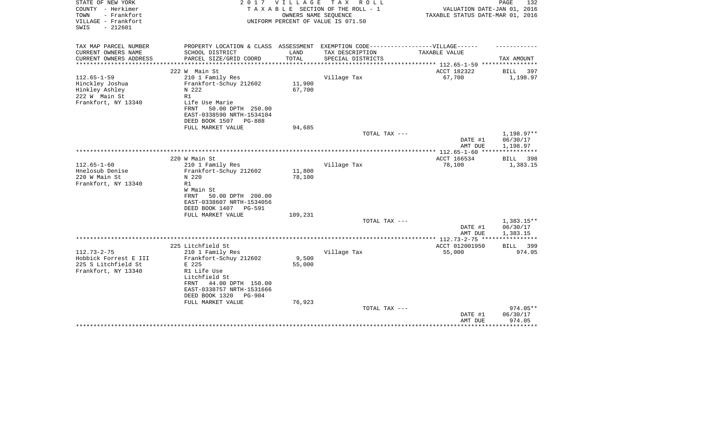| STATE OF NEW YORK<br>COUNTY - Herkimer<br>TOWN<br>- Frankfort<br>VILLAGE - Frankfort | 2017                                                                              | VILLAGE | T A X<br>R O L L<br>TAXABLE SECTION OF THE ROLL - 1<br>OWNERS NAME SEQUENCE<br>UNIFORM PERCENT OF VALUE IS 071.50 | VALUATION DATE-JAN 01, 2016<br>TAXABLE STATUS DATE-MAR 01, 2016 | PAGE<br>132              |
|--------------------------------------------------------------------------------------|-----------------------------------------------------------------------------------|---------|-------------------------------------------------------------------------------------------------------------------|-----------------------------------------------------------------|--------------------------|
| $-212601$<br>SWIS                                                                    |                                                                                   |         |                                                                                                                   |                                                                 |                          |
| TAX MAP PARCEL NUMBER                                                                | PROPERTY LOCATION & CLASS ASSESSMENT EXEMPTION CODE-----------------VILLAGE------ |         |                                                                                                                   |                                                                 |                          |
| CURRENT OWNERS NAME                                                                  | SCHOOL DISTRICT                                                                   | LAND    | TAX DESCRIPTION                                                                                                   | <b>TAXABLE VALUE</b>                                            |                          |
| CURRENT OWNERS ADDRESS<br>**********************                                     | PARCEL SIZE/GRID COORD                                                            | TOTAL   | SPECIAL DISTRICTS                                                                                                 |                                                                 | TAX AMOUNT               |
|                                                                                      | 222 W Main St                                                                     |         |                                                                                                                   | ACCT 182322                                                     | BILL<br>397              |
| $112.65 - 1 - 59$                                                                    | 210 1 Family Res                                                                  |         | Village Tax                                                                                                       | 67,700                                                          | 1,198.97                 |
| Hinckley Joshua                                                                      | Frankfort-Schuy 212602                                                            | 11,900  |                                                                                                                   |                                                                 |                          |
| Hinkley Ashley                                                                       | N 222<br>R1                                                                       | 67,700  |                                                                                                                   |                                                                 |                          |
| 222 W Main St<br>Frankfort, NY 13340                                                 | Life Use Marie                                                                    |         |                                                                                                                   |                                                                 |                          |
|                                                                                      | 50.00 DPTH 250.00<br><b>FRNT</b>                                                  |         |                                                                                                                   |                                                                 |                          |
|                                                                                      | EAST-0338590 NRTH-1534104                                                         |         |                                                                                                                   |                                                                 |                          |
|                                                                                      | DEED BOOK 1507<br>PG-888                                                          |         |                                                                                                                   |                                                                 |                          |
|                                                                                      | FULL MARKET VALUE                                                                 | 94,685  |                                                                                                                   |                                                                 |                          |
|                                                                                      |                                                                                   |         | TOTAL TAX ---                                                                                                     | DATE #1                                                         | $1,198.97**$<br>06/30/17 |
|                                                                                      |                                                                                   |         |                                                                                                                   | AMT DUE                                                         | 1,198.97                 |
|                                                                                      |                                                                                   |         |                                                                                                                   | ***************** 112.65-1-60 ****                              | ************             |
|                                                                                      | 220 W Main St                                                                     |         |                                                                                                                   | ACCT 166534                                                     | 398<br>BILL              |
| $112.65 - 1 - 60$                                                                    | 210 1 Family Res                                                                  |         | Village Tax                                                                                                       | 78,100                                                          | 1,383.15                 |
| Hnelosub Denise                                                                      | Frankfort-Schuy 212602                                                            | 11,800  |                                                                                                                   |                                                                 |                          |
| 220 W Main St<br>Frankfort, NY 13340                                                 | N 220<br>R1                                                                       | 78,100  |                                                                                                                   |                                                                 |                          |
|                                                                                      | W Main St                                                                         |         |                                                                                                                   |                                                                 |                          |
|                                                                                      | 50.00 DPTH 200.00<br><b>FRNT</b>                                                  |         |                                                                                                                   |                                                                 |                          |
|                                                                                      | EAST-0338607 NRTH-1534056                                                         |         |                                                                                                                   |                                                                 |                          |
|                                                                                      | DEED BOOK 1407<br>PG-591                                                          |         |                                                                                                                   |                                                                 |                          |
|                                                                                      | FULL MARKET VALUE                                                                 | 109,231 |                                                                                                                   |                                                                 |                          |
|                                                                                      |                                                                                   |         | TOTAL TAX ---                                                                                                     | DATE #1                                                         | 1,383.15**<br>06/30/17   |
|                                                                                      |                                                                                   |         |                                                                                                                   | AMT DUE                                                         | 1,383.15                 |
|                                                                                      |                                                                                   |         |                                                                                                                   | ************** 112.73-2-75 ****                                 |                          |
|                                                                                      | 225 Litchfield St                                                                 |         |                                                                                                                   | ACCT 012001950                                                  | 399<br><b>BILL</b>       |
| $112.73 - 2 - 75$                                                                    | 210 1 Family Res                                                                  |         | Village Tax                                                                                                       | 55,000                                                          | 974.05                   |
| Hobbick Forrest E III                                                                | Frankfort-Schuy 212602                                                            | 9,500   |                                                                                                                   |                                                                 |                          |
| 225 S Litchfield St<br>Frankfort, NY 13340                                           | E 225<br>R1 Life Use                                                              | 55,000  |                                                                                                                   |                                                                 |                          |
|                                                                                      | Litchfield St                                                                     |         |                                                                                                                   |                                                                 |                          |
|                                                                                      | 44.00 DPTH 150.00<br>FRNT                                                         |         |                                                                                                                   |                                                                 |                          |
|                                                                                      | EAST-0338757 NRTH-1531666                                                         |         |                                                                                                                   |                                                                 |                          |
|                                                                                      | DEED BOOK 1320<br><b>PG-904</b>                                                   |         |                                                                                                                   |                                                                 |                          |
|                                                                                      | FULL MARKET VALUE                                                                 | 76,923  | TOTAL TAX ---                                                                                                     |                                                                 | $974.05**$               |
|                                                                                      |                                                                                   |         |                                                                                                                   | DATE #1                                                         | 06/30/17                 |
|                                                                                      |                                                                                   |         |                                                                                                                   | AMT DUE                                                         | 974.05                   |
|                                                                                      |                                                                                   |         |                                                                                                                   |                                                                 | * * * * * * * * *        |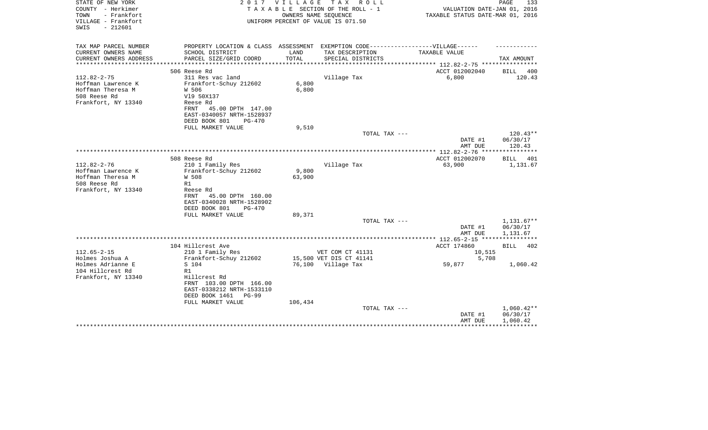| STATE OF NEW YORK<br>COUNTY - Herkimer<br>- Frankfort<br>TOWN<br>VILLAGE - Frankfort<br>$-212601$<br>SWIS | 2 0 1 7                                                                           | VILLAGE | T A X<br>R O L L<br>TAXABLE SECTION OF THE ROLL - 1<br>OWNERS NAME SEQUENCE<br>UNIFORM PERCENT OF VALUE IS 071.50 | VALUATION DATE-JAN 01, 2016<br>TAXABLE STATUS DATE-MAR 01, 2016 | PAGE<br>133           |
|-----------------------------------------------------------------------------------------------------------|-----------------------------------------------------------------------------------|---------|-------------------------------------------------------------------------------------------------------------------|-----------------------------------------------------------------|-----------------------|
| TAX MAP PARCEL NUMBER                                                                                     | PROPERTY LOCATION & CLASS ASSESSMENT EXEMPTION CODE-----------------VILLAGE------ |         |                                                                                                                   |                                                                 |                       |
| CURRENT OWNERS NAME                                                                                       | SCHOOL DISTRICT                                                                   | LAND    | TAX DESCRIPTION                                                                                                   | TAXABLE VALUE                                                   |                       |
| CURRENT OWNERS ADDRESS<br>**********************                                                          | PARCEL SIZE/GRID COORD                                                            | TOTAL   | SPECIAL DISTRICTS                                                                                                 |                                                                 | TAX AMOUNT            |
|                                                                                                           | 506 Reese Rd                                                                      |         |                                                                                                                   | ACCT 012002040                                                  | BILL<br>400           |
| $112.82 - 2 - 75$                                                                                         | 311 Res vac land                                                                  |         | Village Tax                                                                                                       | 6,800                                                           | 120.43                |
| Hoffman Lawrence K                                                                                        | Frankfort-Schuy 212602                                                            | 6,800   |                                                                                                                   |                                                                 |                       |
| Hoffman Theresa M                                                                                         | W 506                                                                             | 6,800   |                                                                                                                   |                                                                 |                       |
| 508 Reese Rd                                                                                              | V19 50X137                                                                        |         |                                                                                                                   |                                                                 |                       |
| Frankfort, NY 13340                                                                                       | Reese Rd<br>45.00 DPTH 147.00<br>FRNT                                             |         |                                                                                                                   |                                                                 |                       |
|                                                                                                           | EAST-0340057 NRTH-1528937                                                         |         |                                                                                                                   |                                                                 |                       |
|                                                                                                           | DEED BOOK 801<br>$PG-470$                                                         |         |                                                                                                                   |                                                                 |                       |
|                                                                                                           | FULL MARKET VALUE                                                                 | 9,510   |                                                                                                                   |                                                                 |                       |
|                                                                                                           |                                                                                   |         | TOTAL TAX ---                                                                                                     |                                                                 | $120.43**$            |
|                                                                                                           |                                                                                   |         |                                                                                                                   | DATE #1                                                         | 06/30/17              |
|                                                                                                           |                                                                                   |         |                                                                                                                   | AMT DUE                                                         | 120.43                |
|                                                                                                           | 508 Reese Rd                                                                      |         |                                                                                                                   | ACCT 012002070                                                  | BILL<br>401           |
| $112.82 - 2 - 76$                                                                                         | 210 1 Family Res                                                                  |         | Village Tax                                                                                                       | 63,900                                                          | 1,131.67              |
| Hoffman Lawrence K                                                                                        | Frankfort-Schuy 212602                                                            | 9,800   |                                                                                                                   |                                                                 |                       |
| Hoffman Theresa M                                                                                         | W 508                                                                             | 63,900  |                                                                                                                   |                                                                 |                       |
| 508 Reese Rd<br>Frankfort, NY 13340                                                                       | R1<br>Reese Rd                                                                    |         |                                                                                                                   |                                                                 |                       |
|                                                                                                           | 45.00 DPTH 160.00<br>FRNT                                                         |         |                                                                                                                   |                                                                 |                       |
|                                                                                                           | EAST-0340028 NRTH-1528902                                                         |         |                                                                                                                   |                                                                 |                       |
|                                                                                                           | DEED BOOK 801<br>$PG-470$                                                         |         |                                                                                                                   |                                                                 |                       |
|                                                                                                           | FULL MARKET VALUE                                                                 | 89,371  |                                                                                                                   |                                                                 |                       |
|                                                                                                           |                                                                                   |         | TOTAL TAX ---                                                                                                     |                                                                 | $1,131.67**$          |
|                                                                                                           |                                                                                   |         |                                                                                                                   | DATE #1<br>AMT DUE                                              | 06/30/17<br>1,131.67  |
|                                                                                                           |                                                                                   |         |                                                                                                                   |                                                                 |                       |
|                                                                                                           | 104 Hillcrest Ave                                                                 |         |                                                                                                                   | ACCT 174860                                                     | <b>BILL</b><br>402    |
| $112.65 - 2 - 15$                                                                                         | 210 1 Family Res                                                                  |         | VET COM CT 41131                                                                                                  | 10,515                                                          |                       |
| Holmes Joshua A                                                                                           | Frankfort-Schuy 212602                                                            |         | 15,500 VET DIS CT 41141                                                                                           | 5,708                                                           |                       |
| Holmes Adrianne E                                                                                         | S 104                                                                             |         | 76,100 Village Tax                                                                                                | 59,877                                                          | 1,060.42              |
| 104 Hillcrest Rd<br>Frankfort, NY 13340                                                                   | R1<br>Hillcrest Rd                                                                |         |                                                                                                                   |                                                                 |                       |
|                                                                                                           | FRNT 103.00 DPTH 166.00                                                           |         |                                                                                                                   |                                                                 |                       |
|                                                                                                           | EAST-0338212 NRTH-1533110                                                         |         |                                                                                                                   |                                                                 |                       |
|                                                                                                           | DEED BOOK 1461<br>$PG-99$                                                         |         |                                                                                                                   |                                                                 |                       |
|                                                                                                           | FULL MARKET VALUE                                                                 | 106,434 |                                                                                                                   |                                                                 |                       |
|                                                                                                           |                                                                                   |         | TOTAL TAX ---                                                                                                     |                                                                 | $1,060.42**$          |
|                                                                                                           |                                                                                   |         |                                                                                                                   | DATE #1<br>AMT DUE                                              | 06/30/17<br>1,060.42  |
|                                                                                                           |                                                                                   |         |                                                                                                                   |                                                                 | * * * * * * * * * * * |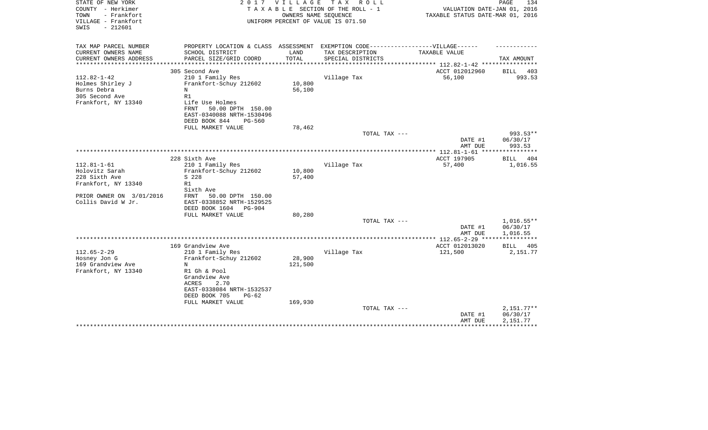| STATE OF NEW YORK<br>COUNTY - Herkimer<br>TOWN<br>- Frankfort<br>VILLAGE - Frankfort<br>$-212601$<br>SWIS | 2017                                                                                                                                                                            | VILLAGE           | T A X<br>R O L L<br>TAXABLE SECTION OF THE ROLL - 1<br>OWNERS NAME SEQUENCE<br>UNIFORM PERCENT OF VALUE IS 071.50 | VALUATION DATE-JAN 01, 2016<br>TAXABLE STATUS DATE-MAR 01, 2016 | PAGE<br>134                          |
|-----------------------------------------------------------------------------------------------------------|---------------------------------------------------------------------------------------------------------------------------------------------------------------------------------|-------------------|-------------------------------------------------------------------------------------------------------------------|-----------------------------------------------------------------|--------------------------------------|
| TAX MAP PARCEL NUMBER                                                                                     | PROPERTY LOCATION & CLASS ASSESSMENT EXEMPTION CODE-----------------VILLAGE------                                                                                               |                   |                                                                                                                   |                                                                 |                                      |
| CURRENT OWNERS NAME<br>CURRENT OWNERS ADDRESS                                                             | SCHOOL DISTRICT<br>PARCEL SIZE/GRID COORD                                                                                                                                       | LAND<br>TOTAL     | TAX DESCRIPTION<br>SPECIAL DISTRICTS                                                                              | TAXABLE VALUE                                                   | TAX AMOUNT                           |
| *******************                                                                                       | **************************                                                                                                                                                      | ****************  |                                                                                                                   | ***************** 112.82-1-42 *****************                 |                                      |
| $112.82 - 1 - 42$<br>Holmes Shirley J<br>Burns Debra<br>305 Second Ave<br>Frankfort, NY 13340             | 305 Second Ave<br>210 1 Family Res<br>Frankfort-Schuy 212602<br>N<br>R1<br>Life Use Holmes<br>50.00 DPTH 150.00<br>FRNT<br>EAST-0340088 NRTH-1530496<br>DEED BOOK 844<br>PG-560 | 10,800<br>56,100  | Village Tax                                                                                                       | ACCT 012012960<br>56,100                                        | BILL 403<br>993.53                   |
|                                                                                                           | FULL MARKET VALUE                                                                                                                                                               | 78,462            |                                                                                                                   |                                                                 |                                      |
|                                                                                                           |                                                                                                                                                                                 |                   | TOTAL TAX ---                                                                                                     | DATE #1<br>AMT DUE                                              | 993.53**<br>06/30/17<br>993.53       |
|                                                                                                           |                                                                                                                                                                                 |                   |                                                                                                                   |                                                                 |                                      |
| $112.81 - 1 - 61$<br>Holovitz Sarah<br>228 Sixth Ave<br>Frankfort, NY 13340                               | 228 Sixth Ave<br>210 1 Family Res<br>Frankfort-Schuy 212602<br>S 228<br>R1<br>Sixth Ave                                                                                         | 10,800<br>57,400  | Village Tax                                                                                                       | ACCT 197905<br>57,400                                           | BILL<br>404<br>1,016.55              |
| PRIOR OWNER ON 3/01/2016<br>Collis David W Jr.                                                            | 50.00 DPTH 150.00<br>FRNT<br>EAST-0338852 NRTH-1529525<br>DEED BOOK 1604<br>PG-904<br>FULL MARKET VALUE                                                                         | 80,280            | TOTAL TAX ---                                                                                                     | DATE #1                                                         | $1,016.55**$<br>06/30/17             |
|                                                                                                           |                                                                                                                                                                                 |                   |                                                                                                                   | AMT DUE                                                         | 1,016.55                             |
|                                                                                                           | 169 Grandview Ave                                                                                                                                                               |                   |                                                                                                                   | ACCT 012013020                                                  | BILL<br>405                          |
| $112.65 - 2 - 29$<br>Hosney Jon G<br>169 Grandview Ave<br>Frankfort, NY 13340                             | 210 1 Family Res<br>Frankfort-Schuy 212602<br>N<br>R1 Gh & Pool<br>Grandview Ave<br>2.70<br>ACRES<br>EAST-0338084 NRTH-1532537<br>DEED BOOK 705<br>$PG-62$                      | 28,900<br>121,500 | Village Tax                                                                                                       | 121,500                                                         | 2,151.77                             |
|                                                                                                           | FULL MARKET VALUE                                                                                                                                                               | 169,930           | TOTAL TAX ---                                                                                                     | DATE #1<br>AMT DUE                                              | $2,151.77**$<br>06/30/17<br>2,151.77 |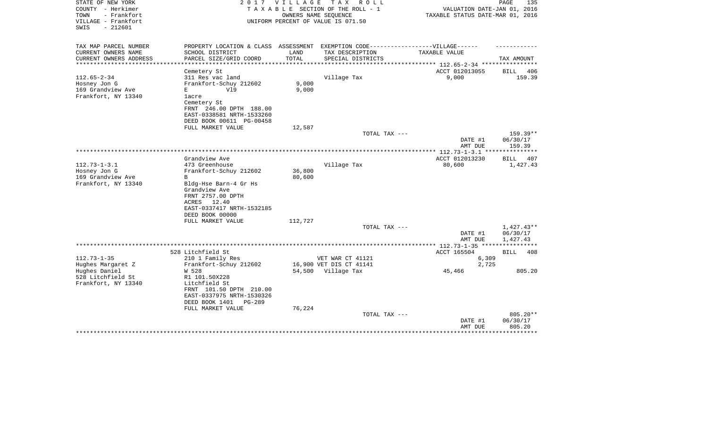| STATE OF NEW YORK<br>COUNTY - Herkimer<br>- Frankfort<br>TOWN<br>VILLAGE - Frankfort<br>$-212601$<br>SWIS | 2 0 1 7                                                                           |         | VILLAGE TAX ROLL<br>TAXABLE SECTION OF THE ROLL - 1<br>OWNERS NAME SEQUENCE<br>UNIFORM PERCENT OF VALUE IS 071.50 | VALUATION DATE-JAN 01, 2016<br>TAXABLE STATUS DATE-MAR 01, 2016 | PAGE<br>135        |
|-----------------------------------------------------------------------------------------------------------|-----------------------------------------------------------------------------------|---------|-------------------------------------------------------------------------------------------------------------------|-----------------------------------------------------------------|--------------------|
| TAX MAP PARCEL NUMBER                                                                                     | PROPERTY LOCATION & CLASS ASSESSMENT EXEMPTION CODE-----------------VILLAGE------ |         |                                                                                                                   |                                                                 |                    |
| CURRENT OWNERS NAME                                                                                       | SCHOOL DISTRICT                                                                   | LAND    | TAX DESCRIPTION                                                                                                   | TAXABLE VALUE                                                   |                    |
| CURRENT OWNERS ADDRESS<br>*********************                                                           | PARCEL SIZE/GRID COORD<br>************************************                    | TOTAL   | SPECIAL DISTRICTS                                                                                                 | ********************************* 112.65-2-34 ****************  | TAX AMOUNT         |
|                                                                                                           | Cemetery St                                                                       |         |                                                                                                                   | ACCT 012013055                                                  | <b>BILL</b><br>406 |
| $112.65 - 2 - 34$                                                                                         | 311 Res vac land                                                                  |         | Village Tax                                                                                                       | 9,000                                                           | 159.39             |
| Hosney Jon G                                                                                              | Frankfort-Schuy 212602                                                            | 9,000   |                                                                                                                   |                                                                 |                    |
| 169 Grandview Ave                                                                                         | V19<br>Е                                                                          | 9,000   |                                                                                                                   |                                                                 |                    |
| Frankfort, NY 13340                                                                                       | lacre                                                                             |         |                                                                                                                   |                                                                 |                    |
|                                                                                                           | Cemetery St                                                                       |         |                                                                                                                   |                                                                 |                    |
|                                                                                                           | FRNT 246.00 DPTH 188.00                                                           |         |                                                                                                                   |                                                                 |                    |
|                                                                                                           | EAST-0338581 NRTH-1533260<br>DEED BOOK 00611 PG-00458                             |         |                                                                                                                   |                                                                 |                    |
|                                                                                                           | FULL MARKET VALUE                                                                 | 12,587  |                                                                                                                   |                                                                 |                    |
|                                                                                                           |                                                                                   |         | TOTAL TAX ---                                                                                                     |                                                                 | 159.39**           |
|                                                                                                           |                                                                                   |         |                                                                                                                   | DATE #1                                                         | 06/30/17           |
|                                                                                                           |                                                                                   |         |                                                                                                                   | AMT DUE                                                         | 159.39             |
|                                                                                                           |                                                                                   |         | **********************                                                                                            | ************ 112.73-1-3.1 **                                    | **********         |
| $112.73 - 1 - 3.1$                                                                                        | Grandview Ave<br>473 Greenhouse                                                   |         |                                                                                                                   | ACCT 012013230                                                  | BILL 407           |
| Hosney Jon G                                                                                              | Frankfort-Schuy 212602                                                            | 36,800  | Village Tax                                                                                                       | 80,600                                                          | 1,427.43           |
| 169 Grandview Ave                                                                                         | B                                                                                 | 80,600  |                                                                                                                   |                                                                 |                    |
| Frankfort, NY 13340                                                                                       | Bldg-Hse Barn-4 Gr Hs                                                             |         |                                                                                                                   |                                                                 |                    |
|                                                                                                           | Grandview Ave                                                                     |         |                                                                                                                   |                                                                 |                    |
|                                                                                                           | FRNT 2757.00 DPTH                                                                 |         |                                                                                                                   |                                                                 |                    |
|                                                                                                           | ACRES 12.40                                                                       |         |                                                                                                                   |                                                                 |                    |
|                                                                                                           | EAST-0337417 NRTH-1532185                                                         |         |                                                                                                                   |                                                                 |                    |
|                                                                                                           | DEED BOOK 00000<br>FULL MARKET VALUE                                              | 112,727 |                                                                                                                   |                                                                 |                    |
|                                                                                                           |                                                                                   |         | TOTAL TAX ---                                                                                                     |                                                                 | $1,427.43**$       |
|                                                                                                           |                                                                                   |         |                                                                                                                   | DATE #1                                                         | 06/30/17           |
|                                                                                                           |                                                                                   |         |                                                                                                                   | AMT DUE                                                         | 1,427.43           |
|                                                                                                           |                                                                                   |         |                                                                                                                   |                                                                 |                    |
|                                                                                                           | 528 Litchfield St                                                                 |         |                                                                                                                   | ACCT 165504                                                     | BILL 408           |
| $112.73 - 1 - 35$                                                                                         | 210 1 Family Res                                                                  |         | VET WAR CT 41121                                                                                                  | 6,309                                                           |                    |
| Hughes Margaret Z                                                                                         | Frankfort-Schuy 212602                                                            |         | 16,900 VET DIS CT 41141                                                                                           | 2,725                                                           |                    |
| Hughes Daniel<br>528 Litchfield St                                                                        | W 528<br>R1 101.50X228                                                            |         | 54,500 Village Tax                                                                                                | 45,466                                                          | 805.20             |
| Frankfort, NY 13340                                                                                       | Litchfield St                                                                     |         |                                                                                                                   |                                                                 |                    |
|                                                                                                           | FRNT 101.50 DPTH 210.00                                                           |         |                                                                                                                   |                                                                 |                    |
|                                                                                                           | EAST-0337975 NRTH-1530326                                                         |         |                                                                                                                   |                                                                 |                    |
|                                                                                                           | DEED BOOK 1401<br>PG-289                                                          |         |                                                                                                                   |                                                                 |                    |
|                                                                                                           | FULL MARKET VALUE                                                                 | 76,224  |                                                                                                                   |                                                                 |                    |
|                                                                                                           |                                                                                   |         | TOTAL TAX ---                                                                                                     |                                                                 | 805.20**           |
|                                                                                                           |                                                                                   |         |                                                                                                                   | DATE #1                                                         | 06/30/17<br>805.20 |
|                                                                                                           |                                                                                   |         |                                                                                                                   | AMT DUE                                                         |                    |
|                                                                                                           |                                                                                   |         |                                                                                                                   |                                                                 |                    |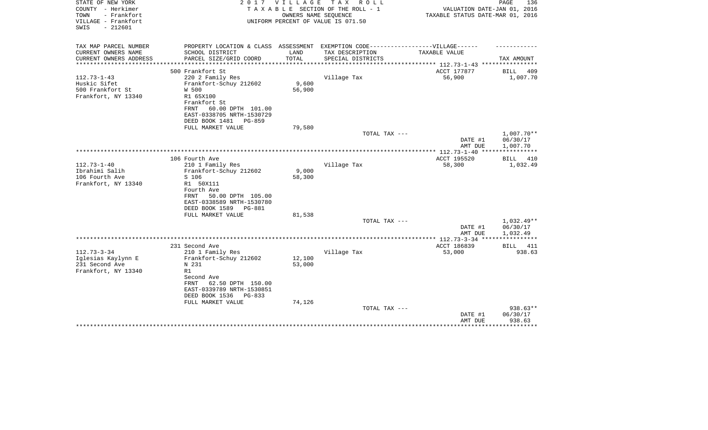| STATE OF NEW YORK<br>COUNTY - Herkimer<br>- Frankfort<br>TOWN<br>VILLAGE - Frankfort<br>$-212601$<br>SWIS | 2 0 1 7                                        | V I L L A G E<br>OWNERS NAME SEQUENCE | T A X<br>R O L L<br>TAXABLE SECTION OF THE ROLL - 1<br>UNIFORM PERCENT OF VALUE IS 071.50 | VALUATION DATE-JAN 01, 2016<br>TAXABLE STATUS DATE-MAR 01, 2016 | PAGE<br>136             |
|-----------------------------------------------------------------------------------------------------------|------------------------------------------------|---------------------------------------|-------------------------------------------------------------------------------------------|-----------------------------------------------------------------|-------------------------|
|                                                                                                           |                                                |                                       |                                                                                           |                                                                 |                         |
| TAX MAP PARCEL NUMBER                                                                                     |                                                |                                       | PROPERTY LOCATION & CLASS ASSESSMENT EXEMPTION CODE-----------------VILLAGE------         |                                                                 |                         |
| CURRENT OWNERS NAME                                                                                       | SCHOOL DISTRICT                                | LAND                                  | TAX DESCRIPTION                                                                           | TAXABLE VALUE                                                   |                         |
| CURRENT OWNERS ADDRESS<br>*********************                                                           | PARCEL SIZE/GRID COORD                         | TOTAL                                 | SPECIAL DISTRICTS                                                                         |                                                                 | TAX AMOUNT              |
|                                                                                                           | 500 Frankfort St                               |                                       |                                                                                           | ACCT 177877                                                     | BILL<br>409             |
| $112.73 - 1 - 43$                                                                                         | 220 2 Family Res                               |                                       | Village Tax                                                                               | 56,900                                                          | 1,007.70                |
| Huskic Sifet                                                                                              | Frankfort-Schuy 212602                         | 9,600                                 |                                                                                           |                                                                 |                         |
| 500 Frankfort St                                                                                          | W 500                                          | 56,900                                |                                                                                           |                                                                 |                         |
| Frankfort, NY 13340                                                                                       | R1 65X100                                      |                                       |                                                                                           |                                                                 |                         |
| FRNT                                                                                                      | Frankfort St<br>60.00 DPTH 101.00              |                                       |                                                                                           |                                                                 |                         |
|                                                                                                           | EAST-0338705 NRTH-1530729                      |                                       |                                                                                           |                                                                 |                         |
|                                                                                                           | DEED BOOK 1481<br>PG-859                       |                                       |                                                                                           |                                                                 |                         |
|                                                                                                           | FULL MARKET VALUE                              | 79,580                                |                                                                                           |                                                                 |                         |
|                                                                                                           |                                                |                                       | TOTAL TAX ---                                                                             |                                                                 | $1,007.70**$            |
|                                                                                                           |                                                |                                       |                                                                                           | DATE #1                                                         | 06/30/17                |
|                                                                                                           |                                                |                                       |                                                                                           | AMT DUE                                                         | 1,007.70                |
|                                                                                                           | 106 Fourth Ave                                 |                                       |                                                                                           | ACCT 195520                                                     | BILL<br>410             |
| $112.73 - 1 - 40$                                                                                         | 210 1 Family Res                               |                                       | Village Tax                                                                               | 58,300                                                          | 1,032.49                |
| Ibrahimi Salih                                                                                            | Frankfort-Schuy 212602                         | 9,000                                 |                                                                                           |                                                                 |                         |
| 106 Fourth Ave                                                                                            | S 106                                          | 58,300                                |                                                                                           |                                                                 |                         |
| Frankfort, NY 13340                                                                                       | R1 50X111                                      |                                       |                                                                                           |                                                                 |                         |
|                                                                                                           | Fourth Ave                                     |                                       |                                                                                           |                                                                 |                         |
| FRNT                                                                                                      | 50.00 DPTH 105.00<br>EAST-0338589 NRTH-1530780 |                                       |                                                                                           |                                                                 |                         |
|                                                                                                           | DEED BOOK 1589<br>PG-881                       |                                       |                                                                                           |                                                                 |                         |
|                                                                                                           | FULL MARKET VALUE                              | 81,538                                |                                                                                           |                                                                 |                         |
|                                                                                                           |                                                |                                       | TOTAL TAX ---                                                                             |                                                                 | $1,032.49**$            |
|                                                                                                           |                                                |                                       |                                                                                           | DATE #1                                                         | 06/30/17                |
|                                                                                                           |                                                |                                       |                                                                                           | AMT DUE<br>*********** 112.73-3-34 ****                         | 1,032.49<br>*********** |
|                                                                                                           | 231 Second Ave                                 |                                       |                                                                                           | ACCT 186839                                                     | BILL<br>411             |
| $112.73 - 3 - 34$                                                                                         | 210 1 Family Res                               |                                       | Village Tax                                                                               | 53,000                                                          | 938.63                  |
| Iglesias Kaylynn E                                                                                        | Frankfort-Schuy 212602                         | 12,100                                |                                                                                           |                                                                 |                         |
| 231 Second Ave                                                                                            | N 231                                          | 53,000                                |                                                                                           |                                                                 |                         |
| Frankfort, NY 13340<br>R1                                                                                 |                                                |                                       |                                                                                           |                                                                 |                         |
|                                                                                                           | Second Ave                                     |                                       |                                                                                           |                                                                 |                         |
| FRNT                                                                                                      | 62.50 DPTH 150.00<br>EAST-0339789 NRTH-1530851 |                                       |                                                                                           |                                                                 |                         |
|                                                                                                           | DEED BOOK 1536<br>PG-833                       |                                       |                                                                                           |                                                                 |                         |
|                                                                                                           | FULL MARKET VALUE                              | 74,126                                |                                                                                           |                                                                 |                         |
|                                                                                                           |                                                |                                       | TOTAL TAX ---                                                                             |                                                                 | 938.63**                |
|                                                                                                           |                                                |                                       |                                                                                           | DATE #1                                                         | 06/30/17                |
|                                                                                                           |                                                |                                       |                                                                                           | AMT DUE                                                         | 938.63                  |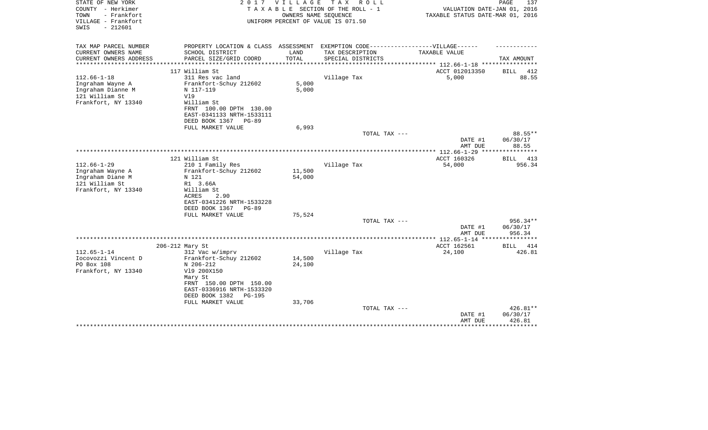| STATE OF NEW YORK<br>COUNTY - Herkimer<br>- Frankfort<br>TOWN<br>VILLAGE - Frankfort<br>$-212601$<br>SWIS | 2017                                                                              | VILLAGE                                        | T A X<br>R O L L<br>TAXABLE SECTION OF THE ROLL - 1<br>OWNERS NAME SEQUENCE<br>UNIFORM PERCENT OF VALUE IS 071.50 | VALUATION DATE-JAN 01, 2016<br>TAXABLE STATUS DATE-MAR 01, 2016 | PAGE<br>137             |
|-----------------------------------------------------------------------------------------------------------|-----------------------------------------------------------------------------------|------------------------------------------------|-------------------------------------------------------------------------------------------------------------------|-----------------------------------------------------------------|-------------------------|
| TAX MAP PARCEL NUMBER                                                                                     | PROPERTY LOCATION & CLASS ASSESSMENT EXEMPTION CODE-----------------VILLAGE------ |                                                |                                                                                                                   |                                                                 |                         |
| CURRENT OWNERS NAME                                                                                       | SCHOOL DISTRICT                                                                   | LAND                                           | TAX DESCRIPTION                                                                                                   | TAXABLE VALUE                                                   |                         |
| CURRENT OWNERS ADDRESS<br>***************                                                                 | PARCEL SIZE/GRID COORD                                                            | TOTAL<br>* * * * * * * * * * * * * * * * * * * | SPECIAL DISTRICTS                                                                                                 | *************************** 112.66-1-18 ****************        | TAX AMOUNT              |
|                                                                                                           | 117 William St                                                                    |                                                |                                                                                                                   | ACCT 012013350                                                  | <b>BILL</b><br>412      |
| $112.66 - 1 - 18$                                                                                         | 311 Res vac land                                                                  |                                                | Village Tax                                                                                                       | 5,000                                                           | 88.55                   |
| Ingraham Wayne A                                                                                          | Frankfort-Schuy 212602                                                            | 5,000                                          |                                                                                                                   |                                                                 |                         |
| Ingraham Dianne M                                                                                         | N 117-119                                                                         | 5,000                                          |                                                                                                                   |                                                                 |                         |
| 121 William St                                                                                            | V19                                                                               |                                                |                                                                                                                   |                                                                 |                         |
| Frankfort, NY 13340                                                                                       | William St                                                                        |                                                |                                                                                                                   |                                                                 |                         |
|                                                                                                           | FRNT 100.00 DPTH 130.00                                                           |                                                |                                                                                                                   |                                                                 |                         |
|                                                                                                           | EAST-0341133 NRTH-1533111                                                         |                                                |                                                                                                                   |                                                                 |                         |
|                                                                                                           | DEED BOOK 1367<br>$PG-89$                                                         |                                                |                                                                                                                   |                                                                 |                         |
|                                                                                                           | FULL MARKET VALUE                                                                 | 6,993                                          | TOTAL TAX ---                                                                                                     |                                                                 | 88.55**                 |
|                                                                                                           |                                                                                   |                                                |                                                                                                                   | DATE #1                                                         | 06/30/17                |
|                                                                                                           |                                                                                   |                                                |                                                                                                                   | AMT DUE                                                         | 88.55                   |
|                                                                                                           |                                                                                   |                                                |                                                                                                                   | ***************** 112.66-1-29<br>****                           | * * * * * * * * * * * * |
|                                                                                                           | 121 William St                                                                    |                                                |                                                                                                                   | ACCT 160326                                                     | BILL<br>413             |
| $112.66 - 1 - 29$                                                                                         | 210 1 Family Res                                                                  |                                                | Village Tax                                                                                                       | 54,000                                                          | 956.34                  |
| Ingraham Wayne A                                                                                          | Frankfort-Schuy 212602                                                            | 11,500                                         |                                                                                                                   |                                                                 |                         |
| Ingraham Diane M                                                                                          | N 121                                                                             | 54,000                                         |                                                                                                                   |                                                                 |                         |
| 121 William St<br>Frankfort, NY 13340                                                                     | R1 3.66A<br>William St                                                            |                                                |                                                                                                                   |                                                                 |                         |
|                                                                                                           | <b>ACRES</b><br>2.90                                                              |                                                |                                                                                                                   |                                                                 |                         |
|                                                                                                           | EAST-0341226 NRTH-1533228                                                         |                                                |                                                                                                                   |                                                                 |                         |
|                                                                                                           | DEED BOOK 1367<br>$PG-89$                                                         |                                                |                                                                                                                   |                                                                 |                         |
|                                                                                                           | FULL MARKET VALUE                                                                 | 75,524                                         |                                                                                                                   |                                                                 |                         |
|                                                                                                           |                                                                                   |                                                | TOTAL TAX ---                                                                                                     |                                                                 | 956.34**                |
|                                                                                                           |                                                                                   |                                                |                                                                                                                   | DATE #1                                                         | 06/30/17                |
|                                                                                                           |                                                                                   |                                                |                                                                                                                   | AMT DUE                                                         | 956.34                  |
|                                                                                                           |                                                                                   |                                                |                                                                                                                   | ***************** 112.65-1-14 **<br>ACCT 162561                 | 414                     |
| $112.65 - 1 - 14$                                                                                         | 206-212 Mary St<br>312 Vac w/imprv                                                |                                                | Village Tax                                                                                                       | 24,100                                                          | <b>BILL</b><br>426.81   |
| Iocovozzi Vincent D                                                                                       | Frankfort-Schuy 212602                                                            | 14,500                                         |                                                                                                                   |                                                                 |                         |
| PO Box 108                                                                                                | N 206-212                                                                         | 24,100                                         |                                                                                                                   |                                                                 |                         |
| Frankfort, NY 13340                                                                                       | V19 200X150                                                                       |                                                |                                                                                                                   |                                                                 |                         |
|                                                                                                           | Mary St                                                                           |                                                |                                                                                                                   |                                                                 |                         |
|                                                                                                           | FRNT 150.00 DPTH 150.00                                                           |                                                |                                                                                                                   |                                                                 |                         |
|                                                                                                           | EAST-0336916 NRTH-1533320                                                         |                                                |                                                                                                                   |                                                                 |                         |
|                                                                                                           | DEED BOOK 1382<br>$PG-195$                                                        |                                                |                                                                                                                   |                                                                 |                         |
|                                                                                                           | FULL MARKET VALUE                                                                 | 33,706                                         |                                                                                                                   |                                                                 |                         |
|                                                                                                           |                                                                                   |                                                | TOTAL TAX ---                                                                                                     | DATE #1                                                         | 426.81**<br>06/30/17    |
|                                                                                                           |                                                                                   |                                                |                                                                                                                   | AMT DUE                                                         | 426.81                  |
|                                                                                                           |                                                                                   |                                                |                                                                                                                   |                                                                 | ********                |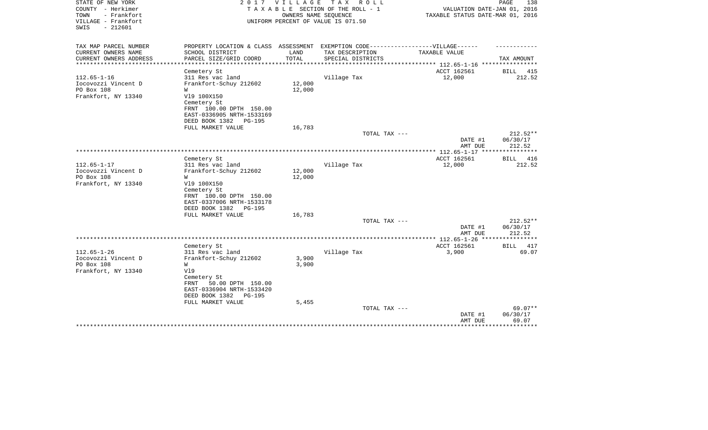| STATE OF NEW YORK<br>COUNTY - Herkimer<br>- Frankfort<br>TOWN<br>VILLAGE - Frankfort<br>SWIS<br>$-212601$ | 2017                                                                                                                                                                              | VILLAGE<br>OWNERS NAME SEOUENCE | TAX ROLL<br>TAXABLE SECTION OF THE ROLL - 1<br>UNIFORM PERCENT OF VALUE IS 071.50 | VALUATION DATE-JAN 01, 2016<br>TAXABLE STATUS DATE-MAR 01, 2016 | PAGE<br>138                              |
|-----------------------------------------------------------------------------------------------------------|-----------------------------------------------------------------------------------------------------------------------------------------------------------------------------------|---------------------------------|-----------------------------------------------------------------------------------|-----------------------------------------------------------------|------------------------------------------|
| TAX MAP PARCEL NUMBER<br>CURRENT OWNERS NAME                                                              | PROPERTY LOCATION & CLASS ASSESSMENT EXEMPTION CODE-----------------VILLAGE------<br>SCHOOL DISTRICT                                                                              | LAND                            | TAX DESCRIPTION                                                                   | TAXABLE VALUE                                                   |                                          |
| CURRENT OWNERS ADDRESS                                                                                    | PARCEL SIZE/GRID COORD                                                                                                                                                            | TOTAL                           | SPECIAL DISTRICTS                                                                 | ********* 112.65-1-16 ************                              | TAX AMOUNT                               |
|                                                                                                           | Cemetery St                                                                                                                                                                       |                                 |                                                                                   | ACCT 162561                                                     | BILL<br>415                              |
| $112.65 - 1 - 16$<br>Iocovozzi Vincent D<br>PO Box 108<br>Frankfort, NY 13340                             | 311 Res vac land<br>Frankfort-Schuy 212602<br>W<br>V19 100X150<br>Cemetery St<br>FRNT 100.00 DPTH 150.00<br>EAST-0336905 NRTH-1533169<br>DEED BOOK 1382<br><b>PG-195</b>          | 12,000<br>12,000                | Village Tax                                                                       | 12,000                                                          | 212.52                                   |
|                                                                                                           | FULL MARKET VALUE                                                                                                                                                                 | 16,783                          |                                                                                   |                                                                 |                                          |
|                                                                                                           |                                                                                                                                                                                   |                                 | TOTAL TAX ---                                                                     | DATE #1<br>AMT DUE                                              | $212.52**$<br>06/30/17<br>212.52         |
|                                                                                                           |                                                                                                                                                                                   |                                 |                                                                                   |                                                                 |                                          |
| $112.65 - 1 - 17$                                                                                         | Cemetery St<br>311 Res vac land                                                                                                                                                   |                                 | Village Tax                                                                       | ACCT 162561<br>12,000                                           | 416<br>BILL<br>212.52                    |
| Iocovozzi Vincent D<br>PO Box 108<br>Frankfort, NY 13340                                                  | Frankfort-Schuy 212602<br>W<br>V19 100X150<br>Cemetery St<br>FRNT 100.00 DPTH 150.00<br>EAST-0337006 NRTH-1533178<br>DEED BOOK 1382<br>PG-195                                     | 12,000<br>12,000                |                                                                                   |                                                                 |                                          |
|                                                                                                           | FULL MARKET VALUE                                                                                                                                                                 | 16,783                          |                                                                                   |                                                                 |                                          |
|                                                                                                           |                                                                                                                                                                                   |                                 | TOTAL TAX ---                                                                     | DATE #1<br>AMT DUE                                              | $212.52**$<br>06/30/17<br>212.52         |
|                                                                                                           |                                                                                                                                                                                   |                                 |                                                                                   | ********* 112.65-1-26 ***                                       |                                          |
| $112.65 - 1 - 26$<br>Iocovozzi Vincent D<br>PO Box 108<br>Frankfort, NY 13340                             | Cemetery St<br>311 Res vac land<br>Frankfort-Schuy 212602<br>W<br>V19<br>Cemetery St<br>50.00 DPTH 150.00<br>FRNT<br>EAST-0336904 NRTH-1533420<br>DEED BOOK 1382<br><b>PG-195</b> | 3,900<br>3,900                  | Village Tax                                                                       | ACCT 162561<br>3,900                                            | BILL<br>417<br>69.07                     |
|                                                                                                           | FULL MARKET VALUE                                                                                                                                                                 | 5,455                           | TOTAL TAX ---                                                                     | DATE #1<br>AMT DUE                                              | 69.07**<br>06/30/17<br>69.07<br>******** |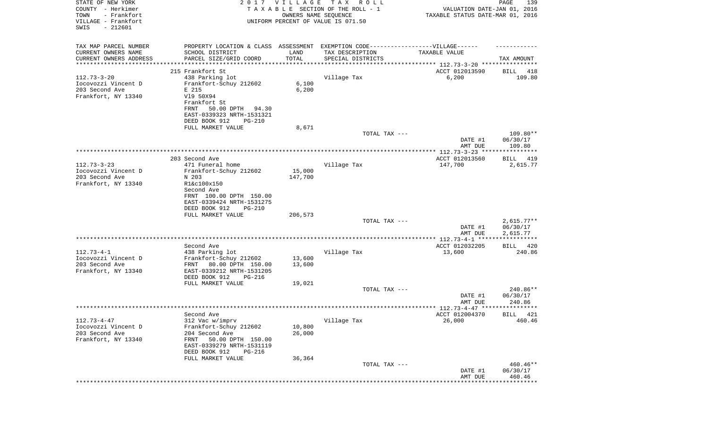| STATE OF NEW YORK<br>COUNTY - Herkimer<br>TOWN<br>- Frankfort<br>VILLAGE - Frankfort<br>SWIS<br>$-212601$ |                                                        | 2017 VILLAGE<br>OWNERS NAME SEQUENCE | T A X<br>R O L L<br>TAXABLE SECTION OF THE ROLL - 1<br>UNIFORM PERCENT OF VALUE IS 071.50            | VALUATION DATE-JAN 01, 2016<br>TAXABLE STATUS DATE-MAR 01, 2016 | PAGE<br>139                    |
|-----------------------------------------------------------------------------------------------------------|--------------------------------------------------------|--------------------------------------|------------------------------------------------------------------------------------------------------|-----------------------------------------------------------------|--------------------------------|
| TAX MAP PARCEL NUMBER<br>CURRENT OWNERS NAME                                                              | SCHOOL DISTRICT                                        | LAND                                 | PROPERTY LOCATION & CLASS ASSESSMENT EXEMPTION CODE-----------------VILLAGE------<br>TAX DESCRIPTION | TAXABLE VALUE                                                   |                                |
| CURRENT OWNERS ADDRESS                                                                                    | PARCEL SIZE/GRID COORD                                 | TOTAL                                | SPECIAL DISTRICTS                                                                                    |                                                                 | TAX AMOUNT                     |
| *********************                                                                                     |                                                        |                                      |                                                                                                      |                                                                 |                                |
|                                                                                                           | 215 Frankfort St                                       |                                      |                                                                                                      | ACCT 012013590                                                  | 418<br>BILL                    |
| $112.73 - 3 - 20$<br>Iocovozzi Vincent D                                                                  | 438 Parking lot<br>Frankfort-Schuy 212602              | 6,100                                | Village Tax                                                                                          | 6,200                                                           | 109.80                         |
| 203 Second Ave                                                                                            | E 215                                                  | 6,200                                |                                                                                                      |                                                                 |                                |
| Frankfort, NY 13340                                                                                       | V19 50X94                                              |                                      |                                                                                                      |                                                                 |                                |
|                                                                                                           | Frankfort St<br>50.00 DPTH<br>FRNT<br>94.30            |                                      |                                                                                                      |                                                                 |                                |
|                                                                                                           | EAST-0339323 NRTH-1531321                              |                                      |                                                                                                      |                                                                 |                                |
|                                                                                                           | DEED BOOK 912<br>$PG-210$                              |                                      |                                                                                                      |                                                                 |                                |
|                                                                                                           | FULL MARKET VALUE                                      | 8,671                                |                                                                                                      |                                                                 |                                |
|                                                                                                           |                                                        |                                      | TOTAL TAX ---                                                                                        | DATE #1<br>AMT DUE                                              | 109.80**<br>06/30/17<br>109.80 |
|                                                                                                           |                                                        |                                      |                                                                                                      |                                                                 |                                |
| $112.73 - 3 - 23$                                                                                         | 203 Second Ave<br>471 Funeral home                     |                                      | Village Tax                                                                                          | ACCT 012013560<br>147,700                                       | 419<br>BILL<br>2,615.77        |
| Iocovozzi Vincent D                                                                                       | Frankfort-Schuy 212602                                 | 15,000                               |                                                                                                      |                                                                 |                                |
| 203 Second Ave                                                                                            | N 203                                                  | 147,700                              |                                                                                                      |                                                                 |                                |
| Frankfort, NY 13340                                                                                       | R1&c100x150                                            |                                      |                                                                                                      |                                                                 |                                |
|                                                                                                           | Second Ave<br>FRNT 100.00 DPTH 150.00                  |                                      |                                                                                                      |                                                                 |                                |
|                                                                                                           | EAST-0339424 NRTH-1531275                              |                                      |                                                                                                      |                                                                 |                                |
|                                                                                                           | DEED BOOK 912<br>$PG-210$                              |                                      |                                                                                                      |                                                                 |                                |
|                                                                                                           | FULL MARKET VALUE                                      | 206,573                              |                                                                                                      |                                                                 |                                |
|                                                                                                           |                                                        |                                      | TOTAL TAX ---                                                                                        | DATE #1                                                         | $2,615.77**$<br>06/30/17       |
|                                                                                                           |                                                        |                                      |                                                                                                      | AMT DUE                                                         | 2,615.77                       |
|                                                                                                           | **********************                                 |                                      | ******************************                                                                       | ************* 112.73-4-1 *****                                  | * * * * * * * * * * *          |
| $112.73 - 4 - 1$                                                                                          | Second Ave<br>438 Parking lot                          |                                      | Village Tax                                                                                          | ACCT 012032205<br>13,600                                        | BILL 420<br>240.86             |
| Iocovozzi Vincent D                                                                                       | Frankfort-Schuy 212602                                 | 13,600                               |                                                                                                      |                                                                 |                                |
| 203 Second Ave                                                                                            | 80.00 DPTH 150.00<br>FRNT                              | 13,600                               |                                                                                                      |                                                                 |                                |
| Frankfort, NY 13340                                                                                       | EAST-0339212 NRTH-1531205                              |                                      |                                                                                                      |                                                                 |                                |
|                                                                                                           | DEED BOOK 912<br>PG-216<br>FULL MARKET VALUE           | 19,021                               |                                                                                                      |                                                                 |                                |
|                                                                                                           |                                                        |                                      | TOTAL TAX ---                                                                                        |                                                                 | 240.86**                       |
|                                                                                                           |                                                        |                                      |                                                                                                      | DATE #1                                                         | 06/30/17                       |
|                                                                                                           |                                                        |                                      |                                                                                                      | AMT DUE                                                         | 240.86                         |
|                                                                                                           | Second Ave                                             |                                      |                                                                                                      | ACCT 012004370                                                  | BILL 421                       |
| $112.73 - 4 - 47$                                                                                         | 312 Vac w/imprv                                        |                                      | Village Tax                                                                                          | 26,000                                                          | 460.46                         |
| Iocovozzi Vincent D                                                                                       | Frankfort-Schuy 212602                                 | 10,800                               |                                                                                                      |                                                                 |                                |
| 203 Second Ave                                                                                            | 204 Second Ave                                         | 26,000                               |                                                                                                      |                                                                 |                                |
| Frankfort, NY 13340                                                                                       | 50.00 DPTH 150.00<br>FRNT<br>EAST-0339279 NRTH-1531119 |                                      |                                                                                                      |                                                                 |                                |
|                                                                                                           | DEED BOOK 912<br>PG-216                                |                                      |                                                                                                      |                                                                 |                                |
|                                                                                                           | FULL MARKET VALUE                                      | 36,364                               |                                                                                                      |                                                                 |                                |
|                                                                                                           |                                                        |                                      | TOTAL TAX ---                                                                                        |                                                                 | 460.46**                       |
|                                                                                                           |                                                        |                                      |                                                                                                      | DATE #1<br>AMT DUE                                              | 06/30/17<br>460.46             |
|                                                                                                           |                                                        |                                      |                                                                                                      |                                                                 | *********                      |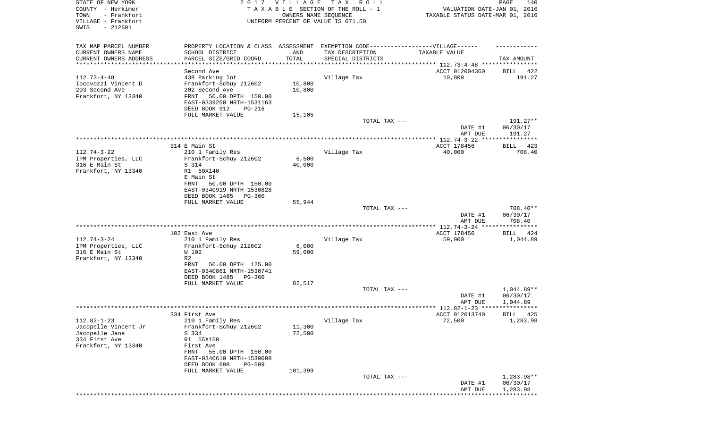| STATE OF NEW YORK<br>COUNTY - Herkimer<br>TOWN<br>- Frankfort |                                                        | 2017 VILLAGE<br>OWNERS NAME SEQUENCE | T A X<br>R O L L<br>TAXABLE SECTION OF THE ROLL - 1                               | VALUATION DATE-JAN 01, 2016<br>TAXABLE STATUS DATE-MAR 01, 2016 | PAGE<br>140            |
|---------------------------------------------------------------|--------------------------------------------------------|--------------------------------------|-----------------------------------------------------------------------------------|-----------------------------------------------------------------|------------------------|
| VILLAGE - Frankfort<br>SWIS<br>$-212601$                      |                                                        |                                      | UNIFORM PERCENT OF VALUE IS 071.50                                                |                                                                 |                        |
| TAX MAP PARCEL NUMBER                                         |                                                        |                                      | PROPERTY LOCATION & CLASS ASSESSMENT EXEMPTION CODE-----------------VILLAGE------ |                                                                 |                        |
| CURRENT OWNERS NAME<br>CURRENT OWNERS ADDRESS                 | SCHOOL DISTRICT<br>PARCEL SIZE/GRID COORD              | LAND<br>TOTAL                        | TAX DESCRIPTION<br>SPECIAL DISTRICTS                                              | TAXABLE VALUE                                                   | TAX AMOUNT             |
| **********************                                        | ***********************                                |                                      |                                                                                   |                                                                 |                        |
| $112.73 - 4 - 48$                                             | Second Ave<br>438 Parking lot                          |                                      | Village Tax                                                                       | ACCT 012004360<br>10,800                                        | 422<br>BILL<br>191.27  |
| Iocovozzi Vincent D                                           | Frankfort-Schuy 212602                                 | 10,800                               |                                                                                   |                                                                 |                        |
| 203 Second Ave<br>Frankfort, NY 13340                         | 202 Second Ave<br>FRNT<br>50.00 DPTH 150.00            | 10,800                               |                                                                                   |                                                                 |                        |
|                                                               | EAST-0339250 NRTH-1531163                              |                                      |                                                                                   |                                                                 |                        |
|                                                               | DEED BOOK 912<br>PG-216                                |                                      |                                                                                   |                                                                 |                        |
|                                                               | FULL MARKET VALUE                                      | 15,105                               | TOTAL TAX ---                                                                     |                                                                 | 191.27**               |
|                                                               |                                                        |                                      |                                                                                   | DATE #1<br>AMT DUE                                              | 06/30/17<br>191.27     |
|                                                               |                                                        |                                      |                                                                                   |                                                                 |                        |
| $112.74 - 3 - 22$                                             | 314 E Main St<br>210 1 Family Res                      |                                      | Village Tax                                                                       | ACCT 178456<br>40,000                                           | 423<br>BILL<br>708.40  |
| IPM Properties, LLC                                           | Frankfort-Schuy 212602                                 | 6,500                                |                                                                                   |                                                                 |                        |
| 316 E Main St                                                 | S 314                                                  | 40,000                               |                                                                                   |                                                                 |                        |
| Frankfort, NY 13340                                           | R1 50X140<br>E Main St                                 |                                      |                                                                                   |                                                                 |                        |
|                                                               | 50.00 DPTH 150.00<br>FRNT                              |                                      |                                                                                   |                                                                 |                        |
|                                                               | EAST-0340919 NRTH-1530828                              |                                      |                                                                                   |                                                                 |                        |
|                                                               | DEED BOOK 1485<br>PG-360<br>FULL MARKET VALUE          | 55,944                               |                                                                                   |                                                                 |                        |
|                                                               |                                                        |                                      | TOTAL TAX ---                                                                     |                                                                 | 708.40**               |
|                                                               |                                                        |                                      |                                                                                   | DATE #1<br>AMT DUE                                              | 06/30/17<br>708.40     |
|                                                               |                                                        |                                      |                                                                                   |                                                                 |                        |
|                                                               | 102 East Ave                                           |                                      |                                                                                   | ACCT 178456                                                     | BILL<br>424            |
| $112.74 - 3 - 24$<br>IPM Properties, LLC                      | 210 1 Family Res<br>Frankfort-Schuy 212602             | 6,000                                | Village Tax                                                                       | 59,000                                                          | 1,044.89               |
| 316 E Main St                                                 | W 102                                                  | 59,000                               |                                                                                   |                                                                 |                        |
| Frankfort, NY 13340                                           | R <sub>2</sub>                                         |                                      |                                                                                   |                                                                 |                        |
|                                                               | 50.00 DPTH 125.00<br>FRNT<br>EAST-0340861 NRTH-1530741 |                                      |                                                                                   |                                                                 |                        |
|                                                               | DEED BOOK 1485<br>PG-360                               |                                      |                                                                                   |                                                                 |                        |
|                                                               | FULL MARKET VALUE                                      | 82,517                               |                                                                                   |                                                                 |                        |
|                                                               |                                                        |                                      | TOTAL TAX ---                                                                     | DATE #1                                                         | 1,044.89**<br>06/30/17 |
|                                                               |                                                        |                                      |                                                                                   | AMT DUE                                                         | 1,044.89               |
|                                                               |                                                        |                                      |                                                                                   |                                                                 |                        |
| $112.82 - 1 - 23$                                             | 334 First Ave<br>210 1 Family Res                      |                                      | Village Tax                                                                       | ACCT 012013740<br>72,500                                        | BILL 425<br>1,283.98   |
| Jacopelle Vincent Jr                                          | Frankfort-Schuy 212602                                 | 11,300                               |                                                                                   |                                                                 |                        |
| Jacopelle Jane<br>334 First Ave                               | S 334<br>R1 55X150                                     | 72,500                               |                                                                                   |                                                                 |                        |
| Frankfort, NY 13340                                           | First Ave                                              |                                      |                                                                                   |                                                                 |                        |
|                                                               | 55.00 DPTH 150.00<br>FRNT<br>EAST-0340619 NRTH-1530098 |                                      |                                                                                   |                                                                 |                        |
|                                                               | DEED BOOK 698<br><b>PG-509</b><br>FULL MARKET VALUE    | 101,399                              |                                                                                   |                                                                 |                        |
|                                                               |                                                        |                                      | TOTAL TAX ---                                                                     |                                                                 | $1,283.98**$           |
|                                                               |                                                        |                                      |                                                                                   | DATE #1<br>AMT DUE                                              | 06/30/17<br>1,283.98   |
|                                                               |                                                        |                                      |                                                                                   |                                                                 |                        |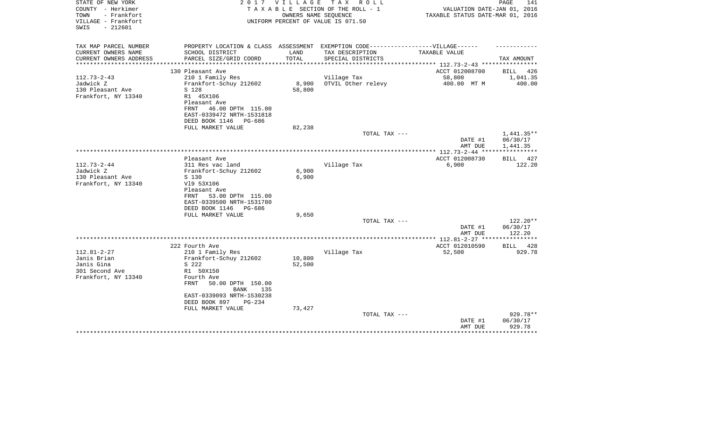| STATE OF NEW YORK<br>COUNTY - Herkimer<br>- Frankfort<br>TOWN<br>VILLAGE - Frankfort<br>$-212601$<br>SWIS |                                                                                   | 2017 VILLAGE<br>OWNERS NAME SEQUENCE | TAX ROLL<br>TAXABLE SECTION OF THE ROLL - 1<br>UNIFORM PERCENT OF VALUE IS 071.50 | VALUATION DATE-JAN 01, 2016<br>TAXABLE STATUS DATE-MAR 01, 2016 | PAGE<br>141        |
|-----------------------------------------------------------------------------------------------------------|-----------------------------------------------------------------------------------|--------------------------------------|-----------------------------------------------------------------------------------|-----------------------------------------------------------------|--------------------|
| TAX MAP PARCEL NUMBER                                                                                     | PROPERTY LOCATION & CLASS ASSESSMENT EXEMPTION CODE-----------------VILLAGE------ |                                      |                                                                                   |                                                                 |                    |
| CURRENT OWNERS NAME                                                                                       | SCHOOL DISTRICT                                                                   | LAND                                 | TAX DESCRIPTION                                                                   | TAXABLE VALUE                                                   |                    |
| CURRENT OWNERS ADDRESS<br>*********************                                                           | PARCEL SIZE/GRID COORD                                                            | TOTAL                                | SPECIAL DISTRICTS                                                                 |                                                                 | TAX AMOUNT         |
|                                                                                                           | 130 Pleasant Ave                                                                  |                                      |                                                                                   | ACCT 012008700                                                  | BILL<br>426        |
| $112.73 - 2 - 43$                                                                                         | 210 1 Family Res                                                                  |                                      | Village Tax                                                                       | 58,800                                                          | 1,041.35           |
| Jadwick Z                                                                                                 | Frankfort-Schuy 212602                                                            | 8,900                                | OTVIL Other relevy                                                                | 400.00 MT M                                                     | 400.00             |
| 130 Pleasant Ave                                                                                          | S 128                                                                             | 58,800                               |                                                                                   |                                                                 |                    |
| Frankfort, NY 13340                                                                                       | R1 45X106                                                                         |                                      |                                                                                   |                                                                 |                    |
|                                                                                                           | Pleasant Ave<br>FRNT 46.00 DPTH 115.00                                            |                                      |                                                                                   |                                                                 |                    |
|                                                                                                           | EAST-0339472 NRTH-1531818                                                         |                                      |                                                                                   |                                                                 |                    |
|                                                                                                           | DEED BOOK 1146<br>PG-686                                                          |                                      |                                                                                   |                                                                 |                    |
|                                                                                                           | FULL MARKET VALUE                                                                 | 82,238                               |                                                                                   |                                                                 |                    |
|                                                                                                           |                                                                                   |                                      | TOTAL TAX ---                                                                     |                                                                 | $1,441.35**$       |
|                                                                                                           |                                                                                   |                                      |                                                                                   | DATE #1                                                         | 06/30/17           |
|                                                                                                           |                                                                                   |                                      |                                                                                   | AMT DUE                                                         | 1,441.35           |
|                                                                                                           | Pleasant Ave                                                                      |                                      |                                                                                   | ACCT 012008730                                                  | <b>BILL</b><br>427 |
| $112.73 - 2 - 44$                                                                                         | 311 Res vac land                                                                  |                                      | Village Tax                                                                       | 6,900                                                           | 122.20             |
| Jadwick Z                                                                                                 | Frankfort-Schuy 212602                                                            | 6,900                                |                                                                                   |                                                                 |                    |
| 130 Pleasant Ave                                                                                          | S 130                                                                             | 6,900                                |                                                                                   |                                                                 |                    |
| Frankfort, NY 13340                                                                                       | V19 53X106                                                                        |                                      |                                                                                   |                                                                 |                    |
|                                                                                                           | Pleasant Ave<br>53.00 DPTH 115.00<br>FRNT                                         |                                      |                                                                                   |                                                                 |                    |
|                                                                                                           | EAST-0339500 NRTH-1531780                                                         |                                      |                                                                                   |                                                                 |                    |
|                                                                                                           | DEED BOOK 1146 PG-686                                                             |                                      |                                                                                   |                                                                 |                    |
|                                                                                                           | FULL MARKET VALUE                                                                 | 9,650                                |                                                                                   |                                                                 |                    |
|                                                                                                           |                                                                                   |                                      | TOTAL TAX ---                                                                     |                                                                 | $122.20**$         |
|                                                                                                           |                                                                                   |                                      |                                                                                   | DATE #1                                                         | 06/30/17           |
|                                                                                                           |                                                                                   |                                      |                                                                                   | AMT DUE                                                         | 122.20             |
|                                                                                                           | 222 Fourth Ave                                                                    |                                      |                                                                                   | ACCT 012010590                                                  | 428<br>BILL        |
| $112.81 - 2 - 27$                                                                                         | 210 1 Family Res                                                                  |                                      | Village Tax                                                                       | 52,500                                                          | 929.78             |
| Janis Brian                                                                                               | Frankfort-Schuy 212602                                                            | 10,800                               |                                                                                   |                                                                 |                    |
| Janis Gina                                                                                                | S 222                                                                             | 52,500                               |                                                                                   |                                                                 |                    |
| 301 Second Ave                                                                                            | R1 50X150                                                                         |                                      |                                                                                   |                                                                 |                    |
| Frankfort, NY 13340                                                                                       | Fourth Ave<br>50.00 DPTH 150.00<br>FRNT                                           |                                      |                                                                                   |                                                                 |                    |
|                                                                                                           | 135<br>BANK                                                                       |                                      |                                                                                   |                                                                 |                    |
|                                                                                                           | EAST-0339093 NRTH-1530238                                                         |                                      |                                                                                   |                                                                 |                    |
|                                                                                                           | DEED BOOK 897<br>PG-234                                                           |                                      |                                                                                   |                                                                 |                    |
|                                                                                                           | FULL MARKET VALUE                                                                 | 73,427                               |                                                                                   |                                                                 |                    |
|                                                                                                           |                                                                                   |                                      | TOTAL TAX ---                                                                     |                                                                 | 929.78**           |
|                                                                                                           |                                                                                   |                                      |                                                                                   | DATE #1                                                         | 06/30/17           |
|                                                                                                           |                                                                                   |                                      |                                                                                   | AMT DUE                                                         | 929.78             |
|                                                                                                           |                                                                                   |                                      |                                                                                   |                                                                 |                    |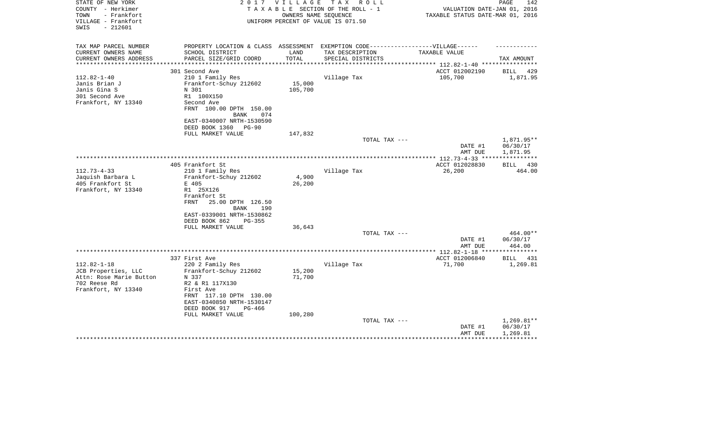| STATE OF NEW YORK<br>COUNTY - Herkimer<br>TOWN<br>- Frankfort<br>VILLAGE - Frankfort<br>SWIS<br>- 212601 | 2017                                                                                                 | V I L L A G E | T A X<br>R O L L<br>TAXABLE SECTION OF THE ROLL - 1<br>OWNERS NAME SEOUENCE<br>UNIFORM PERCENT OF VALUE IS 071.50 | VALUATION DATE-JAN 01, 2016<br>TAXABLE STATUS DATE-MAR 01, 2016 | PAGE<br>142        |
|----------------------------------------------------------------------------------------------------------|------------------------------------------------------------------------------------------------------|---------------|-------------------------------------------------------------------------------------------------------------------|-----------------------------------------------------------------|--------------------|
| TAX MAP PARCEL NUMBER<br>CURRENT OWNERS NAME                                                             | PROPERTY LOCATION & CLASS ASSESSMENT EXEMPTION CODE-----------------VILLAGE------<br>SCHOOL DISTRICT | LAND          | TAX DESCRIPTION                                                                                                   | TAXABLE VALUE                                                   |                    |
| CURRENT OWNERS ADDRESS                                                                                   | PARCEL SIZE/GRID COORD                                                                               | TOTAL         | SPECIAL DISTRICTS                                                                                                 |                                                                 | TAX AMOUNT         |
| **********************                                                                                   |                                                                                                      |               |                                                                                                                   |                                                                 |                    |
|                                                                                                          | 301 Second Ave                                                                                       |               |                                                                                                                   | ACCT 012002190                                                  | BILL 429           |
| $112.82 - 1 - 40$                                                                                        | 210 1 Family Res                                                                                     |               | Village Tax                                                                                                       | 105,700                                                         | 1,871.95           |
| Janis Brian J                                                                                            | Frankfort-Schuy 212602                                                                               | 15,000        |                                                                                                                   |                                                                 |                    |
| Janis Gina S                                                                                             | N 301                                                                                                | 105,700       |                                                                                                                   |                                                                 |                    |
| 301 Second Ave                                                                                           | R1 100X150                                                                                           |               |                                                                                                                   |                                                                 |                    |
| Frankfort, NY 13340                                                                                      | Second Ave                                                                                           |               |                                                                                                                   |                                                                 |                    |
|                                                                                                          | FRNT 100.00 DPTH 150.00<br><b>BANK</b><br>074                                                        |               |                                                                                                                   |                                                                 |                    |
|                                                                                                          | EAST-0340007 NRTH-1530590                                                                            |               |                                                                                                                   |                                                                 |                    |
|                                                                                                          | DEED BOOK 1360<br>PG-90                                                                              |               |                                                                                                                   |                                                                 |                    |
|                                                                                                          | FULL MARKET VALUE                                                                                    | 147,832       |                                                                                                                   |                                                                 |                    |
|                                                                                                          |                                                                                                      |               | TOTAL TAX ---                                                                                                     |                                                                 | 1,871.95**         |
|                                                                                                          |                                                                                                      |               |                                                                                                                   | DATE #1                                                         | 06/30/17           |
|                                                                                                          |                                                                                                      |               |                                                                                                                   | AMT DUE                                                         | 1,871.95           |
|                                                                                                          |                                                                                                      |               |                                                                                                                   |                                                                 |                    |
| $112.73 - 4 - 33$                                                                                        | 405 Frankfort St<br>210 1 Family Res                                                                 |               | Village Tax                                                                                                       | ACCT 012028830<br>26,200                                        | BILL 430<br>464.00 |
| Jaquish Barbara L                                                                                        | Frankfort-Schuy 212602                                                                               | 4,900         |                                                                                                                   |                                                                 |                    |
| 405 Frankfort St                                                                                         | E 405                                                                                                | 26,200        |                                                                                                                   |                                                                 |                    |
| Frankfort, NY 13340                                                                                      | R1 25X126                                                                                            |               |                                                                                                                   |                                                                 |                    |
|                                                                                                          | Frankfort St                                                                                         |               |                                                                                                                   |                                                                 |                    |
|                                                                                                          | 25.00 DPTH 126.50<br>FRNT                                                                            |               |                                                                                                                   |                                                                 |                    |
|                                                                                                          | <b>BANK</b><br>190                                                                                   |               |                                                                                                                   |                                                                 |                    |
|                                                                                                          | EAST-0339001 NRTH-1530862                                                                            |               |                                                                                                                   |                                                                 |                    |
|                                                                                                          | DEED BOOK 862<br>$PG-355$<br>FULL MARKET VALUE                                                       | 36,643        |                                                                                                                   |                                                                 |                    |
|                                                                                                          |                                                                                                      |               | TOTAL TAX ---                                                                                                     |                                                                 | 464.00**           |
|                                                                                                          |                                                                                                      |               |                                                                                                                   | DATE #1                                                         | 06/30/17           |
|                                                                                                          |                                                                                                      |               |                                                                                                                   | AMT DUE                                                         | 464.00             |
|                                                                                                          |                                                                                                      |               |                                                                                                                   |                                                                 |                    |
|                                                                                                          | 337 First Ave                                                                                        |               |                                                                                                                   | ACCT 012006840                                                  | BILL 431           |
| $112.82 - 1 - 18$                                                                                        | 220 2 Family Res                                                                                     |               | Village Tax                                                                                                       | 71,700                                                          | 1,269.81           |
| JCB Properties, LLC                                                                                      | Frankfort-Schuy 212602                                                                               | 15,200        |                                                                                                                   |                                                                 |                    |
| Attn: Rose Marie Button<br>702 Reese Rd                                                                  | N 337<br>R2 & R1 117X130                                                                             | 71,700        |                                                                                                                   |                                                                 |                    |
| Frankfort, NY 13340                                                                                      | First Ave                                                                                            |               |                                                                                                                   |                                                                 |                    |
|                                                                                                          | FRNT 117.10 DPTH 130.00                                                                              |               |                                                                                                                   |                                                                 |                    |
|                                                                                                          | EAST-0340850 NRTH-1530147                                                                            |               |                                                                                                                   |                                                                 |                    |
|                                                                                                          | DEED BOOK 917<br>$PG-466$                                                                            |               |                                                                                                                   |                                                                 |                    |
|                                                                                                          | FULL MARKET VALUE                                                                                    | 100,280       |                                                                                                                   |                                                                 |                    |
|                                                                                                          |                                                                                                      |               | TOTAL TAX ---                                                                                                     |                                                                 | 1,269.81**         |
|                                                                                                          |                                                                                                      |               |                                                                                                                   | DATE #1                                                         | 06/30/17           |
|                                                                                                          |                                                                                                      |               |                                                                                                                   | AMT DUE                                                         | 1,269.81           |
|                                                                                                          |                                                                                                      |               |                                                                                                                   |                                                                 |                    |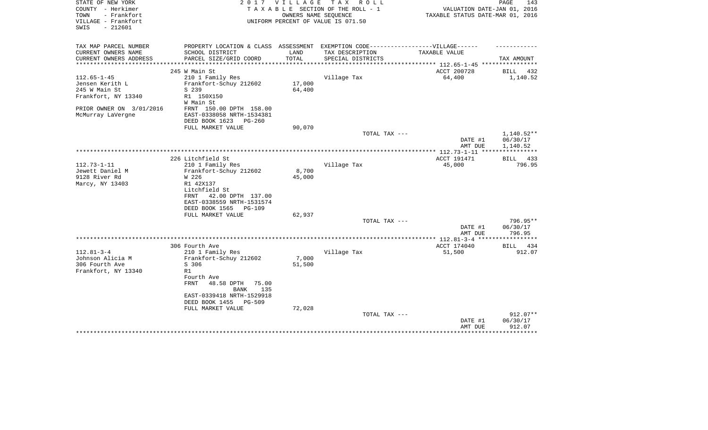| STATE OF NEW YORK        | 2 0 1 7                                                                           | <b>VILLAGE</b> | TAX ROLL                           |                                                        | PAGE<br>143           |
|--------------------------|-----------------------------------------------------------------------------------|----------------|------------------------------------|--------------------------------------------------------|-----------------------|
| COUNTY - Herkimer        |                                                                                   |                | TAXABLE SECTION OF THE ROLL - 1    | VALUATION DATE-JAN 01, 2016                            |                       |
| TOWN<br>- Frankfort      |                                                                                   |                | OWNERS NAME SEQUENCE               | TAXABLE STATUS DATE-MAR 01, 2016                       |                       |
| VILLAGE - Frankfort      |                                                                                   |                | UNIFORM PERCENT OF VALUE IS 071.50 |                                                        |                       |
| $-212601$<br>SWIS        |                                                                                   |                |                                    |                                                        |                       |
|                          |                                                                                   |                |                                    |                                                        |                       |
|                          | PROPERTY LOCATION & CLASS ASSESSMENT EXEMPTION CODE-----------------VILLAGE------ |                |                                    |                                                        |                       |
| TAX MAP PARCEL NUMBER    |                                                                                   |                |                                    |                                                        |                       |
| CURRENT OWNERS NAME      | SCHOOL DISTRICT                                                                   | LAND           | TAX DESCRIPTION                    | TAXABLE VALUE                                          |                       |
| CURRENT OWNERS ADDRESS   | PARCEL SIZE/GRID COORD                                                            | TOTAL          | SPECIAL DISTRICTS                  |                                                        | TAX AMOUNT            |
|                          | 245 W Main St                                                                     |                |                                    | **************** 112.65-1-45 **********<br>ACCT 200728 | BILL<br>432           |
| $112.65 - 1 - 45$        |                                                                                   |                |                                    | 64,400                                                 | 1,140.52              |
|                          | 210 1 Family Res                                                                  |                | Village Tax                        |                                                        |                       |
| Jensen Kerith L          | Frankfort-Schuy 212602                                                            | 17,000         |                                    |                                                        |                       |
| 245 W Main St            | S 239                                                                             | 64,400         |                                    |                                                        |                       |
| Frankfort, NY 13340      | R1 150X150                                                                        |                |                                    |                                                        |                       |
|                          | W Main St                                                                         |                |                                    |                                                        |                       |
| PRIOR OWNER ON 3/01/2016 | FRNT 150.00 DPTH 158.00                                                           |                |                                    |                                                        |                       |
| McMurray LaVergne        | EAST-0338058 NRTH-1534381                                                         |                |                                    |                                                        |                       |
|                          | DEED BOOK 1623<br>$PG-260$                                                        |                |                                    |                                                        |                       |
|                          | FULL MARKET VALUE                                                                 | 90,070         |                                    |                                                        |                       |
|                          |                                                                                   |                | TOTAL TAX ---                      |                                                        | $1,140.52**$          |
|                          |                                                                                   |                |                                    | DATE #1                                                | 06/30/17              |
|                          |                                                                                   |                |                                    | AMT DUE                                                | 1,140.52              |
|                          |                                                                                   |                |                                    |                                                        | * * * * * * * * * * * |
|                          | 226 Litchfield St                                                                 |                |                                    | ACCT 191471                                            | BILL 433              |
| $112.73 - 1 - 11$        | 210 1 Family Res                                                                  |                | Village Tax                        | 45,000                                                 | 796.95                |
| Jewett Daniel M          | Frankfort-Schuy 212602                                                            | 8,700          |                                    |                                                        |                       |
| 9128 River Rd            | W 226                                                                             | 45,000         |                                    |                                                        |                       |
|                          |                                                                                   |                |                                    |                                                        |                       |
| Marcy, NY 13403          | R1 42X137                                                                         |                |                                    |                                                        |                       |
|                          | Litchfield St                                                                     |                |                                    |                                                        |                       |
|                          | 42.00 DPTH 137.00<br>FRNT                                                         |                |                                    |                                                        |                       |
|                          | EAST-0338559 NRTH-1531574                                                         |                |                                    |                                                        |                       |
|                          | DEED BOOK 1565<br><b>PG-109</b>                                                   |                |                                    |                                                        |                       |
|                          | FULL MARKET VALUE                                                                 | 62,937         |                                    |                                                        |                       |
|                          |                                                                                   |                | TOTAL TAX ---                      |                                                        | 796.95**              |
|                          |                                                                                   |                |                                    | DATE #1                                                | 06/30/17              |
|                          |                                                                                   |                |                                    | AMT DUE                                                | 796.95                |
|                          |                                                                                   |                |                                    | ** 112.81-3-4 ***                                      |                       |
|                          | 306 Fourth Ave                                                                    |                |                                    | ACCT 174040                                            | BILL<br>434           |
| $112.81 - 3 - 4$         | 210 1 Family Res                                                                  |                | Village Tax                        | 51,500                                                 | 912.07                |
| Johnson Alicia M         | Frankfort-Schuy 212602                                                            | 7,000          |                                    |                                                        |                       |
| 306 Fourth Ave           | S 306                                                                             | 51,500         |                                    |                                                        |                       |
| Frankfort, NY 13340      | R1                                                                                |                |                                    |                                                        |                       |
|                          | Fourth Ave                                                                        |                |                                    |                                                        |                       |
|                          | FRNT<br>48.58 DPTH<br>75.00                                                       |                |                                    |                                                        |                       |
|                          | 135<br>BANK                                                                       |                |                                    |                                                        |                       |
|                          | EAST-0339418 NRTH-1529918                                                         |                |                                    |                                                        |                       |
|                          | <b>PG-509</b>                                                                     |                |                                    |                                                        |                       |
|                          | DEED BOOK 1455                                                                    |                |                                    |                                                        |                       |
|                          | FULL MARKET VALUE                                                                 | 72,028         |                                    |                                                        |                       |
|                          |                                                                                   |                | TOTAL TAX ---                      |                                                        | 912.07**              |
|                          |                                                                                   |                |                                    | DATE #1                                                | 06/30/17              |
|                          |                                                                                   |                |                                    | AMT DUE                                                | 912.07                |
|                          |                                                                                   |                |                                    |                                                        |                       |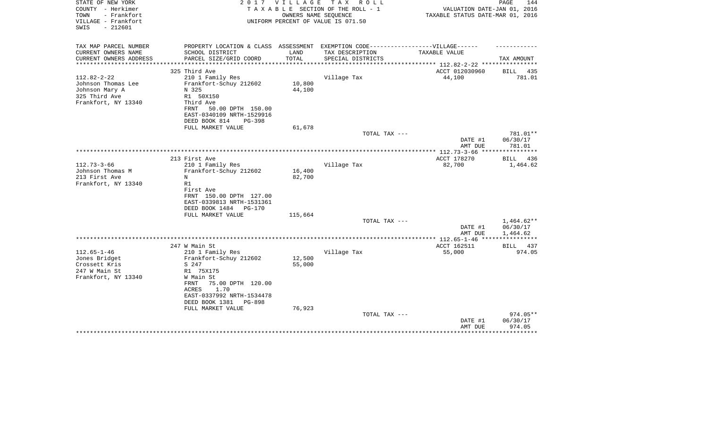| STATE OF NEW YORK<br>COUNTY - Herkimer<br>TOWN<br>- Frankfort<br>VILLAGE - Frankfort<br>SWIS<br>$-212601$ | 2017                                                                             | V I L L A G E          | T A X<br>R O L L<br>TAXABLE SECTION OF THE ROLL - 1<br>OWNERS NAME SEQUENCE<br>UNIFORM PERCENT OF VALUE IS 071.50 | VALUATION DATE-JAN 01, 2016<br>TAXABLE STATUS DATE-MAR 01, 2016 | PAGE<br>144        |
|-----------------------------------------------------------------------------------------------------------|----------------------------------------------------------------------------------|------------------------|-------------------------------------------------------------------------------------------------------------------|-----------------------------------------------------------------|--------------------|
| TAX MAP PARCEL NUMBER                                                                                     | PROPERTY LOCATION & CLASS ASSESSMENT EXEMPTION CODE----------------VILLAGE------ |                        |                                                                                                                   |                                                                 |                    |
| CURRENT OWNERS NAME                                                                                       | SCHOOL DISTRICT                                                                  | LAND                   | TAX DESCRIPTION                                                                                                   | TAXABLE VALUE                                                   |                    |
| CURRENT OWNERS ADDRESS<br>*******************                                                             | PARCEL SIZE/GRID COORD                                                           | TOTAL<br>************* | SPECIAL DISTRICTS                                                                                                 | **************************** 112.82-2-22 ***********            | TAX AMOUNT         |
|                                                                                                           | 325 Third Ave                                                                    |                        |                                                                                                                   | ACCT 012030960                                                  | <b>BILL</b><br>435 |
| $112.82 - 2 - 22$                                                                                         | 210 1 Family Res                                                                 |                        | Village Tax                                                                                                       | 44,100                                                          | 781.01             |
| Johnson Thomas Lee                                                                                        | Frankfort-Schuy 212602                                                           | 10,800                 |                                                                                                                   |                                                                 |                    |
| Johnson Mary A                                                                                            | N 325                                                                            | 44,100                 |                                                                                                                   |                                                                 |                    |
| 325 Third Ave                                                                                             | R1 50X150                                                                        |                        |                                                                                                                   |                                                                 |                    |
| Frankfort, NY 13340                                                                                       | Third Ave                                                                        |                        |                                                                                                                   |                                                                 |                    |
|                                                                                                           | FRNT<br>50.00 DPTH 150.00<br>EAST-0340109 NRTH-1529916                           |                        |                                                                                                                   |                                                                 |                    |
|                                                                                                           | DEED BOOK 814<br>PG-398                                                          |                        |                                                                                                                   |                                                                 |                    |
|                                                                                                           | FULL MARKET VALUE                                                                | 61,678                 |                                                                                                                   |                                                                 |                    |
|                                                                                                           |                                                                                  |                        | TOTAL TAX ---                                                                                                     |                                                                 | 781.01**           |
|                                                                                                           |                                                                                  |                        |                                                                                                                   | DATE #1                                                         | 06/30/17           |
|                                                                                                           |                                                                                  |                        |                                                                                                                   | AMT DUE<br>************ 112.73-3-66 ****                        | 781.01             |
|                                                                                                           | 213 First Ave                                                                    |                        |                                                                                                                   | ACCT 178270                                                     | 436<br>BILL        |
| $112.73 - 3 - 66$                                                                                         | 210 1 Family Res                                                                 |                        | Village Tax                                                                                                       | 82,700                                                          | 1,464.62           |
| Johnson Thomas M                                                                                          | Frankfort-Schuy 212602                                                           | 16,400                 |                                                                                                                   |                                                                 |                    |
| 213 First Ave                                                                                             | N                                                                                | 82,700                 |                                                                                                                   |                                                                 |                    |
| Frankfort, NY 13340                                                                                       | R1                                                                               |                        |                                                                                                                   |                                                                 |                    |
|                                                                                                           | First Ave<br>FRNT 150.00 DPTH 127.00                                             |                        |                                                                                                                   |                                                                 |                    |
|                                                                                                           | EAST-0339813 NRTH-1531361                                                        |                        |                                                                                                                   |                                                                 |                    |
|                                                                                                           | DEED BOOK 1484 PG-170                                                            |                        |                                                                                                                   |                                                                 |                    |
|                                                                                                           | FULL MARKET VALUE                                                                | 115,664                |                                                                                                                   |                                                                 |                    |
|                                                                                                           |                                                                                  |                        | TOTAL TAX ---                                                                                                     |                                                                 | $1,464.62**$       |
|                                                                                                           |                                                                                  |                        |                                                                                                                   | DATE #1                                                         | 06/30/17           |
|                                                                                                           |                                                                                  |                        |                                                                                                                   | AMT DUE<br>*** 112.65-1-46 ***                                  | 1,464.62           |
|                                                                                                           | 247 W Main St                                                                    |                        |                                                                                                                   | ACCT 162511                                                     | BILL<br>437        |
| $112.65 - 1 - 46$                                                                                         | 210 1 Family Res                                                                 |                        | Village Tax                                                                                                       | 55,000                                                          | 974.05             |
| Jones Bridget                                                                                             | Frankfort-Schuy 212602                                                           | 12,500                 |                                                                                                                   |                                                                 |                    |
| Crossett Kris                                                                                             | S 247                                                                            | 55,000                 |                                                                                                                   |                                                                 |                    |
| 247 W Main St                                                                                             | R1 75X175                                                                        |                        |                                                                                                                   |                                                                 |                    |
| Frankfort, NY 13340                                                                                       | W Main St<br>75.00 DPTH 120.00<br>FRNT                                           |                        |                                                                                                                   |                                                                 |                    |
|                                                                                                           | 1.70<br>ACRES                                                                    |                        |                                                                                                                   |                                                                 |                    |
|                                                                                                           | EAST-0337992 NRTH-1534478                                                        |                        |                                                                                                                   |                                                                 |                    |
|                                                                                                           | DEED BOOK 1381<br>PG-898                                                         |                        |                                                                                                                   |                                                                 |                    |
|                                                                                                           | FULL MARKET VALUE                                                                | 76,923                 |                                                                                                                   |                                                                 |                    |
|                                                                                                           |                                                                                  |                        | TOTAL TAX ---                                                                                                     |                                                                 | 974.05**           |
|                                                                                                           |                                                                                  |                        |                                                                                                                   | DATE #1<br>AMT DUE                                              | 06/30/17<br>974.05 |
|                                                                                                           |                                                                                  |                        |                                                                                                                   |                                                                 |                    |
|                                                                                                           |                                                                                  |                        |                                                                                                                   |                                                                 |                    |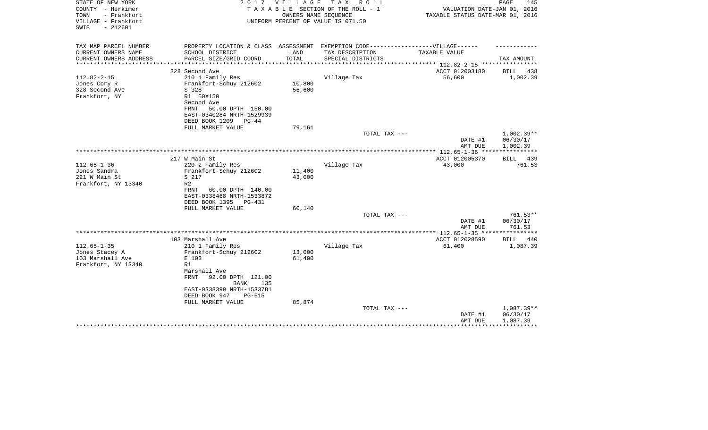| STATE OF NEW YORK<br>COUNTY - Herkimer<br>TOWN<br>- Frankfort | 2 0 1 7                                                                           | <b>VILLAGE</b>                 | T A X<br>R O L L<br>TAXABLE SECTION OF THE ROLL - 1<br>OWNERS NAME SEQUENCE | VALUATION DATE-JAN 01, 2016<br>TAXABLE STATUS DATE-MAR 01, 2016 | PAGE<br>145            |
|---------------------------------------------------------------|-----------------------------------------------------------------------------------|--------------------------------|-----------------------------------------------------------------------------|-----------------------------------------------------------------|------------------------|
| VILLAGE - Frankfort<br>$-212601$<br>SWIS                      |                                                                                   |                                | UNIFORM PERCENT OF VALUE IS 071.50                                          |                                                                 |                        |
| TAX MAP PARCEL NUMBER                                         | PROPERTY LOCATION & CLASS ASSESSMENT EXEMPTION CODE-----------------VILLAGE------ |                                |                                                                             |                                                                 |                        |
| CURRENT OWNERS NAME                                           | SCHOOL DISTRICT                                                                   | LAND                           | TAX DESCRIPTION                                                             | <b>TAXABLE VALUE</b>                                            |                        |
| CURRENT OWNERS ADDRESS<br>*****************                   | PARCEL SIZE/GRID COORD<br>*****************************                           | TOTAL<br>********************* | SPECIAL DISTRICTS                                                           |                                                                 | TAX AMOUNT             |
|                                                               | 328 Second Ave                                                                    |                                |                                                                             | ACCT 012003180                                                  | BILL<br>438            |
| $112.82 - 2 - 15$                                             | 210 1 Family Res                                                                  |                                | Village Tax                                                                 | 56,600                                                          | 1,002.39               |
| Jones Cory R                                                  | Frankfort-Schuy 212602                                                            | 10,800                         |                                                                             |                                                                 |                        |
| 328 Second Ave                                                | S 328                                                                             | 56,600                         |                                                                             |                                                                 |                        |
| Frankfort, NY                                                 | R1 50X150<br>Second Ave                                                           |                                |                                                                             |                                                                 |                        |
|                                                               | 50.00 DPTH 150.00<br>FRNT                                                         |                                |                                                                             |                                                                 |                        |
|                                                               | EAST-0340284 NRTH-1529939                                                         |                                |                                                                             |                                                                 |                        |
|                                                               | DEED BOOK 1209<br>$PG-44$                                                         |                                |                                                                             |                                                                 |                        |
|                                                               | FULL MARKET VALUE                                                                 | 79,161                         |                                                                             |                                                                 |                        |
|                                                               |                                                                                   |                                | TOTAL TAX ---                                                               |                                                                 | $1,002.39**$           |
|                                                               |                                                                                   |                                |                                                                             | DATE #1<br>AMT DUE                                              | 06/30/17<br>1,002.39   |
|                                                               |                                                                                   |                                |                                                                             |                                                                 |                        |
|                                                               | 217 W Main St                                                                     |                                |                                                                             | ACCT 012005370                                                  | <b>BILL</b><br>439     |
| $112.65 - 1 - 36$                                             | 220 2 Family Res                                                                  |                                | Village Tax                                                                 | 43,000                                                          | 761.53                 |
| Jones Sandra                                                  | Frankfort-Schuy 212602                                                            | 11,400                         |                                                                             |                                                                 |                        |
| 221 W Main St                                                 | S 217<br>R <sub>2</sub>                                                           | 43,000                         |                                                                             |                                                                 |                        |
| Frankfort, NY 13340                                           | FRNT<br>60.00 DPTH 140.00                                                         |                                |                                                                             |                                                                 |                        |
|                                                               | EAST-0338468 NRTH-1533872                                                         |                                |                                                                             |                                                                 |                        |
|                                                               | DEED BOOK 1395<br>PG-431                                                          |                                |                                                                             |                                                                 |                        |
|                                                               | FULL MARKET VALUE                                                                 | 60,140                         |                                                                             |                                                                 |                        |
|                                                               |                                                                                   |                                | TOTAL TAX ---                                                               |                                                                 | 761.53**               |
|                                                               |                                                                                   |                                |                                                                             | DATE #1<br>AMT DUE                                              | 06/30/17<br>761.53     |
|                                                               |                                                                                   |                                |                                                                             |                                                                 |                        |
|                                                               | 103 Marshall Ave                                                                  |                                |                                                                             | ACCT 012028590                                                  | <b>BILL</b><br>440     |
| $112.65 - 1 - 35$                                             | 210 1 Family Res                                                                  |                                | Village Tax                                                                 | 61,400                                                          | 1,087.39               |
| Jones Stacey A                                                | Frankfort-Schuy 212602                                                            | 13,000                         |                                                                             |                                                                 |                        |
| 103 Marshall Ave<br>Frankfort, NY 13340                       | E 103<br>R1                                                                       | 61,400                         |                                                                             |                                                                 |                        |
|                                                               | Marshall Ave                                                                      |                                |                                                                             |                                                                 |                        |
|                                                               | <b>FRNT</b><br>92.00 DPTH 121.00<br><b>BANK</b><br>135                            |                                |                                                                             |                                                                 |                        |
|                                                               | EAST-0338399 NRTH-1533781                                                         |                                |                                                                             |                                                                 |                        |
|                                                               | DEED BOOK 947<br><b>PG-615</b>                                                    |                                |                                                                             |                                                                 |                        |
|                                                               | FULL MARKET VALUE                                                                 | 85,874                         |                                                                             |                                                                 |                        |
|                                                               |                                                                                   |                                | TOTAL TAX ---                                                               | DATE #1                                                         | 1,087.39**<br>06/30/17 |
|                                                               |                                                                                   |                                |                                                                             | AMT DUE                                                         | 1,087.39               |
|                                                               |                                                                                   |                                |                                                                             |                                                                 |                        |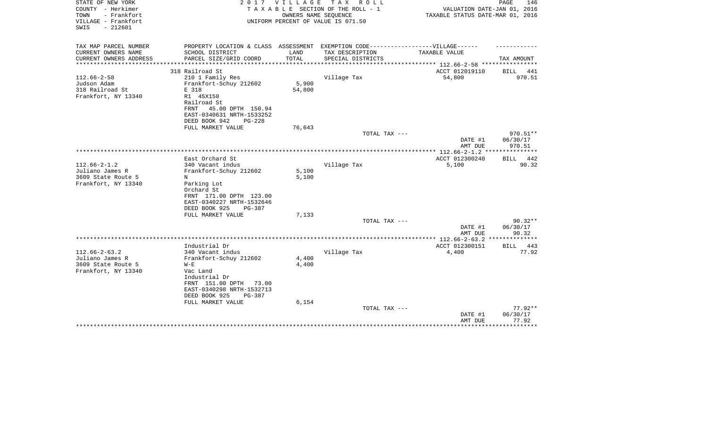| STATE OF NEW YORK<br>COUNTY - Herkimer<br>TOWN<br>- Frankfort<br>VILLAGE - Frankfort<br>$-212601$<br>SWIS | 2017                                                   | V I L L A G E | T A X<br>R O L L<br>TAXABLE SECTION OF THE ROLL - 1<br>OWNERS NAME SEQUENCE<br>UNIFORM PERCENT OF VALUE IS 071.50 | VALUATION DATE-JAN 01, 2016<br>TAXABLE STATUS DATE-MAR 01, 2016 | PAGE<br>146              |
|-----------------------------------------------------------------------------------------------------------|--------------------------------------------------------|---------------|-------------------------------------------------------------------------------------------------------------------|-----------------------------------------------------------------|--------------------------|
| TAX MAP PARCEL NUMBER                                                                                     | PROPERTY LOCATION & CLASS ASSESSMENT                   |               | EXEMPTION CODE-----------------VILLAGE------                                                                      |                                                                 |                          |
| CURRENT OWNERS NAME                                                                                       | SCHOOL DISTRICT                                        | LAND          | TAX DESCRIPTION                                                                                                   | TAXABLE VALUE                                                   |                          |
| CURRENT OWNERS ADDRESS<br>********************                                                            | PARCEL SIZE/GRID COORD                                 | TOTAL         | SPECIAL DISTRICTS                                                                                                 | ***************** 112.66-2-58 *****************                 | TAX AMOUNT               |
|                                                                                                           | 318 Railroad St                                        |               |                                                                                                                   | ACCT 012019110                                                  | BILL<br>441              |
| $112.66 - 2 - 58$                                                                                         | 210 1 Family Res                                       |               | Village Tax                                                                                                       | 54,800                                                          | 970.51                   |
| Judson Adam                                                                                               | Frankfort-Schuy 212602                                 | 5,900         |                                                                                                                   |                                                                 |                          |
| 318 Railroad St                                                                                           | E 318                                                  | 54,800        |                                                                                                                   |                                                                 |                          |
| Frankfort, NY 13340                                                                                       | R1 45X150                                              |               |                                                                                                                   |                                                                 |                          |
|                                                                                                           | Railroad St                                            |               |                                                                                                                   |                                                                 |                          |
|                                                                                                           | 45.00 DPTH 150.94<br>FRNT<br>EAST-0340631 NRTH-1533252 |               |                                                                                                                   |                                                                 |                          |
|                                                                                                           | DEED BOOK 942<br><b>PG-228</b>                         |               |                                                                                                                   |                                                                 |                          |
|                                                                                                           | FULL MARKET VALUE                                      | 76,643        |                                                                                                                   |                                                                 |                          |
|                                                                                                           |                                                        |               | TOTAL TAX ---                                                                                                     |                                                                 | 970.51**                 |
|                                                                                                           |                                                        |               |                                                                                                                   | DATE #1                                                         | 06/30/17                 |
|                                                                                                           |                                                        |               |                                                                                                                   | AMT DUE                                                         | 970.51                   |
|                                                                                                           |                                                        |               |                                                                                                                   | *************** 112.66-2-1.2 **                                 | ***********              |
| $112.66 - 2 - 1.2$                                                                                        | East Orchard St<br>340 Vacant indus                    |               | Village Tax                                                                                                       | ACCT 012300240<br>5,100                                         | 442<br>BILL<br>90.32     |
| Juliano James R                                                                                           | Frankfort-Schuy 212602                                 | 5,100         |                                                                                                                   |                                                                 |                          |
| 3609 State Route 5                                                                                        | Ν                                                      | 5,100         |                                                                                                                   |                                                                 |                          |
| Frankfort, NY 13340                                                                                       | Parking Lot                                            |               |                                                                                                                   |                                                                 |                          |
|                                                                                                           | Orchard St                                             |               |                                                                                                                   |                                                                 |                          |
|                                                                                                           | FRNT 171.00 DPTH 123.00                                |               |                                                                                                                   |                                                                 |                          |
|                                                                                                           | EAST-0340227 NRTH-1532646                              |               |                                                                                                                   |                                                                 |                          |
|                                                                                                           | DEED BOOK 925<br>PG-387                                |               |                                                                                                                   |                                                                 |                          |
|                                                                                                           | FULL MARKET VALUE                                      | 7,133         |                                                                                                                   |                                                                 |                          |
|                                                                                                           |                                                        |               | TOTAL TAX ---                                                                                                     | DATE #1                                                         | $90.32**$<br>06/30/17    |
|                                                                                                           |                                                        |               |                                                                                                                   | AMT DUE                                                         | 90.32                    |
|                                                                                                           |                                                        |               |                                                                                                                   |                                                                 | ***********              |
|                                                                                                           | Industrial Dr                                          |               |                                                                                                                   | ACCT 012300151                                                  | 443<br>BILL              |
| $112.66 - 2 - 63.2$                                                                                       | 340 Vacant indus                                       |               | Village Tax                                                                                                       | 4,400                                                           | 77.92                    |
| Juliano James R                                                                                           | Frankfort-Schuy 212602                                 | 4,400         |                                                                                                                   |                                                                 |                          |
| 3609 State Route 5                                                                                        | $W - E$                                                | 4,400         |                                                                                                                   |                                                                 |                          |
| Frankfort, NY 13340                                                                                       | Vac Land                                               |               |                                                                                                                   |                                                                 |                          |
|                                                                                                           | Industrial Dr<br>FRNT 151.00 DPTH<br>73.00             |               |                                                                                                                   |                                                                 |                          |
|                                                                                                           | EAST-0340298 NRTH-1532713                              |               |                                                                                                                   |                                                                 |                          |
|                                                                                                           | DEED BOOK 925<br>PG-387                                |               |                                                                                                                   |                                                                 |                          |
|                                                                                                           | FULL MARKET VALUE                                      | 6,154         |                                                                                                                   |                                                                 |                          |
|                                                                                                           |                                                        |               | TOTAL TAX ---                                                                                                     |                                                                 | $77.92**$                |
|                                                                                                           |                                                        |               |                                                                                                                   | DATE #1                                                         | 06/30/17                 |
|                                                                                                           |                                                        |               |                                                                                                                   | AMT DUE                                                         | 77.92<br>* * * * * * * * |
|                                                                                                           |                                                        |               |                                                                                                                   |                                                                 |                          |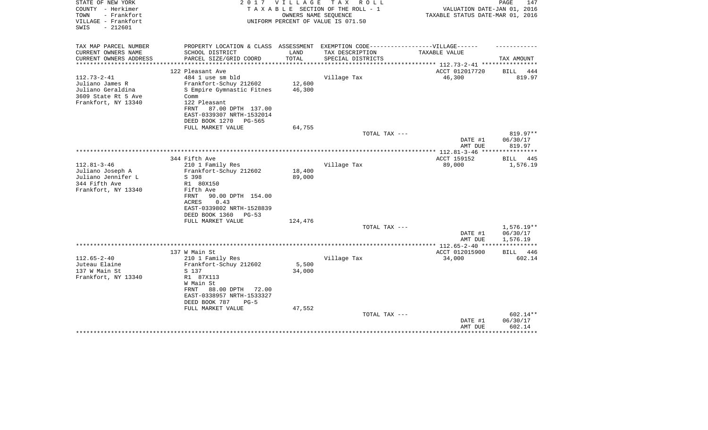| TOWN<br>- Frankfort<br>OWNERS NAME SEOUENCE<br>TAXABLE STATUS DATE-MAR 01, 2016<br>VILLAGE - Frankfort<br>UNIFORM PERCENT OF VALUE IS 071.50<br>$-212601$<br>SWIS                                                                                                                                                                                                                                                  | VALUATION DATE-JAN 01, 2016          |
|--------------------------------------------------------------------------------------------------------------------------------------------------------------------------------------------------------------------------------------------------------------------------------------------------------------------------------------------------------------------------------------------------------------------|--------------------------------------|
| TAX MAP PARCEL NUMBER<br>PROPERTY LOCATION & CLASS ASSESSMENT EXEMPTION CODE-----------------VILLAGE------<br>CURRENT OWNERS NAME<br>SCHOOL DISTRICT<br>LAND<br>TAX DESCRIPTION<br>TAXABLE VALUE<br>CURRENT OWNERS ADDRESS<br>PARCEL SIZE/GRID COORD<br>TOTAL<br>SPECIAL DISTRICTS<br>**********************                                                                                                       | TAX AMOUNT                           |
| 122 Pleasant Ave<br>ACCT 012017720<br>$112.73 - 2 - 41$<br>484 1 use sm bld<br>Village Tax<br>46,300<br>12,600<br>Juliano James R<br>Frankfort-Schuy 212602<br>Juliano Geraldina<br>S Empire Gymnastic Fitnes<br>46,300<br>3609 State Rt 5 Ave<br>Comm<br>Frankfort, NY 13340<br>122 Pleasant<br>87.00 DPTH 137.00<br>FRNT<br>EAST-0339307 NRTH-1532014<br>DEED BOOK 1270<br>PG-565<br>FULL MARKET VALUE<br>64,755 | 444<br>BILL<br>819.97                |
| TOTAL TAX ---<br>DATE #1<br>AMT DUE                                                                                                                                                                                                                                                                                                                                                                                | 819.97**<br>06/30/17<br>819.97       |
| 344 Fifth Ave<br>ACCT 159152<br>$112.81 - 3 - 46$<br>Village Tax<br>89,000<br>210 1 Family Res<br>Juliano Joseph A<br>Frankfort-Schuy 212602<br>18,400<br>Juliano Jennifer L<br>89,000<br>S 398<br>344 Fifth Ave<br>R1 80X150<br>Frankfort, NY 13340<br>Fifth Ave<br><b>FRNT</b><br>90.00 DPTH 154.00<br>ACRES<br>0.43<br>EAST-0339802 NRTH-1528839<br>DEED BOOK 1360<br>$PG-53$<br>FULL MARKET VALUE<br>124,476   | BILL<br>445<br>1,576.19              |
| TOTAL TAX ---<br>DATE #1<br>AMT DUE                                                                                                                                                                                                                                                                                                                                                                                | $1,576.19**$<br>06/30/17<br>1,576.19 |
| 137 W Main St<br>ACCT 012015900<br>$112.65 - 2 - 40$<br>210 1 Family Res<br>Village Tax<br>34,000<br>Juteau Elaine<br>Frankfort-Schuy 212602<br>5,500<br>137 W Main St<br>S 137<br>34,000<br>Frankfort, NY 13340<br>R1 87X113<br>W Main St<br>88.00 DPTH<br>FRNT<br>72.00<br>EAST-0338957 NRTH-1533327<br>DEED BOOK 787<br>$PG-5$                                                                                  | 446<br>BILL<br>602.14                |
| FULL MARKET VALUE<br>47,552<br>TOTAL TAX ---<br>DATE #1<br>AMT DUE                                                                                                                                                                                                                                                                                                                                                 | 602.14**<br>06/30/17<br>602.14       |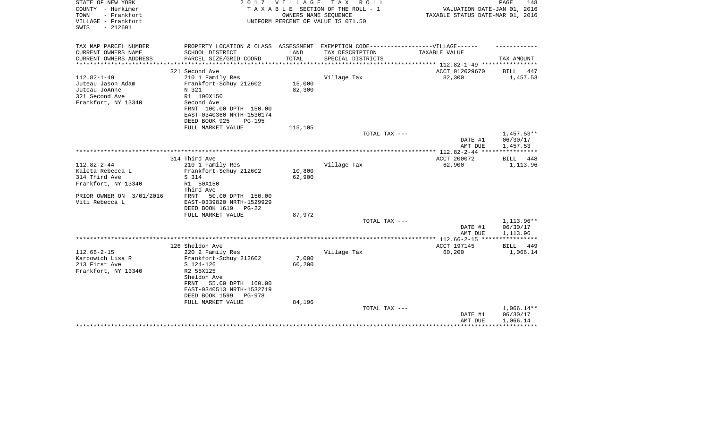| STATE OF NEW YORK<br>COUNTY - Herkimer<br>TOWN<br>- Frankfort<br>VILLAGE - Frankfort<br>$-212601$<br>SWIS | 2017                                                                              | <b>VILLAGE</b> | TAX ROLL<br>TAXABLE SECTION OF THE ROLL - 1<br>OWNERS NAME SEQUENCE<br>UNIFORM PERCENT OF VALUE IS 071.50 | VALUATION DATE-JAN 01, 2016<br>TAXABLE STATUS DATE-MAR 01, 2016 | PAGE<br>148                       |
|-----------------------------------------------------------------------------------------------------------|-----------------------------------------------------------------------------------|----------------|-----------------------------------------------------------------------------------------------------------|-----------------------------------------------------------------|-----------------------------------|
| TAX MAP PARCEL NUMBER                                                                                     | PROPERTY LOCATION & CLASS ASSESSMENT EXEMPTION CODE-----------------VILLAGE------ |                |                                                                                                           |                                                                 |                                   |
| CURRENT OWNERS NAME                                                                                       | SCHOOL DISTRICT                                                                   | LAND           | TAX DESCRIPTION                                                                                           | TAXABLE VALUE                                                   |                                   |
| CURRENT OWNERS ADDRESS<br>*********************                                                           | PARCEL SIZE/GRID COORD                                                            | TOTAL          | SPECIAL DISTRICTS                                                                                         | *************************** 112.82-1-49 ****************        | TAX AMOUNT                        |
|                                                                                                           | 321 Second Ave                                                                    |                |                                                                                                           | ACCT 012029670                                                  | BILL<br>447                       |
| $112.82 - 1 - 49$                                                                                         | 210 1 Family Res                                                                  |                | Village Tax                                                                                               | 82,300                                                          | 1,457.53                          |
| Juteau Jason Adam                                                                                         | Frankfort-Schuy 212602                                                            | 15,000         |                                                                                                           |                                                                 |                                   |
| Juteau JoAnne                                                                                             | N 321                                                                             | 82,300         |                                                                                                           |                                                                 |                                   |
| 321 Second Ave                                                                                            | R1 100X150                                                                        |                |                                                                                                           |                                                                 |                                   |
| Frankfort, NY 13340                                                                                       | Second Ave<br>FRNT 100.00 DPTH 150.00                                             |                |                                                                                                           |                                                                 |                                   |
|                                                                                                           | EAST-0340360 NRTH-1530174                                                         |                |                                                                                                           |                                                                 |                                   |
|                                                                                                           | DEED BOOK 925<br><b>PG-195</b>                                                    |                |                                                                                                           |                                                                 |                                   |
|                                                                                                           | FULL MARKET VALUE                                                                 | 115,105        |                                                                                                           |                                                                 |                                   |
|                                                                                                           |                                                                                   |                | TOTAL TAX ---                                                                                             |                                                                 | $1,457.53**$                      |
|                                                                                                           |                                                                                   |                |                                                                                                           | DATE #1                                                         | 06/30/17                          |
|                                                                                                           |                                                                                   |                |                                                                                                           | AMT DUE                                                         | 1,457.53                          |
|                                                                                                           | 314 Third Ave                                                                     |                |                                                                                                           | ACCT 200072                                                     | BILL<br>448                       |
| $112.82 - 2 - 44$                                                                                         | 210 1 Family Res                                                                  |                | Village Tax                                                                                               | 62,900                                                          | 1,113.96                          |
| Kaleta Rebecca L                                                                                          | Frankfort-Schuy 212602                                                            | 10,800         |                                                                                                           |                                                                 |                                   |
| 314 Third Ave                                                                                             | S 314                                                                             | 62,900         |                                                                                                           |                                                                 |                                   |
| Frankfort, NY 13340                                                                                       | R1 50X150                                                                         |                |                                                                                                           |                                                                 |                                   |
|                                                                                                           | Third Ave                                                                         |                |                                                                                                           |                                                                 |                                   |
| PRIOR OWNER ON 3/01/2016<br>Viti Rebecca L                                                                | 50.00 DPTH 150.00<br>FRNT<br>EAST-0339820 NRTH-1529929                            |                |                                                                                                           |                                                                 |                                   |
|                                                                                                           | DEED BOOK 1619<br>$PG-22$                                                         |                |                                                                                                           |                                                                 |                                   |
|                                                                                                           | FULL MARKET VALUE                                                                 | 87,972         |                                                                                                           |                                                                 |                                   |
|                                                                                                           |                                                                                   |                | TOTAL TAX ---                                                                                             |                                                                 | 1, 113.96**                       |
|                                                                                                           |                                                                                   |                |                                                                                                           | DATE #1                                                         | 06/30/17                          |
|                                                                                                           |                                                                                   |                |                                                                                                           | AMT DUE                                                         | 1,113.96<br>* * * * * * * * * * * |
|                                                                                                           | 126 Sheldon Ave                                                                   |                |                                                                                                           | ACCT 197145                                                     | BILL<br>449                       |
| $112.66 - 2 - 15$                                                                                         | 220 2 Family Res                                                                  |                | Village Tax                                                                                               | 60,200                                                          | 1,066.14                          |
| Karpowich Lisa R                                                                                          | Frankfort-Schuy 212602                                                            | 7,000          |                                                                                                           |                                                                 |                                   |
| 213 First Ave                                                                                             | S 124-126                                                                         | 60,200         |                                                                                                           |                                                                 |                                   |
| Frankfort, NY 13340                                                                                       | R2 55X125                                                                         |                |                                                                                                           |                                                                 |                                   |
|                                                                                                           | Sheldon Ave                                                                       |                |                                                                                                           |                                                                 |                                   |
|                                                                                                           | 55.00 DPTH 160.00<br>FRNT<br>EAST-0340513 NRTH-1532719                            |                |                                                                                                           |                                                                 |                                   |
|                                                                                                           | DEED BOOK 1599<br><b>PG-978</b>                                                   |                |                                                                                                           |                                                                 |                                   |
|                                                                                                           | FULL MARKET VALUE                                                                 | 84,196         |                                                                                                           |                                                                 |                                   |
|                                                                                                           |                                                                                   |                | TOTAL TAX ---                                                                                             |                                                                 | 1,066.14**                        |
|                                                                                                           |                                                                                   |                |                                                                                                           | DATE #1                                                         | 06/30/17                          |
|                                                                                                           |                                                                                   |                |                                                                                                           | AMT DUE                                                         | 1,066.14                          |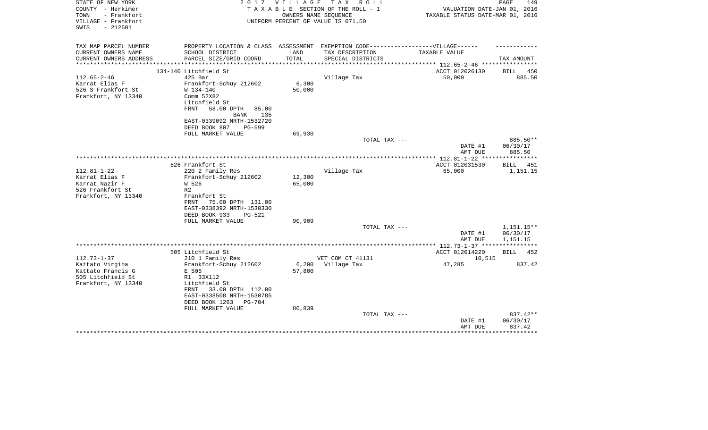| PROPERTY LOCATION & CLASS ASSESSMENT EXEMPTION CODE-----------------VILLAGE------<br>TAX AMOUNT<br>ACCT 012026130<br>BILL<br>450<br>885.50 |
|--------------------------------------------------------------------------------------------------------------------------------------------|
|                                                                                                                                            |
|                                                                                                                                            |
|                                                                                                                                            |
|                                                                                                                                            |
|                                                                                                                                            |
|                                                                                                                                            |
|                                                                                                                                            |
|                                                                                                                                            |
|                                                                                                                                            |
|                                                                                                                                            |
|                                                                                                                                            |
|                                                                                                                                            |
| 885.50**                                                                                                                                   |
| DATE #1<br>06/30/17<br>AMT DUE<br>885.50                                                                                                   |
| ***************** 112.81-1-22 *****************                                                                                            |
| ACCT 012031530<br><b>BILL</b><br>451                                                                                                       |
| 1,151.15                                                                                                                                   |
|                                                                                                                                            |
|                                                                                                                                            |
|                                                                                                                                            |
| 1,151.15**                                                                                                                                 |
| 06/30/17<br>DATE #1<br>AMT DUE<br>1,151.15                                                                                                 |
| *************** 112.73-1-37 ****************                                                                                               |
| ACCT 012014220<br>BILL 452                                                                                                                 |
| 10,515                                                                                                                                     |
| 837.42                                                                                                                                     |
|                                                                                                                                            |
|                                                                                                                                            |
| 837.42**                                                                                                                                   |
| DATE #1<br>06/30/17<br>AMT DUE<br>837.42                                                                                                   |
|                                                                                                                                            |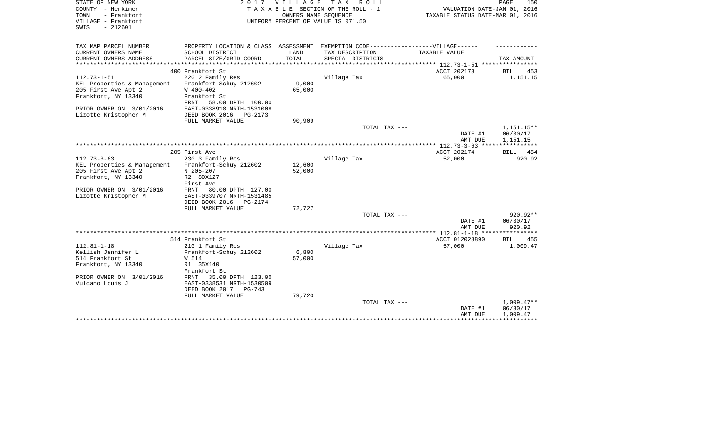| STATE OF NEW YORK<br>COUNTY - Herkimer<br>- Frankfort<br>TOWN<br>VILLAGE - Frankfort<br>$-212601$<br>SWIS | 2017                                                                              | <b>VILLAGE</b>    | TAX ROLL<br>TAXABLE SECTION OF THE ROLL - 1<br>OWNERS NAME SEQUENCE<br>UNIFORM PERCENT OF VALUE IS 071.50 | VALUATION DATE-JAN 01, 2016<br>TAXABLE STATUS DATE-MAR 01, 2016 | PAGE<br>150                          |
|-----------------------------------------------------------------------------------------------------------|-----------------------------------------------------------------------------------|-------------------|-----------------------------------------------------------------------------------------------------------|-----------------------------------------------------------------|--------------------------------------|
| TAX MAP PARCEL NUMBER                                                                                     | PROPERTY LOCATION & CLASS ASSESSMENT EXEMPTION CODE-----------------VILLAGE------ |                   |                                                                                                           |                                                                 |                                      |
| CURRENT OWNERS NAME<br>CURRENT OWNERS ADDRESS                                                             | SCHOOL DISTRICT<br>PARCEL SIZE/GRID COORD                                         | LAND<br>TOTAL     | TAX DESCRIPTION<br>SPECIAL DISTRICTS                                                                      | TAXABLE VALUE                                                   | TAX AMOUNT                           |
|                                                                                                           |                                                                                   | ***************** |                                                                                                           | *************************** 112.73-1-51 *****************       |                                      |
|                                                                                                           | 400 Frankfort St                                                                  |                   |                                                                                                           | ACCT 202173                                                     | BILL 453                             |
| $112.73 - 1 - 51$                                                                                         | 220 2 Family Res                                                                  |                   | Village Tax                                                                                               | 65,000                                                          | 1,151.15                             |
| KEL Properties & Management                                                                               | Frankfort-Schuy 212602                                                            | 9,000             |                                                                                                           |                                                                 |                                      |
| 205 First Ave Apt 2                                                                                       | W 400-402                                                                         | 65,000            |                                                                                                           |                                                                 |                                      |
| Frankfort, NY 13340                                                                                       | Frankfort St<br>FRNT                                                              |                   |                                                                                                           |                                                                 |                                      |
| PRIOR OWNER ON 3/01/2016                                                                                  | 58.00 DPTH 100.00<br>EAST-0338918 NRTH-1531008                                    |                   |                                                                                                           |                                                                 |                                      |
| Lizotte Kristopher M                                                                                      | DEED BOOK 2016 PG-2173                                                            |                   |                                                                                                           |                                                                 |                                      |
|                                                                                                           | FULL MARKET VALUE                                                                 | 90,909            |                                                                                                           |                                                                 |                                      |
|                                                                                                           |                                                                                   |                   | TOTAL TAX ---                                                                                             | DATE #1<br>AMT DUE                                              | $1,151.15**$<br>06/30/17<br>1,151.15 |
|                                                                                                           |                                                                                   |                   |                                                                                                           |                                                                 | ***********                          |
|                                                                                                           | 205 First Ave                                                                     |                   |                                                                                                           | ACCT 202174                                                     | 454<br>BILL                          |
| $112.73 - 3 - 63$                                                                                         | 230 3 Family Res                                                                  |                   | Village Tax                                                                                               | 52,000                                                          | 920.92                               |
| KEL Properties & Management                                                                               | Frankfort-Schuy 212602                                                            | 12,600            |                                                                                                           |                                                                 |                                      |
| 205 First Ave Apt 2                                                                                       | N 205-207                                                                         | 52,000            |                                                                                                           |                                                                 |                                      |
| Frankfort, NY 13340                                                                                       | R2 80X127                                                                         |                   |                                                                                                           |                                                                 |                                      |
| PRIOR OWNER ON 3/01/2016                                                                                  | First Ave<br>FRNT<br>80.00 DPTH 127.00                                            |                   |                                                                                                           |                                                                 |                                      |
| Lizotte Kristopher M                                                                                      | EAST-0339707 NRTH-1531485                                                         |                   |                                                                                                           |                                                                 |                                      |
|                                                                                                           | DEED BOOK 2016<br>PG-2174                                                         |                   |                                                                                                           |                                                                 |                                      |
|                                                                                                           | FULL MARKET VALUE                                                                 | 72,727            |                                                                                                           |                                                                 |                                      |
|                                                                                                           |                                                                                   |                   | TOTAL TAX ---                                                                                             |                                                                 | $920.92**$                           |
|                                                                                                           |                                                                                   |                   |                                                                                                           | DATE #1<br>AMT DUE                                              | 06/30/17<br>920.92                   |
|                                                                                                           | 514 Frankfort St                                                                  |                   |                                                                                                           | ACCT 012028890                                                  | <b>BILL</b> 455                      |
| $112.81 - 1 - 18$                                                                                         | 210 1 Family Res                                                                  |                   | Village Tax                                                                                               | 57,000                                                          | 1,009.47                             |
| Kellish Jennifer L                                                                                        | Frankfort-Schuy 212602                                                            | 6,800             |                                                                                                           |                                                                 |                                      |
| 514 Frankfort St                                                                                          | W 514                                                                             | 57,000            |                                                                                                           |                                                                 |                                      |
| Frankfort, NY 13340                                                                                       | R1 35X140                                                                         |                   |                                                                                                           |                                                                 |                                      |
|                                                                                                           | Frankfort St                                                                      |                   |                                                                                                           |                                                                 |                                      |
| PRIOR OWNER ON 3/01/2016                                                                                  | 35.00 DPTH 123.00<br>FRNT                                                         |                   |                                                                                                           |                                                                 |                                      |
| Vulcano Louis J                                                                                           | EAST-0338531 NRTH-1530509<br>DEED BOOK 2017<br>PG-743                             |                   |                                                                                                           |                                                                 |                                      |
|                                                                                                           | FULL MARKET VALUE                                                                 | 79,720            |                                                                                                           |                                                                 |                                      |
|                                                                                                           |                                                                                   |                   | TOTAL TAX ---                                                                                             |                                                                 | $1,009.47**$                         |
|                                                                                                           |                                                                                   |                   |                                                                                                           | DATE #1                                                         | 06/30/17                             |
|                                                                                                           |                                                                                   |                   |                                                                                                           | AMT DUE                                                         | 1,009.47                             |
|                                                                                                           |                                                                                   |                   |                                                                                                           |                                                                 |                                      |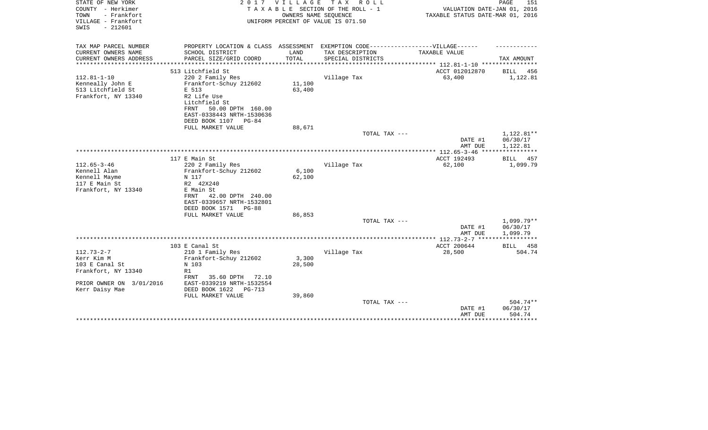| STATE OF NEW YORK<br>COUNTY - Herkimer<br>- Frankfort<br>TOWN<br>VILLAGE - Frankfort<br>$-212601$<br>SWIS | 2017                                                                                                | V I L L A G E | T A X<br>R O L L<br>TAXABLE SECTION OF THE ROLL - 1<br>OWNERS NAME SEQUENCE<br>UNIFORM PERCENT OF VALUE IS 071.50 | VALUATION DATE-JAN 01, 2016<br>TAXABLE STATUS DATE-MAR 01, 2016 | PAGE<br>151          |
|-----------------------------------------------------------------------------------------------------------|-----------------------------------------------------------------------------------------------------|---------------|-------------------------------------------------------------------------------------------------------------------|-----------------------------------------------------------------|----------------------|
| TAX MAP PARCEL NUMBER<br>CURRENT OWNERS NAME                                                              | PROPERTY LOCATION & CLASS ASSESSMENT EXEMPTION CODE----------------VILLAGE------<br>SCHOOL DISTRICT | LAND          | TAX DESCRIPTION                                                                                                   | TAXABLE VALUE                                                   |                      |
| CURRENT OWNERS ADDRESS                                                                                    | PARCEL SIZE/GRID COORD                                                                              | TOTAL         | SPECIAL DISTRICTS                                                                                                 |                                                                 | TAX AMOUNT           |
| ********************                                                                                      |                                                                                                     |               |                                                                                                                   |                                                                 |                      |
|                                                                                                           | 513 Litchfield St                                                                                   |               |                                                                                                                   | ACCT 012012870                                                  | <b>BILL</b><br>456   |
| $112.81 - 1 - 10$<br>Kenneally John E                                                                     | 220 2 Family Res<br>Frankfort-Schuy 212602                                                          | 11,100        | Village Tax                                                                                                       | 63,400                                                          | 1,122.81             |
| 513 Litchfield St                                                                                         | E 513                                                                                               | 63,400        |                                                                                                                   |                                                                 |                      |
| Frankfort, NY 13340                                                                                       | R2 Life Use                                                                                         |               |                                                                                                                   |                                                                 |                      |
|                                                                                                           | Litchfield St                                                                                       |               |                                                                                                                   |                                                                 |                      |
|                                                                                                           | 50.00 DPTH 160.00<br>FRNT                                                                           |               |                                                                                                                   |                                                                 |                      |
|                                                                                                           | EAST-0338443 NRTH-1530636                                                                           |               |                                                                                                                   |                                                                 |                      |
|                                                                                                           | DEED BOOK 1107<br>$PG-84$                                                                           |               |                                                                                                                   |                                                                 |                      |
|                                                                                                           | FULL MARKET VALUE                                                                                   | 88,671        | TOTAL TAX ---                                                                                                     |                                                                 | 1,122.81**           |
|                                                                                                           |                                                                                                     |               |                                                                                                                   | DATE #1<br>AMT DUE                                              | 06/30/17<br>1,122.81 |
|                                                                                                           |                                                                                                     |               |                                                                                                                   |                                                                 | ************         |
|                                                                                                           | 117 E Main St                                                                                       |               |                                                                                                                   | ACCT 192493                                                     | BILL<br>457          |
| $112.65 - 3 - 46$                                                                                         | 220 2 Family Res                                                                                    |               | Village Tax                                                                                                       | 62,100                                                          | 1,099.79             |
| Kennell Alan                                                                                              | Frankfort-Schuy 212602                                                                              | 6,100         |                                                                                                                   |                                                                 |                      |
| Kennell Mayme<br>117 E Main St                                                                            | N 117<br>R2 42X240                                                                                  | 62,100        |                                                                                                                   |                                                                 |                      |
| Frankfort, NY 13340                                                                                       | E Main St                                                                                           |               |                                                                                                                   |                                                                 |                      |
|                                                                                                           | 42.00 DPTH 240.00<br>FRNT                                                                           |               |                                                                                                                   |                                                                 |                      |
|                                                                                                           | EAST-0339657 NRTH-1532801                                                                           |               |                                                                                                                   |                                                                 |                      |
|                                                                                                           | DEED BOOK 1571 PG-88                                                                                |               |                                                                                                                   |                                                                 |                      |
|                                                                                                           | FULL MARKET VALUE                                                                                   | 86,853        |                                                                                                                   |                                                                 |                      |
|                                                                                                           |                                                                                                     |               | TOTAL TAX ---                                                                                                     |                                                                 | $1,099.79**$         |
|                                                                                                           |                                                                                                     |               |                                                                                                                   | DATE #1<br>AMT DUE                                              | 06/30/17<br>1,099.79 |
|                                                                                                           |                                                                                                     |               |                                                                                                                   |                                                                 | *****                |
|                                                                                                           | 103 E Canal St                                                                                      |               |                                                                                                                   | ACCT 200644                                                     | 458<br><b>BILL</b>   |
| $112.73 - 2 - 7$                                                                                          | 210 1 Family Res                                                                                    |               | Village Tax                                                                                                       | 28,500                                                          | 504.74               |
| Kerr Kim M                                                                                                | Frankfort-Schuy 212602                                                                              | 3,300         |                                                                                                                   |                                                                 |                      |
| 103 E Canal St                                                                                            | N 103                                                                                               | 28,500        |                                                                                                                   |                                                                 |                      |
| Frankfort, NY 13340                                                                                       | R1                                                                                                  |               |                                                                                                                   |                                                                 |                      |
| PRIOR OWNER ON<br>3/01/2016                                                                               | FRNT<br>35.60 DPTH<br>72.10<br>EAST-0339219 NRTH-1532554                                            |               |                                                                                                                   |                                                                 |                      |
| Kerr Daisy Mae                                                                                            | DEED BOOK 1622<br><b>PG-713</b>                                                                     |               |                                                                                                                   |                                                                 |                      |
|                                                                                                           | FULL MARKET VALUE                                                                                   | 39,860        |                                                                                                                   |                                                                 |                      |
|                                                                                                           |                                                                                                     |               | TOTAL TAX ---                                                                                                     |                                                                 | $504.74**$           |
|                                                                                                           |                                                                                                     |               |                                                                                                                   | DATE #1                                                         | 06/30/17             |
| ********************************                                                                          |                                                                                                     |               |                                                                                                                   | AMT DUE                                                         | 504.74               |
|                                                                                                           |                                                                                                     |               |                                                                                                                   |                                                                 |                      |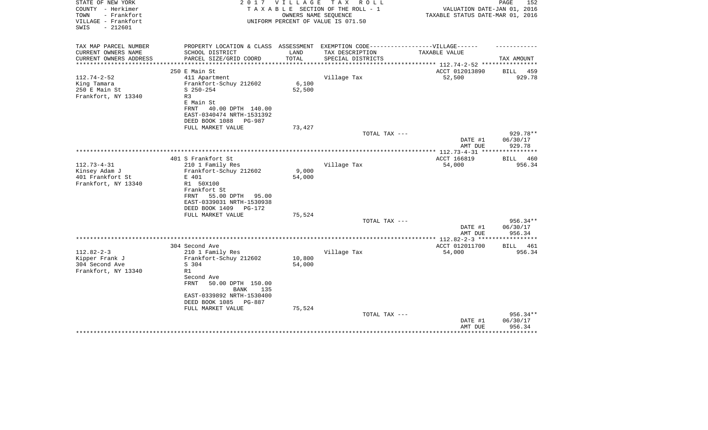| STATE OF NEW YORK<br>COUNTY - Herkimer                          | 2 0 1 7                                                                           | <b>VILLAGE</b> | T A X<br>R O L L<br>TAXABLE SECTION OF THE ROLL - 1        | VALUATION DATE-JAN 01, 2016                   | 152<br>PAGE                  |
|-----------------------------------------------------------------|-----------------------------------------------------------------------------------|----------------|------------------------------------------------------------|-----------------------------------------------|------------------------------|
| TOWN<br>- Frankfort<br>VILLAGE - Frankfort<br>$-212601$<br>SWIS |                                                                                   |                | OWNERS NAME SEQUENCE<br>UNIFORM PERCENT OF VALUE IS 071.50 | TAXABLE STATUS DATE-MAR 01, 2016              |                              |
| TAX MAP PARCEL NUMBER                                           | PROPERTY LOCATION & CLASS ASSESSMENT EXEMPTION CODE-----------------VILLAGE------ |                |                                                            |                                               |                              |
| CURRENT OWNERS NAME                                             | SCHOOL DISTRICT                                                                   | LAND           | TAX DESCRIPTION                                            | TAXABLE VALUE                                 |                              |
| CURRENT OWNERS ADDRESS                                          | PARCEL SIZE/GRID COORD                                                            | TOTAL          | SPECIAL DISTRICTS                                          | ********** 112.74-2-52 ****                   | TAX AMOUNT                   |
|                                                                 | 250 E Main St                                                                     |                |                                                            | ACCT 012013890                                | <b>BILL</b><br>459           |
| $112.74 - 2 - 52$                                               | 411 Apartment                                                                     |                | Village Tax                                                | 52,500                                        | 929.78                       |
| King Tamara                                                     | Frankfort-Schuy 212602                                                            | 6,100          |                                                            |                                               |                              |
| 250 E Main St                                                   | $S$ 250-254                                                                       | 52,500         |                                                            |                                               |                              |
| Frankfort, NY 13340                                             | R3                                                                                |                |                                                            |                                               |                              |
|                                                                 | E Main St                                                                         |                |                                                            |                                               |                              |
|                                                                 | FRNT<br>40.00 DPTH 140.00<br>EAST-0340474 NRTH-1531392                            |                |                                                            |                                               |                              |
|                                                                 | DEED BOOK 1088<br>PG-987                                                          |                |                                                            |                                               |                              |
|                                                                 | FULL MARKET VALUE                                                                 | 73,427         |                                                            |                                               |                              |
|                                                                 |                                                                                   |                | TOTAL TAX ---                                              |                                               | 929.78**                     |
|                                                                 |                                                                                   |                |                                                            | DATE #1                                       | 06/30/17                     |
|                                                                 |                                                                                   |                |                                                            | AMT DUE                                       | 929.78                       |
|                                                                 | 401 S Frankfort St                                                                |                |                                                            | ************** 112.73-4-31 ***<br>ACCT 166819 | <b>BILL</b><br>460           |
| $112.73 - 4 - 31$                                               | 210 1 Family Res                                                                  |                | Village Tax                                                | 54,000                                        | 956.34                       |
| Kinsey Adam J                                                   | Frankfort-Schuy 212602                                                            | 9,000          |                                                            |                                               |                              |
| 401 Frankfort St                                                | E 401                                                                             | 54,000         |                                                            |                                               |                              |
| Frankfort, NY 13340                                             | R1 50X100                                                                         |                |                                                            |                                               |                              |
|                                                                 | Frankfort St                                                                      |                |                                                            |                                               |                              |
|                                                                 | 55.00 DPTH<br>FRNT<br>95.00                                                       |                |                                                            |                                               |                              |
|                                                                 | EAST-0339031 NRTH-1530938<br>DEED BOOK 1409<br>PG-172                             |                |                                                            |                                               |                              |
|                                                                 | FULL MARKET VALUE                                                                 | 75,524         |                                                            |                                               |                              |
|                                                                 |                                                                                   |                | TOTAL TAX ---                                              |                                               | $956.34**$                   |
|                                                                 |                                                                                   |                |                                                            | DATE #1                                       | 06/30/17                     |
|                                                                 |                                                                                   |                |                                                            | AMT DUE                                       | 956.34                       |
|                                                                 |                                                                                   |                |                                                            | ***** $112.82 - 2 - 3$ ***                    |                              |
| $112.82 - 2 - 3$                                                | 304 Second Ave<br>210 1 Family Res                                                |                | Village Tax                                                | ACCT 012011700<br>54,000                      | <b>BILL</b><br>461<br>956.34 |
| Kipper Frank J                                                  | Frankfort-Schuy 212602                                                            | 10,800         |                                                            |                                               |                              |
| 304 Second Ave                                                  | S 304                                                                             | 54,000         |                                                            |                                               |                              |
| Frankfort, NY 13340                                             | R1                                                                                |                |                                                            |                                               |                              |
|                                                                 | Second Ave                                                                        |                |                                                            |                                               |                              |
|                                                                 | FRNT<br>50.00 DPTH 150.00                                                         |                |                                                            |                                               |                              |
|                                                                 | <b>BANK</b><br>135                                                                |                |                                                            |                                               |                              |
|                                                                 | EAST-0339892 NRTH-1530400<br>DEED BOOK 1085<br><b>PG-887</b>                      |                |                                                            |                                               |                              |
|                                                                 | FULL MARKET VALUE                                                                 | 75,524         |                                                            |                                               |                              |
|                                                                 |                                                                                   |                | TOTAL TAX ---                                              |                                               | 956.34**                     |
|                                                                 |                                                                                   |                |                                                            | DATE #1                                       | 06/30/17                     |
|                                                                 |                                                                                   |                |                                                            | AMT DUE                                       | 956.34                       |
|                                                                 |                                                                                   |                |                                                            | *****************                             | **************               |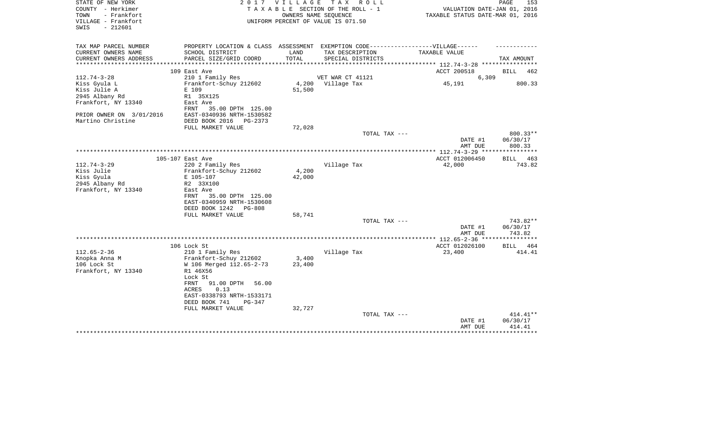| STATE OF NEW YORK<br>COUNTY - Herkimer<br>- Frankfort<br>TOWN<br>VILLAGE - Frankfort<br>SWIS<br>$-212601$ | 2017                                         | <b>VILLAGE</b>      | T A X<br>R O L L<br>TAXABLE SECTION OF THE ROLL - 1<br>OWNERS NAME SEQUENCE<br>UNIFORM PERCENT OF VALUE IS 071.50 | VALUATION DATE-JAN 01, 2016<br>TAXABLE STATUS DATE-MAR 01, 2016 | 153<br>PAGE          |
|-----------------------------------------------------------------------------------------------------------|----------------------------------------------|---------------------|-------------------------------------------------------------------------------------------------------------------|-----------------------------------------------------------------|----------------------|
| TAX MAP PARCEL NUMBER                                                                                     | PROPERTY LOCATION & CLASS ASSESSMENT         |                     | EXEMPTION CODE------------------VILLAGE------                                                                     |                                                                 |                      |
| CURRENT OWNERS NAME                                                                                       | SCHOOL DISTRICT                              | LAND                | TAX DESCRIPTION                                                                                                   | TAXABLE VALUE                                                   |                      |
| CURRENT OWNERS ADDRESS<br>*********************                                                           | PARCEL SIZE/GRID COORD                       | TOTAL<br>********** | SPECIAL DISTRICTS                                                                                                 |                                                                 | TAX AMOUNT           |
|                                                                                                           | 109 East Ave                                 |                     |                                                                                                                   | ACCT 200518                                                     | BILL<br>462          |
| $112.74 - 3 - 28$                                                                                         | 210 1 Family Res                             |                     | VET WAR CT 41121                                                                                                  | 6,309                                                           |                      |
| Kiss Gyula L                                                                                              | Frankfort-Schuy 212602                       | 4,200               | Village Tax                                                                                                       | 45,191                                                          | 800.33               |
| Kiss Julie A                                                                                              | E 109                                        | 51,500              |                                                                                                                   |                                                                 |                      |
| 2945 Albany Rd                                                                                            | R1 35X125                                    |                     |                                                                                                                   |                                                                 |                      |
| Frankfort, NY 13340                                                                                       | East Ave<br>FRNT<br>35.00 DPTH 125.00        |                     |                                                                                                                   |                                                                 |                      |
| PRIOR OWNER ON 3/01/2016                                                                                  | EAST-0340936 NRTH-1530582                    |                     |                                                                                                                   |                                                                 |                      |
| Martino Christine                                                                                         | DEED BOOK 2016 PG-2373                       |                     |                                                                                                                   |                                                                 |                      |
|                                                                                                           | FULL MARKET VALUE                            | 72,028              |                                                                                                                   |                                                                 |                      |
|                                                                                                           |                                              |                     | TOTAL TAX ---                                                                                                     | DATE #1                                                         | 800.33**<br>06/30/17 |
|                                                                                                           |                                              |                     |                                                                                                                   | AMT DUE<br>*********** 112.74-3-29 ****                         | 800.33               |
|                                                                                                           | 105-107 East Ave                             |                     |                                                                                                                   | ACCT 012006450                                                  | BILL 463             |
| $112.74 - 3 - 29$                                                                                         | 220 2 Family Res                             |                     | Village Tax                                                                                                       | 42,000                                                          | 743.82               |
| Kiss Julie                                                                                                | Frankfort-Schuy 212602                       | 4,200               |                                                                                                                   |                                                                 |                      |
| Kiss Gyula                                                                                                | E 105-107                                    | 42,000              |                                                                                                                   |                                                                 |                      |
| 2945 Albany Rd                                                                                            | R2 33X100                                    |                     |                                                                                                                   |                                                                 |                      |
| Frankfort, NY 13340                                                                                       | East Ave<br>35.00 DPTH 125.00<br>FRNT        |                     |                                                                                                                   |                                                                 |                      |
|                                                                                                           | EAST-0340959 NRTH-1530608                    |                     |                                                                                                                   |                                                                 |                      |
|                                                                                                           | DEED BOOK 1242<br>PG-808                     |                     |                                                                                                                   |                                                                 |                      |
|                                                                                                           | FULL MARKET VALUE                            | 58,741              |                                                                                                                   |                                                                 |                      |
|                                                                                                           |                                              |                     | TOTAL TAX ---                                                                                                     |                                                                 | 743.82**             |
|                                                                                                           |                                              |                     |                                                                                                                   | DATE #1                                                         | 06/30/17             |
|                                                                                                           |                                              |                     |                                                                                                                   | AMT DUE<br>*************** 112.65-2-36 ****                     | 743.82<br>********   |
|                                                                                                           | 106 Lock St                                  |                     |                                                                                                                   | ACCT 012026100                                                  | <b>BILL</b><br>464   |
| $112.65 - 2 - 36$                                                                                         | 210 1 Family Res                             |                     | Village Tax                                                                                                       | 23,400                                                          | 414.41               |
| Knopka Anna M                                                                                             | Frankfort-Schuy 212602                       | 3,400               |                                                                                                                   |                                                                 |                      |
| 106 Lock St                                                                                               | W 106 Merged 112.65-2-73                     | 23,400              |                                                                                                                   |                                                                 |                      |
| Frankfort, NY 13340                                                                                       | R1 46X56                                     |                     |                                                                                                                   |                                                                 |                      |
|                                                                                                           | Lock St                                      |                     |                                                                                                                   |                                                                 |                      |
|                                                                                                           | 91.00 DPTH<br>FRNT<br>56.00<br>0.13<br>ACRES |                     |                                                                                                                   |                                                                 |                      |
|                                                                                                           | EAST-0338793 NRTH-1533171                    |                     |                                                                                                                   |                                                                 |                      |
|                                                                                                           | DEED BOOK 741<br>PG-347                      |                     |                                                                                                                   |                                                                 |                      |
|                                                                                                           | FULL MARKET VALUE                            | 32,727              |                                                                                                                   |                                                                 |                      |
|                                                                                                           |                                              |                     | TOTAL TAX ---                                                                                                     |                                                                 | 414.41**             |
|                                                                                                           |                                              |                     |                                                                                                                   | DATE #1                                                         | 06/30/17             |
|                                                                                                           |                                              |                     |                                                                                                                   | AMT DUE                                                         | 414.41               |
|                                                                                                           |                                              |                     |                                                                                                                   |                                                                 |                      |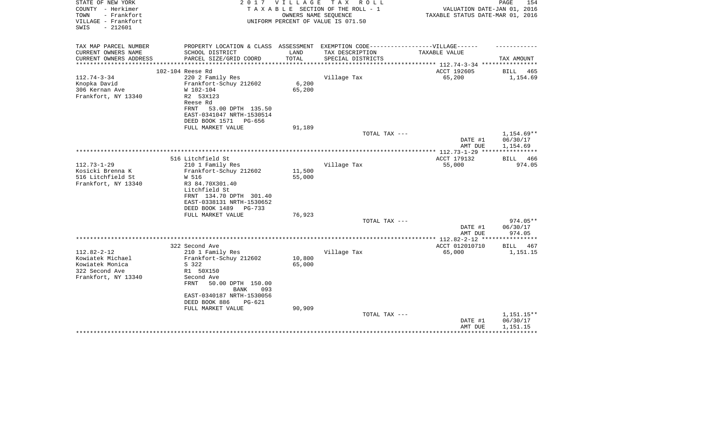| STATE OF NEW YORK<br>COUNTY - Herkimer<br>TOWN<br>- Frankfort<br>VILLAGE - Frankfort<br>$-212601$<br>SWIS | 2017                                                                             | V I L L A G E    | T A X<br>R O L L<br>TAXABLE SECTION OF THE ROLL - 1<br>OWNERS NAME SEOUENCE<br>UNIFORM PERCENT OF VALUE IS 071.50 | VALUATION DATE-JAN 01, 2016<br>TAXABLE STATUS DATE-MAR 01, 2016 | PAGE<br>154            |
|-----------------------------------------------------------------------------------------------------------|----------------------------------------------------------------------------------|------------------|-------------------------------------------------------------------------------------------------------------------|-----------------------------------------------------------------|------------------------|
|                                                                                                           |                                                                                  |                  |                                                                                                                   |                                                                 |                        |
| TAX MAP PARCEL NUMBER                                                                                     | PROPERTY LOCATION & CLASS ASSESSMENT EXEMPTION CODE----------------VILLAGE------ |                  |                                                                                                                   |                                                                 |                        |
| CURRENT OWNERS NAME                                                                                       | SCHOOL DISTRICT                                                                  | LAND             | TAX DESCRIPTION                                                                                                   | TAXABLE VALUE                                                   |                        |
| CURRENT OWNERS ADDRESS<br>*********************                                                           | PARCEL SIZE/GRID COORD                                                           | TOTAL            | SPECIAL DISTRICTS                                                                                                 |                                                                 | TAX AMOUNT             |
|                                                                                                           | 102-104 Reese Rd                                                                 |                  |                                                                                                                   | ACCT 192605                                                     | BILL<br>465            |
| $112.74 - 3 - 34$                                                                                         | 220 2 Family Res                                                                 |                  | Village Tax                                                                                                       | 65,200                                                          | 1,154.69               |
| Knopka David                                                                                              | Frankfort-Schuy 212602                                                           | 6,200            |                                                                                                                   |                                                                 |                        |
| 306 Kernan Ave                                                                                            | W 102-104                                                                        | 65,200           |                                                                                                                   |                                                                 |                        |
| Frankfort, NY 13340                                                                                       | R2 53X123                                                                        |                  |                                                                                                                   |                                                                 |                        |
|                                                                                                           | Reese Rd                                                                         |                  |                                                                                                                   |                                                                 |                        |
|                                                                                                           | FRNT<br>53.00 DPTH 135.50<br>EAST-0341047 NRTH-1530514                           |                  |                                                                                                                   |                                                                 |                        |
|                                                                                                           | DEED BOOK 1571<br>PG-656                                                         |                  |                                                                                                                   |                                                                 |                        |
|                                                                                                           | FULL MARKET VALUE                                                                | 91,189           |                                                                                                                   |                                                                 |                        |
|                                                                                                           |                                                                                  |                  | TOTAL TAX ---                                                                                                     |                                                                 | 1,154.69**             |
|                                                                                                           |                                                                                  |                  |                                                                                                                   | DATE #1                                                         | 06/30/17               |
|                                                                                                           |                                                                                  |                  |                                                                                                                   | AMT DUE                                                         | 1,154.69               |
|                                                                                                           |                                                                                  |                  |                                                                                                                   |                                                                 | * * * * * * * * * * *  |
| $112.73 - 1 - 29$                                                                                         | 516 Litchfield St<br>210 1 Family Res                                            |                  | Village Tax                                                                                                       | ACCT 179132<br>55,000                                           | 466<br>BILL<br>974.05  |
| Kosicki Brenna K                                                                                          | Frankfort-Schuy 212602                                                           | 11,500           |                                                                                                                   |                                                                 |                        |
| 516 Litchfield St                                                                                         | W 516                                                                            | 55,000           |                                                                                                                   |                                                                 |                        |
| Frankfort, NY 13340                                                                                       | R3 84.70X301.40                                                                  |                  |                                                                                                                   |                                                                 |                        |
|                                                                                                           | Litchfield St                                                                    |                  |                                                                                                                   |                                                                 |                        |
|                                                                                                           | FRNT 134.70 DPTH 301.40                                                          |                  |                                                                                                                   |                                                                 |                        |
|                                                                                                           | EAST-0338131 NRTH-1530652                                                        |                  |                                                                                                                   |                                                                 |                        |
|                                                                                                           | DEED BOOK 1489<br>PG-733<br>FULL MARKET VALUE                                    | 76,923           |                                                                                                                   |                                                                 |                        |
|                                                                                                           |                                                                                  |                  | TOTAL TAX ---                                                                                                     |                                                                 | $974.05**$             |
|                                                                                                           |                                                                                  |                  |                                                                                                                   | DATE #1                                                         | 06/30/17               |
|                                                                                                           |                                                                                  |                  |                                                                                                                   | AMT DUE                                                         | 974.05                 |
|                                                                                                           |                                                                                  |                  |                                                                                                                   |                                                                 |                        |
|                                                                                                           | 322 Second Ave                                                                   |                  |                                                                                                                   | ACCT 012010710                                                  | <b>BILL</b><br>467     |
| $112.82 - 2 - 12$                                                                                         | 210 1 Family Res                                                                 |                  | Village Tax                                                                                                       | 65,000                                                          | 1,151.15               |
| Kowiatek Michael<br>Kowiatek Monica                                                                       | Frankfort-Schuy 212602<br>S 322                                                  | 10,800<br>65,000 |                                                                                                                   |                                                                 |                        |
| 322 Second Ave                                                                                            | R1 50X150                                                                        |                  |                                                                                                                   |                                                                 |                        |
| Frankfort, NY 13340                                                                                       | Second Ave                                                                       |                  |                                                                                                                   |                                                                 |                        |
|                                                                                                           | 50.00 DPTH 150.00<br>FRNT                                                        |                  |                                                                                                                   |                                                                 |                        |
|                                                                                                           | 093<br><b>BANK</b>                                                               |                  |                                                                                                                   |                                                                 |                        |
|                                                                                                           | EAST-0340187 NRTH-1530056                                                        |                  |                                                                                                                   |                                                                 |                        |
|                                                                                                           | DEED BOOK 886<br>PG-621                                                          |                  |                                                                                                                   |                                                                 |                        |
|                                                                                                           | FULL MARKET VALUE                                                                | 90,909           |                                                                                                                   |                                                                 |                        |
|                                                                                                           |                                                                                  |                  | TOTAL TAX ---                                                                                                     | DATE #1                                                         | 1,151.15**<br>06/30/17 |
|                                                                                                           |                                                                                  |                  |                                                                                                                   | AMT DUE                                                         | 1,151.15               |
|                                                                                                           |                                                                                  |                  |                                                                                                                   |                                                                 |                        |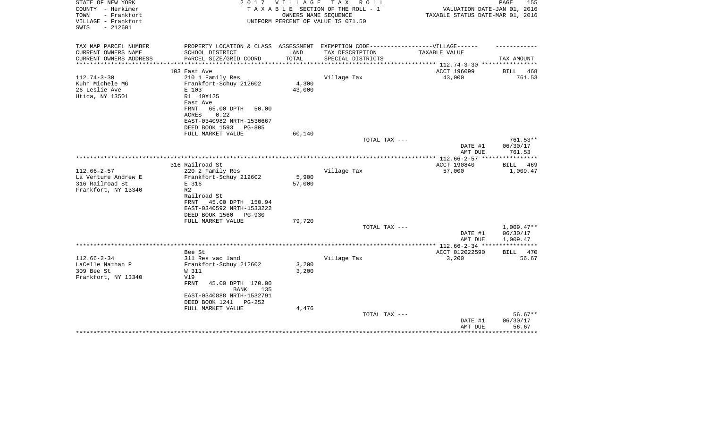| STATE OF NEW YORK      | 2 0 1 7                                                                           | V I L L A G E | TAX ROLL                           |                                       | 155<br>PAGE        |
|------------------------|-----------------------------------------------------------------------------------|---------------|------------------------------------|---------------------------------------|--------------------|
| COUNTY - Herkimer      |                                                                                   |               | TAXABLE SECTION OF THE ROLL - 1    | VALUATION DATE-JAN 01, 2016           |                    |
| - Frankfort<br>TOWN    |                                                                                   |               | OWNERS NAME SEQUENCE               | TAXABLE STATUS DATE-MAR 01, 2016      |                    |
| VILLAGE - Frankfort    |                                                                                   |               | UNIFORM PERCENT OF VALUE IS 071.50 |                                       |                    |
| SWIS<br>$-212601$      |                                                                                   |               |                                    |                                       |                    |
|                        |                                                                                   |               |                                    |                                       |                    |
| TAX MAP PARCEL NUMBER  | PROPERTY LOCATION & CLASS ASSESSMENT EXEMPTION CODE-----------------VILLAGE------ |               |                                    |                                       |                    |
| CURRENT OWNERS NAME    | SCHOOL DISTRICT                                                                   | LAND          | TAX DESCRIPTION                    | TAXABLE VALUE                         |                    |
| CURRENT OWNERS ADDRESS | PARCEL SIZE/GRID COORD                                                            | TOTAL         | SPECIAL DISTRICTS                  |                                       | TAX AMOUNT         |
|                        |                                                                                   | **********    |                                    | ****************** 112.74-3-30 ****** |                    |
|                        | 103 East Ave                                                                      |               |                                    | ACCT 196099                           | 468<br>BILL        |
| $112.74 - 3 - 30$      | 210 1 Family Res                                                                  |               | Village Tax                        | 43,000                                | 761.53             |
| Kuhn Michele MG        | Frankfort-Schuy 212602                                                            | 4,300         |                                    |                                       |                    |
| 26 Leslie Ave          | E 103                                                                             | 43,000        |                                    |                                       |                    |
| Utica, NY 13501        | R1 40X125                                                                         |               |                                    |                                       |                    |
|                        | East Ave                                                                          |               |                                    |                                       |                    |
|                        | FRNT<br>65.00 DPTH<br>50.00                                                       |               |                                    |                                       |                    |
|                        | 0.22<br>ACRES                                                                     |               |                                    |                                       |                    |
|                        | EAST-0340982 NRTH-1530667                                                         |               |                                    |                                       |                    |
|                        | DEED BOOK 1593 PG-805                                                             |               |                                    |                                       |                    |
|                        | FULL MARKET VALUE                                                                 | 60,140        |                                    |                                       |                    |
|                        |                                                                                   |               | TOTAL TAX ---                      |                                       | $761.53**$         |
|                        |                                                                                   |               |                                    | DATE #1                               | 06/30/17           |
|                        |                                                                                   |               |                                    | AMT DUE                               | 761.53             |
|                        |                                                                                   |               |                                    |                                       |                    |
|                        | 316 Railroad St                                                                   |               |                                    | ACCT 190840                           | <b>BILL</b><br>469 |
| $112.66 - 2 - 57$      | 220 2 Family Res                                                                  |               | Village Tax                        | 57,000                                | 1,009.47           |
| La Venture Andrew E    | Frankfort-Schuy 212602                                                            | 5,900         |                                    |                                       |                    |
| 316 Railroad St        | E 316                                                                             | 57,000        |                                    |                                       |                    |
| Frankfort, NY 13340    | R <sub>2</sub>                                                                    |               |                                    |                                       |                    |
|                        | Railroad St                                                                       |               |                                    |                                       |                    |
|                        | FRNT<br>45.00 DPTH 150.94                                                         |               |                                    |                                       |                    |
|                        | EAST-0340592 NRTH-1533222                                                         |               |                                    |                                       |                    |
|                        | DEED BOOK 1560<br>PG-930                                                          |               |                                    |                                       |                    |
|                        | FULL MARKET VALUE                                                                 | 79,720        |                                    |                                       |                    |
|                        |                                                                                   |               | TOTAL TAX ---                      |                                       | $1,009.47**$       |
|                        |                                                                                   |               |                                    | DATE #1                               | 06/30/17           |
|                        |                                                                                   |               |                                    | AMT DUE                               | 1,009.47           |
|                        |                                                                                   |               |                                    |                                       |                    |
|                        | Bee St                                                                            |               |                                    | ACCT 012022590                        | BILL 470           |
| $112.66 - 2 - 34$      | 311 Res vac land                                                                  |               | Village Tax                        | 3,200                                 | 56.67              |
| LaCelle Nathan P       | Frankfort-Schuy 212602                                                            | 3,200         |                                    |                                       |                    |
| 309 Bee St             | W 311                                                                             | 3,200         |                                    |                                       |                    |
| Frankfort, NY 13340    | V19                                                                               |               |                                    |                                       |                    |
|                        | FRNT<br>45.00 DPTH 170.00                                                         |               |                                    |                                       |                    |
|                        | BANK<br>135                                                                       |               |                                    |                                       |                    |
|                        | EAST-0340888 NRTH-1532791                                                         |               |                                    |                                       |                    |
|                        | DEED BOOK 1241<br>PG-252                                                          |               |                                    |                                       |                    |
|                        | FULL MARKET VALUE                                                                 | 4,476         |                                    |                                       |                    |
|                        |                                                                                   |               | TOTAL TAX ---                      |                                       | $56.67**$          |
|                        |                                                                                   |               |                                    | DATE #1                               | 06/30/17           |
|                        |                                                                                   |               |                                    | AMT DUE                               | 56.67              |
|                        |                                                                                   |               |                                    | ********************                  | ************       |
|                        |                                                                                   |               |                                    |                                       |                    |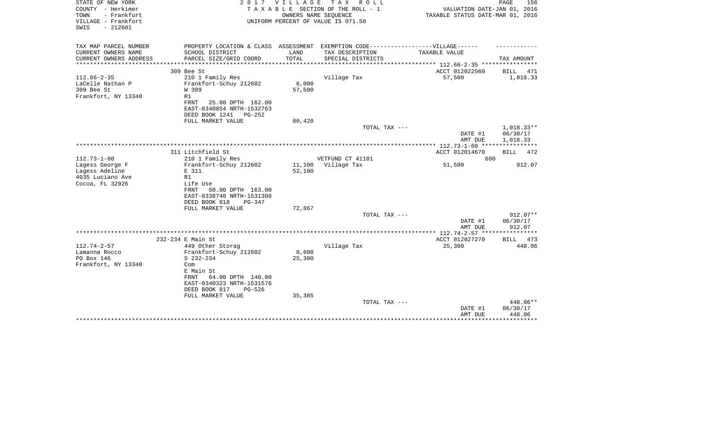| STATE OF NEW YORK<br>COUNTY - Herkimer<br>- Frankfort<br>TOWN<br>VILLAGE - Frankfort<br>$-212601$<br>SWIS | 2017                                                                                 | VILLAGE<br>OWNERS NAME SEQUENCE | T A X<br>R O L L<br>TAXABLE SECTION OF THE ROLL - 1<br>UNIFORM PERCENT OF VALUE IS 071.50            | VALUATION DATE-JAN 01, 2016<br>TAXABLE STATUS DATE-MAR 01, 2016 | PAGE<br>156          |
|-----------------------------------------------------------------------------------------------------------|--------------------------------------------------------------------------------------|---------------------------------|------------------------------------------------------------------------------------------------------|-----------------------------------------------------------------|----------------------|
| TAX MAP PARCEL NUMBER<br>CURRENT OWNERS NAME                                                              | SCHOOL DISTRICT                                                                      | LAND                            | PROPERTY LOCATION & CLASS ASSESSMENT EXEMPTION CODE-----------------VILLAGE------<br>TAX DESCRIPTION | TAXABLE VALUE                                                   |                      |
| CURRENT OWNERS ADDRESS<br>*************                                                                   | PARCEL SIZE/GRID COORD<br>***************                                            | TOTAL<br>*********              | SPECIAL DISTRICTS                                                                                    | ********* 112.66-2-35 *****************                         | TAX AMOUNT           |
|                                                                                                           | 309 Bee St                                                                           |                                 |                                                                                                      | ACCT 012022560                                                  | <b>BILL</b><br>471   |
| $112.66 - 2 - 35$                                                                                         | 210 1 Family Res                                                                     |                                 | Village Tax                                                                                          | 57,500                                                          | 1,018.33             |
| LaCelle Nathan P<br>309 Bee St<br>Frankfort, NY 13340                                                     | Frankfort-Schuy 212602<br>W 309<br>R1                                                | 6,000<br>57,500                 |                                                                                                      |                                                                 |                      |
|                                                                                                           | FRNT<br>25.00 DPTH 162.00<br>EAST-0340854 NRTH-1532763<br>DEED BOOK 1241<br>$PG-252$ |                                 |                                                                                                      |                                                                 |                      |
|                                                                                                           | FULL MARKET VALUE                                                                    | 80,420                          | TOTAL TAX ---                                                                                        |                                                                 | $1,018.33**$         |
|                                                                                                           |                                                                                      |                                 |                                                                                                      | DATE #1<br>AMT DUE                                              | 06/30/17<br>1,018.33 |
|                                                                                                           |                                                                                      |                                 |                                                                                                      | ************ 112.73-1-60 ****                                   |                      |
|                                                                                                           | 311 Litchfield St                                                                    |                                 |                                                                                                      | ACCT 012014670                                                  | <b>BILL</b><br>472   |
| $112.73 - 1 - 60$<br>Lagess George F                                                                      | 210 1 Family Res<br>Frankfort-Schuy 212602                                           | 11,100                          | VETFUND CT 41101<br>Village Tax                                                                      | 600<br>51,500                                                   | 912.07               |
| Lagess Adeline                                                                                            | E 311                                                                                | 52,100                          |                                                                                                      |                                                                 |                      |
| 4035 Luciano Ave                                                                                          | R1                                                                                   |                                 |                                                                                                      |                                                                 |                      |
| Cocoa, FL 32926                                                                                           | Life Use                                                                             |                                 |                                                                                                      |                                                                 |                      |
|                                                                                                           | FRNT<br>50.00 DPTH 163.00                                                            |                                 |                                                                                                      |                                                                 |                      |
|                                                                                                           | EAST-0338740 NRTH-1531308                                                            |                                 |                                                                                                      |                                                                 |                      |
|                                                                                                           | DEED BOOK 818<br>PG-347                                                              |                                 |                                                                                                      |                                                                 |                      |
|                                                                                                           | FULL MARKET VALUE                                                                    | 72,867                          |                                                                                                      |                                                                 | 912.07**             |
|                                                                                                           |                                                                                      |                                 | TOTAL TAX ---                                                                                        | DATE #1<br>AMT DUE                                              | 06/30/17<br>912.07   |
|                                                                                                           |                                                                                      |                                 |                                                                                                      |                                                                 |                      |
|                                                                                                           | 232-234 E Main St                                                                    |                                 |                                                                                                      | ACCT 012027270                                                  | 473<br><b>BILL</b>   |
| $112.74 - 2 - 57$                                                                                         | 449 Other Storag                                                                     |                                 | Village Tax                                                                                          | 25,300                                                          | 448.06               |
| Lamanna Rocco                                                                                             | Frankfort-Schuy 212602                                                               | 8,600                           |                                                                                                      |                                                                 |                      |
| PO Box 146                                                                                                | $S$ 232-234                                                                          | 25,300                          |                                                                                                      |                                                                 |                      |
| Frankfort, NY 13340                                                                                       | Com<br>E Main St                                                                     |                                 |                                                                                                      |                                                                 |                      |
|                                                                                                           | FRNT<br>64.00 DPTH 140.00<br>EAST-0340323 NRTH-1531576                               |                                 |                                                                                                      |                                                                 |                      |
|                                                                                                           | DEED BOOK 817<br>PG-526<br>FULL MARKET VALUE                                         | 35,385                          |                                                                                                      |                                                                 |                      |
|                                                                                                           |                                                                                      |                                 | TOTAL TAX ---                                                                                        | DATE #1                                                         | 448.06**<br>06/30/17 |
|                                                                                                           |                                                                                      |                                 |                                                                                                      | AMT DUE                                                         | 448.06               |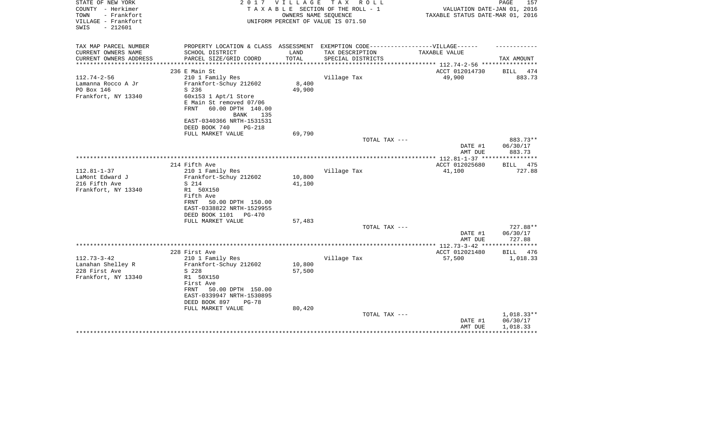| STATE OF NEW YORK<br>COUNTY - Herkimer<br>TOWN<br>- Frankfort | 2 0 1 7                                                                                            | VILLAGE | TAX ROLL<br>TAXABLE SECTION OF THE ROLL - 1<br>OWNERS NAME SEQUENCE | VALUATION DATE-JAN 01, 2016<br>TAXABLE STATUS DATE-MAR 01, 2016 | PAGE<br>157                    |
|---------------------------------------------------------------|----------------------------------------------------------------------------------------------------|---------|---------------------------------------------------------------------|-----------------------------------------------------------------|--------------------------------|
| VILLAGE - Frankfort<br>$-212601$<br>SWIS                      |                                                                                                    |         | UNIFORM PERCENT OF VALUE IS 071.50                                  |                                                                 |                                |
| TAX MAP PARCEL NUMBER                                         | PROPERTY LOCATION & CLASS ASSESSMENT EXEMPTION CODE-----------------VILLAGE------                  |         |                                                                     |                                                                 |                                |
| CURRENT OWNERS NAME                                           | SCHOOL DISTRICT                                                                                    | LAND    | TAX DESCRIPTION                                                     | TAXABLE VALUE                                                   |                                |
| CURRENT OWNERS ADDRESS                                        | PARCEL SIZE/GRID COORD                                                                             | TOTAL   | SPECIAL DISTRICTS                                                   | ********** 112.74-2-56 ***                                      | TAX AMOUNT                     |
|                                                               | 236 E Main St                                                                                      |         |                                                                     | ACCT 012014730                                                  | 474<br><b>BILL</b>             |
| $112.74 - 2 - 56$                                             | 210 1 Family Res                                                                                   |         | Village Tax                                                         | 49,900                                                          | 883.73                         |
| Lamanna Rocco A Jr                                            | Frankfort-Schuy 212602                                                                             | 8,400   |                                                                     |                                                                 |                                |
| PO Box 146                                                    | S 236                                                                                              | 49,900  |                                                                     |                                                                 |                                |
| Frankfort, NY 13340                                           | 60x153 1 Apt/1 Store<br>E Main St removed 07/06<br>FRNT<br>60.00 DPTH 140.00<br><b>BANK</b><br>135 |         |                                                                     |                                                                 |                                |
|                                                               | EAST-0340366 NRTH-1531531                                                                          |         |                                                                     |                                                                 |                                |
|                                                               | DEED BOOK 740<br><b>PG-218</b>                                                                     |         |                                                                     |                                                                 |                                |
|                                                               | FULL MARKET VALUE                                                                                  | 69,790  |                                                                     |                                                                 |                                |
|                                                               |                                                                                                    |         | TOTAL TAX ---                                                       | DATE #1<br>AMT DUE                                              | 883.73**<br>06/30/17<br>883.73 |
|                                                               |                                                                                                    |         |                                                                     |                                                                 |                                |
|                                                               | 214 Fifth Ave                                                                                      |         |                                                                     | ACCT 012025680                                                  | <b>BILL</b><br>475             |
| $112.81 - 1 - 37$                                             | 210 1 Family Res                                                                                   |         | Village Tax                                                         | 41,100                                                          | 727.88                         |
| LaMont Edward J                                               | Frankfort-Schuy 212602                                                                             | 10,800  |                                                                     |                                                                 |                                |
| 216 Fifth Ave<br>Frankfort, NY 13340                          | S 214<br>R1 50X150                                                                                 | 41,100  |                                                                     |                                                                 |                                |
|                                                               | Fifth Ave                                                                                          |         |                                                                     |                                                                 |                                |
|                                                               | 50.00 DPTH 150.00<br>FRNT                                                                          |         |                                                                     |                                                                 |                                |
|                                                               | EAST-0338822 NRTH-1529955                                                                          |         |                                                                     |                                                                 |                                |
|                                                               | DEED BOOK 1101<br>$PG-470$                                                                         |         |                                                                     |                                                                 |                                |
|                                                               | FULL MARKET VALUE                                                                                  | 57,483  |                                                                     |                                                                 |                                |
|                                                               |                                                                                                    |         | TOTAL TAX ---                                                       |                                                                 | 727.88**                       |
|                                                               |                                                                                                    |         |                                                                     | DATE #1                                                         | 06/30/17                       |
|                                                               |                                                                                                    |         |                                                                     | AMT DUE<br>************* 112.73-3-42 *****************          | 727.88                         |
|                                                               | 228 First Ave                                                                                      |         |                                                                     | ACCT 012021480                                                  | BILL<br>476                    |
| $112.73 - 3 - 42$                                             | 210 1 Family Res                                                                                   |         | Village Tax                                                         | 57,500                                                          | 1,018.33                       |
| Lanahan Shelley R                                             | Frankfort-Schuy 212602                                                                             | 10,800  |                                                                     |                                                                 |                                |
| 228 First Ave                                                 | S 228                                                                                              | 57,500  |                                                                     |                                                                 |                                |
| Frankfort, NY 13340                                           | R1 50X150                                                                                          |         |                                                                     |                                                                 |                                |
|                                                               | First Ave                                                                                          |         |                                                                     |                                                                 |                                |
|                                                               | FRNT<br>50.00 DPTH 150.00                                                                          |         |                                                                     |                                                                 |                                |
|                                                               | EAST-0339947 NRTH-1530895                                                                          |         |                                                                     |                                                                 |                                |
|                                                               | DEED BOOK 897<br>$PG-78$<br>FULL MARKET VALUE                                                      | 80,420  |                                                                     |                                                                 |                                |
|                                                               |                                                                                                    |         | TOTAL TAX ---                                                       |                                                                 | $1,018.33**$                   |
|                                                               |                                                                                                    |         |                                                                     | DATE #1                                                         | 06/30/17                       |
|                                                               |                                                                                                    |         |                                                                     | AMT DUE                                                         | 1,018.33                       |
|                                                               |                                                                                                    |         |                                                                     |                                                                 |                                |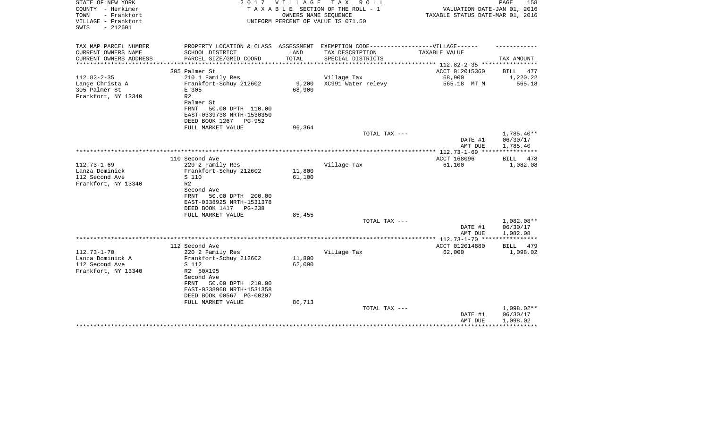| STATE OF NEW YORK<br>COUNTY - Herkimer<br>- Frankfort<br>TOWN<br>VILLAGE - Frankfort<br>SWIS<br>$-212601$ |                                                                                                                                                  | 2017 VILLAGE              | TAX ROLL<br>TAXABLE SECTION OF THE ROLL - 1<br>OWNERS NAME SEOUENCE<br>UNIFORM PERCENT OF VALUE IS 071.50 | VALUATION DATE-JAN 01, 2016<br>TAXABLE STATUS DATE-MAR 01, 2016 | PAGE<br>158                        |
|-----------------------------------------------------------------------------------------------------------|--------------------------------------------------------------------------------------------------------------------------------------------------|---------------------------|-----------------------------------------------------------------------------------------------------------|-----------------------------------------------------------------|------------------------------------|
| TAX MAP PARCEL NUMBER<br>CURRENT OWNERS NAME                                                              | SCHOOL DISTRICT                                                                                                                                  | LAND                      | PROPERTY LOCATION & CLASS ASSESSMENT EXEMPTION CODE-----------------VILLAGE------<br>TAX DESCRIPTION      | TAXABLE VALUE                                                   |                                    |
| CURRENT OWNERS ADDRESS                                                                                    | PARCEL SIZE/GRID COORD                                                                                                                           | TOTAL                     | SPECIAL DISTRICTS                                                                                         |                                                                 | TAX AMOUNT                         |
|                                                                                                           |                                                                                                                                                  | ************************* |                                                                                                           | **************** 112.82-2-35 ***********                        |                                    |
| $112.82 - 2 - 35$                                                                                         | 305 Palmer St<br>210 1 Family Res                                                                                                                |                           | Village Tax                                                                                               | ACCT 012015360<br>68,900                                        | BILL<br>477<br>1,220.22            |
| Lange Christa A<br>305 Palmer St<br>Frankfort, NY 13340                                                   | Frankfort-Schuy 212602<br>E 305<br>R <sub>2</sub><br>Palmer St<br>FRNT<br>50.00 DPTH 110.00<br>EAST-0339738 NRTH-1530350                         | 9,200<br>68,900           | XC991 Water relevy                                                                                        | 565.18 MT M                                                     | 565.18                             |
|                                                                                                           | DEED BOOK 1267<br>PG-952                                                                                                                         |                           |                                                                                                           |                                                                 |                                    |
|                                                                                                           | FULL MARKET VALUE                                                                                                                                | 96,364                    | TOTAL TAX ---                                                                                             |                                                                 | $1,785.40**$                       |
|                                                                                                           |                                                                                                                                                  |                           |                                                                                                           | DATE #1<br>AMT DUE                                              | 06/30/17<br>1,785.40               |
|                                                                                                           |                                                                                                                                                  |                           |                                                                                                           | ACCT 168096                                                     |                                    |
| $112.73 - 1 - 69$<br>Lanza Dominick<br>112 Second Ave<br>Frankfort, NY 13340                              | 110 Second Ave<br>220 2 Family Res<br>Frankfort-Schuy 212602<br>S 110<br>R <sub>2</sub><br>Second Ave                                            | 11,800<br>61,100          | Village Tax                                                                                               | 61,100                                                          | BILL 478<br>1,082.08               |
|                                                                                                           | 50.00 DPTH 200.00<br>FRNT<br>EAST-0338925 NRTH-1531378<br>DEED BOOK 1417 PG-238<br>FULL MARKET VALUE                                             | 85,455                    | TOTAL TAX ---                                                                                             |                                                                 | 1,082.08**                         |
|                                                                                                           |                                                                                                                                                  |                           |                                                                                                           | DATE #1                                                         | 06/30/17                           |
|                                                                                                           |                                                                                                                                                  |                           |                                                                                                           | AMT DUE                                                         | 1,082.08                           |
|                                                                                                           |                                                                                                                                                  |                           |                                                                                                           |                                                                 |                                    |
| $112.73 - 1 - 70$                                                                                         | 112 Second Ave<br>220 2 Family Res                                                                                                               |                           | Village Tax                                                                                               | ACCT 012014880<br>62,000                                        | BILL<br>479<br>1,098.02            |
| Lanza Dominick A<br>112 Second Ave<br>Frankfort, NY 13340                                                 | Frankfort-Schuy 212602<br>S 112<br>R2 50X195<br>Second Ave<br>50.00 DPTH 210.00<br>FRNT<br>EAST-0338968 NRTH-1531358<br>DEED BOOK 00567 PG-00207 | 11,800<br>62,000          |                                                                                                           |                                                                 |                                    |
|                                                                                                           | FULL MARKET VALUE                                                                                                                                | 86,713                    | TOTAL TAX ---                                                                                             | DATE #1<br>AMT DUE                                              | 1,098.02**<br>06/30/17<br>1,098.02 |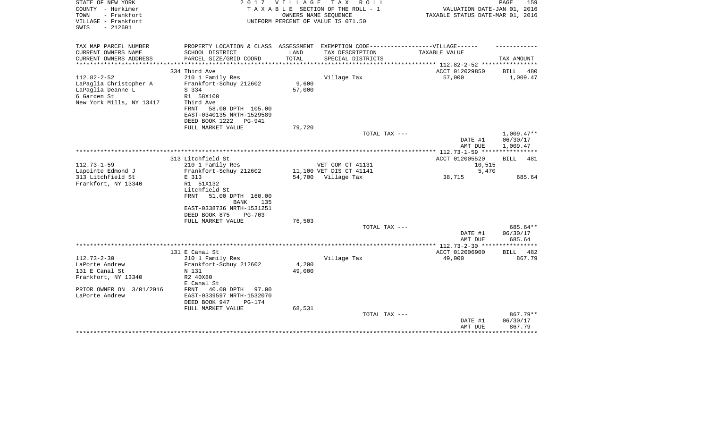| STATE OF NEW YORK<br>COUNTY - Herkimer<br>- Frankfort<br>TOWN<br>VILLAGE - Frankfort<br>$-212601$<br>SWIS | 2 0 1 7                                                                          | VILLAGE       | T A X<br>R O L L<br>TAXABLE SECTION OF THE ROLL - 1<br>OWNERS NAME SEOUENCE<br>UNIFORM PERCENT OF VALUE IS 071.50 | VALUATION DATE-JAN 01, 2016<br>TAXABLE STATUS DATE-MAR 01, 2016 | PAGE<br>159          |
|-----------------------------------------------------------------------------------------------------------|----------------------------------------------------------------------------------|---------------|-------------------------------------------------------------------------------------------------------------------|-----------------------------------------------------------------|----------------------|
| TAX MAP PARCEL NUMBER                                                                                     | PROPERTY LOCATION & CLASS ASSESSMENT EXEMPTION CODE----------------VILLAGE------ |               |                                                                                                                   |                                                                 |                      |
| CURRENT OWNERS NAME<br>CURRENT OWNERS ADDRESS                                                             | SCHOOL DISTRICT<br>PARCEL SIZE/GRID COORD                                        | LAND<br>TOTAL | TAX DESCRIPTION<br>SPECIAL DISTRICTS                                                                              | TAXABLE VALUE                                                   | TAX AMOUNT           |
|                                                                                                           |                                                                                  |               |                                                                                                                   | ********* 112.82-2-52 ***                                       |                      |
|                                                                                                           | 334 Third Ave                                                                    |               |                                                                                                                   | ACCT 012029850                                                  | <b>BILL</b><br>480   |
| $112.82 - 2 - 52$                                                                                         | 210 1 Family Res                                                                 |               | Village Tax                                                                                                       | 57,000                                                          | 1,009.47             |
| LaPaglia Christopher A                                                                                    | Frankfort-Schuy 212602                                                           | 9,600         |                                                                                                                   |                                                                 |                      |
| LaPaglia Deanne L                                                                                         | S 334                                                                            | 57,000        |                                                                                                                   |                                                                 |                      |
| 6 Garden St<br>New York Mills, NY 13417                                                                   | R1 58X100<br>Third Ave                                                           |               |                                                                                                                   |                                                                 |                      |
|                                                                                                           | FRNT<br>58.00 DPTH 105.00                                                        |               |                                                                                                                   |                                                                 |                      |
|                                                                                                           | EAST-0340135 NRTH-1529589                                                        |               |                                                                                                                   |                                                                 |                      |
|                                                                                                           | DEED BOOK 1222<br><b>PG-941</b>                                                  |               |                                                                                                                   |                                                                 |                      |
|                                                                                                           | FULL MARKET VALUE                                                                | 79,720        |                                                                                                                   |                                                                 |                      |
|                                                                                                           |                                                                                  |               | TOTAL TAX ---                                                                                                     |                                                                 | $1,009.47**$         |
|                                                                                                           |                                                                                  |               |                                                                                                                   | DATE #1                                                         | 06/30/17             |
|                                                                                                           |                                                                                  |               | ************************                                                                                          | AMT DUE                                                         | 1,009.47             |
|                                                                                                           | 313 Litchfield St                                                                |               |                                                                                                                   | ****** 112.73-1-59 ****<br>ACCT 012005520                       | 481<br>BILL          |
| $112.73 - 1 - 59$                                                                                         | 210 1 Family Res                                                                 |               | VET COM CT 41131                                                                                                  | 10,515                                                          |                      |
| Lapointe Edmond J                                                                                         | Frankfort-Schuy 212602                                                           |               | 11,100 VET DIS CT 41141                                                                                           | 5,470                                                           |                      |
| 313 Litchfield St                                                                                         | E 313                                                                            |               | 54,700 Village Tax                                                                                                | 38,715                                                          | 685.64               |
| Frankfort, NY 13340                                                                                       | R1 51X132                                                                        |               |                                                                                                                   |                                                                 |                      |
|                                                                                                           | Litchfield St                                                                    |               |                                                                                                                   |                                                                 |                      |
|                                                                                                           | <b>FRNT</b><br>51.00 DPTH 160.00<br><b>BANK</b><br>135                           |               |                                                                                                                   |                                                                 |                      |
|                                                                                                           | EAST-0338736 NRTH-1531251                                                        |               |                                                                                                                   |                                                                 |                      |
|                                                                                                           | DEED BOOK 875<br>$PG-703$                                                        |               |                                                                                                                   |                                                                 |                      |
|                                                                                                           | FULL MARKET VALUE                                                                | 76,503        |                                                                                                                   |                                                                 |                      |
|                                                                                                           |                                                                                  |               | TOTAL TAX ---                                                                                                     | DATE #1                                                         | 685.64**<br>06/30/17 |
|                                                                                                           |                                                                                  |               |                                                                                                                   | AMT DUE                                                         | 685.64               |
|                                                                                                           |                                                                                  |               |                                                                                                                   |                                                                 |                      |
|                                                                                                           | 131 E Canal St                                                                   |               |                                                                                                                   | ACCT 012006900                                                  | <b>BILL</b><br>482   |
| $112.73 - 2 - 30$                                                                                         | 210 1 Family Res                                                                 |               | Village Tax                                                                                                       | 49,000                                                          | 867.79               |
| LaPorte Andrew                                                                                            | Frankfort-Schuy 212602                                                           | 4,200         |                                                                                                                   |                                                                 |                      |
| 131 E Canal St                                                                                            | N 131                                                                            | 49,000        |                                                                                                                   |                                                                 |                      |
| Frankfort, NY 13340                                                                                       | R2 40X80                                                                         |               |                                                                                                                   |                                                                 |                      |
|                                                                                                           | E Canal St                                                                       |               |                                                                                                                   |                                                                 |                      |
| PRIOR OWNER ON 3/01/2016<br>LaPorte Andrew                                                                | FRNT<br>40.00 DPTH<br>97.00<br>EAST-0339597 NRTH-1532070                         |               |                                                                                                                   |                                                                 |                      |
|                                                                                                           | DEED BOOK 947<br>$PG-174$                                                        |               |                                                                                                                   |                                                                 |                      |
|                                                                                                           | FULL MARKET VALUE                                                                | 68,531        |                                                                                                                   |                                                                 |                      |
|                                                                                                           |                                                                                  |               | TOTAL TAX ---                                                                                                     |                                                                 | 867.79**             |
|                                                                                                           |                                                                                  |               |                                                                                                                   | DATE #1                                                         | 06/30/17             |
|                                                                                                           |                                                                                  |               |                                                                                                                   | AMT DUE                                                         | 867.79               |
|                                                                                                           |                                                                                  |               |                                                                                                                   |                                                                 | ************         |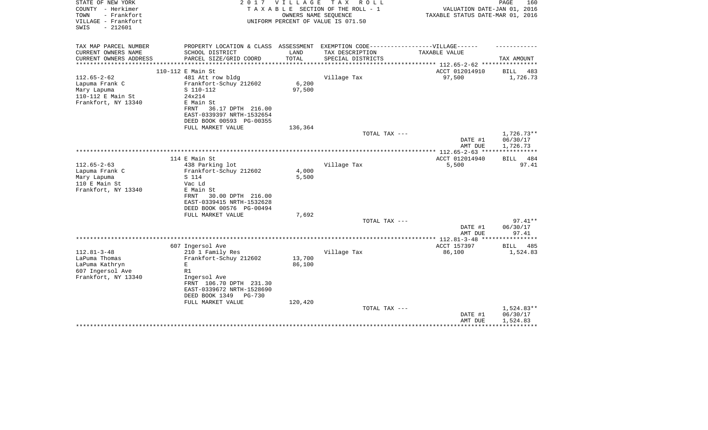| STATE OF NEW YORK<br>COUNTY - Herkimer<br>- Frankfort<br>TOWN<br>VILLAGE - Frankfort<br>$-212601$<br>SWIS | 2017                                                   | VILLAGE | T A X<br>R O L L<br>TAXABLE SECTION OF THE ROLL - 1<br>OWNERS NAME SEQUENCE<br>UNIFORM PERCENT OF VALUE IS 071.50 | VALUATION DATE-JAN 01, 2016<br>TAXABLE STATUS DATE-MAR 01, 2016 | PAGE<br>160          |
|-----------------------------------------------------------------------------------------------------------|--------------------------------------------------------|---------|-------------------------------------------------------------------------------------------------------------------|-----------------------------------------------------------------|----------------------|
| TAX MAP PARCEL NUMBER                                                                                     |                                                        |         | PROPERTY LOCATION & CLASS ASSESSMENT EXEMPTION CODE-----------------VILLAGE------                                 |                                                                 |                      |
| CURRENT OWNERS NAME                                                                                       | SCHOOL DISTRICT                                        | LAND    | TAX DESCRIPTION                                                                                                   | TAXABLE VALUE                                                   |                      |
| CURRENT OWNERS ADDRESS<br>**********************                                                          | PARCEL SIZE/GRID COORD                                 | TOTAL   | SPECIAL DISTRICTS                                                                                                 |                                                                 | TAX AMOUNT           |
|                                                                                                           | 110-112 E Main St                                      |         |                                                                                                                   | ACCT 012014910                                                  | BILL<br>483          |
| $112.65 - 2 - 62$                                                                                         | 481 Att row bldg                                       |         | Village Tax                                                                                                       | 97,500                                                          | 1,726.73             |
| Lapuma Frank C                                                                                            | Frankfort-Schuy 212602                                 | 6,200   |                                                                                                                   |                                                                 |                      |
| Mary Lapuma                                                                                               | S 110-112                                              | 97,500  |                                                                                                                   |                                                                 |                      |
| 110-112 E Main St                                                                                         | 24x214                                                 |         |                                                                                                                   |                                                                 |                      |
| Frankfort, NY 13340                                                                                       | E Main St<br>36.17 DPTH 216.00<br>FRNT                 |         |                                                                                                                   |                                                                 |                      |
|                                                                                                           | EAST-0339397 NRTH-1532654                              |         |                                                                                                                   |                                                                 |                      |
|                                                                                                           | DEED BOOK 00593 PG-00355                               |         |                                                                                                                   |                                                                 |                      |
|                                                                                                           | FULL MARKET VALUE                                      | 136,364 |                                                                                                                   |                                                                 |                      |
|                                                                                                           |                                                        |         | TOTAL TAX ---                                                                                                     |                                                                 | $1,726.73**$         |
|                                                                                                           |                                                        |         |                                                                                                                   | DATE #1                                                         | 06/30/17             |
|                                                                                                           |                                                        |         |                                                                                                                   | AMT DUE                                                         | 1,726.73             |
|                                                                                                           | 114 E Main St                                          |         |                                                                                                                   | ACCT 012014940                                                  | BILL<br>484          |
| $112.65 - 2 - 63$                                                                                         | 438 Parking lot                                        |         | Village Tax                                                                                                       | 5,500                                                           | 97.41                |
| Lapuma Frank C                                                                                            | Frankfort-Schuy 212602                                 | 4,000   |                                                                                                                   |                                                                 |                      |
| Mary Lapuma                                                                                               | S 114                                                  | 5,500   |                                                                                                                   |                                                                 |                      |
| 110 E Main St                                                                                             | Vac Ld                                                 |         |                                                                                                                   |                                                                 |                      |
| Frankfort, NY 13340                                                                                       | E Main St                                              |         |                                                                                                                   |                                                                 |                      |
|                                                                                                           | 30.00 DPTH 216.00<br>FRNT<br>EAST-0339415 NRTH-1532628 |         |                                                                                                                   |                                                                 |                      |
|                                                                                                           | DEED BOOK 00576 PG-00494                               |         |                                                                                                                   |                                                                 |                      |
|                                                                                                           | FULL MARKET VALUE                                      | 7,692   |                                                                                                                   |                                                                 |                      |
|                                                                                                           |                                                        |         | TOTAL TAX ---                                                                                                     |                                                                 | $97.41**$            |
|                                                                                                           |                                                        |         |                                                                                                                   | DATE #1                                                         | 06/30/17             |
|                                                                                                           |                                                        |         |                                                                                                                   | AMT DUE<br>************* 112.81-3-48 ****                       | 97.41<br>*********** |
|                                                                                                           | 607 Ingersol Ave                                       |         |                                                                                                                   | ACCT 157397                                                     | <b>BILL</b><br>485   |
| $112.81 - 3 - 48$                                                                                         | 210 1 Family Res                                       |         | Village Tax                                                                                                       | 86,100                                                          | 1,524.83             |
| LaPuma Thomas                                                                                             | Frankfort-Schuy 212602                                 | 13,700  |                                                                                                                   |                                                                 |                      |
| LaPuma Kathryn                                                                                            | E                                                      | 86,100  |                                                                                                                   |                                                                 |                      |
| 607 Ingersol Ave                                                                                          | R1                                                     |         |                                                                                                                   |                                                                 |                      |
| Frankfort, NY 13340                                                                                       | Ingersol Ave<br>FRNT 106.70 DPTH 231.30                |         |                                                                                                                   |                                                                 |                      |
|                                                                                                           | EAST-0339672 NRTH-1528690                              |         |                                                                                                                   |                                                                 |                      |
|                                                                                                           | DEED BOOK 1349<br>$PG-730$                             |         |                                                                                                                   |                                                                 |                      |
|                                                                                                           | FULL MARKET VALUE                                      | 120,420 |                                                                                                                   |                                                                 |                      |
|                                                                                                           |                                                        |         | TOTAL TAX ---                                                                                                     |                                                                 | 1,524.83**           |
|                                                                                                           |                                                        |         |                                                                                                                   | DATE #1                                                         | 06/30/17             |
|                                                                                                           |                                                        |         |                                                                                                                   | AMT DUE                                                         | 1,524.83             |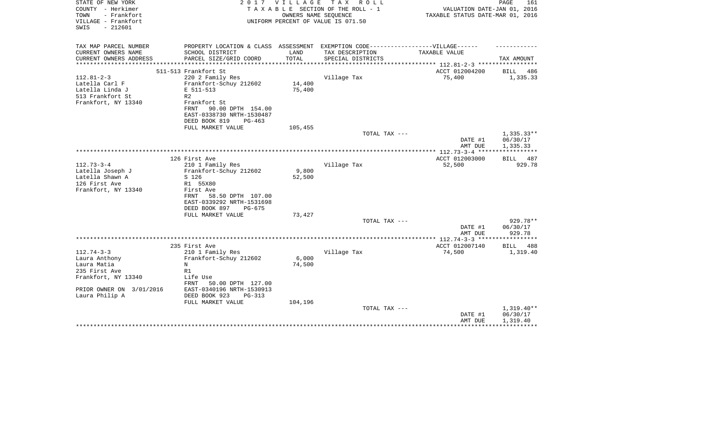| STATE OF NEW YORK<br>COUNTY - Herkimer                          | 2017                                                                              | V I L L A G E | T A X<br>R O L L<br>TAXABLE SECTION OF THE ROLL - 1        | VALUATION DATE-JAN 01, 2016      | PAGE<br>161             |
|-----------------------------------------------------------------|-----------------------------------------------------------------------------------|---------------|------------------------------------------------------------|----------------------------------|-------------------------|
| - Frankfort<br>TOWN<br>VILLAGE - Frankfort<br>$-212601$<br>SWIS |                                                                                   |               | OWNERS NAME SEQUENCE<br>UNIFORM PERCENT OF VALUE IS 071.50 | TAXABLE STATUS DATE-MAR 01, 2016 |                         |
| TAX MAP PARCEL NUMBER                                           | PROPERTY LOCATION & CLASS ASSESSMENT EXEMPTION CODE-----------------VILLAGE------ |               |                                                            |                                  |                         |
| CURRENT OWNERS NAME                                             | SCHOOL DISTRICT                                                                   | LAND          | TAX DESCRIPTION                                            | TAXABLE VALUE                    |                         |
| CURRENT OWNERS ADDRESS                                          | PARCEL SIZE/GRID COORD                                                            | TOTAL         | SPECIAL DISTRICTS                                          |                                  | TAX AMOUNT              |
| **********************                                          |                                                                                   |               |                                                            | ACCT 012004200                   |                         |
| $112.81 - 2 - 3$                                                | 511-513 Frankfort St<br>220 2 Family Res                                          |               | Village Tax                                                | 75,400                           | BILL<br>486<br>1,335.33 |
| Latella Carl F                                                  | Frankfort-Schuy 212602                                                            | 14,400        |                                                            |                                  |                         |
| Latella Linda J                                                 | E 511-513                                                                         | 75,400        |                                                            |                                  |                         |
| 513 Frankfort St                                                | R <sub>2</sub>                                                                    |               |                                                            |                                  |                         |
| Frankfort, NY 13340                                             | Frankfort St                                                                      |               |                                                            |                                  |                         |
|                                                                 | 90.00 DPTH 154.00<br>FRNT                                                         |               |                                                            |                                  |                         |
|                                                                 | EAST-0338730 NRTH-1530487                                                         |               |                                                            |                                  |                         |
|                                                                 | DEED BOOK 819<br>$PG-463$<br>FULL MARKET VALUE                                    | 105,455       |                                                            |                                  |                         |
|                                                                 |                                                                                   |               | TOTAL TAX ---                                              |                                  | $1,335.33**$            |
|                                                                 |                                                                                   |               |                                                            | DATE #1                          | 06/30/17                |
|                                                                 |                                                                                   |               |                                                            | AMT DUE                          | 1,335.33                |
|                                                                 |                                                                                   |               |                                                            |                                  |                         |
|                                                                 | 126 First Ave                                                                     |               |                                                            | ACCT 012003000                   | <b>BILL</b><br>487      |
| $112.73 - 3 - 4$                                                | 210 1 Family Res                                                                  | 9,800         | Village Tax                                                | 52,500                           | 929.78                  |
| Latella Joseph J<br>Latella Shawn A                             | Frankfort-Schuy 212602<br>S 126                                                   | 52,500        |                                                            |                                  |                         |
| 126 First Ave                                                   | R1 55X80                                                                          |               |                                                            |                                  |                         |
| Frankfort, NY 13340                                             | First Ave                                                                         |               |                                                            |                                  |                         |
|                                                                 | 58.50 DPTH 107.00<br>FRNT                                                         |               |                                                            |                                  |                         |
|                                                                 | EAST-0339292 NRTH-1531698                                                         |               |                                                            |                                  |                         |
|                                                                 | DEED BOOK 897<br>PG-675                                                           |               |                                                            |                                  |                         |
|                                                                 | FULL MARKET VALUE                                                                 | 73,427        | TOTAL TAX ---                                              |                                  | 929.78**                |
|                                                                 |                                                                                   |               |                                                            | DATE #1                          | 06/30/17                |
|                                                                 |                                                                                   |               |                                                            | AMT DUE                          | 929.78                  |
|                                                                 |                                                                                   |               |                                                            |                                  |                         |
|                                                                 | 235 First Ave                                                                     |               |                                                            | ACCT 012007140                   | 488<br><b>BILL</b>      |
| $112.74 - 3 - 3$                                                | 210 1 Family Res                                                                  |               | Village Tax                                                | 74,500                           | 1,319.40                |
| Laura Anthony                                                   | Frankfort-Schuy 212602                                                            | 6,000         |                                                            |                                  |                         |
| Laura Matia<br>235 First Ave                                    | N<br>R1                                                                           | 74,500        |                                                            |                                  |                         |
| Frankfort, NY 13340                                             | Life Use                                                                          |               |                                                            |                                  |                         |
|                                                                 | FRNT<br>50.00 DPTH 127.00                                                         |               |                                                            |                                  |                         |
| PRIOR OWNER ON 3/01/2016                                        | EAST-0340196 NRTH-1530913                                                         |               |                                                            |                                  |                         |
| Laura Philip A                                                  | DEED BOOK 923<br>$PG-313$                                                         |               |                                                            |                                  |                         |
|                                                                 | FULL MARKET VALUE                                                                 | 104,196       |                                                            |                                  |                         |
|                                                                 |                                                                                   |               | TOTAL TAX ---                                              |                                  | $1,319.40**$            |
|                                                                 |                                                                                   |               |                                                            | DATE #1<br>AMT DUE               | 06/30/17<br>1,319.40    |
|                                                                 |                                                                                   |               |                                                            |                                  | ************            |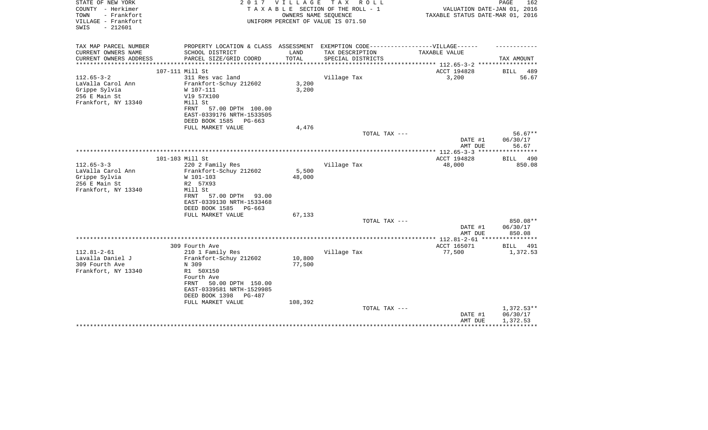| STATE OF NEW YORK<br>COUNTY - Herkimer<br>TOWN<br>- Frankfort<br>VILLAGE - Frankfort<br>$-212601$<br>SWIS | 2017                                                                                      | V I L L A G E  | T A X<br>R O L L<br>TAXABLE SECTION OF THE ROLL - 1<br>OWNERS NAME SEQUENCE<br>UNIFORM PERCENT OF VALUE IS 071.50 | VALUATION DATE-JAN 01, 2016<br>TAXABLE STATUS DATE-MAR 01, 2016 | PAGE<br>162              |
|-----------------------------------------------------------------------------------------------------------|-------------------------------------------------------------------------------------------|----------------|-------------------------------------------------------------------------------------------------------------------|-----------------------------------------------------------------|--------------------------|
| TAX MAP PARCEL NUMBER                                                                                     | PROPERTY LOCATION & CLASS ASSESSMENT EXEMPTION CODE-----------------VILLAGE------         |                |                                                                                                                   |                                                                 |                          |
| CURRENT OWNERS NAME                                                                                       | SCHOOL DISTRICT                                                                           | LAND           | TAX DESCRIPTION                                                                                                   | TAXABLE VALUE                                                   |                          |
| CURRENT OWNERS ADDRESS<br>*********************                                                           | PARCEL SIZE/GRID COORD                                                                    | TOTAL          | SPECIAL DISTRICTS                                                                                                 |                                                                 | TAX AMOUNT               |
|                                                                                                           | 107-111 Mill St                                                                           |                |                                                                                                                   | ACCT 194828                                                     | BILL<br>489              |
| $112.65 - 3 - 2$                                                                                          | 311 Res vac land                                                                          |                | Village Tax                                                                                                       | 3,200                                                           | 56.67                    |
| LaValla Carol Ann<br>Grippe Sylvia<br>256 E Main St<br>Frankfort, NY 13340                                | Frankfort-Schuy 212602<br>W 107-111<br>V19 57X100<br>Mill St<br>57.00 DPTH 100.00<br>FRNT | 3,200<br>3,200 |                                                                                                                   |                                                                 |                          |
|                                                                                                           | EAST-0339176 NRTH-1533505<br>DEED BOOK 1585<br>PG-663                                     |                |                                                                                                                   |                                                                 |                          |
|                                                                                                           | FULL MARKET VALUE                                                                         | 4,476          |                                                                                                                   |                                                                 |                          |
|                                                                                                           |                                                                                           |                | TOTAL TAX ---                                                                                                     |                                                                 | $56.67**$                |
|                                                                                                           |                                                                                           |                |                                                                                                                   | DATE #1<br>AMT DUE                                              | 06/30/17<br>56.67        |
|                                                                                                           |                                                                                           |                |                                                                                                                   |                                                                 | ***********              |
|                                                                                                           | 101-103 Mill St                                                                           |                |                                                                                                                   | ACCT 194828                                                     | 490<br>BILL              |
| $112.65 - 3 - 3$                                                                                          | 220 2 Family Res                                                                          |                | Village Tax                                                                                                       | 48,000                                                          | 850.08                   |
| LaValla Carol Ann                                                                                         | Frankfort-Schuy 212602                                                                    | 5,500          |                                                                                                                   |                                                                 |                          |
| Grippe Sylvia<br>256 E Main St                                                                            | W 101-103<br>R2 57X93                                                                     | 48,000         |                                                                                                                   |                                                                 |                          |
| Frankfort, NY 13340                                                                                       | Mill St                                                                                   |                |                                                                                                                   |                                                                 |                          |
|                                                                                                           | 57.00 DPTH<br>FRNT<br>93.00                                                               |                |                                                                                                                   |                                                                 |                          |
|                                                                                                           | EAST-0339130 NRTH-1533468<br>DEED BOOK 1585<br>PG-663                                     |                |                                                                                                                   |                                                                 |                          |
|                                                                                                           | FULL MARKET VALUE                                                                         | 67,133         |                                                                                                                   |                                                                 |                          |
|                                                                                                           |                                                                                           |                | TOTAL TAX ---                                                                                                     |                                                                 | 850.08**                 |
|                                                                                                           |                                                                                           |                |                                                                                                                   | DATE #1                                                         | 06/30/17                 |
|                                                                                                           |                                                                                           |                |                                                                                                                   | AMT DUE                                                         | 850.08                   |
|                                                                                                           | 309 Fourth Ave                                                                            |                |                                                                                                                   | ACCT 165071                                                     | BILL<br>491              |
| $112.81 - 2 - 61$                                                                                         | 210 1 Family Res                                                                          |                | Village Tax                                                                                                       | 77,500                                                          | 1,372.53                 |
| Lavalla Daniel J                                                                                          | Frankfort-Schuy 212602                                                                    | 10,800         |                                                                                                                   |                                                                 |                          |
| 309 Fourth Ave                                                                                            | N 309                                                                                     | 77,500         |                                                                                                                   |                                                                 |                          |
| Frankfort, NY 13340                                                                                       | R1 50X150                                                                                 |                |                                                                                                                   |                                                                 |                          |
|                                                                                                           | Fourth Ave<br>50.00 DPTH 150.00<br>FRNT                                                   |                |                                                                                                                   |                                                                 |                          |
|                                                                                                           | EAST-0339581 NRTH-1529985                                                                 |                |                                                                                                                   |                                                                 |                          |
|                                                                                                           | DEED BOOK 1398<br>PG-487                                                                  |                |                                                                                                                   |                                                                 |                          |
|                                                                                                           | FULL MARKET VALUE                                                                         | 108,392        |                                                                                                                   |                                                                 |                          |
|                                                                                                           |                                                                                           |                | TOTAL TAX ---                                                                                                     | DATE #1                                                         | $1,372.53**$<br>06/30/17 |
|                                                                                                           |                                                                                           |                |                                                                                                                   | AMT DUE                                                         | 1,372.53                 |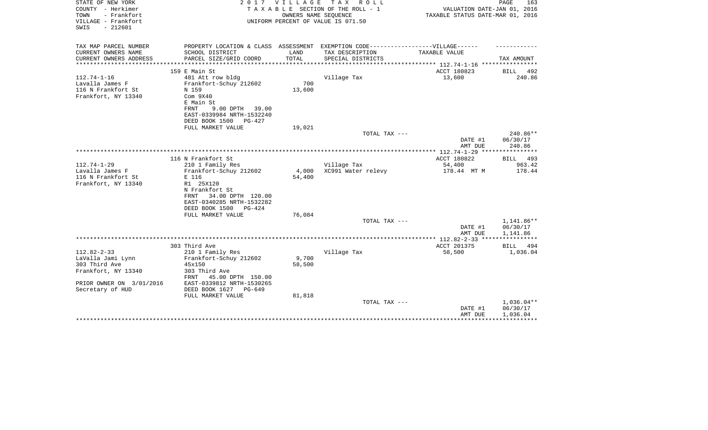| STATE OF NEW YORK<br>COUNTY - Herkimer<br>- Frankfort<br>TOWN<br>VILLAGE - Frankfort<br>$-212601$<br>SWIS | 2017                                                 | <b>VILLAGE</b>  | TAX ROLL<br>TAXABLE SECTION OF THE ROLL - 1<br>OWNERS NAME SEQUENCE<br>UNIFORM PERCENT OF VALUE IS 071.50 | VALUATION DATE-JAN 01, 2016<br>TAXABLE STATUS DATE-MAR 01, 2016 | PAGE<br>163            |
|-----------------------------------------------------------------------------------------------------------|------------------------------------------------------|-----------------|-----------------------------------------------------------------------------------------------------------|-----------------------------------------------------------------|------------------------|
| TAX MAP PARCEL NUMBER<br>CURRENT OWNERS NAME                                                              | SCHOOL DISTRICT                                      | LAND            | PROPERTY LOCATION & CLASS ASSESSMENT EXEMPTION CODE-----------------VILLAGE------<br>TAX DESCRIPTION      | TAXABLE VALUE                                                   |                        |
| CURRENT OWNERS ADDRESS                                                                                    | PARCEL SIZE/GRID COORD                               | TOTAL           | SPECIAL DISTRICTS                                                                                         |                                                                 | TAX AMOUNT             |
| ********************                                                                                      |                                                      |                 |                                                                                                           |                                                                 |                        |
|                                                                                                           | 159 E Main St                                        |                 |                                                                                                           | ACCT 180823                                                     | BILL 492               |
| $112.74 - 1 - 16$                                                                                         | 481 Att row bldg                                     |                 | Village Tax                                                                                               | 13,600                                                          | 240.86                 |
| Lavalla James F<br>116 N Frankfort St                                                                     | Frankfort-Schuy 212602<br>N 159                      | 700<br>13,600   |                                                                                                           |                                                                 |                        |
| Frankfort, NY 13340                                                                                       | Com <sub>9X40</sub><br>E Main St                     |                 |                                                                                                           |                                                                 |                        |
|                                                                                                           | FRNT<br>9.00 DPTH 39.00<br>EAST-0339984 NRTH-1532240 |                 |                                                                                                           |                                                                 |                        |
|                                                                                                           | DEED BOOK 1500<br>PG-427                             |                 |                                                                                                           |                                                                 |                        |
|                                                                                                           | FULL MARKET VALUE                                    | 19,021          | TOTAL TAX ---                                                                                             |                                                                 | 240.86**               |
|                                                                                                           |                                                      |                 |                                                                                                           | DATE #1<br>AMT DUE                                              | 06/30/17<br>240.86     |
|                                                                                                           |                                                      |                 |                                                                                                           |                                                                 |                        |
|                                                                                                           | 116 N Frankfort St                                   |                 |                                                                                                           | ACCT 180822                                                     | BILL 493               |
| $112.74 - 1 - 29$<br>Lavalla James F                                                                      | 210 1 Family Res<br>Frankfort-Schuy 212602           | 4,000           | Village Tax<br>XC991 Water relevy                                                                         | 54,400<br>178.44 MT M                                           | 963.42<br>178.44       |
| 116 N Frankfort St                                                                                        | E 116                                                | 54,400          |                                                                                                           |                                                                 |                        |
| Frankfort, NY 13340                                                                                       | R1 25X120                                            |                 |                                                                                                           |                                                                 |                        |
|                                                                                                           | N Frankfort St                                       |                 |                                                                                                           |                                                                 |                        |
|                                                                                                           | 34.00 DPTH 120.00<br>FRNT                            |                 |                                                                                                           |                                                                 |                        |
|                                                                                                           | EAST-0340285 NRTH-1532282                            |                 |                                                                                                           |                                                                 |                        |
|                                                                                                           | DEED BOOK 1500<br>PG-424                             |                 |                                                                                                           |                                                                 |                        |
|                                                                                                           | FULL MARKET VALUE                                    | 76,084          | TOTAL TAX ---                                                                                             |                                                                 | 1,141.86**             |
|                                                                                                           |                                                      |                 |                                                                                                           | DATE #1                                                         | 06/30/17               |
|                                                                                                           |                                                      |                 |                                                                                                           | AMT DUE                                                         | 1,141.86               |
|                                                                                                           |                                                      |                 |                                                                                                           |                                                                 | ***********            |
|                                                                                                           | 303 Third Ave                                        |                 |                                                                                                           | ACCT 201375                                                     | BILL<br>494            |
| $112.82 - 2 - 33$                                                                                         | 210 1 Family Res                                     |                 | Village Tax                                                                                               | 58,500                                                          | 1,036.04               |
| LaValla Jami Lynn<br>303 Third Ave                                                                        | Frankfort-Schuy 212602<br>45x150                     | 9,700<br>58,500 |                                                                                                           |                                                                 |                        |
| Frankfort, NY 13340                                                                                       | 303 Third Ave                                        |                 |                                                                                                           |                                                                 |                        |
|                                                                                                           | FRNT<br>45.00 DPTH 150.00                            |                 |                                                                                                           |                                                                 |                        |
| PRIOR OWNER ON 3/01/2016                                                                                  | EAST-0339812 NRTH-1530265                            |                 |                                                                                                           |                                                                 |                        |
| Secretary of HUD                                                                                          | DEED BOOK 1627<br>$PG-649$                           |                 |                                                                                                           |                                                                 |                        |
|                                                                                                           | FULL MARKET VALUE                                    | 81,818          |                                                                                                           |                                                                 |                        |
|                                                                                                           |                                                      |                 | TOTAL TAX ---                                                                                             | DATE #1                                                         | 1,036.04**<br>06/30/17 |
|                                                                                                           |                                                      |                 |                                                                                                           | AMT DUE                                                         | 1,036.04               |
|                                                                                                           |                                                      |                 |                                                                                                           |                                                                 |                        |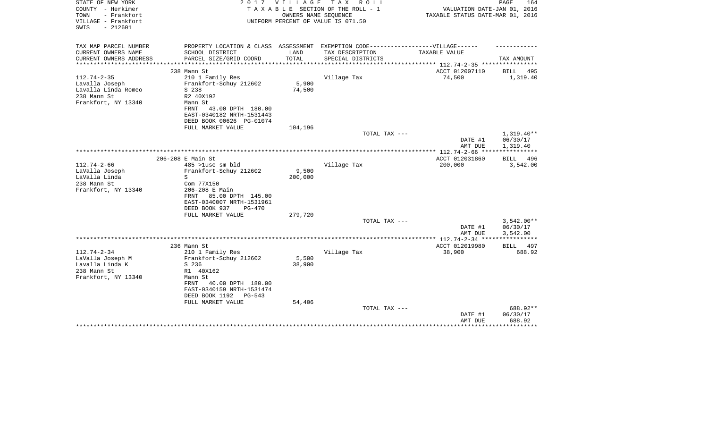| STATE OF NEW YORK<br>COUNTY - Herkimer<br>TOWN<br>- Frankfort<br>VILLAGE - Frankfort<br>$-212601$<br>SWIS | 2017                                                                                                                                                                                     | VILLAGE<br>OWNERS NAME SEQUENCE | T A X<br>R O L L<br>TAXABLE SECTION OF THE ROLL - 1<br>UNIFORM PERCENT OF VALUE IS 071.50 | VALUATION DATE-JAN 01, 2016<br>TAXABLE STATUS DATE-MAR 01, 2016 | PAGE<br>164                          |
|-----------------------------------------------------------------------------------------------------------|------------------------------------------------------------------------------------------------------------------------------------------------------------------------------------------|---------------------------------|-------------------------------------------------------------------------------------------|-----------------------------------------------------------------|--------------------------------------|
| TAX MAP PARCEL NUMBER<br>CURRENT OWNERS NAME                                                              |                                                                                                                                                                                          | LAND                            | PROPERTY LOCATION & CLASS ASSESSMENT EXEMPTION CODE-----------------VILLAGE------         | <b>TAXABLE VALUE</b>                                            |                                      |
| CURRENT OWNERS ADDRESS                                                                                    | SCHOOL DISTRICT<br>PARCEL SIZE/GRID COORD                                                                                                                                                | TOTAL                           | TAX DESCRIPTION<br>SPECIAL DISTRICTS                                                      |                                                                 | TAX AMOUNT                           |
| **********************                                                                                    |                                                                                                                                                                                          |                                 |                                                                                           |                                                                 |                                      |
|                                                                                                           | 238 Mann St                                                                                                                                                                              |                                 |                                                                                           | ACCT 012007110                                                  | BILL<br>495                          |
| $112.74 - 2 - 35$<br>Lavalla Joseph<br>Lavalla Linda Romeo<br>238 Mann St<br>Frankfort, NY 13340          | 210 1 Family Res<br>Frankfort-Schuy 212602<br>S 238<br>R2 40X192<br>Mann St<br>FRNT<br>43.00 DPTH 180.00<br>EAST-0340182 NRTH-1531443<br>DEED BOOK 00626 PG-01074                        | 5,900<br>74,500                 | Village Tax                                                                               | 74,500                                                          | 1,319.40                             |
|                                                                                                           | FULL MARKET VALUE                                                                                                                                                                        | 104,196                         |                                                                                           |                                                                 |                                      |
|                                                                                                           |                                                                                                                                                                                          |                                 | TOTAL TAX ---                                                                             | DATE #1<br>AMT DUE                                              | $1,319.40**$<br>06/30/17<br>1,319.40 |
|                                                                                                           |                                                                                                                                                                                          |                                 |                                                                                           |                                                                 |                                      |
|                                                                                                           | 206-208 E Main St                                                                                                                                                                        |                                 |                                                                                           | ACCT 012031860                                                  | BILL<br>496                          |
| $112.74 - 2 - 66$                                                                                         | 485 >luse sm bld                                                                                                                                                                         |                                 | Village Tax                                                                               | 200,000                                                         | 3,542.00                             |
| LaValla Joseph<br>LaValla Linda                                                                           | Frankfort-Schuy 212602<br>S                                                                                                                                                              | 9,500<br>200,000                |                                                                                           |                                                                 |                                      |
| 238 Mann St                                                                                               | Com 77X150                                                                                                                                                                               |                                 |                                                                                           |                                                                 |                                      |
| Frankfort, NY 13340                                                                                       | 206-208 E Main<br>85.00 DPTH 145.00<br>FRNT<br>EAST-0340007 NRTH-1531961<br>DEED BOOK 937<br>$PG-470$                                                                                    |                                 |                                                                                           |                                                                 |                                      |
|                                                                                                           | FULL MARKET VALUE                                                                                                                                                                        | 279,720                         | TOTAL TAX ---                                                                             |                                                                 | $3,542.00**$                         |
|                                                                                                           |                                                                                                                                                                                          |                                 |                                                                                           | DATE #1<br>AMT DUE                                              | 06/30/17<br>3,542.00                 |
|                                                                                                           |                                                                                                                                                                                          |                                 |                                                                                           | **************** 112.74-2-34 ****                               | * * * * * * * * * * * *              |
|                                                                                                           | 236 Mann St                                                                                                                                                                              |                                 |                                                                                           | ACCT 012019980                                                  | BILL 497                             |
| $112.74 - 2 - 34$<br>LaValla Joseph M<br>Lavalla Linda K<br>238 Mann St<br>Frankfort, NY 13340            | 210 1 Family Res<br>Frankfort-Schuy 212602<br>S 236<br>R1 40X162<br>Mann St<br>40.00 DPTH 180.00<br>FRNT<br>EAST-0340159 NRTH-1531474<br>DEED BOOK 1192<br>$PG-543$<br>FULL MARKET VALUE | 5,500<br>38,900<br>54,406       | Village Tax                                                                               | 38,900                                                          | 688.92                               |
|                                                                                                           |                                                                                                                                                                                          |                                 | TOTAL TAX ---                                                                             |                                                                 | 688.92**                             |
|                                                                                                           |                                                                                                                                                                                          |                                 |                                                                                           | DATE #1<br>AMT DUE                                              | 06/30/17<br>688.92<br>******         |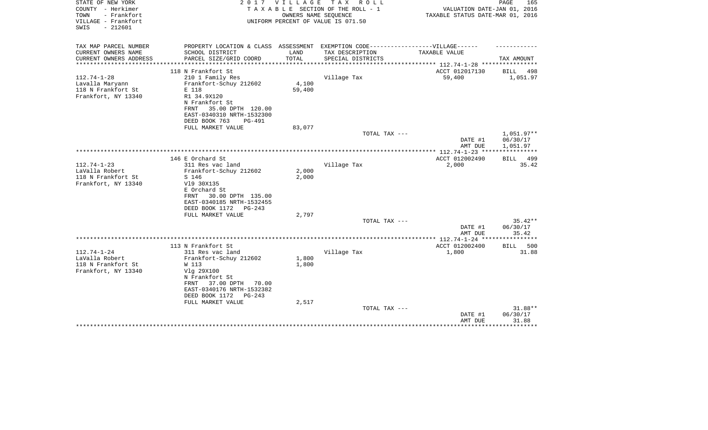| STATE OF NEW YORK<br>COUNTY - Herkimer                          | 2017                                                                              | V I L L A G E  | TAX ROLL<br>TAXABLE SECTION OF THE ROLL - 1                | VALUATION DATE-JAN 01, 2016                                       | PAGE<br>165             |
|-----------------------------------------------------------------|-----------------------------------------------------------------------------------|----------------|------------------------------------------------------------|-------------------------------------------------------------------|-------------------------|
| TOWN<br>- Frankfort<br>VILLAGE - Frankfort<br>$-212601$<br>SWIS |                                                                                   |                | OWNERS NAME SEQUENCE<br>UNIFORM PERCENT OF VALUE IS 071.50 | TAXABLE STATUS DATE-MAR 01, 2016                                  |                         |
|                                                                 |                                                                                   |                |                                                            |                                                                   |                         |
| TAX MAP PARCEL NUMBER                                           | PROPERTY LOCATION & CLASS ASSESSMENT EXEMPTION CODE-----------------VILLAGE------ |                |                                                            |                                                                   |                         |
| CURRENT OWNERS NAME                                             | SCHOOL DISTRICT                                                                   | LAND           | TAX DESCRIPTION                                            | TAXABLE VALUE                                                     |                         |
| CURRENT OWNERS ADDRESS<br>********************                  | PARCEL SIZE/GRID COORD                                                            | TOTAL          | SPECIAL DISTRICTS                                          |                                                                   | TAX AMOUNT              |
|                                                                 | 118 N Frankfort St                                                                |                |                                                            | ***************** 112.74-1-28 *****************<br>ACCT 012017130 |                         |
| $112.74 - 1 - 28$                                               | 210 1 Family Res                                                                  |                | Village Tax                                                | 59,400                                                            | BILL<br>498<br>1,051.97 |
| Lavalla Maryann                                                 | Frankfort-Schuy 212602                                                            | 4,100          |                                                            |                                                                   |                         |
| 118 N Frankfort St                                              | E 118                                                                             | 59,400         |                                                            |                                                                   |                         |
| Frankfort, NY 13340                                             | R1 34.9X120                                                                       |                |                                                            |                                                                   |                         |
|                                                                 | N Frankfort St                                                                    |                |                                                            |                                                                   |                         |
|                                                                 | 35.00 DPTH 120.00<br>FRNT                                                         |                |                                                            |                                                                   |                         |
|                                                                 | EAST-0340310 NRTH-1532300                                                         |                |                                                            |                                                                   |                         |
|                                                                 | DEED BOOK 763<br><b>PG-491</b>                                                    |                |                                                            |                                                                   |                         |
|                                                                 | FULL MARKET VALUE                                                                 | 83,077         |                                                            |                                                                   |                         |
|                                                                 |                                                                                   |                | TOTAL TAX ---                                              |                                                                   | $1,051.97**$            |
|                                                                 |                                                                                   |                |                                                            | DATE #1                                                           | 06/30/17                |
|                                                                 |                                                                                   |                |                                                            | AMT DUE                                                           | 1,051.97                |
|                                                                 |                                                                                   |                |                                                            |                                                                   |                         |
|                                                                 | 146 E Orchard St                                                                  |                |                                                            | ACCT 012002490                                                    | BILL 499                |
| $112.74 - 1 - 23$<br>LaValla Robert                             | 311 Res vac land                                                                  |                | Village Tax                                                | 2,000                                                             | 35.42                   |
| 118 N Frankfort St                                              | Frankfort-Schuy 212602<br>S 146                                                   | 2,000<br>2,000 |                                                            |                                                                   |                         |
| Frankfort, NY 13340                                             | V19 30X135                                                                        |                |                                                            |                                                                   |                         |
|                                                                 | E Orchard St                                                                      |                |                                                            |                                                                   |                         |
|                                                                 | 30.00 DPTH 135.00<br>FRNT                                                         |                |                                                            |                                                                   |                         |
|                                                                 | EAST-0340185 NRTH-1532455                                                         |                |                                                            |                                                                   |                         |
|                                                                 | DEED BOOK 1172<br>$PG-243$                                                        |                |                                                            |                                                                   |                         |
|                                                                 | FULL MARKET VALUE                                                                 | 2,797          |                                                            |                                                                   |                         |
|                                                                 |                                                                                   |                | TOTAL TAX ---                                              |                                                                   | $35.42**$               |
|                                                                 |                                                                                   |                |                                                            | DATE #1                                                           | 06/30/17                |
|                                                                 |                                                                                   |                |                                                            | AMT DUE                                                           | 35.42                   |
|                                                                 |                                                                                   |                |                                                            |                                                                   |                         |
|                                                                 | 113 N Frankfort St                                                                |                |                                                            | ACCT 012002400                                                    | 500<br>BILL             |
| $112.74 - 1 - 24$                                               | 311 Res vac land                                                                  |                | Village Tax                                                | 1,800                                                             | 31.88                   |
| LaValla Robert                                                  | Frankfort-Schuy 212602                                                            | 1,800          |                                                            |                                                                   |                         |
| 118 N Frankfort St                                              | W 113                                                                             | 1,800          |                                                            |                                                                   |                         |
| Frankfort, NY 13340                                             | Vlg 29X100                                                                        |                |                                                            |                                                                   |                         |
|                                                                 | N Frankfort St<br>37.00 DPTH<br>70.00<br>FRNT                                     |                |                                                            |                                                                   |                         |
|                                                                 | EAST-0340176 NRTH-1532382                                                         |                |                                                            |                                                                   |                         |
|                                                                 | DEED BOOK 1172<br>$PG-243$                                                        |                |                                                            |                                                                   |                         |
|                                                                 | FULL MARKET VALUE                                                                 | 2,517          |                                                            |                                                                   |                         |
|                                                                 |                                                                                   |                | TOTAL TAX ---                                              |                                                                   | 31.88**                 |
|                                                                 |                                                                                   |                |                                                            | DATE #1                                                           | 06/30/17                |
|                                                                 |                                                                                   |                |                                                            | AMT DUE                                                           | 31.88                   |
|                                                                 |                                                                                   |                |                                                            |                                                                   | ********                |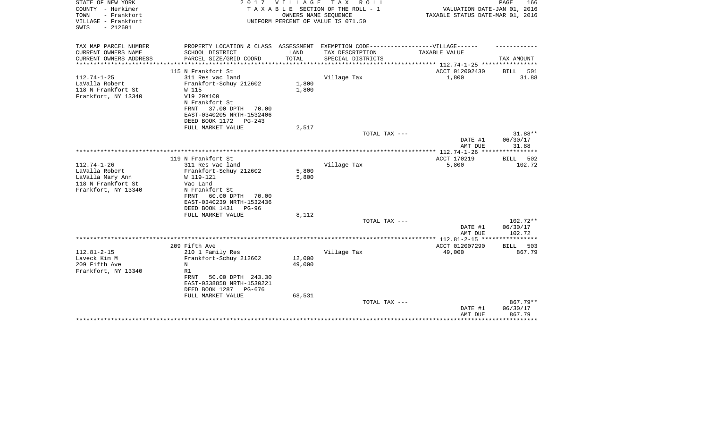| STATE OF NEW YORK<br>COUNTY - Herkimer<br>- Frankfort<br>TOWN<br>VILLAGE - Frankfort<br>$-212601$<br>SWIS | 2017                                                                                                 | <b>VILLAGE</b> | TAX ROLL<br>TAXABLE SECTION OF THE ROLL - 1<br>OWNERS NAME SEQUENCE<br>UNIFORM PERCENT OF VALUE IS 071.50 | VALUATION DATE-JAN 01, 2016<br>TAXABLE STATUS DATE-MAR 01, 2016 | PAGE<br>166           |
|-----------------------------------------------------------------------------------------------------------|------------------------------------------------------------------------------------------------------|----------------|-----------------------------------------------------------------------------------------------------------|-----------------------------------------------------------------|-----------------------|
| TAX MAP PARCEL NUMBER<br>CURRENT OWNERS NAME                                                              | PROPERTY LOCATION & CLASS ASSESSMENT EXEMPTION CODE-----------------VILLAGE------<br>SCHOOL DISTRICT | LAND           | TAX DESCRIPTION                                                                                           | TAXABLE VALUE                                                   |                       |
| CURRENT OWNERS ADDRESS                                                                                    | PARCEL SIZE/GRID COORD                                                                               | TOTAL          | SPECIAL DISTRICTS                                                                                         |                                                                 | TAX AMOUNT            |
|                                                                                                           |                                                                                                      | *************  |                                                                                                           | ************************** 112.74-1-25 *****************        |                       |
|                                                                                                           | 115 N Frankfort St                                                                                   |                |                                                                                                           | ACCT 012002430                                                  | BILL<br>501           |
| $112.74 - 1 - 25$                                                                                         | 311 Res vac land                                                                                     |                | Village Tax                                                                                               | 1,800                                                           | 31.88                 |
| LaValla Robert                                                                                            | Frankfort-Schuy 212602                                                                               | 1,800          |                                                                                                           |                                                                 |                       |
| 118 N Frankfort St<br>Frankfort, NY 13340                                                                 | W 115<br>V19 29X100                                                                                  | 1,800          |                                                                                                           |                                                                 |                       |
|                                                                                                           | N Frankfort St                                                                                       |                |                                                                                                           |                                                                 |                       |
|                                                                                                           | 37.00 DPTH<br>FRNT<br>70.00                                                                          |                |                                                                                                           |                                                                 |                       |
|                                                                                                           | EAST-0340205 NRTH-1532406                                                                            |                |                                                                                                           |                                                                 |                       |
|                                                                                                           | DEED BOOK 1172<br>$PG-243$                                                                           |                |                                                                                                           |                                                                 |                       |
|                                                                                                           | FULL MARKET VALUE                                                                                    | 2,517          |                                                                                                           |                                                                 |                       |
|                                                                                                           |                                                                                                      |                | TOTAL TAX ---                                                                                             |                                                                 | 31.88**               |
|                                                                                                           |                                                                                                      |                |                                                                                                           | DATE #1<br>AMT DUE                                              | 06/30/17<br>31.88     |
|                                                                                                           |                                                                                                      |                |                                                                                                           |                                                                 |                       |
|                                                                                                           | 119 N Frankfort St                                                                                   |                |                                                                                                           | ACCT 170219                                                     | <b>BILL</b><br>502    |
| $112.74 - 1 - 26$                                                                                         | 311 Res vac land                                                                                     |                | Village Tax                                                                                               | 5,800                                                           | 102.72                |
| LaValla Robert                                                                                            | Frankfort-Schuy 212602                                                                               | 5,800          |                                                                                                           |                                                                 |                       |
| LaValla Mary Ann                                                                                          | W 119-121                                                                                            | 5,800          |                                                                                                           |                                                                 |                       |
| 118 N Frankfort St                                                                                        | Vac Land                                                                                             |                |                                                                                                           |                                                                 |                       |
| Frankfort, NY 13340                                                                                       | N Frankfort St<br>FRNT<br>60.00 DPTH<br>70.00                                                        |                |                                                                                                           |                                                                 |                       |
|                                                                                                           | EAST-0340239 NRTH-1532436                                                                            |                |                                                                                                           |                                                                 |                       |
|                                                                                                           | DEED BOOK 1431<br>PG-96                                                                              |                |                                                                                                           |                                                                 |                       |
|                                                                                                           | FULL MARKET VALUE                                                                                    | 8,112          |                                                                                                           |                                                                 |                       |
|                                                                                                           |                                                                                                      |                | TOTAL TAX ---                                                                                             |                                                                 | 102.72**              |
|                                                                                                           |                                                                                                      |                |                                                                                                           | DATE #1                                                         | 06/30/17              |
|                                                                                                           |                                                                                                      |                |                                                                                                           | AMT DUE                                                         | 102.72<br>*********** |
|                                                                                                           | 209 Fifth Ave                                                                                        |                |                                                                                                           | ACCT 012007290                                                  | BILL 503              |
| $112.81 - 2 - 15$                                                                                         | 210 1 Family Res                                                                                     |                | Village Tax                                                                                               | 49,000                                                          | 867.79                |
| Laveck Kim M                                                                                              | Frankfort-Schuy 212602                                                                               | 12,000         |                                                                                                           |                                                                 |                       |
| 209 Fifth Ave                                                                                             | N                                                                                                    | 49,000         |                                                                                                           |                                                                 |                       |
| Frankfort, NY 13340                                                                                       | R1                                                                                                   |                |                                                                                                           |                                                                 |                       |
|                                                                                                           | <b>FRNT</b><br>50.00 DPTH 243.30                                                                     |                |                                                                                                           |                                                                 |                       |
|                                                                                                           | EAST-0338858 NRTH-1530221                                                                            |                |                                                                                                           |                                                                 |                       |
|                                                                                                           | DEED BOOK 1287<br>PG-676<br>FULL MARKET VALUE                                                        | 68,531         |                                                                                                           |                                                                 |                       |
|                                                                                                           |                                                                                                      |                | TOTAL TAX ---                                                                                             |                                                                 | 867.79**              |
|                                                                                                           |                                                                                                      |                |                                                                                                           | DATE #1                                                         | 06/30/17              |
|                                                                                                           |                                                                                                      |                |                                                                                                           | AMT DUE                                                         | 867.79                |
|                                                                                                           |                                                                                                      |                |                                                                                                           |                                                                 | * * * * * * * * *     |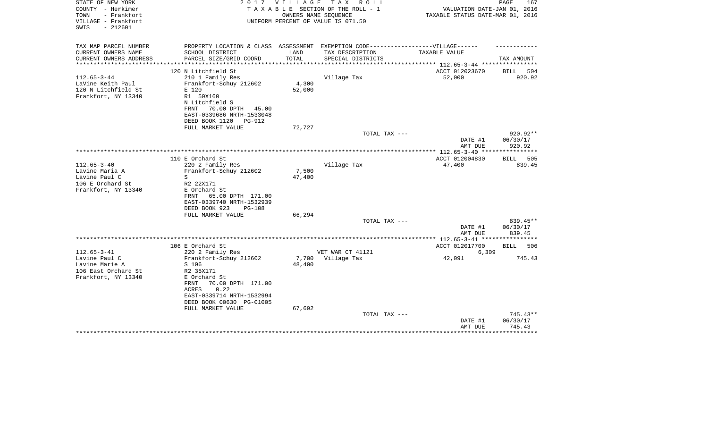| STATE OF NEW YORK<br>COUNTY - Herkimer<br>TOWN<br>- Frankfort<br>VILLAGE - Frankfort<br>$-212601$<br>SWIS | 2017                                                                                                                                                                                                              | V I L L A G E             | T A X<br>R O L L<br>TAXABLE SECTION OF THE ROLL - 1<br>OWNERS NAME SEOUENCE<br>UNIFORM PERCENT OF VALUE IS 071.50 | VALUATION DATE-JAN 01, 2016<br>TAXABLE STATUS DATE-MAR 01, 2016 | PAGE<br>167                    |
|-----------------------------------------------------------------------------------------------------------|-------------------------------------------------------------------------------------------------------------------------------------------------------------------------------------------------------------------|---------------------------|-------------------------------------------------------------------------------------------------------------------|-----------------------------------------------------------------|--------------------------------|
| TAX MAP PARCEL NUMBER                                                                                     | PROPERTY LOCATION & CLASS ASSESSMENT EXEMPTION CODE----------------VILLAGE------                                                                                                                                  |                           |                                                                                                                   |                                                                 |                                |
| CURRENT OWNERS NAME<br>CURRENT OWNERS ADDRESS<br>********************                                     | SCHOOL DISTRICT<br>PARCEL SIZE/GRID COORD<br>***************************                                                                                                                                          | LAND<br>TOTAL             | TAX DESCRIPTION<br>SPECIAL DISTRICTS                                                                              | TAXABLE VALUE                                                   | TAX AMOUNT                     |
|                                                                                                           |                                                                                                                                                                                                                   |                           |                                                                                                                   |                                                                 |                                |
| $112.65 - 3 - 44$<br>LaVine Keith Paul<br>120 N Litchfield St<br>Frankfort, NY 13340                      | 120 N Litchfield St<br>210 1 Family Res<br>Frankfort-Schuy 212602<br>E 120<br>R1 50X160<br>N Litchfield S<br>70.00 DPTH<br>FRNT<br>45.00<br>EAST-0339686 NRTH-1533048                                             | 4,300<br>52,000           | Village Tax                                                                                                       | ACCT 012023670<br>52,000                                        | 504<br>BILL<br>920.92          |
|                                                                                                           | DEED BOOK 1120<br><b>PG-912</b><br>FULL MARKET VALUE                                                                                                                                                              | 72,727                    |                                                                                                                   |                                                                 |                                |
|                                                                                                           |                                                                                                                                                                                                                   |                           | TOTAL TAX ---                                                                                                     | DATE #1<br>AMT DUE                                              | 920.92**<br>06/30/17<br>920.92 |
|                                                                                                           |                                                                                                                                                                                                                   |                           |                                                                                                                   |                                                                 |                                |
| $112.65 - 3 - 40$<br>Lavine Maria A<br>Lavine Paul C<br>106 E Orchard St<br>Frankfort, NY 13340           | 110 E Orchard St<br>220 2 Family Res<br>Frankfort-Schuy 212602<br>S<br>R2 22X171<br>E Orchard St<br>65.00 DPTH 171.00<br>FRNT<br>EAST-0339740 NRTH-1532939<br>DEED BOOK 923<br><b>PG-108</b><br>FULL MARKET VALUE | 7,500<br>47,400<br>66,294 | Village Tax                                                                                                       | ACCT 012004830<br>47,400                                        | 505<br>BILL<br>839.45          |
|                                                                                                           |                                                                                                                                                                                                                   |                           | TOTAL TAX ---                                                                                                     |                                                                 | 839.45**                       |
|                                                                                                           |                                                                                                                                                                                                                   |                           |                                                                                                                   | DATE #1<br>AMT DUE                                              | 06/30/17<br>839.45             |
|                                                                                                           |                                                                                                                                                                                                                   |                           |                                                                                                                   |                                                                 |                                |
|                                                                                                           | 106 E Orchard St                                                                                                                                                                                                  |                           |                                                                                                                   | ACCT 012017700                                                  | <b>BILL</b><br>506             |
| $112.65 - 3 - 41$<br>Lavine Paul C<br>Lavine Marie A<br>106 East Orchard St<br>Frankfort, NY 13340        | 220 2 Family Res<br>Frankfort-Schuy 212602<br>S 106<br>R2 35X171<br>E Orchard St<br>70.00 DPTH 171.00<br>FRNT<br>0.22<br>ACRES<br>EAST-0339714 NRTH-1532994<br>DEED BOOK 00630 PG-01005                           | 7,700<br>48,400           | VET WAR CT 41121<br>Village Tax                                                                                   | 6,309<br>42,091                                                 | 745.43                         |
|                                                                                                           | FULL MARKET VALUE                                                                                                                                                                                                 | 67,692                    | TOTAL TAX ---                                                                                                     | DATE #1<br>AMT DUE                                              | 745.43**<br>06/30/17<br>745.43 |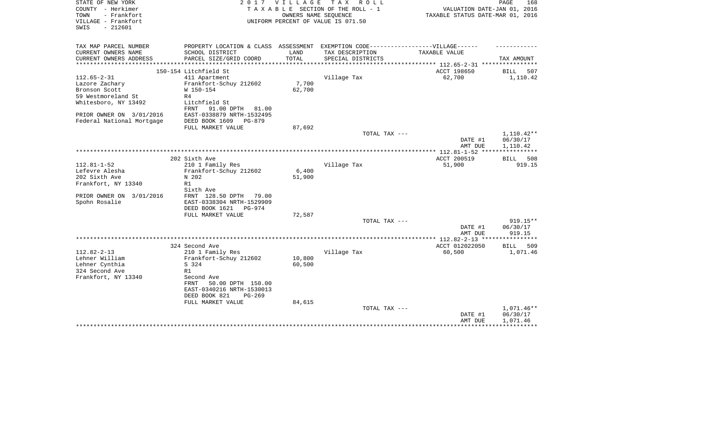| STATE OF NEW YORK                          | 2017                                                                              | V I L L A G E | T A X<br>R O L L                   |                                                           | PAGE<br>168        |
|--------------------------------------------|-----------------------------------------------------------------------------------|---------------|------------------------------------|-----------------------------------------------------------|--------------------|
| COUNTY - Herkimer                          |                                                                                   |               | TAXABLE SECTION OF THE ROLL - 1    | VALUATION DATE-JAN 01, 2016                               |                    |
| - Frankfort<br>TOWN                        |                                                                                   |               | OWNERS NAME SEQUENCE               | TAXABLE STATUS DATE-MAR 01, 2016                          |                    |
| VILLAGE - Frankfort                        |                                                                                   |               | UNIFORM PERCENT OF VALUE IS 071.50 |                                                           |                    |
| $-212601$<br>SWIS                          |                                                                                   |               |                                    |                                                           |                    |
|                                            |                                                                                   |               |                                    |                                                           |                    |
| TAX MAP PARCEL NUMBER                      | PROPERTY LOCATION & CLASS ASSESSMENT EXEMPTION CODE-----------------VILLAGE------ |               |                                    |                                                           |                    |
| CURRENT OWNERS NAME                        | SCHOOL DISTRICT                                                                   | LAND          | TAX DESCRIPTION                    | TAXABLE VALUE                                             |                    |
| CURRENT OWNERS ADDRESS                     | PARCEL SIZE/GRID COORD                                                            | TOTAL         | SPECIAL DISTRICTS                  |                                                           | TAX AMOUNT         |
| **********************                     |                                                                                   |               |                                    | **************************** 112.65-2-31 **************** |                    |
|                                            | 150-154 Litchfield St                                                             |               |                                    | ACCT 198650                                               | 507<br>BILL        |
| $112.65 - 2 - 31$                          | 411 Apartment                                                                     |               | Village Tax                        | 62,700                                                    | 1,110.42           |
| Lazore Zachary                             | Frankfort-Schuy 212602                                                            | 7,700         |                                    |                                                           |                    |
| Bronson Scott                              | W 150-154                                                                         | 62,700        |                                    |                                                           |                    |
| 59 Westmoreland St<br>Whitesboro, NY 13492 | R4<br>Litchfield St                                                               |               |                                    |                                                           |                    |
|                                            | FRNT<br>91.00 DPTH<br>81.00                                                       |               |                                    |                                                           |                    |
| PRIOR OWNER ON 3/01/2016                   | EAST-0338879 NRTH-1532495                                                         |               |                                    |                                                           |                    |
| Federal National Mortgage                  | DEED BOOK 1609<br>$PG-879$                                                        |               |                                    |                                                           |                    |
|                                            | FULL MARKET VALUE                                                                 | 87,692        |                                    |                                                           |                    |
|                                            |                                                                                   |               | TOTAL TAX ---                      |                                                           | 1,110.42**         |
|                                            |                                                                                   |               |                                    | DATE #1                                                   | 06/30/17           |
|                                            |                                                                                   |               |                                    | AMT DUE                                                   | 1,110.42           |
|                                            |                                                                                   |               |                                    |                                                           |                    |
|                                            | 202 Sixth Ave                                                                     |               |                                    | ACCT 200519                                               | BILL 508           |
| $112.81 - 1 - 52$                          | 210 1 Family Res                                                                  |               | Village Tax                        | 51,900                                                    | 919.15             |
| Lefevre Alesha                             | Frankfort-Schuy 212602                                                            | 6,400         |                                    |                                                           |                    |
| 202 Sixth Ave                              | N 202                                                                             | 51,900        |                                    |                                                           |                    |
| Frankfort, NY 13340                        | R1                                                                                |               |                                    |                                                           |                    |
|                                            | Sixth Ave                                                                         |               |                                    |                                                           |                    |
| PRIOR OWNER ON 3/01/2016                   | FRNT 128.50 DPTH<br>79.00                                                         |               |                                    |                                                           |                    |
| Spohn Rosalie                              | EAST-0338304 NRTH-1529909                                                         |               |                                    |                                                           |                    |
|                                            | DEED BOOK 1621<br>PG-974                                                          |               |                                    |                                                           |                    |
|                                            | FULL MARKET VALUE                                                                 | 72,587        |                                    |                                                           |                    |
|                                            |                                                                                   |               | TOTAL TAX ---                      |                                                           | $919.15**$         |
|                                            |                                                                                   |               |                                    | DATE #1                                                   | 06/30/17<br>919.15 |
|                                            |                                                                                   |               |                                    | AMT DUE<br>************* 112.82-2-13 *****************    |                    |
|                                            | 324 Second Ave                                                                    |               |                                    | ACCT 012022050                                            | BILL<br>509        |
| $112.82 - 2 - 13$                          | 210 1 Family Res                                                                  |               | Village Tax                        | 60,500                                                    | 1,071.46           |
| Lehner William                             | Frankfort-Schuy 212602                                                            | 10,800        |                                    |                                                           |                    |
| Lehner Cynthia                             | S 324                                                                             | 60,500        |                                    |                                                           |                    |
| 324 Second Ave                             | R1                                                                                |               |                                    |                                                           |                    |
| Frankfort, NY 13340                        | Second Ave                                                                        |               |                                    |                                                           |                    |
|                                            | 50.00 DPTH 150.00<br>FRNT                                                         |               |                                    |                                                           |                    |
|                                            | EAST-0340216 NRTH-1530013                                                         |               |                                    |                                                           |                    |
|                                            | DEED BOOK 821<br>$PG-269$                                                         |               |                                    |                                                           |                    |
|                                            | FULL MARKET VALUE                                                                 | 84,615        |                                    |                                                           |                    |
|                                            |                                                                                   |               | TOTAL TAX ---                      |                                                           | 1,071.46**         |
|                                            |                                                                                   |               |                                    | DATE #1                                                   | 06/30/17           |
|                                            |                                                                                   |               |                                    | AMT DUE                                                   | 1,071.46           |
|                                            |                                                                                   |               |                                    |                                                           |                    |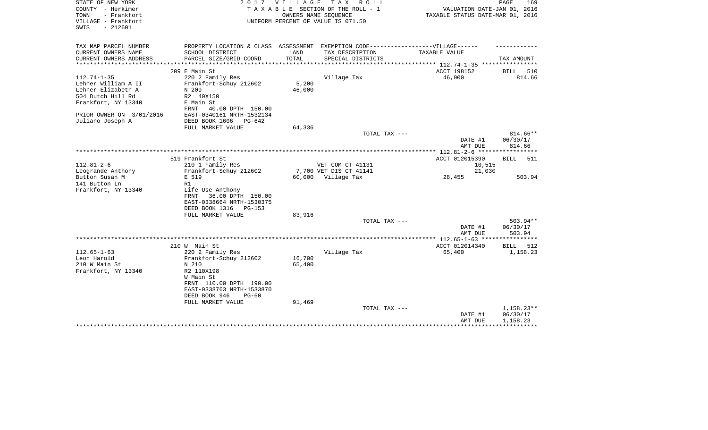| STATE OF NEW YORK<br>COUNTY - Herkimer<br>- Frankfort<br>TOWN<br>VILLAGE - Frankfort<br>$-212601$<br>SWIS | 2017                                                                              | VILLAGE | TAX ROLL<br>TAXABLE SECTION OF THE ROLL - 1<br>OWNERS NAME SEOUENCE<br>UNIFORM PERCENT OF VALUE IS 071.50 | VALUATION DATE-JAN 01, 2016<br>TAXABLE STATUS DATE-MAR 01, 2016 | PAGE<br>169          |
|-----------------------------------------------------------------------------------------------------------|-----------------------------------------------------------------------------------|---------|-----------------------------------------------------------------------------------------------------------|-----------------------------------------------------------------|----------------------|
| TAX MAP PARCEL NUMBER                                                                                     | PROPERTY LOCATION & CLASS ASSESSMENT EXEMPTION CODE-----------------VILLAGE------ |         |                                                                                                           |                                                                 |                      |
| CURRENT OWNERS NAME                                                                                       | SCHOOL DISTRICT                                                                   | LAND    | TAX DESCRIPTION                                                                                           | TAXABLE VALUE                                                   |                      |
| CURRENT OWNERS ADDRESS<br>*********************                                                           | PARCEL SIZE/GRID COORD                                                            | TOTAL   | SPECIAL DISTRICTS                                                                                         | ***************** 112.74-1-35 *****************                 | TAX AMOUNT           |
|                                                                                                           | 209 E Main St                                                                     |         |                                                                                                           | ACCT 198152                                                     | BILL<br>510          |
| $112.74 - 1 - 35$                                                                                         | 220 2 Family Res                                                                  |         | Village Tax                                                                                               | 46,000                                                          | 814.66               |
| Lehner William A II                                                                                       | Frankfort-Schuy 212602                                                            | 5,200   |                                                                                                           |                                                                 |                      |
| Lehner Elizabeth A                                                                                        | N 209                                                                             | 46,000  |                                                                                                           |                                                                 |                      |
| 504 Dutch Hill Rd                                                                                         | R2 40X150                                                                         |         |                                                                                                           |                                                                 |                      |
| Frankfort, NY 13340                                                                                       | E Main St                                                                         |         |                                                                                                           |                                                                 |                      |
|                                                                                                           | 40.00 DPTH 150.00<br>FRNT                                                         |         |                                                                                                           |                                                                 |                      |
| PRIOR OWNER ON 3/01/2016                                                                                  | EAST-0340161 NRTH-1532134                                                         |         |                                                                                                           |                                                                 |                      |
| Juliano Joseph A                                                                                          | DEED BOOK 1606<br>$PG-642$                                                        |         |                                                                                                           |                                                                 |                      |
|                                                                                                           | FULL MARKET VALUE                                                                 | 64,336  |                                                                                                           |                                                                 |                      |
|                                                                                                           |                                                                                   |         | TOTAL TAX ---                                                                                             | DATE #1                                                         | 814.66**<br>06/30/17 |
|                                                                                                           |                                                                                   |         |                                                                                                           | AMT DUE                                                         | 814.66               |
|                                                                                                           |                                                                                   |         |                                                                                                           |                                                                 |                      |
|                                                                                                           | 519 Frankfort St                                                                  |         |                                                                                                           | ACCT 012015390                                                  | <b>BILL</b><br>511   |
| $112.81 - 2 - 6$                                                                                          | 210 1 Family Res                                                                  |         | VET COM CT 41131                                                                                          | 10,515                                                          |                      |
| Leogrande Anthony                                                                                         | Frankfort-Schuy 212602                                                            |         | 7,700 VET DIS CT 41141                                                                                    | 21,030                                                          |                      |
| Button Susan M                                                                                            | E 519                                                                             |         | 60,000 Village Tax                                                                                        | 28,455                                                          | 503.94               |
| 141 Button Ln                                                                                             | R1                                                                                |         |                                                                                                           |                                                                 |                      |
| Frankfort, NY 13340                                                                                       | Life Use Anthony                                                                  |         |                                                                                                           |                                                                 |                      |
|                                                                                                           | 36.00 DPTH 150.00<br>FRNT<br>EAST-0338664 NRTH-1530375                            |         |                                                                                                           |                                                                 |                      |
|                                                                                                           | DEED BOOK 1316<br><b>PG-153</b>                                                   |         |                                                                                                           |                                                                 |                      |
|                                                                                                           | FULL MARKET VALUE                                                                 | 83,916  |                                                                                                           |                                                                 |                      |
|                                                                                                           |                                                                                   |         | TOTAL TAX ---                                                                                             |                                                                 | $503.94**$           |
|                                                                                                           |                                                                                   |         |                                                                                                           | DATE #1                                                         | 06/30/17             |
|                                                                                                           |                                                                                   |         |                                                                                                           | AMT DUE                                                         | 503.94               |
|                                                                                                           |                                                                                   |         |                                                                                                           |                                                                 |                      |
|                                                                                                           | 210 W Main St                                                                     |         |                                                                                                           | ACCT 012014340                                                  | BILL<br>512          |
| $112.65 - 1 - 63$                                                                                         | 220 2 Family Res                                                                  |         | Village Tax                                                                                               | 65,400                                                          | 1,158.23             |
| Leon Harold                                                                                               | Frankfort-Schuy 212602                                                            | 16,700  |                                                                                                           |                                                                 |                      |
| 210 W Main St                                                                                             | N 210                                                                             | 65,400  |                                                                                                           |                                                                 |                      |
| Frankfort, NY 13340                                                                                       | R2 110X198<br>W Main St                                                           |         |                                                                                                           |                                                                 |                      |
|                                                                                                           | FRNT 110.00 DPTH 190.00                                                           |         |                                                                                                           |                                                                 |                      |
|                                                                                                           | EAST-0338763 NRTH-1533870                                                         |         |                                                                                                           |                                                                 |                      |
|                                                                                                           | DEED BOOK 946<br>$PG-60$                                                          |         |                                                                                                           |                                                                 |                      |
|                                                                                                           | FULL MARKET VALUE                                                                 | 91,469  |                                                                                                           |                                                                 |                      |
|                                                                                                           |                                                                                   |         | TOTAL TAX ---                                                                                             |                                                                 | 1,158.23**           |
|                                                                                                           |                                                                                   |         |                                                                                                           | DATE #1                                                         | 06/30/17             |
|                                                                                                           |                                                                                   |         |                                                                                                           | AMT DUE                                                         | 1,158.23             |
|                                                                                                           |                                                                                   |         |                                                                                                           |                                                                 |                      |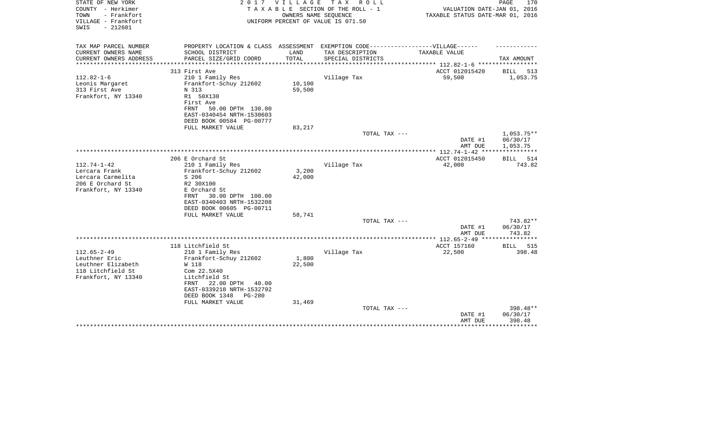| STATE OF NEW YORK<br>COUNTY - Herkimer                          | 2017                                                                              | V I L L A G E | TAX ROLL<br>TAXABLE SECTION OF THE ROLL - 1                | VALUATION DATE-JAN 01, 2016                                                 | PAGE<br>170           |
|-----------------------------------------------------------------|-----------------------------------------------------------------------------------|---------------|------------------------------------------------------------|-----------------------------------------------------------------------------|-----------------------|
| TOWN<br>- Frankfort<br>VILLAGE - Frankfort<br>$-212601$<br>SWIS |                                                                                   |               | OWNERS NAME SEQUENCE<br>UNIFORM PERCENT OF VALUE IS 071.50 | TAXABLE STATUS DATE-MAR 01, 2016                                            |                       |
| TAX MAP PARCEL NUMBER                                           | PROPERTY LOCATION & CLASS ASSESSMENT EXEMPTION CODE-----------------VILLAGE------ |               |                                                            |                                                                             |                       |
| CURRENT OWNERS NAME                                             | SCHOOL DISTRICT                                                                   | LAND          | TAX DESCRIPTION                                            | TAXABLE VALUE                                                               |                       |
| CURRENT OWNERS ADDRESS<br>*********************                 | PARCEL SIZE/GRID COORD                                                            | TOTAL         | SPECIAL DISTRICTS                                          |                                                                             | TAX AMOUNT            |
|                                                                 | 313 First Ave                                                                     |               |                                                            | **************************** 112.82-1-6 *****************<br>ACCT 012015420 | 513<br>BILL           |
| $112.82 - 1 - 6$                                                | 210 1 Family Res                                                                  |               | Village Tax                                                | 59,500                                                                      | 1,053.75              |
| Leonis Margaret                                                 | Frankfort-Schuy 212602                                                            | 10,100        |                                                            |                                                                             |                       |
| 313 First Ave                                                   | N 313                                                                             | 59,500        |                                                            |                                                                             |                       |
| Frankfort, NY 13340                                             | R1 50X130                                                                         |               |                                                            |                                                                             |                       |
|                                                                 | First Ave                                                                         |               |                                                            |                                                                             |                       |
|                                                                 | FRNT<br>50.00 DPTH 130.00                                                         |               |                                                            |                                                                             |                       |
|                                                                 | EAST-0340454 NRTH-1530603                                                         |               |                                                            |                                                                             |                       |
|                                                                 | DEED BOOK 00584 PG-00777                                                          |               |                                                            |                                                                             |                       |
|                                                                 | FULL MARKET VALUE                                                                 | 83,217        | TOTAL TAX ---                                              |                                                                             | $1,053.75**$          |
|                                                                 |                                                                                   |               |                                                            | DATE #1                                                                     | 06/30/17              |
|                                                                 |                                                                                   |               |                                                            | AMT DUE                                                                     | 1,053.75              |
|                                                                 |                                                                                   |               |                                                            |                                                                             |                       |
|                                                                 | 206 E Orchard St                                                                  |               |                                                            | ACCT 012015450                                                              | BILL 514              |
| $112.74 - 1 - 42$                                               | 210 1 Family Res                                                                  |               | Village Tax                                                | 42,000                                                                      | 743.82                |
| Lercara Frank                                                   | Frankfort-Schuy 212602                                                            | 3,200         |                                                            |                                                                             |                       |
| Lercara Carmelita                                               | S 206                                                                             | 42,000        |                                                            |                                                                             |                       |
| 206 E Orchard St                                                | R2 30X100                                                                         |               |                                                            |                                                                             |                       |
| Frankfort, NY 13340                                             | E Orchard St<br>30.00 DPTH 100.00<br>FRNT                                         |               |                                                            |                                                                             |                       |
|                                                                 | EAST-0340403 NRTH-1532208                                                         |               |                                                            |                                                                             |                       |
|                                                                 | DEED BOOK 00605 PG-00711                                                          |               |                                                            |                                                                             |                       |
|                                                                 | FULL MARKET VALUE                                                                 | 58,741        |                                                            |                                                                             |                       |
|                                                                 |                                                                                   |               | TOTAL TAX ---                                              |                                                                             | 743.82**              |
|                                                                 |                                                                                   |               |                                                            | DATE #1                                                                     | 06/30/17              |
|                                                                 |                                                                                   |               |                                                            | AMT DUE                                                                     | 743.82                |
|                                                                 |                                                                                   |               |                                                            |                                                                             |                       |
| $112.65 - 2 - 49$                                               | 118 Litchfield St<br>210 1 Family Res                                             |               | Village Tax                                                | ACCT 157160<br>22,500                                                       | BILL<br>515<br>398.48 |
| Leuthner Eric                                                   | Frankfort-Schuy 212602                                                            | 1,800         |                                                            |                                                                             |                       |
| Leuthner Elizabeth                                              | W 118                                                                             | 22,500        |                                                            |                                                                             |                       |
| 118 Litchfield St                                               | Com 22.5X40                                                                       |               |                                                            |                                                                             |                       |
| Frankfort, NY 13340                                             | Litchfield St                                                                     |               |                                                            |                                                                             |                       |
|                                                                 | 22.00 DPTH<br>40.00<br>FRNT                                                       |               |                                                            |                                                                             |                       |
|                                                                 | EAST-0339218 NRTH-1532792                                                         |               |                                                            |                                                                             |                       |
|                                                                 | DEED BOOK 1348<br>$PG - 280$                                                      |               |                                                            |                                                                             |                       |
|                                                                 | FULL MARKET VALUE                                                                 | 31,469        |                                                            |                                                                             |                       |
|                                                                 |                                                                                   |               | TOTAL TAX ---                                              |                                                                             | 398.48**<br>06/30/17  |
|                                                                 |                                                                                   |               |                                                            | DATE #1<br>AMT DUE                                                          | 398.48                |
|                                                                 |                                                                                   |               |                                                            |                                                                             | *******               |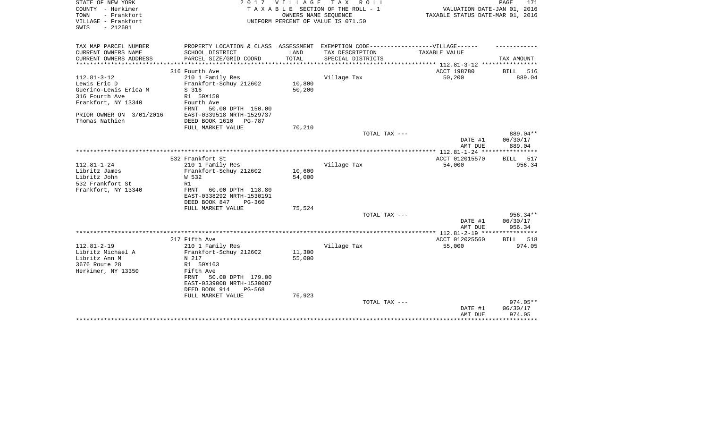| STATE OF NEW YORK<br>COUNTY - Herkimer<br>TOWN<br>- Frankfort<br>VILLAGE - Frankfort<br>$-212601$<br>SWIS | 2 0 1 7                                                                           | <b>VILLAGE</b> | T A X<br>R O L L<br>TAXABLE SECTION OF THE ROLL - 1<br>OWNERS NAME SEQUENCE<br>UNIFORM PERCENT OF VALUE IS 071.50 | VALUATION DATE-JAN 01, 2016<br>TAXABLE STATUS DATE-MAR 01, 2016 | 171<br>PAGE        |
|-----------------------------------------------------------------------------------------------------------|-----------------------------------------------------------------------------------|----------------|-------------------------------------------------------------------------------------------------------------------|-----------------------------------------------------------------|--------------------|
| TAX MAP PARCEL NUMBER                                                                                     | PROPERTY LOCATION & CLASS ASSESSMENT EXEMPTION CODE-----------------VILLAGE------ |                |                                                                                                                   |                                                                 |                    |
| CURRENT OWNERS NAME<br>CURRENT OWNERS ADDRESS                                                             | SCHOOL DISTRICT                                                                   | LAND<br>TOTAL  | TAX DESCRIPTION                                                                                                   | TAXABLE VALUE                                                   |                    |
| **********************                                                                                    | PARCEL SIZE/GRID COORD<br>*************************                               |                | SPECIAL DISTRICTS                                                                                                 |                                                                 | TAX AMOUNT         |
|                                                                                                           | 316 Fourth Ave                                                                    |                |                                                                                                                   | ACCT 198780                                                     | <b>BILL</b><br>516 |
| $112.81 - 3 - 12$                                                                                         | 210 1 Family Res                                                                  |                | Village Tax                                                                                                       | 50,200                                                          | 889.04             |
| Lewis Eric D                                                                                              | Frankfort-Schuy 212602                                                            | 10,800         |                                                                                                                   |                                                                 |                    |
| Guerino-Lewis Erica M                                                                                     | S 316                                                                             | 50,200         |                                                                                                                   |                                                                 |                    |
| 316 Fourth Ave                                                                                            | R1 50X150                                                                         |                |                                                                                                                   |                                                                 |                    |
| Frankfort, NY 13340                                                                                       | Fourth Ave                                                                        |                |                                                                                                                   |                                                                 |                    |
|                                                                                                           | 50.00 DPTH 150.00<br>FRNT                                                         |                |                                                                                                                   |                                                                 |                    |
| PRIOR OWNER ON 3/01/2016                                                                                  | EAST-0339518 NRTH-1529737                                                         |                |                                                                                                                   |                                                                 |                    |
| Thomas Nathien                                                                                            | DEED BOOK 1610<br><b>PG-787</b>                                                   |                |                                                                                                                   |                                                                 |                    |
|                                                                                                           | FULL MARKET VALUE                                                                 | 70,210         | TOTAL TAX ---                                                                                                     |                                                                 | 889.04**           |
|                                                                                                           |                                                                                   |                |                                                                                                                   | DATE #1<br>AMT DUE                                              | 06/30/17<br>889.04 |
|                                                                                                           |                                                                                   |                |                                                                                                                   |                                                                 | *********          |
|                                                                                                           | 532 Frankfort St                                                                  |                |                                                                                                                   | ACCT 012015570                                                  | 517<br>BILL        |
| $112.81 - 1 - 24$                                                                                         | 210 1 Family Res                                                                  |                | Village Tax                                                                                                       | 54,000                                                          | 956.34             |
| Libritz James                                                                                             | Frankfort-Schuy 212602                                                            | 10,600         |                                                                                                                   |                                                                 |                    |
| Libritz John                                                                                              | W 532                                                                             | 54,000         |                                                                                                                   |                                                                 |                    |
| 532 Frankfort St                                                                                          | R1                                                                                |                |                                                                                                                   |                                                                 |                    |
| Frankfort, NY 13340                                                                                       | FRNT<br>60.00 DPTH 118.80                                                         |                |                                                                                                                   |                                                                 |                    |
|                                                                                                           | EAST-0338292 NRTH-1530191<br>DEED BOOK 847<br>$PG-360$                            |                |                                                                                                                   |                                                                 |                    |
|                                                                                                           | FULL MARKET VALUE                                                                 | 75,524         |                                                                                                                   |                                                                 |                    |
|                                                                                                           |                                                                                   |                | TOTAL TAX ---                                                                                                     |                                                                 | 956.34**           |
|                                                                                                           |                                                                                   |                |                                                                                                                   | DATE #1<br>AMT DUE                                              | 06/30/17<br>956.34 |
|                                                                                                           |                                                                                   |                |                                                                                                                   |                                                                 |                    |
|                                                                                                           | 217 Fifth Ave                                                                     |                |                                                                                                                   | ACCT 012025560                                                  | 518<br><b>BILL</b> |
| $112.81 - 2 - 19$                                                                                         | 210 1 Family Res                                                                  |                | Village Tax                                                                                                       | 55,000                                                          | 974.05             |
| Libritz Michael A                                                                                         | Frankfort-Schuy 212602                                                            | 11,300         |                                                                                                                   |                                                                 |                    |
| Libritz Ann M                                                                                             | N 217                                                                             | 55,000         |                                                                                                                   |                                                                 |                    |
| 3676 Route 28                                                                                             | R1 50X163                                                                         |                |                                                                                                                   |                                                                 |                    |
| Herkimer, NY 13350                                                                                        | Fifth Ave                                                                         |                |                                                                                                                   |                                                                 |                    |
|                                                                                                           | 50.00 DPTH 179.00<br>FRNT<br>EAST-0339008 NRTH-1530087                            |                |                                                                                                                   |                                                                 |                    |
|                                                                                                           | DEED BOOK 914<br>PG-568                                                           |                |                                                                                                                   |                                                                 |                    |
|                                                                                                           | FULL MARKET VALUE                                                                 | 76,923         |                                                                                                                   |                                                                 |                    |
|                                                                                                           |                                                                                   |                | TOTAL TAX ---                                                                                                     |                                                                 | 974.05**           |
|                                                                                                           |                                                                                   |                |                                                                                                                   | DATE #1                                                         | 06/30/17           |
|                                                                                                           |                                                                                   |                |                                                                                                                   | AMT DUE                                                         | 974.05             |
|                                                                                                           |                                                                                   |                |                                                                                                                   |                                                                 | ********           |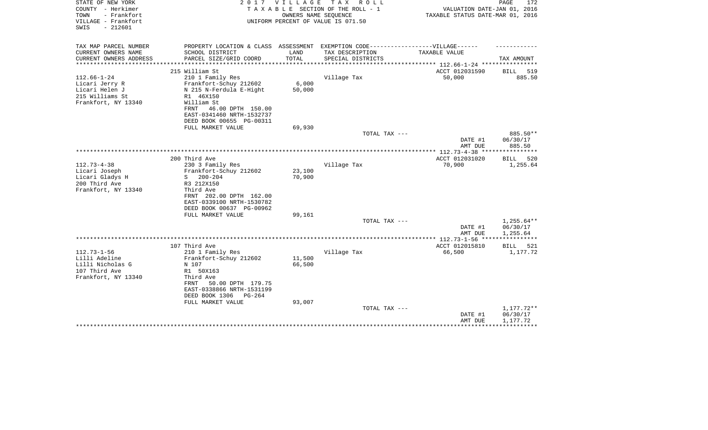| STATE OF NEW YORK<br>COUNTY - Herkimer<br>- Frankfort<br>TOWN<br>VILLAGE - Frankfort<br>$-212601$<br>SWIS | 2017                                                                              | <b>VILLAGE</b> | T A X<br>R O L L<br>TAXABLE SECTION OF THE ROLL - 1<br>OWNERS NAME SEQUENCE<br>UNIFORM PERCENT OF VALUE IS 071.50 | VALUATION DATE-JAN 01, 2016<br>TAXABLE STATUS DATE-MAR 01, 2016 | PAGE<br>172          |
|-----------------------------------------------------------------------------------------------------------|-----------------------------------------------------------------------------------|----------------|-------------------------------------------------------------------------------------------------------------------|-----------------------------------------------------------------|----------------------|
| TAX MAP PARCEL NUMBER                                                                                     | PROPERTY LOCATION & CLASS ASSESSMENT EXEMPTION CODE-----------------VILLAGE------ |                |                                                                                                                   |                                                                 |                      |
| CURRENT OWNERS NAME<br>CURRENT OWNERS ADDRESS<br>**********************                                   | SCHOOL DISTRICT<br>PARCEL SIZE/GRID COORD                                         | LAND<br>TOTAL  | TAX DESCRIPTION<br>SPECIAL DISTRICTS                                                                              | TAXABLE VALUE                                                   | TAX AMOUNT           |
|                                                                                                           | 215 William St                                                                    |                |                                                                                                                   | ACCT 012031590                                                  | BILL<br>519          |
| $112.66 - 1 - 24$                                                                                         | 210 1 Family Res                                                                  |                | Village Tax                                                                                                       | 50,000                                                          | 885.50               |
| Licari Jerry R                                                                                            | Frankfort-Schuy 212602                                                            | 6,000          |                                                                                                                   |                                                                 |                      |
| Licari Helen J                                                                                            | N 215 N-Ferdula E-Hight                                                           | 50,000         |                                                                                                                   |                                                                 |                      |
| 215 Williams St                                                                                           | R1 46X150                                                                         |                |                                                                                                                   |                                                                 |                      |
| Frankfort, NY 13340                                                                                       | William St                                                                        |                |                                                                                                                   |                                                                 |                      |
|                                                                                                           | 46.00 DPTH 150.00<br>FRNT                                                         |                |                                                                                                                   |                                                                 |                      |
|                                                                                                           | EAST-0341460 NRTH-1532737                                                         |                |                                                                                                                   |                                                                 |                      |
|                                                                                                           | DEED BOOK 00655 PG-00311                                                          |                |                                                                                                                   |                                                                 |                      |
|                                                                                                           | FULL MARKET VALUE                                                                 | 69,930         |                                                                                                                   |                                                                 |                      |
|                                                                                                           |                                                                                   |                | TOTAL TAX ---                                                                                                     | DATE #1                                                         | 885.50**<br>06/30/17 |
|                                                                                                           |                                                                                   |                |                                                                                                                   | AMT DUE                                                         | 885.50               |
|                                                                                                           |                                                                                   |                |                                                                                                                   |                                                                 |                      |
|                                                                                                           | 200 Third Ave                                                                     |                |                                                                                                                   | ACCT 012031020                                                  | 520<br>BILL          |
| $112.73 - 4 - 38$                                                                                         | 230 3 Family Res                                                                  |                | Village Tax                                                                                                       | 70,900                                                          | 1,255.64             |
| Licari Joseph                                                                                             | Frankfort-Schuy 212602                                                            | 23,100         |                                                                                                                   |                                                                 |                      |
| Licari Gladys H                                                                                           | $200 - 204$<br>S.                                                                 | 70,900         |                                                                                                                   |                                                                 |                      |
| 200 Third Ave                                                                                             | R3 212X150                                                                        |                |                                                                                                                   |                                                                 |                      |
| Frankfort, NY 13340                                                                                       | Third Ave                                                                         |                |                                                                                                                   |                                                                 |                      |
|                                                                                                           | FRNT 202.00 DPTH 162.00                                                           |                |                                                                                                                   |                                                                 |                      |
|                                                                                                           | EAST-0339100 NRTH-1530782                                                         |                |                                                                                                                   |                                                                 |                      |
|                                                                                                           | DEED BOOK 00637 PG-00962<br>FULL MARKET VALUE                                     | 99,161         |                                                                                                                   |                                                                 |                      |
|                                                                                                           |                                                                                   |                | TOTAL TAX ---                                                                                                     |                                                                 | 1,255.64**           |
|                                                                                                           |                                                                                   |                |                                                                                                                   | DATE #1                                                         | 06/30/17             |
|                                                                                                           |                                                                                   |                |                                                                                                                   | AMT DUE                                                         | 1,255.64             |
|                                                                                                           |                                                                                   |                |                                                                                                                   |                                                                 |                      |
|                                                                                                           | 107 Third Ave                                                                     |                |                                                                                                                   | ACCT 012015810                                                  | BILL<br>521          |
| $112.73 - 1 - 56$                                                                                         | 210 1 Family Res                                                                  |                | Village Tax                                                                                                       | 66,500                                                          | 1,177.72             |
| Lilli Adeline                                                                                             | Frankfort-Schuy 212602                                                            | 11,500         |                                                                                                                   |                                                                 |                      |
| Lilli Nicholas G                                                                                          | N 107                                                                             | 66,500         |                                                                                                                   |                                                                 |                      |
| 107 Third Ave                                                                                             | R1 50X163                                                                         |                |                                                                                                                   |                                                                 |                      |
| Frankfort, NY 13340                                                                                       | Third Ave                                                                         |                |                                                                                                                   |                                                                 |                      |
|                                                                                                           | 50.00 DPTH 179.75<br>FRNT<br>EAST-0338866 NRTH-1531199                            |                |                                                                                                                   |                                                                 |                      |
|                                                                                                           | DEED BOOK 1306<br>$PG-264$                                                        |                |                                                                                                                   |                                                                 |                      |
|                                                                                                           | FULL MARKET VALUE                                                                 | 93,007         |                                                                                                                   |                                                                 |                      |
|                                                                                                           |                                                                                   |                | TOTAL TAX ---                                                                                                     |                                                                 | 1,177.72**           |
|                                                                                                           |                                                                                   |                |                                                                                                                   | DATE #1                                                         | 06/30/17             |
|                                                                                                           |                                                                                   |                |                                                                                                                   | AMT DUE                                                         | 1,177.72             |
|                                                                                                           |                                                                                   |                |                                                                                                                   |                                                                 |                      |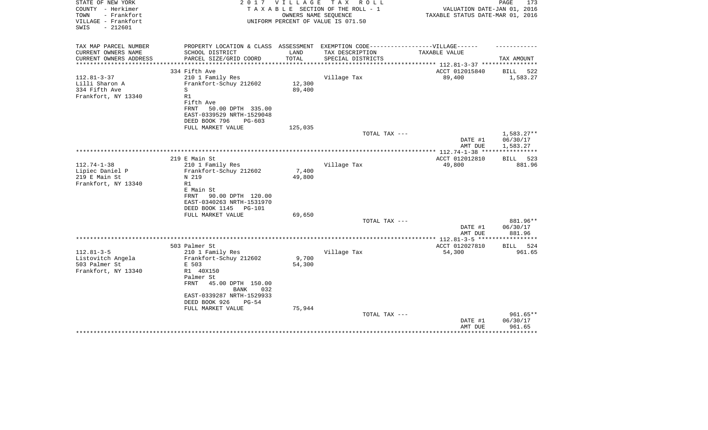| STATE OF NEW YORK<br>COUNTY - Herkimer<br>- Frankfort<br>TOWN<br>VILLAGE - Frankfort<br>$-212601$<br>SWIS | 2 0 1 7                                                                                                                                                                       | V I L L A G E    | TAX ROLL<br>TAXABLE SECTION OF THE ROLL - 1<br>OWNERS NAME SEQUENCE<br>UNIFORM PERCENT OF VALUE IS 071.50 | VALUATION DATE-JAN 01, 2016<br>TAXABLE STATUS DATE-MAR 01, 2016 | 173<br>PAGE                        |
|-----------------------------------------------------------------------------------------------------------|-------------------------------------------------------------------------------------------------------------------------------------------------------------------------------|------------------|-----------------------------------------------------------------------------------------------------------|-----------------------------------------------------------------|------------------------------------|
| TAX MAP PARCEL NUMBER<br>CURRENT OWNERS NAME<br>CURRENT OWNERS ADDRESS                                    | PROPERTY LOCATION & CLASS ASSESSMENT EXEMPTION CODE----------------VILLAGE------<br>SCHOOL DISTRICT<br>PARCEL SIZE/GRID COORD                                                 | LAND<br>TOTAL    | TAX DESCRIPTION<br>SPECIAL DISTRICTS                                                                      | TAXABLE VALUE                                                   | TAX AMOUNT                         |
|                                                                                                           |                                                                                                                                                                               | *************    |                                                                                                           | ****************** 112.81-3-37 **********                       |                                    |
| $112.81 - 3 - 37$<br>Lilli Sharon A<br>334 Fifth Ave<br>Frankfort, NY 13340                               | 334 Fifth Ave<br>210 1 Family Res<br>Frankfort-Schuy 212602<br>S<br>R1<br>Fifth Ave<br>FRNT<br>50.00 DPTH 335.00<br>EAST-0339529 NRTH-1529048<br>DEED BOOK 796<br>$PG-603$    | 12,300<br>89,400 | Village Tax                                                                                               | ACCT 012015840<br>89,400                                        | <b>BILL</b><br>522<br>1,583.27     |
|                                                                                                           | FULL MARKET VALUE                                                                                                                                                             | 125,035          |                                                                                                           |                                                                 |                                    |
|                                                                                                           |                                                                                                                                                                               |                  | TOTAL TAX ---                                                                                             | DATE #1<br>AMT DUE                                              | 1,583.27**<br>06/30/17<br>1,583.27 |
|                                                                                                           |                                                                                                                                                                               |                  |                                                                                                           | ************** 112.74-1-38 **                                   | ***********                        |
| $112.74 - 1 - 38$<br>Lipiec Daniel P<br>219 E Main St<br>Frankfort, NY 13340                              | 219 E Main St<br>210 1 Family Res<br>Frankfort-Schuy 212602<br>N 219<br>R1<br>E Main St<br>90.00 DPTH 120.00<br>FRNT<br>EAST-0340263 NRTH-1531970<br>DEED BOOK 1145<br>PG-101 | 7,400<br>49,800  | Village Tax                                                                                               | ACCT 012012810<br>49,800                                        | BILL 523<br>881.96                 |
|                                                                                                           | FULL MARKET VALUE                                                                                                                                                             | 69,650           |                                                                                                           |                                                                 |                                    |
|                                                                                                           |                                                                                                                                                                               |                  | TOTAL TAX ---                                                                                             | DATE #1<br>AMT DUE                                              | 881.96**<br>06/30/17<br>881.96     |
|                                                                                                           |                                                                                                                                                                               |                  |                                                                                                           |                                                                 |                                    |
| $112.81 - 3 - 5$<br>Listovitch Angela<br>503 Palmer St<br>Frankfort, NY 13340                             | 503 Palmer St<br>210 1 Family Res<br>Frankfort-Schuy 212602<br>E 503<br>R1 40X150<br>Palmer St<br>FRNT<br>45.00 DPTH 150.00<br><b>BANK</b><br>032                             | 9,700<br>54,300  | Village Tax                                                                                               | ACCT 012027810<br>54,300                                        | 524<br>BILL<br>961.65              |
|                                                                                                           | EAST-0339287 NRTH-1529933<br>DEED BOOK 926<br>$PG-54$<br>FULL MARKET VALUE                                                                                                    | 75,944           | TOTAL TAX ---                                                                                             | DATE #1                                                         | 961.65**<br>06/30/17               |
|                                                                                                           |                                                                                                                                                                               |                  |                                                                                                           | AMT DUE                                                         | 961.65                             |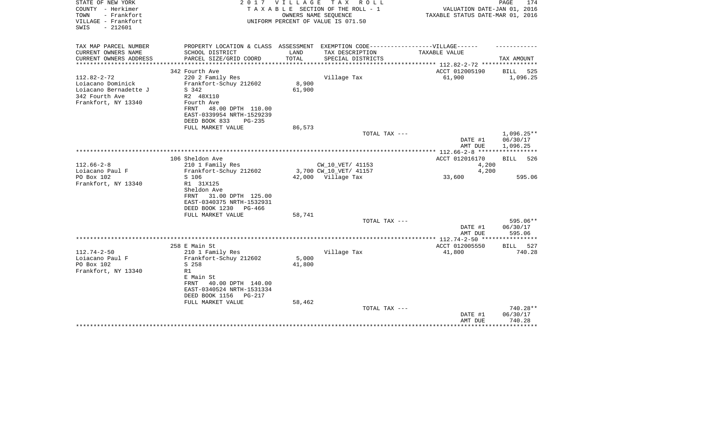| STATE OF NEW YORK<br>COUNTY - Herkimer<br>- Frankfort<br>TOWN<br>VILLAGE - Frankfort<br>$-212601$<br>SWIS |                                                                                                                                                                       | 2017 VILLAGE      | TAX ROLL<br>TAXABLE SECTION OF THE ROLL - 1<br>OWNERS NAME SEOUENCE<br>UNIFORM PERCENT OF VALUE IS 071.50 | VALUATION DATE-JAN 01, 2016<br>TAXABLE STATUS DATE-MAR 01, 2016 | PAGE<br>174                                |
|-----------------------------------------------------------------------------------------------------------|-----------------------------------------------------------------------------------------------------------------------------------------------------------------------|-------------------|-----------------------------------------------------------------------------------------------------------|-----------------------------------------------------------------|--------------------------------------------|
| TAX MAP PARCEL NUMBER                                                                                     | PROPERTY LOCATION & CLASS ASSESSMENT EXEMPTION CODE-----------------VILLAGE------                                                                                     |                   |                                                                                                           |                                                                 |                                            |
| CURRENT OWNERS NAME<br>CURRENT OWNERS ADDRESS                                                             | SCHOOL DISTRICT<br>PARCEL SIZE/GRID COORD                                                                                                                             | LAND<br>TOTAL     | TAX DESCRIPTION<br>SPECIAL DISTRICTS                                                                      | TAXABLE VALUE                                                   | TAX AMOUNT                                 |
| **************                                                                                            | *************************                                                                                                                                             | ***************** |                                                                                                           | *************** 112.82-2-72 *****************                   |                                            |
|                                                                                                           | 342 Fourth Ave                                                                                                                                                        |                   |                                                                                                           | ACCT 012005190                                                  | <b>BILL</b><br>525                         |
| $112.82 - 2 - 72$<br>Loiacano Dominick<br>Loiacano Bernadette J<br>342 Fourth Ave<br>Frankfort, NY 13340  | 220 2 Family Res<br>Frankfort-Schuy 212602<br>S 342<br>R2 48X110<br>Fourth Ave<br>48.00 DPTH 110.00<br>FRNT<br>EAST-0339954 NRTH-1529239<br>DEED BOOK 833<br>$PG-235$ | 8,900<br>61,900   | Village Tax                                                                                               | 61,900                                                          | 1,096.25                                   |
|                                                                                                           | FULL MARKET VALUE                                                                                                                                                     | 86,573            |                                                                                                           |                                                                 |                                            |
|                                                                                                           |                                                                                                                                                                       |                   | TOTAL TAX ---                                                                                             | DATE #1<br>AMT DUE                                              | $1,096.25**$<br>06/30/17<br>1,096.25       |
|                                                                                                           |                                                                                                                                                                       |                   |                                                                                                           |                                                                 |                                            |
| $112.66 - 2 - 8$                                                                                          | 106 Sheldon Ave<br>210 1 Family Res                                                                                                                                   |                   | CW 10 VET/ 41153                                                                                          | ACCT 012016170<br>4,200                                         | 526<br>BILL                                |
| Loiacano Paul F                                                                                           | Frankfort-Schuy 212602                                                                                                                                                |                   | 3,700 CW_10_VET/ 41157                                                                                    | 4,200                                                           |                                            |
| PO Box 102                                                                                                | S 106                                                                                                                                                                 |                   | 42,000 Village Tax                                                                                        | 33,600                                                          | 595.06                                     |
| Frankfort, NY 13340                                                                                       | R1 31X125<br>Sheldon Ave<br>31.00 DPTH 125.00<br>FRNT<br>EAST-0340375 NRTH-1532931<br>DEED BOOK 1230<br>PG-466                                                        |                   |                                                                                                           |                                                                 |                                            |
|                                                                                                           | FULL MARKET VALUE                                                                                                                                                     | 58,741            | TOTAL TAX ---                                                                                             |                                                                 | 595.06**                                   |
|                                                                                                           |                                                                                                                                                                       |                   |                                                                                                           | DATE #1<br>AMT DUE                                              | 06/30/17<br>595.06                         |
|                                                                                                           |                                                                                                                                                                       |                   |                                                                                                           |                                                                 |                                            |
|                                                                                                           | 258 E Main St                                                                                                                                                         |                   |                                                                                                           | ACCT 012005550                                                  | BILL 527                                   |
| $112.74 - 2 - 50$<br>Loiacano Paul F<br>PO Box 102<br>Frankfort, NY 13340                                 | 210 1 Family Res<br>Frankfort-Schuy 212602<br>S 258<br>R1<br>E Main St<br>40.00 DPTH 140.00<br>FRNT<br>EAST-0340524 NRTH-1531334<br>DEED BOOK 1156<br><b>PG-217</b>   | 5,000<br>41,800   | Village Tax                                                                                               | 41,800                                                          | 740.28                                     |
|                                                                                                           | FULL MARKET VALUE                                                                                                                                                     | 58,462            |                                                                                                           |                                                                 |                                            |
|                                                                                                           |                                                                                                                                                                       |                   | TOTAL TAX ---                                                                                             | DATE #1<br>AMT DUE                                              | 740.28**<br>06/30/17<br>740.28<br>******** |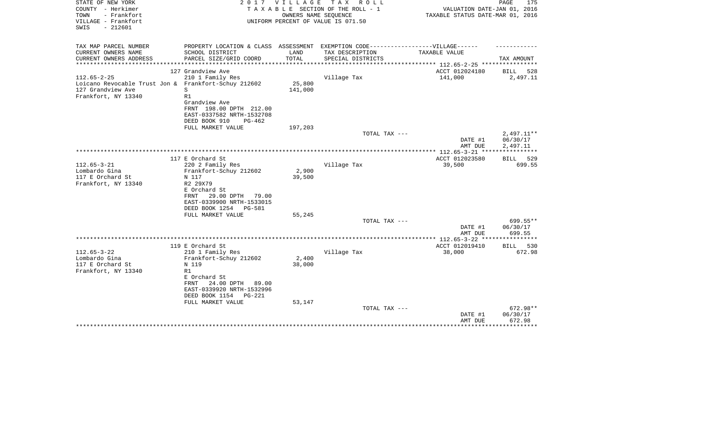| STATE OF NEW YORK<br>COUNTY - Herkimer<br>TOWN<br>- Frankfort | 2017                                                                              | V I L L A G E | T A X<br>R O L L<br>TAXABLE SECTION OF THE ROLL - 1<br>OWNERS NAME SEQUENCE | VALUATION DATE-JAN 01, 2016<br>TAXABLE STATUS DATE-MAR 01, 2016   | PAGE<br>175           |
|---------------------------------------------------------------|-----------------------------------------------------------------------------------|---------------|-----------------------------------------------------------------------------|-------------------------------------------------------------------|-----------------------|
| VILLAGE - Frankfort<br>$-212601$<br>SWIS                      |                                                                                   |               | UNIFORM PERCENT OF VALUE IS 071.50                                          |                                                                   |                       |
| TAX MAP PARCEL NUMBER                                         | PROPERTY LOCATION & CLASS ASSESSMENT EXEMPTION CODE-----------------VILLAGE------ |               |                                                                             |                                                                   |                       |
| CURRENT OWNERS NAME                                           | SCHOOL DISTRICT                                                                   | LAND          | TAX DESCRIPTION                                                             | TAXABLE VALUE                                                     |                       |
| CURRENT OWNERS ADDRESS<br>********************                | PARCEL SIZE/GRID COORD                                                            | TOTAL         | SPECIAL DISTRICTS                                                           |                                                                   | TAX AMOUNT            |
|                                                               | 127 Grandview Ave                                                                 |               |                                                                             | ***************** 112.65-2-25 *****************<br>ACCT 012024180 | BILL<br>528           |
| $112.65 - 2 - 25$                                             | 210 1 Family Res                                                                  |               | Village Tax                                                                 | 141,000                                                           | 2,497.11              |
| Loicano Revocable Trust Jon & Frankfort-Schuy 212602          |                                                                                   | 25,800        |                                                                             |                                                                   |                       |
| 127 Grandview Ave                                             | S                                                                                 | 141,000       |                                                                             |                                                                   |                       |
| Frankfort, NY 13340                                           | R1                                                                                |               |                                                                             |                                                                   |                       |
|                                                               | Grandview Ave                                                                     |               |                                                                             |                                                                   |                       |
|                                                               | FRNT 198.00 DPTH 212.00                                                           |               |                                                                             |                                                                   |                       |
|                                                               | EAST-0337582 NRTH-1532708                                                         |               |                                                                             |                                                                   |                       |
|                                                               | DEED BOOK 910<br>$PG-462$                                                         |               |                                                                             |                                                                   |                       |
|                                                               | FULL MARKET VALUE                                                                 | 197,203       | TOTAL TAX ---                                                               |                                                                   | 2,497.11**            |
|                                                               |                                                                                   |               |                                                                             | DATE #1                                                           | 06/30/17              |
|                                                               |                                                                                   |               |                                                                             | AMT DUE                                                           | 2,497.11              |
|                                                               |                                                                                   |               |                                                                             |                                                                   |                       |
|                                                               | 117 E Orchard St                                                                  |               |                                                                             | ACCT 012023580                                                    | BILL 529              |
| $112.65 - 3 - 21$                                             | 220 2 Family Res                                                                  |               | Village Tax                                                                 | 39,500                                                            | 699.55                |
| Lombardo Gina                                                 | Frankfort-Schuy 212602                                                            | 2,900         |                                                                             |                                                                   |                       |
| 117 E Orchard St                                              | N 117                                                                             | 39,500        |                                                                             |                                                                   |                       |
| Frankfort, NY 13340                                           | R2 29X79                                                                          |               |                                                                             |                                                                   |                       |
|                                                               | E Orchard St<br>29.00 DPTH<br>79.00<br>FRNT                                       |               |                                                                             |                                                                   |                       |
|                                                               | EAST-0339900 NRTH-1533015                                                         |               |                                                                             |                                                                   |                       |
|                                                               | DEED BOOK 1254<br>PG-581                                                          |               |                                                                             |                                                                   |                       |
|                                                               | FULL MARKET VALUE                                                                 | 55,245        |                                                                             |                                                                   |                       |
|                                                               |                                                                                   |               | TOTAL TAX ---                                                               |                                                                   | 699.55**              |
|                                                               |                                                                                   |               |                                                                             | DATE #1                                                           | 06/30/17              |
|                                                               |                                                                                   |               |                                                                             | AMT DUE                                                           | 699.55                |
|                                                               |                                                                                   |               |                                                                             |                                                                   |                       |
| $112.65 - 3 - 22$                                             | 119 E Orchard St                                                                  |               |                                                                             | ACCT 012019410                                                    | 530<br>BILL<br>672.98 |
| Lombardo Gina                                                 | 210 1 Family Res<br>Frankfort-Schuy 212602                                        | 2,400         | Village Tax                                                                 | 38,000                                                            |                       |
| 117 E Orchard St                                              | N 119                                                                             | 38,000        |                                                                             |                                                                   |                       |
| Frankfort, NY 13340                                           | R1                                                                                |               |                                                                             |                                                                   |                       |
|                                                               | E Orchard St                                                                      |               |                                                                             |                                                                   |                       |
|                                                               | 24.00 DPTH<br>FRNT<br>89.00                                                       |               |                                                                             |                                                                   |                       |
|                                                               | EAST-0339920 NRTH-1532996                                                         |               |                                                                             |                                                                   |                       |
|                                                               | DEED BOOK 1154<br>$PG-221$                                                        |               |                                                                             |                                                                   |                       |
|                                                               | FULL MARKET VALUE                                                                 | 53,147        |                                                                             |                                                                   |                       |
|                                                               |                                                                                   |               | TOTAL TAX ---                                                               |                                                                   | 672.98**              |
|                                                               |                                                                                   |               |                                                                             | DATE #1<br>AMT DUE                                                | 06/30/17<br>672.98    |
|                                                               |                                                                                   |               |                                                                             |                                                                   |                       |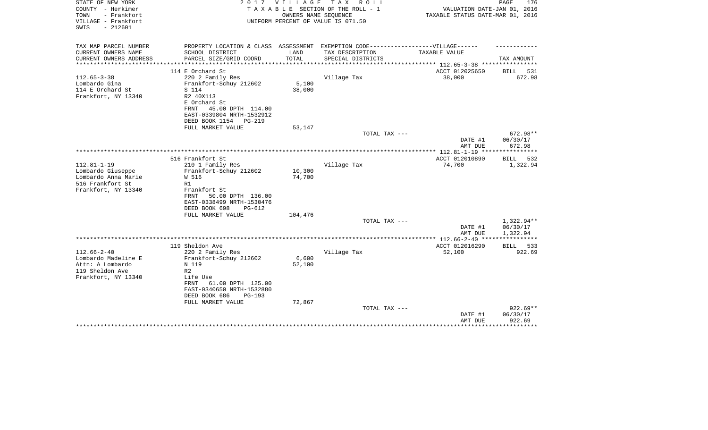| STATE OF NEW YORK<br>COUNTY - Herkimer<br>- Frankfort<br>TOWN<br>VILLAGE - Frankfort<br>$-212601$<br>SWIS | 2017                                                                                                 | <b>VILLAGE</b>  | T A X<br>R O L L<br>TAXABLE SECTION OF THE ROLL - 1<br>OWNERS NAME SEQUENCE<br>UNIFORM PERCENT OF VALUE IS 071.50 | VALUATION DATE-JAN 01, 2016<br>TAXABLE STATUS DATE-MAR 01, 2016 | PAGE<br>176                    |
|-----------------------------------------------------------------------------------------------------------|------------------------------------------------------------------------------------------------------|-----------------|-------------------------------------------------------------------------------------------------------------------|-----------------------------------------------------------------|--------------------------------|
| TAX MAP PARCEL NUMBER<br>CURRENT OWNERS NAME                                                              | PROPERTY LOCATION & CLASS ASSESSMENT EXEMPTION CODE-----------------VILLAGE------<br>SCHOOL DISTRICT | LAND            | TAX DESCRIPTION                                                                                                   | TAXABLE VALUE                                                   |                                |
| CURRENT OWNERS ADDRESS                                                                                    | PARCEL SIZE/GRID COORD                                                                               | TOTAL           | SPECIAL DISTRICTS                                                                                                 |                                                                 | TAX AMOUNT                     |
| *********************                                                                                     |                                                                                                      |                 |                                                                                                                   | *************************** 112.65-3-38 ****************        |                                |
| $112.65 - 3 - 38$                                                                                         | 114 E Orchard St<br>220 2 Family Res                                                                 |                 | Village Tax                                                                                                       | ACCT 012025650<br>38,000                                        | BILL<br>531<br>672.98          |
| Lombardo Gina<br>114 E Orchard St                                                                         | Frankfort-Schuy 212602<br>S 114                                                                      | 5,100<br>38,000 |                                                                                                                   |                                                                 |                                |
| Frankfort, NY 13340                                                                                       | R2 40X113                                                                                            |                 |                                                                                                                   |                                                                 |                                |
|                                                                                                           | E Orchard St                                                                                         |                 |                                                                                                                   |                                                                 |                                |
|                                                                                                           | 45.00 DPTH 114.00<br>FRNT<br>EAST-0339804 NRTH-1532912                                               |                 |                                                                                                                   |                                                                 |                                |
|                                                                                                           | DEED BOOK 1154<br>$PG-219$                                                                           |                 |                                                                                                                   |                                                                 |                                |
|                                                                                                           | FULL MARKET VALUE                                                                                    | 53,147          |                                                                                                                   |                                                                 |                                |
|                                                                                                           |                                                                                                      |                 | TOTAL TAX ---                                                                                                     | DATE #1                                                         | 672.98**<br>06/30/17           |
|                                                                                                           |                                                                                                      |                 |                                                                                                                   | AMT DUE                                                         | 672.98                         |
|                                                                                                           |                                                                                                      |                 |                                                                                                                   |                                                                 |                                |
| $112.81 - 1 - 19$                                                                                         | 516 Frankfort St<br>210 1 Family Res                                                                 |                 | Village Tax                                                                                                       | ACCT 012010890<br>74,700                                        | <b>BILL</b><br>532<br>1,322.94 |
| Lombardo Giuseppe                                                                                         | Frankfort-Schuy 212602                                                                               | 10,300          |                                                                                                                   |                                                                 |                                |
| Lombardo Anna Marie                                                                                       | W 516                                                                                                | 74,700          |                                                                                                                   |                                                                 |                                |
| 516 Frankfort St                                                                                          | R1                                                                                                   |                 |                                                                                                                   |                                                                 |                                |
| Frankfort, NY 13340                                                                                       | Frankfort St<br>50.00 DPTH 136.00<br>FRNT                                                            |                 |                                                                                                                   |                                                                 |                                |
|                                                                                                           | EAST-0338499 NRTH-1530476                                                                            |                 |                                                                                                                   |                                                                 |                                |
|                                                                                                           | DEED BOOK 698<br>$PG-612$                                                                            |                 |                                                                                                                   |                                                                 |                                |
|                                                                                                           | FULL MARKET VALUE                                                                                    | 104,476         |                                                                                                                   |                                                                 |                                |
|                                                                                                           |                                                                                                      |                 | TOTAL TAX ---                                                                                                     |                                                                 | 1,322.94**                     |
|                                                                                                           |                                                                                                      |                 |                                                                                                                   | DATE #1<br>AMT DUE                                              | 06/30/17<br>1,322.94           |
|                                                                                                           |                                                                                                      |                 |                                                                                                                   |                                                                 | ************                   |
|                                                                                                           | 119 Sheldon Ave                                                                                      |                 |                                                                                                                   | ACCT 012016290                                                  | 533<br>BILL                    |
| $112.66 - 2 - 40$                                                                                         | 220 2 Family Res                                                                                     |                 | Village Tax                                                                                                       | 52,100                                                          | 922.69                         |
| Lombardo Madeline E<br>Attn: A Lombardo                                                                   | Frankfort-Schuy 212602<br>N 119                                                                      | 6,600<br>52,100 |                                                                                                                   |                                                                 |                                |
| 119 Sheldon Ave                                                                                           | R <sub>2</sub>                                                                                       |                 |                                                                                                                   |                                                                 |                                |
| Frankfort, NY 13340                                                                                       | Life Use                                                                                             |                 |                                                                                                                   |                                                                 |                                |
|                                                                                                           | 61.00 DPTH 125.00<br>FRNT                                                                            |                 |                                                                                                                   |                                                                 |                                |
|                                                                                                           | EAST-0340650 NRTH-1532880                                                                            |                 |                                                                                                                   |                                                                 |                                |
|                                                                                                           | DEED BOOK 686<br>$PG-193$<br>FULL MARKET VALUE                                                       | 72,867          |                                                                                                                   |                                                                 |                                |
|                                                                                                           |                                                                                                      |                 | TOTAL TAX ---                                                                                                     |                                                                 | 922.69**                       |
|                                                                                                           |                                                                                                      |                 |                                                                                                                   | DATE #1                                                         | 06/30/17                       |
|                                                                                                           |                                                                                                      |                 |                                                                                                                   | AMT DUE                                                         | 922.69                         |
|                                                                                                           |                                                                                                      |                 |                                                                                                                   |                                                                 |                                |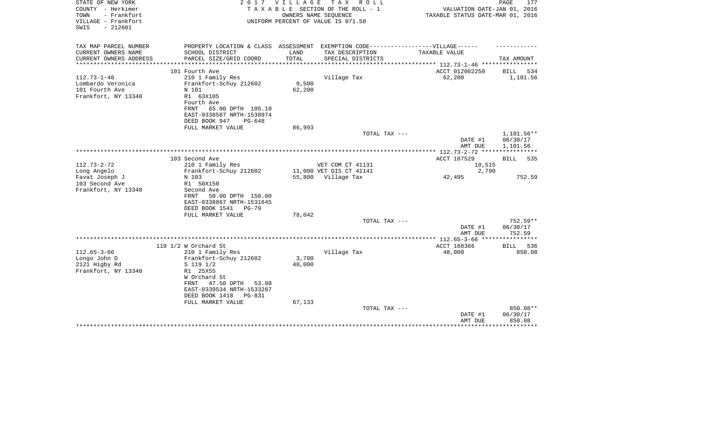| STATE OF NEW YORK<br>COUNTY - Herkimer<br>TOWN<br>- Frankfort<br>VILLAGE - Frankfort<br>$-212601$<br>SWIS | 2 0 1 7<br><b>VILLAGE</b><br>TAXABLE SECTION OF THE ROLL - 1<br>UNIFORM PERCENT OF VALUE IS 071.50 | T A X<br>R O L L<br>OWNERS NAME SEQUENCE      | VALUATION DATE-JAN 01, 2016<br>TAXABLE STATUS DATE-MAR 01, 2016 | 177<br>PAGE          |
|-----------------------------------------------------------------------------------------------------------|----------------------------------------------------------------------------------------------------|-----------------------------------------------|-----------------------------------------------------------------|----------------------|
| TAX MAP PARCEL NUMBER                                                                                     | PROPERTY LOCATION & CLASS ASSESSMENT                                                               | EXEMPTION CODE------------------VILLAGE------ |                                                                 |                      |
| CURRENT OWNERS NAME<br>SCHOOL DISTRICT                                                                    | LAND                                                                                               | TAX DESCRIPTION                               | TAXABLE VALUE                                                   |                      |
| CURRENT OWNERS ADDRESS<br>PARCEL SIZE/GRID COORD                                                          | TOTAL                                                                                              | SPECIAL DISTRICTS                             |                                                                 | TAX AMOUNT           |
| 101 Fourth Ave                                                                                            |                                                                                                    |                                               | ACCT 012002250                                                  | <b>BILL</b><br>534   |
| $112.73 - 1 - 46$<br>210 1 Family Res                                                                     |                                                                                                    | Village Tax                                   | 62,200                                                          | 1,101.56             |
| Lombardo Veronica<br>Frankfort-Schuy 212602                                                               | 9,500                                                                                              |                                               |                                                                 |                      |
| 101 Fourth Ave<br>N 101                                                                                   | 62,200                                                                                             |                                               |                                                                 |                      |
| Frankfort, NY 13340<br>R1 63X105                                                                          |                                                                                                    |                                               |                                                                 |                      |
| Fourth Ave                                                                                                |                                                                                                    |                                               |                                                                 |                      |
| FRNT                                                                                                      | 65.00 DPTH 105.10                                                                                  |                                               |                                                                 |                      |
| EAST-0338587 NRTH-1530974<br>DEED BOOK 947                                                                | $PG-648$                                                                                           |                                               |                                                                 |                      |
| FULL MARKET VALUE                                                                                         | 86,993                                                                                             |                                               |                                                                 |                      |
|                                                                                                           |                                                                                                    | TOTAL TAX ---                                 |                                                                 | 1,101.56**           |
|                                                                                                           |                                                                                                    |                                               | DATE #1                                                         | 06/30/17             |
|                                                                                                           |                                                                                                    |                                               | AMT DUE                                                         | 1,101.56             |
|                                                                                                           |                                                                                                    |                                               |                                                                 |                      |
| 103 Second Ave<br>$112.73 - 2 - 72$<br>210 1 Family Res                                                   |                                                                                                    | VET COM CT 41131                              | ACCT 187529<br>10,515                                           | BILL<br>535          |
| Frankfort-Schuy 212602<br>Long Angelo                                                                     |                                                                                                    | 11,000 VET DIS CT 41141                       | 2,790                                                           |                      |
| Favat Joseph J<br>N 103                                                                                   |                                                                                                    | 55,800 Village Tax                            | 42,495                                                          | 752.59               |
| 103 Second Ave<br>R1 50X150                                                                               |                                                                                                    |                                               |                                                                 |                      |
| Frankfort, NY 13340<br>Second Ave                                                                         |                                                                                                    |                                               |                                                                 |                      |
| FRNT                                                                                                      | 50.00 DPTH 150.00                                                                                  |                                               |                                                                 |                      |
| EAST-0338867 NRTH-1531645                                                                                 |                                                                                                    |                                               |                                                                 |                      |
| DEED BOOK 1541                                                                                            | <b>PG-79</b>                                                                                       |                                               |                                                                 |                      |
| FULL MARKET VALUE                                                                                         | 78,042                                                                                             |                                               |                                                                 |                      |
|                                                                                                           |                                                                                                    | TOTAL TAX ---                                 | DATE #1                                                         | 752.59**<br>06/30/17 |
|                                                                                                           |                                                                                                    |                                               | AMT DUE                                                         | 752.59               |
|                                                                                                           |                                                                                                    |                                               | ************ 112.65-3-66                                        | ************         |
| 119 1/2 W Orchard St                                                                                      |                                                                                                    |                                               | ACCT 168366                                                     | 536<br>BILL          |
| $112.65 - 3 - 66$<br>210 1 Family Res                                                                     |                                                                                                    | Village Tax                                   | 48,000                                                          | 850.08               |
| Longo John D<br>Frankfort-Schuy 212602                                                                    | 3,700                                                                                              |                                               |                                                                 |                      |
| 2121 Higby Rd<br>$S$ 119 1/2                                                                              | 48,000                                                                                             |                                               |                                                                 |                      |
| Frankfort, NY 13340<br>R1 25X55                                                                           |                                                                                                    |                                               |                                                                 |                      |
| W Orchard St<br>47.50 DPTH<br>FRNT                                                                        | 53.00                                                                                              |                                               |                                                                 |                      |
| EAST-0339534 NRTH-1533287                                                                                 |                                                                                                    |                                               |                                                                 |                      |
| DEED BOOK 1418                                                                                            | $PG-8.31$                                                                                          |                                               |                                                                 |                      |
| FULL MARKET VALUE                                                                                         | 67,133                                                                                             |                                               |                                                                 |                      |
|                                                                                                           |                                                                                                    | TOTAL TAX ---                                 |                                                                 | 850.08**             |
|                                                                                                           |                                                                                                    |                                               | DATE #1                                                         | 06/30/17             |
|                                                                                                           |                                                                                                    |                                               | AMT DUE                                                         | 850.08               |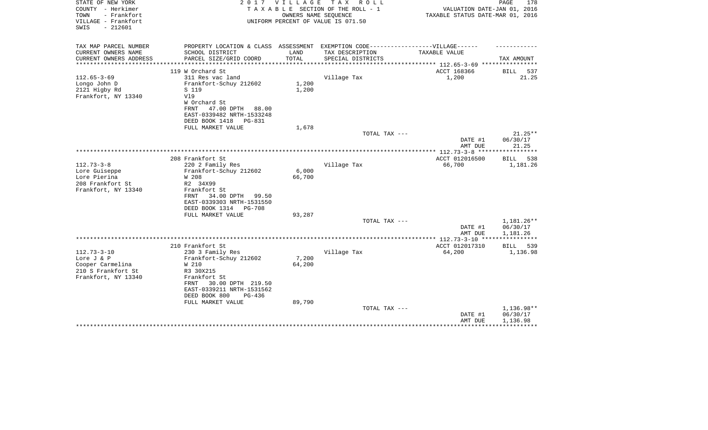| STATE OF NEW YORK<br>COUNTY - Herkimer<br>TOWN<br>- Frankfort<br>VILLAGE - Frankfort | 2 0 1 7                                                  | VILLAGE                  | T A X<br>R O L L<br>TAXABLE SECTION OF THE ROLL - 1<br>OWNERS NAME SEQUENCE<br>UNIFORM PERCENT OF VALUE IS 071.50 | VALUATION DATE-JAN 01, 2016<br>TAXABLE STATUS DATE-MAR 01, 2016 | PAGE<br>178           |
|--------------------------------------------------------------------------------------|----------------------------------------------------------|--------------------------|-------------------------------------------------------------------------------------------------------------------|-----------------------------------------------------------------|-----------------------|
| $-212601$<br>SWIS                                                                    |                                                          |                          |                                                                                                                   |                                                                 |                       |
| TAX MAP PARCEL NUMBER                                                                | PROPERTY LOCATION & CLASS ASSESSMENT                     |                          | EXEMPTION CODE-----------------VILLAGE------                                                                      |                                                                 |                       |
| CURRENT OWNERS NAME                                                                  | SCHOOL DISTRICT                                          | LAND                     | TAX DESCRIPTION                                                                                                   | TAXABLE VALUE                                                   |                       |
| CURRENT OWNERS ADDRESS                                                               | PARCEL SIZE/GRID COORD<br>**************************     | TOTAL<br>*************** | SPECIAL DISTRICTS                                                                                                 | **************** 112.65-3-69 *****************                  | TAX AMOUNT            |
|                                                                                      | 119 W Orchard St                                         |                          |                                                                                                                   | ACCT 168366                                                     | <b>BILL</b><br>537    |
| $112.65 - 3 - 69$                                                                    | 311 Res vac land                                         |                          | Village Tax                                                                                                       | 1,200                                                           | 21.25                 |
| Longo John D                                                                         | Frankfort-Schuy 212602                                   | 1,200                    |                                                                                                                   |                                                                 |                       |
| 2121 Higby Rd                                                                        | S 119                                                    | 1,200                    |                                                                                                                   |                                                                 |                       |
| Frankfort, NY 13340                                                                  | V19                                                      |                          |                                                                                                                   |                                                                 |                       |
|                                                                                      | W Orchard St                                             |                          |                                                                                                                   |                                                                 |                       |
|                                                                                      | 47.00 DPTH 88.00<br>FRNT                                 |                          |                                                                                                                   |                                                                 |                       |
|                                                                                      | EAST-0339482 NRTH-1533248                                |                          |                                                                                                                   |                                                                 |                       |
|                                                                                      | DEED BOOK 1418<br>PG-831                                 |                          |                                                                                                                   |                                                                 |                       |
|                                                                                      | FULL MARKET VALUE                                        | 1,678                    |                                                                                                                   |                                                                 |                       |
|                                                                                      |                                                          |                          | TOTAL TAX ---                                                                                                     | DATE #1                                                         | $21.25**$<br>06/30/17 |
|                                                                                      |                                                          |                          |                                                                                                                   | AMT DUE                                                         | 21.25                 |
|                                                                                      |                                                          |                          |                                                                                                                   |                                                                 |                       |
|                                                                                      | 208 Frankfort St                                         |                          |                                                                                                                   | ACCT 012016500                                                  | BILL 538              |
| $112.73 - 3 - 8$                                                                     | 220 2 Family Res                                         |                          | Village Tax                                                                                                       | 66,700                                                          | 1,181.26              |
| Lore Guiseppe                                                                        | Frankfort-Schuy 212602                                   | 6,000                    |                                                                                                                   |                                                                 |                       |
| Lore Pierina                                                                         | W 208                                                    | 66,700                   |                                                                                                                   |                                                                 |                       |
| 208 Frankfort St                                                                     | R2 34X99                                                 |                          |                                                                                                                   |                                                                 |                       |
| Frankfort, NY 13340                                                                  | Frankfort St                                             |                          |                                                                                                                   |                                                                 |                       |
|                                                                                      | 34.00 DPTH<br>99.50<br>FRNT<br>EAST-0339303 NRTH-1531550 |                          |                                                                                                                   |                                                                 |                       |
|                                                                                      | DEED BOOK 1314<br><b>PG-708</b>                          |                          |                                                                                                                   |                                                                 |                       |
|                                                                                      | FULL MARKET VALUE                                        | 93,287                   |                                                                                                                   |                                                                 |                       |
|                                                                                      |                                                          |                          | TOTAL TAX ---                                                                                                     |                                                                 | 1,181.26**            |
|                                                                                      |                                                          |                          |                                                                                                                   | DATE #1                                                         | 06/30/17              |
|                                                                                      |                                                          |                          |                                                                                                                   | AMT DUE                                                         | 1,181.26              |
|                                                                                      |                                                          |                          |                                                                                                                   |                                                                 | ***********           |
|                                                                                      | 210 Frankfort St                                         |                          |                                                                                                                   | ACCT 012017310                                                  | <b>BILL</b><br>539    |
| $112.73 - 3 - 10$                                                                    | 230 3 Family Res                                         |                          | Village Tax                                                                                                       | 64,200                                                          | 1,136.98              |
| Lore J & P                                                                           | Frankfort-Schuy 212602                                   | 7,200                    |                                                                                                                   |                                                                 |                       |
| Cooper Carmelina<br>210 S Frankfort St                                               | W 210<br>R3 30X215                                       | 64,200                   |                                                                                                                   |                                                                 |                       |
| Frankfort, NY 13340                                                                  | Frankfort St                                             |                          |                                                                                                                   |                                                                 |                       |
|                                                                                      | 30.00 DPTH 219.50<br>FRNT                                |                          |                                                                                                                   |                                                                 |                       |
|                                                                                      | EAST-0339211 NRTH-1531562                                |                          |                                                                                                                   |                                                                 |                       |
|                                                                                      | DEED BOOK 800<br>PG-436                                  |                          |                                                                                                                   |                                                                 |                       |
|                                                                                      | FULL MARKET VALUE                                        | 89,790                   |                                                                                                                   |                                                                 |                       |
|                                                                                      |                                                          |                          | TOTAL TAX ---                                                                                                     |                                                                 | 1,136.98**            |
|                                                                                      |                                                          |                          |                                                                                                                   | DATE #1                                                         | 06/30/17              |
|                                                                                      |                                                          |                          |                                                                                                                   | AMT DUE                                                         | 1,136.98              |
|                                                                                      |                                                          |                          |                                                                                                                   |                                                                 |                       |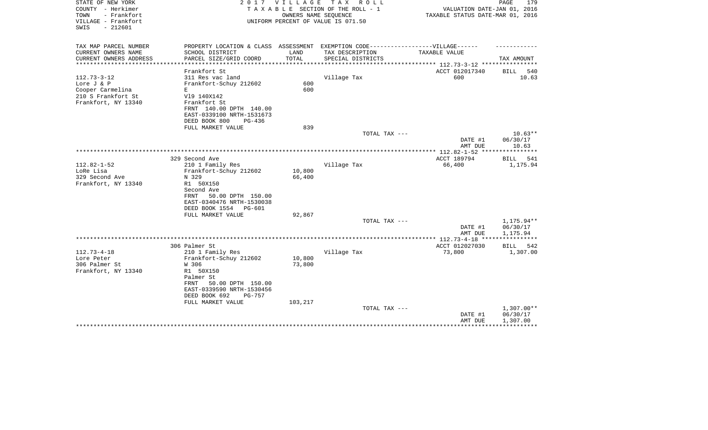| STATE OF NEW YORK<br>COUNTY - Herkimer<br>TOWN<br>- Frankfort<br>VILLAGE - Frankfort<br>$-212601$<br>SWIS | 2017                                         | V I L L A G E    | T A X<br>R O L L<br>TAXABLE SECTION OF THE ROLL - 1<br>OWNERS NAME SEQUENCE<br>UNIFORM PERCENT OF VALUE IS 071.50 | VALUATION DATE-JAN 01, 2016<br>TAXABLE STATUS DATE-MAR 01, 2016            | PAGE<br>179            |
|-----------------------------------------------------------------------------------------------------------|----------------------------------------------|------------------|-------------------------------------------------------------------------------------------------------------------|----------------------------------------------------------------------------|------------------------|
| TAX MAP PARCEL NUMBER                                                                                     | PROPERTY LOCATION & CLASS ASSESSMENT         |                  | EXEMPTION CODE------------------VILLAGE------                                                                     |                                                                            |                        |
| CURRENT OWNERS NAME                                                                                       | SCHOOL DISTRICT                              | LAND             | TAX DESCRIPTION                                                                                                   | TAXABLE VALUE                                                              |                        |
| CURRENT OWNERS ADDRESS                                                                                    | PARCEL SIZE/GRID COORD                       | TOTAL            | SPECIAL DISTRICTS                                                                                                 |                                                                            | TAX AMOUNT             |
| *********************                                                                                     | Frankfort St                                 |                  |                                                                                                                   | *************************** 112.73-3-12 ****************<br>ACCT 012017340 | 540<br>BILL            |
| $112.73 - 3 - 12$                                                                                         | 311 Res vac land                             |                  | Village Tax                                                                                                       | 600                                                                        | 10.63                  |
| Lore J & P                                                                                                | Frankfort-Schuy 212602                       | 600              |                                                                                                                   |                                                                            |                        |
| Cooper Carmelina                                                                                          | Е                                            | 600              |                                                                                                                   |                                                                            |                        |
| 210 S Frankfort St                                                                                        | V19 140X142                                  |                  |                                                                                                                   |                                                                            |                        |
| Frankfort, NY 13340                                                                                       | Frankfort St                                 |                  |                                                                                                                   |                                                                            |                        |
|                                                                                                           | FRNT 140.00 DPTH 140.00                      |                  |                                                                                                                   |                                                                            |                        |
|                                                                                                           | EAST-0339100 NRTH-1531673                    |                  |                                                                                                                   |                                                                            |                        |
|                                                                                                           | DEED BOOK 800<br>PG-436<br>FULL MARKET VALUE | 839              |                                                                                                                   |                                                                            |                        |
|                                                                                                           |                                              |                  | TOTAL TAX ---                                                                                                     |                                                                            | $10.63**$              |
|                                                                                                           |                                              |                  |                                                                                                                   | DATE #1                                                                    | 06/30/17               |
|                                                                                                           |                                              |                  |                                                                                                                   | AMT DUE                                                                    | 10.63                  |
|                                                                                                           |                                              |                  |                                                                                                                   | ************** 112.82-1-52 *****************                               |                        |
|                                                                                                           | 329 Second Ave                               |                  |                                                                                                                   | ACCT 189794                                                                | BILL 541               |
| $112.82 - 1 - 52$                                                                                         | 210 1 Family Res                             |                  | Village Tax                                                                                                       | 66,400                                                                     | 1,175.94               |
| LoRe Lisa<br>329 Second Ave                                                                               | Frankfort-Schuy 212602<br>N 329              | 10,800<br>66,400 |                                                                                                                   |                                                                            |                        |
| Frankfort, NY 13340                                                                                       | R1 50X150                                    |                  |                                                                                                                   |                                                                            |                        |
|                                                                                                           | Second Ave                                   |                  |                                                                                                                   |                                                                            |                        |
|                                                                                                           | 50.00 DPTH 150.00<br>FRNT                    |                  |                                                                                                                   |                                                                            |                        |
|                                                                                                           | EAST-0340476 NRTH-1530038                    |                  |                                                                                                                   |                                                                            |                        |
|                                                                                                           | DEED BOOK 1554<br>PG-601                     |                  |                                                                                                                   |                                                                            |                        |
|                                                                                                           | FULL MARKET VALUE                            | 92,867           |                                                                                                                   |                                                                            |                        |
|                                                                                                           |                                              |                  | TOTAL TAX ---                                                                                                     |                                                                            | 1,175.94**<br>06/30/17 |
|                                                                                                           |                                              |                  |                                                                                                                   | DATE #1<br>AMT DUE                                                         | 1,175.94               |
|                                                                                                           |                                              |                  |                                                                                                                   |                                                                            |                        |
|                                                                                                           | 306 Palmer St                                |                  |                                                                                                                   | ACCT 012027030                                                             | 542<br>BILL            |
| $112.73 - 4 - 18$                                                                                         | 210 1 Family Res                             |                  | Village Tax                                                                                                       | 73,800                                                                     | 1,307.00               |
| Lore Peter                                                                                                | Frankfort-Schuy 212602                       | 10,800           |                                                                                                                   |                                                                            |                        |
| 306 Palmer St                                                                                             | W 306                                        | 73,800           |                                                                                                                   |                                                                            |                        |
| Frankfort, NY 13340                                                                                       | R1 50X150<br>Palmer St                       |                  |                                                                                                                   |                                                                            |                        |
|                                                                                                           | 50.00 DPTH 150.00<br>FRNT                    |                  |                                                                                                                   |                                                                            |                        |
|                                                                                                           | EAST-0339590 NRTH-1530456                    |                  |                                                                                                                   |                                                                            |                        |
|                                                                                                           | DEED BOOK 692<br>PG-757                      |                  |                                                                                                                   |                                                                            |                        |
|                                                                                                           | FULL MARKET VALUE                            | 103,217          |                                                                                                                   |                                                                            |                        |
|                                                                                                           |                                              |                  | TOTAL TAX ---                                                                                                     |                                                                            | $1,307.00**$           |
|                                                                                                           |                                              |                  |                                                                                                                   | DATE #1                                                                    | 06/30/17               |
|                                                                                                           |                                              |                  |                                                                                                                   | AMT DUE                                                                    | 1,307.00               |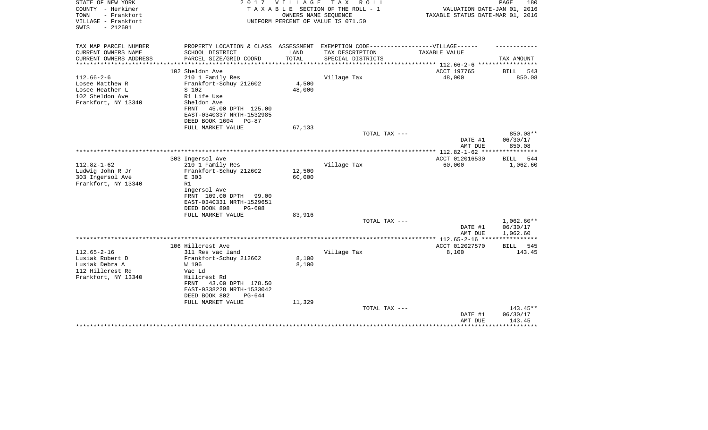| STATE OF NEW YORK<br>2017<br>V I L L A G E<br>T A X<br>R O L L<br>COUNTY - Herkimer<br>TAXABLE SECTION OF THE ROLL - 1<br>VALUATION DATE-JAN 01, 2016<br>- Frankfort<br>OWNERS NAME SEQUENCE<br>TAXABLE STATUS DATE-MAR 01, 2016<br>TOWN<br>VILLAGE - Frankfort<br>UNIFORM PERCENT OF VALUE IS 071.50<br>$-212601$<br>SWIS | PAGE<br>180                       |
|----------------------------------------------------------------------------------------------------------------------------------------------------------------------------------------------------------------------------------------------------------------------------------------------------------------------------|-----------------------------------|
| TAX MAP PARCEL NUMBER<br>PROPERTY LOCATION & CLASS ASSESSMENT<br>EXEMPTION CODE------------------VILLAGE------                                                                                                                                                                                                             |                                   |
| CURRENT OWNERS NAME<br>SCHOOL DISTRICT<br>LAND<br>TAX DESCRIPTION<br>TAXABLE VALUE                                                                                                                                                                                                                                         |                                   |
| TOTAL<br>CURRENT OWNERS ADDRESS<br>PARCEL SIZE/GRID COORD<br>SPECIAL DISTRICTS<br>*************<br>************************<br>**************** 112.66-2-6 ******************<br>************                                                                                                                              | TAX AMOUNT                        |
| ACCT 197765<br>102 Sheldon Ave                                                                                                                                                                                                                                                                                             | <b>BILL</b><br>543                |
| $112.66 - 2 - 6$<br>210 1 Family Res<br>Village Tax<br>48,000                                                                                                                                                                                                                                                              | 850.08                            |
| Frankfort-Schuy 212602<br>4,500<br>Losee Matthew R                                                                                                                                                                                                                                                                         |                                   |
| Losee Heather L<br>48,000<br>S 102                                                                                                                                                                                                                                                                                         |                                   |
| 102 Sheldon Ave<br>R1 Life Use                                                                                                                                                                                                                                                                                             |                                   |
| Frankfort, NY 13340<br>Sheldon Ave                                                                                                                                                                                                                                                                                         |                                   |
| 45.00 DPTH 125.00<br>FRNT                                                                                                                                                                                                                                                                                                  |                                   |
| EAST-0340337 NRTH-1532985                                                                                                                                                                                                                                                                                                  |                                   |
| DEED BOOK 1604<br>PG-87                                                                                                                                                                                                                                                                                                    |                                   |
| FULL MARKET VALUE<br>67,133                                                                                                                                                                                                                                                                                                |                                   |
| TOTAL TAX ---                                                                                                                                                                                                                                                                                                              | 850.08**                          |
| DATE #1                                                                                                                                                                                                                                                                                                                    | 06/30/17<br>850.08                |
| AMT DUE                                                                                                                                                                                                                                                                                                                    |                                   |
| 303 Ingersol Ave<br>ACCT 012016530                                                                                                                                                                                                                                                                                         | 544<br>BILL                       |
| $112.82 - 1 - 62$<br>Village Tax<br>60,000<br>210 1 Family Res                                                                                                                                                                                                                                                             | 1,062.60                          |
| Ludwig John R Jr<br>Frankfort-Schuy 212602<br>12,500                                                                                                                                                                                                                                                                       |                                   |
| 303 Ingersol Ave<br>E 303<br>60,000                                                                                                                                                                                                                                                                                        |                                   |
| Frankfort, NY 13340<br>R1                                                                                                                                                                                                                                                                                                  |                                   |
| Ingersol Ave                                                                                                                                                                                                                                                                                                               |                                   |
| FRNT 109.00 DPTH<br>99.00                                                                                                                                                                                                                                                                                                  |                                   |
| EAST-0340331 NRTH-1529651                                                                                                                                                                                                                                                                                                  |                                   |
| DEED BOOK 898<br>PG-608                                                                                                                                                                                                                                                                                                    |                                   |
| 83,916<br>FULL MARKET VALUE                                                                                                                                                                                                                                                                                                |                                   |
| TOTAL TAX ---                                                                                                                                                                                                                                                                                                              | 1,062.60**                        |
| DATE #1                                                                                                                                                                                                                                                                                                                    | 06/30/17                          |
| AMT DUE                                                                                                                                                                                                                                                                                                                    | 1,062.60<br>* * * * * * * * * * * |
| 106 Hillcrest Ave<br>ACCT 012027570                                                                                                                                                                                                                                                                                        | 545<br>BILL                       |
| $112.65 - 2 - 16$<br>Village Tax<br>311 Res vac land<br>8,100                                                                                                                                                                                                                                                              | 143.45                            |
| Lusiak Robert D<br>8,100<br>Frankfort-Schuy 212602                                                                                                                                                                                                                                                                         |                                   |
| Lusiak Debra A<br>W 106<br>8,100                                                                                                                                                                                                                                                                                           |                                   |
| 112 Hillcrest Rd<br>Vac Ld                                                                                                                                                                                                                                                                                                 |                                   |
| Frankfort, NY 13340<br>Hillcrest Rd                                                                                                                                                                                                                                                                                        |                                   |
| 43.00 DPTH 178.50<br>FRNT                                                                                                                                                                                                                                                                                                  |                                   |
| EAST-0338228 NRTH-1533042                                                                                                                                                                                                                                                                                                  |                                   |
| DEED BOOK 802<br>$PG-644$                                                                                                                                                                                                                                                                                                  |                                   |
| 11,329<br>FULL MARKET VALUE                                                                                                                                                                                                                                                                                                |                                   |
| TOTAL TAX ---                                                                                                                                                                                                                                                                                                              | 143.45**                          |
| DATE #1                                                                                                                                                                                                                                                                                                                    | 06/30/17                          |
| AMT DUE                                                                                                                                                                                                                                                                                                                    | 143.45<br>**********              |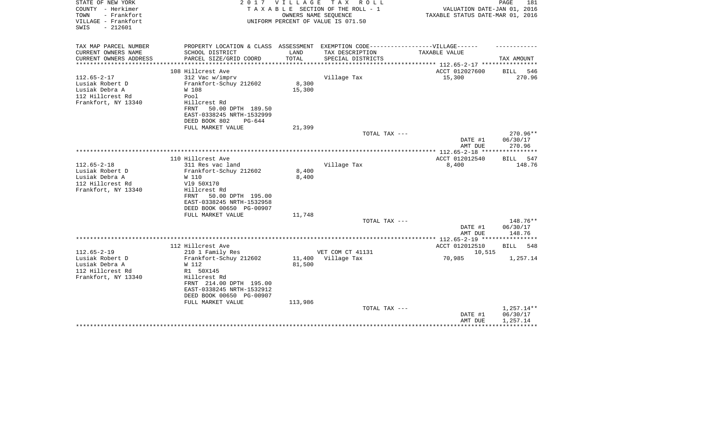| STATE OF NEW YORK<br>COUNTY - Herkimer<br>TOWN<br>- Frankfort<br>VILLAGE - Frankfort<br>$-212601$<br>SWIS | 2017                                                                              | V I L L A G E | T A X<br>R O L L<br>TAXABLE SECTION OF THE ROLL - 1<br>OWNERS NAME SEQUENCE<br>UNIFORM PERCENT OF VALUE IS 071.50 | VALUATION DATE-JAN 01, 2016<br>TAXABLE STATUS DATE-MAR 01, 2016 | PAGE<br>181          |
|-----------------------------------------------------------------------------------------------------------|-----------------------------------------------------------------------------------|---------------|-------------------------------------------------------------------------------------------------------------------|-----------------------------------------------------------------|----------------------|
| TAX MAP PARCEL NUMBER                                                                                     | PROPERTY LOCATION & CLASS ASSESSMENT EXEMPTION CODE-----------------VILLAGE------ |               |                                                                                                                   |                                                                 |                      |
| CURRENT OWNERS NAME                                                                                       | SCHOOL DISTRICT                                                                   | LAND          | TAX DESCRIPTION                                                                                                   | TAXABLE VALUE                                                   |                      |
| CURRENT OWNERS ADDRESS                                                                                    | PARCEL SIZE/GRID COORD                                                            | TOTAL         | SPECIAL DISTRICTS                                                                                                 |                                                                 | TAX AMOUNT           |
| ********************                                                                                      |                                                                                   |               |                                                                                                                   | *************************** 112.65-2-17 ****************        |                      |
|                                                                                                           | 108 Hillcrest Ave                                                                 |               |                                                                                                                   | ACCT 012027600                                                  | <b>BILL</b><br>546   |
| $112.65 - 2 - 17$<br>Lusiak Robert D                                                                      | 312 Vac w/imprv<br>Frankfort-Schuy 212602                                         | 8,300         | Village Tax                                                                                                       | 15,300                                                          | 270.96               |
| Lusiak Debra A                                                                                            | W 108                                                                             | 15,300        |                                                                                                                   |                                                                 |                      |
| 112 Hillcrest Rd                                                                                          | Pool                                                                              |               |                                                                                                                   |                                                                 |                      |
| Frankfort, NY 13340                                                                                       | Hillcrest Rd                                                                      |               |                                                                                                                   |                                                                 |                      |
|                                                                                                           | 50.00 DPTH 189.50<br>FRNT                                                         |               |                                                                                                                   |                                                                 |                      |
|                                                                                                           | EAST-0338245 NRTH-1532999                                                         |               |                                                                                                                   |                                                                 |                      |
|                                                                                                           | DEED BOOK 802<br>PG-644                                                           |               |                                                                                                                   |                                                                 |                      |
|                                                                                                           | FULL MARKET VALUE                                                                 | 21,399        |                                                                                                                   |                                                                 |                      |
|                                                                                                           |                                                                                   |               | TOTAL TAX ---                                                                                                     | DATE #1                                                         | 270.96**<br>06/30/17 |
|                                                                                                           |                                                                                   |               |                                                                                                                   | AMT DUE                                                         | 270.96               |
|                                                                                                           |                                                                                   |               |                                                                                                                   |                                                                 | ************         |
|                                                                                                           | 110 Hillcrest Ave                                                                 |               |                                                                                                                   | ACCT 012012540                                                  | 547<br>BILL          |
| $112.65 - 2 - 18$                                                                                         | 311 Res vac land                                                                  |               | Village Tax                                                                                                       | 8,400                                                           | 148.76               |
| Lusiak Robert D                                                                                           | Frankfort-Schuy 212602                                                            | 8,400         |                                                                                                                   |                                                                 |                      |
| Lusiak Debra A                                                                                            | W 110                                                                             | 8,400         |                                                                                                                   |                                                                 |                      |
| 112 Hillcrest Rd<br>Frankfort, NY 13340                                                                   | V19 50X170<br>Hillcrest Rd                                                        |               |                                                                                                                   |                                                                 |                      |
|                                                                                                           | 50.00 DPTH 195.00<br>FRNT                                                         |               |                                                                                                                   |                                                                 |                      |
|                                                                                                           | EAST-0338245 NRTH-1532958                                                         |               |                                                                                                                   |                                                                 |                      |
|                                                                                                           | DEED BOOK 00650 PG-00907                                                          |               |                                                                                                                   |                                                                 |                      |
|                                                                                                           | FULL MARKET VALUE                                                                 | 11,748        |                                                                                                                   |                                                                 |                      |
|                                                                                                           |                                                                                   |               | TOTAL TAX ---                                                                                                     |                                                                 | 148.76**             |
|                                                                                                           |                                                                                   |               |                                                                                                                   | DATE #1                                                         | 06/30/17             |
|                                                                                                           |                                                                                   |               |                                                                                                                   | AMT DUE                                                         | 148.76               |
|                                                                                                           | 112 Hillcrest Ave                                                                 |               |                                                                                                                   | ACCT 012012510                                                  | <b>BILL</b><br>548   |
| $112.65 - 2 - 19$                                                                                         | 210 1 Family Res                                                                  |               | VET COM CT 41131                                                                                                  | 10,515                                                          |                      |
| Lusiak Robert D                                                                                           | Frankfort-Schuy 212602                                                            | 11,400        | Village Tax                                                                                                       | 70,985                                                          | 1,257.14             |
| Lusiak Debra A                                                                                            | W 112                                                                             | 81,500        |                                                                                                                   |                                                                 |                      |
| 112 Hillcrest Rd                                                                                          | R1 50X145                                                                         |               |                                                                                                                   |                                                                 |                      |
| Frankfort, NY 13340                                                                                       | Hillcrest Rd                                                                      |               |                                                                                                                   |                                                                 |                      |
|                                                                                                           | FRNT 214.00 DPTH 195.00                                                           |               |                                                                                                                   |                                                                 |                      |
|                                                                                                           | EAST-0338245 NRTH-1532912<br>DEED BOOK 00650 PG-00907                             |               |                                                                                                                   |                                                                 |                      |
|                                                                                                           | FULL MARKET VALUE                                                                 | 113,986       |                                                                                                                   |                                                                 |                      |
|                                                                                                           |                                                                                   |               | TOTAL TAX ---                                                                                                     |                                                                 | 1,257.14**           |
|                                                                                                           |                                                                                   |               |                                                                                                                   | DATE #1                                                         | 06/30/17             |
|                                                                                                           |                                                                                   |               |                                                                                                                   | AMT DUE                                                         | 1,257.14             |
|                                                                                                           |                                                                                   |               |                                                                                                                   |                                                                 |                      |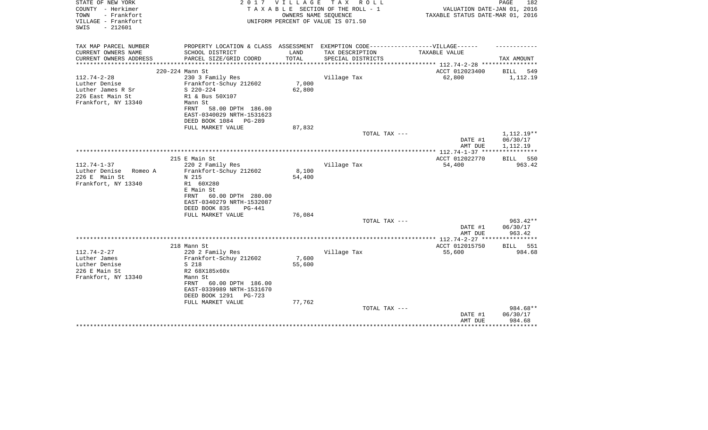| STATE OF NEW YORK<br>COUNTY - Herkimer<br>TOWN<br>- Frankfort<br>VILLAGE - Frankfort<br>$-212601$<br>SWIS | 2017                                                                             | <b>VILLAGE</b> | TAX ROLL<br>TAXABLE SECTION OF THE ROLL - 1<br>OWNERS NAME SEQUENCE<br>UNIFORM PERCENT OF VALUE IS 071.50 | VALUATION DATE-JAN 01, 2016<br>TAXABLE STATUS DATE-MAR 01, 2016 | PAGE<br>182          |
|-----------------------------------------------------------------------------------------------------------|----------------------------------------------------------------------------------|----------------|-----------------------------------------------------------------------------------------------------------|-----------------------------------------------------------------|----------------------|
| TAX MAP PARCEL NUMBER                                                                                     | PROPERTY LOCATION & CLASS ASSESSMENT EXEMPTION CODE----------------VILLAGE------ |                |                                                                                                           |                                                                 |                      |
| CURRENT OWNERS NAME                                                                                       | SCHOOL DISTRICT                                                                  | LAND           | TAX DESCRIPTION                                                                                           | TAXABLE VALUE                                                   |                      |
| CURRENT OWNERS ADDRESS<br>*********************                                                           | PARCEL SIZE/GRID COORD                                                           | TOTAL          | SPECIAL DISTRICTS                                                                                         | ***************** 112.74-2-28 *****************                 | TAX AMOUNT           |
|                                                                                                           | 220-224 Mann St                                                                  |                |                                                                                                           | ACCT 012023400                                                  | 549<br>BILL          |
| $112.74 - 2 - 28$                                                                                         | 230 3 Family Res                                                                 |                | Village Tax                                                                                               | 62,800                                                          | 1,112.19             |
| Luther Denise                                                                                             | Frankfort-Schuy 212602                                                           | 7,000          |                                                                                                           |                                                                 |                      |
| Luther James R Sr                                                                                         | $S$ 220-224                                                                      | 62,800         |                                                                                                           |                                                                 |                      |
| 226 East Main St<br>Frankfort, NY 13340                                                                   | R1 & Bus 50X107<br>Mann St                                                       |                |                                                                                                           |                                                                 |                      |
|                                                                                                           | 58.00 DPTH 186.00<br>FRNT                                                        |                |                                                                                                           |                                                                 |                      |
|                                                                                                           | EAST-0340029 NRTH-1531623                                                        |                |                                                                                                           |                                                                 |                      |
|                                                                                                           | DEED BOOK 1084<br>PG-289                                                         |                |                                                                                                           |                                                                 |                      |
|                                                                                                           | FULL MARKET VALUE                                                                | 87,832         |                                                                                                           |                                                                 |                      |
|                                                                                                           |                                                                                  |                | TOTAL TAX ---                                                                                             |                                                                 | 1,112.19**           |
|                                                                                                           |                                                                                  |                |                                                                                                           | DATE #1<br>AMT DUE                                              | 06/30/17<br>1,112.19 |
|                                                                                                           |                                                                                  |                |                                                                                                           |                                                                 |                      |
|                                                                                                           | 215 E Main St                                                                    |                |                                                                                                           | ACCT 012022770                                                  | BILL 550             |
| $112.74 - 1 - 37$                                                                                         | 220 2 Family Res                                                                 |                | Village Tax                                                                                               | 54,400                                                          | 963.42               |
| Luther Denise<br>Romeo A                                                                                  | Frankfort-Schuy 212602                                                           | 8,100          |                                                                                                           |                                                                 |                      |
| 226 E Main St<br>Frankfort, NY 13340                                                                      | N 215<br>R1 60X280                                                               | 54,400         |                                                                                                           |                                                                 |                      |
|                                                                                                           | E Main St                                                                        |                |                                                                                                           |                                                                 |                      |
|                                                                                                           | 60.00 DPTH 280.00<br>FRNT                                                        |                |                                                                                                           |                                                                 |                      |
|                                                                                                           | EAST-0340279 NRTH-1532087                                                        |                |                                                                                                           |                                                                 |                      |
|                                                                                                           | DEED BOOK 835<br>PG-441                                                          |                |                                                                                                           |                                                                 |                      |
|                                                                                                           | FULL MARKET VALUE                                                                | 76,084         |                                                                                                           |                                                                 |                      |
|                                                                                                           |                                                                                  |                | TOTAL TAX ---                                                                                             |                                                                 | 963.42**<br>06/30/17 |
|                                                                                                           |                                                                                  |                |                                                                                                           | DATE #1<br>AMT DUE                                              | 963.42               |
|                                                                                                           |                                                                                  |                |                                                                                                           |                                                                 |                      |
|                                                                                                           | 218 Mann St                                                                      |                |                                                                                                           | ACCT 012015750                                                  | BILL<br>551          |
| $112.74 - 2 - 27$                                                                                         | 220 2 Family Res                                                                 |                | Village Tax                                                                                               | 55,600                                                          | 984.68               |
| Luther James                                                                                              | Frankfort-Schuy 212602                                                           | 7,600          |                                                                                                           |                                                                 |                      |
| Luther Denise<br>226 E Main St                                                                            | S 218<br>R2 68X185x60x                                                           | 55,600         |                                                                                                           |                                                                 |                      |
| Frankfort, NY 13340                                                                                       | Mann St                                                                          |                |                                                                                                           |                                                                 |                      |
|                                                                                                           | 60.00 DPTH 186.00<br>FRNT                                                        |                |                                                                                                           |                                                                 |                      |
|                                                                                                           | EAST-0339989 NRTH-1531670                                                        |                |                                                                                                           |                                                                 |                      |
|                                                                                                           | DEED BOOK 1291<br>PG-723                                                         |                |                                                                                                           |                                                                 |                      |
|                                                                                                           | FULL MARKET VALUE                                                                | 77,762         | TOTAL TAX ---                                                                                             |                                                                 | 984.68**             |
|                                                                                                           |                                                                                  |                |                                                                                                           | DATE #1                                                         | 06/30/17             |
|                                                                                                           |                                                                                  |                |                                                                                                           | AMT DUE                                                         | 984.68               |
|                                                                                                           |                                                                                  |                |                                                                                                           |                                                                 |                      |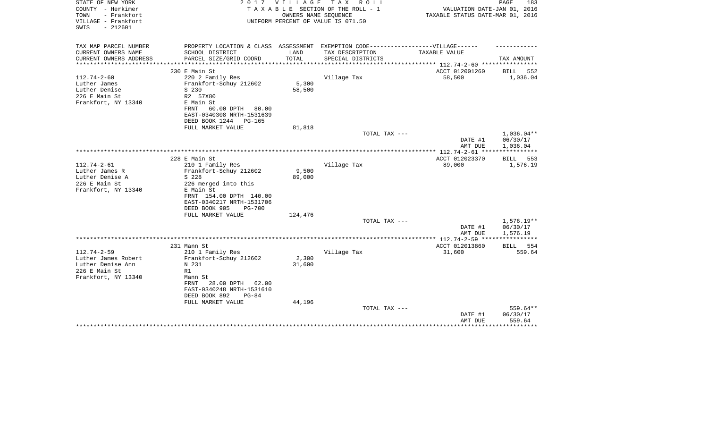| STATE OF NEW YORK<br>COUNTY - Herkimer<br>TOWN<br>- Frankfort<br>VILLAGE - Frankfort                  | 2017                                                                                                                                                                                     | <b>VILLAGE</b>            | T A X<br>R O L L<br>TAXABLE SECTION OF THE ROLL - 1<br>OWNERS NAME SEQUENCE<br>UNIFORM PERCENT OF VALUE IS 071.50 | VALUATION DATE-JAN 01, 2016<br>TAXABLE STATUS DATE-MAR 01, 2016 | PAGE<br>183                          |
|-------------------------------------------------------------------------------------------------------|------------------------------------------------------------------------------------------------------------------------------------------------------------------------------------------|---------------------------|-------------------------------------------------------------------------------------------------------------------|-----------------------------------------------------------------|--------------------------------------|
| $-212601$<br>SWIS                                                                                     |                                                                                                                                                                                          |                           |                                                                                                                   |                                                                 |                                      |
| TAX MAP PARCEL NUMBER                                                                                 | PROPERTY LOCATION & CLASS ASSESSMENT EXEMPTION CODE-----------------VILLAGE------                                                                                                        |                           |                                                                                                                   |                                                                 |                                      |
| CURRENT OWNERS NAME<br>CURRENT OWNERS ADDRESS                                                         | SCHOOL DISTRICT<br>PARCEL SIZE/GRID COORD                                                                                                                                                | LAND<br>TOTAL             | TAX DESCRIPTION<br>SPECIAL DISTRICTS                                                                              | <b>TAXABLE VALUE</b>                                            | TAX AMOUNT                           |
| ***************                                                                                       | **************************                                                                                                                                                               | *********************     |                                                                                                                   |                                                                 |                                      |
|                                                                                                       | 230 E Main St                                                                                                                                                                            |                           |                                                                                                                   | ACCT 012001260                                                  | 552<br>BILL                          |
| $112.74 - 2 - 60$<br>Luther James<br>Luther Denise<br>226 E Main St<br>Frankfort, NY 13340            | 220 2 Family Res<br>Frankfort-Schuy 212602<br>S 230<br>R2 57X80<br>E Main St<br>60.00 DPTH<br>FRNT<br>80.00<br>EAST-0340308 NRTH-1531639                                                 | 5,300<br>58,500           | Village Tax                                                                                                       | 58,500                                                          | 1,036.04                             |
|                                                                                                       | DEED BOOK 1244<br>PG-165<br>FULL MARKET VALUE                                                                                                                                            | 81,818                    |                                                                                                                   |                                                                 |                                      |
|                                                                                                       |                                                                                                                                                                                          |                           | TOTAL TAX ---                                                                                                     |                                                                 | $1,036.04**$                         |
|                                                                                                       |                                                                                                                                                                                          |                           |                                                                                                                   | DATE #1<br>AMT DUE                                              | 06/30/17<br>1,036.04                 |
|                                                                                                       | 228 E Main St                                                                                                                                                                            |                           |                                                                                                                   | ACCT 012023370                                                  | BILL<br>553                          |
| $112.74 - 2 - 61$<br>Luther James R<br>Luther Denise A<br>226 E Main St<br>Frankfort, NY 13340        | 210 1 Family Res<br>Frankfort-Schuy 212602<br>S 228<br>226 merged into this<br>E Main St<br>FRNT 154.00 DPTH 140.00                                                                      | 9,500<br>89,000           | Village Tax                                                                                                       | 89,000                                                          | 1,576.19                             |
|                                                                                                       | EAST-0340217 NRTH-1531706<br>DEED BOOK 905<br>$PG-700$<br>FULL MARKET VALUE                                                                                                              | 124,476                   |                                                                                                                   |                                                                 |                                      |
|                                                                                                       |                                                                                                                                                                                          |                           | TOTAL TAX ---                                                                                                     | DATE #1<br>AMT DUE                                              | $1,576.19**$<br>06/30/17<br>1,576.19 |
|                                                                                                       |                                                                                                                                                                                          |                           |                                                                                                                   | *************** 112.74-2-59 ****                                | ***********                          |
|                                                                                                       | 231 Mann St                                                                                                                                                                              |                           |                                                                                                                   | ACCT 012013860                                                  | BILL<br>554                          |
| $112.74 - 2 - 59$<br>Luther James Robert<br>Luther Denise Ann<br>226 E Main St<br>Frankfort, NY 13340 | 210 1 Family Res<br>Frankfort-Schuy 212602<br>N 231<br>R1<br>Mann St<br>28.00 DPTH<br><b>FRNT</b><br>62.00<br>EAST-0340248 NRTH-1531610<br>DEED BOOK 892<br>$PG-84$<br>FULL MARKET VALUE | 2,300<br>31,600<br>44,196 | Village Tax                                                                                                       | 31,600                                                          | 559.64                               |
|                                                                                                       |                                                                                                                                                                                          |                           | TOTAL TAX ---                                                                                                     | DATE #1<br>AMT DUE                                              | 559.64**<br>06/30/17<br>559.64       |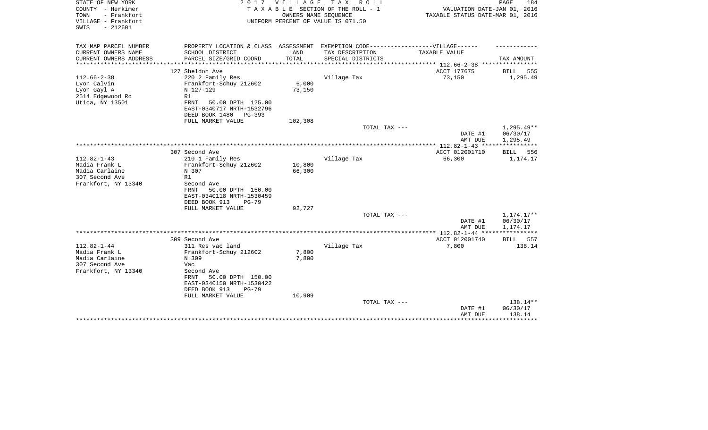| STATE OF NEW YORK<br>COUNTY - Herkimer<br>- Frankfort<br>TOWN<br>VILLAGE - Frankfort<br>$-212601$<br>SWIS | 2017                                                                                                                                                           | <b>VILLAGE</b>   | T A X<br>R O L L<br>TAXABLE SECTION OF THE ROLL - 1<br>OWNERS NAME SEQUENCE<br>UNIFORM PERCENT OF VALUE IS 071.50 | VALUATION DATE-JAN 01, 2016<br>TAXABLE STATUS DATE-MAR 01, 2016 | 184<br>PAGE                                 |
|-----------------------------------------------------------------------------------------------------------|----------------------------------------------------------------------------------------------------------------------------------------------------------------|------------------|-------------------------------------------------------------------------------------------------------------------|-----------------------------------------------------------------|---------------------------------------------|
| TAX MAP PARCEL NUMBER<br>CURRENT OWNERS NAME                                                              | SCHOOL DISTRICT                                                                                                                                                | LAND             | PROPERTY LOCATION & CLASS ASSESSMENT EXEMPTION CODE----------------VILLAGE------<br>TAX DESCRIPTION               | TAXABLE VALUE                                                   |                                             |
| CURRENT OWNERS ADDRESS                                                                                    | PARCEL SIZE/GRID COORD                                                                                                                                         | TOTAL            | SPECIAL DISTRICTS                                                                                                 |                                                                 | TAX AMOUNT                                  |
|                                                                                                           |                                                                                                                                                                |                  |                                                                                                                   | ************** 112.66-2-38 *****************                    |                                             |
|                                                                                                           | 127 Sheldon Ave                                                                                                                                                |                  |                                                                                                                   | ACCT 177675                                                     | BILL 555                                    |
| $112.66 - 2 - 38$<br>Lyon Calvin<br>Lyon Gayl A<br>2514 Edgewood Rd<br>Utica, NY 13501                    | 220 2 Family Res<br>Frankfort-Schuy 212602<br>N 127-129<br>R1<br>FRNT<br>50.00 DPTH 125.00                                                                     | 6,000<br>73,150  | Village Tax                                                                                                       | 73,150                                                          | 1,295.49                                    |
|                                                                                                           | EAST-0340717 NRTH-1532796<br>DEED BOOK 1480<br>$PG-393$<br>FULL MARKET VALUE                                                                                   | 102,308          |                                                                                                                   |                                                                 |                                             |
|                                                                                                           |                                                                                                                                                                |                  | TOTAL TAX ---                                                                                                     | DATE #1<br>AMT DUE                                              | $1,295.49**$<br>06/30/17<br>1,295.49        |
|                                                                                                           |                                                                                                                                                                |                  |                                                                                                                   | ************** 112.82-1-43 ****                                 |                                             |
|                                                                                                           | 307 Second Ave                                                                                                                                                 |                  |                                                                                                                   | ACCT 012001710                                                  | BILL<br>556                                 |
| $112.82 - 1 - 43$<br>Madia Frank L<br>Madia Carlaine<br>307 Second Ave<br>Frankfort, NY 13340             | 210 1 Family Res<br>Frankfort-Schuy 212602<br>N 307<br>R1<br>Second Ave<br>FRNT<br>50.00 DPTH 150.00<br>EAST-0340118 NRTH-1530459<br>DEED BOOK 913<br>$PG-79$  | 10,800<br>66,300 | Village Tax                                                                                                       | 66,300                                                          | 1,174.17                                    |
|                                                                                                           | FULL MARKET VALUE                                                                                                                                              | 92,727           |                                                                                                                   |                                                                 |                                             |
|                                                                                                           |                                                                                                                                                                |                  | TOTAL TAX ---                                                                                                     | DATE #1<br>AMT DUE                                              | 1,174.17**<br>06/30/17<br>1,174.17          |
|                                                                                                           |                                                                                                                                                                |                  |                                                                                                                   |                                                                 | ************                                |
|                                                                                                           | 309 Second Ave                                                                                                                                                 |                  |                                                                                                                   | ACCT 012001740                                                  | 557<br>BILL                                 |
| $112.82 - 1 - 44$<br>Madia Frank L<br>Madia Carlaine<br>307 Second Ave<br>Frankfort, NY 13340             | 311 Res vac land<br>Frankfort-Schuy 212602<br>N 309<br>Vac<br>Second Ave<br>50.00 DPTH 150.00<br>FRNT<br>EAST-0340150 NRTH-1530422<br>DEED BOOK 913<br>$PG-79$ | 7,800<br>7,800   | Village Tax                                                                                                       | 7,800                                                           | 138.14                                      |
|                                                                                                           | FULL MARKET VALUE                                                                                                                                              | 10,909           | TOTAL TAX ---                                                                                                     | DATE #1<br>AMT DUE                                              | 138.14**<br>06/30/17<br>138.14<br>********* |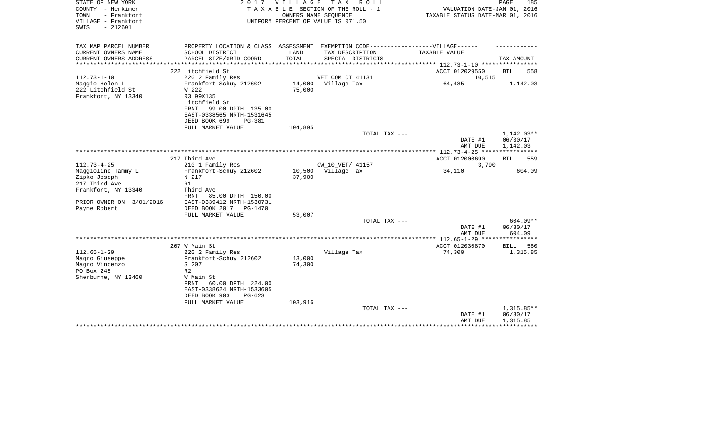| STATE OF NEW YORK<br>COUNTY - Herkimer<br>TOWN<br>- Frankfort<br>VILLAGE - Frankfort<br>SWIS<br>$-212601$ |                                                                                                                                                                               | 2017 VILLAGE     | TAX ROLL<br>T A X A B L E SECTION OF THE ROLL - 1<br>OWNERS NAME SEOUENCE<br>UNIFORM PERCENT OF VALUE IS 071.50 | VALUATION DATE-JAN 01, 2016<br>TAXABLE STATUS DATE-MAR 01, 2016 | PAGE<br>185                          |
|-----------------------------------------------------------------------------------------------------------|-------------------------------------------------------------------------------------------------------------------------------------------------------------------------------|------------------|-----------------------------------------------------------------------------------------------------------------|-----------------------------------------------------------------|--------------------------------------|
| TAX MAP PARCEL NUMBER<br>CURRENT OWNERS NAME                                                              | PROPERTY LOCATION & CLASS ASSESSMENT EXEMPTION CODE----------------VILLAGE------<br>SCHOOL DISTRICT                                                                           | LAND             | TAX DESCRIPTION                                                                                                 | TAXABLE VALUE                                                   |                                      |
| CURRENT OWNERS ADDRESS                                                                                    | PARCEL SIZE/GRID COORD                                                                                                                                                        | TOTAL            | SPECIAL DISTRICTS                                                                                               |                                                                 | TAX AMOUNT                           |
|                                                                                                           |                                                                                                                                                                               | **************** |                                                                                                                 | ************* 112.73-1-10 **********                            |                                      |
|                                                                                                           | 222 Litchfield St                                                                                                                                                             |                  |                                                                                                                 | ACCT 012029550                                                  | BILL<br>558                          |
| $112.73 - 1 - 10$<br>Maggio Helen L<br>222 Litchfield St<br>Frankfort, NY 13340                           | 220 2 Family Res<br>Frankfort-Schuy 212602<br>W 222<br>R3 99X135<br>Litchfield St<br>99.00 DPTH 135.00<br>FRNT<br>EAST-0338565 NRTH-1531645<br>DEED BOOK 699<br><b>PG-381</b> | 14,000<br>75,000 | VET COM CT 41131<br>Village Tax                                                                                 | 10,515<br>64,485                                                | 1,142.03                             |
|                                                                                                           | FULL MARKET VALUE                                                                                                                                                             | 104,895          |                                                                                                                 |                                                                 |                                      |
|                                                                                                           |                                                                                                                                                                               |                  | TOTAL TAX ---                                                                                                   | DATE #1<br>AMT DUE                                              | 1,142.03**<br>06/30/17<br>1,142.03   |
|                                                                                                           |                                                                                                                                                                               |                  |                                                                                                                 |                                                                 |                                      |
| $112.73 - 4 - 25$<br>Maggiolino Tammy L<br>Zipko Joseph                                                   | 217 Third Ave<br>210 1 Family Res<br>Frankfort-Schuy 212602<br>N 217                                                                                                          | 10,500<br>37,900 | CW 10 VET/ 41157<br>Village Tax                                                                                 | ACCT 012000690<br>3,790<br>34,110                               | BILL<br>559<br>604.09                |
| 217 Third Ave<br>Frankfort, NY 13340<br>PRIOR OWNER ON 3/01/2016                                          | R1<br>Third Ave<br><b>FRNT</b><br>85.00 DPTH 150.00<br>EAST-0339412 NRTH-1530731                                                                                              |                  |                                                                                                                 |                                                                 |                                      |
| Payne Robert                                                                                              | DEED BOOK 2017<br>PG-1470<br>FULL MARKET VALUE                                                                                                                                | 53,007           |                                                                                                                 |                                                                 |                                      |
|                                                                                                           |                                                                                                                                                                               |                  | TOTAL TAX ---                                                                                                   | DATE #1<br>AMT DUE                                              | 604.09**<br>06/30/17<br>604.09       |
|                                                                                                           |                                                                                                                                                                               |                  |                                                                                                                 |                                                                 |                                      |
| $112.65 - 1 - 29$<br>Magro Giuseppe<br>Magro Vincenzo<br>PO Box 245<br>Sherburne, NY 13460                | 207 W Main St<br>220 2 Family Res<br>Frankfort-Schuy 212602<br>S 207<br>R <sub>2</sub><br>W Main St<br>60.00 DPTH 224.00<br>FRNT                                              | 13,000<br>74,300 | Village Tax                                                                                                     | ACCT 012030870<br>74,300                                        | <b>BILL</b><br>560<br>1,315.85       |
|                                                                                                           | EAST-0338624 NRTH-1533605<br>DEED BOOK 903<br>$PG-623$<br>FULL MARKET VALUE                                                                                                   | 103,916          | TOTAL TAX ---                                                                                                   | DATE #1<br>AMT DUE                                              | $1,315.85**$<br>06/30/17<br>1,315.85 |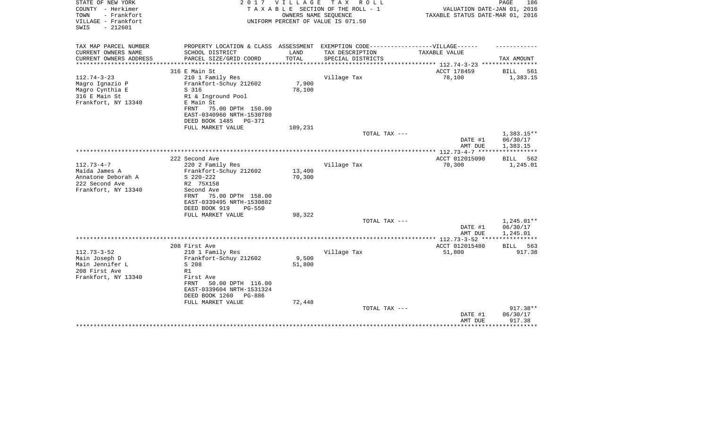| STATE OF NEW YORK<br>COUNTY - Herkimer<br>- Frankfort<br>TOWN<br>VILLAGE - Frankfort<br>$-212601$<br>SWIS | 2 0 1 7                                                                           | <b>VILLAGE</b> | T A X<br>R O L L<br>TAXABLE SECTION OF THE ROLL - 1<br>OWNERS NAME SEQUENCE<br>UNIFORM PERCENT OF VALUE IS 071.50 | VALUATION DATE-JAN 01, 2016<br>TAXABLE STATUS DATE-MAR 01, 2016 | PAGE<br>186              |
|-----------------------------------------------------------------------------------------------------------|-----------------------------------------------------------------------------------|----------------|-------------------------------------------------------------------------------------------------------------------|-----------------------------------------------------------------|--------------------------|
| TAX MAP PARCEL NUMBER                                                                                     | PROPERTY LOCATION & CLASS ASSESSMENT EXEMPTION CODE-----------------VILLAGE------ |                |                                                                                                                   |                                                                 |                          |
| CURRENT OWNERS NAME                                                                                       | SCHOOL DISTRICT                                                                   | LAND           | TAX DESCRIPTION                                                                                                   | TAXABLE VALUE                                                   |                          |
| CURRENT OWNERS ADDRESS<br>**********************                                                          | PARCEL SIZE/GRID COORD                                                            | TOTAL          | SPECIAL DISTRICTS                                                                                                 |                                                                 | TAX AMOUNT               |
|                                                                                                           | 316 E Main St                                                                     |                |                                                                                                                   | ACCT 178459                                                     | <b>BILL</b><br>561       |
| $112.74 - 3 - 23$                                                                                         | 210 1 Family Res                                                                  |                | Village Tax                                                                                                       | 78,100                                                          | 1,383.15                 |
| Magro Ignazio P                                                                                           | Frankfort-Schuy 212602                                                            | 7,900          |                                                                                                                   |                                                                 |                          |
| Magro Cynthia E                                                                                           | S 316                                                                             | 78,100         |                                                                                                                   |                                                                 |                          |
| 316 E Main St                                                                                             | R1 & Inground Pool                                                                |                |                                                                                                                   |                                                                 |                          |
| Frankfort, NY 13340                                                                                       | E Main St                                                                         |                |                                                                                                                   |                                                                 |                          |
|                                                                                                           | 75.00 DPTH 150.00<br>FRNT<br>EAST-0340960 NRTH-1530780                            |                |                                                                                                                   |                                                                 |                          |
|                                                                                                           | DEED BOOK 1485<br>PG-371                                                          |                |                                                                                                                   |                                                                 |                          |
|                                                                                                           | FULL MARKET VALUE                                                                 | 109,231        |                                                                                                                   |                                                                 |                          |
|                                                                                                           |                                                                                   |                | TOTAL TAX ---                                                                                                     |                                                                 | 1,383.15**               |
|                                                                                                           |                                                                                   |                |                                                                                                                   | DATE #1                                                         | 06/30/17                 |
|                                                                                                           |                                                                                   |                |                                                                                                                   | AMT DUE                                                         | 1,383.15                 |
|                                                                                                           |                                                                                   |                |                                                                                                                   |                                                                 |                          |
|                                                                                                           | 222 Second Ave                                                                    |                |                                                                                                                   | ACCT 012015090                                                  | BILL<br>562              |
| $112.73 - 4 - 7$                                                                                          | 220 2 Family Res                                                                  |                | Village Tax                                                                                                       | 70,300                                                          | 1,245.01                 |
| Maida James A                                                                                             | Frankfort-Schuy 212602                                                            | 13,400         |                                                                                                                   |                                                                 |                          |
| Annatone Deborah A<br>222 Second Ave                                                                      | $S$ 220-222<br>R2 75X158                                                          | 70,300         |                                                                                                                   |                                                                 |                          |
| Frankfort, NY 13340                                                                                       | Second Ave                                                                        |                |                                                                                                                   |                                                                 |                          |
|                                                                                                           | 75.00 DPTH 158.00<br>FRNT                                                         |                |                                                                                                                   |                                                                 |                          |
|                                                                                                           | EAST-0339495 NRTH-1530882                                                         |                |                                                                                                                   |                                                                 |                          |
|                                                                                                           | DEED BOOK 919<br>$PG-550$                                                         |                |                                                                                                                   |                                                                 |                          |
|                                                                                                           | FULL MARKET VALUE                                                                 | 98,322         |                                                                                                                   |                                                                 |                          |
|                                                                                                           |                                                                                   |                | TOTAL TAX ---                                                                                                     |                                                                 | 1,245.01**               |
|                                                                                                           |                                                                                   |                |                                                                                                                   | DATE #1                                                         | 06/30/17                 |
|                                                                                                           |                                                                                   |                |                                                                                                                   | AMT DUE<br>************** 112.73-3-52 ****                      | 1,245.01<br>************ |
|                                                                                                           | 208 First Ave                                                                     |                |                                                                                                                   | ACCT 012015480                                                  | BILL<br>563              |
| $112.73 - 3 - 52$                                                                                         | 210 1 Family Res                                                                  |                | Village Tax                                                                                                       | 51,800                                                          | 917.38                   |
| Main Joseph D                                                                                             | Frankfort-Schuy 212602                                                            | 9,500          |                                                                                                                   |                                                                 |                          |
| Main Jennifer L                                                                                           | S 208                                                                             | 51,800         |                                                                                                                   |                                                                 |                          |
| 208 First Ave                                                                                             | R1                                                                                |                |                                                                                                                   |                                                                 |                          |
| Frankfort, NY 13340                                                                                       | First Ave                                                                         |                |                                                                                                                   |                                                                 |                          |
|                                                                                                           | 50.00 DPTH 116.00<br>FRNT                                                         |                |                                                                                                                   |                                                                 |                          |
|                                                                                                           | EAST-0339604 NRTH-1531324                                                         |                |                                                                                                                   |                                                                 |                          |
|                                                                                                           | DEED BOOK 1260<br>PG-886<br>FULL MARKET VALUE                                     | 72,448         |                                                                                                                   |                                                                 |                          |
|                                                                                                           |                                                                                   |                | TOTAL TAX ---                                                                                                     |                                                                 | 917.38**                 |
|                                                                                                           |                                                                                   |                |                                                                                                                   | DATE #1                                                         | 06/30/17                 |
|                                                                                                           |                                                                                   |                |                                                                                                                   | AMT DUE                                                         | 917.38                   |
|                                                                                                           |                                                                                   |                |                                                                                                                   |                                                                 |                          |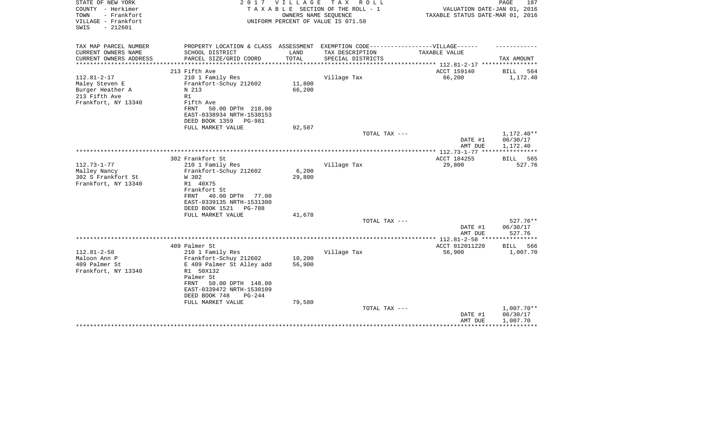| STATE OF NEW YORK<br>COUNTY - Herkimer<br>TOWN<br>- Frankfort<br>VILLAGE - Frankfort<br>$-212601$<br>SWIS | 2017                                                                                                                                                                | VILLAGE<br>OWNERS NAME SEQUENCE | T A X<br>R O L L<br>TAXABLE SECTION OF THE ROLL - 1<br>UNIFORM PERCENT OF VALUE IS 071.50 | VALUATION DATE-JAN 01, 2016<br>TAXABLE STATUS DATE-MAR 01, 2016 | PAGE<br>187                        |
|-----------------------------------------------------------------------------------------------------------|---------------------------------------------------------------------------------------------------------------------------------------------------------------------|---------------------------------|-------------------------------------------------------------------------------------------|-----------------------------------------------------------------|------------------------------------|
| TAX MAP PARCEL NUMBER                                                                                     | PROPERTY LOCATION & CLASS ASSESSMENT EXEMPTION CODE-----------------VILLAGE------                                                                                   |                                 |                                                                                           |                                                                 |                                    |
| CURRENT OWNERS NAME                                                                                       | SCHOOL DISTRICT                                                                                                                                                     | LAND                            | TAX DESCRIPTION                                                                           | <b>TAXABLE VALUE</b>                                            |                                    |
| CURRENT OWNERS ADDRESS<br>*********************                                                           | PARCEL SIZE/GRID COORD                                                                                                                                              | TOTAL                           | SPECIAL DISTRICTS                                                                         |                                                                 | TAX AMOUNT                         |
|                                                                                                           | 213 Fifth Ave                                                                                                                                                       |                                 |                                                                                           | ACCT 159140                                                     | <b>BILL</b><br>564                 |
| $112.81 - 2 - 17$<br>Maley Steven E<br>Burger Heather A<br>213 Fifth Ave<br>Frankfort, NY 13340           | 210 1 Family Res<br>Frankfort-Schuy 212602<br>N 213<br>R1<br>Fifth Ave<br>FRNT<br>50.00 DPTH 210.00<br>EAST-0338934 NRTH-1530153<br>DEED BOOK 1359<br><b>PG-981</b> | 11,800<br>66,200                | Village Tax                                                                               | 66,200                                                          | 1,172.40                           |
|                                                                                                           | FULL MARKET VALUE                                                                                                                                                   | 92,587                          |                                                                                           |                                                                 |                                    |
|                                                                                                           |                                                                                                                                                                     |                                 | TOTAL TAX ---                                                                             | DATE #1<br>AMT DUE                                              | 1,172.40**<br>06/30/17<br>1,172.40 |
|                                                                                                           |                                                                                                                                                                     |                                 |                                                                                           |                                                                 |                                    |
| $112.73 - 1 - 77$<br>Malley Nancy                                                                         | 302 Frankfort St<br>210 1 Family Res<br>Frankfort-Schuy 212602                                                                                                      | 6,200                           | Village Tax                                                                               | ACCT 184255<br>29,800                                           | BILL<br>565<br>527.76              |
| 302 S Frankfort St<br>Frankfort, NY 13340                                                                 | W 302<br>R1 40X75<br>Frankfort St<br>40.00 DPTH<br>FRNT<br>77.00<br>EAST-0339135 NRTH-1531300<br>DEED BOOK 1521<br>PG-788                                           | 29,800                          |                                                                                           |                                                                 |                                    |
|                                                                                                           | FULL MARKET VALUE                                                                                                                                                   | 41,678                          | TOTAL TAX ---                                                                             |                                                                 | $527.76**$                         |
|                                                                                                           |                                                                                                                                                                     |                                 |                                                                                           | DATE #1<br>AMT DUE                                              | 06/30/17<br>527.76                 |
|                                                                                                           |                                                                                                                                                                     |                                 |                                                                                           | *********** 112.81-2-58 *****************                       |                                    |
| $112.81 - 2 - 58$<br>Maloon Ann P<br>409 Palmer St<br>Frankfort, NY 13340                                 | 409 Palmer St<br>210 1 Family Res<br>Frankfort-Schuy 212602<br>E 409 Palmer St Alley add<br>R1 50X132<br>Palmer St                                                  | 10,200<br>56,900                | Village Tax                                                                               | ACCT 012011220<br>56,900                                        | 566<br><b>BILL</b><br>1,007.70     |
|                                                                                                           | 50.00 DPTH 148.00<br>FRNT<br>EAST-0339472 NRTH-1530109<br>DEED BOOK 748<br>$PG-244$<br>FULL MARKET VALUE                                                            | 79,580                          | TOTAL TAX ---                                                                             | DATE #1                                                         | $1,007.70**$<br>06/30/17           |
|                                                                                                           |                                                                                                                                                                     |                                 |                                                                                           | AMT DUE                                                         | 1,007.70                           |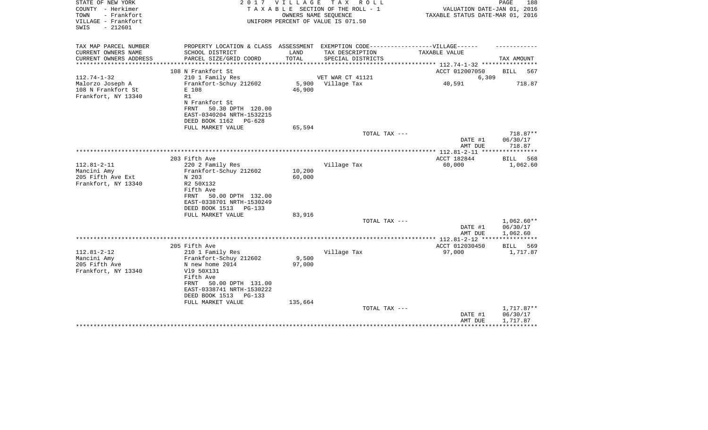| STATE OF NEW YORK<br>COUNTY - Herkimer<br>- Frankfort<br>TOWN<br>VILLAGE - Frankfort<br>$-212601$<br>SWIS |                                                                                                                         | 2017 VILLAGE         | TAX ROLL<br>TAXABLE SECTION OF THE ROLL - 1<br>OWNERS NAME SEOUENCE<br>UNIFORM PERCENT OF VALUE IS 071.50 | VALUATION DATE-JAN 01, 2016<br>TAXABLE STATUS DATE-MAR 01, 2016 | PAGE<br>188                        |
|-----------------------------------------------------------------------------------------------------------|-------------------------------------------------------------------------------------------------------------------------|----------------------|-----------------------------------------------------------------------------------------------------------|-----------------------------------------------------------------|------------------------------------|
| TAX MAP PARCEL NUMBER<br>CURRENT OWNERS NAME                                                              | PROPERTY LOCATION & CLASS ASSESSMENT EXEMPTION CODE-----------------VILLAGE------<br>SCHOOL DISTRICT                    | LAND                 | TAX DESCRIPTION                                                                                           | TAXABLE VALUE                                                   |                                    |
| CURRENT OWNERS ADDRESS                                                                                    | PARCEL SIZE/GRID COORD                                                                                                  | TOTAL                | SPECIAL DISTRICTS                                                                                         |                                                                 | TAX AMOUNT                         |
|                                                                                                           | 108 N Frankfort St                                                                                                      | ******************** |                                                                                                           | ************ 112.74-1-32 *********<br>ACCT 012007050            | <b>BILL</b><br>567                 |
| $112.74 - 1 - 32$                                                                                         | 210 1 Family Res                                                                                                        |                      | VET WAR CT 41121                                                                                          | 6,309                                                           |                                    |
| Malorzo Joseph A<br>108 N Frankfort St<br>Frankfort, NY 13340                                             | Frankfort-Schuy 212602<br>E 108<br>R1                                                                                   | 46,900               | 5,900 Village Tax                                                                                         | 40,591                                                          | 718.87                             |
|                                                                                                           | N Frankfort St<br>50.30 DPTH 120.00<br>FRNT<br>EAST-0340204 NRTH-1532215<br>DEED BOOK 1162<br>$PG-628$                  |                      |                                                                                                           |                                                                 |                                    |
|                                                                                                           | FULL MARKET VALUE                                                                                                       | 65,594               | TOTAL TAX ---                                                                                             |                                                                 |                                    |
|                                                                                                           |                                                                                                                         |                      |                                                                                                           | DATE #1<br>AMT DUE                                              | 718.87**<br>06/30/17<br>718.87     |
|                                                                                                           |                                                                                                                         |                      |                                                                                                           |                                                                 |                                    |
| $112.81 - 2 - 11$<br>Mancini Amy                                                                          | 203 Fifth Ave<br>220 2 Family Res<br>Frankfort-Schuy 212602                                                             | 10,200               | Village Tax                                                                                               | ACCT 182844<br>60,000                                           | 568<br>BILL<br>1,062.60            |
| 205 Fifth Ave Ext<br>Frankfort, NY 13340                                                                  | N 203<br>R2 50X132<br>Fifth Ave<br>50.00 DPTH 132.00<br>FRNT<br>EAST-0338701 NRTH-1530249<br>DEED BOOK 1513<br>$PG-133$ | 60,000               |                                                                                                           |                                                                 |                                    |
|                                                                                                           | FULL MARKET VALUE                                                                                                       | 83,916               | TOTAL TAX ---                                                                                             |                                                                 | 1,062.60**                         |
|                                                                                                           |                                                                                                                         |                      |                                                                                                           | DATE #1<br>AMT DUE                                              | 06/30/17<br>1,062.60               |
|                                                                                                           |                                                                                                                         |                      |                                                                                                           | *************** 112.81-2-12 *****************                   |                                    |
| $112.81 - 2 - 12$                                                                                         | 205 Fifth Ave<br>210 1 Family Res                                                                                       |                      | Village Tax                                                                                               | ACCT 012030450<br>97,000                                        | BILL<br>569<br>1,717.87            |
| Mancini Amy<br>205 Fifth Ave<br>Frankfort, NY 13340                                                       | Frankfort-Schuy 212602<br>N new home 2014<br>V19 50X131<br>Fifth Ave<br>50.00 DPTH 131.00<br>FRNT                       | 9,500<br>97,000      |                                                                                                           |                                                                 |                                    |
|                                                                                                           | EAST-0338741 NRTH-1530222<br>DEED BOOK 1513<br>$PG-133$<br>FULL MARKET VALUE                                            | 135,664              |                                                                                                           |                                                                 |                                    |
|                                                                                                           |                                                                                                                         |                      | TOTAL TAX ---                                                                                             | DATE #1<br>AMT DUE                                              | 1,717.87**<br>06/30/17<br>1,717.87 |
|                                                                                                           |                                                                                                                         |                      |                                                                                                           |                                                                 |                                    |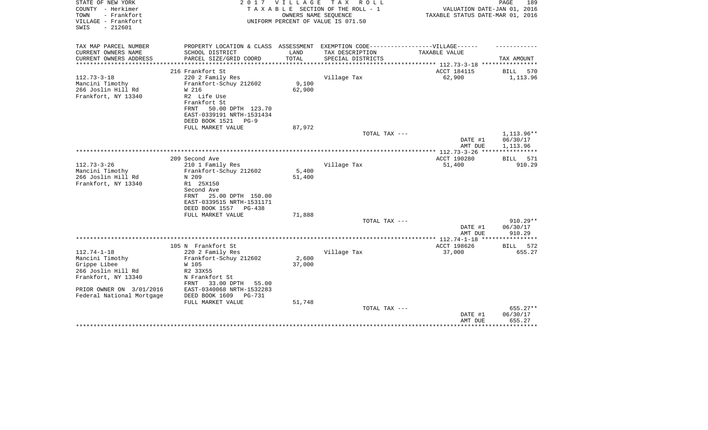| STATE OF NEW YORK<br>COUNTY - Herkimer<br>- Frankfort<br>TOWN | 2017                                                                              | <b>VILLAGE</b> | T A X<br>R O L L<br>TAXABLE SECTION OF THE ROLL - 1<br>OWNERS NAME SEQUENCE | VALUATION DATE-JAN 01, 2016<br>TAXABLE STATUS DATE-MAR 01, 2016 | PAGE<br>189        |
|---------------------------------------------------------------|-----------------------------------------------------------------------------------|----------------|-----------------------------------------------------------------------------|-----------------------------------------------------------------|--------------------|
| VILLAGE - Frankfort<br>$-212601$<br>SWIS                      |                                                                                   |                | UNIFORM PERCENT OF VALUE IS 071.50                                          |                                                                 |                    |
| TAX MAP PARCEL NUMBER                                         | PROPERTY LOCATION & CLASS ASSESSMENT EXEMPTION CODE-----------------VILLAGE------ |                |                                                                             |                                                                 |                    |
| CURRENT OWNERS NAME                                           | SCHOOL DISTRICT                                                                   | LAND           | TAX DESCRIPTION                                                             | TAXABLE VALUE                                                   |                    |
| CURRENT OWNERS ADDRESS<br>*********************               | PARCEL SIZE/GRID COORD                                                            | TOTAL          | SPECIAL DISTRICTS                                                           | **************************** 112.73-3-18 ****************       | TAX AMOUNT         |
|                                                               | 216 Frankfort St                                                                  |                |                                                                             | ACCT 184115                                                     | 570<br>BILL        |
| $112.73 - 3 - 18$                                             | 220 2 Family Res                                                                  |                | Village Tax                                                                 | 62,900                                                          | 1,113.96           |
| Mancini Timothy                                               | Frankfort-Schuy 212602                                                            | 9,100          |                                                                             |                                                                 |                    |
| 266 Joslin Hill Rd                                            | W 216                                                                             | 62,900         |                                                                             |                                                                 |                    |
| Frankfort, NY 13340                                           | R2 Life Use                                                                       |                |                                                                             |                                                                 |                    |
|                                                               | Frankfort St<br>50.00 DPTH 123.70<br>FRNT                                         |                |                                                                             |                                                                 |                    |
|                                                               | EAST-0339191 NRTH-1531434                                                         |                |                                                                             |                                                                 |                    |
|                                                               | DEED BOOK 1521<br>$PG-9$                                                          |                |                                                                             |                                                                 |                    |
|                                                               | FULL MARKET VALUE                                                                 | 87,972         |                                                                             |                                                                 |                    |
|                                                               |                                                                                   |                | TOTAL TAX ---                                                               |                                                                 | 1,113.96**         |
|                                                               |                                                                                   |                |                                                                             | DATE #1                                                         | 06/30/17           |
|                                                               |                                                                                   |                |                                                                             | AMT DUE                                                         | 1,113.96           |
|                                                               | 209 Second Ave                                                                    |                |                                                                             | ACCT 190280                                                     | <b>BILL</b> 571    |
| $112.73 - 3 - 26$                                             | 210 1 Family Res                                                                  |                | Village Tax                                                                 | 51,400                                                          | 910.29             |
| Mancini Timothy                                               | Frankfort-Schuy 212602                                                            | 5,400          |                                                                             |                                                                 |                    |
| 266 Joslin Hill Rd                                            | N 209                                                                             | 51,400         |                                                                             |                                                                 |                    |
| Frankfort, NY 13340                                           | R1 25X150<br>Second Ave                                                           |                |                                                                             |                                                                 |                    |
|                                                               | 25.00 DPTH 150.00<br>FRNT                                                         |                |                                                                             |                                                                 |                    |
|                                                               | EAST-0339515 NRTH-1531171                                                         |                |                                                                             |                                                                 |                    |
|                                                               | DEED BOOK 1557<br>PG-438                                                          |                |                                                                             |                                                                 |                    |
|                                                               | FULL MARKET VALUE                                                                 | 71,888         |                                                                             |                                                                 |                    |
|                                                               |                                                                                   |                | TOTAL TAX ---                                                               |                                                                 | $910.29**$         |
|                                                               |                                                                                   |                |                                                                             | DATE #1<br>AMT DUE                                              | 06/30/17<br>910.29 |
|                                                               |                                                                                   |                |                                                                             | *************** 112.74-1-18 ****                                | ************       |
|                                                               | 105 N Frankfort St                                                                |                |                                                                             | ACCT 198626                                                     | 572<br>BILL        |
| $112.74 - 1 - 18$                                             | 220 2 Family Res                                                                  |                | Village Tax                                                                 | 37,000                                                          | 655.27             |
| Mancini Timothy                                               | Frankfort-Schuy 212602                                                            | 2,600          |                                                                             |                                                                 |                    |
| Grippe Libee<br>266 Joslin Hill Rd                            | W 105<br>R2 33X55                                                                 | 37,000         |                                                                             |                                                                 |                    |
| Frankfort, NY 13340                                           | N Frankfort St                                                                    |                |                                                                             |                                                                 |                    |
|                                                               | 33.00 DPTH<br>55.00<br>FRNT                                                       |                |                                                                             |                                                                 |                    |
| PRIOR OWNER ON 3/01/2016                                      | EAST-0340068 NRTH-1532283                                                         |                |                                                                             |                                                                 |                    |
| Federal National Mortgage                                     | DEED BOOK 1609<br>PG-731                                                          |                |                                                                             |                                                                 |                    |
|                                                               | FULL MARKET VALUE                                                                 | 51,748         |                                                                             |                                                                 | 655.27**           |
|                                                               |                                                                                   |                | TOTAL TAX ---                                                               | DATE #1                                                         | 06/30/17           |
|                                                               |                                                                                   |                |                                                                             | AMT DUE                                                         | 655.27             |
|                                                               |                                                                                   |                |                                                                             |                                                                 |                    |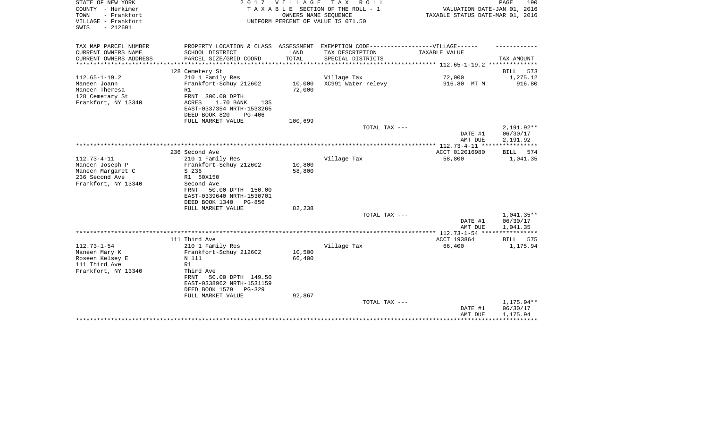| STATE OF NEW YORK<br>COUNTY - Herkimer<br>- Frankfort<br>TOWN<br>VILLAGE - Frankfort<br>$-212601$<br>SWIS |                                                                                                                                                  | 2017 VILLAGE<br>OWNERS NAME SEQUENCE | TAX ROLL<br>TAXABLE SECTION OF THE ROLL - 1<br>UNIFORM PERCENT OF VALUE IS 071.50                    | VALUATION DATE-JAN 01, 2016<br>TAXABLE STATUS DATE-MAR 01, 2016 | PAGE<br>190                        |
|-----------------------------------------------------------------------------------------------------------|--------------------------------------------------------------------------------------------------------------------------------------------------|--------------------------------------|------------------------------------------------------------------------------------------------------|-----------------------------------------------------------------|------------------------------------|
| TAX MAP PARCEL NUMBER<br>CURRENT OWNERS NAME                                                              | SCHOOL DISTRICT                                                                                                                                  | LAND                                 | PROPERTY LOCATION & CLASS ASSESSMENT EXEMPTION CODE-----------------VILLAGE------<br>TAX DESCRIPTION | TAXABLE VALUE                                                   |                                    |
| CURRENT OWNERS ADDRESS<br>********************                                                            | PARCEL SIZE/GRID COORD<br>***********************                                                                                                | TOTAL<br>**************              | SPECIAL DISTRICTS                                                                                    |                                                                 | TAX AMOUNT                         |
|                                                                                                           | 128 Cemetery St                                                                                                                                  |                                      |                                                                                                      |                                                                 | 573<br><b>BILL</b>                 |
| $112.65 - 1 - 19.2$                                                                                       | 210 1 Family Res                                                                                                                                 |                                      | Village Tax                                                                                          | 72,000                                                          | 1,275.12                           |
| Maneen Joann<br>Maneen Theresa<br>128 Cemetary St<br>Frankfort, NY 13340                                  | Frankfort-Schuy 212602<br>R1<br>FRNT 300.00 DPTH<br>ACRES<br>1.70 BANK<br>135<br>EAST-0337354 NRTH-1533265<br>DEED BOOK 820<br>$PG-406$          | 10,000<br>72,000                     | XC991 Water relevy                                                                                   | 916.80 MT M                                                     | 916.80                             |
|                                                                                                           | FULL MARKET VALUE                                                                                                                                | 100,699                              |                                                                                                      |                                                                 |                                    |
|                                                                                                           |                                                                                                                                                  |                                      | TOTAL TAX ---                                                                                        | DATE #1<br>AMT DUE                                              | 2,191.92**<br>06/30/17<br>2,191.92 |
|                                                                                                           |                                                                                                                                                  |                                      |                                                                                                      |                                                                 |                                    |
| $112.73 - 4 - 11$                                                                                         | 236 Second Ave<br>210 1 Family Res                                                                                                               |                                      | Village Tax                                                                                          | ACCT 012016980<br>58,800                                        | 574<br>BILL<br>1,041.35            |
| Maneen Joseph P<br>Maneen Margaret C<br>236 Second Ave<br>Frankfort, NY 13340                             | Frankfort-Schuy 212602<br>S 236<br>R1 50X150<br>Second Ave<br>FRNT<br>50.00 DPTH 150.00<br>EAST-0339640 NRTH-1530701<br>DEED BOOK 1340<br>PG-856 | 10,800<br>58,800                     |                                                                                                      |                                                                 |                                    |
|                                                                                                           | FULL MARKET VALUE                                                                                                                                | 82,238                               | TOTAL TAX ---                                                                                        |                                                                 | 1,041.35**                         |
|                                                                                                           |                                                                                                                                                  |                                      |                                                                                                      | DATE #1<br>AMT DUE                                              | 06/30/17<br>1,041.35               |
|                                                                                                           |                                                                                                                                                  |                                      |                                                                                                      |                                                                 | ***********                        |
| $112.73 - 1 - 54$                                                                                         | 111 Third Ave<br>210 1 Family Res                                                                                                                |                                      | Village Tax                                                                                          | ACCT 193864<br>66,400                                           | 575<br>BILL<br>1,175.94            |
| Maneen Mary K<br>Roseen Kelsey E<br>111 Third Ave                                                         | Frankfort-Schuy 212602<br>N 111<br>R1                                                                                                            | 10,500<br>66,400                     |                                                                                                      |                                                                 |                                    |
| Frankfort, NY 13340                                                                                       | Third Ave<br>50.00 DPTH 149.50<br><b>FRNT</b><br>EAST-0338962 NRTH-1531159<br>DEED BOOK 1579<br>PG-329<br>FULL MARKET VALUE                      |                                      |                                                                                                      |                                                                 |                                    |
|                                                                                                           |                                                                                                                                                  | 92,867                               | TOTAL TAX ---                                                                                        | DATE #1<br>AMT DUE                                              | 1,175.94**<br>06/30/17<br>1,175.94 |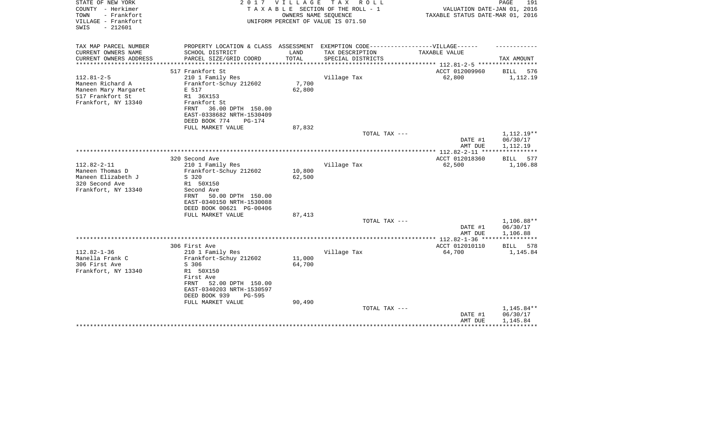| STATE OF NEW YORK<br>COUNTY - Herkimer<br>TOWN<br>- Frankfort<br>VILLAGE - Frankfort<br>$-212601$<br>SWIS | 2017                                                                                                                                       | <b>VILLAGE</b>  | T A X<br>R O L L<br>TAXABLE SECTION OF THE ROLL - 1<br>OWNERS NAME SEQUENCE<br>UNIFORM PERCENT OF VALUE IS 071.50 | VALUATION DATE-JAN 01, 2016<br>TAXABLE STATUS DATE-MAR 01, 2016 | PAGE<br>191                        |
|-----------------------------------------------------------------------------------------------------------|--------------------------------------------------------------------------------------------------------------------------------------------|-----------------|-------------------------------------------------------------------------------------------------------------------|-----------------------------------------------------------------|------------------------------------|
| TAX MAP PARCEL NUMBER                                                                                     | PROPERTY LOCATION & CLASS ASSESSMENT EXEMPTION CODE-----------------VILLAGE------                                                          |                 |                                                                                                                   |                                                                 |                                    |
| CURRENT OWNERS NAME<br>CURRENT OWNERS ADDRESS                                                             | SCHOOL DISTRICT<br>PARCEL SIZE/GRID COORD                                                                                                  | LAND<br>TOTAL   | TAX DESCRIPTION<br>SPECIAL DISTRICTS                                                                              | TAXABLE VALUE                                                   | TAX AMOUNT                         |
| ********************                                                                                      |                                                                                                                                            |                 |                                                                                                                   | *************************** 112.81-2-5 *****************        |                                    |
|                                                                                                           | 517 Frankfort St                                                                                                                           |                 |                                                                                                                   | ACCT 012009960                                                  | BILL<br>576                        |
| $112.81 - 2 - 5$<br>Maneen Richard A<br>Maneen Mary Margaret<br>517 Frankfort St<br>Frankfort, NY 13340   | 210 1 Family Res<br>Frankfort-Schuy 212602<br>E 517<br>R1 36X153<br>Frankfort St<br>36.00 DPTH 150.00<br>FRNT<br>EAST-0338682 NRTH-1530409 | 7,700<br>62,800 | Village Tax                                                                                                       | 62,800                                                          | 1,112.19                           |
|                                                                                                           | DEED BOOK 774<br><b>PG-174</b>                                                                                                             |                 |                                                                                                                   |                                                                 |                                    |
|                                                                                                           | FULL MARKET VALUE                                                                                                                          | 87,832          |                                                                                                                   |                                                                 |                                    |
|                                                                                                           |                                                                                                                                            |                 | TOTAL TAX ---                                                                                                     | DATE #1                                                         | 1,112.19**<br>06/30/17             |
|                                                                                                           |                                                                                                                                            |                 |                                                                                                                   | AMT DUE                                                         | 1,112.19                           |
|                                                                                                           |                                                                                                                                            |                 |                                                                                                                   | **************** 112.82-2-11 ****                               |                                    |
| $112.82 - 2 - 11$                                                                                         | 320 Second Ave<br>210 1 Family Res                                                                                                         |                 | Village Tax                                                                                                       | ACCT 012018360<br>62,500                                        | <b>BILL</b><br>577<br>1,106.88     |
| Maneen Thomas D                                                                                           | Frankfort-Schuy 212602                                                                                                                     | 10,800          |                                                                                                                   |                                                                 |                                    |
| Maneen Elizabeth J                                                                                        | S 320                                                                                                                                      | 62,500          |                                                                                                                   |                                                                 |                                    |
| 320 Second Ave                                                                                            | R1 50X150                                                                                                                                  |                 |                                                                                                                   |                                                                 |                                    |
| Frankfort, NY 13340                                                                                       | Second Ave                                                                                                                                 |                 |                                                                                                                   |                                                                 |                                    |
|                                                                                                           | 50.00 DPTH 150.00<br>FRNT                                                                                                                  |                 |                                                                                                                   |                                                                 |                                    |
|                                                                                                           | EAST-0340150 NRTH-1530088                                                                                                                  |                 |                                                                                                                   |                                                                 |                                    |
|                                                                                                           | DEED BOOK 00621 PG-00406                                                                                                                   |                 |                                                                                                                   |                                                                 |                                    |
|                                                                                                           | FULL MARKET VALUE                                                                                                                          | 87,413          |                                                                                                                   |                                                                 |                                    |
|                                                                                                           |                                                                                                                                            |                 | TOTAL TAX ---                                                                                                     |                                                                 | 1,106.88**                         |
|                                                                                                           |                                                                                                                                            |                 |                                                                                                                   | DATE #1                                                         | 06/30/17                           |
|                                                                                                           |                                                                                                                                            |                 |                                                                                                                   | AMT DUE                                                         | 1,106.88                           |
|                                                                                                           |                                                                                                                                            |                 |                                                                                                                   |                                                                 | ***********                        |
|                                                                                                           | 306 First Ave                                                                                                                              |                 |                                                                                                                   | ACCT 012010110                                                  | 578<br>BILL                        |
| $112.82 - 1 - 36$                                                                                         | 210 1 Family Res                                                                                                                           |                 | Village Tax                                                                                                       | 64,700                                                          | 1,145.84                           |
| Manella Frank C                                                                                           | Frankfort-Schuy 212602                                                                                                                     | 11,000          |                                                                                                                   |                                                                 |                                    |
| 306 First Ave                                                                                             | S 306                                                                                                                                      | 64,700          |                                                                                                                   |                                                                 |                                    |
| Frankfort, NY 13340                                                                                       | R1 50X150<br>First Ave<br>FRNT<br>52.00 DPTH 150.00<br>EAST-0340203 NRTH-1530597<br>DEED BOOK 939<br>$PG-595$                              |                 |                                                                                                                   |                                                                 |                                    |
|                                                                                                           | FULL MARKET VALUE                                                                                                                          | 90,490          |                                                                                                                   |                                                                 |                                    |
|                                                                                                           |                                                                                                                                            |                 | TOTAL TAX ---                                                                                                     | DATE #1<br>AMT DUE                                              | 1,145.84**<br>06/30/17<br>1,145.84 |
|                                                                                                           |                                                                                                                                            |                 |                                                                                                                   |                                                                 |                                    |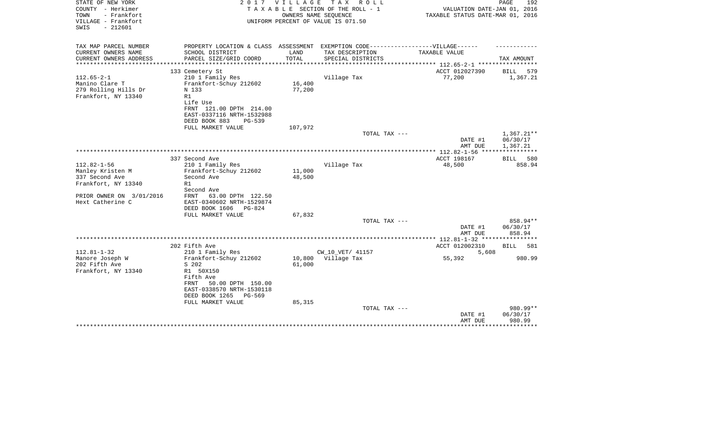| STATE OF NEW YORK<br>COUNTY - Herkimer<br>TOWN<br>- Frankfort | 2017                                                                              | <b>VILLAGE</b>       | T A X<br>R O L L<br>TAXABLE SECTION OF THE ROLL - 1        | VALUATION DATE-JAN 01, 2016                    | PAGE<br>192        |
|---------------------------------------------------------------|-----------------------------------------------------------------------------------|----------------------|------------------------------------------------------------|------------------------------------------------|--------------------|
| VILLAGE - Frankfort<br>$-212601$<br>SWIS                      |                                                                                   |                      | OWNERS NAME SEQUENCE<br>UNIFORM PERCENT OF VALUE IS 071.50 | TAXABLE STATUS DATE-MAR 01, 2016               |                    |
| TAX MAP PARCEL NUMBER                                         | PROPERTY LOCATION & CLASS ASSESSMENT EXEMPTION CODE-----------------VILLAGE------ |                      |                                                            |                                                |                    |
| CURRENT OWNERS NAME                                           | SCHOOL DISTRICT                                                                   | LAND                 | TAX DESCRIPTION                                            | TAXABLE VALUE                                  |                    |
| CURRENT OWNERS ADDRESS<br>*************                       | PARCEL SIZE/GRID COORD<br>************************                                | TOTAL<br>*********** | SPECIAL DISTRICTS                                          | **************** 112.65-2-1 ****************** | TAX AMOUNT         |
|                                                               | 133 Cemetery St                                                                   |                      |                                                            | ACCT 012027390                                 | BILL<br>579        |
| $112.65 - 2 - 1$                                              | 210 1 Family Res                                                                  |                      | Village Tax                                                | 77,200                                         | 1,367.21           |
| Manino Clare T                                                | Frankfort-Schuy 212602                                                            | 16,400               |                                                            |                                                |                    |
| 279 Rolling Hills Dr                                          | N 133                                                                             | 77,200               |                                                            |                                                |                    |
| Frankfort, NY 13340                                           | R1                                                                                |                      |                                                            |                                                |                    |
|                                                               | Life Use                                                                          |                      |                                                            |                                                |                    |
|                                                               | FRNT 121.00 DPTH 214.00                                                           |                      |                                                            |                                                |                    |
|                                                               | EAST-0337116 NRTH-1532988                                                         |                      |                                                            |                                                |                    |
|                                                               | DEED BOOK 883<br>$PG-539$<br>FULL MARKET VALUE                                    | 107,972              |                                                            |                                                |                    |
|                                                               |                                                                                   |                      | TOTAL TAX ---                                              |                                                | $1,367.21**$       |
|                                                               |                                                                                   |                      |                                                            | DATE #1                                        | 06/30/17           |
|                                                               |                                                                                   |                      |                                                            | AMT DUE                                        | 1,367.21           |
|                                                               |                                                                                   |                      |                                                            | ************* 112.82-1-56 *****************    |                    |
|                                                               | 337 Second Ave                                                                    |                      |                                                            | ACCT 198167                                    | BILL 580           |
| $112.82 - 1 - 56$                                             | 210 1 Family Res                                                                  |                      | Village Tax                                                | 48,500                                         | 858.94             |
| Manley Kristen M                                              | Frankfort-Schuy 212602                                                            | 11,000               |                                                            |                                                |                    |
| 337 Second Ave                                                | Second Ave                                                                        | 48,500               |                                                            |                                                |                    |
| Frankfort, NY 13340                                           | R1                                                                                |                      |                                                            |                                                |                    |
| PRIOR OWNER ON 3/01/2016                                      | Second Ave<br>63.00 DPTH 122.50<br>FRNT                                           |                      |                                                            |                                                |                    |
| Hext Catherine C                                              | EAST-0340602 NRTH-1529874                                                         |                      |                                                            |                                                |                    |
|                                                               | DEED BOOK 1606<br>PG-824                                                          |                      |                                                            |                                                |                    |
|                                                               | FULL MARKET VALUE                                                                 | 67,832               |                                                            |                                                |                    |
|                                                               |                                                                                   |                      | TOTAL TAX ---                                              |                                                | 858.94**           |
|                                                               |                                                                                   |                      |                                                            | DATE #1                                        | 06/30/17           |
|                                                               |                                                                                   |                      |                                                            | AMT DUE                                        | 858.94             |
|                                                               |                                                                                   |                      |                                                            |                                                |                    |
|                                                               | 202 Fifth Ave                                                                     |                      |                                                            | ACCT 012002310                                 | <b>BILL</b><br>581 |
| $112.81 - 1 - 32$                                             | 210 1 Family Res                                                                  |                      | CW_10_VET/ 41157                                           | 5,608                                          |                    |
| Manore Joseph W                                               | Frankfort-Schuy 212602                                                            | 10,800               | Village Tax                                                | 55,392                                         | 980.99             |
| 202 Fifth Ave                                                 | S 202<br>R1 50X150                                                                | 61,000               |                                                            |                                                |                    |
| Frankfort, NY 13340                                           | Fifth Ave                                                                         |                      |                                                            |                                                |                    |
|                                                               | 50.00 DPTH 150.00<br>FRNT                                                         |                      |                                                            |                                                |                    |
|                                                               | EAST-0338570 NRTH-1530118                                                         |                      |                                                            |                                                |                    |
|                                                               | DEED BOOK 1265<br>PG-569                                                          |                      |                                                            |                                                |                    |
|                                                               | FULL MARKET VALUE                                                                 | 85,315               |                                                            |                                                |                    |
|                                                               |                                                                                   |                      | TOTAL TAX ---                                              |                                                | 980.99**           |
|                                                               |                                                                                   |                      |                                                            | DATE #1                                        | 06/30/17           |
|                                                               |                                                                                   |                      |                                                            | AMT DUE                                        | 980.99             |
|                                                               |                                                                                   |                      |                                                            |                                                | **********         |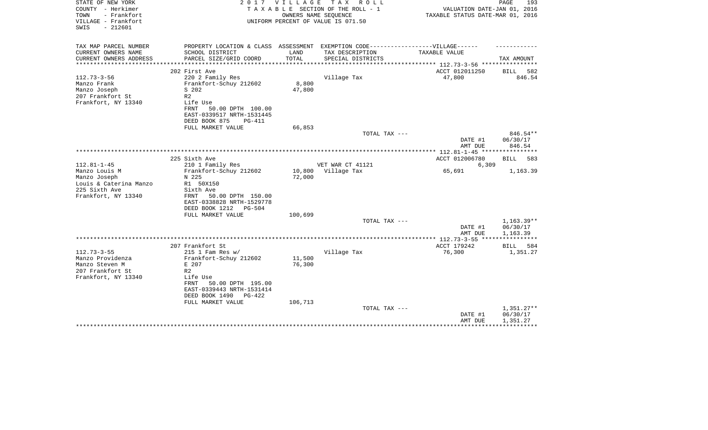| STATE OF NEW YORK<br>COUNTY - Herkimer<br>TOWN<br>- Frankfort<br>VILLAGE - Frankfort<br>$-212601$<br>SWIS | 2 0 1 7                                                                                                                                                                  | <b>VILLAGE</b>   | T A X<br>R O L L<br>TAXABLE SECTION OF THE ROLL - 1<br>OWNERS NAME SEQUENCE<br>UNIFORM PERCENT OF VALUE IS 071.50 | VALUATION DATE-JAN 01, 2016<br>TAXABLE STATUS DATE-MAR 01, 2016 | PAGE<br>193                                         |
|-----------------------------------------------------------------------------------------------------------|--------------------------------------------------------------------------------------------------------------------------------------------------------------------------|------------------|-------------------------------------------------------------------------------------------------------------------|-----------------------------------------------------------------|-----------------------------------------------------|
| TAX MAP PARCEL NUMBER                                                                                     | PROPERTY LOCATION & CLASS ASSESSMENT EXEMPTION CODE-----------------VILLAGE------                                                                                        |                  |                                                                                                                   |                                                                 |                                                     |
| CURRENT OWNERS NAME<br>CURRENT OWNERS ADDRESS                                                             | SCHOOL DISTRICT<br>PARCEL SIZE/GRID COORD                                                                                                                                | LAND<br>TOTAL    | TAX DESCRIPTION<br>SPECIAL DISTRICTS                                                                              | TAXABLE VALUE                                                   | TAX AMOUNT                                          |
| **********************                                                                                    |                                                                                                                                                                          |                  |                                                                                                                   |                                                                 |                                                     |
|                                                                                                           | 202 First Ave                                                                                                                                                            |                  |                                                                                                                   | ACCT 012011250                                                  | 582<br>BILL                                         |
| $112.73 - 3 - 56$<br>Manzo Frank<br>Manzo Joseph<br>207 Frankfort St<br>Frankfort, NY 13340               | 220 2 Family Res<br>Frankfort-Schuy 212602<br>S 202<br>R <sub>2</sub><br>Life Use<br>FRNT<br>50.00 DPTH 100.00<br>EAST-0339517 NRTH-1531445<br>DEED BOOK 875<br>$PG-411$ | 8,800<br>47,800  | Village Tax                                                                                                       | 47,800                                                          | 846.54                                              |
|                                                                                                           | FULL MARKET VALUE                                                                                                                                                        | 66,853           |                                                                                                                   |                                                                 |                                                     |
|                                                                                                           |                                                                                                                                                                          |                  | TOTAL TAX ---                                                                                                     | DATE #1<br>AMT DUE                                              | 846.54**<br>06/30/17<br>846.54                      |
|                                                                                                           |                                                                                                                                                                          |                  |                                                                                                                   |                                                                 |                                                     |
| $112.81 - 1 - 45$                                                                                         | 225 Sixth Ave                                                                                                                                                            |                  | VET WAR CT 41121                                                                                                  | ACCT 012006780                                                  | 583<br>BILL                                         |
| Manzo Louis M                                                                                             | 210 1 Family Res<br>Frankfort-Schuy 212602                                                                                                                               | 10,800           | Village Tax                                                                                                       | 6,309<br>65,691                                                 | 1,163.39                                            |
| Manzo Joseph                                                                                              | N 225                                                                                                                                                                    | 72,000           |                                                                                                                   |                                                                 |                                                     |
| Louis & Caterina Manzo                                                                                    | R1 50X150                                                                                                                                                                |                  |                                                                                                                   |                                                                 |                                                     |
| 225 Sixth Ave<br>Frankfort, NY 13340                                                                      | Sixth Ave<br>50.00 DPTH 150.00<br>FRNT<br>EAST-0338828 NRTH-1529778<br>DEED BOOK 1212<br>$PG-504$                                                                        |                  |                                                                                                                   |                                                                 |                                                     |
|                                                                                                           | FULL MARKET VALUE                                                                                                                                                        | 100,699          |                                                                                                                   |                                                                 |                                                     |
|                                                                                                           |                                                                                                                                                                          |                  | TOTAL TAX ---                                                                                                     | DATE #1<br>AMT DUE                                              | $1,163.39**$<br>06/30/17<br>1,163.39                |
|                                                                                                           |                                                                                                                                                                          |                  |                                                                                                                   |                                                                 |                                                     |
|                                                                                                           | 207 Frankfort St                                                                                                                                                         |                  |                                                                                                                   | ACCT 179242                                                     | BILL<br>584                                         |
| $112.73 - 3 - 55$<br>Manzo Providenza<br>Manzo Steven M<br>207 Frankfort St<br>Frankfort, NY 13340        | $215$ 1 Fam Res w/<br>Frankfort-Schuy 212602<br>E 207<br>R <sub>2</sub><br>Life Use<br>50.00 DPTH 195.00<br>FRNT<br>EAST-0339443 NRTH-1531414                            | 11,500<br>76,300 | Village Tax                                                                                                       | 76,300                                                          | 1,351.27                                            |
|                                                                                                           | DEED BOOK 1490<br>$PG-422$<br>FULL MARKET VALUE                                                                                                                          | 106,713          |                                                                                                                   |                                                                 |                                                     |
|                                                                                                           |                                                                                                                                                                          |                  | TOTAL TAX ---                                                                                                     | DATE #1<br>AMT DUE                                              | $1,351.27**$<br>06/30/17<br>1,351.27<br>*********** |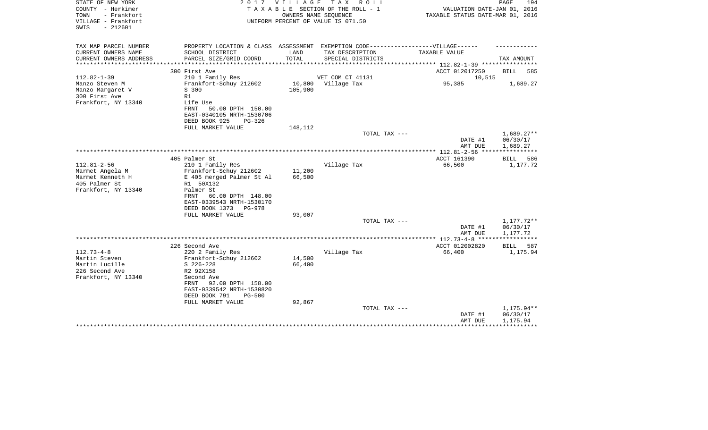| STATE OF NEW YORK<br>COUNTY - Herkimer<br>- Frankfort<br>TOWN<br>VILLAGE - Frankfort<br>$-212601$<br>SWIS | 2017                                                                                                 | V I L L A G E | T A X<br>R O L L<br>TAXABLE SECTION OF THE ROLL - 1<br>OWNERS NAME SEQUENCE<br>UNIFORM PERCENT OF VALUE IS 071.50 | VALUATION DATE-JAN 01, 2016<br>TAXABLE STATUS DATE-MAR 01, 2016 | PAGE<br>194        |
|-----------------------------------------------------------------------------------------------------------|------------------------------------------------------------------------------------------------------|---------------|-------------------------------------------------------------------------------------------------------------------|-----------------------------------------------------------------|--------------------|
| TAX MAP PARCEL NUMBER<br>CURRENT OWNERS NAME                                                              | PROPERTY LOCATION & CLASS ASSESSMENT EXEMPTION CODE-----------------VILLAGE------<br>SCHOOL DISTRICT | LAND          | TAX DESCRIPTION                                                                                                   | TAXABLE VALUE                                                   |                    |
| CURRENT OWNERS ADDRESS<br>**************                                                                  | PARCEL SIZE/GRID COORD<br>***************************                                                | TOTAL         | SPECIAL DISTRICTS                                                                                                 | *************** 112.82-1-39 ***********                         | TAX AMOUNT         |
|                                                                                                           | 300 First Ave                                                                                        |               |                                                                                                                   | ACCT 012017250                                                  | <b>BILL</b><br>585 |
| $112.82 - 1 - 39$                                                                                         | 210 1 Family Res                                                                                     |               | VET COM CT 41131                                                                                                  | 10,515                                                          |                    |
| Manzo Steven M                                                                                            | Frankfort-Schuy 212602                                                                               | 10,800        | Village Tax                                                                                                       | 95,385                                                          | 1,689.27           |
| Manzo Margaret V                                                                                          | S 300                                                                                                | 105,900       |                                                                                                                   |                                                                 |                    |
| 300 First Ave                                                                                             | R1                                                                                                   |               |                                                                                                                   |                                                                 |                    |
| Frankfort, NY 13340                                                                                       | Life Use                                                                                             |               |                                                                                                                   |                                                                 |                    |
|                                                                                                           | FRNT<br>50.00 DPTH 150.00                                                                            |               |                                                                                                                   |                                                                 |                    |
|                                                                                                           | EAST-0340105 NRTH-1530706                                                                            |               |                                                                                                                   |                                                                 |                    |
|                                                                                                           | DEED BOOK 925<br>$PG-326$<br>FULL MARKET VALUE                                                       | 148,112       |                                                                                                                   |                                                                 |                    |
|                                                                                                           |                                                                                                      |               | TOTAL TAX ---                                                                                                     |                                                                 | $1,689.27**$       |
|                                                                                                           |                                                                                                      |               |                                                                                                                   | DATE #1                                                         | 06/30/17           |
|                                                                                                           |                                                                                                      |               |                                                                                                                   | AMT DUE                                                         | 1,689.27           |
|                                                                                                           |                                                                                                      |               |                                                                                                                   |                                                                 |                    |
|                                                                                                           | 405 Palmer St                                                                                        |               |                                                                                                                   | ACCT 161390                                                     | <b>BILL</b><br>586 |
| $112.81 - 2 - 56$                                                                                         | 210 1 Family Res                                                                                     |               | Village Tax                                                                                                       | 66,500                                                          | 1,177.72           |
| Marmet Angela M                                                                                           | Frankfort-Schuy 212602                                                                               | 11,200        |                                                                                                                   |                                                                 |                    |
| Marmet Kenneth H                                                                                          | E 405 merged Palmer St Al                                                                            | 66,500        |                                                                                                                   |                                                                 |                    |
| 405 Palmer St                                                                                             | R1 50X132                                                                                            |               |                                                                                                                   |                                                                 |                    |
| Frankfort, NY 13340                                                                                       | Palmer St                                                                                            |               |                                                                                                                   |                                                                 |                    |
|                                                                                                           | 60.00 DPTH 148.00<br>FRNT                                                                            |               |                                                                                                                   |                                                                 |                    |
|                                                                                                           | EAST-0339543 NRTH-1530170<br>DEED BOOK 1373<br>PG-978                                                |               |                                                                                                                   |                                                                 |                    |
|                                                                                                           | FULL MARKET VALUE                                                                                    | 93,007        |                                                                                                                   |                                                                 |                    |
|                                                                                                           |                                                                                                      |               | TOTAL TAX ---                                                                                                     |                                                                 | 1,177.72**         |
|                                                                                                           |                                                                                                      |               |                                                                                                                   | DATE #1                                                         | 06/30/17           |
|                                                                                                           |                                                                                                      |               |                                                                                                                   | AMT DUE                                                         | 1,177.72           |
|                                                                                                           |                                                                                                      |               |                                                                                                                   | *************** 112.73-4-8 ******************                   |                    |
|                                                                                                           | 226 Second Ave                                                                                       |               |                                                                                                                   | ACCT 012002820                                                  | <b>BILL</b><br>587 |
| $112.73 - 4 - 8$                                                                                          | 220 2 Family Res                                                                                     |               | Village Tax                                                                                                       | 66,400                                                          | 1,175.94           |
| Martin Steven                                                                                             | Frankfort-Schuy 212602                                                                               | 14,500        |                                                                                                                   |                                                                 |                    |
| Martin Lucille                                                                                            | $S$ 226-228                                                                                          | 66,400        |                                                                                                                   |                                                                 |                    |
| 226 Second Ave                                                                                            | R2 92X158                                                                                            |               |                                                                                                                   |                                                                 |                    |
| Frankfort, NY 13340                                                                                       | Second Ave                                                                                           |               |                                                                                                                   |                                                                 |                    |
|                                                                                                           | 92.00 DPTH 158.00<br>FRNT<br>EAST-0339542 NRTH-1530820                                               |               |                                                                                                                   |                                                                 |                    |
|                                                                                                           | DEED BOOK 791<br>$PG-500$                                                                            |               |                                                                                                                   |                                                                 |                    |
|                                                                                                           | FULL MARKET VALUE                                                                                    | 92,867        |                                                                                                                   |                                                                 |                    |
|                                                                                                           |                                                                                                      |               | TOTAL TAX ---                                                                                                     |                                                                 | 1,175.94**         |
|                                                                                                           |                                                                                                      |               |                                                                                                                   | DATE #1                                                         | 06/30/17           |
|                                                                                                           |                                                                                                      |               |                                                                                                                   | AMT DUE                                                         | 1,175.94           |
|                                                                                                           |                                                                                                      |               |                                                                                                                   |                                                                 |                    |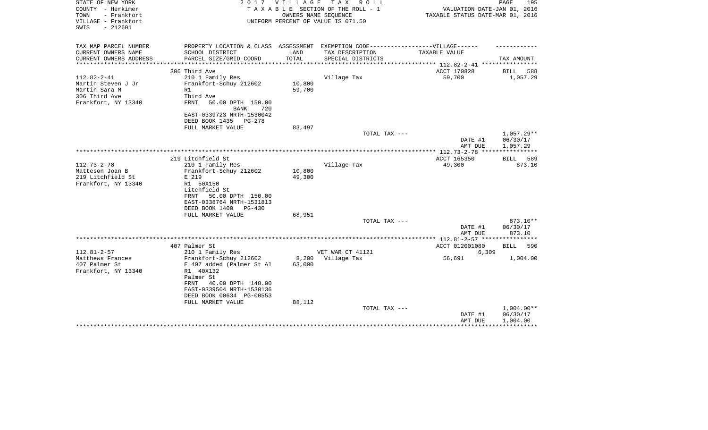| STATE OF NEW YORK<br>COUNTY - Herkimer<br>- Frankfort<br>TOWN<br>VILLAGE - Frankfort<br>$-212601$<br>SWIS | 2 0 1 7                                                                           | VILLAGE         | TAX ROLL<br>TAXABLE SECTION OF THE ROLL - 1<br>OWNERS NAME SEQUENCE<br>UNIFORM PERCENT OF VALUE IS 071.50 | VALUATION DATE-JAN 01, 2016<br>TAXABLE STATUS DATE-MAR 01, 2016 | 195<br>PAGE                    |
|-----------------------------------------------------------------------------------------------------------|-----------------------------------------------------------------------------------|-----------------|-----------------------------------------------------------------------------------------------------------|-----------------------------------------------------------------|--------------------------------|
| TAX MAP PARCEL NUMBER                                                                                     | PROPERTY LOCATION & CLASS ASSESSMENT EXEMPTION CODE-----------------VILLAGE------ |                 |                                                                                                           |                                                                 |                                |
| CURRENT OWNERS NAME                                                                                       | SCHOOL DISTRICT                                                                   | LAND            | TAX DESCRIPTION                                                                                           | TAXABLE VALUE                                                   |                                |
| CURRENT OWNERS ADDRESS                                                                                    | PARCEL SIZE/GRID COORD                                                            | TOTAL           | SPECIAL DISTRICTS                                                                                         |                                                                 | TAX AMOUNT                     |
| ****************                                                                                          |                                                                                   |                 |                                                                                                           | ACCT 170828                                                     |                                |
| $112.82 - 2 - 41$                                                                                         | 306 Third Ave<br>210 1 Family Res                                                 |                 | Village Tax                                                                                               | 59,700                                                          | <b>BILL</b><br>588<br>1,057.29 |
| Martin Steven J Jr                                                                                        | Frankfort-Schuy 212602                                                            | 10,800          |                                                                                                           |                                                                 |                                |
| Martin Sara M                                                                                             | R1                                                                                | 59,700          |                                                                                                           |                                                                 |                                |
| 306 Third Ave                                                                                             | Third Ave                                                                         |                 |                                                                                                           |                                                                 |                                |
| Frankfort, NY 13340                                                                                       | FRNT<br>50.00 DPTH 150.00<br>BANK<br>720                                          |                 |                                                                                                           |                                                                 |                                |
|                                                                                                           | EAST-0339723 NRTH-1530042                                                         |                 |                                                                                                           |                                                                 |                                |
|                                                                                                           | DEED BOOK 1435<br>PG-278                                                          |                 |                                                                                                           |                                                                 |                                |
|                                                                                                           | FULL MARKET VALUE                                                                 | 83,497          |                                                                                                           |                                                                 |                                |
|                                                                                                           |                                                                                   |                 | TOTAL TAX ---                                                                                             |                                                                 | $1,057.29**$                   |
|                                                                                                           |                                                                                   |                 |                                                                                                           | DATE #1<br>AMT DUE                                              | 06/30/17<br>1,057.29           |
|                                                                                                           |                                                                                   |                 |                                                                                                           |                                                                 |                                |
|                                                                                                           | 219 Litchfield St                                                                 |                 |                                                                                                           | ACCT 165350                                                     | <b>BILL</b><br>589             |
| $112.73 - 2 - 78$                                                                                         | 210 1 Family Res                                                                  |                 | Village Tax                                                                                               | 49,300                                                          | 873.10                         |
| Matteson Joan B                                                                                           | Frankfort-Schuy 212602                                                            | 10,800          |                                                                                                           |                                                                 |                                |
| 219 Litchfield St                                                                                         | E 219                                                                             | 49,300          |                                                                                                           |                                                                 |                                |
| Frankfort, NY 13340                                                                                       | R1 50X150                                                                         |                 |                                                                                                           |                                                                 |                                |
|                                                                                                           | Litchfield St                                                                     |                 |                                                                                                           |                                                                 |                                |
|                                                                                                           | 50.00 DPTH 150.00<br>FRNT                                                         |                 |                                                                                                           |                                                                 |                                |
|                                                                                                           | EAST-0338764 NRTH-1531813<br>DEED BOOK 1400<br>$PG-430$                           |                 |                                                                                                           |                                                                 |                                |
|                                                                                                           | FULL MARKET VALUE                                                                 | 68,951          |                                                                                                           |                                                                 |                                |
|                                                                                                           |                                                                                   |                 | TOTAL TAX ---                                                                                             |                                                                 | 873.10**                       |
|                                                                                                           |                                                                                   |                 |                                                                                                           | DATE #1                                                         | 06/30/17                       |
|                                                                                                           |                                                                                   |                 |                                                                                                           | AMT DUE                                                         | 873.10                         |
|                                                                                                           |                                                                                   |                 |                                                                                                           |                                                                 |                                |
|                                                                                                           | 407 Palmer St                                                                     |                 |                                                                                                           | ACCT 012001080                                                  | <b>BILL</b><br>590             |
| $112.81 - 2 - 57$                                                                                         | 210 1 Family Res                                                                  |                 | VET WAR CT 41121                                                                                          | 6,309                                                           |                                |
| Matthews Frances<br>407 Palmer St                                                                         | Frankfort-Schuy 212602                                                            | 8,200<br>63,000 | Village Tax                                                                                               | 56,691                                                          | 1,004.00                       |
| Frankfort, NY 13340                                                                                       | E 407 added (Palmer St Al<br>R1 40X132                                            |                 |                                                                                                           |                                                                 |                                |
|                                                                                                           | Palmer St                                                                         |                 |                                                                                                           |                                                                 |                                |
|                                                                                                           | 40.00 DPTH 148.00<br>FRNT                                                         |                 |                                                                                                           |                                                                 |                                |
|                                                                                                           | EAST-0339504 NRTH-1530136                                                         |                 |                                                                                                           |                                                                 |                                |
|                                                                                                           | DEED BOOK 00634 PG-00553                                                          |                 |                                                                                                           |                                                                 |                                |
|                                                                                                           | FULL MARKET VALUE                                                                 | 88,112          |                                                                                                           |                                                                 |                                |
|                                                                                                           |                                                                                   |                 | TOTAL TAX ---                                                                                             |                                                                 | $1,004.00**$                   |
|                                                                                                           |                                                                                   |                 |                                                                                                           | DATE #1                                                         | 06/30/17                       |
|                                                                                                           |                                                                                   |                 |                                                                                                           | AMT DUE                                                         | 1,004.00                       |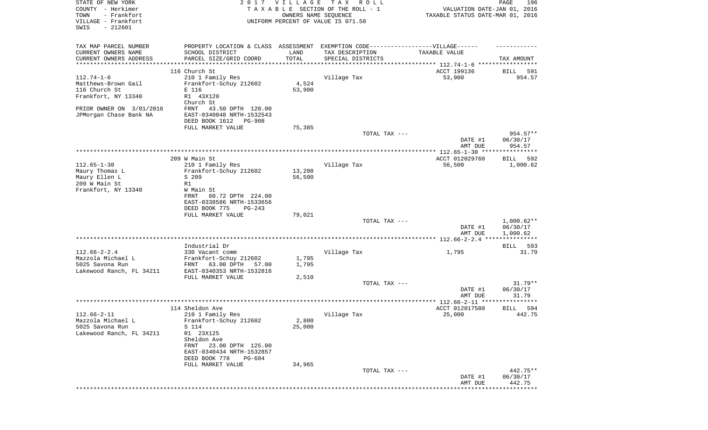| STATE OF NEW YORK<br>COUNTY - Herkimer<br>TOWN<br>- Frankfort<br>VILLAGE - Frankfort | 2017                                                                              | VILLAGE         | TAX ROLL<br>TAXABLE SECTION OF THE ROLL - 1<br>OWNERS NAME SEQUENCE<br>UNIFORM PERCENT OF VALUE IS 071.50 | VALUATION DATE-JAN 01, 2016<br>TAXABLE STATUS DATE-MAR 01, 2016 | PAGE<br>196           |
|--------------------------------------------------------------------------------------|-----------------------------------------------------------------------------------|-----------------|-----------------------------------------------------------------------------------------------------------|-----------------------------------------------------------------|-----------------------|
| SWIS<br>$-212601$                                                                    |                                                                                   |                 |                                                                                                           |                                                                 |                       |
| TAX MAP PARCEL NUMBER                                                                | PROPERTY LOCATION & CLASS ASSESSMENT EXEMPTION CODE-----------------VILLAGE------ |                 |                                                                                                           |                                                                 |                       |
| CURRENT OWNERS NAME                                                                  | SCHOOL DISTRICT                                                                   | LAND            | TAX DESCRIPTION                                                                                           | TAXABLE VALUE                                                   |                       |
| CURRENT OWNERS ADDRESS<br>********************                                       | PARCEL SIZE/GRID COORD                                                            | TOTAL           | SPECIAL DISTRICTS                                                                                         |                                                                 | TAX AMOUNT            |
|                                                                                      | 116 Church St                                                                     |                 | ********************************* 112.74-1-6 *****************                                            | ACCT 199136                                                     | 591<br>BILL           |
| $112.74 - 1 - 6$                                                                     | 210 1 Family Res                                                                  |                 | Village Tax                                                                                               | 53,900                                                          | 954.57                |
| Matthews-Brown Gail                                                                  | Frankfort-Schuy 212602                                                            | 4,524           |                                                                                                           |                                                                 |                       |
| 116 Church St                                                                        | E 116                                                                             | 53,900          |                                                                                                           |                                                                 |                       |
| Frankfort, NY 13340                                                                  | R1 43X120                                                                         |                 |                                                                                                           |                                                                 |                       |
| PRIOR OWNER ON 3/01/2016                                                             | Church St<br>FRNT<br>43.50 DPTH 120.00                                            |                 |                                                                                                           |                                                                 |                       |
| JPMorgan Chase Bank NA                                                               | EAST-0340048 NRTH-1532543                                                         |                 |                                                                                                           |                                                                 |                       |
|                                                                                      | DEED BOOK 1612<br>PG-908                                                          |                 |                                                                                                           |                                                                 |                       |
|                                                                                      | FULL MARKET VALUE                                                                 | 75,385          |                                                                                                           |                                                                 |                       |
|                                                                                      |                                                                                   |                 | TOTAL TAX ---                                                                                             |                                                                 | $954.57**$            |
|                                                                                      |                                                                                   |                 |                                                                                                           | DATE #1<br>AMT DUE                                              | 06/30/17<br>954.57    |
|                                                                                      |                                                                                   |                 |                                                                                                           |                                                                 |                       |
|                                                                                      | 209 W Main St                                                                     |                 |                                                                                                           | ACCT 012029760                                                  | 592<br>BILL           |
| $112.65 - 1 - 30$                                                                    | 210 1 Family Res                                                                  |                 | Village Tax                                                                                               | 56,500                                                          | 1,000.62              |
| Maury Thomas L                                                                       | Frankfort-Schuy 212602                                                            | 13,200          |                                                                                                           |                                                                 |                       |
| Maury Ellen L<br>209 W Main St                                                       | S 209<br>R1                                                                       | 56,500          |                                                                                                           |                                                                 |                       |
| Frankfort, NY 13340                                                                  | W Main St                                                                         |                 |                                                                                                           |                                                                 |                       |
|                                                                                      | 60.72 DPTH 224.00<br>FRNT                                                         |                 |                                                                                                           |                                                                 |                       |
|                                                                                      | EAST-0338586 NRTH-1533656                                                         |                 |                                                                                                           |                                                                 |                       |
|                                                                                      | DEED BOOK 775<br>PG-243                                                           |                 |                                                                                                           |                                                                 |                       |
|                                                                                      | FULL MARKET VALUE                                                                 | 79,021          | TOTAL TAX ---                                                                                             |                                                                 | $1,000.62**$          |
|                                                                                      |                                                                                   |                 |                                                                                                           | DATE #1                                                         | 06/30/17              |
|                                                                                      |                                                                                   |                 |                                                                                                           | AMT DUE                                                         | 1,000.62              |
|                                                                                      | ***********************                                                           |                 |                                                                                                           | *************** 112.66-2-2.4 ***                                |                       |
| $112.66 - 2 - 2.4$                                                                   | Industrial Dr                                                                     |                 | Village Tax                                                                                               | 1,795                                                           | BILL 593<br>31.79     |
| Mazzola Michael L                                                                    | 330 Vacant comm<br>Frankfort-Schuy 212602                                         | 1,795           |                                                                                                           |                                                                 |                       |
| 5025 Savona Run                                                                      | FRNT<br>63.00 DPTH<br>57.00                                                       | 1,795           |                                                                                                           |                                                                 |                       |
| Lakewood Ranch, FL 34211                                                             | EAST-0340353 NRTH-1532816                                                         |                 |                                                                                                           |                                                                 |                       |
|                                                                                      | FULL MARKET VALUE                                                                 | 2,510           |                                                                                                           |                                                                 |                       |
|                                                                                      |                                                                                   |                 | TOTAL TAX ---                                                                                             | DATE #1                                                         | $31.79**$<br>06/30/17 |
|                                                                                      |                                                                                   |                 |                                                                                                           | AMT DUE                                                         | 31.79                 |
|                                                                                      |                                                                                   |                 |                                                                                                           |                                                                 |                       |
|                                                                                      | 114 Sheldon Ave                                                                   |                 |                                                                                                           | ACCT 012017580                                                  | 594<br>BILL           |
| $112.66 - 2 - 11$                                                                    | 210 1 Family Res                                                                  |                 | Village Tax                                                                                               | 25,000                                                          | 442.75                |
| Mazzola Michael L<br>5025 Savona Run                                                 | Frankfort-Schuy 212602<br>S 114                                                   | 2,800<br>25,000 |                                                                                                           |                                                                 |                       |
| Lakewood Ranch, FL 34211                                                             | R1 23X125                                                                         |                 |                                                                                                           |                                                                 |                       |
|                                                                                      | Sheldon Ave                                                                       |                 |                                                                                                           |                                                                 |                       |
|                                                                                      | FRNT 23.00 DPTH 125.00                                                            |                 |                                                                                                           |                                                                 |                       |
|                                                                                      | EAST-0340434 NRTH-1532857                                                         |                 |                                                                                                           |                                                                 |                       |
|                                                                                      | DEED BOOK 778<br>PG-684<br>FULL MARKET VALUE                                      | 34,965          |                                                                                                           |                                                                 |                       |
|                                                                                      |                                                                                   |                 | TOTAL TAX ---                                                                                             |                                                                 | 442.75**              |
|                                                                                      |                                                                                   |                 |                                                                                                           | DATE #1                                                         | 06/30/17              |
|                                                                                      |                                                                                   |                 |                                                                                                           | AMT DUE                                                         | 442.75                |
|                                                                                      |                                                                                   |                 |                                                                                                           |                                                                 |                       |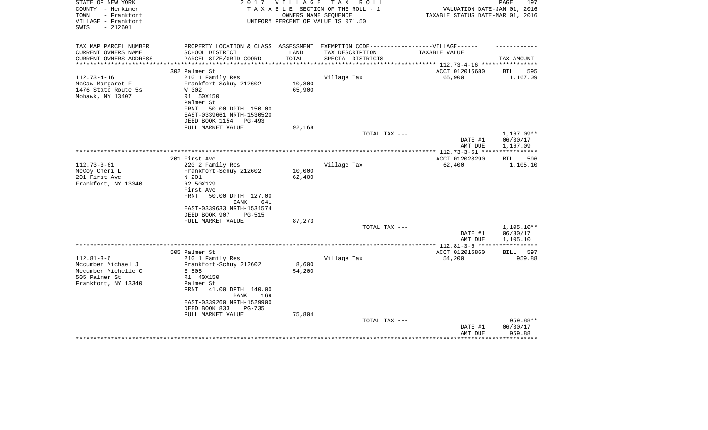| STATE OF NEW YORK<br>COUNTY - Herkimer<br>- Frankfort<br>TOWN<br>VILLAGE - Frankfort<br>$-212601$<br>SWIS | 2 0 1 7                                                                           | V I L L A G E    | T A X<br>R O L L<br>TAXABLE SECTION OF THE ROLL - 1<br>OWNERS NAME SEOUENCE<br>UNIFORM PERCENT OF VALUE IS 071.50 | VALUATION DATE-JAN 01, 2016<br>TAXABLE STATUS DATE-MAR 01, 2016 | PAGE<br>197             |
|-----------------------------------------------------------------------------------------------------------|-----------------------------------------------------------------------------------|------------------|-------------------------------------------------------------------------------------------------------------------|-----------------------------------------------------------------|-------------------------|
| TAX MAP PARCEL NUMBER                                                                                     | PROPERTY LOCATION & CLASS ASSESSMENT EXEMPTION CODE-----------------VILLAGE------ |                  |                                                                                                                   |                                                                 |                         |
| CURRENT OWNERS NAME                                                                                       | SCHOOL DISTRICT                                                                   | LAND             | TAX DESCRIPTION                                                                                                   | TAXABLE VALUE                                                   |                         |
| CURRENT OWNERS ADDRESS<br>**********************                                                          | PARCEL SIZE/GRID COORD                                                            | TOTAL            | SPECIAL DISTRICTS                                                                                                 |                                                                 | TAX AMOUNT              |
|                                                                                                           | 302 Palmer St                                                                     |                  |                                                                                                                   | ACCT 012016680                                                  |                         |
| $112.73 - 4 - 16$                                                                                         | 210 1 Family Res                                                                  |                  | Village Tax                                                                                                       | 65,900                                                          | BILL<br>595<br>1,167.09 |
| McCaw Margaret F                                                                                          | Frankfort-Schuy 212602                                                            | 10,800           |                                                                                                                   |                                                                 |                         |
| 1476 State Route 5s                                                                                       | W 302                                                                             | 65,900           |                                                                                                                   |                                                                 |                         |
| Mohawk, NY 13407                                                                                          | R1 50X150                                                                         |                  |                                                                                                                   |                                                                 |                         |
|                                                                                                           | Palmer St                                                                         |                  |                                                                                                                   |                                                                 |                         |
|                                                                                                           | FRNT<br>50.00 DPTH 150.00                                                         |                  |                                                                                                                   |                                                                 |                         |
|                                                                                                           | EAST-0339661 NRTH-1530520                                                         |                  |                                                                                                                   |                                                                 |                         |
|                                                                                                           | DEED BOOK 1154<br>PG-493<br>FULL MARKET VALUE                                     | 92,168           |                                                                                                                   |                                                                 |                         |
|                                                                                                           |                                                                                   |                  | TOTAL TAX ---                                                                                                     |                                                                 | 1,167.09**              |
|                                                                                                           |                                                                                   |                  |                                                                                                                   | DATE #1                                                         | 06/30/17                |
|                                                                                                           |                                                                                   |                  |                                                                                                                   | AMT DUE                                                         | 1,167.09                |
|                                                                                                           |                                                                                   |                  |                                                                                                                   |                                                                 | ***********             |
|                                                                                                           | 201 First Ave                                                                     |                  |                                                                                                                   | ACCT 012028290                                                  | 596<br>BILL             |
| $112.73 - 3 - 61$                                                                                         | 220 2 Family Res                                                                  |                  | Village Tax                                                                                                       | 62,400                                                          | 1,105.10                |
| McCoy Cheri L<br>201 First Ave                                                                            | Frankfort-Schuy 212602<br>N 201                                                   | 10,000<br>62,400 |                                                                                                                   |                                                                 |                         |
| Frankfort, NY 13340                                                                                       | R2 50X129                                                                         |                  |                                                                                                                   |                                                                 |                         |
|                                                                                                           | First Ave                                                                         |                  |                                                                                                                   |                                                                 |                         |
|                                                                                                           | 50.00 DPTH 127.00<br>FRNT                                                         |                  |                                                                                                                   |                                                                 |                         |
|                                                                                                           | BANK<br>641                                                                       |                  |                                                                                                                   |                                                                 |                         |
|                                                                                                           | EAST-0339633 NRTH-1531574                                                         |                  |                                                                                                                   |                                                                 |                         |
|                                                                                                           | DEED BOOK 907<br>PG-515<br>FULL MARKET VALUE                                      | 87,273           |                                                                                                                   |                                                                 |                         |
|                                                                                                           |                                                                                   |                  | TOTAL TAX ---                                                                                                     |                                                                 | $1,105.10**$            |
|                                                                                                           |                                                                                   |                  |                                                                                                                   | DATE #1                                                         | 06/30/17                |
|                                                                                                           |                                                                                   |                  |                                                                                                                   | AMT DUE                                                         | 1,105.10                |
|                                                                                                           |                                                                                   |                  |                                                                                                                   | **** $112.81 - 3 - 6$ ***                                       |                         |
|                                                                                                           | 505 Palmer St                                                                     |                  |                                                                                                                   | ACCT 012016860                                                  | 597<br><b>BILL</b>      |
| $112.81 - 3 - 6$                                                                                          | 210 1 Family Res                                                                  |                  | Village Tax                                                                                                       | 54,200                                                          | 959.88                  |
| Mccumber Michael J<br>Mccumber Michelle C                                                                 | Frankfort-Schuy 212602<br>E 505                                                   | 8,600<br>54,200  |                                                                                                                   |                                                                 |                         |
| 505 Palmer St                                                                                             | R1 40X150                                                                         |                  |                                                                                                                   |                                                                 |                         |
| Frankfort, NY 13340                                                                                       | Palmer St                                                                         |                  |                                                                                                                   |                                                                 |                         |
|                                                                                                           | 41.00 DPTH 140.00<br>FRNT                                                         |                  |                                                                                                                   |                                                                 |                         |
|                                                                                                           | <b>BANK</b><br>169                                                                |                  |                                                                                                                   |                                                                 |                         |
|                                                                                                           | EAST-0339260 NRTH-1529900                                                         |                  |                                                                                                                   |                                                                 |                         |
|                                                                                                           | DEED BOOK 833<br><b>PG-735</b>                                                    |                  |                                                                                                                   |                                                                 |                         |
|                                                                                                           | FULL MARKET VALUE                                                                 | 75,804           | TOTAL TAX ---                                                                                                     |                                                                 | 959.88**                |
|                                                                                                           |                                                                                   |                  |                                                                                                                   | DATE #1                                                         | 06/30/17                |
|                                                                                                           |                                                                                   |                  |                                                                                                                   | AMT DUE                                                         | 959.88                  |
|                                                                                                           |                                                                                   |                  |                                                                                                                   |                                                                 |                         |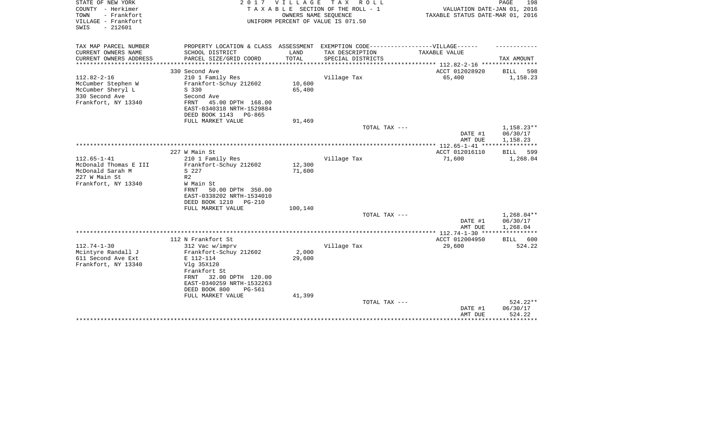| STATE OF NEW YORK<br>COUNTY - Herkimer<br>- Frankfort<br>TOWN<br>VILLAGE - Frankfort<br>$-212601$<br>SWIS | 2017                                                                                                                                                                                           | <b>VILLAGE</b><br>OWNERS NAME SEQUENCE | TAX ROLL<br>TAXABLE SECTION OF THE ROLL - 1<br>UNIFORM PERCENT OF VALUE IS 071.50 | VALUATION DATE-JAN 01, 2016<br>TAXABLE STATUS DATE-MAR 01, 2016 | PAGE<br>198                                         |
|-----------------------------------------------------------------------------------------------------------|------------------------------------------------------------------------------------------------------------------------------------------------------------------------------------------------|----------------------------------------|-----------------------------------------------------------------------------------|-----------------------------------------------------------------|-----------------------------------------------------|
| TAX MAP PARCEL NUMBER                                                                                     |                                                                                                                                                                                                |                                        | PROPERTY LOCATION & CLASS ASSESSMENT EXEMPTION CODE-----------------VILLAGE------ |                                                                 |                                                     |
| CURRENT OWNERS NAME<br>CURRENT OWNERS ADDRESS                                                             | SCHOOL DISTRICT<br>PARCEL SIZE/GRID COORD                                                                                                                                                      | LAND<br>TOTAL                          | TAX DESCRIPTION<br>SPECIAL DISTRICTS                                              | TAXABLE VALUE                                                   | TAX AMOUNT                                          |
|                                                                                                           |                                                                                                                                                                                                |                                        |                                                                                   | ************ 112.82-2-16 *****************                      |                                                     |
|                                                                                                           | 330 Second Ave                                                                                                                                                                                 |                                        |                                                                                   | ACCT 012028920                                                  | BILL<br>598                                         |
| $112.82 - 2 - 16$<br>McCumber Stephen W<br>McCumber Sheryl L<br>330 Second Ave<br>Frankfort, NY 13340     | 210 1 Family Res<br>Frankfort-Schuy 212602<br>S 330<br>Second Ave<br>FRNT<br>45.00 DPTH 168.00<br>EAST-0340318 NRTH-1529884                                                                    | 10,600<br>65,400                       | Village Tax                                                                       | 65,400                                                          | 1,158.23                                            |
|                                                                                                           | DEED BOOK 1143<br>PG-865                                                                                                                                                                       |                                        |                                                                                   |                                                                 |                                                     |
|                                                                                                           | FULL MARKET VALUE                                                                                                                                                                              | 91,469                                 | TOTAL TAX ---                                                                     | DATE #1                                                         | $1,158.23**$<br>06/30/17                            |
|                                                                                                           |                                                                                                                                                                                                |                                        |                                                                                   | AMT DUE                                                         | 1,158.23<br>***********                             |
|                                                                                                           | 227 W Main St                                                                                                                                                                                  |                                        |                                                                                   | ACCT 012016110                                                  | 599<br>BILL                                         |
| $112.65 - 1 - 41$<br>McDonald Thomas E III<br>McDonald Sarah M<br>227 W Main St<br>Frankfort, NY 13340    | 210 1 Family Res<br>Frankfort-Schuy 212602<br>S 227<br>R <sub>2</sub><br>W Main St<br>FRNT<br>50.00 DPTH 350.00<br>EAST-0338202 NRTH-1534010<br>DEED BOOK 1210<br>PG-210                       | 12,300<br>71,600                       | Village Tax                                                                       | 71,600                                                          | 1,268.04                                            |
|                                                                                                           | FULL MARKET VALUE                                                                                                                                                                              | 100,140                                | TOTAL TAX ---                                                                     |                                                                 | $1,268.04**$                                        |
|                                                                                                           |                                                                                                                                                                                                |                                        |                                                                                   | DATE #1<br>AMT DUE                                              | 06/30/17<br>1,268.04                                |
|                                                                                                           |                                                                                                                                                                                                |                                        |                                                                                   |                                                                 |                                                     |
| $112.74 - 1 - 30$                                                                                         | 112 N Frankfort St                                                                                                                                                                             |                                        |                                                                                   | ACCT 012004950<br>29,600                                        | <b>BILL</b><br>600<br>524.22                        |
| Mcintyre Randall J<br>611 Second Ave Ext<br>Frankfort, NY 13340                                           | 312 Vac w/imprv<br>Frankfort-Schuy 212602<br>E 112-114<br>Vlg 35X120<br>Frankfort St<br>32.00 DPTH 120.00<br>FRNT<br>EAST-0340259 NRTH-1532263<br>DEED BOOK 800<br>PG-561<br>FULL MARKET VALUE | 2,000<br>29,600<br>41,399              | Village Tax                                                                       |                                                                 |                                                     |
|                                                                                                           |                                                                                                                                                                                                |                                        | TOTAL TAX ---                                                                     | DATE #1<br>AMT DUE                                              | $524.22**$<br>06/30/17<br>524.22<br>* * * * * * * * |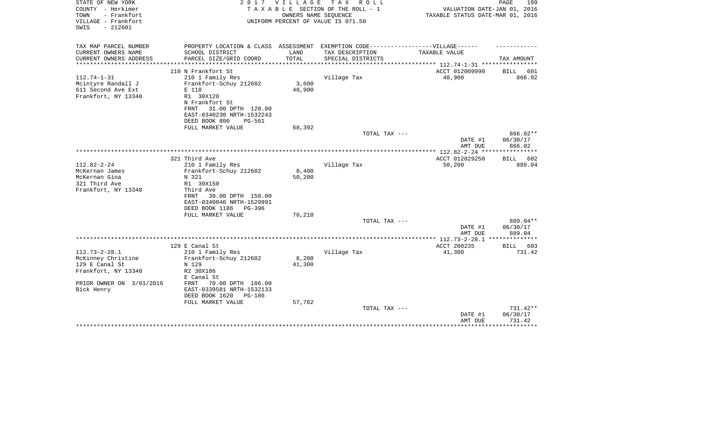| STATE OF NEW YORK<br>COUNTY - Herkimer<br>- Frankfort<br>TOWN<br>VILLAGE - Frankfort<br>$-212601$<br>SWIS | 2017                                                                                                 | VILLAGE | TAX ROLL<br>TAXABLE SECTION OF THE ROLL - 1<br>OWNERS NAME SEQUENCE<br>UNIFORM PERCENT OF VALUE IS 071.50 | VALUATION DATE-JAN 01, 2016<br>TAXABLE STATUS DATE-MAR 01, 2016 | PAGE<br>199           |
|-----------------------------------------------------------------------------------------------------------|------------------------------------------------------------------------------------------------------|---------|-----------------------------------------------------------------------------------------------------------|-----------------------------------------------------------------|-----------------------|
| TAX MAP PARCEL NUMBER<br>CURRENT OWNERS NAME                                                              | PROPERTY LOCATION & CLASS ASSESSMENT EXEMPTION CODE-----------------VILLAGE------<br>SCHOOL DISTRICT | LAND    | TAX DESCRIPTION                                                                                           | TAXABLE VALUE                                                   |                       |
| CURRENT OWNERS ADDRESS                                                                                    | PARCEL SIZE/GRID COORD                                                                               | TOTAL   | SPECIAL DISTRICTS                                                                                         |                                                                 | TAX AMOUNT            |
|                                                                                                           |                                                                                                      |         |                                                                                                           | *********** 112.74-1-31 ************                            |                       |
| $112.74 - 1 - 31$<br>Mcintyre Randall J                                                                   | 110 N Frankfort St<br>210 1 Family Res<br>Frankfort-Schuy 212602                                     | 3,600   | Village Tax                                                                                               | ACCT 012009990<br>48,900                                        | BILL<br>601<br>866.02 |
| 611 Second Ave Ext<br>Frankfort, NY 13340                                                                 | E 110<br>R1 30X120<br>N Frankfort St<br>31.00 DPTH 120.00<br>FRNT<br>EAST-0340230 NRTH-1532243       | 48,900  |                                                                                                           |                                                                 |                       |
|                                                                                                           | DEED BOOK 800<br>PG-561<br>FULL MARKET VALUE                                                         | 68,392  |                                                                                                           |                                                                 |                       |
|                                                                                                           |                                                                                                      |         | TOTAL TAX ---                                                                                             |                                                                 | $866.02**$            |
|                                                                                                           |                                                                                                      |         |                                                                                                           | DATE #1<br>AMT DUE                                              | 06/30/17<br>866.02    |
|                                                                                                           |                                                                                                      |         |                                                                                                           |                                                                 |                       |
| $112.82 - 2 - 24$                                                                                         | 321 Third Ave<br>210 1 Family Res                                                                    |         | Village Tax                                                                                               | ACCT 012029250<br>50,200                                        | 602<br>BILL<br>889.04 |
| McKernan James                                                                                            | Frankfort-Schuy 212602                                                                               | 8,400   |                                                                                                           |                                                                 |                       |
| McKernan Gina                                                                                             | N 321                                                                                                | 50,200  |                                                                                                           |                                                                 |                       |
| 321 Third Ave                                                                                             | R1 39X150                                                                                            |         |                                                                                                           |                                                                 |                       |
| Frankfort, NY 13340                                                                                       | Third Ave                                                                                            |         |                                                                                                           |                                                                 |                       |
|                                                                                                           | 39.00 DPTH 150.00<br>FRNT                                                                            |         |                                                                                                           |                                                                 |                       |
|                                                                                                           | EAST-0340046 NRTH-1529991                                                                            |         |                                                                                                           |                                                                 |                       |
|                                                                                                           | DEED BOOK 1186<br>PG-396                                                                             |         |                                                                                                           |                                                                 |                       |
|                                                                                                           | FULL MARKET VALUE                                                                                    | 70,210  |                                                                                                           |                                                                 |                       |
|                                                                                                           |                                                                                                      |         | TOTAL TAX ---                                                                                             | DATE #1                                                         | 889.04**<br>06/30/17  |
|                                                                                                           |                                                                                                      |         |                                                                                                           | AMT DUE                                                         | 889.04                |
|                                                                                                           |                                                                                                      |         |                                                                                                           | ************ 112.73-2-28.1                                      | **************        |
|                                                                                                           | 129 E Canal St                                                                                       |         |                                                                                                           | ACCT 200235                                                     | BILL<br>603           |
| $112.73 - 2 - 28.1$                                                                                       | 210 1 Family Res                                                                                     |         | Village Tax                                                                                               | 41,300                                                          | 731.42                |
| McKinney Christine                                                                                        | Frankfort-Schuy 212602                                                                               | 8,200   |                                                                                                           |                                                                 |                       |
| 129 E Canal St                                                                                            | N 129                                                                                                | 41,300  |                                                                                                           |                                                                 |                       |
| Frankfort, NY 13340                                                                                       | R2 30X186                                                                                            |         |                                                                                                           |                                                                 |                       |
|                                                                                                           | E Canal St                                                                                           |         |                                                                                                           |                                                                 |                       |
| PRIOR OWNER ON 3/01/2016<br>Bick Henry                                                                    | 70.00 DPTH 186.00<br>FRNT<br>EAST-0339581 NRTH-1532133                                               |         |                                                                                                           |                                                                 |                       |
|                                                                                                           | DEED BOOK 1620<br>PG-186                                                                             |         |                                                                                                           |                                                                 |                       |
|                                                                                                           | FULL MARKET VALUE                                                                                    | 57,762  | TOTAL TAX ---                                                                                             |                                                                 | 731.42**              |
|                                                                                                           |                                                                                                      |         |                                                                                                           | DATE #1<br>AMT DUE                                              | 06/30/17<br>731.42    |
|                                                                                                           |                                                                                                      |         |                                                                                                           |                                                                 | ********              |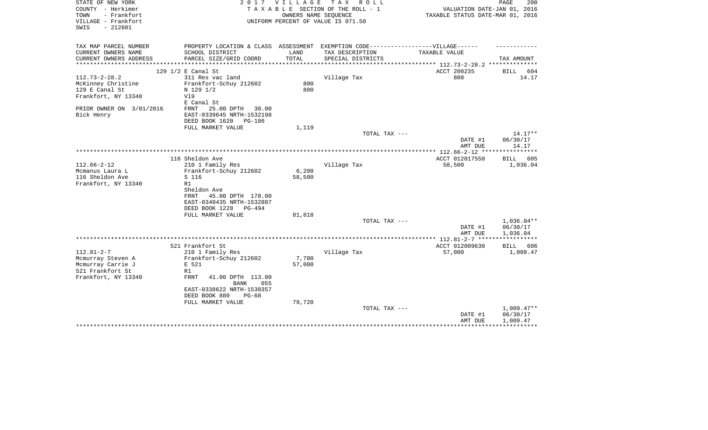| STATE OF NEW YORK<br>COUNTY - Herkimer<br>- Frankfort<br>TOWN<br>VILLAGE - Frankfort | 2017                                                  | VILLAGE          | T A X<br>R O L L<br>TAXABLE SECTION OF THE ROLL - 1<br>OWNERS NAME SEQUENCE<br>UNIFORM PERCENT OF VALUE IS 071.50 | VALUATION DATE-JAN 01, 2016<br>TAXABLE STATUS DATE-MAR 01, 2016  | 200<br>PAGE              |
|--------------------------------------------------------------------------------------|-------------------------------------------------------|------------------|-------------------------------------------------------------------------------------------------------------------|------------------------------------------------------------------|--------------------------|
| $-212601$<br>SWIS                                                                    |                                                       |                  |                                                                                                                   |                                                                  |                          |
| TAX MAP PARCEL NUMBER                                                                | PROPERTY LOCATION & CLASS ASSESSMENT                  |                  | EXEMPTION CODE------------------VILLAGE------                                                                     |                                                                  |                          |
| CURRENT OWNERS NAME                                                                  | SCHOOL DISTRICT                                       | LAND<br>TOTAL    | TAX DESCRIPTION                                                                                                   | TAXABLE VALUE                                                    | TAX AMOUNT               |
| CURRENT OWNERS ADDRESS                                                               | PARCEL SIZE/GRID COORD<br>**************************  | **************** | SPECIAL DISTRICTS                                                                                                 | ******************* 112.73-2-28.2 **************                 |                          |
|                                                                                      | 129 1/2 E Canal St                                    |                  |                                                                                                                   | ACCT 200235                                                      | BILL<br>604              |
| $112.73 - 2 - 28.2$                                                                  | 311 Res vac land                                      |                  | Village Tax                                                                                                       | 800                                                              | 14.17                    |
| McKinney Christine                                                                   | Frankfort-Schuy 212602                                | 800              |                                                                                                                   |                                                                  |                          |
| 129 E Canal St                                                                       | N 129 1/2                                             | 800              |                                                                                                                   |                                                                  |                          |
| Frankfort, NY 13340                                                                  | V19                                                   |                  |                                                                                                                   |                                                                  |                          |
| PRIOR OWNER ON 3/01/2016                                                             | E Canal St<br>25.00 DPTH<br>FRNT<br>30.00             |                  |                                                                                                                   |                                                                  |                          |
| Bick Henry                                                                           | EAST-0339645 NRTH-1532198                             |                  |                                                                                                                   |                                                                  |                          |
|                                                                                      | DEED BOOK 1620<br>PG-186                              |                  |                                                                                                                   |                                                                  |                          |
|                                                                                      | FULL MARKET VALUE                                     | 1,119            |                                                                                                                   |                                                                  |                          |
|                                                                                      |                                                       |                  | TOTAL TAX ---                                                                                                     |                                                                  | $14.17**$                |
|                                                                                      |                                                       |                  |                                                                                                                   | DATE #1                                                          | 06/30/17                 |
|                                                                                      |                                                       |                  |                                                                                                                   | AMT DUE                                                          | 14.17                    |
|                                                                                      | 116 Sheldon Ave                                       |                  |                                                                                                                   | ACCT 012017550                                                   | BILL 605                 |
| $112.66 - 2 - 12$                                                                    | 210 1 Family Res                                      |                  | Village Tax                                                                                                       | 58,500                                                           | 1,036.04                 |
| Mcmanus Laura L                                                                      | Frankfort-Schuy 212602                                | 6,200            |                                                                                                                   |                                                                  |                          |
| 116 Sheldon Ave                                                                      | S 116                                                 | 58,500           |                                                                                                                   |                                                                  |                          |
| Frankfort, NY 13340                                                                  | R1                                                    |                  |                                                                                                                   |                                                                  |                          |
|                                                                                      | Sheldon Ave                                           |                  |                                                                                                                   |                                                                  |                          |
|                                                                                      | 45.00 DPTH 178.00<br><b>FRNT</b>                      |                  |                                                                                                                   |                                                                  |                          |
|                                                                                      | EAST-0340435 NRTH-1532807<br>DEED BOOK 1228<br>PG-494 |                  |                                                                                                                   |                                                                  |                          |
|                                                                                      | FULL MARKET VALUE                                     | 81,818           |                                                                                                                   |                                                                  |                          |
|                                                                                      |                                                       |                  | TOTAL TAX ---                                                                                                     |                                                                  | $1,036.04**$             |
|                                                                                      |                                                       |                  |                                                                                                                   | DATE #1                                                          | 06/30/17                 |
|                                                                                      |                                                       |                  |                                                                                                                   | AMT DUE                                                          | 1,036.04                 |
|                                                                                      | 521 Frankfort St                                      |                  |                                                                                                                   | **************** 112.81-2-7 ******************<br>ACCT 012009630 | BILL 606                 |
| $112.81 - 2 - 7$                                                                     | 210 1 Family Res                                      |                  | Village Tax                                                                                                       | 57,000                                                           | 1,009.47                 |
| Mcmurray Steven A                                                                    | Frankfort-Schuy 212602                                | 7,700            |                                                                                                                   |                                                                  |                          |
| Mcmurray Carrie J                                                                    | E 521                                                 | 57,000           |                                                                                                                   |                                                                  |                          |
| 521 Frankfort St                                                                     | R1                                                    |                  |                                                                                                                   |                                                                  |                          |
| Frankfort, NY 13340                                                                  | FRNT<br>41.00 DPTH 113.00<br>055<br><b>BANK</b>       |                  |                                                                                                                   |                                                                  |                          |
|                                                                                      | EAST-0338622 NRTH-1530357                             |                  |                                                                                                                   |                                                                  |                          |
|                                                                                      | DEED BOOK 880<br>$PG-68$                              |                  |                                                                                                                   |                                                                  |                          |
|                                                                                      | FULL MARKET VALUE                                     | 79,720           |                                                                                                                   |                                                                  |                          |
|                                                                                      |                                                       |                  | TOTAL TAX ---                                                                                                     |                                                                  | $1,009.47**$<br>06/30/17 |
|                                                                                      |                                                       |                  |                                                                                                                   | DATE #1<br>AMT DUE                                               | 1,009.47                 |
|                                                                                      |                                                       |                  |                                                                                                                   |                                                                  |                          |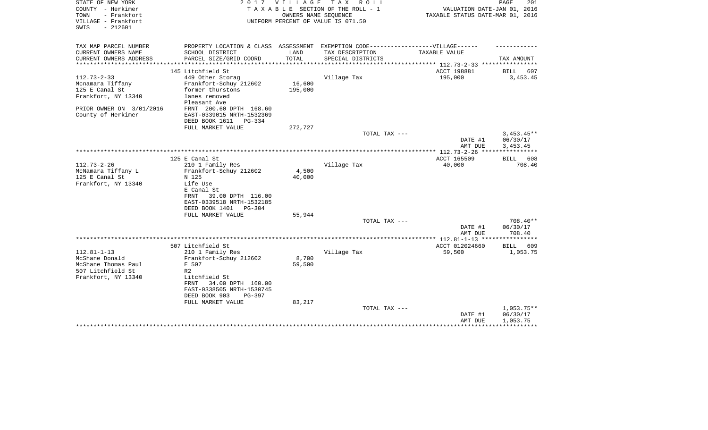| STATE OF NEW YORK<br>COUNTY - Herkimer<br>- Frankfort<br>TOWN | 2017                                                                              | VILLAGE | T A X<br>R O L L<br>TAXABLE SECTION OF THE ROLL - 1<br>OWNERS NAME SEQUENCE | VALUATION DATE-JAN 01, 2016<br>TAXABLE STATUS DATE-MAR 01, 2016 | 201<br>PAGE        |
|---------------------------------------------------------------|-----------------------------------------------------------------------------------|---------|-----------------------------------------------------------------------------|-----------------------------------------------------------------|--------------------|
| VILLAGE - Frankfort<br>$-212601$<br>SWIS                      |                                                                                   |         | UNIFORM PERCENT OF VALUE IS 071.50                                          |                                                                 |                    |
| TAX MAP PARCEL NUMBER                                         | PROPERTY LOCATION & CLASS ASSESSMENT EXEMPTION CODE-----------------VILLAGE------ |         |                                                                             |                                                                 |                    |
| CURRENT OWNERS NAME                                           | SCHOOL DISTRICT                                                                   | LAND    | TAX DESCRIPTION                                                             | <b>TAXABLE VALUE</b>                                            |                    |
| CURRENT OWNERS ADDRESS                                        | PARCEL SIZE/GRID COORD                                                            | TOTAL   | SPECIAL DISTRICTS                                                           |                                                                 | TAX AMOUNT         |
|                                                               | 145 Litchfield St                                                                 |         |                                                                             | ACCT 198881                                                     | BILL<br>607        |
| $112.73 - 2 - 33$                                             | 449 Other Storag                                                                  |         | Village Tax                                                                 | 195,000                                                         | 3,453.45           |
| Mcnamara Tiffany                                              | Frankfort-Schuy 212602                                                            | 16,600  |                                                                             |                                                                 |                    |
| 125 E Canal St                                                | former thurstons                                                                  | 195,000 |                                                                             |                                                                 |                    |
| Frankfort, NY 13340                                           | lanes removed                                                                     |         |                                                                             |                                                                 |                    |
|                                                               | Pleasant Ave                                                                      |         |                                                                             |                                                                 |                    |
| PRIOR OWNER ON 3/01/2016                                      | FRNT 200.60 DPTH 168.60                                                           |         |                                                                             |                                                                 |                    |
| County of Herkimer                                            | EAST-0339015 NRTH-1532369<br>DEED BOOK 1611<br>$PG-334$                           |         |                                                                             |                                                                 |                    |
|                                                               | FULL MARKET VALUE                                                                 | 272,727 |                                                                             |                                                                 |                    |
|                                                               |                                                                                   |         | TOTAL TAX ---                                                               |                                                                 | $3,453.45**$       |
|                                                               |                                                                                   |         |                                                                             | DATE #1                                                         | 06/30/17           |
|                                                               |                                                                                   |         |                                                                             | AMT DUE                                                         | 3,453.45           |
|                                                               |                                                                                   |         |                                                                             |                                                                 |                    |
| $112.73 - 2 - 26$                                             | 125 E Canal St                                                                    |         |                                                                             | ACCT 165509                                                     | 608<br><b>BILL</b> |
| McNamara Tiffany L                                            | 210 1 Family Res<br>Frankfort-Schuy 212602                                        | 4,500   | Village Tax                                                                 | 40,000                                                          | 708.40             |
| 125 E Canal St                                                | N 125                                                                             | 40,000  |                                                                             |                                                                 |                    |
| Frankfort, NY 13340                                           | Life Use                                                                          |         |                                                                             |                                                                 |                    |
|                                                               | E Canal St                                                                        |         |                                                                             |                                                                 |                    |
|                                                               | 39.00 DPTH 116.00<br>FRNT                                                         |         |                                                                             |                                                                 |                    |
|                                                               | EAST-0339518 NRTH-1532185                                                         |         |                                                                             |                                                                 |                    |
|                                                               | DEED BOOK 1401<br>PG-304                                                          |         |                                                                             |                                                                 |                    |
|                                                               | FULL MARKET VALUE                                                                 | 55,944  |                                                                             |                                                                 |                    |
|                                                               |                                                                                   |         | TOTAL TAX ---                                                               |                                                                 | 708.40**           |
|                                                               |                                                                                   |         |                                                                             | DATE #1<br>AMT DUE                                              | 06/30/17<br>708.40 |
|                                                               |                                                                                   |         |                                                                             | *************** 112.81-1-13 ****************                    |                    |
|                                                               | 507 Litchfield St                                                                 |         |                                                                             | ACCT 012024660                                                  | <b>BILL</b><br>609 |
| $112.81 - 1 - 13$                                             | 210 1 Family Res                                                                  |         | Village Tax                                                                 | 59,500                                                          | 1,053.75           |
| McShane Donald                                                | Frankfort-Schuy 212602                                                            | 8,700   |                                                                             |                                                                 |                    |
| McShane Thomas Paul                                           | E 507                                                                             | 59,500  |                                                                             |                                                                 |                    |
| 507 Litchfield St                                             | R <sub>2</sub>                                                                    |         |                                                                             |                                                                 |                    |
| Frankfort, NY 13340                                           | Litchfield St                                                                     |         |                                                                             |                                                                 |                    |
|                                                               | 34.00 DPTH 160.00<br>FRNT                                                         |         |                                                                             |                                                                 |                    |
|                                                               | EAST-0338505 NRTH-1530745<br>DEED BOOK 903<br>PG-397                              |         |                                                                             |                                                                 |                    |
|                                                               | FULL MARKET VALUE                                                                 | 83,217  |                                                                             |                                                                 |                    |
|                                                               |                                                                                   |         | TOTAL TAX ---                                                               |                                                                 | $1,053.75**$       |
|                                                               |                                                                                   |         |                                                                             | DATE #1                                                         | 06/30/17           |
|                                                               |                                                                                   |         |                                                                             | AMT DUE                                                         | 1,053.75           |
|                                                               |                                                                                   |         |                                                                             |                                                                 |                    |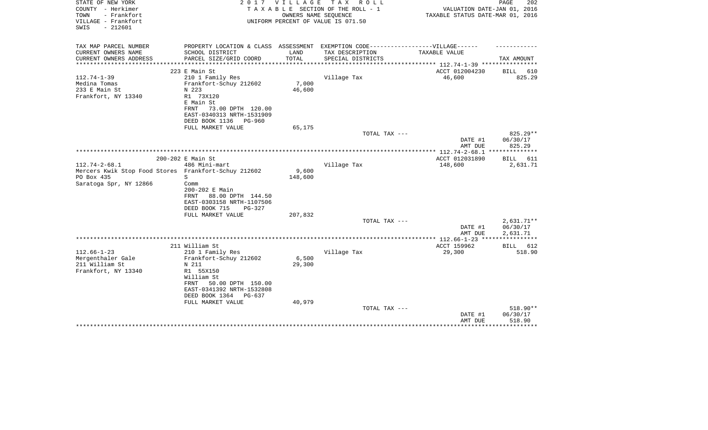| STATE OF NEW YORK<br>COUNTY - Herkimer<br>TOWN<br>- Frankfort | 2017                                                                              | VILLAGE | T A X<br>ROLL ROLL<br>TAXABLE SECTION OF THE ROLL - 1<br>OWNERS NAME SEQUENCE | VALUATION DATE-JAN 01, 2016<br>TAXABLE STATUS DATE-MAR 01, 2016 | PAGE<br>202        |
|---------------------------------------------------------------|-----------------------------------------------------------------------------------|---------|-------------------------------------------------------------------------------|-----------------------------------------------------------------|--------------------|
| VILLAGE - Frankfort<br>$-212601$<br>SWIS                      |                                                                                   |         | UNIFORM PERCENT OF VALUE IS 071.50                                            |                                                                 |                    |
| TAX MAP PARCEL NUMBER                                         | PROPERTY LOCATION & CLASS ASSESSMENT EXEMPTION CODE-----------------VILLAGE------ |         |                                                                               |                                                                 |                    |
| CURRENT OWNERS NAME                                           | SCHOOL DISTRICT                                                                   | LAND    | TAX DESCRIPTION                                                               | TAXABLE VALUE                                                   |                    |
| CURRENT OWNERS ADDRESS<br>****************                    | PARCEL SIZE/GRID COORD                                                            | TOTAL   | SPECIAL DISTRICTS                                                             |                                                                 | TAX AMOUNT         |
|                                                               | 223 E Main St                                                                     |         |                                                                               | ACCT 012004230                                                  | <b>BILL</b><br>610 |
| $112.74 - 1 - 39$                                             | 210 1 Family Res                                                                  |         | Village Tax                                                                   | 46,600                                                          | 825.29             |
| Medina Tomas                                                  | Frankfort-Schuy 212602                                                            | 7,000   |                                                                               |                                                                 |                    |
| 233 E Main St                                                 | N 223                                                                             | 46,600  |                                                                               |                                                                 |                    |
| Frankfort, NY 13340                                           | R1 73X120                                                                         |         |                                                                               |                                                                 |                    |
|                                                               | E Main St                                                                         |         |                                                                               |                                                                 |                    |
|                                                               | FRNT<br>73.00 DPTH 120.00                                                         |         |                                                                               |                                                                 |                    |
|                                                               | EAST-0340313 NRTH-1531909                                                         |         |                                                                               |                                                                 |                    |
|                                                               | DEED BOOK 1136<br>PG-960                                                          |         |                                                                               |                                                                 |                    |
|                                                               | FULL MARKET VALUE                                                                 | 65,175  | TOTAL TAX ---                                                                 |                                                                 | 825.29**           |
|                                                               |                                                                                   |         |                                                                               | DATE #1                                                         | 06/30/17           |
|                                                               |                                                                                   |         |                                                                               | AMT DUE                                                         | 825.29             |
|                                                               |                                                                                   |         |                                                                               | ************* 112.74-2-68.1                                     | **************     |
|                                                               | 200-202 E Main St                                                                 |         |                                                                               | ACCT 012031890                                                  | <b>BILL</b><br>611 |
| $112.74 - 2 - 68.1$                                           | 486 Mini-mart                                                                     |         | Village Tax                                                                   | 148,600                                                         | 2,631.71           |
| Mercers Kwik Stop Food Stores Frankfort-Schuy 212602          |                                                                                   | 9,600   |                                                                               |                                                                 |                    |
| PO Box 435                                                    | S                                                                                 | 148,600 |                                                                               |                                                                 |                    |
| Saratoga Spr, NY 12866                                        | Comm                                                                              |         |                                                                               |                                                                 |                    |
|                                                               | 200-202 E Main                                                                    |         |                                                                               |                                                                 |                    |
|                                                               | 88.00 DPTH 144.50<br><b>FRNT</b>                                                  |         |                                                                               |                                                                 |                    |
|                                                               | EAST-0303158 NRTH-1107506<br>DEED BOOK 715<br>PG-327                              |         |                                                                               |                                                                 |                    |
|                                                               | FULL MARKET VALUE                                                                 | 207,832 |                                                                               |                                                                 |                    |
|                                                               |                                                                                   |         | TOTAL TAX ---                                                                 |                                                                 | $2,631.71**$       |
|                                                               |                                                                                   |         |                                                                               | DATE #1                                                         | 06/30/17           |
|                                                               |                                                                                   |         |                                                                               | AMT DUE                                                         | 2,631.71           |
|                                                               |                                                                                   |         |                                                                               |                                                                 | ***********        |
|                                                               | 211 William St                                                                    |         |                                                                               | ACCT 159962                                                     | 612<br>BILL        |
| $112.66 - 1 - 23$                                             | 210 1 Family Res                                                                  |         | Village Tax                                                                   | 29,300                                                          | 518.90             |
| Mergenthaler Gale                                             | Frankfort-Schuy 212602                                                            | 6,500   |                                                                               |                                                                 |                    |
| 211 William St                                                | N 211                                                                             | 29,300  |                                                                               |                                                                 |                    |
| Frankfort, NY 13340                                           | R1 55X150<br>William St                                                           |         |                                                                               |                                                                 |                    |
|                                                               | 50.00 DPTH 150.00<br>FRNT                                                         |         |                                                                               |                                                                 |                    |
|                                                               | EAST-0341392 NRTH-1532808                                                         |         |                                                                               |                                                                 |                    |
|                                                               | DEED BOOK 1364<br>PG-637                                                          |         |                                                                               |                                                                 |                    |
|                                                               | FULL MARKET VALUE                                                                 | 40,979  |                                                                               |                                                                 |                    |
|                                                               |                                                                                   |         | TOTAL TAX ---                                                                 |                                                                 | 518.90**           |
|                                                               |                                                                                   |         |                                                                               | DATE #1                                                         | 06/30/17           |
|                                                               |                                                                                   |         |                                                                               | AMT DUE                                                         | 518.90             |
|                                                               |                                                                                   |         |                                                                               |                                                                 | **********         |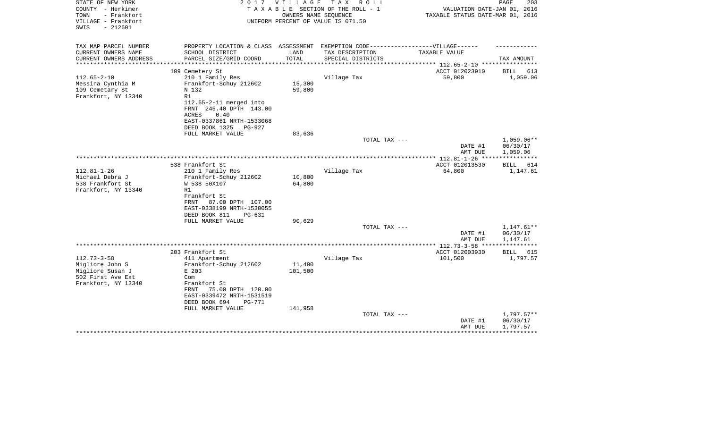| STATE OF NEW YORK<br>COUNTY - Herkimer<br>- Frankfort<br>TOWN<br>VILLAGE - Frankfort<br>$-212601$<br>SWIS | 2017                                                                                                                                                                             | VILLAGE<br>OWNERS NAME SEQUENCE | TAX ROLL<br>TAXABLE SECTION OF THE ROLL - 1<br>UNIFORM PERCENT OF VALUE IS 071.50 | VALUATION DATE-JAN 01, 2016<br>TAXABLE STATUS DATE-MAR 01, 2016 | $\mathop{\mathtt{PAGE}}$<br>203      |
|-----------------------------------------------------------------------------------------------------------|----------------------------------------------------------------------------------------------------------------------------------------------------------------------------------|---------------------------------|-----------------------------------------------------------------------------------|-----------------------------------------------------------------|--------------------------------------|
| TAX MAP PARCEL NUMBER<br>CURRENT OWNERS NAME<br>CURRENT OWNERS ADDRESS                                    | PROPERTY LOCATION & CLASS ASSESSMENT EXEMPTION CODE----------------VILLAGE------<br>SCHOOL DISTRICT<br>PARCEL SIZE/GRID COORD                                                    | LAND<br>TOTAL                   | TAX DESCRIPTION<br>SPECIAL DISTRICTS                                              | TAXABLE VALUE                                                   | TAX AMOUNT                           |
|                                                                                                           |                                                                                                                                                                                  |                                 |                                                                                   | ******************* 112.65-2-10 *************                   |                                      |
| $112.65 - 2 - 10$<br>Messina Cynthia M<br>109 Cemetary St<br>Frankfort, NY 13340                          | 109 Cemetery St<br>210 1 Family Res<br>Frankfort-Schuy 212602<br>N 132<br>R1<br>112.65-2-11 merged into<br>FRNT 245.40 DPTH 143.00<br>0.40<br>ACRES<br>EAST-0337861 NRTH-1533068 | 15,300<br>59,800                | Village Tax                                                                       | ACCT 012023910<br>59,800                                        | BILL<br>613<br>1,059.06              |
|                                                                                                           | DEED BOOK 1325<br>PG-927<br>FULL MARKET VALUE                                                                                                                                    | 83,636                          |                                                                                   |                                                                 |                                      |
|                                                                                                           |                                                                                                                                                                                  |                                 | TOTAL TAX ---                                                                     | DATE #1<br>AMT DUE                                              | 1,059.06**<br>06/30/17<br>1,059.06   |
|                                                                                                           |                                                                                                                                                                                  |                                 |                                                                                   |                                                                 |                                      |
| $112.81 - 1 - 26$<br>Michael Debra J<br>538 Frankfort St<br>Frankfort, NY 13340                           | 538 Frankfort St<br>210 1 Family Res<br>Frankfort-Schuy 212602<br>W 538 50X107<br>R1                                                                                             | 10,800<br>64,800                | Village Tax                                                                       | ACCT 012013530<br>64,800                                        | BILL<br>614<br>1,147.61              |
|                                                                                                           | Frankfort St<br>87.00 DPTH 107.00<br>FRNT<br>EAST-0338199 NRTH-1530055<br>DEED BOOK 811<br>$PG-631$<br>FULL MARKET VALUE                                                         | 90,629                          |                                                                                   |                                                                 |                                      |
|                                                                                                           |                                                                                                                                                                                  |                                 | TOTAL TAX ---                                                                     |                                                                 | $1,147.61**$                         |
|                                                                                                           |                                                                                                                                                                                  |                                 |                                                                                   | DATE #1<br>AMT DUE                                              | 06/30/17<br>1,147.61                 |
|                                                                                                           |                                                                                                                                                                                  |                                 |                                                                                   | *************** 112.73-3-58 ****                                | ***********                          |
|                                                                                                           | 203 Frankfort St                                                                                                                                                                 |                                 |                                                                                   | ACCT 012003930                                                  | BILL<br>615                          |
| $112.73 - 3 - 58$<br>Migliore John S<br>Migliore Susan J<br>502 First Ave Ext<br>Frankfort, NY 13340      | 411 Apartment<br>Frankfort-Schuy 212602<br>E 203<br>Com<br>Frankfort St<br>FRNT<br>75.00 DPTH 120.00<br>EAST-0339472 NRTH-1531519<br>DEED BOOK 694<br><b>PG-771</b>              | 11,400<br>101,500               | Village Tax                                                                       | 101,500                                                         | 1,797.57                             |
|                                                                                                           | FULL MARKET VALUE                                                                                                                                                                | 141,958                         | TOTAL TAX ---                                                                     | DATE #1<br>AMT DUE                                              | $1,797.57**$<br>06/30/17<br>1,797.57 |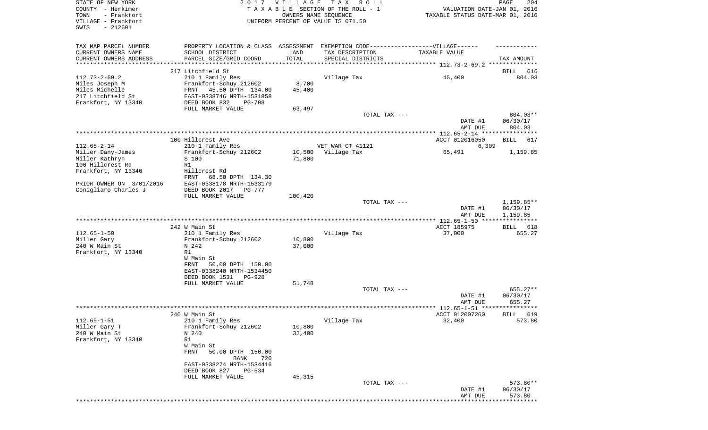|                                                     |                                                                                           |                  |                                                                                  | AMT DUE                                                         | 573.80                       |
|-----------------------------------------------------|-------------------------------------------------------------------------------------------|------------------|----------------------------------------------------------------------------------|-----------------------------------------------------------------|------------------------------|
|                                                     | FULL MARKET VALUE                                                                         | 45,315           | TOTAL TAX ---                                                                    | DATE #1                                                         | 573.80**<br>06/30/17         |
|                                                     | BANK<br>720<br>EAST-0338274 NRTH-1534416<br>DEED BOOK 827<br>PG-534                       |                  |                                                                                  |                                                                 |                              |
| Frankfort, NY 13340                                 | R1<br>W Main St<br><b>FRNT</b><br>50.00 DPTH 150.00                                       |                  |                                                                                  |                                                                 |                              |
| Miller Gary T<br>240 W Main St                      | Frankfort-Schuy 212602<br>N 240                                                           | 10,800<br>32,400 |                                                                                  |                                                                 |                              |
| $112.65 - 1 - 51$                                   | 240 W Main St<br>210 1 Family Res                                                         |                  | Village Tax                                                                      | ACCT 012007260<br>32,400                                        | BILL 619<br>573.80           |
|                                                     |                                                                                           |                  |                                                                                  | AMT DUE                                                         | 655.27                       |
|                                                     |                                                                                           |                  | TOTAL TAX ---                                                                    | DATE #1                                                         | 655.27**<br>06/30/17         |
|                                                     | DEED BOOK 1531<br>$PG-928$<br>FULL MARKET VALUE                                           | 51,748           |                                                                                  |                                                                 |                              |
|                                                     | W Main St<br>50.00 DPTH 150.00<br>FRNT<br>EAST-0338240 NRTH-1534450                       |                  |                                                                                  |                                                                 |                              |
| Miller Gary<br>240 W Main St<br>Frankfort, NY 13340 | Frankfort-Schuy 212602<br>N 242<br>R1                                                     | 10,800<br>37,000 |                                                                                  |                                                                 |                              |
| $112.65 - 1 - 50$                                   | 242 W Main St<br>210 1 Family Res                                                         |                  | Village Tax                                                                      | ACCT 185975<br>37,000                                           | <b>BILL</b><br>618<br>655.27 |
|                                                     |                                                                                           |                  |                                                                                  | ************* 112.65-1-50 *****************                     |                              |
|                                                     |                                                                                           |                  |                                                                                  | DATE #1<br>AMT DUE                                              | 06/30/17<br>1,159.85         |
|                                                     | FULL MARKET VALUE                                                                         | 100,420          | TOTAL TAX ---                                                                    |                                                                 | $1,159.85**$                 |
| PRIOR OWNER ON 3/01/2016<br>Conigliaro Charles J    | FRNT<br>68.50 DPTH 134.30<br>EAST-0338178 NRTH-1533179<br>DEED BOOK 2017<br><b>PG-777</b> |                  |                                                                                  |                                                                 |                              |
| Frankfort, NY 13340                                 | Hillcrest Rd                                                                              |                  |                                                                                  |                                                                 |                              |
| Miller Kathryn<br>100 Hillcrest Rd                  | S 100<br>R1                                                                               | 71,800           |                                                                                  |                                                                 |                              |
| $112.65 - 2 - 14$<br>Miller Dany-James              | 210 1 Family Res<br>Frankfort-Schuy 212602                                                | 10,500           | VET WAR CT 41121<br>Village Tax                                                  | 6,309<br>65,491                                                 | 1,159.85                     |
|                                                     | 100 Hillcrest Ave                                                                         |                  |                                                                                  | ACCT 012016050                                                  | BILL<br>617                  |
|                                                     |                                                                                           |                  |                                                                                  | DATE #1<br>AMT DUE                                              | 06/30/17<br>804.03           |
|                                                     |                                                                                           |                  | TOTAL TAX ---                                                                    |                                                                 | 804.03**                     |
| Frankfort, NY 13340                                 | DEED BOOK 832<br>$PG-708$<br>FULL MARKET VALUE                                            | 63,497           |                                                                                  |                                                                 |                              |
| Miles Michelle<br>217 Litchfield St                 | FRNT<br>45.50 DPTH 134.00<br>EAST-0338746 NRTH-1531858                                    | 45,400           |                                                                                  |                                                                 |                              |
| $112.73 - 2 - 69.2$<br>Miles Joseph M               | 210 1 Family Res<br>Frankfort-Schuy 212602                                                | 8,700            | Village Tax                                                                      | 45,400                                                          |                              |
|                                                     | 217 Litchfield St                                                                         |                  |                                                                                  |                                                                 | 616<br>BILL<br>804.03        |
| CURRENT OWNERS ADDRESS<br>*********************     | PARCEL SIZE/GRID COORD                                                                    | TOTAL            | SPECIAL DISTRICTS                                                                |                                                                 | TAX AMOUNT                   |
| CURRENT OWNERS NAME                                 | SCHOOL DISTRICT                                                                           | LAND             | TAX DESCRIPTION                                                                  | TAXABLE VALUE                                                   |                              |
| TAX MAP PARCEL NUMBER                               |                                                                                           |                  | PROPERTY LOCATION & CLASS ASSESSMENT EXEMPTION CODE----------------VILLAGE------ |                                                                 |                              |
| SWIS<br>$-212601$                                   |                                                                                           |                  |                                                                                  |                                                                 |                              |
| VILLAGE - Frankfort                                 |                                                                                           |                  | UNIFORM PERCENT OF VALUE IS 071.50                                               |                                                                 |                              |
| COUNTY - Herkimer<br>- Frankfort<br>TOWN            |                                                                                           |                  | TAXABLE SECTION OF THE ROLL - 1<br>OWNERS NAME SEQUENCE                          | VALUATION DATE-JAN 01, 2016<br>TAXABLE STATUS DATE-MAR 01, 2016 |                              |
| STATE OF NEW YORK                                   | 2017                                                                                      | <b>VILLAGE</b>   | T A X<br>R O L L                                                                 |                                                                 | PAGE<br>204                  |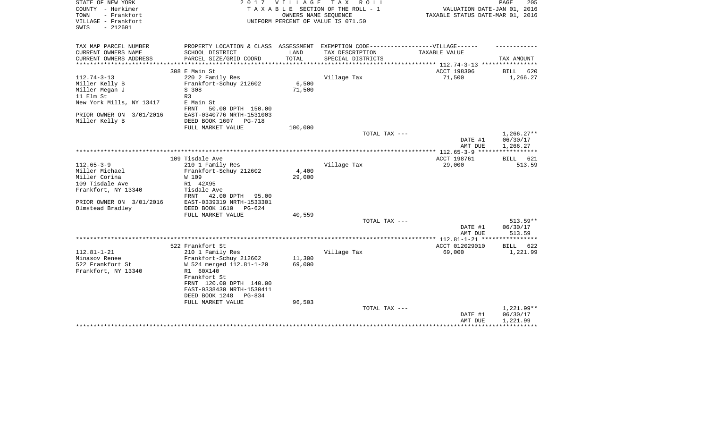| STATE OF NEW YORK<br>COUNTY - Herkimer<br>- Frankfort<br>TOWN<br>VILLAGE - Frankfort<br>$-212601$<br>SWIS | 2 0 1 7                                                                           | VILLAGE          | T A X<br>R O L L<br>TAXABLE SECTION OF THE ROLL - 1<br>OWNERS NAME SEQUENCE<br>UNIFORM PERCENT OF VALUE IS 071.50 | VALUATION DATE-JAN 01, 2016<br>TAXABLE STATUS DATE-MAR 01, 2016 | 205<br>PAGE  |
|-----------------------------------------------------------------------------------------------------------|-----------------------------------------------------------------------------------|------------------|-------------------------------------------------------------------------------------------------------------------|-----------------------------------------------------------------|--------------|
| TAX MAP PARCEL NUMBER                                                                                     | PROPERTY LOCATION & CLASS ASSESSMENT EXEMPTION CODE-----------------VILLAGE------ |                  |                                                                                                                   |                                                                 |              |
| CURRENT OWNERS NAME                                                                                       | SCHOOL DISTRICT                                                                   | LAND             | TAX DESCRIPTION                                                                                                   | TAXABLE VALUE                                                   |              |
| CURRENT OWNERS ADDRESS                                                                                    | PARCEL SIZE/GRID COORD                                                            | TOTAL            | SPECIAL DISTRICTS                                                                                                 |                                                                 | TAX AMOUNT   |
|                                                                                                           | 308 E Main St                                                                     |                  |                                                                                                                   | ACCT 198306                                                     | BILL<br>620  |
| $112.74 - 3 - 13$                                                                                         | 220 2 Family Res                                                                  |                  | Village Tax                                                                                                       | 71,500                                                          | 1,266.27     |
| Miller Kelly B                                                                                            | Frankfort-Schuy 212602                                                            | 6,500            |                                                                                                                   |                                                                 |              |
| Miller Megan J                                                                                            | S 308                                                                             | 71,500           |                                                                                                                   |                                                                 |              |
| 11 Elm St                                                                                                 | R <sub>3</sub>                                                                    |                  |                                                                                                                   |                                                                 |              |
| New York Mills, NY 13417                                                                                  | E Main St<br>FRNT<br>50.00 DPTH 150.00                                            |                  |                                                                                                                   |                                                                 |              |
| PRIOR OWNER ON 3/01/2016                                                                                  | EAST-0340776 NRTH-1531003                                                         |                  |                                                                                                                   |                                                                 |              |
| Miller Kelly B                                                                                            | DEED BOOK 1607<br>PG-718                                                          |                  |                                                                                                                   |                                                                 |              |
|                                                                                                           | FULL MARKET VALUE                                                                 | 100,000          |                                                                                                                   |                                                                 |              |
|                                                                                                           |                                                                                   |                  | TOTAL TAX ---                                                                                                     |                                                                 | $1,266.27**$ |
|                                                                                                           |                                                                                   |                  |                                                                                                                   | DATE #1                                                         | 06/30/17     |
|                                                                                                           |                                                                                   |                  |                                                                                                                   | AMT DUE                                                         | 1,266.27     |
|                                                                                                           | 109 Tisdale Ave                                                                   |                  |                                                                                                                   | ACCT 198761                                                     | BILL<br>621  |
| $112.65 - 3 - 9$                                                                                          | 210 1 Family Res                                                                  |                  | Village Tax                                                                                                       | 29,000                                                          | 513.59       |
| Miller Michael                                                                                            | Frankfort-Schuy 212602                                                            | 4,400            |                                                                                                                   |                                                                 |              |
| Miller Corina                                                                                             | W 109                                                                             | 29,000           |                                                                                                                   |                                                                 |              |
| 109 Tisdale Ave                                                                                           | R1 42X95                                                                          |                  |                                                                                                                   |                                                                 |              |
| Frankfort, NY 13340                                                                                       | Tisdale Ave                                                                       |                  |                                                                                                                   |                                                                 |              |
|                                                                                                           | 42.00 DPTH<br>FRNT<br>95.00                                                       |                  |                                                                                                                   |                                                                 |              |
| PRIOR OWNER ON 3/01/2016                                                                                  | EAST-0339319 NRTH-1533301                                                         |                  |                                                                                                                   |                                                                 |              |
| Olmstead Bradley                                                                                          | DEED BOOK 1610<br>PG-624                                                          |                  |                                                                                                                   |                                                                 |              |
|                                                                                                           | FULL MARKET VALUE                                                                 | 40,559           |                                                                                                                   |                                                                 |              |
|                                                                                                           |                                                                                   |                  | TOTAL TAX ---                                                                                                     |                                                                 | 513.59**     |
|                                                                                                           |                                                                                   |                  |                                                                                                                   | DATE #1                                                         | 06/30/17     |
|                                                                                                           |                                                                                   |                  |                                                                                                                   | AMT DUE                                                         | 513.59       |
|                                                                                                           |                                                                                   |                  |                                                                                                                   | ************* 112.81-1-21 *****************                     |              |
|                                                                                                           | 522 Frankfort St                                                                  |                  |                                                                                                                   | ACCT 012029010                                                  | BILL<br>622  |
| $112.81 - 1 - 21$                                                                                         | 210 1 Family Res                                                                  |                  | Village Tax                                                                                                       | 69,000                                                          | 1,221.99     |
| Minasov Renee<br>522 Frankfort St                                                                         | Frankfort-Schuy 212602<br>W 524 merged 112.81-1-20                                | 11,300<br>69,000 |                                                                                                                   |                                                                 |              |
| Frankfort, NY 13340                                                                                       | R1 60X140                                                                         |                  |                                                                                                                   |                                                                 |              |
|                                                                                                           | Frankfort St                                                                      |                  |                                                                                                                   |                                                                 |              |
|                                                                                                           | FRNT 120.00 DPTH 140.00                                                           |                  |                                                                                                                   |                                                                 |              |
|                                                                                                           | EAST-0338430 NRTH-1530411                                                         |                  |                                                                                                                   |                                                                 |              |
|                                                                                                           | DEED BOOK 1248<br>$PG-8.34$                                                       |                  |                                                                                                                   |                                                                 |              |
|                                                                                                           | FULL MARKET VALUE                                                                 | 96,503           |                                                                                                                   |                                                                 |              |
|                                                                                                           |                                                                                   |                  | TOTAL TAX ---                                                                                                     |                                                                 | 1,221.99**   |
|                                                                                                           |                                                                                   |                  |                                                                                                                   | DATE #1                                                         | 06/30/17     |
|                                                                                                           |                                                                                   |                  |                                                                                                                   | AMT DUE                                                         | 1,221.99     |
|                                                                                                           |                                                                                   |                  |                                                                                                                   |                                                                 |              |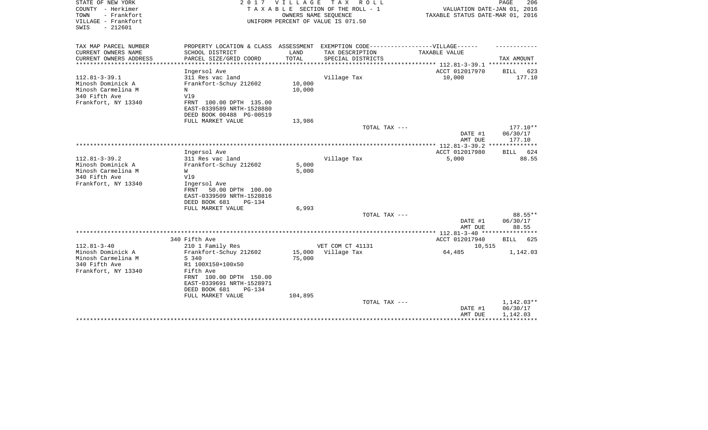| STATE OF NEW YORK<br>COUNTY - Herkimer<br>- Frankfort<br>TOWN<br>VILLAGE - Frankfort<br>$-212601$<br>SWIS | 2017                                                                                                 | <b>VILLAGE</b>   | TAX ROLL<br>TAXABLE SECTION OF THE ROLL - 1<br>OWNERS NAME SEQUENCE<br>UNIFORM PERCENT OF VALUE IS 071.50 | VALUATION DATE-JAN 01, 2016<br>TAXABLE STATUS DATE-MAR 01, 2016 | PAGE<br>206                        |
|-----------------------------------------------------------------------------------------------------------|------------------------------------------------------------------------------------------------------|------------------|-----------------------------------------------------------------------------------------------------------|-----------------------------------------------------------------|------------------------------------|
| TAX MAP PARCEL NUMBER<br>CURRENT OWNERS NAME                                                              | PROPERTY LOCATION & CLASS ASSESSMENT EXEMPTION CODE-----------------VILLAGE------<br>SCHOOL DISTRICT | LAND             | TAX DESCRIPTION                                                                                           | TAXABLE VALUE                                                   |                                    |
| CURRENT OWNERS ADDRESS                                                                                    | PARCEL SIZE/GRID COORD                                                                               | TOTAL            | SPECIAL DISTRICTS                                                                                         |                                                                 | TAX AMOUNT                         |
|                                                                                                           |                                                                                                      | ***********      |                                                                                                           | *************** 112.81-3-39.1 ***************                   |                                    |
|                                                                                                           | Ingersol Ave                                                                                         |                  |                                                                                                           | ACCT 012017970                                                  | BILL<br>623                        |
| $112.81 - 3 - 39.1$<br>Minosh Dominick A<br>Minosh Carmelina M                                            | 311 Res vac land<br>Frankfort-Schuy 212602<br>N                                                      | 10,000<br>10,000 | Village Tax                                                                                               | 10,000                                                          | 177.10                             |
| 340 Fifth Ave<br>Frankfort, NY 13340                                                                      | V19<br>FRNT 100.00 DPTH 135.00<br>EAST-0339589 NRTH-1528880                                          |                  |                                                                                                           |                                                                 |                                    |
|                                                                                                           | DEED BOOK 00488 PG-00519                                                                             |                  |                                                                                                           |                                                                 |                                    |
|                                                                                                           | FULL MARKET VALUE                                                                                    | 13,986           |                                                                                                           |                                                                 |                                    |
|                                                                                                           |                                                                                                      |                  | TOTAL TAX ---                                                                                             | DATE #1<br>AMT DUE                                              | $177.10**$<br>06/30/17<br>177.10   |
|                                                                                                           |                                                                                                      |                  |                                                                                                           |                                                                 |                                    |
| $112.81 - 3 - 39.2$                                                                                       | Ingersol Ave<br>311 Res vac land                                                                     |                  | Village Tax                                                                                               | ACCT 012017980<br>5,000                                         | BILL 624<br>88.55                  |
| Minosh Dominick A<br>Minosh Carmelina M<br>340 Fifth Ave<br>Frankfort, NY 13340                           | Frankfort-Schuy 212602<br>W<br>V19<br>Ingersol Ave                                                   | 5,000<br>5,000   |                                                                                                           |                                                                 |                                    |
|                                                                                                           | FRNT<br>50.00 DPTH 100.00<br>EAST-0339509 NRTH-1528816<br>DEED BOOK 681<br>$PG-134$                  | 6,993            |                                                                                                           |                                                                 |                                    |
|                                                                                                           | FULL MARKET VALUE                                                                                    |                  | TOTAL TAX ---                                                                                             |                                                                 | 88.55**                            |
|                                                                                                           |                                                                                                      |                  |                                                                                                           | DATE #1<br>AMT DUE                                              | 06/30/17<br>88.55                  |
|                                                                                                           |                                                                                                      |                  |                                                                                                           |                                                                 |                                    |
|                                                                                                           | 340 Fifth Ave                                                                                        |                  |                                                                                                           | ACCT 012017940                                                  | BILL<br>625                        |
| $112.81 - 3 - 40$<br>Minosh Dominick A                                                                    | 210 1 Family Res<br>Frankfort-Schuy 212602                                                           | 15,000           | VET COM CT 41131<br>Village Tax                                                                           | 10,515<br>64,485                                                | 1,142.03                           |
| Minosh Carmelina M<br>340 Fifth Ave                                                                       | S 340<br>R1 100X150+100x50                                                                           | 75,000           |                                                                                                           |                                                                 |                                    |
| Frankfort, NY 13340                                                                                       | Fifth Ave<br>FRNT 100.00 DPTH 150.00<br>EAST-0339691 NRTH-1528971<br>DEED BOOK 681<br>$PG-134$       |                  |                                                                                                           |                                                                 |                                    |
|                                                                                                           | FULL MARKET VALUE                                                                                    | 104,895          | TOTAL TAX ---                                                                                             | DATE #1<br>AMT DUE                                              | 1,142.03**<br>06/30/17<br>1,142.03 |
|                                                                                                           |                                                                                                      |                  |                                                                                                           |                                                                 |                                    |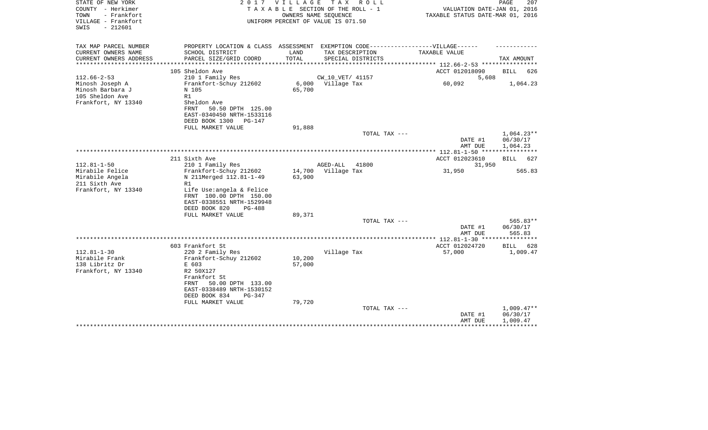| STATE OF NEW YORK<br>COUNTY - Herkimer<br>- Frankfort<br>TOWN<br>VILLAGE - Frankfort<br>SWIS<br>$-212601$           |                                                                                                   | 2017 VILLAGE         | TAX ROLL<br>T A X A B L E SECTION OF THE ROLL - 1<br>OWNERS NAME SEOUENCE<br>UNIFORM PERCENT OF VALUE IS 071.50 | VALUATION DATE-JAN 01, 2016<br>TAXABLE STATUS DATE-MAR 01, 2016                                   | PAGE<br>207          |
|---------------------------------------------------------------------------------------------------------------------|---------------------------------------------------------------------------------------------------|----------------------|-----------------------------------------------------------------------------------------------------------------|---------------------------------------------------------------------------------------------------|----------------------|
| TAX MAP PARCEL NUMBER<br>CURRENT OWNERS NAME<br>SCHOOL DISTRICT                                                     |                                                                                                   | LAND                 | TAX DESCRIPTION                                                                                                 | PROPERTY LOCATION & CLASS ASSESSMENT EXEMPTION CODE----------------VILLAGE------<br>TAXABLE VALUE |                      |
| CURRENT OWNERS ADDRESS                                                                                              | PARCEL SIZE/GRID COORD                                                                            | TOTAL                | SPECIAL DISTRICTS                                                                                               |                                                                                                   | TAX AMOUNT           |
| *************                                                                                                       |                                                                                                   | ******************** |                                                                                                                 | ************ 112.66-2-53 *********                                                                |                      |
| 105 Sheldon Ave<br>$112.66 - 2 - 53$                                                                                | 210 1 Family Res                                                                                  |                      | CW_10_VET/ 41157                                                                                                | ACCT 012018090<br>5,608                                                                           | <b>BILL</b><br>626   |
| Minosh Joseph A<br>Minosh Barbara J<br>N 105<br>105 Sheldon Ave<br>R1<br>Frankfort, NY 13340<br>Sheldon Ave<br>FRNT | Frankfort-Schuy 212602<br>50.50 DPTH 125.00<br>EAST-0340450 NRTH-1533116                          | 65,700               | 6,000 Village Tax                                                                                               | 60,092                                                                                            | 1,064.23             |
| DEED BOOK 1300                                                                                                      | $PG-147$                                                                                          |                      |                                                                                                                 |                                                                                                   |                      |
|                                                                                                                     | FULL MARKET VALUE                                                                                 | 91,888               | TOTAL TAX ---                                                                                                   |                                                                                                   | $1,064.23**$         |
|                                                                                                                     |                                                                                                   |                      |                                                                                                                 | DATE #1<br>AMT DUE                                                                                | 06/30/17<br>1,064.23 |
|                                                                                                                     |                                                                                                   |                      |                                                                                                                 |                                                                                                   |                      |
| 211 Sixth Ave<br>$112.81 - 1 - 50$<br>210 1 Family Res                                                              |                                                                                                   |                      | AGED-ALL<br>41800                                                                                               | ACCT 012023610<br>31,950                                                                          | 627<br>BILL          |
| Mirabile Felice<br>Mirabile Angela                                                                                  | Frankfort-Schuy 212602<br>N 211Merged 112.81-1-49                                                 | 14,700<br>63,900     | Village Tax                                                                                                     | 31,950                                                                                            | 565.83               |
| 211 Sixth Ave<br>R1<br>Frankfort, NY 13340<br>DEED BOOK 820                                                         | Life Use:angela & Felice<br>FRNT 100.00 DPTH 150.00<br>EAST-0338551 NRTH-1529948<br><b>PG-488</b> |                      |                                                                                                                 |                                                                                                   |                      |
|                                                                                                                     | FULL MARKET VALUE                                                                                 | 89,371               | TOTAL TAX ---                                                                                                   |                                                                                                   | $565.83**$           |
|                                                                                                                     |                                                                                                   |                      |                                                                                                                 | DATE #1<br>AMT DUE                                                                                | 06/30/17<br>565.83   |
|                                                                                                                     |                                                                                                   |                      |                                                                                                                 | ************** 112.81-1-30 *****************                                                      |                      |
| 603 Frankfort St                                                                                                    |                                                                                                   |                      |                                                                                                                 | ACCT 012024720                                                                                    | <b>BILL</b><br>628   |
| $112.81 - 1 - 30$<br>Mirabile Frank                                                                                 | 220 2 Family Res<br>Frankfort-Schuy 212602                                                        | 10,200               | Village Tax                                                                                                     | 57,000                                                                                            | 1,009.47             |
| 138 Libritz Dr<br>E 603                                                                                             |                                                                                                   | 57,000               |                                                                                                                 |                                                                                                   |                      |
| Frankfort, NY 13340<br>R2 50X127<br>Frankfort St<br>FRNT<br>DEED BOOK 834                                           | 50.00 DPTH 133.00<br>EAST-0338489 NRTH-1530152<br>$PG-347$                                        |                      |                                                                                                                 |                                                                                                   |                      |
|                                                                                                                     | FULL MARKET VALUE                                                                                 | 79,720               | TOTAL TAX ---                                                                                                   |                                                                                                   | $1,009.47**$         |
|                                                                                                                     |                                                                                                   |                      |                                                                                                                 | DATE #1<br>AMT DUE                                                                                | 06/30/17<br>1,009.47 |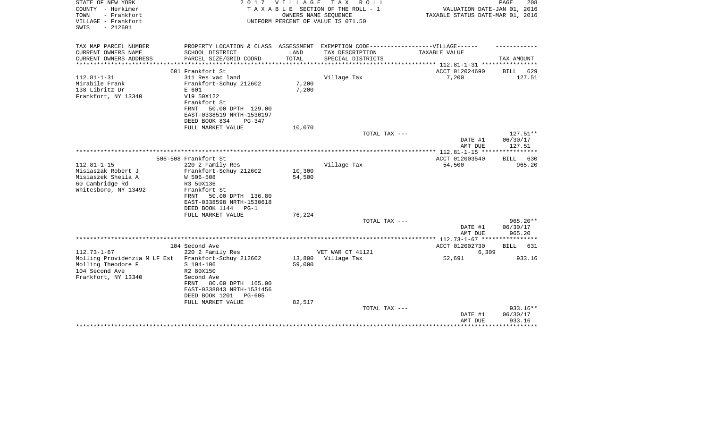| STATE OF NEW YORK<br>COUNTY - Herkimer<br>TOWN<br>- Frankfort | 2017                                                   | <b>VILLAGE</b> | T A X<br>R O L L<br>TAXABLE SECTION OF THE ROLL - 1<br>OWNERS NAME SEQUENCE | VALUATION DATE-JAN 01, 2016<br>TAXABLE STATUS DATE-MAR 01, 2016 | PAGE<br>208            |
|---------------------------------------------------------------|--------------------------------------------------------|----------------|-----------------------------------------------------------------------------|-----------------------------------------------------------------|------------------------|
| VILLAGE - Frankfort<br>$-212601$<br>SWIS                      |                                                        |                | UNIFORM PERCENT OF VALUE IS 071.50                                          |                                                                 |                        |
| TAX MAP PARCEL NUMBER                                         | PROPERTY LOCATION & CLASS ASSESSMENT                   |                | EXEMPTION CODE------------------VILLAGE------                               |                                                                 |                        |
| CURRENT OWNERS NAME                                           | SCHOOL DISTRICT                                        | LAND           | TAX DESCRIPTION                                                             | TAXABLE VALUE                                                   |                        |
| CURRENT OWNERS ADDRESS<br>*********************               | PARCEL SIZE/GRID COORD                                 | TOTAL          | SPECIAL DISTRICTS                                                           | ***************** 112.81-1-31 *****************                 | TAX AMOUNT             |
|                                                               | 601 Frankfort St                                       |                |                                                                             | ACCT 012024690                                                  | BILL<br>629            |
| $112.81 - 1 - 31$                                             | 311 Res vac land                                       |                | Village Tax                                                                 | 7,200                                                           | 127.51                 |
| Mirabile Frank                                                | Frankfort-Schuy 212602                                 | 7,200          |                                                                             |                                                                 |                        |
| 138 Libritz Dr                                                | E 601                                                  | 7,200          |                                                                             |                                                                 |                        |
| Frankfort, NY 13340                                           | V19 50X122                                             |                |                                                                             |                                                                 |                        |
|                                                               | Frankfort St                                           |                |                                                                             |                                                                 |                        |
|                                                               | 50.00 DPTH 129.00<br>FRNT                              |                |                                                                             |                                                                 |                        |
|                                                               | EAST-0338519 NRTH-1530197<br>DEED BOOK 834<br>$PG-347$ |                |                                                                             |                                                                 |                        |
|                                                               | FULL MARKET VALUE                                      | 10,070         |                                                                             |                                                                 |                        |
|                                                               |                                                        |                | TOTAL TAX ---                                                               |                                                                 | 127.51**               |
|                                                               |                                                        |                |                                                                             | DATE #1                                                         | 06/30/17               |
|                                                               |                                                        |                |                                                                             | AMT DUE                                                         | 127.51                 |
|                                                               |                                                        |                |                                                                             |                                                                 |                        |
| $112.81 - 1 - 15$                                             | 506-508 Frankfort St                                   |                |                                                                             | ACCT 012003540                                                  | 630<br><b>BILL</b>     |
| Misiaszak Robert J                                            | 220 2 Family Res<br>Frankfort-Schuy 212602             | 10,300         | Village Tax                                                                 | 54,500                                                          | 965.20                 |
| Misiaszek Sheila A                                            | W 506-508                                              | 54,500         |                                                                             |                                                                 |                        |
| 60 Cambridge Rd                                               | R3 50X136                                              |                |                                                                             |                                                                 |                        |
| Whitesboro, NY 13492                                          | Frankfort St                                           |                |                                                                             |                                                                 |                        |
|                                                               | 50.00 DPTH 136.80<br>FRNT                              |                |                                                                             |                                                                 |                        |
|                                                               | EAST-0338598 NRTH-1530618                              |                |                                                                             |                                                                 |                        |
|                                                               | DEED BOOK 1144<br>$PG-1$                               |                |                                                                             |                                                                 |                        |
|                                                               | FULL MARKET VALUE                                      | 76,224         |                                                                             |                                                                 |                        |
|                                                               |                                                        |                | TOTAL TAX ---                                                               | DATE #1                                                         | $965.20**$<br>06/30/17 |
|                                                               |                                                        |                |                                                                             | AMT DUE                                                         | 965.20                 |
|                                                               |                                                        |                |                                                                             | ************ 112.73-1-67 *****************                      |                        |
|                                                               | 104 Second Ave                                         |                |                                                                             | ACCT 012002730                                                  | <b>BILL</b><br>631     |
| $112.73 - 1 - 67$                                             | 220 2 Family Res                                       |                | VET WAR CT 41121                                                            | 6,309                                                           |                        |
| Molling Providenzia M LF Est                                  | Frankfort-Schuy 212602                                 | 13,800         | Village Tax                                                                 | 52,691                                                          | 933.16                 |
| Molling Theodore F                                            | $S$ 104-106                                            | 59,000         |                                                                             |                                                                 |                        |
| 104 Second Ave                                                | R2 80X150                                              |                |                                                                             |                                                                 |                        |
| Frankfort, NY 13340                                           | Second Ave<br>80.00 DPTH 165.00<br>FRNT                |                |                                                                             |                                                                 |                        |
|                                                               | EAST-0338843 NRTH-1531456                              |                |                                                                             |                                                                 |                        |
|                                                               | DEED BOOK 1201<br>PG-605                               |                |                                                                             |                                                                 |                        |
|                                                               | FULL MARKET VALUE                                      | 82,517         |                                                                             |                                                                 |                        |
|                                                               |                                                        |                | TOTAL TAX ---                                                               |                                                                 | 933.16**               |
|                                                               |                                                        |                |                                                                             | DATE #1                                                         | 06/30/17               |
|                                                               |                                                        |                |                                                                             | AMT DUE                                                         | 933.16                 |
|                                                               |                                                        |                |                                                                             |                                                                 |                        |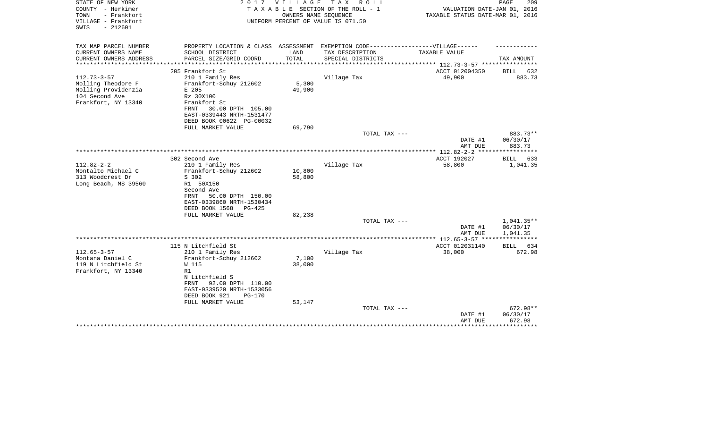| STATE OF NEW YORK<br>COUNTY - Herkimer<br>- Frankfort<br>TOWN<br>VILLAGE - Frankfort<br>$-212601$<br>SWIS | 2 0 1 7                                        | VILLAGE          | TAX ROLL<br>TAXABLE SECTION OF THE ROLL - 1<br>OWNERS NAME SEQUENCE<br>UNIFORM PERCENT OF VALUE IS 071.50 | VALUATION DATE-JAN 01, 2016<br>TAXABLE STATUS DATE-MAR 01, 2016 | PAGE<br>209          |
|-----------------------------------------------------------------------------------------------------------|------------------------------------------------|------------------|-----------------------------------------------------------------------------------------------------------|-----------------------------------------------------------------|----------------------|
| TAX MAP PARCEL NUMBER                                                                                     | PROPERTY LOCATION & CLASS ASSESSMENT           |                  | EXEMPTION CODE-----------------VILLAGE------                                                              |                                                                 |                      |
| CURRENT OWNERS NAME                                                                                       | SCHOOL DISTRICT                                | LAND             | TAX DESCRIPTION                                                                                           | TAXABLE VALUE                                                   |                      |
| CURRENT OWNERS ADDRESS<br>****************                                                                | PARCEL SIZE/GRID COORD                         | TOTAL            | SPECIAL DISTRICTS                                                                                         | ********************************** 112.73-3-57 **************** | TAX AMOUNT           |
|                                                                                                           | 205 Frankfort St                               |                  |                                                                                                           | ACCT 012004350                                                  | BILL<br>632          |
| $112.73 - 3 - 57$                                                                                         | 210 1 Family Res                               |                  | Village Tax                                                                                               | 49,900                                                          | 883.73               |
| Molling Theodore F                                                                                        | Frankfort-Schuy 212602                         | 5,300            |                                                                                                           |                                                                 |                      |
| Molling Providenzia<br>104 Second Ave                                                                     | E 205<br>Rz 30X100                             | 49,900           |                                                                                                           |                                                                 |                      |
| Frankfort, NY 13340                                                                                       | Frankfort St                                   |                  |                                                                                                           |                                                                 |                      |
|                                                                                                           | 30.00 DPTH 105.00<br>FRNT                      |                  |                                                                                                           |                                                                 |                      |
|                                                                                                           | EAST-0339443 NRTH-1531477                      |                  |                                                                                                           |                                                                 |                      |
|                                                                                                           | DEED BOOK 00622 PG-00032                       |                  |                                                                                                           |                                                                 |                      |
|                                                                                                           | FULL MARKET VALUE                              | 69,790           |                                                                                                           |                                                                 |                      |
|                                                                                                           |                                                |                  | TOTAL TAX ---                                                                                             | DATE #1                                                         | 883.73**<br>06/30/17 |
|                                                                                                           |                                                |                  |                                                                                                           | AMT DUE                                                         | 883.73               |
|                                                                                                           |                                                |                  |                                                                                                           | ************* 112.82-2-2 ******************                     |                      |
|                                                                                                           | 302 Second Ave                                 |                  |                                                                                                           | ACCT 192027                                                     | BILL<br>633          |
| $112.82 - 2 - 2$                                                                                          | 210 1 Family Res                               |                  | Village Tax                                                                                               | 58,800                                                          | 1,041.35             |
| Montalto Michael C<br>313 Woodcrest Dr                                                                    | Frankfort-Schuy 212602<br>S 302                | 10,800<br>58,800 |                                                                                                           |                                                                 |                      |
| Long Beach, MS 39560                                                                                      | R1 50X150                                      |                  |                                                                                                           |                                                                 |                      |
|                                                                                                           | Second Ave                                     |                  |                                                                                                           |                                                                 |                      |
|                                                                                                           | 50.00 DPTH 150.00<br><b>FRNT</b>               |                  |                                                                                                           |                                                                 |                      |
|                                                                                                           | EAST-0339860 NRTH-1530434                      |                  |                                                                                                           |                                                                 |                      |
|                                                                                                           | DEED BOOK 1568<br>$PG-425$                     |                  |                                                                                                           |                                                                 |                      |
|                                                                                                           | FULL MARKET VALUE                              | 82,238           | TOTAL TAX ---                                                                                             |                                                                 | 1,041.35**           |
|                                                                                                           |                                                |                  |                                                                                                           | DATE #1                                                         | 06/30/17             |
|                                                                                                           |                                                |                  |                                                                                                           | AMT DUE                                                         | 1,041.35             |
|                                                                                                           |                                                |                  |                                                                                                           |                                                                 |                      |
|                                                                                                           | 115 N Litchfield St                            |                  |                                                                                                           | ACCT 012031140                                                  | 634<br>BILL          |
| $112.65 - 3 - 57$<br>Montana Daniel C                                                                     | 210 1 Family Res<br>Frankfort-Schuy 212602     | 7,100            | Village Tax                                                                                               | 38,000                                                          | 672.98               |
| 119 N Litchfield St                                                                                       | W 115                                          | 38,000           |                                                                                                           |                                                                 |                      |
| Frankfort, NY 13340                                                                                       | R1                                             |                  |                                                                                                           |                                                                 |                      |
|                                                                                                           | N Litchfield S                                 |                  |                                                                                                           |                                                                 |                      |
|                                                                                                           | 92.00 DPTH 110.00<br>FRNT                      |                  |                                                                                                           |                                                                 |                      |
|                                                                                                           | EAST-0339520 NRTH-1533056                      |                  |                                                                                                           |                                                                 |                      |
|                                                                                                           | DEED BOOK 921<br>$PG-170$<br>FULL MARKET VALUE | 53,147           |                                                                                                           |                                                                 |                      |
|                                                                                                           |                                                |                  | TOTAL TAX ---                                                                                             |                                                                 | 672.98**             |
|                                                                                                           |                                                |                  |                                                                                                           | DATE #1                                                         | 06/30/17             |
|                                                                                                           |                                                |                  |                                                                                                           | AMT DUE                                                         | 672.98               |
|                                                                                                           |                                                |                  |                                                                                                           |                                                                 |                      |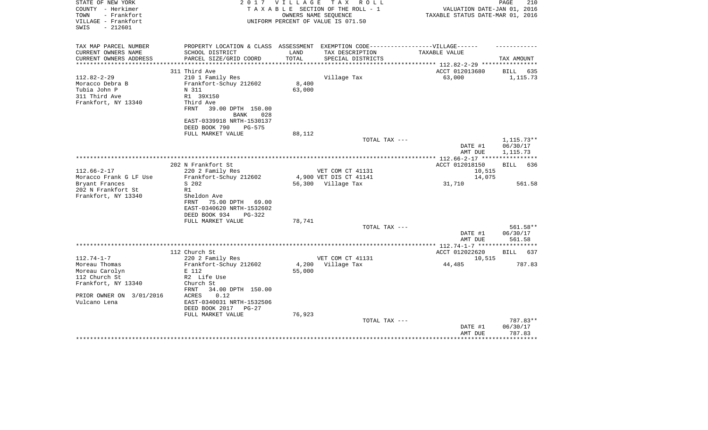| STATE OF NEW YORK                        | 2 0 1 7                                                                          | VILLAGE       | TAX ROLL                           |                                  | PAGE<br>210        |
|------------------------------------------|----------------------------------------------------------------------------------|---------------|------------------------------------|----------------------------------|--------------------|
| COUNTY - Herkimer<br>- Frankfort<br>TOWN |                                                                                  |               | TAXABLE SECTION OF THE ROLL - 1    | VALUATION DATE-JAN 01, 2016      |                    |
| VILLAGE - Frankfort                      |                                                                                  |               | OWNERS NAME SEQUENCE               | TAXABLE STATUS DATE-MAR 01, 2016 |                    |
| SWIS<br>$-212601$                        |                                                                                  |               | UNIFORM PERCENT OF VALUE IS 071.50 |                                  |                    |
|                                          |                                                                                  |               |                                    |                                  |                    |
|                                          |                                                                                  |               |                                    |                                  |                    |
| TAX MAP PARCEL NUMBER                    | PROPERTY LOCATION & CLASS ASSESSMENT EXEMPTION CODE----------------VILLAGE------ |               |                                    |                                  |                    |
| CURRENT OWNERS NAME                      | SCHOOL DISTRICT                                                                  | LAND          | TAX DESCRIPTION                    | <b>TAXABLE VALUE</b>             |                    |
| CURRENT OWNERS ADDRESS                   | PARCEL SIZE/GRID COORD                                                           | TOTAL         | SPECIAL DISTRICTS                  |                                  | TAX AMOUNT         |
| **********************                   | **************************                                                       | ************* |                                    |                                  |                    |
|                                          | 311 Third Ave                                                                    |               |                                    | ACCT 012013680                   | BILL<br>635        |
| $112.82 - 2 - 29$                        | 210 1 Family Res                                                                 |               | Village Tax                        | 63,000                           | 1,115.73           |
| Moracco Debra B                          | Frankfort-Schuy 212602                                                           | 8,400         |                                    |                                  |                    |
| Tubia John P                             | N 311                                                                            | 63,000        |                                    |                                  |                    |
| 311 Third Ave                            | R1 39X150                                                                        |               |                                    |                                  |                    |
| Frankfort, NY 13340                      | Third Ave                                                                        |               |                                    |                                  |                    |
|                                          | 39.00 DPTH 150.00<br>FRNT                                                        |               |                                    |                                  |                    |
|                                          | 028<br><b>BANK</b>                                                               |               |                                    |                                  |                    |
|                                          | EAST-0339918 NRTH-1530137                                                        |               |                                    |                                  |                    |
|                                          | DEED BOOK 790<br>PG-575                                                          |               |                                    |                                  |                    |
|                                          | FULL MARKET VALUE                                                                | 88,112        |                                    |                                  |                    |
|                                          |                                                                                  |               | TOTAL TAX ---                      |                                  | $1,115.73**$       |
|                                          |                                                                                  |               |                                    | DATE #1                          | 06/30/17           |
|                                          |                                                                                  |               |                                    | AMT DUE                          | 1,115.73           |
|                                          |                                                                                  |               |                                    |                                  |                    |
|                                          | 202 N Frankfort St                                                               |               |                                    | ACCT 012018150                   | BILL<br>636        |
| $112.66 - 2 - 17$                        | 220 2 Family Res                                                                 |               | VET COM CT 41131                   | 10,515                           |                    |
| Moracco Frank G LF Use                   | Frankfort-Schuy 212602                                                           |               | 4,900 VET DIS CT 41141             | 14,075                           |                    |
| Bryant Frances                           | S 202                                                                            |               | 56,300 Village Tax                 | 31,710                           | 561.58             |
| 202 N Frankfort St                       | R1                                                                               |               |                                    |                                  |                    |
| Frankfort, NY 13340                      | Sheldon Ave                                                                      |               |                                    |                                  |                    |
|                                          | FRNT<br>75.00 DPTH<br>69.00                                                      |               |                                    |                                  |                    |
|                                          | EAST-0340620 NRTH-1532602                                                        |               |                                    |                                  |                    |
|                                          | DEED BOOK 934<br>$PG-322$                                                        |               |                                    |                                  |                    |
|                                          | FULL MARKET VALUE                                                                | 78,741        |                                    |                                  |                    |
|                                          |                                                                                  |               | TOTAL TAX ---                      |                                  | 561.58**           |
|                                          |                                                                                  |               |                                    | DATE #1                          | 06/30/17           |
|                                          |                                                                                  |               |                                    | AMT DUE                          | 561.58             |
|                                          |                                                                                  |               |                                    |                                  |                    |
|                                          | 112 Church St                                                                    |               |                                    | ACCT 012022620                   | 637<br>BILL        |
| $112.74 - 1 - 7$                         | 220 2 Family Res                                                                 |               | VET COM CT 41131                   | 10,515                           |                    |
| Moreau Thomas                            | Frankfort-Schuy 212602                                                           | 4,200         | Village Tax                        | 44,485                           | 787.83             |
| Moreau Carolyn                           | E 112                                                                            | 55,000        |                                    |                                  |                    |
| 112 Church St                            | R2 Life Use                                                                      |               |                                    |                                  |                    |
| Frankfort, NY 13340                      | Church St                                                                        |               |                                    |                                  |                    |
|                                          | 34.00 DPTH 150.00<br>FRNT                                                        |               |                                    |                                  |                    |
| PRIOR OWNER ON 3/01/2016                 | <b>ACRES</b><br>0.12                                                             |               |                                    |                                  |                    |
| Vulcano Lena                             | EAST-0340031 NRTH-1532506                                                        |               |                                    |                                  |                    |
|                                          | DEED BOOK 2017<br>$PG-27$                                                        |               |                                    |                                  |                    |
|                                          | FULL MARKET VALUE                                                                | 76,923        |                                    |                                  |                    |
|                                          |                                                                                  |               | TOTAL TAX ---                      |                                  | 787.83**           |
|                                          |                                                                                  |               |                                    | DATE #1                          | 06/30/17           |
|                                          |                                                                                  |               |                                    | AMT DUE                          | 787.83<br>******** |
|                                          |                                                                                  |               |                                    |                                  |                    |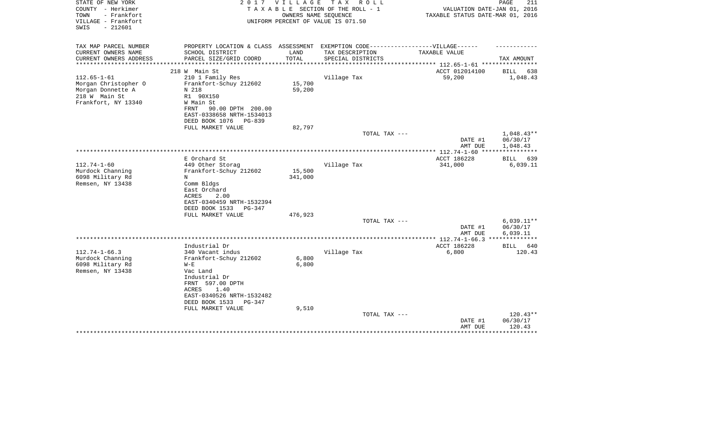| STATE OF NEW YORK<br>COUNTY - Herkimer<br>- Frankfort<br>TOWN<br>VILLAGE - Frankfort<br>$-212601$<br>SWIS | 2017                                                                                                                                           | V I L L A G E<br>OWNERS NAME SEOUENCE | T A X<br>R O L L<br>TAXABLE SECTION OF THE ROLL - 1<br>UNIFORM PERCENT OF VALUE IS 071.50 | VALUATION DATE-JAN 01, 2016<br>TAXABLE STATUS DATE-MAR 01, 2016 | PAGE<br>211                          |
|-----------------------------------------------------------------------------------------------------------|------------------------------------------------------------------------------------------------------------------------------------------------|---------------------------------------|-------------------------------------------------------------------------------------------|-----------------------------------------------------------------|--------------------------------------|
| TAX MAP PARCEL NUMBER                                                                                     | PROPERTY LOCATION & CLASS ASSESSMENT EXEMPTION CODE----------------VILLAGE------                                                               |                                       |                                                                                           |                                                                 |                                      |
| CURRENT OWNERS NAME<br>CURRENT OWNERS ADDRESS<br>*********************                                    | SCHOOL DISTRICT<br>PARCEL SIZE/GRID COORD<br>***************************                                                                       | LAND<br>TOTAL                         | TAX DESCRIPTION<br>SPECIAL DISTRICTS                                                      | TAXABLE VALUE                                                   | TAX AMOUNT                           |
|                                                                                                           | 218 W Main St                                                                                                                                  |                                       |                                                                                           | ACCT 012014100                                                  | BILL<br>638                          |
| $112.65 - 1 - 61$<br>Morgan Christopher O<br>Morgan Donnette A<br>218 W Main St<br>Frankfort, NY 13340    | 210 1 Family Res<br>Frankfort-Schuy 212602<br>N 218<br>R1 90X150<br>W Main St                                                                  | 15,700<br>59,200                      | Village Tax                                                                               | 59,200                                                          | 1,048.43                             |
|                                                                                                           | 90.00 DPTH 200.00<br>FRNT<br>EAST-0338658 NRTH-1534013<br>DEED BOOK 1076 PG-839<br>FULL MARKET VALUE                                           | 82,797                                |                                                                                           |                                                                 |                                      |
|                                                                                                           |                                                                                                                                                |                                       | TOTAL TAX ---                                                                             | DATE #1<br>AMT DUE                                              | $1,048.43**$<br>06/30/17<br>1,048.43 |
|                                                                                                           |                                                                                                                                                |                                       |                                                                                           |                                                                 | * * * * * * * * * * * *              |
| $112.74 - 1 - 60$<br>Murdock Channing<br>6098 Military Rd<br>Remsen, NY 13438                             | E Orchard St<br>449 Other Storag<br>Frankfort-Schuy 212602<br>N<br>Comm Bldgs<br>East Orchard<br>ACRES<br>2.00<br>EAST-0340459 NRTH-1532394    | 15,500<br>341,000                     | Village Tax                                                                               | ACCT 186228<br>341,000                                          | 639<br>BILL<br>6,039.11              |
|                                                                                                           | DEED BOOK 1533<br>PG-347                                                                                                                       |                                       |                                                                                           |                                                                 |                                      |
|                                                                                                           | FULL MARKET VALUE                                                                                                                              | 476,923                               | TOTAL TAX ---                                                                             | DATE #1<br>AMT DUE                                              | $6,039.11**$<br>06/30/17<br>6,039.11 |
|                                                                                                           |                                                                                                                                                |                                       |                                                                                           |                                                                 |                                      |
| $112.74 - 1 - 66.3$<br>Murdock Channing<br>6098 Military Rd                                               | Industrial Dr<br>340 Vacant indus<br>Frankfort-Schuy 212602<br>$W - E$                                                                         | 6,800<br>6,800                        | Village Tax                                                                               | ACCT 186228<br>6,800                                            | BILL<br>640<br>120.43                |
| Remsen, NY 13438                                                                                          | Vac Land<br>Industrial Dr<br>FRNT 597.00 DPTH<br>1.40<br>ACRES<br>EAST-0340526 NRTH-1532482<br>DEED BOOK 1533<br>$PG-347$<br>FULL MARKET VALUE | 9,510                                 |                                                                                           |                                                                 |                                      |
|                                                                                                           |                                                                                                                                                |                                       | TOTAL TAX ---                                                                             | DATE #1<br>AMT DUE                                              | $120.43**$<br>06/30/17<br>120.43     |
|                                                                                                           |                                                                                                                                                |                                       |                                                                                           |                                                                 | **************                       |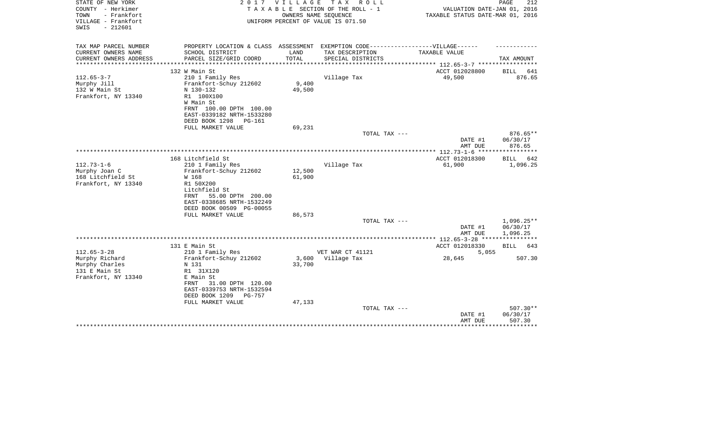| STATE OF NEW YORK<br>COUNTY - Herkimer<br>- Frankfort<br>TOWN<br>VILLAGE - Frankfort       | 2017                                       | <b>VILLAGE</b><br>OWNERS NAME SEQUENCE | T A X<br>R O L L<br>TAXABLE SECTION OF THE ROLL - 1<br>UNIFORM PERCENT OF VALUE IS 071.50 | VALUATION DATE-JAN 01, 2016<br>TAXABLE STATUS DATE-MAR 01, 2016                   | PAGE<br>212              |
|--------------------------------------------------------------------------------------------|--------------------------------------------|----------------------------------------|-------------------------------------------------------------------------------------------|-----------------------------------------------------------------------------------|--------------------------|
| $-212601$<br>SWIS                                                                          |                                            |                                        |                                                                                           |                                                                                   |                          |
| TAX MAP PARCEL NUMBER                                                                      |                                            |                                        |                                                                                           | PROPERTY LOCATION & CLASS ASSESSMENT EXEMPTION CODE-----------------VILLAGE------ |                          |
| CURRENT OWNERS NAME<br>SCHOOL DISTRICT<br>PARCEL SIZE/GRID COORD<br>CURRENT OWNERS ADDRESS |                                            | LAND<br>TOTAL                          | TAX DESCRIPTION<br>SPECIAL DISTRICTS                                                      | TAXABLE VALUE                                                                     | TAX AMOUNT               |
|                                                                                            |                                            |                                        |                                                                                           |                                                                                   |                          |
| 132 W Main St                                                                              |                                            |                                        |                                                                                           | ACCT 012028800                                                                    | BILL<br>641              |
| $112.65 - 3 - 7$<br>210 1 Family Res                                                       |                                            |                                        | Village Tax                                                                               | 49,500                                                                            | 876.65                   |
| Murphy Jill<br>Frankfort-Schuy 212602<br>132 W Main St<br>N 130-132                        |                                            | 9,400<br>49,500                        |                                                                                           |                                                                                   |                          |
| Frankfort, NY 13340<br>R1 100X100                                                          |                                            |                                        |                                                                                           |                                                                                   |                          |
| W Main St                                                                                  |                                            |                                        |                                                                                           |                                                                                   |                          |
|                                                                                            | FRNT 100.00 DPTH 100.00                    |                                        |                                                                                           |                                                                                   |                          |
|                                                                                            | EAST-0339182 NRTH-1533280                  |                                        |                                                                                           |                                                                                   |                          |
| DEED BOOK 1298<br>FULL MARKET VALUE                                                        | $PG-161$                                   | 69,231                                 |                                                                                           |                                                                                   |                          |
|                                                                                            |                                            |                                        | TOTAL TAX ---                                                                             |                                                                                   | $876.65**$               |
|                                                                                            |                                            |                                        |                                                                                           | DATE #1                                                                           | 06/30/17                 |
|                                                                                            |                                            |                                        |                                                                                           | AMT DUE                                                                           | 876.65                   |
| 168 Litchfield St                                                                          |                                            |                                        |                                                                                           | ACCT 012018300                                                                    | BILL<br>642              |
| $112.73 - 1 - 6$<br>210 1 Family Res                                                       |                                            |                                        | Village Tax                                                                               | 61,900                                                                            | 1,096.25                 |
| Murphy Joan C<br>Frankfort-Schuy 212602                                                    |                                            | 12,500                                 |                                                                                           |                                                                                   |                          |
| 168 Litchfield St<br>W 168                                                                 |                                            | 61,900                                 |                                                                                           |                                                                                   |                          |
| Frankfort, NY 13340<br>R1 50X200                                                           |                                            |                                        |                                                                                           |                                                                                   |                          |
| Litchfield St<br>FRNT                                                                      | 55.00 DPTH 200.00                          |                                        |                                                                                           |                                                                                   |                          |
|                                                                                            | EAST-0338685 NRTH-1532249                  |                                        |                                                                                           |                                                                                   |                          |
|                                                                                            | DEED BOOK 00509 PG-00055                   |                                        |                                                                                           |                                                                                   |                          |
| FULL MARKET VALUE                                                                          |                                            | 86,573                                 |                                                                                           |                                                                                   |                          |
|                                                                                            |                                            |                                        | TOTAL TAX ---                                                                             | DATE #1                                                                           | $1,096.25**$<br>06/30/17 |
|                                                                                            |                                            |                                        |                                                                                           | AMT DUE                                                                           | 1,096.25                 |
|                                                                                            |                                            |                                        |                                                                                           | ************ 112.65-3-28 *****************                                        |                          |
| 131 E Main St                                                                              |                                            |                                        |                                                                                           | ACCT 012018330                                                                    | <b>BILL</b><br>643       |
| $112.65 - 3 - 28$<br>210 1 Family Res<br>Murphy Richard<br>Frankfort-Schuy 212602          |                                            | 3,600                                  | VET WAR CT 41121<br>Village Tax                                                           | 5,055<br>28,645                                                                   | 507.30                   |
| Murphy Charles<br>N 131                                                                    |                                            | 33,700                                 |                                                                                           |                                                                                   |                          |
| 131 E Main St<br>R1 31X120                                                                 |                                            |                                        |                                                                                           |                                                                                   |                          |
| Frankfort, NY 13340<br>E Main St                                                           |                                            |                                        |                                                                                           |                                                                                   |                          |
| FRNT                                                                                       | 31.00 DPTH 120.00                          |                                        |                                                                                           |                                                                                   |                          |
| DEED BOOK 1209                                                                             | EAST-0339753 NRTH-1532594<br><b>PG-757</b> |                                        |                                                                                           |                                                                                   |                          |
| FULL MARKET VALUE                                                                          |                                            | 47,133                                 |                                                                                           |                                                                                   |                          |
|                                                                                            |                                            |                                        | TOTAL TAX ---                                                                             |                                                                                   | $507.30**$               |
|                                                                                            |                                            |                                        |                                                                                           | DATE #1                                                                           | 06/30/17                 |
|                                                                                            |                                            |                                        |                                                                                           | AMT DUE                                                                           | 507.30<br>********       |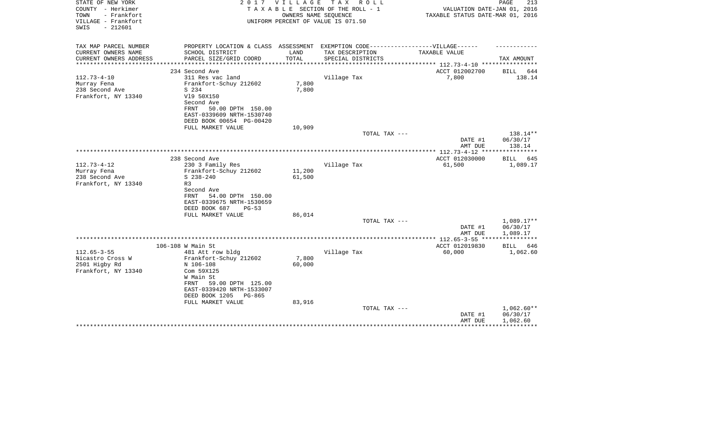| STATE OF NEW YORK<br>COUNTY - Herkimer<br>TOWN<br>- Frankfort<br>VILLAGE - Frankfort<br>$-212601$<br>SWIS | 2017                                                                                                                                                                  | V I L L A G E             | T A X<br>R O L L<br>TAXABLE SECTION OF THE ROLL - 1<br>OWNERS NAME SEQUENCE<br>UNIFORM PERCENT OF VALUE IS 071.50 | VALUATION DATE-JAN 01, 2016<br>TAXABLE STATUS DATE-MAR 01, 2016 | PAGE<br>213                        |
|-----------------------------------------------------------------------------------------------------------|-----------------------------------------------------------------------------------------------------------------------------------------------------------------------|---------------------------|-------------------------------------------------------------------------------------------------------------------|-----------------------------------------------------------------|------------------------------------|
| TAX MAP PARCEL NUMBER<br>CURRENT OWNERS NAME                                                              | PROPERTY LOCATION & CLASS ASSESSMENT<br>SCHOOL DISTRICT                                                                                                               | LAND                      | EXEMPTION CODE------------------VILLAGE------<br>TAX DESCRIPTION                                                  | TAXABLE VALUE                                                   |                                    |
| CURRENT OWNERS ADDRESS<br>***************                                                                 | PARCEL SIZE/GRID COORD<br>***************************                                                                                                                 | TOTAL<br>**************** | SPECIAL DISTRICTS                                                                                                 | ***************** 112.73-4-10 *****************                 | TAX AMOUNT                         |
|                                                                                                           | 234 Second Ave                                                                                                                                                        |                           |                                                                                                                   | ACCT 012002700                                                  | BILL<br>644                        |
| $112.73 - 4 - 10$<br>Murray Fena<br>238 Second Ave<br>Frankfort, NY 13340                                 | 311 Res vac land<br>Frankfort-Schuy 212602<br>S 234<br>V19 50X150<br>Second Ave<br>FRNT<br>50.00 DPTH 150.00<br>EAST-0339609 NRTH-1530740<br>DEED BOOK 00654 PG-00420 | 7,800<br>7,800            | Village Tax                                                                                                       | 7,800                                                           | 138.14                             |
|                                                                                                           | FULL MARKET VALUE                                                                                                                                                     | 10,909                    | TOTAL TAX ---                                                                                                     |                                                                 | 138.14**                           |
|                                                                                                           |                                                                                                                                                                       |                           |                                                                                                                   | DATE #1<br>AMT DUE                                              | 06/30/17<br>138.14                 |
|                                                                                                           |                                                                                                                                                                       |                           |                                                                                                                   | *************** 112.73-4-12 ****                                | ************                       |
| $112.73 - 4 - 12$<br>Murray Fena<br>238 Second Ave<br>Frankfort, NY 13340                                 | 238 Second Ave<br>230 3 Family Res<br>Frankfort-Schuy 212602<br>$S$ 238-240<br>R <sub>3</sub><br>Second Ave<br>54.00 DPTH 150.00<br>FRNT                              | 11,200<br>61,500          | Village Tax                                                                                                       | ACCT 012030000<br>61,500                                        | BILL 645<br>1,089.17               |
|                                                                                                           | EAST-0339675 NRTH-1530659<br>DEED BOOK 687<br>$PG-53$<br>FULL MARKET VALUE                                                                                            | 86,014                    | TOTAL TAX ---                                                                                                     | DATE #1                                                         | 1,089.17**<br>06/30/17             |
|                                                                                                           |                                                                                                                                                                       |                           |                                                                                                                   | AMT DUE                                                         | 1,089.17                           |
|                                                                                                           |                                                                                                                                                                       |                           |                                                                                                                   |                                                                 |                                    |
| $112.65 - 3 - 55$<br>Nicastro Cross W<br>2501 Higby Rd<br>Frankfort, NY 13340                             | 106-108 W Main St<br>481 Att row bldg<br>Frankfort-Schuy 212602<br>N 106-108<br>Com 59X125<br>W Main St<br>59.00 DPTH 125.00<br>FRNT<br>EAST-0339420 NRTH-1533007     | 7,800<br>60,000           | Village Tax                                                                                                       | ACCT 012019830<br>60,000                                        | BILL 646<br>1,062.60               |
|                                                                                                           | DEED BOOK 1205<br>PG-865<br>FULL MARKET VALUE                                                                                                                         | 83,916                    | TOTAL TAX ---                                                                                                     | DATE #1<br>AMT DUE                                              | 1,062.60**<br>06/30/17<br>1,062.60 |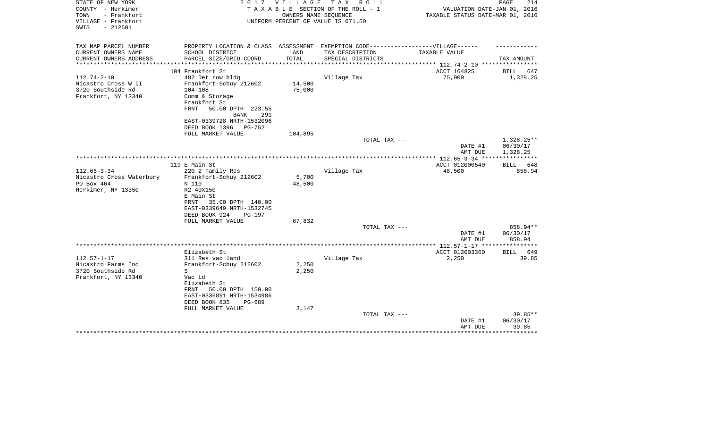| STATE OF NEW YORK<br>COUNTY - Herkimer<br>- Frankfort<br>TOWN<br>VILLAGE - Frankfort<br>$-212601$<br>SWIS | 2 0 1 7                                                  | VILLAGE<br>OWNERS NAME SEOUENCE | TAX ROLL<br>TAXABLE SECTION OF THE ROLL - 1<br>UNIFORM PERCENT OF VALUE IS 071.50 | VALUATION DATE-JAN 01, 2016<br>TAXABLE STATUS DATE-MAR 01, 2016 | 214<br>PAGE                        |
|-----------------------------------------------------------------------------------------------------------|----------------------------------------------------------|---------------------------------|-----------------------------------------------------------------------------------|-----------------------------------------------------------------|------------------------------------|
| TAX MAP PARCEL NUMBER                                                                                     | PROPERTY LOCATION & CLASS ASSESSMENT                     |                                 |                                                                                   | EXEMPTION CODE-----------------VILLAGE------                    |                                    |
| CURRENT OWNERS NAME                                                                                       | SCHOOL DISTRICT                                          | LAND                            | TAX DESCRIPTION                                                                   | TAXABLE VALUE                                                   |                                    |
| CURRENT OWNERS ADDRESS<br>**********************                                                          | PARCEL SIZE/GRID COORD<br>****************************** | TOTAL<br>**************         | SPECIAL DISTRICTS                                                                 |                                                                 | TAX AMOUNT                         |
|                                                                                                           | 104 Frankfort St                                         |                                 |                                                                                   | ACCT 164825                                                     | BILL<br>647                        |
| $112.74 - 2 - 10$                                                                                         | 482 Det row bldg                                         |                                 | Village Tax                                                                       | 75,000                                                          | 1,328.25                           |
| Nicastro Cross W II                                                                                       | Frankfort-Schuy 212602                                   | 14,500                          |                                                                                   |                                                                 |                                    |
| 3720 Southside Rd                                                                                         | $104 - 108$                                              | 75,000                          |                                                                                   |                                                                 |                                    |
| Frankfort, NY 13340                                                                                       | Comm & Storage                                           |                                 |                                                                                   |                                                                 |                                    |
|                                                                                                           | Frankfort St                                             |                                 |                                                                                   |                                                                 |                                    |
|                                                                                                           | FRNT<br>50.00 DPTH 223.55<br><b>BANK</b><br>291          |                                 |                                                                                   |                                                                 |                                    |
|                                                                                                           | EAST-0339728 NRTH-1532096                                |                                 |                                                                                   |                                                                 |                                    |
|                                                                                                           | DEED BOOK 1396<br>PG-752                                 |                                 |                                                                                   |                                                                 |                                    |
|                                                                                                           | FULL MARKET VALUE                                        | 104,895                         |                                                                                   |                                                                 |                                    |
|                                                                                                           |                                                          |                                 | TOTAL TAX ---                                                                     | DATE #1<br>AMT DUE                                              | 1,328.25**<br>06/30/17<br>1,328.25 |
|                                                                                                           |                                                          |                                 |                                                                                   |                                                                 |                                    |
|                                                                                                           | 119 E Main St                                            |                                 |                                                                                   | ACCT 012000540                                                  | BILL<br>648                        |
| $112.65 - 3 - 34$                                                                                         | 220 2 Family Res                                         |                                 | Village Tax                                                                       | 48,500                                                          | 858.94                             |
| Nicastro Cross Waterbury                                                                                  | Frankfort-Schuy 212602                                   | 5,700                           |                                                                                   |                                                                 |                                    |
| PO Box 464<br>Herkimer, NY 13350                                                                          | N 119<br>R2 40X150                                       | 48,500                          |                                                                                   |                                                                 |                                    |
|                                                                                                           | E Main St                                                |                                 |                                                                                   |                                                                 |                                    |
|                                                                                                           | 35.00 DPTH 140.00<br>FRNT                                |                                 |                                                                                   |                                                                 |                                    |
|                                                                                                           | EAST-0339649 NRTH-1532745                                |                                 |                                                                                   |                                                                 |                                    |
|                                                                                                           | DEED BOOK 924<br><b>PG-197</b>                           |                                 |                                                                                   |                                                                 |                                    |
|                                                                                                           | FULL MARKET VALUE                                        | 67,832                          |                                                                                   |                                                                 |                                    |
|                                                                                                           |                                                          |                                 | TOTAL TAX ---                                                                     | DATE #1                                                         | 858.94**<br>06/30/17               |
|                                                                                                           |                                                          |                                 |                                                                                   | AMT DUE                                                         | 858.94                             |
|                                                                                                           |                                                          |                                 |                                                                                   |                                                                 |                                    |
|                                                                                                           | Elizabeth St                                             |                                 |                                                                                   | ACCT 012003360                                                  | 649<br>BILL                        |
| $112.57 - 1 - 17$                                                                                         | 311 Res vac land                                         |                                 | Village Tax                                                                       | 2,250                                                           | 39.85                              |
| Nicastro Farms Inc                                                                                        | Frankfort-Schuy 212602<br>S                              | 2,250                           |                                                                                   |                                                                 |                                    |
| 3720 Southside Rd<br>Frankfort, NY 13340                                                                  | Vac Ld                                                   | 2,250                           |                                                                                   |                                                                 |                                    |
|                                                                                                           | Elizabeth St                                             |                                 |                                                                                   |                                                                 |                                    |
|                                                                                                           | 50.00 DPTH 150.00<br>FRNT                                |                                 |                                                                                   |                                                                 |                                    |
|                                                                                                           | EAST-0336891 NRTH-1534986                                |                                 |                                                                                   |                                                                 |                                    |
|                                                                                                           | DEED BOOK 835<br>PG-689                                  |                                 |                                                                                   |                                                                 |                                    |
|                                                                                                           | FULL MARKET VALUE                                        | 3,147                           | TOTAL TAX ---                                                                     |                                                                 |                                    |
|                                                                                                           |                                                          |                                 |                                                                                   | DATE #1                                                         | $39.85**$<br>06/30/17              |
|                                                                                                           |                                                          |                                 |                                                                                   | AMT DUE                                                         | 39.85                              |
|                                                                                                           |                                                          |                                 |                                                                                   |                                                                 | ********                           |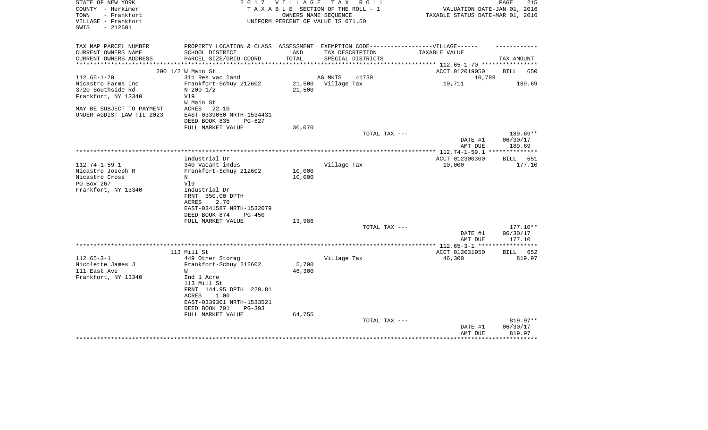| STATE OF NEW YORK                                |                                                                                  |        | 2017 VILLAGE TAX ROLL              |                                  | PAGE<br>215        |
|--------------------------------------------------|----------------------------------------------------------------------------------|--------|------------------------------------|----------------------------------|--------------------|
| COUNTY - Herkimer                                |                                                                                  |        | TAXABLE SECTION OF THE ROLL - 1    | VALUATION DATE-JAN 01, 2016      |                    |
| TOWN<br>- Frankfort                              |                                                                                  |        | OWNERS NAME SEQUENCE               | TAXABLE STATUS DATE-MAR 01, 2016 |                    |
| VILLAGE - Frankfort                              |                                                                                  |        | UNIFORM PERCENT OF VALUE IS 071.50 |                                  |                    |
| $-212601$<br>SWIS                                |                                                                                  |        |                                    |                                  |                    |
| TAX MAP PARCEL NUMBER                            | PROPERTY LOCATION & CLASS ASSESSMENT EXEMPTION CODE----------------VILLAGE------ |        |                                    |                                  |                    |
| CURRENT OWNERS NAME                              | SCHOOL DISTRICT                                                                  | LAND   | TAX DESCRIPTION                    | TAXABLE VALUE                    |                    |
| CURRENT OWNERS ADDRESS<br>********************** | PARCEL SIZE/GRID COORD<br>*****************************                          | TOTAL  | SPECIAL DISTRICTS                  |                                  | TAX AMOUNT         |
| 200 1/2 W Main St                                |                                                                                  |        |                                    | ACCT 012019050                   | BILL<br>650        |
| $112.65 - 1 - 70$                                | 311 Res vac land                                                                 |        | AG MKTS<br>41730                   | 10,789                           |                    |
| Nicastro Farms Inc                               | Frankfort-Schuy 212602                                                           | 21,500 | Village Tax                        | 10,711                           | 189.69             |
| 3720 Southside Rd                                | $N$ 200 1/2                                                                      | 21,500 |                                    |                                  |                    |
| Frankfort, NY 13340                              | Vl9                                                                              |        |                                    |                                  |                    |
|                                                  | W Main St                                                                        |        |                                    |                                  |                    |
| MAY BE SUBJECT TO PAYMENT                        | ACRES<br>22.10                                                                   |        |                                    |                                  |                    |
| UNDER AGDIST LAW TIL 2023                        | EAST-0339050 NRTH-1534431                                                        |        |                                    |                                  |                    |
|                                                  | DEED BOOK 835<br>$PG-627$                                                        |        |                                    |                                  |                    |
|                                                  | FULL MARKET VALUE                                                                | 30,070 |                                    |                                  |                    |
|                                                  |                                                                                  |        | TOTAL TAX ---                      |                                  | 189.69**           |
|                                                  |                                                                                  |        |                                    | DATE #1                          | 06/30/17           |
|                                                  |                                                                                  |        |                                    | AMT DUE                          | 189.69             |
|                                                  |                                                                                  |        |                                    |                                  |                    |
|                                                  | Industrial Dr                                                                    |        |                                    | ACCT 012300300                   | <b>BILL</b><br>651 |
| $112.74 - 1 - 59.1$                              | 340 Vacant indus                                                                 |        | Village Tax                        | 10,000                           | 177.10             |
| Nicastro Joseph R                                | Frankfort-Schuy 212602                                                           | 10,000 |                                    |                                  |                    |
| Nicastro Cross<br>N<br>PO Box 267                | V19                                                                              | 10,000 |                                    |                                  |                    |
| Frankfort, NY 13340                              | Industrial Dr                                                                    |        |                                    |                                  |                    |
|                                                  | FRNT 350.00 DPTH                                                                 |        |                                    |                                  |                    |
|                                                  | ACRES<br>2.70                                                                    |        |                                    |                                  |                    |
|                                                  | EAST-0341587 NRTH-1532079                                                        |        |                                    |                                  |                    |
|                                                  | DEED BOOK 874<br>$PG-450$                                                        |        |                                    |                                  |                    |
|                                                  | FULL MARKET VALUE                                                                | 13,986 |                                    |                                  |                    |
|                                                  |                                                                                  |        | TOTAL TAX ---                      |                                  | 177.10**           |
|                                                  |                                                                                  |        |                                    | DATE #1<br>AMT DUE               | 06/30/17<br>177.10 |
|                                                  |                                                                                  |        |                                    |                                  | ***********        |
|                                                  | 113 Mill St                                                                      |        |                                    | ACCT 012031950                   | BILL 652           |
| $112.65 - 3 - 1$                                 | 449 Other Storag                                                                 |        | Village Tax                        | 46,300                           | 819.97             |
| Nicolette James J                                | Frankfort-Schuy 212602                                                           | 5,700  |                                    |                                  |                    |
| 111 East Ave<br>W                                |                                                                                  | 46,300 |                                    |                                  |                    |
| Frankfort, NY 13340                              | Ind 1 Acre                                                                       |        |                                    |                                  |                    |
|                                                  | 113 Mill St                                                                      |        |                                    |                                  |                    |
|                                                  | FRNT 144.95 DPTH 229.81                                                          |        |                                    |                                  |                    |
|                                                  | ACRES<br>1.00                                                                    |        |                                    |                                  |                    |
|                                                  | EAST-0339301 NRTH-1533521                                                        |        |                                    |                                  |                    |
|                                                  | DEED BOOK 791<br>$PG-393$                                                        |        |                                    |                                  |                    |
|                                                  | FULL MARKET VALUE                                                                | 64,755 |                                    |                                  |                    |
|                                                  |                                                                                  |        | TOTAL TAX ---                      |                                  | 819.97**           |
|                                                  |                                                                                  |        |                                    | DATE #1<br>AMT DUE               | 06/30/17<br>819.97 |
|                                                  |                                                                                  |        |                                    |                                  |                    |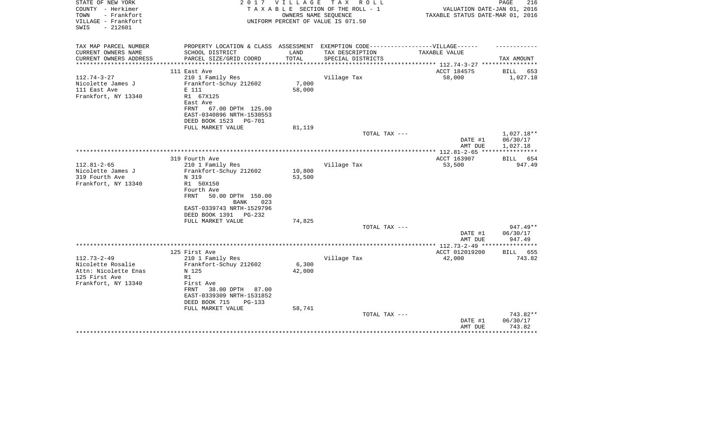| STATE OF NEW YORK<br>COUNTY - Herkimer<br>- Frankfort<br>TOWN<br>VILLAGE - Frankfort<br>$-212601$<br>SWIS | 2 0 1 7                                      | VILLAGE               | TAX ROLL<br>TAXABLE SECTION OF THE ROLL - 1<br>OWNERS NAME SEOUENCE<br>UNIFORM PERCENT OF VALUE IS 071.50 | VALUATION DATE-JAN 01, 2016<br>TAXABLE STATUS DATE-MAR 01, 2016 | 216<br>PAGE                       |
|-----------------------------------------------------------------------------------------------------------|----------------------------------------------|-----------------------|-----------------------------------------------------------------------------------------------------------|-----------------------------------------------------------------|-----------------------------------|
|                                                                                                           |                                              |                       |                                                                                                           |                                                                 |                                   |
| TAX MAP PARCEL NUMBER                                                                                     | PROPERTY LOCATION & CLASS ASSESSMENT         |                       | EXEMPTION CODE------------------VILLAGE------                                                             |                                                                 |                                   |
| CURRENT OWNERS NAME                                                                                       | SCHOOL DISTRICT                              | LAND                  | TAX DESCRIPTION                                                                                           | TAXABLE VALUE                                                   |                                   |
| CURRENT OWNERS ADDRESS<br>*********************                                                           | PARCEL SIZE/GRID COORD                       | TOTAL<br>************ | SPECIAL DISTRICTS                                                                                         |                                                                 | TAX AMOUNT                        |
|                                                                                                           | 111 East Ave                                 |                       |                                                                                                           | ACCT 184575                                                     | BILL<br>653                       |
| $112.74 - 3 - 27$                                                                                         | 210 1 Family Res                             |                       | Village Tax                                                                                               | 58,000                                                          | 1,027.18                          |
| Nicolette James J                                                                                         | Frankfort-Schuy 212602                       | 7,000                 |                                                                                                           |                                                                 |                                   |
| 111 East Ave                                                                                              | E 111                                        | 58,000                |                                                                                                           |                                                                 |                                   |
| Frankfort, NY 13340                                                                                       | R1 67X125                                    |                       |                                                                                                           |                                                                 |                                   |
|                                                                                                           | East Ave<br>FRNT<br>67.00 DPTH 125.00        |                       |                                                                                                           |                                                                 |                                   |
|                                                                                                           | EAST-0340896 NRTH-1530553                    |                       |                                                                                                           |                                                                 |                                   |
|                                                                                                           | DEED BOOK 1523<br><b>PG-701</b>              |                       |                                                                                                           |                                                                 |                                   |
|                                                                                                           | FULL MARKET VALUE                            | 81,119                |                                                                                                           |                                                                 |                                   |
|                                                                                                           |                                              |                       | TOTAL TAX ---                                                                                             |                                                                 | 1,027.18**                        |
|                                                                                                           |                                              |                       |                                                                                                           | DATE #1                                                         | 06/30/17                          |
|                                                                                                           |                                              |                       |                                                                                                           | AMT DUE                                                         | 1,027.18<br>* * * * * * * * * * * |
|                                                                                                           | 319 Fourth Ave                               |                       |                                                                                                           | ACCT 163907                                                     | 654<br>BILL                       |
| $112.81 - 2 - 65$                                                                                         | 210 1 Family Res                             |                       | Village Tax                                                                                               | 53,500                                                          | 947.49                            |
| Nicolette James J                                                                                         | Frankfort-Schuy 212602                       | 10,800                |                                                                                                           |                                                                 |                                   |
| 319 Fourth Ave                                                                                            | N 319                                        | 53,500                |                                                                                                           |                                                                 |                                   |
| Frankfort, NY 13340                                                                                       | R1 50X150                                    |                       |                                                                                                           |                                                                 |                                   |
|                                                                                                           | Fourth Ave                                   |                       |                                                                                                           |                                                                 |                                   |
|                                                                                                           | <b>FRNT</b><br>50.00 DPTH 150.00             |                       |                                                                                                           |                                                                 |                                   |
|                                                                                                           | BANK<br>023<br>EAST-0339743 NRTH-1529796     |                       |                                                                                                           |                                                                 |                                   |
|                                                                                                           | DEED BOOK 1391<br>$PG-232$                   |                       |                                                                                                           |                                                                 |                                   |
|                                                                                                           | FULL MARKET VALUE                            | 74,825                |                                                                                                           |                                                                 |                                   |
|                                                                                                           |                                              |                       | TOTAL TAX ---                                                                                             |                                                                 | $947.49**$                        |
|                                                                                                           |                                              |                       |                                                                                                           | DATE #1                                                         | 06/30/17                          |
|                                                                                                           |                                              |                       |                                                                                                           | AMT DUE                                                         | 947.49                            |
|                                                                                                           | 125 First Ave                                |                       |                                                                                                           | *************** 112.73-2-49 *****************<br>ACCT 012019200 | BILL<br>655                       |
| $112.73 - 2 - 49$                                                                                         | 210 1 Family Res                             |                       | Village Tax                                                                                               | 42,000                                                          | 743.82                            |
| Nicolette Rosalie                                                                                         | Frankfort-Schuy 212602                       | 6,300                 |                                                                                                           |                                                                 |                                   |
| Attn: Nicolette Enas                                                                                      | N 125                                        | 42,000                |                                                                                                           |                                                                 |                                   |
| 125 First Ave                                                                                             | R1                                           |                       |                                                                                                           |                                                                 |                                   |
| Frankfort, NY 13340                                                                                       | First Ave                                    |                       |                                                                                                           |                                                                 |                                   |
|                                                                                                           | FRNT<br>38.00 DPTH<br>87.00                  |                       |                                                                                                           |                                                                 |                                   |
|                                                                                                           | EAST-0339309 NRTH-1531852                    |                       |                                                                                                           |                                                                 |                                   |
|                                                                                                           | DEED BOOK 715<br>PG-133<br>FULL MARKET VALUE | 58,741                |                                                                                                           |                                                                 |                                   |
|                                                                                                           |                                              |                       | TOTAL TAX ---                                                                                             |                                                                 | 743.82**                          |
|                                                                                                           |                                              |                       |                                                                                                           | DATE #1                                                         | 06/30/17                          |
|                                                                                                           |                                              |                       |                                                                                                           | AMT DUE                                                         | 743.82                            |
|                                                                                                           |                                              |                       |                                                                                                           |                                                                 |                                   |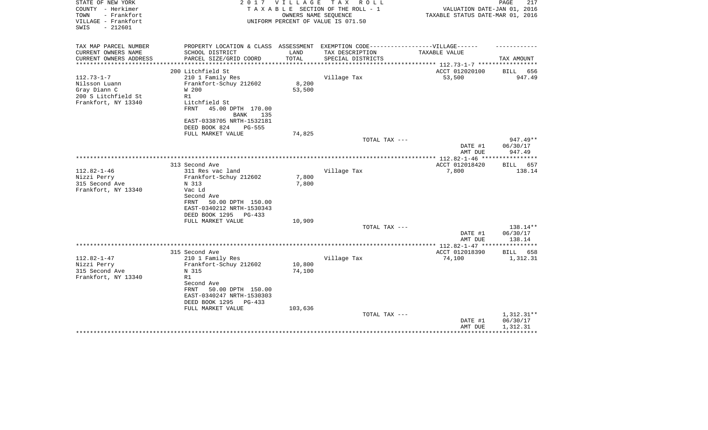| STATE OF NEW YORK<br>COUNTY - Herkimer<br>- Frankfort<br>TOWN<br>VILLAGE - Frankfort            | 2 0 1 7                                                                                                                                                                            | V I L L A G E<br>OWNERS NAME SEQUENCE | TAX ROLL<br>TAXABLE SECTION OF THE ROLL - 1<br>UNIFORM PERCENT OF VALUE IS 071.50 | VALUATION DATE-JAN 01, 2016<br>TAXABLE STATUS DATE-MAR 01, 2016 | 217<br>PAGE                      |
|-------------------------------------------------------------------------------------------------|------------------------------------------------------------------------------------------------------------------------------------------------------------------------------------|---------------------------------------|-----------------------------------------------------------------------------------|-----------------------------------------------------------------|----------------------------------|
| $-212601$<br>SWIS                                                                               |                                                                                                                                                                                    |                                       |                                                                                   |                                                                 |                                  |
| TAX MAP PARCEL NUMBER                                                                           | PROPERTY LOCATION & CLASS ASSESSMENT EXEMPTION CODE----------------VILLAGE------                                                                                                   |                                       |                                                                                   |                                                                 |                                  |
| CURRENT OWNERS NAME<br>CURRENT OWNERS ADDRESS<br>*******************                            | SCHOOL DISTRICT<br>PARCEL SIZE/GRID COORD                                                                                                                                          | LAND<br>TOTAL<br>************         | TAX DESCRIPTION<br>SPECIAL DISTRICTS                                              | TAXABLE VALUE                                                   | TAX AMOUNT                       |
|                                                                                                 | 200 Litchfield St                                                                                                                                                                  |                                       |                                                                                   | ******************** 112.73-1-7 ************<br>ACCT 012020100  | <b>BILL</b><br>656               |
| $112.73 - 1 - 7$<br>Nilsson Luann<br>Gray Diann C<br>200 S Litchfield St<br>Frankfort, NY 13340 | 210 1 Family Res<br>Frankfort-Schuy 212602<br>W 200<br>R1<br>Litchfield St<br>FRNT<br>45.00 DPTH 170.00                                                                            | 8,200<br>53,500                       | Village Tax                                                                       | 53,500                                                          | 947.49                           |
|                                                                                                 | BANK<br>135<br>EAST-0338705 NRTH-1532181<br>DEED BOOK 824<br><b>PG-555</b>                                                                                                         |                                       |                                                                                   |                                                                 |                                  |
|                                                                                                 | FULL MARKET VALUE                                                                                                                                                                  | 74,825                                |                                                                                   |                                                                 |                                  |
|                                                                                                 |                                                                                                                                                                                    |                                       | TOTAL TAX ---                                                                     | DATE #1<br>AMT DUE                                              | $947.49**$<br>06/30/17<br>947.49 |
|                                                                                                 |                                                                                                                                                                                    |                                       |                                                                                   |                                                                 |                                  |
|                                                                                                 | 313 Second Ave                                                                                                                                                                     |                                       |                                                                                   | ACCT 012018420                                                  | <b>BILL</b><br>657               |
| $112.82 - 1 - 46$<br>Nizzi Perry<br>315 Second Ave<br>Frankfort, NY 13340                       | 311 Res vac land<br>Frankfort-Schuy 212602<br>N 313<br>Vac Ld<br>Second Ave<br>50.00 DPTH 150.00<br>FRNT<br>EAST-0340212 NRTH-1530343<br>DEED BOOK 1295<br>$PG-433$                | 7,800<br>7,800                        | Village Tax                                                                       | 7,800                                                           | 138.14                           |
|                                                                                                 | FULL MARKET VALUE                                                                                                                                                                  | 10,909                                |                                                                                   |                                                                 |                                  |
|                                                                                                 |                                                                                                                                                                                    |                                       | TOTAL TAX ---                                                                     | DATE #1<br>AMT DUE                                              | 138.14**<br>06/30/17<br>138.14   |
|                                                                                                 |                                                                                                                                                                                    |                                       |                                                                                   |                                                                 |                                  |
|                                                                                                 | 315 Second Ave                                                                                                                                                                     |                                       |                                                                                   | ACCT 012018390                                                  | BILL<br>658                      |
| $112.82 - 1 - 47$<br>Nizzi Perry<br>315 Second Ave<br>Frankfort, NY 13340                       | 210 1 Family Res<br>Frankfort-Schuy 212602<br>N 315<br>R1<br>Second Ave<br>FRNT<br>50.00 DPTH 150.00<br>EAST-0340247 NRTH-1530303<br>DEED BOOK 1295<br>PG-433<br>FULL MARKET VALUE | 10,800<br>74,100                      | Village Tax                                                                       | 74,100                                                          | 1,312.31                         |
|                                                                                                 |                                                                                                                                                                                    | 103,636                               | TOTAL TAX ---                                                                     | DATE #1                                                         | 1,312.31**<br>06/30/17           |
|                                                                                                 |                                                                                                                                                                                    |                                       |                                                                                   | AMT DUE                                                         | 1,312.31                         |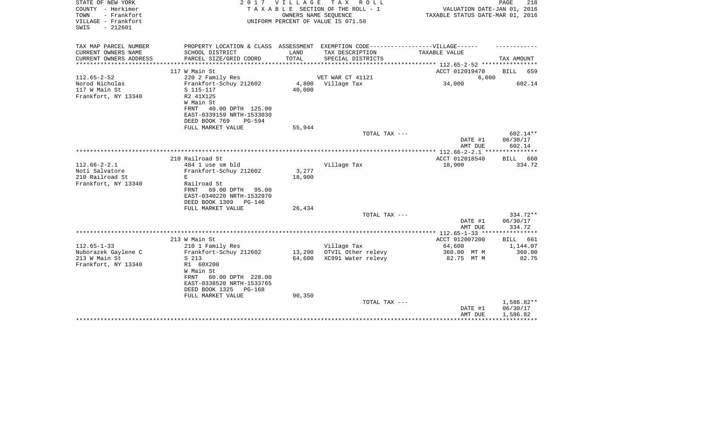| STATE OF NEW YORK<br>COUNTY - Herkimer<br>- Frankfort<br>TOWN<br>VILLAGE - Frankfort<br>$-212601$<br>SWIS |                                                                                                                                                                           | 2017 VILLAGE<br>OWNERS NAME SEQUENCE | TAX ROLL<br>TAXABLE SECTION OF THE ROLL - 1<br>UNIFORM PERCENT OF VALUE IS 071.50 | VALUATION DATE-JAN 01, 2016<br>TAXABLE STATUS DATE-MAR 01, 2016 | PAGE<br>218                        |
|-----------------------------------------------------------------------------------------------------------|---------------------------------------------------------------------------------------------------------------------------------------------------------------------------|--------------------------------------|-----------------------------------------------------------------------------------|-----------------------------------------------------------------|------------------------------------|
| TAX MAP PARCEL NUMBER<br>CURRENT OWNERS NAME                                                              | PROPERTY LOCATION & CLASS ASSESSMENT EXEMPTION CODE-----------------VILLAGE------<br>SCHOOL DISTRICT                                                                      | LAND                                 | TAX DESCRIPTION                                                                   | TAXABLE VALUE                                                   |                                    |
| CURRENT OWNERS ADDRESS<br>*********************                                                           | PARCEL SIZE/GRID COORD<br>**************************                                                                                                                      | TOTAL                                | SPECIAL DISTRICTS                                                                 |                                                                 | TAX AMOUNT                         |
|                                                                                                           | 117 W Main St                                                                                                                                                             |                                      |                                                                                   | ACCT 012019470                                                  | <b>BILL</b><br>659                 |
| $112.65 - 2 - 52$                                                                                         | 220 2 Family Res                                                                                                                                                          |                                      | VET WAR CT 41121                                                                  | 6,000                                                           |                                    |
| Norod Nicholas<br>117 W Main St<br>Frankfort, NY 13340                                                    | Frankfort-Schuy 212602<br>S 115-117<br>R2 41X125<br>W Main St<br>FRNT<br>40.00 DPTH 125.00<br>EAST-0339159 NRTH-1533030<br>DEED BOOK 769<br>$PG-594$                      | 4,800<br>40,000                      | Village Tax                                                                       | 34,000                                                          | 602.14                             |
|                                                                                                           | FULL MARKET VALUE                                                                                                                                                         | 55,944                               |                                                                                   |                                                                 |                                    |
|                                                                                                           |                                                                                                                                                                           |                                      | TOTAL TAX ---                                                                     | DATE #1<br>AMT DUE                                              | $602.14**$<br>06/30/17<br>602.14   |
|                                                                                                           |                                                                                                                                                                           |                                      |                                                                                   | ******* 112.66-2-2.1 ***************                            |                                    |
|                                                                                                           | 210 Railroad St                                                                                                                                                           |                                      |                                                                                   | ACCT 012018540                                                  | <b>BILL</b><br>660                 |
| $112.66 - 2 - 2.1$<br>Noti Salvatore<br>210 Railroad St<br>Frankfort, NY 13340                            | 484 1 use sm bld<br>Frankfort-Schuy 212602<br>E.<br>Railroad St<br>FRNT<br>69.00 DPTH 95.00<br>EAST-0340220 NRTH-1532970<br>DEED BOOK 1309<br>PG-146<br>FULL MARKET VALUE | 3,277<br>18,900<br>26,434            | Village Tax                                                                       | 18,900                                                          | 334.72                             |
|                                                                                                           |                                                                                                                                                                           |                                      | TOTAL TAX ---                                                                     |                                                                 | $334.72**$                         |
|                                                                                                           |                                                                                                                                                                           |                                      |                                                                                   | DATE #1<br>AMT DUE                                              | 06/30/17<br>334.72                 |
|                                                                                                           |                                                                                                                                                                           |                                      |                                                                                   |                                                                 |                                    |
| $112.65 - 1 - 33$                                                                                         | 213 W Main St                                                                                                                                                             |                                      |                                                                                   | ACCT 012007200<br>64,600                                        | 661<br>BILL<br>1,144.07            |
| Nuborazek Gaylene C                                                                                       | 210 1 Family Res<br>Frankfort-Schuy 212602                                                                                                                                | 13,200                               | Village Tax<br>OTVIL Other relevy                                                 | 360.00 MT M                                                     | 360.00                             |
| 213 W Main St<br>Frankfort, NY 13340                                                                      | S 213<br>R1 60X200<br>W Main St<br>60.00 DPTH 228.00<br>FRNT<br>EAST-0338520 NRTH-1533765<br>DEED BOOK 1325<br>PG-168                                                     | 64,600                               | XC991 Water relevy                                                                | 82.75 MT M                                                      | 82.75                              |
|                                                                                                           | FULL MARKET VALUE                                                                                                                                                         | 90,350                               |                                                                                   |                                                                 |                                    |
|                                                                                                           |                                                                                                                                                                           |                                      | TOTAL TAX ---                                                                     | DATE #1<br>AMT DUE                                              | 1,586.82**<br>06/30/17<br>1,586.82 |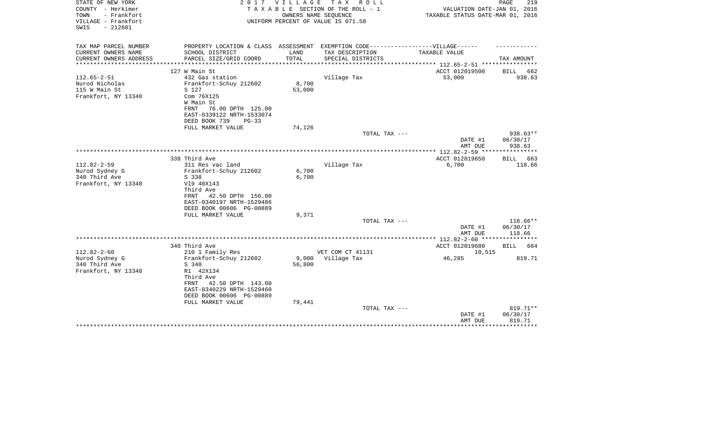| STATE OF NEW YORK<br>COUNTY - Herkimer                          | 2017                                                                              |                        | VILLAGE TAX ROLL<br>TAXABLE SECTION OF THE ROLL - 1        | VALUATION DATE-JAN 01, 2016                    | PAGE<br>219 |
|-----------------------------------------------------------------|-----------------------------------------------------------------------------------|------------------------|------------------------------------------------------------|------------------------------------------------|-------------|
| TOWN<br>- Frankfort<br>VILLAGE - Frankfort<br>$-212601$<br>SWIS |                                                                                   |                        | OWNERS NAME SEQUENCE<br>UNIFORM PERCENT OF VALUE IS 071.50 | TAXABLE STATUS DATE-MAR 01, 2016               |             |
| TAX MAP PARCEL NUMBER                                           | PROPERTY LOCATION & CLASS ASSESSMENT EXEMPTION CODE-----------------VILLAGE------ |                        |                                                            |                                                |             |
| CURRENT OWNERS NAME                                             | SCHOOL DISTRICT                                                                   | LAND                   | TAX DESCRIPTION                                            | TAXABLE VALUE                                  |             |
| CURRENT OWNERS ADDRESS<br>********************                  | PARCEL SIZE/GRID COORD<br>****************************                            | TOTAL<br>************* | SPECIAL DISTRICTS                                          | **************** 112.65-2-51 ***************** | TAX AMOUNT  |
|                                                                 | 127 W Main St                                                                     |                        |                                                            | ACCT 012019500                                 | BILL 662    |
| $112.65 - 2 - 51$                                               | 432 Gas station                                                                   |                        | Village Tax                                                | 53,000                                         | 938.63      |
| Nurod Nicholas                                                  | Frankfort-Schuy 212602                                                            | 8,700                  |                                                            |                                                |             |
| 115 W Main St                                                   | S 127                                                                             | 53,000                 |                                                            |                                                |             |
| Frankfort, NY 13340                                             | Com 76X125                                                                        |                        |                                                            |                                                |             |
|                                                                 | W Main St                                                                         |                        |                                                            |                                                |             |
|                                                                 | 76.00 DPTH 125.00<br>FRNT                                                         |                        |                                                            |                                                |             |
|                                                                 | EAST-0339122 NRTH-1533074                                                         |                        |                                                            |                                                |             |
|                                                                 | DEED BOOK 739<br>$PG-33$                                                          |                        |                                                            |                                                |             |
|                                                                 | FULL MARKET VALUE                                                                 | 74,126                 |                                                            |                                                |             |
|                                                                 |                                                                                   |                        | TOTAL TAX ---                                              |                                                | 938.63**    |
|                                                                 |                                                                                   |                        |                                                            | DATE #1                                        | 06/30/17    |
|                                                                 |                                                                                   |                        |                                                            | AMT DUE                                        | 938.63      |
|                                                                 |                                                                                   |                        |                                                            |                                                |             |
|                                                                 | 338 Third Ave                                                                     |                        |                                                            | ACCT 012019650                                 | BILL 663    |
| $112.82 - 2 - 59$                                               | 311 Res vac land                                                                  |                        | Village Tax                                                | 6,700                                          | 118.66      |
| Nurod Sydney G<br>340 Third Ave                                 | Frankfort-Schuy 212602                                                            | 6,700<br>6,700         |                                                            |                                                |             |
| Frankfort, NY 13340                                             | S 338<br>V19 40X143                                                               |                        |                                                            |                                                |             |
|                                                                 | Third Ave                                                                         |                        |                                                            |                                                |             |
|                                                                 | FRNT<br>42.50 DPTH 156.00                                                         |                        |                                                            |                                                |             |
|                                                                 | EAST-0340197 NRTH-1529486                                                         |                        |                                                            |                                                |             |
|                                                                 | DEED BOOK 00606 PG-00889                                                          |                        |                                                            |                                                |             |
|                                                                 | FULL MARKET VALUE                                                                 | 9,371                  |                                                            |                                                |             |
|                                                                 |                                                                                   |                        | TOTAL TAX ---                                              |                                                | 118.66**    |
|                                                                 |                                                                                   |                        |                                                            | DATE #1                                        | 06/30/17    |
|                                                                 |                                                                                   |                        |                                                            | AMT DUE                                        | 118.66      |
|                                                                 |                                                                                   |                        |                                                            |                                                |             |
|                                                                 | 340 Third Ave                                                                     |                        |                                                            | ACCT 012019680                                 | BILL 664    |
| $112.82 - 2 - 60$                                               | 210 1 Family Res                                                                  |                        | VET COM CT 41131                                           | 10,515                                         |             |
| Nurod Sydney G                                                  | Frankfort-Schuy 212602                                                            | 9,000                  | Village Tax                                                | 46,285                                         | 819.71      |
| 340 Third Ave                                                   | S 340                                                                             | 56,800                 |                                                            |                                                |             |
| Frankfort, NY 13340                                             | R1 42X134                                                                         |                        |                                                            |                                                |             |
|                                                                 | Third Ave                                                                         |                        |                                                            |                                                |             |
|                                                                 | FRNT<br>42.50 DPTH 143.00                                                         |                        |                                                            |                                                |             |
|                                                                 | EAST-0340229 NRTH-1529460                                                         |                        |                                                            |                                                |             |
|                                                                 | DEED BOOK 00606 PG-00889<br>FULL MARKET VALUE                                     | 79,441                 |                                                            |                                                |             |
|                                                                 |                                                                                   |                        | TOTAL TAX ---                                              |                                                | 819.71**    |
|                                                                 |                                                                                   |                        |                                                            | DATE #1                                        | 06/30/17    |
|                                                                 |                                                                                   |                        |                                                            | AMT DUE                                        | 819.71      |
|                                                                 |                                                                                   |                        |                                                            |                                                | *********   |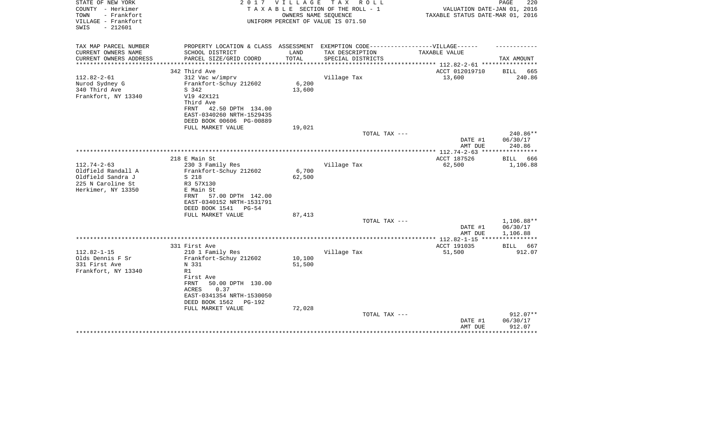| TAXABLE SECTION OF THE ROLL - 1<br>VALUATION DATE-JAN 01, 2016<br>- Frankfort<br>TOWN<br>OWNERS NAME SEQUENCE<br>TAXABLE STATUS DATE-MAR 01, 2016<br>VILLAGE - Frankfort<br>UNIFORM PERCENT OF VALUE IS 071.50<br>SWIS<br>$-212601$<br>PROPERTY LOCATION & CLASS ASSESSMENT EXEMPTION CODE-----------------VILLAGE------<br>TAX MAP PARCEL NUMBER<br>CURRENT OWNERS NAME<br>SCHOOL DISTRICT<br>LAND<br>TAX DESCRIPTION<br>TAXABLE VALUE<br>TOTAL<br>PARCEL SIZE/GRID COORD<br>CURRENT OWNERS ADDRESS<br>SPECIAL DISTRICTS<br>TAX AMOUNT<br>******************* 112.82-2-61 **********<br>***********<br>342 Third Ave<br>ACCT 012019710<br>665<br>BILL<br>$112.82 - 2 - 61$<br>13,600<br>312 Vac w/imprv<br>Village Tax<br>240.86<br>6,200<br>Nurod Sydney G<br>Frankfort-Schuy 212602<br>340 Third Ave<br>13,600<br>S 342<br>Frankfort, NY 13340<br>V19 42X121<br>Third Ave<br>42.50 DPTH 134.00<br>FRNT<br>EAST-0340260 NRTH-1529435<br>DEED BOOK 00606 PG-00889<br>FULL MARKET VALUE<br>19,021<br>240.86**<br>TOTAL TAX ---<br>DATE #1<br>06/30/17<br>AMT DUE<br>240.86<br>* * * * * * * * * * *<br>218 E Main St<br>ACCT 187526<br><b>BILL</b><br>666<br>$112.74 - 2 - 63$<br>Village Tax<br>62,500<br>1,106.88<br>230 3 Family Res<br>Oldfield Randall A<br>Frankfort-Schuy 212602<br>6,700<br>Oldfield Sandra J<br>S 218<br>62,500<br>225 N Caroline St<br>R3 57X130<br>Herkimer, NY 13350<br>E Main St<br>57.00 DPTH 142.00<br>FRNT<br>EAST-0340152 NRTH-1531791<br>DEED BOOK 1541 PG-54<br>87,413<br>FULL MARKET VALUE<br>1,106.88**<br>TOTAL TAX ---<br>DATE #1<br>06/30/17<br>1,106.88<br>AMT DUE<br>*** 112.82-1-15 ***<br>331 First Ave<br>ACCT 191035<br>BILL 667<br>$112.82 - 1 - 15$<br>210 1 Family Res<br>Village Tax<br>51,500<br>912.07<br>Olds Dennis F Sr<br>Frankfort-Schuy 212602<br>10,100<br>51,500<br>331 First Ave<br>N 331<br>Frankfort, NY 13340<br>R1 | STATE OF NEW YORK | 2 0 1 7   | V I L L A G E | TAX ROLL | 220<br>PAGE |
|-------------------------------------------------------------------------------------------------------------------------------------------------------------------------------------------------------------------------------------------------------------------------------------------------------------------------------------------------------------------------------------------------------------------------------------------------------------------------------------------------------------------------------------------------------------------------------------------------------------------------------------------------------------------------------------------------------------------------------------------------------------------------------------------------------------------------------------------------------------------------------------------------------------------------------------------------------------------------------------------------------------------------------------------------------------------------------------------------------------------------------------------------------------------------------------------------------------------------------------------------------------------------------------------------------------------------------------------------------------------------------------------------------------------------------------------------------------------------------------------------------------------------------------------------------------------------------------------------------------------------------------------------------------------------------------------------------------------------------------------------------------------------------------------------------------------------------------------------------------------------------------|-------------------|-----------|---------------|----------|-------------|
|                                                                                                                                                                                                                                                                                                                                                                                                                                                                                                                                                                                                                                                                                                                                                                                                                                                                                                                                                                                                                                                                                                                                                                                                                                                                                                                                                                                                                                                                                                                                                                                                                                                                                                                                                                                                                                                                                     | COUNTY - Herkimer |           |               |          |             |
|                                                                                                                                                                                                                                                                                                                                                                                                                                                                                                                                                                                                                                                                                                                                                                                                                                                                                                                                                                                                                                                                                                                                                                                                                                                                                                                                                                                                                                                                                                                                                                                                                                                                                                                                                                                                                                                                                     |                   |           |               |          |             |
|                                                                                                                                                                                                                                                                                                                                                                                                                                                                                                                                                                                                                                                                                                                                                                                                                                                                                                                                                                                                                                                                                                                                                                                                                                                                                                                                                                                                                                                                                                                                                                                                                                                                                                                                                                                                                                                                                     |                   |           |               |          |             |
|                                                                                                                                                                                                                                                                                                                                                                                                                                                                                                                                                                                                                                                                                                                                                                                                                                                                                                                                                                                                                                                                                                                                                                                                                                                                                                                                                                                                                                                                                                                                                                                                                                                                                                                                                                                                                                                                                     |                   |           |               |          |             |
|                                                                                                                                                                                                                                                                                                                                                                                                                                                                                                                                                                                                                                                                                                                                                                                                                                                                                                                                                                                                                                                                                                                                                                                                                                                                                                                                                                                                                                                                                                                                                                                                                                                                                                                                                                                                                                                                                     |                   |           |               |          |             |
|                                                                                                                                                                                                                                                                                                                                                                                                                                                                                                                                                                                                                                                                                                                                                                                                                                                                                                                                                                                                                                                                                                                                                                                                                                                                                                                                                                                                                                                                                                                                                                                                                                                                                                                                                                                                                                                                                     |                   |           |               |          |             |
|                                                                                                                                                                                                                                                                                                                                                                                                                                                                                                                                                                                                                                                                                                                                                                                                                                                                                                                                                                                                                                                                                                                                                                                                                                                                                                                                                                                                                                                                                                                                                                                                                                                                                                                                                                                                                                                                                     |                   |           |               |          |             |
|                                                                                                                                                                                                                                                                                                                                                                                                                                                                                                                                                                                                                                                                                                                                                                                                                                                                                                                                                                                                                                                                                                                                                                                                                                                                                                                                                                                                                                                                                                                                                                                                                                                                                                                                                                                                                                                                                     |                   |           |               |          |             |
|                                                                                                                                                                                                                                                                                                                                                                                                                                                                                                                                                                                                                                                                                                                                                                                                                                                                                                                                                                                                                                                                                                                                                                                                                                                                                                                                                                                                                                                                                                                                                                                                                                                                                                                                                                                                                                                                                     |                   |           |               |          |             |
|                                                                                                                                                                                                                                                                                                                                                                                                                                                                                                                                                                                                                                                                                                                                                                                                                                                                                                                                                                                                                                                                                                                                                                                                                                                                                                                                                                                                                                                                                                                                                                                                                                                                                                                                                                                                                                                                                     |                   |           |               |          |             |
|                                                                                                                                                                                                                                                                                                                                                                                                                                                                                                                                                                                                                                                                                                                                                                                                                                                                                                                                                                                                                                                                                                                                                                                                                                                                                                                                                                                                                                                                                                                                                                                                                                                                                                                                                                                                                                                                                     |                   |           |               |          |             |
|                                                                                                                                                                                                                                                                                                                                                                                                                                                                                                                                                                                                                                                                                                                                                                                                                                                                                                                                                                                                                                                                                                                                                                                                                                                                                                                                                                                                                                                                                                                                                                                                                                                                                                                                                                                                                                                                                     |                   |           |               |          |             |
|                                                                                                                                                                                                                                                                                                                                                                                                                                                                                                                                                                                                                                                                                                                                                                                                                                                                                                                                                                                                                                                                                                                                                                                                                                                                                                                                                                                                                                                                                                                                                                                                                                                                                                                                                                                                                                                                                     |                   |           |               |          |             |
|                                                                                                                                                                                                                                                                                                                                                                                                                                                                                                                                                                                                                                                                                                                                                                                                                                                                                                                                                                                                                                                                                                                                                                                                                                                                                                                                                                                                                                                                                                                                                                                                                                                                                                                                                                                                                                                                                     |                   |           |               |          |             |
|                                                                                                                                                                                                                                                                                                                                                                                                                                                                                                                                                                                                                                                                                                                                                                                                                                                                                                                                                                                                                                                                                                                                                                                                                                                                                                                                                                                                                                                                                                                                                                                                                                                                                                                                                                                                                                                                                     |                   |           |               |          |             |
|                                                                                                                                                                                                                                                                                                                                                                                                                                                                                                                                                                                                                                                                                                                                                                                                                                                                                                                                                                                                                                                                                                                                                                                                                                                                                                                                                                                                                                                                                                                                                                                                                                                                                                                                                                                                                                                                                     |                   |           |               |          |             |
|                                                                                                                                                                                                                                                                                                                                                                                                                                                                                                                                                                                                                                                                                                                                                                                                                                                                                                                                                                                                                                                                                                                                                                                                                                                                                                                                                                                                                                                                                                                                                                                                                                                                                                                                                                                                                                                                                     |                   |           |               |          |             |
|                                                                                                                                                                                                                                                                                                                                                                                                                                                                                                                                                                                                                                                                                                                                                                                                                                                                                                                                                                                                                                                                                                                                                                                                                                                                                                                                                                                                                                                                                                                                                                                                                                                                                                                                                                                                                                                                                     |                   |           |               |          |             |
|                                                                                                                                                                                                                                                                                                                                                                                                                                                                                                                                                                                                                                                                                                                                                                                                                                                                                                                                                                                                                                                                                                                                                                                                                                                                                                                                                                                                                                                                                                                                                                                                                                                                                                                                                                                                                                                                                     |                   |           |               |          |             |
|                                                                                                                                                                                                                                                                                                                                                                                                                                                                                                                                                                                                                                                                                                                                                                                                                                                                                                                                                                                                                                                                                                                                                                                                                                                                                                                                                                                                                                                                                                                                                                                                                                                                                                                                                                                                                                                                                     |                   |           |               |          |             |
|                                                                                                                                                                                                                                                                                                                                                                                                                                                                                                                                                                                                                                                                                                                                                                                                                                                                                                                                                                                                                                                                                                                                                                                                                                                                                                                                                                                                                                                                                                                                                                                                                                                                                                                                                                                                                                                                                     |                   |           |               |          |             |
|                                                                                                                                                                                                                                                                                                                                                                                                                                                                                                                                                                                                                                                                                                                                                                                                                                                                                                                                                                                                                                                                                                                                                                                                                                                                                                                                                                                                                                                                                                                                                                                                                                                                                                                                                                                                                                                                                     |                   |           |               |          |             |
|                                                                                                                                                                                                                                                                                                                                                                                                                                                                                                                                                                                                                                                                                                                                                                                                                                                                                                                                                                                                                                                                                                                                                                                                                                                                                                                                                                                                                                                                                                                                                                                                                                                                                                                                                                                                                                                                                     |                   |           |               |          |             |
|                                                                                                                                                                                                                                                                                                                                                                                                                                                                                                                                                                                                                                                                                                                                                                                                                                                                                                                                                                                                                                                                                                                                                                                                                                                                                                                                                                                                                                                                                                                                                                                                                                                                                                                                                                                                                                                                                     |                   |           |               |          |             |
|                                                                                                                                                                                                                                                                                                                                                                                                                                                                                                                                                                                                                                                                                                                                                                                                                                                                                                                                                                                                                                                                                                                                                                                                                                                                                                                                                                                                                                                                                                                                                                                                                                                                                                                                                                                                                                                                                     |                   |           |               |          |             |
|                                                                                                                                                                                                                                                                                                                                                                                                                                                                                                                                                                                                                                                                                                                                                                                                                                                                                                                                                                                                                                                                                                                                                                                                                                                                                                                                                                                                                                                                                                                                                                                                                                                                                                                                                                                                                                                                                     |                   |           |               |          |             |
|                                                                                                                                                                                                                                                                                                                                                                                                                                                                                                                                                                                                                                                                                                                                                                                                                                                                                                                                                                                                                                                                                                                                                                                                                                                                                                                                                                                                                                                                                                                                                                                                                                                                                                                                                                                                                                                                                     |                   |           |               |          |             |
|                                                                                                                                                                                                                                                                                                                                                                                                                                                                                                                                                                                                                                                                                                                                                                                                                                                                                                                                                                                                                                                                                                                                                                                                                                                                                                                                                                                                                                                                                                                                                                                                                                                                                                                                                                                                                                                                                     |                   |           |               |          |             |
|                                                                                                                                                                                                                                                                                                                                                                                                                                                                                                                                                                                                                                                                                                                                                                                                                                                                                                                                                                                                                                                                                                                                                                                                                                                                                                                                                                                                                                                                                                                                                                                                                                                                                                                                                                                                                                                                                     |                   |           |               |          |             |
|                                                                                                                                                                                                                                                                                                                                                                                                                                                                                                                                                                                                                                                                                                                                                                                                                                                                                                                                                                                                                                                                                                                                                                                                                                                                                                                                                                                                                                                                                                                                                                                                                                                                                                                                                                                                                                                                                     |                   |           |               |          |             |
|                                                                                                                                                                                                                                                                                                                                                                                                                                                                                                                                                                                                                                                                                                                                                                                                                                                                                                                                                                                                                                                                                                                                                                                                                                                                                                                                                                                                                                                                                                                                                                                                                                                                                                                                                                                                                                                                                     |                   |           |               |          |             |
|                                                                                                                                                                                                                                                                                                                                                                                                                                                                                                                                                                                                                                                                                                                                                                                                                                                                                                                                                                                                                                                                                                                                                                                                                                                                                                                                                                                                                                                                                                                                                                                                                                                                                                                                                                                                                                                                                     |                   |           |               |          |             |
|                                                                                                                                                                                                                                                                                                                                                                                                                                                                                                                                                                                                                                                                                                                                                                                                                                                                                                                                                                                                                                                                                                                                                                                                                                                                                                                                                                                                                                                                                                                                                                                                                                                                                                                                                                                                                                                                                     |                   |           |               |          |             |
|                                                                                                                                                                                                                                                                                                                                                                                                                                                                                                                                                                                                                                                                                                                                                                                                                                                                                                                                                                                                                                                                                                                                                                                                                                                                                                                                                                                                                                                                                                                                                                                                                                                                                                                                                                                                                                                                                     |                   |           |               |          |             |
|                                                                                                                                                                                                                                                                                                                                                                                                                                                                                                                                                                                                                                                                                                                                                                                                                                                                                                                                                                                                                                                                                                                                                                                                                                                                                                                                                                                                                                                                                                                                                                                                                                                                                                                                                                                                                                                                                     |                   |           |               |          |             |
|                                                                                                                                                                                                                                                                                                                                                                                                                                                                                                                                                                                                                                                                                                                                                                                                                                                                                                                                                                                                                                                                                                                                                                                                                                                                                                                                                                                                                                                                                                                                                                                                                                                                                                                                                                                                                                                                                     |                   |           |               |          |             |
|                                                                                                                                                                                                                                                                                                                                                                                                                                                                                                                                                                                                                                                                                                                                                                                                                                                                                                                                                                                                                                                                                                                                                                                                                                                                                                                                                                                                                                                                                                                                                                                                                                                                                                                                                                                                                                                                                     |                   |           |               |          |             |
|                                                                                                                                                                                                                                                                                                                                                                                                                                                                                                                                                                                                                                                                                                                                                                                                                                                                                                                                                                                                                                                                                                                                                                                                                                                                                                                                                                                                                                                                                                                                                                                                                                                                                                                                                                                                                                                                                     |                   |           |               |          |             |
|                                                                                                                                                                                                                                                                                                                                                                                                                                                                                                                                                                                                                                                                                                                                                                                                                                                                                                                                                                                                                                                                                                                                                                                                                                                                                                                                                                                                                                                                                                                                                                                                                                                                                                                                                                                                                                                                                     |                   |           |               |          |             |
|                                                                                                                                                                                                                                                                                                                                                                                                                                                                                                                                                                                                                                                                                                                                                                                                                                                                                                                                                                                                                                                                                                                                                                                                                                                                                                                                                                                                                                                                                                                                                                                                                                                                                                                                                                                                                                                                                     |                   |           |               |          |             |
|                                                                                                                                                                                                                                                                                                                                                                                                                                                                                                                                                                                                                                                                                                                                                                                                                                                                                                                                                                                                                                                                                                                                                                                                                                                                                                                                                                                                                                                                                                                                                                                                                                                                                                                                                                                                                                                                                     |                   |           |               |          |             |
|                                                                                                                                                                                                                                                                                                                                                                                                                                                                                                                                                                                                                                                                                                                                                                                                                                                                                                                                                                                                                                                                                                                                                                                                                                                                                                                                                                                                                                                                                                                                                                                                                                                                                                                                                                                                                                                                                     |                   | First Ave |               |          |             |
| 50.00 DPTH 130.00<br>FRNT                                                                                                                                                                                                                                                                                                                                                                                                                                                                                                                                                                                                                                                                                                                                                                                                                                                                                                                                                                                                                                                                                                                                                                                                                                                                                                                                                                                                                                                                                                                                                                                                                                                                                                                                                                                                                                                           |                   |           |               |          |             |
| ACRES<br>0.37                                                                                                                                                                                                                                                                                                                                                                                                                                                                                                                                                                                                                                                                                                                                                                                                                                                                                                                                                                                                                                                                                                                                                                                                                                                                                                                                                                                                                                                                                                                                                                                                                                                                                                                                                                                                                                                                       |                   |           |               |          |             |
| EAST-0341354 NRTH-1530050                                                                                                                                                                                                                                                                                                                                                                                                                                                                                                                                                                                                                                                                                                                                                                                                                                                                                                                                                                                                                                                                                                                                                                                                                                                                                                                                                                                                                                                                                                                                                                                                                                                                                                                                                                                                                                                           |                   |           |               |          |             |
| DEED BOOK 1562<br>PG-192                                                                                                                                                                                                                                                                                                                                                                                                                                                                                                                                                                                                                                                                                                                                                                                                                                                                                                                                                                                                                                                                                                                                                                                                                                                                                                                                                                                                                                                                                                                                                                                                                                                                                                                                                                                                                                                            |                   |           |               |          |             |
| 72,028<br>FULL MARKET VALUE                                                                                                                                                                                                                                                                                                                                                                                                                                                                                                                                                                                                                                                                                                                                                                                                                                                                                                                                                                                                                                                                                                                                                                                                                                                                                                                                                                                                                                                                                                                                                                                                                                                                                                                                                                                                                                                         |                   |           |               |          |             |
| TOTAL TAX ---                                                                                                                                                                                                                                                                                                                                                                                                                                                                                                                                                                                                                                                                                                                                                                                                                                                                                                                                                                                                                                                                                                                                                                                                                                                                                                                                                                                                                                                                                                                                                                                                                                                                                                                                                                                                                                                                       |                   |           |               |          | 912.07**    |
| DATE #1<br>06/30/17                                                                                                                                                                                                                                                                                                                                                                                                                                                                                                                                                                                                                                                                                                                                                                                                                                                                                                                                                                                                                                                                                                                                                                                                                                                                                                                                                                                                                                                                                                                                                                                                                                                                                                                                                                                                                                                                 |                   |           |               |          |             |
| AMT DUE<br>912.07                                                                                                                                                                                                                                                                                                                                                                                                                                                                                                                                                                                                                                                                                                                                                                                                                                                                                                                                                                                                                                                                                                                                                                                                                                                                                                                                                                                                                                                                                                                                                                                                                                                                                                                                                                                                                                                                   |                   |           |               |          |             |
|                                                                                                                                                                                                                                                                                                                                                                                                                                                                                                                                                                                                                                                                                                                                                                                                                                                                                                                                                                                                                                                                                                                                                                                                                                                                                                                                                                                                                                                                                                                                                                                                                                                                                                                                                                                                                                                                                     |                   |           |               |          |             |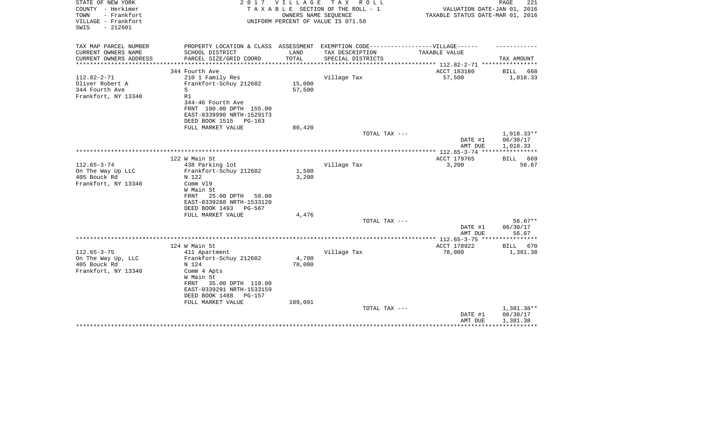| STATE OF NEW YORK<br>COUNTY - Herkimer<br>TOWN<br>- Frankfort | 2017                                          | V I L L A G E<br>OWNERS NAME SEQUENCE | TAX ROLL<br>TAXABLE SECTION OF THE ROLL - 1                                       | VALUATION DATE-JAN 01, 2016<br>TAXABLE STATUS DATE-MAR 01, 2016         | PAGE<br>221             |
|---------------------------------------------------------------|-----------------------------------------------|---------------------------------------|-----------------------------------------------------------------------------------|-------------------------------------------------------------------------|-------------------------|
| VILLAGE - Frankfort<br>$-212601$<br>SWIS                      |                                               |                                       | UNIFORM PERCENT OF VALUE IS 071.50                                                |                                                                         |                         |
| TAX MAP PARCEL NUMBER                                         |                                               |                                       | PROPERTY LOCATION & CLASS ASSESSMENT EXEMPTION CODE-----------------VILLAGE------ |                                                                         |                         |
| CURRENT OWNERS NAME                                           | SCHOOL DISTRICT                               | LAND                                  | TAX DESCRIPTION                                                                   | TAXABLE VALUE                                                           |                         |
| CURRENT OWNERS ADDRESS<br>*********************               | PARCEL SIZE/GRID COORD                        | TOTAL                                 | SPECIAL DISTRICTS                                                                 |                                                                         | TAX AMOUNT              |
| 344 Fourth Ave                                                |                                               |                                       |                                                                                   | *************************** 112.82-2-71 ****************<br>ACCT 183180 | <b>BILL</b><br>668      |
| $112.82 - 2 - 71$                                             | 210 1 Family Res                              |                                       | Village Tax                                                                       | 57,500                                                                  | 1,018.33                |
| Oliver Robert A                                               | Frankfort-Schuy 212602                        | 15,000                                |                                                                                   |                                                                         |                         |
| 344 Fourth Ave<br>S                                           |                                               | 57,500                                |                                                                                   |                                                                         |                         |
| Frankfort, NY 13340<br>R1                                     |                                               |                                       |                                                                                   |                                                                         |                         |
|                                                               | 344-46 Fourth Ave                             |                                       |                                                                                   |                                                                         |                         |
|                                                               | FRNT 100.00 DPTH 155.00                       |                                       |                                                                                   |                                                                         |                         |
|                                                               | EAST-0339990 NRTH-1529173                     |                                       |                                                                                   |                                                                         |                         |
|                                                               | DEED BOOK 1515<br>PG-163<br>FULL MARKET VALUE | 80,420                                |                                                                                   |                                                                         |                         |
|                                                               |                                               |                                       | TOTAL TAX ---                                                                     |                                                                         | 1,018.33**              |
|                                                               |                                               |                                       |                                                                                   | DATE #1                                                                 | 06/30/17                |
|                                                               |                                               |                                       |                                                                                   | AMT DUE                                                                 | 1,018.33                |
|                                                               |                                               |                                       |                                                                                   |                                                                         | * * * * * * * * * * * * |
| 122 W Main St                                                 |                                               |                                       |                                                                                   | ACCT 179765                                                             | 669<br><b>BILL</b>      |
| $112.65 - 3 - 74$<br>On The Way Up LLC                        | 438 Parking lot<br>Frankfort-Schuy 212602     | 1,500                                 | Village Tax                                                                       | 3,200                                                                   | 56.67                   |
| 405 Bouck Rd<br>N 122                                         |                                               | 3,200                                 |                                                                                   |                                                                         |                         |
| Frankfort, NY 13340                                           | Comm V19                                      |                                       |                                                                                   |                                                                         |                         |
|                                                               | W Main St                                     |                                       |                                                                                   |                                                                         |                         |
| FRNT                                                          | 25.00 DPTH<br>59.00                           |                                       |                                                                                   |                                                                         |                         |
|                                                               | EAST-0339288 NRTH-1533120                     |                                       |                                                                                   |                                                                         |                         |
|                                                               | DEED BOOK 1493<br>PG-567                      |                                       |                                                                                   |                                                                         |                         |
|                                                               | FULL MARKET VALUE                             | 4,476                                 |                                                                                   |                                                                         |                         |
|                                                               |                                               |                                       | TOTAL TAX ---                                                                     | DATE #1                                                                 | $56.67**$<br>06/30/17   |
|                                                               |                                               |                                       |                                                                                   | AMT DUE                                                                 | 56.67                   |
|                                                               |                                               |                                       |                                                                                   |                                                                         |                         |
| 124 W Main St                                                 |                                               |                                       |                                                                                   | ACCT 178922                                                             | BILL 670                |
| $112.65 - 3 - 75$                                             | 411 Apartment                                 |                                       | Village Tax                                                                       | 78,000                                                                  | 1,381.38                |
| On The Way Up, LLC                                            | Frankfort-Schuy 212602                        | 4,700                                 |                                                                                   |                                                                         |                         |
| 405 Bouck Rd<br>N 124                                         |                                               | 78,000                                |                                                                                   |                                                                         |                         |
| Frankfort, NY 13340                                           | Comm 4 Apts<br>W Main St                      |                                       |                                                                                   |                                                                         |                         |
| FRNT                                                          | 35.00 DPTH 110.00                             |                                       |                                                                                   |                                                                         |                         |
|                                                               | EAST-0339291 NRTH-1533159                     |                                       |                                                                                   |                                                                         |                         |
|                                                               | DEED BOOK 1488<br>PG-157                      |                                       |                                                                                   |                                                                         |                         |
|                                                               | FULL MARKET VALUE                             | 109,091                               |                                                                                   |                                                                         |                         |
|                                                               |                                               |                                       | TOTAL TAX ---                                                                     |                                                                         | 1,381.38**              |
|                                                               |                                               |                                       |                                                                                   | DATE #1                                                                 | 06/30/17                |
|                                                               |                                               |                                       |                                                                                   | AMT DUE                                                                 | 1,381.38                |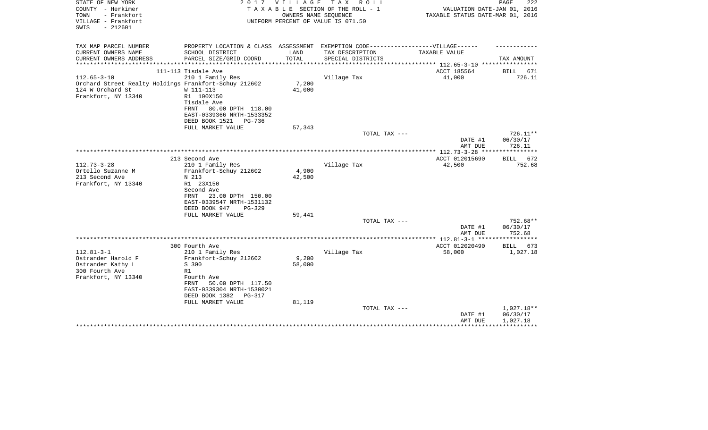| STATE OF NEW YORK<br>COUNTY - Herkimer<br>- Frankfort<br>TOWN<br>VILLAGE - Frankfort<br>$-212601$<br>SWIS | 2017                                                                                                 | V I L L A G E   | T A X<br>R O L L<br>TAXABLE SECTION OF THE ROLL - 1<br>OWNERS NAME SEQUENCE<br>UNIFORM PERCENT OF VALUE IS 071.50 | VALUATION DATE-JAN 01, 2016<br>TAXABLE STATUS DATE-MAR 01, 2016 | PAGE<br>222          |
|-----------------------------------------------------------------------------------------------------------|------------------------------------------------------------------------------------------------------|-----------------|-------------------------------------------------------------------------------------------------------------------|-----------------------------------------------------------------|----------------------|
| TAX MAP PARCEL NUMBER<br>CURRENT OWNERS NAME                                                              | PROPERTY LOCATION & CLASS ASSESSMENT EXEMPTION CODE-----------------VILLAGE------<br>SCHOOL DISTRICT | LAND            | TAX DESCRIPTION                                                                                                   | TAXABLE VALUE                                                   |                      |
| CURRENT OWNERS ADDRESS<br>****************                                                                | PARCEL SIZE/GRID COORD                                                                               | TOTAL           | SPECIAL DISTRICTS                                                                                                 |                                                                 | TAX AMOUNT           |
|                                                                                                           | 111-113 Tisdale Ave                                                                                  |                 |                                                                                                                   | ACCT 185564                                                     | BILL<br>671          |
| $112.65 - 3 - 10$                                                                                         | 210 1 Family Res                                                                                     |                 | Village Tax                                                                                                       | 41,000                                                          | 726.11               |
| Orchard Street Realty Holdings Frankfort-Schuy 212602<br>124 W Orchard St<br>Frankfort, NY 13340          | W 111-113<br>R1 100X150<br>Tisdale Ave<br>FRNT<br>80.00 DPTH 118.00<br>EAST-0339366 NRTH-1533352     | 7,200<br>41,000 |                                                                                                                   |                                                                 |                      |
|                                                                                                           | DEED BOOK 1521<br>PG-736                                                                             |                 |                                                                                                                   |                                                                 |                      |
|                                                                                                           | FULL MARKET VALUE                                                                                    | 57,343          |                                                                                                                   |                                                                 |                      |
|                                                                                                           |                                                                                                      |                 | TOTAL TAX ---                                                                                                     |                                                                 | 726.11**             |
|                                                                                                           |                                                                                                      |                 |                                                                                                                   | DATE #1<br>AMT DUE                                              | 06/30/17<br>726.11   |
|                                                                                                           |                                                                                                      |                 |                                                                                                                   |                                                                 |                      |
| $112.73 - 3 - 28$                                                                                         | 213 Second Ave                                                                                       |                 |                                                                                                                   | ACCT 012015690                                                  | BILL 672             |
| Ortello Suzanne M                                                                                         | 210 1 Family Res<br>Frankfort-Schuy 212602                                                           | 4,900           | Village Tax                                                                                                       | 42,500                                                          | 752.68               |
| 213 Second Ave                                                                                            | N 213                                                                                                | 42,500          |                                                                                                                   |                                                                 |                      |
| Frankfort, NY 13340                                                                                       | R1 23X150                                                                                            |                 |                                                                                                                   |                                                                 |                      |
|                                                                                                           | Second Ave                                                                                           |                 |                                                                                                                   |                                                                 |                      |
|                                                                                                           | 23.00 DPTH 150.00<br>FRNT                                                                            |                 |                                                                                                                   |                                                                 |                      |
|                                                                                                           | EAST-0339547 NRTH-1531132                                                                            |                 |                                                                                                                   |                                                                 |                      |
|                                                                                                           | DEED BOOK 947<br>$PG-329$                                                                            |                 |                                                                                                                   |                                                                 |                      |
|                                                                                                           | FULL MARKET VALUE                                                                                    | 59,441          | TOTAL TAX ---                                                                                                     |                                                                 | 752.68**             |
|                                                                                                           |                                                                                                      |                 |                                                                                                                   | DATE #1                                                         | 06/30/17             |
|                                                                                                           |                                                                                                      |                 |                                                                                                                   | AMT DUE                                                         | 752.68               |
|                                                                                                           |                                                                                                      |                 |                                                                                                                   |                                                                 |                      |
|                                                                                                           | 300 Fourth Ave                                                                                       |                 |                                                                                                                   | ACCT 012020490                                                  | BILL 673             |
| $112.81 - 3 - 1$                                                                                          | 210 1 Family Res                                                                                     |                 | Village Tax                                                                                                       | 58,000                                                          | 1,027.18             |
| Ostrander Harold F                                                                                        | Frankfort-Schuy 212602                                                                               | 9,200           |                                                                                                                   |                                                                 |                      |
| Ostrander Kathy L<br>300 Fourth Ave                                                                       | S 300<br>R1                                                                                          | 58,000          |                                                                                                                   |                                                                 |                      |
| Frankfort, NY 13340                                                                                       | Fourth Ave<br>50.00 DPTH 117.50<br>FRNT                                                              |                 |                                                                                                                   |                                                                 |                      |
|                                                                                                           | EAST-0339304 NRTH-1530021                                                                            |                 |                                                                                                                   |                                                                 |                      |
|                                                                                                           | DEED BOOK 1382<br><b>PG-317</b>                                                                      |                 |                                                                                                                   |                                                                 |                      |
|                                                                                                           | FULL MARKET VALUE                                                                                    | 81,119          | TOTAL TAX ---                                                                                                     |                                                                 | 1,027.18**           |
|                                                                                                           |                                                                                                      |                 |                                                                                                                   | DATE #1<br>AMT DUE                                              | 06/30/17<br>1,027.18 |
|                                                                                                           |                                                                                                      |                 |                                                                                                                   |                                                                 |                      |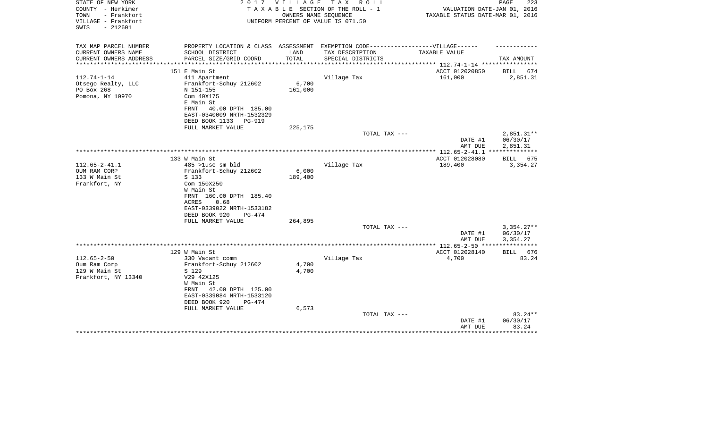| STATE OF NEW YORK<br>COUNTY - Herkimer<br>- Frankfort<br>TOWN<br>VILLAGE - Frankfort<br>$-212601$<br>SWIS | 2 0 1 7                                                                                                                                                              | V I L L A G E<br>OWNERS NAME SEQUENCE | TAX ROLL<br>TAXABLE SECTION OF THE ROLL - 1<br>UNIFORM PERCENT OF VALUE IS 071.50 | VALUATION DATE-JAN 01, 2016<br>TAXABLE STATUS DATE-MAR 01, 2016 | 223<br>PAGE                          |
|-----------------------------------------------------------------------------------------------------------|----------------------------------------------------------------------------------------------------------------------------------------------------------------------|---------------------------------------|-----------------------------------------------------------------------------------|-----------------------------------------------------------------|--------------------------------------|
| TAX MAP PARCEL NUMBER<br>CURRENT OWNERS NAME<br>CURRENT OWNERS ADDRESS                                    | PROPERTY LOCATION & CLASS ASSESSMENT EXEMPTION CODE-----------------VILLAGE------<br>SCHOOL DISTRICT<br>PARCEL SIZE/GRID COORD                                       | LAND<br>TOTAL                         | TAX DESCRIPTION<br>SPECIAL DISTRICTS                                              | TAXABLE VALUE                                                   | TAX AMOUNT                           |
| ********************                                                                                      |                                                                                                                                                                      | ************                          |                                                                                   | ******************** 112.74-1-14 ***********                    |                                      |
| $112.74 - 1 - 14$<br>Otsego Realty, LLC<br>PO Box 268<br>Pomona, NY 10970                                 | 151 E Main St<br>411 Apartment<br>Frankfort-Schuy 212602<br>N 151-155<br>Com 40X175<br>E Main St<br>FRNT<br>40.00 DPTH 185.00<br>EAST-0340009 NRTH-1532329           | 6,700<br>161,000                      | Village Tax                                                                       | ACCT 012020850<br>161,000                                       | BILL<br>674<br>2,851.31              |
|                                                                                                           | DEED BOOK 1133<br><b>PG-919</b><br>FULL MARKET VALUE                                                                                                                 | 225,175                               |                                                                                   |                                                                 |                                      |
|                                                                                                           |                                                                                                                                                                      |                                       | TOTAL TAX ---                                                                     | DATE #1<br>AMT DUE                                              | $2,851.31**$<br>06/30/17<br>2,851.31 |
|                                                                                                           |                                                                                                                                                                      |                                       |                                                                                   |                                                                 | ***********                          |
| $112.65 - 2 - 41.1$<br>OUM RAM CORP<br>133 W Main St<br>Frankfort, NY                                     | 133 W Main St<br>485 >luse sm bld<br>Frankfort-Schuy 212602<br>S 133<br>Com 150X250<br>W Main St<br>FRNT 160.00 DPTH 185.40<br>ACRES<br>0.68                         | 6,000<br>189,400                      | Village Tax                                                                       | ACCT 012028080<br>189,400                                       | BILL 675<br>3,354.27                 |
|                                                                                                           | EAST-0339022 NRTH-1533182<br>DEED BOOK 920<br>PG-474                                                                                                                 |                                       |                                                                                   |                                                                 |                                      |
|                                                                                                           | FULL MARKET VALUE                                                                                                                                                    | 264,895                               |                                                                                   |                                                                 |                                      |
|                                                                                                           |                                                                                                                                                                      |                                       | TOTAL TAX ---                                                                     | DATE #1<br>AMT DUE                                              | $3,354.27**$<br>06/30/17<br>3,354.27 |
|                                                                                                           |                                                                                                                                                                      |                                       |                                                                                   |                                                                 |                                      |
| $112.65 - 2 - 50$                                                                                         | 129 W Main St<br>330 Vacant comm                                                                                                                                     |                                       | Village Tax                                                                       | ACCT 012028140<br>4,700                                         | BILL 676<br>83.24                    |
| Oum Ram Corp<br>129 W Main St<br>Frankfort, NY 13340                                                      | Frankfort-Schuy 212602<br>S 129<br>V29 42X125<br>W Main St<br>42.00 DPTH 125.00<br>FRNT<br>EAST-0339084 NRTH-1533120<br>DEED BOOK 920<br>PG-474<br>FULL MARKET VALUE | 4,700<br>4,700<br>6,573               |                                                                                   |                                                                 |                                      |
|                                                                                                           |                                                                                                                                                                      |                                       | TOTAL TAX ---                                                                     | DATE #1<br>AMT DUE                                              | $83.24**$<br>06/30/17<br>83.24       |
|                                                                                                           |                                                                                                                                                                      |                                       |                                                                                   |                                                                 |                                      |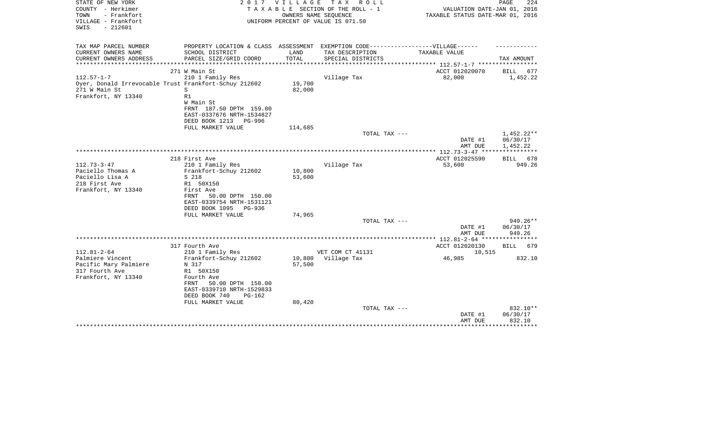| STATE OF NEW YORK<br>COUNTY - Herkimer<br>- Frankfort<br>TOWN<br>VILLAGE - Frankfort<br>SWIS<br>$-212601$ | 2 0 1 7                                                                                              | <b>VILLAGE</b><br>OWNERS NAME SEQUENCE | T A X<br>R O L L<br>TAXABLE SECTION OF THE ROLL - 1<br>UNIFORM PERCENT OF VALUE IS 071.50 | VALUATION DATE-JAN 01, 2016<br>TAXABLE STATUS DATE-MAR 01, 2016 | PAGE<br>224                          |
|-----------------------------------------------------------------------------------------------------------|------------------------------------------------------------------------------------------------------|----------------------------------------|-------------------------------------------------------------------------------------------|-----------------------------------------------------------------|--------------------------------------|
|                                                                                                           |                                                                                                      |                                        |                                                                                           |                                                                 |                                      |
| TAX MAP PARCEL NUMBER<br>CURRENT OWNERS NAME                                                              | PROPERTY LOCATION & CLASS ASSESSMENT EXEMPTION CODE-----------------VILLAGE------<br>SCHOOL DISTRICT | LAND                                   | TAX DESCRIPTION                                                                           | TAXABLE VALUE                                                   |                                      |
| CURRENT OWNERS ADDRESS                                                                                    | PARCEL SIZE/GRID COORD<br>************************                                                   | TOTAL<br>***********                   | SPECIAL DISTRICTS                                                                         | **************** 112.57-1-7 **********                          | TAX AMOUNT                           |
|                                                                                                           | 271 W Main St                                                                                        |                                        |                                                                                           | ACCT 012020070                                                  | BILL<br>677                          |
| $112.57 - 1 - 7$                                                                                          | 210 1 Family Res                                                                                     |                                        | Village Tax                                                                               | 82,000                                                          | 1,452.22                             |
| Oyer, Donald Irrevocable Trust Frankfort-Schuy 212602<br>271 W Main St<br>Frankfort, NY 13340             | S<br>R1<br>W Main St                                                                                 | 19,700<br>82,000                       |                                                                                           |                                                                 |                                      |
|                                                                                                           | FRNT 187.50 DPTH 159.00<br>EAST-0337676 NRTH-1534827<br>DEED BOOK 1213<br>PG-996                     |                                        |                                                                                           |                                                                 |                                      |
|                                                                                                           | FULL MARKET VALUE                                                                                    | 114,685                                |                                                                                           |                                                                 |                                      |
|                                                                                                           |                                                                                                      |                                        | TOTAL TAX ---                                                                             | DATE #1<br>AMT DUE                                              | $1,452.22**$<br>06/30/17<br>1,452.22 |
|                                                                                                           |                                                                                                      |                                        |                                                                                           |                                                                 |                                      |
|                                                                                                           | 218 First Ave                                                                                        |                                        |                                                                                           | ACCT 012025590                                                  | 678<br><b>BILL</b>                   |
| $112.73 - 3 - 47$<br>Paciello Thomas A                                                                    | 210 1 Family Res<br>Frankfort-Schuy 212602                                                           | 10,800                                 | Village Tax                                                                               | 53,600                                                          | 949.26                               |
| Paciello Lisa A                                                                                           | S 218                                                                                                | 53,600                                 |                                                                                           |                                                                 |                                      |
| 218 First Ave                                                                                             | R1 50X150                                                                                            |                                        |                                                                                           |                                                                 |                                      |
| Frankfort, NY 13340                                                                                       | First Ave<br>50.00 DPTH 150.00<br>FRNT<br>EAST-0339754 NRTH-1531121                                  |                                        |                                                                                           |                                                                 |                                      |
|                                                                                                           | DEED BOOK 1095<br>PG-936<br>FULL MARKET VALUE                                                        | 74,965                                 |                                                                                           |                                                                 |                                      |
|                                                                                                           |                                                                                                      |                                        | TOTAL TAX ---                                                                             |                                                                 | 949.26**                             |
|                                                                                                           |                                                                                                      |                                        |                                                                                           | DATE #1<br>AMT DUE                                              | 06/30/17<br>949.26                   |
|                                                                                                           |                                                                                                      |                                        |                                                                                           | *********** 112.81-2-64 *****************                       |                                      |
|                                                                                                           | 317 Fourth Ave                                                                                       |                                        |                                                                                           | ACCT 012020130                                                  | BILL<br>679                          |
| $112.81 - 2 - 64$<br>Palmiere Vincent                                                                     | 210 1 Family Res                                                                                     |                                        | VET COM CT 41131                                                                          | 10,515                                                          | 832.10                               |
| Pacific Mary Palmiere                                                                                     | Frankfort-Schuy 212602<br>N 317                                                                      | 10,800<br>57,500                       | Village Tax                                                                               | 46,985                                                          |                                      |
| 317 Fourth Ave                                                                                            | R1 50X150                                                                                            |                                        |                                                                                           |                                                                 |                                      |
| Frankfort, NY 13340                                                                                       | Fourth Ave<br>50.00 DPTH 150.00<br>FRNT<br>EAST-0339710 NRTH-1529833<br>DEED BOOK 740<br>$PG-162$    |                                        |                                                                                           |                                                                 |                                      |
|                                                                                                           | FULL MARKET VALUE                                                                                    | 80,420                                 |                                                                                           |                                                                 |                                      |
|                                                                                                           |                                                                                                      |                                        | TOTAL TAX ---                                                                             | DATE #1<br>AMT DUE                                              | 832.10**<br>06/30/17<br>832.10       |
|                                                                                                           |                                                                                                      |                                        |                                                                                           |                                                                 |                                      |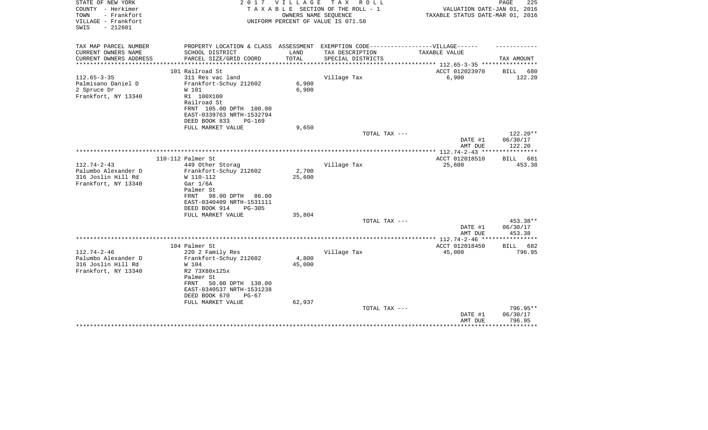| STATE OF NEW YORK<br>COUNTY - Herkimer<br>- Frankfort<br>TOWN<br>VILLAGE - Frankfort<br>$-212601$<br>SWIS | 2 0 1 7                                                                           | VILLAGE | TAX ROLL<br>TAXABLE SECTION OF THE ROLL - 1<br>OWNERS NAME SEQUENCE<br>UNIFORM PERCENT OF VALUE IS 071.50 | VALUATION DATE-JAN 01, 2016<br>TAXABLE STATUS DATE-MAR 01, 2016 | 225<br>PAGE                  |
|-----------------------------------------------------------------------------------------------------------|-----------------------------------------------------------------------------------|---------|-----------------------------------------------------------------------------------------------------------|-----------------------------------------------------------------|------------------------------|
| TAX MAP PARCEL NUMBER                                                                                     | PROPERTY LOCATION & CLASS ASSESSMENT EXEMPTION CODE-----------------VILLAGE------ |         |                                                                                                           |                                                                 |                              |
| CURRENT OWNERS NAME                                                                                       | SCHOOL DISTRICT                                                                   | LAND    | TAX DESCRIPTION                                                                                           | TAXABLE VALUE                                                   |                              |
| CURRENT OWNERS ADDRESS<br>****************                                                                | PARCEL SIZE/GRID COORD                                                            | TOTAL   | SPECIAL DISTRICTS                                                                                         | *************************** 112.65-3-35 ****************        | TAX AMOUNT                   |
|                                                                                                           | 101 Railroad St                                                                   |         |                                                                                                           | ACCT 012023970                                                  | BILL<br>680                  |
| $112.65 - 3 - 35$                                                                                         | 311 Res vac land                                                                  |         | Village Tax                                                                                               | 6,900                                                           | 122.20                       |
| Palmisano Daniel D                                                                                        | Frankfort-Schuy 212602                                                            | 6,900   |                                                                                                           |                                                                 |                              |
| 2 Spruce Dr                                                                                               | W 101                                                                             | 6,900   |                                                                                                           |                                                                 |                              |
| Frankfort, NY 13340                                                                                       | R1 100X100                                                                        |         |                                                                                                           |                                                                 |                              |
|                                                                                                           | Railroad St                                                                       |         |                                                                                                           |                                                                 |                              |
|                                                                                                           | FRNT 105.00 DPTH 100.00                                                           |         |                                                                                                           |                                                                 |                              |
|                                                                                                           | EAST-0339763 NRTH-1532794                                                         |         |                                                                                                           |                                                                 |                              |
|                                                                                                           | DEED BOOK 833<br>$PG-169$                                                         |         |                                                                                                           |                                                                 |                              |
|                                                                                                           | FULL MARKET VALUE                                                                 | 9,650   | TOTAL TAX ---                                                                                             |                                                                 | 122.20**                     |
|                                                                                                           |                                                                                   |         |                                                                                                           | DATE #1                                                         | 06/30/17                     |
|                                                                                                           |                                                                                   |         |                                                                                                           | AMT DUE                                                         | 122.20                       |
|                                                                                                           |                                                                                   |         |                                                                                                           | *************** 112.74-2-43 *****************                   |                              |
|                                                                                                           | 110-112 Palmer St                                                                 |         |                                                                                                           | ACCT 012018510                                                  | BILL<br>681                  |
| $112.74 - 2 - 43$                                                                                         | 449 Other Storag                                                                  |         | Village Tax                                                                                               | 25,600                                                          | 453.38                       |
| Palumbo Alexander D                                                                                       | Frankfort-Schuy 212602                                                            | 2,700   |                                                                                                           |                                                                 |                              |
| 316 Joslin Hill Rd                                                                                        | W 110-112                                                                         | 25,600  |                                                                                                           |                                                                 |                              |
| Frankfort, NY 13340                                                                                       | Gar $1/6A$                                                                        |         |                                                                                                           |                                                                 |                              |
|                                                                                                           | Palmer St<br>98.00 DPTH<br>FRNT<br>86.00                                          |         |                                                                                                           |                                                                 |                              |
|                                                                                                           | EAST-0340409 NRTH-1531111                                                         |         |                                                                                                           |                                                                 |                              |
|                                                                                                           | DEED BOOK 914<br>$PG-305$                                                         |         |                                                                                                           |                                                                 |                              |
|                                                                                                           | FULL MARKET VALUE                                                                 | 35,804  |                                                                                                           |                                                                 |                              |
|                                                                                                           |                                                                                   |         | TOTAL TAX ---                                                                                             |                                                                 | 453.38**                     |
|                                                                                                           |                                                                                   |         |                                                                                                           | DATE #1                                                         | 06/30/17                     |
|                                                                                                           |                                                                                   |         |                                                                                                           | AMT DUE                                                         | 453.38                       |
|                                                                                                           |                                                                                   |         |                                                                                                           |                                                                 |                              |
| $112.74 - 2 - 46$                                                                                         | 104 Palmer St                                                                     |         |                                                                                                           | ACCT 012018450                                                  | 682<br><b>BILL</b><br>796.95 |
| Palumbo Alexander D                                                                                       | 220 2 Family Res<br>Frankfort-Schuy 212602                                        | 4,800   | Village Tax                                                                                               | 45,000                                                          |                              |
| 316 Joslin Hill Rd                                                                                        | W 104                                                                             | 45,000  |                                                                                                           |                                                                 |                              |
| Frankfort, NY 13340                                                                                       | R2 73X80x125x                                                                     |         |                                                                                                           |                                                                 |                              |
|                                                                                                           | Palmer St                                                                         |         |                                                                                                           |                                                                 |                              |
|                                                                                                           | FRNT<br>50.00 DPTH 130.00                                                         |         |                                                                                                           |                                                                 |                              |
|                                                                                                           | EAST-0340537 NRTH-1531238                                                         |         |                                                                                                           |                                                                 |                              |
|                                                                                                           | DEED BOOK 670<br>$PG-67$                                                          |         |                                                                                                           |                                                                 |                              |
|                                                                                                           | FULL MARKET VALUE                                                                 | 62,937  |                                                                                                           |                                                                 |                              |
|                                                                                                           |                                                                                   |         | TOTAL TAX ---                                                                                             |                                                                 | 796.95**                     |
|                                                                                                           |                                                                                   |         |                                                                                                           | DATE #1<br>AMT DUE                                              | 06/30/17<br>796.95           |
|                                                                                                           |                                                                                   |         |                                                                                                           |                                                                 | ********                     |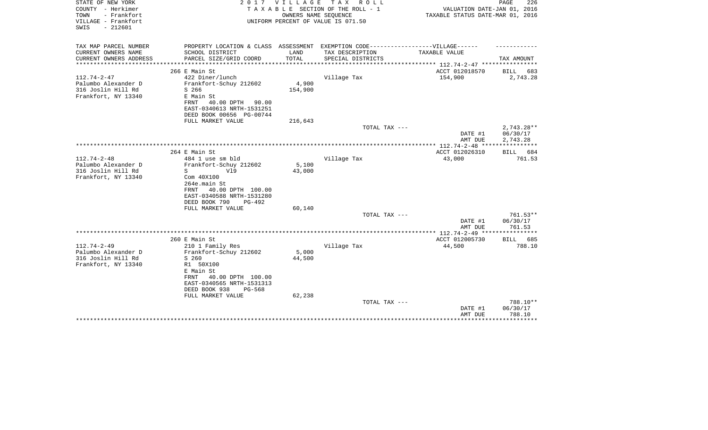| STATE OF NEW YORK<br>COUNTY - Herkimer<br>- Frankfort<br>TOWN<br>VILLAGE - Frankfort<br>$-212601$<br>SWIS | 2 0 1 7                                                                           | V I L L A G E | TAX ROLL<br>TAXABLE SECTION OF THE ROLL - 1<br>OWNERS NAME SEQUENCE<br>UNIFORM PERCENT OF VALUE IS 071.50 | VALUATION DATE-JAN 01, 2016<br>TAXABLE STATUS DATE-MAR 01, 2016 | PAGE<br>226             |
|-----------------------------------------------------------------------------------------------------------|-----------------------------------------------------------------------------------|---------------|-----------------------------------------------------------------------------------------------------------|-----------------------------------------------------------------|-------------------------|
| TAX MAP PARCEL NUMBER                                                                                     | PROPERTY LOCATION & CLASS ASSESSMENT EXEMPTION CODE-----------------VILLAGE------ |               |                                                                                                           |                                                                 |                         |
| CURRENT OWNERS NAME<br>CURRENT OWNERS ADDRESS                                                             | SCHOOL DISTRICT<br>PARCEL SIZE/GRID COORD                                         | LAND<br>TOTAL | TAX DESCRIPTION<br>SPECIAL DISTRICTS                                                                      | TAXABLE VALUE                                                   | TAX AMOUNT              |
|                                                                                                           |                                                                                   |               |                                                                                                           | *********** 112.74-2-47 *****************                       |                         |
|                                                                                                           | 266 E Main St                                                                     |               |                                                                                                           | ACCT 012018570                                                  | BILL 683                |
| $112.74 - 2 - 47$<br>Palumbo Alexander D                                                                  | 422 Diner/lunch<br>Frankfort-Schuy 212602                                         | 4,900         | Village Tax                                                                                               | 154,900                                                         | 2,743.28                |
| 316 Joslin Hill Rd                                                                                        | S 266                                                                             | 154,900       |                                                                                                           |                                                                 |                         |
| Frankfort, NY 13340                                                                                       | E Main St                                                                         |               |                                                                                                           |                                                                 |                         |
|                                                                                                           | FRNT<br>40.00 DPTH<br>90.00                                                       |               |                                                                                                           |                                                                 |                         |
|                                                                                                           | EAST-0340613 NRTH-1531251<br>DEED BOOK 00656 PG-00744                             |               |                                                                                                           |                                                                 |                         |
|                                                                                                           | FULL MARKET VALUE                                                                 | 216,643       |                                                                                                           |                                                                 |                         |
|                                                                                                           |                                                                                   |               | TOTAL TAX ---                                                                                             |                                                                 | $2,743.28**$            |
|                                                                                                           |                                                                                   |               |                                                                                                           | DATE #1                                                         | 06/30/17                |
|                                                                                                           |                                                                                   |               |                                                                                                           | AMT DUE                                                         | 2,743.28<br>*********** |
|                                                                                                           | 264 E Main St                                                                     |               |                                                                                                           | ACCT 012026310                                                  | BILL 684                |
| $112.74 - 2 - 48$                                                                                         | 484 1 use sm bld                                                                  |               | Village Tax                                                                                               | 43,000                                                          | 761.53                  |
| Palumbo Alexander D                                                                                       | Frankfort-Schuy 212602                                                            | 5,100         |                                                                                                           |                                                                 |                         |
| 316 Joslin Hill Rd                                                                                        | S<br>Vl9                                                                          | 43,000        |                                                                                                           |                                                                 |                         |
| Frankfort, NY 13340                                                                                       | Com 40X100                                                                        |               |                                                                                                           |                                                                 |                         |
|                                                                                                           | 264e.main St<br>FRNT 40.00 DPTH 100.00                                            |               |                                                                                                           |                                                                 |                         |
|                                                                                                           | EAST-0340588 NRTH-1531280                                                         |               |                                                                                                           |                                                                 |                         |
|                                                                                                           | DEED BOOK 790<br>PG-492                                                           |               |                                                                                                           |                                                                 |                         |
|                                                                                                           | FULL MARKET VALUE                                                                 | 60,140        |                                                                                                           |                                                                 |                         |
|                                                                                                           |                                                                                   |               | TOTAL TAX ---                                                                                             |                                                                 | 761.53**                |
|                                                                                                           |                                                                                   |               |                                                                                                           | DATE #1<br>AMT DUE                                              | 06/30/17<br>761.53      |
|                                                                                                           |                                                                                   |               |                                                                                                           |                                                                 |                         |
|                                                                                                           | 260 E Main St                                                                     |               |                                                                                                           | ACCT 012005730                                                  | BILL 685                |
| $112.74 - 2 - 49$                                                                                         | 210 1 Family Res                                                                  |               | Village Tax                                                                                               | 44,500                                                          | 788.10                  |
| Palumbo Alexander D                                                                                       | Frankfort-Schuy 212602                                                            | 5,000         |                                                                                                           |                                                                 |                         |
| 316 Joslin Hill Rd<br>Frankfort, NY 13340                                                                 | S 260<br>R1 50X100                                                                | 44,500        |                                                                                                           |                                                                 |                         |
|                                                                                                           | E Main St                                                                         |               |                                                                                                           |                                                                 |                         |
|                                                                                                           | 40.00 DPTH 100.00<br>FRNT                                                         |               |                                                                                                           |                                                                 |                         |
|                                                                                                           | EAST-0340565 NRTH-1531313                                                         |               |                                                                                                           |                                                                 |                         |
|                                                                                                           | DEED BOOK 938<br>$PG-568$                                                         |               |                                                                                                           |                                                                 |                         |
|                                                                                                           | FULL MARKET VALUE                                                                 | 62,238        |                                                                                                           |                                                                 |                         |
|                                                                                                           |                                                                                   |               | TOTAL TAX ---                                                                                             | DATE #1                                                         | 788.10**<br>06/30/17    |
|                                                                                                           |                                                                                   |               |                                                                                                           | AMT DUE                                                         | 788.10                  |
|                                                                                                           |                                                                                   |               |                                                                                                           |                                                                 | ********                |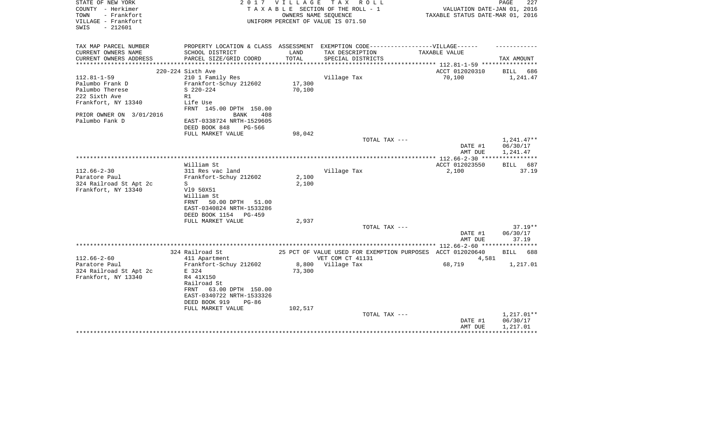| STATE OF NEW YORK<br>COUNTY - Herkimer                          | 2 0 1 7                                                                          | VILLAGE                  | T A X<br>R O L L<br>TAXABLE SECTION OF THE ROLL - 1        | VALUATION DATE-JAN 01, 2016                                | 227<br>PAGE          |
|-----------------------------------------------------------------|----------------------------------------------------------------------------------|--------------------------|------------------------------------------------------------|------------------------------------------------------------|----------------------|
| - Frankfort<br>TOWN<br>VILLAGE - Frankfort<br>SWIS<br>$-212601$ |                                                                                  |                          | OWNERS NAME SEOUENCE<br>UNIFORM PERCENT OF VALUE IS 071.50 | TAXABLE STATUS DATE-MAR 01, 2016                           |                      |
| TAX MAP PARCEL NUMBER                                           | PROPERTY LOCATION & CLASS ASSESSMENT EXEMPTION CODE----------------VILLAGE------ |                          |                                                            |                                                            |                      |
| CURRENT OWNERS NAME                                             | SCHOOL DISTRICT                                                                  | LAND                     | TAX DESCRIPTION                                            | TAXABLE VALUE                                              |                      |
| CURRENT OWNERS ADDRESS<br>********************                  | PARCEL SIZE/GRID COORD                                                           | TOTAL<br>*************** | SPECIAL DISTRICTS                                          |                                                            | TAX AMOUNT           |
|                                                                 | 220-224 Sixth Ave                                                                |                          |                                                            | ACCT 012020310                                             | BILL<br>686          |
| $112.81 - 1 - 59$                                               | 210 1 Family Res                                                                 |                          | Village Tax                                                | 70,100                                                     | 1,241.47             |
| Palumbo Frank D                                                 | Frankfort-Schuy 212602                                                           | 17,300                   |                                                            |                                                            |                      |
| Palumbo Therese                                                 | $S$ 220-224                                                                      | 70,100                   |                                                            |                                                            |                      |
| 222 Sixth Ave                                                   | R1                                                                               |                          |                                                            |                                                            |                      |
| Frankfort, NY 13340                                             | Life Use<br>FRNT 145.00 DPTH 150.00                                              |                          |                                                            |                                                            |                      |
| PRIOR OWNER ON 3/01/2016                                        | BANK<br>408                                                                      |                          |                                                            |                                                            |                      |
| Palumbo Fank D                                                  | EAST-0338724 NRTH-1529605<br>DEED BOOK 848<br>PG-566                             |                          |                                                            |                                                            |                      |
|                                                                 | FULL MARKET VALUE                                                                | 98,042                   |                                                            |                                                            |                      |
|                                                                 |                                                                                  |                          | TOTAL TAX ---                                              |                                                            | $1,241.47**$         |
|                                                                 |                                                                                  |                          |                                                            | DATE #1<br>AMT DUE                                         | 06/30/17<br>1,241.47 |
|                                                                 |                                                                                  |                          |                                                            |                                                            |                      |
|                                                                 | William St                                                                       |                          |                                                            | ACCT 012023550                                             | BILL 687             |
| $112.66 - 2 - 30$                                               | 311 Res vac land                                                                 |                          | Village Tax                                                | 2,100                                                      | 37.19                |
| Paratore Paul                                                   | Frankfort-Schuy 212602                                                           | 2,100                    |                                                            |                                                            |                      |
| 324 Railroad St Apt 2c                                          | S                                                                                | 2,100                    |                                                            |                                                            |                      |
| Frankfort, NY 13340                                             | V19 50X51                                                                        |                          |                                                            |                                                            |                      |
|                                                                 | William St<br>50.00 DPTH 51.00<br>FRNT                                           |                          |                                                            |                                                            |                      |
|                                                                 | EAST-0340824 NRTH-1533286                                                        |                          |                                                            |                                                            |                      |
|                                                                 | DEED BOOK 1154<br>$PG-459$                                                       |                          |                                                            |                                                            |                      |
|                                                                 | FULL MARKET VALUE                                                                | 2,937                    |                                                            |                                                            |                      |
|                                                                 |                                                                                  |                          | TOTAL TAX ---                                              |                                                            | $37.19**$            |
|                                                                 |                                                                                  |                          |                                                            | DATE #1                                                    | 06/30/17             |
|                                                                 |                                                                                  |                          |                                                            | AMT DUE                                                    | 37.19                |
|                                                                 |                                                                                  |                          |                                                            |                                                            |                      |
|                                                                 | 324 Railroad St                                                                  |                          |                                                            | 25 PCT OF VALUE USED FOR EXEMPTION PURPOSES ACCT 012020640 | BILL<br>688          |
| $112.66 - 2 - 60$                                               | 411 Apartment                                                                    |                          | VET COM CT 41131                                           | 4,581                                                      |                      |
| Paratore Paul                                                   | Frankfort-Schuy 212602                                                           | 8,800                    | Village Tax                                                | 68,719                                                     | 1,217.01             |
| 324 Railroad St Apt 2c                                          | E 324                                                                            | 73,300                   |                                                            |                                                            |                      |
| Frankfort, NY 13340                                             | R4 41X150                                                                        |                          |                                                            |                                                            |                      |
|                                                                 | Railroad St                                                                      |                          |                                                            |                                                            |                      |
|                                                                 | 63.00 DPTH 150.00<br>FRNT<br>EAST-0340722 NRTH-1533326                           |                          |                                                            |                                                            |                      |
|                                                                 | DEED BOOK 919<br>$PG-86$                                                         |                          |                                                            |                                                            |                      |
|                                                                 | FULL MARKET VALUE                                                                | 102,517                  |                                                            |                                                            |                      |
|                                                                 |                                                                                  |                          | TOTAL TAX ---                                              |                                                            | 1,217.01**           |
|                                                                 |                                                                                  |                          |                                                            | DATE #1                                                    | 06/30/17             |
|                                                                 |                                                                                  |                          |                                                            | AMT DUE                                                    | 1,217.01             |
|                                                                 |                                                                                  |                          |                                                            |                                                            |                      |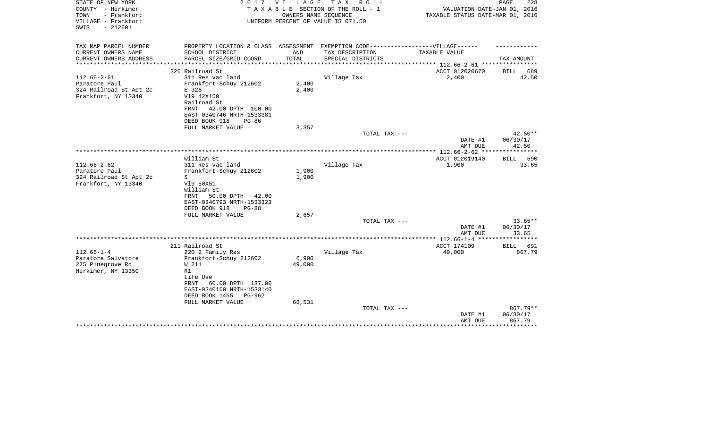| STATE OF NEW YORK<br>COUNTY - Herkimer<br>TOWN<br>- Frankfort<br>VILLAGE - Frankfort<br>$-212601$<br>SWIS | 2017                                                                              | <b>VILLAGE</b> | T A X<br>R O L L<br>TAXABLE SECTION OF THE ROLL - 1<br>OWNERS NAME SEQUENCE<br>UNIFORM PERCENT OF VALUE IS 071.50 | VALUATION DATE-JAN 01, 2016<br>TAXABLE STATUS DATE-MAR 01, 2016 | PAGE<br>228                    |
|-----------------------------------------------------------------------------------------------------------|-----------------------------------------------------------------------------------|----------------|-------------------------------------------------------------------------------------------------------------------|-----------------------------------------------------------------|--------------------------------|
|                                                                                                           |                                                                                   |                |                                                                                                                   |                                                                 |                                |
| TAX MAP PARCEL NUMBER                                                                                     | PROPERTY LOCATION & CLASS ASSESSMENT EXEMPTION CODE-----------------VILLAGE------ |                |                                                                                                                   |                                                                 |                                |
| CURRENT OWNERS NAME                                                                                       | SCHOOL DISTRICT                                                                   | LAND           | TAX DESCRIPTION                                                                                                   | TAXABLE VALUE                                                   |                                |
| CURRENT OWNERS ADDRESS<br>********************                                                            | PARCEL SIZE/GRID COORD                                                            | TOTAL          | SPECIAL DISTRICTS                                                                                                 | ***************** 112.66-2-61 *****************                 | TAX AMOUNT                     |
|                                                                                                           | 326 Railroad St                                                                   |                |                                                                                                                   | ACCT 012020670                                                  | BILL<br>689                    |
| $112.66 - 2 - 61$                                                                                         | 311 Res vac land                                                                  |                | Village Tax                                                                                                       | 2,400                                                           | 42.50                          |
| Paratore Paul                                                                                             | Frankfort-Schuy 212602                                                            | 2,400          |                                                                                                                   |                                                                 |                                |
| 324 Railroad St Apt 2c                                                                                    | E 326                                                                             | 2,400          |                                                                                                                   |                                                                 |                                |
| Frankfort, NY 13340                                                                                       | V19 42X150                                                                        |                |                                                                                                                   |                                                                 |                                |
|                                                                                                           | Railroad St                                                                       |                |                                                                                                                   |                                                                 |                                |
|                                                                                                           | 42.00 DPTH 100.00<br>FRNT                                                         |                |                                                                                                                   |                                                                 |                                |
|                                                                                                           | EAST-0340746 NRTH-1533381<br>DEED BOOK 918                                        |                |                                                                                                                   |                                                                 |                                |
|                                                                                                           | $PG-86$<br>FULL MARKET VALUE                                                      | 3,357          |                                                                                                                   |                                                                 |                                |
|                                                                                                           |                                                                                   |                | TOTAL TAX ---                                                                                                     |                                                                 | $42.50**$                      |
|                                                                                                           |                                                                                   |                |                                                                                                                   | DATE #1                                                         | 06/30/17                       |
|                                                                                                           |                                                                                   |                |                                                                                                                   | AMT DUE                                                         | 42.50                          |
|                                                                                                           |                                                                                   |                |                                                                                                                   | *************** 112.66-2-62 **                                  | ******                         |
|                                                                                                           | William St                                                                        |                |                                                                                                                   | ACCT 012019140                                                  | 690<br>BILL                    |
| $112.66 - 2 - 62$                                                                                         | 311 Res vac land                                                                  |                | Village Tax                                                                                                       | 1,900                                                           | 33.65                          |
| Paratore Paul<br>324 Railroad St Apt 2c                                                                   | Frankfort-Schuy 212602<br>S                                                       | 1,900<br>1,900 |                                                                                                                   |                                                                 |                                |
| Frankfort, NY 13340                                                                                       | V19 50X51                                                                         |                |                                                                                                                   |                                                                 |                                |
|                                                                                                           | William St                                                                        |                |                                                                                                                   |                                                                 |                                |
|                                                                                                           | 50.00 DPTH<br>FRNT<br>42.00                                                       |                |                                                                                                                   |                                                                 |                                |
|                                                                                                           | EAST-0340793 NRTH-1533323                                                         |                |                                                                                                                   |                                                                 |                                |
|                                                                                                           | DEED BOOK 918<br>$PG-88$                                                          |                |                                                                                                                   |                                                                 |                                |
|                                                                                                           | FULL MARKET VALUE                                                                 | 2,657          |                                                                                                                   |                                                                 |                                |
|                                                                                                           |                                                                                   |                | TOTAL TAX ---                                                                                                     |                                                                 | $33.65**$                      |
|                                                                                                           |                                                                                   |                |                                                                                                                   | DATE #1                                                         | 06/30/17                       |
|                                                                                                           |                                                                                   |                |                                                                                                                   | AMT DUE                                                         | 33.65<br>* * * * * * * * * * * |
|                                                                                                           | 211 Railroad St                                                                   |                |                                                                                                                   | ACCT 174109                                                     | BILL<br>691                    |
| $112.66 - 1 - 4$                                                                                          | 220 2 Family Res                                                                  |                | Village Tax                                                                                                       | 49,000                                                          | 867.79                         |
| Paratore Salvatore                                                                                        | Frankfort-Schuy 212602                                                            | 6,900          |                                                                                                                   |                                                                 |                                |
| 275 Pinegrove Rd                                                                                          | W 211                                                                             | 49,000         |                                                                                                                   |                                                                 |                                |
| Herkimer, NY 13350                                                                                        | R1                                                                                |                |                                                                                                                   |                                                                 |                                |
|                                                                                                           | Life Use                                                                          |                |                                                                                                                   |                                                                 |                                |
|                                                                                                           | <b>FRNT</b><br>60.00 DPTH 137.00                                                  |                |                                                                                                                   |                                                                 |                                |
|                                                                                                           | EAST-0340160 NRTH-1533140                                                         |                |                                                                                                                   |                                                                 |                                |
|                                                                                                           | DEED BOOK 1455<br>PG-962<br>FULL MARKET VALUE                                     | 68,531         |                                                                                                                   |                                                                 |                                |
|                                                                                                           |                                                                                   |                | TOTAL TAX ---                                                                                                     |                                                                 | 867.79**                       |
|                                                                                                           |                                                                                   |                |                                                                                                                   | DATE #1                                                         | 06/30/17                       |
|                                                                                                           |                                                                                   |                |                                                                                                                   | AMT DUE                                                         | 867.79                         |
|                                                                                                           |                                                                                   |                |                                                                                                                   |                                                                 | * * * * * * * * *              |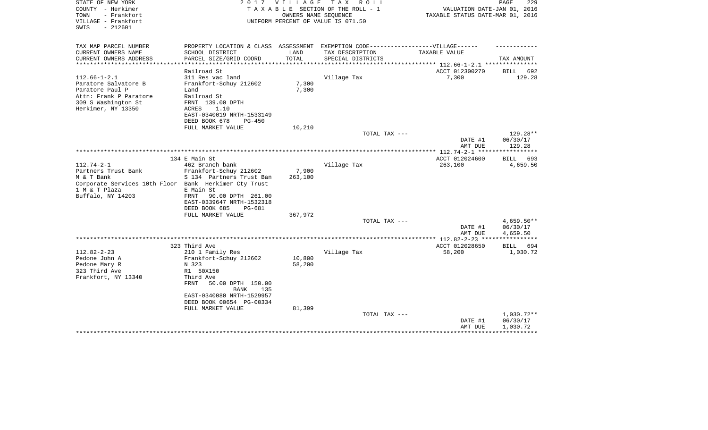| STATE OF NEW YORK<br>COUNTY - Herkimer<br>- Frankfort<br>TOWN<br>VILLAGE - Frankfort<br>$-212601$<br>SWIS | 2017                                                                              |                         | VILLAGE TAX ROLL<br>TAXABLE SECTION OF THE ROLL - 1<br>OWNERS NAME SEQUENCE<br>UNIFORM PERCENT OF VALUE IS 071.50 | VALUATION DATE-JAN 01, 2016<br>TAXABLE STATUS DATE-MAR 01, 2016 | PAGE<br>229              |
|-----------------------------------------------------------------------------------------------------------|-----------------------------------------------------------------------------------|-------------------------|-------------------------------------------------------------------------------------------------------------------|-----------------------------------------------------------------|--------------------------|
| TAX MAP PARCEL NUMBER                                                                                     | PROPERTY LOCATION & CLASS ASSESSMENT EXEMPTION CODE-----------------VILLAGE------ |                         |                                                                                                                   |                                                                 |                          |
| CURRENT OWNERS NAME                                                                                       | SCHOOL DISTRICT                                                                   | LAND                    | TAX DESCRIPTION                                                                                                   | TAXABLE VALUE                                                   |                          |
| CURRENT OWNERS ADDRESS<br>**********************                                                          | PARCEL SIZE/GRID COORD<br>***********************                                 | TOTAL<br>************** | SPECIAL DISTRICTS                                                                                                 |                                                                 | TAX AMOUNT               |
|                                                                                                           | Railroad St                                                                       |                         |                                                                                                                   | ACCT 012300270                                                  | 692<br>BILL              |
| $112.66 - 1 - 2.1$                                                                                        | 311 Res vac land                                                                  |                         | Village Tax                                                                                                       | 7,300                                                           | 129.28                   |
| Paratore Salvatore B                                                                                      | Frankfort-Schuy 212602                                                            | 7,300                   |                                                                                                                   |                                                                 |                          |
| Paratore Paul P                                                                                           | Land                                                                              | 7,300                   |                                                                                                                   |                                                                 |                          |
| Attn: Frank P Paratore                                                                                    | Railroad St                                                                       |                         |                                                                                                                   |                                                                 |                          |
| 309 S Washington St                                                                                       | FRNT 139.00 DPTH                                                                  |                         |                                                                                                                   |                                                                 |                          |
| Herkimer, NY 13350                                                                                        | ACRES<br>1.10                                                                     |                         |                                                                                                                   |                                                                 |                          |
|                                                                                                           | EAST-0340019 NRTH-1533149                                                         |                         |                                                                                                                   |                                                                 |                          |
|                                                                                                           | DEED BOOK 678<br>PG-450<br>FULL MARKET VALUE                                      | 10,210                  |                                                                                                                   |                                                                 |                          |
|                                                                                                           |                                                                                   |                         | TOTAL TAX ---                                                                                                     |                                                                 | 129.28**                 |
|                                                                                                           |                                                                                   |                         |                                                                                                                   | DATE #1<br>AMT DUE                                              | 06/30/17<br>129.28       |
|                                                                                                           |                                                                                   |                         |                                                                                                                   | ************ 112.74-2-1 ****                                    | **********               |
|                                                                                                           | 134 E Main St                                                                     |                         |                                                                                                                   | ACCT 012024600                                                  | BILL 693                 |
| $112.74 - 2 - 1$                                                                                          | 462 Branch bank                                                                   |                         | Village Tax                                                                                                       | 263,100                                                         | 4,659.50                 |
| Partners Trust Bank<br>M & T Bank                                                                         | Frankfort-Schuy 212602<br>S 134 Partners Trust Ban                                | 7,900<br>263,100        |                                                                                                                   |                                                                 |                          |
| Corporate Services 10th Floor Bank Herkimer Cty Trust                                                     |                                                                                   |                         |                                                                                                                   |                                                                 |                          |
| 1 M & T Plaza                                                                                             | E Main St                                                                         |                         |                                                                                                                   |                                                                 |                          |
| Buffalo, NY 14203                                                                                         | <b>FRNT</b><br>90.00 DPTH 261.00                                                  |                         |                                                                                                                   |                                                                 |                          |
|                                                                                                           | EAST-0339647 NRTH-1532318                                                         |                         |                                                                                                                   |                                                                 |                          |
|                                                                                                           | DEED BOOK 685<br>PG-681                                                           |                         |                                                                                                                   |                                                                 |                          |
|                                                                                                           | FULL MARKET VALUE                                                                 | 367,972                 |                                                                                                                   |                                                                 |                          |
|                                                                                                           |                                                                                   |                         | TOTAL TAX ---                                                                                                     | DATE #1                                                         | $4,659.50**$<br>06/30/17 |
|                                                                                                           |                                                                                   |                         |                                                                                                                   | AMT DUE                                                         | 4,659.50                 |
|                                                                                                           |                                                                                   |                         |                                                                                                                   | **** 112.82-2-23 ***                                            | * * * * * * * * * * * *  |
|                                                                                                           | 323 Third Ave                                                                     |                         |                                                                                                                   | ACCT 012028650                                                  | BILL 694                 |
| $112.82 - 2 - 23$                                                                                         | 210 1 Family Res                                                                  |                         | Village Tax                                                                                                       | 58,200                                                          | 1,030.72                 |
| Pedone John A                                                                                             | Frankfort-Schuy 212602                                                            | 10,800                  |                                                                                                                   |                                                                 |                          |
| Pedone Mary R                                                                                             | N 323                                                                             | 58,200                  |                                                                                                                   |                                                                 |                          |
| 323 Third Ave<br>Frankfort, NY 13340                                                                      | R1 50X150<br>Third Ave                                                            |                         |                                                                                                                   |                                                                 |                          |
|                                                                                                           | 50.00 DPTH 150.00<br>FRNT                                                         |                         |                                                                                                                   |                                                                 |                          |
|                                                                                                           | <b>BANK</b><br>135                                                                |                         |                                                                                                                   |                                                                 |                          |
|                                                                                                           | EAST-0340080 NRTH-1529957                                                         |                         |                                                                                                                   |                                                                 |                          |
|                                                                                                           | DEED BOOK 00654 PG-00334                                                          |                         |                                                                                                                   |                                                                 |                          |
|                                                                                                           | FULL MARKET VALUE                                                                 | 81,399                  |                                                                                                                   |                                                                 |                          |
|                                                                                                           |                                                                                   |                         | TOTAL TAX ---                                                                                                     |                                                                 | 1,030.72**               |
|                                                                                                           |                                                                                   |                         |                                                                                                                   | DATE #1<br>AMT DUE                                              | 06/30/17<br>1,030.72     |
|                                                                                                           |                                                                                   |                         |                                                                                                                   |                                                                 |                          |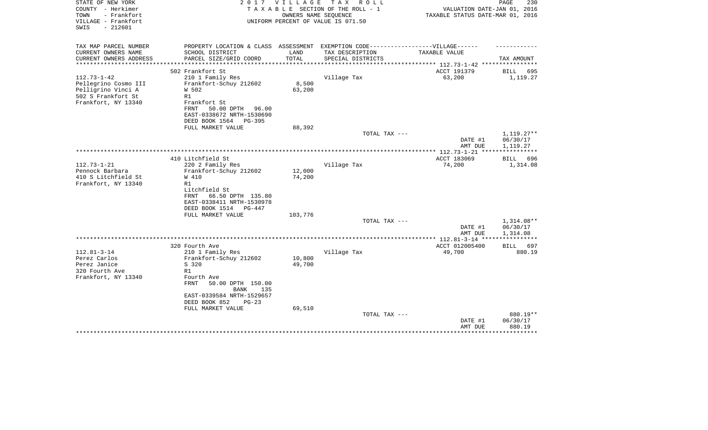| STATE OF NEW YORK<br>COUNTY - Herkimer     | 2 0 1 7                                                                          | VILLAGE              | T A X<br>R O L L<br>TAXABLE SECTION OF THE ROLL - 1 | VALUATION DATE-JAN 01, 2016            | PAGE<br>230          |
|--------------------------------------------|----------------------------------------------------------------------------------|----------------------|-----------------------------------------------------|----------------------------------------|----------------------|
| - Frankfort<br>TOWN<br>VILLAGE - Frankfort |                                                                                  | OWNERS NAME SEQUENCE | UNIFORM PERCENT OF VALUE IS 071.50                  | TAXABLE STATUS DATE-MAR 01, 2016       |                      |
| $-212601$<br>SWIS                          |                                                                                  |                      |                                                     |                                        |                      |
| TAX MAP PARCEL NUMBER                      | PROPERTY LOCATION & CLASS ASSESSMENT EXEMPTION CODE----------------VILLAGE------ |                      |                                                     |                                        |                      |
| CURRENT OWNERS NAME                        | SCHOOL DISTRICT                                                                  | LAND                 | TAX DESCRIPTION                                     | TAXABLE VALUE                          |                      |
| CURRENT OWNERS ADDRESS                     | PARCEL SIZE/GRID COORD                                                           | TOTAL                | SPECIAL DISTRICTS                                   | ********** 112.73-1-42 ***             | TAX AMOUNT           |
|                                            | 502 Frankfort St                                                                 |                      |                                                     | ACCT 191379                            | <b>BILL</b><br>695   |
| $112.73 - 1 - 42$                          | 210 1 Family Res                                                                 |                      | Village Tax                                         | 63,200                                 | 1,119.27             |
| Pellegrino Cosmo III                       | Frankfort-Schuy 212602                                                           | 8,500                |                                                     |                                        |                      |
| Pelligrino Vinci A                         | W 502                                                                            | 63,200               |                                                     |                                        |                      |
| 502 S Frankfort St                         | R1                                                                               |                      |                                                     |                                        |                      |
| Frankfort, NY 13340                        | Frankfort St                                                                     |                      |                                                     |                                        |                      |
|                                            | FRNT<br>50.00 DPTH<br>96.00                                                      |                      |                                                     |                                        |                      |
|                                            | EAST-0338672 NRTH-1530690                                                        |                      |                                                     |                                        |                      |
|                                            | DEED BOOK 1564<br>PG-395                                                         |                      |                                                     |                                        |                      |
|                                            | FULL MARKET VALUE                                                                | 88,392               |                                                     |                                        |                      |
|                                            |                                                                                  |                      | TOTAL TAX ---                                       |                                        | $1,119.27**$         |
|                                            |                                                                                  |                      |                                                     | DATE #1                                | 06/30/17             |
|                                            |                                                                                  |                      | ***********************                             | AMT DUE<br>*********** 112.73-1-21 *** | 1,119.27             |
|                                            | 410 Litchfield St                                                                |                      |                                                     | ACCT 183069                            | 696<br><b>BILL</b>   |
| $112.73 - 1 - 21$                          | 220 2 Family Res                                                                 |                      | Village Tax                                         | 74,200                                 | 1,314.08             |
| Pennock Barbara                            | Frankfort-Schuy 212602                                                           | 12,000               |                                                     |                                        |                      |
| 410 S Litchfield St                        | W 410                                                                            | 74,200               |                                                     |                                        |                      |
| Frankfort, NY 13340                        | R1                                                                               |                      |                                                     |                                        |                      |
|                                            | Litchfield St                                                                    |                      |                                                     |                                        |                      |
|                                            | 66.50 DPTH 135.80<br>FRNT                                                        |                      |                                                     |                                        |                      |
|                                            | EAST-0338411 NRTH-1530978                                                        |                      |                                                     |                                        |                      |
|                                            | DEED BOOK 1514<br>PG-447                                                         |                      |                                                     |                                        |                      |
|                                            | FULL MARKET VALUE                                                                | 103,776              |                                                     |                                        |                      |
|                                            |                                                                                  |                      | TOTAL TAX ---                                       |                                        | $1,314.08**$         |
|                                            |                                                                                  |                      |                                                     | DATE #1<br>AMT DUE                     | 06/30/17<br>1,314.08 |
|                                            |                                                                                  |                      |                                                     | *************** 112.81-3-14 ***        |                      |
|                                            | 320 Fourth Ave                                                                   |                      |                                                     | ACCT 012005400                         | BILL<br>697          |
| $112.81 - 3 - 14$                          | 210 1 Family Res                                                                 |                      | Village Tax                                         | 49,700                                 | 880.19               |
| Perez Carlos                               | Frankfort-Schuy 212602                                                           | 10,800               |                                                     |                                        |                      |
| Perez Janice                               | S 320                                                                            | 49,700               |                                                     |                                        |                      |
| 320 Fourth Ave                             | R1                                                                               |                      |                                                     |                                        |                      |
| Frankfort, NY 13340                        | Fourth Ave                                                                       |                      |                                                     |                                        |                      |
|                                            | FRNT<br>50.00 DPTH 150.00                                                        |                      |                                                     |                                        |                      |
|                                            | <b>BANK</b><br>135                                                               |                      |                                                     |                                        |                      |
|                                            | EAST-0339584 NRTH-1529657                                                        |                      |                                                     |                                        |                      |
|                                            | DEED BOOK 852<br>$PG-23$                                                         |                      |                                                     |                                        |                      |
|                                            | FULL MARKET VALUE                                                                | 69,510               |                                                     |                                        | 880.19**             |
|                                            |                                                                                  |                      | TOTAL TAX ---                                       | DATE #1                                | 06/30/17             |
|                                            |                                                                                  |                      |                                                     | AMT DUE                                | 880.19               |
|                                            |                                                                                  |                      |                                                     |                                        | **************       |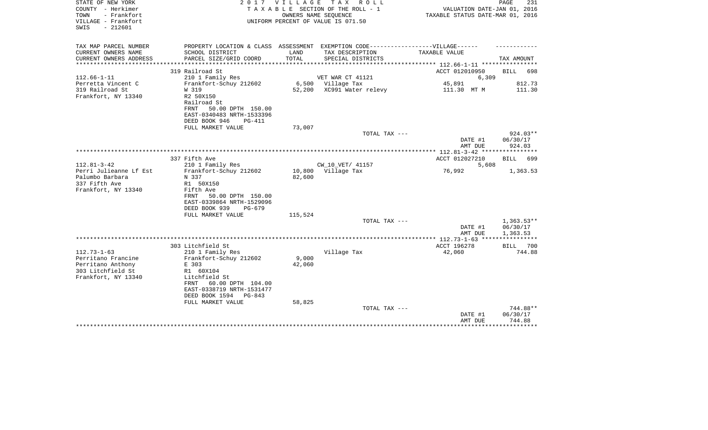| STATE OF NEW YORK<br>COUNTY - Herkimer<br>- Frankfort<br>TOWN<br>VILLAGE - Frankfort<br>SWIS<br>$-212601$ |                                                                                                                          |                                   | 2017 VILLAGE TAX ROLL<br>TAXABLE SECTION OF THE ROLL - 1<br>OWNERS NAME SEOUENCE<br>UNIFORM PERCENT OF VALUE IS 071.50 | VALUATION DATE-JAN 01, 2016<br>TAXABLE STATUS DATE-MAR 01, 2016 | PAGE<br>231                      |
|-----------------------------------------------------------------------------------------------------------|--------------------------------------------------------------------------------------------------------------------------|-----------------------------------|------------------------------------------------------------------------------------------------------------------------|-----------------------------------------------------------------|----------------------------------|
| TAX MAP PARCEL NUMBER<br>CURRENT OWNERS NAME                                                              | SCHOOL DISTRICT                                                                                                          | LAND                              | PROPERTY LOCATION & CLASS ASSESSMENT EXEMPTION CODE-----------------VILLAGE------<br>TAX DESCRIPTION                   | TAXABLE VALUE                                                   |                                  |
| CURRENT OWNERS ADDRESS<br>*******************                                                             | PARCEL SIZE/GRID COORD<br>*************************                                                                      | TOTAL<br>************************ | SPECIAL DISTRICTS                                                                                                      | **************** 112.66-1-11 ************                       | TAX AMOUNT                       |
|                                                                                                           | 319 Railroad St                                                                                                          |                                   |                                                                                                                        | ACCT 012010950                                                  | BILL<br>698                      |
| $112.66 - 1 - 11$                                                                                         | 210 1 Family Res                                                                                                         |                                   | VET WAR CT 41121                                                                                                       | 6,309                                                           |                                  |
| Perretta Vincent C                                                                                        | Frankfort-Schuy 212602                                                                                                   |                                   | 6,500 Village Tax                                                                                                      | 45,891                                                          | 812.73                           |
| 319 Railroad St<br>Frankfort, NY 13340                                                                    | W 319<br>R2 50X150<br>Railroad St<br>FRNT<br>50.00 DPTH 150.00<br>EAST-0340483 NRTH-1533396<br>DEED BOOK 946<br>$PG-411$ | 52,200                            | XC991 Water relevy                                                                                                     | 111.30 MT M                                                     | 111.30                           |
|                                                                                                           | FULL MARKET VALUE                                                                                                        | 73,007                            |                                                                                                                        |                                                                 |                                  |
|                                                                                                           |                                                                                                                          |                                   | TOTAL TAX ---                                                                                                          | DATE #1<br>AMT DUE                                              | $924.03**$<br>06/30/17<br>924.03 |
|                                                                                                           |                                                                                                                          |                                   |                                                                                                                        |                                                                 |                                  |
| $112.81 - 3 - 42$                                                                                         | 337 Fifth Ave<br>210 1 Family Res                                                                                        |                                   | CW_10_VET/ 41157                                                                                                       | ACCT 012027210<br>5,608                                         | BILL 699                         |
| Perri Julieanne Lf Est<br>Palumbo Barbara<br>337 Fifth Ave<br>Frankfort, NY 13340                         | Frankfort-Schuy 212602<br>N 337<br>R1 50X150<br>Fifth Ave<br>50.00 DPTH 150.00<br>FRNT<br>EAST-0339864 NRTH-1529096      | 82,600                            | 10,800 Village Tax                                                                                                     | 76,992                                                          | 1,363.53                         |
|                                                                                                           | DEED BOOK 939<br>$PG-679$                                                                                                |                                   |                                                                                                                        |                                                                 |                                  |
|                                                                                                           | FULL MARKET VALUE                                                                                                        | 115,524                           | TOTAL TAX ---                                                                                                          |                                                                 | $1,363.53**$                     |
|                                                                                                           |                                                                                                                          |                                   |                                                                                                                        | DATE #1<br>AMT DUE                                              | 06/30/17<br>1,363.53             |
|                                                                                                           |                                                                                                                          |                                   |                                                                                                                        | ***************** 112.73-1-63 *****************                 |                                  |
|                                                                                                           | 303 Litchfield St                                                                                                        |                                   |                                                                                                                        | ACCT 196278                                                     | BILL<br>700                      |
| $112.73 - 1 - 63$<br>Perritano Francine<br>Perritano Anthony<br>303 Litchfield St<br>Frankfort, NY 13340  | 210 1 Family Res<br>Frankfort-Schuy 212602<br>E 303<br>R1 60X104<br>Litchfield St<br>60.00 DPTH 104.00<br>FRNT           | 9,000<br>42,060                   | Village Tax                                                                                                            | 42,060                                                          | 744.88                           |
|                                                                                                           | EAST-0338719 NRTH-1531477<br>DEED BOOK 1594<br>PG-843<br>FULL MARKET VALUE                                               | 58,825                            |                                                                                                                        |                                                                 |                                  |
|                                                                                                           |                                                                                                                          |                                   | TOTAL TAX ---                                                                                                          | DATE #1<br>AMT DUE                                              | 744.88**<br>06/30/17<br>744.88   |
|                                                                                                           |                                                                                                                          |                                   |                                                                                                                        |                                                                 | *********                        |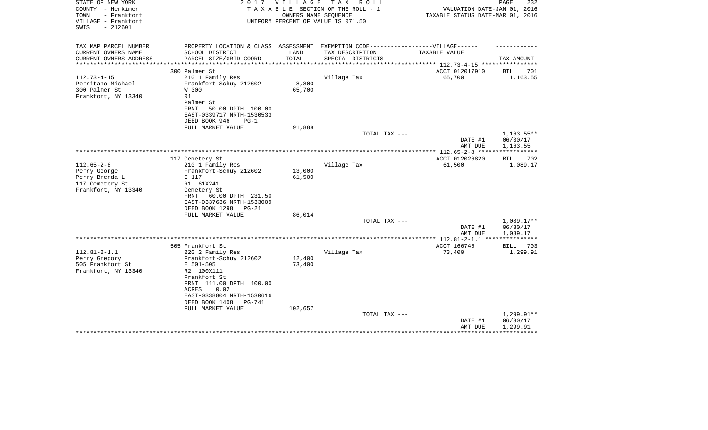| STATE OF NEW YORK<br>COUNTY - Herkimer<br>- Frankfort<br>TOWN<br>VILLAGE - Frankfort<br>$-212601$<br>SWIS | 2 0 1 7                                                                                                                                                                                    | VILLAGE<br>OWNERS NAME SEOUENCE | T A X<br>R O L L<br>TAXABLE SECTION OF THE ROLL - 1<br>UNIFORM PERCENT OF VALUE IS 071.50 | VALUATION DATE-JAN 01, 2016<br>TAXABLE STATUS DATE-MAR 01, 2016 | 232<br>PAGE                        |
|-----------------------------------------------------------------------------------------------------------|--------------------------------------------------------------------------------------------------------------------------------------------------------------------------------------------|---------------------------------|-------------------------------------------------------------------------------------------|-----------------------------------------------------------------|------------------------------------|
| TAX MAP PARCEL NUMBER                                                                                     | PROPERTY LOCATION & CLASS ASSESSMENT EXEMPTION CODE-----------------VILLAGE------                                                                                                          |                                 |                                                                                           |                                                                 |                                    |
| CURRENT OWNERS NAME<br>CURRENT OWNERS ADDRESS<br>***************                                          | SCHOOL DISTRICT<br>PARCEL SIZE/GRID COORD                                                                                                                                                  | LAND<br>TOTAL<br>************   | TAX DESCRIPTION<br>SPECIAL DISTRICTS                                                      | TAXABLE VALUE                                                   | TAX AMOUNT                         |
|                                                                                                           | 300 Palmer St                                                                                                                                                                              |                                 |                                                                                           | ACCT 012017910                                                  | 701<br>BILL                        |
| $112.73 - 4 - 15$<br>Perritano Michael<br>300 Palmer St<br>Frankfort, NY 13340                            | 210 1 Family Res<br>Frankfort-Schuy 212602<br>W 300<br>R1<br>Palmer St<br>FRNT<br>50.00 DPTH 100.00                                                                                        | 8,800<br>65,700                 | Village Tax                                                                               | 65,700                                                          | 1,163.55                           |
|                                                                                                           | EAST-0339717 NRTH-1530533                                                                                                                                                                  |                                 |                                                                                           |                                                                 |                                    |
|                                                                                                           | DEED BOOK 946<br>$PG-1$<br>FULL MARKET VALUE                                                                                                                                               | 91,888                          |                                                                                           |                                                                 |                                    |
|                                                                                                           |                                                                                                                                                                                            |                                 | TOTAL TAX ---                                                                             | DATE #1                                                         | $1,163.55**$<br>06/30/17           |
|                                                                                                           |                                                                                                                                                                                            |                                 |                                                                                           | AMT DUE                                                         | 1,163.55                           |
|                                                                                                           | 117 Cemetery St                                                                                                                                                                            |                                 |                                                                                           | ACCT 012026820                                                  | BILL<br>702                        |
| $112.65 - 2 - 8$<br>Perry George<br>Perry Brenda L<br>117 Cemetery St<br>Frankfort, NY 13340              | 210 1 Family Res<br>Frankfort-Schuy 212602<br>E 117<br>R1 61X241<br>Cemetery St<br>FRNT<br>60.00 DPTH 231.50<br>EAST-0337636 NRTH-1533009                                                  | 13,000<br>61,500                | Village Tax                                                                               | 61,500                                                          | 1,089.17                           |
|                                                                                                           | DEED BOOK 1298<br>$PG-21$<br>FULL MARKET VALUE                                                                                                                                             | 86,014                          |                                                                                           |                                                                 |                                    |
|                                                                                                           |                                                                                                                                                                                            |                                 | TOTAL TAX ---                                                                             | DATE #1<br>AMT DUE                                              | 1,089.17**<br>06/30/17<br>1,089.17 |
|                                                                                                           |                                                                                                                                                                                            |                                 |                                                                                           |                                                                 |                                    |
|                                                                                                           | 505 Frankfort St                                                                                                                                                                           |                                 |                                                                                           | ACCT 166745                                                     | BILL<br>703                        |
| $112.81 - 2 - 1.1$<br>Perry Gregory<br>505 Frankfort St<br>Frankfort, NY 13340                            | 220 2 Family Res<br>Frankfort-Schuy 212602<br>E 501-505<br>R2 100X111<br>Frankfort St<br>FRNT 111.00 DPTH 100.00<br>0.02<br>ACRES<br>EAST-0338804 NRTH-1530616<br>DEED BOOK 1408<br>PG-741 | 12,400<br>73,400                | Village Tax                                                                               | 73,400                                                          | 1,299.91                           |
|                                                                                                           | FULL MARKET VALUE                                                                                                                                                                          | 102,657                         |                                                                                           |                                                                 |                                    |
|                                                                                                           |                                                                                                                                                                                            |                                 | TOTAL TAX ---                                                                             | DATE #1<br>AMT DUE                                              | 1,299.91**<br>06/30/17<br>1,299.91 |
|                                                                                                           |                                                                                                                                                                                            |                                 |                                                                                           |                                                                 |                                    |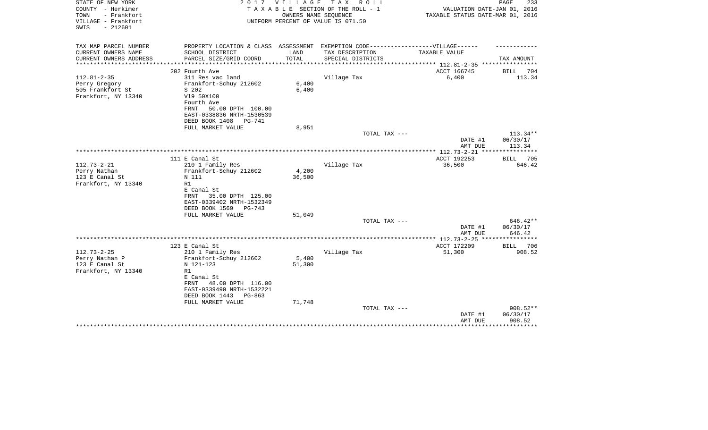| STATE OF NEW YORK<br>COUNTY - Herkimer<br>- Frankfort<br>TOWN | 2017                                                                              | <b>VILLAGE</b> | T A X<br>R O L L<br>TAXABLE SECTION OF THE ROLL - 1<br>OWNERS NAME SEQUENCE | VALUATION DATE-JAN 01, 2016<br>TAXABLE STATUS DATE-MAR 01, 2016 | PAGE<br>233           |
|---------------------------------------------------------------|-----------------------------------------------------------------------------------|----------------|-----------------------------------------------------------------------------|-----------------------------------------------------------------|-----------------------|
| VILLAGE - Frankfort<br>SWIS<br>$-212601$                      |                                                                                   |                | UNIFORM PERCENT OF VALUE IS 071.50                                          |                                                                 |                       |
| TAX MAP PARCEL NUMBER                                         | PROPERTY LOCATION & CLASS ASSESSMENT EXEMPTION CODE-----------------VILLAGE------ |                |                                                                             |                                                                 |                       |
| CURRENT OWNERS NAME                                           | SCHOOL DISTRICT                                                                   | LAND           | TAX DESCRIPTION                                                             | TAXABLE VALUE                                                   |                       |
| CURRENT OWNERS ADDRESS<br>********************                | PARCEL SIZE/GRID COORD                                                            | TOTAL          | SPECIAL DISTRICTS                                                           | ***************************** 112.81-2-35 ****************      | TAX AMOUNT            |
|                                                               | 202 Fourth Ave                                                                    |                |                                                                             | ACCT 166745                                                     | <b>BILL</b><br>704    |
| $112.81 - 2 - 35$                                             | 311 Res vac land                                                                  |                | Village Tax                                                                 | 6,400                                                           | 113.34                |
| Perry Gregory                                                 | Frankfort-Schuy 212602                                                            | 6,400          |                                                                             |                                                                 |                       |
| 505 Frankfort St                                              | S 202                                                                             | 6,400          |                                                                             |                                                                 |                       |
| Frankfort, NY 13340                                           | V19 50X100                                                                        |                |                                                                             |                                                                 |                       |
|                                                               | Fourth Ave<br>50.00 DPTH 100.00<br>FRNT                                           |                |                                                                             |                                                                 |                       |
|                                                               | EAST-0338836 NRTH-1530539                                                         |                |                                                                             |                                                                 |                       |
|                                                               | DEED BOOK 1408<br>PG-741                                                          |                |                                                                             |                                                                 |                       |
|                                                               | FULL MARKET VALUE                                                                 | 8,951          |                                                                             |                                                                 |                       |
|                                                               |                                                                                   |                | TOTAL TAX ---                                                               |                                                                 | 113.34**              |
|                                                               |                                                                                   |                |                                                                             | DATE #1                                                         | 06/30/17              |
|                                                               |                                                                                   |                |                                                                             | AMT DUE                                                         | 113.34                |
|                                                               |                                                                                   |                |                                                                             |                                                                 |                       |
| $112.73 - 2 - 21$                                             | 111 E Canal St<br>210 1 Family Res                                                |                | Village Tax                                                                 | ACCT 192253<br>36,500                                           | 705<br>BILL<br>646.42 |
| Perry Nathan                                                  | Frankfort-Schuy 212602                                                            | 4,200          |                                                                             |                                                                 |                       |
| 123 E Canal St                                                | N 111                                                                             | 36,500         |                                                                             |                                                                 |                       |
| Frankfort, NY 13340                                           | R1                                                                                |                |                                                                             |                                                                 |                       |
|                                                               | E Canal St                                                                        |                |                                                                             |                                                                 |                       |
|                                                               | 35.00 DPTH 125.00<br>FRNT                                                         |                |                                                                             |                                                                 |                       |
|                                                               | EAST-0339402 NRTH-1532349                                                         |                |                                                                             |                                                                 |                       |
|                                                               | DEED BOOK 1569<br>$PG-743$                                                        |                |                                                                             |                                                                 |                       |
|                                                               | FULL MARKET VALUE                                                                 | 51,049         |                                                                             |                                                                 |                       |
|                                                               |                                                                                   |                | TOTAL TAX ---                                                               |                                                                 | 646.42**              |
|                                                               |                                                                                   |                |                                                                             | DATE #1<br>AMT DUE                                              | 06/30/17<br>646.42    |
|                                                               |                                                                                   |                |                                                                             |                                                                 |                       |
|                                                               | 123 E Canal St                                                                    |                |                                                                             | ACCT 172209                                                     | BILL 706              |
| $112.73 - 2 - 25$                                             | 210 1 Family Res                                                                  |                | Village Tax                                                                 | 51,300                                                          | 908.52                |
| Perry Nathan P                                                | Frankfort-Schuy 212602                                                            | 5,400          |                                                                             |                                                                 |                       |
| 123 E Canal St                                                | N 121-123                                                                         | 51,300         |                                                                             |                                                                 |                       |
| Frankfort, NY 13340                                           | R1                                                                                |                |                                                                             |                                                                 |                       |
|                                                               | E Canal St                                                                        |                |                                                                             |                                                                 |                       |
|                                                               | 48.00 DPTH 116.00<br>FRNT                                                         |                |                                                                             |                                                                 |                       |
|                                                               | EAST-0339490 NRTH-1532221                                                         |                |                                                                             |                                                                 |                       |
|                                                               | DEED BOOK 1443<br>$PG-863$<br>FULL MARKET VALUE                                   | 71,748         |                                                                             |                                                                 |                       |
|                                                               |                                                                                   |                | TOTAL TAX ---                                                               |                                                                 | $908.52**$            |
|                                                               |                                                                                   |                |                                                                             | DATE #1                                                         | 06/30/17              |
|                                                               |                                                                                   |                |                                                                             | AMT DUE                                                         | 908.52                |
|                                                               |                                                                                   |                |                                                                             |                                                                 |                       |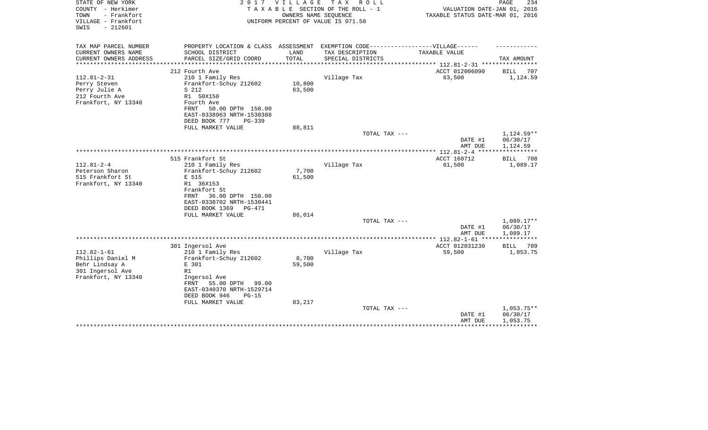| STATE OF NEW YORK<br>COUNTY - Herkimer<br>TOWN<br>- Frankfort<br>VILLAGE - Frankfort<br>$-212601$<br>SWIS | 2017                                                                                                                                                                          | <b>VILLAGE</b>   | T A X<br>R O L L<br>TAXABLE SECTION OF THE ROLL - 1<br>OWNERS NAME SEQUENCE<br>UNIFORM PERCENT OF VALUE IS 071.50 | VALUATION DATE-JAN 01, 2016<br>TAXABLE STATUS DATE-MAR 01, 2016 | PAGE<br>234                          |
|-----------------------------------------------------------------------------------------------------------|-------------------------------------------------------------------------------------------------------------------------------------------------------------------------------|------------------|-------------------------------------------------------------------------------------------------------------------|-----------------------------------------------------------------|--------------------------------------|
|                                                                                                           |                                                                                                                                                                               |                  |                                                                                                                   |                                                                 |                                      |
| TAX MAP PARCEL NUMBER                                                                                     | PROPERTY LOCATION & CLASS ASSESSMENT EXEMPTION CODE-----------------VILLAGE------                                                                                             |                  |                                                                                                                   |                                                                 |                                      |
| CURRENT OWNERS NAME<br>CURRENT OWNERS ADDRESS                                                             | SCHOOL DISTRICT<br>PARCEL SIZE/GRID COORD                                                                                                                                     | LAND<br>TOTAL    | TAX DESCRIPTION<br>SPECIAL DISTRICTS                                                                              | TAXABLE VALUE                                                   | TAX AMOUNT                           |
| **********************                                                                                    |                                                                                                                                                                               |                  |                                                                                                                   |                                                                 |                                      |
| $112.81 - 2 - 31$                                                                                         | 212 Fourth Ave<br>210 1 Family Res                                                                                                                                            |                  | Village Tax                                                                                                       | ACCT 012006090<br>63,500                                        | <b>BILL</b><br>707<br>1,124.59       |
| Perry Steven<br>Perry Julie A<br>212 Fourth Ave<br>Frankfort, NY 13340                                    | Frankfort-Schuy 212602<br>S 212<br>R1 50X150<br>Fourth Ave<br>50.00 DPTH 150.00<br>FRNT<br>EAST-0338963 NRTH-1530388                                                          | 10,800<br>63,500 |                                                                                                                   |                                                                 |                                      |
|                                                                                                           | DEED BOOK 777<br>$PG-339$                                                                                                                                                     |                  |                                                                                                                   |                                                                 |                                      |
|                                                                                                           | FULL MARKET VALUE                                                                                                                                                             | 88,811           | TOTAL TAX ---                                                                                                     |                                                                 | 1,124.59**                           |
|                                                                                                           |                                                                                                                                                                               |                  |                                                                                                                   | DATE #1<br>AMT DUE                                              | 06/30/17<br>1,124.59                 |
|                                                                                                           |                                                                                                                                                                               |                  |                                                                                                                   |                                                                 |                                      |
|                                                                                                           | 515 Frankfort St                                                                                                                                                              |                  |                                                                                                                   | ACCT 160712                                                     | BILL<br>708                          |
| $112.81 - 2 - 4$<br>Peterson Sharon<br>515 Frankfort St<br>Frankfort, NY 13340                            | 210 1 Family Res<br>Frankfort-Schuy 212602<br>E 515<br>R1 36X153<br>Frankfort St<br>36.00 DPTH 150.00<br>FRNT<br>EAST-0338702 NRTH-1530441<br>DEED BOOK 1369<br><b>PG-471</b> | 7,700<br>61,500  | Village Tax                                                                                                       | 61,500                                                          | 1,089.17                             |
|                                                                                                           | FULL MARKET VALUE                                                                                                                                                             | 86,014           | TOTAL TAX ---                                                                                                     |                                                                 | 1,089.17**                           |
|                                                                                                           |                                                                                                                                                                               |                  |                                                                                                                   | DATE #1<br>AMT DUE                                              | 06/30/17<br>1,089.17                 |
|                                                                                                           |                                                                                                                                                                               |                  |                                                                                                                   | ********* 112.82-1-61 ****                                      |                                      |
| $112.82 - 1 - 61$<br>Phillips Daniel M<br>Behr Lindsay A<br>301 Ingersol Ave<br>Frankfort, NY 13340       | 301 Ingersol Ave<br>210 1 Family Res<br>Frankfort-Schuy 212602<br>E 301<br>R1<br>Ingersol Ave<br>55.00 DPTH<br>99.00<br>FRNT                                                  | 8,700<br>59,500  | Village Tax                                                                                                       | ACCT 012031230<br>59,500                                        | 709<br><b>BILL</b><br>1,053.75       |
|                                                                                                           | EAST-0340370 NRTH-1529714<br>DEED BOOK 946<br>$PG-15$<br>FULL MARKET VALUE                                                                                                    | 83,217           | TOTAL TAX ---                                                                                                     | DATE #1<br>AMT DUE                                              | $1,053.75**$<br>06/30/17<br>1,053.75 |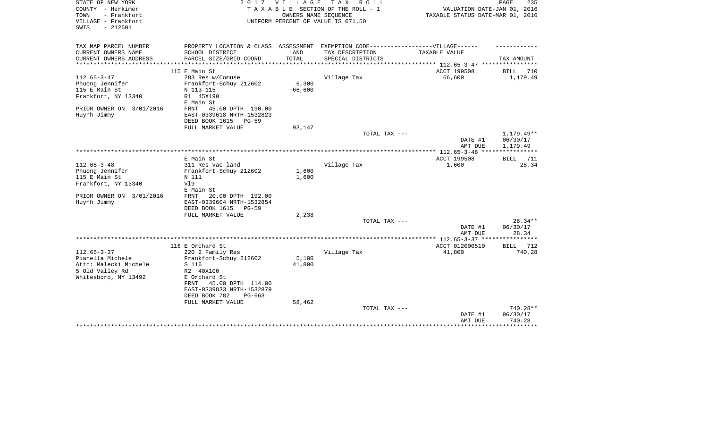| STATE OF NEW YORK        | 2017                                                                              | <b>VILLAGE</b> | T A X<br>R O L L                   |                                   | PAGE<br>235 |
|--------------------------|-----------------------------------------------------------------------------------|----------------|------------------------------------|-----------------------------------|-------------|
| COUNTY - Herkimer        |                                                                                   |                | TAXABLE SECTION OF THE ROLL - 1    | VALUATION DATE-JAN 01, 2016       |             |
| TOWN<br>- Frankfort      |                                                                                   |                | OWNERS NAME SEQUENCE               | TAXABLE STATUS DATE-MAR 01, 2016  |             |
| VILLAGE - Frankfort      |                                                                                   |                | UNIFORM PERCENT OF VALUE IS 071.50 |                                   |             |
| $-212601$<br>SWIS        |                                                                                   |                |                                    |                                   |             |
|                          |                                                                                   |                |                                    |                                   |             |
| TAX MAP PARCEL NUMBER    | PROPERTY LOCATION & CLASS ASSESSMENT EXEMPTION CODE-----------------VILLAGE------ |                |                                    |                                   |             |
| CURRENT OWNERS NAME      | SCHOOL DISTRICT                                                                   | LAND           | TAX DESCRIPTION                    | TAXABLE VALUE                     |             |
| CURRENT OWNERS ADDRESS   | PARCEL SIZE/GRID COORD                                                            | TOTAL          | SPECIAL DISTRICTS                  |                                   | TAX AMOUNT  |
| *********************    |                                                                                   |                |                                    |                                   |             |
|                          | 115 E Main St                                                                     |                |                                    | ACCT 199508                       | BILL<br>710 |
| $112.65 - 3 - 47$        | 283 Res w/Comuse                                                                  |                | Village Tax                        | 66,600                            | 1,179.49    |
| Phuong Jennifer          | Frankfort-Schuy 212602                                                            | 6,300          |                                    |                                   |             |
| 115 E Main St            | N 113-115                                                                         | 66,600         |                                    |                                   |             |
| Frankfort, NY 13340      | R1 45X190                                                                         |                |                                    |                                   |             |
|                          | E Main St                                                                         |                |                                    |                                   |             |
| PRIOR OWNER ON 3/01/2016 | 45.00 DPTH 190.00<br>FRNT                                                         |                |                                    |                                   |             |
| Huynh Jimmy              | EAST-0339618 NRTH-1532823                                                         |                |                                    |                                   |             |
|                          | DEED BOOK 1615<br><b>PG-59</b>                                                    |                |                                    |                                   |             |
|                          | FULL MARKET VALUE                                                                 | 93,147         |                                    |                                   |             |
|                          |                                                                                   |                | TOTAL TAX ---                      |                                   | 1,179.49**  |
|                          |                                                                                   |                |                                    | DATE #1                           | 06/30/17    |
|                          |                                                                                   |                |                                    | AMT DUE                           | 1,179.49    |
|                          |                                                                                   |                |                                    | **************** 112.65-3-48 **** | *********** |
|                          | E Main St                                                                         |                |                                    | ACCT 199508                       | 711<br>BILL |
| $112.65 - 3 - 48$        | 311 Res vac land                                                                  |                | Village Tax                        | 1,600                             | 28.34       |
| Phuong Jennifer          | Frankfort-Schuy 212602                                                            | 1,600          |                                    |                                   |             |
| 115 E Main St            | N 111                                                                             | 1,600          |                                    |                                   |             |
| Frankfort, NY 13340      | V19                                                                               |                |                                    |                                   |             |
|                          | E Main St                                                                         |                |                                    |                                   |             |
| PRIOR OWNER ON 3/01/2016 | 20.00 DPTH 192.00<br><b>FRNT</b>                                                  |                |                                    |                                   |             |
| Huynh Jimmy              | EAST-0339604 NRTH-1532854                                                         |                |                                    |                                   |             |
|                          | DEED BOOK 1615<br>$PG-59$                                                         |                |                                    |                                   |             |
|                          | FULL MARKET VALUE                                                                 | 2,238          | TOTAL TAX ---                      |                                   | 28.34**     |
|                          |                                                                                   |                |                                    |                                   | 06/30/17    |
|                          |                                                                                   |                |                                    | DATE #1<br>AMT DUE                | 28.34       |
|                          |                                                                                   |                |                                    |                                   | *********** |
|                          | 116 E Orchard St                                                                  |                |                                    | ACCT 012000510                    | BILL<br>712 |
| $112.65 - 3 - 37$        | 220 2 Family Res                                                                  |                | Village Tax                        | 41,800                            | 740.28      |
| Pianella Michele         | Frankfort-Schuy 212602                                                            | 5,100          |                                    |                                   |             |
| Attn: Malecki Michele    | S 116                                                                             | 41,800         |                                    |                                   |             |
| 5 Old Valley Rd          | R2 40X100                                                                         |                |                                    |                                   |             |
| Whitesboro, NY 13492     | E Orchard St                                                                      |                |                                    |                                   |             |
|                          | 45.00 DPTH 114.00<br>FRNT                                                         |                |                                    |                                   |             |
|                          | EAST-0339833 NRTH-1532879                                                         |                |                                    |                                   |             |
|                          | DEED BOOK 782<br>$PG-663$                                                         |                |                                    |                                   |             |
|                          | FULL MARKET VALUE                                                                 | 58,462         |                                    |                                   |             |
|                          |                                                                                   |                | TOTAL TAX ---                      |                                   | 740.28**    |
|                          |                                                                                   |                |                                    | DATE #1                           | 06/30/17    |
|                          |                                                                                   |                |                                    | AMT DUE                           | 740.28      |
|                          |                                                                                   |                |                                    |                                   | *********** |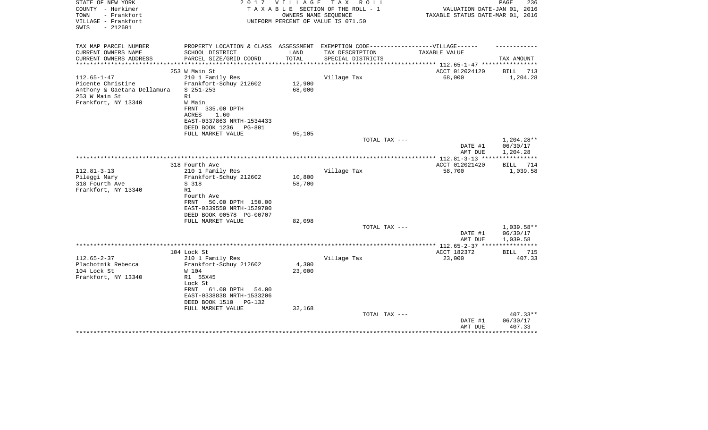| STATE OF NEW YORK<br>COUNTY - Herkimer<br>TOWN<br>- Frankfort<br>VILLAGE - Frankfort<br>$-212601$<br>SWIS | 2017                                                                                                   | V I L L A G E<br>OWNERS NAME SEOUENCE | T A X<br>R O L L<br>TAXABLE SECTION OF THE ROLL - 1<br>UNIFORM PERCENT OF VALUE IS 071.50 | VALUATION DATE-JAN 01, 2016<br>TAXABLE STATUS DATE-MAR 01, 2016 | PAGE<br>236                        |
|-----------------------------------------------------------------------------------------------------------|--------------------------------------------------------------------------------------------------------|---------------------------------------|-------------------------------------------------------------------------------------------|-----------------------------------------------------------------|------------------------------------|
| TAX MAP PARCEL NUMBER                                                                                     | PROPERTY LOCATION & CLASS ASSESSMENT EXEMPTION CODE----------------VILLAGE------                       |                                       |                                                                                           |                                                                 |                                    |
| CURRENT OWNERS NAME                                                                                       | SCHOOL DISTRICT                                                                                        | LAND                                  | TAX DESCRIPTION                                                                           | TAXABLE VALUE                                                   |                                    |
| CURRENT OWNERS ADDRESS<br>*********************                                                           | PARCEL SIZE/GRID COORD<br>***************************                                                  | TOTAL                                 | SPECIAL DISTRICTS                                                                         |                                                                 | TAX AMOUNT                         |
|                                                                                                           | 253 W Main St                                                                                          |                                       |                                                                                           | ACCT 012024120                                                  | <b>BILL</b><br>713                 |
| $112.65 - 1 - 47$                                                                                         | 210 1 Family Res                                                                                       |                                       | Village Tax                                                                               | 68,000                                                          | 1,204.28                           |
| Picente Christine                                                                                         | Frankfort-Schuy 212602                                                                                 | 12,900                                |                                                                                           |                                                                 |                                    |
| Anthony & Gaetana Dellamura                                                                               | $S$ 251-253                                                                                            | 68,000                                |                                                                                           |                                                                 |                                    |
| 253 W Main St                                                                                             | R1                                                                                                     |                                       |                                                                                           |                                                                 |                                    |
| Frankfort, NY 13340                                                                                       | W Main                                                                                                 |                                       |                                                                                           |                                                                 |                                    |
|                                                                                                           | FRNT 335.00 DPTH<br><b>ACRES</b><br>1.60                                                               |                                       |                                                                                           |                                                                 |                                    |
|                                                                                                           | EAST-0337863 NRTH-1534433                                                                              |                                       |                                                                                           |                                                                 |                                    |
|                                                                                                           | DEED BOOK 1236<br><b>PG-801</b>                                                                        |                                       |                                                                                           |                                                                 |                                    |
|                                                                                                           | FULL MARKET VALUE                                                                                      | 95,105                                |                                                                                           |                                                                 |                                    |
|                                                                                                           |                                                                                                        |                                       | TOTAL TAX ---                                                                             | DATE #1<br>AMT DUE                                              | 1,204.28**<br>06/30/17<br>1,204.28 |
|                                                                                                           |                                                                                                        |                                       |                                                                                           |                                                                 |                                    |
|                                                                                                           | 318 Fourth Ave                                                                                         |                                       |                                                                                           | ACCT 012021420                                                  | <b>BILL</b><br>714                 |
| $112.81 - 3 - 13$                                                                                         | 210 1 Family Res                                                                                       |                                       | Village Tax                                                                               | 58,700                                                          | 1,039.58                           |
| Pileggi Mary<br>318 Fourth Ave                                                                            | Frankfort-Schuy 212602<br>S 318                                                                        | 10,800<br>58,700                      |                                                                                           |                                                                 |                                    |
| Frankfort, NY 13340                                                                                       | R1                                                                                                     |                                       |                                                                                           |                                                                 |                                    |
|                                                                                                           | Fourth Ave<br>50.00 DPTH 150.00<br>FRNT<br>EAST-0339550 NRTH-1529700<br>DEED BOOK 00578 PG-00707       |                                       |                                                                                           |                                                                 |                                    |
|                                                                                                           | FULL MARKET VALUE                                                                                      | 82,098                                |                                                                                           |                                                                 |                                    |
|                                                                                                           |                                                                                                        |                                       | TOTAL TAX ---                                                                             | DATE #1                                                         | 1,039.58**<br>06/30/17             |
|                                                                                                           |                                                                                                        |                                       |                                                                                           | AMT DUE                                                         | 1,039.58                           |
|                                                                                                           |                                                                                                        |                                       |                                                                                           | ******* 112.65-2-37 *****************                           |                                    |
|                                                                                                           | 104 Lock St                                                                                            |                                       |                                                                                           | ACCT 182372                                                     | BILL<br>715                        |
| $112.65 - 2 - 37$                                                                                         | 210 1 Family Res                                                                                       |                                       | Village Tax                                                                               | 23,000                                                          | 407.33                             |
| Plachotnik Rebecca<br>104 Lock St                                                                         | Frankfort-Schuy 212602                                                                                 | 4,300                                 |                                                                                           |                                                                 |                                    |
| Frankfort, NY 13340                                                                                       | W 104<br>R1 55X45                                                                                      | 23,000                                |                                                                                           |                                                                 |                                    |
|                                                                                                           | Lock St<br>61.00 DPTH<br>FRNT<br>54.00<br>EAST-0338838 NRTH-1533206<br>DEED BOOK 1510<br><b>PG-132</b> |                                       |                                                                                           |                                                                 |                                    |
|                                                                                                           | FULL MARKET VALUE                                                                                      | 32,168                                |                                                                                           |                                                                 |                                    |
|                                                                                                           |                                                                                                        |                                       | TOTAL TAX ---                                                                             | DATE #1<br>AMT DUE                                              | $407.33**$<br>06/30/17<br>407.33   |
|                                                                                                           |                                                                                                        |                                       |                                                                                           |                                                                 |                                    |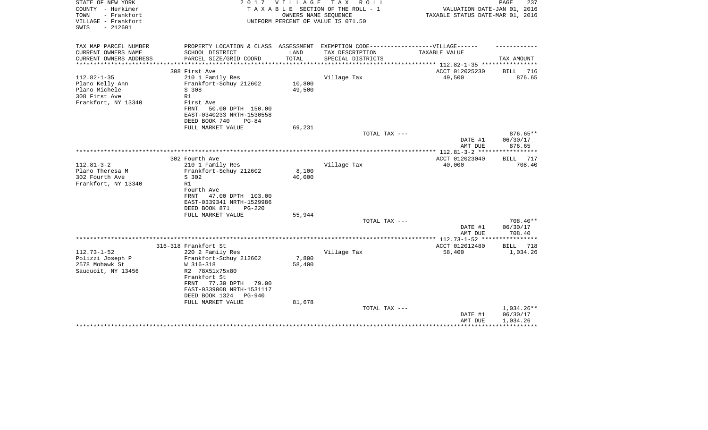| STATE OF NEW YORK<br>COUNTY - Herkimer<br>- Frankfort<br>TOWN<br>VILLAGE - Frankfort<br>$-212601$<br>SWIS | 2017                                                                                                 | VILLAGE | T A X<br>R O L L<br>TAXABLE SECTION OF THE ROLL - 1<br>OWNERS NAME SEQUENCE<br>UNIFORM PERCENT OF VALUE IS 071.50 | VALUATION DATE-JAN 01, 2016<br>TAXABLE STATUS DATE-MAR 01, 2016 | 237<br>PAGE                    |
|-----------------------------------------------------------------------------------------------------------|------------------------------------------------------------------------------------------------------|---------|-------------------------------------------------------------------------------------------------------------------|-----------------------------------------------------------------|--------------------------------|
|                                                                                                           |                                                                                                      |         |                                                                                                                   |                                                                 |                                |
| TAX MAP PARCEL NUMBER<br>CURRENT OWNERS NAME                                                              | PROPERTY LOCATION & CLASS ASSESSMENT EXEMPTION CODE-----------------VILLAGE------<br>SCHOOL DISTRICT | LAND    | TAX DESCRIPTION                                                                                                   | TAXABLE VALUE                                                   |                                |
| CURRENT OWNERS ADDRESS                                                                                    | PARCEL SIZE/GRID COORD                                                                               | TOTAL   | SPECIAL DISTRICTS                                                                                                 |                                                                 | TAX AMOUNT                     |
| **********************                                                                                    |                                                                                                      |         |                                                                                                                   |                                                                 |                                |
| $112.82 - 1 - 35$                                                                                         | 308 First Ave<br>210 1 Family Res                                                                    |         | Village Tax                                                                                                       | ACCT 012025230<br>49,500                                        | 716<br>BILL<br>876.65          |
| Plano Kelly Ann                                                                                           | Frankfort-Schuy 212602                                                                               | 10,800  |                                                                                                                   |                                                                 |                                |
| Plano Michele                                                                                             | S 308                                                                                                | 49,500  |                                                                                                                   |                                                                 |                                |
| 308 First Ave                                                                                             | R1                                                                                                   |         |                                                                                                                   |                                                                 |                                |
| Frankfort, NY 13340                                                                                       | First Ave                                                                                            |         |                                                                                                                   |                                                                 |                                |
|                                                                                                           | FRNT<br>50.00 DPTH 150.00<br>EAST-0340233 NRTH-1530558                                               |         |                                                                                                                   |                                                                 |                                |
|                                                                                                           | DEED BOOK 740<br>$PG-84$                                                                             |         |                                                                                                                   |                                                                 |                                |
|                                                                                                           | FULL MARKET VALUE                                                                                    | 69,231  |                                                                                                                   |                                                                 |                                |
|                                                                                                           |                                                                                                      |         | TOTAL TAX ---                                                                                                     |                                                                 | 876.65**                       |
|                                                                                                           |                                                                                                      |         |                                                                                                                   | DATE #1                                                         | 06/30/17                       |
|                                                                                                           |                                                                                                      |         |                                                                                                                   | AMT DUE                                                         | 876.65                         |
|                                                                                                           | 302 Fourth Ave                                                                                       |         |                                                                                                                   | ACCT 012023040                                                  | 717<br>BILL                    |
| $112.81 - 3 - 2$                                                                                          | 210 1 Family Res                                                                                     |         | Village Tax                                                                                                       | 40,000                                                          | 708.40                         |
| Plano Theresa M                                                                                           | Frankfort-Schuy 212602                                                                               | 8,100   |                                                                                                                   |                                                                 |                                |
| 302 Fourth Ave<br>Frankfort, NY 13340                                                                     | S 302<br>R1                                                                                          | 40,000  |                                                                                                                   |                                                                 |                                |
|                                                                                                           | Fourth Ave                                                                                           |         |                                                                                                                   |                                                                 |                                |
|                                                                                                           | 47.00 DPTH 103.00<br>FRNT                                                                            |         |                                                                                                                   |                                                                 |                                |
|                                                                                                           | EAST-0339341 NRTH-1529986                                                                            |         |                                                                                                                   |                                                                 |                                |
|                                                                                                           | DEED BOOK 871<br>$PG-220$                                                                            |         |                                                                                                                   |                                                                 |                                |
|                                                                                                           | FULL MARKET VALUE                                                                                    | 55,944  | TOTAL TAX ---                                                                                                     |                                                                 | 708.40**                       |
|                                                                                                           |                                                                                                      |         |                                                                                                                   | DATE #1                                                         | 06/30/17                       |
|                                                                                                           |                                                                                                      |         |                                                                                                                   | AMT DUE                                                         | 708.40                         |
|                                                                                                           |                                                                                                      |         |                                                                                                                   | *************** 112.73-1-52 ****                                | ************                   |
| $112.73 - 1 - 52$                                                                                         | 316-318 Frankfort St<br>220 2 Family Res                                                             |         | Village Tax                                                                                                       | ACCT 012012480<br>58,400                                        | 718<br><b>BILL</b><br>1,034.26 |
| Polizzi Joseph P                                                                                          | Frankfort-Schuy 212602                                                                               | 7,800   |                                                                                                                   |                                                                 |                                |
| 2578 Mohawk St                                                                                            | W 316-318                                                                                            | 58,400  |                                                                                                                   |                                                                 |                                |
| Sauquoit, NY 13456                                                                                        | R2 78X51x75x80                                                                                       |         |                                                                                                                   |                                                                 |                                |
|                                                                                                           | Frankfort St                                                                                         |         |                                                                                                                   |                                                                 |                                |
|                                                                                                           | 77.30 DPTH<br>FRNT<br>79.00<br>EAST-0339008 NRTH-1531117                                             |         |                                                                                                                   |                                                                 |                                |
|                                                                                                           | DEED BOOK 1324<br><b>PG-940</b>                                                                      |         |                                                                                                                   |                                                                 |                                |
|                                                                                                           | FULL MARKET VALUE                                                                                    | 81,678  |                                                                                                                   |                                                                 |                                |
|                                                                                                           |                                                                                                      |         | TOTAL TAX ---                                                                                                     |                                                                 | $1,034.26**$                   |
|                                                                                                           |                                                                                                      |         |                                                                                                                   | DATE #1<br>AMT DUE                                              | 06/30/17<br>1,034.26           |
|                                                                                                           |                                                                                                      |         |                                                                                                                   |                                                                 |                                |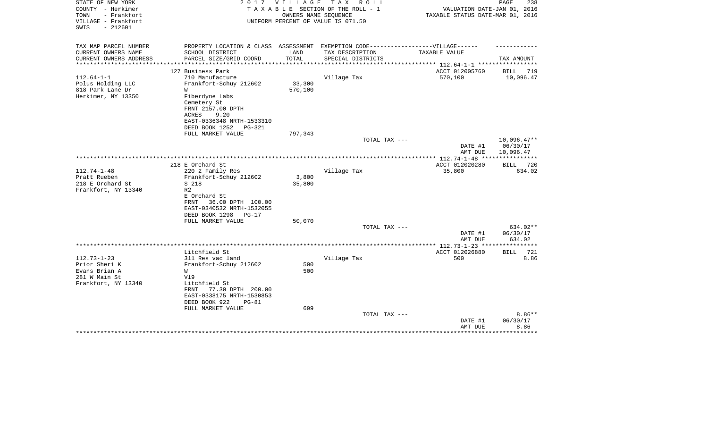| STATE OF NEW YORK<br>COUNTY - Herkimer<br>- Frankfort<br>TOWN<br>VILLAGE - Frankfort<br>$-212601$<br>SWIS |                                                                                                                              |                   | 2017 VILLAGE TAX ROLL<br>TAXABLE SECTION OF THE ROLL - 1<br>OWNERS NAME SEQUENCE<br>UNIFORM PERCENT OF VALUE IS 071.50 | VALUATION DATE-JAN 01, 2016<br>TAXABLE STATUS DATE-MAR 01, 2016 | PAGE<br>238                            |
|-----------------------------------------------------------------------------------------------------------|------------------------------------------------------------------------------------------------------------------------------|-------------------|------------------------------------------------------------------------------------------------------------------------|-----------------------------------------------------------------|----------------------------------------|
| TAX MAP PARCEL NUMBER                                                                                     | PROPERTY LOCATION & CLASS ASSESSMENT EXEMPTION CODE-----------------VILLAGE------                                            |                   |                                                                                                                        |                                                                 |                                        |
| CURRENT OWNERS NAME<br>CURRENT OWNERS ADDRESS<br>********************                                     | SCHOOL DISTRICT<br>PARCEL SIZE/GRID COORD                                                                                    | LAND<br>TOTAL     | TAX DESCRIPTION<br>SPECIAL DISTRICTS                                                                                   | TAXABLE VALUE                                                   | TAX AMOUNT                             |
|                                                                                                           | 127 Business Park                                                                                                            |                   |                                                                                                                        | ACCT 012005760                                                  | BILL<br>719                            |
| $112.64 - 1 - 1$<br>Polus Holding LLC<br>818 Park Lane Dr                                                 | 710 Manufacture<br>Frankfort-Schuy 212602<br>W                                                                               | 33,300<br>570,100 | Village Tax                                                                                                            | 570,100                                                         | 10,096.47                              |
| Herkimer, NY 13350                                                                                        | Fiberdyne Labs<br>Cemetery St<br>FRNT 2157.00 DPTH<br>9.20<br>ACRES<br>EAST-0336348 NRTH-1533310<br>DEED BOOK 1252<br>PG-321 |                   |                                                                                                                        |                                                                 |                                        |
|                                                                                                           | FULL MARKET VALUE                                                                                                            | 797,343           |                                                                                                                        |                                                                 |                                        |
|                                                                                                           |                                                                                                                              |                   | TOTAL TAX ---                                                                                                          | DATE #1<br>AMT DUE                                              | $10,096.47**$<br>06/30/17<br>10,096.47 |
|                                                                                                           |                                                                                                                              |                   |                                                                                                                        | *************** 112.74-1-48 *****************                   |                                        |
|                                                                                                           | 218 E Orchard St                                                                                                             |                   |                                                                                                                        | ACCT 012020280                                                  | <b>BILL</b><br>720                     |
| $112.74 - 1 - 48$                                                                                         | 220 2 Family Res                                                                                                             |                   | Village Tax                                                                                                            | 35,800                                                          | 634.02                                 |
| Pratt Rueben<br>218 E Orchard St                                                                          | Frankfort-Schuy 212602<br>S 218                                                                                              | 3,800<br>35,800   |                                                                                                                        |                                                                 |                                        |
| Frankfort, NY 13340                                                                                       | R2                                                                                                                           |                   |                                                                                                                        |                                                                 |                                        |
|                                                                                                           | E Orchard St<br>36.00 DPTH 100.00<br>FRNT<br>EAST-0340532 NRTH-1532055<br>DEED BOOK 1298<br>PG-17                            |                   |                                                                                                                        |                                                                 |                                        |
|                                                                                                           | FULL MARKET VALUE                                                                                                            | 50,070            |                                                                                                                        |                                                                 |                                        |
|                                                                                                           |                                                                                                                              |                   | TOTAL TAX ---                                                                                                          | DATE #1<br>AMT DUE                                              | 634.02**<br>06/30/17<br>634.02         |
|                                                                                                           |                                                                                                                              |                   |                                                                                                                        |                                                                 |                                        |
|                                                                                                           | Litchfield St                                                                                                                |                   |                                                                                                                        | ACCT 012026880                                                  | <b>BILL</b><br>721                     |
| $112.73 - 1 - 23$                                                                                         | 311 Res vac land                                                                                                             |                   | Village Tax                                                                                                            | 500                                                             | 8.86                                   |
| Prior Sheri K                                                                                             | Frankfort-Schuy 212602                                                                                                       | 500               |                                                                                                                        |                                                                 |                                        |
| Evans Brian A                                                                                             | W                                                                                                                            | 500               |                                                                                                                        |                                                                 |                                        |
| 281 W Main St                                                                                             | V19                                                                                                                          |                   |                                                                                                                        |                                                                 |                                        |
| Frankfort, NY 13340                                                                                       | Litchfield St<br>77.30 DPTH 200.00<br>FRNT<br>EAST-0338175 NRTH-1530853                                                      |                   |                                                                                                                        |                                                                 |                                        |
|                                                                                                           | DEED BOOK 922<br>$PG-81$                                                                                                     | 699               |                                                                                                                        |                                                                 |                                        |
|                                                                                                           | FULL MARKET VALUE                                                                                                            |                   | TOTAL TAX ---                                                                                                          |                                                                 | $8.86**$                               |
|                                                                                                           |                                                                                                                              |                   |                                                                                                                        | DATE #1<br>AMT DUE                                              | 06/30/17<br>8.86                       |
|                                                                                                           |                                                                                                                              |                   |                                                                                                                        |                                                                 |                                        |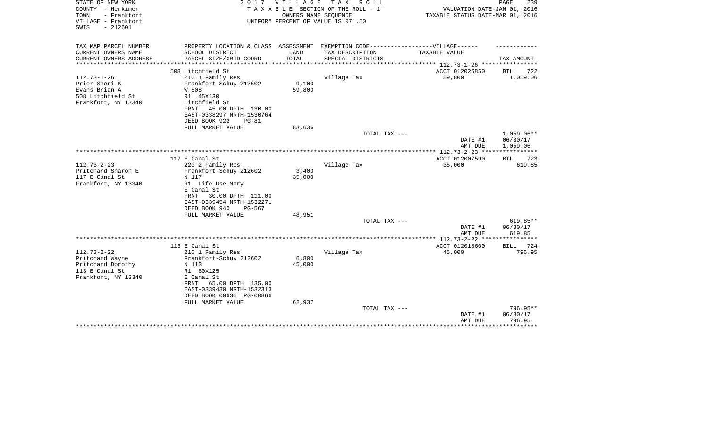| STATE OF NEW YORK<br>COUNTY - Herkimer                          | 2017                                                                              | V I L L A G E | TAX ROLL<br>TAXABLE SECTION OF THE ROLL - 1                | VALUATION DATE-JAN 01, 2016                                                | PAGE<br>239          |
|-----------------------------------------------------------------|-----------------------------------------------------------------------------------|---------------|------------------------------------------------------------|----------------------------------------------------------------------------|----------------------|
| TOWN<br>- Frankfort<br>VILLAGE - Frankfort<br>$-212601$<br>SWIS |                                                                                   |               | OWNERS NAME SEQUENCE<br>UNIFORM PERCENT OF VALUE IS 071.50 | TAXABLE STATUS DATE-MAR 01, 2016                                           |                      |
| TAX MAP PARCEL NUMBER                                           | PROPERTY LOCATION & CLASS ASSESSMENT EXEMPTION CODE-----------------VILLAGE------ |               |                                                            |                                                                            |                      |
| CURRENT OWNERS NAME                                             | SCHOOL DISTRICT                                                                   | LAND          | TAX DESCRIPTION                                            | TAXABLE VALUE                                                              |                      |
| CURRENT OWNERS ADDRESS<br>********************                  | PARCEL SIZE/GRID COORD                                                            | TOTAL         | SPECIAL DISTRICTS                                          |                                                                            | TAX AMOUNT           |
|                                                                 | 508 Litchfield St                                                                 |               |                                                            | *************************** 112.73-1-26 ****************<br>ACCT 012026850 | BILL<br>722          |
| $112.73 - 1 - 26$                                               | 210 1 Family Res                                                                  |               | Village Tax                                                | 59,800                                                                     | 1,059.06             |
| Prior Sheri K                                                   | Frankfort-Schuy 212602                                                            | 9,100         |                                                            |                                                                            |                      |
| Evans Brian A                                                   | W 508                                                                             | 59,800        |                                                            |                                                                            |                      |
| 508 Litchfield St                                               | R1 45X130                                                                         |               |                                                            |                                                                            |                      |
| Frankfort, NY 13340                                             | Litchfield St                                                                     |               |                                                            |                                                                            |                      |
|                                                                 | 45.00 DPTH 130.00<br>FRNT                                                         |               |                                                            |                                                                            |                      |
|                                                                 | EAST-0338297 NRTH-1530764                                                         |               |                                                            |                                                                            |                      |
|                                                                 | DEED BOOK 922<br>$PG-81$                                                          |               |                                                            |                                                                            |                      |
|                                                                 | FULL MARKET VALUE                                                                 | 83,636        |                                                            |                                                                            |                      |
|                                                                 |                                                                                   |               | TOTAL TAX ---                                              |                                                                            | $1,059.06**$         |
|                                                                 |                                                                                   |               |                                                            | DATE #1                                                                    | 06/30/17<br>1,059.06 |
|                                                                 |                                                                                   |               |                                                            | AMT DUE                                                                    |                      |
|                                                                 | 117 E Canal St                                                                    |               |                                                            | ACCT 012007590                                                             | BILL 723             |
| $112.73 - 2 - 23$                                               | 220 2 Family Res                                                                  |               | Village Tax                                                | 35,000                                                                     | 619.85               |
| Pritchard Sharon E                                              | Frankfort-Schuy 212602                                                            | 3,400         |                                                            |                                                                            |                      |
| 117 E Canal St                                                  | N 117                                                                             | 35,000        |                                                            |                                                                            |                      |
| Frankfort, NY 13340                                             | R1 Life Use Mary                                                                  |               |                                                            |                                                                            |                      |
|                                                                 | E Canal St                                                                        |               |                                                            |                                                                            |                      |
|                                                                 | 30.00 DPTH 111.00<br>FRNT                                                         |               |                                                            |                                                                            |                      |
|                                                                 | EAST-0339454 NRTH-1532271                                                         |               |                                                            |                                                                            |                      |
|                                                                 | DEED BOOK 940<br>PG-567                                                           |               |                                                            |                                                                            |                      |
|                                                                 | FULL MARKET VALUE                                                                 | 48,951        |                                                            |                                                                            | 619.85**             |
|                                                                 |                                                                                   |               | TOTAL TAX ---                                              | DATE #1                                                                    | 06/30/17             |
|                                                                 |                                                                                   |               |                                                            | AMT DUE                                                                    | 619.85               |
|                                                                 |                                                                                   |               |                                                            |                                                                            |                      |
|                                                                 | 113 E Canal St                                                                    |               |                                                            | ACCT 012018600                                                             | 724<br>BILL          |
| $112.73 - 2 - 22$                                               | 210 1 Family Res                                                                  |               | Village Tax                                                | 45,000                                                                     | 796.95               |
| Pritchard Wayne                                                 | Frankfort-Schuy 212602                                                            | 6,800         |                                                            |                                                                            |                      |
| Pritchard Dorothy                                               | N 113                                                                             | 45,000        |                                                            |                                                                            |                      |
| 113 E Canal St                                                  | R1 60X125                                                                         |               |                                                            |                                                                            |                      |
| Frankfort, NY 13340                                             | E Canal St                                                                        |               |                                                            |                                                                            |                      |
|                                                                 | 65.00 DPTH 135.00<br>FRNT                                                         |               |                                                            |                                                                            |                      |
|                                                                 | EAST-0339430 NRTH-1532313                                                         |               |                                                            |                                                                            |                      |
|                                                                 | DEED BOOK 00630 PG-00866<br>FULL MARKET VALUE                                     | 62,937        |                                                            |                                                                            |                      |
|                                                                 |                                                                                   |               | TOTAL TAX ---                                              |                                                                            | 796.95**             |
|                                                                 |                                                                                   |               |                                                            | DATE #1                                                                    | 06/30/17             |
|                                                                 |                                                                                   |               |                                                            | AMT DUE                                                                    | 796.95               |
|                                                                 |                                                                                   |               |                                                            |                                                                            | ***********          |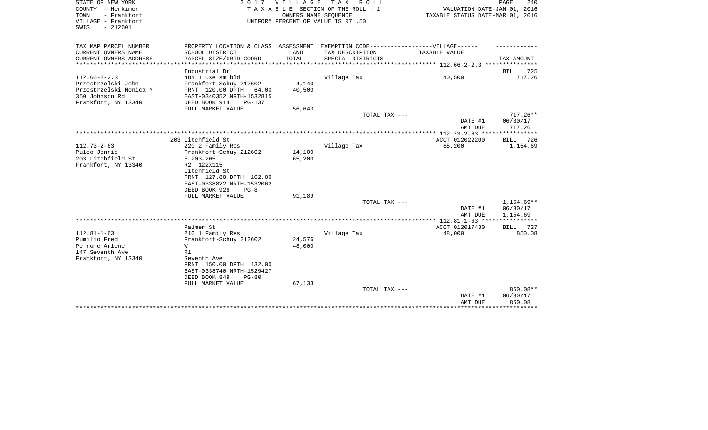| STATE OF NEW YORK<br>COUNTY - Herkimer<br>- Frankfort<br>TOWN<br>VILLAGE - Frankfort<br>SWIS<br>$-212601$ |                                                                                   | 2017 VILLAGE<br>OWNERS NAME SEQUENCE | T A X<br>ROLL<br>TAXABLE SECTION OF THE ROLL - 1<br>UNIFORM PERCENT OF VALUE IS 071.50 | VALUATION DATE-JAN 01, 2016<br>TAXABLE STATUS DATE-MAR 01, 2016 | PAGE<br>240            |
|-----------------------------------------------------------------------------------------------------------|-----------------------------------------------------------------------------------|--------------------------------------|----------------------------------------------------------------------------------------|-----------------------------------------------------------------|------------------------|
| TAX MAP PARCEL NUMBER                                                                                     | PROPERTY LOCATION & CLASS ASSESSMENT EXEMPTION CODE-----------------VILLAGE------ |                                      |                                                                                        |                                                                 |                        |
| CURRENT OWNERS NAME<br>CURRENT OWNERS ADDRESS<br>********************                                     | SCHOOL DISTRICT<br>PARCEL SIZE/GRID COORD                                         | LAND<br>TOTAL                        | TAX DESCRIPTION<br>SPECIAL DISTRICTS                                                   | TAXABLE VALUE                                                   | TAX AMOUNT             |
|                                                                                                           | Industrial Dr                                                                     |                                      |                                                                                        |                                                                 | 725<br>BILL            |
| $112.66 - 2 - 2.3$                                                                                        | 484 1 use sm bld                                                                  |                                      | Village Tax                                                                            | 40,500                                                          | 717.26                 |
| Przestrzelski John                                                                                        | Frankfort-Schuy 212602                                                            | 4,140                                |                                                                                        |                                                                 |                        |
| Przestrzelski Monica M                                                                                    | FRNT 120.00 DPTH<br>64.00                                                         | 40,500                               |                                                                                        |                                                                 |                        |
| 350 Johnson Rd                                                                                            | EAST-0340352 NRTH-1532815                                                         |                                      |                                                                                        |                                                                 |                        |
| Frankfort, NY 13340                                                                                       | DEED BOOK 914<br>$PG-137$                                                         |                                      |                                                                                        |                                                                 |                        |
|                                                                                                           | FULL MARKET VALUE                                                                 | 56,643                               |                                                                                        |                                                                 |                        |
|                                                                                                           |                                                                                   |                                      | TOTAL TAX ---                                                                          |                                                                 | $717.26**$             |
|                                                                                                           |                                                                                   |                                      |                                                                                        | DATE #1                                                         | 06/30/17               |
|                                                                                                           |                                                                                   |                                      |                                                                                        | AMT DUE                                                         | 717.26                 |
|                                                                                                           |                                                                                   |                                      |                                                                                        | ***** 112.73-2-63 ***                                           | * * * * * * * * *      |
|                                                                                                           | 203 Litchfield St                                                                 |                                      |                                                                                        | ACCT 012022200                                                  | <b>BILL</b><br>726     |
| $112.73 - 2 - 63$                                                                                         | 220 2 Family Res                                                                  |                                      | Village Tax                                                                            | 65,200                                                          | 1,154.69               |
| Puleo Jennie                                                                                              | Frankfort-Schuy 212602                                                            | 14,100                               |                                                                                        |                                                                 |                        |
| 203 Litchfield St                                                                                         | E 203-205                                                                         | 65,200                               |                                                                                        |                                                                 |                        |
| Frankfort, NY 13340                                                                                       | R2 122X115                                                                        |                                      |                                                                                        |                                                                 |                        |
|                                                                                                           | Litchfield St                                                                     |                                      |                                                                                        |                                                                 |                        |
|                                                                                                           | FRNT 127.80 DPTH 102.00                                                           |                                      |                                                                                        |                                                                 |                        |
|                                                                                                           | EAST-0338822 NRTH-1532062                                                         |                                      |                                                                                        |                                                                 |                        |
|                                                                                                           | DEED BOOK 928<br>$PG-8$                                                           |                                      |                                                                                        |                                                                 |                        |
|                                                                                                           | FULL MARKET VALUE                                                                 | 91,189                               |                                                                                        |                                                                 |                        |
|                                                                                                           |                                                                                   |                                      | TOTAL TAX ---                                                                          | DATE #1                                                         | 1,154.69**<br>06/30/17 |
|                                                                                                           |                                                                                   |                                      |                                                                                        | AMT DUE                                                         | 1,154.69               |
|                                                                                                           |                                                                                   |                                      |                                                                                        |                                                                 | ************           |
|                                                                                                           | Palmer St                                                                         |                                      |                                                                                        | ACCT 012017430                                                  | 727<br>BILL            |
| $112.81 - 1 - 63$                                                                                         | 210 1 Family Res                                                                  |                                      | Village Tax                                                                            | 48,000                                                          | 850.08                 |
| Pumilio Fred                                                                                              | Frankfort-Schuy 212602                                                            | 24,576                               |                                                                                        |                                                                 |                        |
| Perrone Arlene                                                                                            | W                                                                                 | 48,000                               |                                                                                        |                                                                 |                        |
| 147 Seventh Ave                                                                                           | R1                                                                                |                                      |                                                                                        |                                                                 |                        |
| Frankfort, NY 13340                                                                                       | Seventh Ave                                                                       |                                      |                                                                                        |                                                                 |                        |
|                                                                                                           | FRNT 150.00 DPTH 132.00                                                           |                                      |                                                                                        |                                                                 |                        |
|                                                                                                           | EAST-0338740 NRTH-1529427                                                         |                                      |                                                                                        |                                                                 |                        |
|                                                                                                           | DEED BOOK 849<br>$PG-80$                                                          |                                      |                                                                                        |                                                                 |                        |
|                                                                                                           | FULL MARKET VALUE                                                                 | 67,133                               |                                                                                        |                                                                 |                        |
|                                                                                                           |                                                                                   |                                      | TOTAL TAX ---                                                                          |                                                                 | 850.08**               |
|                                                                                                           |                                                                                   |                                      |                                                                                        | DATE #1                                                         | 06/30/17               |
|                                                                                                           |                                                                                   |                                      |                                                                                        | AMT DUE                                                         | 850.08                 |
|                                                                                                           |                                                                                   |                                      |                                                                                        |                                                                 |                        |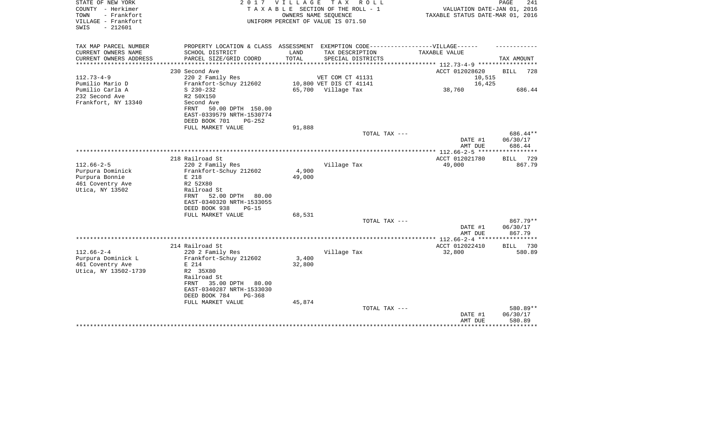| TAX MAP PARCEL NUMBER<br>PROPERTY LOCATION & CLASS ASSESSMENT EXEMPTION CODE----------------VILLAGE------<br>CURRENT OWNERS NAME<br>LAND<br>SCHOOL DISTRICT<br>TAX DESCRIPTION<br>TAXABLE VALUE<br>PARCEL SIZE/GRID COORD<br>TOTAL<br>CURRENT OWNERS ADDRESS<br>SPECIAL DISTRICTS<br>TAX AMOUNT<br>********** 112.73-4-9 *********<br>ACCT 012028620<br>230 Second Ave<br>BILL<br>$112.73 - 4 - 9$<br>220 2 Family Res<br>VET COM CT 41131<br>10,515<br>Pumilio Mario D<br>Frankfort-Schuy 212602<br>10,800 VET DIS CT 41141<br>16,425<br>Pumilio Carla A<br>65,700 Village Tax<br>38,760<br>$S$ 230-232<br>232 Second Ave<br>R2 50X150<br>Frankfort, NY 13340<br>Second Ave<br>50.00 DPTH 150.00<br>FRNT<br>EAST-0339579 NRTH-1530774<br>DEED BOOK 701<br>$PG-252$<br>FULL MARKET VALUE<br>91,888<br>TOTAL TAX ---<br>DATE #1<br>06/30/17<br>AMT DUE<br>686.44<br>218 Railroad St<br>ACCT 012021780<br>BILL 729<br>$112.66 - 2 - 5$<br>220 2 Family Res<br>Village Tax<br>49,000<br>Purpura Dominick<br>Frankfort-Schuy 212602<br>4,900<br>49,000<br>Purpura Bonnie<br>E 218<br>461 Coventry Ave<br>R2 52X80<br>Utica, NY 13502<br>Railroad St<br>52.00 DPTH<br>FRNT<br>80.00<br>EAST-0340320 NRTH-1533055<br>DEED BOOK 938<br>$PG-15$<br>FULL MARKET VALUE<br>68,531<br>TOTAL TAX ---<br>DATE #1<br>06/30/17 | 728      |
|----------------------------------------------------------------------------------------------------------------------------------------------------------------------------------------------------------------------------------------------------------------------------------------------------------------------------------------------------------------------------------------------------------------------------------------------------------------------------------------------------------------------------------------------------------------------------------------------------------------------------------------------------------------------------------------------------------------------------------------------------------------------------------------------------------------------------------------------------------------------------------------------------------------------------------------------------------------------------------------------------------------------------------------------------------------------------------------------------------------------------------------------------------------------------------------------------------------------------------------------------------------------------------------------------------------|----------|
|                                                                                                                                                                                                                                                                                                                                                                                                                                                                                                                                                                                                                                                                                                                                                                                                                                                                                                                                                                                                                                                                                                                                                                                                                                                                                                                |          |
|                                                                                                                                                                                                                                                                                                                                                                                                                                                                                                                                                                                                                                                                                                                                                                                                                                                                                                                                                                                                                                                                                                                                                                                                                                                                                                                |          |
|                                                                                                                                                                                                                                                                                                                                                                                                                                                                                                                                                                                                                                                                                                                                                                                                                                                                                                                                                                                                                                                                                                                                                                                                                                                                                                                |          |
|                                                                                                                                                                                                                                                                                                                                                                                                                                                                                                                                                                                                                                                                                                                                                                                                                                                                                                                                                                                                                                                                                                                                                                                                                                                                                                                |          |
|                                                                                                                                                                                                                                                                                                                                                                                                                                                                                                                                                                                                                                                                                                                                                                                                                                                                                                                                                                                                                                                                                                                                                                                                                                                                                                                |          |
|                                                                                                                                                                                                                                                                                                                                                                                                                                                                                                                                                                                                                                                                                                                                                                                                                                                                                                                                                                                                                                                                                                                                                                                                                                                                                                                | 686.44   |
|                                                                                                                                                                                                                                                                                                                                                                                                                                                                                                                                                                                                                                                                                                                                                                                                                                                                                                                                                                                                                                                                                                                                                                                                                                                                                                                |          |
|                                                                                                                                                                                                                                                                                                                                                                                                                                                                                                                                                                                                                                                                                                                                                                                                                                                                                                                                                                                                                                                                                                                                                                                                                                                                                                                |          |
|                                                                                                                                                                                                                                                                                                                                                                                                                                                                                                                                                                                                                                                                                                                                                                                                                                                                                                                                                                                                                                                                                                                                                                                                                                                                                                                | 686.44** |
|                                                                                                                                                                                                                                                                                                                                                                                                                                                                                                                                                                                                                                                                                                                                                                                                                                                                                                                                                                                                                                                                                                                                                                                                                                                                                                                |          |
|                                                                                                                                                                                                                                                                                                                                                                                                                                                                                                                                                                                                                                                                                                                                                                                                                                                                                                                                                                                                                                                                                                                                                                                                                                                                                                                |          |
|                                                                                                                                                                                                                                                                                                                                                                                                                                                                                                                                                                                                                                                                                                                                                                                                                                                                                                                                                                                                                                                                                                                                                                                                                                                                                                                | 867.79   |
|                                                                                                                                                                                                                                                                                                                                                                                                                                                                                                                                                                                                                                                                                                                                                                                                                                                                                                                                                                                                                                                                                                                                                                                                                                                                                                                |          |
|                                                                                                                                                                                                                                                                                                                                                                                                                                                                                                                                                                                                                                                                                                                                                                                                                                                                                                                                                                                                                                                                                                                                                                                                                                                                                                                |          |
|                                                                                                                                                                                                                                                                                                                                                                                                                                                                                                                                                                                                                                                                                                                                                                                                                                                                                                                                                                                                                                                                                                                                                                                                                                                                                                                |          |
|                                                                                                                                                                                                                                                                                                                                                                                                                                                                                                                                                                                                                                                                                                                                                                                                                                                                                                                                                                                                                                                                                                                                                                                                                                                                                                                |          |
|                                                                                                                                                                                                                                                                                                                                                                                                                                                                                                                                                                                                                                                                                                                                                                                                                                                                                                                                                                                                                                                                                                                                                                                                                                                                                                                |          |
|                                                                                                                                                                                                                                                                                                                                                                                                                                                                                                                                                                                                                                                                                                                                                                                                                                                                                                                                                                                                                                                                                                                                                                                                                                                                                                                | 867.79** |
| AMT DUE                                                                                                                                                                                                                                                                                                                                                                                                                                                                                                                                                                                                                                                                                                                                                                                                                                                                                                                                                                                                                                                                                                                                                                                                                                                                                                        | 867.79   |
| ******** 112.66-2-4 ***<br>**********                                                                                                                                                                                                                                                                                                                                                                                                                                                                                                                                                                                                                                                                                                                                                                                                                                                                                                                                                                                                                                                                                                                                                                                                                                                                          |          |
| 214 Railroad St<br>ACCT 012022410<br>BILL                                                                                                                                                                                                                                                                                                                                                                                                                                                                                                                                                                                                                                                                                                                                                                                                                                                                                                                                                                                                                                                                                                                                                                                                                                                                      | 730      |
| $112.66 - 2 - 4$<br>Village Tax<br>220 2 Family Res<br>32,800<br>Purpura Dominick L<br>Frankfort-Schuy 212602<br>3,400                                                                                                                                                                                                                                                                                                                                                                                                                                                                                                                                                                                                                                                                                                                                                                                                                                                                                                                                                                                                                                                                                                                                                                                         | 580.89   |
| 461 Coventry Ave<br>E 214<br>32,800                                                                                                                                                                                                                                                                                                                                                                                                                                                                                                                                                                                                                                                                                                                                                                                                                                                                                                                                                                                                                                                                                                                                                                                                                                                                            |          |
| Utica, NY 13502-1739<br>R2 35X80<br>Railroad St<br>35.00 DPTH<br>FRNT<br>80.00<br>EAST-0340287 NRTH-1533030<br>DEED BOOK 784<br>$PG-368$                                                                                                                                                                                                                                                                                                                                                                                                                                                                                                                                                                                                                                                                                                                                                                                                                                                                                                                                                                                                                                                                                                                                                                       |          |
| 45,874<br>FULL MARKET VALUE                                                                                                                                                                                                                                                                                                                                                                                                                                                                                                                                                                                                                                                                                                                                                                                                                                                                                                                                                                                                                                                                                                                                                                                                                                                                                    |          |
| TOTAL TAX ---<br>06/30/17<br>DATE #1<br>580.89<br>AMT DUE                                                                                                                                                                                                                                                                                                                                                                                                                                                                                                                                                                                                                                                                                                                                                                                                                                                                                                                                                                                                                                                                                                                                                                                                                                                      | 580.89** |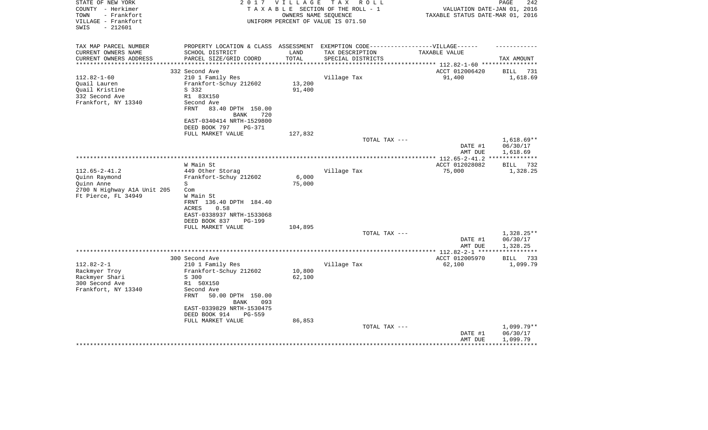| STATE OF NEW YORK<br>COUNTY - Herkimer           | 2017                                                                                          | V I L L A G E | T A X<br>R O L L                             |                                                                 | PAGE<br>242              |  |
|--------------------------------------------------|-----------------------------------------------------------------------------------------------|---------------|----------------------------------------------|-----------------------------------------------------------------|--------------------------|--|
| - Frankfort<br>TOWN                              | TAXABLE SECTION OF THE ROLL - 1<br>OWNERS NAME SEQUENCE<br>UNIFORM PERCENT OF VALUE IS 071.50 |               |                                              | VALUATION DATE-JAN 01, 2016<br>TAXABLE STATUS DATE-MAR 01, 2016 |                          |  |
| VILLAGE - Frankfort                              |                                                                                               |               |                                              |                                                                 |                          |  |
| $-212601$<br>SWIS                                |                                                                                               |               |                                              |                                                                 |                          |  |
|                                                  |                                                                                               |               |                                              |                                                                 |                          |  |
| TAX MAP PARCEL NUMBER                            | PROPERTY LOCATION & CLASS                                                                     | ASSESSMENT    | EXEMPTION CODE-----------------VILLAGE------ |                                                                 |                          |  |
| CURRENT OWNERS NAME                              | SCHOOL DISTRICT                                                                               | LAND          | TAX DESCRIPTION                              | TAXABLE VALUE                                                   |                          |  |
| CURRENT OWNERS ADDRESS<br>********************** | PARCEL SIZE/GRID COORD                                                                        | TOTAL         | SPECIAL DISTRICTS                            |                                                                 | TAX AMOUNT               |  |
|                                                  |                                                                                               |               |                                              |                                                                 |                          |  |
|                                                  | 332 Second Ave                                                                                |               |                                              | ACCT 012006420                                                  | 731<br>BILL              |  |
| $112.82 - 1 - 60$                                | 210 1 Family Res                                                                              |               | Village Tax                                  | 91,400                                                          | 1,618.69                 |  |
| Quail Lauren                                     | Frankfort-Schuy 212602                                                                        | 13,200        |                                              |                                                                 |                          |  |
| Ouail Kristine                                   | S 332                                                                                         | 91,400        |                                              |                                                                 |                          |  |
| 332 Second Ave                                   | R1 83X150                                                                                     |               |                                              |                                                                 |                          |  |
| Frankfort, NY 13340                              | Second Ave                                                                                    |               |                                              |                                                                 |                          |  |
|                                                  | 83.40 DPTH 150.00<br>FRNT                                                                     |               |                                              |                                                                 |                          |  |
|                                                  | <b>BANK</b><br>720                                                                            |               |                                              |                                                                 |                          |  |
|                                                  | EAST-0340414 NRTH-1529800                                                                     |               |                                              |                                                                 |                          |  |
|                                                  | DEED BOOK 797<br>PG-371                                                                       |               |                                              |                                                                 |                          |  |
|                                                  | FULL MARKET VALUE                                                                             | 127,832       |                                              |                                                                 |                          |  |
|                                                  |                                                                                               |               | TOTAL TAX ---                                |                                                                 | $1,618.69**$<br>06/30/17 |  |
|                                                  |                                                                                               |               |                                              | DATE #1<br>AMT DUE                                              | 1,618.69                 |  |
|                                                  |                                                                                               |               |                                              | ************ 112.65-2-41.2                                      | * * * * * * * * * * *    |  |
|                                                  | W Main St                                                                                     |               |                                              | ACCT 012028082                                                  | 732<br>BILL              |  |
| $112.65 - 2 - 41.2$                              | 449 Other Storag                                                                              |               | Village Tax                                  | 75,000                                                          | 1,328.25                 |  |
| Quinn Raymond                                    | Frankfort-Schuy 212602                                                                        | 6,000         |                                              |                                                                 |                          |  |
| Quinn Anne                                       | S                                                                                             | 75,000        |                                              |                                                                 |                          |  |
| 2700 N Highway AlA Unit 205                      | Com                                                                                           |               |                                              |                                                                 |                          |  |
| Ft Pierce, FL 34949                              | W Main St                                                                                     |               |                                              |                                                                 |                          |  |
|                                                  | FRNT 136.40 DPTH 184.40                                                                       |               |                                              |                                                                 |                          |  |
|                                                  | ACRES<br>0.58                                                                                 |               |                                              |                                                                 |                          |  |
|                                                  | EAST-0338937 NRTH-1533068                                                                     |               |                                              |                                                                 |                          |  |
|                                                  | DEED BOOK 837<br>PG-199                                                                       |               |                                              |                                                                 |                          |  |
|                                                  | FULL MARKET VALUE                                                                             | 104,895       |                                              |                                                                 |                          |  |
|                                                  |                                                                                               |               | TOTAL TAX ---                                |                                                                 | $1,328.25**$             |  |
|                                                  |                                                                                               |               |                                              | DATE #1                                                         | 06/30/17                 |  |
|                                                  |                                                                                               |               |                                              | AMT DUE                                                         | 1,328.25                 |  |
|                                                  |                                                                                               |               |                                              | *********** 112.82-2-1 ***                                      | **********               |  |
|                                                  | 300 Second Ave                                                                                |               |                                              | ACCT 012005970                                                  | 733<br>BILL              |  |
| $112.82 - 2 - 1$                                 | 210 1 Family Res                                                                              |               | Village Tax                                  | 62,100                                                          | 1,099.79                 |  |
| Rackmyer Troy                                    | Frankfort-Schuy 212602                                                                        | 10,800        |                                              |                                                                 |                          |  |
| Rackmyer Shari                                   | S 300                                                                                         | 62,100        |                                              |                                                                 |                          |  |
| 300 Second Ave                                   | R1 50X150                                                                                     |               |                                              |                                                                 |                          |  |
| Frankfort, NY 13340                              | Second Ave                                                                                    |               |                                              |                                                                 |                          |  |
|                                                  | <b>FRNT</b><br>50.00 DPTH 150.00                                                              |               |                                              |                                                                 |                          |  |
|                                                  | <b>BANK</b><br>093                                                                            |               |                                              |                                                                 |                          |  |
|                                                  | EAST-0339829 NRTH-1530475                                                                     |               |                                              |                                                                 |                          |  |
|                                                  | DEED BOOK 914<br>$PG-559$                                                                     |               |                                              |                                                                 |                          |  |
|                                                  | FULL MARKET VALUE                                                                             | 86,853        |                                              |                                                                 |                          |  |
|                                                  |                                                                                               |               | TOTAL TAX ---                                |                                                                 | $1,099.79**$             |  |
|                                                  |                                                                                               |               |                                              | DATE #1                                                         | 06/30/17                 |  |
|                                                  |                                                                                               |               |                                              | AMT DUE                                                         | 1,099.79                 |  |
|                                                  |                                                                                               |               |                                              |                                                                 |                          |  |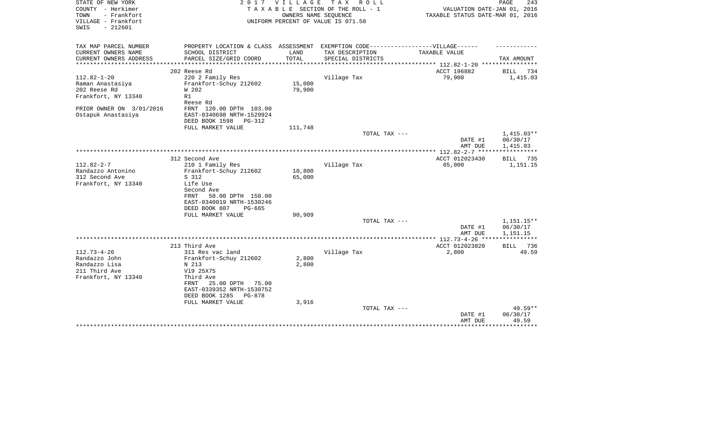| STATE OF NEW YORK<br>COUNTY - Herkimer<br>TOWN<br>- Frankfort | 2017                                                                              | VILLAGE | T A X<br>R O L L<br>TAXABLE SECTION OF THE ROLL - 1<br>OWNERS NAME SEQUENCE | VALUATION DATE-JAN 01, 2016<br>TAXABLE STATUS DATE-MAR 01, 2016 | PAGE<br>243             |
|---------------------------------------------------------------|-----------------------------------------------------------------------------------|---------|-----------------------------------------------------------------------------|-----------------------------------------------------------------|-------------------------|
| VILLAGE - Frankfort<br>$-212601$<br>SWIS                      |                                                                                   |         | UNIFORM PERCENT OF VALUE IS 071.50                                          |                                                                 |                         |
| TAX MAP PARCEL NUMBER                                         | PROPERTY LOCATION & CLASS ASSESSMENT EXEMPTION CODE-----------------VILLAGE------ |         |                                                                             |                                                                 |                         |
| CURRENT OWNERS NAME                                           | SCHOOL DISTRICT                                                                   | LAND    | TAX DESCRIPTION                                                             | <b>TAXABLE VALUE</b>                                            |                         |
| CURRENT OWNERS ADDRESS<br>**********************              | PARCEL SIZE/GRID COORD                                                            | TOTAL   | SPECIAL DISTRICTS                                                           |                                                                 | TAX AMOUNT              |
|                                                               | 202 Reese Rd                                                                      |         |                                                                             | ACCT 196882                                                     | BILL<br>734             |
| $112.82 - 1 - 20$                                             | 220 2 Family Res                                                                  |         | Village Tax                                                                 | 79,900                                                          | 1,415.03                |
| Raman Anastasiya                                              | Frankfort-Schuy 212602                                                            | 15,000  |                                                                             |                                                                 |                         |
| 202 Reese Rd                                                  | W 202                                                                             | 79,900  |                                                                             |                                                                 |                         |
| Frankfort, NY 13340                                           | R1                                                                                |         |                                                                             |                                                                 |                         |
|                                                               | Reese Rd                                                                          |         |                                                                             |                                                                 |                         |
| PRIOR OWNER ON 3/01/2016                                      | FRNT 120.00 DPTH 103.00<br>EAST-0340698 NRTH-1529924                              |         |                                                                             |                                                                 |                         |
| Ostapuk Anastasiya                                            | DEED BOOK 1598<br><b>PG-312</b>                                                   |         |                                                                             |                                                                 |                         |
|                                                               | FULL MARKET VALUE                                                                 | 111,748 |                                                                             |                                                                 |                         |
|                                                               |                                                                                   |         | TOTAL TAX ---                                                               |                                                                 | $1,415.03**$            |
|                                                               |                                                                                   |         |                                                                             | DATE #1                                                         | 06/30/17                |
|                                                               |                                                                                   |         |                                                                             | AMT DUE                                                         | 1,415.03                |
|                                                               |                                                                                   |         |                                                                             |                                                                 |                         |
| $112.82 - 2 - 7$                                              | 312 Second Ave<br>210 1 Family Res                                                |         | Village Tax                                                                 | ACCT 012023430<br>65,000                                        | BILL<br>735<br>1,151.15 |
| Randazzo Antonino                                             | Frankfort-Schuy 212602                                                            | 10,800  |                                                                             |                                                                 |                         |
| 312 Second Ave                                                | S 312                                                                             | 65,000  |                                                                             |                                                                 |                         |
| Frankfort, NY 13340                                           | Life Use                                                                          |         |                                                                             |                                                                 |                         |
|                                                               | Second Ave                                                                        |         |                                                                             |                                                                 |                         |
|                                                               | FRNT<br>50.00 DPTH 150.00                                                         |         |                                                                             |                                                                 |                         |
|                                                               | EAST-0340019 NRTH-1530246                                                         |         |                                                                             |                                                                 |                         |
|                                                               | DEED BOOK 887<br>PG-665                                                           |         |                                                                             |                                                                 |                         |
|                                                               | FULL MARKET VALUE                                                                 | 90,909  |                                                                             |                                                                 |                         |
|                                                               |                                                                                   |         | TOTAL TAX ---                                                               |                                                                 | 1,151.15**<br>06/30/17  |
|                                                               |                                                                                   |         |                                                                             | DATE #1<br>AMT DUE                                              | 1,151.15                |
|                                                               |                                                                                   |         |                                                                             | ************ 112.73-4-26 ***                                    |                         |
|                                                               | 213 Third Ave                                                                     |         |                                                                             | ACCT 012023820                                                  | 736<br><b>BILL</b>      |
| $112.73 - 4 - 26$                                             | 311 Res vac land                                                                  |         | Village Tax                                                                 | 2,800                                                           | 49.59                   |
| Randazzo John                                                 | Frankfort-Schuy 212602                                                            | 2,800   |                                                                             |                                                                 |                         |
| Randazzo Lisa                                                 | N 213                                                                             | 2,800   |                                                                             |                                                                 |                         |
| 211 Third Ave                                                 | V19 25X75                                                                         |         |                                                                             |                                                                 |                         |
| Frankfort, NY 13340                                           | Third Ave<br>25.00 DPTH<br>75.00<br>FRNT                                          |         |                                                                             |                                                                 |                         |
|                                                               | EAST-0339352 NRTH-1530752                                                         |         |                                                                             |                                                                 |                         |
|                                                               | DEED BOOK 1285<br><b>PG-878</b>                                                   |         |                                                                             |                                                                 |                         |
|                                                               | FULL MARKET VALUE                                                                 | 3,916   |                                                                             |                                                                 |                         |
|                                                               |                                                                                   |         | TOTAL TAX ---                                                               |                                                                 | 49.59**                 |
|                                                               |                                                                                   |         |                                                                             | DATE #1                                                         | 06/30/17                |
|                                                               |                                                                                   |         |                                                                             | AMT DUE                                                         | 49.59<br>********       |
|                                                               |                                                                                   |         |                                                                             |                                                                 |                         |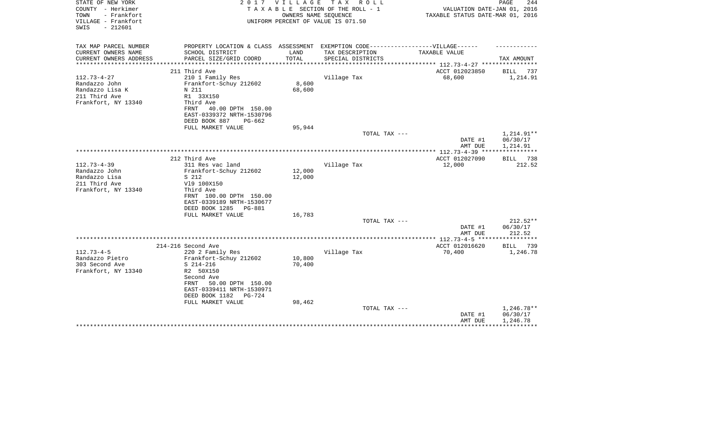| STATE OF NEW YORK<br>COUNTY - Herkimer<br>TOWN<br>- Frankfort | 2017                                                                              | VILLAGE       | T A X<br>R O L L<br>TAXABLE SECTION OF THE ROLL - 1<br>OWNERS NAME SEQUENCE | VALUATION DATE-JAN 01, 2016<br>TAXABLE STATUS DATE-MAR 01, 2016 | PAGE<br>244        |
|---------------------------------------------------------------|-----------------------------------------------------------------------------------|---------------|-----------------------------------------------------------------------------|-----------------------------------------------------------------|--------------------|
| VILLAGE - Frankfort<br>$-212601$<br>SWIS                      |                                                                                   |               | UNIFORM PERCENT OF VALUE IS 071.50                                          |                                                                 |                    |
| TAX MAP PARCEL NUMBER                                         | PROPERTY LOCATION & CLASS ASSESSMENT EXEMPTION CODE-----------------VILLAGE------ |               |                                                                             |                                                                 |                    |
| CURRENT OWNERS NAME                                           | SCHOOL DISTRICT<br>PARCEL SIZE/GRID COORD                                         | LAND<br>TOTAL | TAX DESCRIPTION                                                             | TAXABLE VALUE                                                   | TAX AMOUNT         |
| CURRENT OWNERS ADDRESS                                        |                                                                                   |               | SPECIAL DISTRICTS                                                           |                                                                 |                    |
|                                                               | 211 Third Ave                                                                     |               |                                                                             | ACCT 012023850                                                  | BILL<br>737        |
| $112.73 - 4 - 27$                                             | 210 1 Family Res                                                                  |               | Village Tax                                                                 | 68,600                                                          | 1,214.91           |
| Randazzo John                                                 | Frankfort-Schuy 212602                                                            | 8,600         |                                                                             |                                                                 |                    |
| Randazzo Lisa K                                               | N 211                                                                             | 68,600        |                                                                             |                                                                 |                    |
| 211 Third Ave                                                 | R1 33X150                                                                         |               |                                                                             |                                                                 |                    |
| Frankfort, NY 13340                                           | Third Ave<br>40.00 DPTH 150.00<br>FRNT                                            |               |                                                                             |                                                                 |                    |
|                                                               | EAST-0339372 NRTH-1530796                                                         |               |                                                                             |                                                                 |                    |
|                                                               | DEED BOOK 887<br>$PG-662$                                                         |               |                                                                             |                                                                 |                    |
|                                                               | FULL MARKET VALUE                                                                 | 95,944        |                                                                             |                                                                 |                    |
|                                                               |                                                                                   |               | TOTAL TAX ---                                                               |                                                                 | 1,214.91**         |
|                                                               |                                                                                   |               |                                                                             | DATE #1                                                         | 06/30/17           |
|                                                               |                                                                                   |               |                                                                             | AMT DUE                                                         | 1,214.91           |
|                                                               | 212 Third Ave                                                                     |               |                                                                             | ACCT 012027090                                                  | 738<br>BILL        |
| $112.73 - 4 - 39$                                             | 311 Res vac land                                                                  |               | Village Tax                                                                 | 12,000                                                          | 212.52             |
| Randazzo John                                                 | Frankfort-Schuy 212602                                                            | 12,000        |                                                                             |                                                                 |                    |
| Randazzo Lisa                                                 | S 212                                                                             | 12,000        |                                                                             |                                                                 |                    |
| 211 Third Ave                                                 | V19 100X150                                                                       |               |                                                                             |                                                                 |                    |
| Frankfort, NY 13340                                           | Third Ave                                                                         |               |                                                                             |                                                                 |                    |
|                                                               | FRNT 100.00 DPTH 150.00<br>EAST-0339189 NRTH-1530677                              |               |                                                                             |                                                                 |                    |
|                                                               | DEED BOOK 1285<br>PG-881                                                          |               |                                                                             |                                                                 |                    |
|                                                               | FULL MARKET VALUE                                                                 | 16,783        |                                                                             |                                                                 |                    |
|                                                               |                                                                                   |               | TOTAL TAX ---                                                               |                                                                 | 212.52**           |
|                                                               |                                                                                   |               |                                                                             | DATE #1                                                         | 06/30/17           |
|                                                               |                                                                                   |               |                                                                             | AMT DUE                                                         | 212.52             |
|                                                               | 214-216 Second Ave                                                                |               |                                                                             | ACCT 012016620                                                  | 739<br><b>BILL</b> |
| $112.73 - 4 - 5$                                              | 220 2 Family Res                                                                  |               | Village Tax                                                                 | 70,400                                                          | 1,246.78           |
| Randazzo Pietro                                               | Frankfort-Schuy 212602                                                            | 10,800        |                                                                             |                                                                 |                    |
| 303 Second Ave                                                | $S$ 214-216                                                                       | 70,400        |                                                                             |                                                                 |                    |
| Frankfort, NY 13340                                           | R2 50X150                                                                         |               |                                                                             |                                                                 |                    |
|                                                               | Second Ave                                                                        |               |                                                                             |                                                                 |                    |
|                                                               | 50.00 DPTH 150.00<br>FRNT<br>EAST-0339411 NRTH-1530971                            |               |                                                                             |                                                                 |                    |
|                                                               | DEED BOOK 1182<br>$PG-724$                                                        |               |                                                                             |                                                                 |                    |
|                                                               | FULL MARKET VALUE                                                                 | 98,462        |                                                                             |                                                                 |                    |
|                                                               |                                                                                   |               | TOTAL TAX ---                                                               |                                                                 | 1,246.78**         |
|                                                               |                                                                                   |               |                                                                             | DATE #1                                                         | 06/30/17           |
|                                                               |                                                                                   |               |                                                                             | AMT DUE                                                         | 1,246.78           |
|                                                               |                                                                                   |               |                                                                             |                                                                 |                    |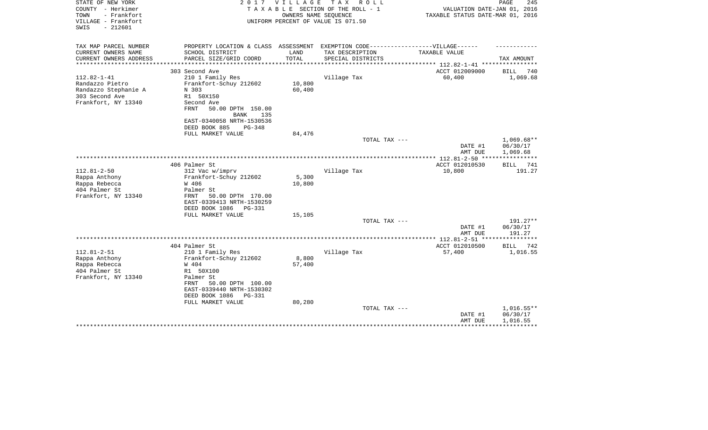| STATE OF NEW YORK<br>COUNTY - Herkimer<br>- Frankfort<br>TOWN<br>VILLAGE - Frankfort<br>$-212601$<br>SWIS | 2 0 1 7                                                | <b>VILLAGE</b> | T A X<br>R O L L<br>TAXABLE SECTION OF THE ROLL - 1<br>OWNERS NAME SEQUENCE<br>UNIFORM PERCENT OF VALUE IS 071.50 | VALUATION DATE-JAN 01, 2016<br>TAXABLE STATUS DATE-MAR 01, 2016 | 245<br>PAGE          |
|-----------------------------------------------------------------------------------------------------------|--------------------------------------------------------|----------------|-------------------------------------------------------------------------------------------------------------------|-----------------------------------------------------------------|----------------------|
| TAX MAP PARCEL NUMBER                                                                                     | PROPERTY LOCATION & CLASS ASSESSMENT                   |                | EXEMPTION CODE------------------VILLAGE------                                                                     |                                                                 |                      |
| CURRENT OWNERS NAME                                                                                       | SCHOOL DISTRICT                                        | LAND           | TAX DESCRIPTION                                                                                                   | TAXABLE VALUE                                                   |                      |
| CURRENT OWNERS ADDRESS<br>**********************                                                          | PARCEL SIZE/GRID COORD                                 | TOTAL          | SPECIAL DISTRICTS                                                                                                 |                                                                 | TAX AMOUNT           |
|                                                                                                           | 303 Second Ave                                         |                |                                                                                                                   | ACCT 012009000                                                  | <b>BILL</b><br>740   |
| $112.82 - 1 - 41$                                                                                         | 210 1 Family Res                                       |                | Village Tax                                                                                                       | 60,400                                                          | 1,069.68             |
| Randazzo Pietro                                                                                           | Frankfort-Schuy 212602                                 | 10,800         |                                                                                                                   |                                                                 |                      |
| Randazzo Stephanie A                                                                                      | N 303                                                  | 60,400         |                                                                                                                   |                                                                 |                      |
| 303 Second Ave                                                                                            | R1 50X150                                              |                |                                                                                                                   |                                                                 |                      |
| Frankfort, NY 13340                                                                                       | Second Ave                                             |                |                                                                                                                   |                                                                 |                      |
|                                                                                                           | 50.00 DPTH 150.00<br><b>FRNT</b>                       |                |                                                                                                                   |                                                                 |                      |
|                                                                                                           | <b>BANK</b><br>135                                     |                |                                                                                                                   |                                                                 |                      |
|                                                                                                           | EAST-0340058 NRTH-1530536<br>DEED BOOK 885<br>$PG-348$ |                |                                                                                                                   |                                                                 |                      |
|                                                                                                           | FULL MARKET VALUE                                      | 84,476         |                                                                                                                   |                                                                 |                      |
|                                                                                                           |                                                        |                | TOTAL TAX ---                                                                                                     |                                                                 | $1,069.68**$         |
|                                                                                                           |                                                        |                |                                                                                                                   | DATE #1                                                         | 06/30/17             |
|                                                                                                           |                                                        |                |                                                                                                                   | AMT DUE                                                         | 1,069.68             |
|                                                                                                           |                                                        |                |                                                                                                                   |                                                                 |                      |
|                                                                                                           | 406 Palmer St                                          |                |                                                                                                                   | ACCT 012010530                                                  | 741<br><b>BILL</b>   |
| $112.81 - 2 - 50$                                                                                         | 312 Vac w/imprv                                        |                | Village Tax                                                                                                       | 10,800                                                          | 191.27               |
| Rappa Anthony                                                                                             | Frankfort-Schuy 212602                                 | 5,300          |                                                                                                                   |                                                                 |                      |
| Rappa Rebecca<br>404 Palmer St                                                                            | W 406<br>Palmer St                                     | 10,800         |                                                                                                                   |                                                                 |                      |
| Frankfort, NY 13340                                                                                       | 50.00 DPTH 170.00<br>FRNT                              |                |                                                                                                                   |                                                                 |                      |
|                                                                                                           | EAST-0339413 NRTH-1530259                              |                |                                                                                                                   |                                                                 |                      |
|                                                                                                           | DEED BOOK 1086<br>PG-331                               |                |                                                                                                                   |                                                                 |                      |
|                                                                                                           | FULL MARKET VALUE                                      | 15,105         |                                                                                                                   |                                                                 |                      |
|                                                                                                           |                                                        |                | TOTAL TAX ---                                                                                                     |                                                                 | $191.27**$           |
|                                                                                                           |                                                        |                |                                                                                                                   | DATE #1                                                         | 06/30/17             |
|                                                                                                           |                                                        |                |                                                                                                                   | AMT DUE                                                         | 191.27               |
|                                                                                                           |                                                        |                |                                                                                                                   |                                                                 |                      |
|                                                                                                           | 404 Palmer St                                          |                |                                                                                                                   | ACCT 012010500                                                  | 742<br><b>BILL</b>   |
| $112.81 - 2 - 51$<br>Rappa Anthony                                                                        | 210 1 Family Res<br>Frankfort-Schuy 212602             | 8,800          | Village Tax                                                                                                       | 57,400                                                          | 1,016.55             |
| Rappa Rebecca                                                                                             | W 404                                                  | 57,400         |                                                                                                                   |                                                                 |                      |
| 404 Palmer St                                                                                             | R1 50X100                                              |                |                                                                                                                   |                                                                 |                      |
| Frankfort, NY 13340                                                                                       | Palmer St                                              |                |                                                                                                                   |                                                                 |                      |
|                                                                                                           | 50.00 DPTH 100.00<br>FRNT                              |                |                                                                                                                   |                                                                 |                      |
|                                                                                                           | EAST-0339440 NRTH-1530302                              |                |                                                                                                                   |                                                                 |                      |
|                                                                                                           | DEED BOOK 1086<br>PG-331                               |                |                                                                                                                   |                                                                 |                      |
|                                                                                                           | FULL MARKET VALUE                                      | 80,280         |                                                                                                                   |                                                                 |                      |
|                                                                                                           |                                                        |                | TOTAL TAX ---                                                                                                     |                                                                 | $1,016.55**$         |
|                                                                                                           |                                                        |                |                                                                                                                   | DATE #1<br>AMT DUE                                              | 06/30/17<br>1,016.55 |
|                                                                                                           |                                                        |                |                                                                                                                   |                                                                 |                      |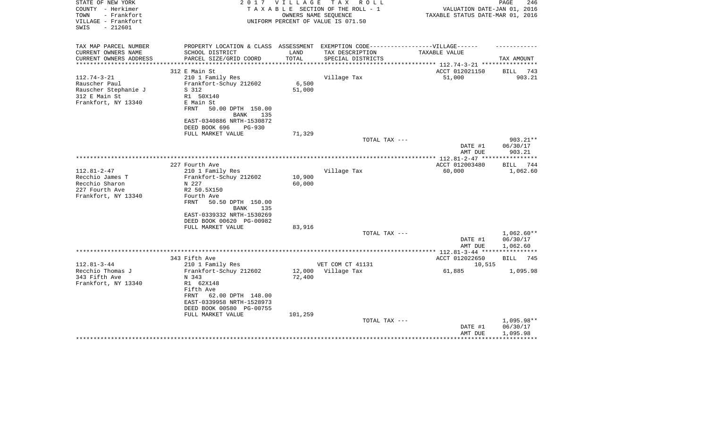| STATE OF NEW YORK<br>COUNTY - Herkimer<br>- Frankfort<br>TOWN<br>VILLAGE - Frankfort<br>$-212601$<br>SWIS              | 2 0 1 7                                                                                                                                                                                                   | V I L L A G E               | TAX ROLL<br>TAXABLE SECTION OF THE ROLL - 1<br>OWNERS NAME SEOUENCE<br>UNIFORM PERCENT OF VALUE IS 071.50 | VALUATION DATE-JAN 01, 2016<br>TAXABLE STATUS DATE-MAR 01, 2016 | PAGE<br>246                          |
|------------------------------------------------------------------------------------------------------------------------|-----------------------------------------------------------------------------------------------------------------------------------------------------------------------------------------------------------|-----------------------------|-----------------------------------------------------------------------------------------------------------|-----------------------------------------------------------------|--------------------------------------|
| TAX MAP PARCEL NUMBER<br>CURRENT OWNERS NAME<br>CURRENT OWNERS ADDRESS<br>***********************<br>$112.74 - 3 - 21$ | PROPERTY LOCATION & CLASS ASSESSMENT EXEMPTION CODE-----------------VILLAGE------<br>SCHOOL DISTRICT<br>PARCEL SIZE/GRID COORD<br>312 E Main St<br>210 1 Family Res                                       | LAND<br>TOTAL               | TAX DESCRIPTION<br>SPECIAL DISTRICTS<br>Village Tax                                                       | TAXABLE VALUE<br>ACCT 012021150<br>51,000                       | TAX AMOUNT<br>BILL 743<br>903.21     |
| Rauscher Paul<br>Rauscher Stephanie J<br>312 E Main St<br>Frankfort, NY 13340                                          | Frankfort-Schuy 212602<br>S 312<br>R1 50X140<br>E Main St<br>FRNT<br>50.00 DPTH 150.00<br>BANK<br>135<br>EAST-0340886 NRTH-1530872<br>DEED BOOK 696<br><b>PG-930</b><br>FULL MARKET VALUE                 | 6,500<br>51,000<br>71,329   |                                                                                                           |                                                                 |                                      |
|                                                                                                                        |                                                                                                                                                                                                           |                             | TOTAL TAX ---                                                                                             |                                                                 | 903.21**                             |
|                                                                                                                        |                                                                                                                                                                                                           |                             |                                                                                                           | DATE #1<br>AMT DUE                                              | 06/30/17<br>903.21                   |
|                                                                                                                        | 227 Fourth Ave                                                                                                                                                                                            |                             |                                                                                                           | ACCT 012003480                                                  | BILL 744                             |
| $112.81 - 2 - 47$<br>Recchio James T<br>Recchio Sharon<br>227 Fourth Ave<br>Frankfort, NY 13340                        | 210 1 Family Res<br>Frankfort-Schuy 212602<br>N 227<br>R2 50.5X150<br>Fourth Ave<br>50.50 DPTH 150.00<br>FRNT<br><b>BANK</b><br>135<br>EAST-0339332 NRTH-1530269<br>DEED BOOK 00620 PG-00982              | 10,900<br>60,000            | Village Tax                                                                                               | 60,000                                                          | 1,062.60                             |
|                                                                                                                        | FULL MARKET VALUE                                                                                                                                                                                         | 83,916                      |                                                                                                           |                                                                 |                                      |
|                                                                                                                        |                                                                                                                                                                                                           |                             | TOTAL TAX ---                                                                                             | DATE #1<br>AMT DUE                                              | $1,062.60**$<br>06/30/17<br>1,062.60 |
|                                                                                                                        |                                                                                                                                                                                                           |                             |                                                                                                           |                                                                 |                                      |
| $112.81 - 3 - 44$<br>Recchio Thomas J<br>343 Fifth Ave<br>Frankfort, NY 13340                                          | 343 Fifth Ave<br>210 1 Family Res<br>Frankfort-Schuy 212602<br>N 343<br>R1 62X148<br>Fifth Ave<br>62.00 DPTH 148.00<br>FRNT<br>EAST-0339958 NRTH-1528973<br>DEED BOOK 00580 PG-00755<br>FULL MARKET VALUE | 12,000<br>72,400<br>101,259 | VET COM CT 41131<br>Village Tax                                                                           | ACCT 012022650<br>10,515<br>61,885                              | <b>BILL</b><br>745<br>1,095.98       |
|                                                                                                                        |                                                                                                                                                                                                           |                             | TOTAL TAX ---                                                                                             | DATE #1<br>AMT DUE                                              | 1,095.98**<br>06/30/17<br>1,095.98   |
|                                                                                                                        |                                                                                                                                                                                                           |                             |                                                                                                           |                                                                 |                                      |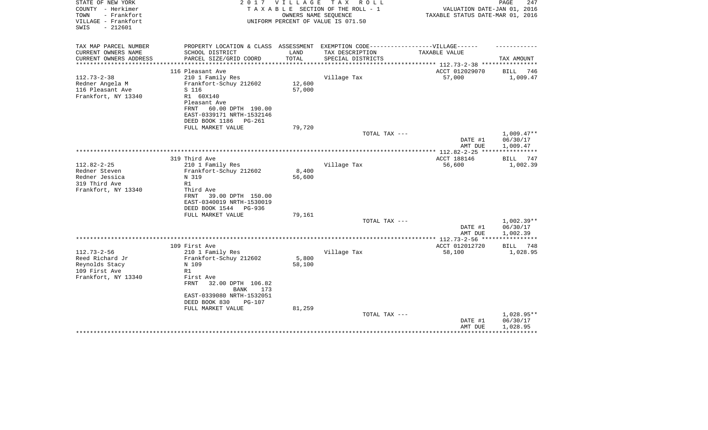| STATE OF NEW YORK<br>COUNTY - Herkimer<br>TOWN<br>- Frankfort<br>VILLAGE - Frankfort<br>$-212601$<br>SWIS | 2017                                                                              | <b>VILLAGE</b>                       | T A X<br>R O L L<br>TAXABLE SECTION OF THE ROLL - 1<br>OWNERS NAME SEQUENCE<br>UNIFORM PERCENT OF VALUE IS 071.50 | VALUATION DATE-JAN 01, 2016<br>TAXABLE STATUS DATE-MAR 01, 2016 | PAGE<br>247            |
|-----------------------------------------------------------------------------------------------------------|-----------------------------------------------------------------------------------|--------------------------------------|-------------------------------------------------------------------------------------------------------------------|-----------------------------------------------------------------|------------------------|
| TAX MAP PARCEL NUMBER                                                                                     | PROPERTY LOCATION & CLASS ASSESSMENT EXEMPTION CODE-----------------VILLAGE------ |                                      |                                                                                                                   |                                                                 |                        |
| CURRENT OWNERS NAME                                                                                       | SCHOOL DISTRICT                                                                   | LAND                                 | TAX DESCRIPTION                                                                                                   | TAXABLE VALUE                                                   |                        |
| CURRENT OWNERS ADDRESS<br>*********************                                                           | PARCEL SIZE/GRID COORD<br>***************************                             | TOTAL<br>* * * * * * * * * * * * * * | SPECIAL DISTRICTS                                                                                                 | ************************************* 112.73-2-38 ************  | TAX AMOUNT             |
|                                                                                                           | 116 Pleasant Ave                                                                  |                                      |                                                                                                                   | ACCT 012029070                                                  | 746<br>BILL            |
| $112.73 - 2 - 38$                                                                                         | 210 1 Family Res                                                                  |                                      | Village Tax                                                                                                       | 57,000                                                          | 1,009.47               |
| Redner Angela M                                                                                           | Frankfort-Schuy 212602                                                            | 12,600                               |                                                                                                                   |                                                                 |                        |
| 116 Pleasant Ave                                                                                          | S 116                                                                             | 57,000                               |                                                                                                                   |                                                                 |                        |
| Frankfort, NY 13340                                                                                       | R1 60X140                                                                         |                                      |                                                                                                                   |                                                                 |                        |
|                                                                                                           | Pleasant Ave                                                                      |                                      |                                                                                                                   |                                                                 |                        |
|                                                                                                           | 60.00 DPTH 190.00<br>FRNT<br>EAST-0339171 NRTH-1532146                            |                                      |                                                                                                                   |                                                                 |                        |
|                                                                                                           | DEED BOOK 1186<br><b>PG-261</b>                                                   |                                      |                                                                                                                   |                                                                 |                        |
|                                                                                                           | FULL MARKET VALUE                                                                 | 79,720                               |                                                                                                                   |                                                                 |                        |
|                                                                                                           |                                                                                   |                                      | TOTAL TAX ---                                                                                                     |                                                                 | $1,009.47**$           |
|                                                                                                           |                                                                                   |                                      |                                                                                                                   | DATE #1                                                         | 06/30/17               |
|                                                                                                           |                                                                                   |                                      |                                                                                                                   | AMT DUE<br>************** 112.82-2-25 ***                       | 1,009.47               |
|                                                                                                           | 319 Third Ave                                                                     |                                      |                                                                                                                   | ACCT 188146                                                     | BILL<br>747            |
| $112.82 - 2 - 25$                                                                                         | 210 1 Family Res                                                                  |                                      | Village Tax                                                                                                       | 56,600                                                          | 1,002.39               |
| Redner Steven                                                                                             | Frankfort-Schuy 212602                                                            | 8,400                                |                                                                                                                   |                                                                 |                        |
| Redner Jessica                                                                                            | N 319                                                                             | 56,600                               |                                                                                                                   |                                                                 |                        |
| 319 Third Ave                                                                                             | R1                                                                                |                                      |                                                                                                                   |                                                                 |                        |
| Frankfort, NY 13340                                                                                       | Third Ave<br>FRNT<br>39.00 DPTH 150.00                                            |                                      |                                                                                                                   |                                                                 |                        |
|                                                                                                           | EAST-0340019 NRTH-1530019                                                         |                                      |                                                                                                                   |                                                                 |                        |
|                                                                                                           | DEED BOOK 1544 PG-936                                                             |                                      |                                                                                                                   |                                                                 |                        |
|                                                                                                           | FULL MARKET VALUE                                                                 | 79,161                               |                                                                                                                   |                                                                 |                        |
|                                                                                                           |                                                                                   |                                      | TOTAL TAX ---                                                                                                     |                                                                 | $1,002.39**$           |
|                                                                                                           |                                                                                   |                                      |                                                                                                                   | DATE #1<br>AMT DUE                                              | 06/30/17<br>1,002.39   |
|                                                                                                           |                                                                                   |                                      |                                                                                                                   | **************** 112.73-2-56 ****                               | ************           |
|                                                                                                           | 109 First Ave                                                                     |                                      |                                                                                                                   | ACCT 012012720                                                  | BILL 748               |
| $112.73 - 2 - 56$                                                                                         | 210 1 Family Res                                                                  |                                      | Village Tax                                                                                                       | 58,100                                                          | 1,028.95               |
| Reed Richard Jr                                                                                           | Frankfort-Schuy 212602                                                            | 5,800                                |                                                                                                                   |                                                                 |                        |
| Reynolds Stacy                                                                                            | N 109                                                                             | 58,100                               |                                                                                                                   |                                                                 |                        |
| 109 First Ave<br>Frankfort, NY 13340                                                                      | R1<br>First Ave                                                                   |                                      |                                                                                                                   |                                                                 |                        |
|                                                                                                           | <b>FRNT</b><br>32.00 DPTH 106.82                                                  |                                      |                                                                                                                   |                                                                 |                        |
|                                                                                                           | <b>BANK</b><br>173                                                                |                                      |                                                                                                                   |                                                                 |                        |
|                                                                                                           | EAST-0339080 NRTH-1532051                                                         |                                      |                                                                                                                   |                                                                 |                        |
|                                                                                                           | DEED BOOK 830<br>PG-107                                                           |                                      |                                                                                                                   |                                                                 |                        |
|                                                                                                           | FULL MARKET VALUE                                                                 | 81,259                               |                                                                                                                   |                                                                 |                        |
|                                                                                                           |                                                                                   |                                      | TOTAL TAX ---                                                                                                     | DATE #1                                                         | 1,028.95**<br>06/30/17 |
|                                                                                                           |                                                                                   |                                      |                                                                                                                   | AMT DUE                                                         | 1,028.95               |
|                                                                                                           |                                                                                   |                                      |                                                                                                                   |                                                                 |                        |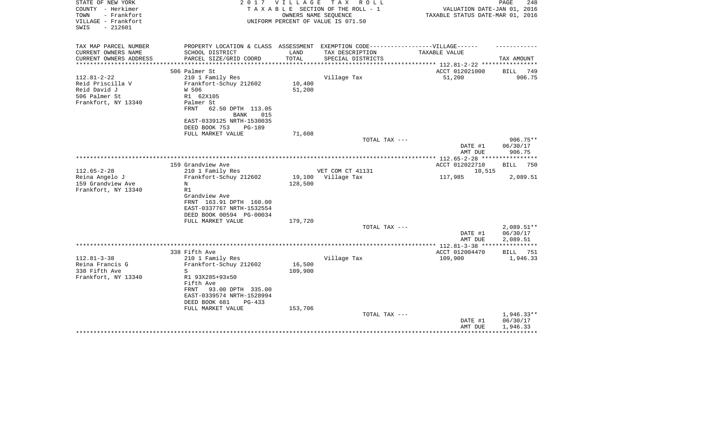| STATE OF NEW YORK<br>COUNTY - Herkimer<br>- Frankfort<br>TOWN | 2 0 1 7                                                                          | VILLAGE                  | T A X<br>R O L L<br>TAXABLE SECTION OF THE ROLL - 1<br>OWNERS NAME SEQUENCE | VALUATION DATE-JAN 01, 2016<br>TAXABLE STATUS DATE-MAR 01, 2016    | 248<br>PAGE        |
|---------------------------------------------------------------|----------------------------------------------------------------------------------|--------------------------|-----------------------------------------------------------------------------|--------------------------------------------------------------------|--------------------|
| VILLAGE - Frankfort<br>$-212601$<br>SWIS                      |                                                                                  |                          | UNIFORM PERCENT OF VALUE IS 071.50                                          |                                                                    |                    |
| TAX MAP PARCEL NUMBER                                         | PROPERTY LOCATION & CLASS ASSESSMENT EXEMPTION CODE----------------VILLAGE------ |                          |                                                                             |                                                                    |                    |
| CURRENT OWNERS NAME                                           | SCHOOL DISTRICT                                                                  | LAND                     | TAX DESCRIPTION                                                             | TAXABLE VALUE                                                      |                    |
| CURRENT OWNERS ADDRESS<br>*************                       | PARCEL SIZE/GRID COORD                                                           | TOTAL<br>*************** | SPECIAL DISTRICTS                                                           |                                                                    | TAX AMOUNT         |
|                                                               | 506 Palmer St                                                                    |                          |                                                                             | ******************* 112.81-2-22 ****************<br>ACCT 012021000 | 749<br>BILL        |
| $112.81 - 2 - 22$                                             | 210 1 Family Res                                                                 |                          | Village Tax                                                                 | 51,200                                                             | 906.75             |
| Reid Priscilla V                                              | Frankfort-Schuy 212602                                                           | 10,400                   |                                                                             |                                                                    |                    |
| Reid David J                                                  | W 506                                                                            | 51,200                   |                                                                             |                                                                    |                    |
| 506 Palmer St                                                 | R1 62X105                                                                        |                          |                                                                             |                                                                    |                    |
| Frankfort, NY 13340                                           | Palmer St                                                                        |                          |                                                                             |                                                                    |                    |
|                                                               | FRNT<br>62.50 DPTH 113.05                                                        |                          |                                                                             |                                                                    |                    |
|                                                               | 015<br>BANK                                                                      |                          |                                                                             |                                                                    |                    |
|                                                               | EAST-0339125 NRTH-1530035                                                        |                          |                                                                             |                                                                    |                    |
|                                                               | DEED BOOK 753<br>PG-189<br>FULL MARKET VALUE                                     | 71,608                   |                                                                             |                                                                    |                    |
|                                                               |                                                                                  |                          | TOTAL TAX ---                                                               |                                                                    | $906.75**$         |
|                                                               |                                                                                  |                          |                                                                             | DATE #1<br>AMT DUE                                                 | 06/30/17<br>906.75 |
|                                                               |                                                                                  |                          |                                                                             | *** 112.65-2-28 ****                                               | * * * * * * * * *  |
|                                                               | 159 Grandview Ave                                                                |                          |                                                                             | ACCT 012022710                                                     | <b>BILL</b><br>750 |
| $112.65 - 2 - 28$                                             | 210 1 Family Res                                                                 |                          | VET COM CT 41131                                                            | 10,515                                                             |                    |
| Reina Angelo J                                                | Frankfort-Schuy 212602                                                           | 19,100                   | Village Tax                                                                 | 117,985                                                            | 2,089.51           |
| 159 Grandview Ave                                             | N                                                                                | 128,500                  |                                                                             |                                                                    |                    |
| Frankfort, NY 13340                                           | R1<br>Grandview Ave                                                              |                          |                                                                             |                                                                    |                    |
|                                                               | FRNT 163.91 DPTH 160.00                                                          |                          |                                                                             |                                                                    |                    |
|                                                               | EAST-0337767 NRTH-1532554                                                        |                          |                                                                             |                                                                    |                    |
|                                                               | DEED BOOK 00594 PG-00034                                                         |                          |                                                                             |                                                                    |                    |
|                                                               | FULL MARKET VALUE                                                                | 179,720                  |                                                                             |                                                                    |                    |
|                                                               |                                                                                  |                          | TOTAL TAX ---                                                               |                                                                    | 2,089.51**         |
|                                                               |                                                                                  |                          |                                                                             | DATE #1                                                            | 06/30/17           |
|                                                               |                                                                                  |                          |                                                                             | AMT DUE                                                            | 2,089.51           |
|                                                               | 338 Fifth Ave                                                                    |                          |                                                                             | ACCT 012004470                                                     | <b>BILL</b> 751    |
| $112.81 - 3 - 38$                                             | 210 1 Family Res                                                                 |                          | Village Tax                                                                 | 109,900                                                            | 1,946.33           |
| Reina Francis G                                               | Frankfort-Schuy 212602                                                           | 16,500                   |                                                                             |                                                                    |                    |
| 338 Fifth Ave                                                 | S                                                                                | 109,900                  |                                                                             |                                                                    |                    |
| Frankfort, NY 13340                                           | R1 93X285+93x50                                                                  |                          |                                                                             |                                                                    |                    |
|                                                               | Fifth Ave                                                                        |                          |                                                                             |                                                                    |                    |
|                                                               | 93.00 DPTH 335.00<br>FRNT                                                        |                          |                                                                             |                                                                    |                    |
|                                                               | EAST-0339574 NRTH-1528994                                                        |                          |                                                                             |                                                                    |                    |
|                                                               | DEED BOOK 681<br>$PG-433$                                                        |                          |                                                                             |                                                                    |                    |
|                                                               | FULL MARKET VALUE                                                                | 153,706                  | TOTAL TAX ---                                                               |                                                                    | $1.946.33**$       |
|                                                               |                                                                                  |                          |                                                                             | DATE #1                                                            | 06/30/17           |
|                                                               |                                                                                  |                          |                                                                             | AMT DUE                                                            | 1,946.33           |
|                                                               |                                                                                  |                          |                                                                             |                                                                    |                    |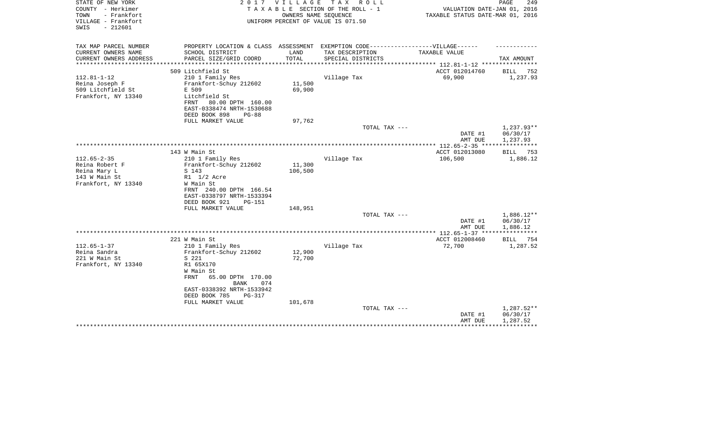| STATE OF NEW YORK<br>COUNTY - Herkimer<br>- Frankfort<br>TOWN<br>VILLAGE - Frankfort<br>SWIS<br>$-212601$ | 2017                                                                                                                                                                                           | <b>VILLAGE</b><br>OWNERS NAME SEQUENCE | TAX ROLL<br>TAXABLE SECTION OF THE ROLL - 1<br>UNIFORM PERCENT OF VALUE IS 071.50 | VALUATION DATE-JAN 01, 2016<br>TAXABLE STATUS DATE-MAR 01, 2016 | 249<br>PAGE                          |
|-----------------------------------------------------------------------------------------------------------|------------------------------------------------------------------------------------------------------------------------------------------------------------------------------------------------|----------------------------------------|-----------------------------------------------------------------------------------|-----------------------------------------------------------------|--------------------------------------|
| TAX MAP PARCEL NUMBER<br>CURRENT OWNERS NAME                                                              | PROPERTY LOCATION & CLASS ASSESSMENT EXEMPTION CODE----------------VILLAGE------<br>SCHOOL DISTRICT                                                                                            | LAND                                   | TAX DESCRIPTION                                                                   | TAXABLE VALUE                                                   |                                      |
| CURRENT OWNERS ADDRESS                                                                                    | PARCEL SIZE/GRID COORD                                                                                                                                                                         | TOTAL                                  | SPECIAL DISTRICTS                                                                 |                                                                 | TAX AMOUNT                           |
| ********************                                                                                      | ***************************                                                                                                                                                                    | ********************                   |                                                                                   | ******************** 112.81-1-12 *****************              |                                      |
| $112.81 - 1 - 12$                                                                                         | 509 Litchfield St                                                                                                                                                                              |                                        |                                                                                   | ACCT 012014760                                                  | BILL 752                             |
| Reina Joseph F<br>509 Litchfield St<br>Frankfort, NY 13340                                                | 210 1 Family Res<br>Frankfort-Schuy 212602<br>E 509<br>Litchfield St<br>FRNT<br>80.00 DPTH 160.00<br>EAST-0338474 NRTH-1530688<br>DEED BOOK 898<br>$PG-88$                                     | 11,500<br>69,900                       | Village Tax                                                                       | 69,900                                                          | 1,237.93                             |
|                                                                                                           | FULL MARKET VALUE                                                                                                                                                                              | 97,762                                 |                                                                                   |                                                                 |                                      |
|                                                                                                           |                                                                                                                                                                                                |                                        | TOTAL TAX ---                                                                     | DATE #1<br>AMT DUE                                              | $1,237.93**$<br>06/30/17<br>1,237.93 |
|                                                                                                           |                                                                                                                                                                                                |                                        |                                                                                   |                                                                 | ***********                          |
|                                                                                                           | 143 W Main St                                                                                                                                                                                  |                                        |                                                                                   | ACCT 012013080                                                  | BILL 753                             |
| $112.65 - 2 - 35$<br>Reina Robert F<br>Reina Mary L<br>143 W Main St<br>Frankfort, NY 13340               | 210 1 Family Res<br>Frankfort-Schuy 212602<br>S 143<br>R1 1/2 Acre<br>W Main St<br>FRNT 240.00 DPTH 166.54<br>EAST-0338797 NRTH-1533394<br>DEED BOOK 921<br><b>PG-151</b><br>FULL MARKET VALUE | 11,300<br>106,500<br>148,951           | Village Tax                                                                       | 106,500                                                         | 1,886.12                             |
|                                                                                                           |                                                                                                                                                                                                |                                        | TOTAL TAX ---                                                                     |                                                                 | 1,886.12**                           |
|                                                                                                           |                                                                                                                                                                                                |                                        |                                                                                   | DATE #1<br>AMT DUE                                              | 06/30/17<br>1,886.12                 |
|                                                                                                           |                                                                                                                                                                                                |                                        |                                                                                   |                                                                 |                                      |
| $112.65 - 1 - 37$<br>Reina Sandra<br>221 W Main St<br>Frankfort, NY 13340                                 | 221 W Main St<br>210 1 Family Res<br>Frankfort-Schuy 212602<br>S 221<br>R1 65X170<br>W Main St<br>65.00 DPTH 170.00<br>FRNT<br><b>BANK</b><br>074                                              | 12,900<br>72,700                       | Village Tax                                                                       | ACCT 012008460<br>72,700                                        | <b>BILL</b><br>754<br>1,287.52       |
|                                                                                                           | EAST-0338392 NRTH-1533942<br>DEED BOOK 785<br><b>PG-317</b><br>FULL MARKET VALUE                                                                                                               | 101,678                                | TOTAL TAX ---                                                                     |                                                                 | $1,287.52**$                         |
|                                                                                                           |                                                                                                                                                                                                |                                        |                                                                                   | DATE #1<br>AMT DUE                                              | 06/30/17<br>1,287.52                 |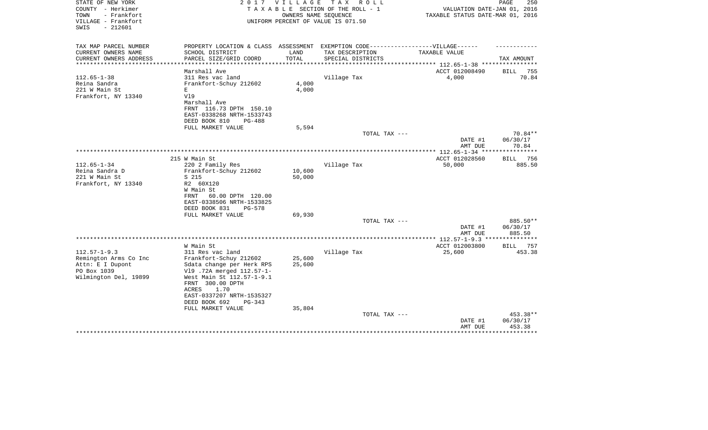| TAX MAP PARCEL NUMBER<br>PROPERTY LOCATION & CLASS ASSESSMENT EXEMPTION CODE-----------------VILLAGE------                         |               |
|------------------------------------------------------------------------------------------------------------------------------------|---------------|
| CURRENT OWNERS NAME<br>SCHOOL DISTRICT<br>LAND<br>TAX DESCRIPTION<br>TAXABLE VALUE                                                 |               |
| TOTAL<br>CURRENT OWNERS ADDRESS<br>PARCEL SIZE/GRID COORD<br>SPECIAL DISTRICTS<br>TAX AMOUNT<br>***********<br>******************* |               |
| Marshall Ave<br>ACCT 012008490<br><b>BILL</b>                                                                                      | 755           |
| $112.65 - 1 - 38$<br>311 Res vac land<br>Village Tax<br>4,000                                                                      | 70.84         |
| 4,000<br>Reina Sandra<br>Frankfort-Schuy 212602                                                                                    |               |
| 221 W Main St<br>4,000<br>Ε                                                                                                        |               |
| Frankfort, NY 13340<br>V19                                                                                                         |               |
| Marshall Ave                                                                                                                       |               |
| FRNT 116.73 DPTH 150.10                                                                                                            |               |
| EAST-0338268 NRTH-1533743                                                                                                          |               |
| DEED BOOK 810<br><b>PG-488</b>                                                                                                     |               |
| FULL MARKET VALUE<br>5,594<br>70.84**<br>TOTAL TAX ---                                                                             |               |
| DATE #1<br>06/30/17                                                                                                                |               |
| 70.84<br>AMT DUE                                                                                                                   |               |
| **** 112.65-1-34 ***                                                                                                               |               |
| 215 W Main St<br>ACCT 012028560<br>BILL 756                                                                                        |               |
| 50,000<br>$112.65 - 1 - 34$<br>220 2 Family Res<br>Village Tax                                                                     | 885.50        |
| Reina Sandra D<br>Frankfort-Schuy 212602<br>10,600                                                                                 |               |
| 221 W Main St<br>S 215<br>50,000                                                                                                   |               |
| Frankfort, NY 13340<br>R2 60X120                                                                                                   |               |
| W Main St<br>60.00 DPTH 120.00<br>FRNT                                                                                             |               |
| EAST-0338506 NRTH-1533825                                                                                                          |               |
| DEED BOOK 831<br>PG-578                                                                                                            |               |
| 69,930<br>FULL MARKET VALUE                                                                                                        |               |
| 885.50**<br>TOTAL TAX ---                                                                                                          |               |
| DATE #1<br>06/30/17                                                                                                                |               |
| AMT DUE<br>885.50                                                                                                                  |               |
| ** $112.57 - 1 - 9.3$ **<br>********                                                                                               |               |
| W Main St<br>ACCT 012003800<br><b>BILL</b><br>$112.57 - 1 - 9.3$<br>25,600                                                         | 757<br>453.38 |
| 311 Res vac land<br>Village Tax<br>Frankfort-Schuy 212602<br>25,600<br>Remington Arms Co Inc                                       |               |
| Attn: E I Dupont<br>25,600<br>Sdata change per Herk RPS                                                                            |               |
| PO Box 1039<br>V19 .72A merged 112.57-1-                                                                                           |               |
| Wilmington Del, 19899<br>West Main St 112.57-1-9.1                                                                                 |               |
| FRNT 300.00 DPTH                                                                                                                   |               |
| ACRES<br>1.70                                                                                                                      |               |
| EAST-0337207 NRTH-1535327                                                                                                          |               |
| DEED BOOK 692<br>PG-343                                                                                                            |               |
| 35,804<br>FULL MARKET VALUE                                                                                                        |               |
| 453.38**<br>TOTAL TAX ---                                                                                                          |               |
| DATE #1<br>06/30/17<br>AMT DUE<br>453.38                                                                                           |               |
|                                                                                                                                    |               |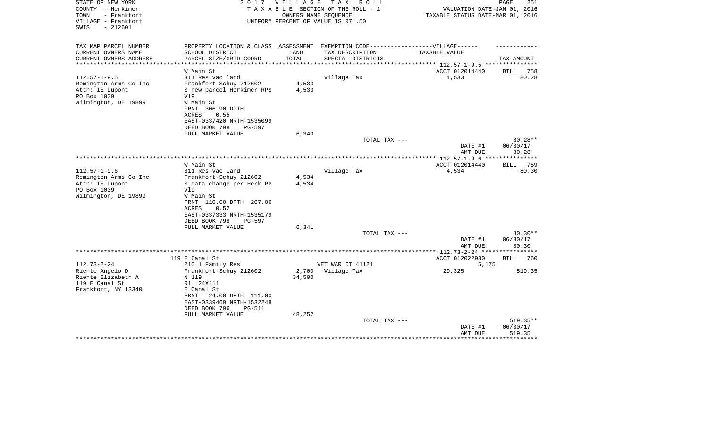| STATE OF NEW YORK<br>COUNTY - Herkimer<br>- Frankfort<br>TOWN<br>VILLAGE - Frankfort<br>$-212601$<br>SWIS | 2017                                                                                                                                                                                                                                     | <b>VILLAGE</b>          | T A X<br>R O L L<br>TAXABLE SECTION OF THE ROLL - 1<br>OWNERS NAME SEOUENCE<br>UNIFORM PERCENT OF VALUE IS 071.50 | VALUATION DATE-JAN 01, 2016<br>TAXABLE STATUS DATE-MAR 01, 2016          | PAGE<br>251                                      |
|-----------------------------------------------------------------------------------------------------------|------------------------------------------------------------------------------------------------------------------------------------------------------------------------------------------------------------------------------------------|-------------------------|-------------------------------------------------------------------------------------------------------------------|--------------------------------------------------------------------------|--------------------------------------------------|
| TAX MAP PARCEL NUMBER<br>CURRENT OWNERS NAME<br>CURRENT OWNERS ADDRESS<br>***********************         | PROPERTY LOCATION & CLASS ASSESSMENT EXEMPTION CODE-----------------VILLAGE------<br>SCHOOL DISTRICT<br>PARCEL SIZE/GRID COORD                                                                                                           | LAND<br>TOTAL           | TAX DESCRIPTION<br>SPECIAL DISTRICTS                                                                              | TAXABLE VALUE                                                            | TAX AMOUNT                                       |
| $112.57 - 1 - 9.5$<br>Remington Arms Co Inc<br>Attn: IE Dupont<br>PO Box 1039<br>Wilmington, DE 19899     | W Main St<br>311 Res vac land<br>Frankfort-Schuy 212602<br>S new parcel Herkimer RPS<br>V19<br>W Main St<br>FRNT 306.90 DPTH<br>0.55<br>ACRES<br>EAST-0337420 NRTH-1535099<br>DEED BOOK 798<br>$PG-597$<br>FULL MARKET VALUE             | 4,533<br>4,533<br>6,340 | Village Tax                                                                                                       | ACCT 012014440<br>4,533                                                  | 758<br>BILL<br>80.28                             |
|                                                                                                           |                                                                                                                                                                                                                                          |                         | TOTAL TAX ---                                                                                                     | DATE #1<br>AMT DUE                                                       | $80.28**$<br>06/30/17<br>80.28                   |
| $112.57 - 1 - 9.6$<br>Remington Arms Co Inc<br>Attn: IE Dupont<br>PO Box 1039<br>Wilmington, DE 19899     | W Main St<br>311 Res vac land<br>Frankfort-Schuy 212602<br>S data change per Herk RP<br>V19<br>W Main St<br>FRNT 110.00 DPTH 207.06<br><b>ACRES</b><br>0.52<br>EAST-0337333 NRTH-1535179<br>DEED BOOK 798<br>PG-597<br>FULL MARKET VALUE | 4,534<br>4,534<br>6,341 | Village Tax                                                                                                       | *************** 112.57-1-9.6 ****************<br>ACCT 012014440<br>4,534 | 759<br>BILL<br>80.30                             |
|                                                                                                           |                                                                                                                                                                                                                                          |                         | TOTAL TAX ---                                                                                                     | DATE #1<br>AMT DUE                                                       | $80.30**$<br>06/30/17<br>80.30                   |
| $112.73 - 2 - 24$<br>Riente Angelo D<br>Riente Elizabeth A<br>119 E Canal St<br>Frankfort, NY 13340       | 119 E Canal St<br>210 1 Family Res<br>Frankfort-Schuy 212602<br>N 119<br>R1 24X111<br>E Canal St<br>24.00 DPTH 111.00<br>FRNT<br>EAST-0339469 NRTH-1532248<br>DEED BOOK 796<br><b>PG-511</b>                                             | 2,700<br>34,500         | VET WAR CT 41121<br>Village Tax                                                                                   | ACCT 012022980<br>5,175<br>29,325                                        | * * * * * * * *<br><b>BILL</b><br>760<br>519.35  |
|                                                                                                           | FULL MARKET VALUE                                                                                                                                                                                                                        | 48,252                  | TOTAL TAX ---                                                                                                     | DATE #1<br>AMT DUE                                                       | $519.35**$<br>06/30/17<br>519.35<br>************ |
|                                                                                                           |                                                                                                                                                                                                                                          |                         |                                                                                                                   |                                                                          |                                                  |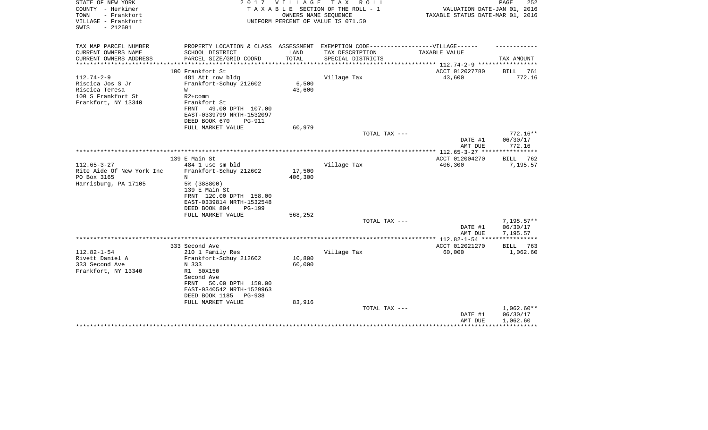| STATE OF NEW YORK<br>COUNTY - Herkimer<br>TOWN<br>- Frankfort<br>VILLAGE - Frankfort<br>$-212601$<br>SWIS | 2017                                                                              | V I L L A G E | TAX ROLL<br>TAXABLE SECTION OF THE ROLL - 1<br>OWNERS NAME SEQUENCE<br>UNIFORM PERCENT OF VALUE IS 071.50 | VALUATION DATE-JAN 01, 2016<br>TAXABLE STATUS DATE-MAR 01, 2016 | PAGE<br>252              |
|-----------------------------------------------------------------------------------------------------------|-----------------------------------------------------------------------------------|---------------|-----------------------------------------------------------------------------------------------------------|-----------------------------------------------------------------|--------------------------|
| TAX MAP PARCEL NUMBER                                                                                     | PROPERTY LOCATION & CLASS ASSESSMENT EXEMPTION CODE-----------------VILLAGE------ |               |                                                                                                           |                                                                 |                          |
| CURRENT OWNERS NAME                                                                                       | SCHOOL DISTRICT                                                                   | LAND          | TAX DESCRIPTION                                                                                           | TAXABLE VALUE                                                   |                          |
| CURRENT OWNERS ADDRESS<br>**************                                                                  | PARCEL SIZE/GRID COORD                                                            | TOTAL         | SPECIAL DISTRICTS                                                                                         | ***************** 112.74-2-9 ******************                 | TAX AMOUNT               |
|                                                                                                           | 100 Frankfort St                                                                  |               |                                                                                                           | ACCT 012027780                                                  | <b>BILL</b><br>761       |
| $112.74 - 2 - 9$                                                                                          | 481 Att row bldg                                                                  |               | Village Tax                                                                                               | 43,600                                                          | 772.16                   |
| Riscica Jos S Jr                                                                                          | Frankfort-Schuy 212602                                                            | 6,500         |                                                                                                           |                                                                 |                          |
| Riscica Teresa                                                                                            | W                                                                                 | 43,600        |                                                                                                           |                                                                 |                          |
| 100 S Frankfort St                                                                                        | $R2+comm$                                                                         |               |                                                                                                           |                                                                 |                          |
| Frankfort, NY 13340                                                                                       | Frankfort St<br>49.00 DPTH 107.00<br>FRNT                                         |               |                                                                                                           |                                                                 |                          |
|                                                                                                           | EAST-0339799 NRTH-1532097                                                         |               |                                                                                                           |                                                                 |                          |
|                                                                                                           | DEED BOOK 670<br><b>PG-911</b>                                                    |               |                                                                                                           |                                                                 |                          |
|                                                                                                           | FULL MARKET VALUE                                                                 | 60,979        |                                                                                                           |                                                                 |                          |
|                                                                                                           |                                                                                   |               | TOTAL TAX ---                                                                                             |                                                                 | $772.16**$               |
|                                                                                                           |                                                                                   |               |                                                                                                           | DATE #1                                                         | 06/30/17<br>772.16       |
|                                                                                                           |                                                                                   |               |                                                                                                           | AMT DUE                                                         |                          |
|                                                                                                           | 139 E Main St                                                                     |               |                                                                                                           | ACCT 012004270                                                  | BILL<br>762              |
| $112.65 - 3 - 27$                                                                                         | 484 1 use sm bld                                                                  |               | Village Tax                                                                                               | 406,300                                                         | 7,195.57                 |
| Rite Aide Of New York Inc                                                                                 | Frankfort-Schuy 212602                                                            | 17,500        |                                                                                                           |                                                                 |                          |
| PO Box 3165                                                                                               | N                                                                                 | 406,300       |                                                                                                           |                                                                 |                          |
| Harrisburg, PA 17105                                                                                      | 5% (388800)<br>139 E Main St                                                      |               |                                                                                                           |                                                                 |                          |
|                                                                                                           | FRNT 120.00 DPTH 158.00                                                           |               |                                                                                                           |                                                                 |                          |
|                                                                                                           | EAST-0339814 NRTH-1532548                                                         |               |                                                                                                           |                                                                 |                          |
|                                                                                                           | DEED BOOK 804<br>PG-199                                                           |               |                                                                                                           |                                                                 |                          |
|                                                                                                           | FULL MARKET VALUE                                                                 | 568,252       |                                                                                                           |                                                                 |                          |
|                                                                                                           |                                                                                   |               | TOTAL TAX ---                                                                                             |                                                                 | $7,195.57**$             |
|                                                                                                           |                                                                                   |               |                                                                                                           | DATE #1<br>AMT DUE                                              | 06/30/17<br>7,195.57     |
|                                                                                                           |                                                                                   |               |                                                                                                           |                                                                 |                          |
|                                                                                                           | 333 Second Ave                                                                    |               |                                                                                                           | ACCT 012021270                                                  | 763<br>BILL              |
| $112.82 - 1 - 54$                                                                                         | 210 1 Family Res                                                                  |               | Village Tax                                                                                               | 60,000                                                          | 1,062.60                 |
| Rivett Daniel A                                                                                           | Frankfort-Schuy 212602                                                            | 10,800        |                                                                                                           |                                                                 |                          |
| 333 Second Ave<br>Frankfort, NY 13340                                                                     | N 333<br>R1 50X150                                                                | 60,000        |                                                                                                           |                                                                 |                          |
|                                                                                                           | Second Ave                                                                        |               |                                                                                                           |                                                                 |                          |
|                                                                                                           | 50.00 DPTH 150.00<br>FRNT                                                         |               |                                                                                                           |                                                                 |                          |
|                                                                                                           | EAST-0340542 NRTH-1529963                                                         |               |                                                                                                           |                                                                 |                          |
|                                                                                                           | DEED BOOK 1185<br><b>PG-938</b>                                                   |               |                                                                                                           |                                                                 |                          |
|                                                                                                           | FULL MARKET VALUE                                                                 | 83,916        |                                                                                                           |                                                                 |                          |
|                                                                                                           |                                                                                   |               | TOTAL TAX ---                                                                                             | DATE #1                                                         | $1,062.60**$<br>06/30/17 |
|                                                                                                           |                                                                                   |               |                                                                                                           | AMT DUE                                                         | 1,062.60                 |
|                                                                                                           |                                                                                   |               |                                                                                                           |                                                                 |                          |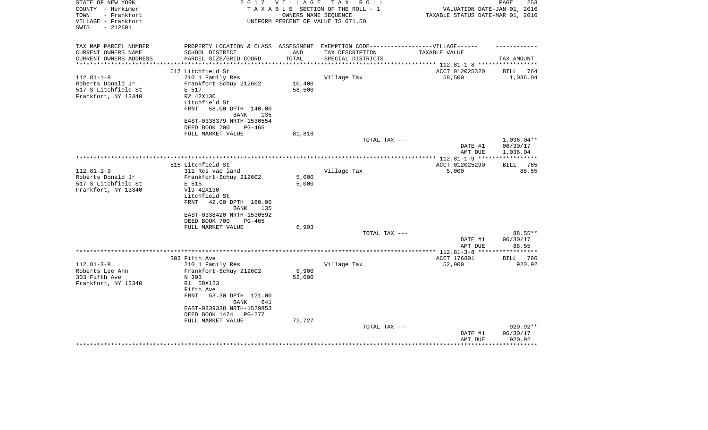| TOWN<br>- Frankfort<br>TAXABLE STATUS DATE-MAR 01, 2016<br>OWNERS NAME SEQUENCE<br>VILLAGE - Frankfort<br>UNIFORM PERCENT OF VALUE IS 071.50<br>$-212601$<br>SWIS<br>TAX MAP PARCEL NUMBER<br>PROPERTY LOCATION & CLASS ASSESSMENT<br>EXEMPTION CODE-----------------VILLAGE------<br>CURRENT OWNERS NAME<br>SCHOOL DISTRICT<br>LAND<br>TAX DESCRIPTION<br>TAXABLE VALUE<br>TOTAL<br>CURRENT OWNERS ADDRESS<br>PARCEL SIZE/GRID COORD<br>SPECIAL DISTRICTS<br>TAX AMOUNT<br>*******************<br>****************<br>*****************<br>*********** 112.81-1-8 ******************<br>517 Litchfield St<br>ACCT 012025320<br>BILL<br>$112.81 - 1 - 8$<br>210 1 Family Res<br>Village Tax<br>58,500<br>1,036.04<br>Roberts Donald Jr<br>Frankfort-Schuy 212602<br>10,400<br>58,500<br>517 S Litchfield St<br>E 517<br>Frankfort, NY 13340<br>R2 42X130<br>Litchfield St<br>58.00 DPTH 140.00<br>FRNT<br><b>BANK</b><br>135<br>EAST-0338379 NRTH-1530554<br>DEED BOOK 700<br>PG-465 | 764   |
|--------------------------------------------------------------------------------------------------------------------------------------------------------------------------------------------------------------------------------------------------------------------------------------------------------------------------------------------------------------------------------------------------------------------------------------------------------------------------------------------------------------------------------------------------------------------------------------------------------------------------------------------------------------------------------------------------------------------------------------------------------------------------------------------------------------------------------------------------------------------------------------------------------------------------------------------------------------------------------------|-------|
|                                                                                                                                                                                                                                                                                                                                                                                                                                                                                                                                                                                                                                                                                                                                                                                                                                                                                                                                                                                      |       |
|                                                                                                                                                                                                                                                                                                                                                                                                                                                                                                                                                                                                                                                                                                                                                                                                                                                                                                                                                                                      |       |
|                                                                                                                                                                                                                                                                                                                                                                                                                                                                                                                                                                                                                                                                                                                                                                                                                                                                                                                                                                                      |       |
|                                                                                                                                                                                                                                                                                                                                                                                                                                                                                                                                                                                                                                                                                                                                                                                                                                                                                                                                                                                      |       |
|                                                                                                                                                                                                                                                                                                                                                                                                                                                                                                                                                                                                                                                                                                                                                                                                                                                                                                                                                                                      |       |
|                                                                                                                                                                                                                                                                                                                                                                                                                                                                                                                                                                                                                                                                                                                                                                                                                                                                                                                                                                                      |       |
|                                                                                                                                                                                                                                                                                                                                                                                                                                                                                                                                                                                                                                                                                                                                                                                                                                                                                                                                                                                      |       |
|                                                                                                                                                                                                                                                                                                                                                                                                                                                                                                                                                                                                                                                                                                                                                                                                                                                                                                                                                                                      |       |
|                                                                                                                                                                                                                                                                                                                                                                                                                                                                                                                                                                                                                                                                                                                                                                                                                                                                                                                                                                                      |       |
|                                                                                                                                                                                                                                                                                                                                                                                                                                                                                                                                                                                                                                                                                                                                                                                                                                                                                                                                                                                      |       |
|                                                                                                                                                                                                                                                                                                                                                                                                                                                                                                                                                                                                                                                                                                                                                                                                                                                                                                                                                                                      |       |
|                                                                                                                                                                                                                                                                                                                                                                                                                                                                                                                                                                                                                                                                                                                                                                                                                                                                                                                                                                                      |       |
|                                                                                                                                                                                                                                                                                                                                                                                                                                                                                                                                                                                                                                                                                                                                                                                                                                                                                                                                                                                      |       |
| FULL MARKET VALUE<br>81,818                                                                                                                                                                                                                                                                                                                                                                                                                                                                                                                                                                                                                                                                                                                                                                                                                                                                                                                                                          |       |
| $1,036.04**$<br>TOTAL TAX ---                                                                                                                                                                                                                                                                                                                                                                                                                                                                                                                                                                                                                                                                                                                                                                                                                                                                                                                                                        |       |
| 06/30/17<br>DATE #1                                                                                                                                                                                                                                                                                                                                                                                                                                                                                                                                                                                                                                                                                                                                                                                                                                                                                                                                                                  |       |
| AMT DUE<br>1,036.04                                                                                                                                                                                                                                                                                                                                                                                                                                                                                                                                                                                                                                                                                                                                                                                                                                                                                                                                                                  |       |
| 515 Litchfield St<br>ACCT 012025290<br><b>BILL</b>                                                                                                                                                                                                                                                                                                                                                                                                                                                                                                                                                                                                                                                                                                                                                                                                                                                                                                                                   | 765   |
| 5,000<br>$112.81 - 1 - 9$<br>311 Res vac land<br>Village Tax                                                                                                                                                                                                                                                                                                                                                                                                                                                                                                                                                                                                                                                                                                                                                                                                                                                                                                                         | 88.55 |
| 5,000<br>Roberts Donald Jr<br>Frankfort-Schuy 212602                                                                                                                                                                                                                                                                                                                                                                                                                                                                                                                                                                                                                                                                                                                                                                                                                                                                                                                                 |       |
| 5,000<br>517 S Litchfield St<br>E 515                                                                                                                                                                                                                                                                                                                                                                                                                                                                                                                                                                                                                                                                                                                                                                                                                                                                                                                                                |       |
| Frankfort, NY 13340<br>V19 42X130                                                                                                                                                                                                                                                                                                                                                                                                                                                                                                                                                                                                                                                                                                                                                                                                                                                                                                                                                    |       |
| Litchfield St                                                                                                                                                                                                                                                                                                                                                                                                                                                                                                                                                                                                                                                                                                                                                                                                                                                                                                                                                                        |       |
| 42.00 DPTH 160.00<br>FRNT                                                                                                                                                                                                                                                                                                                                                                                                                                                                                                                                                                                                                                                                                                                                                                                                                                                                                                                                                            |       |
| <b>BANK</b><br>135                                                                                                                                                                                                                                                                                                                                                                                                                                                                                                                                                                                                                                                                                                                                                                                                                                                                                                                                                                   |       |
| EAST-0338420 NRTH-1530592                                                                                                                                                                                                                                                                                                                                                                                                                                                                                                                                                                                                                                                                                                                                                                                                                                                                                                                                                            |       |
| DEED BOOK 700<br>PG-465                                                                                                                                                                                                                                                                                                                                                                                                                                                                                                                                                                                                                                                                                                                                                                                                                                                                                                                                                              |       |
| 6,993<br>FULL MARKET VALUE                                                                                                                                                                                                                                                                                                                                                                                                                                                                                                                                                                                                                                                                                                                                                                                                                                                                                                                                                           |       |
| TOTAL TAX ---<br>88.55**<br>DATE #1                                                                                                                                                                                                                                                                                                                                                                                                                                                                                                                                                                                                                                                                                                                                                                                                                                                                                                                                                  |       |
| 06/30/17<br>AMT DUE<br>88.55                                                                                                                                                                                                                                                                                                                                                                                                                                                                                                                                                                                                                                                                                                                                                                                                                                                                                                                                                         |       |
| ***** 112.81-3-8 ***                                                                                                                                                                                                                                                                                                                                                                                                                                                                                                                                                                                                                                                                                                                                                                                                                                                                                                                                                                 |       |
| ACCT 176801<br>303 Fifth Ave<br>BILL                                                                                                                                                                                                                                                                                                                                                                                                                                                                                                                                                                                                                                                                                                                                                                                                                                                                                                                                                 | 766   |
| $112.81 - 3 - 8$<br>52,000<br>920.92<br>210 1 Family Res<br>Village Tax                                                                                                                                                                                                                                                                                                                                                                                                                                                                                                                                                                                                                                                                                                                                                                                                                                                                                                              |       |
| Roberts Lee Ann<br>9,900<br>Frankfort-Schuy 212602                                                                                                                                                                                                                                                                                                                                                                                                                                                                                                                                                                                                                                                                                                                                                                                                                                                                                                                                   |       |
| 303 Fifth Ave<br>N 303<br>52,000                                                                                                                                                                                                                                                                                                                                                                                                                                                                                                                                                                                                                                                                                                                                                                                                                                                                                                                                                     |       |
| Frankfort, NY 13340<br>R1 50X123                                                                                                                                                                                                                                                                                                                                                                                                                                                                                                                                                                                                                                                                                                                                                                                                                                                                                                                                                     |       |
| Fifth Ave                                                                                                                                                                                                                                                                                                                                                                                                                                                                                                                                                                                                                                                                                                                                                                                                                                                                                                                                                                            |       |
| <b>FRNT</b><br>53.30 DPTH 121.00                                                                                                                                                                                                                                                                                                                                                                                                                                                                                                                                                                                                                                                                                                                                                                                                                                                                                                                                                     |       |
| <b>BANK</b><br>641                                                                                                                                                                                                                                                                                                                                                                                                                                                                                                                                                                                                                                                                                                                                                                                                                                                                                                                                                                   |       |
| EAST-0339338 NRTH-1529853                                                                                                                                                                                                                                                                                                                                                                                                                                                                                                                                                                                                                                                                                                                                                                                                                                                                                                                                                            |       |
| DEED BOOK 1474<br><b>PG-277</b>                                                                                                                                                                                                                                                                                                                                                                                                                                                                                                                                                                                                                                                                                                                                                                                                                                                                                                                                                      |       |
| FULL MARKET VALUE<br>72,727<br>920.92**<br>TOTAL TAX ---                                                                                                                                                                                                                                                                                                                                                                                                                                                                                                                                                                                                                                                                                                                                                                                                                                                                                                                             |       |
| DATE #1<br>06/30/17                                                                                                                                                                                                                                                                                                                                                                                                                                                                                                                                                                                                                                                                                                                                                                                                                                                                                                                                                                  |       |
| AMT DUE<br>920.92                                                                                                                                                                                                                                                                                                                                                                                                                                                                                                                                                                                                                                                                                                                                                                                                                                                                                                                                                                    |       |
|                                                                                                                                                                                                                                                                                                                                                                                                                                                                                                                                                                                                                                                                                                                                                                                                                                                                                                                                                                                      |       |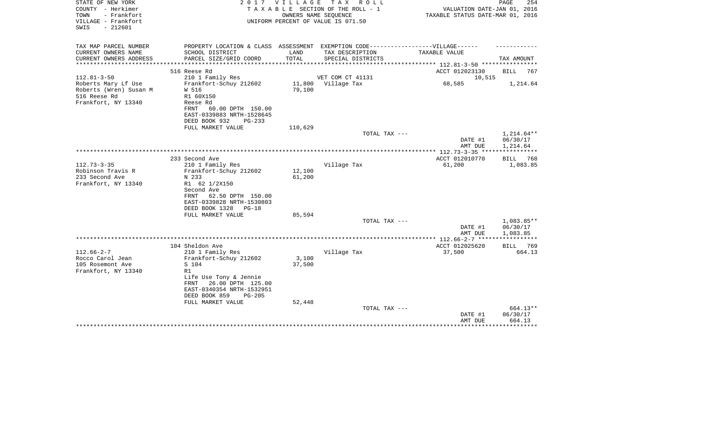| STATE OF NEW YORK<br>COUNTY - Herkimer<br>- Frankfort<br>TOWN<br>VILLAGE - Frankfort | 2017                                                                                                                                                                                            | V I L L A G E             | T A X<br>R O L L<br>TAXABLE SECTION OF THE ROLL - 1<br>OWNERS NAME SEQUENCE<br>UNIFORM PERCENT OF VALUE IS 071.50 | VALUATION DATE-JAN 01, 2016<br>TAXABLE STATUS DATE-MAR 01, 2016         | PAGE<br>254                    |
|--------------------------------------------------------------------------------------|-------------------------------------------------------------------------------------------------------------------------------------------------------------------------------------------------|---------------------------|-------------------------------------------------------------------------------------------------------------------|-------------------------------------------------------------------------|--------------------------------|
| SWIS<br>$-212601$                                                                    |                                                                                                                                                                                                 |                           |                                                                                                                   |                                                                         |                                |
| TAX MAP PARCEL NUMBER<br>CURRENT OWNERS NAME<br>CURRENT OWNERS ADDRESS               | PROPERTY LOCATION & CLASS ASSESSMENT EXEMPTION CODE-----------------VILLAGE------<br>SCHOOL DISTRICT<br>PARCEL SIZE/GRID COORD                                                                  | LAND<br>TOTAL             | TAX DESCRIPTION<br>SPECIAL DISTRICTS                                                                              | TAXABLE VALUE                                                           | TAX AMOUNT                     |
| ***************                                                                      |                                                                                                                                                                                                 |                           |                                                                                                                   | **************** 112.81-3-50 ***********                                |                                |
| $112.81 - 3 - 50$<br>Roberts Mary Lf Use<br>Roberts (Wren) Susan M<br>516 Reese Rd   | 516 Reese Rd<br>210 1 Family Res<br>Frankfort-Schuy 212602<br>W 516<br>R1 60X150                                                                                                                | 11,800<br>79,100          | VET COM CT 41131<br>Village Tax                                                                                   | ACCT 012023130<br>10,515<br>68,585                                      | BILL<br>767<br>1,214.64        |
| Frankfort, NY 13340                                                                  | Reese Rd<br>60.00 DPTH 150.00<br>FRNT<br>EAST-0339883 NRTH-1528645<br>DEED BOOK 932<br>$PG-233$                                                                                                 |                           |                                                                                                                   |                                                                         |                                |
|                                                                                      | FULL MARKET VALUE                                                                                                                                                                               | 110,629                   | TOTAL TAX ---                                                                                                     |                                                                         | 1,214.64**                     |
|                                                                                      |                                                                                                                                                                                                 |                           |                                                                                                                   | DATE #1<br>AMT DUE                                                      | 06/30/17<br>1,214.64           |
|                                                                                      |                                                                                                                                                                                                 |                           |                                                                                                                   | **************** 112.73-3-35 **********                                 |                                |
| $112.73 - 3 - 35$<br>Robinson Travis R<br>233 Second Ave<br>Frankfort, NY 13340      | 233 Second Ave<br>210 1 Family Res<br>Frankfort-Schuy 212602<br>N 233<br>R1 62 1/2X150<br>Second Ave                                                                                            | 12,100<br>61,200          | Village Tax                                                                                                       | ACCT 012010770<br>61,200                                                | BILL<br>768<br>1,083.85        |
|                                                                                      | 62.50 DPTH 150.00<br>FRNT<br>EAST-0339828 NRTH-1530803<br>DEED BOOK 1328<br>$PG-18$<br>FULL MARKET VALUE                                                                                        | 85,594                    | TOTAL TAX ---                                                                                                     |                                                                         | 1,083.85**                     |
|                                                                                      |                                                                                                                                                                                                 |                           |                                                                                                                   | DATE #1                                                                 | 06/30/17                       |
|                                                                                      | 104 Sheldon Ave                                                                                                                                                                                 |                           |                                                                                                                   | AMT DUE<br>************ 112.66-2-7 ******************<br>ACCT 012025620 | 1,083.85<br>BILL<br>769        |
| $112.66 - 2 - 7$<br>Rocco Carol Jean<br>105 Rosemont Ave<br>Frankfort, NY 13340      | 210 1 Family Res<br>Frankfort-Schuy 212602<br>S 104<br>R1<br>Life Use Tony & Jennie<br>26.00 DPTH 125.00<br>FRNT<br>EAST-0340354 NRTH-1532951<br>DEED BOOK 859<br>$PG-205$<br>FULL MARKET VALUE | 3,100<br>37,500<br>52,448 | Village Tax                                                                                                       | 37,500                                                                  | 664.13                         |
|                                                                                      |                                                                                                                                                                                                 |                           | TOTAL TAX ---                                                                                                     | DATE #1<br>AMT DUE                                                      | 664.13**<br>06/30/17<br>664.13 |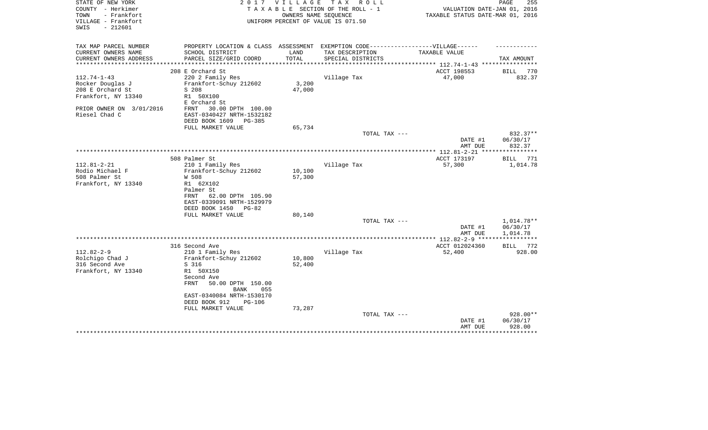| STATE OF NEW YORK<br>COUNTY - Herkimer<br>TOWN<br>- Frankfort<br>VILLAGE - Frankfort<br>$-212601$<br>SWIS | 2017                                                                             | V I L L A G E    | T A X<br>R O L L<br>TAXABLE SECTION OF THE ROLL - 1<br>OWNERS NAME SEOUENCE<br>UNIFORM PERCENT OF VALUE IS 071.50 | VALUATION DATE-JAN 01, 2016<br>TAXABLE STATUS DATE-MAR 01, 2016 | PAGE<br>255             |
|-----------------------------------------------------------------------------------------------------------|----------------------------------------------------------------------------------|------------------|-------------------------------------------------------------------------------------------------------------------|-----------------------------------------------------------------|-------------------------|
| TAX MAP PARCEL NUMBER                                                                                     | PROPERTY LOCATION & CLASS ASSESSMENT EXEMPTION CODE----------------VILLAGE------ |                  |                                                                                                                   |                                                                 |                         |
| CURRENT OWNERS NAME<br>CURRENT OWNERS ADDRESS                                                             | SCHOOL DISTRICT<br>PARCEL SIZE/GRID COORD                                        | LAND<br>TOTAL    | TAX DESCRIPTION<br>SPECIAL DISTRICTS                                                                              | TAXABLE VALUE                                                   | TAX AMOUNT              |
| *********************                                                                                     | ***************************                                                      |                  |                                                                                                                   |                                                                 |                         |
|                                                                                                           | 208 E Orchard St                                                                 |                  |                                                                                                                   | ACCT 198553                                                     | 770<br>BILL             |
| $112.74 - 1 - 43$                                                                                         | 220 2 Family Res                                                                 |                  | Village Tax                                                                                                       | 47,000                                                          | 832.37                  |
| Rocker Douglas J<br>208 E Orchard St                                                                      | Frankfort-Schuy 212602<br>S 208                                                  | 3,200<br>47,000  |                                                                                                                   |                                                                 |                         |
| Frankfort, NY 13340                                                                                       | R1 50X100                                                                        |                  |                                                                                                                   |                                                                 |                         |
|                                                                                                           | E Orchard St                                                                     |                  |                                                                                                                   |                                                                 |                         |
| PRIOR OWNER ON 3/01/2016                                                                                  | FRNT<br>30.00 DPTH 100.00                                                        |                  |                                                                                                                   |                                                                 |                         |
| Riesel Chad C                                                                                             | EAST-0340427 NRTH-1532182                                                        |                  |                                                                                                                   |                                                                 |                         |
|                                                                                                           | DEED BOOK 1609<br>PG-385<br>FULL MARKET VALUE                                    | 65,734           |                                                                                                                   |                                                                 |                         |
|                                                                                                           |                                                                                  |                  | TOTAL TAX ---                                                                                                     |                                                                 | 832.37**                |
|                                                                                                           |                                                                                  |                  |                                                                                                                   | DATE #1<br>AMT DUE                                              | 06/30/17<br>832.37      |
|                                                                                                           |                                                                                  |                  |                                                                                                                   |                                                                 | * * * * * * * * * * *   |
| $112.81 - 2 - 21$                                                                                         | 508 Palmer St<br>210 1 Family Res                                                |                  | Village Tax                                                                                                       | ACCT 173197<br>57,300                                           | 771<br>BILL<br>1,014.78 |
| Rodio Michael F                                                                                           | Frankfort-Schuy 212602                                                           | 10,100           |                                                                                                                   |                                                                 |                         |
| 508 Palmer St                                                                                             | W 508                                                                            | 57,300           |                                                                                                                   |                                                                 |                         |
| Frankfort, NY 13340                                                                                       | R1 62X102                                                                        |                  |                                                                                                                   |                                                                 |                         |
|                                                                                                           | Palmer St                                                                        |                  |                                                                                                                   |                                                                 |                         |
|                                                                                                           | 62.00 DPTH 105.90<br>FRNT<br>EAST-0339091 NRTH-1529979                           |                  |                                                                                                                   |                                                                 |                         |
|                                                                                                           | DEED BOOK 1450<br>PG-82                                                          |                  |                                                                                                                   |                                                                 |                         |
|                                                                                                           | FULL MARKET VALUE                                                                | 80,140           |                                                                                                                   |                                                                 |                         |
|                                                                                                           |                                                                                  |                  | TOTAL TAX ---                                                                                                     |                                                                 | 1,014.78**              |
|                                                                                                           |                                                                                  |                  |                                                                                                                   | DATE #1<br>AMT DUE                                              | 06/30/17<br>1,014.78    |
|                                                                                                           |                                                                                  |                  |                                                                                                                   |                                                                 |                         |
|                                                                                                           | 316 Second Ave                                                                   |                  |                                                                                                                   | ACCT 012024360                                                  | 772<br>BILL             |
| $112.82 - 2 - 9$                                                                                          | 210 1 Family Res                                                                 |                  | Village Tax                                                                                                       | 52,400                                                          | 928.00                  |
| Rolchigo Chad J<br>316 Second Ave                                                                         | Frankfort-Schuy 212602<br>S 316                                                  | 10,800<br>52,400 |                                                                                                                   |                                                                 |                         |
| Frankfort, NY 13340                                                                                       | R1 50X150                                                                        |                  |                                                                                                                   |                                                                 |                         |
|                                                                                                           | Second Ave                                                                       |                  |                                                                                                                   |                                                                 |                         |
|                                                                                                           | FRNT<br>50.00 DPTH 150.00                                                        |                  |                                                                                                                   |                                                                 |                         |
|                                                                                                           | <b>BANK</b><br>055                                                               |                  |                                                                                                                   |                                                                 |                         |
|                                                                                                           | EAST-0340084 NRTH-1530170<br>DEED BOOK 912<br><b>PG-106</b>                      |                  |                                                                                                                   |                                                                 |                         |
|                                                                                                           | FULL MARKET VALUE                                                                | 73,287           |                                                                                                                   |                                                                 |                         |
|                                                                                                           |                                                                                  |                  | TOTAL TAX ---                                                                                                     |                                                                 | 928.00**                |
|                                                                                                           |                                                                                  |                  |                                                                                                                   | DATE #1                                                         | 06/30/17                |
|                                                                                                           |                                                                                  |                  |                                                                                                                   | AMT DUE                                                         | 928.00                  |
|                                                                                                           |                                                                                  |                  |                                                                                                                   |                                                                 |                         |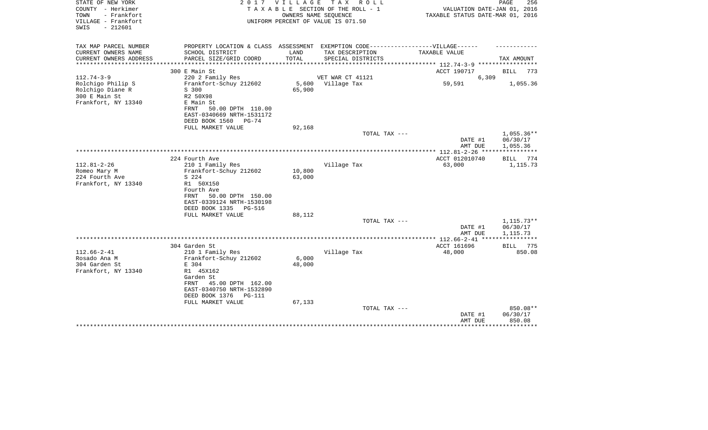| $-212601$<br>SWIS                                                                                                                  |          |
|------------------------------------------------------------------------------------------------------------------------------------|----------|
|                                                                                                                                    |          |
| TAX MAP PARCEL NUMBER<br>PROPERTY LOCATION & CLASS ASSESSMENT EXEMPTION CODE-----------------VILLAGE------                         |          |
| CURRENT OWNERS NAME<br>SCHOOL DISTRICT<br>LAND<br>TAX DESCRIPTION<br>TAXABLE VALUE                                                 |          |
| PARCEL SIZE/GRID COORD<br>TOTAL<br>CURRENT OWNERS ADDRESS<br>SPECIAL DISTRICTS<br>TAX AMOUNT<br>************ 112.74-3-9 ********** |          |
| ACCT 190717<br>300 E Main St<br><b>BILL</b>                                                                                        | 773      |
| $112.74 - 3 - 9$<br>VET WAR CT 41121<br>6,309<br>220 2 Family Res                                                                  |          |
| Frankfort-Schuy 212602<br>5,600<br>Village Tax<br>59,591<br>Rolchigo Philip S                                                      | 1,055.36 |
| Rolchigo Diane R<br>65,900<br>S 300                                                                                                |          |
| 300 E Main St<br>R2 50X98<br>Frankfort, NY 13340<br>E Main St                                                                      |          |
| 50.00 DPTH 110.00<br>FRNT                                                                                                          |          |
| EAST-0340669 NRTH-1531172                                                                                                          |          |
| DEED BOOK 1560<br>PG-74                                                                                                            |          |
| FULL MARKET VALUE<br>92,168                                                                                                        |          |
| 1,055.36**<br>TOTAL TAX ---                                                                                                        |          |
| DATE #1<br>06/30/17                                                                                                                |          |
| AMT DUE<br>1,055.36<br>************* 112.81-2-26 **********                                                                        |          |
| 224 Fourth Ave<br>ACCT 012010740<br><b>BILL</b>                                                                                    | 774      |
| Village Tax<br>$112.81 - 2 - 26$<br>63,000<br>210 1 Family Res                                                                     | 1,115.73 |
| Romeo Mary M<br>Frankfort-Schuy 212602<br>10,800                                                                                   |          |
| 224 Fourth Ave<br>S 224<br>63,000                                                                                                  |          |
| Frankfort, NY 13340<br>R1 50X150                                                                                                   |          |
| Fourth Ave<br>50.00 DPTH 150.00<br>FRNT                                                                                            |          |
| EAST-0339124 NRTH-1530198                                                                                                          |          |
| DEED BOOK 1335<br>PG-516                                                                                                           |          |
| FULL MARKET VALUE<br>88,112                                                                                                        |          |
| TOTAL TAX ---<br>$1,115.73**$                                                                                                      |          |
| DATE #1<br>06/30/17                                                                                                                |          |
| AMT DUE<br>1,115.73                                                                                                                |          |
| ACCT 161696<br>304 Garden St<br>BILL                                                                                               | 775      |
| $112.66 - 2 - 41$<br>Village Tax<br>210 1 Family Res<br>48,000                                                                     | 850.08   |
| 6,000<br>Rosado Ana M<br>Frankfort-Schuy 212602                                                                                    |          |
| 304 Garden St<br>48,000<br>E 304                                                                                                   |          |
| Frankfort, NY 13340<br>R1 45X162                                                                                                   |          |
| Garden St                                                                                                                          |          |
| 45.00 DPTH 162.00<br>FRNT<br>EAST-0340750 NRTH-1532890                                                                             |          |
| DEED BOOK 1376<br>PG-111                                                                                                           |          |
| FULL MARKET VALUE<br>67,133                                                                                                        |          |
| TOTAL TAX ---                                                                                                                      | 850.08** |
| 06/30/17<br>DATE #1                                                                                                                |          |
| 850.08<br>AMT DUE                                                                                                                  |          |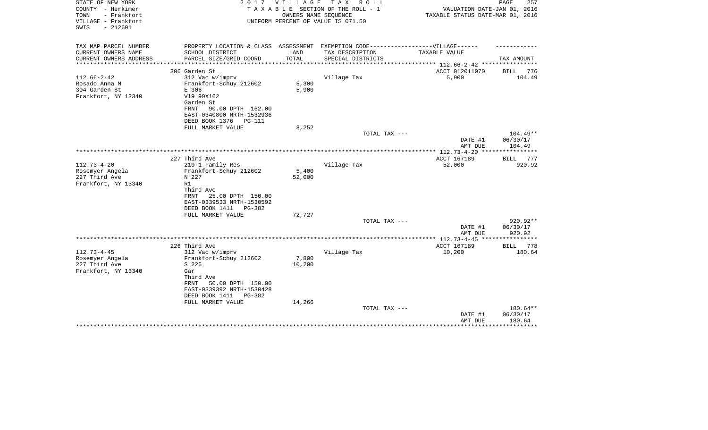| STATE OF NEW YORK<br>COUNTY - Herkimer<br>TOWN<br>- Frankfort<br>VILLAGE - Frankfort<br>$-212601$<br>SWIS | 2 0 1 7                                                                           | VILLAGE | T A X<br>R O L L<br>TAXABLE SECTION OF THE ROLL - 1<br>OWNERS NAME SEQUENCE<br>UNIFORM PERCENT OF VALUE IS 071.50 | VALUATION DATE-JAN 01, 2016<br>TAXABLE STATUS DATE-MAR 01, 2016 | PAGE<br>257          |
|-----------------------------------------------------------------------------------------------------------|-----------------------------------------------------------------------------------|---------|-------------------------------------------------------------------------------------------------------------------|-----------------------------------------------------------------|----------------------|
| TAX MAP PARCEL NUMBER                                                                                     | PROPERTY LOCATION & CLASS ASSESSMENT EXEMPTION CODE-----------------VILLAGE------ |         |                                                                                                                   |                                                                 |                      |
| CURRENT OWNERS NAME                                                                                       | SCHOOL DISTRICT                                                                   | LAND    | TAX DESCRIPTION                                                                                                   | TAXABLE VALUE                                                   |                      |
| CURRENT OWNERS ADDRESS<br>**********************                                                          | PARCEL SIZE/GRID COORD                                                            | TOTAL   | SPECIAL DISTRICTS                                                                                                 |                                                                 | TAX AMOUNT           |
|                                                                                                           | 306 Garden St                                                                     |         |                                                                                                                   | ACCT 012011070                                                  | BILL<br>776          |
| $112.66 - 2 - 42$                                                                                         | 312 Vac w/imprv                                                                   |         | Village Tax                                                                                                       | 5,900                                                           | 104.49               |
| Rosado Anna M                                                                                             | Frankfort-Schuy 212602                                                            | 5,300   |                                                                                                                   |                                                                 |                      |
| 304 Garden St                                                                                             | E 306                                                                             | 5,900   |                                                                                                                   |                                                                 |                      |
| Frankfort, NY 13340                                                                                       | V19 90X162<br>Garden St                                                           |         |                                                                                                                   |                                                                 |                      |
|                                                                                                           | 90.00 DPTH 162.00<br>FRNT                                                         |         |                                                                                                                   |                                                                 |                      |
|                                                                                                           | EAST-0340800 NRTH-1532936                                                         |         |                                                                                                                   |                                                                 |                      |
|                                                                                                           | DEED BOOK 1376<br><b>PG-111</b>                                                   |         |                                                                                                                   |                                                                 |                      |
|                                                                                                           | FULL MARKET VALUE                                                                 | 8,252   |                                                                                                                   |                                                                 |                      |
|                                                                                                           |                                                                                   |         | TOTAL TAX ---                                                                                                     |                                                                 | $104.49**$           |
|                                                                                                           |                                                                                   |         |                                                                                                                   | DATE #1<br>AMT DUE                                              | 06/30/17<br>104.49   |
|                                                                                                           |                                                                                   |         |                                                                                                                   |                                                                 |                      |
|                                                                                                           | 227 Third Ave                                                                     |         |                                                                                                                   | ACCT 167189                                                     | 777<br>BILL          |
| $112.73 - 4 - 20$                                                                                         | 210 1 Family Res                                                                  |         | Village Tax                                                                                                       | 52,000                                                          | 920.92               |
| Rosemyer Angela                                                                                           | Frankfort-Schuy 212602                                                            | 5,400   |                                                                                                                   |                                                                 |                      |
| 227 Third Ave<br>Frankfort, NY 13340                                                                      | N 227<br>R1                                                                       | 52,000  |                                                                                                                   |                                                                 |                      |
|                                                                                                           | Third Ave                                                                         |         |                                                                                                                   |                                                                 |                      |
|                                                                                                           | 25.00 DPTH 150.00<br>FRNT                                                         |         |                                                                                                                   |                                                                 |                      |
|                                                                                                           | EAST-0339533 NRTH-1530592                                                         |         |                                                                                                                   |                                                                 |                      |
|                                                                                                           | DEED BOOK 1411<br>PG-382                                                          |         |                                                                                                                   |                                                                 |                      |
|                                                                                                           | FULL MARKET VALUE                                                                 | 72,727  |                                                                                                                   |                                                                 |                      |
|                                                                                                           |                                                                                   |         | TOTAL TAX ---                                                                                                     | DATE #1                                                         | 920.92**<br>06/30/17 |
|                                                                                                           |                                                                                   |         |                                                                                                                   | AMT DUE                                                         | 920.92               |
|                                                                                                           |                                                                                   |         |                                                                                                                   |                                                                 |                      |
|                                                                                                           | 226 Third Ave                                                                     |         |                                                                                                                   | ACCT 167189                                                     | 778<br>BILL          |
| $112.73 - 4 - 45$                                                                                         | 312 Vac w/imprv                                                                   |         | Village Tax                                                                                                       | 10,200                                                          | 180.64               |
| Rosemyer Angela                                                                                           | Frankfort-Schuy 212602                                                            | 7,800   |                                                                                                                   |                                                                 |                      |
| 227 Third Ave<br>Frankfort, NY 13340                                                                      | S 226<br>Gar                                                                      | 10,200  |                                                                                                                   |                                                                 |                      |
|                                                                                                           | Third Ave                                                                         |         |                                                                                                                   |                                                                 |                      |
|                                                                                                           | FRNT<br>50.00 DPTH 150.00                                                         |         |                                                                                                                   |                                                                 |                      |
|                                                                                                           | EAST-0339392 NRTH-1530428                                                         |         |                                                                                                                   |                                                                 |                      |
|                                                                                                           | DEED BOOK 1411<br>$PG-382$                                                        |         |                                                                                                                   |                                                                 |                      |
|                                                                                                           | FULL MARKET VALUE                                                                 | 14,266  |                                                                                                                   |                                                                 |                      |
|                                                                                                           |                                                                                   |         | TOTAL TAX ---                                                                                                     | DATE #1                                                         | 180.64**<br>06/30/17 |
|                                                                                                           |                                                                                   |         |                                                                                                                   | AMT DUE                                                         | 180.64               |
|                                                                                                           |                                                                                   |         |                                                                                                                   |                                                                 | ***********          |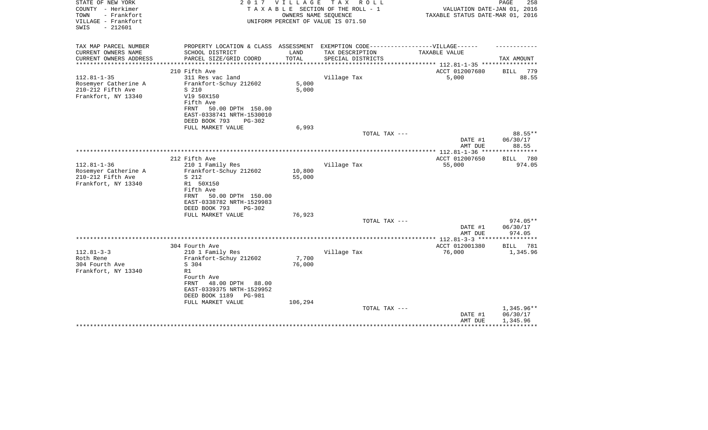| STATE OF NEW YORK<br>COUNTY - Herkimer<br>- Frankfort<br>TOWN<br>VILLAGE - Frankfort<br>$-212601$<br>SWIS | 2 0 1 7                                                                           | VILLAGE | TAX ROLL<br>TAXABLE SECTION OF THE ROLL - 1<br>OWNERS NAME SEQUENCE<br>UNIFORM PERCENT OF VALUE IS 071.50 | VALUATION DATE-JAN 01, 2016<br>TAXABLE STATUS DATE-MAR 01, 2016 | PAGE<br>258  |
|-----------------------------------------------------------------------------------------------------------|-----------------------------------------------------------------------------------|---------|-----------------------------------------------------------------------------------------------------------|-----------------------------------------------------------------|--------------|
| TAX MAP PARCEL NUMBER                                                                                     | PROPERTY LOCATION & CLASS ASSESSMENT EXEMPTION CODE-----------------VILLAGE------ |         |                                                                                                           |                                                                 |              |
| CURRENT OWNERS NAME                                                                                       | SCHOOL DISTRICT                                                                   | LAND    | TAX DESCRIPTION                                                                                           | TAXABLE VALUE                                                   |              |
| CURRENT OWNERS ADDRESS<br>*****************                                                               | PARCEL SIZE/GRID COORD                                                            | TOTAL   | SPECIAL DISTRICTS                                                                                         |                                                                 | TAX AMOUNT   |
|                                                                                                           | 210 Fifth Ave                                                                     |         |                                                                                                           | ACCT 012007680                                                  | BILL<br>779  |
| $112.81 - 1 - 35$                                                                                         | 311 Res vac land                                                                  |         | Village Tax                                                                                               | 5,000                                                           | 88.55        |
| Rosemyer Catherine A                                                                                      | Frankfort-Schuy 212602                                                            | 5,000   |                                                                                                           |                                                                 |              |
| 210-212 Fifth Ave                                                                                         | S 210                                                                             | 5,000   |                                                                                                           |                                                                 |              |
| Frankfort, NY 13340                                                                                       | V19 50X150                                                                        |         |                                                                                                           |                                                                 |              |
|                                                                                                           | Fifth Ave                                                                         |         |                                                                                                           |                                                                 |              |
|                                                                                                           | 50.00 DPTH 150.00<br>FRNT<br>EAST-0338741 NRTH-1530010                            |         |                                                                                                           |                                                                 |              |
|                                                                                                           | DEED BOOK 793<br>$PG-302$                                                         |         |                                                                                                           |                                                                 |              |
|                                                                                                           | FULL MARKET VALUE                                                                 | 6,993   |                                                                                                           |                                                                 |              |
|                                                                                                           |                                                                                   |         | TOTAL TAX ---                                                                                             |                                                                 | 88.55**      |
|                                                                                                           |                                                                                   |         |                                                                                                           | DATE #1                                                         | 06/30/17     |
|                                                                                                           |                                                                                   |         |                                                                                                           | AMT DUE                                                         | 88.55        |
|                                                                                                           | 212 Fifth Ave                                                                     |         |                                                                                                           | ACCT 012007650                                                  | BILL 780     |
| $112.81 - 1 - 36$                                                                                         | 210 1 Family Res                                                                  |         | Village Tax                                                                                               | 55,000                                                          | 974.05       |
| Rosemyer Catherine A                                                                                      | Frankfort-Schuy 212602                                                            | 10,800  |                                                                                                           |                                                                 |              |
| 210-212 Fifth Ave                                                                                         | S 212                                                                             | 55,000  |                                                                                                           |                                                                 |              |
| Frankfort, NY 13340                                                                                       | R1 50X150                                                                         |         |                                                                                                           |                                                                 |              |
|                                                                                                           | Fifth Ave                                                                         |         |                                                                                                           |                                                                 |              |
|                                                                                                           | 50.00 DPTH 150.00<br>FRNT<br>EAST-0338782 NRTH-1529983                            |         |                                                                                                           |                                                                 |              |
|                                                                                                           | DEED BOOK 793<br>$PG-302$                                                         |         |                                                                                                           |                                                                 |              |
|                                                                                                           | FULL MARKET VALUE                                                                 | 76,923  |                                                                                                           |                                                                 |              |
|                                                                                                           |                                                                                   |         | TOTAL TAX ---                                                                                             |                                                                 | $974.05**$   |
|                                                                                                           |                                                                                   |         |                                                                                                           | DATE #1                                                         | 06/30/17     |
|                                                                                                           |                                                                                   |         |                                                                                                           | AMT DUE                                                         | 974.05       |
|                                                                                                           | 304 Fourth Ave                                                                    |         |                                                                                                           | ACCT 012001380                                                  | BILL<br>781  |
| $112.81 - 3 - 3$                                                                                          | 210 1 Family Res                                                                  |         | Village Tax                                                                                               | 76,000                                                          | 1,345.96     |
| Roth Rene                                                                                                 | Frankfort-Schuy 212602                                                            | 7,700   |                                                                                                           |                                                                 |              |
| 304 Fourth Ave                                                                                            | S 304                                                                             | 76,000  |                                                                                                           |                                                                 |              |
| Frankfort, NY 13340                                                                                       | R1                                                                                |         |                                                                                                           |                                                                 |              |
|                                                                                                           | Fourth Ave                                                                        |         |                                                                                                           |                                                                 |              |
|                                                                                                           | 48.00 DPTH<br>88.00<br>FRNT<br>EAST-0339375 NRTH-1529952                          |         |                                                                                                           |                                                                 |              |
|                                                                                                           | DEED BOOK 1189<br><b>PG-981</b>                                                   |         |                                                                                                           |                                                                 |              |
|                                                                                                           | FULL MARKET VALUE                                                                 | 106,294 |                                                                                                           |                                                                 |              |
|                                                                                                           |                                                                                   |         | TOTAL TAX ---                                                                                             |                                                                 | $1,345.96**$ |
|                                                                                                           |                                                                                   |         |                                                                                                           | DATE #1                                                         | 06/30/17     |
|                                                                                                           |                                                                                   |         |                                                                                                           | AMT DUE                                                         | 1,345.96     |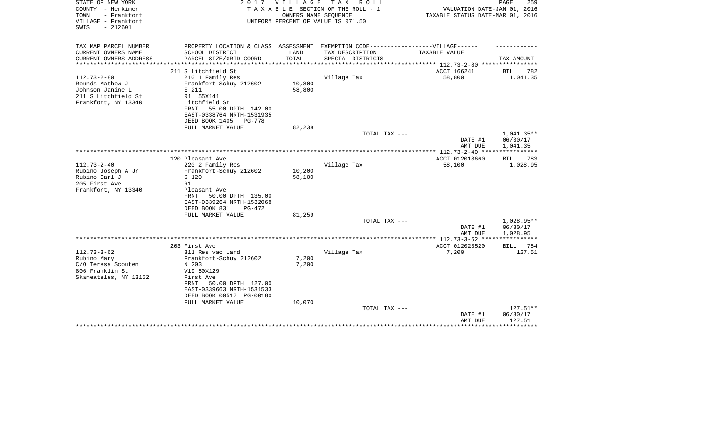| STATE OF NEW YORK<br>COUNTY - Herkimer         | 2017                                                                              | V I L L A G E | TAX ROLL<br>TAXABLE SECTION OF THE ROLL - 1 | VALUATION DATE-JAN 01, 2016                               | PAGE<br>259        |
|------------------------------------------------|-----------------------------------------------------------------------------------|---------------|---------------------------------------------|-----------------------------------------------------------|--------------------|
| - Frankfort<br>TOWN                            |                                                                                   |               | OWNERS NAME SEQUENCE                        | TAXABLE STATUS DATE-MAR 01, 2016                          |                    |
| VILLAGE - Frankfort                            |                                                                                   |               | UNIFORM PERCENT OF VALUE IS 071.50          |                                                           |                    |
| $-212601$<br>SWIS                              |                                                                                   |               |                                             |                                                           |                    |
|                                                |                                                                                   |               |                                             |                                                           |                    |
|                                                |                                                                                   |               |                                             |                                                           |                    |
| TAX MAP PARCEL NUMBER                          | PROPERTY LOCATION & CLASS ASSESSMENT EXEMPTION CODE-----------------VILLAGE------ |               |                                             |                                                           |                    |
| CURRENT OWNERS NAME                            | SCHOOL DISTRICT                                                                   | LAND          | TAX DESCRIPTION                             | TAXABLE VALUE                                             |                    |
| CURRENT OWNERS ADDRESS<br>******************** | PARCEL SIZE/GRID COORD                                                            | TOTAL         | SPECIAL DISTRICTS                           |                                                           | TAX AMOUNT         |
|                                                |                                                                                   |               |                                             | .*************************** 112.73-2-80 **************** |                    |
|                                                | 211 S Litchfield St                                                               |               |                                             | ACCT 166241                                               | BILL<br>782        |
| $112.73 - 2 - 80$                              | 210 1 Family Res                                                                  |               | Village Tax                                 | 58,800                                                    | 1,041.35           |
| Rounds Mathew J                                | Frankfort-Schuy 212602                                                            | 10,800        |                                             |                                                           |                    |
| Johnson Janine L                               | E 211                                                                             | 58,800        |                                             |                                                           |                    |
| 211 S Litchfield St                            | R1 55X141<br>Litchfield St                                                        |               |                                             |                                                           |                    |
| Frankfort, NY 13340                            | 55.00 DPTH 142.00<br>FRNT                                                         |               |                                             |                                                           |                    |
|                                                | EAST-0338764 NRTH-1531935                                                         |               |                                             |                                                           |                    |
|                                                | DEED BOOK 1405<br>PG-778                                                          |               |                                             |                                                           |                    |
|                                                | FULL MARKET VALUE                                                                 | 82,238        |                                             |                                                           |                    |
|                                                |                                                                                   |               | TOTAL TAX ---                               |                                                           | 1,041.35**         |
|                                                |                                                                                   |               |                                             | DATE #1                                                   | 06/30/17           |
|                                                |                                                                                   |               |                                             | AMT DUE                                                   | 1,041.35           |
|                                                |                                                                                   |               |                                             |                                                           |                    |
|                                                | 120 Pleasant Ave                                                                  |               |                                             | ACCT 012018660                                            | <b>BILL</b><br>783 |
| $112.73 - 2 - 40$                              | 220 2 Family Res                                                                  |               | Village Tax                                 | 58,100                                                    | 1,028.95           |
| Rubino Joseph A Jr                             | Frankfort-Schuy 212602                                                            | 10,200        |                                             |                                                           |                    |
| Rubino Carl J                                  | S 120                                                                             | 58,100        |                                             |                                                           |                    |
| 205 First Ave                                  | R1                                                                                |               |                                             |                                                           |                    |
| Frankfort, NY 13340                            | Pleasant Ave                                                                      |               |                                             |                                                           |                    |
|                                                | 50.00 DPTH 135.00<br>FRNT                                                         |               |                                             |                                                           |                    |
|                                                | EAST-0339264 NRTH-1532068                                                         |               |                                             |                                                           |                    |
|                                                | DEED BOOK 831<br>$PG-472$                                                         |               |                                             |                                                           |                    |
|                                                | FULL MARKET VALUE                                                                 | 81,259        |                                             |                                                           |                    |
|                                                |                                                                                   |               | TOTAL TAX ---                               |                                                           | 1,028.95**         |
|                                                |                                                                                   |               |                                             | DATE #1                                                   | 06/30/17           |
|                                                |                                                                                   |               |                                             | AMT DUE                                                   | 1,028.95           |
|                                                |                                                                                   |               |                                             | ************ 112.73-3-62 ****                             |                    |
|                                                | 203 First Ave                                                                     |               |                                             | ACCT 012023520                                            | BILL<br>784        |
| $112.73 - 3 - 62$                              | 311 Res vac land                                                                  |               | Village Tax                                 | 7,200                                                     | 127.51             |
| Rubino Mary                                    | Frankfort-Schuy 212602                                                            | 7,200         |                                             |                                                           |                    |
| C/O Teresa Scouten                             | N 203                                                                             | 7,200         |                                             |                                                           |                    |
| 806 Franklin St                                | V19 50X129                                                                        |               |                                             |                                                           |                    |
| Skaneateles, NY 13152                          | First Ave                                                                         |               |                                             |                                                           |                    |
|                                                | 50.00 DPTH 127.00<br>FRNT                                                         |               |                                             |                                                           |                    |
|                                                | EAST-0339663 NRTH-1531533                                                         |               |                                             |                                                           |                    |
|                                                | DEED BOOK 00517 PG-00180                                                          |               |                                             |                                                           |                    |
|                                                | FULL MARKET VALUE                                                                 | 10,070        |                                             |                                                           |                    |
|                                                |                                                                                   |               | TOTAL TAX ---                               |                                                           | 127.51**           |
|                                                |                                                                                   |               |                                             | DATE #1                                                   | 06/30/17<br>127.51 |
|                                                |                                                                                   |               |                                             | AMT DUE                                                   | ********           |
|                                                |                                                                                   |               |                                             |                                                           |                    |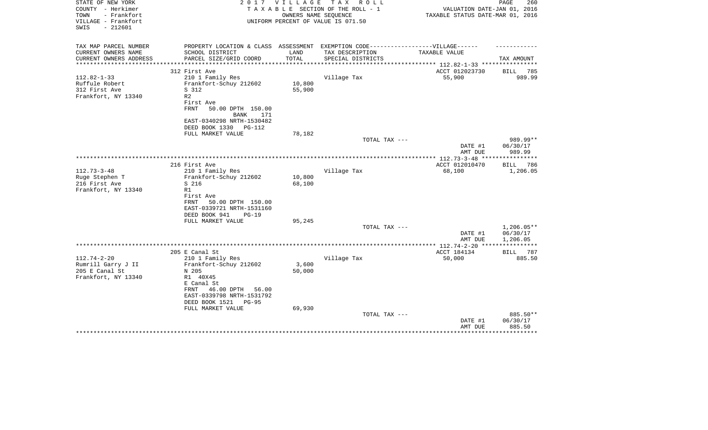| STATE OF NEW YORK<br>COUNTY - Herkimer<br>- Frankfort<br>TOWN<br>VILLAGE - Frankfort<br>SWIS<br>$-212601$ | 2 0 1 7                                                                           | VILLAGE         | TAX ROLL<br>TAXABLE SECTION OF THE ROLL - 1<br>OWNERS NAME SEQUENCE<br>UNIFORM PERCENT OF VALUE IS 071.50 | VALUATION DATE-JAN 01, 2016<br>TAXABLE STATUS DATE-MAR 01, 2016 | PAGE<br>260        |
|-----------------------------------------------------------------------------------------------------------|-----------------------------------------------------------------------------------|-----------------|-----------------------------------------------------------------------------------------------------------|-----------------------------------------------------------------|--------------------|
| TAX MAP PARCEL NUMBER                                                                                     | PROPERTY LOCATION & CLASS ASSESSMENT EXEMPTION CODE-----------------VILLAGE------ |                 |                                                                                                           |                                                                 |                    |
| CURRENT OWNERS NAME                                                                                       | SCHOOL DISTRICT                                                                   | LAND            | TAX DESCRIPTION                                                                                           | TAXABLE VALUE                                                   |                    |
| CURRENT OWNERS ADDRESS                                                                                    | PARCEL SIZE/GRID COORD                                                            | TOTAL           | SPECIAL DISTRICTS                                                                                         | ********* 112.82-1-33 ****                                      | TAX AMOUNT         |
|                                                                                                           | 312 First Ave                                                                     |                 |                                                                                                           | ACCT 012023730                                                  | 785<br>BILL        |
| $112.82 - 1 - 33$                                                                                         | 210 1 Family Res                                                                  |                 | Village Tax                                                                                               | 55,900                                                          | 989.99             |
| Ruffule Robert                                                                                            | Frankfort-Schuy 212602                                                            | 10,800          |                                                                                                           |                                                                 |                    |
| 312 First Ave                                                                                             | S 312                                                                             | 55,900          |                                                                                                           |                                                                 |                    |
| Frankfort, NY 13340                                                                                       | R <sub>2</sub>                                                                    |                 |                                                                                                           |                                                                 |                    |
|                                                                                                           | First Ave                                                                         |                 |                                                                                                           |                                                                 |                    |
|                                                                                                           | <b>FRNT</b><br>50.00 DPTH 150.00                                                  |                 |                                                                                                           |                                                                 |                    |
|                                                                                                           | BANK<br>171                                                                       |                 |                                                                                                           |                                                                 |                    |
|                                                                                                           | EAST-0340298 NRTH-1530482                                                         |                 |                                                                                                           |                                                                 |                    |
|                                                                                                           | DEED BOOK 1330<br>PG-112<br>FULL MARKET VALUE                                     | 78,182          |                                                                                                           |                                                                 |                    |
|                                                                                                           |                                                                                   |                 | TOTAL TAX ---                                                                                             |                                                                 | 989.99**           |
|                                                                                                           |                                                                                   |                 |                                                                                                           | DATE #1<br>AMT DUE                                              | 06/30/17<br>989.99 |
|                                                                                                           |                                                                                   |                 |                                                                                                           |                                                                 |                    |
|                                                                                                           | 216 First Ave                                                                     |                 |                                                                                                           | ACCT 012010470                                                  | <b>BILL</b><br>786 |
| $112.73 - 3 - 48$                                                                                         | 210 1 Family Res                                                                  |                 | Village Tax                                                                                               | 68,100                                                          | 1,206.05           |
| Ruge Stephen T                                                                                            | Frankfort-Schuy 212602                                                            | 10,800          |                                                                                                           |                                                                 |                    |
| 216 First Ave                                                                                             | S 216                                                                             | 68,100          |                                                                                                           |                                                                 |                    |
| Frankfort, NY 13340                                                                                       | R1                                                                                |                 |                                                                                                           |                                                                 |                    |
|                                                                                                           | First Ave<br>FRNT<br>50.00 DPTH 150.00                                            |                 |                                                                                                           |                                                                 |                    |
|                                                                                                           | EAST-0339721 NRTH-1531160                                                         |                 |                                                                                                           |                                                                 |                    |
|                                                                                                           | DEED BOOK 941<br>$PG-19$                                                          |                 |                                                                                                           |                                                                 |                    |
|                                                                                                           | FULL MARKET VALUE                                                                 | 95,245          |                                                                                                           |                                                                 |                    |
|                                                                                                           |                                                                                   |                 | TOTAL TAX ---                                                                                             |                                                                 | $1,206.05**$       |
|                                                                                                           |                                                                                   |                 |                                                                                                           | DATE #1                                                         | 06/30/17           |
|                                                                                                           |                                                                                   |                 |                                                                                                           | AMT DUE                                                         | 1,206.05           |
|                                                                                                           |                                                                                   |                 |                                                                                                           |                                                                 |                    |
|                                                                                                           | 205 E Canal St                                                                    |                 |                                                                                                           | ACCT 184134                                                     | BILL 787           |
| $112.74 - 2 - 20$                                                                                         | 210 1 Family Res                                                                  |                 | Village Tax                                                                                               | 50,000                                                          | 885.50             |
| Rumrill Garry J II<br>205 E Canal St                                                                      | Frankfort-Schuy 212602<br>N 205                                                   | 3,600<br>50,000 |                                                                                                           |                                                                 |                    |
| Frankfort, NY 13340                                                                                       | R1 40X45                                                                          |                 |                                                                                                           |                                                                 |                    |
|                                                                                                           | E Canal St                                                                        |                 |                                                                                                           |                                                                 |                    |
|                                                                                                           | 46.00 DPTH<br>FRNT<br>56.00                                                       |                 |                                                                                                           |                                                                 |                    |
|                                                                                                           | EAST-0339798 NRTH-1531792                                                         |                 |                                                                                                           |                                                                 |                    |
|                                                                                                           | DEED BOOK 1521<br><b>PG-95</b>                                                    |                 |                                                                                                           |                                                                 |                    |
|                                                                                                           | FULL MARKET VALUE                                                                 | 69,930          |                                                                                                           |                                                                 |                    |
|                                                                                                           |                                                                                   |                 | TOTAL TAX ---                                                                                             |                                                                 | 885.50**           |
|                                                                                                           |                                                                                   |                 |                                                                                                           | DATE #1                                                         | 06/30/17           |
|                                                                                                           |                                                                                   |                 |                                                                                                           | AMT DUE                                                         | 885.50             |
|                                                                                                           |                                                                                   |                 |                                                                                                           |                                                                 |                    |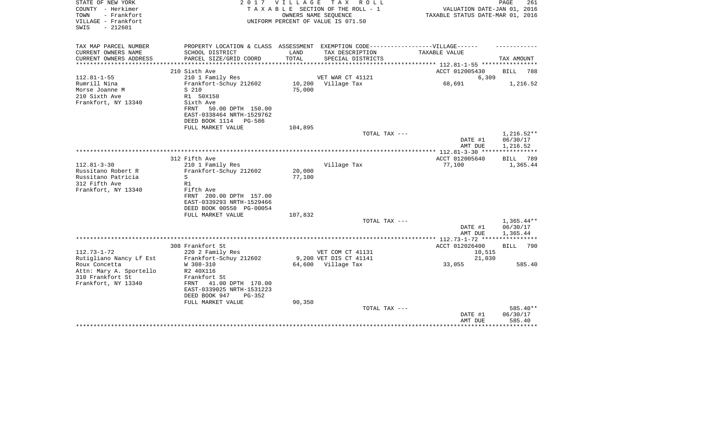| STATE OF NEW YORK<br>COUNTY - Herkimer<br>TOWN<br>- Frankfort<br>VILLAGE - Frankfort<br>$-212601$<br>SWIS | 2017                                                                              | V I L L A G E | TAX ROLL<br>TAXABLE SECTION OF THE ROLL - 1<br>OWNERS NAME SEQUENCE<br>UNIFORM PERCENT OF VALUE IS 071.50 | VALUATION DATE-JAN 01, 2016<br>TAXABLE STATUS DATE-MAR 01, 2016 | PAGE<br>261          |
|-----------------------------------------------------------------------------------------------------------|-----------------------------------------------------------------------------------|---------------|-----------------------------------------------------------------------------------------------------------|-----------------------------------------------------------------|----------------------|
| TAX MAP PARCEL NUMBER                                                                                     | PROPERTY LOCATION & CLASS ASSESSMENT EXEMPTION CODE-----------------VILLAGE------ |               |                                                                                                           |                                                                 |                      |
| CURRENT OWNERS NAME<br>CURRENT OWNERS ADDRESS                                                             | SCHOOL DISTRICT<br>PARCEL SIZE/GRID COORD                                         | LAND<br>TOTAL | TAX DESCRIPTION<br>SPECIAL DISTRICTS                                                                      | TAXABLE VALUE                                                   | TAX AMOUNT           |
| **************                                                                                            |                                                                                   |               |                                                                                                           | *************** 112.81-1-55 **********                          |                      |
| $112.81 - 1 - 55$                                                                                         | 210 Sixth Ave<br>210 1 Family Res                                                 |               | VET WAR CT 41121                                                                                          | ACCT 012005430                                                  | BILL<br>788          |
| Rumrill Nina                                                                                              | Frankfort-Schuy 212602                                                            |               | 10,200 Village Tax                                                                                        | 6,309<br>68,691                                                 | 1,216.52             |
| Morse Joanne M                                                                                            | S 210                                                                             | 75,000        |                                                                                                           |                                                                 |                      |
| 210 Sixth Ave                                                                                             | R1 50X150                                                                         |               |                                                                                                           |                                                                 |                      |
| Frankfort, NY 13340                                                                                       | Sixth Ave                                                                         |               |                                                                                                           |                                                                 |                      |
|                                                                                                           | 50.00 DPTH 150.00<br>FRNT                                                         |               |                                                                                                           |                                                                 |                      |
|                                                                                                           | EAST-0338464 NRTH-1529762                                                         |               |                                                                                                           |                                                                 |                      |
|                                                                                                           | DEED BOOK 1114 PG-586                                                             |               |                                                                                                           |                                                                 |                      |
|                                                                                                           | FULL MARKET VALUE                                                                 | 104,895       |                                                                                                           |                                                                 |                      |
|                                                                                                           |                                                                                   |               | TOTAL TAX ---                                                                                             |                                                                 | 1,216.52**           |
|                                                                                                           |                                                                                   |               |                                                                                                           | DATE #1<br>AMT DUE                                              | 06/30/17<br>1,216.52 |
|                                                                                                           |                                                                                   |               |                                                                                                           | ************** 112.81-3-30 ****************                     |                      |
|                                                                                                           | 312 Fifth Ave                                                                     |               |                                                                                                           | ACCT 012005640                                                  | <b>BILL</b><br>789   |
| $112.81 - 3 - 30$                                                                                         | 210 1 Family Res                                                                  |               | Village Tax                                                                                               | 77,100                                                          | 1,365.44             |
| Russitano Robert R                                                                                        | Frankfort-Schuy 212602                                                            | 20,000        |                                                                                                           |                                                                 |                      |
| Russitano Patricia                                                                                        | S                                                                                 | 77,100        |                                                                                                           |                                                                 |                      |
| 312 Fifth Ave                                                                                             | R1                                                                                |               |                                                                                                           |                                                                 |                      |
| Frankfort, NY 13340                                                                                       | Fifth Ave                                                                         |               |                                                                                                           |                                                                 |                      |
|                                                                                                           | FRNT 200.00 DPTH 157.00                                                           |               |                                                                                                           |                                                                 |                      |
|                                                                                                           | EAST-0339293 NRTH-1529466                                                         |               |                                                                                                           |                                                                 |                      |
|                                                                                                           | DEED BOOK 00558 PG-00054                                                          |               |                                                                                                           |                                                                 |                      |
|                                                                                                           | FULL MARKET VALUE                                                                 | 107,832       | TOTAL TAX ---                                                                                             |                                                                 | $1,365.44**$         |
|                                                                                                           |                                                                                   |               |                                                                                                           | DATE #1                                                         | 06/30/17             |
|                                                                                                           |                                                                                   |               |                                                                                                           | AMT DUE                                                         | 1,365.44             |
|                                                                                                           |                                                                                   |               |                                                                                                           |                                                                 |                      |
|                                                                                                           | 308 Frankfort St                                                                  |               |                                                                                                           | ACCT 012026400                                                  | BILL 790             |
| $112.73 - 1 - 72$                                                                                         | 220 2 Family Res                                                                  |               | VET COM CT 41131                                                                                          | 10,515                                                          |                      |
| Rutigliano Nancy Lf Est                                                                                   | Frankfort-Schuy 212602                                                            |               | 9,200 VET DIS CT 41141                                                                                    | 21,030                                                          |                      |
| Roux Concetta                                                                                             | W 308-310                                                                         |               | 64,600 Village Tax                                                                                        | 33,055                                                          | 585.40               |
| Attn: Mary A. Sportello                                                                                   | R2 40X116                                                                         |               |                                                                                                           |                                                                 |                      |
| 310 Frankfort St                                                                                          | Frankfort St                                                                      |               |                                                                                                           |                                                                 |                      |
| Frankfort, NY 13340                                                                                       | 41.00 DPTH 170.00<br>FRNT<br>EAST-0339025 NRTH-1531223                            |               |                                                                                                           |                                                                 |                      |
|                                                                                                           | DEED BOOK 947<br>$PG-352$                                                         |               |                                                                                                           |                                                                 |                      |
|                                                                                                           | FULL MARKET VALUE                                                                 | 90,350        |                                                                                                           |                                                                 |                      |
|                                                                                                           |                                                                                   |               | TOTAL TAX ---                                                                                             |                                                                 | 585.40**             |
|                                                                                                           |                                                                                   |               |                                                                                                           | DATE #1                                                         | 06/30/17             |
|                                                                                                           |                                                                                   |               |                                                                                                           | AMT DUE                                                         | 585.40               |
|                                                                                                           |                                                                                   |               |                                                                                                           |                                                                 |                      |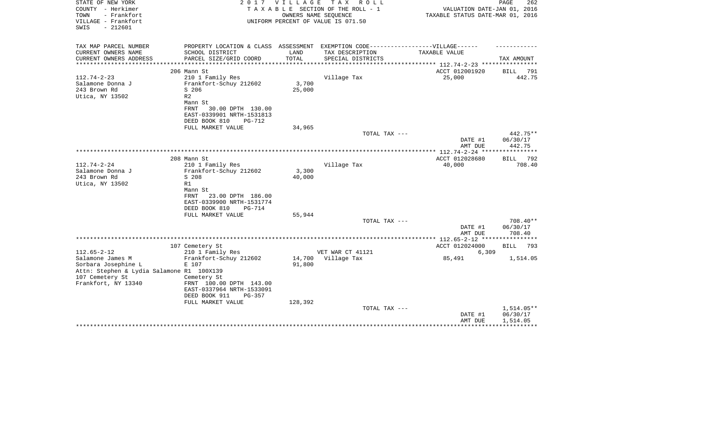| STATE OF NEW YORK<br>COUNTY - Herkimer<br>TOWN<br>- Frankfort<br>VILLAGE - Frankfort<br>$-212601$<br>SWIS | 2 0 1 7                              | VILLAGE | T A X<br>ROLL<br>TAXABLE SECTION OF THE ROLL - 1<br>OWNERS NAME SEQUENCE<br>UNIFORM PERCENT OF VALUE IS 071.50 | VALUATION DATE-JAN 01, 2016<br>TAXABLE STATUS DATE-MAR 01, 2016 | 262<br>PAGE          |
|-----------------------------------------------------------------------------------------------------------|--------------------------------------|---------|----------------------------------------------------------------------------------------------------------------|-----------------------------------------------------------------|----------------------|
| TAX MAP PARCEL NUMBER                                                                                     | PROPERTY LOCATION & CLASS ASSESSMENT |         | EXEMPTION CODE------------------VILLAGE------                                                                  |                                                                 |                      |
| CURRENT OWNERS NAME                                                                                       | SCHOOL DISTRICT                      | LAND    | TAX DESCRIPTION                                                                                                | TAXABLE VALUE                                                   |                      |
| CURRENT OWNERS ADDRESS<br>****************                                                                | PARCEL SIZE/GRID COORD               | TOTAL   | SPECIAL DISTRICTS                                                                                              |                                                                 | TAX AMOUNT           |
|                                                                                                           | 206 Mann St                          |         |                                                                                                                | ACCT 012001920                                                  | <b>BILL</b><br>791   |
| $112.74 - 2 - 23$                                                                                         | 210 1 Family Res                     |         | Village Tax                                                                                                    | 25,000                                                          | 442.75               |
| Salamone Donna J                                                                                          | Frankfort-Schuy 212602               | 3,700   |                                                                                                                |                                                                 |                      |
| 243 Brown Rd                                                                                              | S 206                                | 25,000  |                                                                                                                |                                                                 |                      |
| Utica, NY 13502                                                                                           | R <sub>2</sub>                       |         |                                                                                                                |                                                                 |                      |
|                                                                                                           | Mann St<br>FRNT<br>30.00 DPTH 130.00 |         |                                                                                                                |                                                                 |                      |
|                                                                                                           | EAST-0339901 NRTH-1531813            |         |                                                                                                                |                                                                 |                      |
|                                                                                                           | DEED BOOK 810<br><b>PG-712</b>       |         |                                                                                                                |                                                                 |                      |
|                                                                                                           | FULL MARKET VALUE                    | 34,965  |                                                                                                                |                                                                 |                      |
|                                                                                                           |                                      |         | TOTAL TAX ---                                                                                                  |                                                                 | 442.75**             |
|                                                                                                           |                                      |         |                                                                                                                | DATE #1                                                         | 06/30/17             |
|                                                                                                           |                                      |         |                                                                                                                | AMT DUE<br>************** 112.74-2-24 ***                       | 442.75               |
|                                                                                                           | 208 Mann St                          |         |                                                                                                                | ACCT 012028680                                                  | 792<br>BILL          |
| $112.74 - 2 - 24$                                                                                         | 210 1 Family Res                     |         | Village Tax                                                                                                    | 40,000                                                          | 708.40               |
| Salamone Donna J                                                                                          | Frankfort-Schuy 212602               | 3,300   |                                                                                                                |                                                                 |                      |
| 243 Brown Rd                                                                                              | S 208                                | 40,000  |                                                                                                                |                                                                 |                      |
| Utica, NY 13502                                                                                           | R1                                   |         |                                                                                                                |                                                                 |                      |
|                                                                                                           | Mann St<br>23.00 DPTH 186.00<br>FRNT |         |                                                                                                                |                                                                 |                      |
|                                                                                                           | EAST-0339900 NRTH-1531774            |         |                                                                                                                |                                                                 |                      |
|                                                                                                           | DEED BOOK 810<br><b>PG-714</b>       |         |                                                                                                                |                                                                 |                      |
|                                                                                                           | FULL MARKET VALUE                    | 55,944  |                                                                                                                |                                                                 |                      |
|                                                                                                           |                                      |         | TOTAL TAX ---                                                                                                  |                                                                 | 708.40**             |
|                                                                                                           |                                      |         |                                                                                                                | DATE #1                                                         | 06/30/17             |
|                                                                                                           |                                      |         |                                                                                                                | AMT DUE                                                         | 708.40               |
|                                                                                                           | 107 Cemetery St                      |         |                                                                                                                | ACCT 012024000                                                  | 793<br><b>BILL</b>   |
| $112.65 - 2 - 12$                                                                                         | 210 1 Family Res                     |         | VET WAR CT 41121                                                                                               | 6,309                                                           |                      |
| Salamone James M                                                                                          | Frankfort-Schuy 212602               | 14,700  | Village Tax                                                                                                    | 85,491                                                          | 1,514.05             |
| Sorbara Josephine L                                                                                       | E 107                                | 91,800  |                                                                                                                |                                                                 |                      |
| Attn: Stephen & Lydia Salamone R1 100X139<br>107 Cemetery St                                              | Cemetery St                          |         |                                                                                                                |                                                                 |                      |
| Frankfort, NY 13340                                                                                       | FRNT 100.00 DPTH 143.00              |         |                                                                                                                |                                                                 |                      |
|                                                                                                           | EAST-0337964 NRTH-1533091            |         |                                                                                                                |                                                                 |                      |
|                                                                                                           | DEED BOOK 911<br>$PG-357$            |         |                                                                                                                |                                                                 |                      |
|                                                                                                           | FULL MARKET VALUE                    | 128,392 |                                                                                                                |                                                                 |                      |
|                                                                                                           |                                      |         | TOTAL TAX ---                                                                                                  |                                                                 | $1,514.05**$         |
|                                                                                                           |                                      |         |                                                                                                                | DATE #1<br>AMT DUE                                              | 06/30/17<br>1,514.05 |
|                                                                                                           |                                      |         |                                                                                                                |                                                                 |                      |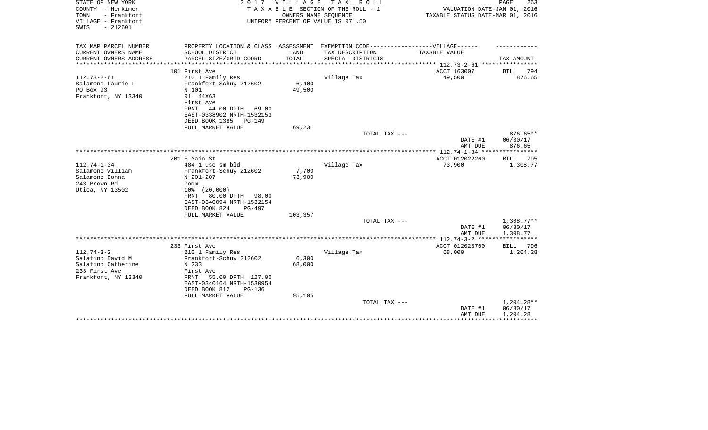| STATE OF NEW YORK<br>COUNTY - Herkimer<br>- Frankfort<br>TOWN<br>VILLAGE - Frankfort<br>$-212601$<br>SWIS | 2 0 1 7                                                                                              | <b>VILLAGE</b>  | TAX ROLL<br>TAXABLE SECTION OF THE ROLL - 1<br>OWNERS NAME SEQUENCE<br>UNIFORM PERCENT OF VALUE IS 071.50 | VALUATION DATE-JAN 01, 2016<br>TAXABLE STATUS DATE-MAR 01, 2016 | PAGE<br>263                         |
|-----------------------------------------------------------------------------------------------------------|------------------------------------------------------------------------------------------------------|-----------------|-----------------------------------------------------------------------------------------------------------|-----------------------------------------------------------------|-------------------------------------|
| TAX MAP PARCEL NUMBER<br>CURRENT OWNERS NAME                                                              | PROPERTY LOCATION & CLASS ASSESSMENT EXEMPTION CODE-----------------VILLAGE------<br>SCHOOL DISTRICT | LAND            | TAX DESCRIPTION                                                                                           | TAXABLE VALUE                                                   |                                     |
| CURRENT OWNERS ADDRESS                                                                                    | PARCEL SIZE/GRID COORD                                                                               | TOTAL           | SPECIAL DISTRICTS                                                                                         |                                                                 | TAX AMOUNT                          |
|                                                                                                           |                                                                                                      |                 |                                                                                                           |                                                                 |                                     |
|                                                                                                           | 101 First Ave                                                                                        |                 |                                                                                                           | ACCT 163007                                                     | BILL<br>794                         |
| $112.73 - 2 - 61$                                                                                         | 210 1 Family Res                                                                                     |                 | Village Tax                                                                                               | 49,500                                                          | 876.65                              |
| Salamone Laurie L<br>PO Box 93                                                                            | Frankfort-Schuy 212602                                                                               | 6,400<br>49,500 |                                                                                                           |                                                                 |                                     |
| Frankfort, NY 13340                                                                                       | N 101<br>R1 44X63                                                                                    |                 |                                                                                                           |                                                                 |                                     |
|                                                                                                           | First Ave                                                                                            |                 |                                                                                                           |                                                                 |                                     |
|                                                                                                           | FRNT<br>44.00 DPTH 69.00                                                                             |                 |                                                                                                           |                                                                 |                                     |
|                                                                                                           | EAST-0338902 NRTH-1532153                                                                            |                 |                                                                                                           |                                                                 |                                     |
|                                                                                                           | DEED BOOK 1385<br>PG-149                                                                             |                 |                                                                                                           |                                                                 |                                     |
|                                                                                                           | FULL MARKET VALUE                                                                                    | 69,231          |                                                                                                           |                                                                 |                                     |
|                                                                                                           |                                                                                                      |                 | TOTAL TAX ---                                                                                             |                                                                 | 876.65**                            |
|                                                                                                           |                                                                                                      |                 |                                                                                                           | DATE #1<br>AMT DUE                                              | 06/30/17<br>876.65                  |
|                                                                                                           |                                                                                                      |                 |                                                                                                           |                                                                 |                                     |
|                                                                                                           | 201 E Main St                                                                                        |                 |                                                                                                           | ACCT 012022260                                                  | BILL<br>795                         |
| $112.74 - 1 - 34$                                                                                         | 484 1 use sm bld                                                                                     |                 | Village Tax                                                                                               | 73,900                                                          | 1,308.77                            |
| Salamone William                                                                                          | Frankfort-Schuy 212602                                                                               | 7,700           |                                                                                                           |                                                                 |                                     |
| Salamone Donna                                                                                            | N 201-207                                                                                            | 73,900          |                                                                                                           |                                                                 |                                     |
| 243 Brown Rd                                                                                              | Comm                                                                                                 |                 |                                                                                                           |                                                                 |                                     |
| Utica, NY 13502                                                                                           | $10\%$ $(20,000)$<br>80.00 DPTH 98.00<br>FRNT                                                        |                 |                                                                                                           |                                                                 |                                     |
|                                                                                                           | EAST-0340094 NRTH-1532154                                                                            |                 |                                                                                                           |                                                                 |                                     |
|                                                                                                           | DEED BOOK 824<br>PG-497                                                                              |                 |                                                                                                           |                                                                 |                                     |
|                                                                                                           | FULL MARKET VALUE                                                                                    | 103,357         |                                                                                                           |                                                                 |                                     |
|                                                                                                           |                                                                                                      |                 | TOTAL TAX ---                                                                                             |                                                                 | $1,308.77**$                        |
|                                                                                                           |                                                                                                      |                 |                                                                                                           | DATE #1                                                         | 06/30/17                            |
|                                                                                                           |                                                                                                      |                 |                                                                                                           | AMT DUE                                                         | 1,308.77<br>* * * * * * * * * * * * |
|                                                                                                           | 233 First Ave                                                                                        |                 |                                                                                                           | ACCT 012023760                                                  | BILL 796                            |
| $112.74 - 3 - 2$                                                                                          | 210 1 Family Res                                                                                     |                 | Village Tax                                                                                               | 68,000                                                          | 1,204.28                            |
| Salatino David M                                                                                          | Frankfort-Schuy 212602                                                                               | 6,300           |                                                                                                           |                                                                 |                                     |
| Salatino Catherine                                                                                        | N 233                                                                                                | 68,000          |                                                                                                           |                                                                 |                                     |
| 233 First Ave                                                                                             | First Ave                                                                                            |                 |                                                                                                           |                                                                 |                                     |
| Frankfort, NY 13340                                                                                       | 55.00 DPTH 127.00<br>FRNT                                                                            |                 |                                                                                                           |                                                                 |                                     |
|                                                                                                           | EAST-0340164 NRTH-1530954                                                                            |                 |                                                                                                           |                                                                 |                                     |
|                                                                                                           | DEED BOOK 812<br>$PG-136$                                                                            |                 |                                                                                                           |                                                                 |                                     |
|                                                                                                           | FULL MARKET VALUE                                                                                    | 95,105          | TOTAL TAX ---                                                                                             |                                                                 | 1,204.28**                          |
|                                                                                                           |                                                                                                      |                 |                                                                                                           | DATE #1                                                         | 06/30/17                            |
|                                                                                                           |                                                                                                      |                 |                                                                                                           | AMT DUE                                                         | 1,204.28                            |
|                                                                                                           |                                                                                                      |                 |                                                                                                           |                                                                 |                                     |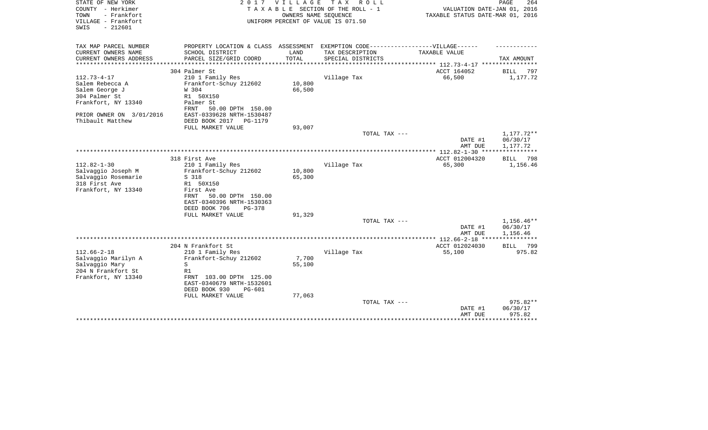| STATE OF NEW YORK<br>COUNTY - Herkimer<br>- Frankfort<br>TOWN<br>VILLAGE - Frankfort<br>$-212601$<br>SWIS | 2 0 1 7                                                       | <b>VILLAGE</b> | T A X<br>R O L L<br>TAXABLE SECTION OF THE ROLL - 1<br>OWNERS NAME SEQUENCE<br>UNIFORM PERCENT OF VALUE IS 071.50 | VALUATION DATE-JAN 01, 2016<br>TAXABLE STATUS DATE-MAR 01, 2016 | PAGE<br>264          |
|-----------------------------------------------------------------------------------------------------------|---------------------------------------------------------------|----------------|-------------------------------------------------------------------------------------------------------------------|-----------------------------------------------------------------|----------------------|
| TAX MAP PARCEL NUMBER                                                                                     | PROPERTY LOCATION & CLASS ASSESSMENT                          |                | EXEMPTION CODE------------------VILLAGE------                                                                     |                                                                 |                      |
| CURRENT OWNERS NAME<br>CURRENT OWNERS ADDRESS                                                             | SCHOOL DISTRICT<br>PARCEL SIZE/GRID COORD                     | LAND<br>TOTAL  | TAX DESCRIPTION<br>SPECIAL DISTRICTS                                                                              | TAXABLE VALUE                                                   | TAX AMOUNT           |
| *********************                                                                                     | **************************                                    |                |                                                                                                                   |                                                                 |                      |
|                                                                                                           | 304 Palmer St                                                 |                |                                                                                                                   | ACCT 164052                                                     | <b>BILL</b><br>797   |
| $112.73 - 4 - 17$                                                                                         | 210 1 Family Res                                              |                | Village Tax                                                                                                       | 66,500                                                          | 1,177.72             |
| Salem Rebecca A                                                                                           | Frankfort-Schuy 212602                                        | 10,800         |                                                                                                                   |                                                                 |                      |
| Salem George J                                                                                            | W 304                                                         | 66,500         |                                                                                                                   |                                                                 |                      |
| 304 Palmer St                                                                                             | R1 50X150                                                     |                |                                                                                                                   |                                                                 |                      |
| Frankfort, NY 13340                                                                                       | Palmer St                                                     |                |                                                                                                                   |                                                                 |                      |
|                                                                                                           | FRNT<br>50.00 DPTH 150.00                                     |                |                                                                                                                   |                                                                 |                      |
| PRIOR OWNER ON 3/01/2016<br>Thibault Matthew                                                              | EAST-0339628 NRTH-1530487<br>DEED BOOK 2017<br><b>PG-1179</b> |                |                                                                                                                   |                                                                 |                      |
|                                                                                                           | FULL MARKET VALUE                                             | 93,007         |                                                                                                                   |                                                                 |                      |
|                                                                                                           |                                                               |                | TOTAL TAX ---                                                                                                     |                                                                 | 1,177.72**           |
|                                                                                                           |                                                               |                |                                                                                                                   | DATE #1<br>AMT DUE                                              | 06/30/17<br>1,177.72 |
|                                                                                                           | **************************************                        |                |                                                                                                                   | *** 112.82-1-30 **                                              | **********           |
|                                                                                                           | 318 First Ave                                                 |                |                                                                                                                   | ACCT 012004320                                                  | <b>BILL</b><br>798   |
| $112.82 - 1 - 30$                                                                                         | 210 1 Family Res                                              |                | Village Tax                                                                                                       | 65,300                                                          | 1,156.46             |
| Salvaggio Joseph M                                                                                        | Frankfort-Schuy 212602<br>S 318                               | 10,800         |                                                                                                                   |                                                                 |                      |
| Salvaggio Rosemarie<br>318 First Ave                                                                      | R1 50X150                                                     | 65,300         |                                                                                                                   |                                                                 |                      |
| Frankfort, NY 13340                                                                                       | First Ave                                                     |                |                                                                                                                   |                                                                 |                      |
|                                                                                                           | 50.00 DPTH 150.00<br>FRNT                                     |                |                                                                                                                   |                                                                 |                      |
|                                                                                                           | EAST-0340396 NRTH-1530363                                     |                |                                                                                                                   |                                                                 |                      |
|                                                                                                           | DEED BOOK 706<br>$PG-378$                                     |                |                                                                                                                   |                                                                 |                      |
|                                                                                                           | FULL MARKET VALUE                                             | 91,329         |                                                                                                                   |                                                                 |                      |
|                                                                                                           |                                                               |                | TOTAL TAX ---                                                                                                     |                                                                 | 1,156.46**           |
|                                                                                                           |                                                               |                |                                                                                                                   | DATE #1                                                         | 06/30/17             |
|                                                                                                           |                                                               |                |                                                                                                                   | AMT DUE<br>******* 112.66-2-18 ***                              | 1,156.46             |
|                                                                                                           | 204 N Frankfort St                                            |                |                                                                                                                   | ACCT 012024030                                                  | 799<br>BILL          |
| $112.66 - 2 - 18$                                                                                         | 210 1 Family Res                                              |                | Village Tax                                                                                                       | 55,100                                                          | 975.82               |
| Salvaggio Marilyn A                                                                                       | Frankfort-Schuy 212602                                        | 7,700          |                                                                                                                   |                                                                 |                      |
| Salvaggio Mary                                                                                            | S                                                             | 55,100         |                                                                                                                   |                                                                 |                      |
| 204 N Frankfort St                                                                                        | R1                                                            |                |                                                                                                                   |                                                                 |                      |
| Frankfort, NY 13340                                                                                       | FRNT 103.00 DPTH 125.00                                       |                |                                                                                                                   |                                                                 |                      |
|                                                                                                           | EAST-0340679 NRTH-1532601                                     |                |                                                                                                                   |                                                                 |                      |
|                                                                                                           | DEED BOOK 930<br>$PG-601$                                     |                |                                                                                                                   |                                                                 |                      |
|                                                                                                           | FULL MARKET VALUE                                             | 77,063         | TOTAL TAX ---                                                                                                     |                                                                 | 975.82**             |
|                                                                                                           |                                                               |                |                                                                                                                   | DATE #1                                                         | 06/30/17             |
|                                                                                                           |                                                               |                |                                                                                                                   | AMT DUE                                                         | 975.82               |
|                                                                                                           |                                                               |                |                                                                                                                   |                                                                 | ********             |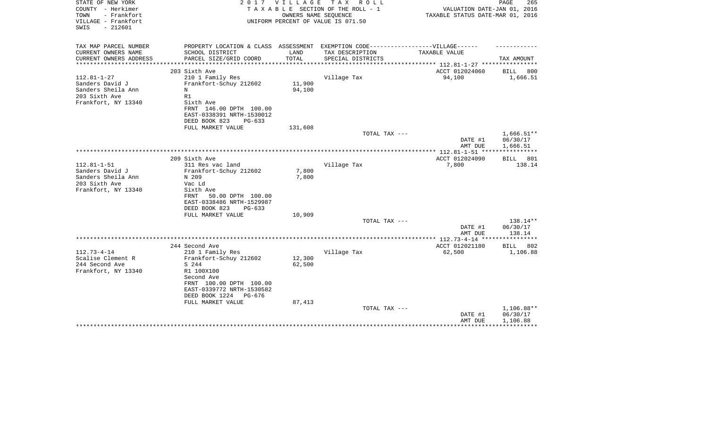| STATE OF NEW YORK<br>COUNTY - Herkimer<br>- Frankfort<br>TOWN<br>VILLAGE - Frankfort<br>$-212601$<br>SWIS | 2 0 1 7                                                                           | VILLAGE          | TAX ROLL<br>TAXABLE SECTION OF THE ROLL - 1<br>OWNERS NAME SEQUENCE<br>UNIFORM PERCENT OF VALUE IS 071.50 | VALUATION DATE-JAN 01, 2016<br>TAXABLE STATUS DATE-MAR 01, 2016 | PAGE<br>265          |
|-----------------------------------------------------------------------------------------------------------|-----------------------------------------------------------------------------------|------------------|-----------------------------------------------------------------------------------------------------------|-----------------------------------------------------------------|----------------------|
| TAX MAP PARCEL NUMBER                                                                                     | PROPERTY LOCATION & CLASS ASSESSMENT EXEMPTION CODE-----------------VILLAGE------ |                  |                                                                                                           |                                                                 |                      |
| CURRENT OWNERS NAME                                                                                       | SCHOOL DISTRICT                                                                   | LAND             | TAX DESCRIPTION                                                                                           | TAXABLE VALUE                                                   |                      |
| CURRENT OWNERS ADDRESS<br>***************                                                                 | PARCEL SIZE/GRID COORD                                                            | TOTAL            | SPECIAL DISTRICTS                                                                                         |                                                                 | TAX AMOUNT           |
|                                                                                                           | 203 Sixth Ave                                                                     |                  |                                                                                                           | ACCT 012024060                                                  | BILL<br>800          |
| $112.81 - 1 - 27$                                                                                         | 210 1 Family Res                                                                  |                  | Village Tax                                                                                               | 94,100                                                          | 1,666.51             |
| Sanders David J                                                                                           | Frankfort-Schuy 212602                                                            | 11,900           |                                                                                                           |                                                                 |                      |
| Sanders Sheila Ann                                                                                        | N                                                                                 | 94,100           |                                                                                                           |                                                                 |                      |
| 203 Sixth Ave                                                                                             | R1                                                                                |                  |                                                                                                           |                                                                 |                      |
| Frankfort, NY 13340                                                                                       | Sixth Ave                                                                         |                  |                                                                                                           |                                                                 |                      |
|                                                                                                           | FRNT 146.00 DPTH 100.00                                                           |                  |                                                                                                           |                                                                 |                      |
|                                                                                                           | EAST-0338391 NRTH-1530012<br>DEED BOOK 823<br>$PG-633$                            |                  |                                                                                                           |                                                                 |                      |
|                                                                                                           | FULL MARKET VALUE                                                                 | 131,608          |                                                                                                           |                                                                 |                      |
|                                                                                                           |                                                                                   |                  | TOTAL TAX ---                                                                                             |                                                                 | 1,666.51**           |
|                                                                                                           |                                                                                   |                  |                                                                                                           | DATE #1                                                         | 06/30/17             |
|                                                                                                           |                                                                                   |                  |                                                                                                           | AMT DUE                                                         | 1,666.51             |
|                                                                                                           |                                                                                   |                  |                                                                                                           |                                                                 |                      |
| $112.81 - 1 - 51$                                                                                         | 209 Sixth Ave<br>311 Res vac land                                                 |                  | Village Tax                                                                                               | ACCT 012024090<br>7,800                                         | BILL 801<br>138.14   |
| Sanders David J                                                                                           | Frankfort-Schuy 212602                                                            | 7,800            |                                                                                                           |                                                                 |                      |
| Sanders Sheila Ann                                                                                        | N 209                                                                             | 7,800            |                                                                                                           |                                                                 |                      |
| 203 Sixth Ave                                                                                             | Vac Ld                                                                            |                  |                                                                                                           |                                                                 |                      |
| Frankfort, NY 13340                                                                                       | Sixth Ave                                                                         |                  |                                                                                                           |                                                                 |                      |
|                                                                                                           | 50.00 DPTH 100.00<br>FRNT                                                         |                  |                                                                                                           |                                                                 |                      |
|                                                                                                           | EAST-0338486 NRTH-1529987                                                         |                  |                                                                                                           |                                                                 |                      |
|                                                                                                           | DEED BOOK 823<br>$PG-633$                                                         |                  |                                                                                                           |                                                                 |                      |
|                                                                                                           | FULL MARKET VALUE                                                                 | 10,909           | TOTAL TAX ---                                                                                             |                                                                 | 138.14**             |
|                                                                                                           |                                                                                   |                  |                                                                                                           | DATE #1                                                         | 06/30/17             |
|                                                                                                           |                                                                                   |                  |                                                                                                           | AMT DUE                                                         | 138.14               |
|                                                                                                           |                                                                                   |                  |                                                                                                           |                                                                 | ************         |
|                                                                                                           | 244 Second Ave                                                                    |                  |                                                                                                           | ACCT 012021180                                                  | <b>BILL</b><br>802   |
| $112.73 - 4 - 14$                                                                                         | 210 1 Family Res                                                                  |                  | Village Tax                                                                                               | 62,500                                                          | 1,106.88             |
| Scalise Clement R<br>244 Second Ave                                                                       | Frankfort-Schuy 212602                                                            | 12,300<br>62,500 |                                                                                                           |                                                                 |                      |
| Frankfort, NY 13340                                                                                       | S 244<br>R1 100X100                                                               |                  |                                                                                                           |                                                                 |                      |
|                                                                                                           | Second Ave                                                                        |                  |                                                                                                           |                                                                 |                      |
|                                                                                                           | FRNT 100.00 DPTH 100.00                                                           |                  |                                                                                                           |                                                                 |                      |
|                                                                                                           | EAST-0339772 NRTH-1530582                                                         |                  |                                                                                                           |                                                                 |                      |
|                                                                                                           | DEED BOOK 1224<br>PG-676                                                          |                  |                                                                                                           |                                                                 |                      |
|                                                                                                           | FULL MARKET VALUE                                                                 | 87,413           |                                                                                                           |                                                                 |                      |
|                                                                                                           |                                                                                   |                  | TOTAL TAX ---                                                                                             |                                                                 | 1,106.88**           |
|                                                                                                           |                                                                                   |                  |                                                                                                           | DATE #1<br>AMT DUE                                              | 06/30/17<br>1,106.88 |
|                                                                                                           |                                                                                   |                  |                                                                                                           |                                                                 |                      |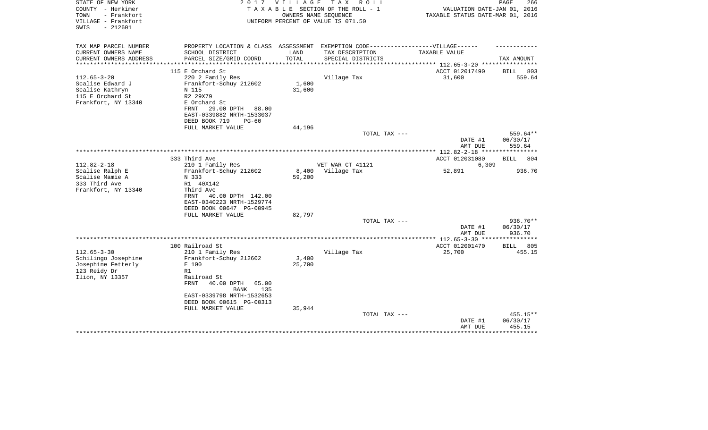| STATE OF NEW YORK<br>COUNTY - Herkimer<br>- Frankfort<br>TOWN<br>VILLAGE - Frankfort<br>SWIS<br>$-212601$ | 2017                                                                             | <b>VILLAGE</b>      | T A X<br>R O L L<br>TAXABLE SECTION OF THE ROLL - 1<br>OWNERS NAME SEQUENCE<br>UNIFORM PERCENT OF VALUE IS 071.50 | VALUATION DATE-JAN 01, 2016<br>TAXABLE STATUS DATE-MAR 01, 2016 | PAGE<br>266        |
|-----------------------------------------------------------------------------------------------------------|----------------------------------------------------------------------------------|---------------------|-------------------------------------------------------------------------------------------------------------------|-----------------------------------------------------------------|--------------------|
| TAX MAP PARCEL NUMBER                                                                                     | PROPERTY LOCATION & CLASS ASSESSMENT EXEMPTION CODE----------------VILLAGE------ |                     |                                                                                                                   |                                                                 |                    |
| CURRENT OWNERS NAME                                                                                       | SCHOOL DISTRICT                                                                  | LAND                | TAX DESCRIPTION                                                                                                   | TAXABLE VALUE                                                   |                    |
| CURRENT OWNERS ADDRESS                                                                                    | PARCEL SIZE/GRID COORD                                                           | TOTAL<br>********** | SPECIAL DISTRICTS                                                                                                 | ******************* 112.65-3-20 *********                       | TAX AMOUNT         |
|                                                                                                           | 115 E Orchard St                                                                 |                     |                                                                                                                   | ACCT 012017490                                                  | 803<br><b>BILL</b> |
| $112.65 - 3 - 20$                                                                                         | 220 2 Family Res                                                                 |                     | Village Tax                                                                                                       | 31,600                                                          | 559.64             |
| Scalise Edward J                                                                                          | Frankfort-Schuy 212602                                                           | 1,600               |                                                                                                                   |                                                                 |                    |
| Scalise Kathryn                                                                                           | N 115                                                                            | 31,600              |                                                                                                                   |                                                                 |                    |
| 115 E Orchard St                                                                                          | R2 29X79                                                                         |                     |                                                                                                                   |                                                                 |                    |
| Frankfort, NY 13340                                                                                       | E Orchard St                                                                     |                     |                                                                                                                   |                                                                 |                    |
|                                                                                                           | FRNT<br>29.00 DPTH<br>88.00                                                      |                     |                                                                                                                   |                                                                 |                    |
|                                                                                                           | EAST-0339882 NRTH-1533037<br>DEED BOOK 719<br>$PG-60$                            |                     |                                                                                                                   |                                                                 |                    |
|                                                                                                           | FULL MARKET VALUE                                                                | 44,196              |                                                                                                                   |                                                                 |                    |
|                                                                                                           |                                                                                  |                     | TOTAL TAX ---                                                                                                     |                                                                 | 559.64**           |
|                                                                                                           |                                                                                  |                     |                                                                                                                   | DATE #1                                                         | 06/30/17           |
|                                                                                                           |                                                                                  |                     |                                                                                                                   | AMT DUE                                                         | 559.64             |
|                                                                                                           |                                                                                  |                     |                                                                                                                   | ******** 112.82-2-18 ****                                       |                    |
|                                                                                                           | 333 Third Ave                                                                    |                     |                                                                                                                   | ACCT 012031080                                                  | 804<br>BILL        |
| $112.82 - 2 - 18$<br>Scalise Ralph E                                                                      | 210 1 Family Res<br>Frankfort-Schuy 212602                                       | 8,400               | VET WAR CT 41121<br>Village Tax                                                                                   | 6,309<br>52,891                                                 | 936.70             |
| Scalise Mamie A                                                                                           | N 333                                                                            | 59,200              |                                                                                                                   |                                                                 |                    |
| 333 Third Ave                                                                                             | R1 40X142                                                                        |                     |                                                                                                                   |                                                                 |                    |
| Frankfort, NY 13340                                                                                       | Third Ave                                                                        |                     |                                                                                                                   |                                                                 |                    |
|                                                                                                           | 40.00 DPTH 142.00<br>FRNT                                                        |                     |                                                                                                                   |                                                                 |                    |
|                                                                                                           | EAST-0340223 NRTH-1529774                                                        |                     |                                                                                                                   |                                                                 |                    |
|                                                                                                           | DEED BOOK 00647 PG-00945                                                         |                     |                                                                                                                   |                                                                 |                    |
|                                                                                                           | FULL MARKET VALUE                                                                | 82,797              | TOTAL TAX ---                                                                                                     |                                                                 | 936.70**           |
|                                                                                                           |                                                                                  |                     |                                                                                                                   | DATE #1                                                         | 06/30/17           |
|                                                                                                           |                                                                                  |                     |                                                                                                                   | AMT DUE                                                         | 936.70             |
|                                                                                                           |                                                                                  |                     |                                                                                                                   | ** 112.65-3-30 **                                               |                    |
|                                                                                                           | 100 Railroad St                                                                  |                     |                                                                                                                   | ACCT 012001470                                                  | 805<br><b>BILL</b> |
| $112.65 - 3 - 30$                                                                                         | 210 1 Family Res                                                                 |                     | Village Tax                                                                                                       | 25,700                                                          | 455.15             |
| Schilingo Josephine<br>Josephine Fetterly                                                                 | Frankfort-Schuy 212602<br>E 100                                                  | 3,400<br>25,700     |                                                                                                                   |                                                                 |                    |
| 123 Reidy Dr                                                                                              | R1                                                                               |                     |                                                                                                                   |                                                                 |                    |
| Ilion, NY 13357                                                                                           | Railroad St                                                                      |                     |                                                                                                                   |                                                                 |                    |
|                                                                                                           | FRNT<br>40.00 DPTH<br>65.00                                                      |                     |                                                                                                                   |                                                                 |                    |
|                                                                                                           | 135<br><b>BANK</b>                                                               |                     |                                                                                                                   |                                                                 |                    |
|                                                                                                           | EAST-0339798 NRTH-1532653                                                        |                     |                                                                                                                   |                                                                 |                    |
|                                                                                                           | DEED BOOK 00615 PG-00313                                                         |                     |                                                                                                                   |                                                                 |                    |
|                                                                                                           | FULL MARKET VALUE                                                                | 35,944              | TOTAL TAX ---                                                                                                     |                                                                 | 455.15**           |
|                                                                                                           |                                                                                  |                     |                                                                                                                   | DATE #1                                                         | 06/30/17           |
|                                                                                                           |                                                                                  |                     |                                                                                                                   | AMT DUE                                                         | 455.15             |
|                                                                                                           |                                                                                  |                     |                                                                                                                   |                                                                 |                    |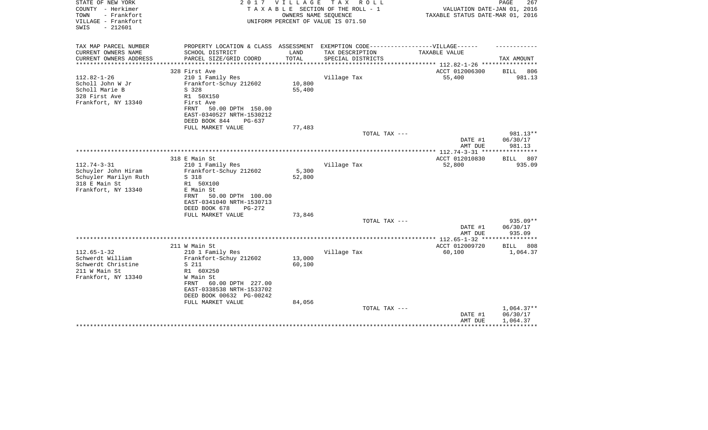| STATE OF NEW YORK<br>COUNTY - Herkimer<br>- Frankfort<br>TOWN<br>VILLAGE - Frankfort<br>$-212601$<br>SWIS | 2017                                                                              | <b>VILLAGE</b> | T A X<br>R O L L<br>TAXABLE SECTION OF THE ROLL - 1<br>OWNERS NAME SEQUENCE<br>UNIFORM PERCENT OF VALUE IS 071.50 | VALUATION DATE-JAN 01, 2016<br>TAXABLE STATUS DATE-MAR 01, 2016            | PAGE<br>267  |
|-----------------------------------------------------------------------------------------------------------|-----------------------------------------------------------------------------------|----------------|-------------------------------------------------------------------------------------------------------------------|----------------------------------------------------------------------------|--------------|
| TAX MAP PARCEL NUMBER                                                                                     | PROPERTY LOCATION & CLASS ASSESSMENT EXEMPTION CODE-----------------VILLAGE------ |                |                                                                                                                   |                                                                            |              |
| CURRENT OWNERS NAME<br>CURRENT OWNERS ADDRESS<br>*********************                                    | SCHOOL DISTRICT<br>PARCEL SIZE/GRID COORD                                         | LAND<br>TOTAL  | TAX DESCRIPTION<br>SPECIAL DISTRICTS                                                                              | TAXABLE VALUE<br>**************************** 112.82-1-26 **************** | TAX AMOUNT   |
|                                                                                                           | 328 First Ave                                                                     |                |                                                                                                                   | ACCT 012006300                                                             | BILL<br>806  |
| $112.82 - 1 - 26$                                                                                         | 210 1 Family Res                                                                  |                | Village Tax                                                                                                       | 55,400                                                                     | 981.13       |
| Scholl John W Jr                                                                                          | Frankfort-Schuy 212602                                                            | 10,800         |                                                                                                                   |                                                                            |              |
| Scholl Marie B                                                                                            | S 328                                                                             | 55,400         |                                                                                                                   |                                                                            |              |
| 328 First Ave                                                                                             | R1 50X150                                                                         |                |                                                                                                                   |                                                                            |              |
| Frankfort, NY 13340                                                                                       | First Ave                                                                         |                |                                                                                                                   |                                                                            |              |
|                                                                                                           | 50.00 DPTH 150.00<br>FRNT                                                         |                |                                                                                                                   |                                                                            |              |
|                                                                                                           | EAST-0340527 NRTH-1530212                                                         |                |                                                                                                                   |                                                                            |              |
|                                                                                                           | DEED BOOK 844<br>$PG-637$                                                         |                |                                                                                                                   |                                                                            |              |
|                                                                                                           | FULL MARKET VALUE                                                                 | 77,483         | TOTAL TAX ---                                                                                                     |                                                                            | 981.13**     |
|                                                                                                           |                                                                                   |                |                                                                                                                   | DATE #1                                                                    | 06/30/17     |
|                                                                                                           |                                                                                   |                |                                                                                                                   | AMT DUE                                                                    | 981.13       |
|                                                                                                           |                                                                                   |                |                                                                                                                   |                                                                            |              |
|                                                                                                           | 318 E Main St                                                                     |                |                                                                                                                   | ACCT 012010830                                                             | BILL 807     |
| $112.74 - 3 - 31$                                                                                         | 210 1 Family Res                                                                  |                | Village Tax                                                                                                       | 52,800                                                                     | 935.09       |
| Schuyler John Hiram                                                                                       | Frankfort-Schuy 212602                                                            | 5,300          |                                                                                                                   |                                                                            |              |
| Schuyler Marilyn Ruth                                                                                     | S 318                                                                             | 52,800         |                                                                                                                   |                                                                            |              |
| 318 E Main St                                                                                             | R1 50X100                                                                         |                |                                                                                                                   |                                                                            |              |
| Frankfort, NY 13340                                                                                       | E Main St                                                                         |                |                                                                                                                   |                                                                            |              |
|                                                                                                           | 50.00 DPTH 100.00<br>FRNT<br>EAST-0341040 NRTH-1530713                            |                |                                                                                                                   |                                                                            |              |
|                                                                                                           | DEED BOOK 678<br>$PG-272$                                                         |                |                                                                                                                   |                                                                            |              |
|                                                                                                           | FULL MARKET VALUE                                                                 | 73,846         |                                                                                                                   |                                                                            |              |
|                                                                                                           |                                                                                   |                | TOTAL TAX ---                                                                                                     |                                                                            | $935.09**$   |
|                                                                                                           |                                                                                   |                |                                                                                                                   | DATE #1                                                                    | 06/30/17     |
|                                                                                                           |                                                                                   |                |                                                                                                                   | AMT DUE                                                                    | 935.09       |
|                                                                                                           |                                                                                   |                |                                                                                                                   |                                                                            |              |
|                                                                                                           | 211 W Main St                                                                     |                |                                                                                                                   | ACCT 012009720                                                             | BILL<br>808  |
| $112.65 - 1 - 32$                                                                                         | 210 1 Family Res                                                                  |                | Village Tax                                                                                                       | 60,100                                                                     | 1,064.37     |
| Schwerdt William                                                                                          | Frankfort-Schuy 212602                                                            | 13,000         |                                                                                                                   |                                                                            |              |
| Schwerdt Christine                                                                                        | S 211                                                                             | 60,100         |                                                                                                                   |                                                                            |              |
| 211 W Main St<br>Frankfort, NY 13340                                                                      | R1 60X250<br>W Main St                                                            |                |                                                                                                                   |                                                                            |              |
|                                                                                                           | 60.00 DPTH 227.00<br>FRNT                                                         |                |                                                                                                                   |                                                                            |              |
|                                                                                                           | EAST-0338538 NRTH-1533702                                                         |                |                                                                                                                   |                                                                            |              |
|                                                                                                           | DEED BOOK 00632 PG-00242                                                          |                |                                                                                                                   |                                                                            |              |
|                                                                                                           | FULL MARKET VALUE                                                                 | 84,056         |                                                                                                                   |                                                                            |              |
|                                                                                                           |                                                                                   |                | TOTAL TAX ---                                                                                                     |                                                                            | $1,064.37**$ |
|                                                                                                           |                                                                                   |                |                                                                                                                   | DATE #1                                                                    | 06/30/17     |
|                                                                                                           |                                                                                   |                |                                                                                                                   | AMT DUE                                                                    | 1,064.37     |
|                                                                                                           |                                                                                   |                |                                                                                                                   |                                                                            |              |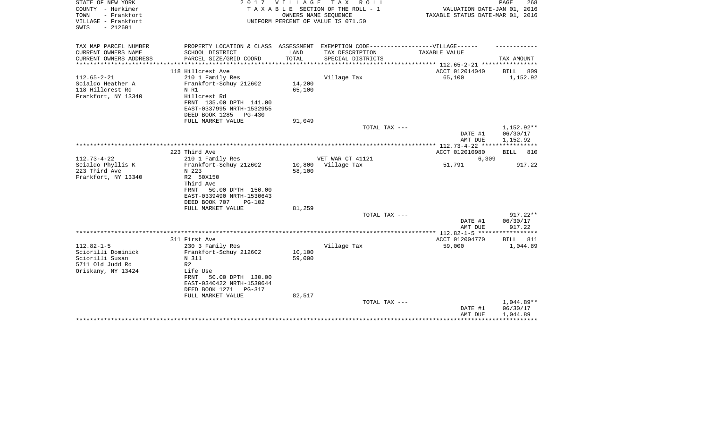| STATE OF NEW YORK<br>COUNTY - Herkimer<br>- Frankfort<br>TOWN<br>VILLAGE - Frankfort<br>$-212601$<br>SWIS |                                                                                                      | 2017 VILLAGE<br>OWNERS NAME SEQUENCE | TAX ROLL<br>TAXABLE SECTION OF THE ROLL - 1<br>UNIFORM PERCENT OF VALUE IS 071.50   | VALUATION DATE-JAN 01, 2016<br>TAXABLE STATUS DATE-MAR 01, 2016 | PAGE<br>268                        |
|-----------------------------------------------------------------------------------------------------------|------------------------------------------------------------------------------------------------------|--------------------------------------|-------------------------------------------------------------------------------------|-----------------------------------------------------------------|------------------------------------|
| TAX MAP PARCEL NUMBER<br>CURRENT OWNERS NAME                                                              | PROPERTY LOCATION & CLASS ASSESSMENT EXEMPTION CODE-----------------VILLAGE------<br>SCHOOL DISTRICT | LAND                                 | TAX DESCRIPTION                                                                     | TAXABLE VALUE                                                   |                                    |
| CURRENT OWNERS ADDRESS<br>*******************                                                             | PARCEL SIZE/GRID COORD<br>**********************                                                     | TOTAL<br>**************              | SPECIAL DISTRICTS<br>********************************* 112.65-2-21 **************** |                                                                 | TAX AMOUNT                         |
|                                                                                                           | 118 Hillcrest Ave                                                                                    |                                      |                                                                                     | ACCT 012014040                                                  | <b>BILL</b><br>809                 |
| $112.65 - 2 - 21$                                                                                         | 210 1 Family Res                                                                                     |                                      | Village Tax                                                                         | 65,100                                                          | 1,152.92                           |
| Scialdo Heather A<br>118 Hillcrest Rd                                                                     | Frankfort-Schuy 212602<br>N R1                                                                       | 14,200<br>65,100                     |                                                                                     |                                                                 |                                    |
| Frankfort, NY 13340                                                                                       | Hillcrest Rd<br>FRNT 135.00 DPTH 141.00                                                              |                                      |                                                                                     |                                                                 |                                    |
|                                                                                                           | EAST-0337995 NRTH-1532955<br>DEED BOOK 1285 PG-430                                                   |                                      |                                                                                     |                                                                 |                                    |
|                                                                                                           | FULL MARKET VALUE                                                                                    | 91,049                               |                                                                                     |                                                                 |                                    |
|                                                                                                           |                                                                                                      |                                      | TOTAL TAX ---                                                                       | DATE #1<br>AMT DUE                                              | 1,152.92**<br>06/30/17<br>1,152.92 |
|                                                                                                           |                                                                                                      |                                      |                                                                                     |                                                                 |                                    |
|                                                                                                           | 223 Third Ave                                                                                        |                                      |                                                                                     | ACCT 012010980                                                  | 810<br>BILL                        |
| $112.73 - 4 - 22$                                                                                         | 210 1 Family Res                                                                                     |                                      | VET WAR CT 41121<br>Village Tax                                                     | 6,309                                                           | 917.22                             |
| Scialdo Phyllis K<br>223 Third Ave                                                                        | Frankfort-Schuy 212602<br>N 223                                                                      | 10,800<br>58,100                     |                                                                                     | 51,791                                                          |                                    |
| Frankfort, NY 13340                                                                                       | R2 50X150                                                                                            |                                      |                                                                                     |                                                                 |                                    |
|                                                                                                           | Third Ave                                                                                            |                                      |                                                                                     |                                                                 |                                    |
|                                                                                                           | FRNT<br>50.00 DPTH 150.00                                                                            |                                      |                                                                                     |                                                                 |                                    |
|                                                                                                           | EAST-0339490 NRTH-1530643                                                                            |                                      |                                                                                     |                                                                 |                                    |
|                                                                                                           | DEED BOOK 707<br>$PG-102$                                                                            |                                      |                                                                                     |                                                                 |                                    |
|                                                                                                           | FULL MARKET VALUE                                                                                    | 81,259                               | TOTAL TAX ---                                                                       |                                                                 | $917.22**$                         |
|                                                                                                           |                                                                                                      |                                      |                                                                                     | DATE #1<br>AMT DUE                                              | 06/30/17<br>917.22                 |
|                                                                                                           |                                                                                                      |                                      |                                                                                     |                                                                 |                                    |
|                                                                                                           | 311 First Ave                                                                                        |                                      |                                                                                     | ACCT 012004770                                                  | 811<br>BILL                        |
| $112.82 - 1 - 5$                                                                                          | 230 3 Family Res                                                                                     |                                      | Village Tax                                                                         | 59,000                                                          | 1,044.89                           |
| Sciorilli Dominick                                                                                        | Frankfort-Schuy 212602                                                                               | 10,100                               |                                                                                     |                                                                 |                                    |
| Sciorilli Susan                                                                                           | N 311                                                                                                | 59,000                               |                                                                                     |                                                                 |                                    |
| 5711 Old Judd Rd                                                                                          | R <sub>2</sub>                                                                                       |                                      |                                                                                     |                                                                 |                                    |
| Oriskany, NY 13424                                                                                        | Life Use<br>50.00 DPTH 130.00<br>FRNT                                                                |                                      |                                                                                     |                                                                 |                                    |
|                                                                                                           | EAST-0340422 NRTH-1530644                                                                            |                                      |                                                                                     |                                                                 |                                    |
|                                                                                                           | DEED BOOK 1271<br>PG-317                                                                             |                                      |                                                                                     |                                                                 |                                    |
|                                                                                                           | FULL MARKET VALUE                                                                                    | 82,517                               |                                                                                     |                                                                 |                                    |
|                                                                                                           |                                                                                                      |                                      | TOTAL TAX ---                                                                       |                                                                 | $1,044.89**$                       |
|                                                                                                           |                                                                                                      |                                      |                                                                                     | DATE #1                                                         | 06/30/17                           |
|                                                                                                           |                                                                                                      |                                      |                                                                                     | AMT DUE                                                         | 1,044.89                           |
|                                                                                                           |                                                                                                      |                                      |                                                                                     |                                                                 |                                    |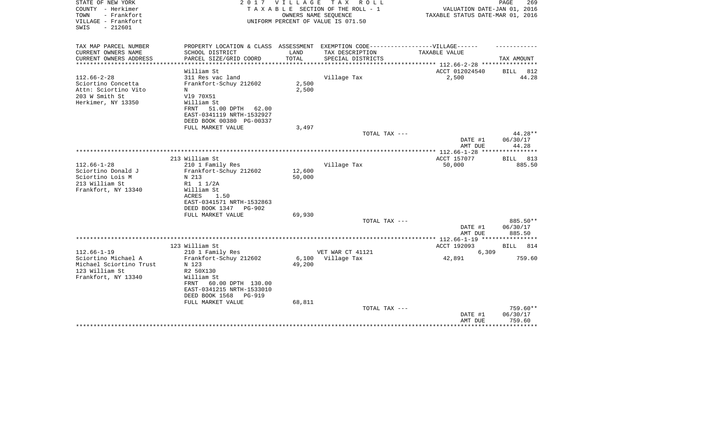| STATE OF NEW YORK<br>COUNTY - Herkimer<br>TOWN<br>- Frankfort | 2017                                                                              | V I L L A G E | TAX ROLL<br>TAXABLE SECTION OF THE ROLL - 1<br>OWNERS NAME SEQUENCE | VALUATION DATE-JAN 01, 2016<br>TAXABLE STATUS DATE-MAR 01, 2016  | PAGE<br>269       |
|---------------------------------------------------------------|-----------------------------------------------------------------------------------|---------------|---------------------------------------------------------------------|------------------------------------------------------------------|-------------------|
| VILLAGE - Frankfort<br>$-212601$<br>SWIS                      |                                                                                   |               | UNIFORM PERCENT OF VALUE IS 071.50                                  |                                                                  |                   |
| TAX MAP PARCEL NUMBER                                         | PROPERTY LOCATION & CLASS ASSESSMENT EXEMPTION CODE-----------------VILLAGE------ |               |                                                                     |                                                                  |                   |
| CURRENT OWNERS NAME                                           | SCHOOL DISTRICT                                                                   | LAND          | TAX DESCRIPTION                                                     | TAXABLE VALUE                                                    |                   |
| CURRENT OWNERS ADDRESS<br>********************                | PARCEL SIZE/GRID COORD                                                            | TOTAL         | SPECIAL DISTRICTS                                                   |                                                                  | TAX AMOUNT        |
|                                                               | William St                                                                        |               |                                                                     | **************** 112.66-2-28 *****************<br>ACCT 012024540 | BILL<br>812       |
| $112.66 - 2 - 28$                                             | 311 Res vac land                                                                  |               | Village Tax                                                         | 2,500                                                            | 44.28             |
| Sciortino Concetta                                            | Frankfort-Schuy 212602                                                            | 2,500         |                                                                     |                                                                  |                   |
| Attn: Sciortino Vito                                          | N                                                                                 | 2,500         |                                                                     |                                                                  |                   |
| 203 W Smith St                                                | V19 70X51                                                                         |               |                                                                     |                                                                  |                   |
| Herkimer, NY 13350                                            | William St                                                                        |               |                                                                     |                                                                  |                   |
|                                                               | 51.00 DPTH<br>FRNT<br>62.00                                                       |               |                                                                     |                                                                  |                   |
|                                                               | EAST-0341119 NRTH-1532927                                                         |               |                                                                     |                                                                  |                   |
|                                                               | DEED BOOK 00380 PG-00337                                                          |               |                                                                     |                                                                  |                   |
|                                                               | FULL MARKET VALUE                                                                 | 3,497         |                                                                     |                                                                  |                   |
|                                                               |                                                                                   |               | TOTAL TAX ---                                                       |                                                                  | 44.28**           |
|                                                               |                                                                                   |               |                                                                     | DATE #1                                                          | 06/30/17<br>44.28 |
|                                                               |                                                                                   |               |                                                                     | AMT DUE<br>************ 112.66-1-28                              | ***********       |
|                                                               | 213 William St                                                                    |               |                                                                     | ACCT 157077                                                      | 813<br>BILL       |
| $112.66 - 1 - 28$                                             | 210 1 Family Res                                                                  |               | Village Tax                                                         | 50,000                                                           | 885.50            |
| Sciortino Donald J                                            | Frankfort-Schuy 212602                                                            | 12,600        |                                                                     |                                                                  |                   |
| Sciortino Lois M                                              | N 213                                                                             | 50,000        |                                                                     |                                                                  |                   |
| 213 William St                                                | R1 1 1/2A                                                                         |               |                                                                     |                                                                  |                   |
| Frankfort, NY 13340                                           | William St                                                                        |               |                                                                     |                                                                  |                   |
|                                                               | 1.50<br>ACRES                                                                     |               |                                                                     |                                                                  |                   |
|                                                               | EAST-0341571 NRTH-1532863                                                         |               |                                                                     |                                                                  |                   |
|                                                               | DEED BOOK 1347<br>PG-902                                                          |               |                                                                     |                                                                  |                   |
|                                                               | FULL MARKET VALUE                                                                 | 69,930        | TOTAL TAX ---                                                       |                                                                  | 885.50**          |
|                                                               |                                                                                   |               |                                                                     | DATE #1                                                          | 06/30/17          |
|                                                               |                                                                                   |               |                                                                     | AMT DUE                                                          | 885.50            |
|                                                               |                                                                                   |               |                                                                     |                                                                  |                   |
|                                                               | 123 William St                                                                    |               |                                                                     | ACCT 192093                                                      | BILL<br>814       |
| $112.66 - 1 - 19$                                             | 210 1 Family Res                                                                  |               | VET WAR CT 41121                                                    | 6,309                                                            |                   |
| Sciortino Michael A                                           | Frankfort-Schuy 212602                                                            | 6,100         | Village Tax                                                         | 42,891                                                           | 759.60            |
| Michael Sciortino Trust                                       | N 123                                                                             | 49,200        |                                                                     |                                                                  |                   |
| 123 William St                                                | R2 50X130                                                                         |               |                                                                     |                                                                  |                   |
| Frankfort, NY 13340                                           | William St                                                                        |               |                                                                     |                                                                  |                   |
|                                                               | 60.00 DPTH 130.00<br>FRNT                                                         |               |                                                                     |                                                                  |                   |
|                                                               | EAST-0341215 NRTH-1533010<br>DEED BOOK 1568<br><b>PG-919</b>                      |               |                                                                     |                                                                  |                   |
|                                                               | FULL MARKET VALUE                                                                 | 68,811        |                                                                     |                                                                  |                   |
|                                                               |                                                                                   |               | TOTAL TAX ---                                                       |                                                                  | 759.60**          |
|                                                               |                                                                                   |               |                                                                     | DATE #1                                                          | 06/30/17          |
|                                                               |                                                                                   |               |                                                                     | AMT DUE                                                          | 759.60            |
|                                                               |                                                                                   |               |                                                                     |                                                                  | *********         |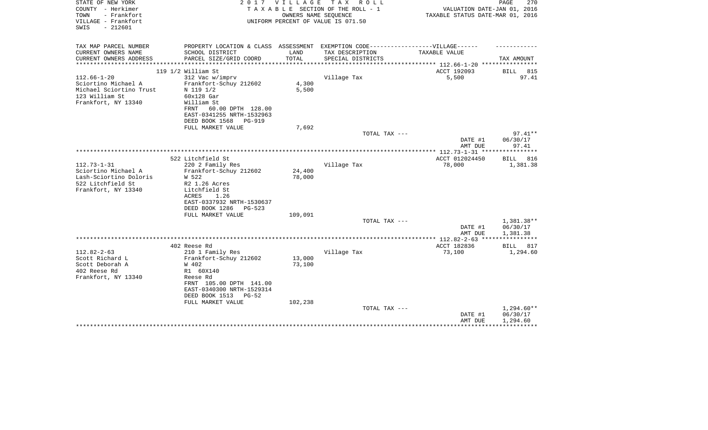| STATE OF NEW YORK<br>COUNTY - Herkimer<br>TOWN<br>- Frankfort<br>VILLAGE - Frankfort<br>$-212601$<br>SWIS | 2017                                                                              | V I L L A G E | T A X<br>R O L L<br>TAXABLE SECTION OF THE ROLL - 1<br>OWNERS NAME SEQUENCE<br>UNIFORM PERCENT OF VALUE IS 071.50 | VALUATION DATE-JAN 01, 2016<br>TAXABLE STATUS DATE-MAR 01, 2016 | 270<br>PAGE              |
|-----------------------------------------------------------------------------------------------------------|-----------------------------------------------------------------------------------|---------------|-------------------------------------------------------------------------------------------------------------------|-----------------------------------------------------------------|--------------------------|
| TAX MAP PARCEL NUMBER                                                                                     | PROPERTY LOCATION & CLASS ASSESSMENT EXEMPTION CODE-----------------VILLAGE------ |               |                                                                                                                   |                                                                 |                          |
| CURRENT OWNERS NAME                                                                                       | SCHOOL DISTRICT                                                                   | LAND          | TAX DESCRIPTION                                                                                                   | TAXABLE VALUE                                                   |                          |
| CURRENT OWNERS ADDRESS                                                                                    | PARCEL SIZE/GRID COORD                                                            | TOTAL         | SPECIAL DISTRICTS                                                                                                 |                                                                 | TAX AMOUNT               |
|                                                                                                           |                                                                                   | ***********   |                                                                                                                   | **************** 112.66-1-20 *****************                  |                          |
|                                                                                                           | 119 1/2 William St                                                                |               |                                                                                                                   | ACCT 192093                                                     | <b>BILL</b><br>815       |
| $112.66 - 1 - 20$                                                                                         | 312 Vac w/imprv                                                                   |               | Village Tax                                                                                                       | 5,500                                                           | 97.41                    |
| Sciortino Michael A                                                                                       | Frankfort-Schuy 212602                                                            | 4,300         |                                                                                                                   |                                                                 |                          |
| Michael Sciortino Trust                                                                                   | N 119 1/2                                                                         | 5,500         |                                                                                                                   |                                                                 |                          |
| 123 William St                                                                                            | $60x128$ Gar                                                                      |               |                                                                                                                   |                                                                 |                          |
| Frankfort, NY 13340                                                                                       | William St<br>60.00 DPTH 128.00<br>FRNT                                           |               |                                                                                                                   |                                                                 |                          |
|                                                                                                           | EAST-0341255 NRTH-1532963                                                         |               |                                                                                                                   |                                                                 |                          |
|                                                                                                           | DEED BOOK 1568<br>PG-919                                                          |               |                                                                                                                   |                                                                 |                          |
|                                                                                                           | FULL MARKET VALUE                                                                 | 7,692         |                                                                                                                   |                                                                 |                          |
|                                                                                                           |                                                                                   |               | TOTAL TAX ---                                                                                                     |                                                                 | $97.41**$                |
|                                                                                                           |                                                                                   |               |                                                                                                                   | DATE #1                                                         | 06/30/17                 |
|                                                                                                           |                                                                                   |               |                                                                                                                   | AMT DUE                                                         | 97.41                    |
|                                                                                                           |                                                                                   |               |                                                                                                                   |                                                                 |                          |
| $112.73 - 1 - 31$                                                                                         | 522 Litchfield St                                                                 |               |                                                                                                                   | ACCT 012024450                                                  | <b>BILL</b> 816          |
| Sciortino Michael A                                                                                       | 220 2 Family Res<br>Frankfort-Schuy 212602                                        | 24,400        | Village Tax                                                                                                       | 78,000                                                          | 1,381.38                 |
| Lash-Sciortino Doloris                                                                                    | W 522                                                                             | 78,000        |                                                                                                                   |                                                                 |                          |
| 522 Litchfield St                                                                                         | R2 1.26 Acres                                                                     |               |                                                                                                                   |                                                                 |                          |
| Frankfort, NY 13340                                                                                       | Litchfield St                                                                     |               |                                                                                                                   |                                                                 |                          |
|                                                                                                           | ACRES<br>1.26                                                                     |               |                                                                                                                   |                                                                 |                          |
|                                                                                                           | EAST-0337932 NRTH-1530637                                                         |               |                                                                                                                   |                                                                 |                          |
|                                                                                                           | DEED BOOK 1286<br>$PG-523$                                                        |               |                                                                                                                   |                                                                 |                          |
|                                                                                                           | FULL MARKET VALUE                                                                 | 109,091       |                                                                                                                   |                                                                 |                          |
|                                                                                                           |                                                                                   |               | TOTAL TAX ---                                                                                                     |                                                                 | 1,381.38**               |
|                                                                                                           |                                                                                   |               |                                                                                                                   | DATE #1                                                         | 06/30/17                 |
|                                                                                                           |                                                                                   |               |                                                                                                                   | AMT DUE                                                         | 1,381.38                 |
|                                                                                                           | 402 Reese Rd                                                                      |               |                                                                                                                   | ACCT 182836                                                     | BILL 817                 |
| $112.82 - 2 - 63$                                                                                         | 210 1 Family Res                                                                  |               | Village Tax                                                                                                       | 73,100                                                          | 1,294.60                 |
| Scott Richard L                                                                                           | Frankfort-Schuy 212602                                                            | 13,000        |                                                                                                                   |                                                                 |                          |
| Scott Deborah A                                                                                           | W 402                                                                             | 73,100        |                                                                                                                   |                                                                 |                          |
| 402 Reese Rd                                                                                              | R1 60X140                                                                         |               |                                                                                                                   |                                                                 |                          |
| Frankfort, NY 13340                                                                                       | Reese Rd                                                                          |               |                                                                                                                   |                                                                 |                          |
|                                                                                                           | FRNT 105.00 DPTH 141.00                                                           |               |                                                                                                                   |                                                                 |                          |
|                                                                                                           | EAST-0340300 NRTH-1529314                                                         |               |                                                                                                                   |                                                                 |                          |
|                                                                                                           | DEED BOOK 1513<br>PG-52                                                           |               |                                                                                                                   |                                                                 |                          |
|                                                                                                           | FULL MARKET VALUE                                                                 | 102,238       |                                                                                                                   |                                                                 |                          |
|                                                                                                           |                                                                                   |               | TOTAL TAX ---                                                                                                     | DATE #1                                                         | $1,294.60**$<br>06/30/17 |
|                                                                                                           |                                                                                   |               |                                                                                                                   | AMT DUE                                                         | 1,294.60                 |
|                                                                                                           |                                                                                   |               |                                                                                                                   |                                                                 |                          |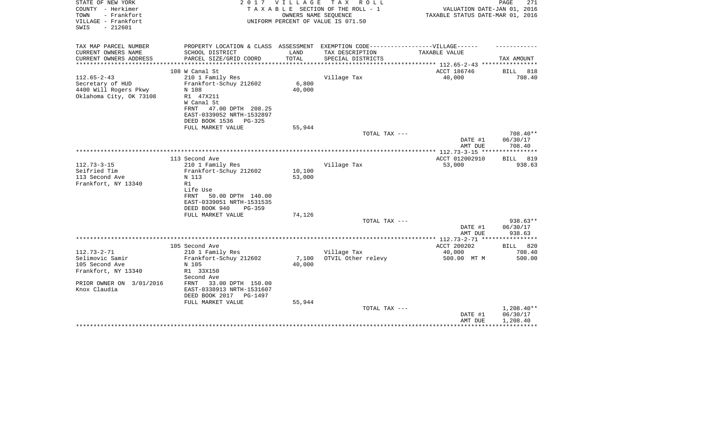| STATE OF NEW YORK<br>COUNTY - Herkimer | 2017                                                                              | <b>VILLAGE</b> | T A X<br>R O L L                                           |                                                           | PAGE<br>271     |
|----------------------------------------|-----------------------------------------------------------------------------------|----------------|------------------------------------------------------------|-----------------------------------------------------------|-----------------|
| TOWN<br>- Frankfort                    |                                                                                   |                | TAXABLE SECTION OF THE ROLL - 1                            | VALUATION DATE-JAN 01, 2016                               |                 |
| VILLAGE - Frankfort                    |                                                                                   |                | OWNERS NAME SEQUENCE<br>UNIFORM PERCENT OF VALUE IS 071.50 | TAXABLE STATUS DATE-MAR 01, 2016                          |                 |
| $-212601$<br>SWIS                      |                                                                                   |                |                                                            |                                                           |                 |
|                                        |                                                                                   |                |                                                            |                                                           |                 |
| TAX MAP PARCEL NUMBER                  | PROPERTY LOCATION & CLASS ASSESSMENT EXEMPTION CODE-----------------VILLAGE------ |                |                                                            |                                                           |                 |
| CURRENT OWNERS NAME                    | SCHOOL DISTRICT                                                                   | LAND           | TAX DESCRIPTION                                            | TAXABLE VALUE                                             |                 |
| CURRENT OWNERS ADDRESS                 |                                                                                   | TOTAL          |                                                            |                                                           | TAX AMOUNT      |
| **********************                 | PARCEL SIZE/GRID COORD                                                            |                | SPECIAL DISTRICTS                                          | **************************** 112.65-2-43 **************** |                 |
|                                        | 108 W Canal St                                                                    |                |                                                            | ACCT 186746                                               | BILL 818        |
| $112.65 - 2 - 43$                      | 210 1 Family Res                                                                  |                | Village Tax                                                | 40,000                                                    | 708.40          |
| Secretary of HUD                       | Frankfort-Schuy 212602                                                            | 6,800          |                                                            |                                                           |                 |
| 4400 Will Rogers Pkwy                  | N 108                                                                             | 40,000         |                                                            |                                                           |                 |
| Oklahoma City, OK 73108                | R1 47X211                                                                         |                |                                                            |                                                           |                 |
|                                        | W Canal St                                                                        |                |                                                            |                                                           |                 |
|                                        | 47.00 DPTH 208.25<br>FRNT                                                         |                |                                                            |                                                           |                 |
|                                        | EAST-0339052 NRTH-1532897                                                         |                |                                                            |                                                           |                 |
|                                        | DEED BOOK 1536<br>PG-325                                                          |                |                                                            |                                                           |                 |
|                                        | FULL MARKET VALUE                                                                 | 55,944         |                                                            |                                                           |                 |
|                                        |                                                                                   |                | TOTAL TAX ---                                              |                                                           | 708.40**        |
|                                        |                                                                                   |                |                                                            | DATE #1                                                   | 06/30/17        |
|                                        |                                                                                   |                |                                                            | AMT DUE                                                   | 708.40          |
|                                        |                                                                                   |                |                                                            |                                                           |                 |
|                                        | 113 Second Ave                                                                    |                |                                                            | ACCT 012002910                                            | <b>BILL</b> 819 |
| $112.73 - 3 - 15$                      | 210 1 Family Res                                                                  |                | Village Tax                                                | 53,000                                                    | 938.63          |
| Seifried Tim                           | Frankfort-Schuy 212602                                                            | 10,100         |                                                            |                                                           |                 |
| 113 Second Ave                         | N 113                                                                             | 53,000         |                                                            |                                                           |                 |
| Frankfort, NY 13340                    | R1                                                                                |                |                                                            |                                                           |                 |
|                                        | Life Use                                                                          |                |                                                            |                                                           |                 |
|                                        | 50.00 DPTH 140.00<br>FRNT                                                         |                |                                                            |                                                           |                 |
|                                        | EAST-0339051 NRTH-1531535                                                         |                |                                                            |                                                           |                 |
|                                        | DEED BOOK 940<br>$PG-359$                                                         |                |                                                            |                                                           |                 |
|                                        | FULL MARKET VALUE                                                                 | 74,126         |                                                            |                                                           |                 |
|                                        |                                                                                   |                | TOTAL TAX ---                                              |                                                           | 938.63**        |
|                                        |                                                                                   |                |                                                            | DATE #1                                                   | 06/30/17        |
|                                        |                                                                                   |                |                                                            | AMT DUE                                                   | 938.63          |
|                                        |                                                                                   |                |                                                            |                                                           |                 |
|                                        | 105 Second Ave                                                                    |                |                                                            | ACCT 200202                                               | BILL 820        |
| $112.73 - 2 - 71$                      | 210 1 Family Res                                                                  |                | Village Tax                                                | 40,000                                                    | 708.40          |
| Selimovic Samir                        | Frankfort-Schuy 212602                                                            | 7,100          | OTVIL Other relevy                                         | 500.00 MT M                                               | 500.00          |
| 105 Second Ave                         | N 105                                                                             | 40,000         |                                                            |                                                           |                 |
| Frankfort, NY 13340                    | R1 33X150                                                                         |                |                                                            |                                                           |                 |
|                                        | Second Ave                                                                        |                |                                                            |                                                           |                 |
| PRIOR OWNER ON 3/01/2016               | FRNT<br>33.00 DPTH 150.00                                                         |                |                                                            |                                                           |                 |
| Knox Claudia                           | EAST-0338913 NRTH-1531607                                                         |                |                                                            |                                                           |                 |
|                                        | DEED BOOK 2017<br>PG-1497                                                         |                |                                                            |                                                           |                 |
|                                        | FULL MARKET VALUE                                                                 | 55,944         |                                                            |                                                           |                 |
|                                        |                                                                                   |                | TOTAL TAX ---                                              |                                                           | $1,208.40**$    |
|                                        |                                                                                   |                |                                                            | DATE #1                                                   | 06/30/17        |
|                                        |                                                                                   |                |                                                            | AMT DUE                                                   | 1,208.40        |
|                                        |                                                                                   |                |                                                            |                                                           |                 |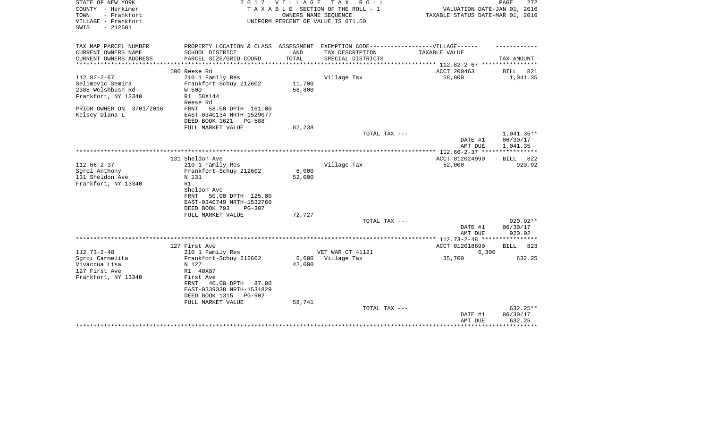| STATE OF NEW YORK<br>COUNTY - Herkimer<br>TOWN<br>- Frankfort | 2 0 1 7                                                                           | <b>VILLAGE</b> | T A X<br>R O L L<br>TAXABLE SECTION OF THE ROLL - 1<br>OWNERS NAME SEQUENCE | VALUATION DATE-JAN 01, 2016<br>TAXABLE STATUS DATE-MAR 01, 2016 | PAGE<br>272                    |
|---------------------------------------------------------------|-----------------------------------------------------------------------------------|----------------|-----------------------------------------------------------------------------|-----------------------------------------------------------------|--------------------------------|
| VILLAGE - Frankfort<br>$-212601$<br>SWIS                      |                                                                                   |                | UNIFORM PERCENT OF VALUE IS 071.50                                          |                                                                 |                                |
| TAX MAP PARCEL NUMBER                                         | PROPERTY LOCATION & CLASS ASSESSMENT EXEMPTION CODE-----------------VILLAGE------ |                |                                                                             |                                                                 |                                |
| CURRENT OWNERS NAME<br>CURRENT OWNERS ADDRESS                 | SCHOOL DISTRICT<br>PARCEL SIZE/GRID COORD                                         | LAND<br>TOTAL  | TAX DESCRIPTION<br>SPECIAL DISTRICTS                                        | TAXABLE VALUE                                                   | TAX AMOUNT                     |
| *****************                                             |                                                                                   |                |                                                                             | ACCT 200463                                                     |                                |
| $112.82 - 2 - 67$                                             | 500 Reese Rd<br>210 1 Family Res                                                  |                | Village Tax                                                                 | 58,800                                                          | <b>BILL</b><br>821<br>1,041.35 |
| Selimovic Semira                                              | Frankfort-Schuy 212602                                                            | 11,700         |                                                                             |                                                                 |                                |
| 2388 Welshbush Rd                                             | W 500                                                                             | 58,800         |                                                                             |                                                                 |                                |
| Frankfort, NY 13340                                           | R1 58X144                                                                         |                |                                                                             |                                                                 |                                |
|                                                               | Reese Rd                                                                          |                |                                                                             |                                                                 |                                |
| PRIOR OWNER ON 3/01/2016                                      | 58.00 DPTH 161.00<br>FRNT                                                         |                |                                                                             |                                                                 |                                |
| Kelsey Diana L                                                | EAST-0340134 NRTH-1529077                                                         |                |                                                                             |                                                                 |                                |
|                                                               | DEED BOOK 1621<br><b>PG-588</b>                                                   |                |                                                                             |                                                                 |                                |
|                                                               | FULL MARKET VALUE                                                                 | 82,238         |                                                                             |                                                                 |                                |
|                                                               |                                                                                   |                | TOTAL TAX ---                                                               |                                                                 | 1,041.35**                     |
|                                                               |                                                                                   |                |                                                                             | DATE #1                                                         | 06/30/17                       |
|                                                               |                                                                                   |                |                                                                             | AMT DUE                                                         | 1,041.35                       |
|                                                               | 131 Sheldon Ave                                                                   |                |                                                                             | ACCT 012024990                                                  | 822<br>BILL                    |
| $112.66 - 2 - 37$                                             | 210 1 Family Res                                                                  |                | Village Tax                                                                 | 52,000                                                          | 920.92                         |
| Sqroi Anthony                                                 | Frankfort-Schuy 212602                                                            | 6,000          |                                                                             |                                                                 |                                |
| 131 Sheldon Ave                                               | N 131                                                                             | 52,000         |                                                                             |                                                                 |                                |
| Frankfort, NY 13340                                           | R1                                                                                |                |                                                                             |                                                                 |                                |
|                                                               | Sheldon Ave                                                                       |                |                                                                             |                                                                 |                                |
|                                                               | 50.00 DPTH 125.00<br>FRNT                                                         |                |                                                                             |                                                                 |                                |
|                                                               | EAST-0340749 NRTH-1532760                                                         |                |                                                                             |                                                                 |                                |
|                                                               | DEED BOOK 793<br>PG-307                                                           |                |                                                                             |                                                                 |                                |
|                                                               | FULL MARKET VALUE                                                                 | 72,727         |                                                                             |                                                                 |                                |
|                                                               |                                                                                   |                | TOTAL TAX ---                                                               | DATE #1                                                         | 920.92**<br>06/30/17           |
|                                                               |                                                                                   |                |                                                                             | AMT DUE                                                         | 920.92                         |
|                                                               |                                                                                   |                |                                                                             | ******** 112.73-2-48 ***********                                |                                |
|                                                               | 127 First Ave                                                                     |                |                                                                             | ACCT 012018690                                                  | 823<br><b>BILL</b>             |
| $112.73 - 2 - 48$                                             | 210 1 Family Res                                                                  |                | VET WAR CT 41121                                                            | 6,300                                                           |                                |
| Sgroi Carmelita                                               | Frankfort-Schuy 212602                                                            | 6,600          | Village Tax                                                                 | 35,700                                                          | 632.25                         |
| Vivacqua Lisa                                                 | N 127                                                                             | 42,000         |                                                                             |                                                                 |                                |
| 127 First Ave                                                 | R1 40X87                                                                          |                |                                                                             |                                                                 |                                |
| Frankfort, NY 13340                                           | First Ave                                                                         |                |                                                                             |                                                                 |                                |
|                                                               | 40.00 DPTH<br>87.00<br>FRNT                                                       |                |                                                                             |                                                                 |                                |
|                                                               | EAST-0339338 NRTH-1531829                                                         |                |                                                                             |                                                                 |                                |
|                                                               | DEED BOOK 1315<br><b>PG-902</b><br>FULL MARKET VALUE                              | 58,741         |                                                                             |                                                                 |                                |
|                                                               |                                                                                   |                | TOTAL TAX ---                                                               |                                                                 | 632.25**                       |
|                                                               |                                                                                   |                |                                                                             | DATE #1                                                         | 06/30/17                       |
|                                                               |                                                                                   |                |                                                                             | AMT DUE                                                         | 632.25                         |
|                                                               |                                                                                   |                |                                                                             |                                                                 |                                |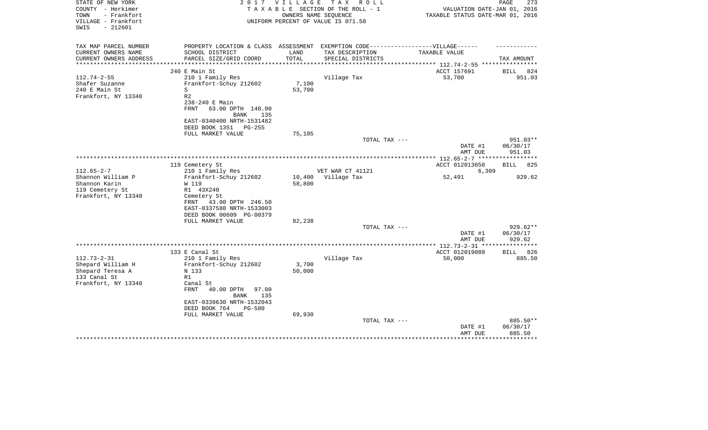| STATE OF NEW YORK<br>COUNTY - Herkimer<br>TOWN<br>- Frankfort<br>VILLAGE - Frankfort<br>SWIS<br>$-212601$ | 2 0 1 7                                                                                                                             | <b>VILLAGE</b>   | T A X<br>R O L L<br>TAXABLE SECTION OF THE ROLL - 1<br>OWNERS NAME SEQUENCE<br>UNIFORM PERCENT OF VALUE IS 071.50 | VALUATION DATE-JAN 01, 2016<br>TAXABLE STATUS DATE-MAR 01, 2016       | PAGE<br>273                             |
|-----------------------------------------------------------------------------------------------------------|-------------------------------------------------------------------------------------------------------------------------------------|------------------|-------------------------------------------------------------------------------------------------------------------|-----------------------------------------------------------------------|-----------------------------------------|
|                                                                                                           |                                                                                                                                     |                  |                                                                                                                   |                                                                       |                                         |
| TAX MAP PARCEL NUMBER<br>CURRENT OWNERS NAME<br>CURRENT OWNERS ADDRESS                                    | PROPERTY LOCATION & CLASS ASSESSMENT<br>SCHOOL DISTRICT<br>PARCEL SIZE/GRID COORD                                                   | LAND<br>TOTAL    | TAX DESCRIPTION<br>SPECIAL DISTRICTS                                                                              | EXEMPTION CODE------------------VILLAGE------<br><b>TAXABLE VALUE</b> | TAX AMOUNT                              |
| **********************                                                                                    |                                                                                                                                     |                  |                                                                                                                   |                                                                       |                                         |
| $112.74 - 2 - 55$<br>Shafer Suzanne<br>240 E Main St<br>Frankfort, NY 13340                               | 240 E Main St<br>210 1 Family Res<br>Frankfort-Schuy 212602<br>S<br>R <sub>2</sub>                                                  | 7,100<br>53,700  | Village Tax                                                                                                       | ACCT 157691<br>53,700                                                 | 824<br>BILL<br>951.03                   |
|                                                                                                           | 238-240 E Main<br>63.00 DPTH 140.00<br>FRNT<br>BANK<br>135<br>EAST-0340400 NRTH-1531482<br>DEED BOOK 1351<br>PG-255                 |                  |                                                                                                                   |                                                                       |                                         |
|                                                                                                           | FULL MARKET VALUE                                                                                                                   | 75,105           | TOTAL TAX ---                                                                                                     |                                                                       | 951.03**                                |
|                                                                                                           |                                                                                                                                     |                  |                                                                                                                   | DATE #1<br>AMT DUE                                                    | 06/30/17<br>951.03                      |
|                                                                                                           | 119 Cemetery St                                                                                                                     |                  |                                                                                                                   | ACCT 012013650                                                        | BILL<br>825                             |
| $112.65 - 2 - 7$                                                                                          | 210 1 Family Res                                                                                                                    |                  | VET WAR CT 41121                                                                                                  | 6,309                                                                 |                                         |
| Shannon William P<br>Shannon Karin                                                                        | Frankfort-Schuy 212602<br>W 119                                                                                                     | 10,400<br>58,800 | Village Tax                                                                                                       | 52,491                                                                | 929.62                                  |
| 119 Cemetery St<br>Frankfort, NY 13340                                                                    | R1 43X240<br>Cemetery St<br>43.00 DPTH 246.50<br>FRNT<br>EAST-0337588 NRTH-1533003<br>DEED BOOK 00609 PG-00379<br>FULL MARKET VALUE | 82,238           |                                                                                                                   |                                                                       |                                         |
|                                                                                                           |                                                                                                                                     |                  | TOTAL TAX ---                                                                                                     |                                                                       | $929.62**$                              |
|                                                                                                           |                                                                                                                                     |                  |                                                                                                                   | DATE #1<br>AMT DUE                                                    | 06/30/17<br>929.62<br>* * * * * * * * * |
|                                                                                                           | 133 E Canal St                                                                                                                      |                  |                                                                                                                   | ***** 112.73-2-31 **<br>ACCT 012019080                                | BILL 826                                |
| $112.73 - 2 - 31$<br>Shepard William H<br>Shepard Teresa A<br>133 Canal St<br>Frankfort, NY 13340         | 210 1 Family Res<br>Frankfort-Schuy 212602<br>N 133<br>R1<br>Canal St                                                               | 3,700<br>50,000  | Village Tax                                                                                                       | 50,000                                                                | 885.50                                  |
|                                                                                                           | <b>FRNT</b><br>40.00 DPTH<br>97.00<br><b>BANK</b><br>135<br>EAST-0339630 NRTH-1532043<br>DEED BOOK 764<br><b>PG-580</b>             |                  |                                                                                                                   |                                                                       |                                         |
|                                                                                                           | FULL MARKET VALUE                                                                                                                   | 69,930           | TOTAL TAX ---                                                                                                     | DATE #1<br>AMT DUE                                                    | 885.50**<br>06/30/17<br>885.50          |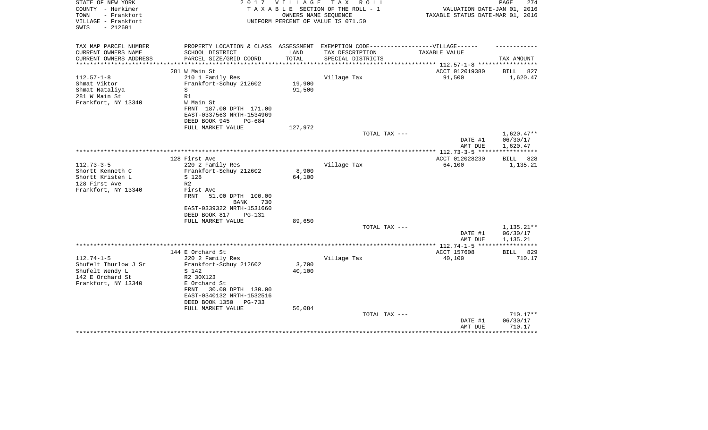| STATE OF NEW YORK<br>COUNTY - Herkimer<br>TOWN<br>- Frankfort | 2 0 1 7                                                                          | VILLAGE | T A X<br>R O L L<br>TAXABLE SECTION OF THE ROLL - 1<br>OWNERS NAME SEQUENCE | VALUATION DATE-JAN 01, 2016<br>TAXABLE STATUS DATE-MAR 01, 2016 | PAGE<br>274                  |
|---------------------------------------------------------------|----------------------------------------------------------------------------------|---------|-----------------------------------------------------------------------------|-----------------------------------------------------------------|------------------------------|
| VILLAGE - Frankfort<br>$-212601$<br>SWIS                      |                                                                                  |         | UNIFORM PERCENT OF VALUE IS 071.50                                          |                                                                 |                              |
| TAX MAP PARCEL NUMBER                                         | PROPERTY LOCATION & CLASS ASSESSMENT EXEMPTION CODE----------------VILLAGE------ |         |                                                                             |                                                                 |                              |
| CURRENT OWNERS NAME                                           | SCHOOL DISTRICT                                                                  | LAND    | TAX DESCRIPTION                                                             | TAXABLE VALUE                                                   |                              |
| CURRENT OWNERS ADDRESS                                        | PARCEL SIZE/GRID COORD                                                           | TOTAL   | SPECIAL DISTRICTS                                                           | ********** 112.57-1-8 *****                                     | TAX AMOUNT                   |
|                                                               | 281 W Main St                                                                    |         |                                                                             | ACCT 012019380                                                  | <b>BILL</b><br>827           |
| $112.57 - 1 - 8$                                              | 210 1 Family Res                                                                 |         | Village Tax                                                                 | 91,500                                                          | 1,620.47                     |
| Shmat Viktor                                                  | Frankfort-Schuy 212602                                                           | 19,900  |                                                                             |                                                                 |                              |
| Shmat Nataliya                                                | S                                                                                | 91,500  |                                                                             |                                                                 |                              |
| 281 W Main St                                                 | R1                                                                               |         |                                                                             |                                                                 |                              |
| Frankfort, NY 13340                                           | W Main St                                                                        |         |                                                                             |                                                                 |                              |
|                                                               | FRNT 187.00 DPTH 171.00                                                          |         |                                                                             |                                                                 |                              |
|                                                               | EAST-0337563 NRTH-1534969                                                        |         |                                                                             |                                                                 |                              |
|                                                               | DEED BOOK 945<br>$PG-684$<br>FULL MARKET VALUE                                   | 127,972 |                                                                             |                                                                 |                              |
|                                                               |                                                                                  |         | TOTAL TAX ---                                                               |                                                                 | $1,620.47**$                 |
|                                                               |                                                                                  |         |                                                                             | DATE #1                                                         | 06/30/17                     |
|                                                               |                                                                                  |         |                                                                             | AMT DUE                                                         | 1,620.47                     |
|                                                               |                                                                                  |         | ********************                                                        | ***** 112.73-3-5 ***                                            |                              |
|                                                               | 128 First Ave                                                                    |         |                                                                             | ACCT 012028230                                                  | 828<br>BILL                  |
| $112.73 - 3 - 5$                                              | 220 2 Family Res                                                                 |         | Village Tax                                                                 | 64,100                                                          | 1,135.21                     |
| Shortt Kenneth C                                              | Frankfort-Schuy 212602                                                           | 8,900   |                                                                             |                                                                 |                              |
| Shortt Kristen L                                              | S 128<br>R <sub>2</sub>                                                          | 64,100  |                                                                             |                                                                 |                              |
| 128 First Ave<br>Frankfort, NY 13340                          | First Ave                                                                        |         |                                                                             |                                                                 |                              |
|                                                               | <b>FRNT</b><br>51.00 DPTH 100.00<br><b>BANK</b><br>730                           |         |                                                                             |                                                                 |                              |
|                                                               | EAST-0339322 NRTH-1531660                                                        |         |                                                                             |                                                                 |                              |
|                                                               | DEED BOOK 817<br>PG-131                                                          |         |                                                                             |                                                                 |                              |
|                                                               | FULL MARKET VALUE                                                                | 89,650  |                                                                             |                                                                 |                              |
|                                                               |                                                                                  |         | TOTAL TAX ---                                                               |                                                                 | $1,135.21**$                 |
|                                                               |                                                                                  |         |                                                                             | DATE #1                                                         | 06/30/17                     |
|                                                               |                                                                                  |         |                                                                             | AMT DUE                                                         | 1,135.21                     |
|                                                               |                                                                                  |         |                                                                             |                                                                 |                              |
| $112.74 - 1 - 5$                                              | 144 E Orchard St                                                                 |         | Village Tax                                                                 | ACCT 157608<br>40,100                                           | <b>BILL</b><br>829<br>710.17 |
| Shufelt Thurlow J Sr                                          | 220 2 Family Res<br>Frankfort-Schuy 212602                                       | 3,700   |                                                                             |                                                                 |                              |
| Shufelt Wendy L                                               | S 142                                                                            | 40,100  |                                                                             |                                                                 |                              |
| 142 E Orchard St                                              | R2 30X123                                                                        |         |                                                                             |                                                                 |                              |
| Frankfort, NY 13340                                           | E Orchard St                                                                     |         |                                                                             |                                                                 |                              |
|                                                               | FRNT<br>30.00 DPTH 130.00                                                        |         |                                                                             |                                                                 |                              |
|                                                               | EAST-0340132 NRTH-1532516                                                        |         |                                                                             |                                                                 |                              |
|                                                               | DEED BOOK 1350<br>PG-733                                                         |         |                                                                             |                                                                 |                              |
|                                                               | FULL MARKET VALUE                                                                | 56,084  |                                                                             |                                                                 |                              |
|                                                               |                                                                                  |         | TOTAL TAX ---                                                               |                                                                 | $710.17**$                   |
|                                                               |                                                                                  |         |                                                                             | DATE #1<br>AMT DUE                                              | 06/30/17<br>710.17           |
|                                                               |                                                                                  |         |                                                                             |                                                                 |                              |
|                                                               |                                                                                  |         |                                                                             |                                                                 |                              |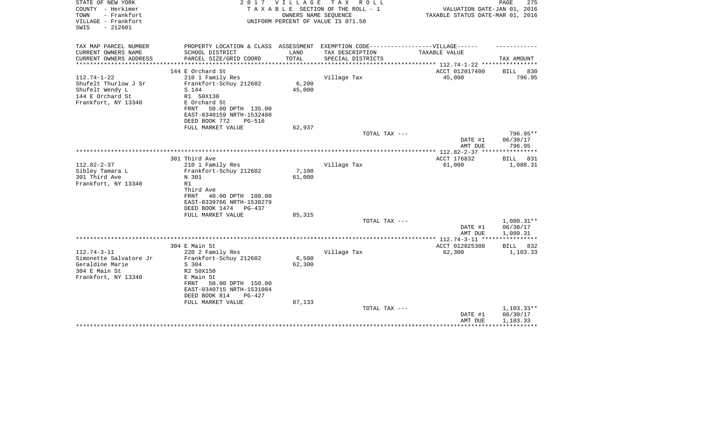| STATE OF NEW YORK<br>COUNTY - Herkimer<br>TOWN<br>- Frankfort<br>VILLAGE - Frankfort<br>$-212601$<br>SWIS | 2017                                                                              | V I L L A G E | T A X<br>R O L L<br>TAXABLE SECTION OF THE ROLL - 1<br>OWNERS NAME SEQUENCE<br>UNIFORM PERCENT OF VALUE IS 071.50 | VALUATION DATE-JAN 01, 2016<br>TAXABLE STATUS DATE-MAR 01, 2016 | PAGE<br>275            |
|-----------------------------------------------------------------------------------------------------------|-----------------------------------------------------------------------------------|---------------|-------------------------------------------------------------------------------------------------------------------|-----------------------------------------------------------------|------------------------|
| TAX MAP PARCEL NUMBER                                                                                     | PROPERTY LOCATION & CLASS ASSESSMENT EXEMPTION CODE-----------------VILLAGE------ |               |                                                                                                                   |                                                                 |                        |
| CURRENT OWNERS NAME                                                                                       | SCHOOL DISTRICT                                                                   | LAND          | TAX DESCRIPTION                                                                                                   | TAXABLE VALUE                                                   |                        |
| CURRENT OWNERS ADDRESS<br>*********************                                                           | PARCEL SIZE/GRID COORD                                                            | TOTAL         | SPECIAL DISTRICTS                                                                                                 | *************************** 112.74-1-22 *****************       | TAX AMOUNT             |
|                                                                                                           | 144 E Orchard St                                                                  |               |                                                                                                                   | ACCT 012017400                                                  | BILL 830               |
| $112.74 - 1 - 22$                                                                                         | 210 1 Family Res                                                                  |               | Village Tax                                                                                                       | 45,000                                                          | 796.95                 |
| Shufelt Thurlow J Sr                                                                                      | Frankfort-Schuy 212602                                                            | 6,200         |                                                                                                                   |                                                                 |                        |
| Shufelt Wendy L                                                                                           | S 144                                                                             | 45,000        |                                                                                                                   |                                                                 |                        |
| 144 E Orchard St<br>Frankfort, NY 13340                                                                   | R1 50X130<br>E Orchard St                                                         |               |                                                                                                                   |                                                                 |                        |
|                                                                                                           | 50.00 DPTH 135.00<br>FRNT                                                         |               |                                                                                                                   |                                                                 |                        |
|                                                                                                           | EAST-0340159 NRTH-1532480                                                         |               |                                                                                                                   |                                                                 |                        |
|                                                                                                           | DEED BOOK 772<br><b>PG-516</b>                                                    |               |                                                                                                                   |                                                                 |                        |
|                                                                                                           | FULL MARKET VALUE                                                                 | 62,937        |                                                                                                                   |                                                                 |                        |
|                                                                                                           |                                                                                   |               | TOTAL TAX ---                                                                                                     |                                                                 | 796.95**               |
|                                                                                                           |                                                                                   |               |                                                                                                                   | DATE #1<br>AMT DUE                                              | 06/30/17<br>796.95     |
|                                                                                                           |                                                                                   |               |                                                                                                                   |                                                                 | ************           |
|                                                                                                           | 301 Third Ave                                                                     |               |                                                                                                                   | ACCT 176832                                                     | BILL<br>831            |
| $112.82 - 2 - 37$                                                                                         | 210 1 Family Res                                                                  |               | Village Tax                                                                                                       | 61,000                                                          | 1,080.31               |
| Sibley Tamara L                                                                                           | Frankfort-Schuy 212602                                                            | 7,100         |                                                                                                                   |                                                                 |                        |
| 301 Third Ave<br>Frankfort, NY 13340                                                                      | N 301<br>R1                                                                       | 61,000        |                                                                                                                   |                                                                 |                        |
|                                                                                                           | Third Ave                                                                         |               |                                                                                                                   |                                                                 |                        |
|                                                                                                           | 40.00 DPTH 100.00<br>FRNT                                                         |               |                                                                                                                   |                                                                 |                        |
|                                                                                                           | EAST-0339766 NRTH-1530279                                                         |               |                                                                                                                   |                                                                 |                        |
|                                                                                                           | DEED BOOK 1474 PG-437                                                             |               |                                                                                                                   |                                                                 |                        |
|                                                                                                           | FULL MARKET VALUE                                                                 | 85,315        |                                                                                                                   |                                                                 |                        |
|                                                                                                           |                                                                                   |               | TOTAL TAX ---                                                                                                     | DATE #1                                                         | 1,080.31**<br>06/30/17 |
|                                                                                                           |                                                                                   |               |                                                                                                                   | AMT DUE                                                         | 1,080.31               |
|                                                                                                           |                                                                                   |               |                                                                                                                   |                                                                 | ************           |
|                                                                                                           | 304 E Main St                                                                     |               |                                                                                                                   | ACCT 012025380                                                  | 832<br>BILL            |
| $112.74 - 3 - 11$                                                                                         | 220 2 Family Res                                                                  |               | Village Tax                                                                                                       | 62,300                                                          | 1,103.33               |
| Simonette Salvatore Jr<br>Geraldine Marie                                                                 | Frankfort-Schuy 212602                                                            | 6,500         |                                                                                                                   |                                                                 |                        |
| 304 E Main St                                                                                             | S 304<br>R2 50X150                                                                | 62,300        |                                                                                                                   |                                                                 |                        |
| Frankfort, NY 13340                                                                                       | E Main St                                                                         |               |                                                                                                                   |                                                                 |                        |
|                                                                                                           | 50.00 DPTH 150.00<br>FRNT                                                         |               |                                                                                                                   |                                                                 |                        |
|                                                                                                           | EAST-0340715 NRTH-1531084                                                         |               |                                                                                                                   |                                                                 |                        |
|                                                                                                           | DEED BOOK 814<br>$PG-427$                                                         |               |                                                                                                                   |                                                                 |                        |
|                                                                                                           | FULL MARKET VALUE                                                                 | 87,133        | TOTAL TAX ---                                                                                                     |                                                                 | $1,103.33**$           |
|                                                                                                           |                                                                                   |               |                                                                                                                   | DATE #1                                                         | 06/30/17               |
|                                                                                                           |                                                                                   |               |                                                                                                                   | AMT DUE                                                         | 1,103.33               |
|                                                                                                           |                                                                                   |               |                                                                                                                   |                                                                 |                        |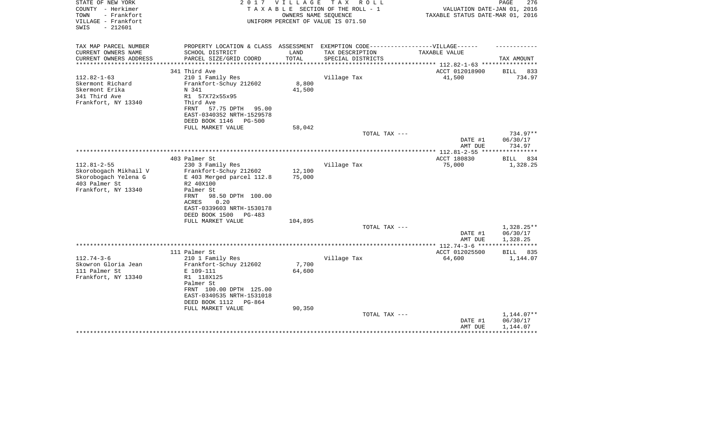| STATE OF NEW YORK<br>COUNTY - Herkimer<br>TOWN<br>- Frankfort<br>VILLAGE - Frankfort<br>$-212601$<br>SWIS | 2017                                                                             | V I L L A G E<br>OWNERS NAME SEOUENCE | T A X<br>R O L L<br>TAXABLE SECTION OF THE ROLL - 1<br>UNIFORM PERCENT OF VALUE IS 071.50 | VALUATION DATE-JAN 01, 2016<br>TAXABLE STATUS DATE-MAR 01, 2016 | PAGE<br>276             |
|-----------------------------------------------------------------------------------------------------------|----------------------------------------------------------------------------------|---------------------------------------|-------------------------------------------------------------------------------------------|-----------------------------------------------------------------|-------------------------|
| TAX MAP PARCEL NUMBER                                                                                     | PROPERTY LOCATION & CLASS ASSESSMENT EXEMPTION CODE----------------VILLAGE------ |                                       |                                                                                           |                                                                 |                         |
| CURRENT OWNERS NAME<br>CURRENT OWNERS ADDRESS<br>**********************                                   | SCHOOL DISTRICT<br>PARCEL SIZE/GRID COORD                                        | LAND<br>TOTAL                         | TAX DESCRIPTION<br>SPECIAL DISTRICTS                                                      | TAXABLE VALUE                                                   | TAX AMOUNT              |
|                                                                                                           | 341 Third Ave                                                                    |                                       |                                                                                           | ACCT 012018900                                                  | BILL 833                |
| $112.82 - 1 - 63$                                                                                         | 210 1 Family Res                                                                 |                                       | Village Tax                                                                               | 41,500                                                          | 734.97                  |
| Skermont Richard                                                                                          | Frankfort-Schuy 212602                                                           | 8,800                                 |                                                                                           |                                                                 |                         |
| Skermont Erika                                                                                            | N 341                                                                            | 41,500                                |                                                                                           |                                                                 |                         |
| 341 Third Ave                                                                                             | R1 57X72x55x95                                                                   |                                       |                                                                                           |                                                                 |                         |
| Frankfort, NY 13340                                                                                       | Third Ave                                                                        |                                       |                                                                                           |                                                                 |                         |
|                                                                                                           | FRNT<br>57.75 DPTH<br>95.00<br>EAST-0340352 NRTH-1529578                         |                                       |                                                                                           |                                                                 |                         |
|                                                                                                           | DEED BOOK 1146<br><b>PG-500</b>                                                  |                                       |                                                                                           |                                                                 |                         |
|                                                                                                           | FULL MARKET VALUE                                                                | 58,042                                |                                                                                           |                                                                 |                         |
|                                                                                                           |                                                                                  |                                       | TOTAL TAX ---                                                                             |                                                                 | 734.97**                |
|                                                                                                           |                                                                                  |                                       |                                                                                           | DATE #1                                                         | 06/30/17                |
|                                                                                                           |                                                                                  |                                       |                                                                                           | AMT DUE                                                         | 734.97                  |
|                                                                                                           |                                                                                  |                                       |                                                                                           |                                                                 | ***********             |
|                                                                                                           | 403 Palmer St                                                                    |                                       |                                                                                           | ACCT 180830                                                     | 834<br>BILL             |
| $112.81 - 2 - 55$                                                                                         | 230 3 Family Res                                                                 |                                       | Village Tax                                                                               | 75,000                                                          | 1,328.25                |
| Skorobogach Mikhail V<br>Skorobogach Yelena G                                                             | Frankfort-Schuy 212602<br>E 403 Merged parcel 112.8                              | 12,100<br>75,000                      |                                                                                           |                                                                 |                         |
| 403 Palmer St                                                                                             | R2 40X100                                                                        |                                       |                                                                                           |                                                                 |                         |
| Frankfort, NY 13340                                                                                       | Palmer St                                                                        |                                       |                                                                                           |                                                                 |                         |
|                                                                                                           | FRNT<br>98.50 DPTH 100.00                                                        |                                       |                                                                                           |                                                                 |                         |
|                                                                                                           | <b>ACRES</b><br>0.20                                                             |                                       |                                                                                           |                                                                 |                         |
|                                                                                                           | EAST-0339603 NRTH-1530178                                                        |                                       |                                                                                           |                                                                 |                         |
|                                                                                                           | DEED BOOK 1500<br>$PG-483$                                                       |                                       |                                                                                           |                                                                 |                         |
|                                                                                                           | FULL MARKET VALUE                                                                | 104,895                               |                                                                                           |                                                                 |                         |
|                                                                                                           |                                                                                  |                                       | TOTAL TAX ---                                                                             |                                                                 | 1,328.25**              |
|                                                                                                           |                                                                                  |                                       |                                                                                           | DATE #1                                                         | 06/30/17                |
|                                                                                                           |                                                                                  |                                       |                                                                                           | AMT DUE<br>**************** 112.74-3-6 *****                    | 1,328.25<br>*********** |
|                                                                                                           | 111 Palmer St                                                                    |                                       |                                                                                           | ACCT 012025500                                                  | BILL<br>835             |
| $112.74 - 3 - 6$                                                                                          | 210 1 Family Res                                                                 |                                       | Village Tax                                                                               | 64,600                                                          | 1,144.07                |
| Skowron Gloria Jean                                                                                       | Frankfort-Schuy 212602                                                           | 7,700                                 |                                                                                           |                                                                 |                         |
| 111 Palmer St                                                                                             | E 109-111                                                                        | 64,600                                |                                                                                           |                                                                 |                         |
| Frankfort, NY 13340                                                                                       | R1 118X125                                                                       |                                       |                                                                                           |                                                                 |                         |
|                                                                                                           | Palmer St                                                                        |                                       |                                                                                           |                                                                 |                         |
|                                                                                                           | FRNT 100.00 DPTH 125.00                                                          |                                       |                                                                                           |                                                                 |                         |
|                                                                                                           | EAST-0340535 NRTH-1531018                                                        |                                       |                                                                                           |                                                                 |                         |
|                                                                                                           | DEED BOOK 1112<br>PG-864                                                         |                                       |                                                                                           |                                                                 |                         |
|                                                                                                           | FULL MARKET VALUE                                                                | 90,350                                |                                                                                           |                                                                 |                         |
|                                                                                                           |                                                                                  |                                       | TOTAL TAX ---                                                                             |                                                                 | $1,144.07**$            |
|                                                                                                           |                                                                                  |                                       |                                                                                           | DATE #1                                                         | 06/30/17                |
|                                                                                                           |                                                                                  |                                       |                                                                                           | AMT DUE                                                         | 1,144.07                |
|                                                                                                           |                                                                                  |                                       |                                                                                           |                                                                 |                         |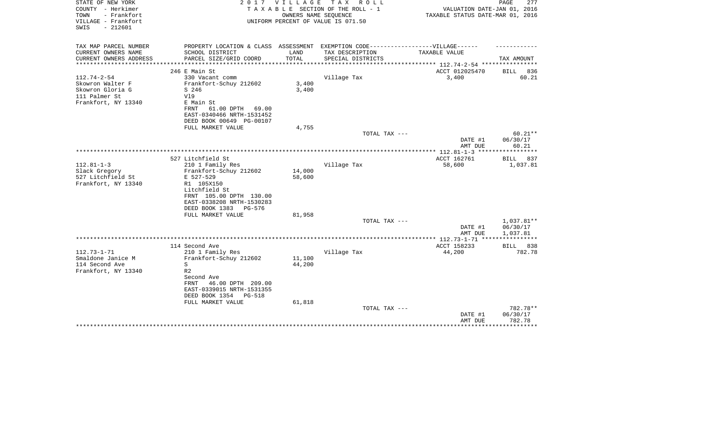| STATE OF NEW YORK<br>COUNTY - Herkimer<br>- Frankfort<br>TOWN<br>VILLAGE - Frankfort<br>$-212601$<br>SWIS |                                                                                   | 2017 VILLAGE    | TAX ROLL<br>TAXABLE SECTION OF THE ROLL - 1<br>OWNERS NAME SEOUENCE<br>UNIFORM PERCENT OF VALUE IS 071.50 | VALUATION DATE-JAN 01, 2016<br>TAXABLE STATUS DATE-MAR 01, 2016 | PAGE<br>277           |
|-----------------------------------------------------------------------------------------------------------|-----------------------------------------------------------------------------------|-----------------|-----------------------------------------------------------------------------------------------------------|-----------------------------------------------------------------|-----------------------|
| TAX MAP PARCEL NUMBER                                                                                     | PROPERTY LOCATION & CLASS ASSESSMENT EXEMPTION CODE-----------------VILLAGE------ |                 |                                                                                                           |                                                                 |                       |
| CURRENT OWNERS NAME                                                                                       | SCHOOL DISTRICT                                                                   | LAND<br>TOTAL   | TAX DESCRIPTION                                                                                           | TAXABLE VALUE                                                   |                       |
| CURRENT OWNERS ADDRESS<br>**************                                                                  | PARCEL SIZE/GRID COORD<br>*************************                               | *************** | SPECIAL DISTRICTS                                                                                         | *************** 112.74-2-54 ************                        | TAX AMOUNT            |
|                                                                                                           | 246 E Main St                                                                     |                 |                                                                                                           | ACCT 012025470                                                  | 836<br><b>BILL</b>    |
| $112.74 - 2 - 54$<br>Skowron Walter F                                                                     | 330 Vacant comm<br>Frankfort-Schuy 212602                                         | 3,400           | Village Tax                                                                                               | 3,400                                                           | 60.21                 |
| Skowron Gloria G<br>111 Palmer St                                                                         | S 246<br>V19                                                                      | 3,400           |                                                                                                           |                                                                 |                       |
| Frankfort, NY 13340                                                                                       | E Main St<br>FRNT<br>61.00 DPTH 69.00                                             |                 |                                                                                                           |                                                                 |                       |
|                                                                                                           | EAST-0340466 NRTH-1531452<br>DEED BOOK 00649 PG-00107                             |                 |                                                                                                           |                                                                 |                       |
|                                                                                                           | FULL MARKET VALUE                                                                 | 4,755           |                                                                                                           |                                                                 |                       |
|                                                                                                           |                                                                                   |                 | TOTAL TAX ---                                                                                             | DATE #1                                                         | $60.21**$<br>06/30/17 |
|                                                                                                           |                                                                                   |                 |                                                                                                           | AMT DUE                                                         | 60.21                 |
|                                                                                                           | 527 Litchfield St                                                                 |                 |                                                                                                           | ACCT 162761                                                     | 837<br>BILL           |
| $112.81 - 1 - 3$                                                                                          | 210 1 Family Res                                                                  |                 | Village Tax                                                                                               | 58,600                                                          | 1,037.81              |
| Slack Gregory                                                                                             | Frankfort-Schuy 212602                                                            | 14,000          |                                                                                                           |                                                                 |                       |
| 527 Litchfield St                                                                                         | E 527-529                                                                         | 58,600          |                                                                                                           |                                                                 |                       |
| Frankfort, NY 13340                                                                                       | R1 105X150                                                                        |                 |                                                                                                           |                                                                 |                       |
|                                                                                                           | Litchfield St                                                                     |                 |                                                                                                           |                                                                 |                       |
|                                                                                                           | FRNT 105.00 DPTH 130.00<br>EAST-0338208 NRTH-1530283                              |                 |                                                                                                           |                                                                 |                       |
|                                                                                                           | DEED BOOK 1383<br>PG-576                                                          |                 |                                                                                                           |                                                                 |                       |
|                                                                                                           | FULL MARKET VALUE                                                                 | 81,958          |                                                                                                           |                                                                 |                       |
|                                                                                                           |                                                                                   |                 | TOTAL TAX ---                                                                                             |                                                                 | 1,037.81**            |
|                                                                                                           |                                                                                   |                 |                                                                                                           | DATE #1                                                         | 06/30/17              |
|                                                                                                           |                                                                                   |                 |                                                                                                           | AMT DUE                                                         | 1,037.81              |
|                                                                                                           | 114 Second Ave                                                                    |                 |                                                                                                           | ACCT 158233                                                     | BILL 838              |
| $112.73 - 1 - 71$                                                                                         | 210 1 Family Res                                                                  |                 | Village Tax                                                                                               | 44,200                                                          | 782.78                |
| Smaldone Janice M                                                                                         | Frankfort-Schuy 212602                                                            | 11,100          |                                                                                                           |                                                                 |                       |
| 114 Second Ave                                                                                            | S                                                                                 | 44,200          |                                                                                                           |                                                                 |                       |
| Frankfort, NY 13340                                                                                       | R <sub>2</sub>                                                                    |                 |                                                                                                           |                                                                 |                       |
|                                                                                                           | Second Ave                                                                        |                 |                                                                                                           |                                                                 |                       |
|                                                                                                           | 46.00 DPTH 209.00<br>FRNT                                                         |                 |                                                                                                           |                                                                 |                       |
|                                                                                                           | EAST-0339015 NRTH-1531355<br>DEED BOOK 1354<br><b>PG-518</b>                      |                 |                                                                                                           |                                                                 |                       |
|                                                                                                           | FULL MARKET VALUE                                                                 | 61,818          |                                                                                                           |                                                                 |                       |
|                                                                                                           |                                                                                   |                 | TOTAL TAX ---                                                                                             |                                                                 | 782.78**              |
|                                                                                                           |                                                                                   |                 |                                                                                                           | DATE #1                                                         | 06/30/17              |
|                                                                                                           |                                                                                   |                 |                                                                                                           | AMT DUE                                                         | 782.78                |
|                                                                                                           |                                                                                   |                 |                                                                                                           |                                                                 | *******               |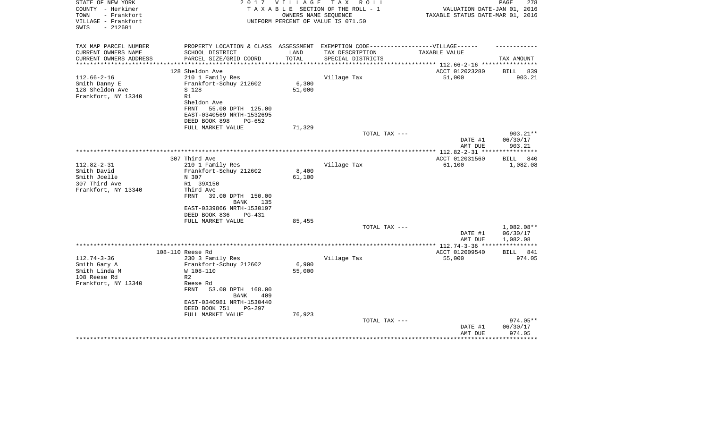| STATE OF NEW YORK<br>COUNTY - Herkimer<br>TOWN<br>- Frankfort<br>VILLAGE - Frankfort<br>$-212601$<br>SWIS | 2 0 1 7                                                                           | V I L L A G E | T A X<br>R O L L<br>TAXABLE SECTION OF THE ROLL - 1<br>OWNERS NAME SEOUENCE<br>UNIFORM PERCENT OF VALUE IS 071.50 | VALUATION DATE-JAN 01, 2016<br>TAXABLE STATUS DATE-MAR 01, 2016 | PAGE<br>278           |
|-----------------------------------------------------------------------------------------------------------|-----------------------------------------------------------------------------------|---------------|-------------------------------------------------------------------------------------------------------------------|-----------------------------------------------------------------|-----------------------|
| TAX MAP PARCEL NUMBER                                                                                     | PROPERTY LOCATION & CLASS ASSESSMENT EXEMPTION CODE-----------------VILLAGE------ |               |                                                                                                                   |                                                                 |                       |
| CURRENT OWNERS NAME                                                                                       | SCHOOL DISTRICT                                                                   | LAND          | TAX DESCRIPTION                                                                                                   | TAXABLE VALUE                                                   |                       |
| CURRENT OWNERS ADDRESS<br>**********************                                                          | PARCEL SIZE/GRID COORD                                                            | TOTAL         | SPECIAL DISTRICTS                                                                                                 |                                                                 | TAX AMOUNT            |
|                                                                                                           |                                                                                   |               |                                                                                                                   |                                                                 |                       |
| $112.66 - 2 - 16$                                                                                         | 128 Sheldon Ave<br>210 1 Family Res                                               |               | Village Tax                                                                                                       | ACCT 012023280<br>51,000                                        | 839<br>BILL<br>903.21 |
| Smith Danny E                                                                                             | Frankfort-Schuy 212602                                                            | 6,300         |                                                                                                                   |                                                                 |                       |
| 128 Sheldon Ave                                                                                           | S 128                                                                             | 51,000        |                                                                                                                   |                                                                 |                       |
| Frankfort, NY 13340                                                                                       | R1                                                                                |               |                                                                                                                   |                                                                 |                       |
|                                                                                                           | Sheldon Ave                                                                       |               |                                                                                                                   |                                                                 |                       |
|                                                                                                           | 55.00 DPTH 125.00<br>FRNT                                                         |               |                                                                                                                   |                                                                 |                       |
|                                                                                                           | EAST-0340569 NRTH-1532695                                                         |               |                                                                                                                   |                                                                 |                       |
|                                                                                                           | DEED BOOK 898<br>$PG-652$                                                         |               |                                                                                                                   |                                                                 |                       |
|                                                                                                           | FULL MARKET VALUE                                                                 | 71,329        |                                                                                                                   |                                                                 |                       |
|                                                                                                           |                                                                                   |               | TOTAL TAX ---                                                                                                     |                                                                 | $903.21**$            |
|                                                                                                           |                                                                                   |               |                                                                                                                   | DATE #1<br>AMT DUE                                              | 06/30/17<br>903.21    |
|                                                                                                           |                                                                                   |               |                                                                                                                   |                                                                 |                       |
|                                                                                                           | 307 Third Ave                                                                     |               |                                                                                                                   | ACCT 012031560                                                  | <b>BILL</b><br>840    |
| $112.82 - 2 - 31$                                                                                         | 210 1 Family Res                                                                  |               | Village Tax                                                                                                       | 61,100                                                          | 1,082.08              |
| Smith David                                                                                               | Frankfort-Schuy 212602                                                            | 8,400         |                                                                                                                   |                                                                 |                       |
| Smith Joelle                                                                                              | N 307                                                                             | 61,100        |                                                                                                                   |                                                                 |                       |
| 307 Third Ave                                                                                             | R1 39X150                                                                         |               |                                                                                                                   |                                                                 |                       |
| Frankfort, NY 13340                                                                                       | Third Ave                                                                         |               |                                                                                                                   |                                                                 |                       |
|                                                                                                           | 39.00 DPTH 150.00<br>FRNT                                                         |               |                                                                                                                   |                                                                 |                       |
|                                                                                                           | 135<br>BANK                                                                       |               |                                                                                                                   |                                                                 |                       |
|                                                                                                           | EAST-0339866 NRTH-1530197<br>DEED BOOK 836<br><b>PG-431</b>                       |               |                                                                                                                   |                                                                 |                       |
|                                                                                                           | FULL MARKET VALUE                                                                 | 85,455        |                                                                                                                   |                                                                 |                       |
|                                                                                                           |                                                                                   |               | TOTAL TAX ---                                                                                                     |                                                                 | 1,082.08**            |
|                                                                                                           |                                                                                   |               |                                                                                                                   | DATE #1                                                         | 06/30/17              |
|                                                                                                           |                                                                                   |               |                                                                                                                   | AMT DUE                                                         | 1,082.08              |
|                                                                                                           |                                                                                   |               |                                                                                                                   |                                                                 |                       |
|                                                                                                           | 108-110 Reese Rd                                                                  |               |                                                                                                                   | ACCT 012009540                                                  | 841<br>BILL           |
| $112.74 - 3 - 36$                                                                                         | 230 3 Family Res                                                                  |               | Village Tax                                                                                                       | 55,000                                                          | 974.05                |
| Smith Gary A                                                                                              | Frankfort-Schuy 212602                                                            | 6,900         |                                                                                                                   |                                                                 |                       |
| Smith Linda M                                                                                             | W 108-110                                                                         | 55,000        |                                                                                                                   |                                                                 |                       |
| 108 Reese Rd<br>Frankfort, NY 13340                                                                       | R <sub>2</sub><br>Reese Rd                                                        |               |                                                                                                                   |                                                                 |                       |
|                                                                                                           | <b>FRNT</b><br>53.00 DPTH 168.00                                                  |               |                                                                                                                   |                                                                 |                       |
|                                                                                                           | <b>BANK</b><br>409                                                                |               |                                                                                                                   |                                                                 |                       |
|                                                                                                           | EAST-0340981 NRTH-1530440                                                         |               |                                                                                                                   |                                                                 |                       |
|                                                                                                           | DEED BOOK 751<br>PG-297                                                           |               |                                                                                                                   |                                                                 |                       |
|                                                                                                           | FULL MARKET VALUE                                                                 | 76,923        |                                                                                                                   |                                                                 |                       |
|                                                                                                           |                                                                                   |               | TOTAL TAX ---                                                                                                     |                                                                 | 974.05**              |
|                                                                                                           |                                                                                   |               |                                                                                                                   | DATE #1                                                         | 06/30/17              |
|                                                                                                           |                                                                                   |               |                                                                                                                   | AMT DUE                                                         | 974.05                |
|                                                                                                           |                                                                                   |               |                                                                                                                   |                                                                 |                       |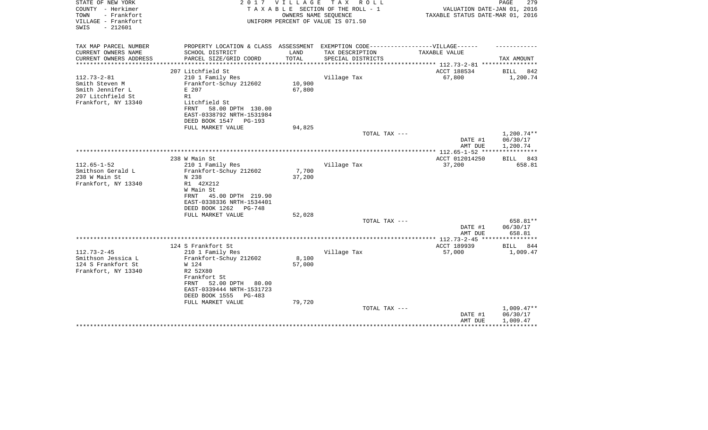| STATE OF NEW YORK<br>COUNTY - Herkimer<br>- Frankfort<br>TOWN<br>VILLAGE - Frankfort | 2017                                                                              | <b>VILLAGE</b><br>OWNERS NAME SEQUENCE | T A X<br>R O L L<br>TAXABLE SECTION OF THE ROLL - 1<br>UNIFORM PERCENT OF VALUE IS 071.50 | VALUATION DATE-JAN 01, 2016<br>TAXABLE STATUS DATE-MAR 01, 2016 | PAGE<br>279          |
|--------------------------------------------------------------------------------------|-----------------------------------------------------------------------------------|----------------------------------------|-------------------------------------------------------------------------------------------|-----------------------------------------------------------------|----------------------|
| $-212601$<br>SWIS                                                                    |                                                                                   |                                        |                                                                                           |                                                                 |                      |
| TAX MAP PARCEL NUMBER                                                                | PROPERTY LOCATION & CLASS ASSESSMENT EXEMPTION CODE-----------------VILLAGE------ |                                        |                                                                                           |                                                                 |                      |
| CURRENT OWNERS NAME<br>CURRENT OWNERS ADDRESS                                        | SCHOOL DISTRICT<br>PARCEL SIZE/GRID COORD                                         | LAND<br>TOTAL                          | TAX DESCRIPTION<br>SPECIAL DISTRICTS                                                      | <b>TAXABLE VALUE</b>                                            | TAX AMOUNT           |
| *********************                                                                |                                                                                   |                                        |                                                                                           |                                                                 |                      |
|                                                                                      | 207 Litchfield St                                                                 |                                        |                                                                                           | ACCT 188534                                                     | BILL<br>842          |
| $112.73 - 2 - 81$                                                                    | 210 1 Family Res                                                                  |                                        | Village Tax                                                                               | 67,800                                                          | 1,200.74             |
| Smith Steven M<br>Smith Jennifer L                                                   | Frankfort-Schuy 212602<br>E 207                                                   | 10,900<br>67,800                       |                                                                                           |                                                                 |                      |
| 207 Litchfield St                                                                    | R1                                                                                |                                        |                                                                                           |                                                                 |                      |
| Frankfort, NY 13340                                                                  | Litchfield St                                                                     |                                        |                                                                                           |                                                                 |                      |
|                                                                                      | 58.00 DPTH 130.00<br>FRNT                                                         |                                        |                                                                                           |                                                                 |                      |
|                                                                                      | EAST-0338792 NRTH-1531984                                                         |                                        |                                                                                           |                                                                 |                      |
|                                                                                      | DEED BOOK 1547<br>PG-193<br>FULL MARKET VALUE                                     | 94,825                                 |                                                                                           |                                                                 |                      |
|                                                                                      |                                                                                   |                                        | TOTAL TAX ---                                                                             |                                                                 | 1,200.74**           |
|                                                                                      |                                                                                   |                                        |                                                                                           | DATE #1                                                         | 06/30/17             |
|                                                                                      |                                                                                   |                                        |                                                                                           | AMT DUE                                                         | 1,200.74             |
|                                                                                      | 238 W Main St                                                                     |                                        |                                                                                           | ACCT 012014250                                                  | 843<br><b>BILL</b>   |
| $112.65 - 1 - 52$                                                                    | 210 1 Family Res                                                                  |                                        | Village Tax                                                                               | 37,200                                                          | 658.81               |
| Smithson Gerald L                                                                    | Frankfort-Schuy 212602                                                            | 7,700                                  |                                                                                           |                                                                 |                      |
| 238 W Main St                                                                        | N 238                                                                             | 37,200                                 |                                                                                           |                                                                 |                      |
| Frankfort, NY 13340                                                                  | R1 42X212                                                                         |                                        |                                                                                           |                                                                 |                      |
|                                                                                      | W Main St<br>45.00 DPTH 219.90<br>FRNT                                            |                                        |                                                                                           |                                                                 |                      |
|                                                                                      | EAST-0338336 NRTH-1534401                                                         |                                        |                                                                                           |                                                                 |                      |
|                                                                                      | DEED BOOK 1262<br>PG-748                                                          |                                        |                                                                                           |                                                                 |                      |
|                                                                                      | FULL MARKET VALUE                                                                 | 52,028                                 |                                                                                           |                                                                 |                      |
|                                                                                      |                                                                                   |                                        | TOTAL TAX ---                                                                             |                                                                 | 658.81**<br>06/30/17 |
|                                                                                      |                                                                                   |                                        |                                                                                           | DATE #1<br>AMT DUE                                              | 658.81               |
|                                                                                      |                                                                                   |                                        |                                                                                           | *********** 112.73-2-45 ***                                     |                      |
|                                                                                      | 124 S Frankfort St                                                                |                                        |                                                                                           | ACCT 189939                                                     | <b>BILL</b><br>844   |
| $112.73 - 2 - 45$<br>Smithson Jessica L                                              | 210 1 Family Res                                                                  |                                        | Village Tax                                                                               | 57,000                                                          | 1,009.47             |
| 124 S Frankfort St                                                                   | Frankfort-Schuy 212602<br>W 124                                                   | 8,100<br>57,000                        |                                                                                           |                                                                 |                      |
| Frankfort, NY 13340                                                                  | R2 52X80                                                                          |                                        |                                                                                           |                                                                 |                      |
|                                                                                      | Frankfort St                                                                      |                                        |                                                                                           |                                                                 |                      |
|                                                                                      | 52.00 DPTH<br>80.00<br>FRNT                                                       |                                        |                                                                                           |                                                                 |                      |
|                                                                                      | EAST-0339444 NRTH-1531723<br>DEED BOOK 1555<br>$PG-483$                           |                                        |                                                                                           |                                                                 |                      |
|                                                                                      | FULL MARKET VALUE                                                                 | 79,720                                 |                                                                                           |                                                                 |                      |
|                                                                                      |                                                                                   |                                        | TOTAL TAX ---                                                                             |                                                                 | $1,009.47**$         |
|                                                                                      |                                                                                   |                                        |                                                                                           | DATE #1                                                         | 06/30/17             |
|                                                                                      |                                                                                   |                                        |                                                                                           | AMT DUE                                                         | 1,009.47             |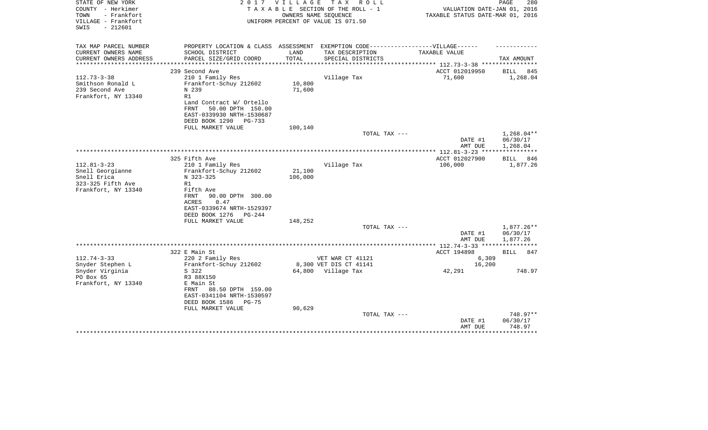| STATE OF NEW YORK<br>COUNTY - Herkimer<br>TOWN<br>- Frankfort<br>VILLAGE - Frankfort<br>$-212601$<br>SWIS | 2017                                                                                                                                                                        | V I L L A G E     | T A X<br>R O L L<br>TAXABLE SECTION OF THE ROLL - 1<br>OWNERS NAME SEOUENCE<br>UNIFORM PERCENT OF VALUE IS 071.50 | VALUATION DATE-JAN 01, 2016<br>TAXABLE STATUS DATE-MAR 01, 2016 | PAGE<br>280                                   |
|-----------------------------------------------------------------------------------------------------------|-----------------------------------------------------------------------------------------------------------------------------------------------------------------------------|-------------------|-------------------------------------------------------------------------------------------------------------------|-----------------------------------------------------------------|-----------------------------------------------|
| TAX MAP PARCEL NUMBER<br>CURRENT OWNERS NAME                                                              | PROPERTY LOCATION & CLASS ASSESSMENT EXEMPTION CODE-----------------VILLAGE------<br>SCHOOL DISTRICT                                                                        | LAND              | TAX DESCRIPTION                                                                                                   | <b>TAXABLE VALUE</b>                                            |                                               |
| CURRENT OWNERS ADDRESS                                                                                    | PARCEL SIZE/GRID COORD                                                                                                                                                      | TOTAL             | SPECIAL DISTRICTS                                                                                                 |                                                                 | TAX AMOUNT                                    |
| **********************                                                                                    | 239 Second Ave                                                                                                                                                              |                   |                                                                                                                   | ACCT 012019950                                                  | BILL<br>845                                   |
| $112.73 - 3 - 38$<br>Smithson Ronald L<br>239 Second Ave<br>Frankfort, NY 13340                           | 210 1 Family Res<br>Frankfort-Schuy 212602<br>N 239<br>R1<br>Land Contract W/ Ortello<br>FRNT<br>50.00 DPTH 150.00<br>EAST-0339930 NRTH-1530687<br>DEED BOOK 1290<br>PG-733 | 10,800<br>71,600  | Village Tax                                                                                                       | 71,600                                                          | 1,268.04                                      |
|                                                                                                           | FULL MARKET VALUE                                                                                                                                                           | 100,140           |                                                                                                                   |                                                                 |                                               |
|                                                                                                           |                                                                                                                                                                             |                   | TOTAL TAX ---                                                                                                     | DATE #1<br>AMT DUE                                              | $1,268.04**$<br>06/30/17<br>1,268.04          |
|                                                                                                           |                                                                                                                                                                             |                   |                                                                                                                   |                                                                 |                                               |
| $112.81 - 3 - 23$<br>Snell Georgianne<br>Snell Erica<br>323-325 Fifth Ave<br>Frankfort, NY 13340          | 325 Fifth Ave<br>210 1 Family Res<br>Frankfort-Schuy 212602<br>N 323-325<br>R1<br>Fifth Ave<br>90.00 DPTH 300.00<br>FRNT                                                    | 21,100<br>106,000 | Village Tax                                                                                                       | ACCT 012027900<br>106,000                                       | 846<br>BILL<br>1,877.26                       |
|                                                                                                           | ACRES<br>0.47<br>EAST-0339674 NRTH-1529397<br>DEED BOOK 1276<br>$PG-244$<br>FULL MARKET VALUE                                                                               | 148,252           | TOTAL TAX ---                                                                                                     | DATE #1                                                         | 1,877.26**<br>06/30/17                        |
|                                                                                                           |                                                                                                                                                                             |                   |                                                                                                                   | AMT DUE                                                         | 1,877.26                                      |
|                                                                                                           | 322 E Main St                                                                                                                                                               |                   |                                                                                                                   | ACCT 194898                                                     | <b>BILL</b><br>847                            |
| $112.74 - 3 - 33$<br>Snyder Stephen L                                                                     | 220 2 Family Res<br>Frankfort-Schuy 212602                                                                                                                                  |                   | VET WAR CT 41121<br>8,300 VET DIS CT 41141                                                                        | 6,309<br>16,200                                                 |                                               |
| Snyder Virginia<br>PO Box 65<br>Frankfort, NY 13340                                                       | S 322<br>R3 88X150<br>E Main St<br>88.50 DPTH 159.00<br>FRNT<br>EAST-0341104 NRTH-1530597<br>DEED BOOK 1586<br>$PG-75$                                                      |                   | 64,800 Village Tax                                                                                                | 42,291                                                          | 748.97                                        |
|                                                                                                           | FULL MARKET VALUE                                                                                                                                                           | 90,629            | TOTAL TAX ---                                                                                                     | DATE #1<br>AMT DUE                                              | 748.97**<br>06/30/17<br>748.97<br>*********** |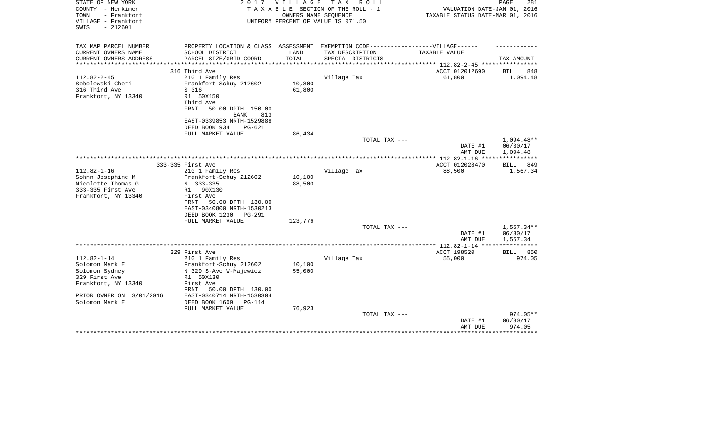| STATE OF NEW YORK<br>COUNTY - Herkimer                          | 2 0 1 7                                                                          | VILLAGE               | TAX ROLL<br>TAXABLE SECTION OF THE ROLL - 1                | VALUATION DATE-JAN 01, 2016                                     | 281<br>PAGE                        |
|-----------------------------------------------------------------|----------------------------------------------------------------------------------|-----------------------|------------------------------------------------------------|-----------------------------------------------------------------|------------------------------------|
| - Frankfort<br>TOWN<br>VILLAGE - Frankfort<br>$-212601$<br>SWIS |                                                                                  |                       | OWNERS NAME SEQUENCE<br>UNIFORM PERCENT OF VALUE IS 071.50 | TAXABLE STATUS DATE-MAR 01, 2016                                |                                    |
| TAX MAP PARCEL NUMBER                                           | PROPERTY LOCATION & CLASS ASSESSMENT EXEMPTION CODE----------------VILLAGE------ |                       |                                                            |                                                                 |                                    |
| CURRENT OWNERS NAME                                             | SCHOOL DISTRICT                                                                  | LAND                  | TAX DESCRIPTION                                            | TAXABLE VALUE                                                   |                                    |
| CURRENT OWNERS ADDRESS<br>* * * * * * * * * * * * * * *         | PARCEL SIZE/GRID COORD                                                           | TOTAL<br>************ | SPECIAL DISTRICTS                                          |                                                                 | TAX AMOUNT                         |
|                                                                 | 316 Third Ave                                                                    |                       |                                                            | ******************** 112.82-2-45 ************<br>ACCT 012012690 | BILL<br>848                        |
| $112.82 - 2 - 45$                                               | 210 1 Family Res                                                                 |                       | Village Tax                                                | 61,800                                                          | 1,094.48                           |
| Sobolewski Cheri                                                | Frankfort-Schuy 212602                                                           | 10,800                |                                                            |                                                                 |                                    |
| 316 Third Ave                                                   | S 316                                                                            | 61,800                |                                                            |                                                                 |                                    |
| Frankfort, NY 13340                                             | R1 50X150                                                                        |                       |                                                            |                                                                 |                                    |
|                                                                 | Third Ave                                                                        |                       |                                                            |                                                                 |                                    |
|                                                                 | <b>FRNT</b><br>50.00 DPTH 150.00                                                 |                       |                                                            |                                                                 |                                    |
|                                                                 | <b>BANK</b><br>813                                                               |                       |                                                            |                                                                 |                                    |
|                                                                 | EAST-0339853 NRTH-1529888                                                        |                       |                                                            |                                                                 |                                    |
|                                                                 | DEED BOOK 934<br>$PG-621$                                                        |                       |                                                            |                                                                 |                                    |
|                                                                 | FULL MARKET VALUE                                                                | 86,434                | TOTAL TAX ---                                              |                                                                 |                                    |
|                                                                 |                                                                                  |                       |                                                            | DATE #1<br>AMT DUE                                              | 1,094.48**<br>06/30/17<br>1,094.48 |
|                                                                 |                                                                                  |                       |                                                            |                                                                 |                                    |
|                                                                 | 333-335 First Ave                                                                |                       |                                                            | ACCT 012028470                                                  | <b>BILL</b><br>849                 |
| $112.82 - 1 - 16$                                               | 210 1 Family Res                                                                 |                       | Village Tax                                                | 88,500                                                          | 1,567.34                           |
| Sohnn Josephine M                                               | Frankfort-Schuy 212602                                                           | 10,100                |                                                            |                                                                 |                                    |
| Nicolette Thomas G                                              | N 333-335                                                                        | 88,500                |                                                            |                                                                 |                                    |
| 333-335 First Ave<br>Frankfort, NY 13340                        | 90X130<br>R1<br>First Ave                                                        |                       |                                                            |                                                                 |                                    |
|                                                                 | FRNT<br>50.00 DPTH 130.00                                                        |                       |                                                            |                                                                 |                                    |
|                                                                 | EAST-0340800 NRTH-1530213                                                        |                       |                                                            |                                                                 |                                    |
|                                                                 | DEED BOOK 1230<br>$PG-291$                                                       |                       |                                                            |                                                                 |                                    |
|                                                                 | FULL MARKET VALUE                                                                | 123,776               |                                                            |                                                                 |                                    |
|                                                                 |                                                                                  |                       | TOTAL TAX ---                                              |                                                                 | $1,567.34**$                       |
|                                                                 |                                                                                  |                       |                                                            | DATE #1                                                         | 06/30/17                           |
|                                                                 |                                                                                  |                       |                                                            | AMT DUE                                                         | 1,567.34                           |
|                                                                 |                                                                                  |                       |                                                            |                                                                 |                                    |
|                                                                 | 329 First Ave                                                                    |                       |                                                            | ACCT 198520                                                     | <b>BILL</b><br>850                 |
| $112.82 - 1 - 14$                                               | 210 1 Family Res                                                                 |                       | Village Tax                                                | 55,000                                                          | 974.05                             |
| Solomon Mark E                                                  | Frankfort-Schuy 212602                                                           | 10,100                |                                                            |                                                                 |                                    |
| Solomon Sydney                                                  | N 329 S-Ave W-Majewicz                                                           | 55,000                |                                                            |                                                                 |                                    |
| 329 First Ave<br>Frankfort, NY 13340                            | R1 50X130<br>First Ave                                                           |                       |                                                            |                                                                 |                                    |
|                                                                 | 50.00 DPTH 130.00<br>FRNT                                                        |                       |                                                            |                                                                 |                                    |
| PRIOR OWNER ON 3/01/2016                                        | EAST-0340714 NRTH-1530304                                                        |                       |                                                            |                                                                 |                                    |
| Solomon Mark E                                                  | DEED BOOK 1609<br><b>PG-114</b>                                                  |                       |                                                            |                                                                 |                                    |
|                                                                 | FULL MARKET VALUE                                                                | 76,923                |                                                            |                                                                 |                                    |
|                                                                 |                                                                                  |                       | TOTAL TAX ---                                              |                                                                 | 974.05**                           |
|                                                                 |                                                                                  |                       |                                                            | DATE #1                                                         | 06/30/17                           |
|                                                                 |                                                                                  |                       |                                                            | AMT DUE                                                         | 974.05                             |
|                                                                 |                                                                                  |                       |                                                            |                                                                 |                                    |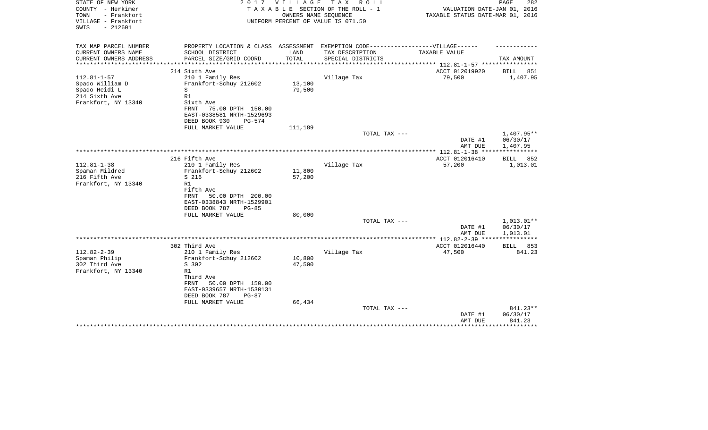| STATE OF NEW YORK<br>COUNTY - Herkimer<br>TOWN<br>- Frankfort<br>VILLAGE - Frankfort<br>$-212601$<br>SWIS | 2 0 1 7                                                                                                                                                   | <b>VILLAGE</b>   | T A X<br>R O L L<br>TAXABLE SECTION OF THE ROLL - 1<br>OWNERS NAME SEQUENCE<br>UNIFORM PERCENT OF VALUE IS 071.50 | VALUATION DATE-JAN 01, 2016<br>TAXABLE STATUS DATE-MAR 01, 2016 | PAGE<br>282                        |
|-----------------------------------------------------------------------------------------------------------|-----------------------------------------------------------------------------------------------------------------------------------------------------------|------------------|-------------------------------------------------------------------------------------------------------------------|-----------------------------------------------------------------|------------------------------------|
| TAX MAP PARCEL NUMBER                                                                                     | PROPERTY LOCATION & CLASS ASSESSMENT EXEMPTION CODE-----------------VILLAGE------                                                                         |                  |                                                                                                                   |                                                                 |                                    |
| CURRENT OWNERS NAME                                                                                       | SCHOOL DISTRICT                                                                                                                                           | LAND             | TAX DESCRIPTION                                                                                                   | TAXABLE VALUE                                                   |                                    |
| CURRENT OWNERS ADDRESS<br>********************                                                            | PARCEL SIZE/GRID COORD                                                                                                                                    | TOTAL            | SPECIAL DISTRICTS                                                                                                 |                                                                 | TAX AMOUNT                         |
|                                                                                                           | 214 Sixth Ave                                                                                                                                             |                  |                                                                                                                   | ACCT 012019920                                                  | <b>BILL</b><br>851                 |
| $112.81 - 1 - 57$<br>Spado William D<br>Spado Heidi L<br>214 Sixth Ave<br>Frankfort, NY 13340             | 210 1 Family Res<br>Frankfort-Schuy 212602<br>S<br>R1<br>Sixth Ave<br>FRNT<br>75.00 DPTH 150.00<br>EAST-0338581 NRTH-1529693<br>DEED BOOK 930<br>$PG-574$ | 13,100<br>79,500 | Village Tax                                                                                                       | 79,500                                                          | 1,407.95                           |
|                                                                                                           | FULL MARKET VALUE                                                                                                                                         | 111,189          | TOTAL TAX ---                                                                                                     |                                                                 | 1,407.95**                         |
|                                                                                                           |                                                                                                                                                           |                  |                                                                                                                   | DATE #1<br>AMT DUE                                              | 06/30/17<br>1,407.95               |
|                                                                                                           |                                                                                                                                                           |                  |                                                                                                                   |                                                                 |                                    |
| $112.81 - 1 - 38$<br>Spaman Mildred<br>216 Fifth Ave<br>Frankfort, NY 13340                               | 216 Fifth Ave<br>210 1 Family Res<br>Frankfort-Schuy 212602<br>S 216<br>R1<br>Fifth Ave<br>50.00 DPTH 200.00<br>FRNT                                      | 11,800<br>57,200 | Village Tax                                                                                                       | ACCT 012016410<br>57,200                                        | BILL<br>852<br>1,013.01            |
|                                                                                                           | EAST-0338843 NRTH-1529901<br>DEED BOOK 787<br>$PG-85$<br>FULL MARKET VALUE                                                                                | 80,000           |                                                                                                                   |                                                                 |                                    |
|                                                                                                           |                                                                                                                                                           |                  | TOTAL TAX ---                                                                                                     | DATE #1<br>AMT DUE                                              | 1,013.01**<br>06/30/17<br>1,013.01 |
|                                                                                                           |                                                                                                                                                           |                  |                                                                                                                   | ******** 112.82-2-39 ****                                       |                                    |
| $112.82 - 2 - 39$<br>Spaman Philip<br>302 Third Ave<br>Frankfort, NY 13340                                | 302 Third Ave<br>210 1 Family Res<br>Frankfort-Schuy 212602<br>S 302<br>R1<br>Third Ave<br>50.00 DPTH 150.00<br>FRNT<br>EAST-0339657 NRTH-1530131         | 10,800<br>47,500 | Village Tax                                                                                                       | ACCT 012016440<br>47,500                                        | 853<br>BILL<br>841.23              |
|                                                                                                           | DEED BOOK 787<br>$PG-87$<br>FULL MARKET VALUE                                                                                                             | 66,434           | TOTAL TAX ---                                                                                                     | DATE #1<br>AMT DUE                                              | 841.23**<br>06/30/17<br>841.23     |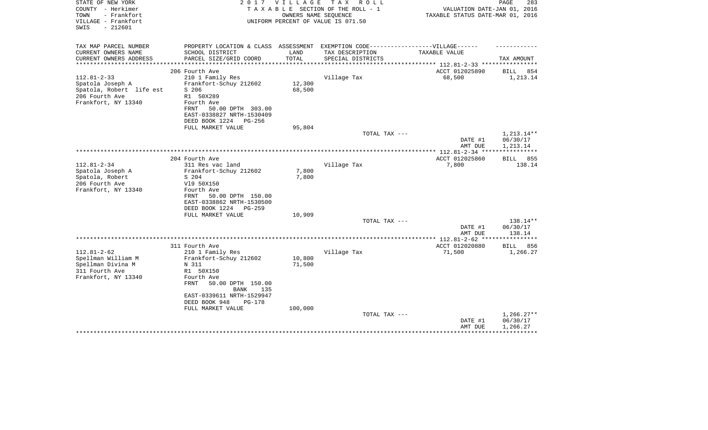| STATE OF NEW YORK<br>COUNTY - Herkimer                          | 2017                                                                             | V I L L A G E | T A X<br>R O L L<br>TAXABLE SECTION OF THE ROLL - 1        | VALUATION DATE-JAN 01, 2016      | PAGE<br>283           |
|-----------------------------------------------------------------|----------------------------------------------------------------------------------|---------------|------------------------------------------------------------|----------------------------------|-----------------------|
| - Frankfort<br>TOWN<br>VILLAGE - Frankfort<br>$-212601$<br>SWIS |                                                                                  |               | OWNERS NAME SEOUENCE<br>UNIFORM PERCENT OF VALUE IS 071.50 | TAXABLE STATUS DATE-MAR 01, 2016 |                       |
| TAX MAP PARCEL NUMBER                                           | PROPERTY LOCATION & CLASS ASSESSMENT EXEMPTION CODE----------------VILLAGE------ |               |                                                            |                                  |                       |
| CURRENT OWNERS NAME                                             | SCHOOL DISTRICT                                                                  | LAND          | TAX DESCRIPTION                                            | TAXABLE VALUE                    |                       |
| CURRENT OWNERS ADDRESS<br>*********************                 | PARCEL SIZE/GRID COORD                                                           | TOTAL         | SPECIAL DISTRICTS                                          |                                  | TAX AMOUNT            |
|                                                                 | 206 Fourth Ave                                                                   |               |                                                            | ACCT 012025890                   | 854<br>BILL           |
| $112.81 - 2 - 33$                                               | 210 1 Family Res                                                                 |               | Village Tax                                                | 68,500                           | 1,213.14              |
| Spatola Joseph A                                                | Frankfort-Schuy 212602                                                           | 12,300        |                                                            |                                  |                       |
| Spatola, Robert life est                                        | S 206                                                                            | 68,500        |                                                            |                                  |                       |
| 206 Fourth Ave                                                  | R1 50X289                                                                        |               |                                                            |                                  |                       |
| Frankfort, NY 13340                                             | Fourth Ave                                                                       |               |                                                            |                                  |                       |
|                                                                 | FRNT<br>50.00 DPTH 303.00                                                        |               |                                                            |                                  |                       |
|                                                                 | EAST-0338827 NRTH-1530409                                                        |               |                                                            |                                  |                       |
|                                                                 | DEED BOOK 1224<br>PG-256                                                         |               |                                                            |                                  |                       |
|                                                                 | FULL MARKET VALUE                                                                | 95,804        |                                                            |                                  |                       |
|                                                                 |                                                                                  |               | TOTAL TAX ---                                              |                                  | 1,213.14**            |
|                                                                 |                                                                                  |               |                                                            | DATE #1                          | 06/30/17              |
|                                                                 |                                                                                  |               |                                                            | AMT DUE                          | 1,213.14              |
|                                                                 |                                                                                  |               |                                                            |                                  | * * * * * * * * * * * |
|                                                                 | 204 Fourth Ave                                                                   |               |                                                            | ACCT 012025860                   | 855<br>BILL           |
| $112.81 - 2 - 34$                                               | 311 Res vac land                                                                 |               | Village Tax                                                | 7,800                            | 138.14                |
| Spatola Joseph A                                                | Frankfort-Schuy 212602                                                           | 7,800         |                                                            |                                  |                       |
| Spatola, Robert                                                 | S 204                                                                            | 7,800         |                                                            |                                  |                       |
| 206 Fourth Ave                                                  | V19 50X150                                                                       |               |                                                            |                                  |                       |
| Frankfort, NY 13340                                             | Fourth Ave                                                                       |               |                                                            |                                  |                       |
|                                                                 | 50.00 DPTH 150.00<br>FRNT<br>EAST-0338862 NRTH-1530500                           |               |                                                            |                                  |                       |
|                                                                 | DEED BOOK 1224 PG-259                                                            |               |                                                            |                                  |                       |
|                                                                 | FULL MARKET VALUE                                                                | 10,909        |                                                            |                                  |                       |
|                                                                 |                                                                                  |               | TOTAL TAX ---                                              |                                  | 138.14**              |
|                                                                 |                                                                                  |               |                                                            | DATE #1                          | 06/30/17              |
|                                                                 |                                                                                  |               |                                                            | AMT DUE                          | 138.14                |
|                                                                 |                                                                                  |               |                                                            |                                  |                       |
|                                                                 | 311 Fourth Ave                                                                   |               |                                                            | ACCT 012020880                   | <b>BILL</b><br>856    |
| $112.81 - 2 - 62$                                               | 210 1 Family Res                                                                 |               | Village Tax                                                | 71,500                           | 1,266.27              |
| Spellman William M                                              | Frankfort-Schuy 212602                                                           | 10,800        |                                                            |                                  |                       |
| Spellman Divina M                                               | N 311                                                                            | 71,500        |                                                            |                                  |                       |
| 311 Fourth Ave                                                  | R1 50X150                                                                        |               |                                                            |                                  |                       |
| Frankfort, NY 13340                                             | Fourth Ave                                                                       |               |                                                            |                                  |                       |
|                                                                 | 50.00 DPTH 150.00<br>FRNT                                                        |               |                                                            |                                  |                       |
|                                                                 | <b>BANK</b><br>135                                                               |               |                                                            |                                  |                       |
|                                                                 | EAST-0339611 NRTH-1529947                                                        |               |                                                            |                                  |                       |
|                                                                 | DEED BOOK 948<br>PG-178                                                          |               |                                                            |                                  |                       |
|                                                                 | FULL MARKET VALUE                                                                | 100,000       |                                                            |                                  |                       |
|                                                                 |                                                                                  |               | TOTAL TAX ---                                              |                                  | $1,266.27**$          |
|                                                                 |                                                                                  |               |                                                            | DATE #1                          | 06/30/17              |
|                                                                 |                                                                                  |               |                                                            | AMT DUE                          | 1,266.27              |
|                                                                 |                                                                                  |               |                                                            |                                  |                       |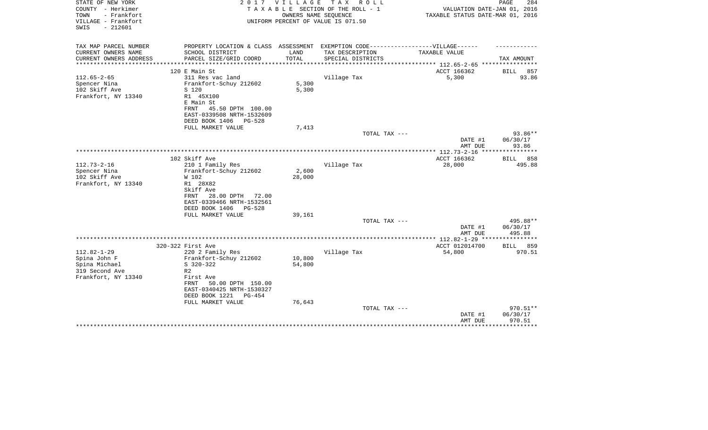| STATE OF NEW YORK<br>COUNTY - Herkimer<br>- Frankfort<br>TOWN<br>VILLAGE - Frankfort<br>$-212601$<br>SWIS | 2017                                                                              | VILLAGE | T A X<br>R O L L<br>TAXABLE SECTION OF THE ROLL - 1<br>OWNERS NAME SEQUENCE<br>UNIFORM PERCENT OF VALUE IS 071.50 | VALUATION DATE-JAN 01, 2016<br>TAXABLE STATUS DATE-MAR 01, 2016 | 284<br>PAGE            |
|-----------------------------------------------------------------------------------------------------------|-----------------------------------------------------------------------------------|---------|-------------------------------------------------------------------------------------------------------------------|-----------------------------------------------------------------|------------------------|
| TAX MAP PARCEL NUMBER                                                                                     | PROPERTY LOCATION & CLASS ASSESSMENT EXEMPTION CODE-----------------VILLAGE------ |         |                                                                                                                   |                                                                 |                        |
| CURRENT OWNERS NAME                                                                                       | SCHOOL DISTRICT                                                                   | LAND    | TAX DESCRIPTION                                                                                                   | TAXABLE VALUE                                                   |                        |
| CURRENT OWNERS ADDRESS<br>**********************                                                          | PARCEL SIZE/GRID COORD                                                            | TOTAL   | SPECIAL DISTRICTS                                                                                                 |                                                                 | TAX AMOUNT             |
|                                                                                                           | 120 E Main St                                                                     |         |                                                                                                                   | ACCT 166362                                                     | 857<br>BILL            |
| $112.65 - 2 - 65$                                                                                         | 311 Res vac land                                                                  |         | Village Tax                                                                                                       | 5,300                                                           | 93.86                  |
| Spencer Nina                                                                                              | Frankfort-Schuy 212602                                                            | 5,300   |                                                                                                                   |                                                                 |                        |
| 102 Skiff Ave                                                                                             | S 120                                                                             | 5,300   |                                                                                                                   |                                                                 |                        |
| Frankfort, NY 13340                                                                                       | R1 45X100                                                                         |         |                                                                                                                   |                                                                 |                        |
|                                                                                                           | E Main St                                                                         |         |                                                                                                                   |                                                                 |                        |
|                                                                                                           | 45.50 DPTH 100.00<br>FRNT<br>EAST-0339508 NRTH-1532609                            |         |                                                                                                                   |                                                                 |                        |
|                                                                                                           | DEED BOOK 1406<br>$PG-528$                                                        |         |                                                                                                                   |                                                                 |                        |
|                                                                                                           | FULL MARKET VALUE                                                                 | 7,413   |                                                                                                                   |                                                                 |                        |
|                                                                                                           |                                                                                   |         | TOTAL TAX ---                                                                                                     |                                                                 | 93.86**                |
|                                                                                                           |                                                                                   |         |                                                                                                                   | DATE #1                                                         | 06/30/17               |
|                                                                                                           |                                                                                   |         |                                                                                                                   | AMT DUE                                                         | 93.86                  |
|                                                                                                           | 102 Skiff Ave                                                                     |         |                                                                                                                   | ACCT 166362                                                     | 858<br>BILL            |
| $112.73 - 2 - 16$                                                                                         | 210 1 Family Res                                                                  |         | Village Tax                                                                                                       | 28,000                                                          | 495.88                 |
| Spencer Nina                                                                                              | Frankfort-Schuy 212602                                                            | 2,600   |                                                                                                                   |                                                                 |                        |
| 102 Skiff Ave                                                                                             | W 102                                                                             | 28,000  |                                                                                                                   |                                                                 |                        |
| Frankfort, NY 13340                                                                                       | R1 28X82                                                                          |         |                                                                                                                   |                                                                 |                        |
|                                                                                                           | Skiff Ave<br>FRNT                                                                 |         |                                                                                                                   |                                                                 |                        |
|                                                                                                           | 28.00 DPTH<br>72.00<br>EAST-0339466 NRTH-1532561                                  |         |                                                                                                                   |                                                                 |                        |
|                                                                                                           | DEED BOOK 1406<br>$PG-528$                                                        |         |                                                                                                                   |                                                                 |                        |
|                                                                                                           | FULL MARKET VALUE                                                                 | 39,161  |                                                                                                                   |                                                                 |                        |
|                                                                                                           |                                                                                   |         | TOTAL TAX ---                                                                                                     |                                                                 | 495.88**               |
|                                                                                                           |                                                                                   |         |                                                                                                                   | DATE #1                                                         | 06/30/17               |
|                                                                                                           |                                                                                   |         |                                                                                                                   | AMT DUE<br>*************** 112.82-1-29 ****                     | 495.88<br>************ |
|                                                                                                           | 320-322 First Ave                                                                 |         |                                                                                                                   | ACCT 012014700                                                  | BILL<br>859            |
| $112.82 - 1 - 29$                                                                                         | 220 2 Family Res                                                                  |         | Village Tax                                                                                                       | 54,800                                                          | 970.51                 |
| Spina John F                                                                                              | Frankfort-Schuy 212602                                                            | 10,800  |                                                                                                                   |                                                                 |                        |
| Spina Michael                                                                                             | $S$ 320-322                                                                       | 54,800  |                                                                                                                   |                                                                 |                        |
| 319 Second Ave                                                                                            | R <sub>2</sub>                                                                    |         |                                                                                                                   |                                                                 |                        |
| Frankfort, NY 13340                                                                                       | First Ave                                                                         |         |                                                                                                                   |                                                                 |                        |
|                                                                                                           | FRNT<br>50.00 DPTH 150.00<br>EAST-0340425 NRTH-1530327                            |         |                                                                                                                   |                                                                 |                        |
|                                                                                                           | DEED BOOK 1221<br>$PG-454$                                                        |         |                                                                                                                   |                                                                 |                        |
|                                                                                                           | FULL MARKET VALUE                                                                 | 76,643  |                                                                                                                   |                                                                 |                        |
|                                                                                                           |                                                                                   |         | TOTAL TAX ---                                                                                                     |                                                                 | 970.51**               |
|                                                                                                           |                                                                                   |         |                                                                                                                   | DATE #1                                                         | 06/30/17               |
|                                                                                                           |                                                                                   |         |                                                                                                                   | AMT DUE                                                         | 970.51<br>*******      |
|                                                                                                           |                                                                                   |         |                                                                                                                   |                                                                 |                        |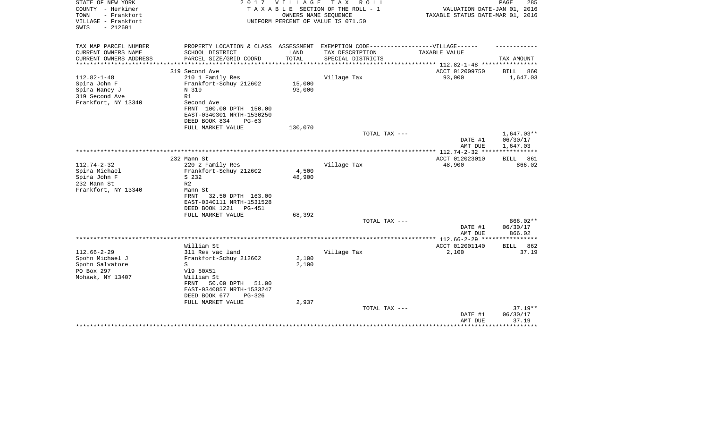| STATE OF NEW YORK<br>COUNTY - Herkimer<br>TOWN<br>- Frankfort<br>VILLAGE - Frankfort<br>$-212601$<br>SWIS | 2017                                                 | <b>VILLAGE</b>       | T A X<br>R O L L<br>TAXABLE SECTION OF THE ROLL - 1<br>OWNERS NAME SEQUENCE<br>UNIFORM PERCENT OF VALUE IS 071.50 | VALUATION DATE-JAN 01, 2016<br>TAXABLE STATUS DATE-MAR 01, 2016 | PAGE<br>285          |
|-----------------------------------------------------------------------------------------------------------|------------------------------------------------------|----------------------|-------------------------------------------------------------------------------------------------------------------|-----------------------------------------------------------------|----------------------|
| TAX MAP PARCEL NUMBER                                                                                     | PROPERTY LOCATION & CLASS ASSESSMENT                 |                      | EXEMPTION CODE-----------------VILLAGE------                                                                      |                                                                 |                      |
| CURRENT OWNERS NAME                                                                                       | SCHOOL DISTRICT                                      | LAND                 | TAX DESCRIPTION                                                                                                   | TAXABLE VALUE                                                   |                      |
| CURRENT OWNERS ADDRESS<br>*******************                                                             | PARCEL SIZE/GRID COORD<br>************************** | TOTAL<br>*********** | SPECIAL DISTRICTS                                                                                                 | **************** 112.82-1-48 ***********                        | TAX AMOUNT           |
|                                                                                                           | 319 Second Ave                                       |                      |                                                                                                                   | ACCT 012009750                                                  | BILL<br>860          |
| $112.82 - 1 - 48$                                                                                         | 210 1 Family Res                                     |                      | Village Tax                                                                                                       | 93,000                                                          | 1,647.03             |
| Spina John F                                                                                              | Frankfort-Schuy 212602                               | 15,000               |                                                                                                                   |                                                                 |                      |
| Spina Nancy J                                                                                             | N 319                                                | 93,000               |                                                                                                                   |                                                                 |                      |
| 319 Second Ave<br>Frankfort, NY 13340                                                                     | R1<br>Second Ave                                     |                      |                                                                                                                   |                                                                 |                      |
|                                                                                                           | FRNT 100.00 DPTH 150.00                              |                      |                                                                                                                   |                                                                 |                      |
|                                                                                                           | EAST-0340301 NRTH-1530250                            |                      |                                                                                                                   |                                                                 |                      |
|                                                                                                           | DEED BOOK 834<br>$PG-63$                             |                      |                                                                                                                   |                                                                 |                      |
|                                                                                                           | FULL MARKET VALUE                                    | 130,070              |                                                                                                                   |                                                                 |                      |
|                                                                                                           |                                                      |                      | TOTAL TAX ---                                                                                                     |                                                                 | $1,647.03**$         |
|                                                                                                           |                                                      |                      |                                                                                                                   | DATE #1<br>AMT DUE                                              | 06/30/17<br>1,647.03 |
|                                                                                                           |                                                      |                      |                                                                                                                   | ************** 112.74-2-32 *****************                    |                      |
|                                                                                                           | 232 Mann St                                          |                      |                                                                                                                   | ACCT 012023010                                                  | 861<br><b>BILL</b>   |
| $112.74 - 2 - 32$                                                                                         | 220 2 Family Res                                     |                      | Village Tax                                                                                                       | 48,900                                                          | 866.02               |
| Spina Michael                                                                                             | Frankfort-Schuy 212602                               | 4,500                |                                                                                                                   |                                                                 |                      |
| Spina John F                                                                                              | S 232                                                | 48,900               |                                                                                                                   |                                                                 |                      |
| 232 Mann St<br>Frankfort, NY 13340                                                                        | R <sub>2</sub><br>Mann St                            |                      |                                                                                                                   |                                                                 |                      |
|                                                                                                           | FRNT<br>32.50 DPTH 163.00                            |                      |                                                                                                                   |                                                                 |                      |
|                                                                                                           | EAST-0340111 NRTH-1531528                            |                      |                                                                                                                   |                                                                 |                      |
|                                                                                                           | DEED BOOK 1221<br>PG-451                             |                      |                                                                                                                   |                                                                 |                      |
|                                                                                                           | FULL MARKET VALUE                                    | 68,392               |                                                                                                                   |                                                                 |                      |
|                                                                                                           |                                                      |                      | TOTAL TAX ---                                                                                                     |                                                                 | 866.02**             |
|                                                                                                           |                                                      |                      |                                                                                                                   | DATE #1<br>AMT DUE                                              | 06/30/17<br>866.02   |
|                                                                                                           |                                                      |                      |                                                                                                                   |                                                                 |                      |
|                                                                                                           | William St                                           |                      |                                                                                                                   | ACCT 012001140                                                  | 862<br>BILL          |
| $112.66 - 2 - 29$                                                                                         | 311 Res vac land                                     |                      | Village Tax                                                                                                       | 2,100                                                           | 37.19                |
| Spohn Michael J                                                                                           | Frankfort-Schuy 212602                               | 2,100                |                                                                                                                   |                                                                 |                      |
| Spohn Salvatore                                                                                           | S                                                    | 2,100                |                                                                                                                   |                                                                 |                      |
| PO Box 297                                                                                                | V19 50X51                                            |                      |                                                                                                                   |                                                                 |                      |
| Mohawk, NY 13407                                                                                          | William St<br>50.00 DPTH<br>FRNT<br>51.00            |                      |                                                                                                                   |                                                                 |                      |
|                                                                                                           | EAST-0340857 NRTH-1533247                            |                      |                                                                                                                   |                                                                 |                      |
|                                                                                                           | DEED BOOK 677<br>$PG-326$                            |                      |                                                                                                                   |                                                                 |                      |
|                                                                                                           | FULL MARKET VALUE                                    | 2,937                |                                                                                                                   |                                                                 |                      |
|                                                                                                           |                                                      |                      | TOTAL TAX ---                                                                                                     |                                                                 | $37.19**$            |
|                                                                                                           |                                                      |                      |                                                                                                                   | DATE #1<br>AMT DUE                                              | 06/30/17<br>37.19    |
|                                                                                                           |                                                      |                      |                                                                                                                   |                                                                 |                      |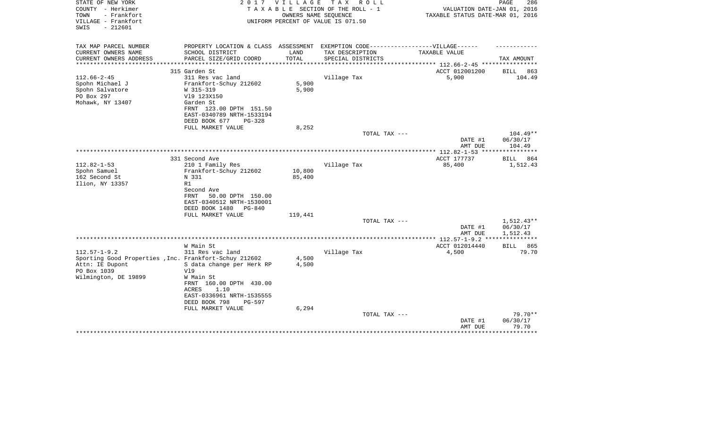| STATE OF NEW YORK<br>COUNTY - Herkimer<br>- Frankfort<br>TOWN<br>VILLAGE - Frankfort<br>SWIS<br>$-212601$ | 2 0 1 7                                                                           | V I L L A G E | TAX ROLL<br>TAXABLE SECTION OF THE ROLL - 1<br>OWNERS NAME SEQUENCE<br>UNIFORM PERCENT OF VALUE IS 071.50 | VALUATION DATE-JAN 01, 2016<br>TAXABLE STATUS DATE-MAR 01, 2016 | PAGE<br>286        |
|-----------------------------------------------------------------------------------------------------------|-----------------------------------------------------------------------------------|---------------|-----------------------------------------------------------------------------------------------------------|-----------------------------------------------------------------|--------------------|
| TAX MAP PARCEL NUMBER                                                                                     | PROPERTY LOCATION & CLASS ASSESSMENT EXEMPTION CODE-----------------VILLAGE------ |               |                                                                                                           |                                                                 |                    |
| CURRENT OWNERS NAME                                                                                       | SCHOOL DISTRICT                                                                   | LAND          | TAX DESCRIPTION                                                                                           | <b>TAXABLE VALUE</b>                                            |                    |
| CURRENT OWNERS ADDRESS                                                                                    | PARCEL SIZE/GRID COORD                                                            | TOTAL         | SPECIAL DISTRICTS                                                                                         |                                                                 | TAX AMOUNT         |
|                                                                                                           |                                                                                   |               |                                                                                                           | ***************** 112.66-2-45 ***                               |                    |
|                                                                                                           | 315 Garden St                                                                     |               |                                                                                                           | ACCT 012001200                                                  | 863<br>BILL        |
| $112.66 - 2 - 45$                                                                                         | 311 Res vac land                                                                  |               | Village Tax                                                                                               | 5,900                                                           | 104.49             |
| Spohn Michael J                                                                                           | Frankfort-Schuy 212602                                                            | 5,900         |                                                                                                           |                                                                 |                    |
| Spohn Salvatore<br>PO Box 297                                                                             | W 315-319<br>V19 123X150                                                          | 5,900         |                                                                                                           |                                                                 |                    |
| Mohawk, NY 13407                                                                                          | Garden St                                                                         |               |                                                                                                           |                                                                 |                    |
|                                                                                                           | FRNT 123.00 DPTH 151.50                                                           |               |                                                                                                           |                                                                 |                    |
|                                                                                                           | EAST-0340789 NRTH-1533194                                                         |               |                                                                                                           |                                                                 |                    |
|                                                                                                           | DEED BOOK 677<br>PG-328                                                           |               |                                                                                                           |                                                                 |                    |
|                                                                                                           | FULL MARKET VALUE                                                                 | 8,252         |                                                                                                           |                                                                 |                    |
|                                                                                                           |                                                                                   |               | TOTAL TAX ---                                                                                             |                                                                 | 104.49**           |
|                                                                                                           |                                                                                   |               |                                                                                                           | DATE #1                                                         | 06/30/17           |
|                                                                                                           |                                                                                   |               |                                                                                                           | AMT DUE                                                         | 104.49             |
|                                                                                                           | 331 Second Ave                                                                    |               |                                                                                                           | ACCT 177737                                                     | BILL<br>864        |
| $112.82 - 1 - 53$                                                                                         | 210 1 Family Res                                                                  |               | Village Tax                                                                                               | 85,400                                                          | 1,512.43           |
| Spohn Samuel                                                                                              | Frankfort-Schuy 212602                                                            | 10,800        |                                                                                                           |                                                                 |                    |
| 162 Second St                                                                                             | N 331                                                                             | 85,400        |                                                                                                           |                                                                 |                    |
| Ilion, NY 13357                                                                                           | R1                                                                                |               |                                                                                                           |                                                                 |                    |
|                                                                                                           | Second Ave                                                                        |               |                                                                                                           |                                                                 |                    |
|                                                                                                           | FRNT<br>50.00 DPTH 150.00                                                         |               |                                                                                                           |                                                                 |                    |
|                                                                                                           | EAST-0340512 NRTH-1530001<br>DEED BOOK 1480<br>PG-840                             |               |                                                                                                           |                                                                 |                    |
|                                                                                                           | FULL MARKET VALUE                                                                 | 119,441       |                                                                                                           |                                                                 |                    |
|                                                                                                           |                                                                                   |               | TOTAL TAX ---                                                                                             |                                                                 | $1,512.43**$       |
|                                                                                                           |                                                                                   |               |                                                                                                           | DATE #1                                                         | 06/30/17           |
|                                                                                                           |                                                                                   |               |                                                                                                           | AMT DUE                                                         | 1,512.43           |
|                                                                                                           |                                                                                   |               |                                                                                                           |                                                                 | * * * * * *        |
|                                                                                                           | W Main St                                                                         |               |                                                                                                           | ACCT 012014440                                                  | <b>BILL</b><br>865 |
| $112.57 - 1 - 9.2$                                                                                        | 311 Res vac land                                                                  | 4,500         | Village Tax                                                                                               | 4,500                                                           | 79.70              |
| Sporting Good Properties, Inc. Frankfort-Schuy 212602<br>Attn: IE Dupont                                  | S data change per Herk RP                                                         | 4,500         |                                                                                                           |                                                                 |                    |
| PO Box 1039                                                                                               | V19                                                                               |               |                                                                                                           |                                                                 |                    |
| Wilmington, DE 19899                                                                                      | W Main St                                                                         |               |                                                                                                           |                                                                 |                    |
|                                                                                                           | FRNT 160.00 DPTH 430.00<br>1.10<br>ACRES                                          |               |                                                                                                           |                                                                 |                    |
|                                                                                                           | EAST-0336961 NRTH-1535555                                                         |               |                                                                                                           |                                                                 |                    |
|                                                                                                           | DEED BOOK 798<br>PG-597                                                           |               |                                                                                                           |                                                                 |                    |
|                                                                                                           | FULL MARKET VALUE                                                                 | 6,294         |                                                                                                           |                                                                 |                    |
|                                                                                                           |                                                                                   |               | TOTAL TAX ---                                                                                             |                                                                 | $79.70**$          |
|                                                                                                           |                                                                                   |               |                                                                                                           | DATE #1                                                         | 06/30/17           |
|                                                                                                           |                                                                                   |               |                                                                                                           | AMT DUE                                                         | 79.70              |
|                                                                                                           |                                                                                   |               |                                                                                                           |                                                                 |                    |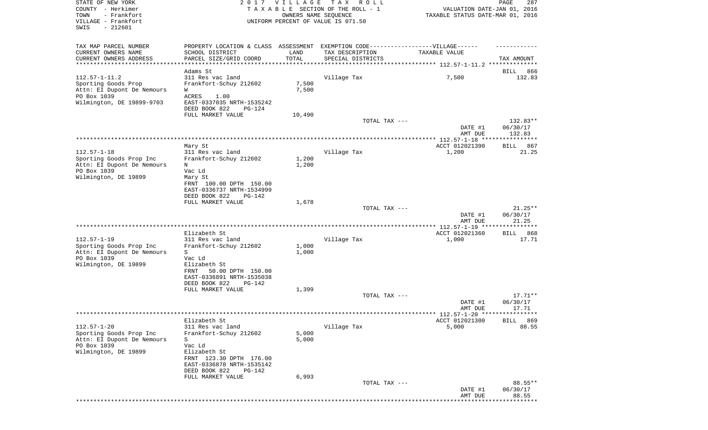| STATE OF NEW YORK<br>COUNTY - Herkimer<br>- Frankfort<br>TOWN<br>VILLAGE - Frankfort          |                                                                                                                                 | 2017 VILLAGE<br>OWNERS NAME SEQUENCE | TAX ROLL<br>TAXABLE SECTION OF THE ROLL - 1<br>UNIFORM PERCENT OF VALUE IS 071.50                    | VALUATION DATE-JAN 01, 2016<br>TAXABLE STATUS DATE-MAR 01, 2016 | PAGE<br>287                    |
|-----------------------------------------------------------------------------------------------|---------------------------------------------------------------------------------------------------------------------------------|--------------------------------------|------------------------------------------------------------------------------------------------------|-----------------------------------------------------------------|--------------------------------|
| $-212601$<br>SWIS                                                                             |                                                                                                                                 |                                      |                                                                                                      |                                                                 |                                |
| TAX MAP PARCEL NUMBER<br>CURRENT OWNERS NAME                                                  | SCHOOL DISTRICT                                                                                                                 | LAND                                 | PROPERTY LOCATION & CLASS ASSESSMENT EXEMPTION CODE-----------------VILLAGE------<br>TAX DESCRIPTION | TAXABLE VALUE                                                   |                                |
| CURRENT OWNERS ADDRESS<br>*********************                                               | PARCEL SIZE/GRID COORD                                                                                                          | TOTAL<br>***********                 | SPECIAL DISTRICTS                                                                                    |                                                                 | TAX AMOUNT                     |
| $112.57 - 1 - 11.2$                                                                           | Adams St                                                                                                                        |                                      | Village Tax                                                                                          |                                                                 | 866<br>BILL                    |
| Sporting Goods Prop<br>Attn: EI Dupont De Nemours<br>PO Box 1039<br>Wilmington, DE 19899-9703 | 311 Res vac land<br>Frankfort-Schuy 212602<br>W<br><b>ACRES</b><br>1.00<br>EAST-0337035 NRTH-1535242<br>DEED BOOK 822<br>PG-124 | 7,500<br>7,500                       |                                                                                                      | 7,500                                                           | 132.83                         |
|                                                                                               | FULL MARKET VALUE                                                                                                               | 10,490                               |                                                                                                      |                                                                 |                                |
|                                                                                               |                                                                                                                                 |                                      | TOTAL TAX ---                                                                                        | DATE #1<br>AMT DUE                                              | 132.83**<br>06/30/17<br>132.83 |
|                                                                                               | Mary St                                                                                                                         |                                      |                                                                                                      | ACCT 012021390                                                  | 867<br>BILL                    |
| $112.57 - 1 - 18$<br>Sporting Goods Prop Inc<br>Attn: EI Dupont De Nemours                    | 311 Res vac land<br>Frankfort-Schuy 212602<br>N                                                                                 | 1,200<br>1,200                       | Village Tax                                                                                          | 1,200                                                           | 21.25                          |
| PO Box 1039<br>Wilmington, DE 19899                                                           | Vac Ld<br>Mary St<br>FRNT 100.00 DPTH 150.00<br>EAST-0336737 NRTH-1534999<br>DEED BOOK 822<br><b>PG-142</b>                     |                                      |                                                                                                      |                                                                 |                                |
|                                                                                               | FULL MARKET VALUE                                                                                                               | 1,678                                | TOTAL TAX ---                                                                                        |                                                                 | $21.25**$                      |
|                                                                                               |                                                                                                                                 |                                      |                                                                                                      | DATE #1<br>AMT DUE                                              | 06/30/17<br>21.25              |
|                                                                                               | Elizabeth St                                                                                                                    |                                      |                                                                                                      | ACCT 012021360                                                  | 868<br>BILL                    |
| $112.57 - 1 - 19$                                                                             | 311 Res vac land                                                                                                                |                                      | Village Tax                                                                                          | 1,000                                                           | 17.71                          |
| Sporting Goods Prop Inc<br>Attn: EI Dupont De Nemours                                         | Frankfort-Schuy 212602<br>S                                                                                                     | 1,000<br>1,000                       |                                                                                                      |                                                                 |                                |
| PO Box 1039<br>Wilmington, DE 19899                                                           | Vac Ld<br>Elizabeth St                                                                                                          |                                      |                                                                                                      |                                                                 |                                |
|                                                                                               | 50.00 DPTH 150.00<br>FRNT<br>EAST-0336891 NRTH-1535038<br>DEED BOOK 822<br>$PG-142$                                             |                                      |                                                                                                      |                                                                 |                                |
|                                                                                               | FULL MARKET VALUE                                                                                                               | 1,399                                | TOTAL TAX ---                                                                                        |                                                                 | $17.71**$                      |
|                                                                                               |                                                                                                                                 |                                      |                                                                                                      | DATE #1<br>AMT DUE                                              | 06/30/17<br>17.71              |
|                                                                                               | Elizabeth St                                                                                                                    |                                      |                                                                                                      | ACCT 012021300                                                  | 869<br><b>BILL</b>             |
| $112.57 - 1 - 20$<br>Sporting Goods Prop Inc                                                  | 311 Res vac land<br>Frankfort-Schuy 212602                                                                                      | 5,000                                | Village Tax                                                                                          | 5,000                                                           | 88.55                          |
| Attn: EI Dupont De Nemours<br>PO Box 1039<br>Wilmington, DE 19899                             | S<br>Vac Ld<br>Elizabeth St<br>FRNT 123.30 DPTH 176.00<br>EAST-0336878 NRTH-1535142<br>DEED BOOK 822<br>$PG-142$                | 5,000<br>6,993                       |                                                                                                      |                                                                 |                                |
|                                                                                               | FULL MARKET VALUE                                                                                                               |                                      | TOTAL TAX ---                                                                                        | DATE #1                                                         | 88.55**<br>06/30/17            |
|                                                                                               |                                                                                                                                 |                                      |                                                                                                      | AMT DUE                                                         | 88.55                          |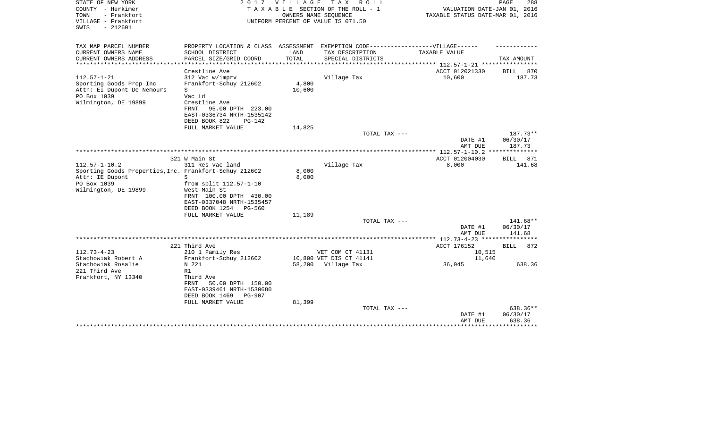| STATE OF NEW YORK<br>COUNTY - Herkimer<br>- Frankfort<br>TOWN<br>VILLAGE - Frankfort<br>SWIS<br>$-212601$         | 2 0 1 7                                                                                                                                                          | VILLAGE            | TAX ROLL<br>TAXABLE SECTION OF THE ROLL - 1<br>OWNERS NAME SEQUENCE<br>UNIFORM PERCENT OF VALUE IS 071.50 | VALUATION DATE-JAN 01, 2016<br>TAXABLE STATUS DATE-MAR 01, 2016 | PAGE<br>288                    |
|-------------------------------------------------------------------------------------------------------------------|------------------------------------------------------------------------------------------------------------------------------------------------------------------|--------------------|-----------------------------------------------------------------------------------------------------------|-----------------------------------------------------------------|--------------------------------|
| TAX MAP PARCEL NUMBER<br>CURRENT OWNERS NAME                                                                      | SCHOOL DISTRICT                                                                                                                                                  | LAND               | PROPERTY LOCATION & CLASS ASSESSMENT EXEMPTION CODE-----------------VILLAGE------<br>TAX DESCRIPTION      | TAXABLE VALUE                                                   |                                |
| CURRENT OWNERS ADDRESS                                                                                            | PARCEL SIZE/GRID COORD                                                                                                                                           | TOTAL              | SPECIAL DISTRICTS                                                                                         |                                                                 | TAX AMOUNT                     |
| ********************                                                                                              | ******************                                                                                                                                               | ****************** |                                                                                                           | ************** 112.57-1-21 *****************                    |                                |
|                                                                                                                   | Crestline Ave                                                                                                                                                    |                    |                                                                                                           | ACCT 012021330                                                  | <b>BILL</b><br>870             |
| $112.57 - 1 - 21$<br>Sporting Goods Prop Inc<br>Attn: EI Dupont De Nemours<br>PO Box 1039<br>Wilmington, DE 19899 | 312 Vac w/imprv<br>Frankfort-Schuy 212602<br>S<br>Vac Ld<br>Crestline Ave<br>FRNT<br>95.00 DPTH 223.00<br>EAST-0336734 NRTH-1535142<br>DEED BOOK 822<br>$PG-142$ | 4,800<br>10,600    | Village Tax                                                                                               | 10,600                                                          | 187.73                         |
|                                                                                                                   | FULL MARKET VALUE                                                                                                                                                | 14,825             |                                                                                                           |                                                                 |                                |
|                                                                                                                   |                                                                                                                                                                  |                    | TOTAL TAX ---                                                                                             |                                                                 | $187.73**$                     |
|                                                                                                                   |                                                                                                                                                                  |                    |                                                                                                           | DATE #1<br>AMT DUE                                              | 06/30/17<br>187.73             |
|                                                                                                                   |                                                                                                                                                                  |                    |                                                                                                           |                                                                 |                                |
| $112.57 - 1 - 10.2$                                                                                               | 321 W Main St<br>311 Res vac land                                                                                                                                |                    |                                                                                                           | ACCT 012004030                                                  | 871<br><b>BILL</b>             |
| Sporting Goods Properties, Inc. Frankfort-Schuy 212602<br>Attn: IE Dupont<br>PO Box 1039<br>Wilmington, DE 19899  | S<br>from split 112.57-1-10<br>West Main St<br>FRNT 100.00 DPTH 430.00<br>EAST-0337048 NRTH-1535457<br>DEED BOOK 1254 PG-560                                     | 8,000<br>8,000     | Village Tax                                                                                               | 8,000                                                           | 141.68                         |
|                                                                                                                   | FULL MARKET VALUE                                                                                                                                                | 11,189             |                                                                                                           |                                                                 |                                |
|                                                                                                                   |                                                                                                                                                                  |                    | TOTAL TAX ---                                                                                             | DATE #1<br>AMT DUE                                              | 141.68**<br>06/30/17<br>141.68 |
|                                                                                                                   |                                                                                                                                                                  |                    |                                                                                                           | *********** 112.73-4-23 ****************                        |                                |
|                                                                                                                   | 221 Third Ave                                                                                                                                                    |                    |                                                                                                           | ACCT 176152                                                     | BILL 872                       |
| $112.73 - 4 - 23$                                                                                                 | 210 1 Family Res                                                                                                                                                 |                    | VET COM CT 41131                                                                                          | 10,515                                                          |                                |
| Stachowiak Robert A                                                                                               | Frankfort-Schuy 212602                                                                                                                                           |                    | 10,800 VET DIS CT 41141                                                                                   | 11,640                                                          |                                |
| Stachowiak Rosalie<br>221 Third Ave<br>Frankfort, NY 13340                                                        | N 221<br>R1<br>Third Ave<br>50.00 DPTH 150.00<br><b>FRNT</b><br>EAST-0339461 NRTH-1530680<br>DEED BOOK 1469<br><b>PG-907</b><br>FULL MARKET VALUE                | 81,399             | 58,200 Village Tax                                                                                        | 36,045                                                          | 638.36                         |
|                                                                                                                   |                                                                                                                                                                  |                    | TOTAL TAX ---                                                                                             | DATE #1<br>AMT DUE                                              | 638.36**<br>06/30/17<br>638.36 |
|                                                                                                                   | ************************                                                                                                                                         |                    |                                                                                                           |                                                                 | ********                       |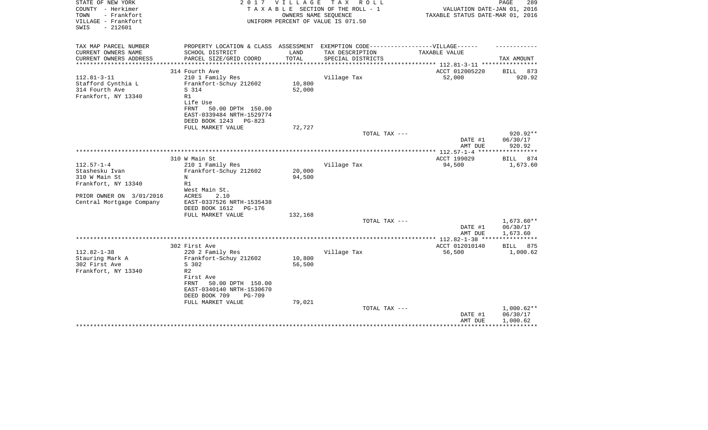| STATE OF NEW YORK<br>COUNTY - Herkimer<br>TOWN<br>- Frankfort<br>VILLAGE - Frankfort<br>$-212601$<br>SWIS | 2017                                                                              | <b>VILLAGE</b> | T A X<br>R O L L<br>TAXABLE SECTION OF THE ROLL - 1<br>OWNERS NAME SEQUENCE<br>UNIFORM PERCENT OF VALUE IS 071.50 | VALUATION DATE-JAN 01, 2016<br>TAXABLE STATUS DATE-MAR 01, 2016 | PAGE<br>289          |
|-----------------------------------------------------------------------------------------------------------|-----------------------------------------------------------------------------------|----------------|-------------------------------------------------------------------------------------------------------------------|-----------------------------------------------------------------|----------------------|
| TAX MAP PARCEL NUMBER                                                                                     | PROPERTY LOCATION & CLASS ASSESSMENT EXEMPTION CODE-----------------VILLAGE------ |                |                                                                                                                   |                                                                 |                      |
| CURRENT OWNERS NAME<br>CURRENT OWNERS ADDRESS                                                             | SCHOOL DISTRICT                                                                   | LAND<br>TOTAL  | TAX DESCRIPTION                                                                                                   | TAXABLE VALUE                                                   | TAX AMOUNT           |
| *********************                                                                                     | PARCEL SIZE/GRID COORD                                                            |                | SPECIAL DISTRICTS                                                                                                 | ************************** 112.81-3-11 *****************        |                      |
|                                                                                                           | 314 Fourth Ave                                                                    |                |                                                                                                                   | ACCT 012005220                                                  | BILL 873             |
| $112.81 - 3 - 11$                                                                                         | 210 1 Family Res                                                                  |                | Village Tax                                                                                                       | 52,000                                                          | 920.92               |
| Stafford Cynthia L                                                                                        | Frankfort-Schuy 212602                                                            | 10,800         |                                                                                                                   |                                                                 |                      |
| 314 Fourth Ave                                                                                            | S 314                                                                             | 52,000         |                                                                                                                   |                                                                 |                      |
| Frankfort, NY 13340                                                                                       | R1                                                                                |                |                                                                                                                   |                                                                 |                      |
|                                                                                                           | Life Use                                                                          |                |                                                                                                                   |                                                                 |                      |
|                                                                                                           | <b>FRNT</b><br>50.00 DPTH 150.00<br>EAST-0339484 NRTH-1529774                     |                |                                                                                                                   |                                                                 |                      |
|                                                                                                           | DEED BOOK 1243<br>PG-823                                                          |                |                                                                                                                   |                                                                 |                      |
|                                                                                                           | FULL MARKET VALUE                                                                 | 72,727         |                                                                                                                   |                                                                 |                      |
|                                                                                                           |                                                                                   |                | TOTAL TAX ---                                                                                                     |                                                                 | 920.92**             |
|                                                                                                           |                                                                                   |                |                                                                                                                   | DATE #1                                                         | 06/30/17             |
|                                                                                                           |                                                                                   |                |                                                                                                                   | AMT DUE                                                         | 920.92               |
|                                                                                                           |                                                                                   |                |                                                                                                                   | **************** 112.57-1-4<br>*****                            |                      |
| $112.57 - 1 - 4$                                                                                          | 310 W Main St<br>210 1 Family Res                                                 |                | Village Tax                                                                                                       | ACCT 199029<br>94,500                                           | <b>BILL</b><br>874   |
| Stashesku Ivan                                                                                            | Frankfort-Schuy 212602                                                            | 20,000         |                                                                                                                   |                                                                 | 1,673.60             |
| 310 W Main St                                                                                             | N                                                                                 | 94,500         |                                                                                                                   |                                                                 |                      |
| Frankfort, NY 13340                                                                                       | R1                                                                                |                |                                                                                                                   |                                                                 |                      |
|                                                                                                           | West Main St.                                                                     |                |                                                                                                                   |                                                                 |                      |
| PRIOR OWNER ON 3/01/2016                                                                                  | 2.10<br>ACRES                                                                     |                |                                                                                                                   |                                                                 |                      |
| Central Mortgage Company                                                                                  | EAST-0337526 NRTH-1535438                                                         |                |                                                                                                                   |                                                                 |                      |
|                                                                                                           | DEED BOOK 1612<br><b>PG-176</b>                                                   |                |                                                                                                                   |                                                                 |                      |
|                                                                                                           | FULL MARKET VALUE                                                                 | 132,168        |                                                                                                                   |                                                                 |                      |
|                                                                                                           |                                                                                   |                | TOTAL TAX ---                                                                                                     |                                                                 | 1,673.60**           |
|                                                                                                           |                                                                                   |                |                                                                                                                   | DATE #1<br>AMT DUE                                              | 06/30/17<br>1,673.60 |
|                                                                                                           |                                                                                   |                |                                                                                                                   |                                                                 | ***********          |
|                                                                                                           | 302 First Ave                                                                     |                |                                                                                                                   | ACCT 012010140                                                  | BILL<br>875          |
| $112.82 - 1 - 38$                                                                                         | 220 2 Family Res                                                                  |                | Village Tax                                                                                                       | 56,500                                                          | 1,000.62             |
| Stauring Mark A                                                                                           | Frankfort-Schuy 212602                                                            | 10,800         |                                                                                                                   |                                                                 |                      |
| 302 First Ave                                                                                             | S 302                                                                             | 56,500         |                                                                                                                   |                                                                 |                      |
| Frankfort, NY 13340                                                                                       | R <sub>2</sub>                                                                    |                |                                                                                                                   |                                                                 |                      |
|                                                                                                           | First Ave                                                                         |                |                                                                                                                   |                                                                 |                      |
|                                                                                                           | <b>FRNT</b><br>50.00 DPTH 150.00                                                  |                |                                                                                                                   |                                                                 |                      |
|                                                                                                           | EAST-0340140 NRTH-1530670                                                         |                |                                                                                                                   |                                                                 |                      |
|                                                                                                           | DEED BOOK 709<br>$PG-709$<br>FULL MARKET VALUE                                    | 79,021         |                                                                                                                   |                                                                 |                      |
|                                                                                                           |                                                                                   |                | TOTAL TAX ---                                                                                                     |                                                                 | $1,000.62**$         |
|                                                                                                           |                                                                                   |                |                                                                                                                   | DATE #1                                                         | 06/30/17             |
|                                                                                                           |                                                                                   |                |                                                                                                                   | AMT DUE                                                         | 1,000.62             |
|                                                                                                           |                                                                                   |                |                                                                                                                   |                                                                 |                      |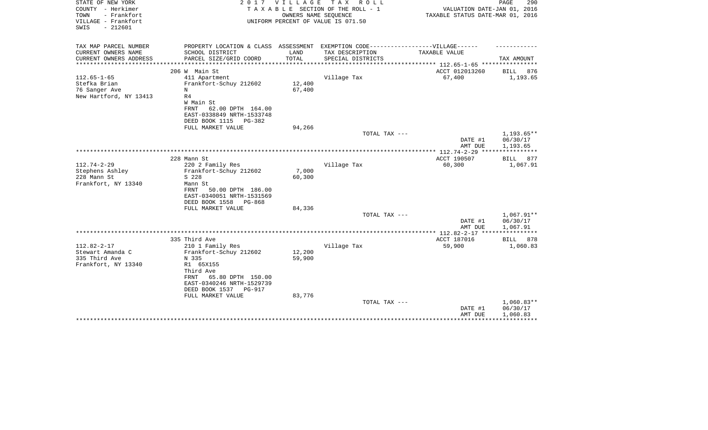| STATE OF NEW YORK<br>COUNTY - Herkimer<br>- Frankfort<br>TOWN<br>VILLAGE - Frankfort<br>$-212601$<br>SWIS | 2017                                                                                                 | VILLAGE | TAX ROLL<br>TAXABLE SECTION OF THE ROLL - 1<br>OWNERS NAME SEQUENCE<br>UNIFORM PERCENT OF VALUE IS 071.50 | VALUATION DATE-JAN 01, 2016<br>TAXABLE STATUS DATE-MAR 01, 2016 | PAGE<br>290             |
|-----------------------------------------------------------------------------------------------------------|------------------------------------------------------------------------------------------------------|---------|-----------------------------------------------------------------------------------------------------------|-----------------------------------------------------------------|-------------------------|
| TAX MAP PARCEL NUMBER<br>CURRENT OWNERS NAME                                                              | PROPERTY LOCATION & CLASS ASSESSMENT EXEMPTION CODE-----------------VILLAGE------<br>SCHOOL DISTRICT | LAND    | TAX DESCRIPTION                                                                                           | TAXABLE VALUE                                                   |                         |
| CURRENT OWNERS ADDRESS                                                                                    | PARCEL SIZE/GRID COORD                                                                               | TOTAL   | SPECIAL DISTRICTS                                                                                         |                                                                 | TAX AMOUNT              |
| **********************                                                                                    | ***************************                                                                          |         |                                                                                                           |                                                                 |                         |
|                                                                                                           | 206 W Main St                                                                                        |         |                                                                                                           | ACCT 012013260                                                  | BILL<br>876             |
| $112.65 - 1 - 65$                                                                                         | 411 Apartment                                                                                        |         | Village Tax                                                                                               | 67,400                                                          | 1,193.65                |
| Stefka Brian                                                                                              | Frankfort-Schuy 212602                                                                               | 12,400  |                                                                                                           |                                                                 |                         |
| 76 Sanger Ave                                                                                             | N                                                                                                    | 67,400  |                                                                                                           |                                                                 |                         |
| New Hartford, NY 13413                                                                                    | R4<br>W Main St                                                                                      |         |                                                                                                           |                                                                 |                         |
|                                                                                                           | 62.00 DPTH 164.00<br>FRNT                                                                            |         |                                                                                                           |                                                                 |                         |
|                                                                                                           | EAST-0338849 NRTH-1533748                                                                            |         |                                                                                                           |                                                                 |                         |
|                                                                                                           | DEED BOOK 1115<br>$PG-382$                                                                           |         |                                                                                                           |                                                                 |                         |
|                                                                                                           | FULL MARKET VALUE                                                                                    | 94,266  |                                                                                                           |                                                                 |                         |
|                                                                                                           |                                                                                                      |         | TOTAL TAX ---                                                                                             |                                                                 | 1,193.65**              |
|                                                                                                           |                                                                                                      |         |                                                                                                           | DATE #1<br>AMT DUE                                              | 06/30/17                |
|                                                                                                           |                                                                                                      |         |                                                                                                           | *** $112.74 - 2 - 29$ ***                                       | 1,193.65                |
|                                                                                                           | 228 Mann St                                                                                          |         |                                                                                                           | ACCT 190507                                                     | <b>BILL</b><br>877      |
| $112.74 - 2 - 29$                                                                                         | 220 2 Family Res                                                                                     |         | Village Tax                                                                                               | 60,300                                                          | 1,067.91                |
| Stephens Ashley                                                                                           | Frankfort-Schuy 212602                                                                               | 7,000   |                                                                                                           |                                                                 |                         |
| 228 Mann St                                                                                               | S 228                                                                                                | 60,300  |                                                                                                           |                                                                 |                         |
| Frankfort, NY 13340                                                                                       | Mann St                                                                                              |         |                                                                                                           |                                                                 |                         |
|                                                                                                           | FRNT<br>50.00 DPTH 186.00                                                                            |         |                                                                                                           |                                                                 |                         |
|                                                                                                           | EAST-0340051 NRTH-1531569<br>DEED BOOK 1558<br>PG-868                                                |         |                                                                                                           |                                                                 |                         |
|                                                                                                           | FULL MARKET VALUE                                                                                    | 84,336  |                                                                                                           |                                                                 |                         |
|                                                                                                           |                                                                                                      |         | TOTAL TAX ---                                                                                             |                                                                 | 1,067.91**              |
|                                                                                                           |                                                                                                      |         |                                                                                                           | DATE #1                                                         | 06/30/17                |
|                                                                                                           |                                                                                                      |         |                                                                                                           | AMT DUE                                                         | 1,067.91                |
|                                                                                                           |                                                                                                      |         |                                                                                                           |                                                                 |                         |
| $112.82 - 2 - 17$                                                                                         | 335 Third Ave<br>210 1 Family Res                                                                    |         | Village Tax                                                                                               | ACCT 187016<br>59,900                                           | 878<br>BILL<br>1,060.83 |
| Stewart Amanda C                                                                                          | Frankfort-Schuy 212602                                                                               | 12,200  |                                                                                                           |                                                                 |                         |
| 335 Third Ave                                                                                             | N 335                                                                                                | 59,900  |                                                                                                           |                                                                 |                         |
| Frankfort, NY 13340                                                                                       | R1 65X155                                                                                            |         |                                                                                                           |                                                                 |                         |
|                                                                                                           | Third Ave                                                                                            |         |                                                                                                           |                                                                 |                         |
|                                                                                                           | FRNT<br>65.80 DPTH 150.00                                                                            |         |                                                                                                           |                                                                 |                         |
|                                                                                                           | EAST-0340246 NRTH-1529739                                                                            |         |                                                                                                           |                                                                 |                         |
|                                                                                                           | DEED BOOK 1537<br>PG-917                                                                             |         |                                                                                                           |                                                                 |                         |
|                                                                                                           | FULL MARKET VALUE                                                                                    | 83,776  | TOTAL TAX ---                                                                                             |                                                                 | $1,060.83**$            |
|                                                                                                           |                                                                                                      |         |                                                                                                           | DATE #1                                                         | 06/30/17                |
|                                                                                                           |                                                                                                      |         |                                                                                                           | AMT DUE                                                         | 1,060.83                |
|                                                                                                           |                                                                                                      |         |                                                                                                           |                                                                 |                         |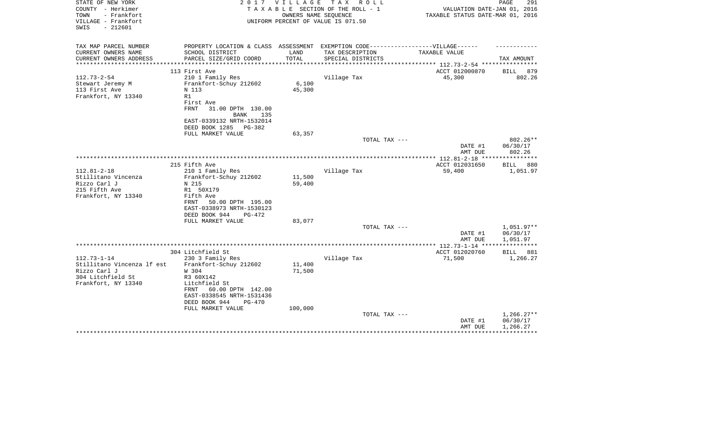| STATE OF NEW YORK<br>COUNTY - Herkimer<br>- Frankfort<br>TOWN<br>VILLAGE - Frankfort<br>$-212601$<br>SWIS   | 2 0 1 7                                                                                                                                                                                                               | V I L L A G E<br>OWNERS NAME SEOUENCE | TAX ROLL<br>TAXABLE SECTION OF THE ROLL - 1<br>UNIFORM PERCENT OF VALUE IS 071.50 | VALUATION DATE-JAN 01, 2016<br>TAXABLE STATUS DATE-MAR 01, 2016                   | 291<br>PAGE                          |
|-------------------------------------------------------------------------------------------------------------|-----------------------------------------------------------------------------------------------------------------------------------------------------------------------------------------------------------------------|---------------------------------------|-----------------------------------------------------------------------------------|-----------------------------------------------------------------------------------|--------------------------------------|
| TAX MAP PARCEL NUMBER<br>CURRENT OWNERS NAME<br>CURRENT OWNERS ADDRESS<br>*********************             | PROPERTY LOCATION & CLASS ASSESSMENT EXEMPTION CODE----------------VILLAGE------<br>SCHOOL DISTRICT<br>PARCEL SIZE/GRID COORD<br>***************************                                                          | LAND<br>TOTAL<br>**************       | TAX DESCRIPTION<br>SPECIAL DISTRICTS                                              | TAXABLE VALUE<br>************************************** 112.73-2-54 ************* | TAX AMOUNT                           |
| $112.73 - 2 - 54$<br>Stewart Jeremy M<br>113 First Ave<br>Frankfort, NY 13340                               | 113 First Ave<br>210 1 Family Res<br>Frankfort-Schuy 212602<br>N 113<br>R1<br>First Ave<br>FRNT<br>31.00 DPTH 130.00<br><b>BANK</b><br>135<br>EAST-0339132 NRTH-1532014<br>DEED BOOK 1285 PG-382<br>FULL MARKET VALUE | 6,100<br>45,300                       | Village Tax                                                                       | ACCT 012000870<br>45,300                                                          | 879<br><b>BILL</b><br>802.26         |
|                                                                                                             |                                                                                                                                                                                                                       | 63,357                                | TOTAL TAX ---                                                                     | DATE #1<br>AMT DUE                                                                | 802.26**<br>06/30/17<br>802.26       |
|                                                                                                             | 215 Fifth Ave                                                                                                                                                                                                         |                                       |                                                                                   | ACCT 012031650                                                                    | BILL<br>880                          |
| $112.81 - 2 - 18$<br>Stillitano Vincenza<br>Rizzo Carl J<br>215 Fifth Ave<br>Frankfort, NY 13340            | 210 1 Family Res<br>Frankfort-Schuy 212602<br>N 215<br>R1 50X179<br>Fifth Ave<br>50.00 DPTH 195.00<br>FRNT<br>EAST-0338973 NRTH-1530123<br>DEED BOOK 944<br>$PG-472$                                                  | 11,500<br>59,400                      | Village Tax                                                                       | 59,400                                                                            | 1,051.97                             |
|                                                                                                             | FULL MARKET VALUE                                                                                                                                                                                                     | 83,077                                | TOTAL TAX ---                                                                     | DATE #1                                                                           | $1,051.97**$<br>06/30/17             |
|                                                                                                             |                                                                                                                                                                                                                       |                                       |                                                                                   | AMT DUE                                                                           | 1,051.97                             |
|                                                                                                             | 304 Litchfield St                                                                                                                                                                                                     |                                       |                                                                                   | ***************** 112.73-1-14 *****************<br>ACCT 012020760                 | BILL<br>881                          |
| $112.73 - 1 - 14$<br>Stillitano Vincenza lf est<br>Rizzo Carl J<br>304 Litchfield St<br>Frankfort, NY 13340 | 230 3 Family Res<br>Frankfort-Schuy 212602<br>W 304<br>R3 60X142<br>Litchfield St<br>FRNT<br>60.00 DPTH 142.00<br>EAST-0338545 NRTH-1531436<br>DEED BOOK 944<br><b>PG-470</b><br>FULL MARKET VALUE                    | 11,400<br>71,500<br>100,000           | Village Tax                                                                       | 71,500                                                                            | 1,266.27                             |
|                                                                                                             |                                                                                                                                                                                                                       |                                       | TOTAL TAX ---                                                                     | DATE #1<br>AMT DUE                                                                | $1,266.27**$<br>06/30/17<br>1,266.27 |
|                                                                                                             |                                                                                                                                                                                                                       |                                       |                                                                                   |                                                                                   |                                      |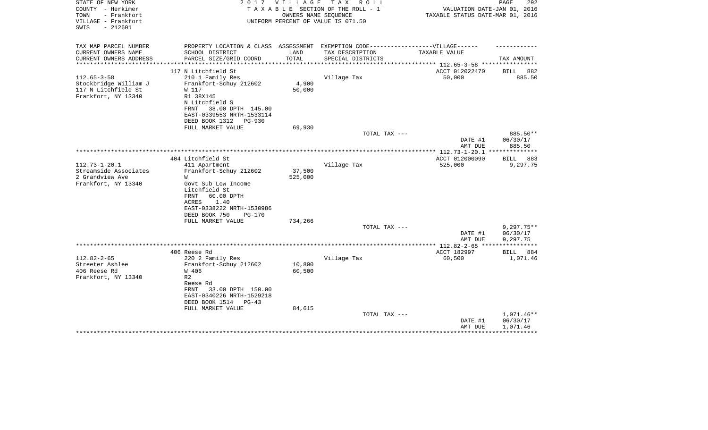| STATE OF NEW YORK<br>COUNTY - Herkimer<br>- Frankfort<br>TOWN<br>VILLAGE - Frankfort<br>$-212601$<br>SWIS |                                                                                   | 2017 VILLAGE<br>OWNERS NAME SEQUENCE | TAX ROLL<br>TAXABLE SECTION OF THE ROLL - 1<br>UNIFORM PERCENT OF VALUE IS 071.50 | VALUATION DATE-JAN 01, 2016<br>TAXABLE STATUS DATE-MAR 01, 2016 | PAGE<br>292             |
|-----------------------------------------------------------------------------------------------------------|-----------------------------------------------------------------------------------|--------------------------------------|-----------------------------------------------------------------------------------|-----------------------------------------------------------------|-------------------------|
| TAX MAP PARCEL NUMBER                                                                                     | PROPERTY LOCATION & CLASS ASSESSMENT EXEMPTION CODE-----------------VILLAGE------ |                                      |                                                                                   |                                                                 |                         |
| CURRENT OWNERS NAME                                                                                       | SCHOOL DISTRICT                                                                   | LAND                                 | TAX DESCRIPTION                                                                   | TAXABLE VALUE                                                   |                         |
| CURRENT OWNERS ADDRESS<br>******************                                                              | PARCEL SIZE/GRID COORD                                                            | TOTAL                                | SPECIAL DISTRICTS                                                                 |                                                                 | TAX AMOUNT              |
|                                                                                                           | 117 N Litchfield St                                                               |                                      |                                                                                   | ACCT 012022470                                                  | 882<br>BILL             |
| $112.65 - 3 - 58$                                                                                         | 210 1 Family Res                                                                  |                                      | Village Tax                                                                       | 50,000                                                          | 885.50                  |
| Stockbridge William J                                                                                     | Frankfort-Schuy 212602                                                            | 4,900                                |                                                                                   |                                                                 |                         |
| 117 N Litchfield St                                                                                       | W 117                                                                             | 50,000                               |                                                                                   |                                                                 |                         |
| Frankfort, NY 13340                                                                                       | R1 38X145                                                                         |                                      |                                                                                   |                                                                 |                         |
|                                                                                                           | N Litchfield S                                                                    |                                      |                                                                                   |                                                                 |                         |
|                                                                                                           | FRNT<br>38.00 DPTH 145.00<br>EAST-0339553 NRTH-1533114                            |                                      |                                                                                   |                                                                 |                         |
|                                                                                                           | DEED BOOK 1312<br>PG-930                                                          |                                      |                                                                                   |                                                                 |                         |
|                                                                                                           | FULL MARKET VALUE                                                                 | 69,930                               |                                                                                   |                                                                 |                         |
|                                                                                                           |                                                                                   |                                      | TOTAL TAX ---                                                                     |                                                                 | 885.50**                |
|                                                                                                           |                                                                                   |                                      |                                                                                   | DATE #1                                                         | 06/30/17                |
|                                                                                                           |                                                                                   |                                      | *******************                                                               | AMT DUE                                                         | 885.50                  |
|                                                                                                           | 404 Litchfield St                                                                 |                                      |                                                                                   | *** $112.73 - 1 - 20.1$                                         | * * * * * * * * * *     |
| $112.73 - 1 - 20.1$                                                                                       | 411 Apartment                                                                     |                                      | Village Tax                                                                       | ACCT 012000090<br>525,000                                       | 883<br>BILL<br>9,297.75 |
| Streamside Associates                                                                                     | Frankfort-Schuy 212602                                                            | 37,500                               |                                                                                   |                                                                 |                         |
| 2 Grandview Ave                                                                                           | W                                                                                 | 525,000                              |                                                                                   |                                                                 |                         |
| Frankfort, NY 13340                                                                                       | Govt Sub Low Income                                                               |                                      |                                                                                   |                                                                 |                         |
|                                                                                                           | Litchfield St                                                                     |                                      |                                                                                   |                                                                 |                         |
|                                                                                                           | FRNT<br>60.00 DPTH                                                                |                                      |                                                                                   |                                                                 |                         |
|                                                                                                           | ACRES<br>1.40                                                                     |                                      |                                                                                   |                                                                 |                         |
|                                                                                                           | EAST-0338222 NRTH-1530986<br>DEED BOOK 750<br>$PG-170$                            |                                      |                                                                                   |                                                                 |                         |
|                                                                                                           | FULL MARKET VALUE                                                                 | 734,266                              |                                                                                   |                                                                 |                         |
|                                                                                                           |                                                                                   |                                      | TOTAL TAX ---                                                                     |                                                                 | $9,297.75**$            |
|                                                                                                           |                                                                                   |                                      |                                                                                   | DATE #1                                                         | 06/30/17                |
|                                                                                                           |                                                                                   |                                      |                                                                                   | AMT DUE                                                         | 9,297.75                |
|                                                                                                           |                                                                                   |                                      |                                                                                   | ************ 112.82-2-65 ****                                   | ************            |
| $112.82 - 2 - 65$                                                                                         | 406 Reese Rd                                                                      |                                      |                                                                                   | ACCT 182997                                                     | BILL<br>884             |
| Streeter Ashlee                                                                                           | 220 2 Family Res<br>Frankfort-Schuy 212602                                        | 10,800                               | Village Tax                                                                       | 60,500                                                          | 1,071.46                |
| 406 Reese Rd                                                                                              | W 406                                                                             | 60,500                               |                                                                                   |                                                                 |                         |
| Frankfort, NY 13340                                                                                       | R <sub>2</sub>                                                                    |                                      |                                                                                   |                                                                 |                         |
|                                                                                                           | Reese Rd                                                                          |                                      |                                                                                   |                                                                 |                         |
|                                                                                                           | 33.00 DPTH 150.00<br>FRNT                                                         |                                      |                                                                                   |                                                                 |                         |
|                                                                                                           | EAST-0340226 NRTH-1529218                                                         |                                      |                                                                                   |                                                                 |                         |
|                                                                                                           | DEED BOOK 1514 PG-43                                                              |                                      |                                                                                   |                                                                 |                         |
|                                                                                                           | FULL MARKET VALUE                                                                 | 84,615                               | TOTAL TAX ---                                                                     |                                                                 | 1,071.46**              |
|                                                                                                           |                                                                                   |                                      |                                                                                   | DATE #1                                                         | 06/30/17                |
|                                                                                                           |                                                                                   |                                      |                                                                                   | AMT DUE                                                         | 1,071.46                |
|                                                                                                           |                                                                                   |                                      |                                                                                   |                                                                 |                         |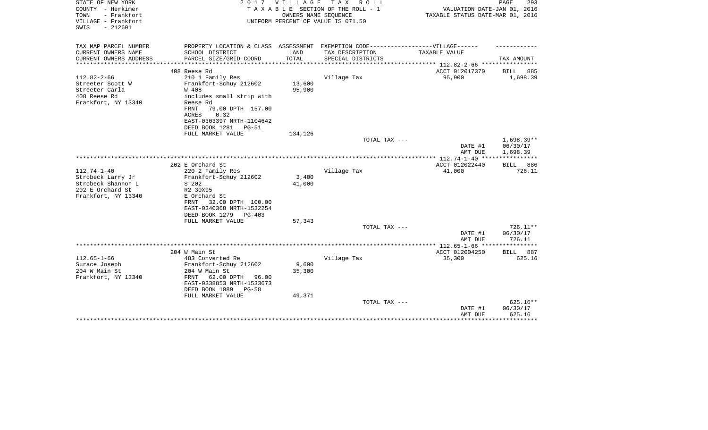| STATE OF NEW YORK<br>COUNTY - Herkimer<br>- Frankfort<br>TOWN<br>VILLAGE - Frankfort<br>$-212601$<br>SWIS | 2017                                                                              | <b>VILLAGE</b><br>OWNERS NAME SEQUENCE | TAX ROLL<br>TAXABLE SECTION OF THE ROLL - 1<br>UNIFORM PERCENT OF VALUE IS 071.50 | VALUATION DATE-JAN 01, 2016<br>TAXABLE STATUS DATE-MAR 01, 2016 | PAGE<br>293              |
|-----------------------------------------------------------------------------------------------------------|-----------------------------------------------------------------------------------|----------------------------------------|-----------------------------------------------------------------------------------|-----------------------------------------------------------------|--------------------------|
| TAX MAP PARCEL NUMBER                                                                                     | PROPERTY LOCATION & CLASS ASSESSMENT EXEMPTION CODE-----------------VILLAGE------ |                                        |                                                                                   |                                                                 |                          |
| CURRENT OWNERS NAME                                                                                       | SCHOOL DISTRICT                                                                   | LAND                                   | TAX DESCRIPTION                                                                   | TAXABLE VALUE                                                   |                          |
| CURRENT OWNERS ADDRESS<br>**************                                                                  | PARCEL SIZE/GRID COORD                                                            | TOTAL<br>*********************         | SPECIAL DISTRICTS                                                                 | ************** 112.82-2-66 ***********                          | TAX AMOUNT               |
|                                                                                                           | 408 Reese Rd                                                                      |                                        |                                                                                   | ACCT 012017370                                                  | BILL<br>885              |
| $112.82 - 2 - 66$                                                                                         | 210 1 Family Res                                                                  |                                        | Village Tax                                                                       | 95,900                                                          | 1,698.39                 |
| Streeter Scott W                                                                                          | Frankfort-Schuy 212602                                                            | 13,600                                 |                                                                                   |                                                                 |                          |
| Streeter Carla                                                                                            | W 408                                                                             | 95,900                                 |                                                                                   |                                                                 |                          |
| 408 Reese Rd                                                                                              | includes small strip with                                                         |                                        |                                                                                   |                                                                 |                          |
| Frankfort, NY 13340                                                                                       | Reese Rd<br>FRNT<br>79.00 DPTH 157.00                                             |                                        |                                                                                   |                                                                 |                          |
|                                                                                                           | 0.32<br>ACRES                                                                     |                                        |                                                                                   |                                                                 |                          |
|                                                                                                           | EAST-0303397 NRTH-1104642                                                         |                                        |                                                                                   |                                                                 |                          |
|                                                                                                           | DEED BOOK 1281<br>PG-51                                                           |                                        |                                                                                   |                                                                 |                          |
|                                                                                                           | FULL MARKET VALUE                                                                 | 134,126                                |                                                                                   |                                                                 |                          |
|                                                                                                           |                                                                                   |                                        | TOTAL TAX ---                                                                     |                                                                 | $1,698.39**$<br>06/30/17 |
|                                                                                                           |                                                                                   |                                        |                                                                                   | DATE #1<br>AMT DUE                                              | 1,698.39                 |
|                                                                                                           |                                                                                   |                                        |                                                                                   |                                                                 |                          |
|                                                                                                           | 202 E Orchard St                                                                  |                                        |                                                                                   | ACCT 012022440                                                  | BILL 886                 |
| $112.74 - 1 - 40$                                                                                         | 220 2 Family Res                                                                  |                                        | Village Tax                                                                       | 41,000                                                          | 726.11                   |
| Strobeck Larry Jr                                                                                         | Frankfort-Schuy 212602                                                            | 3,400                                  |                                                                                   |                                                                 |                          |
| Strobeck Shannon L                                                                                        | S 202                                                                             | 41,000                                 |                                                                                   |                                                                 |                          |
| 202 E Orchard St<br>Frankfort, NY 13340                                                                   | R2 30X95<br>E Orchard St                                                          |                                        |                                                                                   |                                                                 |                          |
|                                                                                                           | 32.00 DPTH 100.00<br>FRNT                                                         |                                        |                                                                                   |                                                                 |                          |
|                                                                                                           | EAST-0340368 NRTH-1532254                                                         |                                        |                                                                                   |                                                                 |                          |
|                                                                                                           | DEED BOOK 1279<br>$PG-403$                                                        |                                        |                                                                                   |                                                                 |                          |
|                                                                                                           | FULL MARKET VALUE                                                                 | 57,343                                 |                                                                                   |                                                                 |                          |
|                                                                                                           |                                                                                   |                                        | TOTAL TAX ---                                                                     |                                                                 | 726.11**                 |
|                                                                                                           |                                                                                   |                                        |                                                                                   | DATE #1<br>AMT DUE                                              | 06/30/17<br>726.11       |
|                                                                                                           |                                                                                   |                                        |                                                                                   |                                                                 |                          |
|                                                                                                           | 204 W Main St                                                                     |                                        |                                                                                   | ACCT 012004250                                                  | BILL 887                 |
| $112.65 - 1 - 66$                                                                                         | 483 Converted Re                                                                  |                                        | Village Tax                                                                       | 35,300                                                          | 625.16                   |
| Surace Joseph                                                                                             | Frankfort-Schuy 212602                                                            | 9,600                                  |                                                                                   |                                                                 |                          |
| 204 W Main St                                                                                             | 204 W Main St                                                                     | 35,300                                 |                                                                                   |                                                                 |                          |
| Frankfort, NY 13340                                                                                       | FRNT<br>62.00 DPTH<br>96.00<br>EAST-0338853 NRTH-1533673                          |                                        |                                                                                   |                                                                 |                          |
|                                                                                                           | DEED BOOK 1089 PG-58                                                              |                                        |                                                                                   |                                                                 |                          |
|                                                                                                           | FULL MARKET VALUE                                                                 | 49,371                                 |                                                                                   |                                                                 |                          |
|                                                                                                           |                                                                                   |                                        | TOTAL TAX ---                                                                     |                                                                 | 625.16**                 |
|                                                                                                           |                                                                                   |                                        |                                                                                   | DATE #1                                                         | 06/30/17                 |
|                                                                                                           |                                                                                   |                                        |                                                                                   | AMT DUE                                                         | 625.16<br>*********      |
|                                                                                                           |                                                                                   |                                        |                                                                                   |                                                                 |                          |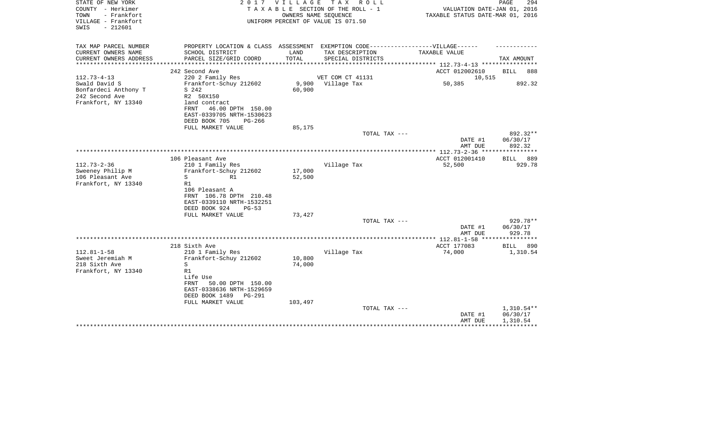| STATE OF NEW YORK<br>COUNTY - Herkimer<br>TOWN<br>- Frankfort<br>VILLAGE - Frankfort<br>SWIS<br>$-212601$ |                                                                                                                                                                                               |                             | 2017 VILLAGE TAX ROLL<br>TAXABLE SECTION OF THE ROLL - 1<br>OWNERS NAME SEQUENCE<br>UNIFORM PERCENT OF VALUE IS 071.50 | VALUATION DATE-JAN 01, 2016<br>TAXABLE STATUS DATE-MAR 01, 2016 | PAGE<br>294                          |
|-----------------------------------------------------------------------------------------------------------|-----------------------------------------------------------------------------------------------------------------------------------------------------------------------------------------------|-----------------------------|------------------------------------------------------------------------------------------------------------------------|-----------------------------------------------------------------|--------------------------------------|
| TAX MAP PARCEL NUMBER<br>CURRENT OWNERS NAME                                                              | PROPERTY LOCATION & CLASS ASSESSMENT EXEMPTION CODE----------------VILLAGE------<br>SCHOOL DISTRICT                                                                                           | LAND                        | TAX DESCRIPTION                                                                                                        | TAXABLE VALUE                                                   |                                      |
| CURRENT OWNERS ADDRESS                                                                                    | PARCEL SIZE/GRID COORD                                                                                                                                                                        | TOTAL                       | SPECIAL DISTRICTS                                                                                                      |                                                                 | TAX AMOUNT                           |
| *************                                                                                             | *************************                                                                                                                                                                     | *************************   |                                                                                                                        | ************* 112.73-4-13 **********                            |                                      |
| $112.73 - 4 - 13$                                                                                         | 242 Second Ave<br>220 2 Family Res                                                                                                                                                            |                             | VET COM CT 41131                                                                                                       | ACCT 012002610<br>10,515                                        | <b>BILL</b><br>888                   |
| Swald David S<br>Bonfardeci Anthony T<br>242 Second Ave<br>Frankfort, NY 13340                            | Frankfort-Schuy 212602<br>S 242<br>R2 50X150<br>land contract<br>FRNT<br>46.00 DPTH 150.00<br>EAST-0339705 NRTH-1530623<br>DEED BOOK 705<br>$PG - 266$                                        | 9,900<br>60,900             | Village Tax                                                                                                            | 50,385                                                          | 892.32                               |
|                                                                                                           | FULL MARKET VALUE                                                                                                                                                                             | 85,175                      | TOTAL TAX ---                                                                                                          |                                                                 | $892.32**$                           |
|                                                                                                           |                                                                                                                                                                                               |                             |                                                                                                                        | DATE #1<br>AMT DUE                                              | 06/30/17<br>892.32                   |
|                                                                                                           |                                                                                                                                                                                               |                             |                                                                                                                        |                                                                 |                                      |
| $112.73 - 2 - 36$<br>Sweeney Philip M<br>106 Pleasant Ave<br>Frankfort, NY 13340                          | 106 Pleasant Ave<br>210 1 Family Res<br>Frankfort-Schuy 212602<br>S<br>R1<br>R1<br>106 Pleasant A<br>FRNT 106.78 DPTH 210.48<br>EAST-0339110 NRTH-1532251<br>DEED BOOK 924<br>$PG-53$         | 17,000<br>52,500            | Village Tax                                                                                                            | ACCT 012001410<br>52,500                                        | BILL 889<br>929.78                   |
|                                                                                                           | FULL MARKET VALUE                                                                                                                                                                             | 73,427                      | TOTAL TAX ---                                                                                                          |                                                                 | 929.78**                             |
|                                                                                                           |                                                                                                                                                                                               |                             |                                                                                                                        | DATE #1<br>AMT DUE                                              | 06/30/17<br>929.78                   |
|                                                                                                           |                                                                                                                                                                                               |                             |                                                                                                                        | *************** 112.81-1-58 ***                                 | * * * * * * * * * * * *              |
| $112.81 - 1 - 58$<br>Sweet Jeremiah M<br>218 Sixth Ave<br>Frankfort, NY 13340                             | 218 Sixth Ave<br>210 1 Family Res<br>Frankfort-Schuy 212602<br>S<br>R1<br>Life Use<br>50.00 DPTH 150.00<br>FRNT<br>EAST-0338636 NRTH-1529659<br>DEED BOOK 1489<br>PG-291<br>FULL MARKET VALUE | 10,800<br>74,000<br>103,497 | Village Tax                                                                                                            | ACCT 177083<br>74,000                                           | <b>BILL</b><br>890<br>1,310.54       |
|                                                                                                           |                                                                                                                                                                                               |                             | TOTAL TAX ---                                                                                                          | DATE #1<br>AMT DUE                                              | $1,310.54**$<br>06/30/17<br>1,310.54 |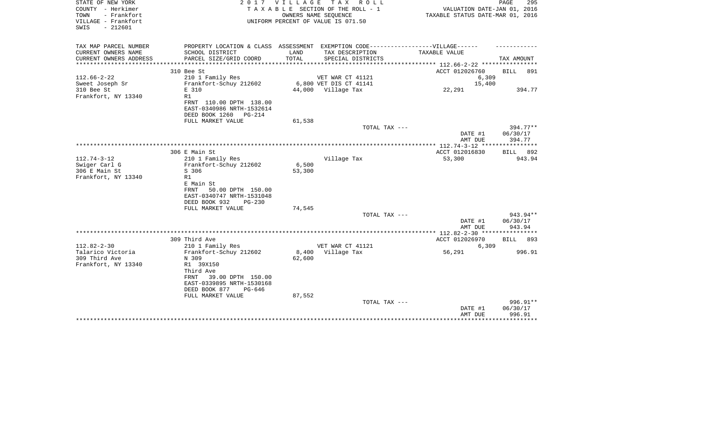| STATE OF NEW YORK<br>COUNTY - Herkimer<br>- Frankfort<br>TOWN<br>VILLAGE - Frankfort<br>$-212601$<br>SWIS |                                                                                   | 2017 VILLAGE                           | TAX ROLL<br>TAXABLE SECTION OF THE ROLL - 1<br>OWNERS NAME SEQUENCE<br>UNIFORM PERCENT OF VALUE IS 071.50 | VALUATION DATE-JAN 01, 2016<br>TAXABLE STATUS DATE-MAR 01, 2016 | PAGE<br>295          |
|-----------------------------------------------------------------------------------------------------------|-----------------------------------------------------------------------------------|----------------------------------------|-----------------------------------------------------------------------------------------------------------|-----------------------------------------------------------------|----------------------|
| TAX MAP PARCEL NUMBER                                                                                     | PROPERTY LOCATION & CLASS ASSESSMENT EXEMPTION CODE-----------------VILLAGE------ |                                        |                                                                                                           |                                                                 |                      |
| CURRENT OWNERS NAME<br>CURRENT OWNERS ADDRESS<br>*******************                                      | SCHOOL DISTRICT<br>PARCEL SIZE/GRID COORD<br>*************                        | LAND<br>TOTAL<br>* * * * * * * * * * * | TAX DESCRIPTION<br>SPECIAL DISTRICTS                                                                      | TAXABLE VALUE<br>********** 112.66-2-22 ***********             | TAX AMOUNT           |
|                                                                                                           | 310 Bee St                                                                        |                                        |                                                                                                           | ACCT 012026760                                                  | 891<br><b>BILL</b>   |
| $112.66 - 2 - 22$                                                                                         | 210 1 Family Res                                                                  |                                        | VET WAR CT 41121                                                                                          | 6,309                                                           |                      |
| Sweet Joseph Sr                                                                                           | Frankfort-Schuy 212602                                                            |                                        | 6,800 VET DIS CT 41141                                                                                    | 15,400                                                          |                      |
| 310 Bee St                                                                                                | E 310                                                                             |                                        | 44,000 Village Tax                                                                                        | 22,291                                                          | 394.77               |
| Frankfort, NY 13340                                                                                       | R1                                                                                |                                        |                                                                                                           |                                                                 |                      |
|                                                                                                           | FRNT 110.00 DPTH 138.00<br>EAST-0340986 NRTH-1532614                              |                                        |                                                                                                           |                                                                 |                      |
|                                                                                                           | DEED BOOK 1260<br><b>PG-214</b>                                                   |                                        |                                                                                                           |                                                                 |                      |
|                                                                                                           | FULL MARKET VALUE                                                                 | 61,538                                 |                                                                                                           |                                                                 |                      |
|                                                                                                           |                                                                                   |                                        | TOTAL TAX ---                                                                                             |                                                                 | $394.77**$           |
|                                                                                                           |                                                                                   |                                        |                                                                                                           | DATE #1                                                         | 06/30/17             |
|                                                                                                           |                                                                                   |                                        |                                                                                                           | AMT DUE                                                         | 394.77               |
|                                                                                                           | 306 E Main St                                                                     |                                        |                                                                                                           | ACCT 012016830                                                  | 892<br><b>BILL</b>   |
| $112.74 - 3 - 12$                                                                                         | 210 1 Family Res                                                                  |                                        | Village Tax                                                                                               | 53,300                                                          | 943.94               |
| Swiger Carl G                                                                                             | Frankfort-Schuy 212602                                                            | 6,500                                  |                                                                                                           |                                                                 |                      |
| 306 E Main St                                                                                             | S 306                                                                             | 53,300                                 |                                                                                                           |                                                                 |                      |
| Frankfort, NY 13340                                                                                       | R1                                                                                |                                        |                                                                                                           |                                                                 |                      |
|                                                                                                           | E Main St                                                                         |                                        |                                                                                                           |                                                                 |                      |
|                                                                                                           | FRNT<br>50.00 DPTH 150.00                                                         |                                        |                                                                                                           |                                                                 |                      |
|                                                                                                           | EAST-0340747 NRTH-1531048                                                         |                                        |                                                                                                           |                                                                 |                      |
|                                                                                                           | DEED BOOK 932<br>$PG-230$<br>FULL MARKET VALUE                                    | 74,545                                 |                                                                                                           |                                                                 |                      |
|                                                                                                           |                                                                                   |                                        | TOTAL TAX ---                                                                                             |                                                                 | 943.94**             |
|                                                                                                           |                                                                                   |                                        |                                                                                                           | DATE #1                                                         | 06/30/17             |
|                                                                                                           |                                                                                   |                                        |                                                                                                           | AMT DUE                                                         | 943.94               |
|                                                                                                           |                                                                                   |                                        |                                                                                                           |                                                                 |                      |
|                                                                                                           | 309 Third Ave                                                                     |                                        |                                                                                                           | ACCT 012026970                                                  | <b>BILL</b><br>893   |
| $112.82 - 2 - 30$                                                                                         | 210 1 Family Res                                                                  |                                        | VET WAR CT 41121                                                                                          | 6,309                                                           |                      |
| Talarico Victoria<br>309 Third Ave                                                                        | Frankfort-Schuy 212602<br>N 309                                                   | 8,400                                  | Village Tax                                                                                               | 56,291                                                          | 996.91               |
| Frankfort, NY 13340                                                                                       | R1 39X150                                                                         | 62,600                                 |                                                                                                           |                                                                 |                      |
|                                                                                                           | Third Ave                                                                         |                                        |                                                                                                           |                                                                 |                      |
|                                                                                                           | 39.00 DPTH 150.00<br>FRNT                                                         |                                        |                                                                                                           |                                                                 |                      |
|                                                                                                           | EAST-0339895 NRTH-1530168                                                         |                                        |                                                                                                           |                                                                 |                      |
|                                                                                                           | DEED BOOK 877<br>PG-646                                                           |                                        |                                                                                                           |                                                                 |                      |
|                                                                                                           | FULL MARKET VALUE                                                                 | 87,552                                 |                                                                                                           |                                                                 |                      |
|                                                                                                           |                                                                                   |                                        | TOTAL TAX ---                                                                                             | DATE #1                                                         | 996.91**<br>06/30/17 |
|                                                                                                           |                                                                                   |                                        |                                                                                                           | AMT DUE                                                         | 996.91               |
|                                                                                                           |                                                                                   |                                        |                                                                                                           |                                                                 |                      |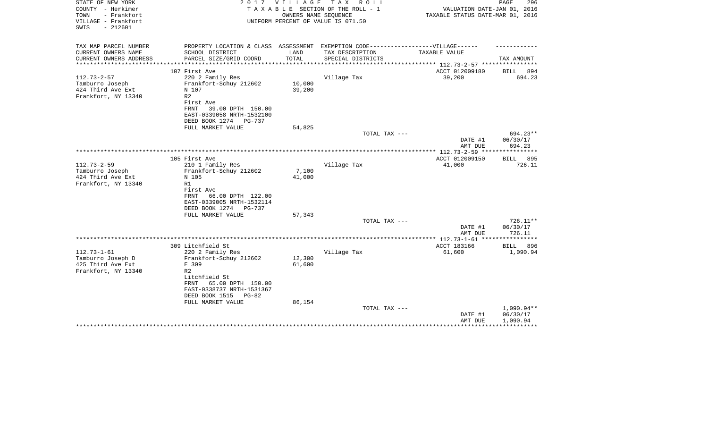| STATE OF NEW YORK<br>COUNTY - Herkimer<br>- Frankfort<br>TOWN<br>VILLAGE - Frankfort<br>$-212601$<br>SWIS | 2 0 1 7                                                | V I L L A G E | T A X<br>R O L L<br>TAXABLE SECTION OF THE ROLL - 1<br>OWNERS NAME SEQUENCE<br>UNIFORM PERCENT OF VALUE IS 071.50 | VALUATION DATE-JAN 01, 2016<br>TAXABLE STATUS DATE-MAR 01, 2016 | 296<br>PAGE        |
|-----------------------------------------------------------------------------------------------------------|--------------------------------------------------------|---------------|-------------------------------------------------------------------------------------------------------------------|-----------------------------------------------------------------|--------------------|
| TAX MAP PARCEL NUMBER                                                                                     | PROPERTY LOCATION & CLASS ASSESSMENT                   |               | EXEMPTION CODE------------------VILLAGE------                                                                     |                                                                 |                    |
| CURRENT OWNERS NAME                                                                                       | SCHOOL DISTRICT                                        | LAND          | TAX DESCRIPTION                                                                                                   | TAXABLE VALUE                                                   |                    |
| CURRENT OWNERS ADDRESS<br>*****************                                                               | PARCEL SIZE/GRID COORD                                 | TOTAL         | SPECIAL DISTRICTS                                                                                                 |                                                                 | TAX AMOUNT         |
|                                                                                                           | 107 First Ave                                          |               |                                                                                                                   | ACCT 012009180                                                  | <b>BILL</b><br>894 |
| $112.73 - 2 - 57$                                                                                         | 220 2 Family Res                                       |               | Village Tax                                                                                                       | 39,200                                                          | 694.23             |
| Tamburro Joseph                                                                                           | Frankfort-Schuy 212602                                 | 10,000        |                                                                                                                   |                                                                 |                    |
| 424 Third Ave Ext                                                                                         | N 107                                                  | 39,200        |                                                                                                                   |                                                                 |                    |
| Frankfort, NY 13340                                                                                       | R <sub>2</sub>                                         |               |                                                                                                                   |                                                                 |                    |
|                                                                                                           | First Ave                                              |               |                                                                                                                   |                                                                 |                    |
|                                                                                                           | FRNT<br>39.00 DPTH 150.00<br>EAST-0339058 NRTH-1532100 |               |                                                                                                                   |                                                                 |                    |
|                                                                                                           | DEED BOOK 1274 PG-737                                  |               |                                                                                                                   |                                                                 |                    |
|                                                                                                           | FULL MARKET VALUE                                      | 54,825        |                                                                                                                   |                                                                 |                    |
|                                                                                                           |                                                        |               | TOTAL TAX ---                                                                                                     |                                                                 | 694.23**           |
|                                                                                                           |                                                        |               |                                                                                                                   | DATE #1                                                         | 06/30/17           |
|                                                                                                           |                                                        |               |                                                                                                                   | AMT DUE                                                         | 694.23             |
|                                                                                                           | 105 First Ave                                          |               |                                                                                                                   | **************** 112.73-2-59 ****************<br>ACCT 012009150 | BILL 895           |
| $112.73 - 2 - 59$                                                                                         | 210 1 Family Res                                       |               | Village Tax                                                                                                       | 41,000                                                          | 726.11             |
| Tamburro Joseph                                                                                           | Frankfort-Schuy 212602                                 | 7,100         |                                                                                                                   |                                                                 |                    |
| 424 Third Ave Ext                                                                                         | N 105                                                  | 41,000        |                                                                                                                   |                                                                 |                    |
| Frankfort, NY 13340                                                                                       | R1                                                     |               |                                                                                                                   |                                                                 |                    |
|                                                                                                           | First Ave                                              |               |                                                                                                                   |                                                                 |                    |
|                                                                                                           | 66.00 DPTH 122.00<br>FRNT                              |               |                                                                                                                   |                                                                 |                    |
|                                                                                                           | EAST-0339005 NRTH-1532114<br>DEED BOOK 1274<br>PG-737  |               |                                                                                                                   |                                                                 |                    |
|                                                                                                           | FULL MARKET VALUE                                      | 57,343        |                                                                                                                   |                                                                 |                    |
|                                                                                                           |                                                        |               | TOTAL TAX ---                                                                                                     |                                                                 | $726.11**$         |
|                                                                                                           |                                                        |               |                                                                                                                   | DATE #1                                                         | 06/30/17           |
|                                                                                                           |                                                        |               |                                                                                                                   | AMT DUE                                                         | 726.11             |
|                                                                                                           | 309 Litchfield St                                      |               |                                                                                                                   | ACCT 183166                                                     | <b>BILL</b><br>896 |
| $112.73 - 1 - 61$                                                                                         | 220 2 Family Res                                       |               | Village Tax                                                                                                       | 61,600                                                          | 1,090.94           |
| Tamburro Joseph D                                                                                         | Frankfort-Schuy 212602                                 | 12,300        |                                                                                                                   |                                                                 |                    |
| 425 Third Ave Ext                                                                                         | E 309                                                  | 61,600        |                                                                                                                   |                                                                 |                    |
| Frankfort, NY 13340                                                                                       | R <sub>2</sub>                                         |               |                                                                                                                   |                                                                 |                    |
|                                                                                                           | Litchfield St                                          |               |                                                                                                                   |                                                                 |                    |
|                                                                                                           | FRNT<br>65.00 DPTH 150.00<br>EAST-0338737 NRTH-1531367 |               |                                                                                                                   |                                                                 |                    |
|                                                                                                           | DEED BOOK 1515<br>PG-82                                |               |                                                                                                                   |                                                                 |                    |
|                                                                                                           | FULL MARKET VALUE                                      | 86,154        |                                                                                                                   |                                                                 |                    |
|                                                                                                           |                                                        |               | TOTAL TAX ---                                                                                                     |                                                                 | 1,090.94**         |
|                                                                                                           |                                                        |               |                                                                                                                   | DATE #1                                                         | 06/30/17           |
|                                                                                                           |                                                        |               |                                                                                                                   | AMT DUE                                                         | 1,090.94           |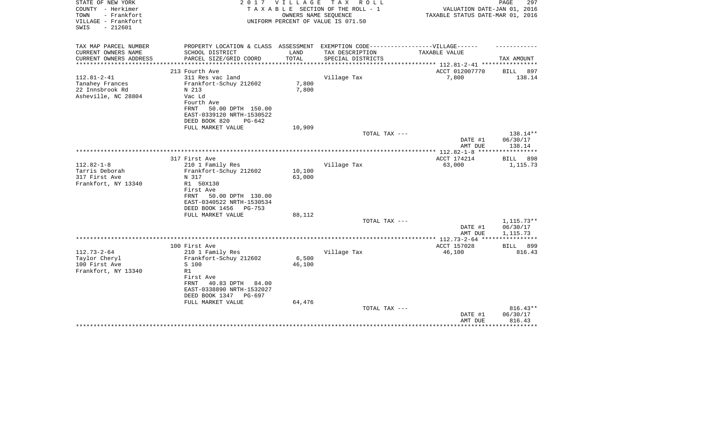| STATE OF NEW YORK<br>COUNTY - Herkimer<br>TOWN<br>- Frankfort<br>VILLAGE - Frankfort<br>$-212601$<br>SWIS | 2017                                                                                                                                                           | VILLAGE<br>OWNERS NAME SEQUENCE | T A X<br>R O L L<br>TAXABLE SECTION OF THE ROLL - 1<br>UNIFORM PERCENT OF VALUE IS 071.50 | VALUATION DATE-JAN 01, 2016<br>TAXABLE STATUS DATE-MAR 01, 2016 | PAGE<br>297                    |
|-----------------------------------------------------------------------------------------------------------|----------------------------------------------------------------------------------------------------------------------------------------------------------------|---------------------------------|-------------------------------------------------------------------------------------------|-----------------------------------------------------------------|--------------------------------|
| TAX MAP PARCEL NUMBER<br>CURRENT OWNERS NAME                                                              | PROPERTY LOCATION & CLASS ASSESSMENT EXEMPTION CODE-----------------VILLAGE------<br>SCHOOL DISTRICT                                                           | LAND                            | TAX DESCRIPTION                                                                           | TAXABLE VALUE                                                   |                                |
| CURRENT OWNERS ADDRESS                                                                                    | PARCEL SIZE/GRID COORD                                                                                                                                         | TOTAL                           | SPECIAL DISTRICTS                                                                         |                                                                 | TAX AMOUNT                     |
| **********************                                                                                    |                                                                                                                                                                |                                 |                                                                                           |                                                                 |                                |
| $112.81 - 2 - 41$                                                                                         | 213 Fourth Ave<br>311 Res vac land                                                                                                                             |                                 |                                                                                           | ACCT 012007770<br>7,800                                         | BILL<br>897<br>138.14          |
| Tanahey Frances<br>22 Innsbrook Rd<br>Asheville, NC 28804                                                 | Frankfort-Schuy 212602<br>N 213<br>Vac Ld<br>Fourth Ave<br>50.00 DPTH 150.00<br>FRNT<br>EAST-0339120 NRTH-1530522<br>DEED BOOK 820<br>$PG-642$                 | 7,800<br>7,800                  | Village Tax                                                                               |                                                                 |                                |
|                                                                                                           | FULL MARKET VALUE                                                                                                                                              | 10,909                          | TOTAL TAX ---                                                                             |                                                                 | 138.14**                       |
|                                                                                                           |                                                                                                                                                                |                                 |                                                                                           | DATE #1<br>AMT DUE                                              | 06/30/17<br>138.14             |
|                                                                                                           |                                                                                                                                                                |                                 |                                                                                           |                                                                 |                                |
| $112.82 - 1 - 8$<br>Tarris Deborah<br>317 First Ave                                                       | 317 First Ave<br>210 1 Family Res<br>Frankfort-Schuy 212602<br>N 317                                                                                           | 10,100<br>63,000                | Village Tax                                                                               | ACCT 174214<br>63,000                                           | BILL<br>898<br>1,115.73        |
| Frankfort, NY 13340                                                                                       | R1 50X130<br>First Ave<br>50.00 DPTH 130.00<br>FRNT<br>EAST-0340522 NRTH-1530534<br>DEED BOOK 1456<br>PG-753                                                   |                                 |                                                                                           |                                                                 |                                |
|                                                                                                           | FULL MARKET VALUE                                                                                                                                              | 88,112                          | TOTAL TAX ---                                                                             |                                                                 | $1,115.73**$                   |
|                                                                                                           |                                                                                                                                                                |                                 |                                                                                           | DATE #1<br>AMT DUE                                              | 06/30/17<br>1,115.73           |
|                                                                                                           |                                                                                                                                                                |                                 |                                                                                           | ********** 112.73-2-64 ****                                     |                                |
|                                                                                                           | 100 First Ave                                                                                                                                                  |                                 |                                                                                           | ACCT 157028                                                     | 899<br><b>BILL</b>             |
| $112.73 - 2 - 64$<br>Taylor Cheryl<br>100 First Ave<br>Frankfort, NY 13340                                | 210 1 Family Res<br>Frankfort-Schuy 212602<br>S 100<br>R1<br>First Ave<br>FRNT<br>40.83 DPTH<br>84.00<br>EAST-0338890 NRTH-1532027<br>DEED BOOK 1347<br>PG-697 | 6,500<br>46,100                 | Village Tax                                                                               | 46,100                                                          | 816.43                         |
|                                                                                                           | FULL MARKET VALUE                                                                                                                                              | 64,476                          |                                                                                           |                                                                 |                                |
|                                                                                                           |                                                                                                                                                                |                                 | TOTAL TAX ---                                                                             | DATE #1<br>AMT DUE                                              | 816.43**<br>06/30/17<br>816.43 |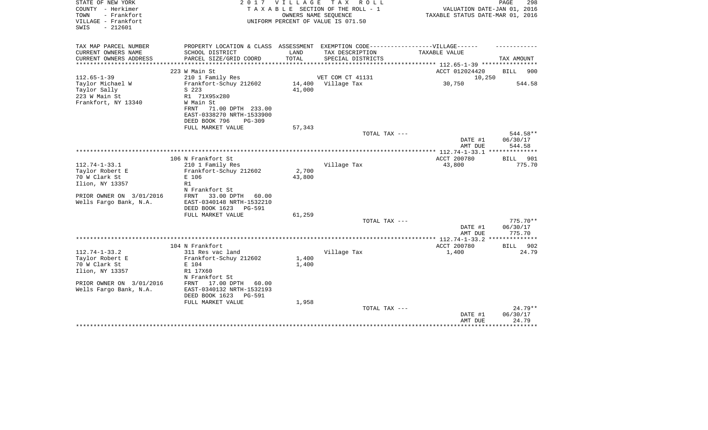| STATE OF NEW YORK<br>COUNTY - Herkimer<br>- Frankfort<br>TOWN<br>VILLAGE - Frankfort<br>$-212601$<br>SWIS |                                                                                                                                                                                          | 2017 VILLAGE     | TAX ROLL<br>TAXABLE SECTION OF THE ROLL - 1<br>OWNERS NAME SEOUENCE<br>UNIFORM PERCENT OF VALUE IS 071.50 | VALUATION DATE-JAN 01, 2016<br>TAXABLE STATUS DATE-MAR 01, 2016 | PAGE<br>298                          |
|-----------------------------------------------------------------------------------------------------------|------------------------------------------------------------------------------------------------------------------------------------------------------------------------------------------|------------------|-----------------------------------------------------------------------------------------------------------|-----------------------------------------------------------------|--------------------------------------|
| TAX MAP PARCEL NUMBER<br>CURRENT OWNERS NAME<br>CURRENT OWNERS ADDRESS                                    | PROPERTY LOCATION & CLASS ASSESSMENT EXEMPTION CODE-----------------VILLAGE------<br>SCHOOL DISTRICT<br>PARCEL SIZE/GRID COORD                                                           | LAND<br>TOTAL    | TAX DESCRIPTION<br>SPECIAL DISTRICTS                                                                      | TAXABLE VALUE                                                   | TAX AMOUNT                           |
| *************                                                                                             |                                                                                                                                                                                          |                  |                                                                                                           | *********** 112.65-1-39 *********                               | 900                                  |
| $112.65 - 1 - 39$<br>Taylor Michael W<br>Taylor Sally<br>223 W Main St<br>Frankfort, NY 13340             | 223 W Main St<br>210 1 Family Res<br>Frankfort-Schuy 212602<br>S 223<br>R1 71X95x280<br>W Main St<br>71.00 DPTH 233.00<br>FRNT<br>EAST-0338270 NRTH-1533900<br>DEED BOOK 796<br>$PG-309$ | 14,400<br>41,000 | VET COM CT 41131<br>Village Tax                                                                           | ACCT 012024420<br>10,250<br>30,750                              | BILL<br>544.58                       |
|                                                                                                           | FULL MARKET VALUE                                                                                                                                                                        | 57,343           |                                                                                                           |                                                                 |                                      |
|                                                                                                           |                                                                                                                                                                                          |                  | TOTAL TAX ---                                                                                             | DATE #1<br>AMT DUE                                              | 544.58**<br>06/30/17<br>544.58       |
|                                                                                                           | 106 N Frankfort St                                                                                                                                                                       |                  |                                                                                                           | ACCT 200780                                                     | **************<br><b>BILL</b><br>901 |
| $112.74 - 1 - 33.1$<br>Taylor Robert E<br>70 W Clark St<br>Ilion, NY 13357                                | 210 1 Family Res<br>Frankfort-Schuy 212602<br>E 106<br>R1<br>N Frankfort St                                                                                                              | 2,700<br>43,800  | Village Tax                                                                                               | 43,800                                                          | 775.70                               |
| PRIOR OWNER ON 3/01/2016<br>Wells Fargo Bank, N.A.                                                        | 33.00 DPTH<br>60.00<br>FRNT<br>EAST-0340148 NRTH-1532210<br>DEED BOOK 1623<br><b>PG-591</b><br>FULL MARKET VALUE                                                                         | 61,259           | TOTAL TAX ---                                                                                             | DATE #1                                                         | $775.70**$<br>06/30/17               |
|                                                                                                           |                                                                                                                                                                                          |                  |                                                                                                           | AMT DUE                                                         | 775.70                               |
|                                                                                                           | 104 N Frankfort                                                                                                                                                                          |                  |                                                                                                           | ************** 112.74-1-33.2<br>ACCT 200780                     | **************<br>BILL<br>902        |
| $112.74 - 1 - 33.2$<br>Taylor Robert E<br>70 W Clark St<br>Ilion, NY 13357<br>PRIOR OWNER ON 3/01/2016    | 311 Res vac land<br>Frankfort-Schuy 212602<br>E 104<br>R1 17X60<br>N Frankfort St<br>17.00 DPTH<br>FRNT<br>60.00                                                                         | 1,400<br>1,400   | Village Tax                                                                                               | 1,400                                                           | 24.79                                |
| Wells Fargo Bank, N.A.                                                                                    | EAST-0340132 NRTH-1532193<br>DEED BOOK 1623<br><b>PG-591</b><br>FULL MARKET VALUE                                                                                                        | 1,958            |                                                                                                           |                                                                 |                                      |
|                                                                                                           |                                                                                                                                                                                          |                  | TOTAL TAX ---                                                                                             | DATE #1<br>AMT DUE                                              | 24.79**<br>06/30/17<br>24.79         |
|                                                                                                           |                                                                                                                                                                                          |                  |                                                                                                           |                                                                 |                                      |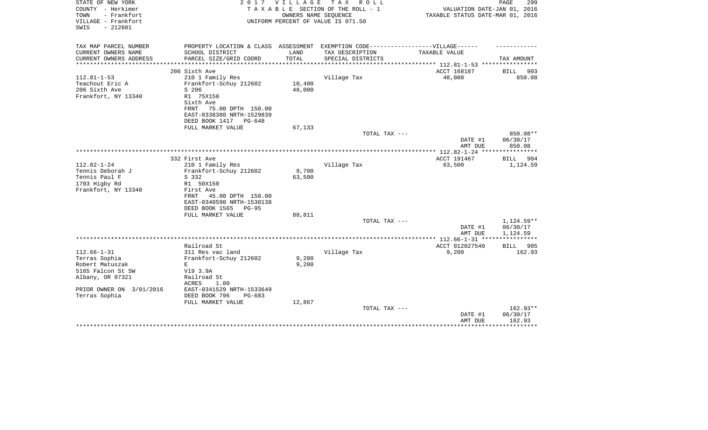| STATE OF NEW YORK<br>COUNTY - Herkimer<br>TOWN<br>- Frankfort<br>VILLAGE - Frankfort | 2017                                                                              | VILLAGE                   | T A X<br>R O L L<br>TAXABLE SECTION OF THE ROLL - 1<br>OWNERS NAME SEQUENCE<br>UNIFORM PERCENT OF VALUE IS 071.50 | VALUATION DATE-JAN 01, 2016<br>TAXABLE STATUS DATE-MAR 01, 2016 | PAGE<br>299             |
|--------------------------------------------------------------------------------------|-----------------------------------------------------------------------------------|---------------------------|-------------------------------------------------------------------------------------------------------------------|-----------------------------------------------------------------|-------------------------|
| $-212601$<br>SWIS                                                                    |                                                                                   |                           |                                                                                                                   |                                                                 |                         |
| TAX MAP PARCEL NUMBER                                                                | PROPERTY LOCATION & CLASS ASSESSMENT EXEMPTION CODE-----------------VILLAGE------ |                           |                                                                                                                   |                                                                 |                         |
| CURRENT OWNERS NAME                                                                  | SCHOOL DISTRICT                                                                   | LAND                      | TAX DESCRIPTION                                                                                                   | TAXABLE VALUE                                                   |                         |
| CURRENT OWNERS ADDRESS<br>********************                                       | PARCEL SIZE/GRID COORD<br>**************************                              | TOTAL<br>**************** | SPECIAL DISTRICTS                                                                                                 | ***************** 112.81-1-53 *****************                 | TAX AMOUNT              |
|                                                                                      | 206 Sixth Ave                                                                     |                           |                                                                                                                   | ACCT 168187                                                     | BILL<br>903             |
| $112.81 - 1 - 53$                                                                    | 210 1 Family Res                                                                  |                           | Village Tax                                                                                                       | 48,000                                                          | 850.08                  |
| Teachout Eric A                                                                      | Frankfort-Schuy 212602                                                            | 10,400                    |                                                                                                                   |                                                                 |                         |
| 206 Sixth Ave                                                                        | S 206                                                                             | 48,000                    |                                                                                                                   |                                                                 |                         |
| Frankfort, NY 13340                                                                  | R1 75X150                                                                         |                           |                                                                                                                   |                                                                 |                         |
|                                                                                      | Sixth Ave                                                                         |                           |                                                                                                                   |                                                                 |                         |
|                                                                                      | 75.00 DPTH 150.00<br>FRNT<br>EAST-0338380 NRTH-1529839                            |                           |                                                                                                                   |                                                                 |                         |
|                                                                                      | DEED BOOK 1417<br>PG-648                                                          |                           |                                                                                                                   |                                                                 |                         |
|                                                                                      | FULL MARKET VALUE                                                                 | 67,133                    |                                                                                                                   |                                                                 |                         |
|                                                                                      |                                                                                   |                           | TOTAL TAX ---                                                                                                     |                                                                 | 850.08**                |
|                                                                                      |                                                                                   |                           |                                                                                                                   | DATE #1                                                         | 06/30/17                |
|                                                                                      |                                                                                   |                           |                                                                                                                   | AMT DUE                                                         | 850.08                  |
|                                                                                      |                                                                                   |                           |                                                                                                                   | ***************** 112.82-1-24 *****************                 |                         |
| $112.82 - 1 - 24$                                                                    | 332 First Ave<br>210 1 Family Res                                                 |                           | Village Tax                                                                                                       | ACCT 191467<br>63,500                                           | BILL<br>904<br>1,124.59 |
| Tennis Deborah J                                                                     | Frankfort-Schuy 212602                                                            | 9,700                     |                                                                                                                   |                                                                 |                         |
| Tennis Paul F                                                                        | S 332                                                                             | 63,500                    |                                                                                                                   |                                                                 |                         |
| 1703 Higby Rd                                                                        | R1 50X150                                                                         |                           |                                                                                                                   |                                                                 |                         |
| Frankfort, NY 13340                                                                  | First Ave                                                                         |                           |                                                                                                                   |                                                                 |                         |
|                                                                                      | 45.00 DPTH 150.00<br>FRNT                                                         |                           |                                                                                                                   |                                                                 |                         |
|                                                                                      | EAST-0340590 NRTH-1530138                                                         |                           |                                                                                                                   |                                                                 |                         |
|                                                                                      | DEED BOOK 1565<br>$PG-95$                                                         |                           |                                                                                                                   |                                                                 |                         |
|                                                                                      | FULL MARKET VALUE                                                                 | 88,811                    | TOTAL TAX ---                                                                                                     |                                                                 | 1,124.59**              |
|                                                                                      |                                                                                   |                           |                                                                                                                   | DATE #1                                                         | 06/30/17                |
|                                                                                      |                                                                                   |                           |                                                                                                                   | AMT DUE                                                         | 1,124.59                |
|                                                                                      |                                                                                   |                           |                                                                                                                   |                                                                 |                         |
|                                                                                      | Railroad St                                                                       |                           |                                                                                                                   | ACCT 012027540                                                  | BILL<br>905             |
| $112.66 - 1 - 31$                                                                    | 311 Res vac land                                                                  |                           | Village Tax                                                                                                       | 9,200                                                           | 162.93                  |
| Terras Sophia<br>Robert Matuszak                                                     | Frankfort-Schuy 212602                                                            | 9,200<br>9,200            |                                                                                                                   |                                                                 |                         |
| 5165 Falcon St SW                                                                    | Е<br>V19 3.9A                                                                     |                           |                                                                                                                   |                                                                 |                         |
| Albany, OR 97321                                                                     | Railroad St                                                                       |                           |                                                                                                                   |                                                                 |                         |
|                                                                                      | ACRES<br>1.00                                                                     |                           |                                                                                                                   |                                                                 |                         |
| PRIOR OWNER ON 3/01/2016                                                             | EAST-0341529 NRTH-1533649                                                         |                           |                                                                                                                   |                                                                 |                         |
| Terras Sophia                                                                        | DEED BOOK 796<br>$PG-683$                                                         |                           |                                                                                                                   |                                                                 |                         |
|                                                                                      | FULL MARKET VALUE                                                                 | 12,867                    |                                                                                                                   |                                                                 |                         |
|                                                                                      |                                                                                   |                           | TOTAL TAX ---                                                                                                     |                                                                 | 162.93**                |
|                                                                                      |                                                                                   |                           |                                                                                                                   | DATE #1<br>AMT DUE                                              | 06/30/17<br>162.93      |
|                                                                                      |                                                                                   |                           |                                                                                                                   |                                                                 | *******                 |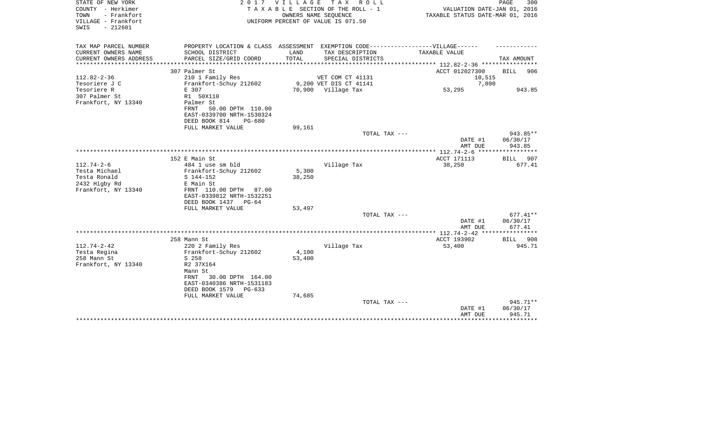| STATE OF NEW YORK<br>COUNTY - Herkimer<br>- Frankfort<br>TOWN<br>VILLAGE - Frankfort<br>$-212601$<br>SWIS |                                                                  | 2017 VILLAGE                 | TAX ROLL<br>TAXABLE SECTION OF THE ROLL - 1<br>OWNERS NAME SEQUENCE<br>UNIFORM PERCENT OF VALUE IS 071.50 | VALUATION DATE-JAN 01, 2016<br>TAXABLE STATUS DATE-MAR 01, 2016 | PAGE<br>300        |
|-----------------------------------------------------------------------------------------------------------|------------------------------------------------------------------|------------------------------|-----------------------------------------------------------------------------------------------------------|-----------------------------------------------------------------|--------------------|
| TAX MAP PARCEL NUMBER                                                                                     |                                                                  |                              | PROPERTY LOCATION & CLASS ASSESSMENT EXEMPTION CODE-----------------VILLAGE------                         |                                                                 |                    |
| CURRENT OWNERS NAME<br>CURRENT OWNERS ADDRESS<br>*******************                                      | SCHOOL DISTRICT<br>PARCEL SIZE/GRID COORD<br>******************* | LAND<br>TOTAL<br>*********** | TAX DESCRIPTION<br>SPECIAL DISTRICTS                                                                      | TAXABLE VALUE<br>************ 112.82-2-36 ***********           | TAX AMOUNT         |
|                                                                                                           | 307 Palmer St                                                    |                              |                                                                                                           | ACCT 012027300                                                  | 906<br><b>BILL</b> |
| $112.82 - 2 - 36$                                                                                         | 210 1 Family Res                                                 |                              | VET COM CT 41131                                                                                          | 10,515                                                          |                    |
| Tesoriere J C                                                                                             | Frankfort-Schuy 212602                                           |                              | 9,200 VET DIS CT 41141                                                                                    | 7,090                                                           |                    |
| Tesoriere R                                                                                               | E 307                                                            |                              | 70,900 Village Tax                                                                                        | 53,295                                                          | 943.85             |
| 307 Palmer St                                                                                             | R1 50X110                                                        |                              |                                                                                                           |                                                                 |                    |
| Frankfort, NY 13340                                                                                       | Palmer St                                                        |                              |                                                                                                           |                                                                 |                    |
|                                                                                                           | 50.00 DPTH 110.00<br>FRNT                                        |                              |                                                                                                           |                                                                 |                    |
|                                                                                                           | EAST-0339700 NRTH-1530324                                        |                              |                                                                                                           |                                                                 |                    |
|                                                                                                           | DEED BOOK 814<br>PG-680                                          |                              |                                                                                                           |                                                                 |                    |
|                                                                                                           | FULL MARKET VALUE                                                | 99,161                       |                                                                                                           |                                                                 |                    |
|                                                                                                           |                                                                  |                              | TOTAL TAX ---                                                                                             |                                                                 | 943.85**           |
|                                                                                                           |                                                                  |                              |                                                                                                           | DATE #1<br>AMT DUE                                              | 06/30/17<br>943.85 |
|                                                                                                           |                                                                  |                              |                                                                                                           | ******* 112.74-2-6<br>****                                      |                    |
|                                                                                                           | 152 E Main St                                                    |                              |                                                                                                           | ACCT 171113                                                     | <b>BILL</b><br>907 |
| $112.74 - 2 - 6$                                                                                          | 484 1 use sm bld                                                 |                              | Village Tax                                                                                               | 38,250                                                          | 677.41             |
| Testa Michael                                                                                             | Frankfort-Schuy 212602                                           | 5,300                        |                                                                                                           |                                                                 |                    |
| Testa Ronald                                                                                              | S 144-152                                                        | 38,250                       |                                                                                                           |                                                                 |                    |
| 2432 Higby Rd                                                                                             | E Main St                                                        |                              |                                                                                                           |                                                                 |                    |
| Frankfort, NY 13340                                                                                       | FRNT 110.00 DPTH<br>87.00                                        |                              |                                                                                                           |                                                                 |                    |
|                                                                                                           | EAST-0339812 NRTH-1532251                                        |                              |                                                                                                           |                                                                 |                    |
|                                                                                                           | DEED BOOK 1437<br>$PG-64$                                        |                              |                                                                                                           |                                                                 |                    |
|                                                                                                           | FULL MARKET VALUE                                                | 53,497                       |                                                                                                           |                                                                 |                    |
|                                                                                                           |                                                                  |                              | TOTAL TAX ---                                                                                             |                                                                 | $677.41**$         |
|                                                                                                           |                                                                  |                              |                                                                                                           | DATE #1                                                         | 06/30/17           |
|                                                                                                           |                                                                  |                              |                                                                                                           | AMT DUE                                                         | 677.41             |
|                                                                                                           |                                                                  |                              |                                                                                                           |                                                                 |                    |
|                                                                                                           | 258 Mann St                                                      |                              |                                                                                                           | ACCT 193902                                                     | 908<br><b>BILL</b> |
| $112.74 - 2 - 42$                                                                                         | 220 2 Family Res                                                 |                              | Village Tax                                                                                               | 53,400                                                          | 945.71             |
| Testa Regina                                                                                              | Frankfort-Schuy 212602                                           | 4,100                        |                                                                                                           |                                                                 |                    |
| 258 Mann St                                                                                               | S 258                                                            | 53,400                       |                                                                                                           |                                                                 |                    |
| Frankfort, NY 13340                                                                                       | R2 37X164                                                        |                              |                                                                                                           |                                                                 |                    |
|                                                                                                           | Mann St<br>30.00 DPTH 164.00<br>FRNT                             |                              |                                                                                                           |                                                                 |                    |
|                                                                                                           | EAST-0340386 NRTH-1531183                                        |                              |                                                                                                           |                                                                 |                    |
|                                                                                                           | DEED BOOK 1579<br>PG-633                                         |                              |                                                                                                           |                                                                 |                    |
|                                                                                                           | FULL MARKET VALUE                                                | 74,685                       |                                                                                                           |                                                                 |                    |
|                                                                                                           |                                                                  |                              | TOTAL TAX ---                                                                                             |                                                                 | 945.71**           |
|                                                                                                           |                                                                  |                              |                                                                                                           | DATE #1                                                         | 06/30/17           |
|                                                                                                           |                                                                  |                              |                                                                                                           | AMT DUE                                                         | 945.71             |
|                                                                                                           |                                                                  |                              |                                                                                                           |                                                                 |                    |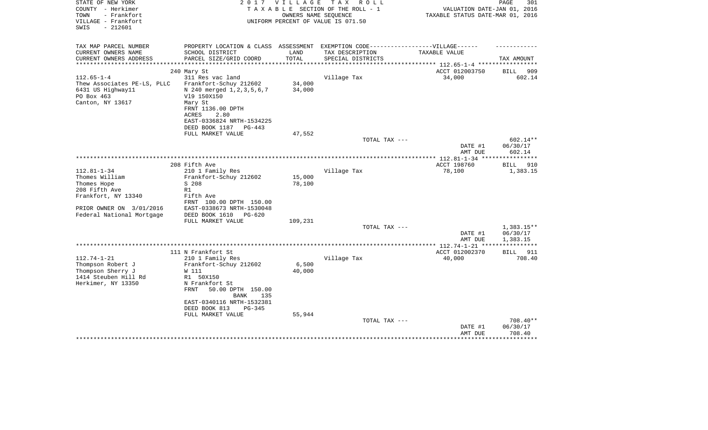| STATE OF NEW YORK<br>COUNTY - Herkimer<br>- Frankfort<br>TOWN<br>VILLAGE - Frankfort<br>$-212601$<br>SWIS | 2 0 1 7                                                                           | VILLAGE<br>OWNERS NAME SEQUENCE | T A X<br>R O L L<br>TAXABLE SECTION OF THE ROLL - 1<br>UNIFORM PERCENT OF VALUE IS 071.50 | VALUATION DATE-JAN 01, 2016<br>TAXABLE STATUS DATE-MAR 01, 2016 | PAGE<br>301                  |
|-----------------------------------------------------------------------------------------------------------|-----------------------------------------------------------------------------------|---------------------------------|-------------------------------------------------------------------------------------------|-----------------------------------------------------------------|------------------------------|
| TAX MAP PARCEL NUMBER                                                                                     | PROPERTY LOCATION & CLASS ASSESSMENT EXEMPTION CODE-----------------VILLAGE------ |                                 |                                                                                           |                                                                 |                              |
| CURRENT OWNERS NAME                                                                                       | SCHOOL DISTRICT                                                                   | LAND                            | TAX DESCRIPTION                                                                           | TAXABLE VALUE                                                   |                              |
| CURRENT OWNERS ADDRESS                                                                                    | PARCEL SIZE/GRID COORD                                                            | TOTAL                           | SPECIAL DISTRICTS                                                                         |                                                                 | TAX AMOUNT                   |
|                                                                                                           |                                                                                   |                                 |                                                                                           |                                                                 |                              |
| $112.65 - 1 - 4$                                                                                          | 240 Mary St                                                                       |                                 |                                                                                           | ACCT 012003750<br>34,000                                        | 909<br><b>BILL</b><br>602.14 |
| Thew Associates PE-LS, PLLC                                                                               | 311 Res vac land<br>Frankfort-Schuy 212602                                        | 34,000                          | Village Tax                                                                               |                                                                 |                              |
| 6431 US Highway11                                                                                         | N 240 merged 1, 2, 3, 5, 6, 7                                                     | 34,000                          |                                                                                           |                                                                 |                              |
| PO Box 463                                                                                                | V19 150X150                                                                       |                                 |                                                                                           |                                                                 |                              |
| Canton, NY 13617                                                                                          | Mary St                                                                           |                                 |                                                                                           |                                                                 |                              |
|                                                                                                           | FRNT 1136.00 DPTH                                                                 |                                 |                                                                                           |                                                                 |                              |
|                                                                                                           | ACRES<br>2.80                                                                     |                                 |                                                                                           |                                                                 |                              |
|                                                                                                           | EAST-0336824 NRTH-1534225                                                         |                                 |                                                                                           |                                                                 |                              |
|                                                                                                           | DEED BOOK 1187 PG-443                                                             |                                 |                                                                                           |                                                                 |                              |
|                                                                                                           | FULL MARKET VALUE                                                                 | 47,552                          |                                                                                           |                                                                 |                              |
|                                                                                                           |                                                                                   |                                 | TOTAL TAX ---                                                                             |                                                                 | 602.14**                     |
|                                                                                                           |                                                                                   |                                 |                                                                                           | DATE #1                                                         | 06/30/17                     |
|                                                                                                           |                                                                                   |                                 |                                                                                           | AMT DUE                                                         | 602.14                       |
|                                                                                                           | 208 Fifth Ave                                                                     |                                 |                                                                                           | ACCT 198760                                                     | <b>BILL</b><br>910           |
| $112.81 - 1 - 34$                                                                                         | 210 1 Family Res                                                                  |                                 | Village Tax                                                                               | 78,100                                                          | 1,383.15                     |
| Thomes William                                                                                            | Frankfort-Schuy 212602                                                            | 15,000                          |                                                                                           |                                                                 |                              |
| Thomes Hope                                                                                               | S 208                                                                             | 78,100                          |                                                                                           |                                                                 |                              |
| 208 Fifth Ave                                                                                             | R1                                                                                |                                 |                                                                                           |                                                                 |                              |
| Frankfort, NY 13340                                                                                       | Fifth Ave                                                                         |                                 |                                                                                           |                                                                 |                              |
|                                                                                                           | FRNT 100.00 DPTH 150.00                                                           |                                 |                                                                                           |                                                                 |                              |
| PRIOR OWNER ON 3/01/2016                                                                                  | EAST-0338673 NRTH-1530048                                                         |                                 |                                                                                           |                                                                 |                              |
| Federal National Mortgage                                                                                 | DEED BOOK 1610<br>$PG-620$                                                        |                                 |                                                                                           |                                                                 |                              |
|                                                                                                           | FULL MARKET VALUE                                                                 | 109,231                         | TOTAL TAX ---                                                                             |                                                                 | 1,383.15**                   |
|                                                                                                           |                                                                                   |                                 |                                                                                           | DATE #1                                                         | 06/30/17                     |
|                                                                                                           |                                                                                   |                                 |                                                                                           | AMT DUE                                                         | 1,383.15                     |
|                                                                                                           |                                                                                   |                                 |                                                                                           |                                                                 | ***********                  |
|                                                                                                           | 111 N Frankfort St                                                                |                                 |                                                                                           | ACCT 012002370                                                  | 911<br>BILL                  |
| $112.74 - 1 - 21$                                                                                         | 210 1 Family Res                                                                  |                                 | Village Tax                                                                               | 40,000                                                          | 708.40                       |
| Thompson Robert J                                                                                         | Frankfort-Schuy 212602                                                            | 6,500                           |                                                                                           |                                                                 |                              |
| Thompson Sherry J                                                                                         | W 111                                                                             | 40,000                          |                                                                                           |                                                                 |                              |
| 1414 Steuben Hill Rd                                                                                      | R1 50X150                                                                         |                                 |                                                                                           |                                                                 |                              |
| Herkimer, NY 13350                                                                                        | N Frankfort St<br><b>FRNT</b><br>50.00 DPTH 150.00                                |                                 |                                                                                           |                                                                 |                              |
|                                                                                                           | <b>BANK</b><br>135                                                                |                                 |                                                                                           |                                                                 |                              |
|                                                                                                           | EAST-0340116 NRTH-1532381                                                         |                                 |                                                                                           |                                                                 |                              |
|                                                                                                           | DEED BOOK 813<br>PG-345                                                           |                                 |                                                                                           |                                                                 |                              |
|                                                                                                           | FULL MARKET VALUE                                                                 | 55,944                          |                                                                                           |                                                                 |                              |
|                                                                                                           |                                                                                   |                                 | TOTAL TAX ---                                                                             |                                                                 | 708.40**                     |
|                                                                                                           |                                                                                   |                                 |                                                                                           | DATE #1                                                         | 06/30/17                     |
|                                                                                                           |                                                                                   |                                 |                                                                                           | AMT DUE                                                         | 708.40                       |
|                                                                                                           |                                                                                   |                                 |                                                                                           | ******************************                                  |                              |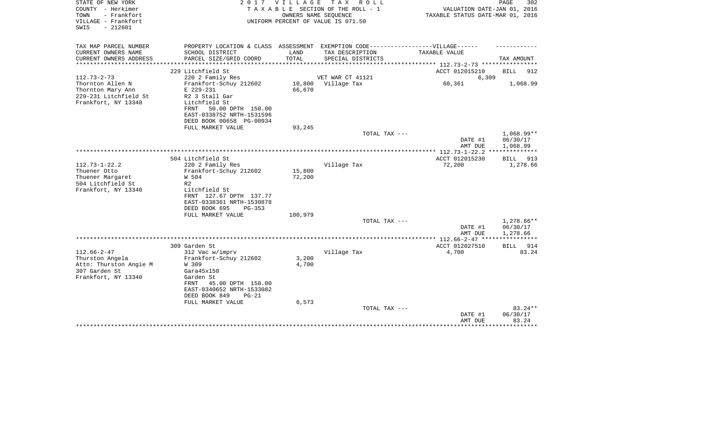| STATE OF NEW YORK<br>COUNTY - Herkimer<br>- Frankfort<br>TOWN<br>VILLAGE - Frankfort<br>SWIS<br>$-212601$ |                                                                                                                                                                     | 2017 VILLAGE<br>OWNERS NAME SEOUENCE | TAX ROLL<br>T A X A B L E SECTION OF THE ROLL - 1<br>UNIFORM PERCENT OF VALUE IS 071.50 | VALUATION DATE-JAN 01, 2016<br>TAXABLE STATUS DATE-MAR 01, 2016 | PAGE<br>302                          |
|-----------------------------------------------------------------------------------------------------------|---------------------------------------------------------------------------------------------------------------------------------------------------------------------|--------------------------------------|-----------------------------------------------------------------------------------------|-----------------------------------------------------------------|--------------------------------------|
| TAX MAP PARCEL NUMBER<br>CURRENT OWNERS NAME                                                              | PROPERTY LOCATION & CLASS ASSESSMENT EXEMPTION CODE-----------------VILLAGE------<br>SCHOOL DISTRICT                                                                | LAND                                 | TAX DESCRIPTION                                                                         | TAXABLE VALUE                                                   |                                      |
| CURRENT OWNERS ADDRESS<br>**************                                                                  | PARCEL SIZE/GRID COORD                                                                                                                                              | TOTAL<br>********************        | SPECIAL DISTRICTS                                                                       | ************* 112.73-2-73 *********                             | TAX AMOUNT                           |
|                                                                                                           | 229 Litchfield St                                                                                                                                                   |                                      |                                                                                         | ACCT 012015210                                                  | <b>BILL</b><br>912                   |
| $112.73 - 2 - 73$<br>Thornton Allen N                                                                     | 220 2 Family Res<br>Frankfort-Schuy 212602                                                                                                                          | 10,800                               | VET WAR CT 41121<br>Village Tax                                                         | 6,309<br>60,361                                                 | 1,068.99                             |
| Thornton Mary Ann<br>229-231 Litchfield St<br>Frankfort, NY 13340                                         | E 229-231<br>R2 3 Stall Gar<br>Litchfield St<br>FRNT<br>50.00 DPTH 150.00<br>EAST-0338752 NRTH-1531596<br>DEED BOOK 00658 PG-00934                                  | 66,670                               |                                                                                         |                                                                 |                                      |
|                                                                                                           | FULL MARKET VALUE                                                                                                                                                   | 93,245                               |                                                                                         |                                                                 |                                      |
|                                                                                                           |                                                                                                                                                                     |                                      | TOTAL TAX ---                                                                           | DATE #1<br>AMT DUE                                              | $1,068.99**$<br>06/30/17<br>1,068.99 |
|                                                                                                           |                                                                                                                                                                     |                                      |                                                                                         |                                                                 |                                      |
| $112.73 - 1 - 22.2$<br>Thuener Otto<br>Thuener Margaret<br>504 Litchfield St<br>Frankfort, NY 13340       | 504 Litchfield St<br>220 2 Family Res<br>Frankfort-Schuy 212602<br>W 504<br>R2<br>Litchfield St<br>FRNT 127.67 DPTH 137.77                                          | 15,800<br>72,200                     | Village Tax                                                                             | ACCT 012015230<br>72,200                                        | 913<br><b>BILL</b><br>1,278.66       |
|                                                                                                           | EAST-0338361 NRTH-1530878<br>DEED BOOK 695<br>$PG-353$<br>FULL MARKET VALUE                                                                                         | 100,979                              | TOTAL TAX ---                                                                           |                                                                 | 1,278.66**                           |
|                                                                                                           |                                                                                                                                                                     |                                      |                                                                                         | DATE #1                                                         | 06/30/17                             |
|                                                                                                           |                                                                                                                                                                     |                                      |                                                                                         | AMT DUE<br>************** 112.66-2-47 *********                 | 1,278.66                             |
|                                                                                                           | 309 Garden St                                                                                                                                                       |                                      |                                                                                         | ACCT 012027510                                                  | <b>BILL</b><br>914                   |
| $112.66 - 2 - 47$<br>Thurston Angela<br>Attn: Thurston Angie M<br>307 Garden St<br>Frankfort, NY 13340    | 312 Vac w/imprv<br>Frankfort-Schuy 212602<br>W 309<br>Gara45x150<br>Garden St<br>45.00 DPTH 150.00<br>FRNT<br>EAST-0340652 NRTH-1533082<br>DEED BOOK 849<br>$PG-21$ | 3,200<br>4,700                       | Village Tax                                                                             | 4,700                                                           | 83.24                                |
|                                                                                                           | FULL MARKET VALUE                                                                                                                                                   | 6,573                                | TOTAL TAX ---                                                                           |                                                                 | 83.24**                              |
|                                                                                                           |                                                                                                                                                                     |                                      |                                                                                         | DATE #1<br>AMT DUE                                              | 06/30/17<br>83.24<br>**********      |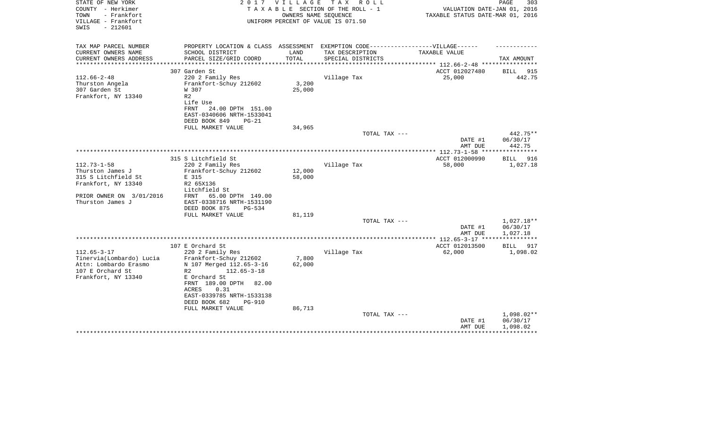| STATE OF NEW YORK<br>COUNTY - Herkimer<br>TOWN<br>- Frankfort<br>VILLAGE - Frankfort<br>$-212601$<br>SWIS                           | 2017                                                                                                                                                                                                                                                                             | V I L L A G E             | T A X<br>R O L L<br>TAXABLE SECTION OF THE ROLL - 1<br>OWNERS NAME SEOUENCE<br>UNIFORM PERCENT OF VALUE IS 071.50 | VALUATION DATE-JAN 01, 2016<br>TAXABLE STATUS DATE-MAR 01, 2016 | PAGE<br>303                        |
|-------------------------------------------------------------------------------------------------------------------------------------|----------------------------------------------------------------------------------------------------------------------------------------------------------------------------------------------------------------------------------------------------------------------------------|---------------------------|-------------------------------------------------------------------------------------------------------------------|-----------------------------------------------------------------|------------------------------------|
| TAX MAP PARCEL NUMBER                                                                                                               | PROPERTY LOCATION & CLASS ASSESSMENT EXEMPTION CODE----------------VILLAGE------                                                                                                                                                                                                 |                           |                                                                                                                   |                                                                 |                                    |
| CURRENT OWNERS NAME<br>CURRENT OWNERS ADDRESS<br>*********************                                                              | SCHOOL DISTRICT<br>PARCEL SIZE/GRID COORD<br>***************************                                                                                                                                                                                                         | LAND<br>TOTAL             | TAX DESCRIPTION<br>SPECIAL DISTRICTS                                                                              | TAXABLE VALUE                                                   | TAX AMOUNT                         |
|                                                                                                                                     | 307 Garden St                                                                                                                                                                                                                                                                    |                           |                                                                                                                   | ACCT 012027480                                                  | 915<br><b>BILL</b>                 |
| $112.66 - 2 - 48$<br>Thurston Angela<br>307 Garden St<br>Frankfort, NY 13340                                                        | 220 2 Family Res<br>Frankfort-Schuy 212602<br>W 307<br>R <sub>2</sub><br>Life Use<br><b>FRNT</b><br>24.00 DPTH 151.00                                                                                                                                                            | 3,200<br>25,000           | Village Tax                                                                                                       | 25,000                                                          | 442.75                             |
|                                                                                                                                     | EAST-0340606 NRTH-1533041<br>DEED BOOK 849<br>$PG-21$                                                                                                                                                                                                                            |                           |                                                                                                                   |                                                                 |                                    |
|                                                                                                                                     | FULL MARKET VALUE                                                                                                                                                                                                                                                                | 34,965                    |                                                                                                                   |                                                                 |                                    |
|                                                                                                                                     |                                                                                                                                                                                                                                                                                  |                           | TOTAL TAX ---                                                                                                     | DATE #1<br>AMT DUE                                              | 442.75**<br>06/30/17<br>442.75     |
|                                                                                                                                     |                                                                                                                                                                                                                                                                                  |                           |                                                                                                                   |                                                                 | * * * * * * * * * * *              |
| $112.73 - 1 - 58$<br>Thurston James J<br>315 S Litchfield St<br>Frankfort, NY 13340<br>PRIOR OWNER ON 3/01/2016<br>Thurston James J | 315 S Litchfield St<br>220 2 Family Res<br>Frankfort-Schuy 212602<br>E 315<br>R2 65X136<br>Litchfield St<br>65.00 DPTH 149.00<br>FRNT<br>EAST-0338716 NRTH-1531190<br>DEED BOOK 875<br><b>PG-534</b>                                                                             | 12,000<br>58,000          | Village Tax                                                                                                       | ACCT 012000990<br>58,000                                        | 916<br>BILL<br>1,027.18            |
|                                                                                                                                     | FULL MARKET VALUE                                                                                                                                                                                                                                                                | 81,119                    | TOTAL TAX ---                                                                                                     |                                                                 | $1,027.18**$                       |
|                                                                                                                                     |                                                                                                                                                                                                                                                                                  |                           |                                                                                                                   | DATE #1<br>AMT DUE                                              | 06/30/17<br>1,027.18               |
|                                                                                                                                     |                                                                                                                                                                                                                                                                                  |                           |                                                                                                                   |                                                                 |                                    |
| $112.65 - 3 - 17$<br>Tinervia (Lombardo) Lucia<br>Attn: Lombardo Erasmo<br>107 E Orchard St<br>Frankfort, NY 13340                  | 107 E Orchard St<br>220 2 Family Res<br>Frankfort-Schuy 212602<br>N 107 Merged 112.65-3-16<br>R <sub>2</sub><br>$112.65 - 3 - 18$<br>E Orchard St<br>FRNT 189.00 DPTH 82.00<br>0.31<br>ACRES<br>EAST-0339785 NRTH-1533138<br>DEED BOOK 682<br><b>PG-910</b><br>FULL MARKET VALUE | 7,800<br>62,000<br>86,713 | Village Tax                                                                                                       | ACCT 012013500<br>62,000                                        | BILL<br>917<br>1,098.02            |
|                                                                                                                                     |                                                                                                                                                                                                                                                                                  |                           | TOTAL TAX ---                                                                                                     | DATE #1<br>AMT DUE                                              | 1,098.02**<br>06/30/17<br>1,098.02 |
|                                                                                                                                     |                                                                                                                                                                                                                                                                                  |                           |                                                                                                                   |                                                                 |                                    |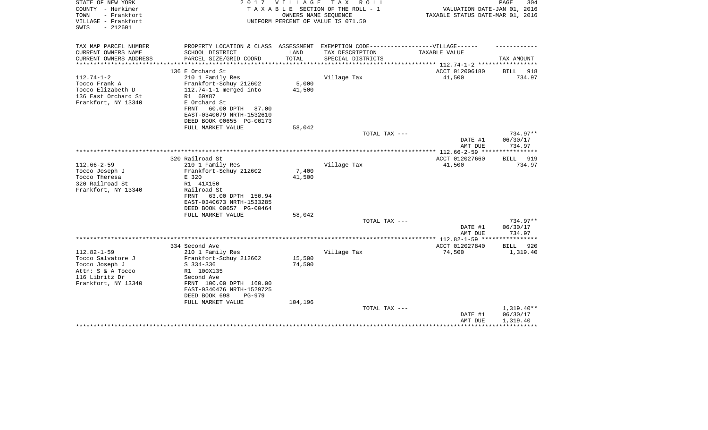| STATE OF NEW YORK<br>COUNTY - Herkimer<br>- Frankfort<br>TOWN<br>VILLAGE - Frankfort<br>$-212601$<br>SWIS              | 2017                                                                                                                                          | <b>VILLAGE</b><br>OWNERS NAME SEQUENCE | T A X<br>R O L L<br>TAXABLE SECTION OF THE ROLL - 1<br>UNIFORM PERCENT OF VALUE IS 071.50 | VALUATION DATE-JAN 01, 2016<br>TAXABLE STATUS DATE-MAR 01, 2016           | PAGE<br>304             |
|------------------------------------------------------------------------------------------------------------------------|-----------------------------------------------------------------------------------------------------------------------------------------------|----------------------------------------|-------------------------------------------------------------------------------------------|---------------------------------------------------------------------------|-------------------------|
| TAX MAP PARCEL NUMBER                                                                                                  | PROPERTY LOCATION & CLASS ASSESSMENT EXEMPTION CODE-----------------VILLAGE------                                                             |                                        |                                                                                           |                                                                           |                         |
| CURRENT OWNERS NAME<br>CURRENT OWNERS ADDRESS<br>*********************                                                 | SCHOOL DISTRICT<br>PARCEL SIZE/GRID COORD                                                                                                     | LAND<br>TOTAL                          | TAX DESCRIPTION<br>SPECIAL DISTRICTS                                                      | TAXABLE VALUE<br>*************************** 112.74-1-2 ***************** | TAX AMOUNT              |
|                                                                                                                        | 136 E Orchard St                                                                                                                              |                                        |                                                                                           | ACCT 012006180                                                            | BILL<br>918             |
| $112.74 - 1 - 2$<br>Tocco Frank A<br>Tocco Elizabeth D<br>136 East Orchard St<br>Frankfort, NY 13340                   | 210 1 Family Res<br>Frankfort-Schuy 212602<br>$112.74-1-1$ merged into<br>R1 60X87<br>E Orchard St                                            | 5,000<br>41,500                        | Village Tax                                                                               | 41,500                                                                    | 734.97                  |
|                                                                                                                        | 60.00 DPTH<br>FRNT<br>87.00<br>EAST-0340079 NRTH-1532610<br>DEED BOOK 00655 PG-00173<br>FULL MARKET VALUE                                     | 58,042                                 |                                                                                           |                                                                           |                         |
|                                                                                                                        |                                                                                                                                               |                                        | TOTAL TAX ---                                                                             |                                                                           | 734.97**                |
|                                                                                                                        |                                                                                                                                               |                                        |                                                                                           | DATE #1<br>AMT DUE                                                        | 06/30/17<br>734.97      |
|                                                                                                                        |                                                                                                                                               |                                        |                                                                                           | **************** 112.66-2-59 ****                                         | * * * * * * * * * * * * |
|                                                                                                                        | 320 Railroad St                                                                                                                               |                                        |                                                                                           | ACCT 012027660                                                            | BILL<br>919             |
| $112.66 - 2 - 59$<br>Tocco Joseph J                                                                                    | 210 1 Family Res<br>Frankfort-Schuy 212602                                                                                                    | 7,400                                  | Village Tax                                                                               | 41,500                                                                    | 734.97                  |
| Tocco Theresa                                                                                                          | E 320                                                                                                                                         | 41,500                                 |                                                                                           |                                                                           |                         |
| 320 Railroad St                                                                                                        | R1 41X150                                                                                                                                     |                                        |                                                                                           |                                                                           |                         |
| Frankfort, NY 13340                                                                                                    | Railroad St<br>63.00 DPTH 150.94<br>FRNT<br>EAST-0340673 NRTH-1533285<br>DEED BOOK 00657 PG-00464                                             |                                        |                                                                                           |                                                                           |                         |
|                                                                                                                        | FULL MARKET VALUE                                                                                                                             | 58,042                                 | TOTAL TAX ---                                                                             |                                                                           | $734.97**$              |
|                                                                                                                        |                                                                                                                                               |                                        |                                                                                           | DATE #1<br>AMT DUE                                                        | 06/30/17<br>734.97      |
|                                                                                                                        |                                                                                                                                               |                                        |                                                                                           |                                                                           |                         |
|                                                                                                                        | 334 Second Ave                                                                                                                                |                                        |                                                                                           | ACCT 012027840                                                            | <b>BILL</b><br>920      |
| $112.82 - 1 - 59$<br>Tocco Salvatore J<br>Tocco Joseph J<br>Attn: S & A Tocco<br>116 Libritz Dr<br>Frankfort, NY 13340 | 210 1 Family Res<br>Frankfort-Schuy 212602<br>$S$ 334-336<br>R1 100X135<br>Second Ave<br>FRNT 100.00 DPTH 160.00<br>EAST-0340476 NRTH-1529725 | 15,500<br>74,500                       | Village Tax                                                                               | 74,500                                                                    | 1,319.40                |
|                                                                                                                        | DEED BOOK 698<br>$PG-979$                                                                                                                     |                                        |                                                                                           |                                                                           |                         |
|                                                                                                                        | FULL MARKET VALUE                                                                                                                             | 104,196                                | TOTAL TAX ---                                                                             |                                                                           | $1,319.40**$            |
|                                                                                                                        |                                                                                                                                               |                                        |                                                                                           | DATE #1<br>AMT DUE                                                        | 06/30/17<br>1,319.40    |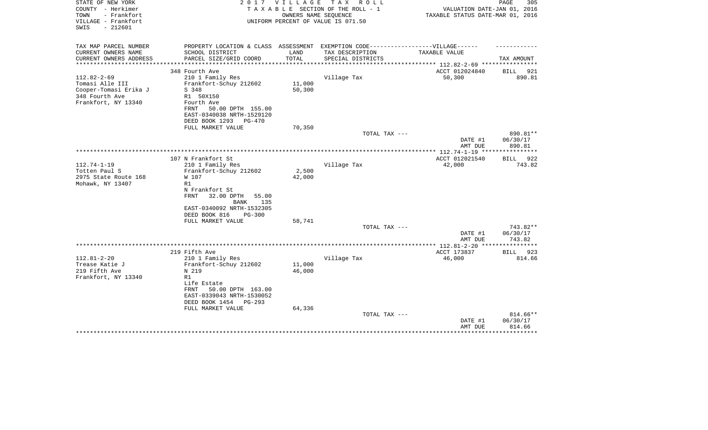| STATE OF NEW YORK<br>COUNTY - Herkimer<br>TOWN<br>- Frankfort<br>VILLAGE - Frankfort<br>$-212601$<br>SWIS | 2017                                                                             | <b>VILLAGE</b> | тах<br>R O L L<br>TAXABLE SECTION OF THE ROLL - 1<br>OWNERS NAME SEOUENCE<br>UNIFORM PERCENT OF VALUE IS 071.50 | VALUATION DATE-JAN 01, 2016<br>TAXABLE STATUS DATE-MAR 01, 2016 | PAGE<br>305                  |
|-----------------------------------------------------------------------------------------------------------|----------------------------------------------------------------------------------|----------------|-----------------------------------------------------------------------------------------------------------------|-----------------------------------------------------------------|------------------------------|
| TAX MAP PARCEL NUMBER                                                                                     | PROPERTY LOCATION & CLASS ASSESSMENT EXEMPTION CODE----------------VILLAGE------ |                |                                                                                                                 |                                                                 |                              |
| CURRENT OWNERS NAME                                                                                       | SCHOOL DISTRICT                                                                  | LAND           | TAX DESCRIPTION                                                                                                 | TAXABLE VALUE                                                   |                              |
| CURRENT OWNERS ADDRESS<br>*********************                                                           | PARCEL SIZE/GRID COORD<br>****************************                           | TOTAL          | SPECIAL DISTRICTS                                                                                               |                                                                 | TAX AMOUNT                   |
|                                                                                                           | 348 Fourth Ave                                                                   |                |                                                                                                                 | ACCT 012024840                                                  | 921<br><b>BILL</b>           |
| $112.82 - 2 - 69$                                                                                         | 210 1 Family Res                                                                 |                | Village Tax                                                                                                     | 50,300                                                          | 890.81                       |
| Tomasi Alle III                                                                                           | Frankfort-Schuy 212602                                                           | 11,000         |                                                                                                                 |                                                                 |                              |
| Cooper-Tomasi Erika J                                                                                     | S 348                                                                            | 50,300         |                                                                                                                 |                                                                 |                              |
| 348 Fourth Ave                                                                                            | R1 50X150                                                                        |                |                                                                                                                 |                                                                 |                              |
| Frankfort, NY 13340                                                                                       | Fourth Ave                                                                       |                |                                                                                                                 |                                                                 |                              |
|                                                                                                           | FRNT<br>50.00 DPTH 155.00                                                        |                |                                                                                                                 |                                                                 |                              |
|                                                                                                           | EAST-0340038 NRTH-1529120<br>DEED BOOK 1293<br><b>PG-470</b>                     |                |                                                                                                                 |                                                                 |                              |
|                                                                                                           | FULL MARKET VALUE                                                                | 70,350         |                                                                                                                 |                                                                 |                              |
|                                                                                                           |                                                                                  |                | TOTAL TAX ---                                                                                                   |                                                                 | 890.81**                     |
|                                                                                                           |                                                                                  |                |                                                                                                                 | DATE #1<br>AMT DUE                                              | 06/30/17<br>890.81           |
|                                                                                                           |                                                                                  |                |                                                                                                                 |                                                                 |                              |
|                                                                                                           | 107 N Frankfort St                                                               |                |                                                                                                                 | ACCT 012021540                                                  | 922<br>BILL                  |
| $112.74 - 1 - 19$<br>Totten Paul S                                                                        | 210 1 Family Res<br>Frankfort-Schuy 212602                                       | 2,500          | Village Tax                                                                                                     | 42,000                                                          | 743.82                       |
| 2975 State Route 168                                                                                      | W 107                                                                            | 42,000         |                                                                                                                 |                                                                 |                              |
| Mohawk, NY 13407                                                                                          | R1                                                                               |                |                                                                                                                 |                                                                 |                              |
|                                                                                                           | N Frankfort St                                                                   |                |                                                                                                                 |                                                                 |                              |
|                                                                                                           | FRNT<br>32.00 DPTH<br>55.00                                                      |                |                                                                                                                 |                                                                 |                              |
|                                                                                                           | <b>BANK</b><br>135                                                               |                |                                                                                                                 |                                                                 |                              |
|                                                                                                           | EAST-0340092 NRTH-1532305<br>DEED BOOK 816<br>$PG-300$                           |                |                                                                                                                 |                                                                 |                              |
|                                                                                                           | FULL MARKET VALUE                                                                | 58,741         |                                                                                                                 |                                                                 |                              |
|                                                                                                           |                                                                                  |                | TOTAL TAX ---                                                                                                   |                                                                 | 743.82**                     |
|                                                                                                           |                                                                                  |                |                                                                                                                 | DATE #1                                                         | 06/30/17                     |
|                                                                                                           |                                                                                  |                |                                                                                                                 | AMT DUE                                                         | 743.82                       |
|                                                                                                           |                                                                                  |                |                                                                                                                 | ************ 112.81-2-20 ***                                    | *****                        |
| $112.81 - 2 - 20$                                                                                         | 219 Fifth Ave<br>210 1 Family Res                                                |                | Village Tax                                                                                                     | ACCT 173837<br>46,000                                           | <b>BILL</b><br>923<br>814.66 |
| Trease Katie J                                                                                            | Frankfort-Schuy 212602                                                           | 11,000         |                                                                                                                 |                                                                 |                              |
| 219 Fifth Ave                                                                                             | N 219                                                                            | 46,000         |                                                                                                                 |                                                                 |                              |
| Frankfort, NY 13340                                                                                       | R1                                                                               |                |                                                                                                                 |                                                                 |                              |
|                                                                                                           | Life Estate                                                                      |                |                                                                                                                 |                                                                 |                              |
|                                                                                                           | 50.00 DPTH 163.00<br>FRNT                                                        |                |                                                                                                                 |                                                                 |                              |
|                                                                                                           | EAST-0339043 NRTH-1530052                                                        |                |                                                                                                                 |                                                                 |                              |
|                                                                                                           | DEED BOOK 1454<br>PG-293<br>FULL MARKET VALUE                                    | 64,336         |                                                                                                                 |                                                                 |                              |
|                                                                                                           |                                                                                  |                | TOTAL TAX ---                                                                                                   |                                                                 | 814.66**                     |
|                                                                                                           |                                                                                  |                |                                                                                                                 | DATE #1                                                         | 06/30/17                     |
|                                                                                                           |                                                                                  |                |                                                                                                                 | AMT DUE                                                         | 814.66                       |
|                                                                                                           |                                                                                  |                |                                                                                                                 |                                                                 |                              |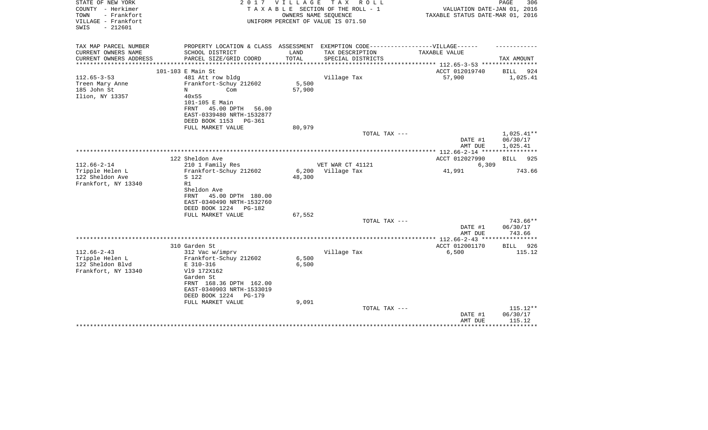| STATE OF NEW YORK<br>COUNTY - Herkimer<br>TOWN<br>- Frankfort<br>VILLAGE - Frankfort<br>$-212601$<br>SWIS | 2 0 1 7                                              | VILLAGE         | TAX ROLL<br>TAXABLE SECTION OF THE ROLL - 1<br>OWNERS NAME SEQUENCE<br>UNIFORM PERCENT OF VALUE IS 071.50 | VALUATION DATE-JAN 01, 2016<br>TAXABLE STATUS DATE-MAR 01, 2016 | 306<br>PAGE              |
|-----------------------------------------------------------------------------------------------------------|------------------------------------------------------|-----------------|-----------------------------------------------------------------------------------------------------------|-----------------------------------------------------------------|--------------------------|
| TAX MAP PARCEL NUMBER                                                                                     |                                                      |                 | PROPERTY LOCATION & CLASS ASSESSMENT EXEMPTION CODE-----------------VILLAGE------                         |                                                                 |                          |
| CURRENT OWNERS NAME                                                                                       | SCHOOL DISTRICT                                      | LAND            | TAX DESCRIPTION                                                                                           | TAXABLE VALUE                                                   |                          |
| CURRENT OWNERS ADDRESS                                                                                    | PARCEL SIZE/GRID COORD                               | TOTAL           | SPECIAL DISTRICTS                                                                                         |                                                                 | TAX AMOUNT               |
|                                                                                                           | 101-103 E Main St                                    |                 |                                                                                                           | ACCT 012019740                                                  | BILL<br>924              |
| $112.65 - 3 - 53$                                                                                         | 481 Att row bldg                                     |                 | Village Tax                                                                                               | 57,900                                                          | 1,025.41                 |
| Treen Mary Anne                                                                                           | Frankfort-Schuy 212602                               | 5,500           |                                                                                                           |                                                                 |                          |
| 185 John St                                                                                               | N<br>Com                                             | 57,900          |                                                                                                           |                                                                 |                          |
| Ilion, NY 13357                                                                                           | 40x55<br>101-105 E Main                              |                 |                                                                                                           |                                                                 |                          |
|                                                                                                           | 45.00 DPTH<br>FRNT<br>56.00                          |                 |                                                                                                           |                                                                 |                          |
|                                                                                                           | EAST-0339480 NRTH-1532877                            |                 |                                                                                                           |                                                                 |                          |
|                                                                                                           | DEED BOOK 1153<br>PG-361                             |                 |                                                                                                           |                                                                 |                          |
|                                                                                                           | FULL MARKET VALUE                                    | 80,979          |                                                                                                           |                                                                 |                          |
|                                                                                                           |                                                      |                 | TOTAL TAX ---                                                                                             | DATE #1                                                         | $1,025.41**$<br>06/30/17 |
|                                                                                                           |                                                      |                 |                                                                                                           | AMT DUE                                                         | 1,025.41                 |
|                                                                                                           |                                                      |                 |                                                                                                           |                                                                 |                          |
|                                                                                                           | 122 Sheldon Ave                                      |                 |                                                                                                           | ACCT 012027990                                                  | 925<br>BILL              |
| $112.66 - 2 - 14$                                                                                         | 210 1 Family Res                                     |                 | VET WAR CT 41121                                                                                          | 6,309                                                           |                          |
| Tripple Helen L<br>122 Sheldon Ave                                                                        | Frankfort-Schuy 212602<br>S 122                      | 6,200<br>48,300 | Village Tax                                                                                               | 41,991                                                          | 743.66                   |
| Frankfort, NY 13340                                                                                       | R1                                                   |                 |                                                                                                           |                                                                 |                          |
|                                                                                                           | Sheldon Ave                                          |                 |                                                                                                           |                                                                 |                          |
|                                                                                                           | 45.00 DPTH 180.00<br>FRNT                            |                 |                                                                                                           |                                                                 |                          |
|                                                                                                           | EAST-0340490 NRTH-1532760                            |                 |                                                                                                           |                                                                 |                          |
|                                                                                                           | DEED BOOK 1224<br>PG-182                             |                 |                                                                                                           |                                                                 |                          |
|                                                                                                           | FULL MARKET VALUE                                    | 67,552          | TOTAL TAX ---                                                                                             |                                                                 | 743.66**                 |
|                                                                                                           |                                                      |                 |                                                                                                           | DATE #1                                                         | 06/30/17                 |
|                                                                                                           |                                                      |                 |                                                                                                           | AMT DUE                                                         | 743.66                   |
|                                                                                                           |                                                      |                 |                                                                                                           | ************* 112.66-2-43 *****************                     |                          |
|                                                                                                           | 310 Garden St                                        |                 |                                                                                                           | ACCT 012001170                                                  | 926<br>BILL              |
| $112.66 - 2 - 43$<br>Tripple Helen L                                                                      | 312 Vac w/imprv                                      | 6,500           | Village Tax                                                                                               | 6,500                                                           | 115.12                   |
| 122 Sheldon Blvd                                                                                          | Frankfort-Schuy 212602<br>E 310-316                  | 6,500           |                                                                                                           |                                                                 |                          |
| Frankfort, NY 13340                                                                                       | V19 172X162                                          |                 |                                                                                                           |                                                                 |                          |
|                                                                                                           | Garden St                                            |                 |                                                                                                           |                                                                 |                          |
|                                                                                                           | FRNT 168.36 DPTH 162.00                              |                 |                                                                                                           |                                                                 |                          |
|                                                                                                           | EAST-0340903 NRTH-1533019                            |                 |                                                                                                           |                                                                 |                          |
|                                                                                                           | DEED BOOK 1224<br><b>PG-179</b><br>FULL MARKET VALUE | 9,091           |                                                                                                           |                                                                 |                          |
|                                                                                                           |                                                      |                 | TOTAL TAX ---                                                                                             |                                                                 | 115.12**                 |
|                                                                                                           |                                                      |                 |                                                                                                           | DATE #1                                                         | 06/30/17                 |
|                                                                                                           |                                                      |                 |                                                                                                           | AMT DUE                                                         | 115.12                   |
|                                                                                                           |                                                      |                 |                                                                                                           |                                                                 |                          |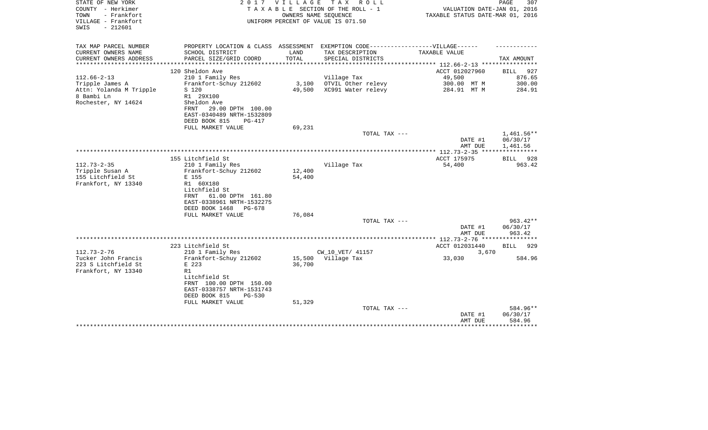| STATE OF NEW YORK<br>COUNTY - Herkimer<br>- Frankfort<br>TOWN<br>VILLAGE - Frankfort<br>SWIS<br>$-212601$ |                                            |        | 2017 VILLAGE TAX ROLL<br>TAXABLE SECTION OF THE ROLL - 1<br>OWNERS NAME SEOUENCE<br>UNIFORM PERCENT OF VALUE IS 071.50 | VALUATION DATE-JAN 01, 2016<br>TAXABLE STATUS DATE-MAR 01, 2016 | PAGE<br>307        |
|-----------------------------------------------------------------------------------------------------------|--------------------------------------------|--------|------------------------------------------------------------------------------------------------------------------------|-----------------------------------------------------------------|--------------------|
| TAX MAP PARCEL NUMBER<br>CURRENT OWNERS NAME                                                              | SCHOOL DISTRICT                            | LAND   | PROPERTY LOCATION & CLASS ASSESSMENT EXEMPTION CODE-----------------VILLAGE------<br>TAX DESCRIPTION                   | TAXABLE VALUE                                                   |                    |
| CURRENT OWNERS ADDRESS<br>*******************                                                             | PARCEL SIZE/GRID COORD                     | TOTAL  | SPECIAL DISTRICTS<br>***************************                                                                       | ***************** 112.66-2-13 *************                     | TAX AMOUNT         |
|                                                                                                           | 120 Sheldon Ave                            |        |                                                                                                                        | ACCT 012027960                                                  | BILL 927           |
| $112.66 - 2 - 13$                                                                                         | 210 1 Family Res                           |        | Village Tax                                                                                                            | 49,500                                                          | 876.65             |
| Tripple James A                                                                                           | Frankfort-Schuy 212602                     | 3,100  | OTVIL Other relevy                                                                                                     | 300.00 MT M                                                     | 300.00             |
| Attn: Yolanda M Tripple                                                                                   | S 120                                      | 49,500 | XC991 Water relevy                                                                                                     | 284.91 MT M                                                     | 284.91             |
| 8 Bambi Ln                                                                                                | R1 29X100                                  |        |                                                                                                                        |                                                                 |                    |
| Rochester, NY 14624                                                                                       | Sheldon Ave<br>FRNT<br>29.00 DPTH 100.00   |        |                                                                                                                        |                                                                 |                    |
|                                                                                                           | EAST-0340489 NRTH-1532809                  |        |                                                                                                                        |                                                                 |                    |
|                                                                                                           | DEED BOOK 815<br>$PG-417$                  |        |                                                                                                                        |                                                                 |                    |
|                                                                                                           | FULL MARKET VALUE                          | 69,231 |                                                                                                                        |                                                                 |                    |
|                                                                                                           |                                            |        | TOTAL TAX ---                                                                                                          |                                                                 | $1,461.56**$       |
|                                                                                                           |                                            |        |                                                                                                                        | DATE #1                                                         | 06/30/17           |
|                                                                                                           |                                            |        |                                                                                                                        | AMT DUE                                                         | 1,461.56           |
|                                                                                                           | 155 Litchfield St                          |        |                                                                                                                        | ACCT 175975                                                     | BILL 928           |
| $112.73 - 2 - 35$                                                                                         | 210 1 Family Res                           |        | Village Tax                                                                                                            | 54,400                                                          | 963.42             |
| Tripple Susan A                                                                                           | Frankfort-Schuy 212602                     | 12,400 |                                                                                                                        |                                                                 |                    |
| 155 Litchfield St                                                                                         | E 155                                      | 54,400 |                                                                                                                        |                                                                 |                    |
| Frankfort, NY 13340                                                                                       | R1 60X180                                  |        |                                                                                                                        |                                                                 |                    |
|                                                                                                           | Litchfield St<br>61.00 DPTH 161.80<br>FRNT |        |                                                                                                                        |                                                                 |                    |
|                                                                                                           | EAST-0338961 NRTH-1532275                  |        |                                                                                                                        |                                                                 |                    |
|                                                                                                           | DEED BOOK 1468<br>PG-678                   |        |                                                                                                                        |                                                                 |                    |
|                                                                                                           | FULL MARKET VALUE                          | 76,084 |                                                                                                                        |                                                                 |                    |
|                                                                                                           |                                            |        | TOTAL TAX ---                                                                                                          |                                                                 | $963.42**$         |
|                                                                                                           |                                            |        |                                                                                                                        | DATE #1<br>AMT DUE                                              | 06/30/17<br>963.42 |
|                                                                                                           |                                            |        |                                                                                                                        |                                                                 |                    |
|                                                                                                           | 223 Litchfield St                          |        |                                                                                                                        | ACCT 012031440                                                  | BILL<br>929        |
| $112.73 - 2 - 76$                                                                                         | 210 1 Family Res                           |        | CW_10_VET/ 41157                                                                                                       | 3,670                                                           |                    |
| Tucker John Francis                                                                                       | Frankfort-Schuy 212602                     |        | 15,500 Village Tax                                                                                                     | 33,030                                                          | 584.96             |
| 223 S Litchfield St                                                                                       | E 223                                      | 36,700 |                                                                                                                        |                                                                 |                    |
| Frankfort, NY 13340                                                                                       | R1<br>Litchfield St                        |        |                                                                                                                        |                                                                 |                    |
|                                                                                                           | FRNT 100.00 DPTH 150.00                    |        |                                                                                                                        |                                                                 |                    |
|                                                                                                           | EAST-0338757 NRTH-1531743                  |        |                                                                                                                        |                                                                 |                    |
|                                                                                                           | DEED BOOK 815<br>$PG-530$                  |        |                                                                                                                        |                                                                 |                    |
|                                                                                                           | FULL MARKET VALUE                          | 51,329 |                                                                                                                        |                                                                 |                    |
|                                                                                                           |                                            |        | TOTAL TAX ---                                                                                                          |                                                                 | 584.96**           |
|                                                                                                           |                                            |        |                                                                                                                        | DATE #1<br>AMT DUE                                              | 06/30/17<br>584.96 |
|                                                                                                           |                                            |        |                                                                                                                        |                                                                 |                    |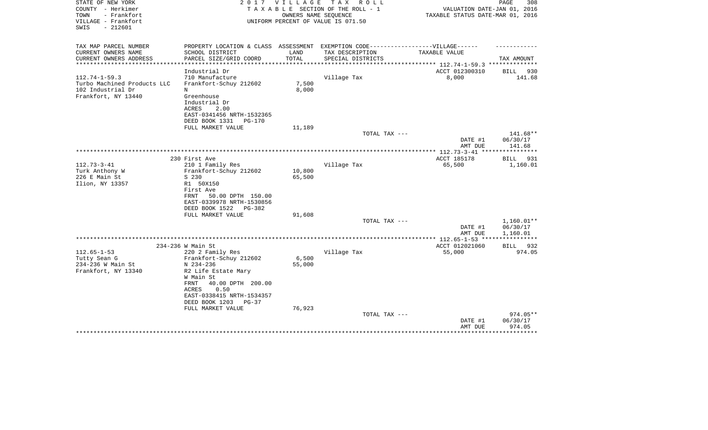| STATE OF NEW YORK<br>COUNTY - Herkimer<br>TOWN<br>- Frankfort<br>VILLAGE - Frankfort<br>$-212601$<br>SWIS | 2017                                                                                                                                       | V I L L A G E<br>OWNERS NAME SEOUENCE | T A X<br>R O L L<br>TAXABLE SECTION OF THE ROLL - 1<br>UNIFORM PERCENT OF VALUE IS 071.50 | VALUATION DATE-JAN 01, 2016<br>TAXABLE STATUS DATE-MAR 01, 2016            | PAGE<br>308                    |
|-----------------------------------------------------------------------------------------------------------|--------------------------------------------------------------------------------------------------------------------------------------------|---------------------------------------|-------------------------------------------------------------------------------------------|----------------------------------------------------------------------------|--------------------------------|
| TAX MAP PARCEL NUMBER                                                                                     | PROPERTY LOCATION & CLASS ASSESSMENT EXEMPTION CODE-----------------VILLAGE------                                                          |                                       |                                                                                           |                                                                            |                                |
| CURRENT OWNERS NAME                                                                                       | SCHOOL DISTRICT                                                                                                                            | LAND                                  | TAX DESCRIPTION                                                                           | TAXABLE VALUE                                                              |                                |
| CURRENT OWNERS ADDRESS<br>*********************                                                           | PARCEL SIZE/GRID COORD                                                                                                                     | TOTAL<br>*************                | SPECIAL DISTRICTS                                                                         |                                                                            | TAX AMOUNT                     |
|                                                                                                           | Industrial Dr                                                                                                                              |                                       |                                                                                           | ******************************** 112.74-1-59.3 *********<br>ACCT 012300310 | 930<br>BILL                    |
| $112.74 - 1 - 59.3$                                                                                       | 710 Manufacture                                                                                                                            |                                       | Village Tax                                                                               | 8,000                                                                      | 141.68                         |
| Turbo Machined Products LLC                                                                               | Frankfort-Schuy 212602                                                                                                                     | 7,500                                 |                                                                                           |                                                                            |                                |
| 102 Industrial Dr                                                                                         | N                                                                                                                                          | 8,000                                 |                                                                                           |                                                                            |                                |
| Frankfort, NY 13440                                                                                       | Greenhouse<br>Industrial Dr<br>ACRES<br>2.00<br>EAST-0341456 NRTH-1532365<br>DEED BOOK 1331<br>PG-170                                      |                                       |                                                                                           |                                                                            |                                |
|                                                                                                           | FULL MARKET VALUE                                                                                                                          | 11,189                                |                                                                                           |                                                                            |                                |
|                                                                                                           |                                                                                                                                            |                                       | TOTAL TAX ---                                                                             | DATE #1<br>AMT DUE                                                         | 141.68**<br>06/30/17<br>141.68 |
|                                                                                                           |                                                                                                                                            |                                       |                                                                                           | ** $112.73 - 3 - 41$ ***                                                   | **********                     |
|                                                                                                           | 230 First Ave                                                                                                                              |                                       |                                                                                           | ACCT 185178                                                                | 931<br>BILL                    |
| $112.73 - 3 - 41$                                                                                         | 210 1 Family Res                                                                                                                           |                                       | Village Tax                                                                               | 65,500                                                                     | 1,160.01                       |
| Turk Anthony W                                                                                            | Frankfort-Schuy 212602                                                                                                                     | 10,800                                |                                                                                           |                                                                            |                                |
| 226 E Main St<br>Ilion, NY 13357                                                                          | S 230<br>R1 50X150<br>First Ave<br>FRNT<br>50.00 DPTH 150.00<br>EAST-0339978 NRTH-1530856<br>DEED BOOK 1522<br>PG-382<br>FULL MARKET VALUE | 65,500<br>91,608                      |                                                                                           |                                                                            |                                |
|                                                                                                           |                                                                                                                                            |                                       | TOTAL TAX ---                                                                             |                                                                            | $1,160.01**$                   |
|                                                                                                           |                                                                                                                                            |                                       |                                                                                           | DATE #1<br>AMT DUE                                                         | 06/30/17<br>1,160.01           |
|                                                                                                           |                                                                                                                                            |                                       |                                                                                           |                                                                            |                                |
|                                                                                                           | 234-236 W Main St                                                                                                                          |                                       |                                                                                           | ACCT 012021060                                                             | 932<br>BILL                    |
| $112.65 - 1 - 53$                                                                                         | 220 2 Family Res                                                                                                                           |                                       | Village Tax                                                                               | 55,000                                                                     | 974.05                         |
| Tutty Sean G<br>234-236 W Main St                                                                         | Frankfort-Schuy 212602<br>N 234-236                                                                                                        | 6,500<br>55,000                       |                                                                                           |                                                                            |                                |
| Frankfort, NY 13340                                                                                       | R2 Life Estate Mary                                                                                                                        |                                       |                                                                                           |                                                                            |                                |
|                                                                                                           | W Main St                                                                                                                                  |                                       |                                                                                           |                                                                            |                                |
|                                                                                                           | 40.00 DPTH 200.00<br>FRNT                                                                                                                  |                                       |                                                                                           |                                                                            |                                |
|                                                                                                           | 0.50<br>ACRES                                                                                                                              |                                       |                                                                                           |                                                                            |                                |
|                                                                                                           | EAST-0338415 NRTH-1534357<br>DEED BOOK 1203<br>$PG-37$                                                                                     |                                       |                                                                                           |                                                                            |                                |
|                                                                                                           | FULL MARKET VALUE                                                                                                                          | 76,923                                |                                                                                           |                                                                            |                                |
|                                                                                                           |                                                                                                                                            |                                       | TOTAL TAX ---                                                                             |                                                                            | 974.05**                       |
|                                                                                                           |                                                                                                                                            |                                       |                                                                                           | DATE #1                                                                    | 06/30/17                       |
|                                                                                                           |                                                                                                                                            |                                       |                                                                                           | AMT DUE<br>*******************************                                 | 974.05                         |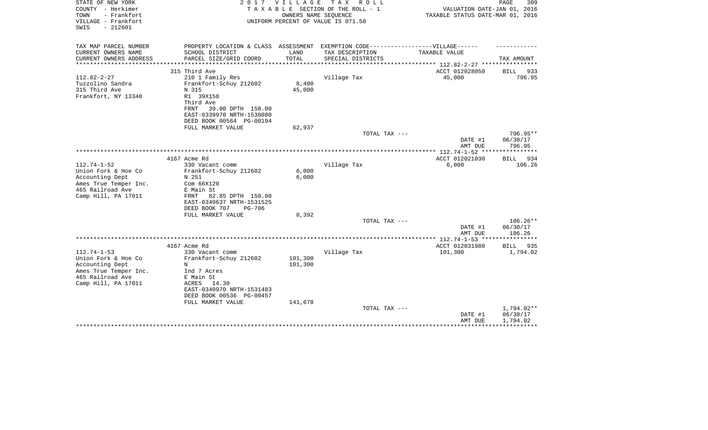| STATE OF NEW YORK<br>COUNTY - Herkimer<br>- Frankfort<br>TOWN<br>VILLAGE - Frankfort<br>$-212601$<br>SWIS | 2017                                       | VILLAGE       | T A X<br>R O L L<br>TAXABLE SECTION OF THE ROLL - 1<br>OWNERS NAME SEQUENCE<br>UNIFORM PERCENT OF VALUE IS 071.50 | VALUATION DATE-JAN 01, 2016<br>TAXABLE STATUS DATE-MAR 01, 2016 | PAGE<br>309          |
|-----------------------------------------------------------------------------------------------------------|--------------------------------------------|---------------|-------------------------------------------------------------------------------------------------------------------|-----------------------------------------------------------------|----------------------|
| TAX MAP PARCEL NUMBER                                                                                     | PROPERTY LOCATION & CLASS ASSESSMENT       |               | EXEMPTION CODE------------------VILLAGE------                                                                     |                                                                 |                      |
| CURRENT OWNERS NAME<br>CURRENT OWNERS ADDRESS                                                             | SCHOOL DISTRICT<br>PARCEL SIZE/GRID COORD  | LAND<br>TOTAL | TAX DESCRIPTION<br>SPECIAL DISTRICTS                                                                              | TAXABLE VALUE                                                   | TAX AMOUNT           |
| ***************                                                                                           | **************************                 | ************  |                                                                                                                   | *********************** 112.82-2-27 ****************            |                      |
| $112.82 - 2 - 27$                                                                                         | 315 Third Ave                              |               |                                                                                                                   | ACCT 012028050<br>45,000                                        | BILL 933             |
| Tuzzolino Sandra                                                                                          | 210 1 Family Res<br>Frankfort-Schuy 212602 | 8,400         | Village Tax                                                                                                       |                                                                 | 796.95               |
| 315 Third Ave                                                                                             | N 315                                      | 45,000        |                                                                                                                   |                                                                 |                      |
| Frankfort, NY 13340                                                                                       | R1 39X150<br>Third Ave                     |               |                                                                                                                   |                                                                 |                      |
|                                                                                                           | 39.00 DPTH 150.00<br>FRNT                  |               |                                                                                                                   |                                                                 |                      |
|                                                                                                           | EAST-0339970 NRTH-1530080                  |               |                                                                                                                   |                                                                 |                      |
|                                                                                                           | DEED BOOK 00564 PG-00194                   |               |                                                                                                                   |                                                                 |                      |
|                                                                                                           | FULL MARKET VALUE                          | 62,937        |                                                                                                                   |                                                                 |                      |
|                                                                                                           |                                            |               | TOTAL TAX ---                                                                                                     | DATE #1                                                         | 796.95**<br>06/30/17 |
|                                                                                                           |                                            |               |                                                                                                                   | AMT DUE                                                         | 796.95               |
|                                                                                                           |                                            |               |                                                                                                                   |                                                                 |                      |
|                                                                                                           | 4167 Acme Rd                               |               |                                                                                                                   | ACCT 012021030                                                  | BILL 934             |
| $112.74 - 1 - 52$                                                                                         | 330 Vacant comm                            |               | Village Tax                                                                                                       | 6,000                                                           | 106.26               |
| Union Fork & Hoe Co                                                                                       | Frankfort-Schuy 212602                     | 6,000         |                                                                                                                   |                                                                 |                      |
| Accounting Dept<br>Ames True Temper Inc.                                                                  | N 251<br>Com 66X120                        | 6,000         |                                                                                                                   |                                                                 |                      |
| 465 Railroad Ave                                                                                          | E Main St                                  |               |                                                                                                                   |                                                                 |                      |
| Camp Hill, PA 17011                                                                                       | 82.85 DPTH 150.80<br>FRNT                  |               |                                                                                                                   |                                                                 |                      |
|                                                                                                           | EAST-0340637 NRTH-1531525                  |               |                                                                                                                   |                                                                 |                      |
|                                                                                                           | DEED BOOK 707<br><b>PG-706</b>             |               |                                                                                                                   |                                                                 |                      |
|                                                                                                           | FULL MARKET VALUE                          | 8,392         |                                                                                                                   |                                                                 |                      |
|                                                                                                           |                                            |               | TOTAL TAX ---                                                                                                     |                                                                 | 106.26**             |
|                                                                                                           |                                            |               |                                                                                                                   | DATE #1<br>AMT DUE                                              | 06/30/17<br>106.26   |
|                                                                                                           |                                            |               |                                                                                                                   | ************** 112.74-1-53 *****************                    |                      |
|                                                                                                           | 4167 Acme Rd                               |               |                                                                                                                   | ACCT 012031980                                                  | BILL 935             |
| $112.74 - 1 - 53$                                                                                         | 330 Vacant comm                            |               | Village Tax                                                                                                       | 101,300                                                         | 1,794.02             |
| Union Fork & Hoe Co                                                                                       | Frankfort-Schuy 212602                     | 101,300       |                                                                                                                   |                                                                 |                      |
| Accounting Dept                                                                                           | N                                          | 101,300       |                                                                                                                   |                                                                 |                      |
| Ames True Temper Inc.<br>465 Railroad Ave                                                                 | Ind 7 Acres<br>E Main St                   |               |                                                                                                                   |                                                                 |                      |
| Camp Hill, PA 17011                                                                                       | ACRES 14.30                                |               |                                                                                                                   |                                                                 |                      |
|                                                                                                           | EAST-0340970 NRTH-1531483                  |               |                                                                                                                   |                                                                 |                      |
|                                                                                                           | DEED BOOK 00536 PG-00457                   |               |                                                                                                                   |                                                                 |                      |
|                                                                                                           | FULL MARKET VALUE                          | 141,678       |                                                                                                                   |                                                                 |                      |
|                                                                                                           |                                            |               | TOTAL TAX ---                                                                                                     |                                                                 | 1,794.02**           |
|                                                                                                           |                                            |               |                                                                                                                   | DATE #1<br>AMT DUE                                              | 06/30/17<br>1,794.02 |
|                                                                                                           |                                            |               |                                                                                                                   |                                                                 |                      |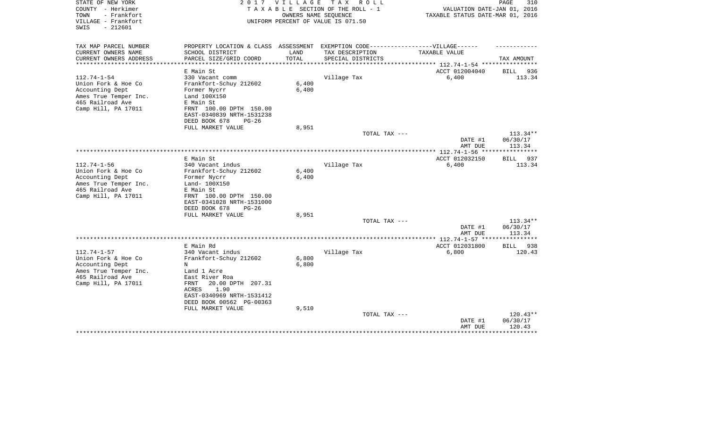| STATE OF NEW YORK<br>COUNTY - Herkimer<br>- Frankfort<br>TOWN<br>VILLAGE - Frankfort<br>$-212601$<br>SWIS | 2017                                                 |                     | VILLAGE TAX ROLL<br>TAXABLE SECTION OF THE ROLL - 1<br>OWNERS NAME SEQUENCE<br>UNIFORM PERCENT OF VALUE IS 071.50 | VALUATION DATE-JAN 01, 2016<br>TAXABLE STATUS DATE-MAR 01, 2016 | PAGE<br>310        |
|-----------------------------------------------------------------------------------------------------------|------------------------------------------------------|---------------------|-------------------------------------------------------------------------------------------------------------------|-----------------------------------------------------------------|--------------------|
| TAX MAP PARCEL NUMBER                                                                                     | PROPERTY LOCATION & CLASS ASSESSMENT                 |                     | EXEMPTION CODE------------------VILLAGE------                                                                     |                                                                 |                    |
| CURRENT OWNERS NAME                                                                                       | SCHOOL DISTRICT                                      | LAND                | TAX DESCRIPTION                                                                                                   | TAXABLE VALUE                                                   |                    |
| CURRENT OWNERS ADDRESS<br>*********************                                                           | PARCEL SIZE/GRID COORD                               | TOTAL<br>********** | SPECIAL DISTRICTS                                                                                                 | .******************************** 112.74-1-54 ***********       | TAX AMOUNT         |
|                                                                                                           | E Main St                                            |                     |                                                                                                                   | ACCT 012004040                                                  | 936<br><b>BILL</b> |
| $112.74 - 1 - 54$                                                                                         | 330 Vacant comm                                      |                     | Village Tax                                                                                                       | 6,400                                                           | 113.34             |
| Union Fork & Hoe Co                                                                                       | Frankfort-Schuy 212602                               | 6,400               |                                                                                                                   |                                                                 |                    |
| Accounting Dept                                                                                           | Former Nycrr                                         | 6,400               |                                                                                                                   |                                                                 |                    |
| Ames True Temper Inc.                                                                                     | Land 100X150                                         |                     |                                                                                                                   |                                                                 |                    |
| 465 Railroad Ave<br>Camp Hill, PA 17011                                                                   | E Main St<br>FRNT 100.00 DPTH 150.00                 |                     |                                                                                                                   |                                                                 |                    |
|                                                                                                           | EAST-0340839 NRTH-1531238                            |                     |                                                                                                                   |                                                                 |                    |
|                                                                                                           | DEED BOOK 678<br>$PG-26$                             |                     |                                                                                                                   |                                                                 |                    |
|                                                                                                           | FULL MARKET VALUE                                    | 8,951               |                                                                                                                   |                                                                 |                    |
|                                                                                                           |                                                      |                     | TOTAL TAX ---                                                                                                     |                                                                 | $113.34**$         |
|                                                                                                           |                                                      |                     |                                                                                                                   | DATE #1                                                         | 06/30/17           |
|                                                                                                           |                                                      |                     |                                                                                                                   | AMT DUE                                                         | 113.34             |
|                                                                                                           | E Main St                                            |                     |                                                                                                                   | ACCT 012032150                                                  | 937<br>BILL        |
| $112.74 - 1 - 56$                                                                                         | 340 Vacant indus                                     |                     | Village Tax                                                                                                       | 6,400                                                           | 113.34             |
| Union Fork & Hoe Co                                                                                       | Frankfort-Schuy 212602                               | 6,400               |                                                                                                                   |                                                                 |                    |
| Accounting Dept                                                                                           | Former Nycrr                                         | 6,400               |                                                                                                                   |                                                                 |                    |
| Ames True Temper Inc.                                                                                     | Land- 100X150                                        |                     |                                                                                                                   |                                                                 |                    |
| 465 Railroad Ave                                                                                          | E Main St                                            |                     |                                                                                                                   |                                                                 |                    |
| Camp Hill, PA 17011                                                                                       | FRNT 100.00 DPTH 150.00<br>EAST-0341028 NRTH-1531000 |                     |                                                                                                                   |                                                                 |                    |
|                                                                                                           | DEED BOOK 678<br>$PG-26$                             |                     |                                                                                                                   |                                                                 |                    |
|                                                                                                           | FULL MARKET VALUE                                    | 8,951               |                                                                                                                   |                                                                 |                    |
|                                                                                                           |                                                      |                     | TOTAL TAX ---                                                                                                     |                                                                 | $113.34**$         |
|                                                                                                           |                                                      |                     |                                                                                                                   | DATE #1                                                         | 06/30/17           |
|                                                                                                           |                                                      |                     |                                                                                                                   | AMT DUE<br>**** 112.74-1-57 ***                                 | 113.34             |
|                                                                                                           | E Main Rd                                            |                     |                                                                                                                   | ACCT 012031800                                                  | 938<br>BILL        |
| $112.74 - 1 - 57$                                                                                         | 340 Vacant indus                                     |                     | Village Tax                                                                                                       | 6,800                                                           | 120.43             |
| Union Fork & Hoe Co                                                                                       | Frankfort-Schuy 212602                               | 6,800               |                                                                                                                   |                                                                 |                    |
| Accounting Dept                                                                                           | N                                                    | 6,800               |                                                                                                                   |                                                                 |                    |
| Ames True Temper Inc.                                                                                     | Land 1 Acre                                          |                     |                                                                                                                   |                                                                 |                    |
| 465 Railroad Ave<br>Camp Hill, PA 17011                                                                   | East River Roa<br>20.00 DPTH 207.31<br>FRNT          |                     |                                                                                                                   |                                                                 |                    |
|                                                                                                           | 1.90<br>ACRES                                        |                     |                                                                                                                   |                                                                 |                    |
|                                                                                                           | EAST-0340969 NRTH-1531412                            |                     |                                                                                                                   |                                                                 |                    |
|                                                                                                           | DEED BOOK 00562 PG-00363                             |                     |                                                                                                                   |                                                                 |                    |
|                                                                                                           | FULL MARKET VALUE                                    | 9,510               |                                                                                                                   |                                                                 |                    |
|                                                                                                           |                                                      |                     | TOTAL TAX ---                                                                                                     |                                                                 | $120.43**$         |
|                                                                                                           |                                                      |                     |                                                                                                                   | DATE #1                                                         | 06/30/17           |
|                                                                                                           |                                                      |                     |                                                                                                                   | AMT DUE                                                         | 120.43             |
|                                                                                                           |                                                      |                     |                                                                                                                   |                                                                 |                    |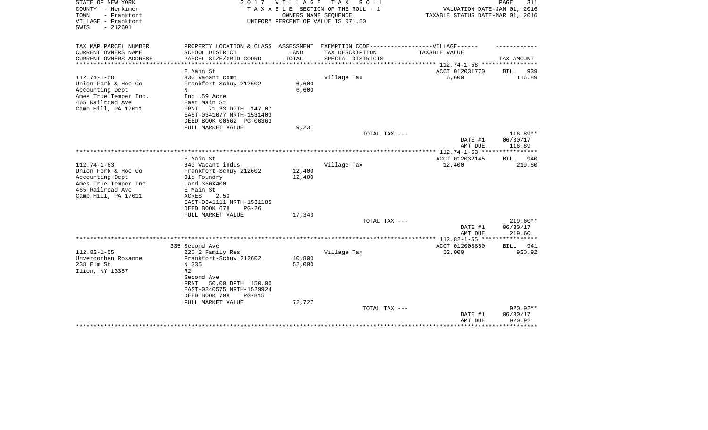| STATE OF NEW YORK<br>COUNTY - Herkimer<br>- Frankfort<br>TOWN<br>VILLAGE - Frankfort<br>$-212601$<br>SWIS                       | 2017                                                                                                                                          | V I L L A G E    | T A X<br>R O L L<br>TAXABLE SECTION OF THE ROLL - 1<br>OWNERS NAME SEQUENCE<br>UNIFORM PERCENT OF VALUE IS 071.50 | VALUATION DATE-JAN 01, 2016<br>TAXABLE STATUS DATE-MAR 01, 2016  | PAGE<br>311           |
|---------------------------------------------------------------------------------------------------------------------------------|-----------------------------------------------------------------------------------------------------------------------------------------------|------------------|-------------------------------------------------------------------------------------------------------------------|------------------------------------------------------------------|-----------------------|
| TAX MAP PARCEL NUMBER                                                                                                           | PROPERTY LOCATION & CLASS ASSESSMENT                                                                                                          |                  | EXEMPTION CODE------------------VILLAGE------                                                                     |                                                                  |                       |
| CURRENT OWNERS NAME<br>CURRENT OWNERS ADDRESS<br>*********************                                                          | SCHOOL DISTRICT<br>PARCEL SIZE/GRID COORD<br>********************                                                                             | LAND<br>TOTAL    | TAX DESCRIPTION<br>SPECIAL DISTRICTS                                                                              | TAXABLE VALUE<br>***************** 112.74-1-58 ***************** | TAX AMOUNT            |
|                                                                                                                                 | E Main St                                                                                                                                     |                  |                                                                                                                   | ACCT 012031770                                                   | 939<br>BILL           |
| $112.74 - 1 - 58$<br>Union Fork & Hoe Co<br>Accounting Dept<br>Ames True Temper Inc.<br>465 Railroad Ave<br>Camp Hill, PA 17011 | 330 Vacant comm<br>Frankfort-Schuy 212602<br>N<br>Ind .59 Acre<br>East Main St<br>71.33 DPTH 147.07<br>FRNT                                   | 6,600<br>6,600   | Village Tax                                                                                                       | 6,600                                                            | 116.89                |
|                                                                                                                                 | EAST-0341077 NRTH-1531403                                                                                                                     |                  |                                                                                                                   |                                                                  |                       |
|                                                                                                                                 | DEED BOOK 00562 PG-00363<br>FULL MARKET VALUE                                                                                                 | 9,231            |                                                                                                                   |                                                                  |                       |
|                                                                                                                                 |                                                                                                                                               |                  | TOTAL TAX ---                                                                                                     |                                                                  | $116.89**$            |
|                                                                                                                                 |                                                                                                                                               |                  |                                                                                                                   | DATE #1<br>AMT DUE                                               | 06/30/17<br>116.89    |
|                                                                                                                                 |                                                                                                                                               |                  |                                                                                                                   | *********** 112.74-1-63 ****                                     | ************          |
| $112.74 - 1 - 63$                                                                                                               | E Main St<br>340 Vacant indus                                                                                                                 |                  | Village Tax                                                                                                       | ACCT 012032145<br>12,400                                         | BILL<br>940<br>219.60 |
| Union Fork & Hoe Co<br>Accounting Dept<br>Ames True Temper Inc<br>465 Railroad Ave<br>Camp Hill, PA 17011                       | Frankfort-Schuy 212602<br>Old Foundry<br>Land 360X400<br>E Main St<br>2.50<br>ACRES<br>EAST-0341111 NRTH-1531185<br>DEED BOOK 678<br>$PG-26$  | 12,400<br>12,400 |                                                                                                                   |                                                                  |                       |
|                                                                                                                                 | FULL MARKET VALUE                                                                                                                             | 17,343           | TOTAL TAX ---                                                                                                     |                                                                  | $219.60**$            |
|                                                                                                                                 |                                                                                                                                               |                  |                                                                                                                   | DATE #1<br>AMT DUE                                               | 06/30/17<br>219.60    |
|                                                                                                                                 |                                                                                                                                               |                  |                                                                                                                   |                                                                  |                       |
|                                                                                                                                 | 335 Second Ave                                                                                                                                |                  |                                                                                                                   | ACCT 012008850                                                   | BILL<br>941           |
| $112.82 - 1 - 55$<br>Unverdorben Rosanne<br>238 Elm St<br>Ilion, NY 13357                                                       | 220 2 Family Res<br>Frankfort-Schuy 212602<br>N 335<br>R <sub>2</sub><br>Second Ave<br>50.00 DPTH 150.00<br>FRNT<br>EAST-0340575 NRTH-1529924 | 10,800<br>52,000 | Village Tax                                                                                                       | 52,000                                                           | 920.92                |
|                                                                                                                                 | DEED BOOK 708<br>$PG-815$                                                                                                                     |                  |                                                                                                                   |                                                                  |                       |
|                                                                                                                                 | FULL MARKET VALUE                                                                                                                             | 72,727           | TOTAL TAX ---                                                                                                     | DATE #1                                                          | 920.92**<br>06/30/17  |
|                                                                                                                                 |                                                                                                                                               |                  |                                                                                                                   | AMT DUE                                                          | 920.92                |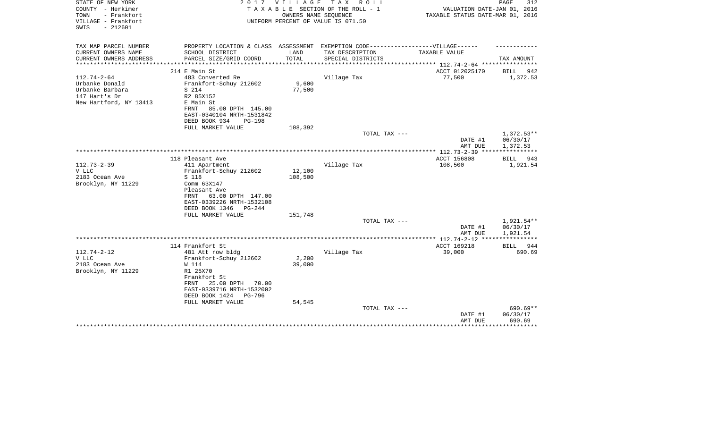| STATE OF NEW YORK<br>COUNTY - Herkimer<br>TOWN<br>- Frankfort<br>VILLAGE - Frankfort | 2017                                                                              | VILLAGE | TAX ROLL<br>TAXABLE SECTION OF THE ROLL - 1<br>OWNERS NAME SEQUENCE<br>UNIFORM PERCENT OF VALUE IS 071.50 | VALUATION DATE-JAN 01, 2016<br>TAXABLE STATUS DATE-MAR 01, 2016 | PAGE<br>312            |
|--------------------------------------------------------------------------------------|-----------------------------------------------------------------------------------|---------|-----------------------------------------------------------------------------------------------------------|-----------------------------------------------------------------|------------------------|
| $-212601$<br>SWIS                                                                    |                                                                                   |         |                                                                                                           |                                                                 |                        |
| TAX MAP PARCEL NUMBER                                                                | PROPERTY LOCATION & CLASS ASSESSMENT EXEMPTION CODE-----------------VILLAGE------ |         |                                                                                                           |                                                                 |                        |
| CURRENT OWNERS NAME                                                                  | SCHOOL DISTRICT                                                                   | LAND    | TAX DESCRIPTION                                                                                           | TAXABLE VALUE                                                   |                        |
| CURRENT OWNERS ADDRESS                                                               | PARCEL SIZE/GRID COORD                                                            | TOTAL   | SPECIAL DISTRICTS                                                                                         |                                                                 | TAX AMOUNT             |
|                                                                                      | 214 E Main St                                                                     |         |                                                                                                           | ACCT 012025170                                                  | BILL<br>942            |
| $112.74 - 2 - 64$                                                                    | 483 Converted Re                                                                  |         | Village Tax                                                                                               | 77,500                                                          | 1,372.53               |
| Urbanke Donald                                                                       | Frankfort-Schuy 212602                                                            | 9,600   |                                                                                                           |                                                                 |                        |
| Urbanke Barbara                                                                      | S 214                                                                             | 77,500  |                                                                                                           |                                                                 |                        |
| 147 Hart's Dr                                                                        | R2 85X152                                                                         |         |                                                                                                           |                                                                 |                        |
| New Hartford, NY 13413                                                               | E Main St<br>85.00 DPTH 145.00<br>FRNT                                            |         |                                                                                                           |                                                                 |                        |
|                                                                                      | EAST-0340104 NRTH-1531842                                                         |         |                                                                                                           |                                                                 |                        |
|                                                                                      | DEED BOOK 934<br><b>PG-198</b>                                                    |         |                                                                                                           |                                                                 |                        |
|                                                                                      | FULL MARKET VALUE                                                                 | 108,392 |                                                                                                           |                                                                 |                        |
|                                                                                      |                                                                                   |         | TOTAL TAX ---                                                                                             |                                                                 | $1,372.53**$           |
|                                                                                      |                                                                                   |         |                                                                                                           | DATE #1                                                         | 06/30/17               |
|                                                                                      |                                                                                   |         |                                                                                                           | AMT DUE                                                         | 1,372.53               |
|                                                                                      | 118 Pleasant Ave                                                                  |         |                                                                                                           | ACCT 156808                                                     | BILL<br>943            |
| $112.73 - 2 - 39$                                                                    | 411 Apartment                                                                     |         | Village Tax                                                                                               | 108,500                                                         | 1,921.54               |
| V LLC                                                                                | Frankfort-Schuy 212602                                                            | 12,100  |                                                                                                           |                                                                 |                        |
| 2183 Ocean Ave                                                                       | S 118                                                                             | 108,500 |                                                                                                           |                                                                 |                        |
| Brooklyn, NY 11229                                                                   | Comm 63X147<br>Pleasant Ave                                                       |         |                                                                                                           |                                                                 |                        |
|                                                                                      | 63.00 DPTH 147.00<br>FRNT                                                         |         |                                                                                                           |                                                                 |                        |
|                                                                                      | EAST-0339226 NRTH-1532108                                                         |         |                                                                                                           |                                                                 |                        |
|                                                                                      | DEED BOOK 1346<br>PG-244                                                          |         |                                                                                                           |                                                                 |                        |
|                                                                                      | FULL MARKET VALUE                                                                 | 151,748 |                                                                                                           |                                                                 |                        |
|                                                                                      |                                                                                   |         | TOTAL TAX ---                                                                                             |                                                                 | 1,921.54**             |
|                                                                                      |                                                                                   |         |                                                                                                           | DATE #1<br>AMT DUE                                              | 06/30/17<br>1,921.54   |
|                                                                                      |                                                                                   |         |                                                                                                           | **************** 112.74-2-12 ****                               |                        |
|                                                                                      | 114 Frankfort St                                                                  |         |                                                                                                           | ACCT 169218                                                     | <b>BILL</b><br>944     |
| $112.74 - 2 - 12$                                                                    | 481 Att row bldg                                                                  |         | Village Tax                                                                                               | 39,000                                                          | 690.69                 |
| V LLC                                                                                | Frankfort-Schuy 212602                                                            | 2,200   |                                                                                                           |                                                                 |                        |
| 2183 Ocean Ave                                                                       | W 114<br>R1 25X70                                                                 | 39,000  |                                                                                                           |                                                                 |                        |
| Brooklyn, NY 11229                                                                   | Frankfort St                                                                      |         |                                                                                                           |                                                                 |                        |
|                                                                                      | 25.00 DPTH<br>70.00<br>FRNT                                                       |         |                                                                                                           |                                                                 |                        |
|                                                                                      | EAST-0339716 NRTH-1532002                                                         |         |                                                                                                           |                                                                 |                        |
|                                                                                      | DEED BOOK 1424<br><b>PG-796</b>                                                   |         |                                                                                                           |                                                                 |                        |
|                                                                                      | FULL MARKET VALUE                                                                 | 54,545  |                                                                                                           |                                                                 |                        |
|                                                                                      |                                                                                   |         | TOTAL TAX ---                                                                                             | DATE #1                                                         | $690.69**$<br>06/30/17 |
|                                                                                      |                                                                                   |         |                                                                                                           | AMT DUE                                                         | 690.69                 |
|                                                                                      |                                                                                   |         |                                                                                                           |                                                                 | ***********            |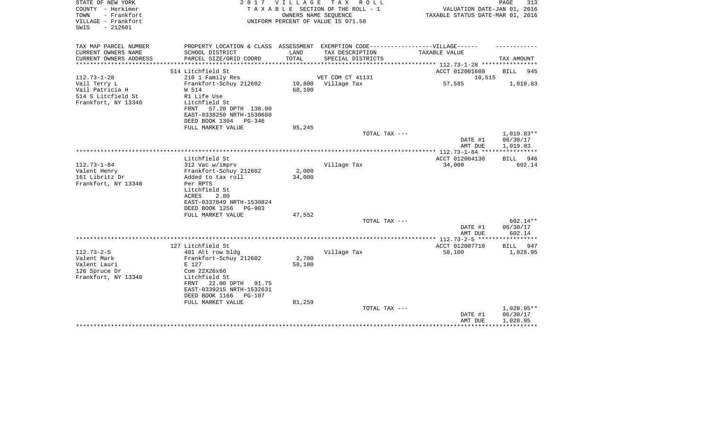| STATE OF NEW YORK<br>COUNTY - Herkimer<br>TOWN<br>- Frankfort<br>VILLAGE - Frankfort<br>SWIS<br>$-212601$ |                                                                                                      | 2017 VILLAGE    | TAX ROLL<br>T A X A B L E SECTION OF THE ROLL - 1<br>OWNERS NAME SEOUENCE<br>UNIFORM PERCENT OF VALUE IS 071.50 | VALUATION DATE-JAN 01, 2016<br>TAXABLE STATUS DATE-MAR 01, 2016 | PAGE<br>313            |
|-----------------------------------------------------------------------------------------------------------|------------------------------------------------------------------------------------------------------|-----------------|-----------------------------------------------------------------------------------------------------------------|-----------------------------------------------------------------|------------------------|
| TAX MAP PARCEL NUMBER<br>CURRENT OWNERS NAME                                                              | PROPERTY LOCATION & CLASS ASSESSMENT EXEMPTION CODE-----------------VILLAGE------<br>SCHOOL DISTRICT | LAND            | TAX DESCRIPTION                                                                                                 | TAXABLE VALUE                                                   |                        |
| CURRENT OWNERS ADDRESS                                                                                    | PARCEL SIZE/GRID COORD                                                                               | TOTAL           | SPECIAL DISTRICTS                                                                                               |                                                                 | TAX AMOUNT             |
|                                                                                                           |                                                                                                      |                 |                                                                                                                 | *********** 112.73-1-28 *********                               |                        |
|                                                                                                           | 514 Litchfield St                                                                                    |                 |                                                                                                                 | ACCT 012001680                                                  | <b>BILL</b><br>945     |
| $112.73 - 1 - 28$                                                                                         | 210 1 Family Res<br>Frankfort-Schuy 212602                                                           | 10,800          | VET COM CT 41131<br>Village Tax                                                                                 | 10,515<br>57,585                                                | 1,019.83               |
| Vail Terry L<br>Vail Patricia H                                                                           | W 514                                                                                                | 68,100          |                                                                                                                 |                                                                 |                        |
| 514 S Litcfield St                                                                                        | R1 Life Use                                                                                          |                 |                                                                                                                 |                                                                 |                        |
| Frankfort, NY 13340                                                                                       | Litchfield St                                                                                        |                 |                                                                                                                 |                                                                 |                        |
|                                                                                                           | 57.20 DPTH 130.00<br>FRNT                                                                            |                 |                                                                                                                 |                                                                 |                        |
|                                                                                                           | EAST-0338250 NRTH-1530680                                                                            |                 |                                                                                                                 |                                                                 |                        |
|                                                                                                           | DEED BOOK 1304<br>$PG-346$                                                                           |                 |                                                                                                                 |                                                                 |                        |
|                                                                                                           | FULL MARKET VALUE                                                                                    | 95,245          | TOTAL TAX ---                                                                                                   |                                                                 | 1,019.83**             |
|                                                                                                           |                                                                                                      |                 |                                                                                                                 | DATE #1                                                         | 06/30/17               |
|                                                                                                           |                                                                                                      |                 |                                                                                                                 | AMT DUE                                                         | 1,019.83               |
|                                                                                                           |                                                                                                      |                 |                                                                                                                 |                                                                 |                        |
|                                                                                                           | Litchfield St                                                                                        |                 |                                                                                                                 | ACCT 012004130                                                  | BILL 946               |
| $112.73 - 1 - 84$                                                                                         | 312 Vac w/imprv                                                                                      |                 | Village Tax                                                                                                     | 34,000                                                          | 602.14                 |
| Valent Henry<br>161 Libritz Dr                                                                            | Frankfort-Schuy 212602<br>Added to tax roll                                                          | 2,000<br>34,000 |                                                                                                                 |                                                                 |                        |
| Frankfort, NY 13340                                                                                       | Per RPTS                                                                                             |                 |                                                                                                                 |                                                                 |                        |
|                                                                                                           | Litchfield St                                                                                        |                 |                                                                                                                 |                                                                 |                        |
|                                                                                                           | ACRES<br>2.80                                                                                        |                 |                                                                                                                 |                                                                 |                        |
|                                                                                                           | EAST-0337849 NRTH-1530824                                                                            |                 |                                                                                                                 |                                                                 |                        |
|                                                                                                           | DEED BOOK 1256<br><b>PG-903</b>                                                                      |                 |                                                                                                                 |                                                                 |                        |
|                                                                                                           | FULL MARKET VALUE                                                                                    | 47,552          | TOTAL TAX ---                                                                                                   |                                                                 | 602.14**               |
|                                                                                                           |                                                                                                      |                 |                                                                                                                 | DATE #1                                                         | 06/30/17               |
|                                                                                                           |                                                                                                      |                 |                                                                                                                 | AMT DUE                                                         | 602.14                 |
|                                                                                                           |                                                                                                      |                 |                                                                                                                 | *********** 112.73-2-5 ******************                       |                        |
|                                                                                                           | 127 Litchfield St                                                                                    |                 |                                                                                                                 | ACCT 012007710                                                  | <b>BILL</b><br>947     |
| $112.73 - 2 - 5$                                                                                          | 481 Att row bldg                                                                                     |                 | Village Tax                                                                                                     | 58,100                                                          | 1,028.95               |
| Valent Mark<br>Valent Lauri                                                                               | Frankfort-Schuy 212602<br>E 127                                                                      | 2,700<br>58,100 |                                                                                                                 |                                                                 |                        |
| 126 Spruce Dr                                                                                             | Com 22X26x66                                                                                         |                 |                                                                                                                 |                                                                 |                        |
| Frankfort, NY 13340                                                                                       | Litchfield St                                                                                        |                 |                                                                                                                 |                                                                 |                        |
|                                                                                                           | 22.00 DPTH<br>FRNT<br>91.75                                                                          |                 |                                                                                                                 |                                                                 |                        |
|                                                                                                           | EAST-0339215 NRTH-1532631                                                                            |                 |                                                                                                                 |                                                                 |                        |
|                                                                                                           | DEED BOOK 1166<br><b>PG-107</b>                                                                      |                 |                                                                                                                 |                                                                 |                        |
|                                                                                                           | FULL MARKET VALUE                                                                                    | 81,259          |                                                                                                                 |                                                                 |                        |
|                                                                                                           |                                                                                                      |                 | TOTAL TAX ---                                                                                                   | DATE #1                                                         | 1,028.95**<br>06/30/17 |
|                                                                                                           |                                                                                                      |                 |                                                                                                                 | AMT DUE                                                         | 1,028.95               |
|                                                                                                           |                                                                                                      |                 |                                                                                                                 |                                                                 |                        |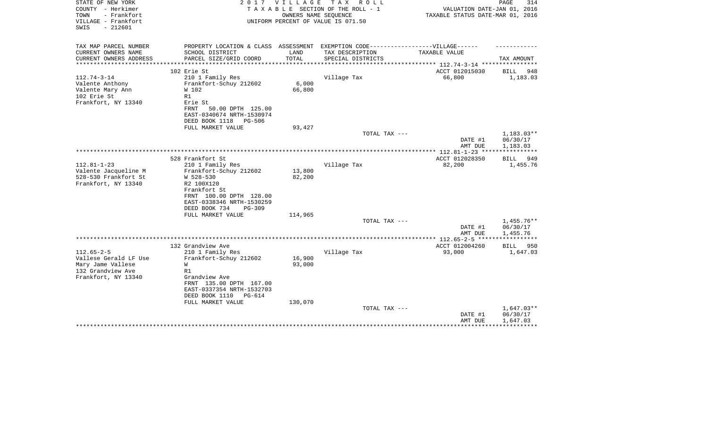| STATE OF NEW YORK<br>COUNTY - Herkimer<br>TOWN<br>- Frankfort<br>VILLAGE - Frankfort<br>$-212601$<br>SWIS | 2017                                                                                                                                                                       | VILLAGE<br>OWNERS NAME SEQUENCE | T A X<br>R O L L<br>TAXABLE SECTION OF THE ROLL - 1<br>UNIFORM PERCENT OF VALUE IS 071.50            | VALUATION DATE-JAN 01, 2016<br>TAXABLE STATUS DATE-MAR 01, 2016 | PAGE<br>314                          |
|-----------------------------------------------------------------------------------------------------------|----------------------------------------------------------------------------------------------------------------------------------------------------------------------------|---------------------------------|------------------------------------------------------------------------------------------------------|-----------------------------------------------------------------|--------------------------------------|
| TAX MAP PARCEL NUMBER<br>CURRENT OWNERS NAME                                                              | SCHOOL DISTRICT                                                                                                                                                            | LAND                            | PROPERTY LOCATION & CLASS ASSESSMENT EXEMPTION CODE-----------------VILLAGE------<br>TAX DESCRIPTION | <b>TAXABLE VALUE</b>                                            |                                      |
| CURRENT OWNERS ADDRESS                                                                                    | PARCEL SIZE/GRID COORD                                                                                                                                                     | TOTAL                           | SPECIAL DISTRICTS                                                                                    |                                                                 | TAX AMOUNT                           |
| **********************                                                                                    |                                                                                                                                                                            |                                 |                                                                                                      |                                                                 |                                      |
|                                                                                                           | 102 Erie St                                                                                                                                                                |                                 |                                                                                                      | ACCT 012015030                                                  | 948<br>BILL                          |
| $112.74 - 3 - 14$<br>Valente Anthony<br>Valente Mary Ann<br>102 Erie St<br>Frankfort, NY 13340            | 210 1 Family Res<br>Frankfort-Schuy 212602<br>W 102<br>R1<br>Erie St<br>50.00 DPTH 125.00<br>FRNT<br>EAST-0340674 NRTH-1530974                                             | 6,000<br>66,800                 | Village Tax                                                                                          | 66,800                                                          | 1,183.03                             |
|                                                                                                           | DEED BOOK 1118<br><b>PG-506</b>                                                                                                                                            |                                 |                                                                                                      |                                                                 |                                      |
|                                                                                                           | FULL MARKET VALUE                                                                                                                                                          | 93,427                          |                                                                                                      |                                                                 |                                      |
|                                                                                                           |                                                                                                                                                                            |                                 | TOTAL TAX ---                                                                                        | DATE #1<br>AMT DUE                                              | $1,183.03**$<br>06/30/17<br>1,183.03 |
|                                                                                                           |                                                                                                                                                                            |                                 |                                                                                                      |                                                                 |                                      |
|                                                                                                           | 528 Frankfort St                                                                                                                                                           |                                 |                                                                                                      | ACCT 012028350                                                  | BILL<br>949                          |
| $112.81 - 1 - 23$<br>Valente Jacqueline M<br>528-530 Frankfort St<br>Frankfort, NY 13340                  | 210 1 Family Res<br>Frankfort-Schuy 212602<br>W 528-530<br>R2 100X120<br>Frankfort St<br>FRNT 100.00 DPTH 128.00<br>EAST-0338346 NRTH-1530259<br>DEED BOOK 734<br>$PG-309$ | 13,800<br>82,200                | Village Tax                                                                                          | 82,200                                                          | 1,455.76                             |
|                                                                                                           | FULL MARKET VALUE                                                                                                                                                          | 114,965                         |                                                                                                      |                                                                 |                                      |
|                                                                                                           |                                                                                                                                                                            |                                 | TOTAL TAX ---                                                                                        | DATE #1<br>AMT DUE                                              | $1,455.76**$<br>06/30/17<br>1,455.76 |
|                                                                                                           |                                                                                                                                                                            |                                 |                                                                                                      |                                                                 | ************                         |
| $112.65 - 2 - 5$                                                                                          | 132 Grandview Ave<br>210 1 Family Res                                                                                                                                      |                                 | Village Tax                                                                                          | ACCT 012004260<br>93,000                                        | BILL<br>950<br>1,647.03              |
| Vallese Gerald LF Use<br>Mary Jame Vallese<br>132 Grandview Ave<br>Frankfort, NY 13340                    | Frankfort-Schuy 212602<br>W<br>R1<br>Grandview Ave<br>FRNT 135.00 DPTH 167.00<br>EAST-0337354 NRTH-1532703<br>DEED BOOK 1110<br>$PG-614$<br>FULL MARKET VALUE              | 16,900<br>93,000<br>130,070     |                                                                                                      |                                                                 |                                      |
|                                                                                                           |                                                                                                                                                                            |                                 | TOTAL TAX ---                                                                                        | DATE #1<br>AMT DUE                                              | 1,647.03**<br>06/30/17<br>1,647.03   |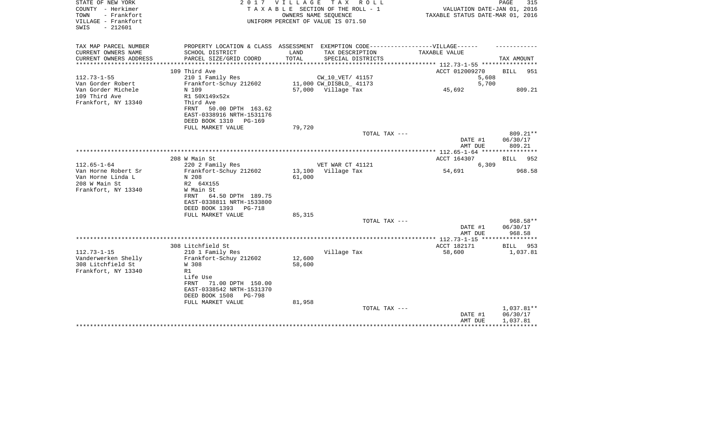| STATE OF NEW YORK<br>COUNTY - Herkimer<br>- Frankfort<br>TOWN<br>VILLAGE - Frankfort<br>$-212601$<br>SWIS |                                                                                                                  | 2017 VILLAGE     | TAX ROLL<br>TAXABLE SECTION OF THE ROLL - 1<br>OWNERS NAME SEQUENCE<br>UNIFORM PERCENT OF VALUE IS 071.50 | VALUATION DATE-JAN 01, 2016<br>TAXABLE STATUS DATE-MAR 01, 2016 | PAGE<br>315                        |
|-----------------------------------------------------------------------------------------------------------|------------------------------------------------------------------------------------------------------------------|------------------|-----------------------------------------------------------------------------------------------------------|-----------------------------------------------------------------|------------------------------------|
| TAX MAP PARCEL NUMBER<br>CURRENT OWNERS NAME                                                              | PROPERTY LOCATION & CLASS ASSESSMENT EXEMPTION CODE-----------------VILLAGE------<br>SCHOOL DISTRICT             | LAND             | TAX DESCRIPTION                                                                                           | TAXABLE VALUE                                                   |                                    |
| CURRENT OWNERS ADDRESS                                                                                    | PARCEL SIZE/GRID COORD                                                                                           | TOTAL            | SPECIAL DISTRICTS                                                                                         |                                                                 | TAX AMOUNT                         |
|                                                                                                           |                                                                                                                  |                  |                                                                                                           | ********** 112.73-1-55 *********                                |                                    |
|                                                                                                           | 109 Third Ave                                                                                                    |                  |                                                                                                           | ACCT 012009270                                                  | BILL<br>951                        |
| $112.73 - 1 - 55$                                                                                         | 210 1 Family Res                                                                                                 |                  | CW_10_VET/ 41157                                                                                          | 5,608                                                           |                                    |
| Van Gorder Robert<br>Van Gorder Michele                                                                   | Frankfort-Schuy 212602<br>N 109                                                                                  |                  | 11,000 CW_DISBLD_ 41173<br>57,000 Village Tax                                                             | 5,700<br>45,692                                                 | 809.21                             |
| 109 Third Ave<br>Frankfort, NY 13340                                                                      | R1 50X149x52x<br>Third Ave<br>50.00 DPTH 163.62<br>FRNT<br>EAST-0338916 NRTH-1531176<br>DEED BOOK 1310<br>PG-169 |                  |                                                                                                           |                                                                 |                                    |
|                                                                                                           | FULL MARKET VALUE                                                                                                | 79,720           |                                                                                                           |                                                                 |                                    |
|                                                                                                           |                                                                                                                  |                  | TOTAL TAX ---                                                                                             |                                                                 | 809.21**                           |
|                                                                                                           |                                                                                                                  |                  |                                                                                                           | DATE #1<br>AMT DUE                                              | 06/30/17<br>809.21                 |
|                                                                                                           | 208 W Main St                                                                                                    |                  |                                                                                                           | ACCT 164307                                                     | 952<br>BILL                        |
| $112.65 - 1 - 64$                                                                                         | 220 2 Family Res                                                                                                 |                  | VET WAR CT 41121                                                                                          | 6,309                                                           |                                    |
| Van Horne Robert Sr                                                                                       | Frankfort-Schuy 212602                                                                                           |                  | 13,100 Village Tax                                                                                        | 54,691                                                          | 968.58                             |
| Van Horne Linda L                                                                                         | N 208                                                                                                            | 61,000           |                                                                                                           |                                                                 |                                    |
| 208 W Main St                                                                                             | R2 64X155                                                                                                        |                  |                                                                                                           |                                                                 |                                    |
| Frankfort, NY 13340                                                                                       | W Main St<br>64.50 DPTH 189.75<br>FRNT<br>EAST-0338811 NRTH-1533800<br>DEED BOOK 1393<br>PG-718                  |                  |                                                                                                           |                                                                 |                                    |
|                                                                                                           | FULL MARKET VALUE                                                                                                | 85,315           | TOTAL TAX ---                                                                                             |                                                                 | 968.58**                           |
|                                                                                                           |                                                                                                                  |                  |                                                                                                           | DATE #1<br>AMT DUE                                              | 06/30/17<br>968.58                 |
|                                                                                                           |                                                                                                                  |                  |                                                                                                           |                                                                 |                                    |
|                                                                                                           | 308 Litchfield St                                                                                                |                  |                                                                                                           | ACCT 182171                                                     | <b>BILL</b><br>953                 |
| $112.73 - 1 - 15$                                                                                         | 210 1 Family Res                                                                                                 |                  | Village Tax                                                                                               | 58,600                                                          | 1,037.81                           |
| Vanderwerken Shelly<br>308 Litchfield St                                                                  | Frankfort-Schuy 212602<br>W 308                                                                                  | 12,600<br>58,600 |                                                                                                           |                                                                 |                                    |
| Frankfort, NY 13340                                                                                       | R1                                                                                                               |                  |                                                                                                           |                                                                 |                                    |
|                                                                                                           | Life Use<br>FRNT<br>71.00 DPTH 150.00<br>EAST-0338542 NRTH-1531370<br>DEED BOOK 1508<br><b>PG-798</b>            |                  |                                                                                                           |                                                                 |                                    |
|                                                                                                           | FULL MARKET VALUE                                                                                                | 81,958           |                                                                                                           |                                                                 |                                    |
|                                                                                                           |                                                                                                                  |                  | TOTAL TAX ---                                                                                             | DATE #1<br>AMT DUE                                              | 1,037.81**<br>06/30/17<br>1,037.81 |
|                                                                                                           |                                                                                                                  |                  |                                                                                                           |                                                                 |                                    |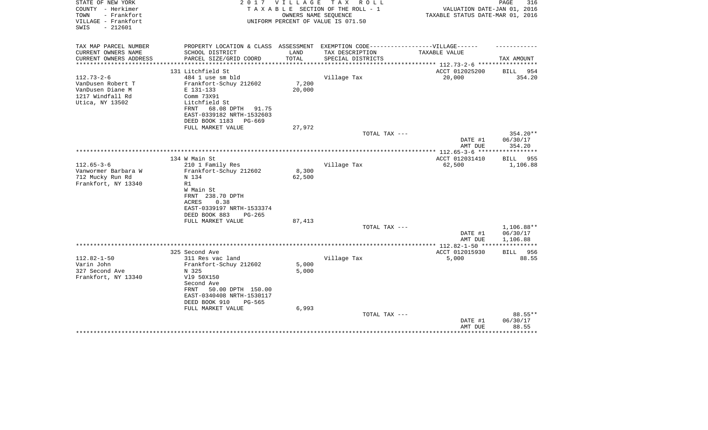| STATE OF NEW YORK<br>COUNTY - Herkimer<br>TOWN<br>- Frankfort<br>VILLAGE - Frankfort<br>$-212601$<br>SWIS | 2017                                                                              | V I L L A G E   | T A X<br>R O L L<br>TAXABLE SECTION OF THE ROLL - 1<br>OWNERS NAME SEOUENCE<br>UNIFORM PERCENT OF VALUE IS 071.50 | VALUATION DATE-JAN 01, 2016<br>TAXABLE STATUS DATE-MAR 01, 2016 | PAGE<br>316             |
|-----------------------------------------------------------------------------------------------------------|-----------------------------------------------------------------------------------|-----------------|-------------------------------------------------------------------------------------------------------------------|-----------------------------------------------------------------|-------------------------|
| TAX MAP PARCEL NUMBER                                                                                     | PROPERTY LOCATION & CLASS ASSESSMENT EXEMPTION CODE-----------------VILLAGE------ |                 |                                                                                                                   |                                                                 |                         |
| CURRENT OWNERS NAME<br>CURRENT OWNERS ADDRESS<br>**********************                                   | SCHOOL DISTRICT<br>PARCEL SIZE/GRID COORD                                         | LAND<br>TOTAL   | TAX DESCRIPTION<br>SPECIAL DISTRICTS                                                                              | TAXABLE VALUE                                                   | TAX AMOUNT              |
|                                                                                                           | 131 Litchfield St                                                                 |                 |                                                                                                                   | ACCT 012025200                                                  | 954<br>BILL             |
| $112.73 - 2 - 6$                                                                                          | 484 1 use sm bld                                                                  |                 | Village Tax                                                                                                       | 20,000                                                          | 354.20                  |
| VanDusen Robert T                                                                                         | Frankfort-Schuy 212602                                                            | 7,200           |                                                                                                                   |                                                                 |                         |
| VanDusen Diane M                                                                                          | E 131-133                                                                         | 20,000          |                                                                                                                   |                                                                 |                         |
| 1217 Windfall Rd<br>Utica, NY 13502                                                                       | Comm 73X91<br>Litchfield St                                                       |                 |                                                                                                                   |                                                                 |                         |
|                                                                                                           | FRNT<br>68.08 DPTH 91.75                                                          |                 |                                                                                                                   |                                                                 |                         |
|                                                                                                           | EAST-0339182 NRTH-1532603                                                         |                 |                                                                                                                   |                                                                 |                         |
|                                                                                                           | DEED BOOK 1183<br>PG-669                                                          |                 |                                                                                                                   |                                                                 |                         |
|                                                                                                           | FULL MARKET VALUE                                                                 | 27,972          |                                                                                                                   |                                                                 |                         |
|                                                                                                           |                                                                                   |                 | TOTAL TAX ---                                                                                                     | DATE #1                                                         | 354.20**<br>06/30/17    |
|                                                                                                           |                                                                                   |                 |                                                                                                                   | AMT DUE                                                         | 354.20                  |
|                                                                                                           |                                                                                   |                 |                                                                                                                   |                                                                 | ***********             |
|                                                                                                           | 134 W Main St                                                                     |                 |                                                                                                                   | ACCT 012031410                                                  | 955<br>BILL             |
| $112.65 - 3 - 6$                                                                                          | 210 1 Family Res                                                                  |                 | Village Tax                                                                                                       | 62,500                                                          | 1,106.88                |
| Vanwormer Barbara W<br>712 Mucky Run Rd                                                                   | Frankfort-Schuy 212602<br>N 134                                                   | 8,300<br>62,500 |                                                                                                                   |                                                                 |                         |
| Frankfort, NY 13340                                                                                       | R1                                                                                |                 |                                                                                                                   |                                                                 |                         |
|                                                                                                           | W Main St                                                                         |                 |                                                                                                                   |                                                                 |                         |
|                                                                                                           | FRNT 238.70 DPTH                                                                  |                 |                                                                                                                   |                                                                 |                         |
|                                                                                                           | 0.38<br>ACRES                                                                     |                 |                                                                                                                   |                                                                 |                         |
|                                                                                                           | EAST-0339197 NRTH-1533374<br>DEED BOOK 883<br>$PG-265$                            |                 |                                                                                                                   |                                                                 |                         |
|                                                                                                           | FULL MARKET VALUE                                                                 | 87,413          |                                                                                                                   |                                                                 |                         |
|                                                                                                           |                                                                                   |                 | TOTAL TAX ---                                                                                                     |                                                                 | 1,106.88**              |
|                                                                                                           |                                                                                   |                 |                                                                                                                   | DATE #1                                                         | 06/30/17                |
|                                                                                                           |                                                                                   |                 |                                                                                                                   | AMT DUE                                                         | 1,106.88<br>*********** |
|                                                                                                           | 325 Second Ave                                                                    |                 |                                                                                                                   | *************** 112.82-1-50 ****<br>ACCT 012015930              | BILL<br>956             |
| $112.82 - 1 - 50$                                                                                         | 311 Res vac land                                                                  |                 | Village Tax                                                                                                       | 5,000                                                           | 88.55                   |
| Varin John                                                                                                | Frankfort-Schuy 212602                                                            | 5,000           |                                                                                                                   |                                                                 |                         |
| 327 Second Ave                                                                                            | N 325                                                                             | 5,000           |                                                                                                                   |                                                                 |                         |
| Frankfort, NY 13340                                                                                       | V19 50X150                                                                        |                 |                                                                                                                   |                                                                 |                         |
|                                                                                                           | Second Ave                                                                        |                 |                                                                                                                   |                                                                 |                         |
|                                                                                                           | 50.00 DPTH 150.00<br>FRNT                                                         |                 |                                                                                                                   |                                                                 |                         |
|                                                                                                           | EAST-0340408 NRTH-1530117<br>DEED BOOK 910<br>PG-565                              |                 |                                                                                                                   |                                                                 |                         |
|                                                                                                           | FULL MARKET VALUE                                                                 | 6,993           |                                                                                                                   |                                                                 |                         |
|                                                                                                           |                                                                                   |                 | TOTAL TAX ---                                                                                                     |                                                                 | 88.55**                 |
|                                                                                                           |                                                                                   |                 |                                                                                                                   | DATE #1                                                         | 06/30/17                |
|                                                                                                           |                                                                                   |                 |                                                                                                                   | AMT DUE                                                         | 88.55                   |
|                                                                                                           |                                                                                   |                 |                                                                                                                   |                                                                 |                         |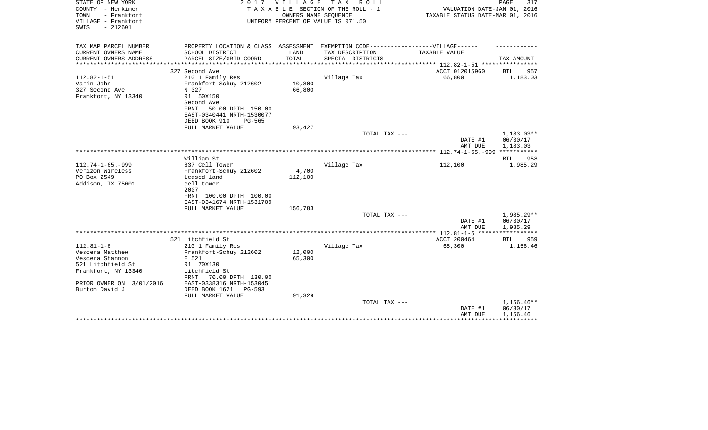| STATE OF NEW YORK<br>COUNTY - Herkimer<br>- Frankfort<br>TOWN<br>VILLAGE - Frankfort<br>$-212601$<br>SWIS | 2 0 1 7                                                                                              | V I L L A G E    | TAX ROLL<br>TAXABLE SECTION OF THE ROLL - 1<br>OWNERS NAME SEQUENCE<br>UNIFORM PERCENT OF VALUE IS 071.50 | VALUATION DATE-JAN 01, 2016<br>TAXABLE STATUS DATE-MAR 01, 2016 | PAGE<br>317          |
|-----------------------------------------------------------------------------------------------------------|------------------------------------------------------------------------------------------------------|------------------|-----------------------------------------------------------------------------------------------------------|-----------------------------------------------------------------|----------------------|
| TAX MAP PARCEL NUMBER<br>CURRENT OWNERS NAME                                                              | PROPERTY LOCATION & CLASS ASSESSMENT EXEMPTION CODE-----------------VILLAGE------<br>SCHOOL DISTRICT | LAND             | TAX DESCRIPTION                                                                                           | TAXABLE VALUE                                                   |                      |
| CURRENT OWNERS ADDRESS                                                                                    | PARCEL SIZE/GRID COORD                                                                               | TOTAL            | SPECIAL DISTRICTS                                                                                         |                                                                 | TAX AMOUNT           |
|                                                                                                           | **************************                                                                           |                  |                                                                                                           |                                                                 |                      |
|                                                                                                           | 327 Second Ave                                                                                       |                  |                                                                                                           | ACCT 012015960                                                  | BILL 957             |
| $112.82 - 1 - 51$                                                                                         | 210 1 Family Res                                                                                     |                  | Village Tax                                                                                               | 66,800                                                          | 1,183.03             |
| Varin John                                                                                                | Frankfort-Schuy 212602                                                                               | 10,800           |                                                                                                           |                                                                 |                      |
| 327 Second Ave                                                                                            | N 327                                                                                                | 66,800           |                                                                                                           |                                                                 |                      |
| Frankfort, NY 13340                                                                                       | R1 50X150                                                                                            |                  |                                                                                                           |                                                                 |                      |
|                                                                                                           | Second Ave<br>50.00 DPTH 150.00<br>FRNT                                                              |                  |                                                                                                           |                                                                 |                      |
|                                                                                                           | EAST-0340441 NRTH-1530077                                                                            |                  |                                                                                                           |                                                                 |                      |
|                                                                                                           | DEED BOOK 910<br>PG-565                                                                              |                  |                                                                                                           |                                                                 |                      |
|                                                                                                           | FULL MARKET VALUE                                                                                    | 93,427           |                                                                                                           |                                                                 |                      |
|                                                                                                           |                                                                                                      |                  | TOTAL TAX ---                                                                                             |                                                                 | 1,183.03**           |
|                                                                                                           |                                                                                                      |                  |                                                                                                           | DATE #1<br>AMT DUE                                              | 06/30/17<br>1,183.03 |
|                                                                                                           |                                                                                                      |                  |                                                                                                           |                                                                 |                      |
|                                                                                                           | William St                                                                                           |                  |                                                                                                           |                                                                 | BILL 958             |
| $112.74 - 1 - 65. - 999$<br>Verizon Wireless                                                              | 837 Cell Tower<br>Frankfort-Schuy 212602                                                             |                  | Village Tax                                                                                               | 112,100                                                         | 1,985.29             |
| PO Box 2549                                                                                               | leased land                                                                                          | 4,700<br>112,100 |                                                                                                           |                                                                 |                      |
| Addison, TX 75001                                                                                         | cell tower                                                                                           |                  |                                                                                                           |                                                                 |                      |
|                                                                                                           | 2007                                                                                                 |                  |                                                                                                           |                                                                 |                      |
|                                                                                                           | FRNT 100.00 DPTH 100.00                                                                              |                  |                                                                                                           |                                                                 |                      |
|                                                                                                           | EAST-0341674 NRTH-1531709                                                                            |                  |                                                                                                           |                                                                 |                      |
|                                                                                                           | FULL MARKET VALUE                                                                                    | 156,783          |                                                                                                           |                                                                 |                      |
|                                                                                                           |                                                                                                      |                  | TOTAL TAX ---                                                                                             |                                                                 | 1,985.29**           |
|                                                                                                           |                                                                                                      |                  |                                                                                                           | DATE #1                                                         | 06/30/17             |
|                                                                                                           |                                                                                                      |                  |                                                                                                           | AMT DUE                                                         | 1,985.29             |
|                                                                                                           | 521 Litchfield St                                                                                    |                  |                                                                                                           | ACCT 200464                                                     | BILL 959             |
| $112.81 - 1 - 6$                                                                                          | 210 1 Family Res                                                                                     |                  | Village Tax                                                                                               | 65,300                                                          | 1,156.46             |
| Vescera Matthew                                                                                           | Frankfort-Schuy 212602                                                                               | 12,000           |                                                                                                           |                                                                 |                      |
| Vescera Shannon                                                                                           | E 521                                                                                                | 65,300           |                                                                                                           |                                                                 |                      |
| 521 Litchfield St                                                                                         | R1 70X130                                                                                            |                  |                                                                                                           |                                                                 |                      |
| Frankfort, NY 13340                                                                                       | Litchfield St                                                                                        |                  |                                                                                                           |                                                                 |                      |
|                                                                                                           | 70.00 DPTH 130.00<br>FRNT                                                                            |                  |                                                                                                           |                                                                 |                      |
| PRIOR OWNER ON 3/01/2016                                                                                  | EAST-0338316 NRTH-1530451                                                                            |                  |                                                                                                           |                                                                 |                      |
| Burton David J                                                                                            | DEED BOOK 1621<br>PG-593                                                                             |                  |                                                                                                           |                                                                 |                      |
|                                                                                                           | FULL MARKET VALUE                                                                                    | 91,329           | TOTAL TAX ---                                                                                             |                                                                 | 1,156.46**           |
|                                                                                                           |                                                                                                      |                  |                                                                                                           | DATE #1                                                         | 06/30/17             |
|                                                                                                           |                                                                                                      |                  |                                                                                                           | AMT DUE                                                         | 1,156.46             |
|                                                                                                           |                                                                                                      |                  |                                                                                                           |                                                                 |                      |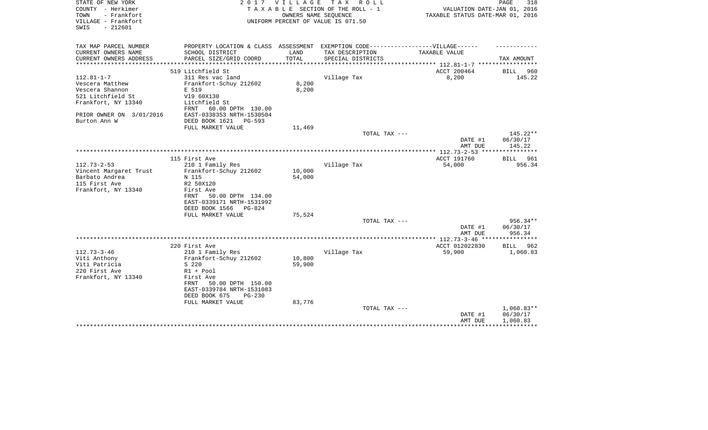| STATE OF NEW YORK<br>COUNTY - Herkimer                          | 2017                                                                              | V I L L A G E    | TAX ROLL<br>TAXABLE SECTION OF THE ROLL - 1                | VALUATION DATE-JAN 01, 2016                                             | PAGE<br>318               |
|-----------------------------------------------------------------|-----------------------------------------------------------------------------------|------------------|------------------------------------------------------------|-------------------------------------------------------------------------|---------------------------|
| TOWN<br>- Frankfort<br>VILLAGE - Frankfort<br>$-212601$<br>SWIS |                                                                                   |                  | OWNERS NAME SEQUENCE<br>UNIFORM PERCENT OF VALUE IS 071.50 | TAXABLE STATUS DATE-MAR 01, 2016                                        |                           |
| TAX MAP PARCEL NUMBER                                           | PROPERTY LOCATION & CLASS ASSESSMENT EXEMPTION CODE-----------------VILLAGE------ |                  |                                                            |                                                                         |                           |
| CURRENT OWNERS NAME                                             | SCHOOL DISTRICT                                                                   | LAND             | TAX DESCRIPTION                                            | TAXABLE VALUE                                                           |                           |
| CURRENT OWNERS ADDRESS<br>**********************                | PARCEL SIZE/GRID COORD                                                            | TOTAL            | SPECIAL DISTRICTS                                          |                                                                         | TAX AMOUNT                |
|                                                                 | 519 Litchfield St                                                                 |                  |                                                            | *************************** 112.81-1-7 *****************<br>ACCT 200464 | <b>BILL</b><br>960        |
| $112.81 - 1 - 7$                                                | 311 Res vac land                                                                  |                  | Village Tax                                                | 8,200                                                                   | 145.22                    |
| Vescera Matthew                                                 | Frankfort-Schuy 212602                                                            | 8,200            |                                                            |                                                                         |                           |
| Vescera Shannon                                                 | E 519                                                                             | 8,200            |                                                            |                                                                         |                           |
| 521 Litchfield St                                               | V19 60X130                                                                        |                  |                                                            |                                                                         |                           |
| Frankfort, NY 13340                                             | Litchfield St                                                                     |                  |                                                            |                                                                         |                           |
|                                                                 | 60.00 DPTH 130.00<br>FRNT                                                         |                  |                                                            |                                                                         |                           |
| PRIOR OWNER ON 3/01/2016                                        | EAST-0338353 NRTH-1530504                                                         |                  |                                                            |                                                                         |                           |
| Burton Ann W                                                    | DEED BOOK 1621<br>PG-593                                                          |                  |                                                            |                                                                         |                           |
|                                                                 | FULL MARKET VALUE                                                                 | 11,469           |                                                            |                                                                         |                           |
|                                                                 |                                                                                   |                  | TOTAL TAX ---                                              |                                                                         | 145.22**                  |
|                                                                 |                                                                                   |                  |                                                            | DATE #1                                                                 | 06/30/17                  |
|                                                                 |                                                                                   |                  |                                                            | AMT DUE                                                                 | 145.22                    |
|                                                                 |                                                                                   |                  |                                                            |                                                                         |                           |
| $112.73 - 2 - 53$                                               | 115 First Ave                                                                     |                  |                                                            | ACCT 191760                                                             | <b>BILL</b> 961<br>956.34 |
| Vincent Margaret Trust                                          | 210 1 Family Res<br>Frankfort-Schuy 212602                                        | 10,000           | Village Tax                                                | 54,000                                                                  |                           |
| Barbato Andrea                                                  | N 115                                                                             | 54,000           |                                                            |                                                                         |                           |
| 115 First Ave                                                   | R2 50X120                                                                         |                  |                                                            |                                                                         |                           |
| Frankfort, NY 13340                                             | First Ave                                                                         |                  |                                                            |                                                                         |                           |
|                                                                 | 50.00 DPTH 134.00<br>FRNT                                                         |                  |                                                            |                                                                         |                           |
|                                                                 | EAST-0339171 NRTH-1531992                                                         |                  |                                                            |                                                                         |                           |
|                                                                 | DEED BOOK 1566<br>PG-824                                                          |                  |                                                            |                                                                         |                           |
|                                                                 | FULL MARKET VALUE                                                                 | 75,524           |                                                            |                                                                         |                           |
|                                                                 |                                                                                   |                  | TOTAL TAX ---                                              |                                                                         | 956.34**                  |
|                                                                 |                                                                                   |                  |                                                            | DATE #1                                                                 | 06/30/17                  |
|                                                                 |                                                                                   |                  |                                                            | AMT DUE                                                                 | 956.34                    |
|                                                                 |                                                                                   |                  |                                                            |                                                                         |                           |
|                                                                 | 220 First Ave                                                                     |                  |                                                            | ACCT 012022830                                                          | <b>BILL</b><br>962        |
| $112.73 - 3 - 46$                                               | 210 1 Family Res                                                                  |                  | Village Tax                                                | 59,900                                                                  | 1,060.83                  |
| Viti Anthony<br>Viti Patricia                                   | Frankfort-Schuy 212602<br>S 220                                                   | 10,800<br>59,900 |                                                            |                                                                         |                           |
| 220 First Ave                                                   | $R1 + Pool$                                                                       |                  |                                                            |                                                                         |                           |
| Frankfort, NY 13340                                             | First Ave                                                                         |                  |                                                            |                                                                         |                           |
|                                                                 | 50.00 DPTH 150.00<br>FRNT                                                         |                  |                                                            |                                                                         |                           |
|                                                                 | EAST-0339784 NRTH-1531083                                                         |                  |                                                            |                                                                         |                           |
|                                                                 | DEED BOOK 675<br>$PG-230$                                                         |                  |                                                            |                                                                         |                           |
|                                                                 | FULL MARKET VALUE                                                                 | 83,776           |                                                            |                                                                         |                           |
|                                                                 |                                                                                   |                  | TOTAL TAX ---                                              |                                                                         | $1,060.83**$              |
|                                                                 |                                                                                   |                  |                                                            | DATE #1                                                                 | 06/30/17                  |
|                                                                 |                                                                                   |                  |                                                            | AMT DUE                                                                 | 1,060.83                  |
|                                                                 |                                                                                   |                  |                                                            |                                                                         |                           |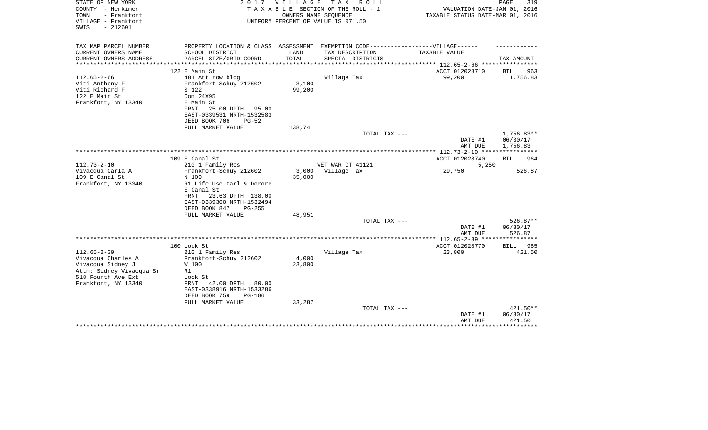| STATE OF NEW YORK<br>COUNTY - Herkimer<br>- Frankfort<br>TOWN<br>VILLAGE - Frankfort<br>$-212601$<br>SWIS                             | 2017                                                                                                                                                                                    | <b>VILLAGE</b>            | TAX ROLL<br>TAXABLE SECTION OF THE ROLL - 1<br>OWNERS NAME SEQUENCE<br>UNIFORM PERCENT OF VALUE IS 071.50 | VALUATION DATE-JAN 01, 2016<br>TAXABLE STATUS DATE-MAR 01, 2016   | PAGE<br>319                               |
|---------------------------------------------------------------------------------------------------------------------------------------|-----------------------------------------------------------------------------------------------------------------------------------------------------------------------------------------|---------------------------|-----------------------------------------------------------------------------------------------------------|-------------------------------------------------------------------|-------------------------------------------|
| TAX MAP PARCEL NUMBER<br>CURRENT OWNERS NAME                                                                                          | SCHOOL DISTRICT                                                                                                                                                                         | LAND                      | PROPERTY LOCATION & CLASS ASSESSMENT EXEMPTION CODE-----------------VILLAGE------<br>TAX DESCRIPTION      | <b>TAXABLE VALUE</b>                                              |                                           |
| CURRENT OWNERS ADDRESS                                                                                                                | PARCEL SIZE/GRID COORD                                                                                                                                                                  | <b>TOTAL</b>              | SPECIAL DISTRICTS                                                                                         |                                                                   | TAX AMOUNT                                |
|                                                                                                                                       |                                                                                                                                                                                         |                           |                                                                                                           | ********* 112.65-2-66 ***********                                 |                                           |
|                                                                                                                                       | 122 E Main St                                                                                                                                                                           |                           |                                                                                                           | ACCT 012028710                                                    | BILL<br>963                               |
| $112.65 - 2 - 66$<br>Viti Anthony F<br>Viti Richard F<br>122 E Main St<br>Frankfort, NY 13340                                         | 481 Att row bldg<br>Frankfort-Schuy 212602<br>S 122<br>Com 24X95<br>E Main St<br>25.00 DPTH 95.00<br>FRNT<br>EAST-0339531 NRTH-1532583<br>DEED BOOK 706<br>$PG-52$                      | 3,100<br>99,200           | Village Tax                                                                                               | 99,200                                                            | 1,756.83                                  |
|                                                                                                                                       | FULL MARKET VALUE                                                                                                                                                                       | 138,741                   | TOTAL TAX ---                                                                                             |                                                                   | $1,756.83**$                              |
|                                                                                                                                       |                                                                                                                                                                                         |                           |                                                                                                           | DATE #1<br>AMT DUE                                                | 06/30/17<br>1,756.83                      |
|                                                                                                                                       | 109 E Canal St                                                                                                                                                                          |                           |                                                                                                           | ***************** 112.73-2-10 *****************<br>ACCT 012028740 | 964<br><b>BILL</b>                        |
| $112.73 - 2 - 10$                                                                                                                     | 210 1 Family Res                                                                                                                                                                        |                           | VET WAR CT 41121                                                                                          | 5,250                                                             |                                           |
| Vivacqua Carla A<br>109 E Canal St                                                                                                    | Frankfort-Schuy 212602<br>N 109                                                                                                                                                         | 3,000<br>35,000           | Village Tax                                                                                               | 29,750                                                            | 526.87                                    |
| Frankfort, NY 13340                                                                                                                   | R1 Life Use Carl & Dorore<br>E Canal St<br>FRNT<br>23.63 DPTH 138.00<br>EAST-0339300 NRTH-1532494<br>DEED BOOK 847<br>$PG-255$                                                          |                           |                                                                                                           |                                                                   |                                           |
|                                                                                                                                       | FULL MARKET VALUE                                                                                                                                                                       | 48,951                    |                                                                                                           |                                                                   |                                           |
|                                                                                                                                       |                                                                                                                                                                                         |                           | TOTAL TAX ---                                                                                             | DATE #1<br>AMT DUE                                                | 526.87**<br>06/30/17<br>526.87            |
|                                                                                                                                       |                                                                                                                                                                                         |                           |                                                                                                           |                                                                   |                                           |
|                                                                                                                                       | 100 Lock St                                                                                                                                                                             |                           |                                                                                                           | ACCT 012028770                                                    | BILL<br>965                               |
| $112.65 - 2 - 39$<br>Vivacqua Charles A<br>Vivacqua Sidney J<br>Attn: Sidney Vivacqua Sr<br>518 Fourth Ave Ext<br>Frankfort, NY 13340 | 210 1 Family Res<br>Frankfort-Schuy 212602<br>W 100<br>R1<br>Lock St<br>42.00 DPTH<br>FRNT<br>80.00<br>EAST-0338916 NRTH-1533286<br>DEED BOOK 759<br><b>PG-186</b><br>FULL MARKET VALUE | 4,000<br>23,800<br>33,287 | Village Tax                                                                                               | 23,800                                                            | 421.50                                    |
|                                                                                                                                       |                                                                                                                                                                                         |                           | TOTAL TAX ---                                                                                             | DATE #1<br>AMT DUE                                                | 421.50**<br>06/30/17<br>421.50<br>******* |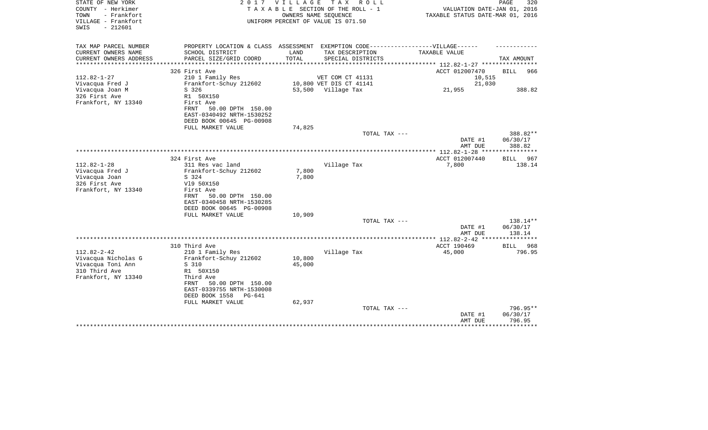| STATE OF NEW YORK<br>COUNTY - Herkimer<br>- Frankfort<br>TOWN<br>VILLAGE - Frankfort<br>$-212601$<br>SWIS | 2017                                                                                                         | <b>VILLAGE</b>   | TAX ROLL<br>T A X A B L E SECTION OF THE ROLL - 1<br>OWNERS NAME SEOUENCE<br>UNIFORM PERCENT OF VALUE IS 071.50 | VALUATION DATE-JAN 01, 2016<br>TAXABLE STATUS DATE-MAR 01, 2016 | PAGE<br>320                    |
|-----------------------------------------------------------------------------------------------------------|--------------------------------------------------------------------------------------------------------------|------------------|-----------------------------------------------------------------------------------------------------------------|-----------------------------------------------------------------|--------------------------------|
| TAX MAP PARCEL NUMBER<br>CURRENT OWNERS NAME                                                              | PROPERTY LOCATION & CLASS ASSESSMENT EXEMPTION CODE-----------------VILLAGE------<br>SCHOOL DISTRICT         | LAND             | TAX DESCRIPTION                                                                                                 | TAXABLE VALUE                                                   |                                |
| CURRENT OWNERS ADDRESS                                                                                    | PARCEL SIZE/GRID COORD                                                                                       | TOTAL            | SPECIAL DISTRICTS                                                                                               |                                                                 | TAX AMOUNT                     |
|                                                                                                           |                                                                                                              |                  |                                                                                                                 | ********** 112.82-1-27 *********                                |                                |
|                                                                                                           | 326 First Ave                                                                                                |                  |                                                                                                                 | ACCT 012007470                                                  | BILL<br>966                    |
| $112.82 - 1 - 27$                                                                                         | 210 1 Family Res                                                                                             |                  | VET COM CT 41131                                                                                                | 10,515                                                          |                                |
| Vivacqua Fred J<br>Vivacqua Joan M                                                                        | Frankfort-Schuy 212602<br>S 326                                                                              |                  | 10,800 VET DIS CT 41141<br>53,500 Village Tax                                                                   | 21,030<br>21,955                                                | 388.82                         |
| 326 First Ave<br>Frankfort, NY 13340                                                                      | R1 50X150<br>First Ave<br>50.00 DPTH 150.00<br>FRNT<br>EAST-0340492 NRTH-1530252<br>DEED BOOK 00645 PG-00908 |                  |                                                                                                                 |                                                                 |                                |
|                                                                                                           | FULL MARKET VALUE                                                                                            | 74,825           |                                                                                                                 |                                                                 |                                |
|                                                                                                           |                                                                                                              |                  | TOTAL TAX ---                                                                                                   | DATE #1<br>AMT DUE                                              | 388.82**<br>06/30/17<br>388.82 |
|                                                                                                           |                                                                                                              |                  |                                                                                                                 | ************** 112.82-1-28 **                                   | **********                     |
|                                                                                                           | 324 First Ave                                                                                                |                  |                                                                                                                 | ACCT 012007440                                                  | BILL<br>967                    |
| $112.82 - 1 - 28$                                                                                         | 311 Res vac land                                                                                             |                  | Village Tax                                                                                                     | 7,800                                                           | 138.14                         |
| Vivacqua Fred J<br>Vivacqua Joan                                                                          | Frankfort-Schuy 212602<br>S 324                                                                              | 7,800<br>7,800   |                                                                                                                 |                                                                 |                                |
| 326 First Ave                                                                                             | V19 50X150                                                                                                   |                  |                                                                                                                 |                                                                 |                                |
| Frankfort, NY 13340                                                                                       | First Ave<br>50.00 DPTH 150.00<br>FRNT<br>EAST-0340458 NRTH-1530285<br>DEED BOOK 00645 PG-00908              |                  |                                                                                                                 |                                                                 |                                |
|                                                                                                           | FULL MARKET VALUE                                                                                            | 10,909           | TOTAL TAX ---                                                                                                   |                                                                 | $138.14**$                     |
|                                                                                                           |                                                                                                              |                  |                                                                                                                 | DATE #1<br>AMT DUE                                              | 06/30/17<br>138.14             |
|                                                                                                           |                                                                                                              |                  |                                                                                                                 |                                                                 |                                |
|                                                                                                           | 310 Third Ave                                                                                                |                  |                                                                                                                 | ACCT 190469                                                     | <b>BILL</b><br>968             |
| $112.82 - 2 - 42$<br>Vivacqua Nicholas G<br>Vivacqua Toni Ann<br>310 Third Ave<br>Frankfort, NY 13340     | 210 1 Family Res<br>Frankfort-Schuy 212602<br>S 310<br>R1 50X150<br>Third Ave                                | 10,800<br>45,000 | Village Tax                                                                                                     | 45,000                                                          | 796.95                         |
|                                                                                                           | 50.00 DPTH 150.00<br>FRNT<br>EAST-0339755 NRTH-1530008<br>DEED BOOK 1558<br>$PG-641$<br>FULL MARKET VALUE    | 62,937           |                                                                                                                 |                                                                 |                                |
|                                                                                                           |                                                                                                              |                  | TOTAL TAX ---                                                                                                   | DATE #1<br>AMT DUE                                              | 796.95**<br>06/30/17<br>796.95 |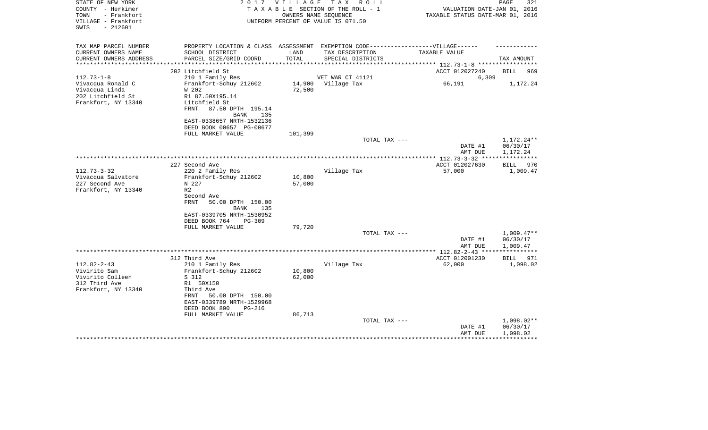| STATE OF NEW YORK<br>COUNTY - Herkimer<br>- Frankfort<br>TOWN<br>VILLAGE - Frankfort<br>SWIS<br>$-212601$ | 2 0 1 7                                                                           | V I L L A G E | T A X<br>R O L L<br>TAXABLE SECTION OF THE ROLL - 1<br>OWNERS NAME SEOUENCE<br>UNIFORM PERCENT OF VALUE IS 071.50 | VALUATION DATE-JAN 01, 2016<br>TAXABLE STATUS DATE-MAR 01, 2016 | PAGE<br>321              |
|-----------------------------------------------------------------------------------------------------------|-----------------------------------------------------------------------------------|---------------|-------------------------------------------------------------------------------------------------------------------|-----------------------------------------------------------------|--------------------------|
| TAX MAP PARCEL NUMBER                                                                                     | PROPERTY LOCATION & CLASS ASSESSMENT EXEMPTION CODE-----------------VILLAGE------ |               |                                                                                                                   |                                                                 |                          |
| CURRENT OWNERS NAME                                                                                       | SCHOOL DISTRICT                                                                   | LAND          | TAX DESCRIPTION                                                                                                   | TAXABLE VALUE                                                   |                          |
| CURRENT OWNERS ADDRESS<br>********************                                                            | PARCEL SIZE/GRID COORD<br>***********************                                 | TOTAL         | SPECIAL DISTRICTS<br>*******************************                                                              | *********** 112.73-1-8 ************                             | TAX AMOUNT               |
|                                                                                                           | 202 Litchfield St                                                                 |               |                                                                                                                   | ACCT 012027240                                                  | BILL<br>969              |
| $112.73 - 1 - 8$                                                                                          | 210 1 Family Res                                                                  |               | VET WAR CT 41121                                                                                                  | 6,309                                                           |                          |
| Vivacqua Ronald C                                                                                         | Frankfort-Schuy 212602                                                            | 14,900        | Village Tax                                                                                                       | 66,191                                                          | 1,172.24                 |
| Vivacqua Linda                                                                                            | W 202                                                                             | 72,500        |                                                                                                                   |                                                                 |                          |
| 202 Litchfield St                                                                                         | R1 87.50X195.14                                                                   |               |                                                                                                                   |                                                                 |                          |
| Frankfort, NY 13340                                                                                       | Litchfield St                                                                     |               |                                                                                                                   |                                                                 |                          |
|                                                                                                           | 87.50 DPTH 195.14<br>FRNT                                                         |               |                                                                                                                   |                                                                 |                          |
|                                                                                                           | <b>BANK</b><br>135                                                                |               |                                                                                                                   |                                                                 |                          |
|                                                                                                           | EAST-0338657 NRTH-1532136                                                         |               |                                                                                                                   |                                                                 |                          |
|                                                                                                           | DEED BOOK 00657 PG-00677                                                          | 101,399       |                                                                                                                   |                                                                 |                          |
|                                                                                                           | FULL MARKET VALUE                                                                 |               | TOTAL TAX ---                                                                                                     |                                                                 | 1,172.24**               |
|                                                                                                           |                                                                                   |               |                                                                                                                   | DATE #1                                                         | 06/30/17                 |
|                                                                                                           |                                                                                   |               |                                                                                                                   | AMT DUE                                                         | 1,172.24                 |
|                                                                                                           |                                                                                   |               |                                                                                                                   |                                                                 |                          |
|                                                                                                           | 227 Second Ave                                                                    |               |                                                                                                                   | ACCT 012027630                                                  | <b>BILL</b><br>970       |
| $112.73 - 3 - 32$                                                                                         | 220 2 Family Res                                                                  |               | Village Tax                                                                                                       | 57,000                                                          | 1,009.47                 |
| Vivacqua Salvatore                                                                                        | Frankfort-Schuy 212602                                                            | 10,800        |                                                                                                                   |                                                                 |                          |
| 227 Second Ave                                                                                            | N 227                                                                             | 57,000        |                                                                                                                   |                                                                 |                          |
| Frankfort, NY 13340                                                                                       | R <sub>2</sub>                                                                    |               |                                                                                                                   |                                                                 |                          |
|                                                                                                           | Second Ave<br>FRNT<br>50.00 DPTH 150.00                                           |               |                                                                                                                   |                                                                 |                          |
|                                                                                                           | <b>BANK</b><br>135                                                                |               |                                                                                                                   |                                                                 |                          |
|                                                                                                           | EAST-0339705 NRTH-1530952                                                         |               |                                                                                                                   |                                                                 |                          |
|                                                                                                           | DEED BOOK 764<br><b>PG-309</b>                                                    |               |                                                                                                                   |                                                                 |                          |
|                                                                                                           | FULL MARKET VALUE                                                                 | 79,720        |                                                                                                                   |                                                                 |                          |
|                                                                                                           |                                                                                   |               | TOTAL TAX ---                                                                                                     |                                                                 | $1,009.47**$             |
|                                                                                                           |                                                                                   |               |                                                                                                                   | DATE #1                                                         | 06/30/17                 |
|                                                                                                           |                                                                                   |               |                                                                                                                   | AMT DUE                                                         | 1,009.47                 |
|                                                                                                           | 312 Third Ave                                                                     |               |                                                                                                                   | ACCT 012001230                                                  | 971                      |
| $112.82 - 2 - 43$                                                                                         | 210 1 Family Res                                                                  |               | Village Tax                                                                                                       | 62,000                                                          | BILL<br>1,098.02         |
| Vivirito Sam                                                                                              | Frankfort-Schuy 212602                                                            | 10,800        |                                                                                                                   |                                                                 |                          |
| Vivirito Colleen                                                                                          | S 312                                                                             | 62,000        |                                                                                                                   |                                                                 |                          |
| 312 Third Ave                                                                                             | R1 50X150                                                                         |               |                                                                                                                   |                                                                 |                          |
| Frankfort, NY 13340                                                                                       | Third Ave                                                                         |               |                                                                                                                   |                                                                 |                          |
|                                                                                                           | 50.00 DPTH 150.00<br>FRNT                                                         |               |                                                                                                                   |                                                                 |                          |
|                                                                                                           | EAST-0339789 NRTH-1529968                                                         |               |                                                                                                                   |                                                                 |                          |
|                                                                                                           | DEED BOOK 890<br>PG-216                                                           |               |                                                                                                                   |                                                                 |                          |
|                                                                                                           | FULL MARKET VALUE                                                                 | 86,713        |                                                                                                                   |                                                                 |                          |
|                                                                                                           |                                                                                   |               | TOTAL TAX ---                                                                                                     | DATE #1                                                         | $1,098.02**$<br>06/30/17 |
|                                                                                                           |                                                                                   |               |                                                                                                                   | AMT DUE                                                         | 1,098.02                 |
|                                                                                                           |                                                                                   |               |                                                                                                                   |                                                                 |                          |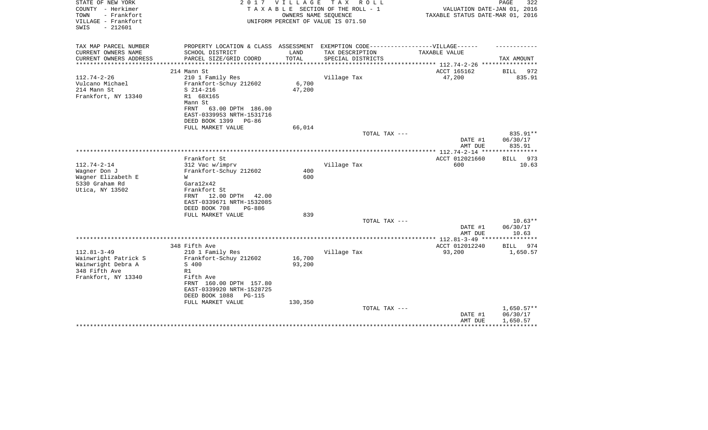| - Frankfort<br>OWNERS NAME SEQUENCE<br>TOWN<br>TAXABLE STATUS DATE-MAR 01, 2016<br>VILLAGE - Frankfort<br>UNIFORM PERCENT OF VALUE IS 071.50                                        |                      |
|-------------------------------------------------------------------------------------------------------------------------------------------------------------------------------------|----------------------|
| $-212601$<br>SWIS                                                                                                                                                                   |                      |
| TAX MAP PARCEL NUMBER<br>PROPERTY LOCATION & CLASS ASSESSMENT<br>EXEMPTION CODE------------------VILLAGE------                                                                      |                      |
| CURRENT OWNERS NAME<br>SCHOOL DISTRICT<br>LAND<br>TAX DESCRIPTION<br>TAXABLE VALUE                                                                                                  |                      |
| TOTAL<br>CURRENT OWNERS ADDRESS<br>PARCEL SIZE/GRID COORD<br>SPECIAL DISTRICTS<br>***************<br>******************************** 112.74-2-26 *****************<br>************ | TAX AMOUNT           |
| ACCT 165162<br>214 Mann St                                                                                                                                                          | BILL<br>972          |
| $112.74 - 2 - 26$<br>47,200<br>210 1 Family Res<br>Village Tax                                                                                                                      | 835.91               |
| 6,700<br>Vulcano Michael<br>Frankfort-Schuy 212602                                                                                                                                  |                      |
| 47,200<br>214 Mann St<br>$S$ 214-216                                                                                                                                                |                      |
| Frankfort, NY 13340<br>R1 68X165                                                                                                                                                    |                      |
| Mann St                                                                                                                                                                             |                      |
| 63.00 DPTH 186.00<br>FRNT                                                                                                                                                           |                      |
| EAST-0339953 NRTH-1531716                                                                                                                                                           |                      |
| DEED BOOK 1399<br>PG-86                                                                                                                                                             |                      |
| 66,014<br>FULL MARKET VALUE                                                                                                                                                         |                      |
| TOTAL TAX ---<br>DATE #1                                                                                                                                                            | 835.91**<br>06/30/17 |
| AMT DUE                                                                                                                                                                             | 835.91               |
|                                                                                                                                                                                     |                      |
| Frankfort St<br>ACCT 012021660                                                                                                                                                      | <b>BILL</b><br>973   |
| $112.74 - 2 - 14$<br>312 Vac w/imprv<br>Village Tax<br>600                                                                                                                          | 10.63                |
| Frankfort-Schuy 212602<br>400<br>Wagner Don J                                                                                                                                       |                      |
| Wagner Elizabeth E<br>600<br>W                                                                                                                                                      |                      |
| 5330 Graham Rd<br>Gara12x42                                                                                                                                                         |                      |
| Utica, NY 13502<br>Frankfort St                                                                                                                                                     |                      |
| 12.00 DPTH<br>42.00<br>FRNT                                                                                                                                                         |                      |
| EAST-0339671 NRTH-1532085                                                                                                                                                           |                      |
| DEED BOOK 708<br>PG-886                                                                                                                                                             |                      |
| 839<br>FULL MARKET VALUE                                                                                                                                                            |                      |
| TOTAL TAX ---                                                                                                                                                                       | $10.63**$            |
| DATE #1                                                                                                                                                                             | 06/30/17<br>10.63    |
| AMT DUE<br>************** 112.81-3-49 *****************                                                                                                                             |                      |
| 348 Fifth Ave<br>ACCT 012012240                                                                                                                                                     | BILL 974             |
| $112.81 - 3 - 49$<br>210 1 Family Res<br>Village Tax<br>93,200                                                                                                                      | 1,650.57             |
| Wainwright Patrick S<br>Frankfort-Schuy 212602<br>16,700                                                                                                                            |                      |
| Wainwright Debra A<br>S 400<br>93,200                                                                                                                                               |                      |
| 348 Fifth Ave<br>R1                                                                                                                                                                 |                      |
| Frankfort, NY 13340<br>Fifth Ave                                                                                                                                                    |                      |
| FRNT 160.00 DPTH 157.80                                                                                                                                                             |                      |
| EAST-0339920 NRTH-1528725                                                                                                                                                           |                      |
| DEED BOOK 1088<br><b>PG-115</b>                                                                                                                                                     |                      |
| FULL MARKET VALUE<br>130,350                                                                                                                                                        |                      |
| TOTAL TAX ---                                                                                                                                                                       | $1,650.57**$         |
| DATE #1                                                                                                                                                                             | 06/30/17             |
| AMT DUE                                                                                                                                                                             | 1,650.57             |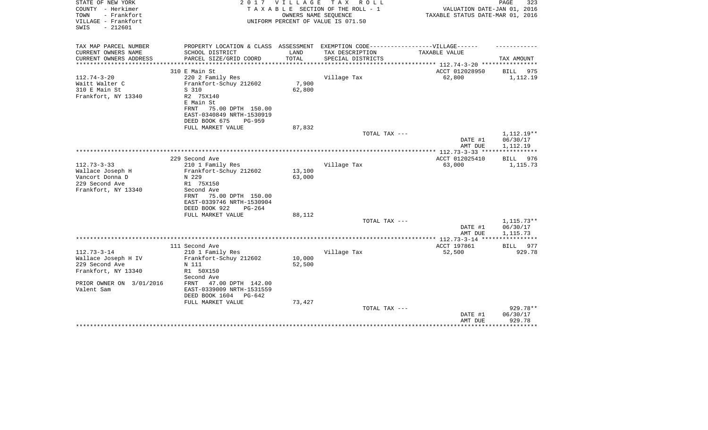| STATE OF NEW YORK<br>COUNTY - Herkimer<br>- Frankfort<br>TOWN<br>VILLAGE - Frankfort<br>$-212601$<br>SWIS | 2 0 1 7                                                | VILLAGE | T A X<br>R O L L<br>TAXABLE SECTION OF THE ROLL - 1<br>OWNERS NAME SEQUENCE<br>UNIFORM PERCENT OF VALUE IS 071.50 | VALUATION DATE-JAN 01, 2016<br>TAXABLE STATUS DATE-MAR 01, 2016 | 323<br>PAGE  |
|-----------------------------------------------------------------------------------------------------------|--------------------------------------------------------|---------|-------------------------------------------------------------------------------------------------------------------|-----------------------------------------------------------------|--------------|
| TAX MAP PARCEL NUMBER                                                                                     | PROPERTY LOCATION & CLASS ASSESSMENT                   |         | EXEMPTION CODE-----------------VILLAGE------                                                                      |                                                                 |              |
| CURRENT OWNERS NAME                                                                                       | SCHOOL DISTRICT                                        | LAND    | TAX DESCRIPTION                                                                                                   | TAXABLE VALUE                                                   |              |
| CURRENT OWNERS ADDRESS                                                                                    | PARCEL SIZE/GRID COORD                                 | TOTAL   | SPECIAL DISTRICTS                                                                                                 |                                                                 | TAX AMOUNT   |
|                                                                                                           | 310 E Main St                                          |         |                                                                                                                   | ACCT 012028950                                                  | BILL<br>975  |
| $112.74 - 3 - 20$                                                                                         | 220 2 Family Res                                       |         | Village Tax                                                                                                       | 62,800                                                          | 1,112.19     |
| Waitt Walter C                                                                                            | Frankfort-Schuy 212602                                 | 7,900   |                                                                                                                   |                                                                 |              |
| 310 E Main St                                                                                             | S 310                                                  | 62,800  |                                                                                                                   |                                                                 |              |
| Frankfort, NY 13340                                                                                       | R2 75X140                                              |         |                                                                                                                   |                                                                 |              |
|                                                                                                           | E Main St<br>FRNT                                      |         |                                                                                                                   |                                                                 |              |
|                                                                                                           | 75.00 DPTH 150.00<br>EAST-0340849 NRTH-1530919         |         |                                                                                                                   |                                                                 |              |
|                                                                                                           | DEED BOOK 675<br><b>PG-959</b>                         |         |                                                                                                                   |                                                                 |              |
|                                                                                                           | FULL MARKET VALUE                                      | 87,832  |                                                                                                                   |                                                                 |              |
|                                                                                                           |                                                        |         | TOTAL TAX ---                                                                                                     |                                                                 | 1,112.19**   |
|                                                                                                           |                                                        |         |                                                                                                                   | DATE #1                                                         | 06/30/17     |
|                                                                                                           |                                                        |         |                                                                                                                   | AMT DUE                                                         | 1,112.19     |
|                                                                                                           | 229 Second Ave                                         |         |                                                                                                                   | ACCT 012025410                                                  | BILL<br>976  |
| $112.73 - 3 - 33$                                                                                         | 210 1 Family Res                                       |         | Village Tax                                                                                                       | 63,000                                                          | 1,115.73     |
| Wallace Joseph H                                                                                          | Frankfort-Schuy 212602                                 | 13,100  |                                                                                                                   |                                                                 |              |
| Vancort Donna D                                                                                           | N 229                                                  | 63,000  |                                                                                                                   |                                                                 |              |
| 229 Second Ave                                                                                            | R1 75X150                                              |         |                                                                                                                   |                                                                 |              |
| Frankfort, NY 13340                                                                                       | Second Ave                                             |         |                                                                                                                   |                                                                 |              |
|                                                                                                           | 75.00 DPTH 150.00<br>FRNT<br>EAST-0339746 NRTH-1530904 |         |                                                                                                                   |                                                                 |              |
|                                                                                                           | DEED BOOK 922<br>$PG-264$                              |         |                                                                                                                   |                                                                 |              |
|                                                                                                           | FULL MARKET VALUE                                      | 88,112  |                                                                                                                   |                                                                 |              |
|                                                                                                           |                                                        |         | TOTAL TAX ---                                                                                                     |                                                                 | $1,115.73**$ |
|                                                                                                           |                                                        |         |                                                                                                                   | DATE #1                                                         | 06/30/17     |
|                                                                                                           |                                                        |         |                                                                                                                   | AMT DUE<br>************ 112.73-3-14 ****                        | 1,115.73     |
|                                                                                                           | 111 Second Ave                                         |         |                                                                                                                   | ACCT 197861                                                     | BILL<br>977  |
| $112.73 - 3 - 14$                                                                                         | 210 1 Family Res                                       |         | Village Tax                                                                                                       | 52,500                                                          | 929.78       |
| Wallace Joseph H IV                                                                                       | Frankfort-Schuy 212602                                 | 10,000  |                                                                                                                   |                                                                 |              |
| 229 Second Ave                                                                                            | N 111                                                  | 52,500  |                                                                                                                   |                                                                 |              |
| Frankfort, NY 13340                                                                                       | R1 50X150                                              |         |                                                                                                                   |                                                                 |              |
|                                                                                                           | Second Ave                                             |         |                                                                                                                   |                                                                 |              |
| PRIOR OWNER ON 3/01/2016<br>Valent Sam                                                                    | 47.00 DPTH 142.00<br>FRNT<br>EAST-0339009 NRTH-1531559 |         |                                                                                                                   |                                                                 |              |
|                                                                                                           | DEED BOOK 1604<br>$PG-642$                             |         |                                                                                                                   |                                                                 |              |
|                                                                                                           | FULL MARKET VALUE                                      | 73,427  |                                                                                                                   |                                                                 |              |
|                                                                                                           |                                                        |         | TOTAL TAX ---                                                                                                     |                                                                 | 929.78**     |
|                                                                                                           |                                                        |         |                                                                                                                   | DATE #1                                                         | 06/30/17     |
|                                                                                                           |                                                        |         |                                                                                                                   | AMT DUE                                                         | 929.78       |
|                                                                                                           |                                                        |         |                                                                                                                   |                                                                 |              |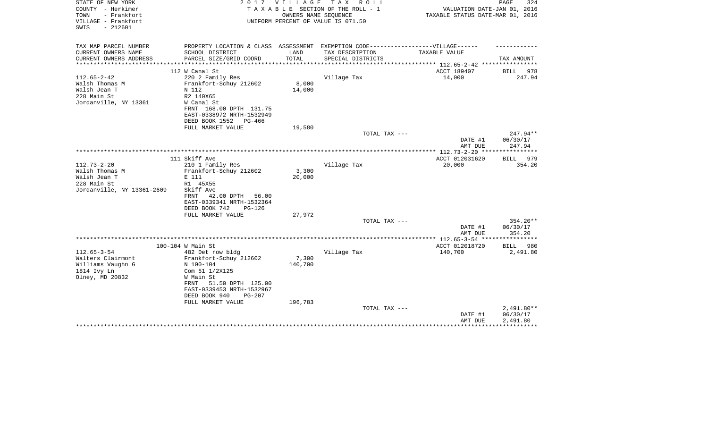| STATE OF NEW YORK<br>COUNTY - Herkimer<br>TOWN<br>- Frankfort | 2017                                                                              | V I L L A G E | T A X<br>R O L L<br>TAXABLE SECTION OF THE ROLL - 1<br>OWNERS NAME SEQUENCE | VALUATION DATE-JAN 01, 2016<br>TAXABLE STATUS DATE-MAR 01, 2016 | PAGE<br>324                     |
|---------------------------------------------------------------|-----------------------------------------------------------------------------------|---------------|-----------------------------------------------------------------------------|-----------------------------------------------------------------|---------------------------------|
| VILLAGE - Frankfort<br>$-212601$<br>SWIS                      |                                                                                   |               | UNIFORM PERCENT OF VALUE IS 071.50                                          |                                                                 |                                 |
| TAX MAP PARCEL NUMBER                                         | PROPERTY LOCATION & CLASS ASSESSMENT EXEMPTION CODE-----------------VILLAGE------ |               |                                                                             |                                                                 |                                 |
| CURRENT OWNERS NAME                                           | SCHOOL DISTRICT                                                                   | LAND          | TAX DESCRIPTION                                                             | TAXABLE VALUE                                                   |                                 |
| CURRENT OWNERS ADDRESS                                        | PARCEL SIZE/GRID COORD                                                            | TOTAL         | SPECIAL DISTRICTS                                                           |                                                                 | TAX AMOUNT                      |
|                                                               | 112 W Canal St                                                                    |               |                                                                             | ACCT 189407                                                     | BILL<br>978                     |
| $112.65 - 2 - 42$                                             | 220 2 Family Res                                                                  |               | Village Tax                                                                 | 14,000                                                          | 247.94                          |
| Walsh Thomas M                                                | Frankfort-Schuy 212602                                                            | 8,000         |                                                                             |                                                                 |                                 |
| Walsh Jean T                                                  | N 112                                                                             | 14,000        |                                                                             |                                                                 |                                 |
| 228 Main St                                                   | R2 140X65                                                                         |               |                                                                             |                                                                 |                                 |
| Jordanville, NY 13361                                         | W Canal St                                                                        |               |                                                                             |                                                                 |                                 |
|                                                               | FRNT 168.00 DPTH 131.75<br>EAST-0338972 NRTH-1532949                              |               |                                                                             |                                                                 |                                 |
|                                                               | DEED BOOK 1552<br>PG-466                                                          |               |                                                                             |                                                                 |                                 |
|                                                               | FULL MARKET VALUE                                                                 | 19,580        |                                                                             |                                                                 |                                 |
|                                                               |                                                                                   |               | TOTAL TAX ---                                                               |                                                                 | $247.94**$                      |
|                                                               |                                                                                   |               |                                                                             | DATE #1                                                         | 06/30/17                        |
|                                                               |                                                                                   |               |                                                                             | AMT DUE                                                         | 247.94                          |
|                                                               |                                                                                   |               |                                                                             |                                                                 |                                 |
|                                                               | 111 Skiff Ave                                                                     |               |                                                                             | ACCT 012031620                                                  | BILL 979                        |
| $112.73 - 2 - 20$                                             | 210 1 Family Res                                                                  |               | Village Tax                                                                 | 20,000                                                          | 354.20                          |
| Walsh Thomas M<br>Walsh Jean T                                | Frankfort-Schuy 212602<br>E 111                                                   | 3,300         |                                                                             |                                                                 |                                 |
| 228 Main St                                                   | R1 45X55                                                                          | 20,000        |                                                                             |                                                                 |                                 |
| Jordanville, NY 13361-2609                                    | Skiff Ave                                                                         |               |                                                                             |                                                                 |                                 |
|                                                               | 42.00 DPTH<br>56.00<br>FRNT                                                       |               |                                                                             |                                                                 |                                 |
|                                                               | EAST-0339341 NRTH-1532364                                                         |               |                                                                             |                                                                 |                                 |
|                                                               | DEED BOOK 742<br>$PG-126$                                                         |               |                                                                             |                                                                 |                                 |
|                                                               | FULL MARKET VALUE                                                                 | 27,972        |                                                                             |                                                                 |                                 |
|                                                               |                                                                                   |               | TOTAL TAX ---                                                               |                                                                 | 354.20**                        |
|                                                               |                                                                                   |               |                                                                             | DATE #1                                                         | 06/30/17                        |
|                                                               |                                                                                   |               |                                                                             | AMT DUE                                                         | 354.20<br>* * * * * * * * * * * |
|                                                               |                                                                                   |               |                                                                             | ACCT 012018720                                                  | BILL 980                        |
| $112.65 - 3 - 54$                                             | 100-104 W Main St<br>482 Det row bldg                                             |               | Village Tax                                                                 | 140,700                                                         | 2,491.80                        |
| Walters Clairmont                                             | Frankfort-Schuy 212602                                                            | 7,300         |                                                                             |                                                                 |                                 |
| Williams Vaughn G                                             | N 100-104                                                                         | 140,700       |                                                                             |                                                                 |                                 |
| 1814 Ivy Ln                                                   | Com 51 1/2X125                                                                    |               |                                                                             |                                                                 |                                 |
| Olney, MD 20832                                               | W Main St                                                                         |               |                                                                             |                                                                 |                                 |
|                                                               | 51.50 DPTH 125.00<br>FRNT                                                         |               |                                                                             |                                                                 |                                 |
|                                                               | EAST-0339453 NRTH-1532967                                                         |               |                                                                             |                                                                 |                                 |
|                                                               | DEED BOOK 940<br>$PG-207$                                                         |               |                                                                             |                                                                 |                                 |
|                                                               | FULL MARKET VALUE                                                                 | 196,783       |                                                                             |                                                                 |                                 |
|                                                               |                                                                                   |               | TOTAL TAX ---                                                               |                                                                 | 2,491.80**<br>06/30/17          |
|                                                               |                                                                                   |               |                                                                             | DATE #1<br>AMT DUE                                              | 2,491.80                        |
|                                                               |                                                                                   |               |                                                                             |                                                                 |                                 |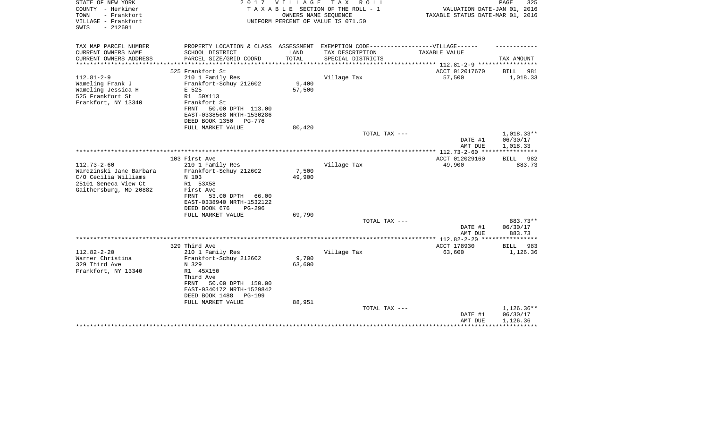| STATE OF NEW YORK<br>COUNTY - Herkimer                          | 2 0 1 7                                                                           | V I L L A G E | TAX ROLL<br>TAXABLE SECTION OF THE ROLL - 1                | VALUATION DATE-JAN 01, 2016                               | PAGE<br>325  |
|-----------------------------------------------------------------|-----------------------------------------------------------------------------------|---------------|------------------------------------------------------------|-----------------------------------------------------------|--------------|
| TOWN<br>- Frankfort<br>VILLAGE - Frankfort<br>$-212601$<br>SWIS |                                                                                   |               | OWNERS NAME SEQUENCE<br>UNIFORM PERCENT OF VALUE IS 071.50 | TAXABLE STATUS DATE-MAR 01, 2016                          |              |
|                                                                 |                                                                                   |               |                                                            |                                                           |              |
| TAX MAP PARCEL NUMBER                                           | PROPERTY LOCATION & CLASS ASSESSMENT EXEMPTION CODE-----------------VILLAGE------ |               |                                                            |                                                           |              |
| CURRENT OWNERS NAME                                             | SCHOOL DISTRICT                                                                   | LAND          | TAX DESCRIPTION                                            | TAXABLE VALUE                                             |              |
| CURRENT OWNERS ADDRESS<br>*********************                 | PARCEL SIZE/GRID COORD                                                            | TOTAL         | SPECIAL DISTRICTS                                          | **************************** 112.81-2-9 ***************** | TAX AMOUNT   |
|                                                                 | 525 Frankfort St                                                                  |               |                                                            | ACCT 012017670                                            | BILL<br>981  |
| $112.81 - 2 - 9$                                                | 210 1 Family Res                                                                  |               | Village Tax                                                | 57,500                                                    | 1,018.33     |
| Wameling Frank J                                                | Frankfort-Schuy 212602                                                            | 9,400         |                                                            |                                                           |              |
| Wameling Jessica H                                              | E 525                                                                             | 57,500        |                                                            |                                                           |              |
| 525 Frankfort St                                                | R1 50X113                                                                         |               |                                                            |                                                           |              |
| Frankfort, NY 13340                                             | Frankfort St                                                                      |               |                                                            |                                                           |              |
|                                                                 | 50.00 DPTH 113.00<br>FRNT                                                         |               |                                                            |                                                           |              |
|                                                                 | EAST-0338568 NRTH-1530286                                                         |               |                                                            |                                                           |              |
|                                                                 | DEED BOOK 1350<br>PG-776                                                          |               |                                                            |                                                           |              |
|                                                                 | FULL MARKET VALUE                                                                 | 80,420        | TOTAL TAX ---                                              |                                                           | $1,018.33**$ |
|                                                                 |                                                                                   |               |                                                            | DATE #1                                                   | 06/30/17     |
|                                                                 |                                                                                   |               |                                                            | AMT DUE                                                   | 1,018.33     |
|                                                                 |                                                                                   |               |                                                            | **************** 112.73-2-60 ****                         | ************ |
|                                                                 | 103 First Ave                                                                     |               |                                                            | ACCT 012029160                                            | BILL 982     |
| $112.73 - 2 - 60$                                               | 210 1 Family Res                                                                  |               | Village Tax                                                | 49,900                                                    | 883.73       |
| Wardzinski Jane Barbara                                         | Frankfort-Schuy 212602                                                            | 7,500         |                                                            |                                                           |              |
| C/O Cecilia Williams                                            | N 103                                                                             | 49,900        |                                                            |                                                           |              |
| 25101 Seneca View Ct                                            | R1 53X58                                                                          |               |                                                            |                                                           |              |
| Gaithersburg, MD 20882                                          | First Ave                                                                         |               |                                                            |                                                           |              |
|                                                                 | 53.00 DPTH<br>66.00<br>FRNT<br>EAST-0338940 NRTH-1532122                          |               |                                                            |                                                           |              |
|                                                                 | DEED BOOK 676<br>$PG-296$                                                         |               |                                                            |                                                           |              |
|                                                                 | FULL MARKET VALUE                                                                 | 69,790        |                                                            |                                                           |              |
|                                                                 |                                                                                   |               | TOTAL TAX ---                                              |                                                           | 883.73**     |
|                                                                 |                                                                                   |               |                                                            | DATE #1                                                   | 06/30/17     |
|                                                                 |                                                                                   |               |                                                            | AMT DUE                                                   | 883.73       |
|                                                                 |                                                                                   |               |                                                            |                                                           |              |
|                                                                 | 329 Third Ave                                                                     |               |                                                            | ACCT 178930                                               | BILL<br>983  |
| $112.82 - 2 - 20$                                               | 210 1 Family Res                                                                  |               | Village Tax                                                | 63,600                                                    | 1,126.36     |
| Warner Christina                                                | Frankfort-Schuy 212602                                                            | 9,700         |                                                            |                                                           |              |
| 329 Third Ave<br>Frankfort, NY 13340                            | N 329<br>R1 45X150                                                                | 63,600        |                                                            |                                                           |              |
|                                                                 | Third Ave                                                                         |               |                                                            |                                                           |              |
|                                                                 | FRNT<br>50.00 DPTH 150.00                                                         |               |                                                            |                                                           |              |
|                                                                 | EAST-0340172 NRTH-1529842                                                         |               |                                                            |                                                           |              |
|                                                                 | DEED BOOK 1488<br><b>PG-199</b>                                                   |               |                                                            |                                                           |              |
|                                                                 | FULL MARKET VALUE                                                                 | 88,951        |                                                            |                                                           |              |
|                                                                 |                                                                                   |               | TOTAL TAX ---                                              |                                                           | 1,126.36**   |
|                                                                 |                                                                                   |               |                                                            | DATE #1                                                   | 06/30/17     |
|                                                                 |                                                                                   |               |                                                            | AMT DUE                                                   | 1,126.36     |
|                                                                 |                                                                                   |               |                                                            |                                                           |              |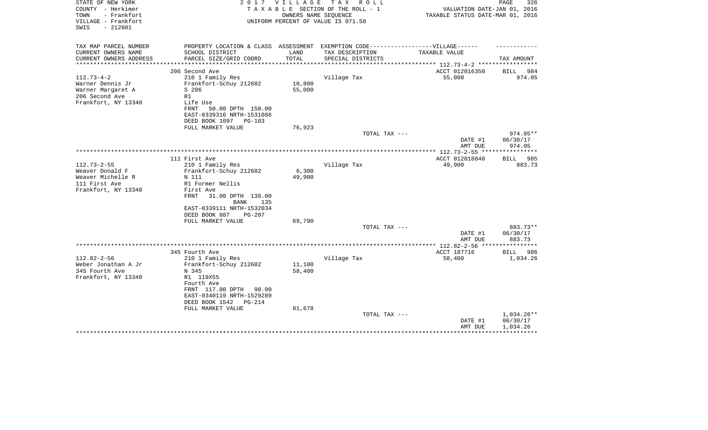| STATE OF NEW YORK<br>COUNTY - Herkimer<br>TOWN<br>- Frankfort<br>VILLAGE - Frankfort<br>$-212601$<br>SWIS | 2017                                                                             | V I L L A G E   | T A X<br>R O L L<br>TAXABLE SECTION OF THE ROLL - 1<br>OWNERS NAME SEOUENCE<br>UNIFORM PERCENT OF VALUE IS 071.50 | VALUATION DATE-JAN 01, 2016<br>TAXABLE STATUS DATE-MAR 01, 2016 | PAGE<br>326        |
|-----------------------------------------------------------------------------------------------------------|----------------------------------------------------------------------------------|-----------------|-------------------------------------------------------------------------------------------------------------------|-----------------------------------------------------------------|--------------------|
| TAX MAP PARCEL NUMBER                                                                                     | PROPERTY LOCATION & CLASS ASSESSMENT EXEMPTION CODE----------------VILLAGE------ |                 |                                                                                                                   |                                                                 |                    |
| CURRENT OWNERS NAME<br>CURRENT OWNERS ADDRESS<br>*********************                                    | SCHOOL DISTRICT<br>PARCEL SIZE/GRID COORD                                        | LAND<br>TOTAL   | TAX DESCRIPTION<br>SPECIAL DISTRICTS                                                                              | TAXABLE VALUE                                                   | TAX AMOUNT         |
|                                                                                                           | 206 Second Ave                                                                   |                 |                                                                                                                   | ACCT 012016350                                                  | 984<br><b>BILL</b> |
| $112.73 - 4 - 2$                                                                                          | 210 1 Family Res                                                                 |                 | Village Tax                                                                                                       | 55,000                                                          | 974.05             |
| Warner Dennis Jr                                                                                          | Frankfort-Schuy 212602                                                           | 10,800          |                                                                                                                   |                                                                 |                    |
| Warner Margaret A                                                                                         | S 206                                                                            | 55,000          |                                                                                                                   |                                                                 |                    |
| 206 Second Ave                                                                                            | R1                                                                               |                 |                                                                                                                   |                                                                 |                    |
| Frankfort, NY 13340                                                                                       | Life Use                                                                         |                 |                                                                                                                   |                                                                 |                    |
|                                                                                                           | FRNT<br>50.00 DPTH 150.00                                                        |                 |                                                                                                                   |                                                                 |                    |
|                                                                                                           | EAST-0339316 NRTH-1531086                                                        |                 |                                                                                                                   |                                                                 |                    |
|                                                                                                           | DEED BOOK 1097<br>PG-103                                                         |                 |                                                                                                                   |                                                                 |                    |
|                                                                                                           | FULL MARKET VALUE                                                                | 76,923          | TOTAL TAX ---                                                                                                     |                                                                 | 974.05**           |
|                                                                                                           |                                                                                  |                 |                                                                                                                   | DATE #1<br>AMT DUE                                              | 06/30/17<br>974.05 |
|                                                                                                           |                                                                                  |                 |                                                                                                                   |                                                                 | ************       |
|                                                                                                           | 111 First Ave                                                                    |                 |                                                                                                                   | ACCT 012018840                                                  | 985<br>BILL        |
| $112.73 - 2 - 55$                                                                                         | 210 1 Family Res                                                                 |                 | Village Tax                                                                                                       | 49,900                                                          | 883.73             |
| Weaver Donald F<br>Weaver Michelle R                                                                      | Frankfort-Schuy 212602<br>N 111                                                  | 6,300<br>49,900 |                                                                                                                   |                                                                 |                    |
| 111 First Ave                                                                                             | R1 Former Nellis                                                                 |                 |                                                                                                                   |                                                                 |                    |
| Frankfort, NY 13340                                                                                       | First Ave                                                                        |                 |                                                                                                                   |                                                                 |                    |
|                                                                                                           | FRNT<br>31.00 DPTH 138.00<br><b>BANK</b><br>135                                  |                 |                                                                                                                   |                                                                 |                    |
|                                                                                                           | EAST-0339111 NRTH-1532034                                                        |                 |                                                                                                                   |                                                                 |                    |
|                                                                                                           | DEED BOOK 887<br>$PG-207$                                                        |                 |                                                                                                                   |                                                                 |                    |
|                                                                                                           | FULL MARKET VALUE                                                                | 69,790          |                                                                                                                   |                                                                 |                    |
|                                                                                                           |                                                                                  |                 | TOTAL TAX ---                                                                                                     |                                                                 | 883.73**           |
|                                                                                                           |                                                                                  |                 |                                                                                                                   | DATE #1<br>AMT DUE                                              | 06/30/17<br>883.73 |
|                                                                                                           |                                                                                  |                 |                                                                                                                   | ************* 112.82-2-56 *****************                     |                    |
|                                                                                                           | 345 Fourth Ave                                                                   |                 |                                                                                                                   | ACCT 187716                                                     | BILL<br>986        |
| $112.82 - 2 - 56$                                                                                         | 210 1 Family Res                                                                 |                 | Village Tax                                                                                                       | 58,400                                                          | 1,034.26           |
| Weber Jonathan A Jr                                                                                       | Frankfort-Schuy 212602                                                           | 11,100          |                                                                                                                   |                                                                 |                    |
| 345 Fourth Ave                                                                                            | N 345                                                                            | 58,400          |                                                                                                                   |                                                                 |                    |
| Frankfort, NY 13340                                                                                       | R1 119X55                                                                        |                 |                                                                                                                   |                                                                 |                    |
|                                                                                                           | Fourth Ave                                                                       |                 |                                                                                                                   |                                                                 |                    |
|                                                                                                           | FRNT 117.00 DPTH<br>90.00                                                        |                 |                                                                                                                   |                                                                 |                    |
|                                                                                                           | EAST-0340119 NRTH-1529289<br>DEED BOOK 1542<br><b>PG-214</b>                     |                 |                                                                                                                   |                                                                 |                    |
|                                                                                                           | FULL MARKET VALUE                                                                | 81,678          |                                                                                                                   |                                                                 |                    |
|                                                                                                           |                                                                                  |                 | TOTAL TAX ---                                                                                                     |                                                                 | 1,034.26**         |
|                                                                                                           |                                                                                  |                 |                                                                                                                   | DATE #1                                                         | 06/30/17           |
|                                                                                                           |                                                                                  |                 |                                                                                                                   | AMT DUE                                                         | 1,034.26           |
|                                                                                                           |                                                                                  |                 |                                                                                                                   |                                                                 |                    |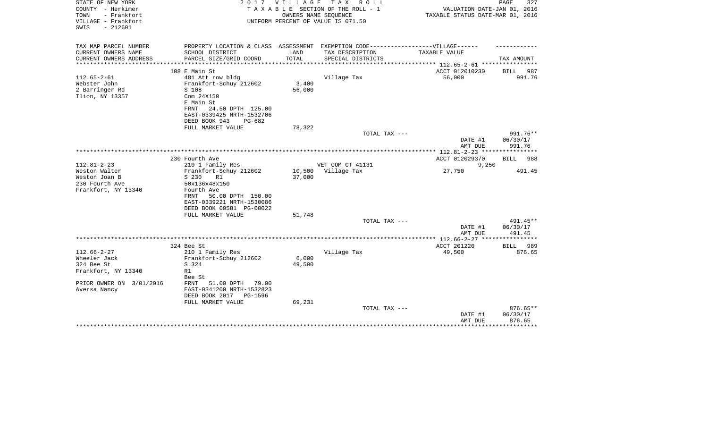| STATE OF NEW YORK<br>COUNTY - Herkimer<br>- Frankfort<br>TOWN<br>VILLAGE - Frankfort<br>$-212601$<br>SWIS | 2 0 1 7                                                                           | <b>VILLAGE</b>  | T A X<br>R O L L<br>TAXABLE SECTION OF THE ROLL - 1<br>OWNERS NAME SEQUENCE<br>UNIFORM PERCENT OF VALUE IS 071.50 | VALUATION DATE-JAN 01, 2016<br>TAXABLE STATUS DATE-MAR 01, 2016 | 327<br>PAGE          |
|-----------------------------------------------------------------------------------------------------------|-----------------------------------------------------------------------------------|-----------------|-------------------------------------------------------------------------------------------------------------------|-----------------------------------------------------------------|----------------------|
|                                                                                                           |                                                                                   |                 |                                                                                                                   |                                                                 |                      |
| TAX MAP PARCEL NUMBER                                                                                     | PROPERTY LOCATION & CLASS ASSESSMENT EXEMPTION CODE-----------------VILLAGE------ |                 |                                                                                                                   |                                                                 |                      |
| CURRENT OWNERS NAME                                                                                       | SCHOOL DISTRICT                                                                   | LAND            | TAX DESCRIPTION                                                                                                   | TAXABLE VALUE                                                   |                      |
| CURRENT OWNERS ADDRESS                                                                                    | PARCEL SIZE/GRID COORD                                                            | TOTAL           | SPECIAL DISTRICTS                                                                                                 |                                                                 | TAX AMOUNT           |
|                                                                                                           | 108 E Main St                                                                     |                 |                                                                                                                   | ACCT 012010230                                                  | BILL<br>987          |
| $112.65 - 2 - 61$                                                                                         | 481 Att row bldg                                                                  |                 | Village Tax                                                                                                       | 56,000                                                          | 991.76               |
| Webster John                                                                                              | Frankfort-Schuy 212602                                                            | 3,400           |                                                                                                                   |                                                                 |                      |
| 2 Barringer Rd                                                                                            | S 108                                                                             | 56,000          |                                                                                                                   |                                                                 |                      |
| Ilion, NY 13357                                                                                           | Com 24X150<br>E Main St                                                           |                 |                                                                                                                   |                                                                 |                      |
|                                                                                                           | 24.50 DPTH 125.00<br>FRNT                                                         |                 |                                                                                                                   |                                                                 |                      |
|                                                                                                           | EAST-0339425 NRTH-1532706                                                         |                 |                                                                                                                   |                                                                 |                      |
|                                                                                                           | DEED BOOK 943<br>$PG-682$                                                         |                 |                                                                                                                   |                                                                 |                      |
|                                                                                                           | FULL MARKET VALUE                                                                 | 78,322          |                                                                                                                   |                                                                 |                      |
|                                                                                                           |                                                                                   |                 | TOTAL TAX ---                                                                                                     | DATE #1                                                         | 991.76**<br>06/30/17 |
|                                                                                                           |                                                                                   |                 |                                                                                                                   | AMT DUE                                                         | 991.76               |
|                                                                                                           |                                                                                   |                 |                                                                                                                   |                                                                 |                      |
|                                                                                                           | 230 Fourth Ave                                                                    |                 |                                                                                                                   | ACCT 012029370                                                  | 988<br>BILL          |
| $112.81 - 2 - 23$                                                                                         | 210 1 Family Res                                                                  |                 | VET COM CT 41131                                                                                                  | 9,250                                                           |                      |
| Weston Walter                                                                                             | Frankfort-Schuy 212602                                                            | 10,500          | Village Tax                                                                                                       | 27,750                                                          | 491.45               |
| Weston Joan B<br>230 Fourth Ave                                                                           | S 230<br>R1<br>50x136x48x150                                                      | 37,000          |                                                                                                                   |                                                                 |                      |
| Frankfort, NY 13340                                                                                       | Fourth Ave                                                                        |                 |                                                                                                                   |                                                                 |                      |
|                                                                                                           | 50.00 DPTH 150.00<br>FRNT                                                         |                 |                                                                                                                   |                                                                 |                      |
|                                                                                                           | EAST-0339221 NRTH-1530086                                                         |                 |                                                                                                                   |                                                                 |                      |
|                                                                                                           | DEED BOOK 00581 PG-00022                                                          |                 |                                                                                                                   |                                                                 |                      |
|                                                                                                           | FULL MARKET VALUE                                                                 | 51,748          |                                                                                                                   |                                                                 | 491.45**             |
|                                                                                                           |                                                                                   |                 | TOTAL TAX ---                                                                                                     | DATE #1                                                         | 06/30/17             |
|                                                                                                           |                                                                                   |                 |                                                                                                                   | AMT DUE                                                         | 491.45               |
|                                                                                                           |                                                                                   |                 |                                                                                                                   |                                                                 |                      |
|                                                                                                           | 324 Bee St                                                                        |                 |                                                                                                                   | ACCT 201220                                                     | 989<br>BILL          |
| $112.66 - 2 - 27$                                                                                         | 210 1 Family Res                                                                  |                 | Village Tax                                                                                                       | 49,500                                                          | 876.65               |
| Wheeler Jack<br>324 Bee St                                                                                | Frankfort-Schuy 212602<br>S 324                                                   | 6,000<br>49,500 |                                                                                                                   |                                                                 |                      |
| Frankfort, NY 13340                                                                                       | R1                                                                                |                 |                                                                                                                   |                                                                 |                      |
|                                                                                                           | Bee St                                                                            |                 |                                                                                                                   |                                                                 |                      |
| PRIOR OWNER ON 3/01/2016                                                                                  | 51.00 DPTH<br>FRNT<br>79.00                                                       |                 |                                                                                                                   |                                                                 |                      |
| Aversa Nancy                                                                                              | EAST-0341200 NRTH-1532823                                                         |                 |                                                                                                                   |                                                                 |                      |
|                                                                                                           | DEED BOOK 2017<br><b>PG-1596</b>                                                  |                 |                                                                                                                   |                                                                 |                      |
|                                                                                                           | FULL MARKET VALUE                                                                 | 69,231          | TOTAL TAX ---                                                                                                     |                                                                 | $876.65**$           |
|                                                                                                           |                                                                                   |                 |                                                                                                                   | DATE #1                                                         | 06/30/17             |
|                                                                                                           |                                                                                   |                 |                                                                                                                   | AMT DUE                                                         | 876.65               |
|                                                                                                           |                                                                                   |                 |                                                                                                                   |                                                                 |                      |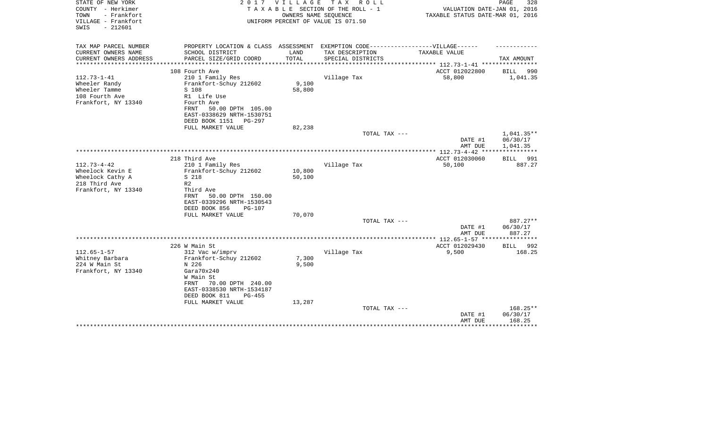| STATE OF NEW YORK<br>COUNTY - Herkimer<br>TOWN<br>- Frankfort<br>VILLAGE - Frankfort<br>$-212601$<br>SWIS | 2 0 1 7                                                                                                                  | V I L L A G E    | T A X<br>R O L L<br>TAXABLE SECTION OF THE ROLL - 1<br>OWNERS NAME SEQUENCE<br>UNIFORM PERCENT OF VALUE IS 071.50 | VALUATION DATE-JAN 01, 2016<br>TAXABLE STATUS DATE-MAR 01, 2016 | PAGE<br>328                      |
|-----------------------------------------------------------------------------------------------------------|--------------------------------------------------------------------------------------------------------------------------|------------------|-------------------------------------------------------------------------------------------------------------------|-----------------------------------------------------------------|----------------------------------|
| TAX MAP PARCEL NUMBER                                                                                     | PROPERTY LOCATION & CLASS ASSESSMENT EXEMPTION CODE-----------------VILLAGE------                                        |                  |                                                                                                                   |                                                                 |                                  |
| CURRENT OWNERS NAME<br>CURRENT OWNERS ADDRESS                                                             | SCHOOL DISTRICT<br>PARCEL SIZE/GRID COORD                                                                                | LAND<br>TOTAL    | TAX DESCRIPTION<br>SPECIAL DISTRICTS                                                                              | TAXABLE VALUE                                                   | TAX AMOUNT                       |
| ********************                                                                                      | ***************************                                                                                              | *************    |                                                                                                                   | ***************** 112.73-1-41 ************<br>ACCT 012022800    |                                  |
| $112.73 - 1 - 41$<br>Wheeler Randy<br>Wheeler Tamme<br>108 Fourth Ave                                     | 108 Fourth Ave<br>210 1 Family Res<br>Frankfort-Schuy 212602<br>S 108<br>R1 Life Use<br>Fourth Ave                       | 9,100<br>58,800  | Village Tax                                                                                                       | 58,800                                                          | BILL<br>990<br>1,041.35          |
| Frankfort, NY 13340                                                                                       | 50.00 DPTH 105.00<br>FRNT<br>EAST-0338629 NRTH-1530751<br>DEED BOOK 1151<br>PG-297<br>FULL MARKET VALUE                  | 82,238           |                                                                                                                   |                                                                 |                                  |
|                                                                                                           |                                                                                                                          |                  | TOTAL TAX ---                                                                                                     |                                                                 | 1,041.35**                       |
|                                                                                                           |                                                                                                                          |                  |                                                                                                                   | DATE #1<br>AMT DUE                                              | 06/30/17<br>1,041.35             |
|                                                                                                           |                                                                                                                          |                  |                                                                                                                   |                                                                 |                                  |
| $112.73 - 4 - 42$                                                                                         | 218 Third Ave<br>210 1 Family Res                                                                                        |                  | Village Tax                                                                                                       | ACCT 012030060<br>50,100                                        | <b>BILL</b> 991<br>887.27        |
| Wheelock Kevin E<br>Wheelock Cathy A<br>218 Third Ave<br>Frankfort, NY 13340                              | Frankfort-Schuy 212602<br>S 218<br>R <sub>2</sub><br>Third Ave<br>FRNT<br>50.00 DPTH 150.00<br>EAST-0339296 NRTH-1530543 | 10,800<br>50,100 |                                                                                                                   |                                                                 |                                  |
|                                                                                                           | DEED BOOK 856<br><b>PG-107</b>                                                                                           |                  |                                                                                                                   |                                                                 |                                  |
|                                                                                                           | FULL MARKET VALUE                                                                                                        | 70,070           |                                                                                                                   |                                                                 |                                  |
|                                                                                                           |                                                                                                                          |                  | TOTAL TAX ---                                                                                                     | DATE #1                                                         | 887.27**<br>06/30/17             |
|                                                                                                           |                                                                                                                          |                  |                                                                                                                   | AMT DUE                                                         | 887.27                           |
|                                                                                                           | 226 W Main St                                                                                                            |                  |                                                                                                                   | ACCT 012029430                                                  | BILL<br>992                      |
| $112.65 - 1 - 57$<br>Whitney Barbara<br>224 W Main St<br>Frankfort, NY 13340                              | 312 Vac w/imprv<br>Frankfort-Schuy 212602<br>N 226<br>Gara70x240<br>W Main St<br>70.00 DPTH 240.00<br>FRNT               | 7,300<br>9,500   | Village Tax                                                                                                       | 9,500                                                           | 168.25                           |
|                                                                                                           | EAST-0338530 NRTH-1534187<br>DEED BOOK 811<br>$PG-455$<br>FULL MARKET VALUE                                              | 13,287           |                                                                                                                   |                                                                 |                                  |
|                                                                                                           |                                                                                                                          |                  | TOTAL TAX ---                                                                                                     | DATE #1<br>AMT DUE                                              | $168.25**$<br>06/30/17<br>168.25 |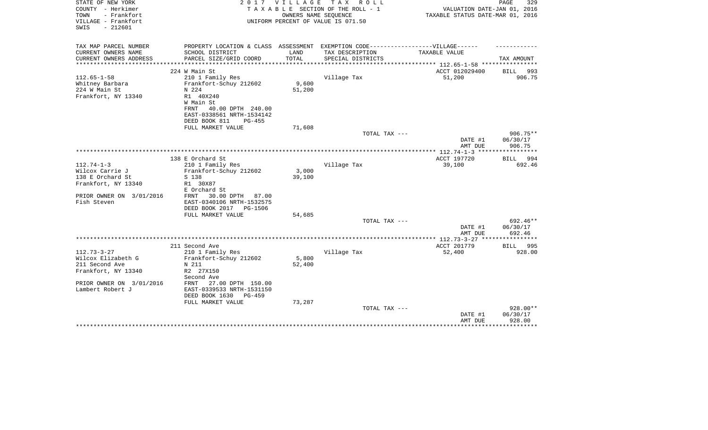| STATE OF NEW YORK<br>COUNTY - Herkimer                          | 2 0 1 7                                                | <b>VILLAGE</b> | T A X<br>R O L L<br>TAXABLE SECTION OF THE ROLL - 1        | VALUATION DATE-JAN 01, 2016               | PAGE<br>329            |
|-----------------------------------------------------------------|--------------------------------------------------------|----------------|------------------------------------------------------------|-------------------------------------------|------------------------|
| - Frankfort<br>TOWN<br>VILLAGE - Frankfort<br>$-212601$<br>SWIS |                                                        |                | OWNERS NAME SEQUENCE<br>UNIFORM PERCENT OF VALUE IS 071.50 | TAXABLE STATUS DATE-MAR 01, 2016          |                        |
| TAX MAP PARCEL NUMBER                                           | PROPERTY LOCATION & CLASS ASSESSMENT                   |                | EXEMPTION CODE------------------VILLAGE------              |                                           |                        |
| CURRENT OWNERS NAME                                             | SCHOOL DISTRICT                                        | LAND           | TAX DESCRIPTION                                            | TAXABLE VALUE                             |                        |
| CURRENT OWNERS ADDRESS<br>*********************                 | PARCEL SIZE/GRID COORD                                 | TOTAL          | SPECIAL DISTRICTS                                          |                                           | TAX AMOUNT             |
|                                                                 | 224 W Main St                                          |                |                                                            | ACCT 012029400                            | BILL 993               |
| $112.65 - 1 - 58$                                               | 210 1 Family Res                                       |                | Village Tax                                                | 51,200                                    | 906.75                 |
| Whitney Barbara                                                 | Frankfort-Schuy 212602                                 | 9,600          |                                                            |                                           |                        |
| 224 W Main St                                                   | N 224                                                  | 51,200         |                                                            |                                           |                        |
| Frankfort, NY 13340                                             | R1 40X240                                              |                |                                                            |                                           |                        |
|                                                                 | W Main St                                              |                |                                                            |                                           |                        |
|                                                                 | 40.00 DPTH 240.00<br>FRNT<br>EAST-0338561 NRTH-1534142 |                |                                                            |                                           |                        |
|                                                                 | DEED BOOK 811<br>$PG-455$                              |                |                                                            |                                           |                        |
|                                                                 | FULL MARKET VALUE                                      | 71,608         |                                                            |                                           |                        |
|                                                                 |                                                        |                | TOTAL TAX ---                                              |                                           | 906.75**               |
|                                                                 |                                                        |                |                                                            | DATE #1                                   | 06/30/17               |
|                                                                 |                                                        |                |                                                            | AMT DUE                                   | 906.75                 |
|                                                                 | 138 E Orchard St                                       |                |                                                            | ACCT 197720                               | BILL 994               |
| $112.74 - 1 - 3$                                                | 210 1 Family Res                                       |                | Village Tax                                                | 39,100                                    | 692.46                 |
| Wilcox Carrie J                                                 | Frankfort-Schuy 212602                                 | 3,000          |                                                            |                                           |                        |
| 138 E Orchard St                                                | S 138                                                  | 39,100         |                                                            |                                           |                        |
| Frankfort, NY 13340                                             | R1 30X87                                               |                |                                                            |                                           |                        |
| PRIOR OWNER ON 3/01/2016                                        | E Orchard St<br>30.00 DPTH<br>FRNT<br>87.00            |                |                                                            |                                           |                        |
| Fish Steven                                                     | EAST-0340106 NRTH-1532575                              |                |                                                            |                                           |                        |
|                                                                 | DEED BOOK 2017<br>PG-1506                              |                |                                                            |                                           |                        |
|                                                                 | FULL MARKET VALUE                                      | 54,685         |                                                            |                                           |                        |
|                                                                 |                                                        |                | TOTAL TAX ---                                              |                                           | 692.46**               |
|                                                                 |                                                        |                |                                                            | DATE #1                                   | 06/30/17               |
|                                                                 |                                                        |                |                                                            | AMT DUE<br>************* 112.73-3-27 **** | 692.46<br>************ |
|                                                                 | 211 Second Ave                                         |                |                                                            | ACCT 201779                               | BILL 995               |
| $112.73 - 3 - 27$                                               | 210 1 Family Res                                       |                | Village Tax                                                | 52,400                                    | 928.00                 |
| Wilcox Elizabeth G                                              | Frankfort-Schuy 212602                                 | 5,800          |                                                            |                                           |                        |
| 211 Second Ave                                                  | N 211                                                  | 52,400         |                                                            |                                           |                        |
| Frankfort, NY 13340                                             | R2 27X150<br>Second Ave                                |                |                                                            |                                           |                        |
| PRIOR OWNER ON 3/01/2016                                        | 27.00 DPTH 150.00<br>FRNT                              |                |                                                            |                                           |                        |
| Lambert Robert J                                                | EAST-0339533 NRTH-1531150                              |                |                                                            |                                           |                        |
|                                                                 | DEED BOOK 1630<br>$PG-459$                             |                |                                                            |                                           |                        |
|                                                                 | FULL MARKET VALUE                                      | 73,287         |                                                            |                                           |                        |
|                                                                 |                                                        |                | TOTAL TAX ---                                              |                                           | 928.00**               |
|                                                                 |                                                        |                |                                                            | DATE #1<br>AMT DUE                        | 06/30/17<br>928.00     |
|                                                                 |                                                        |                |                                                            |                                           |                        |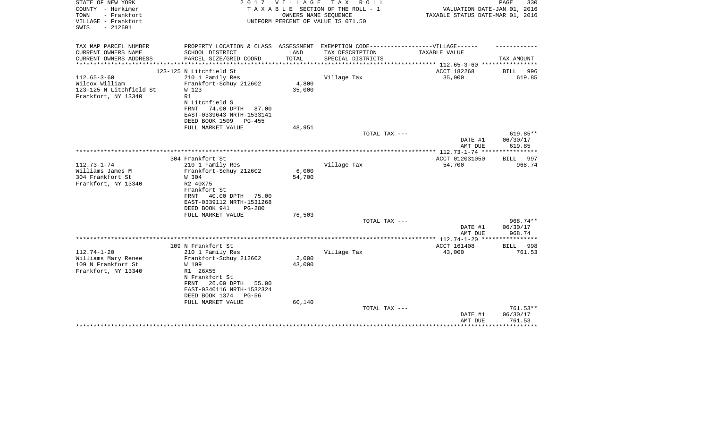| STATE OF NEW YORK<br>COUNTY - Herkimer<br>TOWN<br>- Frankfort | 2 0 1 7                                                  | VILLAGE                   | T A X<br>R O L L<br>TAXABLE SECTION OF THE ROLL - 1<br>OWNERS NAME SEQUENCE | VALUATION DATE-JAN 01, 2016<br>TAXABLE STATUS DATE-MAR 01, 2016 | PAGE<br>330             |
|---------------------------------------------------------------|----------------------------------------------------------|---------------------------|-----------------------------------------------------------------------------|-----------------------------------------------------------------|-------------------------|
| VILLAGE - Frankfort<br>$-212601$<br>SWIS                      |                                                          |                           | UNIFORM PERCENT OF VALUE IS 071.50                                          |                                                                 |                         |
| TAX MAP PARCEL NUMBER                                         | PROPERTY LOCATION & CLASS ASSESSMENT                     |                           | EXEMPTION CODE------------------VILLAGE------                               |                                                                 |                         |
| CURRENT OWNERS NAME                                           | SCHOOL DISTRICT                                          | LAND                      | TAX DESCRIPTION                                                             | TAXABLE VALUE                                                   |                         |
| CURRENT OWNERS ADDRESS<br>*********************               | PARCEL SIZE/GRID COORD<br>**************************     | TOTAL<br>**************** | SPECIAL DISTRICTS                                                           | ***************** 112.65-3-60 *****************                 | TAX AMOUNT              |
|                                                               | 123-125 N Litchfield St                                  |                           |                                                                             | ACCT 182268                                                     | BILL<br>996             |
| $112.65 - 3 - 60$                                             | 210 1 Family Res                                         |                           | Village Tax                                                                 | 35,000                                                          | 619.85                  |
| Wilcox William                                                | Frankfort-Schuy 212602                                   | 4,800                     |                                                                             |                                                                 |                         |
| 123-125 N Litchfield St                                       | W 123                                                    | 35,000                    |                                                                             |                                                                 |                         |
| Frankfort, NY 13340                                           | R1<br>N Litchfield S                                     |                           |                                                                             |                                                                 |                         |
|                                                               | 74.00 DPTH 87.00<br><b>FRNT</b>                          |                           |                                                                             |                                                                 |                         |
|                                                               | EAST-0339643 NRTH-1533141                                |                           |                                                                             |                                                                 |                         |
|                                                               | DEED BOOK 1509<br>$PG-455$                               |                           |                                                                             |                                                                 |                         |
|                                                               | FULL MARKET VALUE                                        | 48,951                    |                                                                             |                                                                 |                         |
|                                                               |                                                          |                           | TOTAL TAX ---                                                               | DATE #1                                                         | 619.85**<br>06/30/17    |
|                                                               |                                                          |                           |                                                                             | AMT DUE                                                         | 619.85                  |
|                                                               |                                                          |                           |                                                                             |                                                                 |                         |
|                                                               | 304 Frankfort St                                         |                           |                                                                             | ACCT 012031050                                                  | <b>BILL</b><br>997      |
| $112.73 - 1 - 74$                                             | 210 1 Family Res                                         |                           | Village Tax                                                                 | 54,700                                                          | 968.74                  |
| Williams James M<br>304 Frankfort St                          | Frankfort-Schuy 212602<br>W 304                          | 6,000<br>54,700           |                                                                             |                                                                 |                         |
| Frankfort, NY 13340                                           | R2 40X75                                                 |                           |                                                                             |                                                                 |                         |
|                                                               | Frankfort St                                             |                           |                                                                             |                                                                 |                         |
|                                                               | 40.00 DPTH<br>FRNT<br>75.00                              |                           |                                                                             |                                                                 |                         |
|                                                               | EAST-0339112 NRTH-1531268                                |                           |                                                                             |                                                                 |                         |
|                                                               | DEED BOOK 941<br>$PG-280$<br>FULL MARKET VALUE           | 76,503                    |                                                                             |                                                                 |                         |
|                                                               |                                                          |                           | TOTAL TAX ---                                                               |                                                                 | 968.74**                |
|                                                               |                                                          |                           |                                                                             | DATE #1                                                         | 06/30/17                |
|                                                               |                                                          |                           |                                                                             | AMT DUE                                                         | 968.74                  |
|                                                               |                                                          |                           |                                                                             |                                                                 | * * * * * * * * * * * * |
| $112.74 - 1 - 20$                                             | 109 N Frankfort St<br>210 1 Family Res                   |                           | Village Tax                                                                 | ACCT 161408<br>43,000                                           | BILL<br>998<br>761.53   |
| Williams Mary Renee                                           | Frankfort-Schuy 212602                                   | 2,000                     |                                                                             |                                                                 |                         |
| 109 N Frankfort St                                            | W 109                                                    | 43,000                    |                                                                             |                                                                 |                         |
| Frankfort, NY 13340                                           | R1 26X55                                                 |                           |                                                                             |                                                                 |                         |
|                                                               | N Frankfort St                                           |                           |                                                                             |                                                                 |                         |
|                                                               | 26.00 DPTH<br>55.00<br>FRNT<br>EAST-0340116 NRTH-1532324 |                           |                                                                             |                                                                 |                         |
|                                                               | DEED BOOK 1374<br>$PG-56$                                |                           |                                                                             |                                                                 |                         |
|                                                               | FULL MARKET VALUE                                        | 60,140                    |                                                                             |                                                                 |                         |
|                                                               |                                                          |                           | TOTAL TAX ---                                                               |                                                                 | 761.53**                |
|                                                               |                                                          |                           |                                                                             | DATE #1                                                         | 06/30/17                |
|                                                               |                                                          |                           |                                                                             | AMT DUE                                                         | 761.53<br>********      |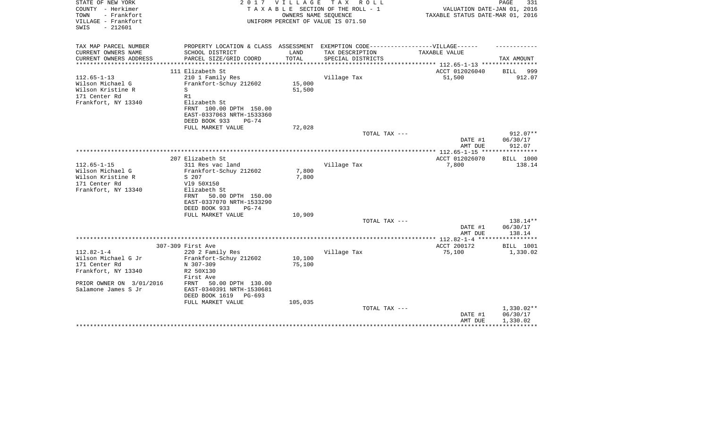| STATE OF NEW YORK<br>COUNTY - Herkimer<br>- Frankfort<br>TOWN<br>VILLAGE - Frankfort<br>$-212601$<br>SWIS | 2017                                                                              | <b>VILLAGE</b> | T A X<br>R O L L<br>TAXABLE SECTION OF THE ROLL - 1<br>OWNERS NAME SEQUENCE<br>UNIFORM PERCENT OF VALUE IS 071.50 | VALUATION DATE-JAN 01, 2016<br>TAXABLE STATUS DATE-MAR 01, 2016 | PAGE<br>331           |
|-----------------------------------------------------------------------------------------------------------|-----------------------------------------------------------------------------------|----------------|-------------------------------------------------------------------------------------------------------------------|-----------------------------------------------------------------|-----------------------|
| TAX MAP PARCEL NUMBER                                                                                     | PROPERTY LOCATION & CLASS ASSESSMENT EXEMPTION CODE-----------------VILLAGE------ |                |                                                                                                                   |                                                                 |                       |
| CURRENT OWNERS NAME<br>CURRENT OWNERS ADDRESS                                                             | SCHOOL DISTRICT<br>PARCEL SIZE/GRID COORD                                         | LAND<br>TOTAL  | TAX DESCRIPTION<br>SPECIAL DISTRICTS                                                                              | TAXABLE VALUE                                                   | TAX AMOUNT            |
| *********************                                                                                     |                                                                                   |                |                                                                                                                   | ACCT 012026040                                                  |                       |
| $112.65 - 1 - 13$                                                                                         | 111 Elizabeth St<br>210 1 Family Res                                              |                | Village Tax                                                                                                       | 51,500                                                          | BILL<br>999<br>912.07 |
| Wilson Michael G                                                                                          | Frankfort-Schuy 212602                                                            | 15,000         |                                                                                                                   |                                                                 |                       |
| Wilson Kristine R                                                                                         | S                                                                                 | 51,500         |                                                                                                                   |                                                                 |                       |
| 171 Center Rd                                                                                             | R1                                                                                |                |                                                                                                                   |                                                                 |                       |
| Frankfort, NY 13340                                                                                       | Elizabeth St                                                                      |                |                                                                                                                   |                                                                 |                       |
|                                                                                                           | FRNT 100.00 DPTH 150.00                                                           |                |                                                                                                                   |                                                                 |                       |
|                                                                                                           | EAST-0337063 NRTH-1533360                                                         |                |                                                                                                                   |                                                                 |                       |
|                                                                                                           | DEED BOOK 933<br>$PG-74$                                                          |                |                                                                                                                   |                                                                 |                       |
|                                                                                                           | FULL MARKET VALUE                                                                 | 72,028         |                                                                                                                   |                                                                 |                       |
|                                                                                                           |                                                                                   |                | TOTAL TAX ---                                                                                                     |                                                                 | 912.07**              |
|                                                                                                           |                                                                                   |                |                                                                                                                   | DATE #1<br>AMT DUE                                              | 06/30/17<br>912.07    |
|                                                                                                           |                                                                                   |                |                                                                                                                   |                                                                 |                       |
|                                                                                                           | 207 Elizabeth St                                                                  |                |                                                                                                                   | ACCT 012026070                                                  | <b>BILL 1000</b>      |
| $112.65 - 1 - 15$                                                                                         | 311 Res vac land                                                                  |                | Village Tax                                                                                                       | 7,800                                                           | 138.14                |
| Wilson Michael G                                                                                          | Frankfort-Schuy 212602                                                            | 7,800          |                                                                                                                   |                                                                 |                       |
| Wilson Kristine R                                                                                         | S 207                                                                             | 7,800          |                                                                                                                   |                                                                 |                       |
| 171 Center Rd                                                                                             | V19 50X150                                                                        |                |                                                                                                                   |                                                                 |                       |
| Frankfort, NY 13340                                                                                       | Elizabeth St                                                                      |                |                                                                                                                   |                                                                 |                       |
|                                                                                                           | FRNT<br>50.00 DPTH 150.00                                                         |                |                                                                                                                   |                                                                 |                       |
|                                                                                                           | EAST-0337070 NRTH-1533290<br>DEED BOOK 933<br>$PG-74$                             |                |                                                                                                                   |                                                                 |                       |
|                                                                                                           | FULL MARKET VALUE                                                                 | 10,909         |                                                                                                                   |                                                                 |                       |
|                                                                                                           |                                                                                   |                | TOTAL TAX ---                                                                                                     |                                                                 | 138.14**              |
|                                                                                                           |                                                                                   |                |                                                                                                                   | DATE #1                                                         | 06/30/17              |
|                                                                                                           |                                                                                   |                |                                                                                                                   | AMT DUE                                                         | 138.14                |
|                                                                                                           |                                                                                   |                |                                                                                                                   |                                                                 |                       |
|                                                                                                           | 307-309 First Ave                                                                 |                |                                                                                                                   | ACCT 200172                                                     | BILL 1001             |
| $112.82 - 1 - 4$                                                                                          | 220 2 Family Res                                                                  |                | Village Tax                                                                                                       | 75,100                                                          | 1,330.02              |
| Wilson Michael G Jr                                                                                       | Frankfort-Schuy 212602                                                            | 10,100         |                                                                                                                   |                                                                 |                       |
| 171 Center Rd                                                                                             | N 307-309                                                                         | 75,100         |                                                                                                                   |                                                                 |                       |
| Frankfort, NY 13340                                                                                       | R2 50X130<br>First Ave                                                            |                |                                                                                                                   |                                                                 |                       |
| PRIOR OWNER ON 3/01/2016                                                                                  | 50.00 DPTH 130.00<br>FRNT                                                         |                |                                                                                                                   |                                                                 |                       |
| Salamone James S Jr                                                                                       | EAST-0340391 NRTH-1530681                                                         |                |                                                                                                                   |                                                                 |                       |
|                                                                                                           | DEED BOOK 1619<br>$PG-693$                                                        |                |                                                                                                                   |                                                                 |                       |
|                                                                                                           | FULL MARKET VALUE                                                                 | 105,035        |                                                                                                                   |                                                                 |                       |
|                                                                                                           |                                                                                   |                | TOTAL TAX ---                                                                                                     |                                                                 | $1,330.02**$          |
|                                                                                                           |                                                                                   |                |                                                                                                                   | DATE #1                                                         | 06/30/17              |
|                                                                                                           |                                                                                   |                |                                                                                                                   | AMT DUE                                                         | 1,330.02              |
|                                                                                                           |                                                                                   |                |                                                                                                                   |                                                                 |                       |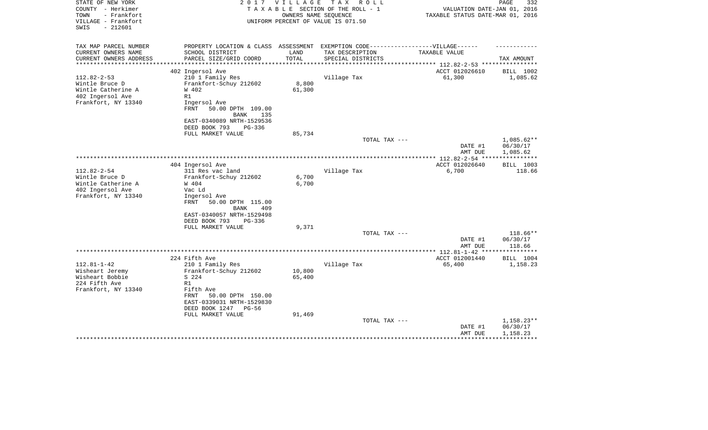| STATE OF NEW YORK<br>COUNTY - Herkimer<br>TOWN<br>- Frankfort<br>VILLAGE - Frankfort<br>SWIS<br>$-212601$ | 2017                                                                              | <b>VILLAGE</b> | T A X<br>R O L L<br>TAXABLE SECTION OF THE ROLL - 1<br>OWNERS NAME SEOUENCE<br>UNIFORM PERCENT OF VALUE IS 071.50 | VALUATION DATE-JAN 01, 2016<br>TAXABLE STATUS DATE-MAR 01, 2016 | PAGE<br>332  |
|-----------------------------------------------------------------------------------------------------------|-----------------------------------------------------------------------------------|----------------|-------------------------------------------------------------------------------------------------------------------|-----------------------------------------------------------------|--------------|
| TAX MAP PARCEL NUMBER                                                                                     | PROPERTY LOCATION & CLASS ASSESSMENT EXEMPTION CODE-----------------VILLAGE------ |                |                                                                                                                   |                                                                 |              |
| CURRENT OWNERS NAME                                                                                       | SCHOOL DISTRICT                                                                   | LAND           | TAX DESCRIPTION                                                                                                   | TAXABLE VALUE                                                   |              |
| CURRENT OWNERS ADDRESS<br>**********************                                                          | PARCEL SIZE/GRID COORD                                                            | TOTAL          | SPECIAL DISTRICTS                                                                                                 |                                                                 | TAX AMOUNT   |
|                                                                                                           | 402 Ingersol Ave                                                                  |                |                                                                                                                   | ACCT 012026610                                                  | BILL 1002    |
| $112.82 - 2 - 53$                                                                                         | 210 1 Family Res                                                                  |                | Village Tax                                                                                                       | 61,300                                                          | 1,085.62     |
| Wintle Bruce D                                                                                            | Frankfort-Schuy 212602                                                            | 8,800          |                                                                                                                   |                                                                 |              |
| Wintle Catherine A                                                                                        | W 402                                                                             | 61,300         |                                                                                                                   |                                                                 |              |
| 402 Ingersol Ave                                                                                          | R1                                                                                |                |                                                                                                                   |                                                                 |              |
| Frankfort, NY 13340                                                                                       | Ingersol Ave                                                                      |                |                                                                                                                   |                                                                 |              |
|                                                                                                           | FRNT<br>50.00 DPTH 109.00                                                         |                |                                                                                                                   |                                                                 |              |
|                                                                                                           | <b>BANK</b><br>135                                                                |                |                                                                                                                   |                                                                 |              |
|                                                                                                           | EAST-0340089 NRTH-1529536<br>DEED BOOK 793<br>PG-336                              |                |                                                                                                                   |                                                                 |              |
|                                                                                                           | FULL MARKET VALUE                                                                 | 85,734         |                                                                                                                   |                                                                 |              |
|                                                                                                           |                                                                                   |                | TOTAL TAX ---                                                                                                     |                                                                 | $1,085.62**$ |
|                                                                                                           |                                                                                   |                |                                                                                                                   | DATE #1                                                         | 06/30/17     |
|                                                                                                           |                                                                                   |                |                                                                                                                   | AMT DUE                                                         | 1,085.62     |
|                                                                                                           |                                                                                   |                |                                                                                                                   |                                                                 | ************ |
|                                                                                                           | 404 Ingersol Ave                                                                  |                |                                                                                                                   | ACCT 012026640                                                  | BILL 1003    |
| $112.82 - 2 - 54$                                                                                         | 311 Res vac land                                                                  |                | Village Tax                                                                                                       | 6,700                                                           | 118.66       |
| Wintle Bruce D                                                                                            | Frankfort-Schuy 212602                                                            | 6,700          |                                                                                                                   |                                                                 |              |
| Wintle Catherine A                                                                                        | W 404                                                                             | 6,700          |                                                                                                                   |                                                                 |              |
| 402 Ingersol Ave<br>Frankfort, NY 13340                                                                   | Vac Ld<br>Ingersol Ave                                                            |                |                                                                                                                   |                                                                 |              |
|                                                                                                           | <b>FRNT</b><br>50.00 DPTH 115.00                                                  |                |                                                                                                                   |                                                                 |              |
|                                                                                                           | <b>BANK</b><br>409                                                                |                |                                                                                                                   |                                                                 |              |
|                                                                                                           | EAST-0340057 NRTH-1529498                                                         |                |                                                                                                                   |                                                                 |              |
|                                                                                                           | DEED BOOK 793<br>PG-336                                                           |                |                                                                                                                   |                                                                 |              |
|                                                                                                           | FULL MARKET VALUE                                                                 | 9,371          |                                                                                                                   |                                                                 |              |
|                                                                                                           |                                                                                   |                | TOTAL TAX ---                                                                                                     |                                                                 | 118.66**     |
|                                                                                                           |                                                                                   |                |                                                                                                                   | DATE #1                                                         | 06/30/17     |
|                                                                                                           |                                                                                   |                |                                                                                                                   | AMT DUE                                                         | 118.66       |
|                                                                                                           | 224 Fifth Ave                                                                     |                |                                                                                                                   | ACCT 012001440                                                  | BILL 1004    |
| $112.81 - 1 - 42$                                                                                         | 210 1 Family Res                                                                  |                | Village Tax                                                                                                       | 65,400                                                          | 1,158.23     |
| Wisheart Jeremy                                                                                           | Frankfort-Schuy 212602                                                            | 10,800         |                                                                                                                   |                                                                 |              |
| Wisheart Bobbie                                                                                           | S 224                                                                             | 65,400         |                                                                                                                   |                                                                 |              |
| 224 Fifth Ave                                                                                             | R1                                                                                |                |                                                                                                                   |                                                                 |              |
| Frankfort, NY 13340                                                                                       | Fifth Ave                                                                         |                |                                                                                                                   |                                                                 |              |
|                                                                                                           | FRNT<br>50.00 DPTH 150.00                                                         |                |                                                                                                                   |                                                                 |              |
|                                                                                                           | EAST-0339031 NRTH-1529830                                                         |                |                                                                                                                   |                                                                 |              |
|                                                                                                           | DEED BOOK 1247<br>PG-56<br>FULL MARKET VALUE                                      | 91,469         |                                                                                                                   |                                                                 |              |
|                                                                                                           |                                                                                   |                | TOTAL TAX ---                                                                                                     |                                                                 | 1,158.23**   |
|                                                                                                           |                                                                                   |                |                                                                                                                   | DATE #1                                                         | 06/30/17     |
|                                                                                                           |                                                                                   |                |                                                                                                                   | AMT DUE                                                         | 1,158.23     |
|                                                                                                           |                                                                                   |                |                                                                                                                   |                                                                 |              |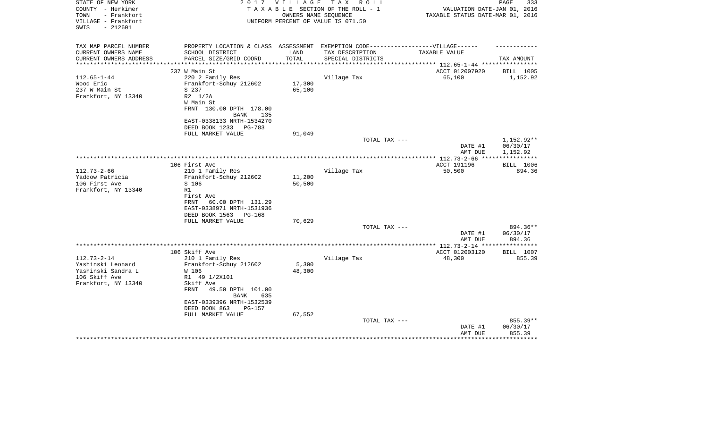| STATE OF NEW YORK<br>COUNTY - Herkimer<br>- Frankfort<br>TOWN<br>VILLAGE - Frankfort<br>SWIS<br>$-212601$ | 2 0 1 7                                                | VILLAGE                 | T A X<br>R O L L<br>TAXABLE SECTION OF THE ROLL - 1<br>OWNERS NAME SEQUENCE<br>UNIFORM PERCENT OF VALUE IS 071.50 | VALUATION DATE-JAN 01, 2016<br>TAXABLE STATUS DATE-MAR 01, 2016 | 333<br>PAGE            |
|-----------------------------------------------------------------------------------------------------------|--------------------------------------------------------|-------------------------|-------------------------------------------------------------------------------------------------------------------|-----------------------------------------------------------------|------------------------|
| TAX MAP PARCEL NUMBER                                                                                     | PROPERTY LOCATION & CLASS ASSESSMENT                   |                         | EXEMPTION CODE------------------VILLAGE------                                                                     |                                                                 |                        |
| CURRENT OWNERS NAME                                                                                       | SCHOOL DISTRICT                                        | LAND                    | TAX DESCRIPTION                                                                                                   | TAXABLE VALUE                                                   |                        |
| CURRENT OWNERS ADDRESS<br>*********************                                                           | PARCEL SIZE/GRID COORD<br>**************************   | TOTAL<br>************** | SPECIAL DISTRICTS                                                                                                 |                                                                 | TAX AMOUNT             |
|                                                                                                           | 237 W Main St                                          |                         |                                                                                                                   | ACCT 012007920                                                  | BILL 1005              |
| $112.65 - 1 - 44$                                                                                         | 220 2 Family Res                                       |                         | Village Tax                                                                                                       | 65,100                                                          | 1,152.92               |
| Wood Eric                                                                                                 | Frankfort-Schuy 212602                                 | 17,300                  |                                                                                                                   |                                                                 |                        |
| 237 W Main St                                                                                             | S 237                                                  | 65,100                  |                                                                                                                   |                                                                 |                        |
| Frankfort, NY 13340                                                                                       | $R2 \t1/2A$                                            |                         |                                                                                                                   |                                                                 |                        |
|                                                                                                           | W Main St                                              |                         |                                                                                                                   |                                                                 |                        |
|                                                                                                           | FRNT 130.00 DPTH 178.00                                |                         |                                                                                                                   |                                                                 |                        |
|                                                                                                           | 135<br>BANK                                            |                         |                                                                                                                   |                                                                 |                        |
|                                                                                                           | EAST-0338133 NRTH-1534270                              |                         |                                                                                                                   |                                                                 |                        |
|                                                                                                           | DEED BOOK 1233<br>PG-783                               |                         |                                                                                                                   |                                                                 |                        |
|                                                                                                           | FULL MARKET VALUE                                      | 91,049                  |                                                                                                                   |                                                                 |                        |
|                                                                                                           |                                                        |                         | TOTAL TAX ---                                                                                                     | DATE #1                                                         | 1,152.92**<br>06/30/17 |
|                                                                                                           |                                                        |                         |                                                                                                                   | AMT DUE                                                         | 1,152.92               |
|                                                                                                           |                                                        |                         |                                                                                                                   |                                                                 |                        |
|                                                                                                           | 106 First Ave                                          |                         |                                                                                                                   | ACCT 191196                                                     | BILL 1006              |
| $112.73 - 2 - 66$                                                                                         | 210 1 Family Res                                       |                         | Village Tax                                                                                                       | 50,500                                                          | 894.36                 |
| Yaddow Patricia                                                                                           | Frankfort-Schuy 212602                                 | 11,200                  |                                                                                                                   |                                                                 |                        |
| 106 First Ave                                                                                             | S 106                                                  | 50,500                  |                                                                                                                   |                                                                 |                        |
| Frankfort, NY 13340                                                                                       | R1                                                     |                         |                                                                                                                   |                                                                 |                        |
|                                                                                                           | First Ave<br>FRNT<br>60.00 DPTH 131.29                 |                         |                                                                                                                   |                                                                 |                        |
|                                                                                                           | EAST-0338971 NRTH-1531936                              |                         |                                                                                                                   |                                                                 |                        |
|                                                                                                           | DEED BOOK 1563<br>PG-168                               |                         |                                                                                                                   |                                                                 |                        |
|                                                                                                           | FULL MARKET VALUE                                      | 70,629                  |                                                                                                                   |                                                                 |                        |
|                                                                                                           |                                                        |                         | TOTAL TAX ---                                                                                                     |                                                                 | 894.36**               |
|                                                                                                           |                                                        |                         |                                                                                                                   | DATE #1                                                         | 06/30/17               |
|                                                                                                           |                                                        |                         |                                                                                                                   | AMT DUE                                                         | 894.36                 |
|                                                                                                           | *******************************                        |                         | *********************                                                                                             | ** $112.73 - 2 - 14$ **                                         |                        |
|                                                                                                           | 106 Skiff Ave                                          |                         |                                                                                                                   | ACCT 012003120                                                  | <b>BILL 1007</b>       |
| $112.73 - 2 - 14$<br>Yashinski Leonard                                                                    | 210 1 Family Res<br>Frankfort-Schuy 212602             | 5,300                   | Village Tax                                                                                                       | 48,300                                                          | 855.39                 |
| Yashinski Sandra L                                                                                        | W 106                                                  | 48,300                  |                                                                                                                   |                                                                 |                        |
| 106 Skiff Ave                                                                                             | R1 49 1/2X101                                          |                         |                                                                                                                   |                                                                 |                        |
| Frankfort, NY 13340                                                                                       | Skiff Ave                                              |                         |                                                                                                                   |                                                                 |                        |
|                                                                                                           | <b>FRNT</b><br>49.50 DPTH 101.00<br><b>BANK</b><br>635 |                         |                                                                                                                   |                                                                 |                        |
|                                                                                                           | EAST-0339396 NRTH-1532539                              |                         |                                                                                                                   |                                                                 |                        |
|                                                                                                           | DEED BOOK 863<br>$PG-157$                              |                         |                                                                                                                   |                                                                 |                        |
|                                                                                                           | FULL MARKET VALUE                                      | 67,552                  |                                                                                                                   |                                                                 |                        |
|                                                                                                           |                                                        |                         | TOTAL TAX ---                                                                                                     |                                                                 | 855.39**               |
|                                                                                                           |                                                        |                         |                                                                                                                   | DATE #1                                                         | 06/30/17               |
|                                                                                                           |                                                        |                         |                                                                                                                   | AMT DUE                                                         | 855.39                 |
|                                                                                                           |                                                        |                         |                                                                                                                   |                                                                 |                        |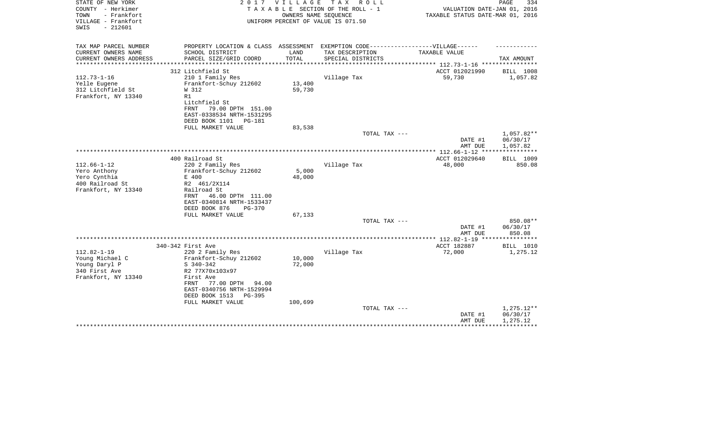| STATE OF NEW YORK<br>COUNTY - Herkimer<br>- Frankfort<br>TOWN<br>VILLAGE - Frankfort<br>$-212601$<br>SWIS | 2 0 1 7                                         | VILLAGE | T A X<br>R O L L<br>TAXABLE SECTION OF THE ROLL - 1<br>OWNERS NAME SEQUENCE<br>UNIFORM PERCENT OF VALUE IS 071.50 | VALUATION DATE-JAN 01, 2016<br>TAXABLE STATUS DATE-MAR 01, 2016 | PAGE<br>334              |
|-----------------------------------------------------------------------------------------------------------|-------------------------------------------------|---------|-------------------------------------------------------------------------------------------------------------------|-----------------------------------------------------------------|--------------------------|
| TAX MAP PARCEL NUMBER                                                                                     | PROPERTY LOCATION & CLASS ASSESSMENT            |         | EXEMPTION CODE------------------VILLAGE------                                                                     |                                                                 |                          |
| CURRENT OWNERS NAME                                                                                       | SCHOOL DISTRICT                                 | LAND    | TAX DESCRIPTION                                                                                                   | TAXABLE VALUE                                                   |                          |
| CURRENT OWNERS ADDRESS<br>*****************                                                               | PARCEL SIZE/GRID COORD                          | TOTAL   | SPECIAL DISTRICTS                                                                                                 |                                                                 | TAX AMOUNT               |
|                                                                                                           | 312 Litchfield St                               |         |                                                                                                                   | ACCT 012021990                                                  | BILL 1008                |
| $112.73 - 1 - 16$                                                                                         | 210 1 Family Res                                |         | Village Tax                                                                                                       | 59,730                                                          | 1,057.82                 |
| Yelle Eugene                                                                                              | Frankfort-Schuy 212602                          | 13,400  |                                                                                                                   |                                                                 |                          |
| 312 Litchfield St                                                                                         | W 312                                           | 59,730  |                                                                                                                   |                                                                 |                          |
| Frankfort, NY 13340                                                                                       | R1                                              |         |                                                                                                                   |                                                                 |                          |
|                                                                                                           | Litchfield St                                   |         |                                                                                                                   |                                                                 |                          |
|                                                                                                           | FRNT<br>79.00 DPTH 151.00                       |         |                                                                                                                   |                                                                 |                          |
|                                                                                                           | EAST-0338534 NRTH-1531295                       |         |                                                                                                                   |                                                                 |                          |
|                                                                                                           | DEED BOOK 1101<br>PG-181                        |         |                                                                                                                   |                                                                 |                          |
|                                                                                                           | FULL MARKET VALUE                               | 83,538  |                                                                                                                   |                                                                 |                          |
|                                                                                                           |                                                 |         | TOTAL TAX ---                                                                                                     |                                                                 | 1,057.82**               |
|                                                                                                           |                                                 |         |                                                                                                                   | DATE #1                                                         | 06/30/17                 |
|                                                                                                           |                                                 |         |                                                                                                                   | AMT DUE<br>**************** 112.66-1-12 ****                    | 1,057.82<br>************ |
|                                                                                                           | 400 Railroad St                                 |         |                                                                                                                   | ACCT 012029640                                                  | <b>BILL 1009</b>         |
| $112.66 - 1 - 12$                                                                                         | 220 2 Family Res                                |         | Village Tax                                                                                                       | 48,000                                                          | 850.08                   |
| Yero Anthony                                                                                              | Frankfort-Schuy 212602                          | 5,000   |                                                                                                                   |                                                                 |                          |
| Yero Cynthia                                                                                              | E 400                                           | 48,000  |                                                                                                                   |                                                                 |                          |
| 400 Railroad St                                                                                           | R2 461/2X114                                    |         |                                                                                                                   |                                                                 |                          |
| Frankfort, NY 13340                                                                                       | Railroad St                                     |         |                                                                                                                   |                                                                 |                          |
|                                                                                                           | 46.00 DPTH 111.00<br>FRNT                       |         |                                                                                                                   |                                                                 |                          |
|                                                                                                           | EAST-0340814 NRTH-1533437                       |         |                                                                                                                   |                                                                 |                          |
|                                                                                                           | DEED BOOK 876<br>$PG-370$                       |         |                                                                                                                   |                                                                 |                          |
|                                                                                                           | FULL MARKET VALUE                               | 67,133  |                                                                                                                   |                                                                 | 850.08**                 |
|                                                                                                           |                                                 |         | TOTAL TAX ---                                                                                                     | DATE #1                                                         | 06/30/17                 |
|                                                                                                           |                                                 |         |                                                                                                                   | AMT DUE                                                         | 850.08                   |
|                                                                                                           |                                                 |         |                                                                                                                   |                                                                 |                          |
|                                                                                                           | 340-342 First Ave                               |         |                                                                                                                   | ACCT 182887                                                     | BILL 1010                |
| $112.82 - 1 - 19$                                                                                         | 220 2 Family Res                                |         | Village Tax                                                                                                       | 72,000                                                          | 1,275.12                 |
| Young Michael C                                                                                           | Frankfort-Schuy 212602                          | 10,000  |                                                                                                                   |                                                                 |                          |
| Young Daryl P                                                                                             | $S$ 340-342                                     | 72,000  |                                                                                                                   |                                                                 |                          |
| 340 First Ave                                                                                             | R2 77X70x103x97                                 |         |                                                                                                                   |                                                                 |                          |
| Frankfort, NY 13340                                                                                       | First Ave                                       |         |                                                                                                                   |                                                                 |                          |
|                                                                                                           | FRNT<br>77.00 DPTH<br>94.00                     |         |                                                                                                                   |                                                                 |                          |
|                                                                                                           | EAST-0340756 NRTH-1529994                       |         |                                                                                                                   |                                                                 |                          |
|                                                                                                           | DEED BOOK 1513<br>$PG-395$<br>FULL MARKET VALUE | 100,699 |                                                                                                                   |                                                                 |                          |
|                                                                                                           |                                                 |         | TOTAL TAX ---                                                                                                     |                                                                 | $1,275.12**$             |
|                                                                                                           |                                                 |         |                                                                                                                   | DATE #1                                                         | 06/30/17                 |
|                                                                                                           |                                                 |         |                                                                                                                   | AMT DUE                                                         | 1,275.12                 |
|                                                                                                           |                                                 |         |                                                                                                                   |                                                                 |                          |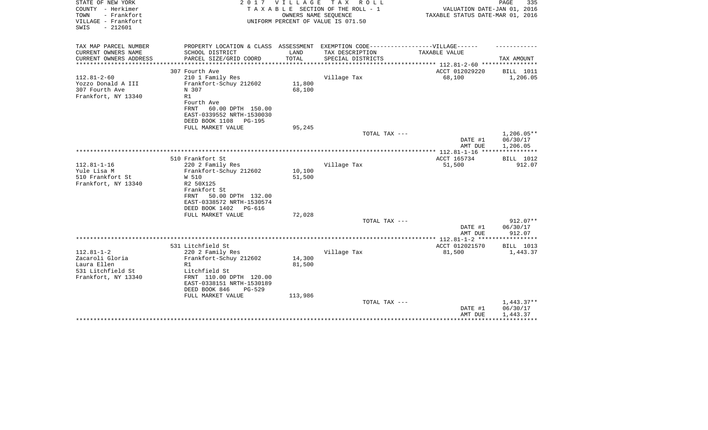| STATE OF NEW YORK<br>COUNTY - Herkimer<br>- Frankfort<br>TOWN<br>VILLAGE - Frankfort<br>SWIS<br>$-212601$ | 2017                                                                                                 | VILLAGE<br>OWNERS NAME SEQUENCE | T A X<br>R O L L<br>TAXABLE SECTION OF THE ROLL - 1<br>UNIFORM PERCENT OF VALUE IS 071.50 | VALUATION DATE-JAN 01, 2016<br>TAXABLE STATUS DATE-MAR 01, 2016 | 335<br>PAGE          |
|-----------------------------------------------------------------------------------------------------------|------------------------------------------------------------------------------------------------------|---------------------------------|-------------------------------------------------------------------------------------------|-----------------------------------------------------------------|----------------------|
| TAX MAP PARCEL NUMBER<br>CURRENT OWNERS NAME                                                              | PROPERTY LOCATION & CLASS ASSESSMENT EXEMPTION CODE-----------------VILLAGE------<br>SCHOOL DISTRICT | LAND                            | TAX DESCRIPTION                                                                           | TAXABLE VALUE                                                   |                      |
| CURRENT OWNERS ADDRESS                                                                                    | PARCEL SIZE/GRID COORD                                                                               | TOTAL                           | SPECIAL DISTRICTS                                                                         |                                                                 | TAX AMOUNT           |
| ********************                                                                                      | *********************                                                                                |                                 |                                                                                           |                                                                 |                      |
|                                                                                                           | 307 Fourth Ave                                                                                       |                                 |                                                                                           | ACCT 012029220                                                  | BILL 1011            |
| $112.81 - 2 - 60$                                                                                         | 210 1 Family Res                                                                                     |                                 | Village Tax                                                                               | 68,100                                                          | 1,206.05             |
| Yozzo Donald A III                                                                                        | Frankfort-Schuy 212602                                                                               | 11,800                          |                                                                                           |                                                                 |                      |
| 307 Fourth Ave<br>Frankfort, NY 13340                                                                     | N 307<br>R1                                                                                          | 68,100                          |                                                                                           |                                                                 |                      |
|                                                                                                           | Fourth Ave                                                                                           |                                 |                                                                                           |                                                                 |                      |
|                                                                                                           | 60.00 DPTH 150.00<br>FRNT                                                                            |                                 |                                                                                           |                                                                 |                      |
|                                                                                                           | EAST-0339552 NRTH-1530030                                                                            |                                 |                                                                                           |                                                                 |                      |
|                                                                                                           | DEED BOOK 1108<br><b>PG-195</b>                                                                      |                                 |                                                                                           |                                                                 |                      |
|                                                                                                           | FULL MARKET VALUE                                                                                    | 95,245                          | TOTAL TAX ---                                                                             |                                                                 | $1,206.05**$         |
|                                                                                                           |                                                                                                      |                                 |                                                                                           | DATE #1<br>AMT DUE                                              | 06/30/17<br>1,206.05 |
|                                                                                                           |                                                                                                      |                                 |                                                                                           | ************** 112.81-1-16 ****                                 | ***********          |
|                                                                                                           | 510 Frankfort St                                                                                     |                                 |                                                                                           | ACCT 165734                                                     | BILL 1012            |
| $112.81 - 1 - 16$                                                                                         | 220 2 Family Res                                                                                     |                                 | Village Tax                                                                               | 51,500                                                          | 912.07               |
| Yule Lisa M<br>510 Frankfort St                                                                           | Frankfort-Schuy 212602<br>W 510                                                                      | 10,100<br>51,500                |                                                                                           |                                                                 |                      |
| Frankfort, NY 13340                                                                                       | R2 50X125                                                                                            |                                 |                                                                                           |                                                                 |                      |
|                                                                                                           | Frankfort St                                                                                         |                                 |                                                                                           |                                                                 |                      |
|                                                                                                           | 50.00 DPTH 132.00<br>FRNT                                                                            |                                 |                                                                                           |                                                                 |                      |
|                                                                                                           | EAST-0338572 NRTH-1530574                                                                            |                                 |                                                                                           |                                                                 |                      |
|                                                                                                           | DEED BOOK 1402<br>PG-616                                                                             | 72,028                          |                                                                                           |                                                                 |                      |
|                                                                                                           | FULL MARKET VALUE                                                                                    |                                 | TOTAL TAX ---                                                                             |                                                                 | 912.07**             |
|                                                                                                           |                                                                                                      |                                 |                                                                                           | DATE #1                                                         | 06/30/17             |
|                                                                                                           |                                                                                                      |                                 |                                                                                           | AMT DUE                                                         | 912.07               |
|                                                                                                           |                                                                                                      |                                 |                                                                                           | **************** 112.81-1-2 *****************                   |                      |
|                                                                                                           | 531 Litchfield St                                                                                    |                                 |                                                                                           | ACCT 012021570                                                  | BILL 1013            |
| $112.81 - 1 - 2$<br>Zacaroli Gloria                                                                       | 220 2 Family Res<br>Frankfort-Schuy 212602                                                           | 14,300                          | Village Tax                                                                               | 81,500                                                          | 1,443.37             |
| Laura Ellen                                                                                               | R1                                                                                                   | 81,500                          |                                                                                           |                                                                 |                      |
| 531 Litchfield St                                                                                         | Litchfield St                                                                                        |                                 |                                                                                           |                                                                 |                      |
| Frankfort, NY 13340                                                                                       | FRNT 110.00 DPTH 120.00                                                                              |                                 |                                                                                           |                                                                 |                      |
|                                                                                                           | EAST-0338151 NRTH-1530189                                                                            |                                 |                                                                                           |                                                                 |                      |
|                                                                                                           | DEED BOOK 846<br>$PG-529$                                                                            |                                 |                                                                                           |                                                                 |                      |
|                                                                                                           | FULL MARKET VALUE                                                                                    | 113,986                         | TOTAL TAX ---                                                                             |                                                                 | $1,443.37**$         |
|                                                                                                           |                                                                                                      |                                 |                                                                                           | DATE #1                                                         | 06/30/17             |
|                                                                                                           |                                                                                                      |                                 |                                                                                           | AMT DUE                                                         | 1,443.37             |
|                                                                                                           |                                                                                                      |                                 |                                                                                           |                                                                 |                      |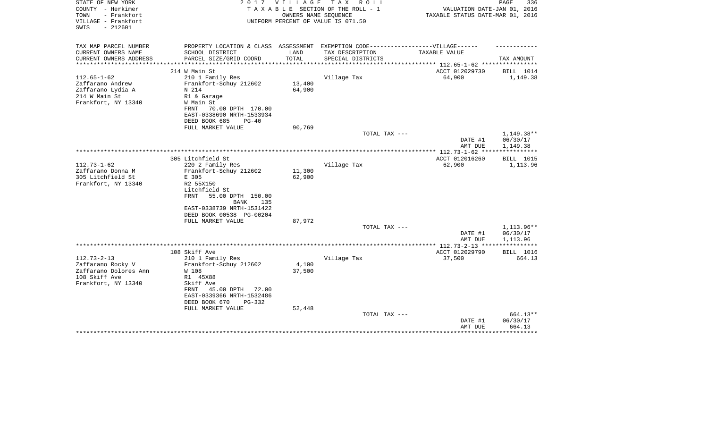| STATE OF NEW YORK<br>COUNTY - Herkimer<br>- Frankfort<br>TOWN<br>VILLAGE - Frankfort<br>$-212601$<br>SWIS | 2 0 1 7                                                                                                                                                                                | VILLAGE          | TAX ROLL<br>TAXABLE SECTION OF THE ROLL - 1<br>OWNERS NAME SEQUENCE<br>UNIFORM PERCENT OF VALUE IS 071.50 | VALUATION DATE-JAN 01, 2016<br>TAXABLE STATUS DATE-MAR 01, 2016 | 336<br>PAGE                          |
|-----------------------------------------------------------------------------------------------------------|----------------------------------------------------------------------------------------------------------------------------------------------------------------------------------------|------------------|-----------------------------------------------------------------------------------------------------------|-----------------------------------------------------------------|--------------------------------------|
| TAX MAP PARCEL NUMBER<br>CURRENT OWNERS NAME<br>CURRENT OWNERS ADDRESS                                    | PROPERTY LOCATION & CLASS ASSESSMENT<br>SCHOOL DISTRICT<br>PARCEL SIZE/GRID COORD                                                                                                      | LAND<br>TOTAL    | EXEMPTION CODE------------------VILLAGE------<br>TAX DESCRIPTION<br>SPECIAL DISTRICTS                     | TAXABLE VALUE                                                   | TAX AMOUNT                           |
| *******************                                                                                       |                                                                                                                                                                                        | ***********      |                                                                                                           | ******************** 112.65-1-62 ***********                    |                                      |
| $112.65 - 1 - 62$<br>Zaffarano Andrew<br>Zaffarano Lydia A<br>214 W Main St<br>Frankfort, NY 13340        | 214 W Main St<br>210 1 Family Res<br>Frankfort-Schuy 212602<br>N 214<br>R1 & Garage<br>W Main St<br>FRNT<br>70.00 DPTH 170.00<br>EAST-0338690 NRTH-1533934<br>DEED BOOK 685<br>$PG-40$ | 13,400<br>64,900 | Village Tax                                                                                               | ACCT 012029730<br>64,900                                        | BILL 1014<br>1,149.38                |
|                                                                                                           | FULL MARKET VALUE                                                                                                                                                                      | 90,769           | TOTAL TAX ---                                                                                             | DATE #1<br>AMT DUE                                              | $1,149.38**$<br>06/30/17<br>1,149.38 |
|                                                                                                           |                                                                                                                                                                                        |                  |                                                                                                           |                                                                 | * * * * * * * * * * *                |
| $112.73 - 1 - 62$<br>Zaffarano Donna M<br>305 Litchfield St<br>Frankfort, NY 13340                        | 305 Litchfield St<br>220 2 Family Res<br>Frankfort-Schuy 212602<br>E 305<br>R2 55X150<br>Litchfield St<br><b>FRNT</b><br>55.00 DPTH 150.00<br>BANK<br>135<br>EAST-0338739 NRTH-1531422 | 11,300<br>62,900 | Village Tax                                                                                               | ACCT 012016260<br>62,900                                        | BILL 1015<br>1,113.96                |
|                                                                                                           | DEED BOOK 00538 PG-00204                                                                                                                                                               |                  |                                                                                                           |                                                                 |                                      |
|                                                                                                           | FULL MARKET VALUE                                                                                                                                                                      | 87,972           | TOTAL TAX ---                                                                                             | DATE #1<br>AMT DUE                                              | 1,113.96**<br>06/30/17<br>1,113.96   |
|                                                                                                           |                                                                                                                                                                                        |                  |                                                                                                           | **************** 112.73-2-13 ****************                   |                                      |
| $112.73 - 2 - 13$<br>Zaffarano Rocky V<br>Zaffarano Dolores Ann<br>108 Skiff Ave<br>Frankfort, NY 13340   | 108 Skiff Ave<br>210 1 Family Res<br>Frankfort-Schuy 212602<br>W 108<br>R1 45X88<br>Skiff Ave<br>45.00 DPTH<br>FRNT<br>72.00<br>EAST-0339366 NRTH-1532486<br>DEED BOOK 670<br>PG-332   | 4,100<br>37,500  | Village Tax                                                                                               | ACCT 012029790<br>37,500                                        | BILL 1016<br>664.13                  |
|                                                                                                           | FULL MARKET VALUE                                                                                                                                                                      | 52,448           | TOTAL TAX ---                                                                                             | DATE #1<br>AMT DUE                                              | 664.13**<br>06/30/17<br>664.13       |
|                                                                                                           |                                                                                                                                                                                        |                  |                                                                                                           |                                                                 |                                      |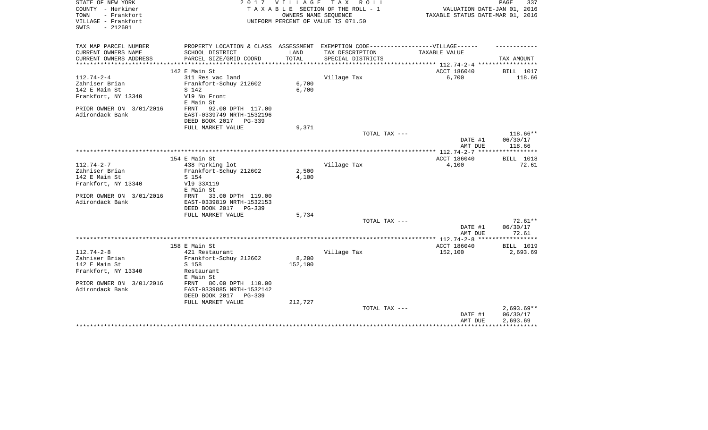| STATE OF NEW YORK<br>COUNTY - Herkimer<br>- Frankfort<br>TOWN<br>VILLAGE - Frankfort |                                                                                  | 2017 VILLAGE | TAX ROLL<br>TAXABLE SECTION OF THE ROLL - 1<br>OWNERS NAME SEOUENCE<br>UNIFORM PERCENT OF VALUE IS 071.50 | VALUATION DATE-JAN 01, 2016<br>TAXABLE STATUS DATE-MAR 01, 2016 | PAGE<br>337           |
|--------------------------------------------------------------------------------------|----------------------------------------------------------------------------------|--------------|-----------------------------------------------------------------------------------------------------------|-----------------------------------------------------------------|-----------------------|
| $-212601$<br>SWIS                                                                    |                                                                                  |              |                                                                                                           |                                                                 |                       |
| TAX MAP PARCEL NUMBER                                                                | PROPERTY LOCATION & CLASS ASSESSMENT EXEMPTION CODE----------------VILLAGE------ |              |                                                                                                           |                                                                 |                       |
| CURRENT OWNERS NAME                                                                  | SCHOOL DISTRICT                                                                  | LAND         | TAX DESCRIPTION                                                                                           | TAXABLE VALUE                                                   |                       |
| CURRENT OWNERS ADDRESS                                                               | PARCEL SIZE/GRID COORD<br>**********************                                 | TOTAL        | SPECIAL DISTRICTS                                                                                         | ************ 112.74-2-4 *****************                       | TAX AMOUNT            |
|                                                                                      | 142 E Main St                                                                    |              |                                                                                                           | ACCT 186040                                                     | <b>BILL</b> 1017      |
| $112.74 - 2 - 4$                                                                     | 311 Res vac land                                                                 |              | Village Tax                                                                                               | 6,700                                                           | 118.66                |
| Zahniser Brian                                                                       | Frankfort-Schuy 212602                                                           | 6,700        |                                                                                                           |                                                                 |                       |
| 142 E Main St                                                                        | S 142                                                                            | 6,700        |                                                                                                           |                                                                 |                       |
| Frankfort, NY 13340                                                                  | V19 No Front                                                                     |              |                                                                                                           |                                                                 |                       |
| PRIOR OWNER ON 3/01/2016                                                             | E Main St<br>92.00 DPTH 117.00<br>FRNT                                           |              |                                                                                                           |                                                                 |                       |
| Adirondack Bank                                                                      | EAST-0339749 NRTH-1532196                                                        |              |                                                                                                           |                                                                 |                       |
|                                                                                      | DEED BOOK 2017<br>PG-339                                                         |              |                                                                                                           |                                                                 |                       |
|                                                                                      | FULL MARKET VALUE                                                                | 9,371        |                                                                                                           |                                                                 |                       |
|                                                                                      |                                                                                  |              | TOTAL TAX ---                                                                                             |                                                                 | 118.66**              |
|                                                                                      |                                                                                  |              |                                                                                                           | DATE #1                                                         | 06/30/17              |
|                                                                                      |                                                                                  |              |                                                                                                           | AMT DUE                                                         | 118.66                |
|                                                                                      | 154 E Main St                                                                    |              |                                                                                                           | ACCT 186040                                                     | BILL 1018             |
| $112.74 - 2 - 7$                                                                     | 438 Parking lot                                                                  |              | Village Tax                                                                                               | 4,100                                                           | 72.61                 |
| Zahniser Brian                                                                       | Frankfort-Schuy 212602                                                           | 2,500        |                                                                                                           |                                                                 |                       |
| 142 E Main St                                                                        | S 154                                                                            | 4,100        |                                                                                                           |                                                                 |                       |
| Frankfort, NY 13340                                                                  | V19 33X119                                                                       |              |                                                                                                           |                                                                 |                       |
|                                                                                      | E Main St                                                                        |              |                                                                                                           |                                                                 |                       |
| PRIOR OWNER ON 3/01/2016<br>Adirondack Bank                                          | 33.00 DPTH 119.00<br>FRNT<br>EAST-0339819 NRTH-1532153                           |              |                                                                                                           |                                                                 |                       |
|                                                                                      | DEED BOOK 2017 PG-339                                                            |              |                                                                                                           |                                                                 |                       |
|                                                                                      | FULL MARKET VALUE                                                                | 5,734        |                                                                                                           |                                                                 |                       |
|                                                                                      |                                                                                  |              | TOTAL TAX ---                                                                                             |                                                                 | $72.61**$             |
|                                                                                      |                                                                                  |              |                                                                                                           | DATE #1                                                         | 06/30/17              |
|                                                                                      |                                                                                  |              |                                                                                                           | AMT DUE                                                         | 72.61<br>************ |
|                                                                                      | 158 E Main St                                                                    |              |                                                                                                           | **************** 112.74-2-8 *****<br>ACCT 186040                | BILL 1019             |
| $112.74 - 2 - 8$                                                                     | 421 Restaurant                                                                   |              | Village Tax                                                                                               | 152,100                                                         | 2,693.69              |
| Zahniser Brian                                                                       | Frankfort-Schuy 212602                                                           | 8,200        |                                                                                                           |                                                                 |                       |
| 142 E Main St                                                                        | S 158                                                                            | 152,100      |                                                                                                           |                                                                 |                       |
| Frankfort, NY 13340                                                                  | Restaurant                                                                       |              |                                                                                                           |                                                                 |                       |
|                                                                                      | E Main St                                                                        |              |                                                                                                           |                                                                 |                       |
| PRIOR OWNER ON 3/01/2016<br>Adirondack Bank                                          | 80.00 DPTH 110.00<br>FRNT<br>EAST-0339885 NRTH-1532142                           |              |                                                                                                           |                                                                 |                       |
|                                                                                      | DEED BOOK 2017<br>PG-339                                                         |              |                                                                                                           |                                                                 |                       |
|                                                                                      | FULL MARKET VALUE                                                                | 212,727      |                                                                                                           |                                                                 |                       |
|                                                                                      |                                                                                  |              | TOTAL TAX ---                                                                                             |                                                                 | $2,693.69**$          |
|                                                                                      |                                                                                  |              |                                                                                                           | DATE #1                                                         | 06/30/17              |
|                                                                                      |                                                                                  |              |                                                                                                           | AMT DUE                                                         | 2,693.69              |
|                                                                                      |                                                                                  |              |                                                                                                           |                                                                 |                       |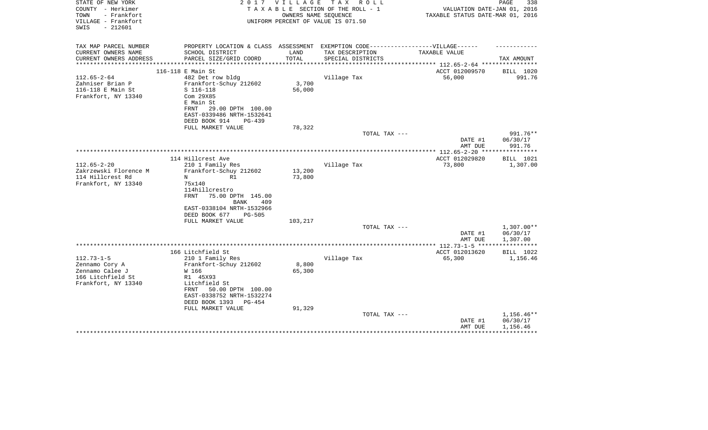| STATE OF NEW YORK<br>COUNTY - Herkimer<br>- Frankfort<br>TOWN<br>VILLAGE - Frankfort<br>$-212601$<br>SWIS | 2 0 1 7                                                                                                                                                                                            | VILLAGE                   | TAX ROLL<br>TAXABLE SECTION OF THE ROLL - 1<br>OWNERS NAME SEQUENCE<br>UNIFORM PERCENT OF VALUE IS 071.50 | VALUATION DATE-JAN 01, 2016<br>TAXABLE STATUS DATE-MAR 01, 2016 | 338<br>PAGE                          |
|-----------------------------------------------------------------------------------------------------------|----------------------------------------------------------------------------------------------------------------------------------------------------------------------------------------------------|---------------------------|-----------------------------------------------------------------------------------------------------------|-----------------------------------------------------------------|--------------------------------------|
| TAX MAP PARCEL NUMBER<br>CURRENT OWNERS NAME<br>CURRENT OWNERS ADDRESS                                    | PROPERTY LOCATION & CLASS ASSESSMENT EXEMPTION CODE-----------------VILLAGE------<br>SCHOOL DISTRICT<br>PARCEL SIZE/GRID COORD                                                                     | LAND<br>TOTAL             | TAX DESCRIPTION<br>SPECIAL DISTRICTS                                                                      | TAXABLE VALUE                                                   |                                      |
| **************                                                                                            |                                                                                                                                                                                                    | ***********               |                                                                                                           | ******************** 112.65-2-64 *****************              | TAX AMOUNT                           |
|                                                                                                           | 116-118 E Main St                                                                                                                                                                                  |                           |                                                                                                           | ACCT 012009570                                                  | BILL 1020                            |
| $112.65 - 2 - 64$<br>Zahniser Brian P<br>116-118 E Main St<br>Frankfort, NY 13340                         | 482 Det row bldg<br>Frankfort-Schuy 212602<br>S 116-118<br>Com 29X85<br>E Main St<br>FRNT<br>29.00 DPTH 100.00<br>EAST-0339486 NRTH-1532641<br>DEED BOOK 914<br>$PG-439$<br>FULL MARKET VALUE      | 3,700<br>56,000<br>78,322 | Village Tax                                                                                               | 56,000                                                          | 991.76                               |
|                                                                                                           |                                                                                                                                                                                                    |                           | TOTAL TAX ---                                                                                             | DATE #1<br>AMT DUE                                              | 991.76**<br>06/30/17<br>991.76       |
|                                                                                                           |                                                                                                                                                                                                    |                           |                                                                                                           |                                                                 | ***********                          |
| $112.65 - 2 - 20$                                                                                         | 114 Hillcrest Ave<br>210 1 Family Res                                                                                                                                                              |                           | Village Tax                                                                                               | ACCT 012029820<br>73,800                                        | BILL 1021<br>1,307.00                |
| Zakrzewski Florence M<br>114 Hillcrest Rd<br>Frankfort, NY 13340                                          | Frankfort-Schuy 212602<br>R1<br>N<br>75x140<br>114hillcrestro<br><b>FRNT</b><br>75.00 DPTH 145.00<br>BANK<br>409<br>EAST-0338104 NRTH-1532966<br>DEED BOOK 677<br>$PG-505$                         | 13,200<br>73,800          |                                                                                                           |                                                                 |                                      |
|                                                                                                           | FULL MARKET VALUE                                                                                                                                                                                  | 103,217                   |                                                                                                           |                                                                 |                                      |
|                                                                                                           |                                                                                                                                                                                                    |                           | TOTAL TAX ---                                                                                             | DATE #1<br>AMT DUE                                              | $1,307.00**$<br>06/30/17<br>1,307.00 |
|                                                                                                           |                                                                                                                                                                                                    |                           |                                                                                                           |                                                                 |                                      |
|                                                                                                           | 166 Litchfield St                                                                                                                                                                                  |                           |                                                                                                           | ACCT 012013620                                                  | BILL 1022                            |
| $112.73 - 1 - 5$<br>Zennamo Cory A<br>Zennamo Calee J<br>166 Litchfield St<br>Frankfort, NY 13340         | 210 1 Family Res<br>Frankfort-Schuy 212602<br>W 166<br>R1 45X93<br>Litchfield St<br>50.00 DPTH 100.00<br>FRNT<br>EAST-0338752 NRTH-1532274<br>DEED BOOK 1393<br><b>PG-454</b><br>FULL MARKET VALUE | 8,800<br>65,300<br>91,329 | Village Tax                                                                                               | 65,300                                                          | 1,156.46                             |
|                                                                                                           |                                                                                                                                                                                                    |                           | TOTAL TAX ---                                                                                             | DATE #1<br>AMT DUE                                              | 1,156.46**<br>06/30/17<br>1,156.46   |
|                                                                                                           |                                                                                                                                                                                                    |                           |                                                                                                           |                                                                 |                                      |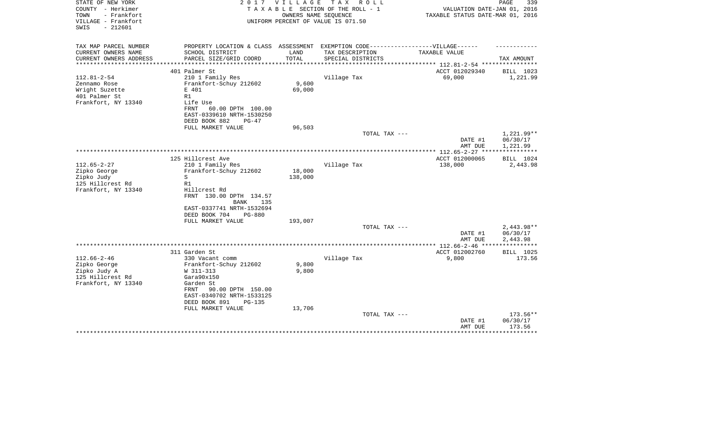| STATE OF NEW YORK<br>COUNTY - Herkimer<br>- Frankfort<br>TOWN<br>VILLAGE - Frankfort<br>$-212601$<br>SWIS | 2 0 1 7                                                                                                                                                                                            | VILLAGE                  | T A X<br>R O L L<br>TAXABLE SECTION OF THE ROLL - 1<br>OWNERS NAME SEQUENCE<br>UNIFORM PERCENT OF VALUE IS 071.50 | VALUATION DATE-JAN 01, 2016<br>TAXABLE STATUS DATE-MAR 01, 2016   | 339<br>PAGE                          |
|-----------------------------------------------------------------------------------------------------------|----------------------------------------------------------------------------------------------------------------------------------------------------------------------------------------------------|--------------------------|-------------------------------------------------------------------------------------------------------------------|-------------------------------------------------------------------|--------------------------------------|
| TAX MAP PARCEL NUMBER<br>CURRENT OWNERS NAME<br>CURRENT OWNERS ADDRESS                                    | PROPERTY LOCATION & CLASS ASSESSMENT<br>SCHOOL DISTRICT<br>PARCEL SIZE/GRID COORD                                                                                                                  | LAND<br>TOTAL            | EXEMPTION CODE------------------VILLAGE------<br>TAX DESCRIPTION<br>SPECIAL DISTRICTS                             | TAXABLE VALUE                                                     | TAX AMOUNT                           |
| *******************                                                                                       |                                                                                                                                                                                                    | ***********              |                                                                                                                   | ******************** 112.81-2-54 *************                    |                                      |
| $112.81 - 2 - 54$<br>Zennamo Rose<br>Wright Suzette<br>401 Palmer St<br>Frankfort, NY 13340               | 401 Palmer St<br>210 1 Family Res<br>Frankfort-Schuy 212602<br>E 401<br>R1<br>Life Use<br>FRNT<br>60.00 DPTH 100.00<br>EAST-0339610 NRTH-1530250<br>DEED BOOK 882<br>$PG-47$                       | 9,600<br>69,000          | Village Tax                                                                                                       | ACCT 012029340<br>69,000                                          | BILL 1023<br>1,221.99                |
|                                                                                                           | FULL MARKET VALUE                                                                                                                                                                                  | 96,503                   | TOTAL TAX ---                                                                                                     | DATE #1<br>AMT DUE                                                | $1,221.99**$<br>06/30/17<br>1,221.99 |
|                                                                                                           |                                                                                                                                                                                                    |                          |                                                                                                                   |                                                                   | * * * * * * * * * * *                |
| $112.65 - 2 - 27$<br>Zipko George<br>Zipko Judy<br>125 Hillcrest Rd<br>Frankfort, NY 13340                | 125 Hillcrest Ave<br>210 1 Family Res<br>Frankfort-Schuy 212602<br>S<br>R1<br>Hillcrest Rd<br>FRNT 130.00 DPTH 134.57<br>BANK<br>135                                                               | 18,000<br>138,000        | Village Tax                                                                                                       | ACCT 012000065<br>138,000                                         | BILL 1024<br>2,443.98                |
|                                                                                                           | EAST-0337741 NRTH-1532694<br>DEED BOOK 704<br>$PG-880$<br>FULL MARKET VALUE                                                                                                                        | 193,007                  | TOTAL TAX ---                                                                                                     |                                                                   | $2,443.98**$<br>06/30/17             |
|                                                                                                           |                                                                                                                                                                                                    |                          |                                                                                                                   | DATE #1<br>AMT DUE                                                | 2,443.98                             |
|                                                                                                           | 311 Garden St                                                                                                                                                                                      |                          |                                                                                                                   | ***************** 112.66-2-46 *****************<br>ACCT 012002760 | BILL 1025                            |
| $112.66 - 2 - 46$<br>Zipko George<br>Zipko Judy A<br>125 Hillcrest Rd<br>Frankfort, NY 13340              | 330 Vacant comm<br>Frankfort-Schuy 212602<br>W 311-313<br>Gara90x150<br>Garden St<br>90.00 DPTH 150.00<br>FRNT<br>EAST-0340702 NRTH-1533125<br>DEED BOOK 891<br><b>PG-135</b><br>FULL MARKET VALUE | 9,800<br>9,800<br>13,706 | Village Tax                                                                                                       | 9,800                                                             | 173.56                               |
|                                                                                                           |                                                                                                                                                                                                    |                          | TOTAL TAX ---                                                                                                     | DATE #1<br>AMT DUE                                                | 173.56**<br>06/30/17<br>173.56       |
|                                                                                                           |                                                                                                                                                                                                    |                          |                                                                                                                   |                                                                   |                                      |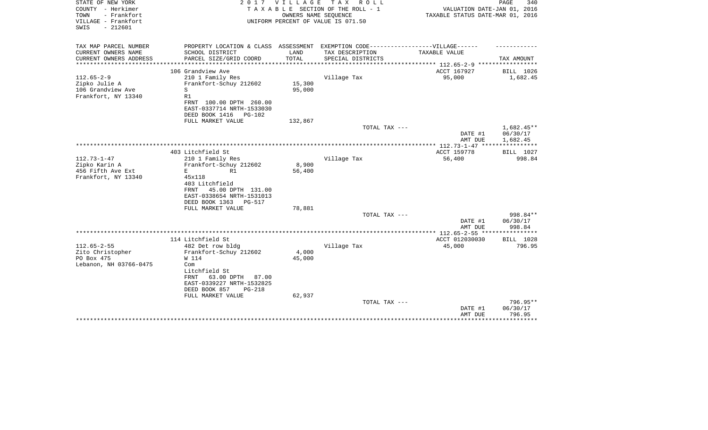| STATE OF NEW YORK<br>COUNTY - Herkimer<br>- Frankfort<br>TOWN<br>VILLAGE - Frankfort<br>$-212601$<br>SWIS | 2017                                          | VILLAGE              | TAX ROLL<br>TAXABLE SECTION OF THE ROLL - 1<br>OWNERS NAME SEQUENCE<br>UNIFORM PERCENT OF VALUE IS 071.50 | VALUATION DATE-JAN 01, 2016<br>TAXABLE STATUS DATE-MAR 01, 2016 | PAGE<br>340  |
|-----------------------------------------------------------------------------------------------------------|-----------------------------------------------|----------------------|-----------------------------------------------------------------------------------------------------------|-----------------------------------------------------------------|--------------|
| TAX MAP PARCEL NUMBER<br>CURRENT OWNERS NAME                                                              | SCHOOL DISTRICT                               | LAND                 | PROPERTY LOCATION & CLASS ASSESSMENT EXEMPTION CODE-----------------VILLAGE------<br>TAX DESCRIPTION      | TAXABLE VALUE                                                   |              |
| CURRENT OWNERS ADDRESS<br>**************                                                                  | PARCEL SIZE/GRID COORD<br>******************* | TOTAL<br>*********** | SPECIAL DISTRICTS                                                                                         | *********** 112.65-2-9 ******************                       | TAX AMOUNT   |
|                                                                                                           | 106 Grandview Ave                             |                      |                                                                                                           | ACCT 167927                                                     | BILL 1026    |
| $112.65 - 2 - 9$                                                                                          | 210 1 Family Res                              |                      | Village Tax                                                                                               | 95,000                                                          | 1,682.45     |
| Zipko Julie A                                                                                             | Frankfort-Schuy 212602                        | 15,300               |                                                                                                           |                                                                 |              |
| 106 Grandview Ave                                                                                         | S                                             | 95,000               |                                                                                                           |                                                                 |              |
| Frankfort, NY 13340                                                                                       | R1                                            |                      |                                                                                                           |                                                                 |              |
|                                                                                                           | FRNT 100.00 DPTH 260.00                       |                      |                                                                                                           |                                                                 |              |
|                                                                                                           | EAST-0337714 NRTH-1533030                     |                      |                                                                                                           |                                                                 |              |
|                                                                                                           | DEED BOOK 1416<br>$PG-102$                    |                      |                                                                                                           |                                                                 |              |
|                                                                                                           | FULL MARKET VALUE                             | 132,867              | TOTAL TAX ---                                                                                             |                                                                 | $1,682.45**$ |
|                                                                                                           |                                               |                      |                                                                                                           | DATE #1                                                         | 06/30/17     |
|                                                                                                           |                                               |                      |                                                                                                           | AMT DUE                                                         | 1,682.45     |
|                                                                                                           |                                               |                      | **************************************                                                                    | *** 112.73-1-47 ****                                            |              |
|                                                                                                           | 403 Litchfield St                             |                      |                                                                                                           | ACCT 159778                                                     | BILL 1027    |
| $112.73 - 1 - 47$                                                                                         | 210 1 Family Res                              |                      | Village Tax                                                                                               | 56,400                                                          | 998.84       |
| Zipko Karin A                                                                                             | Frankfort-Schuy 212602                        | 8,900                |                                                                                                           |                                                                 |              |
| 456 Fifth Ave Ext                                                                                         | E.<br>R1                                      | 56,400               |                                                                                                           |                                                                 |              |
| Frankfort, NY 13340                                                                                       | 45x118                                        |                      |                                                                                                           |                                                                 |              |
|                                                                                                           | 403 Litchfield<br>FRNT<br>45.00 DPTH 131.00   |                      |                                                                                                           |                                                                 |              |
|                                                                                                           | EAST-0338654 NRTH-1531013                     |                      |                                                                                                           |                                                                 |              |
|                                                                                                           | DEED BOOK 1363<br>PG-517                      |                      |                                                                                                           |                                                                 |              |
|                                                                                                           | FULL MARKET VALUE                             | 78,881               |                                                                                                           |                                                                 |              |
|                                                                                                           |                                               |                      | TOTAL TAX ---                                                                                             |                                                                 | 998.84**     |
|                                                                                                           |                                               |                      |                                                                                                           | DATE #1                                                         | 06/30/17     |
|                                                                                                           |                                               |                      |                                                                                                           | AMT DUE                                                         | 998.84       |
|                                                                                                           |                                               |                      |                                                                                                           | ****** 112.65-2-55 **                                           | **********   |
|                                                                                                           | 114 Litchfield St                             |                      |                                                                                                           | ACCT 012030030                                                  | BILL 1028    |
| $112.65 - 2 - 55$                                                                                         | 482 Det row bldg                              |                      | Village Tax                                                                                               | 45,000                                                          | 796.95       |
| Zito Christopher<br>PO Box 475                                                                            | Frankfort-Schuy 212602<br>W 114               | 4,000                |                                                                                                           |                                                                 |              |
| Lebanon, NH 03766-0475                                                                                    | Com                                           | 45,000               |                                                                                                           |                                                                 |              |
|                                                                                                           | Litchfield St                                 |                      |                                                                                                           |                                                                 |              |
|                                                                                                           | 63.00 DPTH<br>FRNT<br>87.00                   |                      |                                                                                                           |                                                                 |              |
|                                                                                                           | EAST-0339227 NRTH-1532825                     |                      |                                                                                                           |                                                                 |              |
|                                                                                                           | DEED BOOK 857<br>PG-218                       |                      |                                                                                                           |                                                                 |              |
|                                                                                                           | FULL MARKET VALUE                             | 62,937               |                                                                                                           |                                                                 |              |
|                                                                                                           |                                               |                      | TOTAL TAX ---                                                                                             |                                                                 | 796.95**     |
|                                                                                                           |                                               |                      |                                                                                                           | DATE #1                                                         | 06/30/17     |
|                                                                                                           |                                               |                      |                                                                                                           | AMT DUE                                                         | 796.95       |
|                                                                                                           |                                               |                      |                                                                                                           |                                                                 |              |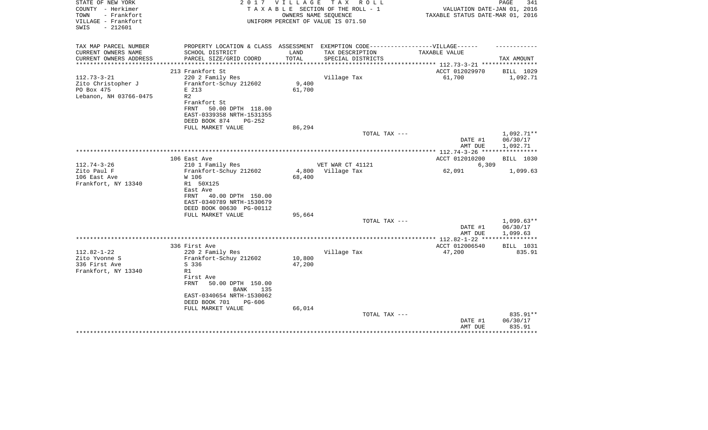| STATE OF NEW YORK<br>COUNTY - Herkimer<br>TOWN<br>- Frankfort<br>VILLAGE - Frankfort<br>$-212601$<br>SWIS | 2017                                                                             | V I L L A G E | T A X<br>R O L L<br>TAXABLE SECTION OF THE ROLL - 1<br>OWNERS NAME SEQUENCE<br>UNIFORM PERCENT OF VALUE IS 071.50 | VALUATION DATE-JAN 01, 2016<br>TAXABLE STATUS DATE-MAR 01, 2016 | PAGE<br>341        |
|-----------------------------------------------------------------------------------------------------------|----------------------------------------------------------------------------------|---------------|-------------------------------------------------------------------------------------------------------------------|-----------------------------------------------------------------|--------------------|
| TAX MAP PARCEL NUMBER                                                                                     | PROPERTY LOCATION & CLASS ASSESSMENT EXEMPTION CODE----------------VILLAGE------ |               |                                                                                                                   |                                                                 |                    |
| CURRENT OWNERS NAME<br>CURRENT OWNERS ADDRESS                                                             | SCHOOL DISTRICT<br>PARCEL SIZE/GRID COORD                                        | LAND<br>TOTAL | TAX DESCRIPTION<br>SPECIAL DISTRICTS                                                                              | TAXABLE VALUE                                                   | TAX AMOUNT         |
| *******************                                                                                       |                                                                                  | ***********   |                                                                                                                   | *************************** 112.73-3-21 ****************        |                    |
|                                                                                                           | 213 Frankfort St                                                                 |               |                                                                                                                   | ACCT 012029970                                                  | BILL 1029          |
| $112.73 - 3 - 21$<br>Zito Christopher J                                                                   | 220 2 Family Res<br>Frankfort-Schuy 212602                                       | 9,400         | Village Tax                                                                                                       | 61,700                                                          | 1,092.71           |
| PO Box 475                                                                                                | E 213                                                                            | 61,700        |                                                                                                                   |                                                                 |                    |
| Lebanon, NH 03766-0475                                                                                    | R <sub>2</sub>                                                                   |               |                                                                                                                   |                                                                 |                    |
|                                                                                                           | Frankfort St                                                                     |               |                                                                                                                   |                                                                 |                    |
|                                                                                                           | FRNT<br>50.00 DPTH 118.00                                                        |               |                                                                                                                   |                                                                 |                    |
|                                                                                                           | EAST-0339358 NRTH-1531355                                                        |               |                                                                                                                   |                                                                 |                    |
|                                                                                                           | DEED BOOK 874<br>PG-252<br>FULL MARKET VALUE                                     | 86,294        |                                                                                                                   |                                                                 |                    |
|                                                                                                           |                                                                                  |               | TOTAL TAX ---                                                                                                     |                                                                 | 1,092.71**         |
|                                                                                                           |                                                                                  |               |                                                                                                                   | DATE #1                                                         | 06/30/17           |
|                                                                                                           |                                                                                  |               |                                                                                                                   | AMT DUE                                                         | 1,092.71           |
|                                                                                                           | 106 East Ave                                                                     |               |                                                                                                                   | ************* 112.74-3-26 *****************<br>ACCT 012010200   | BILL 1030          |
| $112.74 - 3 - 26$                                                                                         | 210 1 Family Res                                                                 |               | VET WAR CT 41121                                                                                                  | 6,309                                                           |                    |
| Zito Paul F                                                                                               | Frankfort-Schuy 212602                                                           |               | 4,800 Village Tax                                                                                                 | 62,091                                                          | 1,099.63           |
| 106 East Ave                                                                                              | W 106                                                                            | 68,400        |                                                                                                                   |                                                                 |                    |
| Frankfort, NY 13340                                                                                       | R1 50X125                                                                        |               |                                                                                                                   |                                                                 |                    |
|                                                                                                           | East Ave                                                                         |               |                                                                                                                   |                                                                 |                    |
|                                                                                                           | 40.00 DPTH 150.00<br>FRNT<br>EAST-0340789 NRTH-1530679                           |               |                                                                                                                   |                                                                 |                    |
|                                                                                                           | DEED BOOK 00630 PG-00112                                                         |               |                                                                                                                   |                                                                 |                    |
|                                                                                                           | FULL MARKET VALUE                                                                | 95,664        |                                                                                                                   |                                                                 |                    |
|                                                                                                           |                                                                                  |               | TOTAL TAX ---                                                                                                     |                                                                 | $1,099.63**$       |
|                                                                                                           |                                                                                  |               |                                                                                                                   | DATE #1                                                         | 06/30/17           |
|                                                                                                           |                                                                                  |               |                                                                                                                   | AMT DUE<br>***** 112.82-1-22 *****************                  | 1,099.63           |
|                                                                                                           | 336 First Ave                                                                    |               |                                                                                                                   | ACCT 012006540                                                  | BILL 1031          |
| $112.82 - 1 - 22$                                                                                         | 220 2 Family Res                                                                 |               | Village Tax                                                                                                       | 47,200                                                          | 835.91             |
| Zito Yvonne S                                                                                             | Frankfort-Schuy 212602                                                           | 10,800        |                                                                                                                   |                                                                 |                    |
| 336 First Ave                                                                                             | S 336                                                                            | 47,200        |                                                                                                                   |                                                                 |                    |
| Frankfort, NY 13340                                                                                       | R1                                                                               |               |                                                                                                                   |                                                                 |                    |
|                                                                                                           | First Ave<br><b>FRNT</b><br>50.00 DPTH 150.00                                    |               |                                                                                                                   |                                                                 |                    |
|                                                                                                           | <b>BANK</b><br>135                                                               |               |                                                                                                                   |                                                                 |                    |
|                                                                                                           | EAST-0340654 NRTH-1530062                                                        |               |                                                                                                                   |                                                                 |                    |
|                                                                                                           | DEED BOOK 701<br>PG-606                                                          |               |                                                                                                                   |                                                                 |                    |
|                                                                                                           | FULL MARKET VALUE                                                                | 66,014        |                                                                                                                   |                                                                 |                    |
|                                                                                                           |                                                                                  |               | TOTAL TAX ---                                                                                                     |                                                                 | 835.91**           |
|                                                                                                           |                                                                                  |               |                                                                                                                   | DATE #1<br>AMT DUE                                              | 06/30/17<br>835.91 |
|                                                                                                           |                                                                                  |               |                                                                                                                   |                                                                 |                    |
|                                                                                                           |                                                                                  |               |                                                                                                                   |                                                                 |                    |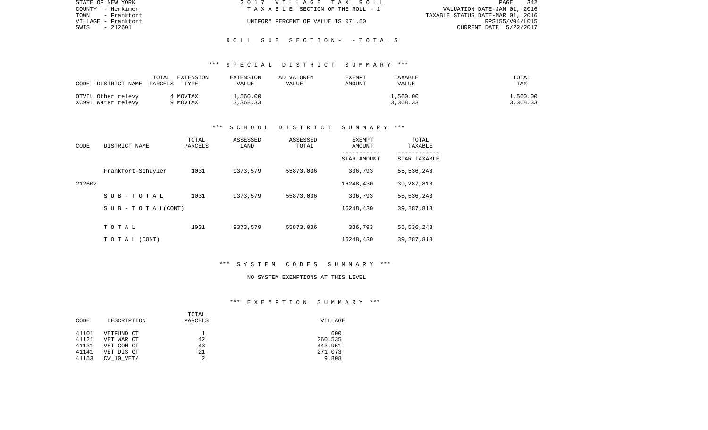| STATE OF NEW YORK   | 2017 VILLAGE TAX ROLL              | 342<br>PAGE                      |
|---------------------|------------------------------------|----------------------------------|
| COUNTY - Herkimer   | TAXABLE SECTION OF THE ROLL - 1    | VALUATION DATE-JAN 01, 2016      |
| TOWN<br>- Frankfort |                                    | TAXABLE STATUS DATE-MAR 01, 2016 |
| VILLAGE - Frankfort | UNIFORM PERCENT OF VALUE IS 071.50 | RPS155/V04/L015                  |
| - 212601<br>SWIS    |                                    | CURRENT DATE 5/22/2017           |
|                     |                                    |                                  |

R O L L S U B S E C T I O N - - T O T A L S

| CODE DISTRICT NAME PARCELS               | TOTAL EXTENSION      | EXTENSION            | AD VALOREM | EXEMPT | TAXABLE              | TOTAL                |
|------------------------------------------|----------------------|----------------------|------------|--------|----------------------|----------------------|
|                                          | TYPE                 | VALUE                | VALUE      | AMOUNT | VALUE                | TAX                  |
| OTVIL Other relevy<br>XC991 Water relevy | 4 MOVTAX<br>9 MOVTAX | L,560.00<br>3,368.33 |            |        | 1,560.00<br>3,368.33 | 1,560.00<br>3,368.33 |

### \*\*\* S C H O O L D I S T R I C T S U M M A R Y \*\*\*

| CODE   | DISTRICT NAME                | TOTAL<br>PARCELS | ASSESSED<br>LAND | ASSESSED<br>TOTAL | <b>EXEMPT</b><br>AMOUNT | TOTAL<br>TAXABLE |
|--------|------------------------------|------------------|------------------|-------------------|-------------------------|------------------|
|        |                              |                  |                  |                   | STAR AMOUNT             | STAR TAXABLE     |
|        | Frankfort-Schuyler           | 1031             | 9373,579         | 55873,036         | 336,793                 | 55,536,243       |
| 212602 |                              |                  |                  |                   | 16248,430               | 39,287,813       |
|        | SUB-TOTAL                    | 1031             | 9373,579         | 55873,036         | 336,793                 | 55,536,243       |
|        | $S \cup B - T O T A L(CONT)$ |                  |                  |                   | 16248,430               | 39, 287, 813     |
|        |                              |                  |                  |                   |                         |                  |
|        | TOTAL                        | 1031             | 9373,579         | 55873,036         | 336,793                 | 55,536,243       |
|        | T O T A L (CONT)             |                  |                  |                   | 16248,430               | 39, 287, 813     |

# \*\*\* S Y S T E M C O D E S S U M M A R Y \*\*\*

#### NO SYSTEM EXEMPTIONS AT THIS LEVEL

# \*\*\* E X E M P T I O N S U M M A R Y \*\*\*

|       |                | TOTAL   |         |
|-------|----------------|---------|---------|
| CODE  | DESCRIPTION    | PARCELS | VILLAGE |
|       |                |         |         |
| 41101 | VETFUND CT     |         | 600     |
| 41121 | VET WAR CT     | 42      | 260,535 |
| 41131 | VET COM CT     | 43      | 443,951 |
| 41141 | VET DIS CT     | 21      | 271,073 |
| 41153 | $CW$ 10 $VET/$ |         | 9,808   |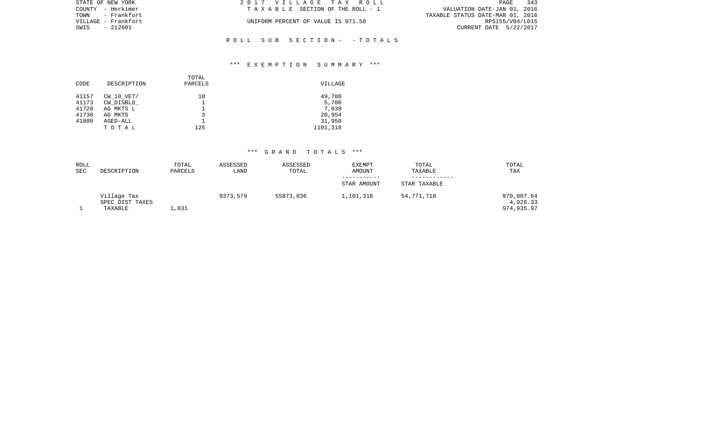| STATE OF NEW YORK   | 2017 VILLAGE TAX ROLL              | 343<br>PAGE                      |
|---------------------|------------------------------------|----------------------------------|
| COUNTY - Herkimer   | TAXABLE SECTION OF THE ROLL - 1    | VALUATION DATE-JAN 01, 2016      |
| TOWN - Frankfort    |                                    | TAXABLE STATUS DATE-MAR 01, 2016 |
| VILLAGE - Frankfort | UNIFORM PERCENT OF VALUE IS 071.50 | RPS155/V04/L015                  |
| SWIS<br>- 212601    |                                    | CURRENT DATE 5/22/2017           |
|                     |                                    |                                  |

# \*\*\* E X E M P T I O N S U M M A R Y \*\*\*

R O L L S U B S E C T I O N - - T O T A L S

| CODE  | DESCRIPTION    | TOTAL<br>PARCELS | VILLAGE  |
|-------|----------------|------------------|----------|
| 41157 | $CW$ 10 $VET/$ | 10               | 49,708   |
| 41173 | CW DISBLD      |                  | 5,700    |
| 41720 | AG MKTS L      |                  | 7,039    |
| 41730 | AG MKTS        | 3                | 20,954   |
| 41800 | AGED-ALL       |                  | 31,950   |
|       | TOTAL          | 125              | 1101,318 |
|       |                |                  |          |

| <b>ROLL</b> |                                           | TOTAL   | ASSESSED | ASSESSED  | <b>EXEMPT</b> | TOTAL        | TOTAL                                |
|-------------|-------------------------------------------|---------|----------|-----------|---------------|--------------|--------------------------------------|
| <b>SEC</b>  | DESCRIPTION                               | PARCELS | LAND     | TOTAL     | <b>AMOUNT</b> | TAXABLE      | TAX                                  |
|             |                                           |         |          |           | STAR AMOUNT   | STAR TAXABLE |                                      |
|             | Village Tax<br>SPEC DIST TAXES<br>TAXABLE | 1,031   | 9373,579 | 55873,036 | 1,101,318     | 54,771,718   | 970,007.64<br>4,928.33<br>974,935.97 |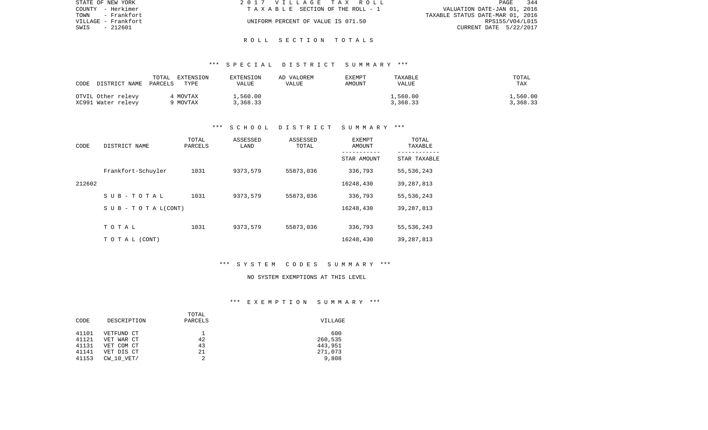| STATE OF NEW YORK   | 2017 VILLAGE TAX ROLL              | 344<br>PAGE                      |
|---------------------|------------------------------------|----------------------------------|
| COUNTY - Herkimer   | TAXABLE SECTION OF THE ROLL - 1    | VALUATION DATE-JAN 01, 2016      |
| TOWN - Frankfort    |                                    | TAXABLE STATUS DATE-MAR 01, 2016 |
| VILLAGE - Frankfort | UNIFORM PERCENT OF VALUE IS 071.50 | RPS155/V04/L015                  |
| SWIS<br>- 212601    |                                    | CURRENT DATE 5/22/2017           |
|                     |                                    |                                  |

### R O L L S E C T I O N T O T A L S

# \*\*\* S P E C I A L D I S T R I C T S U M M A R Y \*\*\*

| CODE<br>DISTRICT NAME                    | TOTAL<br>EXTENSION<br>PARCELS<br>TYPE | <b>EXTENSION</b><br>VALUE | AD VALOREM<br>VALUE | EXEMPT<br>AMOUNT | TAXABLE<br>VALUE     | TOTAL<br>TAX         |
|------------------------------------------|---------------------------------------|---------------------------|---------------------|------------------|----------------------|----------------------|
| OTVIL Other relevy<br>XC991 Water relevy | 4 MOVTAX<br>9 MOVTAX                  | 1,560.00<br>3,368.33      |                     |                  | 1,560.00<br>3,368.33 | L,560.00<br>3,368.33 |

### \*\*\* S C H O O L D I S T R I C T S U M M A R Y \*\*\*

| CODE   | DISTRICT NAME              | TOTAL<br>PARCELS | ASSESSED<br>LAND | ASSESSED<br>TOTAL | EXEMPT<br>AMOUNT<br>----------- | TOTAL<br>TAXABLE |
|--------|----------------------------|------------------|------------------|-------------------|---------------------------------|------------------|
|        |                            |                  |                  |                   | STAR AMOUNT                     | STAR TAXABLE     |
|        | Frankfort-Schuyler         | 1031             | 9373,579         | 55873,036         | 336,793                         | 55,536,243       |
| 212602 |                            |                  |                  |                   | 16248,430                       | 39,287,813       |
|        | $S$ U B - T O T A L        | 1031             | 9373,579         | 55873,036         | 336,793                         | 55,536,243       |
|        | S U B - T O T A $L$ (CONT) |                  |                  |                   | 16248,430                       | 39,287,813       |
|        |                            |                  |                  |                   |                                 |                  |
|        | TOTAL                      | 1031             | 9373,579         | 55873,036         | 336,793                         | 55,536,243       |
|        | TO TAL (CONT)              |                  |                  |                   | 16248,430                       | 39,287,813       |

# \*\*\* S Y S T E M C O D E S S U M M A R Y \*\*\*

#### NO SYSTEM EXEMPTIONS AT THIS LEVEL

# \*\*\* E X E M P T I O N S U M M A R Y \*\*\*

|       |                | TOTAL   |         |
|-------|----------------|---------|---------|
| CODE  | DESCRIPTION    | PARCELS | VILLAGE |
| 41101 | VETFUND CT     |         | 600     |
| 41121 | VET WAR CT     | 42      | 260,535 |
| 41131 | VET COM CT     | 43      | 443,951 |
| 41141 | VET DIS CT     | 21      | 271,073 |
| 41153 | $CW$ 10 $VET/$ | 2       | 9,808   |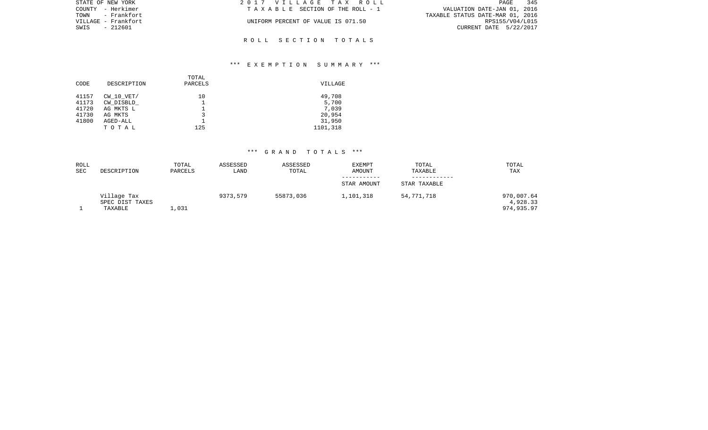| STATE OF NEW YORK   | 2017 VILLAGE TAX ROLL              | 345<br>PAGE                      |
|---------------------|------------------------------------|----------------------------------|
| COUNTY - Herkimer   | TAXABLE SECTION OF THE ROLL - 1    | VALUATION DATE-JAN 01, 2016      |
| TOWN - Frankfort    |                                    | TAXABLE STATUS DATE-MAR 01, 2016 |
| VILLAGE - Frankfort | UNIFORM PERCENT OF VALUE IS 071.50 | RPS155/V04/L015                  |
| SWIS<br>- 212601    |                                    | CURRENT DATE 5/22/2017           |
|                     |                                    |                                  |
|                     | ROLL SECTION TOTALS                |                                  |

# \*\*\* E X E M P T I O N S U M M A R Y \*\*\*

| CODE  | DESCRIPTION    | TOTAL<br>PARCELS | VILLAGE  |
|-------|----------------|------------------|----------|
| 41157 | $CW$ 10 $VET/$ | 10               | 49,708   |
| 41173 | CW DISBLD      |                  | 5,700    |
| 41720 | AG MKTS L      |                  | 7,039    |
| 41730 | AG MKTS        | 3                | 20,954   |
| 41800 | AGED-ALL       |                  | 31,950   |
|       | TOTAL          | 125              | 1101,318 |
|       |                |                  |          |

| <b>ROLL</b> |                                           | TOTAL   | ASSESSED | ASSESSED  | <b>EXEMPT</b> | TOTAL        | TOTAL                                |
|-------------|-------------------------------------------|---------|----------|-----------|---------------|--------------|--------------------------------------|
| <b>SEC</b>  | DESCRIPTION                               | PARCELS | LAND     | TOTAL     | <b>AMOUNT</b> | TAXABLE      | TAX                                  |
|             |                                           |         |          |           | STAR AMOUNT   | STAR TAXABLE |                                      |
|             | Village Tax<br>SPEC DIST TAXES<br>TAXABLE | 1,031   | 9373,579 | 55873,036 | 1,101,318     | 54,771,718   | 970,007.64<br>4,928.33<br>974,935.97 |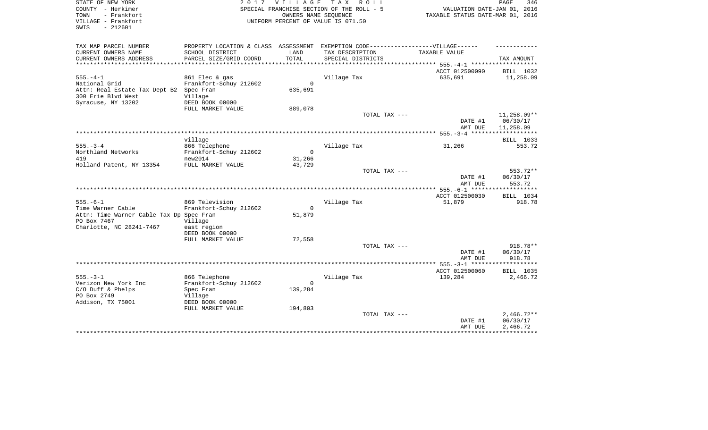| STATE OF NEW YORK<br>COUNTY - Herkimer<br>TOWN<br>- Frankfort<br>VILLAGE - Frankfort<br>$-212601$<br>SWIS |                                      | 2017 VILLAGE TAX<br>OWNERS NAME SEQUENCE | R O L L<br>SPECIAL FRANCHISE SECTION OF THE ROLL - 5<br>UNIFORM PERCENT OF VALUE IS 071.50 | VALUATION DATE-JAN 01, 2016<br>TAXABLE STATUS DATE-MAR 01, 2016 | PAGE<br>346              |
|-----------------------------------------------------------------------------------------------------------|--------------------------------------|------------------------------------------|--------------------------------------------------------------------------------------------|-----------------------------------------------------------------|--------------------------|
| TAX MAP PARCEL NUMBER                                                                                     | PROPERTY LOCATION & CLASS ASSESSMENT |                                          | EXEMPTION CODE-------------------VILLAGE------                                             |                                                                 |                          |
| CURRENT OWNERS NAME                                                                                       | SCHOOL DISTRICT                      | LAND                                     | TAX DESCRIPTION                                                                            | TAXABLE VALUE                                                   |                          |
| CURRENT OWNERS ADDRESS                                                                                    | PARCEL SIZE/GRID COORD               | TOTAL                                    | SPECIAL DISTRICTS                                                                          |                                                                 | TAX AMOUNT               |
|                                                                                                           |                                      |                                          |                                                                                            |                                                                 |                          |
|                                                                                                           |                                      |                                          |                                                                                            | ACCT 012500090                                                  | BILL 1032                |
| $555. - 4 - 1$                                                                                            | 861 Elec & gas                       |                                          | Village Tax                                                                                | 635,691                                                         | 11,258.09                |
| National Grid                                                                                             | Frankfort-Schuy 212602               | 0                                        |                                                                                            |                                                                 |                          |
| Attn: Real Estate Tax Dept B2 Spec Fran                                                                   |                                      | 635,691                                  |                                                                                            |                                                                 |                          |
| 300 Erie Blvd West<br>Syracuse, NY 13202                                                                  | Village<br>DEED BOOK 00000           |                                          |                                                                                            |                                                                 |                          |
|                                                                                                           | FULL MARKET VALUE                    | 889,078                                  |                                                                                            |                                                                 |                          |
|                                                                                                           |                                      |                                          | TOTAL TAX ---                                                                              |                                                                 | 11,258.09**              |
|                                                                                                           |                                      |                                          |                                                                                            | DATE #1                                                         | 06/30/17                 |
|                                                                                                           |                                      |                                          |                                                                                            | AMT DUE                                                         | 11,258.09                |
|                                                                                                           |                                      |                                          |                                                                                            |                                                                 |                          |
|                                                                                                           | village                              |                                          |                                                                                            |                                                                 | BILL 1033                |
| $555. - 3 - 4$                                                                                            | 866 Telephone                        |                                          | Village Tax                                                                                | 31,266                                                          | 553.72                   |
| Northland Networks                                                                                        | Frankfort-Schuy 212602               | $\mathbf 0$                              |                                                                                            |                                                                 |                          |
| 419                                                                                                       | new2014                              | 31,266                                   |                                                                                            |                                                                 |                          |
| Holland Patent, NY 13354                                                                                  | FULL MARKET VALUE                    | 43,729                                   |                                                                                            |                                                                 |                          |
|                                                                                                           |                                      |                                          | TOTAL TAX ---                                                                              |                                                                 | 553.72**                 |
|                                                                                                           |                                      |                                          |                                                                                            | DATE #1                                                         | 06/30/17                 |
|                                                                                                           |                                      |                                          |                                                                                            | AMT DUE                                                         | 553.72                   |
|                                                                                                           |                                      |                                          |                                                                                            |                                                                 |                          |
| $555. - 6 - 1$                                                                                            | 869 Television                       |                                          | Village Tax                                                                                | ACCT 012500030<br>51,879                                        | BILL 1034<br>918.78      |
| Time Warner Cable                                                                                         | Frankfort-Schuy 212602               | $\mathbf 0$                              |                                                                                            |                                                                 |                          |
| Attn: Time Warner Cable Tax Dp Spec Fran                                                                  |                                      | 51,879                                   |                                                                                            |                                                                 |                          |
| PO Box 7467                                                                                               | Village                              |                                          |                                                                                            |                                                                 |                          |
| Charlotte, NC 28241-7467                                                                                  | east region                          |                                          |                                                                                            |                                                                 |                          |
|                                                                                                           | DEED BOOK 00000                      |                                          |                                                                                            |                                                                 |                          |
|                                                                                                           | FULL MARKET VALUE                    | 72,558                                   |                                                                                            |                                                                 |                          |
|                                                                                                           |                                      |                                          | TOTAL TAX ---                                                                              |                                                                 | 918.78**                 |
|                                                                                                           |                                      |                                          |                                                                                            | DATE #1                                                         | 06/30/17                 |
|                                                                                                           |                                      |                                          |                                                                                            | AMT DUE                                                         | 918.78                   |
|                                                                                                           |                                      |                                          |                                                                                            |                                                                 |                          |
|                                                                                                           |                                      |                                          |                                                                                            | ACCT 012500060                                                  | BILL 1035                |
| $555 - 3 - 1$                                                                                             | 866 Telephone                        |                                          | Village Tax                                                                                | 139,284                                                         | 2,466.72                 |
| Verizon New York Inc                                                                                      | Frankfort-Schuy 212602               | $\Omega$                                 |                                                                                            |                                                                 |                          |
| $C/O$ Duff & Phelps                                                                                       | Spec Fran                            | 139,284                                  |                                                                                            |                                                                 |                          |
| PO Box 2749                                                                                               | Village                              |                                          |                                                                                            |                                                                 |                          |
| Addison, TX 75001                                                                                         | DEED BOOK 00000                      |                                          |                                                                                            |                                                                 |                          |
|                                                                                                           | FULL MARKET VALUE                    | 194,803                                  |                                                                                            |                                                                 |                          |
|                                                                                                           |                                      |                                          | TOTAL TAX ---                                                                              | DATE #1                                                         | $2,466.72**$<br>06/30/17 |
|                                                                                                           |                                      |                                          |                                                                                            | AMT DUE                                                         | 2,466.72                 |
|                                                                                                           |                                      |                                          |                                                                                            |                                                                 |                          |
|                                                                                                           |                                      |                                          |                                                                                            |                                                                 |                          |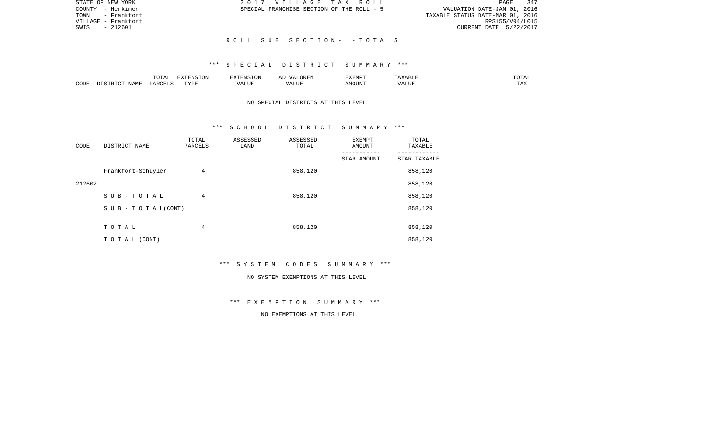| STATE OF NEW YORK   | 2017 VILLAGE TAX ROLL                     | 347<br>PAGE                      |
|---------------------|-------------------------------------------|----------------------------------|
| COUNTY - Herkimer   | SPECIAL FRANCHISE SECTION OF THE ROLL - 5 | VALUATION DATE-JAN 01, 2016      |
| TOWN - Frankfort    |                                           | TAXABLE STATUS DATE-MAR 01, 2016 |
| VILLAGE – Frankfort |                                           | RPS155/V04/L015                  |
| SWIS<br>- 212601    |                                           | CURRENT DATE 5/22/2017           |
|                     |                                           |                                  |
|                     | ROLL SUB SECTION- -TOTALS                 |                                  |

|      |                            | -----<br>◡∸⊷ | $\Box$<br>'N Y<br>L ON |                   | $\mathbf{r}$<br>שמעל | $\sim$ 4 B L $_{\rm H}$ | "UTAL   |
|------|----------------------------|--------------|------------------------|-------------------|----------------------|-------------------------|---------|
| CODE | <b>ART</b><br>. .<br>NAME. | UARCTT ⊂     | <b>TVDL</b>            | . <b></b><br>ALUI | .OUN"                | ALUF                    | $- - -$ |

# NO SPECIAL DISTRICTS AT THIS LEVEL

### \*\*\* S C H O O L D I S T R I C T S U M M A R Y \*\*\*

| CODE   | DISTRICT NAME                    | TOTAL<br>PARCELS | ASSESSED<br>LAND | ASSESSED<br>TOTAL | <b>EXEMPT</b><br>AMOUNT | TOTAL<br>TAXABLE |
|--------|----------------------------------|------------------|------------------|-------------------|-------------------------|------------------|
|        |                                  |                  |                  |                   | STAR AMOUNT             | STAR TAXABLE     |
|        | Frankfort-Schuyler               | 4                |                  | 858,120           |                         | 858,120          |
| 212602 |                                  |                  |                  |                   |                         | 858,120          |
|        | SUB-TOTAL                        | 4                |                  | 858,120           |                         | 858,120          |
|        | $S \cup B - T \cup T A L (CONT)$ |                  |                  |                   |                         | 858,120          |
|        |                                  |                  |                  |                   |                         |                  |
|        | TOTAL                            | 4                |                  | 858,120           |                         | 858,120          |
|        | TO TAL (CONT)                    |                  |                  |                   |                         | 858,120          |

\*\*\* S Y S T E M C O D E S S U M M A R Y \*\*\*

#### NO SYSTEM EXEMPTIONS AT THIS LEVEL

\*\*\* E X E M P T I O N S U M M A R Y \*\*\*

NO EXEMPTIONS AT THIS LEVEL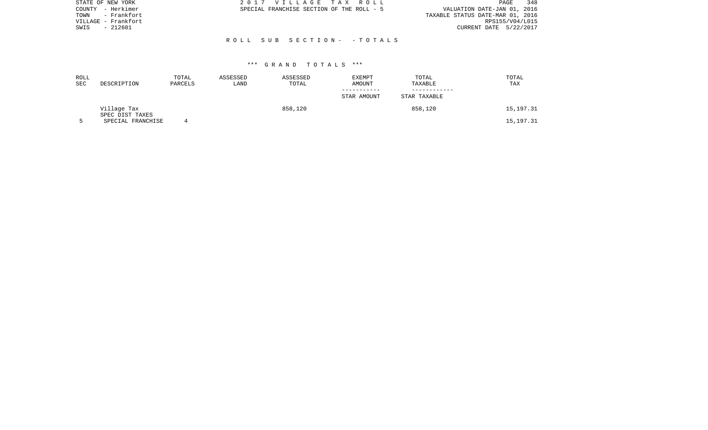| STATE OF NEW YORK   | 2017 VILLAGE TAX ROLL                     | 348<br>PAGE                      |
|---------------------|-------------------------------------------|----------------------------------|
| COUNTY - Herkimer   | SPECIAL FRANCHISE SECTION OF THE ROLL - 5 | VALUATION DATE-JAN 01, 2016      |
| - Frankfort<br>TOWN |                                           | TAXABLE STATUS DATE-MAR 01, 2016 |
| VILLAGE - Frankfort |                                           | RPS155/V04/L015                  |
| - 212601<br>SWIS    |                                           | CURRENT DATE 5/22/2017           |
|                     |                                           |                                  |
|                     | ROLL SUB SECTION- -TOTALS                 |                                  |
|                     |                                           |                                  |

| ROLL<br>SEC | DESCRIPTION                    | TOTAL<br>PARCELS | ASSESSED<br>LAND | ASSESSED<br>TOTAL | EXEMPT<br>AMOUNT | TOTAL<br>TAXABLE | TOTAL<br>TAX |
|-------------|--------------------------------|------------------|------------------|-------------------|------------------|------------------|--------------|
|             |                                |                  |                  |                   | STAR AMOUNT      | STAR TAXABLE     |              |
|             | Village Tax<br>SPEC DIST TAXES |                  |                  | 858,120           |                  | 858,120          | 15,197.31    |
|             | SPECIAL FRANCHISE              |                  |                  |                   |                  |                  | 15, 197. 31  |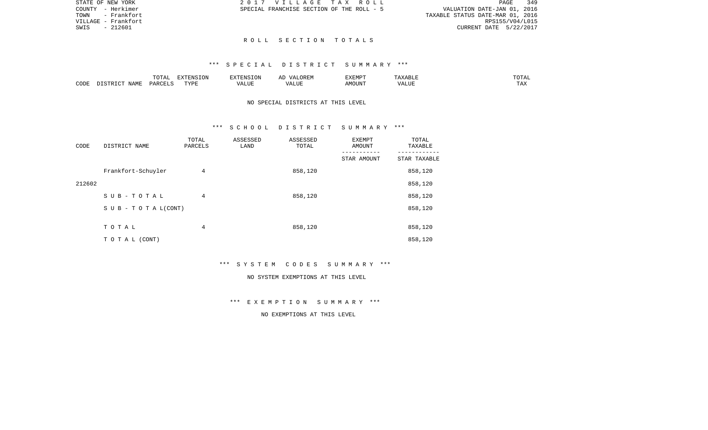| STATE OF NEW YORK   | 2017 VILLAGE TAX ROLL                     | 349<br>PAGE                      |
|---------------------|-------------------------------------------|----------------------------------|
| COUNTY - Herkimer   | SPECIAL FRANCHISE SECTION OF THE ROLL - 5 | VALUATION DATE-JAN 01, 2016      |
| TOWN - Frankfort    |                                           | TAXABLE STATUS DATE-MAR 01, 2016 |
| VILLAGE – Frankfort |                                           | RPS155/V04/L015                  |
| SWIS - 212601       |                                           | CURRENT DATE 5/22/2017           |
|                     |                                           |                                  |
|                     | ROLL SECTION TOTALS                       |                                  |

|      |             | $T$ $\cap$ $T$ $\cap$ $\cap$ $\cap$<br>$\cdots$<br>. U 1 1 1 1 | <b>ELVELENTO TONT</b> |      | : רר<br>$\sqrt{4}$<br>JREM | <b>F.X F.M D T</b><br>. |       | 50.55<br>---        |
|------|-------------|----------------------------------------------------------------|-----------------------|------|----------------------------|-------------------------|-------|---------------------|
| CODE | <b>JAME</b> | DARCELS                                                        | TVDL<br>.             | ALUE | $\sqrt{ }$<br>LUP          | AMOUN".                 | 'ALUE | $m \times n$<br>⊥⊷∠ |

# NO SPECIAL DISTRICTS AT THIS LEVEL

#### \*\*\* S C H O O L D I S T R I C T S U M M A R Y \*\*\*

| CODE   | DISTRICT NAME              | TOTAL<br>PARCELS | ASSESSED<br>LAND | ASSESSED<br>TOTAL | <b>EXEMPT</b><br>AMOUNT | TOTAL<br>TAXABLE |
|--------|----------------------------|------------------|------------------|-------------------|-------------------------|------------------|
|        |                            |                  |                  |                   | STAR AMOUNT             | STAR TAXABLE     |
|        | Frankfort-Schuyler         | 4                |                  | 858,120           |                         | 858,120          |
| 212602 |                            |                  |                  |                   |                         | 858,120          |
|        | SUB-TOTAL                  | 4                |                  | 858,120           |                         | 858,120          |
|        | S U B - T O T A $L$ (CONT) |                  |                  |                   |                         | 858,120          |
|        |                            |                  |                  |                   |                         |                  |
|        | TOTAL                      | 4                |                  | 858,120           |                         | 858,120          |
|        | TO TAL (CONT)              |                  |                  |                   |                         | 858,120          |

\*\*\* S Y S T E M C O D E S S U M M A R Y \*\*\*

#### NO SYSTEM EXEMPTIONS AT THIS LEVEL

\*\*\* E X E M P T I O N S U M M A R Y \*\*\*

NO EXEMPTIONS AT THIS LEVEL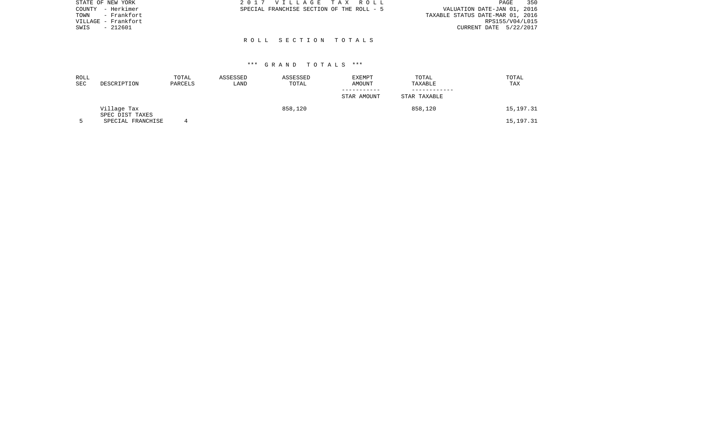| STATE OF NEW YORK   | 2017 VILLAGE TAX ROLL                     |  |                                  | PAGE | 350 |
|---------------------|-------------------------------------------|--|----------------------------------|------|-----|
| COUNTY - Herkimer   | SPECIAL FRANCHISE SECTION OF THE ROLL - 5 |  | VALUATION DATE-JAN 01, 2016      |      |     |
| - Frankfort<br>TOWN |                                           |  | TAXABLE STATUS DATE-MAR 01, 2016 |      |     |
| VILLAGE - Frankfort |                                           |  | RPS155/V04/L015                  |      |     |
| $-212601$<br>SWIS   |                                           |  | CURRENT DATE 5/22/2017           |      |     |
|                     |                                           |  |                                  |      |     |
|                     | ROLL SECTION TOTALS                       |  |                                  |      |     |

| ROLL<br>SEC | DESCRIPTION                    | TOTAL<br>PARCELS | ASSESSED<br>LAND | ASSESSED<br>TOTAL | EXEMPT<br>AMOUNT | TOTAL<br>TAXABLE | TOTAL<br>TAX |
|-------------|--------------------------------|------------------|------------------|-------------------|------------------|------------------|--------------|
|             |                                |                  |                  |                   | STAR AMOUNT      | STAR TAXABLE     |              |
|             | Village Tax<br>SPEC DIST TAXES |                  |                  | 858,120           |                  | 858,120          | 15,197.31    |
|             | SPECIAL FRANCHISE              |                  |                  |                   |                  |                  | 15, 197. 31  |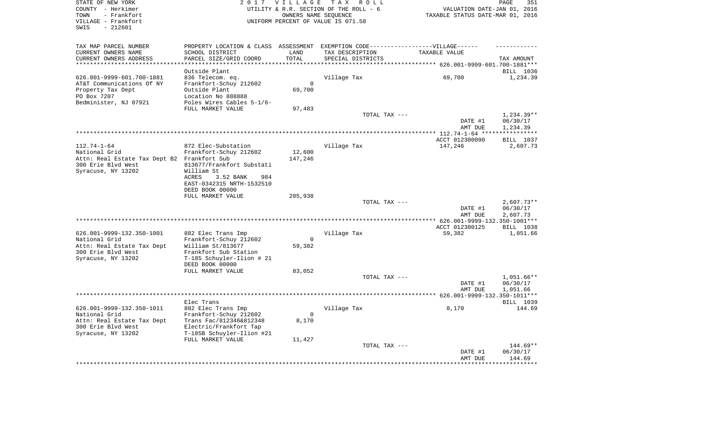| STATE OF NEW YORK<br>COUNTY - Herkimer<br>- Frankfort<br>TOWN<br>VILLAGE - Frankfort<br>$-212601$<br>SWIS            |                                                                                                                                                     | 2017 VILLAGE<br>OWNERS NAME SEQUENCE | T A X<br>R O L L<br>UTILITY & R.R. SECTION OF THE ROLL - 6<br>UNIFORM PERCENT OF VALUE IS 071.50 | VALUATION DATE-JAN 01, 2016<br>TAXABLE STATUS DATE-MAR 01, 2016 | PAGE<br>351                        |
|----------------------------------------------------------------------------------------------------------------------|-----------------------------------------------------------------------------------------------------------------------------------------------------|--------------------------------------|--------------------------------------------------------------------------------------------------|-----------------------------------------------------------------|------------------------------------|
| TAX MAP PARCEL NUMBER<br>CURRENT OWNERS NAME                                                                         | PROPERTY LOCATION & CLASS ASSESSMENT EXEMPTION CODE----------------VILLAGE------<br>SCHOOL DISTRICT                                                 | LAND                                 | TAX DESCRIPTION                                                                                  | TAXABLE VALUE                                                   |                                    |
| CURRENT OWNERS ADDRESS<br>**********************                                                                     | PARCEL SIZE/GRID COORD<br>***********************                                                                                                   | TOTAL<br>****************            | SPECIAL DISTRICTS                                                                                |                                                                 | TAX AMOUNT                         |
|                                                                                                                      | Outside Plant                                                                                                                                       |                                      |                                                                                                  |                                                                 | BILL 1036                          |
| 626.001-9999-601.700-1881<br>AT&T Communications Of NY<br>Property Tax Dept<br>PO Box 7207<br>Bedminister, NJ 07921  | 836 Telecom. eq.<br>Frankfort-Schuy 212602<br>Outside Plant<br>Location No 888888<br>Poles Wires Cables 5-1/6-                                      | $\Omega$<br>69,700                   | Village Tax                                                                                      | 69,700                                                          | 1,234.39                           |
|                                                                                                                      | FULL MARKET VALUE                                                                                                                                   | 97,483                               |                                                                                                  |                                                                 |                                    |
|                                                                                                                      |                                                                                                                                                     |                                      | TOTAL TAX ---                                                                                    | DATE #1                                                         | 1,234.39**<br>06/30/17             |
|                                                                                                                      |                                                                                                                                                     |                                      |                                                                                                  | AMT DUE                                                         | 1,234.39                           |
|                                                                                                                      |                                                                                                                                                     |                                      |                                                                                                  | ACCT 012300090                                                  | ***********<br><b>BILL 1037</b>    |
| $112.74 - 1 - 64$<br>National Grid                                                                                   | 872 Elec-Substation<br>Frankfort-Schuy 212602                                                                                                       | 12,600                               | Village Tax                                                                                      | 147,246                                                         | 2,607.73                           |
| Attn: Real Estate Tax Dept B2 Frankfort Sub<br>300 Erie Blvd West<br>Syracuse, NY 13202                              | 813677/Frankfort Substati<br>William St<br>ACRES<br>3.52 BANK<br>984<br>EAST-0342315 NRTH-1532510                                                   | 147,246                              |                                                                                                  |                                                                 |                                    |
|                                                                                                                      | DEED BOOK 00000<br>FULL MARKET VALUE                                                                                                                | 205,938                              |                                                                                                  |                                                                 |                                    |
|                                                                                                                      |                                                                                                                                                     |                                      | TOTAL TAX ---                                                                                    | DATE #1                                                         | $2,607.73**$<br>06/30/17           |
|                                                                                                                      |                                                                                                                                                     |                                      |                                                                                                  | AMT DUE                                                         | 2,607.73                           |
|                                                                                                                      |                                                                                                                                                     |                                      |                                                                                                  | ACCT 012300125                                                  | BILL 1038                          |
| 626.001-9999-132.350-1001<br>National Grid                                                                           | 882 Elec Trans Imp<br>Frankfort-Schuy 212602                                                                                                        | $\mathbf 0$                          | Village Tax                                                                                      | 59,382                                                          | 1,051.66                           |
| Attn: Real Estate Tax Dept<br>300 Erie Blvd West<br>Syracuse, NY 13202                                               | William St/813677<br>Frankfort Sub Station<br>T-185 Schuyler-Ilion # 21<br>DEED BOOK 00000                                                          | 59,382                               |                                                                                                  |                                                                 |                                    |
|                                                                                                                      | FULL MARKET VALUE                                                                                                                                   | 83,052                               |                                                                                                  |                                                                 |                                    |
|                                                                                                                      |                                                                                                                                                     |                                      | TOTAL TAX ---                                                                                    | DATE #1<br>AMT DUE                                              | 1,051.66**<br>06/30/17<br>1,051.66 |
|                                                                                                                      | Elec Trans                                                                                                                                          |                                      | ***********************                                                                          | *** 626.001-9999-132.350-1011***                                | BILL 1039                          |
| 626.001-9999-132.350-1011<br>National Grid<br>Attn: Real Estate Tax Dept<br>300 Erie Blvd West<br>Syracuse, NY 13202 | 882 Elec Trans Imp<br>Frankfort-Schuy 212602<br>Trans Fac/812346&812348<br>Electric/Frankfort Tap<br>T-185B Schuyler-Ilion #21<br>FULL MARKET VALUE | $\mathbf 0$<br>8,170<br>11,427       | Village Tax                                                                                      | 8,170                                                           | 144.69                             |
|                                                                                                                      |                                                                                                                                                     |                                      | TOTAL TAX ---                                                                                    | DATE #1<br>AMT DUE                                              | 144.69**<br>06/30/17<br>144.69     |
|                                                                                                                      |                                                                                                                                                     |                                      |                                                                                                  |                                                                 | ********                           |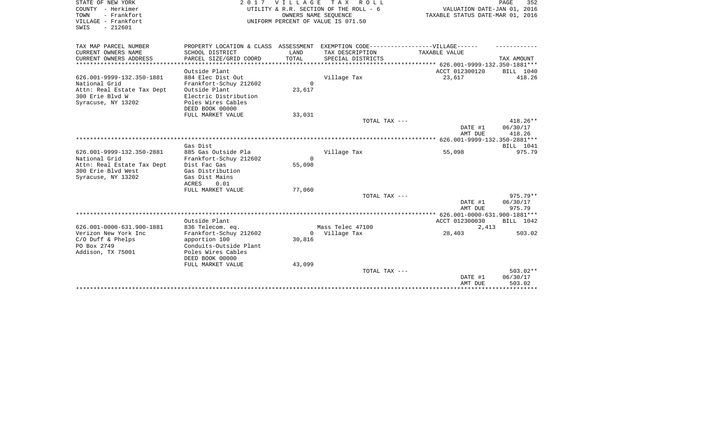| STATE OF NEW YORK<br>COUNTY - Herkimer<br>TOWN<br>- Frankfort<br>VILLAGE - Frankfort<br>SWIS<br>$-212601$ |                                                                                   | 2017 VILLAGE | T A X<br>R O L L<br>UTILITY & R.R. SECTION OF THE ROLL - 6<br>OWNERS NAME SEOUENCE<br>UNIFORM PERCENT OF VALUE IS 071.50 | VALUATION DATE-JAN 01, 2016<br>TAXABLE STATUS DATE-MAR 01, 2016 | PAGE<br>352            |
|-----------------------------------------------------------------------------------------------------------|-----------------------------------------------------------------------------------|--------------|--------------------------------------------------------------------------------------------------------------------------|-----------------------------------------------------------------|------------------------|
| TAX MAP PARCEL NUMBER                                                                                     | PROPERTY LOCATION & CLASS ASSESSMENT EXEMPTION CODE-----------------VILLAGE------ |              |                                                                                                                          |                                                                 |                        |
| CURRENT OWNERS NAME                                                                                       | SCHOOL DISTRICT                                                                   | LAND         | TAX DESCRIPTION                                                                                                          | TAXABLE VALUE                                                   |                        |
| CURRENT OWNERS ADDRESS                                                                                    | PARCEL SIZE/GRID COORD                                                            | TOTAL        | SPECIAL DISTRICTS                                                                                                        |                                                                 | TAX AMOUNT             |
|                                                                                                           |                                                                                   |              |                                                                                                                          | ************************ 626.001-9999-132.350-1881***           |                        |
|                                                                                                           | Outside Plant                                                                     |              |                                                                                                                          | ACCT 012300120                                                  | BILL 1040              |
| 626.001-9999-132.350-1881                                                                                 | 884 Elec Dist Out                                                                 | $\Omega$     | Village Tax                                                                                                              | 23,617                                                          | 418.26                 |
| National Grid<br>Attn: Real Estate Tax Dept                                                               | Frankfort-Schuy 212602<br>Outside Plant                                           | 23,617       |                                                                                                                          |                                                                 |                        |
| 300 Erie Blvd W                                                                                           | Electric Distribution                                                             |              |                                                                                                                          |                                                                 |                        |
| Syracuse, NY 13202                                                                                        | Poles Wires Cables                                                                |              |                                                                                                                          |                                                                 |                        |
|                                                                                                           | DEED BOOK 00000                                                                   |              |                                                                                                                          |                                                                 |                        |
|                                                                                                           | FULL MARKET VALUE                                                                 | 33,031       |                                                                                                                          |                                                                 |                        |
|                                                                                                           |                                                                                   |              | TOTAL TAX ---                                                                                                            | DATE #1                                                         | $418.26**$<br>06/30/17 |
|                                                                                                           |                                                                                   |              |                                                                                                                          | AMT DUE                                                         | 418.26                 |
|                                                                                                           |                                                                                   |              |                                                                                                                          |                                                                 |                        |
|                                                                                                           | Gas Dist                                                                          |              |                                                                                                                          |                                                                 | BILL 1041              |
| 626.001-9999-132.350-2881                                                                                 | 885 Gas Outside Pla                                                               |              | Village Tax                                                                                                              | 55,098                                                          | 975.79                 |
| National Grid                                                                                             | Frankfort-Schuy 212602                                                            | $\Omega$     |                                                                                                                          |                                                                 |                        |
| Attn: Real Estate Tax Dept<br>300 Erie Blvd West                                                          | Dist Fac Gas<br>Gas Distribution                                                  | 55,098       |                                                                                                                          |                                                                 |                        |
| Syracuse, NY 13202                                                                                        | Gas Dist Mains                                                                    |              |                                                                                                                          |                                                                 |                        |
|                                                                                                           | ACRES<br>0.01                                                                     |              |                                                                                                                          |                                                                 |                        |
|                                                                                                           | FULL MARKET VALUE                                                                 | 77,060       |                                                                                                                          |                                                                 |                        |
|                                                                                                           |                                                                                   |              | TOTAL TAX ---                                                                                                            |                                                                 | $975.79**$             |
|                                                                                                           |                                                                                   |              |                                                                                                                          | DATE #1                                                         | 06/30/17               |
|                                                                                                           |                                                                                   |              |                                                                                                                          | AMT DUE                                                         | 975.79                 |
|                                                                                                           | Outside Plant                                                                     |              |                                                                                                                          | ACCT 012300030                                                  | BILL 1042              |
| 626.001-0000-631.900-1881                                                                                 | 836 Telecom. eq.                                                                  |              | Mass Telec 47100                                                                                                         | 2,413                                                           |                        |
| Verizon New York Inc                                                                                      | Frankfort-Schuy 212602                                                            |              | 0 Village Tax                                                                                                            | 28,403                                                          | 503.02                 |
| $C/O$ Duff & Phelps                                                                                       | apportion 100                                                                     | 30,816       |                                                                                                                          |                                                                 |                        |
| PO Box 2749                                                                                               | Conduits-Outside Plant                                                            |              |                                                                                                                          |                                                                 |                        |
| Addison, TX 75001                                                                                         | Poles Wires Cables<br>DEED BOOK 00000                                             |              |                                                                                                                          |                                                                 |                        |
|                                                                                                           | FULL MARKET VALUE                                                                 | 43,099       |                                                                                                                          |                                                                 |                        |
|                                                                                                           |                                                                                   |              | TOTAL TAX ---                                                                                                            |                                                                 | $503.02**$             |
|                                                                                                           |                                                                                   |              |                                                                                                                          | DATE #1                                                         | 06/30/17               |
|                                                                                                           |                                                                                   |              |                                                                                                                          | AMT DUE                                                         | 503.02                 |
|                                                                                                           |                                                                                   |              |                                                                                                                          |                                                                 |                        |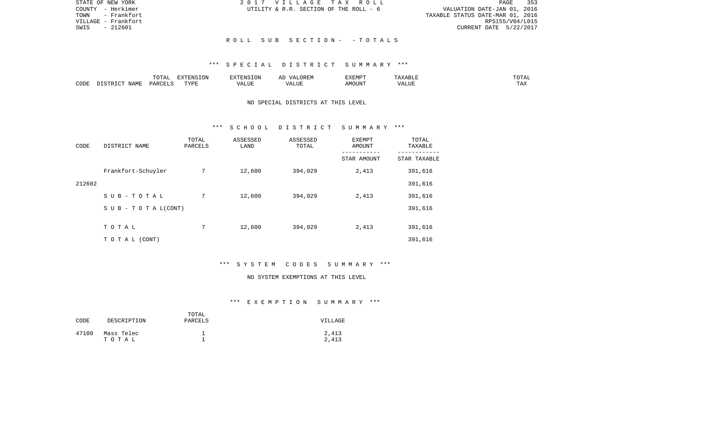| STATE OF NEW YORK   | 2017 VILLAGE TAX ROLL                  | PAGE 353                         |
|---------------------|----------------------------------------|----------------------------------|
| COUNTY - Herkimer   | UTILITY & R.R. SECTION OF THE ROLL - 6 | VALUATION DATE-JAN 01, 2016      |
| TOWN - Frankfort    |                                        | TAXABLE STATUS DATE-MAR 01, 2016 |
| VILLAGE - Frankfort |                                        | RPS155/V04/L015                  |
| - 212601<br>SWIS    |                                        | CURRENT DATE 5/22/2017           |
|                     |                                        |                                  |
|                     | ROLL SUB SECTION- -TOTALS              |                                  |

|      |       | $T \cap T$<br>⊥∪⊥പ | $T \cap T$<br>-----<br>TOIZ<br>ב עו | ∡∙NT⊂                         |                           | EXEMPT       |              | $m \wedge m$<br>. |
|------|-------|--------------------|-------------------------------------|-------------------------------|---------------------------|--------------|--------------|-------------------|
| CODE | … ∆M™ | DAD <sub>(</sub>   | TVDI<br>---                         | $- - - -$<br>$\cdots$<br>תשעב | ----<br>,,,<br>۳۰ تا بلند | JUN"<br>AIVI | ----<br>ALUI | $-1$<br>. Ал      |

# NO SPECIAL DISTRICTS AT THIS LEVEL

### \*\*\* S C H O O L D I S T R I C T S U M M A R Y \*\*\*

| CODE   | DISTRICT NAME                    | TOTAL<br>PARCELS | ASSESSED<br>LAND | ASSESSED<br>TOTAL | <b>EXEMPT</b><br>AMOUNT | TOTAL<br>TAXABLE |
|--------|----------------------------------|------------------|------------------|-------------------|-------------------------|------------------|
|        |                                  |                  |                  |                   | STAR AMOUNT             | STAR TAXABLE     |
|        | Frankfort-Schuyler               | 7                | 12,600           | 394,029           | 2,413                   | 391,616          |
| 212602 |                                  |                  |                  |                   |                         | 391,616          |
|        | SUB-TOTAL                        | 7                | 12,600           | 394,029           | 2,413                   | 391,616          |
|        | $S \cup B - T \cup T A L (CONT)$ |                  |                  |                   |                         | 391,616          |
|        |                                  |                  |                  |                   |                         |                  |
|        | TOTAL                            | 7                | 12,600           | 394,029           | 2,413                   | 391,616          |
|        | T O T A L (CONT)                 |                  |                  |                   |                         | 391,616          |

### \*\*\* S Y S T E M C O D E S S U M M A R Y \*\*\*

#### NO SYSTEM EXEMPTIONS AT THIS LEVEL

# \*\*\* E X E M P T I O N S U M M A R Y \*\*\*

| CODE  | DESCRIPTION         | TOTAL<br>PARCELS | VILLAGE        |
|-------|---------------------|------------------|----------------|
| 47100 | Mass Telec<br>тотаь |                  | 2,413<br>2,413 |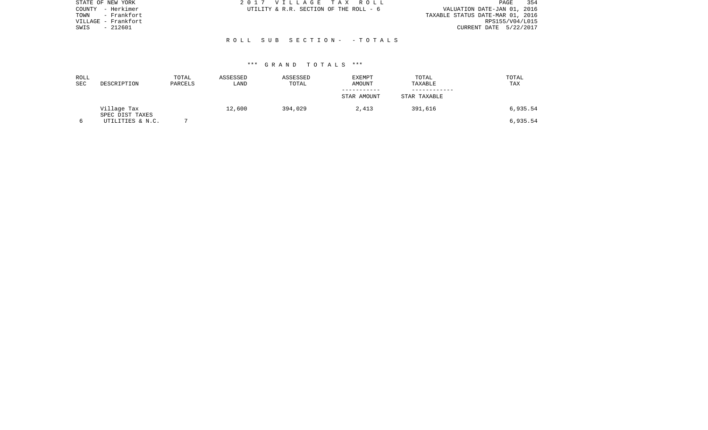| STATE OF NEW YORK    | 2017 VILLAGE TAX ROLL                  | - 354<br>PAGE                    |
|----------------------|----------------------------------------|----------------------------------|
| - Herkimer<br>COUNTY | UTILITY & R.R. SECTION OF THE ROLL - 6 | VALUATION DATE-JAN 01, 2016      |
| - Frankfort<br>TOWN  |                                        | TAXABLE STATUS DATE-MAR 01, 2016 |
| VILLAGE - Frankfort  |                                        | RPS155/V04/L015                  |
| $-212601$<br>SWIS    |                                        | CURRENT DATE 5/22/2017           |
|                      |                                        |                                  |
|                      | ROLL SUB SECTION- - TOTALS             |                                  |
|                      |                                        |                                  |
|                      |                                        |                                  |

| ROLL<br><b>SEC</b> | DESCRIPTION                    | TOTAL<br>PARCELS | ASSESSED<br>LAND | ASSESSED<br>TOTAL | <b>EXEMPT</b><br>AMOUNT | TOTAL<br>TAXABLE | TOTAL<br>TAX |
|--------------------|--------------------------------|------------------|------------------|-------------------|-------------------------|------------------|--------------|
|                    |                                |                  |                  |                   | STAR AMOUNT             | STAR TAXABLE     |              |
|                    | Village Tax<br>SPEC DIST TAXES |                  | 12,600           | 394,029           | 2,413                   | 391,616          | 6,935.54     |
|                    | UTILITIES & N.C.               |                  |                  |                   |                         |                  | 6,935.54     |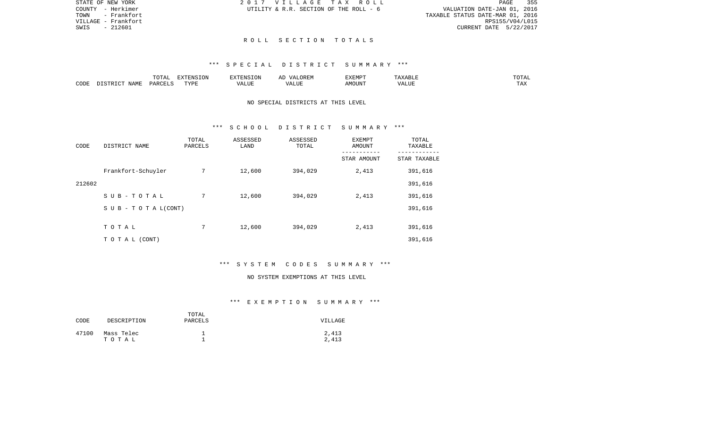|  | 2017 VILLAGE TAX ROLL                  |  |  |  |  |                                  |                             |                        | PAGE | 355 |
|--|----------------------------------------|--|--|--|--|----------------------------------|-----------------------------|------------------------|------|-----|
|  | UTILITY & R.R. SECTION OF THE ROLL - 6 |  |  |  |  |                                  | VALUATION DATE-JAN 01, 2016 |                        |      |     |
|  |                                        |  |  |  |  | TAXABLE STATUS DATE-MAR 01, 2016 |                             |                        |      |     |
|  |                                        |  |  |  |  |                                  |                             | RPS155/V04/L015        |      |     |
|  |                                        |  |  |  |  |                                  |                             | CURRENT DATE 5/22/2017 |      |     |
|  |                                        |  |  |  |  |                                  |                             |                        |      |     |

#### R O L L S E C T I O N T O T A L S

### \*\*\* S P E C I A L D I S T R I C T S U M M A R Y \*\*\*

|      |                    | $m \wedge m \wedge n$<br>- 777 | <b>EXTENSION</b> | $\blacksquare$           | $\cdots$ | $\overline{}$<br>:XEMP |              | ∸∸         |
|------|--------------------|--------------------------------|------------------|--------------------------|----------|------------------------|--------------|------------|
| CODE | <b>NAME</b><br>. . | <b>DAR</b> C                   | TVDI<br>---      | $\sqrt{2}$<br>. <b>.</b> |          | . J I.V                | <b>T TTT</b> | may<br>- … |

# NO SPECIAL DISTRICTS AT THIS LEVEL

### \*\*\* S C H O O L D I S T R I C T S U M M A R Y \*\*\*

| CODE   | DISTRICT NAME                    | TOTAL<br>PARCELS | ASSESSED<br>LAND | ASSESSED<br>TOTAL | <b>EXEMPT</b><br>AMOUNT<br>--------- | TOTAL<br>TAXABLE |
|--------|----------------------------------|------------------|------------------|-------------------|--------------------------------------|------------------|
|        |                                  |                  |                  |                   | STAR AMOUNT                          | STAR TAXABLE     |
|        | Frankfort-Schuyler               | 7                | 12,600           | 394,029           | 2,413                                | 391,616          |
| 212602 |                                  |                  |                  |                   |                                      | 391,616          |
|        | $S$ U B - T O T A L              | 7                | 12,600           | 394,029           | 2,413                                | 391,616          |
|        | $S \cup B - T \cup T A L (CONT)$ |                  |                  |                   |                                      | 391,616          |
|        |                                  |                  |                  |                   |                                      |                  |
|        | TOTAL                            | 7                | 12,600           | 394,029           | 2,413                                | 391,616          |
|        | TO TAL (CONT)                    |                  |                  |                   |                                      | 391,616          |

# \*\*\* S Y S T E M C O D E S S U M M A R Y \*\*\*

#### NO SYSTEM EXEMPTIONS AT THIS LEVEL

# \*\*\* E X E M P T I O N S U M M A R Y \*\*\*

| CODE  | DESCRIPTION         | TOTAL<br>PARCELS | VILLAGE        |
|-------|---------------------|------------------|----------------|
| 47100 | Mass Telec<br>тотаь |                  | 2,413<br>2,413 |

STATE OF NEW YORK COUNTY - Herkimer TOWN - Frankfort VILLAGE - Frankfort SWIS - 212601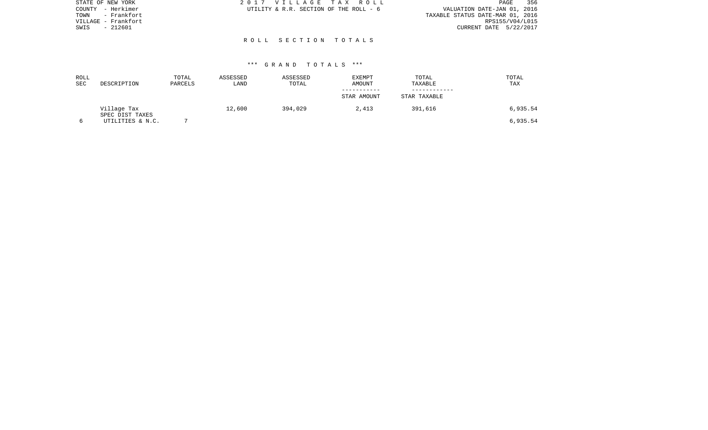| STATE OF NEW YORK    | 2017 VILLAGE TAX ROLL                  | 356<br>PAGE                      |
|----------------------|----------------------------------------|----------------------------------|
| - Herkimer<br>COUNTY | UTILITY & R.R. SECTION OF THE ROLL - 6 | VALUATION DATE-JAN 01, 2016      |
| - Frankfort<br>TOWN  |                                        | TAXABLE STATUS DATE-MAR 01, 2016 |
| VILLAGE - Frankfort  |                                        | RPS155/V04/L015                  |
| $-212601$<br>SWIS    |                                        | CURRENT DATE 5/22/2017           |
|                      |                                        |                                  |
|                      | ROLL SECTION TOTALS                    |                                  |
|                      |                                        |                                  |

| ROLL<br>SEC | DESCRIPTION                    | TOTAL<br>PARCELS | ASSESSED<br>LAND | ASSESSED<br>TOTAL | <b>EXEMPT</b><br>AMOUNT | TOTAL<br>TAXABLE | TOTAL<br>TAX |
|-------------|--------------------------------|------------------|------------------|-------------------|-------------------------|------------------|--------------|
|             |                                |                  |                  |                   | STAR AMOUNT             | STAR TAXABLE     |              |
|             | Village Tax<br>SPEC DIST TAXES |                  | 12,600           | 394,029           | 2,413                   | 391,616          | 6,935.54     |
|             | UTILITIES & N.C.               |                  |                  |                   |                         |                  | 6,935.54     |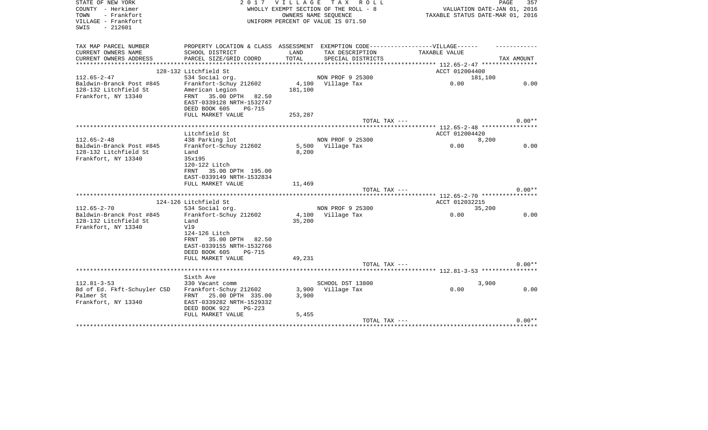| STATE OF NEW YORK                  | 2017                                                                              | VILLAGE TAX | R O L L                                                    |                                                          | 357<br>PAGE |
|------------------------------------|-----------------------------------------------------------------------------------|-------------|------------------------------------------------------------|----------------------------------------------------------|-------------|
| COUNTY - Herkimer<br>TOWN          |                                                                                   |             | WHOLLY EXEMPT SECTION OF THE ROLL - 8                      | VALUATION DATE-JAN 01, 2016                              |             |
| - Frankfort<br>VILLAGE - Frankfort |                                                                                   |             | OWNERS NAME SEQUENCE<br>UNIFORM PERCENT OF VALUE IS 071.50 | TAXABLE STATUS DATE-MAR 01, 2016                         |             |
| $-212601$<br>SWIS                  |                                                                                   |             |                                                            |                                                          |             |
|                                    |                                                                                   |             |                                                            |                                                          |             |
| TAX MAP PARCEL NUMBER              | PROPERTY LOCATION & CLASS ASSESSMENT EXEMPTION CODE-----------------VILLAGE------ |             |                                                            |                                                          |             |
| CURRENT OWNERS NAME                | SCHOOL DISTRICT                                                                   | LAND        | TAX DESCRIPTION                                            | TAXABLE VALUE                                            |             |
| CURRENT OWNERS ADDRESS             | PARCEL SIZE/GRID COORD                                                            | TOTAL       | SPECIAL DISTRICTS                                          | **************** 112.65-2-47 *****************           | TAX AMOUNT  |
|                                    | 128-132 Litchfield St                                                             |             |                                                            | ACCT 012004400                                           |             |
| $112.65 - 2 - 47$                  | 534 Social org.                                                                   |             | NON PROF 9 25300                                           | 181,100                                                  |             |
| Baldwin-Branck Post #845           | Frankfort-Schuy 212602                                                            |             | 4,100 Village Tax                                          | 0.00                                                     | 0.00        |
| 128-132 Litchfield St              | American Legion                                                                   | 181,100     |                                                            |                                                          |             |
| Frankfort, NY 13340                | FRNT 35.00 DPTH 82.50                                                             |             |                                                            |                                                          |             |
|                                    | EAST-0339128 NRTH-1532747                                                         |             |                                                            |                                                          |             |
|                                    | DEED BOOK 605<br><b>PG-715</b>                                                    |             |                                                            |                                                          |             |
|                                    | FULL MARKET VALUE                                                                 | 253,287     |                                                            |                                                          |             |
|                                    |                                                                                   |             | TOTAL TAX ---                                              |                                                          | $0.00**$    |
|                                    | Litchfield St                                                                     |             |                                                            | ******** 112.65-2-48 *****************<br>ACCT 012004420 |             |
| $112.65 - 2 - 48$                  | 438 Parking lot                                                                   |             | NON PROF 9 25300                                           | 8,200                                                    |             |
| Baldwin-Branck Post #845           | Frankfort-Schuy 212602                                                            |             | 5,500 Village Tax                                          | 0.00                                                     | 0.00        |
| 128-132 Litchfield St              | Land                                                                              | 8,200       |                                                            |                                                          |             |
| Frankfort, NY 13340                | 35x195                                                                            |             |                                                            |                                                          |             |
|                                    | 120-122 Litch                                                                     |             |                                                            |                                                          |             |
|                                    | 35.00 DPTH 195.00<br>FRNT                                                         |             |                                                            |                                                          |             |
|                                    | EAST-0339149 NRTH-1532834                                                         |             |                                                            |                                                          |             |
|                                    | FULL MARKET VALUE                                                                 | 11,469      |                                                            |                                                          |             |
|                                    | **********************************                                                |             | TOTAL TAX ---                                              |                                                          | $0.00**$    |
|                                    | 124-126 Litchfield St                                                             |             |                                                            | ******* 112.65-2-70 *****************<br>ACCT 012032215  |             |
| $112.65 - 2 - 70$                  | 534 Social org.                                                                   |             | NON PROF 9 25300                                           | 35,200                                                   |             |
| Baldwin-Branck Post #845           | Frankfort-Schuy 212602                                                            |             | 4,100 Village Tax                                          | 0.00                                                     | 0.00        |
| 128-132 Litchfield St              | Land                                                                              | 35,200      |                                                            |                                                          |             |
| Frankfort, NY 13340                | V19                                                                               |             |                                                            |                                                          |             |
|                                    | 124-126 Litch                                                                     |             |                                                            |                                                          |             |
|                                    | 35.00 DPTH<br>82.50<br>FRNT                                                       |             |                                                            |                                                          |             |
|                                    | EAST-0339155 NRTH-1532766                                                         |             |                                                            |                                                          |             |
|                                    | DEED BOOK 605<br><b>PG-715</b>                                                    |             |                                                            |                                                          |             |
|                                    | FULL MARKET VALUE                                                                 | 49,231      |                                                            |                                                          |             |
|                                    |                                                                                   |             | TOTAL TAX ---                                              |                                                          | $0.00**$    |
|                                    | Sixth Ave                                                                         |             |                                                            |                                                          |             |
| $112.81 - 3 - 53$                  | 330 Vacant comm                                                                   |             | SCHOOL DST 13800                                           | 3,900                                                    |             |
| Bd of Ed. Fkft-Schuyler CSD        | Frankfort-Schuy 212602                                                            |             | 3,900 Village Tax                                          | 0.00                                                     | 0.00        |
| Palmer St                          | FRNT 25.00 DPTH 335.00                                                            | 3,900       |                                                            |                                                          |             |
| Frankfort, NY 13340                | EAST-0339282 NRTH-1529332                                                         |             |                                                            |                                                          |             |
|                                    | DEED BOOK 922<br>$PG-223$                                                         |             |                                                            |                                                          |             |
|                                    | FULL MARKET VALUE                                                                 | 5,455       |                                                            |                                                          |             |
|                                    |                                                                                   |             | TOTAL TAX ---                                              |                                                          | $0.00**$    |
|                                    |                                                                                   |             |                                                            |                                                          |             |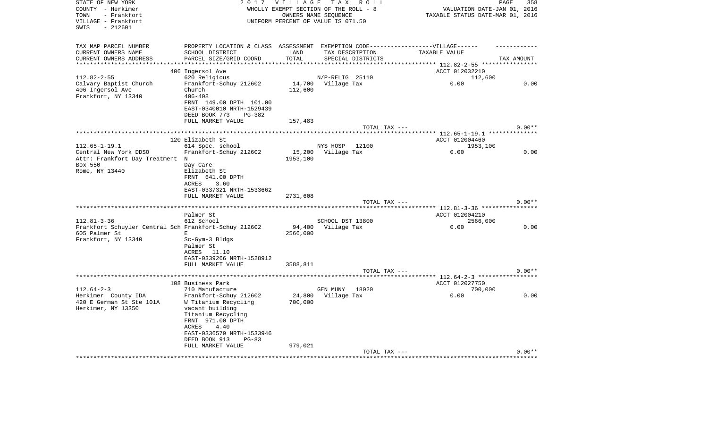| STATE OF NEW YORK<br>COUNTY - Herkimer<br>- Frankfort<br>TOWN<br>VILLAGE - Frankfort<br>$-212601$<br>SWIS | 2 0 1 7                                                                                                                                                                                                                       | <b>VILLAGE</b><br>WHOLLY EXEMPT SECTION OF THE ROLL - 8<br>UNIFORM PERCENT OF VALUE IS 071.50 | OWNERS NAME SEQUENCE    | TAX ROLL          | VALUATION DATE-JAN 01, 2016<br>TAXABLE STATUS DATE-MAR 01, 2016 | PAGE<br>358 |
|-----------------------------------------------------------------------------------------------------------|-------------------------------------------------------------------------------------------------------------------------------------------------------------------------------------------------------------------------------|-----------------------------------------------------------------------------------------------|-------------------------|-------------------|-----------------------------------------------------------------|-------------|
| TAX MAP PARCEL NUMBER<br>CURRENT OWNERS NAME<br>CURRENT OWNERS ADDRESS<br>**********************          | PROPERTY LOCATION & CLASS ASSESSMENT EXEMPTION CODE-----------------VILLAGE------<br>SCHOOL DISTRICT<br>PARCEL SIZE/GRID COORD                                                                                                | LAND<br>TOTAL                                                                                 | TAX DESCRIPTION         | SPECIAL DISTRICTS | TAXABLE VALUE                                                   | TAX AMOUNT  |
|                                                                                                           | 406 Ingersol Ave                                                                                                                                                                                                              |                                                                                               |                         |                   | ACCT 012032210                                                  |             |
| $112.82 - 2 - 55$                                                                                         | 620 Religious                                                                                                                                                                                                                 |                                                                                               | N/P-RELIG 25110         |                   | 112,600                                                         |             |
| Calvary Baptist Church<br>406 Ingersol Ave<br>Frankfort, NY 13340                                         | Frankfort-Schuy 212602<br>Church<br>$406 - 408$<br>FRNT 149.00 DPTH 101.00<br>EAST-0340010 NRTH-1529439<br>DEED BOOK 773<br>PG-382                                                                                            | 14,700<br>112,600                                                                             | Village Tax             |                   | 0.00                                                            | 0.00        |
|                                                                                                           | FULL MARKET VALUE                                                                                                                                                                                                             | 157,483                                                                                       |                         | TOTAL TAX ---     |                                                                 | $0.00**$    |
|                                                                                                           |                                                                                                                                                                                                                               |                                                                                               |                         |                   |                                                                 |             |
|                                                                                                           | 120 Elizabeth St                                                                                                                                                                                                              |                                                                                               |                         |                   | ACCT 012004460                                                  |             |
| $112.65 - 1 - 19.1$                                                                                       | 614 Spec. school                                                                                                                                                                                                              |                                                                                               | NYS HOSP                | 12100             | 1953,100                                                        |             |
| Central New York DDSO<br>Attn: Frankfort Day Treatment N<br>Box 550<br>Rome, NY 13440                     | Frankfort-Schuy 212602<br>Day Care<br>Elizabeth St<br>FRNT 641.00 DPTH<br>ACRES<br>3.60                                                                                                                                       | 15,200<br>1953,100                                                                            | Village Tax             |                   | 0.00                                                            | 0.00        |
|                                                                                                           | EAST-0337321 NRTH-1533662                                                                                                                                                                                                     |                                                                                               |                         |                   |                                                                 |             |
|                                                                                                           | FULL MARKET VALUE                                                                                                                                                                                                             | 2731,608                                                                                      |                         |                   |                                                                 |             |
|                                                                                                           |                                                                                                                                                                                                                               |                                                                                               |                         | TOTAL TAX ---     |                                                                 | $0.00**$    |
|                                                                                                           | Palmer St                                                                                                                                                                                                                     |                                                                                               |                         |                   | ACCT 012004210                                                  |             |
| $112.81 - 3 - 36$                                                                                         | 612 School                                                                                                                                                                                                                    |                                                                                               | SCHOOL DST 13800        |                   | 2566,000                                                        |             |
| Frankfort Schuyler Central Sch Frankfort-Schuy 212602                                                     |                                                                                                                                                                                                                               |                                                                                               | 94,400 Village Tax      |                   | 0.00                                                            | 0.00        |
| 605 Palmer St<br>Frankfort, NY 13340                                                                      | Е<br>Sc-Gym-3 Bldgs<br>Palmer St<br>ACRES 11.10<br>EAST-0339266 NRTH-1528912<br>FULL MARKET VALUE                                                                                                                             | 2566,000<br>3588,811                                                                          |                         |                   |                                                                 |             |
|                                                                                                           |                                                                                                                                                                                                                               |                                                                                               |                         | TOTAL TAX ---     |                                                                 | $0.00**$    |
|                                                                                                           |                                                                                                                                                                                                                               |                                                                                               |                         |                   | ***** 112.64-2-3 ***************                                |             |
|                                                                                                           | 108 Business Park                                                                                                                                                                                                             |                                                                                               |                         |                   | ACCT 012027750                                                  |             |
| $112.64 - 2 - 3$<br>Herkimer County IDA<br>420 E German St Ste 101A<br>Herkimer, NY 13350                 | 710 Manufacture<br>Frankfort-Schuy 212602<br>W Titanium Recycling<br>vacant building<br>Titanium Recycling<br>FRNT 971.00 DPTH<br>ACRES<br>4.40<br>EAST-0336579 NRTH-1533946<br>DEED BOOK 913<br>$PG-83$<br>FULL MARKET VALUE | 24,800<br>700,000<br>979,021                                                                  | GEN MUNY<br>Village Tax | 18020             | 700,000<br>0.00                                                 | 0.00        |
|                                                                                                           |                                                                                                                                                                                                                               |                                                                                               |                         | TOTAL TAX ---     |                                                                 | $0.00**$    |
|                                                                                                           |                                                                                                                                                                                                                               |                                                                                               |                         |                   |                                                                 |             |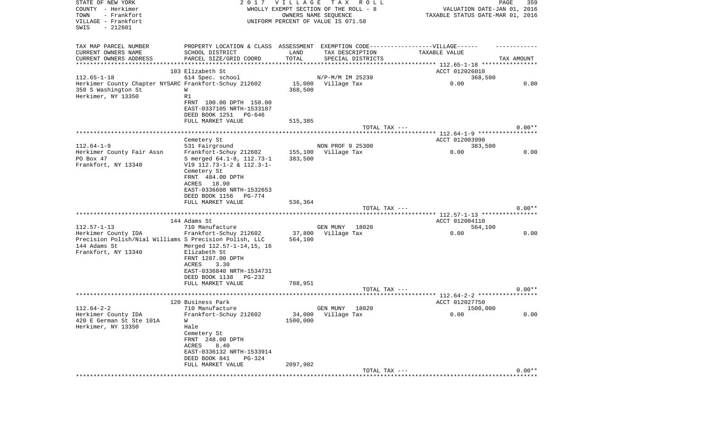| STATE OF NEW YORK<br>COUNTY - Herkimer<br>TOWN<br>- Frankfort<br>VILLAGE - Frankfort<br>SWIS<br>$-212601$ | 2017                                                                             | <b>VILLAGE</b> | TAX ROLL<br>WHOLLY EXEMPT SECTION OF THE ROLL - 8<br>OWNERS NAME SEQUENCE<br>UNIFORM PERCENT OF VALUE IS 071.50 | VALUATION DATE-JAN 01, 2016<br>TAXABLE STATUS DATE-MAR 01, 2016 | PAGE<br>359 |
|-----------------------------------------------------------------------------------------------------------|----------------------------------------------------------------------------------|----------------|-----------------------------------------------------------------------------------------------------------------|-----------------------------------------------------------------|-------------|
| TAX MAP PARCEL NUMBER                                                                                     | PROPERTY LOCATION & CLASS ASSESSMENT EXEMPTION CODE----------------VILLAGE------ |                |                                                                                                                 |                                                                 |             |
| CURRENT OWNERS NAME                                                                                       | SCHOOL DISTRICT                                                                  | LAND           | TAX DESCRIPTION                                                                                                 | TAXABLE VALUE                                                   |             |
| CURRENT OWNERS ADDRESS<br>**********************                                                          | PARCEL SIZE/GRID COORD<br>*********************                                  | TOTAL          | SPECIAL DISTRICTS                                                                                               |                                                                 | TAX AMOUNT  |
|                                                                                                           | 103 Elizabeth St                                                                 |                |                                                                                                                 | ACCT 012026010                                                  |             |
| $112.65 - 1 - 18$                                                                                         | 614 Spec. school                                                                 |                | N/P-M/M IM 25230                                                                                                | 368,500                                                         |             |
| Herkimer County Chapter NYSARC Frankfort-Schuy 212602                                                     |                                                                                  |                | 15,000 Village Tax                                                                                              | 0.00                                                            | 0.00        |
| 350 S Washington St                                                                                       | W                                                                                | 368,500        |                                                                                                                 |                                                                 |             |
| Herkimer, NY 13350                                                                                        | R1                                                                               |                |                                                                                                                 |                                                                 |             |
|                                                                                                           | FRNT 100.00 DPTH 150.00                                                          |                |                                                                                                                 |                                                                 |             |
|                                                                                                           | EAST-0337105 NRTH-1533187<br>DEED BOOK 1251 PG-646                               |                |                                                                                                                 |                                                                 |             |
|                                                                                                           | FULL MARKET VALUE                                                                | 515,385        |                                                                                                                 |                                                                 |             |
|                                                                                                           |                                                                                  |                | TOTAL TAX ---                                                                                                   |                                                                 | $0.00**$    |
|                                                                                                           |                                                                                  |                |                                                                                                                 |                                                                 |             |
|                                                                                                           | Cemetery St                                                                      |                |                                                                                                                 | ACCT 012003990                                                  |             |
| $112.64 - 1 - 9$                                                                                          | 531 Fairground                                                                   |                | NON PROF 9 25300                                                                                                | 383,500                                                         |             |
| Herkimer County Fair Assn<br>PO Box 47                                                                    | Frankfort-Schuy 212602                                                           | 155,100        | Village Tax                                                                                                     | 0.00                                                            | 0.00        |
| Frankfort, NY 13340                                                                                       | S merged 64.1-8, 112.73-1<br>V19 112.73-1-2 & 112.3-1-                           | 383,500        |                                                                                                                 |                                                                 |             |
|                                                                                                           | Cemetery St                                                                      |                |                                                                                                                 |                                                                 |             |
|                                                                                                           | FRNT 484.00 DPTH                                                                 |                |                                                                                                                 |                                                                 |             |
|                                                                                                           | ACRES 18.90                                                                      |                |                                                                                                                 |                                                                 |             |
|                                                                                                           | EAST-0336608 NRTH-1532653                                                        |                |                                                                                                                 |                                                                 |             |
|                                                                                                           | DEED BOOK 1156<br>PG-774                                                         |                |                                                                                                                 |                                                                 |             |
|                                                                                                           | FULL MARKET VALUE                                                                | 536,364        | TOTAL TAX ---                                                                                                   |                                                                 | $0.00**$    |
|                                                                                                           |                                                                                  |                |                                                                                                                 |                                                                 |             |
|                                                                                                           | 144 Adams St                                                                     |                |                                                                                                                 | ACCT 012004110                                                  |             |
| $112.57 - 1 - 13$                                                                                         | 710 Manufacture                                                                  |                | GEN MUNY<br>18020                                                                                               | 564,100                                                         |             |
| Herkimer County IDA                                                                                       | Frankfort-Schuy 212602                                                           | 37,800         | Village Tax                                                                                                     | 0.00                                                            | 0.00        |
| Precision Polish/Nial Williams S Precision Polish, LLC                                                    |                                                                                  | 564,100        |                                                                                                                 |                                                                 |             |
| 144 Adams St<br>Frankfort, NY 13340                                                                       | Merged 112.57-1-14,15, 16<br>Elizabeth St                                        |                |                                                                                                                 |                                                                 |             |
|                                                                                                           | FRNT 1287.00 DPTH                                                                |                |                                                                                                                 |                                                                 |             |
|                                                                                                           | ACRES<br>3.30                                                                    |                |                                                                                                                 |                                                                 |             |
|                                                                                                           | EAST-0336840 NRTH-1534731                                                        |                |                                                                                                                 |                                                                 |             |
|                                                                                                           | DEED BOOK 1138<br>PG-232                                                         |                |                                                                                                                 |                                                                 |             |
|                                                                                                           | FULL MARKET VALUE                                                                | 788,951        |                                                                                                                 |                                                                 |             |
|                                                                                                           |                                                                                  |                | TOTAL TAX ---                                                                                                   |                                                                 | $0.00**$    |
|                                                                                                           | 120 Business Park                                                                |                |                                                                                                                 | ACCT 012027750                                                  |             |
| $112.64 - 2 - 2$                                                                                          | 710 Manufacture                                                                  |                | 18020<br>GEN MUNY                                                                                               | 1500,000                                                        |             |
| Herkimer County IDA                                                                                       | Frankfort-Schuy 212602                                                           |                | 34,000 Village Tax                                                                                              | 0.00                                                            | 0.00        |
| 420 E German St Ste 101A                                                                                  | W                                                                                | 1500,000       |                                                                                                                 |                                                                 |             |
| Herkimer, NY 13350                                                                                        | Hale                                                                             |                |                                                                                                                 |                                                                 |             |
|                                                                                                           | Cemetery St<br>FRNT 248.00 DPTH                                                  |                |                                                                                                                 |                                                                 |             |
|                                                                                                           | ACRES<br>8.40                                                                    |                |                                                                                                                 |                                                                 |             |
|                                                                                                           | EAST-0336132 NRTH-1533914                                                        |                |                                                                                                                 |                                                                 |             |
|                                                                                                           | DEED BOOK 841<br>PG-324                                                          |                |                                                                                                                 |                                                                 |             |
|                                                                                                           | FULL MARKET VALUE                                                                | 2097,902       |                                                                                                                 |                                                                 |             |
|                                                                                                           |                                                                                  |                | TOTAL TAX ---                                                                                                   |                                                                 | $0.00**$    |
|                                                                                                           |                                                                                  |                |                                                                                                                 |                                                                 |             |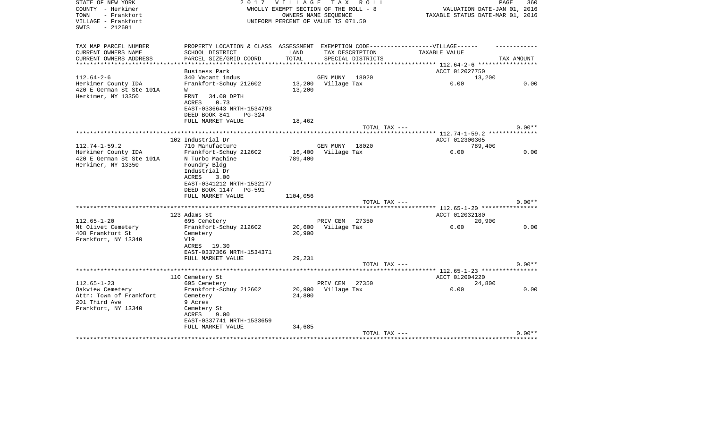| STATE OF NEW YORK        | 2 0 1 7                                                                           | VILLAGE                               |             | TAX ROLL          |                                            | 360<br>PAGE                 |
|--------------------------|-----------------------------------------------------------------------------------|---------------------------------------|-------------|-------------------|--------------------------------------------|-----------------------------|
| COUNTY - Herkimer        |                                                                                   | WHOLLY EXEMPT SECTION OF THE ROLL - 8 |             |                   |                                            | VALUATION DATE-JAN 01, 2016 |
| - Frankfort<br>TOWN      |                                                                                   | OWNERS NAME SEOUENCE                  |             |                   | TAXABLE STATUS DATE-MAR 01, 2016           |                             |
| VILLAGE - Frankfort      |                                                                                   | UNIFORM PERCENT OF VALUE IS 071.50    |             |                   |                                            |                             |
| $-212601$<br>SWIS        |                                                                                   |                                       |             |                   |                                            |                             |
|                          |                                                                                   |                                       |             |                   |                                            |                             |
| TAX MAP PARCEL NUMBER    | PROPERTY LOCATION & CLASS ASSESSMENT EXEMPTION CODE-----------------VILLAGE------ |                                       |             |                   |                                            |                             |
| CURRENT OWNERS NAME      | SCHOOL DISTRICT                                                                   | LAND                                  |             | TAX DESCRIPTION   | TAXABLE VALUE                              |                             |
| CURRENT OWNERS ADDRESS   | PARCEL SIZE/GRID COORD                                                            | TOTAL                                 |             | SPECIAL DISTRICTS |                                            | TAX AMOUNT                  |
| **********************   | *************************                                                         | **********************************    |             |                   | ************ 112.64-2-6 ****************** |                             |
|                          | Business Park                                                                     |                                       |             |                   | ACCT 012027750                             |                             |
| $112.64 - 2 - 6$         | 340 Vacant indus                                                                  |                                       | GEN MUNY    | 18020             | 13,200                                     |                             |
| Herkimer County IDA      | Frankfort-Schuy 212602                                                            | 13,200                                | Village Tax |                   | 0.00                                       | 0.00                        |
| 420 E German St Ste 101A | W                                                                                 | 13,200                                |             |                   |                                            |                             |
| Herkimer, NY 13350       | 34.00 DPTH<br>FRNT                                                                |                                       |             |                   |                                            |                             |
|                          | ACRES<br>0.73                                                                     |                                       |             |                   |                                            |                             |
|                          | EAST-0336643 NRTH-1534793                                                         |                                       |             |                   |                                            |                             |
|                          | DEED BOOK 841<br><b>PG-324</b>                                                    |                                       |             |                   |                                            |                             |
|                          | FULL MARKET VALUE                                                                 | 18,462                                |             |                   |                                            |                             |
|                          |                                                                                   |                                       |             | TOTAL TAX ---     |                                            | $0.00**$                    |
|                          |                                                                                   |                                       |             |                   |                                            |                             |
|                          | 102 Industrial Dr                                                                 |                                       |             |                   | ACCT 012300305                             |                             |
| $112.74 - 1 - 59.2$      | 710 Manufacture                                                                   |                                       | GEN MUNY    | 18020             | 789,400                                    |                             |
| Herkimer County IDA      | Frankfort-Schuy 212602                                                            | 16,400                                | Village Tax |                   | 0.00                                       | 0.00                        |
| 420 E German St Ste 101A | N Turbo Machine                                                                   | 789,400                               |             |                   |                                            |                             |
| Herkimer, NY 13350       | Foundry Bldg                                                                      |                                       |             |                   |                                            |                             |
|                          | Industrial Dr                                                                     |                                       |             |                   |                                            |                             |
|                          | <b>ACRES</b><br>3.00                                                              |                                       |             |                   |                                            |                             |
|                          | EAST-0341212 NRTH-1532177                                                         |                                       |             |                   |                                            |                             |
|                          | DEED BOOK 1147<br>PG-591                                                          |                                       |             |                   |                                            |                             |
|                          | FULL MARKET VALUE                                                                 | 1104,056                              |             |                   |                                            |                             |
|                          |                                                                                   |                                       |             | TOTAL TAX ---     |                                            | $0.00**$                    |
|                          |                                                                                   |                                       |             |                   |                                            |                             |
|                          | 123 Adams St                                                                      |                                       |             |                   | ACCT 012032180                             |                             |
| $112.65 - 1 - 20$        | 695 Cemetery                                                                      |                                       | PRIV CEM    | 27350             | 20,900                                     |                             |
| Mt Olivet Cemetery       | Frankfort-Schuy 212602                                                            | 20,600                                | Village Tax |                   | 0.00                                       | 0.00                        |
| 408 Frankfort St         | Cemetery                                                                          | 20,900                                |             |                   |                                            |                             |
| Frankfort, NY 13340      | V19                                                                               |                                       |             |                   |                                            |                             |
|                          | ACRES 19.30                                                                       |                                       |             |                   |                                            |                             |
|                          | EAST-0337366 NRTH-1534371                                                         |                                       |             |                   |                                            |                             |
|                          | FULL MARKET VALUE                                                                 | 29,231                                |             |                   |                                            |                             |
|                          |                                                                                   |                                       |             | TOTAL TAX ---     |                                            | $0.00**$                    |
|                          |                                                                                   |                                       |             |                   | ****** 112.65-1-23 *****************       |                             |
|                          | 110 Cemetery St                                                                   |                                       |             |                   | ACCT 012004220                             |                             |
| $112.65 - 1 - 23$        | 695 Cemetery                                                                      |                                       | PRIV CEM    | 27350             | 24,800                                     |                             |
| Oakview Cemetery         | Frankfort-Schuy 212602                                                            | 20,900                                | Village Tax |                   | 0.00                                       | 0.00                        |
| Attn: Town of Frankfort  | Cemetery                                                                          | 24,800                                |             |                   |                                            |                             |
| 201 Third Ave            | 9 Acres                                                                           |                                       |             |                   |                                            |                             |
| Frankfort, NY 13340      | Cemetery St                                                                       |                                       |             |                   |                                            |                             |
|                          | ACRES<br>9.00                                                                     |                                       |             |                   |                                            |                             |
|                          | EAST-0337741 NRTH-1533659                                                         |                                       |             |                   |                                            |                             |
|                          | FULL MARKET VALUE                                                                 | 34,685                                |             |                   |                                            |                             |
|                          |                                                                                   |                                       |             | TOTAL TAX ---     |                                            | $0.00**$                    |
|                          |                                                                                   |                                       |             |                   |                                            |                             |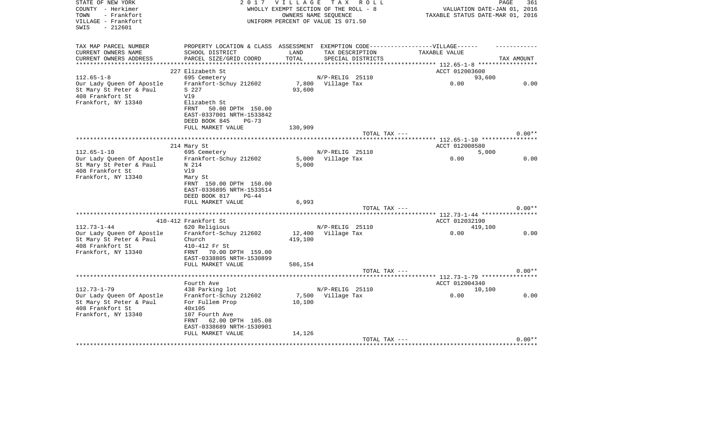| STATE OF NEW YORK<br>COUNTY - Herkimer<br>- Frankfort<br>TOWN<br>VILLAGE - Frankfort<br>- 212601<br>SWIS | 2017                                                                              | <b>VILLAGE</b><br>WHOLLY EXEMPT SECTION OF THE ROLL - 8<br>UNIFORM PERCENT OF VALUE IS 071.50 | OWNERS NAME SEQUENCE                 | TAX ROLL      | TAXABLE STATUS DATE-MAR 01, 2016 | PAGE<br>VALUATION DATE-JAN 01, 2016 | 361      |
|----------------------------------------------------------------------------------------------------------|-----------------------------------------------------------------------------------|-----------------------------------------------------------------------------------------------|--------------------------------------|---------------|----------------------------------|-------------------------------------|----------|
| TAX MAP PARCEL NUMBER                                                                                    | PROPERTY LOCATION & CLASS ASSESSMENT EXEMPTION CODE-----------------VILLAGE------ |                                                                                               |                                      |               |                                  |                                     |          |
| CURRENT OWNERS NAME<br>CURRENT OWNERS ADDRESS                                                            | SCHOOL DISTRICT<br>PARCEL SIZE/GRID COORD                                         | LAND<br>TOTAL                                                                                 | TAX DESCRIPTION<br>SPECIAL DISTRICTS |               | TAXABLE VALUE                    | TAX AMOUNT                          |          |
|                                                                                                          |                                                                                   |                                                                                               |                                      |               |                                  |                                     |          |
|                                                                                                          | 227 Elizabeth St                                                                  |                                                                                               |                                      |               | ACCT 012003600                   |                                     |          |
| $112.65 - 1 - 8$                                                                                         | 695 Cemetery                                                                      |                                                                                               | N/P-RELIG 25110                      |               |                                  | 93,600                              |          |
| Our Lady Queen Of Apostle                                                                                | Frankfort-Schuy 212602                                                            |                                                                                               | 7,800 Village Tax                    |               | 0.00                             |                                     | 0.00     |
| St Mary St Peter & Paul                                                                                  | S 227                                                                             | 93,600                                                                                        |                                      |               |                                  |                                     |          |
| 408 Frankfort St                                                                                         | V19                                                                               |                                                                                               |                                      |               |                                  |                                     |          |
| Frankfort, NY 13340                                                                                      | Elizabeth St                                                                      |                                                                                               |                                      |               |                                  |                                     |          |
|                                                                                                          | <b>FRNT</b><br>50.00 DPTH 150.00                                                  |                                                                                               |                                      |               |                                  |                                     |          |
|                                                                                                          | EAST-0337001 NRTH-1533842                                                         |                                                                                               |                                      |               |                                  |                                     |          |
|                                                                                                          | DEED BOOK 845<br>$PG-73$                                                          |                                                                                               |                                      |               |                                  |                                     |          |
|                                                                                                          | FULL MARKET VALUE                                                                 | 130,909                                                                                       |                                      |               |                                  |                                     | $0.00**$ |
|                                                                                                          |                                                                                   |                                                                                               |                                      | TOTAL TAX --- |                                  |                                     |          |
|                                                                                                          | 214 Mary St                                                                       |                                                                                               |                                      |               | ACCT 012008580                   |                                     |          |
| $112.65 - 1 - 10$                                                                                        | 695 Cemetery                                                                      |                                                                                               | N/P-RELIG 25110                      |               |                                  | 5,000                               |          |
| Our Lady Queen Of Apostle                                                                                | Frankfort-Schuy 212602                                                            |                                                                                               | 5,000 Village Tax                    |               | 0.00                             |                                     | 0.00     |
| St Mary St Peter & Paul                                                                                  | N 214                                                                             | 5,000                                                                                         |                                      |               |                                  |                                     |          |
| 408 Frankfort St                                                                                         | V19                                                                               |                                                                                               |                                      |               |                                  |                                     |          |
| Frankfort, NY 13340                                                                                      | Mary St                                                                           |                                                                                               |                                      |               |                                  |                                     |          |
|                                                                                                          | FRNT 150.00 DPTH 150.00                                                           |                                                                                               |                                      |               |                                  |                                     |          |
|                                                                                                          | EAST-0336895 NRTH-1533514                                                         |                                                                                               |                                      |               |                                  |                                     |          |
|                                                                                                          | DEED BOOK 817<br>$PG-44$                                                          |                                                                                               |                                      |               |                                  |                                     |          |
|                                                                                                          | FULL MARKET VALUE                                                                 | 6,993                                                                                         |                                      |               |                                  |                                     |          |
|                                                                                                          |                                                                                   |                                                                                               |                                      | TOTAL TAX --- |                                  |                                     | $0.00**$ |
|                                                                                                          |                                                                                   |                                                                                               |                                      |               |                                  |                                     |          |
| $112.73 - 1 - 44$                                                                                        | 410-412 Frankfort St                                                              |                                                                                               | N/P-RELIG 25110                      |               | ACCT 012032190                   |                                     |          |
| Our Lady Oueen Of Apostle                                                                                | 620 Religious<br>Frankfort-Schuy 212602                                           | 12,400                                                                                        | Village Tax                          |               | 0.00                             | 419,100                             | 0.00     |
| St Mary St Peter & Paul                                                                                  | Church                                                                            | 419,100                                                                                       |                                      |               |                                  |                                     |          |
| 408 Frankfort St                                                                                         | 410-412 Fr St                                                                     |                                                                                               |                                      |               |                                  |                                     |          |
| Frankfort, NY 13340                                                                                      | FRNT 70.00 DPTH 159.00                                                            |                                                                                               |                                      |               |                                  |                                     |          |
|                                                                                                          | EAST-0338805 NRTH-1530899                                                         |                                                                                               |                                      |               |                                  |                                     |          |
|                                                                                                          | FULL MARKET VALUE                                                                 | 586,154                                                                                       |                                      |               |                                  |                                     |          |
|                                                                                                          |                                                                                   |                                                                                               |                                      | TOTAL TAX --- |                                  |                                     | $0.00**$ |
|                                                                                                          |                                                                                   |                                                                                               |                                      |               |                                  |                                     |          |
|                                                                                                          | Fourth Ave                                                                        |                                                                                               |                                      |               | ACCT 012004340                   |                                     |          |
| $112.73 - 1 - 79$                                                                                        | 438 Parking lot                                                                   |                                                                                               | N/P-RELIG 25110                      |               |                                  | 10,100                              |          |
| Our Lady Queen Of Apostle                                                                                | Frankfort-Schuy 212602                                                            | 7,500                                                                                         | Village Tax                          |               | 0.00                             |                                     | 0.00     |
| St Mary St Peter & Paul                                                                                  | For Fullem Prop                                                                   | 10,100                                                                                        |                                      |               |                                  |                                     |          |
| 408 Frankfort St                                                                                         | 40x105                                                                            |                                                                                               |                                      |               |                                  |                                     |          |
| Frankfort, NY 13340                                                                                      | 107 Fourth Ave                                                                    |                                                                                               |                                      |               |                                  |                                     |          |
|                                                                                                          | 62.00 DPTH 105.08<br>FRNT<br>EAST-0338689 NRTH-1530901                            |                                                                                               |                                      |               |                                  |                                     |          |
|                                                                                                          | FULL MARKET VALUE                                                                 | 14,126                                                                                        |                                      |               |                                  |                                     |          |
|                                                                                                          |                                                                                   |                                                                                               |                                      | TOTAL TAX --- |                                  |                                     | $0.00**$ |
|                                                                                                          |                                                                                   |                                                                                               |                                      |               |                                  |                                     |          |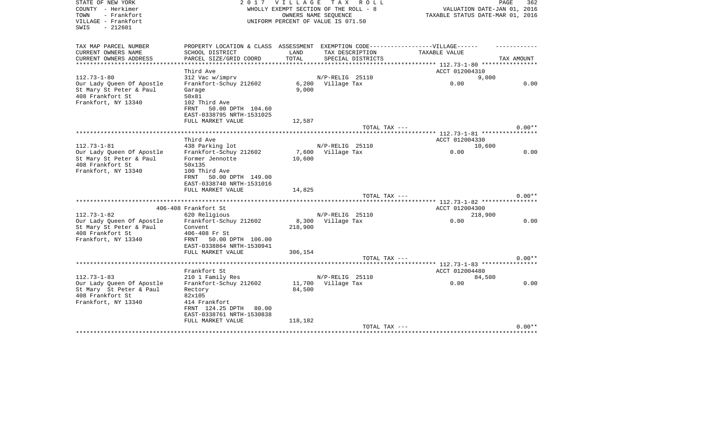| STATE OF NEW YORK<br>COUNTY - Herkimer<br>- Frankfort<br>TOWN<br>VILLAGE - Frankfort | 2 0 1 7                               | <b>VILLAGE</b> | TAX ROLL<br>WHOLLY EXEMPT SECTION OF THE ROLL - 8<br>OWNERS NAME SEOUENCE<br>UNIFORM PERCENT OF VALUE IS 071.50 | TAXABLE STATUS DATE-MAR 01, 2016              | PAGE<br>362<br>VALUATION DATE-JAN 01, 2016 |
|--------------------------------------------------------------------------------------|---------------------------------------|----------------|-----------------------------------------------------------------------------------------------------------------|-----------------------------------------------|--------------------------------------------|
| $-212601$<br>SWIS                                                                    |                                       |                |                                                                                                                 |                                               |                                            |
| TAX MAP PARCEL NUMBER                                                                | PROPERTY LOCATION & CLASS ASSESSMENT  |                |                                                                                                                 | EXEMPTION CODE------------------VILLAGE------ |                                            |
| CURRENT OWNERS NAME                                                                  | SCHOOL DISTRICT                       | LAND           | TAX DESCRIPTION                                                                                                 | TAXABLE VALUE                                 |                                            |
| CURRENT OWNERS ADDRESS                                                               | PARCEL SIZE/GRID COORD                | TOTAL          | SPECIAL DISTRICTS                                                                                               | ********** 112.73-1-80 *****************      | TAX AMOUNT                                 |
|                                                                                      | Third Ave                             |                |                                                                                                                 | ACCT 012004310                                |                                            |
| $112.73 - 1 - 80$                                                                    | 312 Vac w/imprv                       |                | N/P-RELIG 25110                                                                                                 |                                               | 9,000                                      |
| Our Lady Queen Of Apostle                                                            | Frankfort-Schuy 212602                |                | 6,200 Village Tax                                                                                               | 0.00                                          | 0.00                                       |
| St Mary St Peter & Paul                                                              | Garage                                | 9.000          |                                                                                                                 |                                               |                                            |
| 408 Frankfort St                                                                     | 50x81                                 |                |                                                                                                                 |                                               |                                            |
| Frankfort, NY 13340                                                                  | 102 Third Ave                         |                |                                                                                                                 |                                               |                                            |
|                                                                                      | FRNT<br>50.00 DPTH 104.60             |                |                                                                                                                 |                                               |                                            |
|                                                                                      | EAST-0338795 NRTH-1531025             |                |                                                                                                                 |                                               |                                            |
|                                                                                      | FULL MARKET VALUE                     | 12,587         |                                                                                                                 |                                               |                                            |
| **************************                                                           |                                       |                | TOTAL TAX ---                                                                                                   |                                               | $0.00**$                                   |
|                                                                                      | Third Ave                             |                |                                                                                                                 | ACCT 012004330                                |                                            |
| $112.73 - 1 - 81$                                                                    | 438 Parking lot                       |                | N/P-RELIG 25110                                                                                                 |                                               | 10,600                                     |
| Our Lady Queen Of Apostle                                                            | Frankfort-Schuy 212602                | 7,600          | Village Tax                                                                                                     | 0.00                                          | 0.00                                       |
| St Mary St Peter & Paul                                                              | Former Jennotte                       | 10,600         |                                                                                                                 |                                               |                                            |
| 408 Frankfort St                                                                     | 50x135                                |                |                                                                                                                 |                                               |                                            |
| Frankfort, NY 13340                                                                  | 100 Third Ave                         |                |                                                                                                                 |                                               |                                            |
|                                                                                      | 50.00 DPTH 149.00<br>FRNT             |                |                                                                                                                 |                                               |                                            |
|                                                                                      | EAST-0338740 NRTH-1531016             |                |                                                                                                                 |                                               |                                            |
|                                                                                      | FULL MARKET VALUE                     | 14,825         |                                                                                                                 |                                               |                                            |
|                                                                                      |                                       |                | TOTAL TAX ---                                                                                                   |                                               | $0.00**$                                   |
|                                                                                      |                                       |                |                                                                                                                 | *** 112.73-1-82 *****                         |                                            |
| $112.73 - 1 - 82$                                                                    | 406-408 Frankfort St<br>620 Religious |                | N/P-RELIG 25110                                                                                                 | ACCT 012004300<br>218,900                     |                                            |
| Our Lady Queen Of Apostle                                                            | Frankfort-Schuy 212602                | 8,300          | Village Tax                                                                                                     | 0.00                                          | 0.00                                       |
| St Mary St Peter & Paul                                                              | Convent                               | 218,900        |                                                                                                                 |                                               |                                            |
| 408 Frankfort St                                                                     | 406-408 Fr St                         |                |                                                                                                                 |                                               |                                            |
| Frankfort, NY 13340                                                                  | FRNT 50.00 DPTH 106.00                |                |                                                                                                                 |                                               |                                            |
|                                                                                      | EAST-0338864 NRTH-1530941             |                |                                                                                                                 |                                               |                                            |
|                                                                                      | FULL MARKET VALUE                     | 306,154        |                                                                                                                 |                                               |                                            |
|                                                                                      |                                       |                | TOTAL TAX ---                                                                                                   |                                               | $0.00**$                                   |
|                                                                                      |                                       |                |                                                                                                                 | $***$ 112.73-1-83 *****                       |                                            |
|                                                                                      | Frankfort St                          |                |                                                                                                                 | ACCT 012004480                                |                                            |
| $112.73 - 1 - 83$                                                                    | 210 1 Family Res                      |                | N/P-RELIG 25110                                                                                                 |                                               | 84,500                                     |
| Our Lady Queen Of Apostle                                                            | Frankfort-Schuy 212602                | 11,700         | Village Tax                                                                                                     | 0.00                                          | 0.00                                       |
| St Mary St Peter & Paul<br>408 Frankfort St                                          | Rectory                               | 84,500         |                                                                                                                 |                                               |                                            |
| Frankfort, NY 13340                                                                  | 82x105<br>414 Frankfort               |                |                                                                                                                 |                                               |                                            |
|                                                                                      | FRNT 124.25 DPTH<br>80.00             |                |                                                                                                                 |                                               |                                            |
|                                                                                      | EAST-0338761 NRTH-1530838             |                |                                                                                                                 |                                               |                                            |
|                                                                                      | FULL MARKET VALUE                     | 118,182        |                                                                                                                 |                                               |                                            |
|                                                                                      |                                       |                | TOTAL TAX ---                                                                                                   |                                               | $0.00**$                                   |
|                                                                                      |                                       |                |                                                                                                                 |                                               |                                            |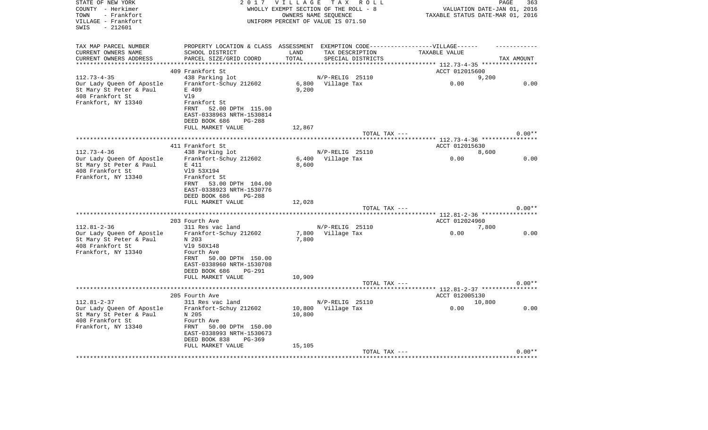| STATE OF NEW YORK<br>COUNTY - Herkimer                         | 2 0 1 7                                                                           | <b>VILLAGE</b><br>WHOLLY EXEMPT SECTION OF THE ROLL - 8 |                      | TAX ROLL          |                                          | PAGE<br>VALUATION DATE-JAN 01, 2016 | 363      |
|----------------------------------------------------------------|-----------------------------------------------------------------------------------|---------------------------------------------------------|----------------------|-------------------|------------------------------------------|-------------------------------------|----------|
| - Frankfort<br>TOWN<br>VILLAGE - Frankfort<br>SWIS<br>- 212601 |                                                                                   | UNIFORM PERCENT OF VALUE IS 071.50                      | OWNERS NAME SEQUENCE |                   | TAXABLE STATUS DATE-MAR 01, 2016         |                                     |          |
| TAX MAP PARCEL NUMBER                                          | PROPERTY LOCATION & CLASS ASSESSMENT EXEMPTION CODE-----------------VILLAGE------ |                                                         |                      |                   |                                          |                                     |          |
| CURRENT OWNERS NAME                                            | SCHOOL DISTRICT                                                                   | LAND                                                    | TAX DESCRIPTION      |                   | TAXABLE VALUE                            |                                     |          |
| CURRENT OWNERS ADDRESS                                         | PARCEL SIZE/GRID COORD                                                            | TOTAL                                                   |                      | SPECIAL DISTRICTS |                                          | TAX AMOUNT                          |          |
| **********************                                         |                                                                                   |                                                         |                      |                   |                                          |                                     |          |
| $112.73 - 4 - 35$                                              | 409 Frankfort St<br>438 Parking lot                                               |                                                         | N/P-RELIG 25110      |                   | ACCT 012015600                           | 9,200                               |          |
| Our Lady Queen Of Apostle                                      | Frankfort-Schuy 212602                                                            |                                                         | 6,800 Village Tax    |                   | 0.00                                     |                                     | 0.00     |
| St Mary St Peter & Paul                                        | E 409                                                                             | 9,200                                                   |                      |                   |                                          |                                     |          |
| 408 Frankfort St                                               | V19                                                                               |                                                         |                      |                   |                                          |                                     |          |
| Frankfort, NY 13340                                            | Frankfort St                                                                      |                                                         |                      |                   |                                          |                                     |          |
|                                                                | 52.00 DPTH 115.00<br>FRNT                                                         |                                                         |                      |                   |                                          |                                     |          |
|                                                                | EAST-0338963 NRTH-1530814                                                         |                                                         |                      |                   |                                          |                                     |          |
|                                                                | DEED BOOK 686<br><b>PG-288</b>                                                    |                                                         |                      |                   |                                          |                                     |          |
|                                                                | FULL MARKET VALUE                                                                 | 12,867                                                  |                      | TOTAL TAX ---     |                                          |                                     | $0.00**$ |
|                                                                |                                                                                   |                                                         |                      |                   |                                          |                                     |          |
|                                                                | 411 Frankfort St                                                                  |                                                         |                      |                   | ACCT 012015630                           |                                     |          |
| $112.73 - 4 - 36$                                              | 438 Parking lot                                                                   |                                                         | N/P-RELIG 25110      |                   |                                          | 8,600                               |          |
| Our Lady Queen Of Apostle                                      | Frankfort-Schuy 212602                                                            |                                                         | 6,400 Village Tax    |                   | 0.00                                     |                                     | 0.00     |
| St Mary St Peter & Paul                                        | E 411                                                                             | 8,600                                                   |                      |                   |                                          |                                     |          |
| 408 Frankfort St                                               | V19 53X194                                                                        |                                                         |                      |                   |                                          |                                     |          |
| Frankfort, NY 13340                                            | Frankfort St<br>53.00 DPTH 104.00<br>FRNT                                         |                                                         |                      |                   |                                          |                                     |          |
|                                                                | EAST-0338923 NRTH-1530776                                                         |                                                         |                      |                   |                                          |                                     |          |
|                                                                | DEED BOOK 686<br>$PG-288$                                                         |                                                         |                      |                   |                                          |                                     |          |
|                                                                | FULL MARKET VALUE                                                                 | 12,028                                                  |                      |                   |                                          |                                     |          |
|                                                                |                                                                                   |                                                         |                      | TOTAL TAX ---     |                                          |                                     | $0.00**$ |
|                                                                |                                                                                   |                                                         |                      |                   | ********** 112.81-2-36 ***************** |                                     |          |
| $112.81 - 2 - 36$                                              | 203 Fourth Ave<br>311 Res vac land                                                |                                                         | N/P-RELIG 25110      |                   | ACCT 012024960                           | 7,800                               |          |
| Our Lady Queen Of Apostle                                      | Frankfort-Schuy 212602                                                            |                                                         | 7,800 Village Tax    |                   | 0.00                                     |                                     | 0.00     |
| St Mary St Peter & Paul                                        | N 203                                                                             | 7,800                                                   |                      |                   |                                          |                                     |          |
| 408 Frankfort St                                               | V19 50X148                                                                        |                                                         |                      |                   |                                          |                                     |          |
| Frankfort, NY 13340                                            | Fourth Ave                                                                        |                                                         |                      |                   |                                          |                                     |          |
|                                                                | 50.00 DPTH 150.00<br>FRNT                                                         |                                                         |                      |                   |                                          |                                     |          |
|                                                                | EAST-0338960 NRTH-1530708                                                         |                                                         |                      |                   |                                          |                                     |          |
|                                                                | DEED BOOK 686<br><b>PG-291</b><br>FULL MARKET VALUE                               | 10,909                                                  |                      |                   |                                          |                                     |          |
|                                                                |                                                                                   |                                                         |                      | TOTAL TAX ---     |                                          |                                     | $0.00**$ |
|                                                                |                                                                                   |                                                         |                      |                   |                                          |                                     |          |
|                                                                | 205 Fourth Ave                                                                    |                                                         |                      |                   | ACCT 012005130                           |                                     |          |
| $112.81 - 2 - 37$                                              | 311 Res vac land                                                                  |                                                         | N/P-RELIG 25110      |                   |                                          | 10,800                              |          |
| Our Lady Queen Of Apostle                                      | Frankfort-Schuy 212602                                                            | 10,800                                                  | Village Tax          |                   | 0.00                                     |                                     | 0.00     |
| St Mary St Peter & Paul                                        | N 205                                                                             | 10,800                                                  |                      |                   |                                          |                                     |          |
| 408 Frankfort St<br>Frankfort, NY 13340                        | Fourth Ave<br>FRNT<br>50.00 DPTH 150.00                                           |                                                         |                      |                   |                                          |                                     |          |
|                                                                | EAST-0338993 NRTH-1530673                                                         |                                                         |                      |                   |                                          |                                     |          |
|                                                                | DEED BOOK 838<br>$PG-369$                                                         |                                                         |                      |                   |                                          |                                     |          |
|                                                                | FULL MARKET VALUE                                                                 | 15,105                                                  |                      |                   |                                          |                                     |          |
|                                                                |                                                                                   |                                                         |                      | TOTAL TAX ---     |                                          |                                     | $0.00**$ |
|                                                                |                                                                                   |                                                         |                      |                   |                                          |                                     |          |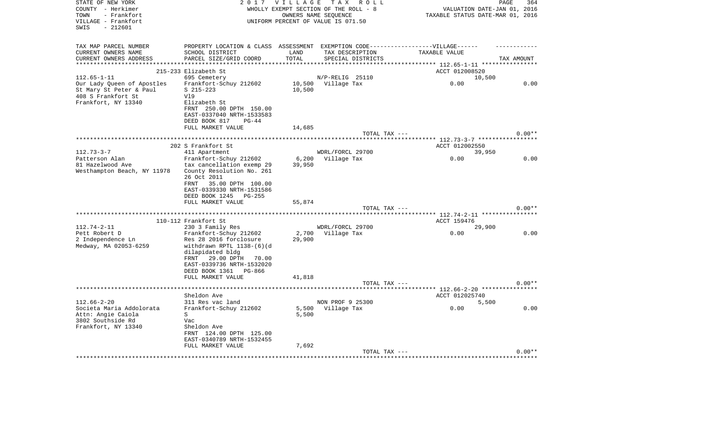| STATE OF NEW YORK           | 2017                                                                              | V I L L A G E | T A X<br>R O L L                      |                                          | PAGE<br>364                      |
|-----------------------------|-----------------------------------------------------------------------------------|---------------|---------------------------------------|------------------------------------------|----------------------------------|
| COUNTY - Herkimer           |                                                                                   |               | WHOLLY EXEMPT SECTION OF THE ROLL - 8 |                                          | VALUATION DATE-JAN 01, 2016      |
| TOWN<br>- Frankfort         |                                                                                   |               | OWNERS NAME SEQUENCE                  |                                          | TAXABLE STATUS DATE-MAR 01, 2016 |
| VILLAGE - Frankfort         |                                                                                   |               | UNIFORM PERCENT OF VALUE IS 071.50    |                                          |                                  |
| $-212601$<br>SWIS           |                                                                                   |               |                                       |                                          |                                  |
|                             |                                                                                   |               |                                       |                                          |                                  |
| TAX MAP PARCEL NUMBER       | PROPERTY LOCATION & CLASS ASSESSMENT EXEMPTION CODE-----------------VILLAGE------ |               |                                       |                                          |                                  |
| CURRENT OWNERS NAME         | SCHOOL DISTRICT                                                                   | LAND          | TAX DESCRIPTION                       | TAXABLE VALUE                            |                                  |
| CURRENT OWNERS ADDRESS      | PARCEL SIZE/GRID COORD                                                            | TOTAL         | SPECIAL DISTRICTS                     |                                          | TAX AMOUNT                       |
|                             |                                                                                   |               |                                       | ****** 112.65-1-11 *****************     |                                  |
|                             | 215-233 Elizabeth St                                                              |               |                                       | ACCT 012008520                           |                                  |
| $112.65 - 1 - 11$           | 695 Cemetery                                                                      |               | N/P-RELIG 25110                       |                                          | 10,500                           |
| Our Lady Queen of Apostles  | Frankfort-Schuy 212602                                                            | 10,500        | Village Tax                           | 0.00                                     | 0.00                             |
| St Mary St Peter & Paul     | $S$ 215-223                                                                       | 10,500        |                                       |                                          |                                  |
| 408 S Frankfort St          | V19                                                                               |               |                                       |                                          |                                  |
| Frankfort, NY 13340         | Elizabeth St                                                                      |               |                                       |                                          |                                  |
|                             | FRNT 250.00 DPTH 150.00                                                           |               |                                       |                                          |                                  |
|                             | EAST-0337040 NRTH-1533583                                                         |               |                                       |                                          |                                  |
|                             | DEED BOOK 817<br>$PG-44$                                                          |               |                                       |                                          |                                  |
|                             | FULL MARKET VALUE                                                                 | 14,685        |                                       |                                          |                                  |
|                             |                                                                                   |               | TOTAL TAX ---                         |                                          | $0.00**$                         |
|                             |                                                                                   |               |                                       |                                          |                                  |
|                             | 202 S Frankfort St                                                                |               |                                       | ACCT 012002550                           |                                  |
| $112.73 - 3 - 7$            | 411 Apartment                                                                     |               | WDRL/FORCL 29700                      |                                          | 39,950                           |
| Patterson Alan              | Frankfort-Schuy 212602                                                            | 6,200         | Village Tax                           | 0.00                                     | 0.00                             |
| 81 Hazelwood Ave            | tax cancellation exemp 29                                                         | 39,950        |                                       |                                          |                                  |
| Westhampton Beach, NY 11978 | County Resolution No. 261                                                         |               |                                       |                                          |                                  |
|                             | 26 Oct 2011                                                                       |               |                                       |                                          |                                  |
|                             | FRNT<br>35.00 DPTH 100.00                                                         |               |                                       |                                          |                                  |
|                             | EAST-0339330 NRTH-1531586                                                         |               |                                       |                                          |                                  |
|                             | DEED BOOK 1245<br>PG-255                                                          |               |                                       |                                          |                                  |
|                             | FULL MARKET VALUE                                                                 | 55,874        |                                       |                                          |                                  |
|                             |                                                                                   |               | TOTAL TAX ---                         |                                          | $0.00**$                         |
|                             | *******                                                                           |               |                                       | ********** 112.74-2-11 ***************** |                                  |
|                             | 110-112 Frankfort St                                                              |               |                                       | ACCT 159476                              |                                  |
| 112.74-2-11                 | 230 3 Family Res                                                                  |               | WDRL/FORCL 29700                      |                                          | 29,900                           |
| Pett Robert D               | Frankfort-Schuy 212602                                                            | 2,700         | Village Tax                           | 0.00                                     | 0.00                             |
| 2 Independence Ln           | Res 28 2016 forclosure                                                            | 29,900        |                                       |                                          |                                  |
| Medway, MA 02053-6259       | withdrawn RPTL 1138-(6)(d                                                         |               |                                       |                                          |                                  |
|                             | dilapidated bldg                                                                  |               |                                       |                                          |                                  |
|                             | FRNT<br>29.00 DPTH<br>70.00                                                       |               |                                       |                                          |                                  |
|                             | EAST-0339736 NRTH-1532020                                                         |               |                                       |                                          |                                  |
|                             | DEED BOOK 1361<br>PG-866                                                          |               |                                       |                                          |                                  |
|                             | FULL MARKET VALUE                                                                 | 41,818        |                                       |                                          |                                  |
|                             |                                                                                   |               | TOTAL TAX ---                         |                                          | $0.00**$                         |
|                             | ****************                                                                  |               |                                       | ********** 112.66-2-20 ***************** |                                  |
|                             | Sheldon Ave                                                                       |               |                                       | ACCT 012025740                           |                                  |
| $112.66 - 2 - 20$           | 311 Res vac land                                                                  |               | NON PROF 9 25300                      |                                          | 5,500                            |
| Societa Maria Addolorata    | Frankfort-Schuy 212602                                                            | 5,500         | Village Tax                           | 0.00                                     | 0.00                             |
| Attn: Angie Caiola          | S                                                                                 | 5,500         |                                       |                                          |                                  |
| 3802 Southside Rd           | Vac                                                                               |               |                                       |                                          |                                  |
| Frankfort, NY 13340         | Sheldon Ave                                                                       |               |                                       |                                          |                                  |
|                             | FRNT 124.00 DPTH 125.00                                                           |               |                                       |                                          |                                  |
|                             | EAST-0340789 NRTH-1532455                                                         |               |                                       |                                          |                                  |
|                             | FULL MARKET VALUE                                                                 | 7,692         |                                       |                                          |                                  |
|                             |                                                                                   |               | TOTAL TAX ---                         |                                          | $0.00**$                         |
|                             |                                                                                   |               |                                       |                                          |                                  |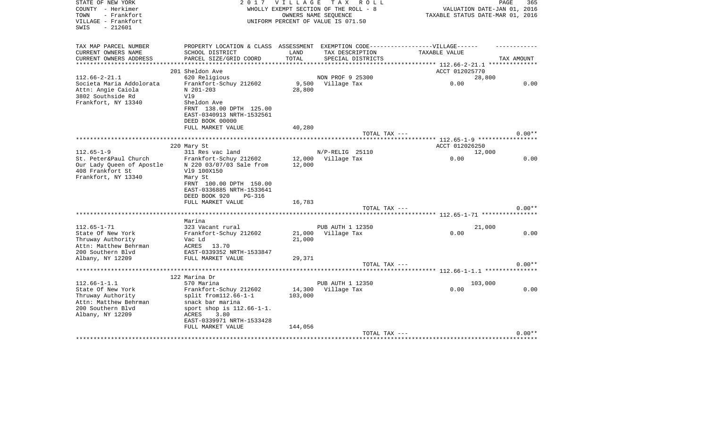| STATE OF NEW YORK<br>COUNTY - Herkimer<br>- Frankfort<br>TOWN<br>VILLAGE - Frankfort | 2017                                               |                  | VILLAGE TAX ROLL<br>WHOLLY EXEMPT SECTION OF THE ROLL - 8<br>OWNERS NAME SEQUENCE<br>UNIFORM PERCENT OF VALUE IS 071.50 | VALUATION DATE-JAN 01, 2016<br>TAXABLE STATUS DATE-MAR 01, 2016 | PAGE<br>365 |
|--------------------------------------------------------------------------------------|----------------------------------------------------|------------------|-------------------------------------------------------------------------------------------------------------------------|-----------------------------------------------------------------|-------------|
| $-212601$<br>SWIS                                                                    |                                                    |                  |                                                                                                                         |                                                                 |             |
| TAX MAP PARCEL NUMBER                                                                | PROPERTY LOCATION & CLASS ASSESSMENT               |                  |                                                                                                                         | EXEMPTION CODE------------------VILLAGE------                   |             |
| CURRENT OWNERS NAME                                                                  | SCHOOL DISTRICT                                    | LAND             | TAX DESCRIPTION                                                                                                         | TAXABLE VALUE                                                   |             |
| CURRENT OWNERS ADDRESS                                                               | PARCEL SIZE/GRID COORD                             | TOTAL            | SPECIAL DISTRICTS                                                                                                       |                                                                 | TAX AMOUNT  |
|                                                                                      |                                                    |                  |                                                                                                                         |                                                                 |             |
|                                                                                      | 201 Sheldon Ave                                    |                  |                                                                                                                         | ACCT 012025770                                                  |             |
| $112.66 - 2 - 21.1$<br>Societa Maria Addolorata                                      | 620 Religious<br>Frankfort-Schuy 212602            | 9,500            | NON PROF 9 25300<br>Village Tax                                                                                         | 28,800<br>0.00                                                  | 0.00        |
| Attn: Angie Caiola                                                                   | N 201-203                                          | 28,800           |                                                                                                                         |                                                                 |             |
| 3802 Southside Rd                                                                    | V19                                                |                  |                                                                                                                         |                                                                 |             |
| Frankfort, NY 13340                                                                  | Sheldon Ave                                        |                  |                                                                                                                         |                                                                 |             |
|                                                                                      | FRNT 138.00 DPTH 125.00                            |                  |                                                                                                                         |                                                                 |             |
|                                                                                      | EAST-0340913 NRTH-1532561                          |                  |                                                                                                                         |                                                                 |             |
|                                                                                      | DEED BOOK 00000                                    |                  |                                                                                                                         |                                                                 |             |
|                                                                                      | FULL MARKET VALUE                                  | 40,280           |                                                                                                                         |                                                                 |             |
|                                                                                      |                                                    |                  | TOTAL TAX ---                                                                                                           |                                                                 | $0.00**$    |
|                                                                                      |                                                    |                  |                                                                                                                         |                                                                 |             |
|                                                                                      | 220 Mary St                                        |                  |                                                                                                                         | ACCT 012026250                                                  |             |
| $112.65 - 1 - 9$                                                                     | 311 Res vac land                                   |                  | N/P-RELIG 25110                                                                                                         | 12,000                                                          | 0.00        |
| St. Peter&Paul Church<br>Our Lady Queen of Apostle                                   | Frankfort-Schuy 212602<br>N 220 03/07/03 Sale from | 12,000           | 12,000 Village Tax                                                                                                      | 0.00                                                            |             |
| 408 Frankfort St                                                                     | V19 100X150                                        |                  |                                                                                                                         |                                                                 |             |
| Frankfort, NY 13340                                                                  | Mary St                                            |                  |                                                                                                                         |                                                                 |             |
|                                                                                      | FRNT 100.00 DPTH 150.00                            |                  |                                                                                                                         |                                                                 |             |
|                                                                                      | EAST-0336885 NRTH-1533641                          |                  |                                                                                                                         |                                                                 |             |
|                                                                                      | DEED BOOK 920<br>PG-316                            |                  |                                                                                                                         |                                                                 |             |
|                                                                                      | FULL MARKET VALUE                                  | 16,783           |                                                                                                                         |                                                                 |             |
|                                                                                      |                                                    |                  | TOTAL TAX ---                                                                                                           |                                                                 | $0.00**$    |
|                                                                                      |                                                    |                  |                                                                                                                         | ****************************** 112.65-1-71 ****************     |             |
|                                                                                      | Marina                                             |                  |                                                                                                                         |                                                                 |             |
| $112.65 - 1 - 71$                                                                    | 323 Vacant rural                                   |                  | PUB AUTH 1 12350                                                                                                        | 21,000                                                          |             |
| State Of New York<br>Thruway Authority                                               | Frankfort-Schuy 212602<br>Vac Ld                   | 21,000<br>21,000 | Village Tax                                                                                                             | 0.00                                                            | 0.00        |
| Attn: Matthew Behrman                                                                | ACRES 13.70                                        |                  |                                                                                                                         |                                                                 |             |
| 200 Southern Blvd                                                                    | EAST-0339352 NRTH-1533847                          |                  |                                                                                                                         |                                                                 |             |
| Albany, NY 12209                                                                     | FULL MARKET VALUE                                  | 29,371           |                                                                                                                         |                                                                 |             |
|                                                                                      |                                                    |                  | TOTAL TAX ---                                                                                                           |                                                                 | $0.00**$    |
|                                                                                      | ********************************                   |                  |                                                                                                                         | **************************** 112.66-1-1.1 **************        |             |
|                                                                                      | 122 Marina Dr                                      |                  |                                                                                                                         |                                                                 |             |
| $112.66 - 1 - 1.1$                                                                   | 570 Marina                                         |                  | PUB AUTH 1 12350                                                                                                        | 103,000                                                         |             |
| State Of New York                                                                    | Frankfort-Schuy 212602                             | 14,300           | Village Tax                                                                                                             | 0.00                                                            | 0.00        |
| Thruway Authority                                                                    | $split$ from 112.66-1-1                            | 103,000          |                                                                                                                         |                                                                 |             |
| Attn: Matthew Behrman                                                                | snack bar marina                                   |                  |                                                                                                                         |                                                                 |             |
| 200 Southern Blvd                                                                    | sport shop is $112.66 - 1 - 1$ .                   |                  |                                                                                                                         |                                                                 |             |
| Albany, NY 12209                                                                     | ACRES<br>3.80                                      |                  |                                                                                                                         |                                                                 |             |
|                                                                                      | EAST-0339971 NRTH-1533428<br>FULL MARKET VALUE     | 144,056          |                                                                                                                         |                                                                 |             |
|                                                                                      |                                                    |                  | TOTAL TAX ---                                                                                                           |                                                                 | $0.00**$    |
|                                                                                      |                                                    |                  |                                                                                                                         |                                                                 |             |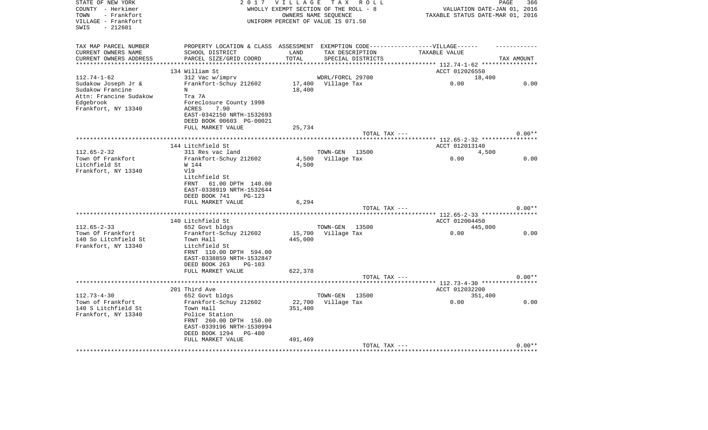| STATE OF NEW YORK         | 2 0 1 7                             | <b>VILLAGE</b> | TAX ROLL                              |                                                          | PAGE<br>366 |
|---------------------------|-------------------------------------|----------------|---------------------------------------|----------------------------------------------------------|-------------|
| COUNTY - Herkimer         |                                     |                | WHOLLY EXEMPT SECTION OF THE ROLL - 8 | VALUATION DATE-JAN 01, 2016                              |             |
| TOWN<br>- Frankfort       |                                     |                | OWNERS NAME SEQUENCE                  | TAXABLE STATUS DATE-MAR 01, 2016                         |             |
| VILLAGE - Frankfort       |                                     |                | UNIFORM PERCENT OF VALUE IS 071.50    |                                                          |             |
| SWIS<br>$-212601$         |                                     |                |                                       |                                                          |             |
|                           |                                     |                |                                       |                                                          |             |
| TAX MAP PARCEL NUMBER     | PROPERTY LOCATION & CLASS           |                |                                       | ASSESSMENT EXEMPTION CODE------------------VILLAGE------ |             |
| CURRENT OWNERS NAME       | SCHOOL DISTRICT                     | LAND           | TAX DESCRIPTION                       | TAXABLE VALUE                                            |             |
| CURRENT OWNERS ADDRESS    | PARCEL SIZE/GRID COORD              | TOTAL          | SPECIAL DISTRICTS                     |                                                          | TAX AMOUNT  |
| ************************* |                                     |                |                                       |                                                          |             |
|                           | 134 William St                      |                |                                       | ACCT 012026550                                           |             |
| $112.74 - 1 - 62$         | 312 Vac w/imprv                     |                | WDRL/FORCL 29700                      | 18,400                                                   |             |
| Sudakow Joseph Jr &       | Frankfort-Schuy 212602              | 17,400         | Village Tax                           | 0.00                                                     | 0.00        |
| Sudakow Francine          | N                                   | 18,400         |                                       |                                                          |             |
| Attn: Francine Sudakow    | Tra 7A                              |                |                                       |                                                          |             |
| Edgebrook                 | Foreclosure County 1998             |                |                                       |                                                          |             |
| Frankfort, NY 13340       | ACRES<br>7.90                       |                |                                       |                                                          |             |
|                           | EAST-0342150 NRTH-1532693           |                |                                       |                                                          |             |
|                           | DEED BOOK 00603 PG-00021            |                |                                       |                                                          |             |
|                           | FULL MARKET VALUE                   | 25,734         |                                       |                                                          |             |
|                           |                                     |                | TOTAL TAX ---                         |                                                          | $0.00**$    |
|                           | *********************************   |                |                                       | ********************** 112.65-2-32 ****************      |             |
|                           | 144 Litchfield St                   |                |                                       | ACCT 012013140                                           |             |
| $112.65 - 2 - 32$         | 311 Res vac land                    |                | TOWN-GEN<br>13500                     | 4,500                                                    |             |
| Town Of Frankfort         | Frankfort-Schuy 212602              | 4,500          | Village Tax                           | 0.00                                                     | 0.00        |
| Litchfield St             | W 144                               | 4,500          |                                       |                                                          |             |
| Frankfort, NY 13340       | V19                                 |                |                                       |                                                          |             |
|                           | Litchfield St                       |                |                                       |                                                          |             |
|                           | 61.00 DPTH 140.00<br>FRNT           |                |                                       |                                                          |             |
|                           | EAST-0338919 NRTH-1532644           |                |                                       |                                                          |             |
|                           | DEED BOOK 741<br>$PG-123$           |                |                                       |                                                          |             |
|                           | FULL MARKET VALUE                   | 6,294          |                                       |                                                          |             |
|                           |                                     |                | TOTAL TAX ---                         |                                                          | $0.00**$    |
|                           |                                     |                |                                       | ** 112.65-2-33 ******                                    |             |
|                           | 140 Litchfield St                   |                |                                       | ACCT 012004450                                           |             |
| $112.65 - 2 - 33$         | 652 Govt bldgs                      |                | TOWN-GEN<br>13500                     | 445,000                                                  |             |
| Town Of Frankfort         |                                     | 15,700         |                                       | 0.00                                                     | 0.00        |
|                           | Frankfort-Schuy 212602              |                | Village Tax                           |                                                          |             |
| 140 So Litchfield St      | Town Hall<br>Litchfield St          | 445,000        |                                       |                                                          |             |
| Frankfort, NY 13340       |                                     |                |                                       |                                                          |             |
|                           | FRNT 110.00 DPTH 594.00             |                |                                       |                                                          |             |
|                           | EAST-0338859 NRTH-1532847           |                |                                       |                                                          |             |
|                           | DEED BOOK 263<br>PG-103             |                |                                       |                                                          |             |
|                           | FULL MARKET VALUE                   | 622,378        |                                       |                                                          |             |
|                           | *********************************** |                | TOTAL TAX ---                         |                                                          | $0.00**$    |
|                           |                                     |                |                                       | ****** 112.73-4-30 ***************                       |             |
|                           | 201 Third Ave                       |                |                                       | ACCT 012032200                                           |             |
| $112.73 - 4 - 30$         | 652 Govt bldgs                      |                | TOWN-GEN<br>13500                     | 351,400                                                  |             |
| Town of Frankfort         | Frankfort-Schuy 212602              | 22,700         | Village Tax                           | 0.00                                                     | 0.00        |
| 140 S Litchfield St       | Town Hall                           | 351,400        |                                       |                                                          |             |
| Frankfort, NY 13340       | Police Station                      |                |                                       |                                                          |             |
|                           | FRNT 260.00 DPTH 150.00             |                |                                       |                                                          |             |
|                           | EAST-0339196 NRTH-1530994           |                |                                       |                                                          |             |
|                           | DEED BOOK 1294<br><b>PG-480</b>     |                |                                       |                                                          |             |
|                           | FULL MARKET VALUE                   | 491,469        |                                       |                                                          |             |
|                           |                                     |                | TOTAL TAX ---                         |                                                          | $0.00**$    |
|                           |                                     |                |                                       |                                                          |             |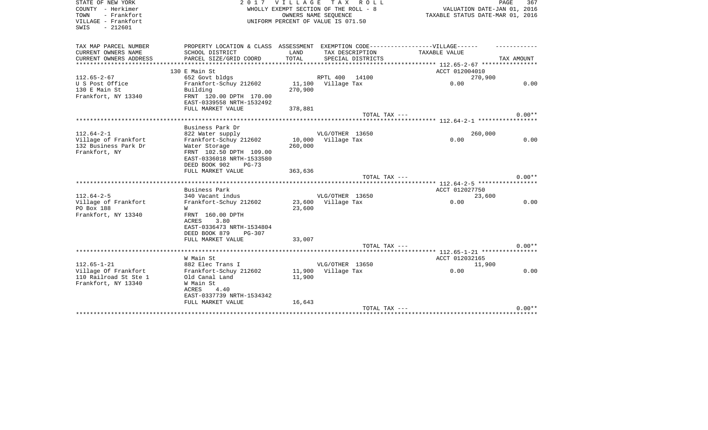| STATE OF NEW YORK      |                                                                                   | 2017 VILLAGE                     | T A X<br>R O L L                                              |                             | PAGE<br>367 |
|------------------------|-----------------------------------------------------------------------------------|----------------------------------|---------------------------------------------------------------|-----------------------------|-------------|
| COUNTY - Herkimer      |                                                                                   |                                  | WHOLLY EXEMPT SECTION OF THE ROLL - 8<br>OWNERS NAME SEQUENCE | VALUATION DATE-JAN 01, 2016 |             |
| TOWN<br>- Frankfort    |                                                                                   | TAXABLE STATUS DATE-MAR 01, 2016 |                                                               |                             |             |
| VILLAGE - Frankfort    |                                                                                   |                                  | UNIFORM PERCENT OF VALUE IS 071.50                            |                             |             |
| SWIS<br>$-212601$      |                                                                                   |                                  |                                                               |                             |             |
|                        |                                                                                   |                                  |                                                               |                             |             |
| TAX MAP PARCEL NUMBER  | PROPERTY LOCATION & CLASS ASSESSMENT EXEMPTION CODE-----------------VILLAGE------ |                                  |                                                               |                             |             |
| CURRENT OWNERS NAME    | SCHOOL DISTRICT                                                                   | LAND                             | TAX DESCRIPTION                                               | TAXABLE VALUE               |             |
| CURRENT OWNERS ADDRESS | PARCEL SIZE/GRID COORD                                                            | TOTAL                            | SPECIAL DISTRICTS                                             |                             | TAX AMOUNT  |
|                        |                                                                                   |                                  |                                                               |                             |             |
|                        | 130 E Main St                                                                     |                                  |                                                               | ACCT 012004010              |             |
| $112.65 - 2 - 67$      | 652 Govt bldgs                                                                    |                                  | RPTL 400 14100                                                | 270,900                     |             |
| U S Post Office        | Frankfort-Schuy 212602                                                            |                                  | 11,100 Village Tax                                            | 0.00                        | 0.00        |
| 130 E Main St          | Building                                                                          | 270,900                          |                                                               |                             |             |
| Frankfort, NY 13340    | FRNT 120.00 DPTH 170.00                                                           |                                  |                                                               |                             |             |
|                        | EAST-0339558 NRTH-1532492                                                         |                                  |                                                               |                             |             |
|                        | FULL MARKET VALUE                                                                 | 378,881                          |                                                               |                             |             |
|                        |                                                                                   |                                  | TOTAL TAX ---                                                 |                             | $0.00**$    |
|                        |                                                                                   |                                  |                                                               |                             |             |
|                        | Business Park Dr                                                                  |                                  |                                                               |                             |             |
| $112.64 - 2 - 1$       | 822 Water supply                                                                  |                                  | VLG/OTHER 13650                                               | 260,000                     |             |
| Village of Frankfort   | Frankfort-Schuy 212602                                                            | 10,000                           | Village Tax                                                   | 0.00                        | 0.00        |
| 132 Business Park Dr   | Water Storage                                                                     | 260,000                          |                                                               |                             |             |
| Frankfort, NY          | FRNT 102.50 DPTH 109.00                                                           |                                  |                                                               |                             |             |
|                        | EAST-0336018 NRTH-1533580                                                         |                                  |                                                               |                             |             |
|                        | DEED BOOK 902<br>PG-73                                                            |                                  |                                                               |                             |             |
|                        | FULL MARKET VALUE                                                                 | 363,636                          |                                                               |                             |             |
|                        |                                                                                   |                                  | TOTAL TAX ---                                                 |                             | $0.00**$    |
|                        |                                                                                   |                                  |                                                               |                             |             |
|                        | Business Park                                                                     |                                  |                                                               | ACCT 012027750              |             |
| $112.64 - 2 - 5$       | 340 Vacant indus                                                                  |                                  | VLG/OTHER 13650                                               | 23,600                      |             |
| Village of Frankfort   | Frankfort-Schuy 212602                                                            | 23,600                           | Village Tax                                                   | 0.00                        | 0.00        |
| PO Box 188             | W                                                                                 | 23,600                           |                                                               |                             |             |
| Frankfort, NY 13340    | FRNT 160.00 DPTH                                                                  |                                  |                                                               |                             |             |
|                        | 3.80<br>ACRES                                                                     |                                  |                                                               |                             |             |
|                        | EAST-0336473 NRTH-1534804                                                         |                                  |                                                               |                             |             |
|                        | DEED BOOK 879<br>$PG-307$                                                         |                                  |                                                               |                             |             |
|                        | FULL MARKET VALUE                                                                 | 33,007                           |                                                               |                             |             |
|                        |                                                                                   |                                  | TOTAL TAX ---                                                 |                             | $0.00**$    |
|                        |                                                                                   |                                  |                                                               |                             |             |
|                        | W Main St                                                                         |                                  |                                                               | ACCT 012032165              |             |
| $112.65 - 1 - 21$      | 882 Elec Trans I                                                                  |                                  | VLG/OTHER 13650                                               | 11,900                      |             |
| Village Of Frankfort   | Frankfort-Schuy 212602                                                            |                                  | 11,900 Village Tax                                            | 0.00                        | 0.00        |
| 110 Railroad St Ste 1  | Old Canal Land                                                                    | 11,900                           |                                                               |                             |             |
| Frankfort, NY 13340    | W Main St                                                                         |                                  |                                                               |                             |             |
|                        | ACRES<br>4.40                                                                     |                                  |                                                               |                             |             |
|                        | EAST-0337739 NRTH-1534342                                                         |                                  |                                                               |                             |             |
|                        | FULL MARKET VALUE                                                                 | 16,643                           |                                                               |                             |             |
|                        |                                                                                   |                                  | TOTAL TAX ---                                                 |                             | $0.00**$    |
|                        |                                                                                   |                                  |                                                               |                             |             |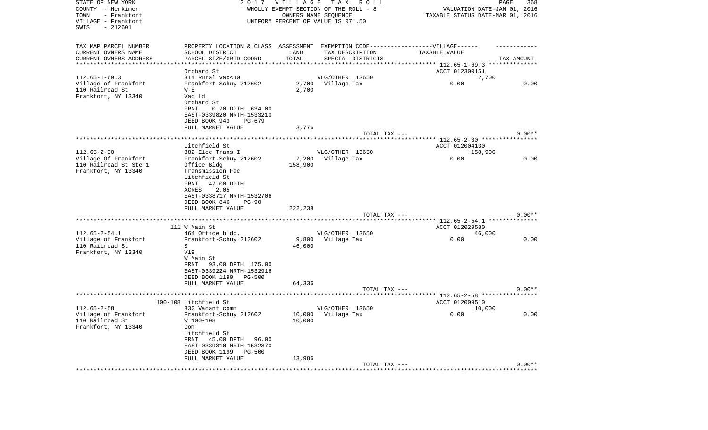| STATE OF NEW YORK<br>COUNTY - Herkimer<br>- Frankfort<br>TOWN<br>VILLAGE - Frankfort<br>SWIS<br>$-212601$ | 2017                                                                              | VILLAGE | TAX ROLL<br>WHOLLY EXEMPT SECTION OF THE ROLL - 8<br>OWNERS NAME SEQUENCE<br>UNIFORM PERCENT OF VALUE IS 071.50 | VALUATION DATE-JAN 01, 2016<br>TAXABLE STATUS DATE-MAR 01, 2016 | PAGE<br>368 |
|-----------------------------------------------------------------------------------------------------------|-----------------------------------------------------------------------------------|---------|-----------------------------------------------------------------------------------------------------------------|-----------------------------------------------------------------|-------------|
| TAX MAP PARCEL NUMBER                                                                                     | PROPERTY LOCATION & CLASS ASSESSMENT EXEMPTION CODE-----------------VILLAGE------ |         |                                                                                                                 |                                                                 |             |
| CURRENT OWNERS NAME                                                                                       | SCHOOL DISTRICT                                                                   | LAND    | TAX DESCRIPTION                                                                                                 | TAXABLE VALUE                                                   |             |
| CURRENT OWNERS ADDRESS                                                                                    | PARCEL SIZE/GRID COORD                                                            | TOTAL   | SPECIAL DISTRICTS                                                                                               |                                                                 | TAX AMOUNT  |
| **********************                                                                                    |                                                                                   |         |                                                                                                                 |                                                                 |             |
| $112.65 - 1 - 69.3$                                                                                       | Orchard St                                                                        |         | VLG/OTHER 13650                                                                                                 | ACCT 012300151                                                  |             |
| Village of Frankfort                                                                                      | 314 Rural vac<10<br>Frankfort-Schuy 212602                                        |         | 2,700 Village Tax                                                                                               | 2,700<br>0.00                                                   | 0.00        |
| 110 Railroad St                                                                                           | $W - E$                                                                           | 2,700   |                                                                                                                 |                                                                 |             |
| Frankfort, NY 13340                                                                                       | Vac Ld                                                                            |         |                                                                                                                 |                                                                 |             |
|                                                                                                           | Orchard St                                                                        |         |                                                                                                                 |                                                                 |             |
|                                                                                                           | FRNT<br>0.70 DPTH 634.00                                                          |         |                                                                                                                 |                                                                 |             |
|                                                                                                           | EAST-0339820 NRTH-1533210                                                         |         |                                                                                                                 |                                                                 |             |
|                                                                                                           | DEED BOOK 943<br>PG-679                                                           |         |                                                                                                                 |                                                                 |             |
|                                                                                                           | FULL MARKET VALUE                                                                 | 3,776   |                                                                                                                 |                                                                 |             |
|                                                                                                           |                                                                                   |         | TOTAL TAX ---                                                                                                   |                                                                 | $0.00**$    |
|                                                                                                           |                                                                                   |         |                                                                                                                 |                                                                 |             |
|                                                                                                           | Litchfield St                                                                     |         |                                                                                                                 | ACCT 012004130                                                  |             |
| $112.65 - 2 - 30$                                                                                         | 882 Elec Trans I                                                                  |         | VLG/OTHER 13650                                                                                                 | 158,900                                                         |             |
| Village Of Frankfort                                                                                      | Frankfort-Schuy 212602                                                            | 7,200   | Village Tax                                                                                                     | 0.00                                                            | 0.00        |
| 110 Railroad St Ste 1                                                                                     | Office Bldg                                                                       | 158,900 |                                                                                                                 |                                                                 |             |
| Frankfort, NY 13340                                                                                       | Transmission Fac                                                                  |         |                                                                                                                 |                                                                 |             |
|                                                                                                           | Litchfield St                                                                     |         |                                                                                                                 |                                                                 |             |
|                                                                                                           | FRNT<br>47.00 DPTH                                                                |         |                                                                                                                 |                                                                 |             |
|                                                                                                           | ACRES<br>2.05                                                                     |         |                                                                                                                 |                                                                 |             |
|                                                                                                           | EAST-0338717 NRTH-1532706<br>DEED BOOK 846<br>$PG-90$                             |         |                                                                                                                 |                                                                 |             |
|                                                                                                           | FULL MARKET VALUE                                                                 | 222,238 |                                                                                                                 |                                                                 |             |
|                                                                                                           |                                                                                   |         | TOTAL TAX ---                                                                                                   |                                                                 | $0.00**$    |
|                                                                                                           |                                                                                   |         |                                                                                                                 | **************** 112.65-2-54.1 ***************                  |             |
|                                                                                                           | 111 W Main St                                                                     |         |                                                                                                                 | ACCT 012029580                                                  |             |
| $112.65 - 2 - 54.1$                                                                                       | 464 Office bldg.                                                                  |         | VLG/OTHER 13650                                                                                                 | 46,000                                                          |             |
| Village of Frankfort                                                                                      | Frankfort-Schuy 212602                                                            | 9,800   | Village Tax                                                                                                     | 0.00                                                            | 0.00        |
| 110 Railroad St                                                                                           | S                                                                                 | 46,000  |                                                                                                                 |                                                                 |             |
| Frankfort, NY 13340                                                                                       | Vl9                                                                               |         |                                                                                                                 |                                                                 |             |
|                                                                                                           | W Main St                                                                         |         |                                                                                                                 |                                                                 |             |
|                                                                                                           | 93.00 DPTH 175.00<br>FRNT                                                         |         |                                                                                                                 |                                                                 |             |
|                                                                                                           | EAST-0339224 NRTH-1532916                                                         |         |                                                                                                                 |                                                                 |             |
|                                                                                                           | DEED BOOK 1199<br><b>PG-500</b>                                                   |         |                                                                                                                 |                                                                 |             |
|                                                                                                           | FULL MARKET VALUE                                                                 | 64,336  |                                                                                                                 |                                                                 |             |
|                                                                                                           |                                                                                   |         | TOTAL TAX ---                                                                                                   |                                                                 | $0.00**$    |
|                                                                                                           |                                                                                   |         |                                                                                                                 |                                                                 |             |
|                                                                                                           | 100-108 Litchfield St                                                             |         |                                                                                                                 | ACCT 012009510                                                  |             |
| $112.65 - 2 - 58$                                                                                         | 330 Vacant comm                                                                   |         | VLG/OTHER 13650                                                                                                 | 10,000                                                          |             |
| Village of Frankfort                                                                                      | Frankfort-Schuy 212602                                                            |         | 10,000 Village Tax                                                                                              | 0.00                                                            | 0.00        |
| 110 Railroad St                                                                                           | W 100-108                                                                         | 10,000  |                                                                                                                 |                                                                 |             |
| Frankfort, NY 13340                                                                                       | Com                                                                               |         |                                                                                                                 |                                                                 |             |
|                                                                                                           | Litchfield St<br>FRNT 45.00 DPTH 96.00                                            |         |                                                                                                                 |                                                                 |             |
|                                                                                                           | EAST-0339310 NRTH-1532870                                                         |         |                                                                                                                 |                                                                 |             |
|                                                                                                           | DEED BOOK 1199 PG-500                                                             |         |                                                                                                                 |                                                                 |             |
|                                                                                                           | FULL MARKET VALUE                                                                 | 13,986  |                                                                                                                 |                                                                 |             |
|                                                                                                           |                                                                                   |         | TOTAL TAX ---                                                                                                   |                                                                 | $0.00**$    |
|                                                                                                           |                                                                                   |         |                                                                                                                 |                                                                 |             |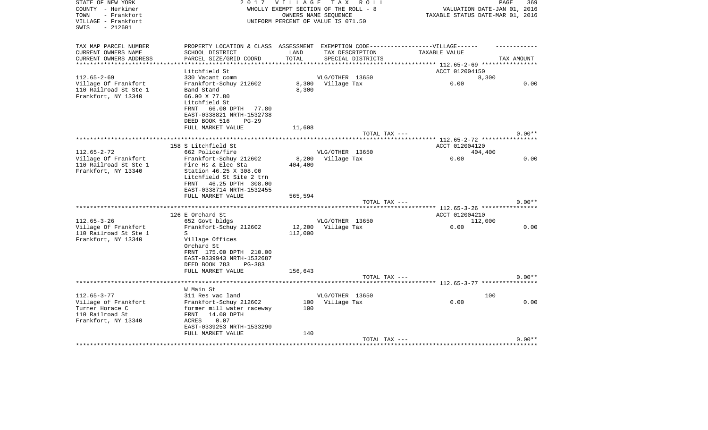| STATE OF NEW YORK<br>COUNTY - Herkimer                          | 2017                                                                                                             |         | VILLAGE TAX ROLL<br>WHOLLY EXEMPT SECTION OF THE ROLL - 8  | PAGE<br>VALUATION DATE-JAN 01, 2016 | 369        |
|-----------------------------------------------------------------|------------------------------------------------------------------------------------------------------------------|---------|------------------------------------------------------------|-------------------------------------|------------|
| TOWN<br>- Frankfort<br>VILLAGE - Frankfort<br>$-212601$<br>SWIS |                                                                                                                  |         | OWNERS NAME SEQUENCE<br>UNIFORM PERCENT OF VALUE IS 071.50 | TAXABLE STATUS DATE-MAR 01, 2016    |            |
| TAX MAP PARCEL NUMBER                                           | PROPERTY LOCATION & CLASS ASSESSMENT EXEMPTION CODE-----------------VILLAGE------                                |         |                                                            |                                     |            |
| CURRENT OWNERS NAME                                             | SCHOOL DISTRICT                                                                                                  | LAND    | TAX DESCRIPTION                                            | TAXABLE VALUE                       |            |
| CURRENT OWNERS ADDRESS                                          | PARCEL SIZE/GRID COORD                                                                                           | TOTAL   | SPECIAL DISTRICTS                                          |                                     | TAX AMOUNT |
| ***********************                                         |                                                                                                                  |         |                                                            |                                     |            |
| $112.65 - 2 - 69$                                               | Litchfield St<br>330 Vacant comm                                                                                 |         | VLG/OTHER 13650                                            | ACCT 012004150<br>8,300             |            |
| Village Of Frankfort                                            | Frankfort-Schuy 212602                                                                                           |         | 8,300 Village Tax                                          | 0.00                                | 0.00       |
| 110 Railroad St Ste 1<br>Frankfort, NY 13340                    | Band Stand<br>66.00 X 77.80<br>Litchfield St<br>66.00 DPTH 77.80<br>FRNT<br>EAST-0338821 NRTH-1532738            | 8,300   |                                                            |                                     |            |
|                                                                 | DEED BOOK 516<br>$PG-29$                                                                                         |         |                                                            |                                     |            |
|                                                                 | FULL MARKET VALUE                                                                                                | 11,608  |                                                            |                                     |            |
|                                                                 |                                                                                                                  |         | TOTAL TAX ---                                              |                                     | $0.00**$   |
|                                                                 |                                                                                                                  |         |                                                            |                                     |            |
|                                                                 | 158 S Litchfield St                                                                                              |         |                                                            | ACCT 012004120                      |            |
| $112.65 - 2 - 72$<br>Village Of Frankfort                       | 662 Police/fire<br>Frankfort-Schuy 212602                                                                        | 8,200   | VLG/OTHER 13650<br>Village Tax                             | 404,400<br>0.00                     | 0.00       |
| 110 Railroad St Ste 1                                           | Fire Hs & Elec Sta                                                                                               | 404,400 |                                                            |                                     |            |
| Frankfort, NY 13340                                             | Station 46.25 X 308.00<br>Litchfield St Site 2 trn<br>46.25 DPTH 308.00<br>FRNT<br>EAST-0338714 NRTH-1532455     |         |                                                            |                                     |            |
|                                                                 | FULL MARKET VALUE                                                                                                | 565,594 |                                                            |                                     |            |
|                                                                 |                                                                                                                  |         | TOTAL TAX ---                                              |                                     | $0.00**$   |
|                                                                 | 126 E Orchard St                                                                                                 |         |                                                            | ACCT 012004210                      |            |
| $112.65 - 3 - 26$                                               | 652 Govt bldgs                                                                                                   |         | VLG/OTHER 13650                                            | 112,000                             |            |
| Village Of Frankfort<br>110 Railroad St Ste 1                   | Frankfort-Schuy 212602<br>S                                                                                      | 112,000 | 12,200 Village Tax                                         | 0.00                                | 0.00       |
| Frankfort, NY 13340                                             | Village Offices<br>Orchard St<br>FRNT 175.00 DPTH 210.00<br>EAST-0339943 NRTH-1532687<br>DEED BOOK 783<br>PG-383 |         |                                                            |                                     |            |
|                                                                 | FULL MARKET VALUE                                                                                                | 156,643 |                                                            |                                     |            |
|                                                                 |                                                                                                                  |         | TOTAL TAX ---                                              |                                     | $0.00**$   |
|                                                                 | W Main St                                                                                                        |         |                                                            |                                     |            |
| $112.65 - 3 - 77$                                               | 311 Res vac land                                                                                                 |         | VLG/OTHER 13650                                            | 100                                 |            |
| Village of Frankfort                                            | Frankfort-Schuy 212602                                                                                           |         | 100 Village Tax                                            | 0.00                                | 0.00       |
| Turner Horace C<br>110 Railroad St<br>Frankfort, NY 13340       | former mill water raceway<br>FRNT<br>14.00 DPTH<br>0.07<br>ACRES<br>EAST-0339253 NRTH-1533290                    | 100     |                                                            |                                     |            |
|                                                                 | FULL MARKET VALUE                                                                                                | 140     |                                                            |                                     |            |
|                                                                 |                                                                                                                  |         | TOTAL TAX ---                                              |                                     | $0.00**$   |
|                                                                 |                                                                                                                  |         |                                                            | ****************************        |            |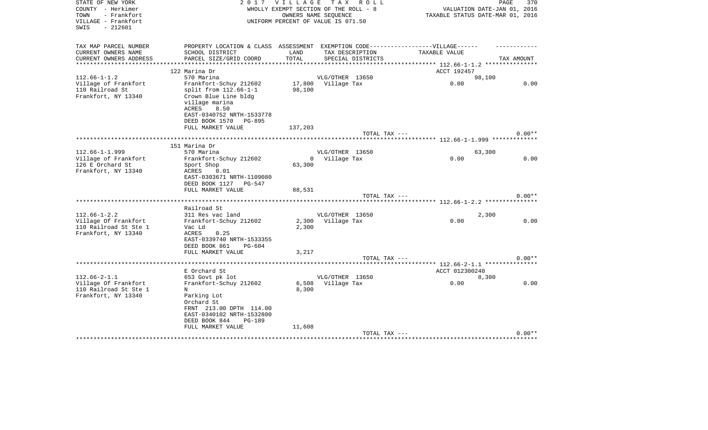| STATE OF NEW YORK<br>COUNTY - Herkimer<br>- Frankfort<br>TOWN<br>VILLAGE - Frankfort<br>$-212601$<br>SWIS | 2017                                                                             | VILLAGE TAX   | R O L L<br>WHOLLY EXEMPT SECTION OF THE ROLL - 8<br>OWNERS NAME SEQUENCE<br>UNIFORM PERCENT OF VALUE IS 071.50 | VALUATION DATE-JAN 01, 2016<br>TAXABLE STATUS DATE-MAR 01, 2016 | 370<br>PAGE |
|-----------------------------------------------------------------------------------------------------------|----------------------------------------------------------------------------------|---------------|----------------------------------------------------------------------------------------------------------------|-----------------------------------------------------------------|-------------|
| TAX MAP PARCEL NUMBER                                                                                     | PROPERTY LOCATION & CLASS ASSESSMENT EXEMPTION CODE----------------VILLAGE------ |               |                                                                                                                |                                                                 |             |
| CURRENT OWNERS NAME<br>CURRENT OWNERS ADDRESS                                                             | SCHOOL DISTRICT<br>PARCEL SIZE/GRID COORD                                        | LAND<br>TOTAL | TAX DESCRIPTION<br>SPECIAL DISTRICTS                                                                           | TAXABLE VALUE                                                   | TAX AMOUNT  |
| **********************                                                                                    | ***************************                                                      | **********    |                                                                                                                |                                                                 |             |
|                                                                                                           | 122 Marina Dr                                                                    |               |                                                                                                                | ACCT 192457                                                     |             |
| $112.66 - 1 - 1.2$                                                                                        | 570 Marina                                                                       |               | VLG/OTHER 13650                                                                                                | 98,100                                                          |             |
| Village of Frankfort                                                                                      | Frankfort-Schuy 212602                                                           | 17,800        | Village Tax                                                                                                    | 0.00                                                            | 0.00        |
| 110 Railroad St<br>Frankfort, NY 13340                                                                    | split from $112.66-1-1$<br>Crown Blue Line bldg                                  | 98,100        |                                                                                                                |                                                                 |             |
|                                                                                                           | village marina<br>ACRES<br>8.50                                                  |               |                                                                                                                |                                                                 |             |
|                                                                                                           | EAST-0340752 NRTH-1533778<br>DEED BOOK 1570<br><b>PG-895</b>                     |               |                                                                                                                |                                                                 |             |
|                                                                                                           | FULL MARKET VALUE                                                                | 137,203       |                                                                                                                |                                                                 |             |
|                                                                                                           |                                                                                  |               | TOTAL TAX ---                                                                                                  |                                                                 | $0.00**$    |
|                                                                                                           |                                                                                  |               |                                                                                                                |                                                                 |             |
|                                                                                                           | 151 Marina Dr                                                                    |               |                                                                                                                |                                                                 |             |
| $112.66 - 1 - 1.999$                                                                                      | 570 Marina                                                                       |               | VLG/OTHER 13650                                                                                                | 63,300                                                          |             |
| Village of Frankfort<br>126 E Orchard St                                                                  | Frankfort-Schuy 212602<br>Sport Shop                                             | 63,300        | 0 Village Tax                                                                                                  | 0.00                                                            | 0.00        |
| Frankfort, NY 13340                                                                                       | 0.01<br>ACRES                                                                    |               |                                                                                                                |                                                                 |             |
|                                                                                                           | EAST-0303671 NRTH-1109080                                                        |               |                                                                                                                |                                                                 |             |
|                                                                                                           | DEED BOOK 1127 PG-547                                                            |               |                                                                                                                |                                                                 |             |
|                                                                                                           | FULL MARKET VALUE                                                                | 88,531        |                                                                                                                |                                                                 |             |
|                                                                                                           |                                                                                  |               | TOTAL TAX ---                                                                                                  |                                                                 | $0.00**$    |
|                                                                                                           |                                                                                  |               |                                                                                                                | ********** 112.66-1-2.2 **********                              |             |
|                                                                                                           | Railroad St                                                                      |               |                                                                                                                |                                                                 |             |
| $112.66 - 1 - 2.2$<br>Village Of Frankfort                                                                | 311 Res vac land<br>Frankfort-Schuy 212602                                       |               | VLG/OTHER 13650<br>2,300 Village Tax                                                                           | 2,300<br>0.00                                                   | 0.00        |
| 110 Railroad St Ste 1                                                                                     | Vac Ld                                                                           | 2,300         |                                                                                                                |                                                                 |             |
| Frankfort, NY 13340                                                                                       | ACRES<br>0.25                                                                    |               |                                                                                                                |                                                                 |             |
|                                                                                                           | EAST-0339740 NRTH-1533355                                                        |               |                                                                                                                |                                                                 |             |
|                                                                                                           | DEED BOOK 861<br>PG-604                                                          |               |                                                                                                                |                                                                 |             |
|                                                                                                           | FULL MARKET VALUE                                                                | 3,217         |                                                                                                                |                                                                 |             |
|                                                                                                           |                                                                                  |               | TOTAL TAX ---                                                                                                  |                                                                 | $0.00**$    |
|                                                                                                           |                                                                                  |               |                                                                                                                |                                                                 |             |
|                                                                                                           | E Orchard St                                                                     |               |                                                                                                                | ACCT 012300240                                                  |             |
| $112.66 - 2 - 1.1$                                                                                        | 653 Govt pk lot                                                                  |               | VLG/OTHER 13650                                                                                                | 8,300<br>0.00                                                   | 0.00        |
| Village Of Frankfort<br>110 Railroad St Ste 1                                                             | Frankfort-Schuy 212602<br>Ν                                                      | 8,300         | 6,508 Village Tax                                                                                              |                                                                 |             |
| Frankfort, NY 13340                                                                                       | Parking Lot                                                                      |               |                                                                                                                |                                                                 |             |
|                                                                                                           | Orchard St                                                                       |               |                                                                                                                |                                                                 |             |
|                                                                                                           | FRNT 213.00 DPTH 114.00                                                          |               |                                                                                                                |                                                                 |             |
|                                                                                                           | EAST-0340102 NRTH-1532800                                                        |               |                                                                                                                |                                                                 |             |
|                                                                                                           | DEED BOOK 844<br><b>PG-189</b>                                                   |               |                                                                                                                |                                                                 |             |
|                                                                                                           | FULL MARKET VALUE                                                                | 11,608        |                                                                                                                |                                                                 |             |
|                                                                                                           |                                                                                  |               | TOTAL TAX ---                                                                                                  |                                                                 | $0.00**$    |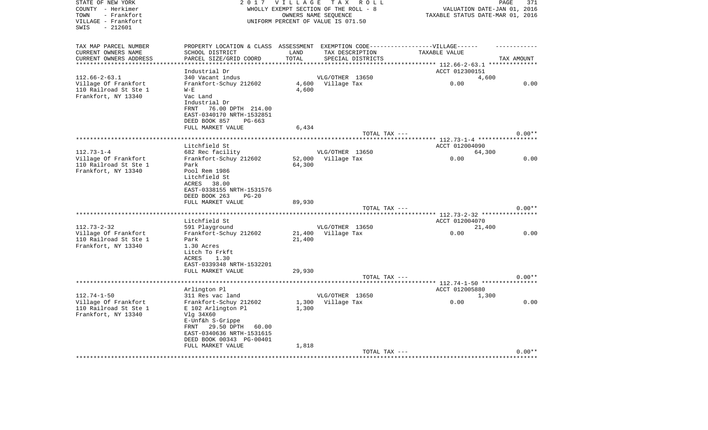| STATE OF NEW YORK<br>COUNTY - Herkimer       | 2 0 1 7                                                                           | <b>VILLAGE</b><br>WHOLLY EXEMPT SECTION OF THE ROLL - 8 |                                | TAX ROLL          |                                                            | PAGE<br>VALUATION DATE-JAN 01, 2016 | 371      |
|----------------------------------------------|-----------------------------------------------------------------------------------|---------------------------------------------------------|--------------------------------|-------------------|------------------------------------------------------------|-------------------------------------|----------|
| - Frankfort<br>TOWN<br>VILLAGE - Frankfort   |                                                                                   | UNIFORM PERCENT OF VALUE IS 071.50                      | OWNERS NAME SEQUENCE           |                   | TAXABLE STATUS DATE-MAR 01, 2016                           |                                     |          |
| $-212601$<br>SWIS                            |                                                                                   |                                                         |                                |                   |                                                            |                                     |          |
| TAX MAP PARCEL NUMBER                        | PROPERTY LOCATION & CLASS ASSESSMENT EXEMPTION CODE-----------------VILLAGE------ |                                                         |                                |                   |                                                            |                                     |          |
| CURRENT OWNERS NAME                          | SCHOOL DISTRICT                                                                   | LAND                                                    | TAX DESCRIPTION                |                   | TAXABLE VALUE                                              |                                     |          |
| CURRENT OWNERS ADDRESS                       | PARCEL SIZE/GRID COORD                                                            | TOTAL                                                   |                                | SPECIAL DISTRICTS |                                                            | TAX AMOUNT                          |          |
| *********************                        |                                                                                   | **********                                              |                                |                   |                                                            |                                     |          |
|                                              | Industrial Dr                                                                     |                                                         |                                |                   | ACCT 012300151                                             |                                     |          |
| $112.66 - 2 - 63.1$<br>Village Of Frankfort  | 340 Vacant indus<br>Frankfort-Schuy 212602                                        | 4,600                                                   | VLG/OTHER 13650<br>Village Tax |                   | 0.00                                                       | 4,600                               | 0.00     |
| 110 Railroad St Ste 1                        | $W - E$                                                                           | 4,600                                                   |                                |                   |                                                            |                                     |          |
| Frankfort, NY 13340                          | Vac Land                                                                          |                                                         |                                |                   |                                                            |                                     |          |
|                                              | Industrial Dr                                                                     |                                                         |                                |                   |                                                            |                                     |          |
|                                              | 76.00 DPTH 214.00<br>FRNT                                                         |                                                         |                                |                   |                                                            |                                     |          |
|                                              | EAST-0340170 NRTH-1532851                                                         |                                                         |                                |                   |                                                            |                                     |          |
|                                              | DEED BOOK 857<br>PG-663                                                           |                                                         |                                |                   |                                                            |                                     |          |
|                                              | FULL MARKET VALUE                                                                 | 6,434                                                   |                                |                   |                                                            |                                     |          |
|                                              |                                                                                   |                                                         |                                | TOTAL TAX ---     |                                                            |                                     | $0.00**$ |
|                                              |                                                                                   |                                                         |                                |                   | ***************************** 112.73-1-4 ***************** |                                     |          |
|                                              | Litchfield St                                                                     |                                                         |                                |                   | ACCT 012004090                                             |                                     |          |
| $112.73 - 1 - 4$<br>Village Of Frankfort     | 682 Rec facility<br>Frankfort-Schuy 212602                                        | 52,000                                                  | VLG/OTHER 13650                |                   | 0.00                                                       | 64,300                              | 0.00     |
| 110 Railroad St Ste 1                        | Park                                                                              | 64,300                                                  | Village Tax                    |                   |                                                            |                                     |          |
| Frankfort, NY 13340                          | Pool Rem 1986                                                                     |                                                         |                                |                   |                                                            |                                     |          |
|                                              | Litchfield St                                                                     |                                                         |                                |                   |                                                            |                                     |          |
|                                              | 38.00<br>ACRES                                                                    |                                                         |                                |                   |                                                            |                                     |          |
|                                              | EAST-0338155 NRTH-1531576                                                         |                                                         |                                |                   |                                                            |                                     |          |
|                                              | DEED BOOK 263<br>$PG-20$                                                          |                                                         |                                |                   |                                                            |                                     |          |
|                                              | FULL MARKET VALUE                                                                 | 89,930                                                  |                                |                   |                                                            |                                     |          |
|                                              |                                                                                   |                                                         |                                | TOTAL TAX ---     |                                                            |                                     | $0.00**$ |
|                                              | **************                                                                    |                                                         |                                |                   | ***** 112.73-2-32 ************                             |                                     |          |
|                                              | Litchfield St                                                                     |                                                         |                                |                   | ACCT 012004070                                             |                                     |          |
| $112.73 - 2 - 32$<br>Village Of Frankfort    | 591 Playground<br>Frankfort-Schuy 212602                                          | 21,400                                                  | VLG/OTHER 13650<br>Village Tax |                   | 0.00                                                       | 21,400                              | 0.00     |
| 110 Railroad St Ste 1                        | Park                                                                              | 21,400                                                  |                                |                   |                                                            |                                     |          |
| Frankfort, NY 13340                          | 1.30 Acres                                                                        |                                                         |                                |                   |                                                            |                                     |          |
|                                              | Litch To Frkft                                                                    |                                                         |                                |                   |                                                            |                                     |          |
|                                              | <b>ACRES</b><br>1.30                                                              |                                                         |                                |                   |                                                            |                                     |          |
|                                              | EAST-0339348 NRTH-1532201                                                         |                                                         |                                |                   |                                                            |                                     |          |
|                                              | FULL MARKET VALUE                                                                 | 29,930                                                  |                                |                   |                                                            |                                     |          |
|                                              |                                                                                   |                                                         |                                | TOTAL TAX ---     |                                                            |                                     | $0.00**$ |
|                                              |                                                                                   |                                                         |                                |                   |                                                            |                                     |          |
|                                              | Arlington Pl                                                                      |                                                         |                                |                   | ACCT 012005880                                             |                                     |          |
| $112.74 - 1 - 50$                            | 311 Res vac land                                                                  |                                                         | VLG/OTHER 13650                |                   |                                                            | 1,300                               |          |
| Village Of Frankfort                         | Frankfort-Schuy 212602                                                            | 1,300<br>1,300                                          | Village Tax                    |                   | 0.00                                                       |                                     | 0.00     |
| 110 Railroad St Ste 1<br>Frankfort, NY 13340 | E 102 Arlington Pl<br>Vlg 34X60                                                   |                                                         |                                |                   |                                                            |                                     |          |
|                                              | E-Unf&h S-Grippe                                                                  |                                                         |                                |                   |                                                            |                                     |          |
|                                              | 29.50 DPTH<br>FRNT<br>60.00                                                       |                                                         |                                |                   |                                                            |                                     |          |
|                                              | EAST-0340636 NRTH-1531615                                                         |                                                         |                                |                   |                                                            |                                     |          |
|                                              | DEED BOOK 00343 PG-00401                                                          |                                                         |                                |                   |                                                            |                                     |          |
|                                              | FULL MARKET VALUE                                                                 | 1,818                                                   |                                |                   |                                                            |                                     |          |
|                                              |                                                                                   |                                                         |                                | TOTAL TAX ---     |                                                            |                                     | $0.00**$ |
|                                              |                                                                                   |                                                         |                                |                   |                                                            |                                     |          |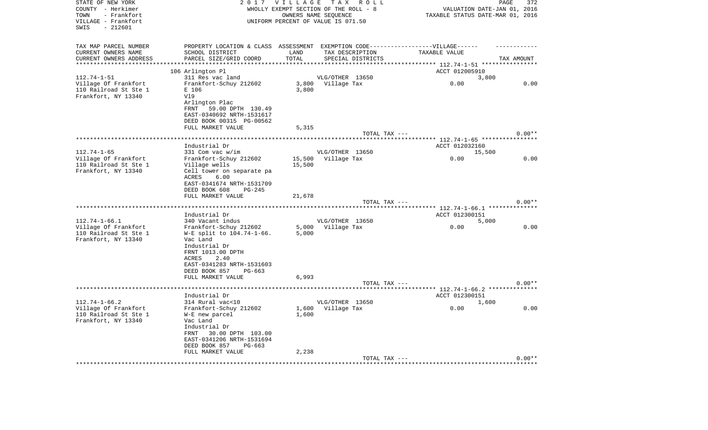| STATE OF NEW YORK<br>COUNTY - Herkimer<br>- Frankfort<br>TOWN<br>VILLAGE - Frankfort<br>- 212601<br>SWIS | 2 0 1 7                                                                          | <b>VILLAGE</b> | TAX ROLL<br>WHOLLY EXEMPT SECTION OF THE ROLL - 8<br>OWNERS NAME SEQUENCE<br>UNIFORM PERCENT OF VALUE IS 071.50 | TAXABLE STATUS DATE-MAR 01, 2016    | PAGE<br>372<br>VALUATION DATE-JAN 01, 2016 |
|----------------------------------------------------------------------------------------------------------|----------------------------------------------------------------------------------|----------------|-----------------------------------------------------------------------------------------------------------------|-------------------------------------|--------------------------------------------|
|                                                                                                          |                                                                                  |                |                                                                                                                 |                                     |                                            |
| TAX MAP PARCEL NUMBER                                                                                    | PROPERTY LOCATION & CLASS ASSESSMENT EXEMPTION CODE----------------VILLAGE------ |                |                                                                                                                 |                                     |                                            |
| CURRENT OWNERS NAME                                                                                      | SCHOOL DISTRICT                                                                  | LAND           | TAX DESCRIPTION                                                                                                 | TAXABLE VALUE                       |                                            |
| CURRENT OWNERS ADDRESS                                                                                   | PARCEL SIZE/GRID COORD                                                           | TOTAL          | SPECIAL DISTRICTS                                                                                               |                                     | TAX AMOUNT                                 |
|                                                                                                          |                                                                                  |                |                                                                                                                 | ***** 112.74-1-51 *****             |                                            |
|                                                                                                          | 106 Arlington Pl                                                                 |                |                                                                                                                 | ACCT 012005910                      |                                            |
| $112.74 - 1 - 51$                                                                                        | 311 Res vac land                                                                 |                | VLG/OTHER 13650                                                                                                 | 3,800                               |                                            |
| Village Of Frankfort                                                                                     | Frankfort-Schuy 212602                                                           | 3,800          | Village Tax                                                                                                     | 0.00                                | 0.00                                       |
| 110 Railroad St Ste 1<br>Frankfort, NY 13340                                                             | E 106<br>V19                                                                     | 3,800          |                                                                                                                 |                                     |                                            |
|                                                                                                          | Arlington Plac                                                                   |                |                                                                                                                 |                                     |                                            |
|                                                                                                          | FRNT<br>59.00 DPTH 130.49                                                        |                |                                                                                                                 |                                     |                                            |
|                                                                                                          | EAST-0340692 NRTH-1531617                                                        |                |                                                                                                                 |                                     |                                            |
|                                                                                                          | DEED BOOK 00315 PG-00562                                                         |                |                                                                                                                 |                                     |                                            |
|                                                                                                          | FULL MARKET VALUE                                                                | 5,315          |                                                                                                                 |                                     |                                            |
|                                                                                                          |                                                                                  |                | TOTAL TAX ---                                                                                                   |                                     | $0.00**$                                   |
|                                                                                                          | ****************************                                                     |                |                                                                                                                 | ******** 112.74-1-65 ************   |                                            |
|                                                                                                          | Industrial Dr                                                                    |                |                                                                                                                 | ACCT 012032160                      |                                            |
| $112.74 - 1 - 65$                                                                                        | 331 Com vac w/im                                                                 |                | VLG/OTHER 13650                                                                                                 | 15,500                              |                                            |
| Village Of Frankfort                                                                                     | Frankfort-Schuy 212602                                                           | 15,500         | Village Tax                                                                                                     | 0.00                                | 0.00                                       |
| 110 Railroad St Ste 1                                                                                    | Village wells                                                                    | 15,500         |                                                                                                                 |                                     |                                            |
| Frankfort, NY 13340                                                                                      | Cell tower on separate pa                                                        |                |                                                                                                                 |                                     |                                            |
|                                                                                                          | 6.00<br>ACRES                                                                    |                |                                                                                                                 |                                     |                                            |
|                                                                                                          | EAST-0341674 NRTH-1531709                                                        |                |                                                                                                                 |                                     |                                            |
|                                                                                                          | DEED BOOK 608<br>PG-245                                                          |                |                                                                                                                 |                                     |                                            |
|                                                                                                          | FULL MARKET VALUE                                                                | 21,678         |                                                                                                                 |                                     | $0.00**$                                   |
|                                                                                                          |                                                                                  |                | TOTAL TAX ---                                                                                                   | **** $112.74 - 1 - 66.1$ ********** |                                            |
|                                                                                                          | Industrial Dr                                                                    |                |                                                                                                                 | ACCT 012300151                      |                                            |
| $112.74 - 1 - 66.1$                                                                                      | 340 Vacant indus                                                                 |                | VLG/OTHER 13650                                                                                                 | 5,000                               |                                            |
| Village Of Frankfort                                                                                     | Frankfort-Schuy 212602                                                           | 5,000          | Village Tax                                                                                                     | 0.00                                | 0.00                                       |
| 110 Railroad St Ste 1                                                                                    | W-E split to 104.74-1-66.                                                        | 5,000          |                                                                                                                 |                                     |                                            |
| Frankfort, NY 13340                                                                                      | Vac Land                                                                         |                |                                                                                                                 |                                     |                                            |
|                                                                                                          | Industrial Dr                                                                    |                |                                                                                                                 |                                     |                                            |
|                                                                                                          | FRNT 1013.00 DPTH                                                                |                |                                                                                                                 |                                     |                                            |
|                                                                                                          | ACRES<br>2.40                                                                    |                |                                                                                                                 |                                     |                                            |
|                                                                                                          | EAST-0341283 NRTH-1531603                                                        |                |                                                                                                                 |                                     |                                            |
|                                                                                                          | DEED BOOK 857<br>$PG-663$                                                        |                |                                                                                                                 |                                     |                                            |
|                                                                                                          | FULL MARKET VALUE                                                                | 6,993          |                                                                                                                 |                                     |                                            |
|                                                                                                          |                                                                                  |                | TOTAL TAX ---                                                                                                   |                                     | $0.00**$                                   |
|                                                                                                          |                                                                                  |                |                                                                                                                 |                                     |                                            |
|                                                                                                          | Industrial Dr                                                                    |                |                                                                                                                 | ACCT 012300151                      |                                            |
| $112.74 - 1 - 66.2$                                                                                      | 314 Rural vac<10                                                                 |                | VLG/OTHER 13650                                                                                                 | 1,600                               |                                            |
| Village Of Frankfort                                                                                     | Frankfort-Schuy 212602                                                           | 1,600<br>1,600 | Village Tax                                                                                                     | 0.00                                | 0.00                                       |
| 110 Railroad St Ste 1<br>Frankfort, NY 13340                                                             | W-E new parcel<br>Vac Land                                                       |                |                                                                                                                 |                                     |                                            |
|                                                                                                          | Industrial Dr                                                                    |                |                                                                                                                 |                                     |                                            |
|                                                                                                          | 30.00 DPTH 103.00<br>FRNT                                                        |                |                                                                                                                 |                                     |                                            |
|                                                                                                          | EAST-0341206 NRTH-1531694                                                        |                |                                                                                                                 |                                     |                                            |
|                                                                                                          | DEED BOOK 857<br>PG-663                                                          |                |                                                                                                                 |                                     |                                            |
|                                                                                                          | FULL MARKET VALUE                                                                | 2,238          |                                                                                                                 |                                     |                                            |
|                                                                                                          |                                                                                  |                | TOTAL TAX ---                                                                                                   |                                     | $0.00**$                                   |
|                                                                                                          |                                                                                  |                | ************************                                                                                        | *********************************** |                                            |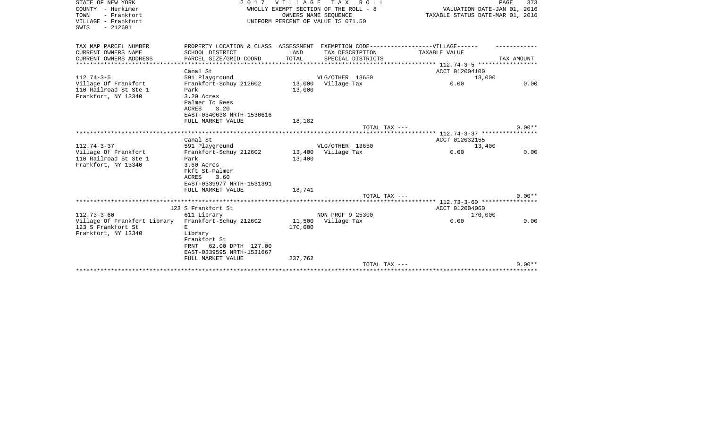| STATE OF NEW YORK            | 2017                                  | <b>VILLAGE</b>                   | T A X<br>R O L L                   |                                               | PAGE<br>373 |
|------------------------------|---------------------------------------|----------------------------------|------------------------------------|-----------------------------------------------|-------------|
| COUNTY - Herkimer            | WHOLLY EXEMPT SECTION OF THE ROLL - 8 | VALUATION DATE-JAN 01, 2016      |                                    |                                               |             |
| - Frankfort<br>TOWN          |                                       | TAXABLE STATUS DATE-MAR 01, 2016 |                                    |                                               |             |
| VILLAGE - Frankfort          |                                       |                                  | UNIFORM PERCENT OF VALUE IS 071.50 |                                               |             |
| $-212601$<br>SWIS            |                                       |                                  |                                    |                                               |             |
|                              |                                       |                                  |                                    |                                               |             |
|                              |                                       |                                  |                                    |                                               |             |
| TAX MAP PARCEL NUMBER        | PROPERTY LOCATION & CLASS ASSESSMENT  |                                  |                                    | EXEMPTION CODE------------------VILLAGE------ |             |
| CURRENT OWNERS NAME          | SCHOOL DISTRICT                       | LAND                             | TAX DESCRIPTION                    | TAXABLE VALUE                                 |             |
| CURRENT OWNERS ADDRESS       | PARCEL SIZE/GRID COORD                | TOTAL                            | SPECIAL DISTRICTS                  |                                               | TAX AMOUNT  |
| **********************       |                                       |                                  |                                    |                                               |             |
|                              | Canal St                              |                                  |                                    | ACCT 012004100                                |             |
| $112.74 - 3 - 5$             | 591 Playground                        |                                  | VLG/OTHER 13650                    | 13,000                                        |             |
| Village Of Frankfort         | Frankfort-Schuy 212602                | 13,000                           | Village Tax                        | 0.00                                          | 0.00        |
| 110 Railroad St Ste 1        | Park                                  | 13,000                           |                                    |                                               |             |
| Frankfort, NY 13340          | 3.20 Acres                            |                                  |                                    |                                               |             |
|                              | Palmer To Rees                        |                                  |                                    |                                               |             |
|                              | ACRES<br>3.20                         |                                  |                                    |                                               |             |
|                              | EAST-0340638 NRTH-1530616             |                                  |                                    |                                               |             |
|                              | FULL MARKET VALUE                     | 18,182                           |                                    |                                               |             |
|                              |                                       |                                  | TOTAL TAX ---                      |                                               | $0.00**$    |
|                              |                                       |                                  |                                    | ******** 112.74-3-37 *****************        |             |
|                              | Canal St                              |                                  |                                    | ACCT 012032155                                |             |
| $112.74 - 3 - 37$            | 591 Playground                        |                                  | VLG/OTHER 13650                    | 13,400                                        |             |
| Village Of Frankfort         | Frankfort-Schuy 212602                |                                  | 13,400 Village Tax                 | 0.00                                          | 0.00        |
| 110 Railroad St Ste 1        |                                       |                                  |                                    |                                               |             |
|                              | Park                                  | 13,400                           |                                    |                                               |             |
| Frankfort, NY 13340          | 3.60 Acres                            |                                  |                                    |                                               |             |
|                              | Fkft St-Palmer                        |                                  |                                    |                                               |             |
|                              | <b>ACRES</b><br>3.60                  |                                  |                                    |                                               |             |
|                              | EAST-0339977 NRTH-1531391             |                                  |                                    |                                               |             |
|                              | FULL MARKET VALUE                     | 18,741                           |                                    |                                               |             |
|                              |                                       |                                  | TOTAL TAX ---                      |                                               | $0.00**$    |
|                              |                                       |                                  |                                    |                                               |             |
|                              | 123 S Frankfort St                    |                                  |                                    | ACCT 012004060                                |             |
| $112.73 - 3 - 60$            | 611 Library                           |                                  | NON PROF 9 25300                   | 170,000                                       |             |
| Village Of Frankfort Library | Frankfort-Schuy 212602                |                                  | 11,500 Village Tax                 | 0.00                                          | 0.00        |
| 123 S Frankfort St           | F.                                    | 170,000                          |                                    |                                               |             |
| Frankfort, NY 13340          | Library                               |                                  |                                    |                                               |             |
|                              | Frankfort St                          |                                  |                                    |                                               |             |
|                              | 62.00 DPTH 127.00<br>FRNT             |                                  |                                    |                                               |             |
|                              | EAST-0339595 NRTH-1531667             |                                  |                                    |                                               |             |
|                              | FULL MARKET VALUE                     | 237,762                          |                                    |                                               |             |
|                              |                                       |                                  | TOTAL TAX ---                      |                                               | $0.00**$    |
|                              |                                       |                                  |                                    |                                               |             |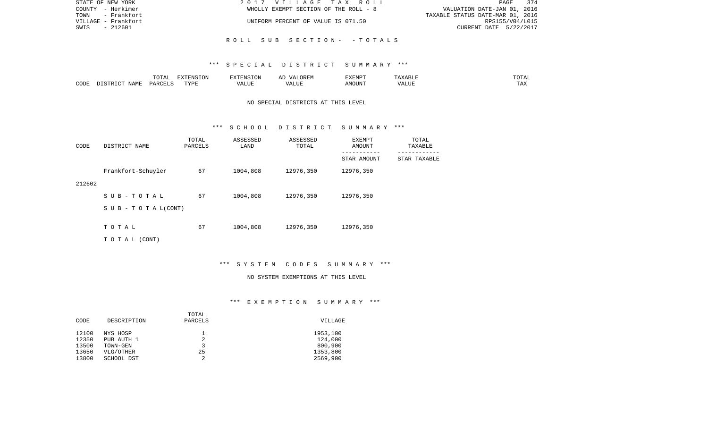| STATE OF NEW YORK   | 2017 VILLAGE TAX ROLL                 | 374<br>PAGE                      |
|---------------------|---------------------------------------|----------------------------------|
| COUNTY - Herkimer   | WHOLLY EXEMPT SECTION OF THE ROLL - 8 | VALUATION DATE-JAN 01, 2016      |
| TOWN - Frankfort    |                                       | TAXABLE STATUS DATE-MAR 01, 2016 |
| VILLAGE - Frankfort | UNIFORM PERCENT OF VALUE IS 071.50    | RPS155/V04/L015                  |
| - 212601<br>SWIS    |                                       | CURRENT DATE 5/22/2017           |
|                     |                                       |                                  |
|                     | ROLL SUB SECTION- -TOTALS             |                                  |

### \*\*\* S P E C I A L D I S T R I C T S U M M A R Y \*\*\*

|      |             |               | $\blacksquare$<br>11 L<br>. ON |     | EXEMPT       | ABL.           | $m \wedge m$<br>$  -$ |
|------|-------------|---------------|--------------------------------|-----|--------------|----------------|-----------------------|
| CODE | NAME<br>. . | <b>DARCET</b> | TVDI                           | ,,, | 'תוזכ<br>∆M∩ | . <del>.</del> | $- - -$<br>.AZ        |

## NO SPECIAL DISTRICTS AT THIS LEVEL

#### \*\*\* S C H O O L D I S T R I C T S U M M A R Y \*\*\*

| CODE   | DISTRICT NAME                    | TOTAL<br>PARCELS | ASSESSED<br>LAND | ASSESSED<br>TOTAL | EXEMPT<br>AMOUNT | TOTAL<br>TAXABLE |
|--------|----------------------------------|------------------|------------------|-------------------|------------------|------------------|
|        |                                  |                  |                  |                   | STAR AMOUNT      | STAR TAXABLE     |
|        | Frankfort-Schuyler               | 67               | 1004,808         | 12976,350         | 12976,350        |                  |
| 212602 |                                  |                  |                  |                   |                  |                  |
|        | SUB-TOTAL                        | 67               | 1004,808         | 12976,350         | 12976,350        |                  |
|        | $S \cup B - T \cup T A L (CONT)$ |                  |                  |                   |                  |                  |
|        |                                  |                  |                  |                   |                  |                  |
|        | TOTAL                            | 67               | 1004,808         | 12976,350         | 12976,350        |                  |
|        | T O T A L (CONT)                 |                  |                  |                   |                  |                  |

\*\*\* S Y S T E M C O D E S S U M M A R Y \*\*\*

#### NO SYSTEM EXEMPTIONS AT THIS LEVEL

# \*\*\* E X E M P T I O N S U M M A R Y \*\*\*

|       |             | TOTAL   |          |
|-------|-------------|---------|----------|
| CODE  | DESCRIPTION | PARCELS | VILLAGE  |
|       |             |         |          |
| 12100 | NYS HOSP    |         | 1953,100 |
| 12350 | PUB AUTH 1  |         | 124,000  |
| 13500 | TOWN-GEN    | 3       | 800,900  |
| 13650 | VLG/OTHER   | 25      | 1353,800 |
| 13800 | SCHOOL DST  | 2       | 2569,900 |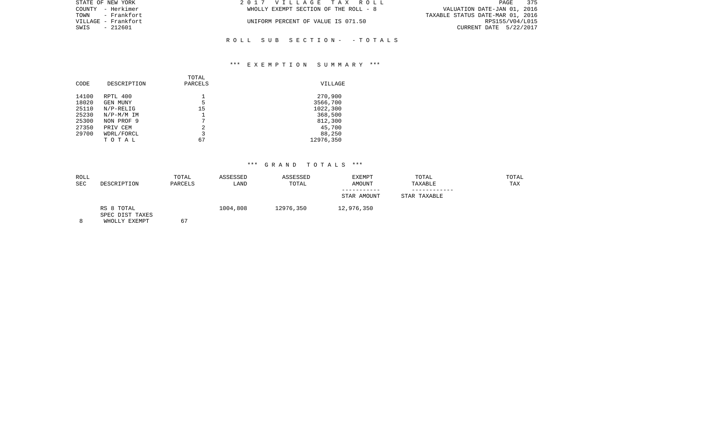| STATE OF NEW YORK   | 2017 VILLAGE TAX ROLL                 | 375<br>PAGE                      |
|---------------------|---------------------------------------|----------------------------------|
| COUNTY - Herkimer   | WHOLLY EXEMPT SECTION OF THE ROLL - 8 | VALUATION DATE-JAN 01, 2016      |
| TOWN - Frankfort    |                                       | TAXABLE STATUS DATE-MAR 01, 2016 |
| VILLAGE – Frankfort | UNIFORM PERCENT OF VALUE IS 071.50    | RPS155/V04/L015                  |
| SWIS - 212601       |                                       | CURRENT DATE 5/22/2017           |
|                     |                                       |                                  |

## \*\*\* E X E M P T I O N S U M M A R Y \*\*\*

R O L L S U B S E C T I O N - - T O T A L S

| CODE  | DESCRIPTION     | TOTAL<br>PARCELS | VILLAGE   |
|-------|-----------------|------------------|-----------|
| 14100 | RPTL 400        |                  | 270,900   |
| 18020 | <b>GEN MUNY</b> | 5                | 3566,700  |
| 25110 | $N/P-RELLIG$    | 15               | 1022,300  |
| 25230 | $N/P-M/M$ IM    |                  | 368,500   |
| 25300 | NON PROF 9      | 7                | 812,300   |
| 27350 | PRIV CEM        | 2                | 45,700    |
| 29700 | WDRL/FORCL      | 3                | 88,250    |
|       | TOTAL           | 67               | 12976,350 |

| ROLL<br><b>SEC</b> | DESCRIPTION                                    | TOTAL<br>PARCELS | ASSESSED<br>LAND | ASSESSED<br>TOTAL | EXEMPT<br>AMOUNT | TOTAL<br>TAXABLE | TOTAL<br>TAX |
|--------------------|------------------------------------------------|------------------|------------------|-------------------|------------------|------------------|--------------|
|                    |                                                |                  |                  |                   | STAR AMOUNT      | STAR TAXABLE     |              |
|                    | RS 8 TOTAL<br>SPEC DIST TAXES<br>WHOLLY EXEMPT | 67               | 1004,808         | 12976,350         | 12,976,350       |                  |              |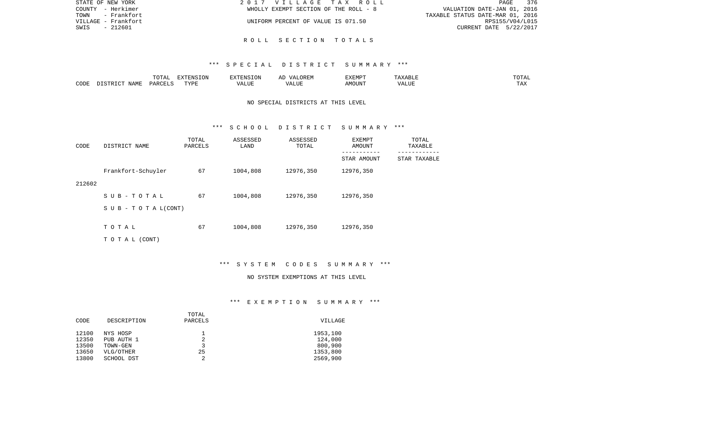| STATE OF NEW YORK   | 2017 VILLAGE TAX ROLL                 | 376<br><b>PAGE</b>               |
|---------------------|---------------------------------------|----------------------------------|
| COUNTY - Herkimer   | WHOLLY EXEMPT SECTION OF THE ROLL - 8 | VALUATION DATE-JAN 01, 2016      |
| - Frankfort<br>TOWN |                                       | TAXABLE STATUS DATE-MAR 01, 2016 |
| VILLAGE - Frankfort | UNIFORM PERCENT OF VALUE IS 071.50    | RPS155/V04/L015                  |
| - 212601<br>SWIS    |                                       | CURRENT DATE 5/22/2017           |
|                     |                                       |                                  |

### R O L L S E C T I O N T O T A L S

### \*\*\* S P E C I A L D I S T R I C T S U M M A R Y \*\*\*

|      |      | $m \wedge m \neq$<br>$\Delta$<br>10111 | FYTFNC<br>'ON    |       | ORE.<br>$\sqrt{4}$ | .XEMP <sup>-</sup> | சபா   | ------<br>TU TAL    |
|------|------|----------------------------------------|------------------|-------|--------------------|--------------------|-------|---------------------|
| CODE | JAMF | , PARCET                               | <b>TRAT</b><br>. | ALUE. | LUI<br>$\cdots$    | <b>MOUN'L</b>      | T T T | <b>TITLE</b><br>ŦΨV |

# NO SPECIAL DISTRICTS AT THIS LEVEL

#### \*\*\* S C H O O L D I S T R I C T S U M M A R Y \*\*\*

| CODE   | DISTRICT NAME                    | TOTAL<br>PARCELS | ASSESSED<br>LAND | ASSESSED<br>TOTAL | EXEMPT<br>AMOUNT | TOTAL<br>TAXABLE |
|--------|----------------------------------|------------------|------------------|-------------------|------------------|------------------|
|        |                                  |                  |                  |                   | STAR AMOUNT      | STAR TAXABLE     |
|        | Frankfort-Schuyler               | 67               | 1004,808         | 12976,350         | 12976,350        |                  |
| 212602 |                                  |                  |                  |                   |                  |                  |
|        | SUB-TOTAL                        | 67               | 1004,808         | 12976,350         | 12976,350        |                  |
|        | $S \cup B - T \cup T A L (CONT)$ |                  |                  |                   |                  |                  |
|        | TOTAL                            | 67               | 1004,808         | 12976,350         | 12976,350        |                  |
|        |                                  |                  |                  |                   |                  |                  |
|        | T O T A L (CONT)                 |                  |                  |                   |                  |                  |

\*\*\* S Y S T E M C O D E S S U M M A R Y \*\*\*

### NO SYSTEM EXEMPTIONS AT THIS LEVEL

# \*\*\* E X E M P T I O N S U M M A R Y \*\*\*

|       |             | TOTAL   |          |
|-------|-------------|---------|----------|
| CODE  | DESCRIPTION | PARCELS | VILLAGE  |
|       |             |         |          |
| 12100 | NYS HOSP    |         | 1953,100 |
| 12350 | PUB AUTH 1  |         | 124,000  |
| 13500 | TOWN-GEN    | 3       | 800,900  |
| 13650 | VLG/OTHER   | 25      | 1353,800 |
| 13800 | SCHOOL DST  |         | 2569,900 |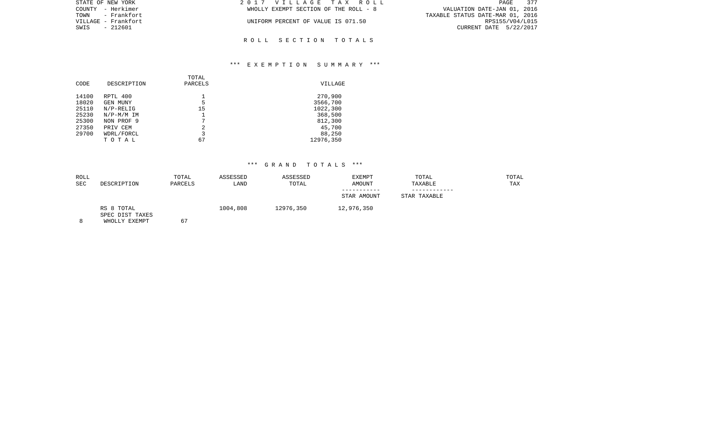| STATE OF NEW YORK   | 2017 VILLAGE TAX ROLL                 | 377<br>PAGE                      |  |
|---------------------|---------------------------------------|----------------------------------|--|
| COUNTY - Herkimer   | WHOLLY EXEMPT SECTION OF THE ROLL - 8 | VALUATION DATE-JAN 01, 2016      |  |
|                     |                                       | TAXABLE STATUS DATE-MAR 01, 2016 |  |
| VILLAGE – Frankfort | UNIFORM PERCENT OF VALUE IS 071.50    | RPS155/V04/L015                  |  |
| SWIS - 212601       |                                       | CURRENT DATE 5/22/2017           |  |
|                     |                                       |                                  |  |
|                     |                                       |                                  |  |

R O L L S E C T I O N T O T A L S

## \*\*\* E X E M P T I O N S U M M A R Y \*\*\*

| CODE  | DESCRIPTION  | TOTAL<br>PARCELS | VILLAGE   |
|-------|--------------|------------------|-----------|
| 14100 | RPTL 400     |                  | 270,900   |
| 18020 | GEN MUNY     | 5                | 3566,700  |
| 25110 | $N/P-RELIG$  | 15               | 1022,300  |
| 25230 | $N/P-M/M$ IM |                  | 368,500   |
| 25300 | NON PROF 9   | 7                | 812,300   |
| 27350 | PRIV CEM     | 2                | 45,700    |
| 29700 | WDRL/FORCL   | 3                | 88,250    |
|       | TOTAL        | 67               | 12976,350 |
|       |              |                  |           |

| ROLL<br><b>SEC</b> | DESCRIPTION                                    | TOTAL<br>ASSESSED<br>PARCELS<br>LAND |          | ASSESSED<br>TOTAL | EXEMPT<br>AMOUNT | TOTAL<br>TAXABLE |  |
|--------------------|------------------------------------------------|--------------------------------------|----------|-------------------|------------------|------------------|--|
|                    |                                                |                                      |          |                   | STAR AMOUNT      | STAR TAXABLE     |  |
|                    | RS 8 TOTAL<br>SPEC DIST TAXES<br>WHOLLY EXEMPT | 67                                   | 1004,808 | 12976,350         | 12,976,350       |                  |  |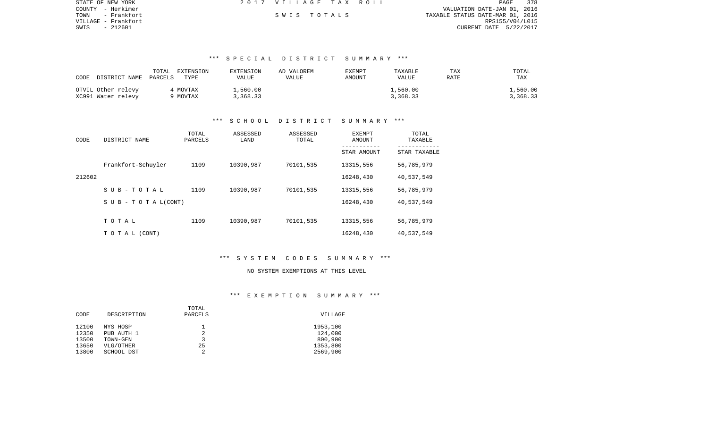| STATE OF NEW YORK   | 2017 VILLAGE TAX ROLL |  | 378<br>PAGE                      |
|---------------------|-----------------------|--|----------------------------------|
| COUNTY - Herkimer   |                       |  | VALUATION DATE-JAN 01, 2016      |
| TOWN<br>- Frankfort | SWIS TOTALS           |  | TAXABLE STATUS DATE-MAR 01, 2016 |
| VILLAGE – Frankfort |                       |  | RPS155/V04/L015                  |
| SWIS - 212601       |                       |  | CURRENT DATE 5/22/2017           |

# \*\*\* S P E C I A L D I S T R I C T S U M M A R Y \*\*\*

| CODE DISTRICT NAME PARCELS               | TOTAL<br>EXTENSION<br>TYPE | EXTENSION<br>VALUE   | AD VALOREM<br>VALUE | EXEMPT<br>AMOUNT | TAXABLE<br><b>VALUE</b> | TAX<br>RATE | TOTAL<br>TAX         |
|------------------------------------------|----------------------------|----------------------|---------------------|------------------|-------------------------|-------------|----------------------|
| OTVIL Other relevy<br>XC991 Water relevy | 4 MOVTAX<br>9 MOVTAX       | L,560.00<br>3,368.33 |                     |                  | 1,560.00<br>3,368.33    |             | 1,560.00<br>3,368.33 |

## \*\*\* S C H O O L D I S T R I C T S U M M A R Y \*\*\*

| CODE   | DISTRICT NAME                    | TOTAL<br>PARCELS | ASSESSED<br>LAND | ASSESSED<br>TOTAL | EXEMPT<br>AMOUNT | TOTAL<br>TAXABLE |
|--------|----------------------------------|------------------|------------------|-------------------|------------------|------------------|
|        |                                  |                  |                  |                   | STAR AMOUNT      | STAR TAXABLE     |
|        | Frankfort-Schuyler               | 1109             | 10390,987        | 70101,535         | 13315,556        | 56,785,979       |
| 212602 |                                  |                  |                  |                   | 16248,430        | 40,537,549       |
|        | SUB-TOTAL                        | 1109             | 10390,987        | 70101,535         | 13315,556        | 56,785,979       |
|        | $S \cup B - T \cup T A L (CONT)$ |                  |                  |                   | 16248,430        | 40,537,549       |
|        |                                  |                  |                  |                   |                  |                  |
|        | TOTAL                            | 1109             | 10390,987        | 70101,535         | 13315,556        | 56,785,979       |
|        | TO TAL (CONT)                    |                  |                  |                   | 16248,430        | 40,537,549       |

## \*\*\* S Y S T E M C O D E S S U M M A R Y \*\*\*

#### NO SYSTEM EXEMPTIONS AT THIS LEVEL

## \*\*\* E X E M P T I O N S U M M A R Y \*\*\*

|       |             | TOTAL   |          |
|-------|-------------|---------|----------|
| CODE  | DESCRIPTION | PARCELS | VILLAGE  |
|       |             |         |          |
| 12100 | NYS HOSP    |         | 1953,100 |
| 12350 | PUB AUTH 1  | 2       | 124,000  |
| 13500 | TOWN-GEN    |         | 800,900  |
| 13650 | VLG/OTHER   | 25      | 1353,800 |
| 13800 | SCHOOL DST  |         | 2569,900 |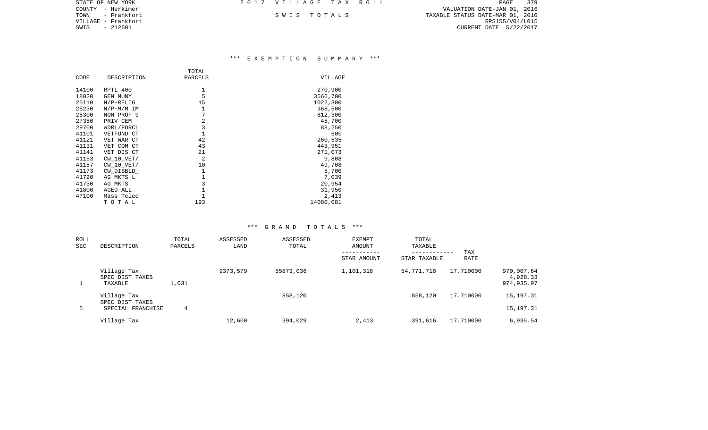| STATE OF NEW YORK   | 2017 VILLAGE TAX ROLL |  | 379<br>PAGE                      |
|---------------------|-----------------------|--|----------------------------------|
| COUNTY - Herkimer   |                       |  | VALUATION DATE-JAN 01, 2016      |
| TOWN<br>– Frankfort | SWIS TOTALS           |  | TAXABLE STATUS DATE-MAR 01, 2016 |
| VILLAGE - Frankfort |                       |  | RPS155/V04/L015                  |
| SWIS<br>- 212601    |                       |  | CURRENT DATE 5/22/2017           |
|                     |                       |  |                                  |

## \*\*\* E X E M P T I O N S U M M A R Y \*\*\*

|       |                | TOTAL          |           |
|-------|----------------|----------------|-----------|
| CODE  | DESCRIPTION    | PARCELS        | VILLAGE   |
| 14100 | RPTL 400       | 1              | 270,900   |
| 18020 | GEN MUNY       | 5              | 3566,700  |
| 25110 | $N/P-RELIG$    | 15             | 1022,300  |
| 25230 | $N/P-M/M$ IM   | 1              | 368,500   |
| 25300 | NON PROF 9     | 7              | 812,300   |
| 27350 | PRIV CEM       | $\overline{2}$ | 45,700    |
| 29700 | WDRL/FORCL     | 3              | 88,250    |
| 41101 | VETFUND CT     | $\mathbf{1}$   | 600       |
| 41121 | VET WAR CT     | 42             | 260,535   |
| 41131 | VET COM CT     | 43             | 443,951   |
| 41141 | VET DIS CT     | 21             | 271,073   |
| 41153 | CW 10 VET/     | 2              | 9,808     |
| 41157 | $CW$ 10 $VET/$ | 10             | 49,708    |
| 41173 | CW DISBLD      | 1              | 5,700     |
| 41720 | AG MKTS L      | $\mathbf{1}$   | 7,039     |
| 41730 | AG MKTS        | 3              | 20,954    |
| 41800 | AGED-ALL       |                | 31,950    |
| 47100 | Mass Telec     | $\mathbf{1}$   | 2,413     |
|       | TOTAL          | 193            | 14080,081 |

| <b>ROLL</b><br><b>SEC</b> | DESCRIPTION                                         | TOTAL<br>PARCELS | ASSESSED<br>LAND | ASSESSED<br>TOTAL | <b>EXEMPT</b><br>AMOUNT<br>STAR AMOUNT | TOTAL<br>TAXABLE<br>------------<br>STAR TAXABLE | TAX<br>RATE |                                      |
|---------------------------|-----------------------------------------------------|------------------|------------------|-------------------|----------------------------------------|--------------------------------------------------|-------------|--------------------------------------|
|                           | Village Tax<br>SPEC DIST TAXES<br>TAXABLE           | 1,031            | 9373,579         | 55873,036         | 1,101,318                              | 54,771,718                                       | 17.710000   | 970,007.64<br>4,928.33<br>974,935.97 |
| 5                         | Village Tax<br>SPEC DIST TAXES<br>SPECIAL FRANCHISE | 4                |                  | 858,120           |                                        | 858,120                                          | 17.710000   | 15,197.31<br>15,197.31               |
|                           | Village Tax                                         |                  | 12,600           | 394,029           | 2,413                                  | 391,616                                          | 17.710000   | 6,935.54                             |